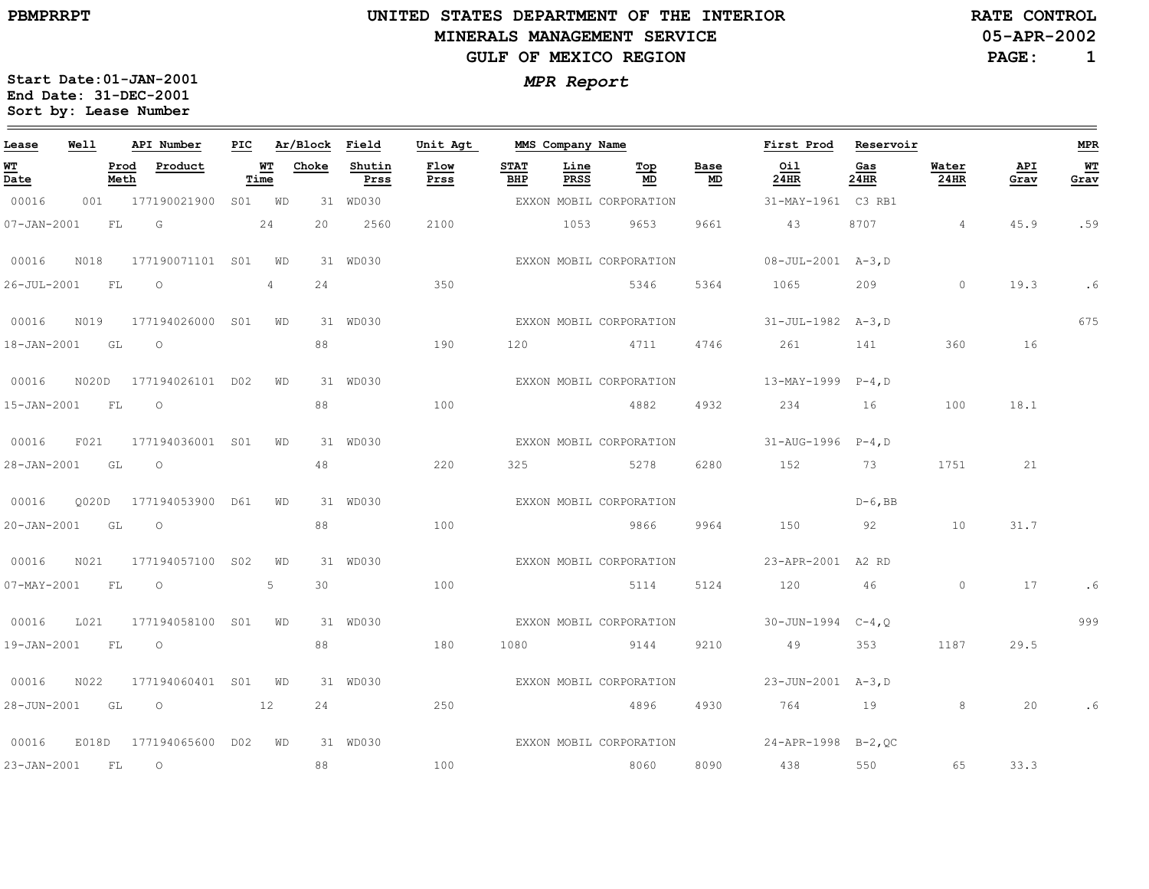$\qquad \qquad$ 

# **UNITED STATES DEPARTMENT OF THE INTERIORMINERALS MANAGEMENT SERVICEGULF OF MEXICO REGION**

**RATE CONTROL**

**05-APR-2002**

**PAGE:1**

675

.6

**MPR**

**WT Grav**

.59

999

.6

.6

| Lease                                 | Well  | API Number          | PIC.            |                | Ar/Block | Field          | Unit Agt     |                    | MMS Company Name |                         |            | First Prod                | Reservoir   |                      |             |
|---------------------------------------|-------|---------------------|-----------------|----------------|----------|----------------|--------------|--------------------|------------------|-------------------------|------------|---------------------------|-------------|----------------------|-------------|
| <u>WТ</u><br>$\overline{\text{Date}}$ | Meth  | Prod<br>Product     |                 | WT<br>Time     | Choke    | Shutin<br>Prss | Flow<br>Prss | <b>STAT</b><br>BHP | Line<br>PRSS     | Top<br>MD               | Base<br>MD | Oil<br>24HR               | Gas<br>24HR | Water<br><b>24HR</b> | API<br>Grav |
| 00016                                 | 001   | 177190021900        | S01             | WD             |          | 31 WD030       |              |                    |                  | EXXON MOBIL CORPORATION |            | 31-MAY-1961 C3 RB1        |             |                      |             |
| $07 - JAN - 2001$                     | FL.   | G                   |                 | 24             | 20       | 2560           | 2100         |                    | 1053             | 9653                    | 9661       | 43                        | 8707        | $\overline{4}$       | 45.9        |
| 00016                                 | N018  | 177190071101 S01    |                 | WD             |          | 31 WD030       |              |                    |                  | EXXON MOBIL CORPORATION |            | 08-JUL-2001 A-3, D        |             |                      |             |
| 26-JUL-2001                           | FL    | $\circ$             |                 | $\overline{4}$ | 24       |                | 350          |                    |                  | 5346                    | 5364       | 1065                      | 209         | $\circ$              | 19.3        |
| 00016                                 | N019  | 177194026000        | S <sub>01</sub> | WD             |          | 31 WD030       |              |                    |                  | EXXON MOBIL CORPORATION |            | 31-JUL-1982 A-3, D        |             |                      |             |
| 18-JAN-2001                           | GL    | $\circ$             |                 |                | 88       |                | 190          | 120                |                  | 4711                    | 4746       | 261                       | 141         | 360                  | 16          |
| 00016                                 | N020D | 177194026101 D02    |                 | WD             |          | 31 WD030       |              |                    |                  | EXXON MOBIL CORPORATION |            | 13-MAY-1999               | $P-4, D$    |                      |             |
| $15 - JAN - 2001$                     | FL    | $\circlearrowright$ |                 |                | 88       |                | 100          |                    |                  | 4882                    | 4932       | 234                       | 16          | 100                  | 18.1        |
| 00016                                 | F021  | 177194036001 S01    |                 | WD             |          | 31 WD030       |              |                    |                  | EXXON MOBIL CORPORATION |            | 31-AUG-1996 P-4, D        |             |                      |             |
| 28-JAN-2001                           | GL    | $\circ$             |                 |                | 48       |                | 220          | 325                |                  | 5278                    | 6280       | 152                       | 73          | 1751                 | 21          |
| 00016                                 | 0020D | 177194053900        | D61             | WD             |          | 31 WD030       |              |                    |                  | EXXON MOBIL CORPORATION |            |                           | $D-6$ , BB  |                      |             |
| $20 - JAN - 2001$                     | GL    | $\circlearrowright$ |                 |                | 88       |                | 100          |                    |                  | 9866                    | 9964       | 150                       | 92          | 10                   | 31.7        |
| 00016                                 | N021  | 177194057100        | S <sub>02</sub> | WD             |          | 31 WD030       |              |                    |                  | EXXON MOBIL CORPORATION |            | 23-APR-2001               | A2 RD       |                      |             |
| 07-MAY-2001                           | FL    | $\circ$             |                 | 5              | 30       |                | 100          |                    |                  | 5114                    | 5124       | 120                       | 46          | $\Omega$             | 17          |
| 00016                                 | L021  | 177194058100        | S <sub>01</sub> | WD             |          | 31 WD030       |              |                    |                  | EXXON MOBIL CORPORATION |            | 30-JUN-1994               | $C-4, Q$    |                      |             |
| 19-JAN-2001                           | FL    | $\circ$             |                 |                | 88       |                | 180          | 1080               |                  | 9144                    | 9210       | 49                        | 353         | 1187                 | 29.5        |
| 00016                                 | N022  | 177194060401 S01    |                 | WD             |          | 31 WD030       |              |                    |                  | EXXON MOBIL CORPORATION |            | 23-JUN-2001 A-3, D        |             |                      |             |
| 28-JUN-2001                           | GL    | $\circ$             |                 | 12             | 24       |                | 250          |                    |                  | 4896                    | 4930       | 764                       | 19          | 8                    | 20          |
| 00016                                 | E018D | 177194065600 D02    |                 | WD             |          | 31 WD030       |              |                    |                  | EXXON MOBIL CORPORATION |            | $24 - APR - 1998$ B-2, OC |             |                      |             |
| 23-JAN-2001                           | FL    | $\circ$             |                 |                | 88       |                | 100          |                    |                  | 8060                    | 8090       | 438                       | 550         | 65                   | 33.3        |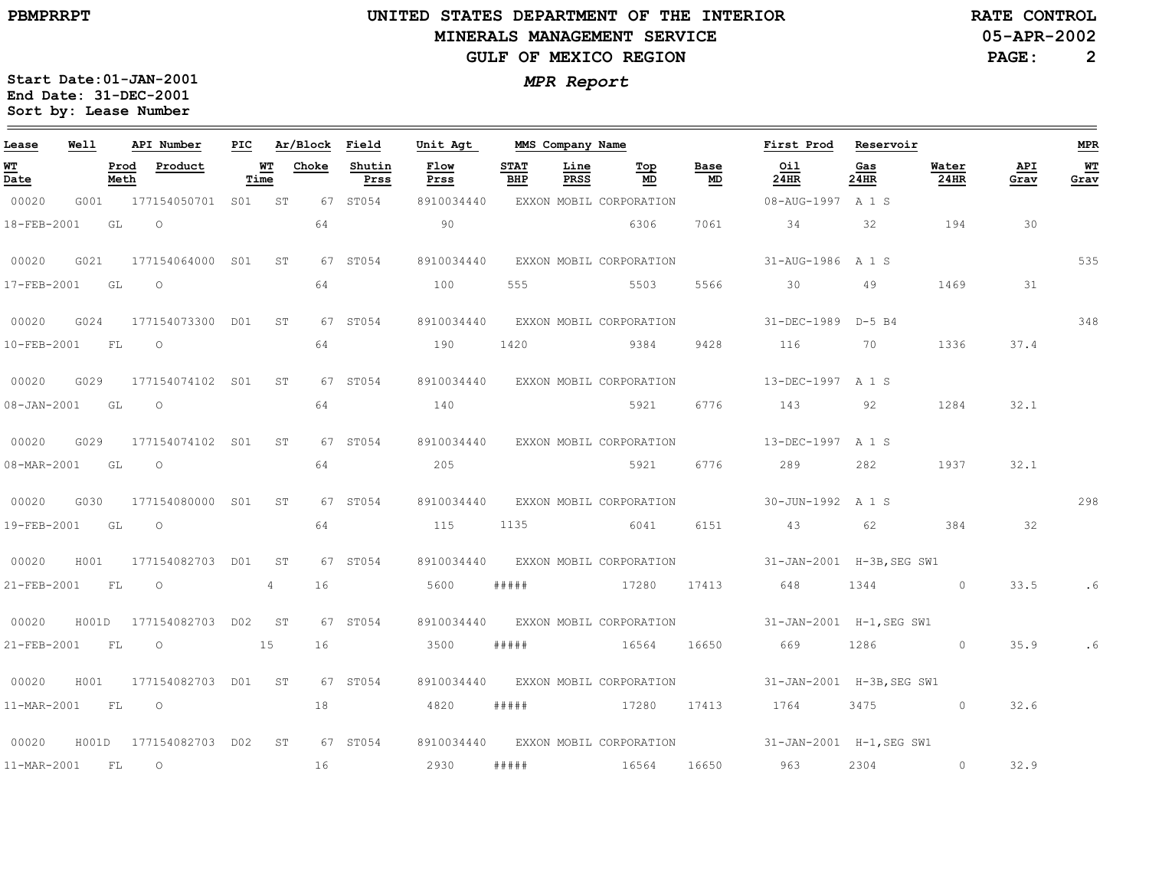$\equiv$ 

# **UNITED STATES DEPARTMENT OF THE INTERIOR MINERALS MANAGEMENT SERVICEGULF OF MEXICO REGION**

**RATE CONTROL**

**05-APR-2002**

**PAGE: 2**

| Lease             | Well  |              | API Number          | PIC. |            | Ar/Block | Field          | Unit Agt     |                    | MMS Company Name |                         |            | First Prod                                       | Reservoir   |               |             | <b>MPR</b> |
|-------------------|-------|--------------|---------------------|------|------------|----------|----------------|--------------|--------------------|------------------|-------------------------|------------|--------------------------------------------------|-------------|---------------|-------------|------------|
| WT<br>Date        |       | Prod<br>Meth | Product             |      | WТ<br>Time | Choke    | Shutin<br>Prss | Flow<br>Prss | <b>STAT</b><br>BHP | Line<br>PRSS     | Top<br><b>MD</b>        | Base<br>MD | Oil<br>24HR                                      | Gas<br>24HR | Water<br>24HR | API<br>Grav | WT<br>Grav |
| 00020             | G001  |              | 177154050701 S01 ST |      |            |          | 67 ST054       | 8910034440   |                    |                  | EXXON MOBIL CORPORATION |            | 08-AUG-1997 A 1 S                                |             |               |             |            |
| 18-FEB-2001       |       | GL           | $\Omega$            |      |            | 64       |                | 90           |                    |                  | 6306                    | 7061       | 34                                               | 32          | 194           | 30          |            |
| 00020             | G021  |              | 177154064000 S01    |      | ST         |          | 67 ST054       | 8910034440   |                    |                  | EXXON MOBIL CORPORATION |            | 31-AUG-1986 A 1 S                                |             |               |             | 535        |
| 17-FEB-2001       |       | GL           | $\circ$             |      |            | 64       |                | 100          | 555                |                  | 5503                    | 5566       | 30                                               | 49          | 1469          | 31          |            |
| 00020             | G024  |              | 177154073300 D01    |      | ST.        |          | 67 ST054       | 8910034440   |                    |                  | EXXON MOBIL CORPORATION |            | 31-DEC-1989 D-5 B4                               |             |               |             | 348        |
| $10-FEB-2001$     |       | FL           | $\circ$             |      |            | 64       |                | 190          | 1420               |                  | 9384                    | 9428       | 116                                              | 70          | 1336          | 37.4        |            |
| 00020             | G029  |              | 177154074102 S01    |      | ST         |          | 67 ST054       | 8910034440   |                    |                  | EXXON MOBIL CORPORATION |            | 13-DEC-1997 A 1 S                                |             |               |             |            |
| $08 - JAN - 2001$ |       | GL           | $\circ$             |      |            | 64       |                | 140          |                    |                  | 5921                    | 6776       | 143                                              | 92          | 1284          | 32.1        |            |
| 00020             | G029  |              | 177154074102 S01    |      | ST         |          | 67 ST054       | 8910034440   |                    |                  | EXXON MOBIL CORPORATION |            | 13-DEC-1997 A 1 S                                |             |               |             |            |
| 08-MAR-2001       |       | GL GL        | $\circ$             |      |            | 64       |                | 205          |                    |                  | 5921                    | 6776       | 289                                              | 282         | 1937          | 32.1        |            |
| 00020             | G030  |              | 177154080000 S01    |      | ST         |          | 67 ST054       | 8910034440   |                    |                  | EXXON MOBIL CORPORATION |            | 30-JUN-1992 A 1 S                                |             |               |             | 298        |
| 19-FEB-2001       |       | GL           | $\circ$             |      |            | 64       |                | 115          | 1135               |                  | 6041                    | 6151       | 43                                               | 62          | 384           | 32          |            |
| 00020             | H001  |              | 177154082703 D01    |      | ST         |          | 67 ST054       | 8910034440   |                    |                  | EXXON MOBIL CORPORATION |            | 31-JAN-2001 H-3B, SEG SW1                        |             |               |             |            |
| 21-FEB-2001       |       | FL           | $\circ$             |      | 4          | 16       |                | 5600         | # # # # #          |                  | 17280                   | 17413      | 648                                              | 1344        | $\circ$       | 33.5        | . 6        |
| 00020             | H001D |              | 177154082703        | DO2  | ST         |          | 67 ST054       | 8910034440   |                    |                  | EXXON MOBIL CORPORATION |            | 31-JAN-2001 H-1, SEG SW1                         |             |               |             |            |
| 21-FEB-2001       |       | FL           | $\circ$             |      | 15         | 16       |                | 3500         | #####              |                  | 16564                   | 16650      | 669                                              | 1286        | $\circ$       | 35.9        | . 6        |
| 00020             | H001  |              | 177154082703 D01    |      | ST         |          | 67 ST054       | 8910034440   |                    |                  | EXXON MOBIL CORPORATION |            | 31-JAN-2001 H-3B, SEG SW1                        |             |               |             |            |
| 11-MAR-2001       |       | FL           | $\circ$             |      |            | 18       |                | 4820         | # # # # #          |                  | 17280                   | 17413      | 1764                                             | 3475 3475   | $\circ$       | 32.6        |            |
| 00020             | H001D |              | 177154082703 D02    |      | ST         |          | 67 ST054       | 8910034440   |                    |                  |                         |            | EXXON MOBIL CORPORATION 31-JAN-2001 H-1, SEG SW1 |             |               |             |            |
| 11-MAR-2001       |       | FL           | $\circ$             |      |            | 16       |                | 2930         | #####              |                  | 16564                   | 16650      | 963                                              | 2304        | $\circ$       | 32.9        |            |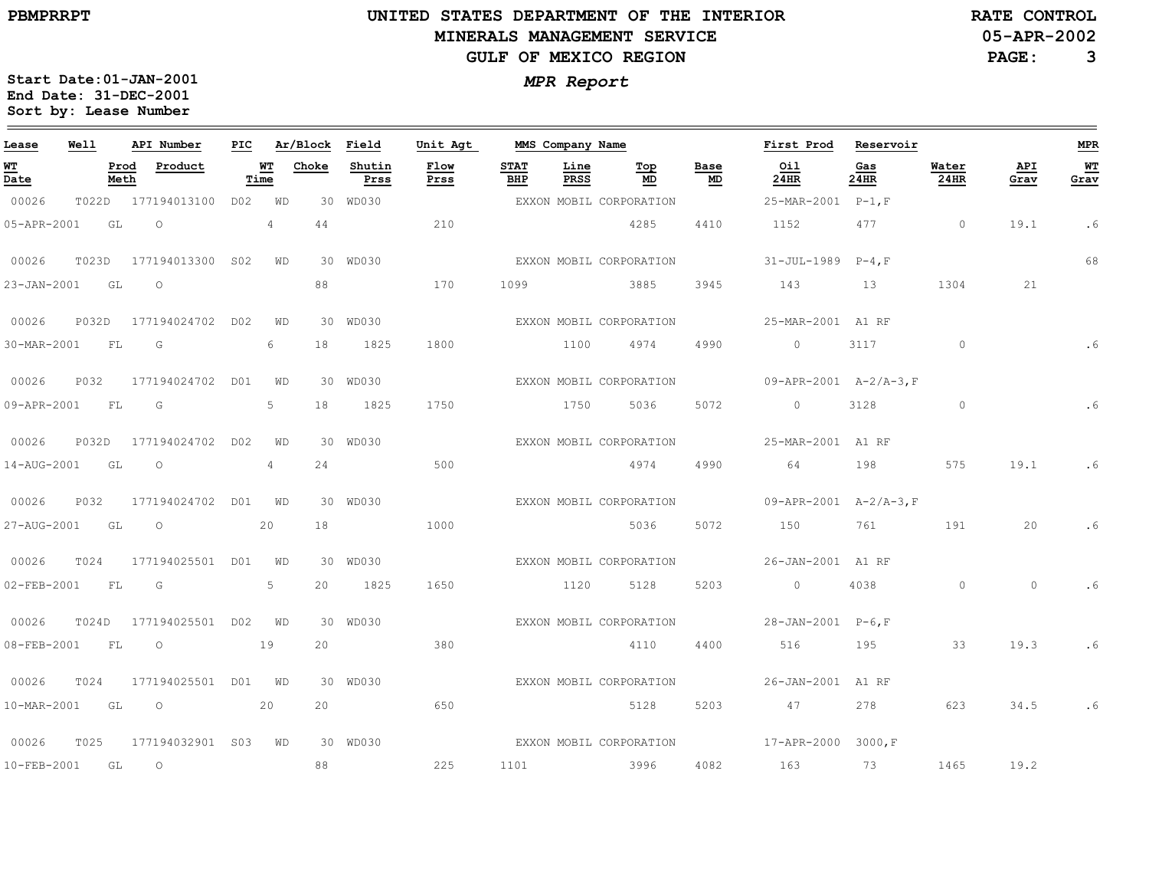$\equiv$ 

# **UNITED STATES DEPARTMENT OF THE INTERIOR MINERALS MANAGEMENT SERVICEGULF OF MEXICO REGION**

**RATE CONTROL**

**05-APR-2002**

**PAGE: 3**

| Lease                                   | Well  | API Number              | PIC             |                                   | Ar/Block | Field          | Unit Agt     | MMS Company Name   |                     |                         |            | First Prod                          | Reservoir   |               |             | ${\tt MPR}$ |
|-----------------------------------------|-------|-------------------------|-----------------|-----------------------------------|----------|----------------|--------------|--------------------|---------------------|-------------------------|------------|-------------------------------------|-------------|---------------|-------------|-------------|
| <u>WТ</u><br>$\overline{\mathtt{Date}}$ |       | Prod<br>Product<br>Meth |                 | $\underline{\texttt{WT}}$<br>Time | Choke    | Shutin<br>Prss | Flow<br>Prss | <b>STAT</b><br>BHP | Line<br><b>PRSS</b> | Top<br>MD               | Base<br>MD | Oil<br>24HR                         | Gas<br>24HR | Water<br>24HR | API<br>Grav | WT<br>Grav  |
| 00026                                   | T022D | 177194013100            | D02             | WD                                |          | 30 WD030       |              |                    |                     | EXXON MOBIL CORPORATION |            | 25-MAR-2001                         | $P-1, F$    |               |             |             |
| 05-APR-2001                             | GL    | $\circ$                 |                 | $\overline{4}$                    | 44       |                | 210          |                    |                     | 4285                    | 4410       | 1152                                | 477         | $\circ$       | 19.1        | . 6         |
| 00026                                   | T023D | 177194013300            | S <sub>02</sub> | WD                                |          | 30 WD030       |              |                    |                     | EXXON MOBIL CORPORATION |            | $31 - JUL - 1989$                   | $P-4$ , F   |               |             | 68          |
| 23-JAN-2001                             | GL    | $\circ$                 |                 |                                   | 88       |                | 170          | 1099               |                     | 3885                    | 3945       | 143                                 | 13          | 1304          | 21          |             |
| 00026                                   | P032D | 177194024702            | D02             | WD                                |          | 30 WD030       |              |                    |                     | EXXON MOBIL CORPORATION |            | 25-MAR-2001 A1 RF                   |             |               |             |             |
| 30-MAR-2001                             | FL    | G                       |                 | 6                                 | 18       | 1825           | 1800         |                    | 1100                | 4974                    | 4990       | $\circ$                             | 3117        | $\circ$       |             | . 6         |
| 00026                                   | P032  | 177194024702            | DO1             | WD                                |          | 30 WD030       |              |                    |                     | EXXON MOBIL CORPORATION |            | $09 - APR - 2001$ $A - 2/A - 3$ , F |             |               |             |             |
| 09-APR-2001                             | FL    | G                       |                 | 5                                 | 18       | 1825           | 1750         |                    | 1750                | 5036                    | 5072       | $\circ$                             | 3128        | $\circ$       |             | .6          |
| 00026                                   | P032D | 177194024702            | D <sub>02</sub> | WD                                |          | 30 WD030       |              |                    |                     | EXXON MOBIL CORPORATION |            | 25-MAR-2001 A1 RF                   |             |               |             |             |
| 14-AUG-2001                             | GL    | $\circ$                 |                 | 4                                 | 24       |                | 500          |                    |                     | 4974                    | 4990       | 64                                  | 198         | 575           | 19.1        | . 6         |
| 00026                                   | P032  | 177194024702            | DO1             | WD                                |          | 30 WD030       |              |                    |                     | EXXON MOBIL CORPORATION |            | 09-APR-2001 A-2/A-3.F               |             |               |             |             |
| 27-AUG-2001                             | GL    | $\circ$                 |                 | 20                                | 18       |                | 1000         |                    |                     | 5036                    | 5072       | 150                                 | 761         | 191           | 20          | . 6         |
| 00026                                   | T024  | 177194025501            | DO1             | WD                                |          | 30 WD030       |              |                    |                     | EXXON MOBIL CORPORATION |            | 26-JAN-2001 A1 RF                   |             |               |             |             |
| $02 - FEB - 2001$                       | FL    | G                       |                 | 5                                 | 20       | 1825           | 1650         |                    | 1120                | 5128                    | 5203       | $\circ$                             | 4038        | $\circ$       | $\circ$     |             |
| 00026                                   | TO24D | 177194025501            | D02             | WD                                |          | 30 WD030       |              |                    |                     | EXXON MOBIL CORPORATION |            | 28-JAN-2001 P-6, F                  |             |               |             |             |
| 08-FEB-2001                             | FL    | $\circlearrowright$     |                 | 19                                | 20       |                | 380          |                    |                     | 4110                    | 4400       | 516                                 | 195         | 33            | 19.3        | . 6         |
| 00026                                   | T024  | 177194025501            | DO1             | WD                                |          | 30 WD030       |              |                    |                     | EXXON MOBIL CORPORATION |            | 26-JAN-2001                         | A1 RF       |               |             |             |
| 10-MAR-2001                             | GL    | $\circ$                 |                 | 20                                | 20       |                | 650          |                    |                     | 5128                    | 5203       | 47                                  | 278         | 623           | 34.5        | . 6         |
| 00026                                   | T025  | 177194032901 S03        |                 | <b>WD</b>                         |          | 30 WD030       |              |                    |                     | EXXON MOBIL CORPORATION |            | 17-APR-2000 3000, F                 |             |               |             |             |
| 10-FEB-2001                             | GL    | $\circ$                 |                 |                                   | 88       |                | 225          | 1101               |                     | 3996                    | 4082       | 163                                 | 73          | 1465          | 19.2        |             |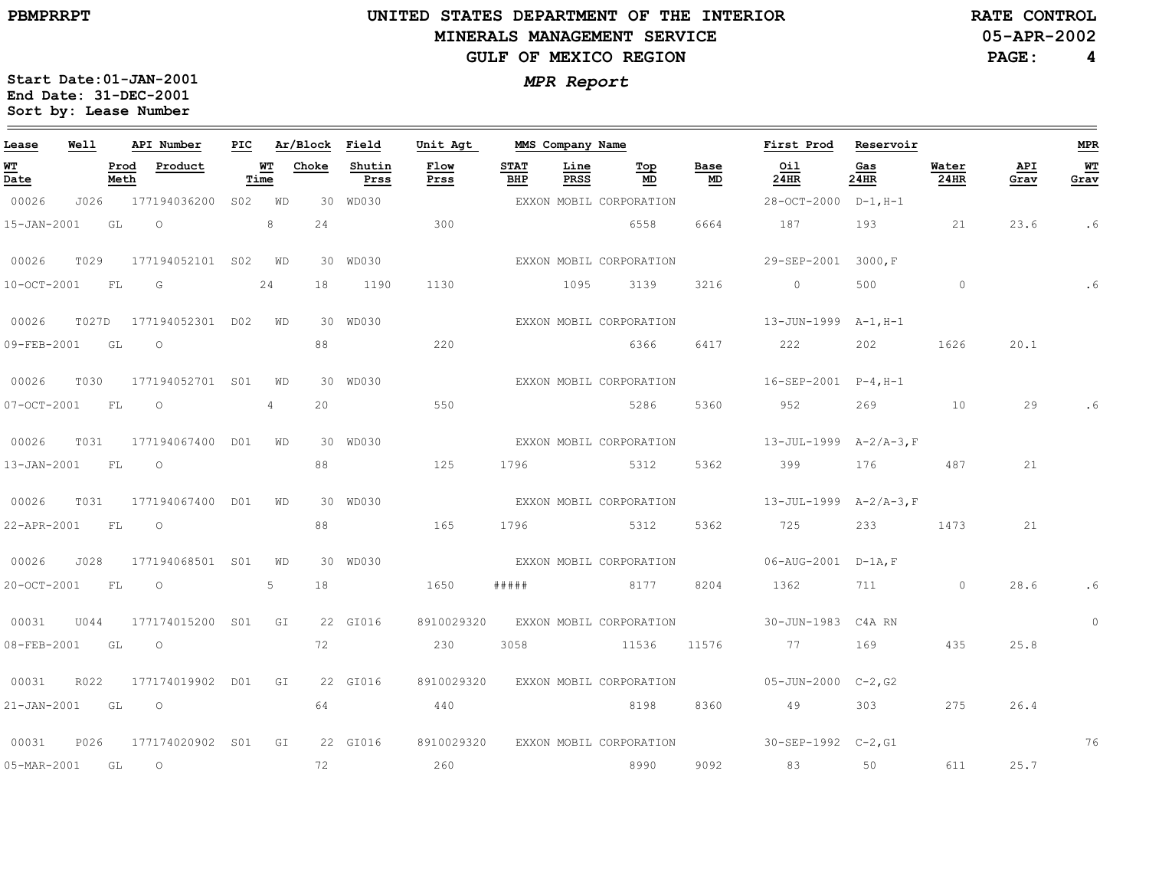$\equiv$ 

# **UNITED STATES DEPARTMENT OF THE INTERIOR MINERALS MANAGEMENT SERVICEGULF OF MEXICO REGION**

**RATE CONTROL**

**05-APR-2002**

**PAGE: 4**

| Lease             | Well  |              | API Number       | PIC |            | Ar/Block | Field          | Unit Agt     | MMS Company Name   |              |                         |            | First Prod                         | Reservoir      |               |             | <b>MPR</b>   |
|-------------------|-------|--------------|------------------|-----|------------|----------|----------------|--------------|--------------------|--------------|-------------------------|------------|------------------------------------|----------------|---------------|-------------|--------------|
| <u>WТ</u><br>Date |       | Prod<br>Meth | Product          |     | WТ<br>Time | Choke    | Shutin<br>Prss | Flow<br>Prss | <b>STAT</b><br>BHP | Line<br>PRSS | Top<br>MD               | Base<br>MD | Oil<br>24HR                        | Gas<br>24HR    | Water<br>24HR | API<br>Grav | $WT$<br>Grav |
| 00026             | J026  |              | 177194036200     | S02 | WD         |          | 30 WD030       |              |                    |              | EXXON MOBIL CORPORATION |            | 28-OCT-2000                        | $D-1$ , H $-1$ |               |             |              |
| 15-JAN-2001       |       | GL           | $\circ$          |     | 8          | 24       |                | 300          |                    |              | 6558                    | 6664       | 187                                | 193            | 21            | 23.6        | . 6          |
| 00026             | T029  |              | 177194052101 S02 |     | WD         |          | 30 WD030       |              |                    |              | EXXON MOBIL CORPORATION |            | 29-SEP-2001 3000, F                |                |               |             |              |
| 10-OCT-2001       |       | FL           | G                |     | 24         | 18       | 1190           | 1130         |                    | 1095         | 3139                    | 3216       | $\circ$                            | 500            | $\circ$       |             | . 6          |
| 00026             | T027D |              | 177194052301 D02 |     | WD         |          | 30 WD030       |              |                    |              | EXXON MOBIL CORPORATION |            | 13-JUN-1999 A-1, H-1               |                |               |             |              |
| 09-FEB-2001       |       | GL           | $\circ$          |     |            | 88       |                | 220          |                    |              | 6366                    | 6417       | 222                                | 202            | 1626          | 20.1        |              |
| 00026             | T030  |              | 177194052701 S01 |     | WD         |          | 30 WD030       |              |                    |              | EXXON MOBIL CORPORATION |            | $16 - SEP - 2001$ $P - 4, H - 1$   |                |               |             |              |
| $07 - OCT - 2001$ |       | FL           | $\circ$          |     | 4          | 20       |                | 550          |                    |              | 5286                    | 5360       | 952                                | 269            | 10            | 29          |              |
| 00026             | T031  |              | 177194067400 D01 |     | WD         |          | 30 WD030       |              |                    |              | EXXON MOBIL CORPORATION |            | $13-JUL-1999$ $A-2/A-3,F$          |                |               |             |              |
| 13-JAN-2001       |       | FL           | $\circ$          |     |            | 88       |                | 125          | 1796               |              | 5312                    | 5362       | 399                                | 176            | 487           | 21          |              |
| 00026             | T031  |              | 177194067400 D01 |     | WD         |          | 30 WD030       |              |                    |              | EXXON MOBIL CORPORATION |            | $13 - JUL - 1999$ $A - 2/A - 3, F$ |                |               |             |              |
| 22-APR-2001       |       | FL           | $\circ$          |     |            | 88       |                | 165          | 1796               |              | 5312                    | 5362       | 725                                | 233            | 1473          | 21          |              |
| 00026             | J028  |              | 177194068501 S01 |     | WD         |          | 30 WD030       |              |                    |              | EXXON MOBIL CORPORATION |            | $06 - AUG - 2001$ $D - 1A$ , F     |                |               |             |              |
| 20-OCT-2001       |       | FL           | $\circ$          |     | 5          | 18       |                | 1650         | # # # # #          |              | 8177                    | 8204       | 1362                               | 711 711        | $\circ$       | 28.6        |              |
| 00031             | U044  |              | 177174015200 S01 |     | GI         |          | 22 GI016       | 8910029320   |                    |              | EXXON MOBIL CORPORATION |            | 30-JUN-1983 C4A RN                 |                |               |             | $\Omega$     |
| 08-FEB-2001       |       | GL           | $\circ$          |     |            | 72       |                | 230          | 3058               |              | 11536                   | 11576      | 77                                 | 169            | 435           | 25.8        |              |
| 00031             | R022  |              | 177174019902     | DO1 | GI         |          | 22 GI016       | 8910029320   |                    |              | EXXON MOBIL CORPORATION |            | 05-JUN-2000 C-2,G2                 |                |               |             |              |
| 21-JAN-2001       |       | GL           | $\circ$          |     |            | 64       |                | 440          |                    |              | 8198                    | 8360       | 49                                 | 303            | 275           | 26.4        |              |
| 00031             | P026  |              | 177174020902 S01 |     | GI         |          | 22 GI016       | 8910029320   |                    |              | EXXON MOBIL CORPORATION |            | $30 - SEP - 1992$ $C - 2, G1$      |                |               |             | 76           |
| 05-MAR-2001       |       | GL           | $\circ$          |     |            | 72       |                | 260          |                    |              | 8990                    | 9092       | 83                                 | 50             | 611           | 25.7        |              |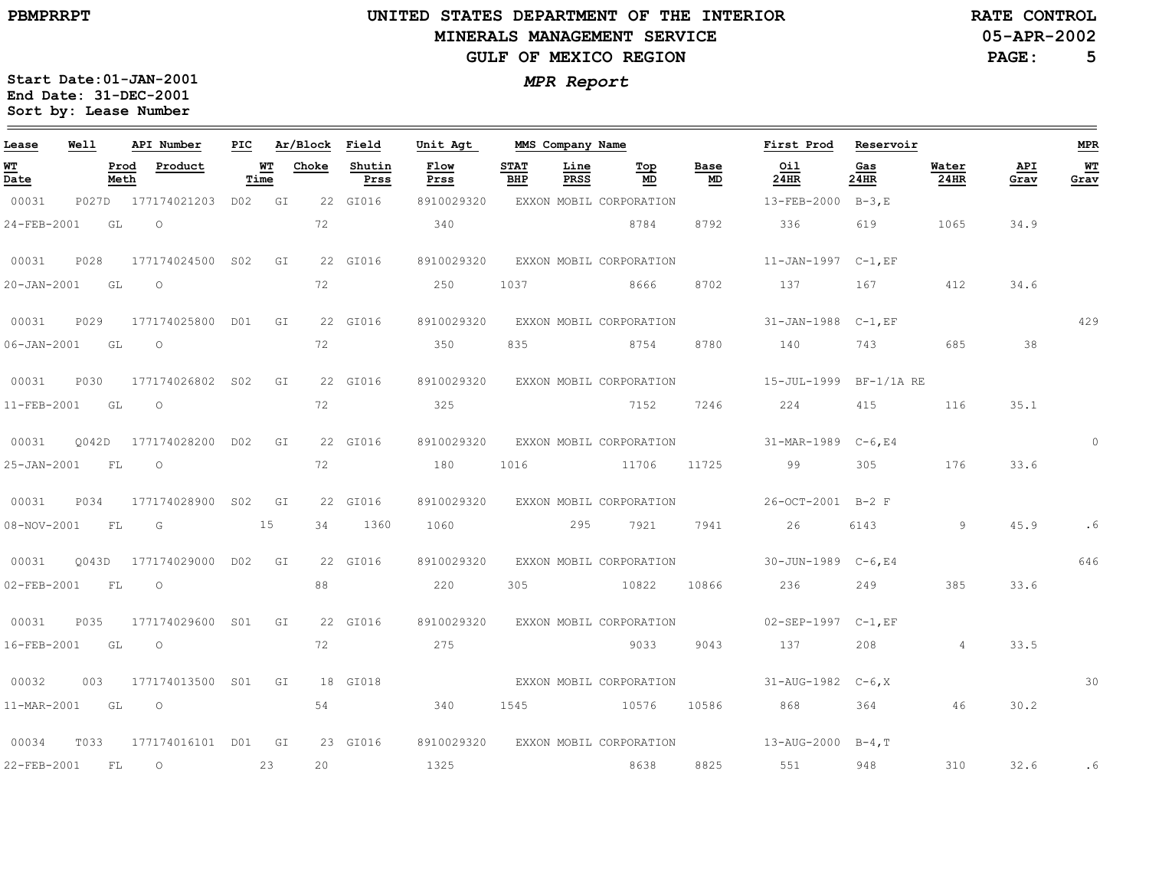## **UNITED STATES DEPARTMENT OF THE INTERIOR MINERALS MANAGEMENT SERVICEGULF OF MEXICO REGION**

**05-APR-2002RATE CONTROL**

**PAGE: 5**

| Lease             | Well  |              | API Number          | PIC             |    | Ar/Block | Field          | Unit Agt     | MMS Company Name   |              |                         |            | First Prod                       | Reservoir    |                |             | <b>MPR</b> |
|-------------------|-------|--------------|---------------------|-----------------|----|----------|----------------|--------------|--------------------|--------------|-------------------------|------------|----------------------------------|--------------|----------------|-------------|------------|
| WT<br>Date        |       | Prod<br>Meth | Product             | Time            | WT | Choke    | Shutin<br>Prss | Flow<br>Prss | <b>STAT</b><br>BHP | Line<br>PRSS | Top<br>MD               | Base<br>MD | Oil<br>24HR                      | Gas<br>24HR  | Water<br>24HR  | API<br>Grav | WT<br>Grav |
| 00031             | P027D |              | 177174021203        | D02 GI          |    |          | 22 GI016       | 8910029320   |                    |              | EXXON MOBIL CORPORATION |            | 13-FEB-2000                      | $B-3.E$      |                |             |            |
| 24-FEB-2001       |       | GL           | $\circ$             |                 |    | 72       |                | 340          |                    |              | 8784                    | 8792       | 336                              | 619          | 1065           | 34.9        |            |
| 00031             | P028  |              | 177174024500        | S02             | GI |          | 22 GI016       | 8910029320   |                    |              | EXXON MOBIL CORPORATION |            | 11-JAN-1997 C-1, EF              |              |                |             |            |
| 20-JAN-2001       |       | GL           | $\circ$             |                 |    | 72       |                | 250          | 1037               |              | 8666                    | 8702       | 137                              | 167          | 412            | 34.6        |            |
| 00031             | P029  |              | 177174025800 D01    |                 | GI |          | 22 GI016       | 8910029320   |                    |              | EXXON MOBIL CORPORATION |            | 31-JAN-1988 C-1, EF              |              |                |             | 429        |
| $06 - JAN - 2001$ | GL    |              | $\circ$             |                 |    | 72       |                | 350          | 835                |              | 8754                    | 8780       | 140                              | 743          | 685            | 38          |            |
| 00031             | P030  |              | 177174026802 S02    |                 | GI |          | 22 GI016       | 8910029320   |                    |              | EXXON MOBIL CORPORATION |            | 15-JUL-1999                      | $BF-1/1A$ RE |                |             |            |
| 11-FEB-2001       |       | GL           | $\circ$             |                 |    | 72       |                | 325          |                    |              | 7152                    | 7246       | 224                              | 415          | 116            | 35.1        |            |
| 00031             | 0042D |              | 177174028200        | D02             | GI |          | 22 GI016       | 8910029320   |                    |              | EXXON MOBIL CORPORATION |            | 31-MAR-1989                      | $C-6$ , E4   |                |             | $\Omega$   |
| 25-JAN-2001       |       | FL           | $\circ$             |                 |    | 72       |                | 180          | 1016               |              | 11706                   | 11725      | 99                               | 305          | 176            | 33.6        |            |
| 00031             | P034  |              | 177174028900        | S <sub>02</sub> | GI |          | 22 GI016       | 8910029320   |                    |              | EXXON MOBIL CORPORATION |            | 26-OCT-2001                      | $B-2$ F      |                |             |            |
| 08-NOV-2001       |       | FL           | G                   |                 | 15 | 34       | 1360           | 1060         |                    | 295          | 7921                    | 7941       | 26                               | 6143         | 9              | 45.9        | . 6        |
| 00031             | O043D |              | 177174029000        | DO2 GI          |    |          | 22 GI016       | 8910029320   |                    |              | EXXON MOBIL CORPORATION |            | 30-JUN-1989 C-6, E4              |              |                |             | 646        |
| 02-FEB-2001       |       | FL           | $\circ$             |                 |    | 88       |                | 220          | 305                |              | 10822                   | 10866      | 236                              | 249          | 385            | 33.6        |            |
| 00031             | P035  |              | 177174029600 S01    |                 | GI |          | 22 GI016       | 8910029320   |                    |              | EXXON MOBIL CORPORATION |            | $02 - SEP - 1997$ $C - 1$ , $EF$ |              |                |             |            |
| 16-FEB-2001       |       | GL           | $\circ$             |                 |    | 72       |                | 275          |                    |              | 9033                    | 9043       | 137                              | 208          | $\overline{4}$ | 33.5        |            |
| 00032             | 003   |              | 177174013500 S01    |                 | GI |          | 18 GI018       |              |                    |              | EXXON MOBIL CORPORATION |            | $31 - AUG - 1982$ $C - 6, X$     |              |                |             | 30         |
| 11-MAR-2001       | GL    |              | $\circ$             |                 |    | 54       |                | 340          | 1545               |              | 10576                   | 10586      | 868                              | 364          | 46             | 30.2        |            |
| 00034             | T033  |              | 177174016101 D01    |                 | GI |          | 23 GI016       | 8910029320   |                    |              | EXXON MOBIL CORPORATION |            | $13 - \text{AUG} - 2000$ B-4, T  |              |                |             |            |
| 22-FEB-2001       |       | FL           | $\circlearrowright$ |                 | 23 | 20       |                | 1325         |                    |              | 8638                    | 8825       | 551                              | 948          | 310            | 32.6        | .6         |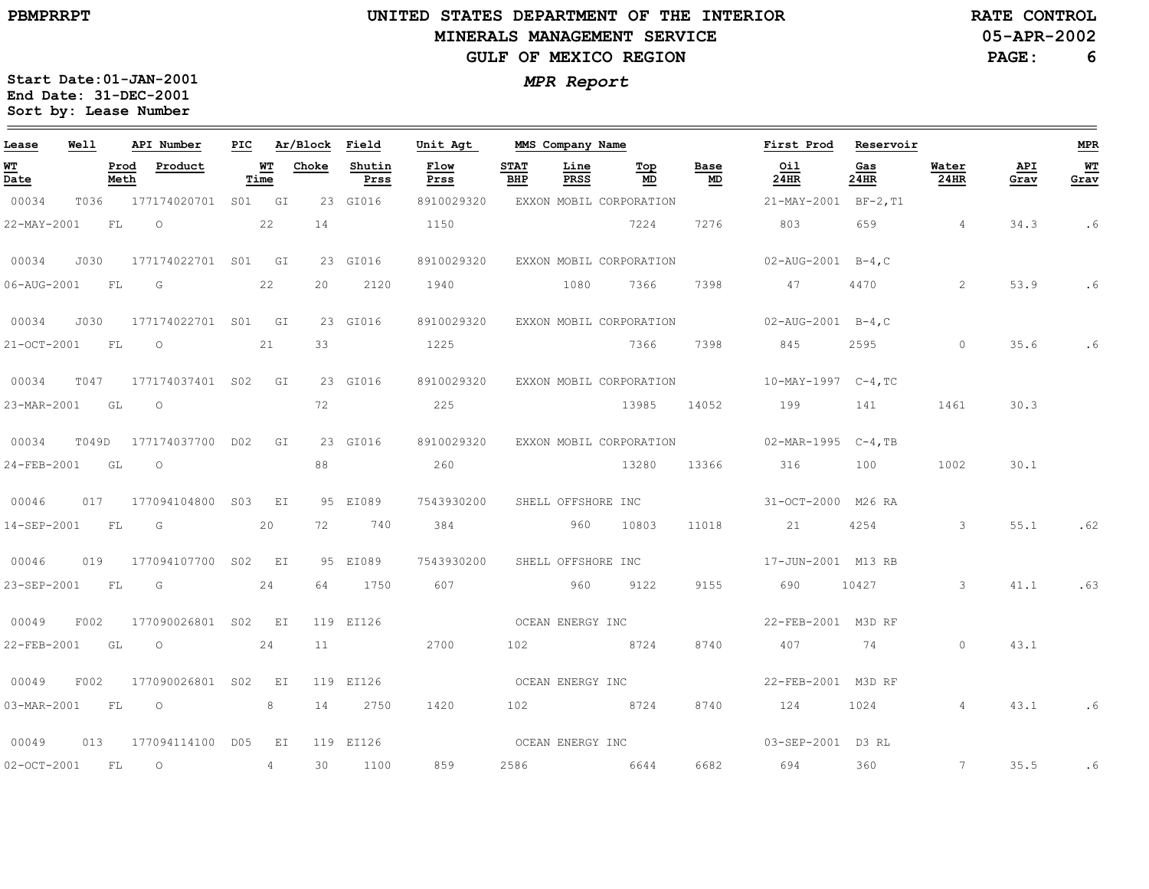# **UNITED STATES DEPARTMENT OF THE INTERIOR MINERALS MANAGEMENT SERVICEGULF OF MEXICO REGION**

**RATE CONTROL**

**05-APR-2002**

**PAGE:6**

| Lease            | Well |              | API Number                |                 | PIC Ar/Block Field |                | Unit Agt                      | MMS Company Name   |              |                                    |            | First Prod Reservoir                                   |                 |                  |             | <b>MPR</b> |
|------------------|------|--------------|---------------------------|-----------------|--------------------|----------------|-------------------------------|--------------------|--------------|------------------------------------|------------|--------------------------------------------------------|-----------------|------------------|-------------|------------|
| WT<br>Date       |      | Prod<br>Meth | Product                   | Time            | <b>WT</b> Choke    | Shutin<br>Prss | Flow<br>Prss                  | <b>STAT</b><br>BHP | Line<br>PRSS | Top<br>MD                          | Base<br>MD | Oil<br>24HR                                            | Gas<br>24HR     | Water<br>$24$ HR | API<br>Grav | WT<br>Grav |
| 00034            | T036 |              | 177174020701 S01 GI       |                 |                    | 23 GI016       | 8910029320                    |                    |              | EXXON MOBIL CORPORATION            |            | $21 - \text{MAX} - 2001$ BF-2, T1                      |                 |                  |             |            |
| 22-MAY-2001      |      | - FL         | $\circ$                   | 22              | 14                 |                | 1150                          |                    |              | 7224                               | 7276       | 803 659 4                                              |                 |                  | 34.3        | .6         |
| 00034            | J030 |              | 177174022701 S01 GI       |                 |                    | 23 GI016       |                               |                    |              | 8910029320 EXXON MOBIL CORPORATION |            | $02 - AUG - 2001$ B-4, C                               |                 |                  |             |            |
| 06-AUG-2001 FL G |      |              |                           | 22              | 20                 | 2120           | 1940 1080                     |                    |              | 7366 7398                          |            | 47                                                     | 4470 and $4470$ | 2                | 53.9        | .6         |
| 00034            | J030 |              | 177174022701 S01 GI       |                 |                    | 23 GI016       | 8910029320                    |                    |              |                                    |            | EXXON MOBIL CORPORATION 02-AUG-2001 B-4,C              |                 |                  |             |            |
| 21-OCT-2001 FL   |      |              | $\overline{O}$<br>21      |                 | 33                 |                | 1225                          |                    |              |                                    |            | 7366 7398 845                                          | 2595 0          |                  | 35.6        | . 6        |
| 00034            |      |              | T047 177174037401 S02 GI  |                 |                    | 23 GI016       |                               |                    |              |                                    |            | 8910029320 EXXON MOBIL CORPORATION 10-MAY-1997 C-4, TC |                 |                  |             |            |
| 23-MAR-2001 GL O |      |              |                           |                 | 72                 |                | 225                           |                    |              | 13985                              |            | 14052 199 141 1461                                     |                 |                  | 30.3        |            |
| 00034            |      |              | T049D 177174037700 D02 GI |                 |                    | 23 GI016       |                               |                    |              |                                    |            | 8910029320 EXXON MOBIL CORPORATION 02-MAR-1995 C-4, TB |                 |                  |             |            |
| 24-FEB-2001 GL   |      |              | $\overline{O}$            |                 | 88                 |                | 260                           |                    |              |                                    |            | 13280 13366 316 100 1002                               |                 |                  | 30.1        |            |
| 00046            |      |              | 017 177094104800 S03 EI   |                 |                    | 95 EI089       | 7543930200 SHELL OFFSHORE INC |                    |              |                                    |            | 31-0CT-2000 M26 RA                                     |                 |                  |             |            |
|                  |      |              | 14-SEP-2001 FL G 20       |                 |                    | 72 740         | 384                           |                    |              | 960 10803                          | 11018      | 21 4254 3                                              |                 |                  | 55.1        | .62        |
| 00046            |      |              | 019 177094107700 S02 EI   |                 |                    | 95 EI089       |                               |                    |              |                                    |            | 7543930200 SHELL OFFSHORE INC 17-JUN-2001 M13 RB       |                 |                  |             |            |
| 23-SEP-2001 FL   |      |              | $\mathbb G$               | 24              |                    | 64 1750        | 607                           |                    |              | 960 9122                           | 9155       | 690 10427 3                                            |                 |                  | 41.1        | .63        |
| 00049            | F002 |              | 177090026801 S02 EI       |                 |                    | 119 EI126      |                               | OCEAN ENERGY INC   |              |                                    |            | 22-FEB-2001 M3D RF                                     |                 |                  |             |            |
| 22-FEB-2001      |      | GL           | $\overline{O}$<br>24      |                 | 11                 |                | 2700                          |                    |              | 102 8724                           | 8740       | 407 74                                                 |                 | $\circ$          | 43.1        |            |
| 00049            | F002 |              | 177090026801 S02 EI       |                 |                    | 119 EI126      |                               |                    |              | OCEAN ENERGY INC                   |            | 22-FEB-2001 M3D RF                                     |                 |                  |             |            |
| 03-MAR-2001 FL   |      |              | $\overline{O}$            | 8               |                    | 14 2750        | 1420                          |                    |              | 102 8724                           | 8740       | 124                                                    | 1024            | $\overline{4}$   | 43.1        | . 6        |
| 00049            |      |              | 013 177094114100 D05 EI   |                 |                    | 119 EI126      |                               | OCEAN ENERGY INC   |              |                                    |            | 03-SEP-2001 D3 RL                                      |                 |                  |             |            |
| 02-OCT-2001 FL O |      |              |                           | $4\overline{ }$ | 30                 | 1100           | 859                           |                    |              | 2586 6644                          |            | 6682 694 360                                           |                 | $\sim$ 7         | 35.5        | .6         |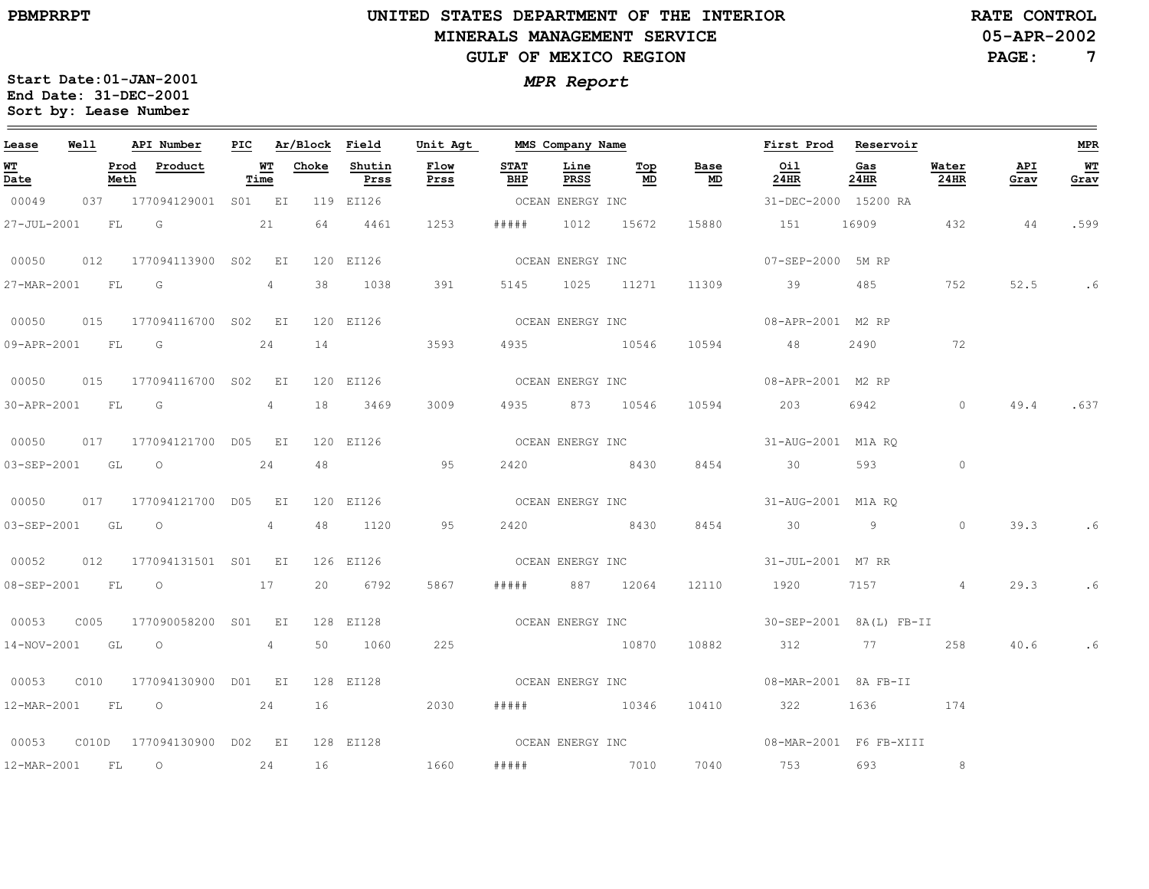## **UNITED STATES DEPARTMENT OF THE INTERIOR MINERALS MANAGEMENT SERVICEGULF OF MEXICO REGION**

**05-APR-2002RATE CONTROL**

**PAGE:7**

| Lease                                 | Well |      | API Number                        |                 | PIC Ar/Block Field |                | Unit Agt                    |                    |                  | MMS Company Name      |                                   | First Prod Reservoir                              |             |                      |             | <b>MPR</b> |
|---------------------------------------|------|------|-----------------------------------|-----------------|--------------------|----------------|-----------------------------|--------------------|------------------|-----------------------|-----------------------------------|---------------------------------------------------|-------------|----------------------|-------------|------------|
| <b>WT</b><br>$\overline{\text{Date}}$ |      | Meth | Prod Product                      | Time            | <b>WT</b> Choke    | Shutin<br>Prss | Flow<br>Prss                | <b>STAT</b><br>BHP | Line<br>PRSS     | Top<br>MD             | Base<br>$\underline{\mathsf{MD}}$ | Oil<br>24HR                                       | Gas<br>24HR | Water<br><b>24HR</b> | API<br>Grav | WT<br>Grav |
| 00049                                 |      |      | 037 177094129001 S01 EI           |                 |                    | 119 EI126      |                             |                    |                  |                       | OCEAN ENERGY INC                  | 31-DEC-2000 15200 RA                              |             |                      |             |            |
|                                       |      |      | 27-JUL-2001 FL G 21               |                 |                    | 64 4461        | 1253                        |                    | ##### 1012 15672 |                       | 15880                             | 151 16909 432                                     |             |                      | 44          | .599       |
| 00050                                 |      |      | 012 177094113900 S02 EI           |                 |                    | 120 EI126      |                             | OCEAN ENERGY INC   |                  |                       |                                   | 07-SEP-2000 5M RP                                 |             |                      |             |            |
| 27-MAR-2001 FL G                      |      |      |                                   | $4\overline{ }$ |                    | 38 1038        | 391                         |                    |                  | 5145 1025 11271 11309 |                                   | 39 485                                            |             | 752                  | 52.5        | .6         |
| 00050                                 |      |      | 015 177094116700 S02 EI           |                 |                    | 120 EI126      |                             |                    |                  |                       |                                   | OCEAN ENERGY INC 08-APR-2001 M2 RP                |             |                      |             |            |
|                                       |      |      | 09-APR-2001 FL G 24               |                 |                    | 14 3593        |                             |                    |                  | 4935 10546            | 10594                             | 48                                                | 2490        | 72                   |             |            |
| 00050                                 |      |      | 015 177094116700 S02 EI           |                 |                    | 120 EI126      |                             |                    | OCEAN ENERGY INC |                       |                                   | 08-APR-2001 M2 RP                                 |             |                      |             |            |
| 30-APR-2001 FL                        |      |      | $\overline{\mathsf{G}}$           | 4               |                    | 18 3469        | 3009                        |                    |                  | 4935 873 10546        |                                   | 10594 203 6942                                    |             | $\sim$ 0             |             | 49.4 .637  |
|                                       |      |      | 00050 017 177094121700 D05 EI     |                 |                    | 120 EI126      |                             |                    |                  |                       | OCEAN ENERGY INC                  | 31-AUG-2001 M1A RO                                |             |                      |             |            |
|                                       |      |      | 03-SEP-2001 GL O                  | 24              | 48                 |                | 95                          |                    |                  | 2420 8430             | 8454                              | 30                                                | 593 0       |                      |             |            |
| 00050                                 |      |      | 017 177094121700 D05 EI           |                 |                    | 120 EI126      | OCEAN ENERGY INC            |                    |                  |                       |                                   | 31-AUG-2001 M1A RO                                |             |                      |             |            |
| 03-SEP-2001 GL                        |      |      | $\overline{\phantom{0}}$          | 4               | 48                 | 1120           | 95                          | 2420               | 8430             |                       | 8454                              | 30                                                | $9 \t 0$    |                      | 39.3        | .6         |
|                                       |      |      | 00052  012  177094131501  S01  EI |                 |                    | 126 EI126      |                             |                    |                  |                       | OCEAN ENERGY INC                  | 31-JUL-2001 M7 RR                                 |             |                      |             |            |
|                                       |      |      | 08-SEP-2001 FL 0 17               |                 |                    | 20 6792        | 5867                        | # # # # #          | 887 12064        |                       | 12110                             | 1920 7157 4                                       |             |                      | 29.3        | . 6        |
| 00053                                 | C005 |      | 177090058200 S01 EI               |                 |                    |                | 128 EI128 COCEAN ENERGY INC |                    |                  |                       |                                   | 30-SEP-2001 8A(L) FB-II                           |             |                      |             |            |
| 14-NOV-2001 GL O                      |      |      |                                   | $4\overline{ }$ |                    | 50 1060        | 225                         |                    | 10870            |                       | 10882                             | 312 77 258                                        |             |                      | 40.6        | .6         |
| 00053                                 |      |      | C010 177094130900 D01 EI          |                 |                    | 128 EI128      |                             |                    |                  |                       |                                   | OCEAN ENERGY INC 608-MAR-2001 8A FB-II            |             |                      |             |            |
|                                       |      |      | 12-MAR-2001 FL 0 24               |                 |                    | 16             | 2030                        |                    |                  | ##### 10346           | 10410                             | 322 1636 174                                      |             |                      |             |            |
|                                       |      |      |                                   |                 |                    |                |                             |                    |                  |                       |                                   | 128 EI128 COEAN ENERGY INC 08-MAR-2001 F6 FB-XIII |             |                      |             |            |
| 12-MAR-2001 FL 0                      |      |      | 24                                |                 | 16                 | 1660           |                             |                    |                  | ##### 7010            | 7040                              | 753                                               | 693         | 8                    |             |            |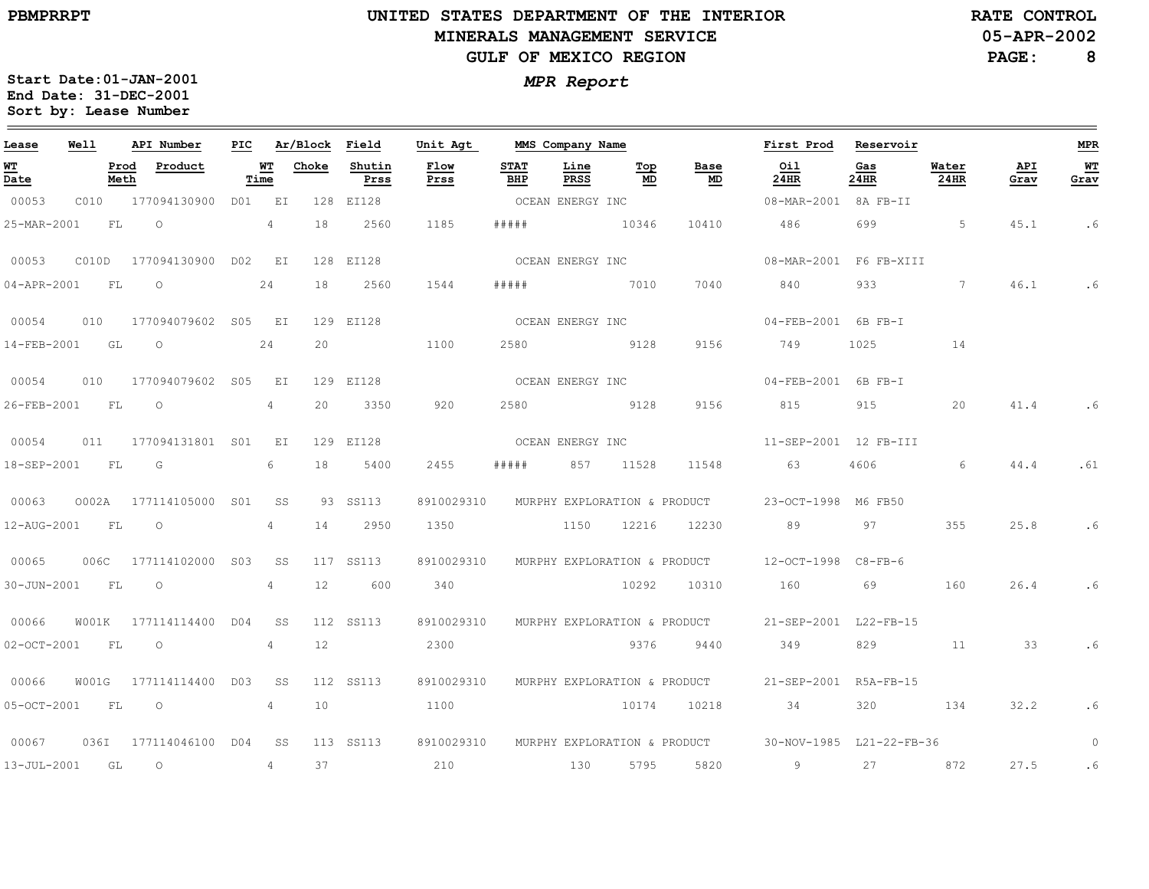$\qquad \qquad =$ 

# **UNITED STATES DEPARTMENT OF THE INTERIORMINERALS MANAGEMENT SERVICEGULF OF MEXICO REGION**

**MMS Company Name**

**RATE CONTROL**

**05-APR-2002**

**PAGE:8**

**MPR**

 $\equiv$ 

**WT Grav**

.6

.6

.6

.61

.6

.6

.6

0

.6

.6

**Start Date:01-JAN-2001** *MPR Report* **End Date: 31-DEC-2001 Sort by: Lease Number** 

**API Number**

**PIC**

**Ar/Block Field**

**Unit Agt** 

**Well**

| Lease                                  | Well  |              | API Number            | PIC             |                 | Ar/Block        | Field          | Unit Agt     |                    | MMS Company Name |                              |                                   | First Prod                                            | Reservoir   |               |             |
|----------------------------------------|-------|--------------|-----------------------|-----------------|-----------------|-----------------|----------------|--------------|--------------------|------------------|------------------------------|-----------------------------------|-------------------------------------------------------|-------------|---------------|-------------|
| <u> WТ</u><br>$\overline{\text{Date}}$ |       | Prod<br>Meth | Product               |                 | WТ<br>Time      | Choke           | Shutin<br>Prss | Flow<br>Prss | <b>STAT</b><br>BHP | Line<br>PRSS     | Тор<br>MD                    | Base<br>$\underline{\mathsf{MD}}$ | Oil<br>24HR                                           | Gas<br>24HR | Water<br>24HR | API<br>Grav |
| 00053                                  | C010  |              | 177094130900          |                 | D01 EI          | 128             | EI128          |              | OCEAN ENERGY INC   |                  |                              |                                   | 08-MAR-2001 8A FB-II                                  |             |               |             |
| 25-MAR-2001                            |       | FL           | $\circ$               |                 | 4               | 18              | 2560           | 1185         | # # # # #          |                  | 10346                        | 10410                             | 486                                                   | 699         | 5             | 45.1        |
| 00053                                  | C010D |              | 177094130900 D02      |                 | EI              |                 | 128 EI128      |              | OCEAN ENERGY INC   |                  |                              |                                   | 08-MAR-2001                                           | F6 FB-XIII  |               |             |
| 04-APR-2001                            |       | FL           | $\circ$               |                 | 24              | 18              | 2560           | 1544         | #####              |                  | 7010                         | 7040                              | 840                                                   | 933         | $7^{\circ}$   | 46.1        |
| 00054                                  | 010   |              | 177094079602 S05      |                 | EI              |                 | 129 EI128      |              | OCEAN ENERGY INC   |                  |                              |                                   | 04-FEB-2001 6B FB-I                                   |             |               |             |
| 14-FEB-2001                            |       | GL           | $\circ$               |                 | 24              | 20              |                | 1100         | 2580               |                  | 9128                         | 9156                              | 749                                                   | 1025        | 14            |             |
| 00054                                  | 010   |              | 177094079602          | S <sub>05</sub> | ΕI              |                 | 129 EI128      |              | OCEAN ENERGY INC   |                  |                              |                                   | 04-FEB-2001                                           | 6B FB-I     |               |             |
| 26-FEB-2001                            |       | FL           | $\circ$               |                 | 4               | 20              | 3350           | 920          | 2580               |                  | 9128                         | 9156                              | 815                                                   | 915         | 20            | 41.4        |
| 00054                                  | 011   |              | 177094131801 S01      |                 | EI              |                 | 129 EI128      |              | OCEAN ENERGY INC   |                  |                              |                                   | 11-SEP-2001 12 FB-III                                 |             |               |             |
| 18-SEP-2001                            |       | FL           | G                     |                 | 6               | 18              | 5400           | 2455         | # # # # #          | 857              | 11528                        | 11548                             | 63                                                    | 4606        | 6             | 44.4        |
| 00063                                  | 0002A |              | 177114105000          | S <sub>01</sub> | SS              |                 | 93 SS113       | 8910029310   |                    |                  |                              |                                   | MURPHY EXPLORATION & PRODUCT 23-OCT-1998              | M6 FB50     |               |             |
| 12-AUG-2001                            |       | FL           | $\circlearrowright$   |                 | 4               | 14              | 2950           | 1350         |                    | 1150             | 12216                        | 12230                             | 89                                                    | 97          | 355           | 25.8        |
| 00065                                  | 006C  |              | 177114102000          | S <sub>03</sub> | SS              |                 | 117 SS113      | 8910029310   |                    |                  |                              | MURPHY EXPLORATION & PRODUCT      | $12-OCT-1998$                                         | $C8-FB-6$   |               |             |
| 30-JUN-2001                            |       | FL           | $\circ$               |                 | 4               | 12              | 600            | 340          |                    |                  | 10292                        | 10310                             | 160                                                   | 69          | 160           | 26.4        |
| 00066                                  | W001K |              | 177114114400          | D04             | SS              |                 | 112 SS113      | 8910029310   |                    |                  | MURPHY EXPLORATION & PRODUCT |                                   | 21-SEP-2001 L22-FB-15                                 |             |               |             |
| $02 - OCT - 2001$                      |       | FL           | $\circ$               |                 | 4               | 12              |                | 2300         |                    |                  | 9376                         | 9440                              | 349                                                   | 829         | 11            | 33          |
| 00066                                  | W001G |              | 177114114400 D03      |                 | SS              |                 | 112 SS113      | 8910029310   |                    |                  |                              | MURPHY EXPLORATION & PRODUCT      | 21-SEP-2001 R5A-FB-15                                 |             |               |             |
| 05-OCT-2001                            |       | FL           | $\circ$               |                 | $4\overline{ }$ | 10 <sup>°</sup> |                | 1100         |                    |                  | 10174                        | 10218                             | 34                                                    | 320         | 134           | 32.2        |
| 00067                                  |       |              | 036I 177114046100 D04 |                 | SS              |                 | 113 SS113      | 8910029310   |                    |                  |                              |                                   | MURPHY EXPLORATION & PRODUCT 30-NOV-1985 L21-22-FB-36 |             |               |             |
| 13-JUL-2001                            | GL    |              | $\circ$               |                 | 4               | 37              |                | 210          | 130                |                  | 5795                         | 5820                              | 9                                                     | 27          | 872           | 27.5        |

**First ProdReservoir**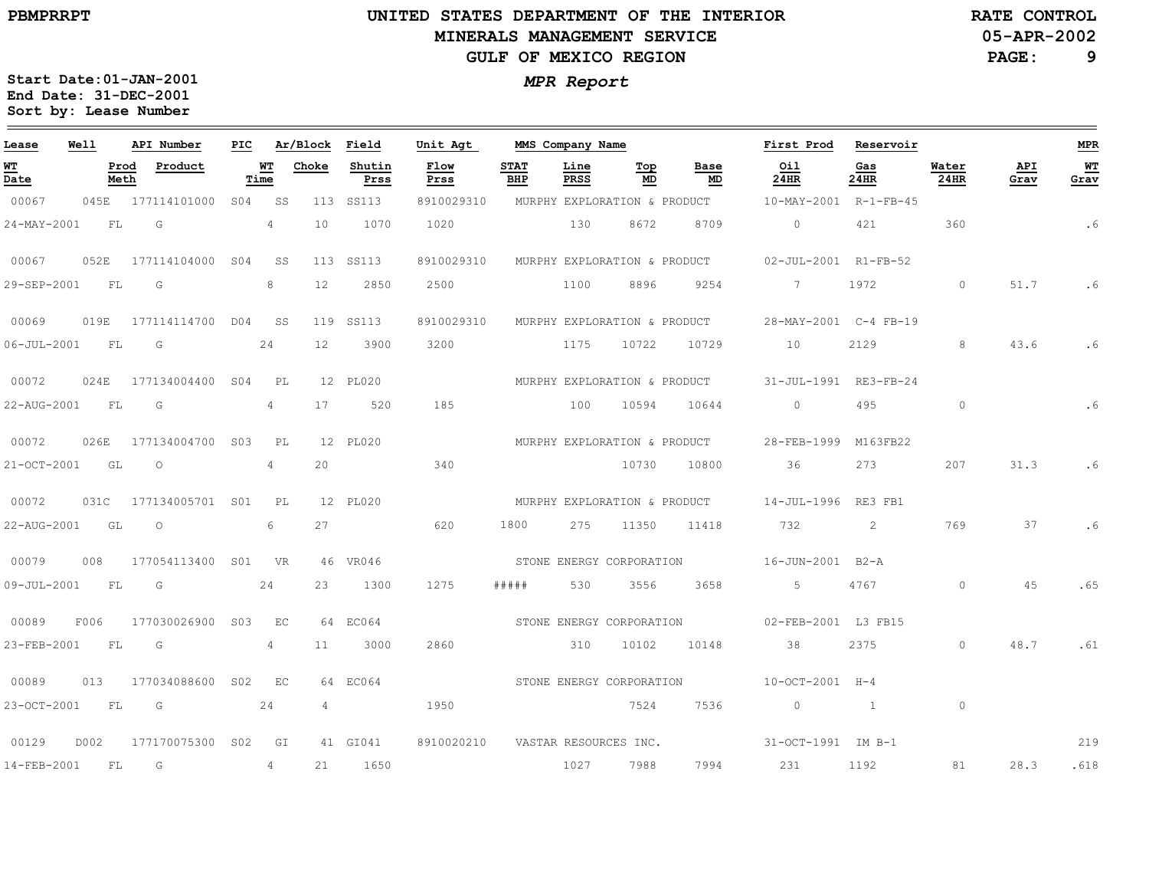# **UNITED STATES DEPARTMENT OF THE INTERIOR MINERALS MANAGEMENT SERVICEGULF OF MEXICO REGION**

**RATE CONTROL**

**PAGE: 9**

**Start Date:01-JAN-2001** *MPR Report* **End Date: 31-DEC-2001 Sort by: Lease Number** 

| Lease             | Well | API Number              | PIC             |            | Ar/Block          | Field          | Unit Agt     |                    | MMS Company Name             |           |            | First Prod            | Reservoir    |               |             | <b>MPR</b> |
|-------------------|------|-------------------------|-----------------|------------|-------------------|----------------|--------------|--------------------|------------------------------|-----------|------------|-----------------------|--------------|---------------|-------------|------------|
| WT<br>Date        |      | Prod<br>Product<br>Meth |                 | WТ<br>Time | Choke             | Shutin<br>Prss | Flow<br>Prss | <b>STAT</b><br>BHP | Line<br>PRSS                 | Top<br>MD | Base<br>MD | Oil<br>24HR           | Gas<br>24HR  | Water<br>24HR | API<br>Grav | WТ<br>Grav |
| 00067             | 045E | 177114101000            | SO <sub>4</sub> | SS         | 113               | SS113          | 8910029310   |                    | MURPHY EXPLORATION & PRODUCT |           |            | 10-MAY-2001           | R-1-FB-45    |               |             |            |
| 24-MAY-2001       | FL   | G                       |                 | 4          | 10                | 1070           | 1020         |                    | 130                          | 8672      | 8709       | $\circ$               | 421          | 360           |             | . 6        |
| 00067             | 052E | 177114104000            | S <sub>04</sub> | SS         | 113               | SS113          | 8910029310   |                    | MURPHY EXPLORATION & PRODUCT |           |            | 02-JUL-2001 R1-FB-52  |              |               |             |            |
| 29-SEP-2001       | FL   | G                       |                 | 8          | 12                | 2850           | 2500         |                    | 1100                         | 8896      | 9254       | $7^{\circ}$           | 1972         | $\circ$       | 51.7        | . 6        |
| 00069             | 019E | 177114114700            | D04             | SS         | 119               | SS113          | 8910029310   |                    | MURPHY EXPLORATION & PRODUCT |           |            | 28-MAY-2001 C-4 FB-19 |              |               |             |            |
| $06 - JUL - 2001$ | FL   | G                       |                 | 24         | $12 \overline{ }$ | 3900           | 3200         |                    | 1175                         | 10722     | 10729      | 10                    | 2129         | 8             | 43.6        | . 6        |
| 00072             | 024E | 177134004400            | S <sub>04</sub> | PL         |                   | 12 PL020       |              |                    | MURPHY EXPLORATION & PRODUCT |           |            | 31-JUL-1991           | $RE3-FB-24$  |               |             |            |
| 22-AUG-2001       | FL   | G                       |                 | 4          | 17                | 520            | 185          |                    | 100                          | 10594     | 10644      | $\circ$               | 495          | $\circ$       |             | .6         |
| 00072             | 026E | 177134004700            | S <sub>03</sub> | PL         |                   | 12 PL020       |              |                    | MURPHY EXPLORATION & PRODUCT |           |            | 28-FEB-1999           | M163FB22     |               |             |            |
| 21-OCT-2001       | GL   | $\circ$                 |                 | 4          | 20                |                | 340          |                    |                              | 10730     | 10800      | 36                    | 273          | 207           | 31.3        | . 6        |
| 00072             | 031C | 177134005701 S01        |                 | PL         |                   | 12 PL020       |              |                    | MURPHY EXPLORATION & PRODUCT |           |            | 14-JUL-1996           | RE3 FB1      |               |             |            |
| 22-AUG-2001       | GL   | $\Omega$                |                 | 6          | 27                |                | 620          | 1800               | 275                          | 11350     | 11418      | 732                   | 2            | 769           | 37          | .6         |
| 00079             | 008  | 177054113400            | S <sub>01</sub> | VR         |                   | 46 VR046       |              |                    | STONE ENERGY CORPORATION     |           |            | 16-JUN-2001           | $B2 - A$     |               |             |            |
| 09-JUL-2001       | FL   | G                       |                 | 24         | 23                | 1300           | 1275         | # # # # #          | 530                          | 3556      | 3658       | 5                     | 4767         | $\circ$       | 45          | .65        |
| 00089             | F006 | 177030026900            | S <sub>03</sub> | EC         |                   | 64 EC064       |              |                    | STONE ENERGY CORPORATION     |           |            | 02-FEB-2001 L3 FB15   |              |               |             |            |
| 23-FEB-2001       | FL   | G                       |                 | 4          | 11                | 3000           | 2860         |                    | 310                          | 10102     | 10148      | 38                    | 2375         | $\circ$       | 48.7        | .61        |
| 00089             | 013  | 177034088600            | S <sub>02</sub> | EC         |                   | 64 EC064       |              |                    | STONE ENERGY CORPORATION     |           |            | 10-OCT-2001 H-4       |              |               |             |            |
| 23-OCT-2001       | FL   | G                       |                 | 24         | 4                 |                | 1950         |                    |                              | 7524      | 7536       | $\circ$               | $\mathbf{1}$ | $\circ$       |             |            |
| 00129             | D002 | 177170075300            | S <sub>02</sub> | GI         |                   | 41 GI041       | 8910020210   |                    | VASTAR RESOURCES INC.        |           |            | 31-OCT-1991 IM B-1    |              |               |             | 219        |
| 14-FEB-2001       | FL   | G                       |                 | 4          | 21                | 1650           |              |                    | 1027                         | 7988      | 7994       | 231                   | 1192         | 81            | 28.3        | .618       |

**05-APR-2002**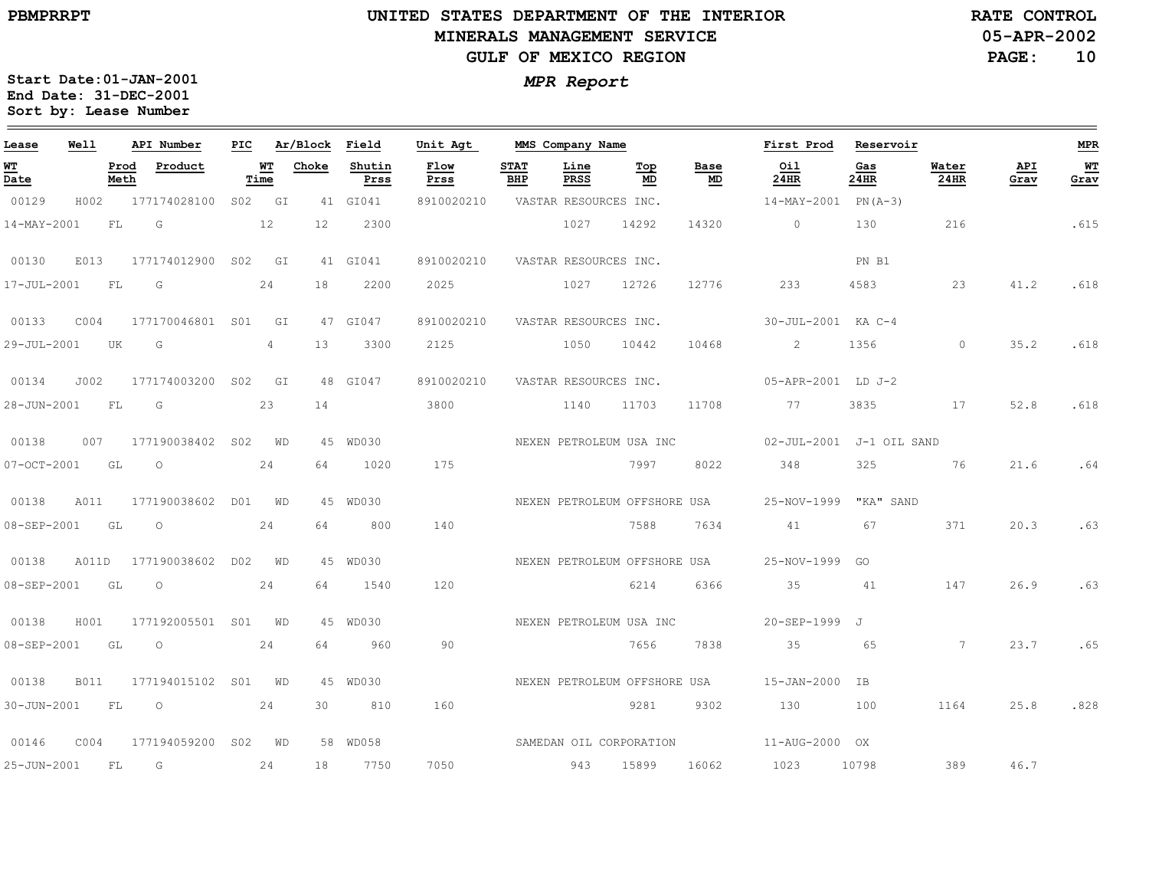#### **UNITED STATES DEPARTMENT OF THE INTERIOR MINERALS MANAGEMENT SERVICEGULF OF MEXICO REGION**

**05-APR-2002RATE CONTROL**

**PAGE:10**

| Lease       | Well        |              | API Number               | PIC |            | Ar/Block Field  |                | Unit Agt                |                    | MMS Company Name      |                              |                   | First Prod               | Reservoir   |                |             | MPR        |
|-------------|-------------|--------------|--------------------------|-----|------------|-----------------|----------------|-------------------------|--------------------|-----------------------|------------------------------|-------------------|--------------------------|-------------|----------------|-------------|------------|
| WT<br>Date  |             | Prod<br>Meth | Product                  |     | WT<br>Time | Choke           | Shutin<br>Prss | Flow<br>Prss            | <b>STAT</b><br>BHP | Line<br>PRSS          | Top<br>MD                    | <b>Base</b><br>MD | Oil<br>24HR              | Gas<br>24HR | Water<br>24HR  | API<br>Grav | WТ<br>Grav |
| 00129       | H002        |              | 177174028100             |     | S02 GI     |                 | 41 GI041       | 8910020210              |                    | VASTAR RESOURCES INC. |                              |                   | 14-MAY-2001              | $PN(A-3)$   |                |             |            |
| 14-MAY-2001 |             | FL           | G                        |     | 12         | 12 <sup>°</sup> | 2300           |                         |                    | 1027                  | 14292                        | 14320             | $\circ$                  | 130         | 216            |             | .615       |
| 00130       | E013        |              | 177174012900 S02 GI      |     |            |                 | 41 GI041       | 8910020210              |                    | VASTAR RESOURCES INC. |                              |                   |                          | PN B1       |                |             |            |
| 17-JUL-2001 |             | FL           | $\overline{G}$           |     | 24         | 18              | 2200           | 2025                    |                    | 1027                  | 12726                        | 12776             | 233                      | 4583        | 23             | 41.2        | .618       |
| 00133       | CO04        |              | 177170046801 S01         |     | GI         |                 | 47 GI047       | 8910020210              |                    | VASTAR RESOURCES INC. |                              |                   | 30-JUL-2001 KA C-4       |             |                |             |            |
| 29-JUL-2001 |             | UK           | $\overline{G}$           |     | 4          | 13              | 3300           | 2125                    |                    | 1050                  | 10442                        | 10468             | 2                        | 1356        | $\circ$        | 35.2        | .618       |
| 00134       | J002        |              | 177174003200 S02         |     | GI         |                 | 48 GI047       | 8910020210              |                    | VASTAR RESOURCES INC. |                              |                   | 05-APR-2001 LD J-2       |             |                |             |            |
| 28-JUN-2001 |             | FL           | $\overline{G}$           |     | 23         | 14              |                | 3800                    |                    | 1140                  | 11703                        | 11708             | 77                       | 3835        | 17             | 52.8        | .618       |
| 00138       | 007         |              | 177190038402 S02 WD      |     |            |                 | 45 WD030       |                         |                    |                       | NEXEN PETROLEUM USA INC      |                   | 02-JUL-2001 J-1 OIL SAND |             |                |             |            |
| 07-OCT-2001 |             | GL           | $\overline{\phantom{0}}$ |     | 24         | 64              | 1020           | 175                     |                    |                       | 7997                         | 8022              | 348                      | 325         | 76             | 21.6        | .64        |
| 00138       | A011        |              | 177190038602 D01 WD      |     |            |                 | 45 WD030       |                         |                    |                       | NEXEN PETROLEUM OFFSHORE USA |                   | 25-NOV-1999 "KA" SAND    |             |                |             |            |
| 08-SEP-2001 |             | GL           | $\circ$                  |     | 24         | 64              | 800            | 140                     |                    |                       | 7588                         | 7634              | 41                       | 67          | 371            | 20.3        | .63        |
| 00138       | A011D       |              | 177190038602 D02         |     | WD         |                 | 45 WD030       |                         |                    |                       | NEXEN PETROLEUM OFFSHORE USA |                   | 25-NOV-1999              | GO          |                |             |            |
| 08-SEP-2001 |             | GL           | $\circ$                  |     | 24         | 64              | 1540           | 120                     |                    |                       | 6214                         | 6366              | 35                       | 41          | 147            | 26.9        | .63        |
| 00138       | H001        |              | 177192005501 S01 WD      |     |            |                 | 45 WD030       |                         |                    |                       | NEXEN PETROLEUM USA INC      |                   | 20-SEP-1999 J            |             |                |             |            |
| 08-SEP-2001 |             | GL           | $\circ$                  |     | 24         | 64              | 960            | 90                      |                    |                       | 7656                         | 7838              | 35                       | 65          | $\overline{7}$ | 23.7        | .65        |
| 00138       | <b>B011</b> |              | 177194015102 S01 WD      |     |            |                 | 45 WD030       |                         |                    |                       | NEXEN PETROLEUM OFFSHORE USA |                   | 15-JAN-2000              | <b>TB</b>   |                |             |            |
| 30-JUN-2001 |             | FL           | $\circ$                  |     | 24         | 30              | 810            | 160                     |                    |                       | 9281                         | 9302              | 130                      | 100         | 1164           | 25.8        | .828       |
| 00146       | COO4        |              | 177194059200 S02 WD      |     |            |                 | 58 WD058       | SAMEDAN OIL CORPORATION |                    |                       |                              |                   | 11-AUG-2000 OX           |             |                |             |            |
| 25-JUN-2001 |             | FL           | G                        |     | 24         | 18              | 7750           | 7050                    |                    | 943                   | 15899                        | 16062             | 1023                     | 10798       | 389            | 46.7        |            |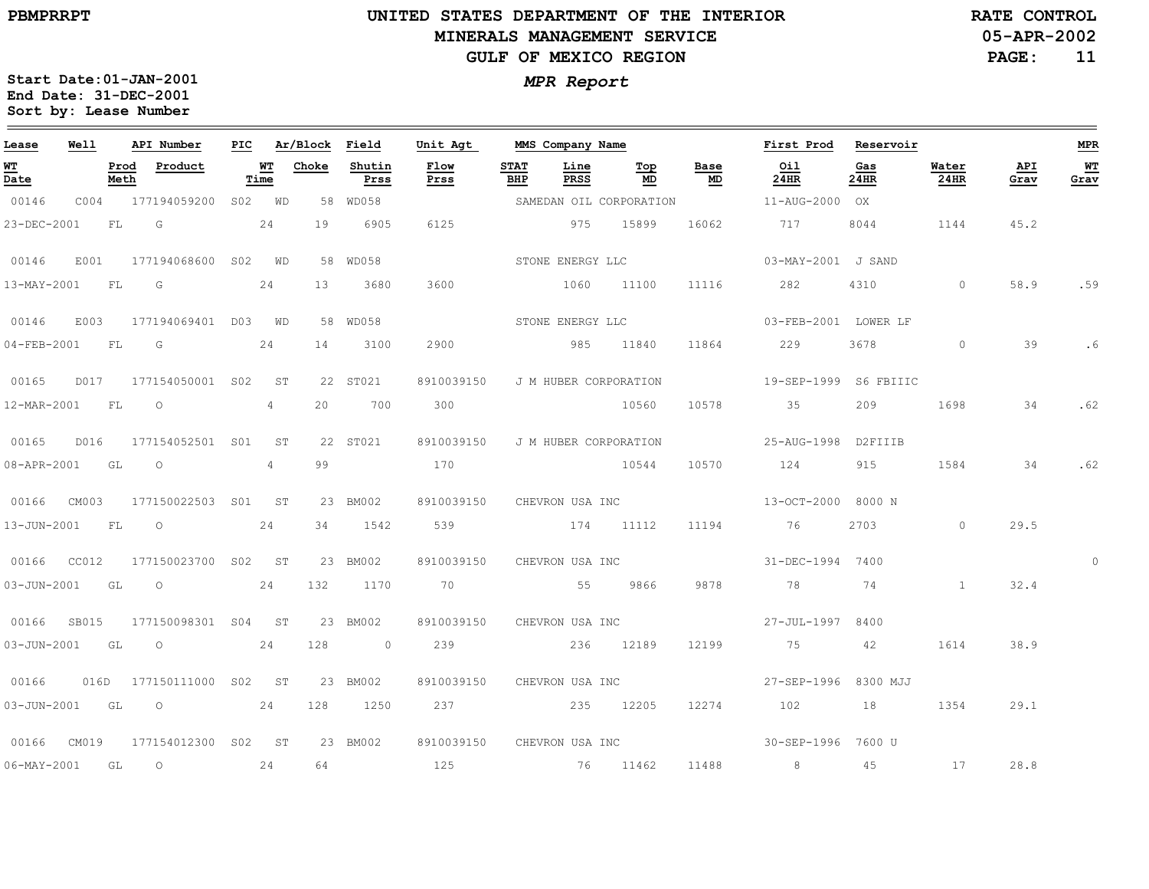# **UNITED STATES DEPARTMENT OF THE INTERIOR MINERALS MANAGEMENT SERVICEGULF OF MEXICO REGION**

**05-APR-2002RATE CONTROL**

**PAGE:11**

| Lease                          | Well  |              | API Number               | PIC |                 | Ar/Block | Field          | Unit Agt                         |                    | MMS Company Name      |                         |            | First Prod            | Reservoir   |               |             | <b>MPR</b> |
|--------------------------------|-------|--------------|--------------------------|-----|-----------------|----------|----------------|----------------------------------|--------------------|-----------------------|-------------------------|------------|-----------------------|-------------|---------------|-------------|------------|
| WT<br>$\overline{\text{Date}}$ |       | Prod<br>Meth | Product                  |     | WT<br>Time      | Choke    | Shutin<br>Prss | Flow<br>Prss                     | <b>STAT</b><br>BHP | Line<br>PRSS          | Top<br>MD               | Base<br>MD | Oil<br>24HR           | Gas<br>24HR | Water<br>24HR | API<br>Grav | WT<br>Grav |
| 00146                          | C004  |              | 177194059200             |     | S02 WD          |          | 58 WD058       |                                  |                    |                       | SAMEDAN OIL CORPORATION |            | 11-AUG-2000 OX        |             |               |             |            |
| 23-DEC-2001                    |       | FL           | G                        |     | 24              | 19       | 6905           | 6125                             |                    | 975                   | 15899                   | 16062      | 717                   | 8044        | 1144          | 45.2        |            |
| 00146                          | E001  |              | 177194068600 S02 WD      |     |                 |          | 58 WD058       |                                  |                    | STONE ENERGY LLC      |                         |            | 03-MAY-2001 J SAND    |             |               |             |            |
| 13-MAY-2001                    |       | FL           | G                        |     | 24              | 13       | 3680           | 3600                             |                    | 1060                  | 11100                   | 11116      | 282                   | 4310        | $\Omega$      | 58.9        | .59        |
| 00146                          | E003  |              | 177194069401 D03 WD      |     |                 |          | 58 WD058       |                                  |                    | STONE ENERGY LLC      |                         |            | 03-FEB-2001 LOWER LF  |             |               |             |            |
| $04 - FEB - 2001$              |       | FL           | G                        |     | 24              | 14       | 3100           | 2900                             |                    | 985 11840             |                         | 11864      | 229                   | 3678        | $\circ$       | 39          |            |
| 00165                          | D017  |              | 177154050001 S02         |     | ST              |          | 22 ST021       | 8910039150                       |                    | J M HUBER CORPORATION |                         |            | 19-SEP-1999 S6 FBIIIC |             |               |             |            |
| 12-MAR-2001                    |       | FL           | $\circ$                  |     | $\overline{4}$  | 20       | 700            | 300                              |                    |                       | 10560                   | 10578      | 35                    | 209         | 1698          | 34          | .62        |
| 00165                          | D016  |              | 177154052501 S01         |     | ST <sup>3</sup> |          | 22 ST021       | 8910039150 J M HUBER CORPORATION |                    |                       |                         |            | 25-AUG-1998 D2FIIIB   |             |               |             |            |
| 08-APR-2001                    |       | GL           | $\circ$                  |     | $4 -$           | 99       |                | 170                              |                    | 10544                 |                         | 10570      | 124                   | 915         | 1584          | 34          | .62        |
| 00166                          | CM003 |              | 177150022503 S01         |     | ST              |          | 23 BM002       | 8910039150 CHEVRON USA INC       |                    |                       |                         |            | 13-OCT-2000 8000 N    |             |               |             |            |
| 13-JUN-2001                    |       | FL           | $\circ$                  |     | 24              | 34       | 1542           | 539                              |                    | 174 11112             |                         | 11194      | 76                    | 2703        | $\Omega$      | 29.5        |            |
| 00166 CC012                    |       |              | 177150023700 S02 ST      |     |                 |          | 23 BM002       | 8910039150 CHEVRON USA INC       |                    |                       |                         |            | 31-DEC-1994           | 7400        |               |             | $\Omega$   |
| 03-JUN-2001                    |       | GL           | $\circ$                  |     | 24              | 132      | 1170           | 70 70                            |                    | 55                    | 9866                    | 9878       | 78                    | 74          | $\mathbf{1}$  | 32.4        |            |
| 00166                          | SB015 |              | 177150098301 S04         |     | <b>ST</b>       |          | 23 BM002       | 8910039150                       |                    | CHEVRON USA INC       |                         |            | 27-JUL-1997           | 8400        |               |             |            |
| $03 - JUN - 2001$              |       | GL           | $\circ$                  |     | 24              | 128      | $\sim$ 0       | 239                              |                    |                       | 236 12189               | 12199      | 75                    | 42          | 1614          | 38.9        |            |
| 00166                          |       |              | 016D 177150111000 S02 ST |     |                 |          | 23 BM002       | 8910039150 CHEVRON USA INC       |                    |                       |                         |            | 27-SEP-1996 8300 MJJ  |             |               |             |            |
|                                |       |              | 03-JUN-2001 GL 0 24      |     |                 | 128      | 1250           | 237 235 12205                    |                    |                       |                         | 12274      | 102                   | 18          | 1354          | 29.1        |            |
| 00166                          | CM019 |              | 177154012300 S02 ST      |     |                 |          | 23 BM002       | 8910039150 CHEVRON USA INC       |                    |                       |                         |            | 30-SEP-1996 7600 U    |             |               |             |            |
| $06 - \text{MAX} - 2001$       |       | GL           | $\circ$                  |     | 24              | 64       |                | 125                              |                    | 76 11462              |                         | 11488      | 8 <sup>1</sup>        | 45          | 17            | 28.8        |            |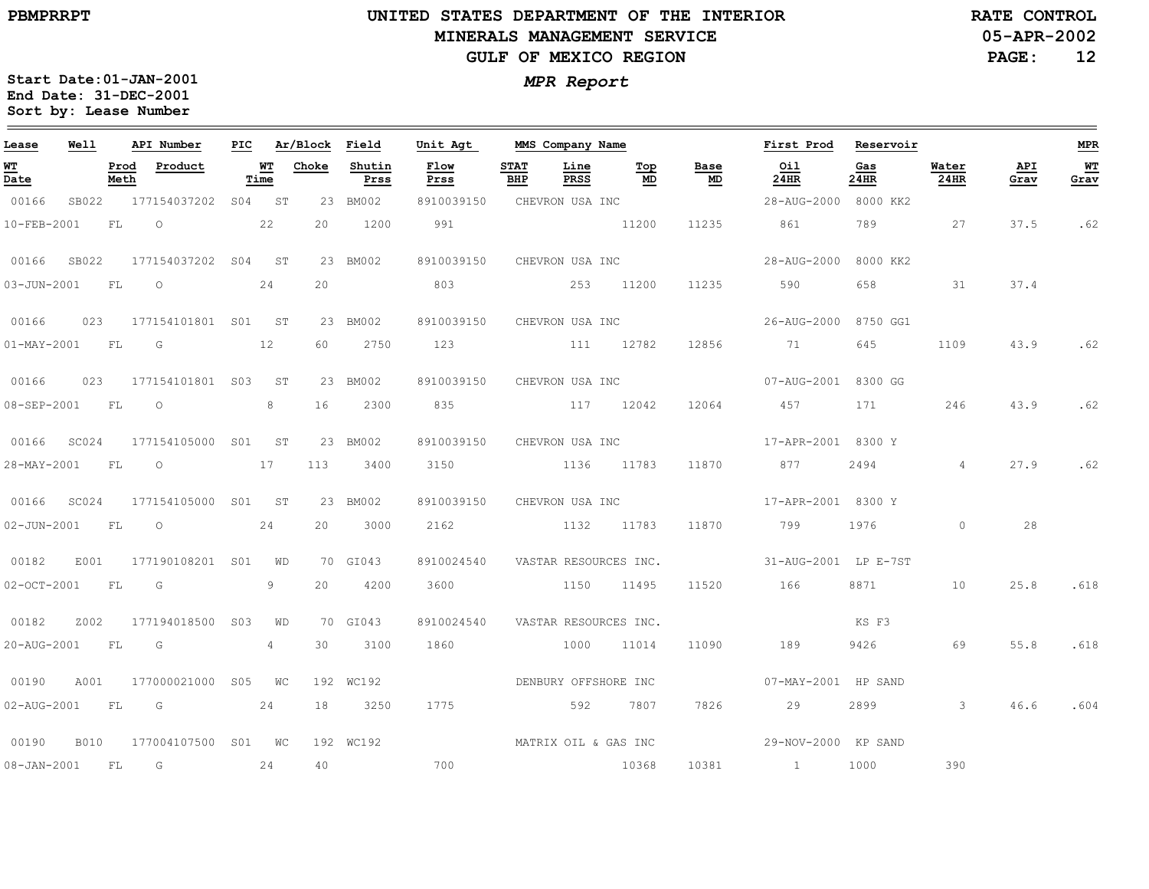### **UNITED STATES DEPARTMENT OF THE INTERIOR MINERALS MANAGEMENT SERVICEGULF OF MEXICO REGION**

**05-APR-2002RATE CONTROL**

**PAGE:12**

| Lease             | Well        |              | API Number          | PIC |                 | Ar/Block | Field          | Unit Agt             |                    | MMS Company Name      |           |            | First Prod           | Reservoir   |                |             | <b>MPR</b>   |
|-------------------|-------------|--------------|---------------------|-----|-----------------|----------|----------------|----------------------|--------------------|-----------------------|-----------|------------|----------------------|-------------|----------------|-------------|--------------|
| <u>ит</u><br>Date |             | Prod<br>Meth | Product             |     | WТ<br>Time      | Choke    | Shutin<br>Prss | Flow<br>Prss         | <b>STAT</b><br>BHP | Line<br>PRSS          | Top<br>MD | Base<br>MD | Oil<br>24HR          | Gas<br>24HR | Water<br>24HR  | API<br>Grav | $WT$<br>Grav |
| 00166             | SB022       |              | 177154037202        |     | S04 ST          |          | 23 BM002       | 8910039150           |                    | CHEVRON USA INC       |           |            | 28-AUG-2000          | 8000 KK2    |                |             |              |
| 10-FEB-2001       |             | FL           | $\circ$             |     | 22              | 20       | 1200           | 991                  |                    |                       | 11200     | 11235      | 861                  | 789         | 27             | 37.5        | .62          |
| 00166             | SB022       |              | 177154037202 S04    |     | ST              |          | 23 BM002       | 8910039150           |                    | CHEVRON USA INC       |           |            | 28-AUG-2000          | 8000 KK2    |                |             |              |
| $03 - JUN - 2001$ |             | FL           | $\circ$             |     | 24              | 20       |                | 803                  |                    | 253                   | 11200     | 11235      | 590                  | 658         | 31             | 37.4        |              |
| 00166             | 023         |              | 177154101801 S01 ST |     |                 |          | 23 BM002       | 8910039150           |                    | CHEVRON USA INC       |           |            | 26-AUG-2000          | 8750 GG1    |                |             |              |
| $01 - MAX - 2001$ |             | <b>FL</b>    | G                   |     | 12              | 60       | 2750           | 123                  |                    | 111 12782             |           | 12856      | 71                   | 645         | 1109           | 43.9        | .62          |
| 00166             | 023         |              | 177154101801 S03    |     | ST              |          | 23 BM002       | 8910039150           |                    | CHEVRON USA INC       |           |            | 07-AUG-2001          | 8300 GG     |                |             |              |
| 08-SEP-2001       |             | FL           | $\circ$             |     | 8               | 16       | 2300           | 835                  |                    |                       | 117 12042 | 12064      | 457                  | 171         | 246            | 43.9        | .62          |
| 00166             | SC024       |              | 177154105000 S01    |     | ST              |          | 23 BM002       | 8910039150           |                    | CHEVRON USA INC       |           |            | 17-APR-2001 8300 Y   |             |                |             |              |
| 28-MAY-2001       |             | FL           | $\circ$             |     | 17              | 113      | 3400           | 3150                 |                    | 1136 11783            |           | 11870      | 877                  | 2494        | $\overline{4}$ | 27.9        | .62          |
| 00166             | SC024       |              | 177154105000        | S01 | ST <sup>1</sup> |          | 23 BM002       | 8910039150           |                    | CHEVRON USA INC       |           |            | 17-APR-2001 8300 Y   |             |                |             |              |
| $02 - JUN - 2001$ |             | FL           | $\circ$             |     | 24              | 20       | 3000           | 2162                 |                    | 1132                  | 11783     | 11870      | 799                  | 1976        | $\circ$        | 28          |              |
| 00182             | E001        |              | 177190108201 S01    |     | WD              |          | 70 GI043       | 8910024540           |                    | VASTAR RESOURCES INC. |           |            | 31-AUG-2001 LP E-7ST |             |                |             |              |
| $02 - OCT - 2001$ |             | FL           | G                   |     | 9               | 20       | 4200           | 3600                 |                    | 1150 11495            |           | 11520      | 166                  | 8871        | 10             | 25.8        | .618         |
| 00182             | Z002        |              | 177194018500        | S03 | WD              |          | 70 GI043       | 8910024540           |                    | VASTAR RESOURCES INC. |           |            |                      | KS F3       |                |             |              |
| 20-AUG-2001       |             | FL           | G                   |     | 4               | 30       | 3100           | 1860                 |                    | 1000                  | 11014     | 11090      | 189                  | 9426        | 69             | 55.8        | .618         |
| 00190             | A001        |              | 177000021000        | S05 | WC              |          | 192 WC192      |                      |                    | DENBURY OFFSHORE INC  |           |            | 07-MAY-2001 HP SAND  |             |                |             |              |
| 02-AUG-2001       |             | FL           | G                   |     | 24              | 18       | 3250           | 1775                 |                    | 592                   | 7807      | 7826       | 29                   | 2899        | $\mathbf{3}$   | 46.6        | .604         |
| 00190             | <b>B010</b> |              | 177004107500 S01 WC |     |                 |          | 192 WC192      | MATRIX OIL & GAS INC |                    |                       |           |            | 29-NOV-2000 KP SAND  |             |                |             |              |
| $08 - JAN - 2001$ |             | FL           | G                   |     | 24              | 40       |                | 700                  |                    |                       | 10368     | 10381      | $\sim$ 1             | 1000        | 390            |             |              |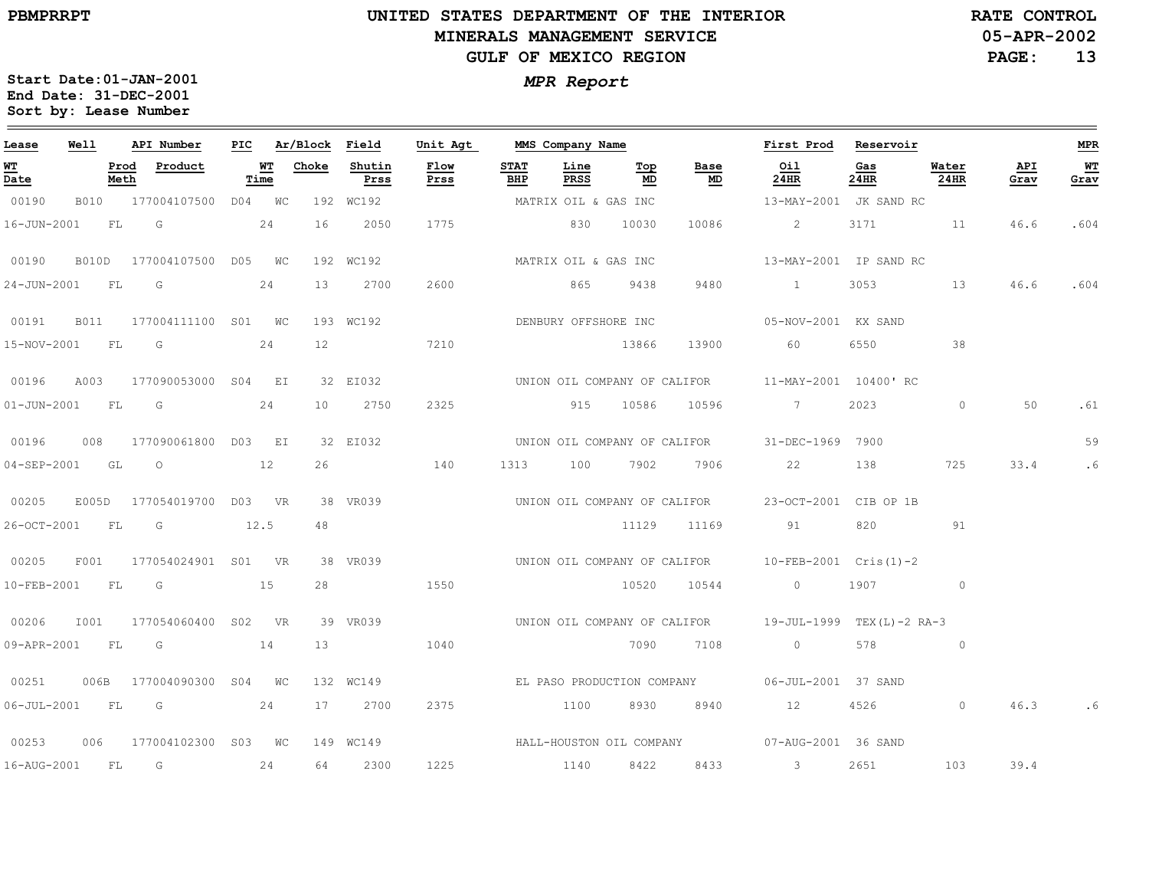# **UNITED STATES DEPARTMENT OF THE INTERIOR MINERALS MANAGEMENT SERVICEGULF OF MEXICO REGION**

**05-APR-2002RATE CONTROL**

**PAGE:13**

| Lease             | Well  |              | API Number               | PIC |                   | Ar/Block Field  |                | Unit Agt     |                    | MMS Company Name     |           |                              | First Prod                                             | Reservoir   |               |             | MPR        |
|-------------------|-------|--------------|--------------------------|-----|-------------------|-----------------|----------------|--------------|--------------------|----------------------|-----------|------------------------------|--------------------------------------------------------|-------------|---------------|-------------|------------|
| <u>WT</u><br>Date |       | Prod<br>Meth | Product                  |     | <u>WT</u><br>Time | Choke           | Shutin<br>Prss | Flow<br>Prss | <b>STAT</b><br>BHP | Line<br>PRSS         | Тор<br>MD | Base<br>MD                   | Oil<br>24HR                                            | Gas<br>24HR | Water<br>24HR | API<br>Grav | WТ<br>Grav |
| 00190             |       |              | B010 177004107500 D04 WC |     |                   |                 | 192 WC192      |              |                    | MATRIX OIL & GAS INC |           |                              | 13-MAY-2001 JK SAND RC                                 |             |               |             |            |
| $16 - JUN - 2001$ |       | FL           | $\overline{\mathsf{G}}$  |     | 24                | 16              | 2050           | 1775         |                    | 830 10030            |           | 10086                        | $\overline{2}$                                         | 3171 11     |               | 46.6        | .604       |
| 00190             | B010D |              | 177004107500 D05 WC      |     |                   |                 | 192 WC192      |              |                    | MATRIX OIL & GAS INC |           |                              | 13-MAY-2001 IP SAND RC                                 |             |               |             |            |
| 24-JUN-2001       |       | FL           | G                        |     | 24                | 13              | 2700           | 2600         |                    | 865                  | 9438      | 9480                         | $\sim$ $\sim$ $\sim$ $\sim$ $\sim$                     | 3053        | 13            | 46.6        | .604       |
| 00191             |       |              | B011 177004111100 S01 WC |     |                   |                 | 193 WC192      |              |                    | DENBURY OFFSHORE INC |           |                              | 05-NOV-2001 KX SAND                                    |             |               |             |            |
| 15-NOV-2001 FL G  |       |              |                          |     | 24                | 12              |                | 7210         |                    |                      | 13866     |                              | 13900 60                                               | 6550        | 38            |             |            |
| 00196             | A003  |              | 177090053000 S04 EI      |     |                   |                 | 32 EI032       |              |                    |                      |           |                              | UNION OIL COMPANY OF CALIFOR 11-MAY-2001 10400'RC      |             |               |             |            |
| $01 - JUN - 2001$ |       | <b>FL</b>    | G                        |     | 24                | 10 <sup>1</sup> | 2750           | 2325         |                    | 915 10586            |           | 10596                        | 7                                                      | 2023        | $\Omega$      | 50          | .61        |
| 00196             |       |              | 008 177090061800 D03 EI  |     |                   |                 | 32 EI032       |              |                    |                      |           | UNION OIL COMPANY OF CALIFOR | 31-DEC-1969 7900                                       |             |               |             | 59         |
| $04 - SEP - 2001$ | GL    |              | $\overline{O}$<br>12     |     |                   |                 | 26 140         |              |                    | 1313 100 7902        |           | 7906                         | 22                                                     | 138         | 725           | 33.4        | .6         |
| 00205             | E005D |              | 177054019700 D03 VR      |     |                   |                 | 38 VR039       |              |                    |                      |           | UNION OIL COMPANY OF CALIFOR | 23-OCT-2001 CIB OP 1B                                  |             |               |             |            |
| 26-OCT-2001       |       | <b>FL</b>    | G                        |     | 12.5              | 48              |                |              |                    |                      | 11129     | 11169                        | 91                                                     | 820         | 91            |             |            |
| 00205             | F001  |              | 177054024901 S01 VR      |     |                   |                 | 38 VR039       |              |                    |                      |           |                              | UNION OIL COMPANY OF CALIFOR 10-FEB-2001 Cris(1)-2     |             |               |             |            |
| 10-FEB-2001       |       | FL G         | 15                       |     |                   |                 | $28$ and $28$  | 1550         |                    |                      | 10520     | 10544                        | $\overline{0}$                                         | 1907 0      |               |             |            |
| 00206             | I001  |              | 177054060400 S02 VR      |     |                   |                 | 39 VR039       |              |                    |                      |           |                              | UNION OIL COMPANY OF CALIFOR 19-JUL-1999 TEX(L)-2 RA-3 |             |               |             |            |
| 09-APR-2001 FL    |       |              | $\overline{\mathbb{G}}$  |     | 14                | 13              |                | 1040         |                    |                      |           | 7090 7108                    | $\overline{0}$                                         | 578         | $\circ$       |             |            |
| 00251             |       |              | 006B 177004090300 S04 WC |     |                   |                 | 132 WC149      |              |                    |                      |           |                              | EL PASO PRODUCTION COMPANY 06-JUL-2001 37 SAND         |             |               |             |            |
| 06-JUL-2001 FL G  |       |              | 24                       |     |                   |                 | 17 2700        | 2375         |                    |                      |           | 1100 8930 8940               | 12 4526                                                |             | $\circ$       | 46.3        |            |
| 00253             | 006   |              | 177004102300 S03 WC      |     |                   |                 | 149 WC149      |              |                    |                      |           |                              | HALL-HOUSTON OIL COMPANY 67-AUG-2001 36 SAND           |             |               |             |            |
| 16-AUG-2001 FL    |       |              | $\overline{\mathsf{G}}$  |     | 24                | 64              | 2300           | 1225         |                    | 1140                 | 8422      | 8433                         | $\sim$ 3                                               | 2651        | 103           | 39.4        |            |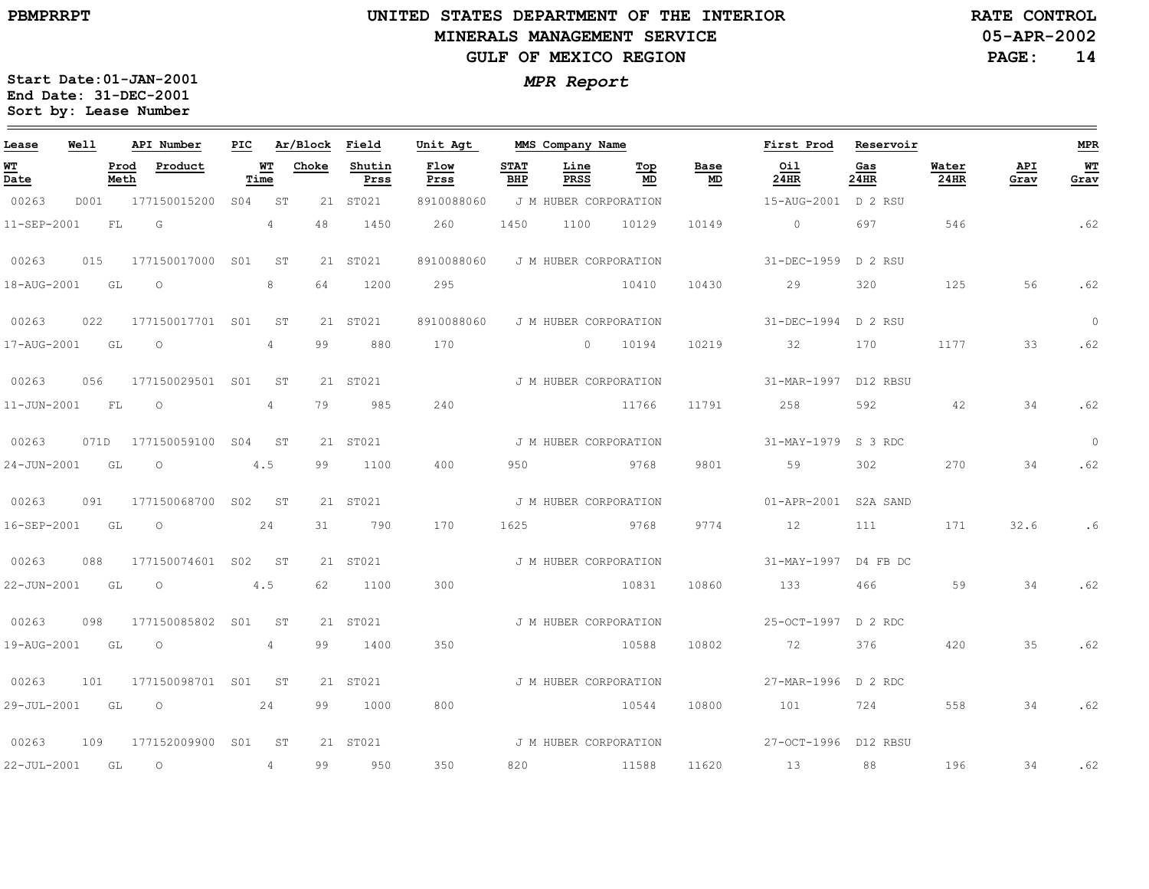## **UNITED STATES DEPARTMENT OF THE INTERIOR MINERALS MANAGEMENT SERVICEGULF OF MEXICO REGION**

**05-APR-2002RATE CONTROL**

**PAGE:14**

| Lease       | <b>Well</b> | API Number               |     |                 | PIC Ar/Block Field |                | Unit Agt     |                    | MMS Company Name      |           |                                   | First Prod Reservoir |             |               |             | <b>MPR</b>             |
|-------------|-------------|--------------------------|-----|-----------------|--------------------|----------------|--------------|--------------------|-----------------------|-----------|-----------------------------------|----------------------|-------------|---------------|-------------|------------------------|
| WT<br>Date  |             | Product<br>Prod<br>Meth  |     | WT<br>Time      | Choke              | Shutin<br>Prss | Flow<br>Prss | <b>STAT</b><br>BHP | Line<br>PRSS          | Top<br>MD | Base<br>$\underline{\mathsf{MD}}$ | Oil<br>$24$ HR       | Gas<br>24HR | Water<br>24HR | API<br>Grav | W <sub>T</sub><br>Grav |
| 00263       | D001        | 177150015200             | S04 | ST              |                    | 21 ST021       | 8910088060   |                    | J M HUBER CORPORATION |           |                                   | 15-AUG-2001 D 2 RSU  |             |               |             |                        |
| 11-SEP-2001 |             | FL<br>G                  |     | $4\overline{ }$ | 48                 | 1450           | 260          | 1450               | 1100                  | 10129     | 10149                             | $\circ$              | 697         | 546           |             | .62                    |
| 00263       | 015         | 177150017000 S01         |     | ST              |                    | 21 ST021       | 8910088060   |                    | J M HUBER CORPORATION |           |                                   | $31 - DEC - 1959$    | D 2 RSU     |               |             |                        |
| 18-AUG-2001 |             | GL<br>$\circ$            |     | 8               | 64                 | 1200           | 295          |                    |                       | 10410     | 10430                             | 29                   | 320         | 125           | 56          | .62                    |
| 00263       | 022         | 177150017701 S01         |     | ST              |                    | 21 ST021       | 8910088060   |                    | J M HUBER CORPORATION |           |                                   | 31-DEC-1994 D 2 RSU  |             |               |             | $\overline{0}$         |
| 17-AUG-2001 | GL GL       | $\circ$                  |     | 4               | 99                 | 880            | 170          |                    | 0 10194               |           | 10219                             | 32                   | 170         | 1177          | 33          | .62                    |
| 00263       | 056         | 177150029501 S01         |     | <b>ST</b>       |                    | 21 ST021       |              |                    | J M HUBER CORPORATION |           |                                   | 31-MAR-1997 D12 RBSU |             |               |             |                        |
| 11-JUN-2001 |             | FL<br>$\circ$            |     | 4               | 79                 | 985            | 240          |                    |                       | 11766     | 11791                             | 258                  | 592         | 42            | 34          | .62                    |
| 00263       |             | 071D 177150059100 S04 ST |     |                 |                    | 21 ST021       |              |                    | J M HUBER CORPORATION |           |                                   | 31-MAY-1979 S 3 RDC  |             |               |             | $\circ$                |
| 24-JUN-2001 |             | GL<br>$\circ$            |     | 4.5             | 99                 | 1100           | 400          | 950                |                       | 9768      | 9801                              | 59                   | 302         | 270           | 34          | .62                    |
| 00263       | 091         | 177150068700 S02         |     | ST.             |                    | 21 ST021       |              |                    | J M HUBER CORPORATION |           |                                   | 01-APR-2001 S2A SAND |             |               |             |                        |
| 16-SEP-2001 |             | GL<br>$\circ$            |     | 24              | 31                 | 790            | 170          | 1625               |                       | 9768      | 9774                              | 12                   | 111         | 171           | 32.6        | . 6                    |
| 00263       | 088         | 177150074601 S02 ST      |     |                 |                    | 21 ST021       |              |                    | J M HUBER CORPORATION |           |                                   | 31-MAY-1997 D4 FB DC |             |               |             |                        |
| 22-JUN-2001 | GL          | $\circ$                  |     | 4.5             | 62                 | 1100           | 300          |                    |                       | 10831     | 10860                             | 133                  | 466         | 59            | 34          | .62                    |
| 00263       | 098         | 177150085802 S01 ST      |     |                 |                    | 21 ST021       |              |                    | J M HUBER CORPORATION |           |                                   | 25-OCT-1997 D 2 RDC  |             |               |             |                        |
| 19-AUG-2001 |             | GL<br>$\circ$            |     | 4               | 99                 | 1400           | 350          |                    |                       | 10588     | 10802                             | 72                   | 376         | 420           | 35          | .62                    |
| 00263       | 101         | 177150098701 S01         |     | ST              |                    | 21 ST021       |              |                    | J M HUBER CORPORATION |           |                                   | 27-MAR-1996 D 2 RDC  |             |               |             |                        |
| 29-JUL-2001 | GL          | $\circ$                  |     | 24              | 99                 | 1000           | 800          |                    |                       | 10544     | 10800                             | 101                  | 724         | 558           | 34          | .62                    |
| 00263       | 109         | 177152009900 S01         |     | ST              |                    | 21 ST021       |              |                    | J M HUBER CORPORATION |           |                                   | 27-OCT-1996 D12 RBSU |             |               |             |                        |
| 22-JUL-2001 | GL          | $\circ$                  |     | $\overline{4}$  | 99                 | 950            | 350          | 820                |                       | 11588     | 11620                             | 13                   | 88          | 196           | 34          | .62                    |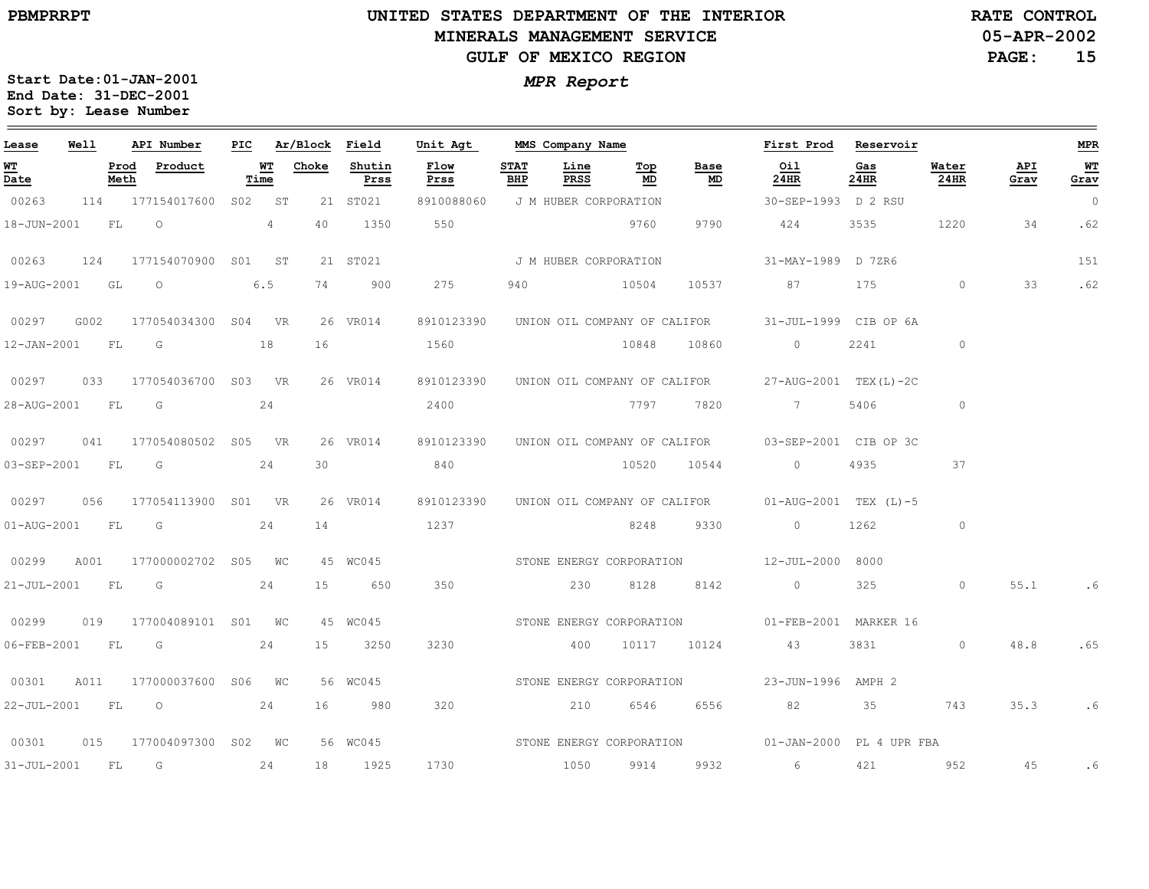# **UNITED STATES DEPARTMENT OF THE INTERIOR MINERALS MANAGEMENT SERVICEGULF OF MEXICO REGION**

**05-APR-2002RATE CONTROL**

**PAGE:15**

| Lease                  | Well |              | API Number              | PIC |                | Ar/Block | Field          | Unit Agt                 |                    | MMS Company Name         |           |                              | First Prod                                                    | Reservoir   |               |             | MPR            |
|------------------------|------|--------------|-------------------------|-----|----------------|----------|----------------|--------------------------|--------------------|--------------------------|-----------|------------------------------|---------------------------------------------------------------|-------------|---------------|-------------|----------------|
| WT<br>Date             |      | Prod<br>Meth | Product                 |     | WТ<br>Time     | Choke    | Shutin<br>Prss | Flow<br>Prss             | <b>STAT</b><br>BHP | Line<br>PRSS             | Top<br>MD | Base<br>MD                   | Oil<br>24HR                                                   | Gas<br>24HR | Water<br>24HR | API<br>Grav | WТ<br>Grav     |
| 00263                  |      |              | 114 177154017600 S02 ST |     |                |          | 21 ST021       | 8910088060               |                    | J M HUBER CORPORATION    |           |                              | 30-SEP-1993 D 2 RSU                                           |             |               |             | $\overline{0}$ |
| 18-JUN-2001            |      | FL           | $\overline{O}$          |     | $\overline{4}$ | 40       | 1350           | 550                      |                    |                          | 9760      | 9790                         | 424                                                           | 3535        | 1220          | 34          | .62            |
| 00263                  | 124  |              | 177154070900 S01 ST     |     |                |          | 21 ST021       |                          |                    | J M HUBER CORPORATION    |           |                              | 31-MAY-1989 D 7ZR6                                            |             |               |             | 151            |
| 19-AUG-2001            |      | GL           | $\circ$                 |     | 6.5            | 74       | 900            | 275                      | 940                |                          | 10504     | 10537                        | 87                                                            | 175         | $\circ$       | 33          | .62            |
| 00297                  | G002 |              | 177054034300 S04 VR     |     |                |          | 26 VR014       | 8910123390               |                    |                          |           | UNION OIL COMPANY OF CALIFOR | 31-JUL-1999 CIB OP 6A                                         |             |               |             |                |
| $12 - JAN - 2001$      |      | FL           | $\overline{G}$          |     | 18             | 16       |                | 1560                     |                    |                          | 10848     | 10860                        | $\circ$                                                       | 2241        | $\circ$       |             |                |
| 00297                  | 033  |              | 177054036700 S03 VR     |     |                |          | 26 VR014       | 8910123390               |                    |                          |           | UNION OIL COMPANY OF CALIFOR | 27-AUG-2001 TEX(L)-2C                                         |             |               |             |                |
| 28-AUG-2001            |      | FL.          | G                       |     | 24             |          |                | 2400                     |                    |                          | 7797      | 7820                         | 7                                                             | 5406        | $\circ$       |             |                |
| 00297                  |      |              | 041 177054080502 S05 VR |     |                |          | 26 VR014       |                          |                    |                          |           |                              | 8910123390 UNION OIL COMPANY OF CALIFOR 03-SEP-2001 CIB OP 3C |             |               |             |                |
| 03-SEP-2001 FL         |      |              | G                       |     | 24             | 30       |                | 840                      |                    |                          | 10520     | 10544                        | $\overline{0}$                                                | 4935        | 37            |             |                |
| 00297                  | 056  |              | 177054113900 SO1 VR     |     |                |          | 26 VR014       |                          |                    |                          |           |                              | 8910123390 UNION OIL COMPANY OF CALIFOR 01-AUG-2001 TEX (L)-5 |             |               |             |                |
| $01 - \text{AUG}-2001$ |      | FL           | G                       |     | 24             | 14       |                | 1237                     |                    |                          | 8248      | 9330                         | $\circ$                                                       | 1262        | $\circ$       |             |                |
| 00299                  | A001 |              | 177000002702 S05 WC     |     |                |          | 45 WC045       | STONE ENERGY CORPORATION |                    |                          |           |                              | 12-JUL-2000 8000                                              |             |               |             |                |
| $21 - JUL - 2001$      |      | FL           | $\overline{G}$          |     | 24             | 15       | 650            | 350                      |                    | 230                      | 8128      | 8142                         | $\overline{0}$                                                | 325         | $\circ$       | 55.1        | . 6            |
| 00299                  | 019  |              | 177004089101 S01 WC     |     |                |          | 45 WC045       |                          |                    | STONE ENERGY CORPORATION |           |                              | 01-FEB-2001 MARKER 16                                         |             |               |             |                |
| 06-FEB-2001            |      | FL           | G                       |     | 24             | 15       | 3250           | 3230                     |                    | 400                      | 10117     | 10124                        | 43                                                            | 3831        | $\circ$       | 48.8        | .65            |
| 00301                  | A011 |              | 177000037600 S06 WC     |     |                |          | 56 WC045       |                          |                    |                          |           | STONE ENERGY CORPORATION     | 23-JUN-1996 AMPH 2                                            |             |               |             |                |
| $22 - JUL - 2001$      |      | FL           | $\circ$                 |     | 24             | 16       | 980            | 320                      |                    | 210                      | 6546      | 6556                         | 82                                                            | 35          | 743           | 35.3        | .6             |
| 00301                  | 015  |              | 177004097300 S02 WC     |     |                |          | 56 WC045       |                          |                    |                          |           | STONE ENERGY CORPORATION     | 01-JAN-2000 PL 4 UPR FBA                                      |             |               |             |                |
| $31 - JUL - 2001$      |      | FL           | G                       |     | 24             | 18       | 1925           | 1730                     |                    | 1050                     | 9914      | 9932                         | 6                                                             | 421         | 952           | 45          | .6             |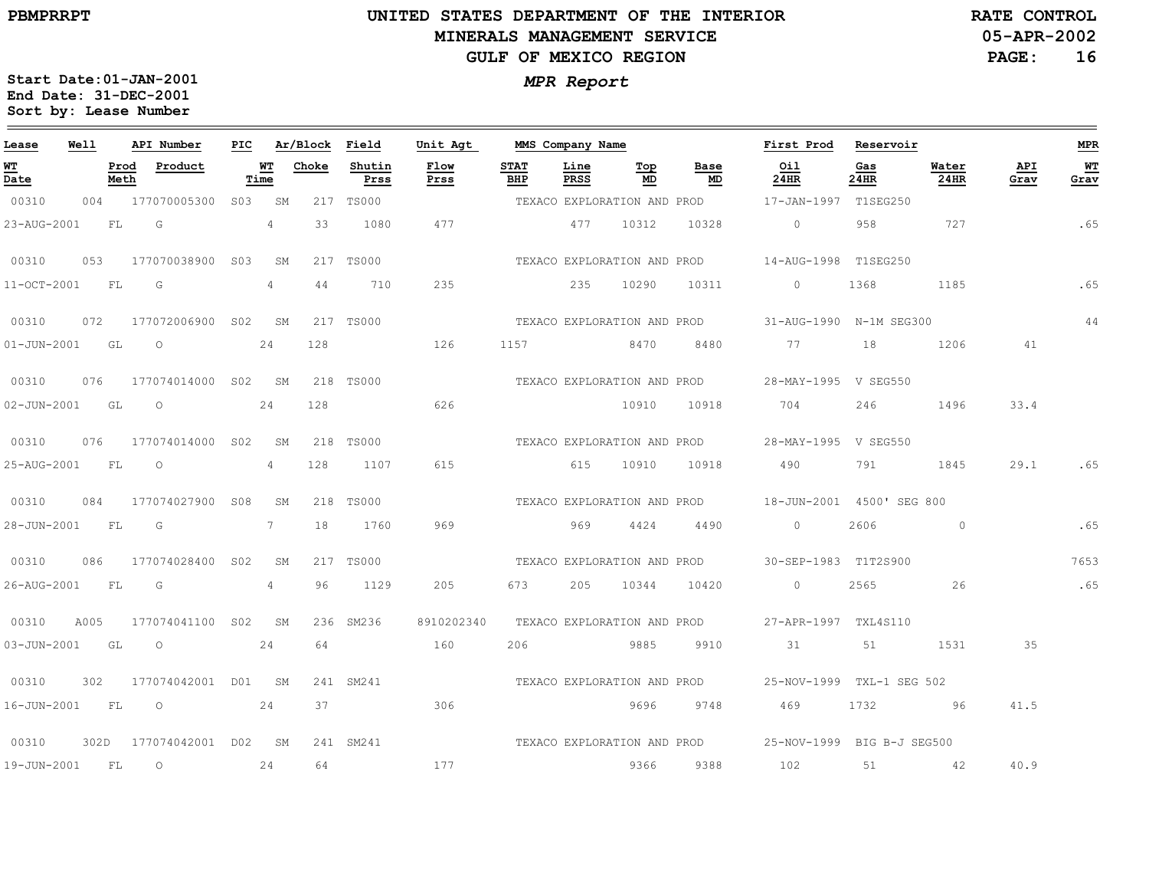# **UNITED STATES DEPARTMENT OF THE INTERIOR MINERALS MANAGEMENT SERVICEGULF OF MEXICO REGION**

**05-APR-2002RATE CONTROL**

**PAGE:16**

| Lease       | Well | API Number               | PIC |             | Ar/Block Field |                | Unit Agt                    |                    | MMS Company Name |                             |                             | First Prod                 | Reservoir   |               |             | MPR        |
|-------------|------|--------------------------|-----|-------------|----------------|----------------|-----------------------------|--------------------|------------------|-----------------------------|-----------------------------|----------------------------|-------------|---------------|-------------|------------|
| WT<br>Date  |      | Prod<br>Product<br>Meth  |     | WT<br>Time  | Choke          | Shutin<br>Prss | Flow<br>Prss                | <b>STAT</b><br>BHP | Line<br>PRSS     | Top<br>MD                   | Base<br>MD                  | Oil<br>24HR                | Gas<br>24HR | Water<br>24HR | API<br>Grav | WT<br>Grav |
| 00310       |      | 004 177070005300 S03 SM  |     |             |                | 217 TS000      |                             |                    |                  |                             | TEXACO EXPLORATION AND PROD | 17-JAN-1997 T1SEG250       |             |               |             |            |
| 23-AUG-2001 | FL   | G                        |     | 4           | 33             | 1080           | 477                         |                    | 477              | 10312                       | 10328                       | $\circ$                    | 958         | 727           |             | .65        |
| 00310       | 053  | 177070038900 S03         |     | SM          |                | 217 TS000      |                             |                    |                  | TEXACO EXPLORATION AND PROD |                             | 14-AUG-1998 T1SEG250       |             |               |             |            |
| 11-OCT-2001 | FL   | G                        |     | $4^{\circ}$ | 44             | 710            | 235                         |                    | 235              | 10290                       | 10311                       | $\circ$                    | 1368        | 1185          |             | .65        |
| 00310       | 072  | 177072006900 S02 SM      |     |             |                | 217 TS000      |                             |                    |                  | TEXACO EXPLORATION AND PROD |                             | 31-AUG-1990 N-1M SEG300    |             |               |             | 44         |
| 01-JUN-2001 | GL   | $\overline{O}$           |     | 24          | 128            |                | 126                         | 1157               | 8470             |                             | 8480                        | 77                         | 18          | 1206          | 41          |            |
| 00310       | 076  | 177074014000 S02 SM      |     |             |                | 218 TS000      |                             |                    |                  |                             | TEXACO EXPLORATION AND PROD | 28-MAY-1995 V SEG550       |             |               |             |            |
| 02-JUN-2001 | GL   | $\circ$                  |     | 24          | 128            |                | 626                         |                    |                  | 10910                       | 10918                       | 704                        | 246         | 1496          | 33.4        |            |
| 00310       | 076  | 177074014000 S02         |     | SM          |                | 218 TS000      |                             |                    |                  | TEXACO EXPLORATION AND PROD |                             | 28-MAY-1995 V SEG550       |             |               |             |            |
| 25-AUG-2001 | FL   | $\circ$                  |     | 4           | 128            | 1107           | 615                         |                    | 615              | 10910                       | 10918                       | 490                        | 791         | 1845          | 29.1        | .65        |
| 00310       | 084  | 177074027900 S08         |     | SM          |                | 218 TS000      |                             |                    |                  | TEXACO EXPLORATION AND PROD |                             | 18-JUN-2001 4500' SEG 800  |             |               |             |            |
| 28-JUN-2001 | FL.  | G                        |     | 7           | 18             | 1760           | 969                         |                    | 969              | 4424                        | 4490                        | $\Omega$                   | 2606        | $\Omega$      |             | .65        |
| 00310       | 086  | 177074028400 S02         |     | SM          |                | 217 TS000      |                             |                    |                  | TEXACO EXPLORATION AND PROD |                             | 30-SEP-1983 T1T2S900       |             |               |             | 7653       |
| 26-AUG-2001 | FL   | G                        |     | 4           | 96             | 1129           | 205                         | 673                | 205              | 10344                       | 10420                       | $\circ$                    | 2565        | 26            |             | .65        |
| 00310       | A005 | 177074041100 SO2         |     | SM          |                | 236 SM236      | 8910202340                  |                    |                  | TEXACO EXPLORATION AND PROD |                             | 27-APR-1997 TXL4S110       |             |               |             |            |
| 03-JUN-2001 | GL   | $\circ$                  |     | 24          | 64             |                | 160                         | 206                |                  | 9885                        | 9910                        | 31                         | 51          | 1531          | 35          |            |
| 00310       | 302  | 177074042001 D01 SM      |     |             |                | 241 SM241      |                             |                    |                  | TEXACO EXPLORATION AND PROD |                             | 25-NOV-1999 TXL-1 SEG 502  |             |               |             |            |
| 16-JUN-2001 | FL   | $\overline{O}$           |     | 24          | 37             |                | 306                         |                    |                  | 9696                        | 9748                        | 469                        | 1732        | 96            | 41.5        |            |
| 00310       |      | 302D 177074042001 D02 SM |     |             |                | 241 SM241      | TEXACO EXPLORATION AND PROD |                    |                  |                             |                             | 25-NOV-1999 BIG B-J SEG500 |             |               |             |            |
| 19-JUN-2001 | FL   | $\circ$                  |     | 24          | 64             |                | 177                         |                    |                  | 9366                        | 9388                        | 102                        | 51          | 42            | 40.9        |            |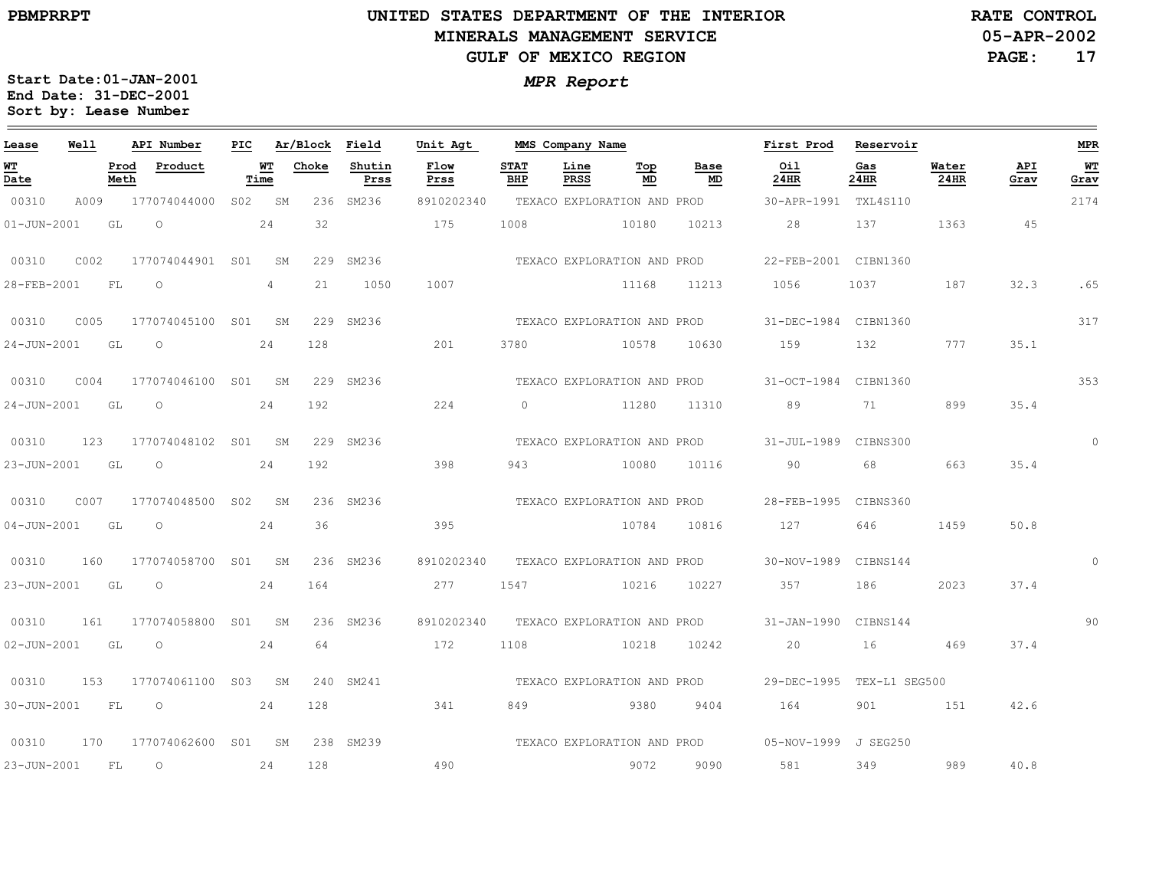$\equiv$ 

# **UNITED STATES DEPARTMENT OF THE INTERIOR MINERALS MANAGEMENT SERVICEGULF OF MEXICO REGION**

**05-APR-2002RATE CONTROL**

**PAGE:17**

| Lease             | Well |              | API Number   | PIC             |                | Ar/Block | Field          | Unit Agt     |                    | MMS Company Name            |                   | First Prod           | Reservoir     |               |             | <b>MPR</b>     |
|-------------------|------|--------------|--------------|-----------------|----------------|----------|----------------|--------------|--------------------|-----------------------------|-------------------|----------------------|---------------|---------------|-------------|----------------|
| <u>WТ</u><br>Date |      | Prod<br>Meth | Product      |                 | WT<br>Time     | Choke    | Shutin<br>Prss | Flow<br>Prss | <b>STAT</b><br>BHP | Line<br>Top<br>PRSS<br>MD   | Base<br><b>MD</b> | Oil<br>24HR          | Gas<br>24HR   | Water<br>24HR | API<br>Grav | WT<br>Grav     |
| 00310             | A009 |              | 177074044000 | S02             | SM             |          | 236 SM236      | 8910202340   |                    | TEXACO EXPLORATION AND PROD |                   | 30-APR-1991          | TXL4S110      |               |             | 2174           |
| $01 - JUN - 2001$ |      | GL           | $\circ$      |                 | 24             | 32       |                | 175          | 1008               | 10180                       | 10213             | 28                   | 137           | 1363          | 45          |                |
| 00310             | C002 |              | 177074044901 | S01             | SM             |          | 229 SM236      |              |                    | TEXACO EXPLORATION AND PROD |                   | 22-FEB-2001 CIBN1360 |               |               |             |                |
| 28-FEB-2001       |      | FL           | $\circ$      |                 | $\overline{4}$ | 21       | 1050           | 1007         |                    | 11168                       | 11213             | 1056                 | 1037          | 187           | 32.3        | .65            |
| 00310             | C005 |              | 177074045100 | SO1             | SM             |          | 229 SM236      |              |                    | TEXACO EXPLORATION AND PROD |                   | 31-DEC-1984 CIBN1360 |               |               |             | 317            |
| 24-JUN-2001       |      | GL           | $\circ$      |                 | 24             | 128      |                | 201          | 3780               | 10578                       | 10630             | 159                  | 132           | 777           | 35.1        |                |
| 00310             | COO4 |              | 177074046100 | S <sub>01</sub> | SM             |          | 229 SM236      |              |                    | TEXACO EXPLORATION AND PROD |                   | 31-OCT-1984          | CIBN1360      |               |             | 353            |
| $24 - JUN - 2001$ |      | GL           | $\circ$      |                 | 24             | 192      |                | 224          | $\cap$             | 11280                       | 11310             | 89                   | 71            | 899           | 35.4        |                |
| 00310             | 123  |              | 177074048102 | SO1             | SM             |          | 229 SM236      |              |                    | TEXACO EXPLORATION AND PROD |                   | 31-JUL-1989          | CIBNS300      |               |             | $\overline{0}$ |
| 23-JUN-2001       |      | GL           | $\Omega$     |                 | 24             | 192      |                | 398          | 943                | 10080                       | 10116             | 90                   | 68            | 663           | 35.4        |                |
| 00310             | C007 |              | 177074048500 | S <sub>02</sub> | SM             |          | 236 SM236      |              |                    | TEXACO EXPLORATION AND PROD |                   | 28-FEB-1995          | CIBNS360      |               |             |                |
| $04 - JUN - 2001$ |      | GL           | $\circ$      |                 | 24             | 36       |                | 395          |                    | 10784                       | 10816             | 127                  | 646           | 1459          | 50.8        |                |
| 00310             | 160  |              | 177074058700 | SO1             | SM             |          | 236 SM236      | 8910202340   |                    | TEXACO EXPLORATION AND PROD |                   | 30-NOV-1989          | CIBNS144      |               |             | $\Omega$       |
| 23-JUN-2001       |      | GL           | $\circ$      |                 | 24             | 164      |                | 277          | 1547               | 10216                       | 10227             | 357                  | 186           | 2023          | 37.4        |                |
| 00310             | 161  |              | 177074058800 | S01             | SM             |          | 236 SM236      | 8910202340   |                    | TEXACO EXPLORATION AND PROD |                   | $31 - JAN - 1990$    | CIBNS144      |               |             | 90             |
| 02-JUN-2001       |      | GL           | $\circ$      |                 | 24             | 64       |                | 172          | 1108               | 10218                       | 10242             | 20                   | 16            | 469           | 37.4        |                |
| 00310             | 153  |              | 177074061100 | S03             | SM             |          | 240 SM241      |              |                    | TEXACO EXPLORATION AND PROD |                   | 29-DEC-1995          | TEX-L1 SEG500 |               |             |                |
| 30-JUN-2001       |      | FL           | $\circ$      |                 | 24             | 128      |                | 341          | 849                | 9380                        | 9404              | 164                  | 901           | 151           | 42.6        |                |
| 00310             | 170  |              | 177074062600 | S01             | SM             |          | 238 SM239      |              |                    | TEXACO EXPLORATION AND PROD |                   | 05-NOV-1999 J SEG250 |               |               |             |                |
| 23-JUN-2001       |      | FL           | $\circ$      |                 | 24             | 128      |                | 490          |                    | 9072                        | 9090              | 581                  | 349           | 989           | 40.8        |                |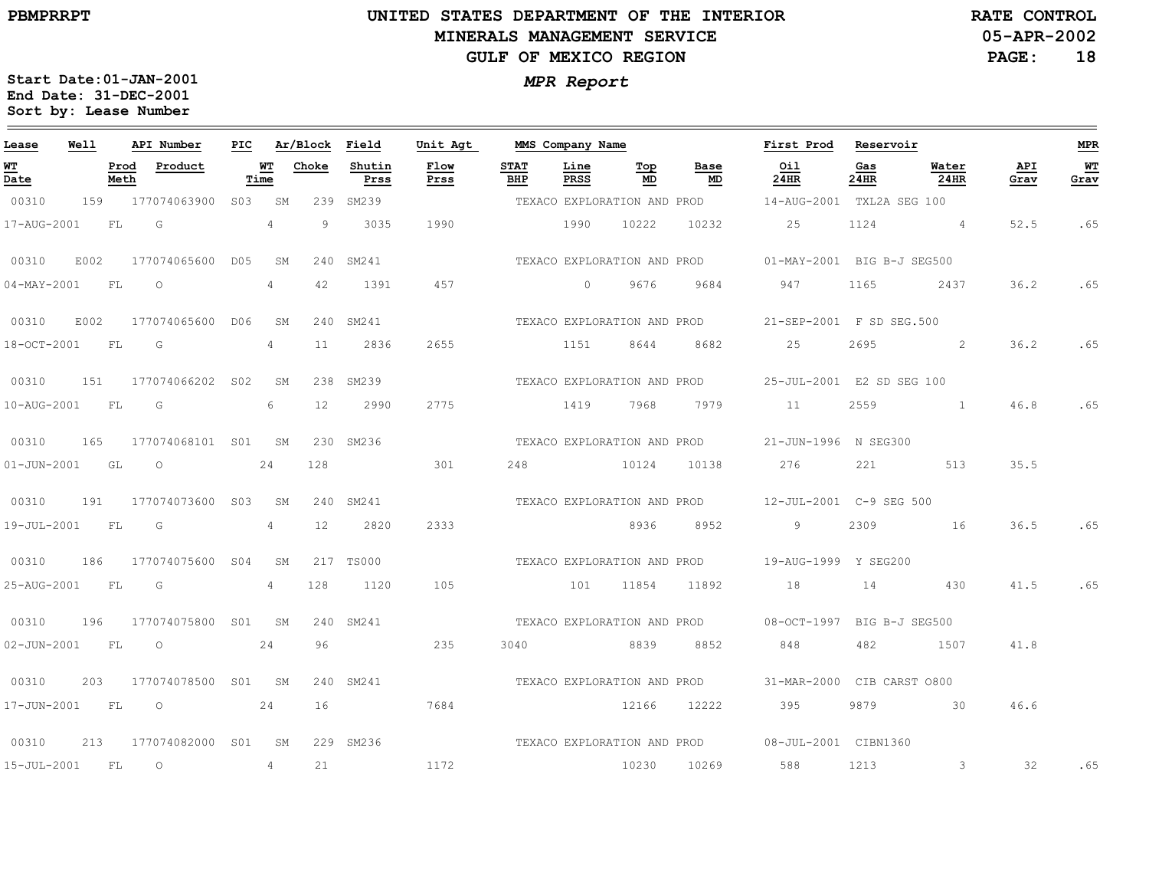# **UNITED STATES DEPARTMENT OF THE INTERIOR MINERALS MANAGEMENT SERVICEGULF OF MEXICO REGION**

**05-APR-2002RATE CONTROL**

**PAGE:18**

| Lease               | Well |              | API Number       | PIC |            | Ar/Block Field |                | Unit Agt     |                    | MMS Company Name |                             |                             | First Prod                                             | Reservoir   |                |             | MPR        |
|---------------------|------|--------------|------------------|-----|------------|----------------|----------------|--------------|--------------------|------------------|-----------------------------|-----------------------------|--------------------------------------------------------|-------------|----------------|-------------|------------|
| <u>W'I'</u><br>Date |      | Prod<br>Meth | Product          |     | WT<br>Time | Choke          | Shutin<br>Prss | Flow<br>Prss | <b>STAT</b><br>BHP | Line<br>PRSS     | Top<br>MD                   | Base<br>MD                  | Oil<br>24HR                                            | Gas<br>24HR | Water<br>24HR  | API<br>Grav | WT<br>Grav |
| 00310               | 159  |              | 177074063900     | S03 | SΜ         | 239            | SM239          |              |                    |                  |                             |                             | TEXACO EXPLORATION AND PROD 14-AUG-2001 TXL2A SEG 100  |             |                |             |            |
| 17-AUG-2001         |      | FL           | G                |     | 4          | 9              | 3035           | 1990         |                    | 1990             | 10222                       | 10232                       | 25                                                     | 1124        | 4 <sup>1</sup> | 52.5        | .65        |
| 00310               | E002 |              | 177074065600     | D05 | SΜ         | 240            | SM241          |              |                    |                  | TEXACO EXPLORATION AND PROD |                             | 01-MAY-2001 BIG B-J SEG500                             |             |                |             |            |
| $04 - MAX - 2001$   |      | FL           | $\circ$          |     | 4          | 42             | 1391           | 457          |                    | $\circ$          | 9676                        | 9684                        | 947                                                    | 1165        | 2437           | 36.2        | .65        |
| 00310               | E002 |              | 177074065600     | DO6 | SM         |                | 240 SM241      |              |                    |                  |                             | TEXACO EXPLORATION AND PROD | 21-SEP-2001 F SD SEG.500                               |             |                |             |            |
| 18-OCT-2001         |      | FL           | G                |     | 4          | 11             | 2836           | 2655         |                    | 1151             | 8644                        | 8682                        | 25                                                     | 2695        | 2              | 36.2        | .65        |
| 00310               | 151  |              | 177074066202 S02 |     | SΜ         |                | 238 SM239      |              |                    |                  |                             | TEXACO EXPLORATION AND PROD | 25-JUL-2001 E2 SD SEG 100                              |             |                |             |            |
| 10-AUG-2001         |      | FL           | G                |     | 6          | 12             | 2990           | 2775         |                    | 1419             | 7968                        | 7979                        | 11                                                     | 2559        | $\sim$ 1       | 46.8        | .65        |
| 00310               | 165  |              | 177074068101 S01 |     | SM         | 230            | SM236          |              |                    |                  | TEXACO EXPLORATION AND PROD |                             | 21-JUN-1996 N SEG300                                   |             |                |             |            |
| $01 - JUN - 2001$   |      | GL           | $\circ$          |     | 24         | 128            |                | 301          | 248                |                  | 10124                       | 10138                       | 276                                                    | 221         | 513            | 35.5        |            |
| 00310               | 191  |              | 177074073600 S03 |     | SΜ         |                | 240 SM241      |              |                    |                  |                             |                             | TEXACO EXPLORATION AND PROD 12-JUL-2001 C-9 SEG 500    |             |                |             |            |
| 19-JUL-2001         |      | FL           | G                |     | 4          | 12             | 2820           | 2333         |                    |                  | 8936                        | 8952                        | 9                                                      | 2309        | 16             | 36.5        | .65        |
| 00310               | 186  |              | 177074075600 S04 |     | SΜ         |                | 217 TS000      |              |                    |                  | TEXACO EXPLORATION AND PROD |                             | 19-AUG-1999 Y SEG200                                   |             |                |             |            |
| 25-AUG-2001         |      | <b>FL</b>    | G                |     | 4          | 128            | 1120           | 105          |                    | 101              | 11854                       | 11892                       | 18                                                     | 14          | 430            | 41.5        | .65        |
| 00310               | 196  |              | 177074075800 S01 |     | SM         |                | 240 SM241      |              |                    |                  |                             |                             | TEXACO EXPLORATION AND PROD 08-OCT-1997 BIG B-J SEG500 |             |                |             |            |
| $02 - JUN - 2001$   |      | FL           | $\circ$          |     | 24         | 96             |                | 235          | 3040               |                  | 8839                        | 8852                        | 848                                                    | 482         | 1507           | 41.8        |            |
| 00310               | 203  |              | 177074078500 S01 |     | SM         |                | 240 SM241      |              |                    |                  | TEXACO EXPLORATION AND PROD |                             | 31-MAR-2000                                            |             | CIB CARST 0800 |             |            |
| 17-JUN-2001         |      | FL           | $\overline{O}$   |     | 24         | 16             |                | 7684         |                    |                  | 12166                       | 12222                       | 395                                                    | 9879        | $\sim$ 30      | 46.6        |            |
| 00310               | 213  |              | 177074082000 S01 |     | SM         |                | 229 SM236      |              |                    |                  |                             |                             | TEXACO EXPLORATION AND PROD 08-JUL-2001 CIBN1360       |             |                |             |            |
| $15 - JUL - 2001$   |      | FL           | $\circ$          |     | 4          | 21             |                | 1172         |                    |                  | 10230                       | 10269                       | 588                                                    | 1213        | $\mathcal{S}$  | 32          | .65        |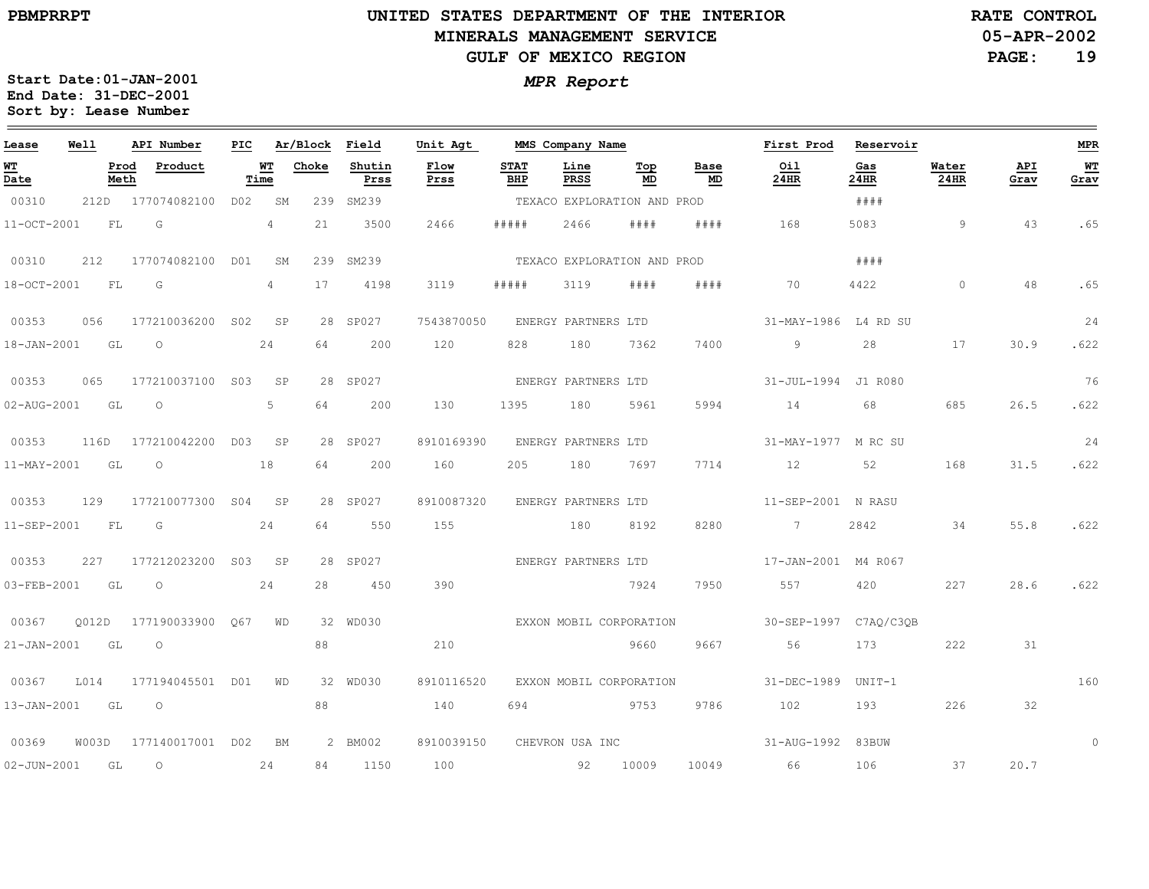# **UNITED STATES DEPARTMENT OF THE INTERIOR MINERALS MANAGEMENT SERVICEGULF OF MEXICO REGION**

**05-APR-2002RATE CONTROL**

**PAGE:19**

| Lease             | Well  |              | API Number       | PIC             |                | Ar/Block | Field          | Unit Agt     |                    | MMS Company Name    |                             |            | First Prod            | Reservoir   |               |             | <b>MPR</b> |
|-------------------|-------|--------------|------------------|-----------------|----------------|----------|----------------|--------------|--------------------|---------------------|-----------------------------|------------|-----------------------|-------------|---------------|-------------|------------|
| <u>WТ</u><br>Date |       | Prod<br>Meth | Product          |                 | WТ<br>Time     | Choke    | Shutin<br>Prss | Flow<br>Prss | <b>STAT</b><br>BHP | Line<br><b>PRSS</b> | Top<br>MD                   | Base<br>MD | Oil<br>24HR           | Gas<br>24HR | Water<br>24HR | API<br>Grav | WT<br>Grav |
| 00310             | 212D  |              | 177074082100     | D02             | SM             | 239      | SM239          |              |                    |                     | TEXACO EXPLORATION AND PROD |            |                       | # # # #     |               |             |            |
| 11-OCT-2001       |       | FL           | G                |                 | $\overline{4}$ | 21       | 3500           | 2466         | # # # # #          | 2466                | # # # #                     | # # # #    | 168                   | 5083        | 9             | 43          | .65        |
| 00310             | 212   |              | 177074082100     | D01             | SM             | 239      | SM239          |              |                    |                     | TEXACO EXPLORATION AND PROD |            |                       | # # # #     |               |             |            |
| 18-OCT-2001       |       | FL           | G                |                 | $\overline{4}$ | 17       | 4198           | 3119         | #####              | 3119                | # # # #                     | # # # #    | 70                    | 4422        | $\Omega$      | 48          | .65        |
| 00353             | 056   |              | 177210036200     | S <sub>02</sub> | SP             |          | 28 SP027       | 7543870050   |                    | ENERGY PARTNERS LTD |                             |            | 31-MAY-1986           | L4 RD SU    |               |             | 24         |
| 18-JAN-2001       |       | GL           | $\circ$          |                 | 24             | 64       | 200            | 120          | 828                | 180                 | 7362                        | 7400       | 9                     | 28          | 17            | 30.9        | .622       |
| 00353             | 065   |              | 177210037100     | S03             | SP             |          | 28 SP027       |              |                    | ENERGY PARTNERS LTD |                             |            | 31-JUL-1994           | J1 R080     |               |             | 76         |
| 02-AUG-2001       |       | GL           | $\circ$          |                 | 5              | 64       | 200            | 130          | 1395               | 180                 | 5961                        | 5994       | 14                    | 68          | 685           | 26.5        | .622       |
| 00353             | 116D  |              | 177210042200     | D03             | SP             |          | 28 SP027       | 8910169390   |                    | ENERGY PARTNERS LTD |                             |            | 31-MAY-1977           | M RC SU     |               |             | 24         |
| 11-MAY-2001       |       | GL           | $\circ$          |                 | 18             | 64       | 200            | 160          | 205                | 180                 | 7697                        | 7714       | 12                    | 52          | 168           | 31.5        | .622       |
| 00353             | 129   |              | 177210077300     | SO <sub>4</sub> | SP             |          | 28 SP027       | 8910087320   |                    | ENERGY PARTNERS LTD |                             |            | $11 - SEP - 2001$     | N RASU      |               |             |            |
| 11-SEP-2001       |       | ${\rm FL}$   | G                |                 | 24             | 64       | 550            | 155          |                    | 180                 | 8192                        | 8280       | $7\phantom{0}$        | 2842        | 34            | 55.8        | .622       |
| 00353             | 227   |              | 177212023200     | S <sub>03</sub> | SP             |          | 28 SP027       |              |                    | ENERGY PARTNERS LTD |                             |            | 17-JAN-2001           | M4 R067     |               |             |            |
| 03-FEB-2001       |       | GL           | $\circ$          |                 | 24             | 28       | 450            | 390          |                    |                     | 7924                        | 7950       | 557                   | 420         | 227           | 28.6        | .622       |
| 00367             | 0012D |              | 177190033900     | 067             | WD             |          | 32 WD030       |              |                    |                     | EXXON MOBIL CORPORATION     |            | 30-SEP-1997 C7AO/C3OB |             |               |             |            |
| $21 - JAN - 2001$ |       | GL           | $\circ$          |                 |                | 88       |                | 210          |                    |                     | 9660                        | 9667       | 56                    | 173         | 222           | 31          |            |
| 00367             | L014  |              | 177194045501     | D01             | WD             |          | 32 WD030       | 8910116520   |                    |                     | EXXON MOBIL CORPORATION     |            | $31 - DEC - 1989$     | $UNIT-1$    |               |             | 160        |
| 13-JAN-2001       |       | GL           | $\circ$          |                 |                | 88       |                | 140          | 694                |                     | 9753                        | 9786       | 102                   | 193         | 226           | 32          |            |
| 00369             | W003D |              | 177140017001 D02 |                 | BM             |          | 2 BM002        | 8910039150   |                    | CHEVRON USA INC     |                             |            | 31-AUG-1992           | 83BUW       |               |             | $\circ$    |
| $02 - JUN - 2001$ |       | GL           | $\circ$          |                 | 24             | 84       | 1150           | 100          |                    | 92                  | 10009                       | 10049      | 66                    | 106         | 37            | 20.7        |            |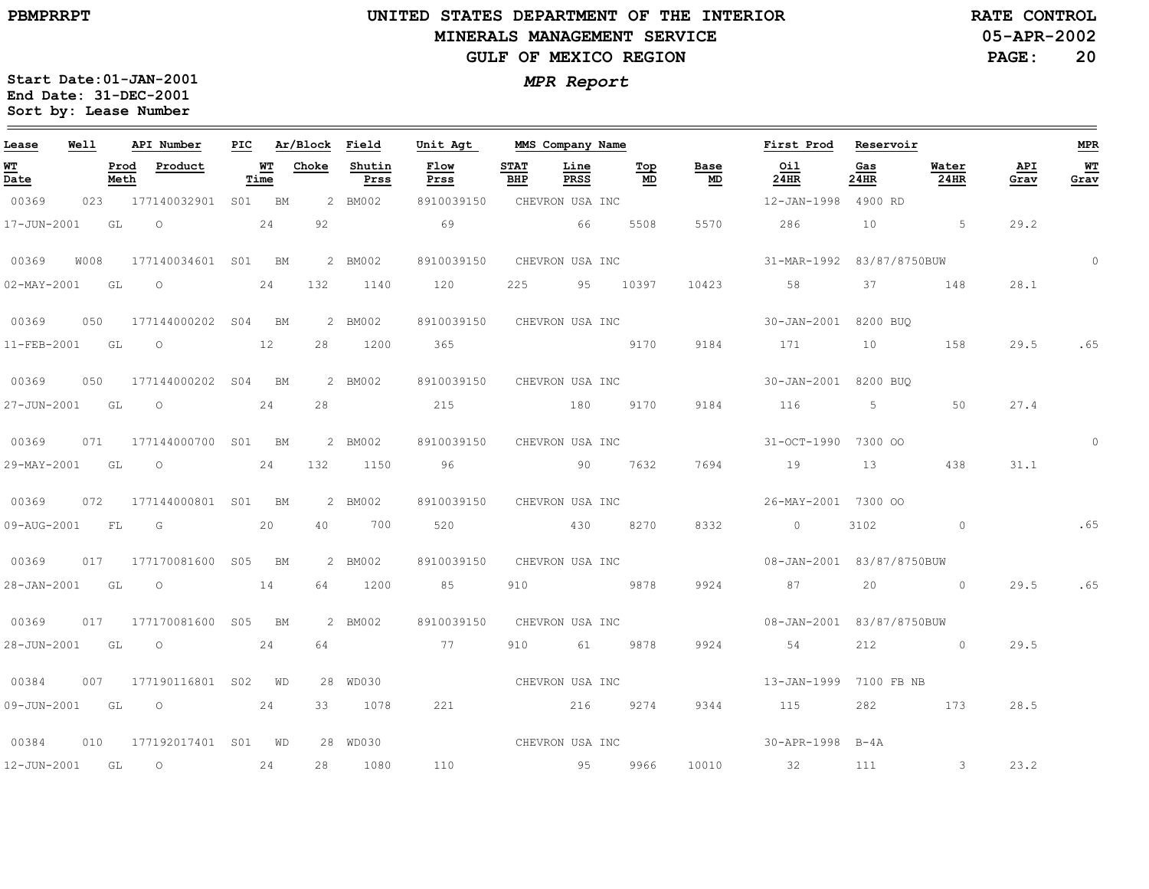$\equiv$ 

# **UNITED STATES DEPARTMENT OF THE INTERIOR MINERALS MANAGEMENT SERVICEGULF OF MEXICO REGION**

**05-APR-2002RATE CONTROL**

**PAGE:20**

| Lease             | Well |              | API Number               |            | PIC Ar/Block Field |                | Unit Agt                                                                                                       |                    | MMS Company Name |           |            | First Prod                | Reservoir   |                          |             | <b>MPR</b>  |
|-------------------|------|--------------|--------------------------|------------|--------------------|----------------|----------------------------------------------------------------------------------------------------------------|--------------------|------------------|-----------|------------|---------------------------|-------------|--------------------------|-------------|-------------|
| WТ<br>Date        |      | Prod<br>Meth | Product                  | WT<br>Time | Choke              | Shutin<br>Prss | Flow<br>Prss                                                                                                   | <b>STAT</b><br>BHP | Line<br>PRSS     | Top<br>MD | Base<br>MD | Oil<br>24HR               | Gas<br>24HR | Water<br>24HR            | API<br>Grav | WT<br>Grav  |
| 00369             |      |              | 023 177140032901 S01 BM  |            |                    | 2 BM002        | 8910039150                                                                                                     |                    | CHEVRON USA INC  |           |            | 12-JAN-1998 4900 RD       |             |                          |             |             |
| 17-JUN-2001       |      | GL           | $\overline{O}$           | 24         | 92                 |                | 69                                                                                                             |                    | 66 - 10          | 5508      | 5570       | 286                       | 10          | $5^{\circ}$              | 29.2        |             |
| 00369             | W008 |              | 177140034601 S01 BM      |            |                    | 2 BM002        | 8910039150                                                                                                     |                    | CHEVRON USA INC  |           |            | 31-MAR-1992 83/87/8750BUW |             |                          |             | $\mathbf 0$ |
| $02 - MAX - 2001$ |      | GL           | $\overline{O}$           | 24         | 132                | 1140           | 120                                                                                                            | 225                |                  | 95 10397  | 10423      | 58                        | 37          | 148                      | 28.1        |             |
| 00369             | 050  |              | 177144000202 S04 BM      |            |                    | 2 BM002        | 8910039150                                                                                                     |                    | CHEVRON USA INC  |           |            | 30-JAN-2001 8200 BUO      |             |                          |             |             |
| 11-FEB-2001       |      | GL           | $\overline{O}$           | 12         |                    | 28 1200        | 365 - 365 - 366 - 366 - 367 - 368 - 369 - 369 - 369 - 369 - 369 - 369 - 369 - 369 - 369 - 369 - 369 - 369 - 36 |                    |                  | 9170      | 9184       | 171                       |             | 158                      | 29.5        | .65         |
| 00369             | 050  |              | 177144000202 S04 BM      |            |                    | 2 BM002        | 8910039150 CHEVRON USA INC                                                                                     |                    |                  |           |            | 30-JAN-2001 8200 BUO      |             |                          |             |             |
| 27-JUN-2001       |      | GL           | $\circ$                  | 24         | 28                 |                | 215                                                                                                            |                    | 180              | 9170      | 9184       | 116                       | 5           | 50                       | 27.4        |             |
| 00369             | 071  |              | 177144000700 S01 BM      |            |                    | 2 BM002        | 8910039150                                                                                                     |                    | CHEVRON USA INC  |           |            | 31-OCT-1990 7300 OO       |             |                          |             | $\Omega$    |
| 29-MAY-2001       |      | GL           | $\overline{O}$           | 24         | 132                | 1150           | 96 —                                                                                                           |                    | 90 7632          |           | 7694       | 19                        | 13          | 438                      | 31.1        |             |
| 00369             | 072  |              | 177144000801 S01 BM      |            |                    | 2 BM002        | 8910039150                                                                                                     |                    | CHEVRON USA INC  |           |            | 26-MAY-2001 7300 00       |             |                          |             |             |
| 09-AUG-2001       |      | FL           | G                        | 20         | 40                 | 700            | 520                                                                                                            |                    | 430              | 8270      | 8332       | $\circ$                   | 3102        | $\circ$                  |             | .65         |
| 00369             |      |              | 017 177170081600 S05 BM  |            |                    | 2 BM002        | 8910039150                                                                                                     |                    | CHEVRON USA INC  |           |            | 08-JAN-2001 83/87/8750BUW |             |                          |             |             |
| 28-JAN-2001       |      | GL           | $\overline{O}$           | 14         | 64                 | 1200           | 85                                                                                                             | 910                | 2878 9878        |           | 9924       | 87                        | 20          | $\circ$                  | 29.5        | .65         |
| 00369             |      |              | 017 177170081600 S05 BM  |            |                    | 2 BM002        | 8910039150                                                                                                     |                    | CHEVRON USA INC  |           |            | 08-JAN-2001 83/87/8750BUW |             |                          |             |             |
| 28-JUN-2001       |      | GL           | $\overline{O}$           | 24         | 64                 |                | 77                                                                                                             | 910                | 61 —             | 9878      | 9924       | 54                        | 212         | $\sim$ 0 $\sim$ 0 $\sim$ | 29.5        |             |
| 00384             | 007  |              | 177190116801 S02 WD      |            |                    | 28 WD030       |                                                                                                                |                    | CHEVRON USA INC  |           |            | 13-JAN-1999 7100 FB NB    |             |                          |             |             |
| 09-JUN-2001 GL    |      |              | $\overline{O}$           | 24         | 33                 | 1078           | 221                                                                                                            |                    | 216              | 9274      | 9344       | 115                       | 282         | 173                      | 28.5        |             |
| 00384             | 010  |              | 177192017401 S01 WD      |            |                    | 28 WD030       | CHEVRON USA INC                                                                                                |                    |                  |           |            | 30-APR-1998 B-4A          |             |                          |             |             |
| 12-JUN-2001       |      | GL           | $\overline{\phantom{0}}$ | 24         | 28                 | 1080           | 110                                                                                                            |                    | 95               | 9966      | 10010      | 32                        | 111         | $\sim$ 3                 | 23.2        |             |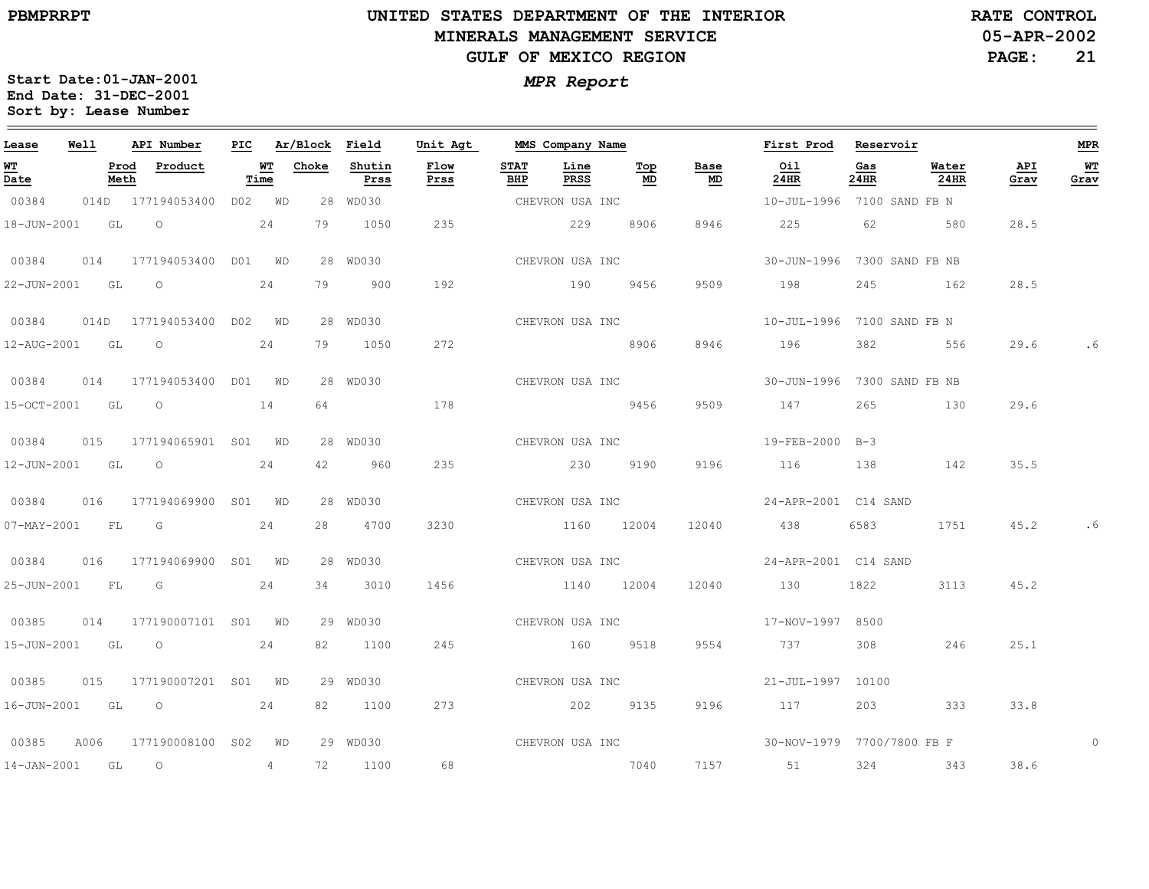$\equiv$ 

# **UNITED STATES DEPARTMENT OF THE INTERIOR MINERALS MANAGEMENT SERVICEGULF OF MEXICO REGION**

**05-APR-2002RATE CONTROL**

**PAGE:21**

| Lease            | Well | API Number               | PIC |                   | Ar/Block Field |                | Unit Agt     |                    | MMS Company Name |                 |            | First Prod                  | Reservoir   |               |             | <b>MPR</b> |
|------------------|------|--------------------------|-----|-------------------|----------------|----------------|--------------|--------------------|------------------|-----------------|------------|-----------------------------|-------------|---------------|-------------|------------|
| WT<br>Date       |      | Prod<br>Product<br>Meth  |     | <u>WT</u><br>Time | Choke          | Shutin<br>Prss | Flow<br>Prss | <b>STAT</b><br>BHP | Line<br>PRSS     | Top<br>MD       | Base<br>MD | Oil<br>24HR                 | Gas<br>24HR | Water<br>24HR | API<br>Grav | WT<br>Grav |
| 00384            |      | 014D 177194053400        |     | DO2 WD            |                | 28 WD030       |              |                    | CHEVRON USA INC  |                 |            | 10-JUL-1996 7100 SAND FB N  |             |               |             |            |
| 18-JUN-2001 GL   |      | $\overline{O}$           |     | 24                | 79             | 1050           | 235          |                    | 229              | 8906            | 8946       | 225                         | 62          | 580           | 28.5        |            |
| 00384            | 014  | 177194053400 D01 WD      |     |                   |                | 28 WD030       |              |                    | CHEVRON USA INC  |                 |            | 30-JUN-1996 7300 SAND FB NB |             |               |             |            |
| 22-JUN-2001 GL   |      | $\circ$                  |     | 24                | 79             | 900            | 192          |                    | 190              | 9456            | 9509       | 198                         | 245         | 162           | 28.5        |            |
| 00384            |      | 014D 177194053400 D02 WD |     |                   |                | 28 WD030       |              |                    | CHEVRON USA INC  |                 |            | 10-JUL-1996 7100 SAND FB N  |             |               |             |            |
| 12-AUG-2001 GL   |      | $\overline{O}$           |     | 24                | 79             | 1050           | 272          |                    | 8906             |                 | 8946       | 196                         | 382         | 556           | 29.6        |            |
| 00384            | 014  | 177194053400 DO1 WD      |     |                   |                | 28 WD030       |              |                    |                  | CHEVRON USA INC |            | 30-JUN-1996 7300 SAND FB NB |             |               |             |            |
| 15-OCT-2001 GL   |      | $\overline{O}$           |     | 14                | 64             |                | 178          |                    | 5456             |                 | 9509       | 147                         | 265         | 130           | 29.6        |            |
| 00384            |      | 015 177194065901 S01 WD  |     |                   |                | 28 WD030       |              |                    | CHEVRON USA INC  |                 |            | 19-FEB-2000 B-3             |             |               |             |            |
| 12-JUN-2001 GL O |      |                          |     | 24                | 42             | 960            | 235          |                    | 230 9190         |                 | 9196       | 116                         | 138         | 142           | 35.5        |            |
| 00384            | 016  | 177194069900 S01 WD      |     |                   |                | 28 WD030       |              |                    | CHEVRON USA INC  |                 |            | 24-APR-2001 C14 SAND        |             |               |             |            |
| 07-MAY-2001 FL G |      |                          |     | 24                | 28             | 4700           | 3230         |                    | 1160 12004       |                 | 12040      | 438                         | 6583        | 1751          | 45.2        | . 6        |
| 00384            |      | 016 177194069900 S01 WD  |     |                   |                | 28 WD030       |              |                    | CHEVRON USA INC  |                 |            | 24-APR-2001 C14 SAND        |             |               |             |            |
| 25-JUN-2001      |      | FL G                     |     | 24                | 34             | 3010           | 1456         |                    | 1140 12004       |                 | 12040      | 130                         | 1822        | 3113          | 45.2        |            |
| 00385            | 014  | 177190007101 S01 WD      |     |                   |                | 29 WD030       |              |                    |                  |                 |            |                             |             |               |             |            |
| 15-JUN-2001 GL   |      |                          |     | 24                | 82             | 1100           | 245          |                    | 160 9518         |                 | 9554       | 737                         | 308         | 246           | 25.1        |            |
| 00385            |      | 015 177190007201 S01 WD  |     |                   |                | 29 WD030       |              |                    | CHEVRON USA INC  |                 |            | 21-JUL-1997 10100           |             |               |             |            |
|                  |      | 16-JUN-2001 GL 0 24      |     |                   | 82             | 1100           | 273          |                    | 202 9135         |                 | 9196       | 117                         |             | 203 333       | 33.8        |            |
| 00385            | A006 | 177190008100 S02 WD      |     |                   |                | 29 WD030       |              |                    |                  |                 |            |                             |             |               |             |            |
| 14-JAN-2001 GL   |      | $\overline{\phantom{0}}$ |     | 4                 | 72             | 1100           | 68           |                    | 2040             |                 | 7157       | 51                          | 324         | 343           | 38.6        |            |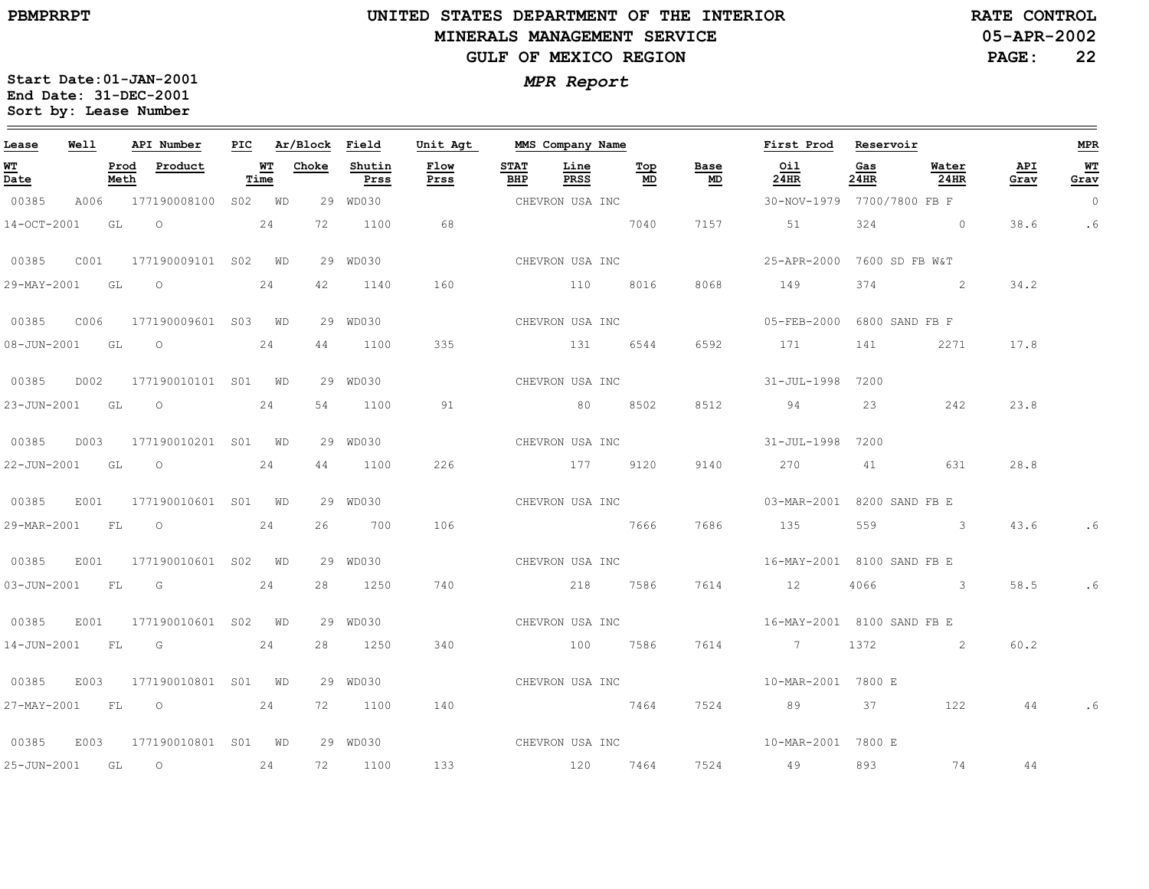$\equiv$ 

# **UNITED STATES DEPARTMENT OF THE INTERIOR MINERALS MANAGEMENT SERVICEGULF OF MEXICO REGION**

**05-APR-2002RATE CONTROL**

**PAGE:22**

| Lease                          | Well |              | API Number                                                                                                                                                                                                                                                                                                                         | PIC |                   | Ar/Block | Field          | Unit Agt     |                    | MMS Company Name |           |                 | First Prod                 | Reservoir   |                      |             | <b>MPR</b> |
|--------------------------------|------|--------------|------------------------------------------------------------------------------------------------------------------------------------------------------------------------------------------------------------------------------------------------------------------------------------------------------------------------------------|-----|-------------------|----------|----------------|--------------|--------------------|------------------|-----------|-----------------|----------------------------|-------------|----------------------|-------------|------------|
| WT<br>$\overline{\text{Date}}$ |      | Prod<br>Meth | Product                                                                                                                                                                                                                                                                                                                            |     | <b>WT</b><br>Time | Choke    | Shutin<br>Prss | Flow<br>Prss | <b>STAT</b><br>BHP | Line<br>PRSS     | Top<br>MD | Base<br>MD      | Oil<br>24HR                | Gas<br>24HR | Water<br><b>24HR</b> | API<br>Grav | WT<br>Grav |
| 00385                          |      |              | A006 177190008100 S02 WD                                                                                                                                                                                                                                                                                                           |     |                   |          | 29 WD030       |              | CHEVRON USA INC    |                  |           |                 | 30-NOV-1979 7700/7800 FB F |             |                      |             | $\circ$    |
| 14-OCT-2001                    |      | GL           | $\circ$                                                                                                                                                                                                                                                                                                                            |     | 24                | 72       | 1100           | 68           |                    |                  | 7040      | 7157            | 51                         | 324         | $\sim$ 0             | 38.6        | .6         |
| 00385                          | C001 |              | 177190009101 S02 WD                                                                                                                                                                                                                                                                                                                |     |                   |          | 29 WD030       |              | CHEVRON USA INC    |                  |           |                 | 25-APR-2000 7600 SD FB W&T |             |                      |             |            |
| 29-MAY-2001                    |      | GL           | $\circ$                                                                                                                                                                                                                                                                                                                            |     | 24                | 42       | 1140           | 160          |                    | 110              | 8016      | 8068            | 149                        | 374         | $\sim$ 2             | 34.2        |            |
| 00385 C006                     |      |              | 177190009601 S03 WD                                                                                                                                                                                                                                                                                                                |     |                   |          | 29 WD030       |              |                    | CHEVRON USA INC  |           |                 | 05-FEB-2000 6800 SAND FB F |             |                      |             |            |
| 08-JUN-2001 GL                 |      |              | $\overline{\phantom{0}}$                                                                                                                                                                                                                                                                                                           |     | 24                | 44       | 1100           | 335          |                    | 131 6544         |           | 6592            | 171                        | 141         | 2271                 | 17.8        |            |
| 00385                          | D002 |              | 177190010101 S01 WD                                                                                                                                                                                                                                                                                                                |     |                   |          | 29 WD030       |              |                    | CHEVRON USA INC  |           |                 | 31-JUL-1998 7200           |             |                      |             |            |
| 23-JUN-2001 GL                 |      |              | $\overline{O}$                                                                                                                                                                                                                                                                                                                     |     | 24                | 54       | 1100           | 91           |                    | 80               | 8502      | 8512            | 94                         | 23          | 242                  | 23.8        |            |
| 00385                          |      |              | D003 177190010201 S01 WD                                                                                                                                                                                                                                                                                                           |     |                   |          | 29 WD030       |              |                    | CHEVRON USA INC  |           |                 | 31-JUL-1998 7200           |             |                      |             |            |
| 22-JUN-2001 GL                 |      |              | $\overline{O}$ and $\overline{O}$ and $\overline{O}$ and $\overline{O}$ and $\overline{O}$ and $\overline{O}$ and $\overline{O}$ and $\overline{O}$ and $\overline{O}$ and $\overline{O}$ and $\overline{O}$ and $\overline{O}$ and $\overline{O}$ and $\overline{O}$ and $\overline{O}$ and $\overline{O}$ and $\overline{O}$ and |     | 24                | 44       | 1100           | 226          |                    | 177 9120         |           | 9140            | 270                        | 41          | 631                  | 28.8        |            |
| 00385                          | E001 |              | 177190010601 S01 WD                                                                                                                                                                                                                                                                                                                |     |                   |          | 29 WD030       |              |                    |                  |           | CHEVRON USA INC | 03-MAR-2001 8200 SAND FB E |             |                      |             |            |
| 29-MAR-2001 FL                 |      |              | $\overline{O}$                                                                                                                                                                                                                                                                                                                     |     | 24                | 26       | 700            | 106          |                    | 7666             |           | 7686            | 135                        |             | 559 3                | 43.6        | .6         |
| 00385                          |      |              | E001 177190010601 S02 WD                                                                                                                                                                                                                                                                                                           |     |                   |          | 29 WD030       |              |                    | CHEVRON USA INC  |           |                 | 16-MAY-2001 8100 SAND FB E |             |                      |             |            |
|                                |      |              | 03-JUN-2001 FL G 24                                                                                                                                                                                                                                                                                                                |     |                   |          | 28 1250        | 740          |                    | 218 7586         |           | 7614            | 12                         |             | 4066 3               | 58.5        | .6         |
| 00385                          | E001 |              | 177190010601 S02 WD                                                                                                                                                                                                                                                                                                                |     |                   |          | 29 WD030       |              | CHEVRON USA INC    |                  |           |                 | 16-MAY-2001 8100 SAND FB E |             |                      |             |            |
| 14-JUN-2001 FL G               |      |              |                                                                                                                                                                                                                                                                                                                                    |     | 24                |          | 28 1250        | 340          |                    | 100 7586         |           | 7614            | $\overline{7}$             | 1372        | $\sim$ 2             | 60.2        |            |
| 00385                          | E003 |              | 177190010801 S01 WD                                                                                                                                                                                                                                                                                                                |     |                   |          | 29 WD030       |              |                    | CHEVRON USA INC  |           |                 | 10-MAR-2001 7800 E         |             |                      |             |            |
|                                |      |              | 27-MAY-2001 FL 0 24                                                                                                                                                                                                                                                                                                                |     |                   |          | 72 1100        | 140          |                    |                  | 7464      | 7524            | 89 37                      |             | 122                  | 44          |            |
| 00385                          | E003 |              | 177190010801 S01 WD                                                                                                                                                                                                                                                                                                                |     |                   |          | 29 WD030       |              |                    |                  |           |                 |                            |             |                      |             |            |
| 25-JUN-2001 GL                 |      |              | $\overline{\phantom{0}}$                                                                                                                                                                                                                                                                                                           |     | 24                | 72       | 1100           | 133          | 120 7464           |                  |           | 7524            | 49                         | 893         | 74                   | 44          |            |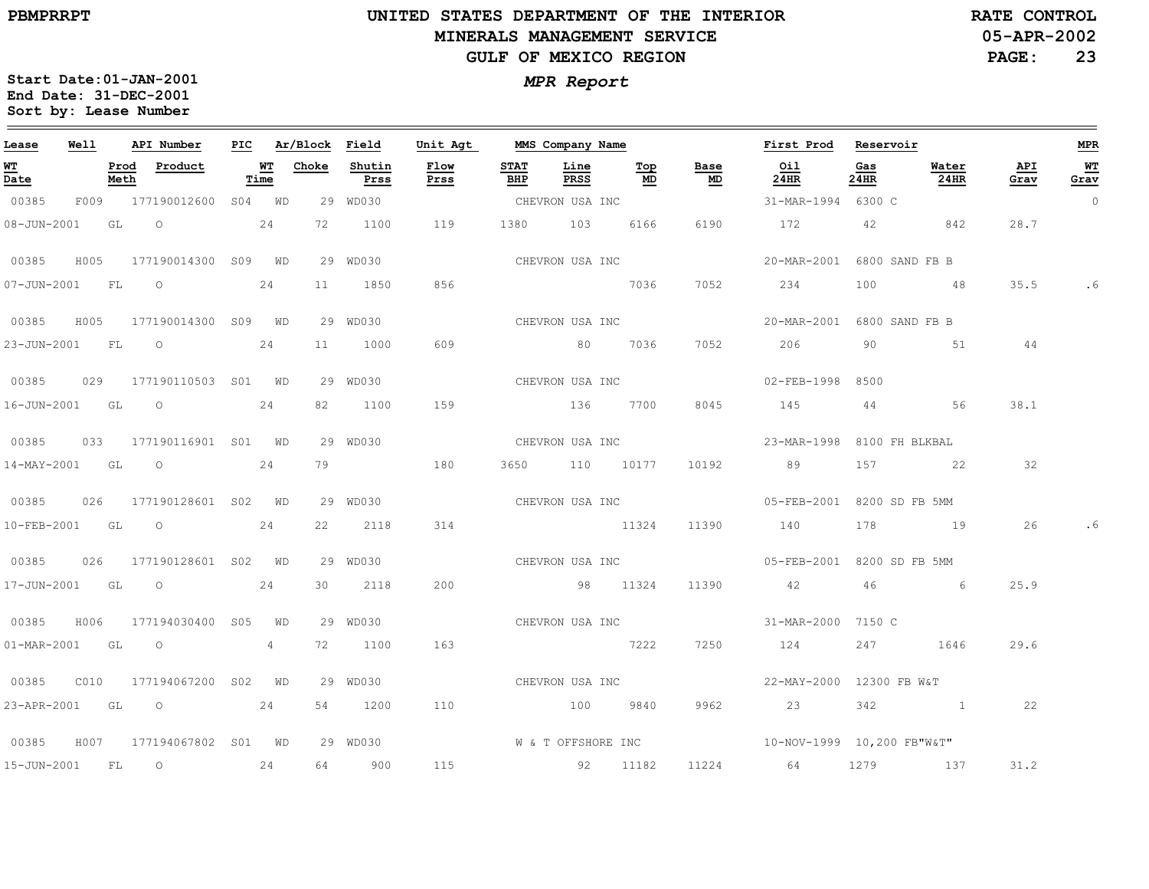# **UNITED STATES DEPARTMENT OF THE INTERIOR MINERALS MANAGEMENT SERVICEGULF OF MEXICO REGION**

**05-APR-2002RATE CONTROL**

**PAGE:23**

| Lease             | Well |              | API Number               |            | PIC Ar/Block Field |                | Unit Agt     |                    | MMS Company Name |                 |                                   | First Prod Reservoir                                  |             |               |             | <b>MPR</b> |
|-------------------|------|--------------|--------------------------|------------|--------------------|----------------|--------------|--------------------|------------------|-----------------|-----------------------------------|-------------------------------------------------------|-------------|---------------|-------------|------------|
| <u>WT</u><br>Date |      | Prod<br>Meth | Product                  | WT<br>Time | Choke              | Shutin<br>Prss | Flow<br>Prss | <b>STAT</b><br>BHP | Line<br>PRSS     | Top<br>MD       | Base<br>$\underline{\mathsf{MD}}$ | Oil<br>24HR                                           | Gas<br>24HR | Water<br>24HR | API<br>Grav | WT<br>Grav |
| 00385             |      |              | F009 177190012600        | S04 WD     |                    | 29 WD030       |              |                    | CHEVRON USA INC  |                 |                                   | 31-MAR-1994 6300 C                                    |             |               |             | $\circ$    |
|                   |      |              | 08-JUN-2001 GL O         | 24         | 72                 | 1100           | 119          |                    | 1380 103         | 6166            | 6190                              | 172 42 842                                            |             |               | 28.7        |            |
| 00385             | H005 |              | 177190014300 S09 WD      |            |                    | 29 WD030       |              |                    |                  | CHEVRON USA INC |                                   | 20-MAR-2001 6800 SAND FB B                            |             |               |             |            |
| $07 - JUN - 2001$ |      | FL           | $\overline{a}$           | 24         | 11                 | 1850           | 856          |                    | 2036 7036        |                 | 7052                              | 234                                                   | 100         | 48            | 35.5        | . 6        |
| 00385             |      |              | H005 177190014300 S09 WD |            |                    | 29 WD030       |              |                    |                  | CHEVRON USA INC |                                   | 20-MAR-2001 6800 SAND FB B                            |             |               |             |            |
| 23-JUN-2001 FL O  |      |              |                          | 24         | 11                 | 1000           | 609          |                    | 80 7036          |                 | 7052                              | 206                                                   | 90          | 51            | 44          |            |
| 00385             |      |              | 029 177190110503 S01 WD  |            |                    | 29 WD030       |              |                    | CHEVRON USA INC  |                 |                                   | 02-FEB-1998                                           | 8500        |               |             |            |
| 16-JUN-2001 GL    |      |              | $\overline{O}$           | 24         | 82.                | 1100           | 159          |                    | 136 7700         |                 | 8045                              | 145                                                   |             | 44 56         | 38.1        |            |
| 00385             |      |              | 033 177190116901 S01 WD  |            |                    | 29 WD030       |              |                    | CHEVRON USA INC  |                 |                                   | 23-MAR-1998 8100 FH BLKBAL                            |             |               |             |            |
|                   |      |              | 14-MAY-2001 GL O         | 24         | 79                 |                | 180          |                    | 3650 110 10177   |                 | 10192                             | 89                                                    | 157         | 22            | 32          |            |
| 00385             | 026  |              | 177190128601 S02 WD      |            |                    | 29 WD030       |              |                    |                  |                 | CHEVRON USA INC                   | 05-FEB-2001 8200 SD FB 5MM                            |             |               |             |            |
| 10-FEB-2001       |      | GL           | $\overline{\phantom{0}}$ | 24         | 22                 | 2118           | 314          |                    | 11324            |                 | 11390                             | 140                                                   | 178         | 19            | 26          |            |
| 00385             |      |              | 026 177190128601 S02 WD  |            |                    | 29 WD030       |              |                    |                  |                 | CHEVRON USA INC                   | 05-FEB-2001 8200 SD FB 5MM                            |             |               |             |            |
|                   |      |              | 17-JUN-2001 GL O 24      |            | 30                 | 2118           | 200          |                    | 98 11324         |                 | 11390                             | 42                                                    |             | 46 6          | 25.9        |            |
| 00385             | H006 |              | 177194030400 S05 WD      |            |                    | 29 WD030       |              |                    |                  |                 |                                   | CHEVRON USA INC 31-MAR-2000 7150 C                    |             |               |             |            |
| 01-MAR-2001 GL O  |      |              |                          | 4          |                    | 72 1100        | 163          |                    | 7222             |                 | 7250                              | 124                                                   |             | 247 1646      | 29.6        |            |
| 00385             | CO10 |              | 177194067200 S02 WD      |            |                    | 29 WD030       |              | CHEVRON USA INC    |                  |                 |                                   | 22-MAY-2000 12300 FB W&T                              |             |               |             |            |
|                   |      |              | 23-APR-2001 GL O 24      |            |                    | 54 1200        | 110          |                    | 100 9840         |                 | 9962                              | 23                                                    | 342         |               | 22          |            |
| 00385             |      |              | H007 177194067802 S01 WD |            |                    | 29 WD030       |              |                    |                  |                 |                                   | W & T OFFSHORE INC $10-NOV-1999$ $10,200$ $FB''W&T''$ |             |               |             |            |
| 15-JUN-2001       |      | FL           | $\overline{O}$           | 24         | 64                 | 900            | 115          | 92 11182           |                  |                 |                                   | 11224 64                                              |             | 1279 137      | 31.2        |            |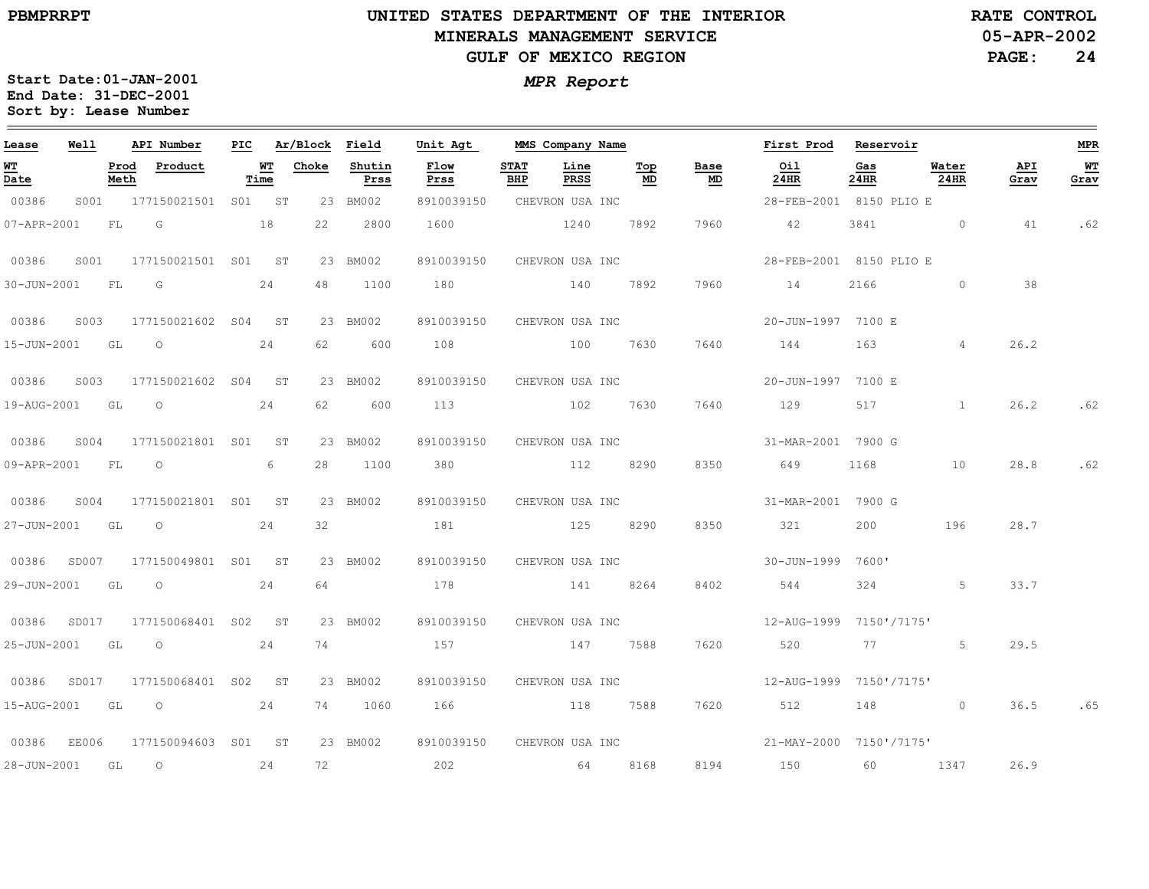### **UNITED STATES DEPARTMENT OF THE INTERIOR MINERALS MANAGEMENT SERVICEGULF OF MEXICO REGION**

**05-APR-2002 RATE CONTROL**

**PAGE:24**

| Lease                                 | Well  |              | API Number          | PIC |                                 | Ar/Block | Field          | Unit Agt     |                    | MMS Company Name |                                        |                          | First Prod              | Reservoir   |               |             | <b>MPR</b>             |
|---------------------------------------|-------|--------------|---------------------|-----|---------------------------------|----------|----------------|--------------|--------------------|------------------|----------------------------------------|--------------------------|-------------------------|-------------|---------------|-------------|------------------------|
| <u>WT</u><br>$\overline{\text{Date}}$ |       | Prod<br>Meth | Product             |     | $\underline{\text{WT}}$<br>Time | Choke    | Shutin<br>Prss | Flow<br>Prss | <b>STAT</b><br>BHP | Line<br>PRSS     | $\underline{\operatorname{Top}}$<br>MD | <b>Base</b><br><u>MD</u> | Oil<br>24HR             | Gas<br>24HR | Water<br>24HR | API<br>Grav | W <sub>T</sub><br>Grav |
| 00386                                 | S001  |              | 177150021501        | S01 | ST                              |          | 23 BM002       | 8910039150   |                    | CHEVRON USA INC  |                                        |                          | 28-FEB-2001 8150 PLIO E |             |               |             |                        |
| 07-APR-2001                           |       | FL           | G                   |     | 18                              | 22       | 2800           | 1600         |                    | 1240             | 7892                                   | 7960                     | 42                      | 3841        | $\circ$       | 41          | .62                    |
| 00386                                 | S001  |              | 177150021501 S01 ST |     |                                 |          | 23 BM002       | 8910039150   |                    | CHEVRON USA INC  |                                        |                          | 28-FEB-2001 8150 PLIO E |             |               |             |                        |
| 30-JUN-2001                           |       | FL           | G                   |     | 24                              | 48       | 1100           | 180          |                    | 140              | 7892                                   | 7960                     | 14                      | 2166        | $\circ$       | 38          |                        |
| 00386                                 | S003  |              | 177150021602 S04    |     | ST                              |          | 23 BM002       | 8910039150   |                    | CHEVRON USA INC  |                                        |                          | 20-JUN-1997 7100 E      |             |               |             |                        |
| 15-JUN-2001                           |       | GL           | $\circ$             |     | 24                              | 62       | 600            | 108          |                    | 100              | 7630                                   | 7640                     | 144                     | 163         | 4             | 26.2        |                        |
| 00386                                 | S003  |              | 177150021602 S04    |     | ST                              |          | 23 BM002       | 8910039150   |                    | CHEVRON USA INC  |                                        |                          | 20-JUN-1997 7100 E      |             |               |             |                        |
| 19-AUG-2001                           |       | GL           | $\circ$             |     | 24                              | 62       | 600            | 113          |                    | 102              | 7630                                   | 7640                     | 129                     | 517         | $\mathbf{1}$  | 26.2        | .62                    |
| 00386                                 | S004  |              | 177150021801 S01    |     | ST                              |          | 23 BM002       | 8910039150   |                    | CHEVRON USA INC  |                                        |                          | 31-MAR-2001 7900 G      |             |               |             |                        |
| 09-APR-2001                           |       | FL           | $\circ$             |     | 6                               | 28       | 1100           | 380          |                    | 112              | 8290                                   | 8350                     | 649                     | 1168        | 10            | 28.8        | .62                    |
| 00386                                 | S004  |              | 177150021801 S01    |     | ST <sup>3</sup>                 |          | 23 BM002       | 8910039150   |                    | CHEVRON USA INC  |                                        |                          | 31-MAR-2001 7900 G      |             |               |             |                        |
| 27-JUN-2001                           |       | GL           | $\circ$             |     | 24                              | 32       |                | 181          |                    | 125              | 8290                                   | 8350                     | 321                     | 200         | 196           | 28.7        |                        |
| 00386                                 | SD007 |              | 177150049801 S01 ST |     |                                 |          | 23 BM002       | 8910039150   |                    | CHEVRON USA INC  |                                        |                          | 30-JUN-1999 7600'       |             |               |             |                        |
| 29-JUN-2001                           |       | GL           | $\circ$             |     | 24                              | 64       |                | 178          |                    | 141              | 8264                                   | 8402                     | 544                     | 324         | 5             | 33.7        |                        |
| 00386                                 | SD017 |              | 177150068401 S02    |     | <b>ST</b>                       |          | 23 BM002       | 8910039150   |                    | CHEVRON USA INC  |                                        |                          | 12-AUG-1999 7150'/7175' |             |               |             |                        |
| $25 - JUN - 2001$                     |       |              | GT O                |     | 24                              | 74       |                | 157          |                    | 147 7588         |                                        | 7620                     | 520                     | 77 — 200    | 5             | 29.5        |                        |
| 00386                                 | SD017 |              | 177150068401 S02    |     | ST                              |          | 23 BM002       | 8910039150   |                    |                  |                                        |                          |                         |             |               |             |                        |
| 15-AUG-2001                           |       | GL           | $\circ$             |     | 24                              | 74       | 1060           | 166          |                    | 118 7588         |                                        | 7620                     | 512                     | 148         | $\circ$       | 36.5        | .65                    |
| 00386                                 | EE006 |              | 177150094603 S01 ST |     |                                 |          | 23 BM002       | 8910039150   |                    | CHEVRON USA INC  |                                        |                          | 21-MAY-2000 7150'/7175' |             |               |             |                        |
| 28-JUN-2001                           |       | GL           | $\circ$             |     | 24                              | 72       |                | 202          |                    | 64               | 8168                                   | 8194                     | 150 150                 | 60          | 1347          | 26.9        |                        |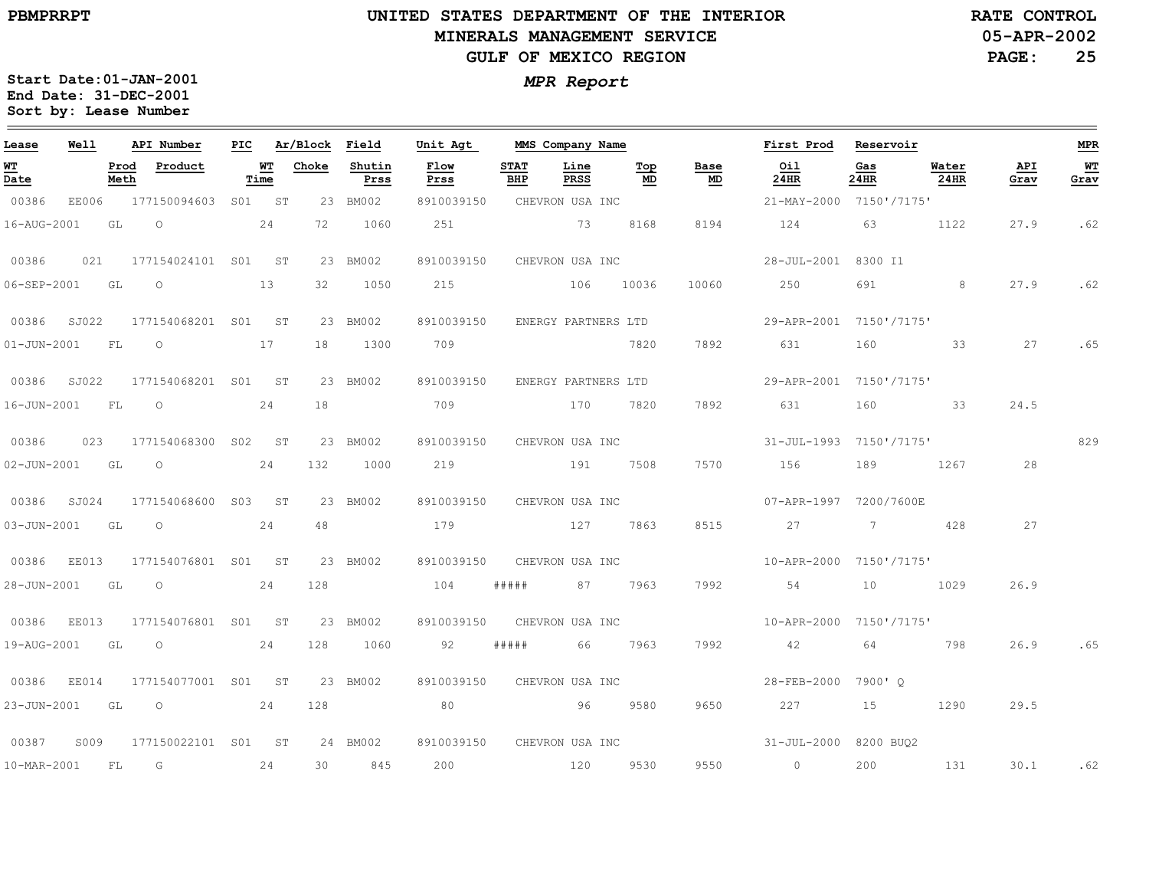### **UNITED STATES DEPARTMENT OF THE INTERIOR MINERALS MANAGEMENT SERVICEGULF OF MEXICO REGION**

**05-APR-2002RATE CONTROL**

**PAGE:25**

| Lease       | Well           |              | API Number               |            | PIC Ar/Block Field |                | Unit Agt                       |                    | MMS Company Name |           |                                   | First Prod Reservoir                             |             |               |             | MPR        |
|-------------|----------------|--------------|--------------------------|------------|--------------------|----------------|--------------------------------|--------------------|------------------|-----------|-----------------------------------|--------------------------------------------------|-------------|---------------|-------------|------------|
| WT<br>Date  |                | Prod<br>Meth | Product                  | WT<br>Time | Choke              | Shutin<br>Prss | Flow<br>Prss                   | <b>STAT</b><br>BHP | Line<br>PRSS     | Top<br>MD | Base<br>$\underline{\mathsf{MD}}$ | Oil<br>24HR                                      | Gas<br>24HR | Water<br>24HR | API<br>Grav | WT<br>Grav |
| 00386       | EE006          |              | 177150094603 S01 ST      |            |                    | 23 BM002       | 8910039150                     |                    | CHEVRON USA INC  |           |                                   | 21-MAY-2000 7150'/7175'                          |             |               |             |            |
| 16-AUG-2001 |                | GL           | $\circ$                  | 24         | 72                 | 1060           | 251                            |                    | 73 8168          |           | 8194                              | 124                                              | 63          | 1122          | 27.9        | .62        |
| 00386       | 021            |              | 177154024101 S01 ST      |            |                    | 23 BM002       | 8910039150                     |                    | CHEVRON USA INC  |           |                                   | 28-JUL-2001 8300 I1                              |             |               |             |            |
|             | 06-SEP-2001 GL |              | $\overline{O}$<br>13     |            | 32                 | 1050           | 215                            |                    | 106 10036        |           | 10060                             | 250                                              | 691         | 8             | 27.9        | .62        |
|             | 00386 SJ022    |              | 177154068201 S01 ST      |            |                    | 23 BM002       | 8910039150                     |                    |                  |           |                                   |                                                  |             |               |             |            |
|             |                |              | 01-JUN-2001 FL 0 17      |            |                    | 18 1300        | 709                            |                    |                  | 7820      | 7892                              | 631                                              | 160         | 33            | 27          | .65        |
|             | 00386 SJ022    |              | 177154068201 S01 ST      |            |                    | 23 BM002       | 8910039150 ENERGY PARTNERS LTD |                    |                  |           |                                   | 29-APR-2001 7150'/7175'                          |             |               |             |            |
| 16-JUN-2001 |                | FL           | $\overline{O}$           | 24         | 18                 |                | 709                            |                    | 170 7820         |           | 7892                              | 631                                              | 160         | 33            | 24.5        |            |
| 00386       |                |              | 023 177154068300 S02 ST  |            |                    | 23 BM002       | 8910039150 CHEVRON USA INC     |                    |                  |           |                                   | 31-JUL-1993 7150'/7175'                          |             |               |             | 829        |
|             | 02-JUN-2001 GL |              | $\overline{O}$           | 24         | 132                | 1000           | 219                            |                    | 191 7508         |           | 7570                              | 156                                              | 189         | 1267          | 28          |            |
|             | 00386 SJ024    |              | 177154068600 S03 ST      |            |                    | 23 BM002       | 8910039150                     |                    | CHEVRON USA INC  |           |                                   | 07-APR-1997 7200/7600E                           |             |               |             |            |
| 03-JUN-2001 |                | GL           | $\overline{\phantom{0}}$ | 24         | 48                 |                | 179                            |                    | 127 7863         |           | 8515                              | 27                                               | 7           | 428           | 27          |            |
|             | 00386 EE013    |              | 177154076801 S01 ST      |            |                    | 23 BM002       | 8910039150                     |                    | CHEVRON USA INC  |           |                                   | 10-APR-2000 7150'/7175'                          |             |               |             |            |
| 28-JUN-2001 |                | GL           | $\overline{O}$           | 24         | 128                |                | 104                            | #####              |                  | 87 7963   | 7992                              | 54                                               | 10          | 1029          | 26.9        |            |
|             | 00386 EE013    |              | 177154076801 S01 ST      |            |                    | 23 BM002       | 8910039150                     |                    | CHEVRON USA INC  |           |                                   | 10-APR-2000 7150'/7175'                          |             |               |             |            |
| 19-AUG-2001 |                | GL           | $\circ$                  | 24         | 128                | 1060           | 92                             | # # # # #          | 66               | 7963      | 7992                              | 42                                               | 64          | 798           | 26.9        | .65        |
|             | 00386 EE014    |              | 177154077001 S01 ST      |            |                    | 23 BM002       | 8910039150 CHEVRON USA INC     |                    |                  |           |                                   | 28-FEB-2000 7900' O                              |             |               |             |            |
| 23-JUN-2001 |                | GL           | $\circ$                  | 24         | 128                |                | 80                             |                    | 96               | 9580      | 9650                              | 227                                              | 15          | 1290          | 29.5        |            |
| 00387       | S009           |              | 177150022101 S01 ST      |            |                    | 24 BM002       |                                |                    |                  |           |                                   | 8910039150 CHEVRON USA INC 31-JUL-2000 8200 BUO2 |             |               |             |            |
| 10-MAR-2001 |                | FL           | $\overline{G}$           | 24         |                    | 30 845         | 200                            |                    | 120 9530         |           | 9550                              | $\overline{0}$                                   | 200         | 131           | 30.1 .62    |            |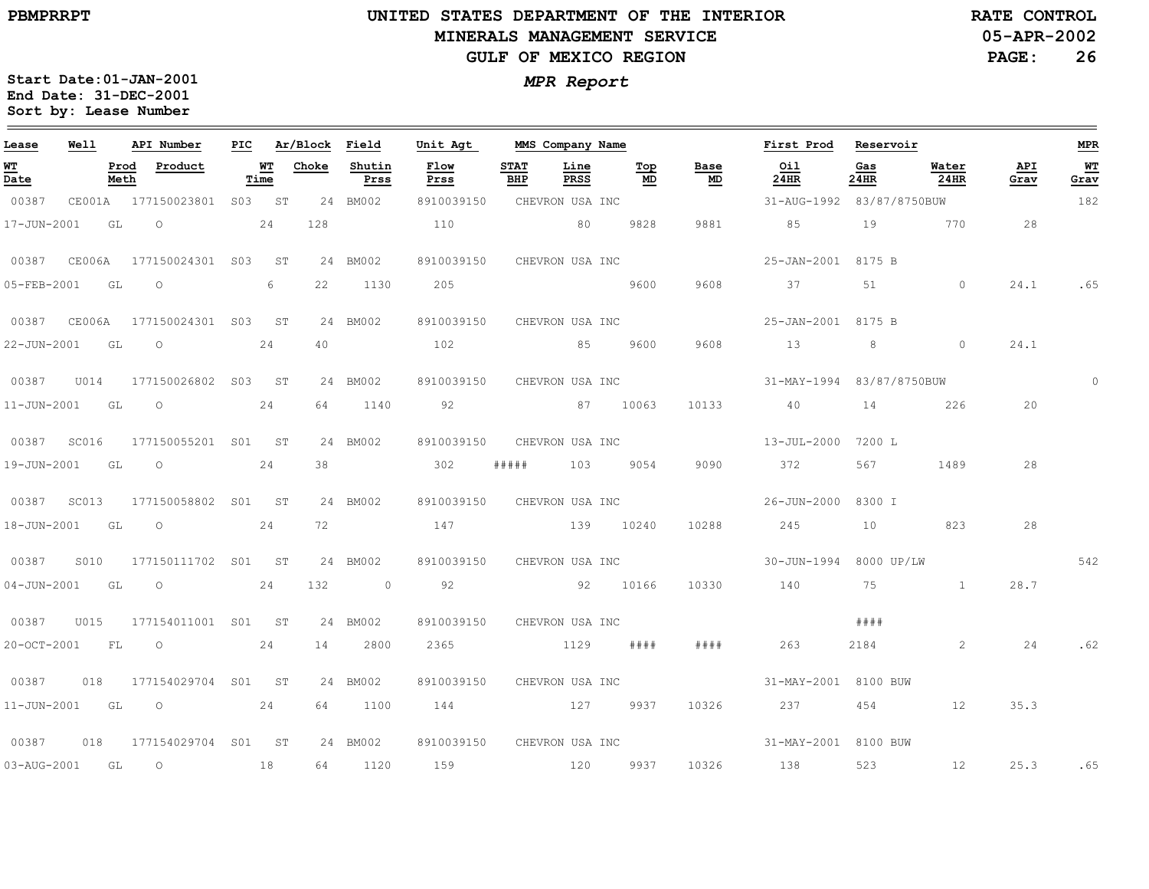# **UNITED STATES DEPARTMENT OF THE INTERIOR MINERALS MANAGEMENT SERVICEGULF OF MEXICO REGION**

**05-APR-2002RATE CONTROL**

**PAGE:26**

| Lease       | <b>Well</b>      |              | API Number                            | PIC |      | Ar/Block Field  |                | Unit Agt                   |                    | MMS Company Name |                 |                                   | First Prod Reservoir                          |             |                  |             | <b>MPR</b> |
|-------------|------------------|--------------|---------------------------------------|-----|------|-----------------|----------------|----------------------------|--------------------|------------------|-----------------|-----------------------------------|-----------------------------------------------|-------------|------------------|-------------|------------|
| WT<br>Date  |                  | Prod<br>Meth | Product                               |     | Time | <b>WT</b> Choke | Shutin<br>Prss | Flow<br>Prss               | <b>STAT</b><br>BHP | Line<br>PRSS     | Top<br>MD       | Base<br>$\underline{\mathsf{MD}}$ | Oil<br>24HR                                   | Gas<br>24HR | Water<br>$24$ HR | API<br>Grav | WT<br>Grav |
| 00387       |                  |              | CE001A 177150023801 S03 ST            |     |      |                 | 24 BM002       | 8910039150                 |                    | CHEVRON USA INC  |                 |                                   | 31-AUG-1992 83/87/8750BUW                     |             |                  |             | 182        |
| 17-JUN-2001 | GL               |              | $\overline{O}$                        |     | 24   | 128             |                | 110                        |                    | 80 9828          |                 | 9881                              | 85                                            |             | 19 770           | 28          |            |
|             |                  |              | 00387 CE006A 177150024301 S03 ST      |     |      |                 | 24 BM002       | 8910039150                 |                    |                  | CHEVRON USA INC |                                   | 25-JAN-2001 8175 B                            |             |                  |             |            |
| 05-FEB-2001 | GL               |              | $\overline{O}$                        |     | 6    | 22              | 1130           | 205                        |                    | 9600             |                 | 9608                              | 37                                            |             | 51 0             | 24.1        | .65        |
|             |                  |              | 00387 CE006A 177150024301 S03 ST      |     |      |                 | 24 BM002       |                            |                    |                  |                 |                                   | 8910039150 CHEVRON USA INC 25-JAN-2001 8175 B |             |                  |             |            |
|             | 22-JUN-2001 GL   |              | $\circ$                               |     | 24   | 40              |                | 102                        |                    | 85 9600          |                 | 9608                              | 13 8                                          |             | $\Omega$         | 24.1        |            |
| 00387       |                  |              | U014 177150026802 S03 ST              |     |      |                 | 24 BM002       | 8910039150 CHEVRON USA INC |                    |                  |                 |                                   | 31-MAY-1994 83/87/8750BUW                     |             |                  |             | $\Omega$   |
|             | 11-JUN-2001 GL O |              |                                       |     | 24   | 64              | 1140           | 92 87 10063                |                    |                  |                 | 10133                             | 40 14 226                                     |             |                  | 20          |            |
|             | 00387 SC016      |              | 177150055201 S01 ST                   |     |      |                 | 24 BM002       | 8910039150                 |                    |                  |                 |                                   | CHEVRON USA INC 13-JUL-2000 7200 L            |             |                  |             |            |
|             |                  |              | 19-JUN-2001 GL O                      |     | 24   | 38              |                | 302                        |                    | ##### 103 9054   |                 | 9090                              | 372                                           | 567         | 1489             | 28          |            |
|             | 00387 SC013      |              | 177150058802 S01 ST                   |     |      |                 | 24 BM002       | 8910039150 CHEVRON USA INC |                    |                  |                 |                                   | 26-JUN-2000 8300 I                            |             |                  |             |            |
|             | 18-JUN-2001 GL   |              | $\overline{O}$                        |     | 24   | 72              |                | 147                        |                    | 139 10240        |                 | 10288                             | 245                                           | 10          | 823              | 28          |            |
| 00387       | S010             |              | 177150111702 S01 ST                   |     |      |                 | 24 BM002       | 8910039150 CHEVRON USA INC |                    |                  |                 |                                   | 30-JUN-1994 8000 UP/LW                        |             |                  |             | 542        |
|             | 04-JUN-2001 GL   |              | $\overline{O}$                        |     | 24   | 132             | $\sim$ 0       | 92                         |                    | 92 10166         |                 | 10330                             | 140                                           | 75          | $\mathbf{1}$     | 28.7        |            |
|             |                  |              |                                       |     |      |                 | 24 BM002       | 8910039150 CHEVRON USA INC |                    |                  |                 |                                   |                                               | # # # #     |                  |             |            |
|             | 20-OCT-2001 FL   |              | $\overline{O}$                        |     | 24   | 14              | 2800           | 2365                       |                    | $1129$ ####      |                 | # # # #                           | 263                                           | 2184        | 2                | 24          | .62        |
|             |                  |              | 00387   018   177154029704   S01   ST |     |      |                 | 24 BM002       | 8910039150 CHEVRON USA INC |                    |                  |                 |                                   | 31-MAY-2001 8100 BUW                          |             |                  |             |            |
|             | 11-JUN-2001 GL O |              |                                       |     | 24   | 64              | 1100           | 144 127 9937               |                    |                  |                 | 10326                             | 237                                           | 454         | 12               | 35.3        |            |
| 00387       | 018              |              | 177154029704 S01 ST                   |     |      |                 | 24 BM002       | 8910039150 CHEVRON USA INC |                    |                  |                 |                                   | 31-MAY-2001 8100 BUW                          |             |                  |             |            |
|             | 03-AUG-2001 GL   |              | $\circ$                               | 18  |      |                 | 64 1120        | 159                        |                    | 120 9937         |                 |                                   | 10326 138                                     | 523         | 12               | 25.3        | .65        |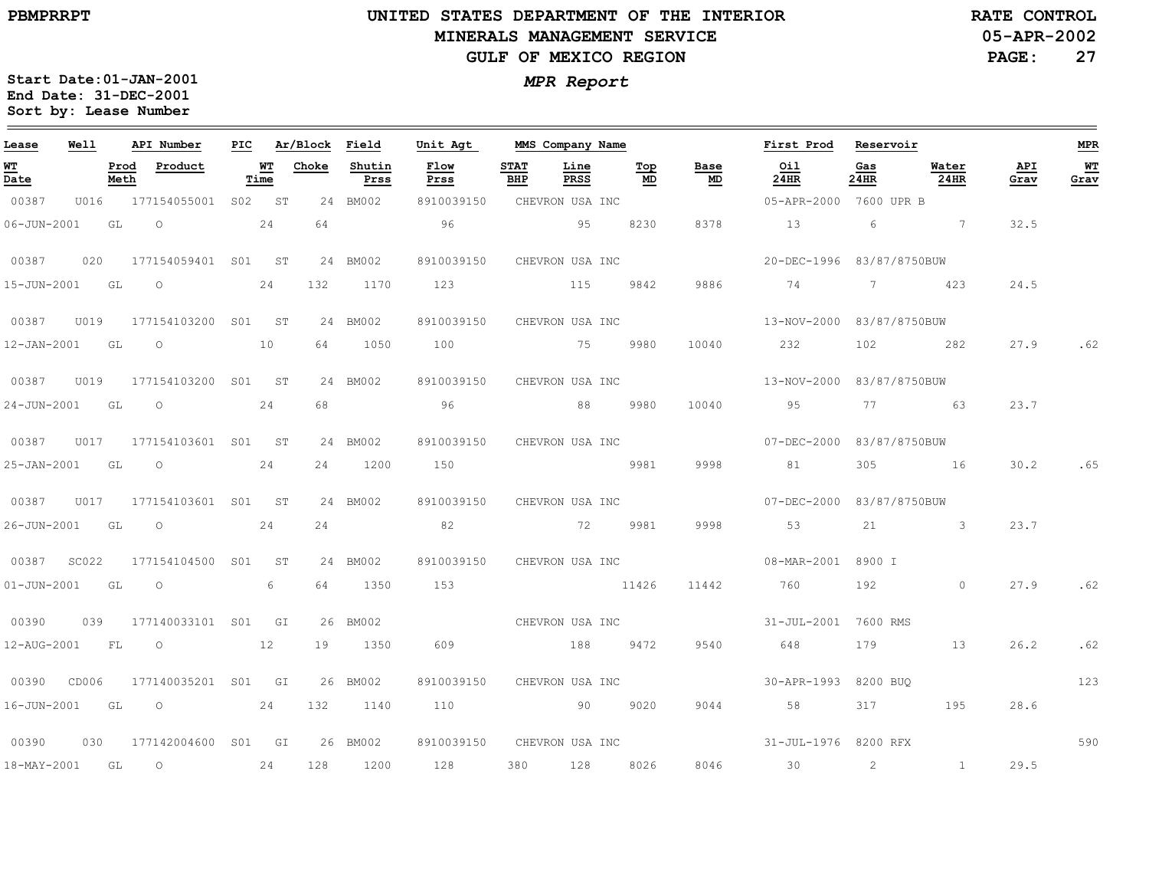# **UNITED STATES DEPARTMENT OF THE INTERIOR MINERALS MANAGEMENT SERVICEGULF OF MEXICO REGION**

**05-APR-2002RATE CONTROL**

**27**

**Start Date:01-JAN-2001** *MPR Report* **End Date: 31-DEC-2001 Sort by: Lease Number** 

| Lease                            | Well |              | API Number                                                                                                                                                                                                                                                                                                                         |      | PIC Ar/Block Field |                | Unit Agt                   |                                                                                                                                                                                                                                                                     | MMS Company Name    |           |            | First Prod Reservoir                      |                |               |             | <b>MPR</b> |
|----------------------------------|------|--------------|------------------------------------------------------------------------------------------------------------------------------------------------------------------------------------------------------------------------------------------------------------------------------------------------------------------------------------|------|--------------------|----------------|----------------------------|---------------------------------------------------------------------------------------------------------------------------------------------------------------------------------------------------------------------------------------------------------------------|---------------------|-----------|------------|-------------------------------------------|----------------|---------------|-------------|------------|
| WT<br>$\overline{\mathtt{Date}}$ |      | Prod<br>Meth | Product                                                                                                                                                                                                                                                                                                                            | Time | <b>WT</b> Choke    | Shutin<br>Prss | Flow<br>Prss               | <b>STAT</b><br><b>BHP</b>                                                                                                                                                                                                                                           | Line<br><b>PRSS</b> | Top<br>MD | Base<br>MD | Oil<br>24HR                               | Gas<br>24HR    | Water<br>24HR | API<br>Grav | WT<br>Grav |
| 00387                            |      |              | U016 177154055001 S02 ST                                                                                                                                                                                                                                                                                                           |      |                    | 24 BM002       | 8910039150                 |                                                                                                                                                                                                                                                                     | CHEVRON USA INC     |           |            | 05-APR-2000 7600 UPR B                    |                |               |             |            |
| 06-JUN-2001 GL                   |      |              | $\circ$ 24                                                                                                                                                                                                                                                                                                                         |      | 64                 |                | 96                         | $\sim$ 0.000 $\sim$ 0.000 $\sim$ 0.000 $\sim$ 0.000 $\sim$ 0.000 $\sim$ 0.000 $\sim$ 0.000 $\sim$ 0.000 $\sim$ 0.000 $\sim$ 0.000 $\sim$ 0.000 $\sim$ 0.000 $\sim$ 0.000 $\sim$ 0.000 $\sim$ 0.000 $\sim$ 0.000 $\sim$ 0.000 $\sim$ 0.000 $\sim$ 0.000 $\sim$ 0.000 |                     | 8230      | 8378       | 13 6 7                                    |                |               | 32.5        |            |
| 00387                            | 020  |              | 177154059401 S01 ST                                                                                                                                                                                                                                                                                                                |      |                    | 24 BM002       | 8910039150 CHEVRON USA INC |                                                                                                                                                                                                                                                                     |                     |           |            | 20-DEC-1996 83/87/8750BUW                 |                |               |             |            |
|                                  |      |              | 15-JUN-2001 GL O 24                                                                                                                                                                                                                                                                                                                |      | 132                | 1170           | 123 115 9842               |                                                                                                                                                                                                                                                                     |                     |           | 9886       | 74 7 423                                  |                |               | 24.5        |            |
| 00387                            |      |              | U019 177154103200 S01 ST                                                                                                                                                                                                                                                                                                           |      |                    | 24 BM002       | 8910039150                 |                                                                                                                                                                                                                                                                     |                     |           |            | CHEVRON USA INC 13-NOV-2000 83/87/8750BUW |                |               |             |            |
|                                  |      |              | 12-JAN-2001 GL O 10                                                                                                                                                                                                                                                                                                                |      |                    | 64 1050        | 100 75 9980                |                                                                                                                                                                                                                                                                     |                     |           | 10040      | 232                                       |                | 102 282       | 27.9        | .62        |
| 00387                            |      |              | U019 177154103200 S01 ST                                                                                                                                                                                                                                                                                                           |      |                    | 24 BM002       | 8910039150 CHEVRON USA INC |                                                                                                                                                                                                                                                                     |                     |           |            | 13-NOV-2000 83/87/8750BUW                 |                |               |             |            |
| 24-JUN-2001 GL                   |      |              | $\overline{O}$                                                                                                                                                                                                                                                                                                                     | 24   | 68                 |                | 96                         |                                                                                                                                                                                                                                                                     | 88 9980             |           | 10040      | 95                                        |                | 77 63         | 23.7        |            |
|                                  |      |              |                                                                                                                                                                                                                                                                                                                                    |      |                    | 24 BM002       | 8910039150 CHEVRON USA INC |                                                                                                                                                                                                                                                                     |                     |           |            | 07-DEC-2000 83/87/8750BUW                 |                |               |             |            |
| 25-JAN-2001 GL                   |      |              | $\overline{O}$                                                                                                                                                                                                                                                                                                                     | 24   |                    | 24 1200        | 150 9981                   |                                                                                                                                                                                                                                                                     |                     |           | 9998       | 81                                        |                | 305 16        | 30.2        | .65        |
|                                  |      |              |                                                                                                                                                                                                                                                                                                                                    |      |                    | 24 BM002       | 8910039150 CHEVRON USA INC |                                                                                                                                                                                                                                                                     |                     |           |            | 07-DEC-2000 83/87/8750BUW                 |                |               |             |            |
| 26-JUN-2001 GL                   |      |              | $\overline{\phantom{0}}$                                                                                                                                                                                                                                                                                                           | 24   | 24                 |                | 82                         |                                                                                                                                                                                                                                                                     |                     | 72 9981   | 9998       | 53                                        | 21             | $\sim$ 3      | 23.7        |            |
| 00387 SC022                      |      |              | 177154104500 S01 ST                                                                                                                                                                                                                                                                                                                |      |                    | 24 BM002       | 8910039150 CHEVRON USA INC |                                                                                                                                                                                                                                                                     |                     |           |            | 08-MAR-2001 8900 I                        |                |               |             |            |
| 01-JUN-2001 GL                   |      |              | $\overline{O}$                                                                                                                                                                                                                                                                                                                     | 6    | 64                 | 1350           | 153                        |                                                                                                                                                                                                                                                                     | 11426               |           | 11442      | 760                                       |                | 192 0         | 27.9        | .62        |
| 00390                            |      |              | 039 177140033101 S01 GI                                                                                                                                                                                                                                                                                                            |      |                    | 26 BM002       | CHEVRON USA INC            |                                                                                                                                                                                                                                                                     |                     |           |            | 31-JUL-2001 7600 RMS                      |                |               |             |            |
| 12-AUG-2001 FL                   |      |              | $\overline{O}$                                                                                                                                                                                                                                                                                                                     | 12   |                    | 19 1350        | 609                        | 188 9472                                                                                                                                                                                                                                                            |                     |           | 9540       | 648                                       | 179            | 13            | 26.2        | .62        |
|                                  |      |              | 00390 CD006 177140035201 S01 GI                                                                                                                                                                                                                                                                                                    |      |                    | 26 BM002       | 8910039150 CHEVRON USA INC |                                                                                                                                                                                                                                                                     |                     |           |            | 30-APR-1993 8200 BUO                      |                |               |             | 123        |
| 16-JUN-2001 GL                   |      |              | $\overline{O}$ and $\overline{O}$ and $\overline{O}$ and $\overline{O}$ and $\overline{O}$ and $\overline{O}$ and $\overline{O}$ and $\overline{O}$ and $\overline{O}$ and $\overline{O}$ and $\overline{O}$ and $\overline{O}$ and $\overline{O}$ and $\overline{O}$ and $\overline{O}$ and $\overline{O}$ and $\overline{O}$ and | 24   | 132                | 1140           | 110 90                     |                                                                                                                                                                                                                                                                     |                     | 9020      | 9044       | 58                                        | 317 — 200      | 195           | 28.6        |            |
| 00390                            |      |              | 030 177142004600 S01 GI                                                                                                                                                                                                                                                                                                            |      |                    | 26 BM002       | 8910039150 CHEVRON USA INC |                                                                                                                                                                                                                                                                     |                     |           |            | 31-JUL-1976 8200 RFX                      |                |               |             | 590        |
| 18-MAY-2001 GL                   |      |              | $\overline{O}$<br>24                                                                                                                                                                                                                                                                                                               |      |                    | 128 1200       | 128                        | 380                                                                                                                                                                                                                                                                 |                     | 128 8026  |            | 8046 30                                   | $\overline{2}$ | 1             | 29.5        |            |

**PAGE:**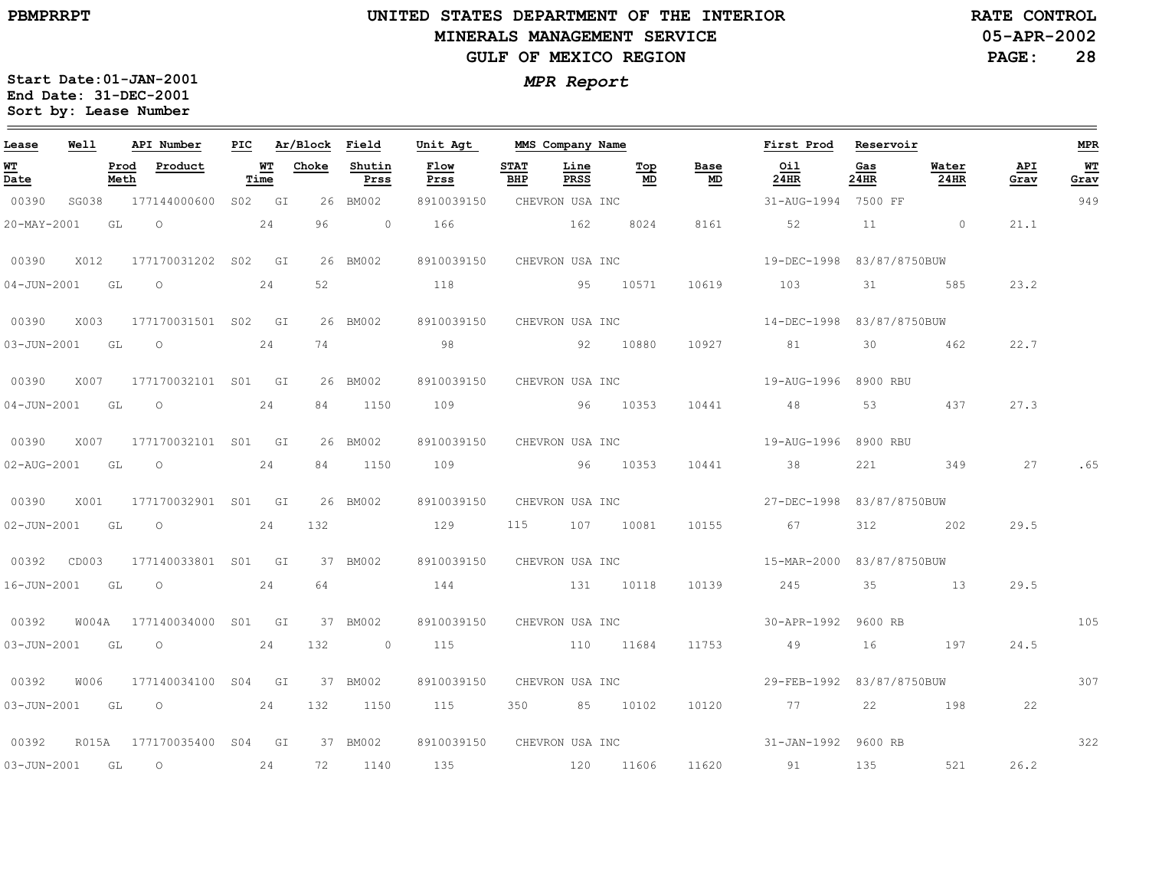$\equiv$ 

# **UNITED STATES DEPARTMENT OF THE INTERIOR MINERALS MANAGEMENT SERVICEGULF OF MEXICO REGION**

**05-APR-2002RATE CONTROL**

**PAGE:28**

| Lease             | Well  |              | API Number                                                                                                                                                                                                                                                                                                                         | PIC |            | Ar/Block Field |                | Unit Agt                   |                    | MMS Company Name |           |                 | First Prod                          | Reservoir   |               |             | <b>MPR</b> |
|-------------------|-------|--------------|------------------------------------------------------------------------------------------------------------------------------------------------------------------------------------------------------------------------------------------------------------------------------------------------------------------------------------|-----|------------|----------------|----------------|----------------------------|--------------------|------------------|-----------|-----------------|-------------------------------------|-------------|---------------|-------------|------------|
| WT<br>Date        |       | Prod<br>Meth | Product                                                                                                                                                                                                                                                                                                                            |     | WT<br>Time | Choke          | Shutin<br>Prss | Flow<br>Prss               | <b>STAT</b><br>BHP | Line<br>PRSS     | Top<br>MD | Base<br>MD      | Oil<br>24HR                         | Gas<br>24HR | Water<br>24HR | API<br>Grav | WT<br>Grav |
| 00390             | SG038 |              | 177144000600 S02 GI                                                                                                                                                                                                                                                                                                                |     |            |                | 26 BM002       | 8910039150                 |                    | CHEVRON USA INC  |           |                 | 31-AUG-1994 7500 FF                 |             |               |             | 949        |
| 20-MAY-2001       |       | GL           | $\circ$                                                                                                                                                                                                                                                                                                                            |     | 24         | 96             | $\sim$ 0       | 166                        |                    | 162              | 8024      | 8161            | 52                                  | 11          | $\sim$ 0      | 21.1        |            |
| 00390             | X012  |              | 177170031202 S02 GI                                                                                                                                                                                                                                                                                                                |     |            |                | 26 BM002       | 8910039150                 |                    | CHEVRON USA INC  |           |                 | 19-DEC-1998 83/87/8750BUW           |             |               |             |            |
| $04 - JUN - 2001$ | GL    |              | $\circ$                                                                                                                                                                                                                                                                                                                            |     | 24         | 52             |                | 118                        |                    |                  | 95 10571  | 10619           | 103                                 | 31          | 585           | 23.2        |            |
| 00390             | X003  |              | 177170031501 S02 GI                                                                                                                                                                                                                                                                                                                |     |            |                | 26 BM002       | 8910039150                 |                    | CHEVRON USA INC  |           |                 | 14-DEC-1998 83/87/8750BUW           |             |               |             |            |
| 03-JUN-2001 GL 0  |       |              |                                                                                                                                                                                                                                                                                                                                    |     | 24         | 74             |                | 98                         |                    |                  | 92 10880  | 10927           | 81 81                               | 30          | 462           | 22.7        |            |
| 00390             | X007  |              | 177170032101 S01 GI                                                                                                                                                                                                                                                                                                                |     |            |                | 26 BM002       | 8910039150                 |                    | CHEVRON USA INC  |           |                 | 19-AUG-1996 8900 RBU                |             |               |             |            |
| $04 - JUN - 2001$ | GL    |              | $\circ$                                                                                                                                                                                                                                                                                                                            |     | 24         | 84             | 1150           | 109                        |                    |                  | 96 10353  | 10441           | 48                                  | 53          | 437           | 27.3        |            |
| 00390             |       |              | X007 177170032101 S01 GI                                                                                                                                                                                                                                                                                                           |     |            |                | 26 BM002       | 8910039150                 |                    | CHEVRON USA INC  |           |                 | 19-AUG-1996 8900 RBU                |             |               |             |            |
|                   |       |              | 02-AUG-2001 GL O                                                                                                                                                                                                                                                                                                                   |     | 24         | 84             | 1150           | 109 96 10353               |                    |                  |           | 10441           | 38                                  | 221         | 349           | 27          | .65        |
| 00390             | X001  |              | 177170032901 S01 GI                                                                                                                                                                                                                                                                                                                |     |            |                | 26 BM002       | 8910039150                 |                    |                  |           | CHEVRON USA INC | 27-DEC-1998 83/87/8750BUW           |             |               |             |            |
| 02-JUN-2001       | GL    |              | $\circ$                                                                                                                                                                                                                                                                                                                            |     | 24         | 132            |                | 129                        | 115                |                  | 107 10081 | 10155           | 67                                  | 312         | 202           | 29.5        |            |
| 00392 CD003       |       |              | 177140033801 S01 GI                                                                                                                                                                                                                                                                                                                |     |            |                | 37 BM002       | 8910039150 CHEVRON USA INC |                    |                  |           |                 | 15-MAR-2000 83/87/8750BUW           |             |               |             |            |
| 16-JUN-2001       | GL    |              | $\overline{O}$ and $\overline{O}$ and $\overline{O}$ and $\overline{O}$ and $\overline{O}$ and $\overline{O}$ and $\overline{O}$ and $\overline{O}$ and $\overline{O}$ and $\overline{O}$ and $\overline{O}$ and $\overline{O}$ and $\overline{O}$ and $\overline{O}$ and $\overline{O}$ and $\overline{O}$ and $\overline{O}$ and |     | 24         | 64             |                | 144 131 10118              |                    |                  |           | 10139           | 245 35 13                           |             |               | 29.5        |            |
| 00392             |       |              | W004A 177140034000 S01 GI                                                                                                                                                                                                                                                                                                          |     |            |                | 37 BM002       | 8910039150                 |                    |                  |           |                 | CHEVRON USA INC 30-APR-1992 9600 RB |             |               |             | 105        |
| 03-JUN-2001 GL    |       |              | $\overline{O}$                                                                                                                                                                                                                                                                                                                     |     | 24         | 132            | $\sim$ 0       | 115 110 11684              |                    |                  |           | 11753           | 49                                  | 16          | 197           | 24.5        |            |
| 00392             | W006  |              | 177140034100 S04 GI                                                                                                                                                                                                                                                                                                                |     |            |                | 37 BM002       | 8910039150                 |                    |                  |           | CHEVRON USA INC | 29-FEB-1992 83/87/8750BUW           |             |               |             | 307        |
|                   |       |              | 03-JUN-2001 GL O 24                                                                                                                                                                                                                                                                                                                |     |            | 132            | 1150           | 115                        |                    | 350 85 10102     |           | 10120           | 77 22 198                           |             |               | 22          |            |
| 00392             |       |              | R015A 177170035400 S04 GI                                                                                                                                                                                                                                                                                                          |     |            |                | 37 BM002       | 8910039150                 |                    |                  |           |                 | CHEVRON USA INC 31-JAN-1992 9600 RB |             |               |             | 322        |
| 03-JUN-2001 GL    |       |              | $\overline{\phantom{0}}$                                                                                                                                                                                                                                                                                                           |     | 24         | 72             | 1140           | 135                        |                    | 120 11606        |           | 11620           | 91                                  | 135         | 521           | 26.2        |            |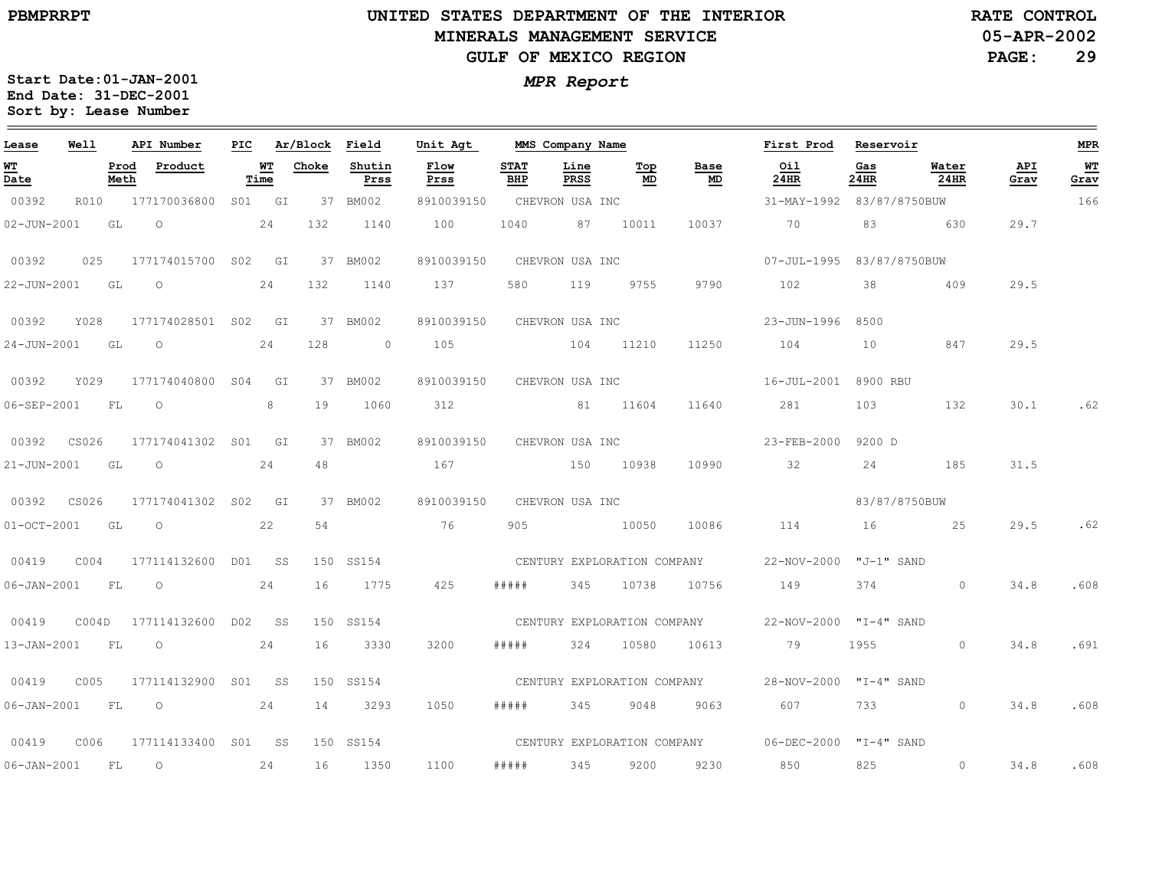### **UNITED STATES DEPARTMENT OF THE INTERIOR MINERALS MANAGEMENT SERVICEGULF OF MEXICO REGION**

**05-APR-2002PAGE: 29 RATE CONTROL**

| Lease             | Well  |              | API Number          | PIC |            | Ar/Block | Field          | Unit Agt     |                    | MMS Company Name            |           |                             | First Prod                | Reservoir     |               |             | <b>MPR</b> |
|-------------------|-------|--------------|---------------------|-----|------------|----------|----------------|--------------|--------------------|-----------------------------|-----------|-----------------------------|---------------------------|---------------|---------------|-------------|------------|
| <u>WТ</u><br>Date |       | Prod<br>Meth | Product             |     | WТ<br>Time | Choke    | Shutin<br>Prss | Flow<br>Prss | <b>STAT</b><br>BHP | Line<br>PRSS                | Top<br>MD | Base<br>MD                  | Oil<br>24HR               | Gas<br>24HR   | Water<br>24HR | API<br>Grav | WT<br>Grav |
| 00392             | R010  |              | 177170036800        |     | S01 GI     |          | 37 BM002       | 8910039150   |                    | CHEVRON USA INC             |           |                             | 31-MAY-1992 83/87/8750BUW |               |               |             | 166        |
| $02 - JUN - 2001$ |       | GL           | $\circ$             |     | 24         | 132      | 1140           | 100          | 1040               | 87                          | 10011     | 10037                       | 70                        | 83            | 630           | 29.7        |            |
| 00392             | 025   |              | 177174015700 S02    |     | GI         |          | 37 BM002       | 8910039150   |                    | CHEVRON USA INC             |           |                             | 07-JUL-1995 83/87/8750BUW |               |               |             |            |
| 22-JUN-2001       |       | GL           | $\circ$             |     | 24         | 132      | 1140           | 137          | 580                | 119                         | 9755      | 9790                        | 102                       | 38            | 409           | 29.5        |            |
| 00392             | Y028  |              | 177174028501 S02 GI |     |            |          | 37 BM002       | 8910039150   |                    | CHEVRON USA INC             |           |                             | 23-JUN-1996               | 8500          |               |             |            |
| $24 - JUN - 2001$ |       | GL           | $\circ$             |     | 24         | 128      | $\circ$        | 105          |                    | 104                         | 11210     | 11250                       | 104                       | 10            | 847           | 29.5        |            |
| 00392             | Y029  |              | 177174040800 S04    |     | GI         |          | 37 BM002       | 8910039150   |                    | CHEVRON USA INC             |           |                             | 16-JUL-2001 8900 RBU      |               |               |             |            |
| 06-SEP-2001       |       | FL           | $\circ$             |     | 8          | 19       | 1060           | 312          |                    |                             | 81 11604  | 11640                       | 281                       | 103           | 132           | 30.1        | .62        |
| 00392             | CS026 |              | 177174041302 S01 GI |     |            |          | 37 BM002       | 8910039150   |                    | CHEVRON USA INC             |           |                             | 23-FEB-2000               | 9200 D        |               |             |            |
| 21-JUN-2001       |       | GL           | $\circ$             |     | 24         | 48       |                | 167          |                    | 150                         | 10938     | 10990                       | 32                        | 24            | 185           | 31.5        |            |
| 00392             | CS026 |              | 177174041302 SO2    |     | GI         |          | 37 BM002       | 8910039150   |                    | CHEVRON USA INC             |           |                             |                           | 83/87/8750BUW |               |             |            |
| $01 - OCT - 2001$ |       | GL           | $\circ$             |     | 22         | 54       |                | 76           | 905                |                             | 10050     | 10086                       | 114                       |               | 25            | 29.5        | .62        |
| 00419             | C004  |              | 177114132600 D01 SS |     |            |          | 150 SS154      |              |                    | CENTURY EXPLORATION COMPANY |           |                             | 22-NOV-2000 "J-1" SAND    |               |               |             |            |
| 06-JAN-2001       |       | FL.          | $\circ$             |     | 24         | 16       | 1775           | 425          | # # # # #          | 345                         | 10738     | 10756                       | 149                       | 374           | $\circ$       | 34.8        | .608       |
| 00419             | COO4D |              | 177114132600 DO2 SS |     |            |          | 150 SS154      |              |                    |                             |           | CENTURY EXPLORATION COMPANY | 22-NOV-2000 "I-4" SAND    |               |               |             |            |
| 13-JAN-2001       |       | FL           | $\circ$             |     | 24         | 16       | 3330           | 3200         | #####              | 324                         | 10580     | 10613                       | 79                        | 1955          | $\circ$       | 34.8        | .691       |
| 00419             | C005  |              | 177114132900 S01 SS |     |            |          | 150 SS154      |              |                    | CENTURY EXPLORATION COMPANY |           |                             | 28-NOV-2000 "I-4" SAND    |               |               |             |            |
| $06 - JAN - 2001$ |       | FL           | $\circ$             |     | 24         | 14       | 3293           | 1050         | # # # # #          | 345                         | 9048      | 9063                        | 607                       | 733           | $\circ$       | 34.8        | .608       |
| 00419             | C006  |              | 177114133400 S01 SS |     |            |          | 150 SS154      |              |                    |                             |           | CENTURY EXPLORATION COMPANY | 06-DEC-2000 "I-4" SAND    |               |               |             |            |
| $06 - JAN - 2001$ |       | <b>FL</b>    | $\circ$             |     | 24         | 16       | 1350           | 1100         | # # # # #          | 345                         | 9200      | 9230                        | 850                       | 825           | $\circ$       | 34.8        | .608       |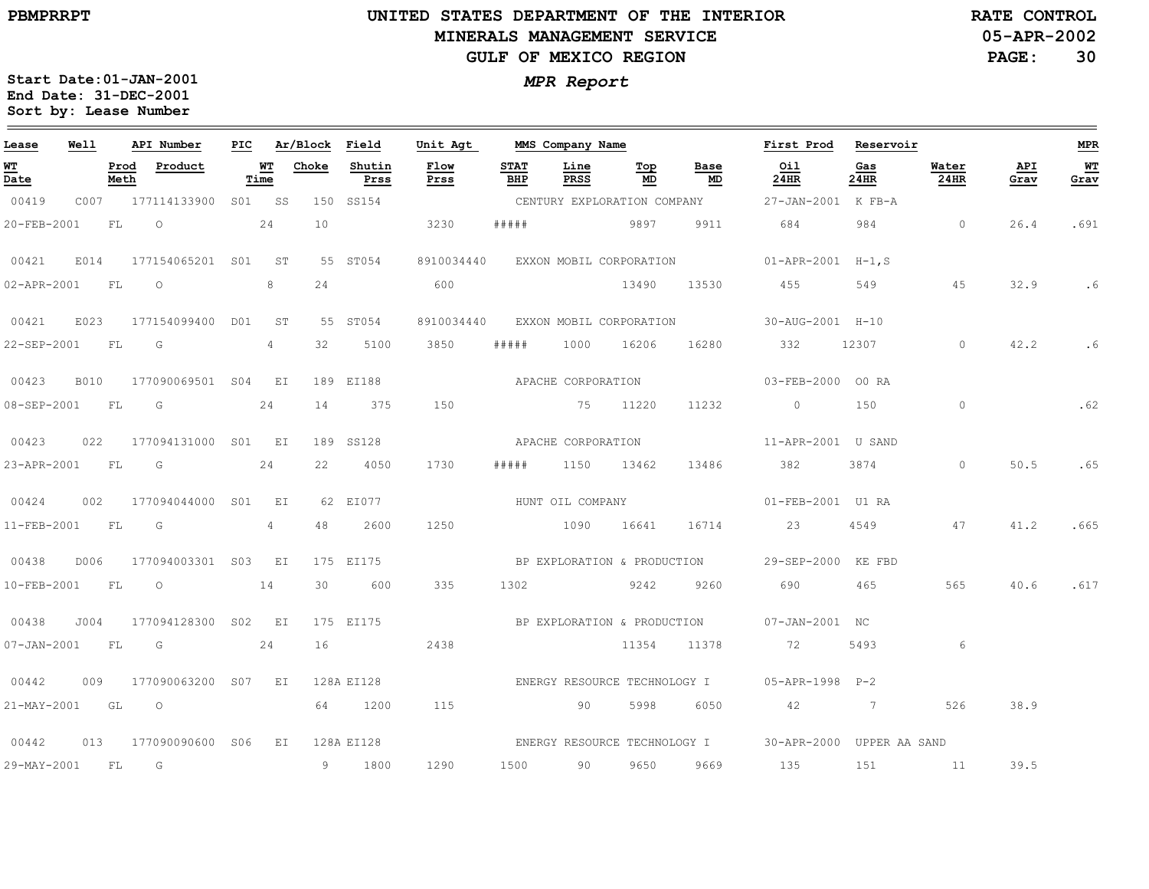# **UNITED STATES DEPARTMENT OF THE INTERIOR MINERALS MANAGEMENT SERVICEGULF OF MEXICO REGION**

**05-APR-2002RATE CONTROL**

**PAGE:30**

| Lease             | Well        |              | API Number              | PIC |                 | Ar/Block Field |                | Unit Agt     |                    | MMS Company Name   |                             |            | First Prod                                             | Reservoir      |                 |             | MPR        |
|-------------------|-------------|--------------|-------------------------|-----|-----------------|----------------|----------------|--------------|--------------------|--------------------|-----------------------------|------------|--------------------------------------------------------|----------------|-----------------|-------------|------------|
| <b>WT</b><br>Date |             | Prod<br>Meth | Product                 |     | WT<br>Time      | Choke          | Shutin<br>Prss | Flow<br>Prss | <b>STAT</b><br>BHP | Line<br>PRSS       | Top<br>MD                   | Base<br>MD | Oil<br>24HR                                            | Gas<br>24HR    | Water<br>24HR   | API<br>Grav | WT<br>Grav |
| 00419             | C007        |              | 177114133900            |     | S01 SS          |                | 150 SS154      |              |                    |                    | CENTURY EXPLORATION COMPANY |            | 27-JAN-2001 K FB-A                                     |                |                 |             |            |
| 20-FEB-2001       |             | FL           | $\circ$                 |     | 24              | 10             |                | 3230         | # # # # #          |                    | 5897 9897                   | 9911       | 684                                                    | 984            | $\overline{0}$  | 26.4        | .691       |
| 00421             | E014        |              | 177154065201 S01 ST     |     |                 |                | 55 ST054       | 8910034440   |                    |                    |                             |            | EXXON MOBIL CORPORATION 01-APR-2001 H-1,S              |                |                 |             |            |
| 02-APR-2001       |             | <b>FL</b>    | $\overline{O}$          |     | 8               | 24             |                | 600          |                    |                    | 13490                       | 13530      | 455                                                    | 549            | 45              | 32.9        | .6         |
| 00421             | E023        |              | 177154099400 D01 ST     |     |                 |                | 55 ST054       | 8910034440   |                    |                    | EXXON MOBIL CORPORATION     |            | 30-AUG-2001 H-10                                       |                |                 |             |            |
| 22-SEP-2001 FL    |             |              | G                       |     | $4\overline{ }$ | 32             | 5100           | 3850         | # # # # #          | 1000               | 16206                       | 16280      | 332                                                    | 12307          | $\circ$         | 42.2        | .6         |
| 00423             | <b>B010</b> |              | 177090069501 S04 EI     |     |                 |                | 189 EI188      |              |                    | APACHE CORPORATION |                             |            | 03-FEB-2000 00 RA                                      |                |                 |             |            |
| 08-SEP-2001 FL    |             |              | $\overline{\mathsf{G}}$ |     | 24              | 14             | 375            | 150          |                    |                    | 75 11220                    | 11232      | $\overline{0}$                                         | 150            | $\circ$         |             | .62        |
| 00423             | 022         |              | 177094131000 S01 EI     |     |                 |                | 189 SS128      |              |                    | APACHE CORPORATION |                             |            | 11-APR-2001 U SAND                                     |                |                 |             |            |
| 23-APR-2001       |             | FL           | G                       |     | 24              | 22             | 4050           | 1730         | # # # # #          |                    | 1150 13462                  | 13486      | 382                                                    | 3874           | $\circ$         | 50.5        | .65        |
| 00424             | 002         |              | 177094044000 S01 EI     |     |                 |                | 62 EI077       |              |                    | HUNT OIL COMPANY   |                             |            | 01-FEB-2001 U1 RA                                      |                |                 |             |            |
| 11-FEB-2001       |             | FL           | G                       |     | 4               | 48             | 2600           | 1250         |                    |                    | 1090 16641                  | 16714      | 23                                                     | 4549           | 47              | 41.2        | .665       |
| 00438             | D006        |              | 177094003301 S03 EI     |     |                 |                | 175 EI175      |              |                    |                    | BP EXPLORATION & PRODUCTION |            | 29-SEP-2000 KE FBD                                     |                |                 |             |            |
| 10-FEB-2001       |             | FL           | $\circ$                 |     | 14              | 30             | 600            | 335          | 1302               |                    | 9242                        | 9260       | 690                                                    | 465            | 565             | 40.6        | .617       |
| 00438             | J004        |              | 177094128300 S02 EI     |     |                 |                | 175 EI175      |              |                    |                    | BP EXPLORATION & PRODUCTION |            | 07-JAN-2001 NC                                         |                |                 |             |            |
| $07 - JAN - 2001$ |             | FL           | G and $24$              |     |                 | 16             |                | 2438         |                    |                    | 11354                       | 11378      | 72 72                                                  | 5493           | $6\overline{6}$ |             |            |
| 00442             | 009         |              | 177090063200 S07 EI     |     |                 |                | 128A EI128     |              |                    |                    |                             |            | ENERGY RESOURCE TECHNOLOGY I 05-APR-1998 P-2           |                |                 |             |            |
| 21-MAY-2001 GL    |             |              | $\overline{O}$          |     |                 |                | 64 1200        | 115          |                    | 90 —               | 5998                        | 6050       | 42                                                     | $\overline{7}$ | 526             | 38.9        |            |
| 00442             | 013         |              | 177090090600 S06        |     | EI              |                | 128A EI128     |              |                    |                    |                             |            | ENERGY RESOURCE TECHNOLOGY I 30-APR-2000 UPPER AA SAND |                |                 |             |            |
|                   |             |              | 29-MAY-2001 FL G        |     |                 |                | 9 1800         | 1290         |                    |                    | 1500 90 9650                | 9669       | 135                                                    |                | 151 11          | 39.5        |            |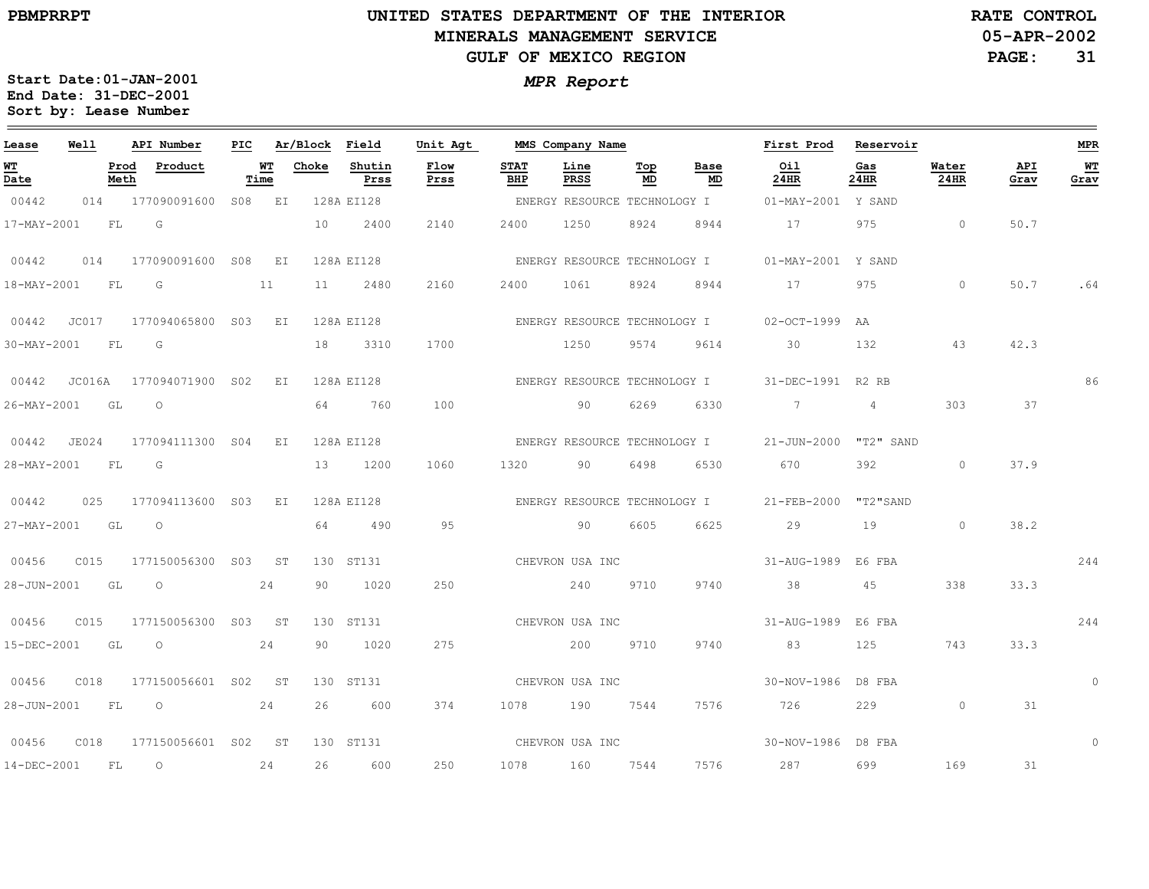# **UNITED STATES DEPARTMENT OF THE INTERIOR MINERALS MANAGEMENT SERVICEGULF OF MEXICO REGION**

**05-APR-2002RATE CONTROL**

**PAGE:31**

| Lease       | Well   |              | API Number          | PIC    |           | Ar/Block | Field          | Unit Agt     |                    | MMS Company Name             |           |            | First Prod               | Reservoir                     |                      |             | <b>MPR</b> |
|-------------|--------|--------------|---------------------|--------|-----------|----------|----------------|--------------|--------------------|------------------------------|-----------|------------|--------------------------|-------------------------------|----------------------|-------------|------------|
| WT<br>Date  |        | Prod<br>Meth | Product             | Time   | WТ        | Choke    | Shutin<br>Prss | Flow<br>Prss | <b>STAT</b><br>BHP | Line<br>PRSS                 | Top<br>MD | Base<br>MD | Oil<br>24HR              | Gas<br>24HR                   | Water<br><b>24HR</b> | API<br>Grav | WT<br>Grav |
| 00442       | 014    |              | 177090091600        | S08 EI |           |          | 128A EI128     |              |                    | ENERGY RESOURCE TECHNOLOGY I |           |            | 01-MAY-2001              | Y SAND                        |                      |             |            |
| 17-MAY-2001 |        | FL           | G                   |        |           | 10       | 2400           | 2140         | 2400               | 1250                         | 8924      | 8944       | 17                       | 975                           | $\circ$              | 50.7        |            |
| 00442       | 014    |              | 177090091600 S08 EI |        |           |          | 128A EI128     |              |                    | ENERGY RESOURCE TECHNOLOGY I |           |            | $01 - \text{MAX} - 2001$ | Y SAND                        |                      |             |            |
| 18-MAY-2001 |        | FL           | G                   |        | 11        | 11       | 2480           | 2160         | 2400               | 1061                         | 8924      | 8944       | 17                       | 975                           | $\circ$              | 50.7        | .64        |
| 00442       | JC017  |              | 177094065800        | S03    | E I       |          | 128A EI128     |              |                    | ENERGY RESOURCE TECHNOLOGY I |           |            | $02-OCT-1999$            | AA                            |                      |             |            |
| 30-MAY-2001 |        | FL           | G                   |        |           | 18       | 3310           | 1700         |                    | 1250                         | 9574      | 9614       | 30                       | 132                           | 43                   | 42.3        |            |
| 00442       | JC016A |              | 177094071900 SO2    |        | EI        |          | 128A EI128     |              |                    | ENERGY RESOURCE TECHNOLOGY I |           |            | 31-DEC-1991              | R <sub>2</sub> R <sub>B</sub> |                      |             | 86         |
| 26-MAY-2001 |        | GL           | $\circ$             |        |           | 64       | 760            | 100          |                    | 90                           | 6269      | 6330       | $7^{\circ}$              | $\overline{4}$                | 303                  | 37          |            |
| 00442       | JE024  |              | 177094111300 S04    |        | EI        |          | 128A EI128     |              |                    | ENERGY RESOURCE TECHNOLOGY I |           |            | $21 - JUN - 2000$        | "T2" SAND                     |                      |             |            |
| 28-MAY-2001 |        | FL           | G                   |        |           | 13       | 1200           | 1060         | 1320               | 90                           | 6498      | 6530       | 670                      | 392                           | $\circ$              | 37.9        |            |
| 00442       | 025    |              | 177094113600        | S03    | ΕI        |          | 128A EI128     |              |                    | ENERGY RESOURCE TECHNOLOGY I |           |            | 21-FEB-2000              | "T2"SAND                      |                      |             |            |
| 27-MAY-2001 |        | GL           | $\circ$             |        |           | 64       | 490            | 95           |                    | 90                           | 6605      | 6625       | 29                       | 19                            | $\circ$              | 38.2        |            |
| 00456       | C015   |              | 177150056300 S03    |        | ST        |          | 130 ST131      |              |                    | CHEVRON USA INC              |           |            | 31-AUG-1989              | E6 FBA                        |                      |             | 244        |
| 28-JUN-2001 |        | GL           | $\circ$             |        | 24        | 90       | 1020           | 250          |                    | 240                          | 9710      | 9740       | 38                       | 45                            | 338                  | 33.3        |            |
| 00456       | C015   |              | 177150056300        | S03    | ST        |          | 130 ST131      |              |                    | CHEVRON USA INC              |           |            | 31-AUG-1989              | E6 FBA                        |                      |             | 244        |
| 15-DEC-2001 |        | GL           | $\circ$             |        | 24        | 90       | 1020           | 275          |                    | 200                          | 9710      | 9740       | 83                       | 125                           | 743                  | 33.3        |            |
| 00456       | C018   |              | 177150056601        | S02    | ST        |          | 130 ST131      |              |                    | CHEVRON USA INC              |           |            | 30-NOV-1986              | D8 FBA                        |                      |             | $\circ$    |
| 28-JUN-2001 |        | ${\rm FL}$   | $\circ$             |        | 24        | 26       | 600            | 374          | 1078               | 190                          | 7544      | 7576       | 726                      | 229                           | $\circ$              | 31          |            |
| 00456       | C018   |              | 177150056601 S02    |        | <b>ST</b> |          | 130 ST131      |              | CHEVRON USA INC    |                              |           |            | 30-NOV-1986              | D8 FBA                        |                      |             | $\Omega$   |
| 14-DEC-2001 |        | FL           | $\circ$             |        | 24        | 26       | 600            | 250          | 1078               | 160                          | 7544      | 7576       | 287                      | 699                           | 169                  | 31          |            |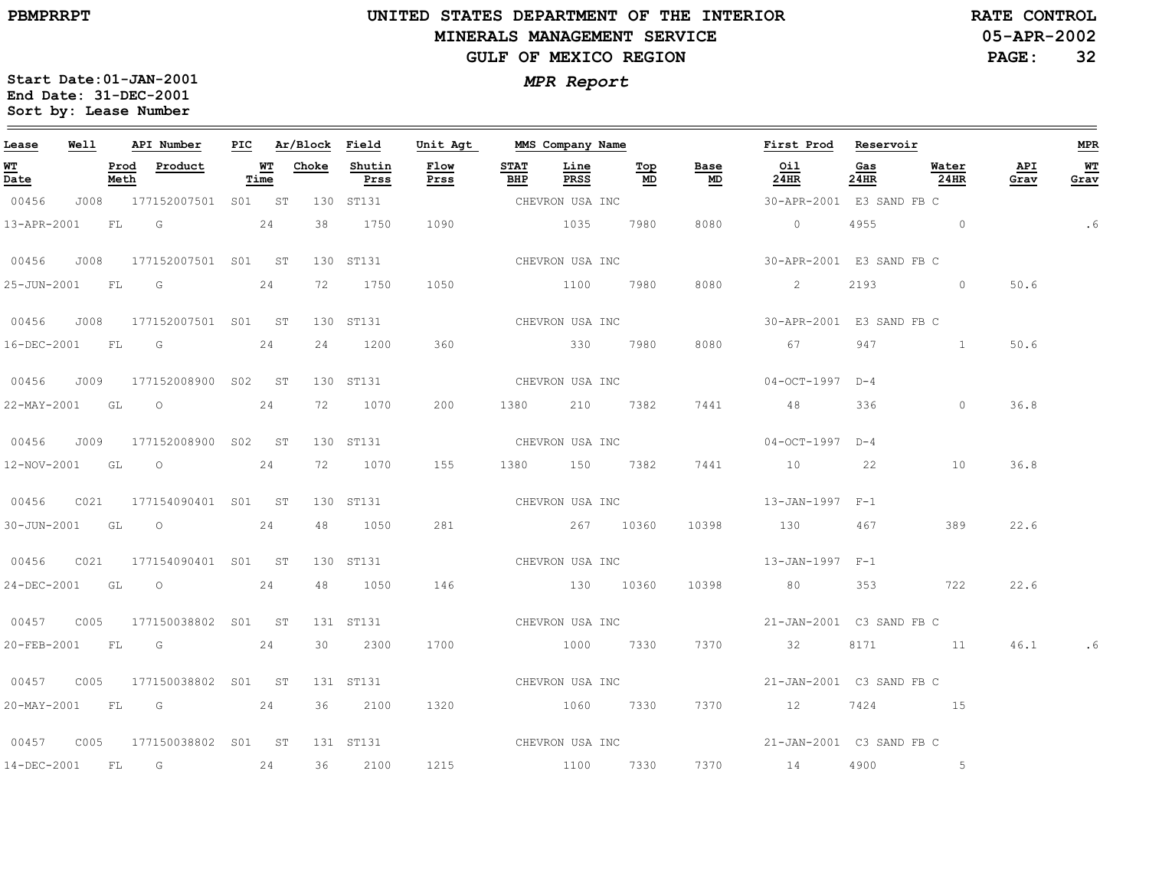# **UNITED STATES DEPARTMENT OF THE INTERIOR MINERALS MANAGEMENT SERVICEGULF OF MEXICO REGION**

**05-APR-2002RATE CONTROL**

**PAGE:32**

| Lease             | Well |      | API Number                     |      | PIC Ar/Block Field |                | Unit Agt                  |                    | MMS Company Name |                    |                                   | First Prod Reservoir                          |             |               |             | MPR         |
|-------------------|------|------|--------------------------------|------|--------------------|----------------|---------------------------|--------------------|------------------|--------------------|-----------------------------------|-----------------------------------------------|-------------|---------------|-------------|-------------|
| <u>WT</u><br>Date |      | Meth | Prod Product                   | Time | <b>WT</b> Choke    | Shutin<br>Prss | Flow<br>Prss              | <b>STAT</b><br>BHP | Line<br>PRSS     | Top<br>MD          | Base<br>$\underline{\mathsf{MD}}$ | Oil<br>24HR                                   | Gas<br>24HR | Water<br>24HR | API<br>Grav | $W$<br>Grav |
| 00456             |      |      | J008 177152007501 S01 ST       |      |                    | 130 ST131      | CHEVRON USA INC           |                    |                  |                    |                                   | 30-APR-2001 E3 SAND FB C                      |             |               |             |             |
|                   |      |      | 13-APR-2001 FL G 24            |      |                    | 38 1750        | 1090                      |                    | 1035 7980        |                    | 8080                              | $\overline{0}$                                |             | 4955 0        |             | .6          |
|                   |      |      | 00456 J008 177152007501 S01 ST |      |                    | 130 ST131      | CHEVRON USA INC           |                    |                  |                    |                                   | 30-APR-2001 E3 SAND FB C                      |             |               |             |             |
|                   |      |      | 25-JUN-2001 FL G 24            |      |                    | 72 1750        | 1050                      |                    |                  | 1100 7980          | 8080                              | $\sim$ 2                                      |             | $2193$ 0      | 50.6        |             |
|                   |      |      | 00456 J008 177152007501 S01 ST |      |                    |                | 130 ST131 CHEVRON USA INC |                    |                  |                    |                                   | 30-APR-2001 E3 SAND FB C                      |             |               |             |             |
|                   |      |      | 16-DEC-2001 FL G 24            |      |                    | 24 1200        | 360                       | 330 7980           |                  |                    | 8080                              | 67                                            |             | 947 1         | 50.6        |             |
|                   |      |      | 00456 J009 177152008900 S02 ST |      |                    | 130 ST131      |                           | CHEVRON USA INC    |                  |                    |                                   | $04-0CT-1997$ D-4                             |             |               |             |             |
|                   |      |      | 22-MAY-2001 GL O               | 24   |                    | 72 1070        | 200                       |                    | 1380 210 7382    |                    | 7441                              | 48                                            | 336         | $\circ$       | 36.8        |             |
|                   |      |      | 00456 J009 177152008900 S02 ST |      |                    | 130 ST131      | CHEVRON USA INC           |                    |                  |                    |                                   | 04-OCT-1997 D-4                               |             |               |             |             |
|                   |      |      | 12-NOV-2001 GL O 24            |      |                    | 72 1070        | 155                       |                    |                  | 1380 150 7382 7441 |                                   | 10 22                                         |             | 10            | 36.8        |             |
| 00456             |      |      | C021 177154090401 S01 ST       |      |                    |                |                           |                    |                  |                    |                                   | 130 ST131 $CHEVRON$ USA INC $13-JAN-1997$ F-1 |             |               |             |             |
|                   |      |      | 30-JUN-2001 GL O 24            |      |                    | 48 1050        |                           | 281 267 10360      |                  |                    |                                   | 10398 130 467                                 |             | 389           | 22.6        |             |
| 00456             |      |      | C021 177154090401 S01 ST       |      |                    | 130 ST131      |                           |                    |                  |                    |                                   | CHEVRON USA INC $13-JAN-1997$ $F-1$           |             |               |             |             |
|                   |      |      | 24-DEC-2001 GL O 24            |      |                    | 48 1050        | 146                       |                    |                  |                    |                                   | 130 10360 10398 80 353 722                    |             |               | 22.6        |             |
|                   |      |      |                                |      |                    | 131 ST131      |                           |                    |                  |                    |                                   | CHEVRON USA INC<br>21-JAN-2001 C3 SAND FB C   |             |               |             |             |
|                   |      |      | 20-FEB-2001 FL G 24            |      |                    | 30 2300        | 1700                      |                    | 1000 7330        |                    |                                   | 7370 32                                       |             | 8171 11       | 46.1        |             |
|                   |      |      |                                |      |                    | 131 ST131      | CHEVRON USA INC           |                    |                  |                    |                                   | 21-JAN-2001 C3 SAND FB C                      |             |               |             |             |
|                   |      |      | 20-MAY-2001 FL G 24            |      |                    | 36 2100        | 1320 1060 7330            |                    |                  |                    |                                   | 7370 12                                       |             | 7424 15       |             |             |
|                   |      |      |                                |      |                    | 131 ST131      |                           |                    |                  |                    |                                   | CHEVRON USA INC<br>21-JAN-2001 C3 SAND FB C   |             |               |             |             |
|                   |      |      | 14-DEC-2001 FL G 24            |      |                    | 36 2100        | 1215 1100 7330            |                    |                  |                    |                                   | 7370 14                                       |             | 4900 5        |             |             |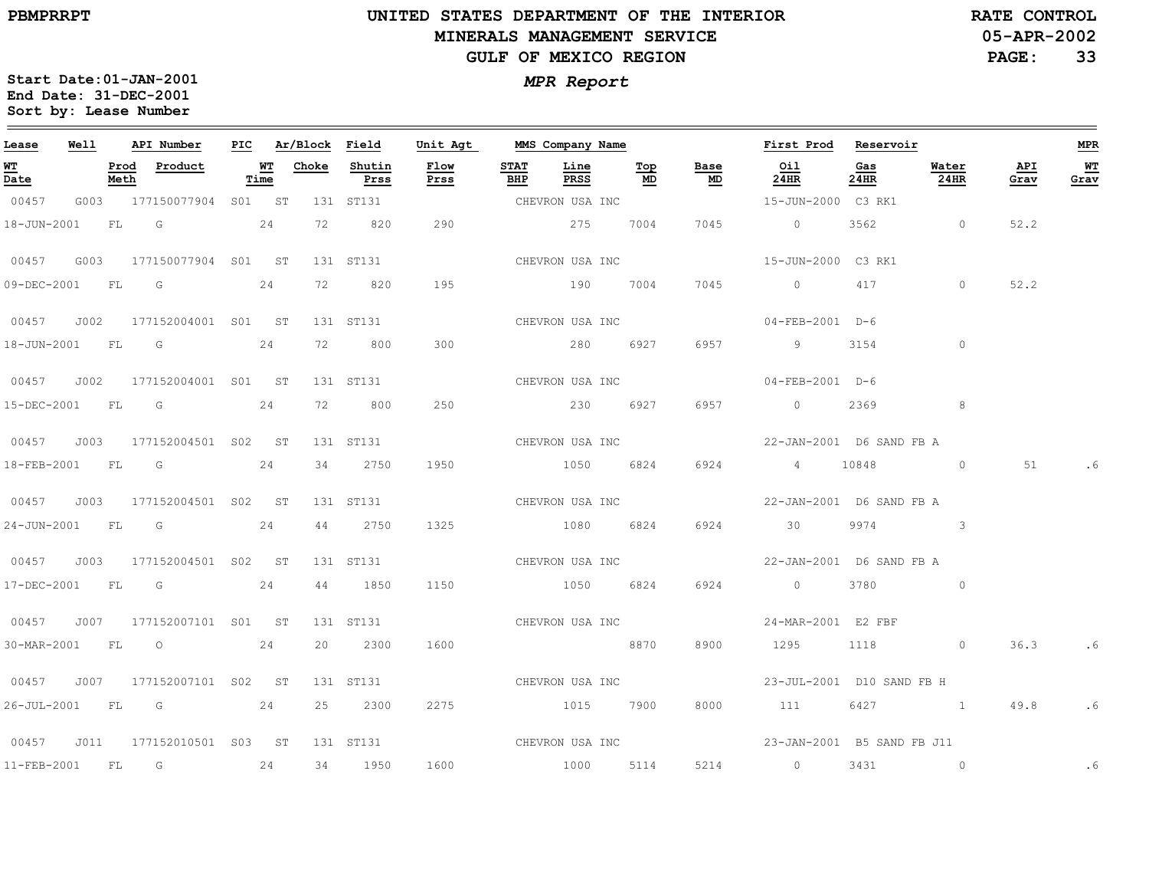**Start Date:01-JAN-2001**

**Sort by: Lease Number** 

# **UNITED STATES DEPARTMENT OF THE INTERIOR MINERALS MANAGEMENT SERVICEGULF OF MEXICO REGION**

**05-APR-2002RATE CONTROL**

**PAGE:33**

*MPR Report* **End Date: 31-DEC-2001**

| Lease             | Well |              | API Number                     |      | PIC Ar/Block Field |                | Unit Agt        |                    | MMS Company Name |           |                                   | First Prod                                 | Reservoir   |               |             | MPR        |
|-------------------|------|--------------|--------------------------------|------|--------------------|----------------|-----------------|--------------------|------------------|-----------|-----------------------------------|--------------------------------------------|-------------|---------------|-------------|------------|
| <b>WT</b><br>Date |      | Prod<br>Meth | Product                        | Time | <b>WT</b> Choke    | Shutin<br>Prss | Flow<br>Prss    | <b>STAT</b><br>BHP | Line<br>PRSS     | Top<br>MD | Base<br>$\underline{\mathsf{MD}}$ | Oil<br>24HR                                | Gas<br>24HR | Water<br>24HR | API<br>Grav | WТ<br>Grav |
| 00457             |      |              | G003 177150077904 S01 ST       |      |                    | 131 ST131      |                 |                    | CHEVRON USA INC  |           |                                   | 15-JUN-2000 C3 RK1                         |             |               |             |            |
| 18-JUN-2001       |      | FL G         |                                | 24   | 72                 | 820            | 290             |                    | 275              | 7004      | 7045                              | $\overline{0}$                             | 3562        | $\sim$ 0      | 52.2        |            |
| 00457             |      |              | G003 177150077904 S01 ST       |      |                    | 131 ST131      |                 |                    | CHEVRON USA INC  |           |                                   | 15-JUN-2000 C3 RK1                         |             |               |             |            |
|                   |      |              | 09-DEC-2001 FL G 24            |      | 72                 | 820            | 195             |                    | 190 7004         |           | 7045                              | $\overline{0}$                             | 417         | $\circ$       | 52.2        |            |
| 00457             |      |              | J002 177152004001 S01 ST       |      |                    | 131 ST131      | CHEVRON USA INC |                    |                  |           |                                   | 04-FEB-2001 D-6                            |             |               |             |            |
|                   |      |              | 18-JUN-2001 FL G               | 24   |                    | 72 800         | 300             |                    | 280 6927         |           | 6957                              | $\overline{9}$                             | 3154        | $\circ$       |             |            |
| 00457             | J002 |              | 177152004001 S01 ST            |      |                    | 131 ST131      |                 |                    | CHEVRON USA INC  |           |                                   | 04-FEB-2001 D-6                            |             |               |             |            |
|                   |      |              | 15-DEC-2001 FL G 24            |      |                    | 72 800         | 250             |                    | 230 6927         |           | 6957                              | $0 \t 2369$                                |             | 8             |             |            |
| 00457             |      |              | J003 177152004501 S02 ST       |      |                    | 131 ST131      | CHEVRON USA INC |                    |                  |           |                                   | 22-JAN-2001 D6 SAND FB A                   |             |               |             |            |
|                   |      |              | 18-FEB-2001 FL G 24            |      |                    | 34 2750        | 1950            |                    | 1050 6824        |           | 6924                              | 4 10848 0                                  |             |               | 51 7        | .6         |
| 00457 J003        |      |              | 177152004501 S02 ST            |      |                    | 131 ST131      |                 |                    | CHEVRON USA INC  |           |                                   | 22-JAN-2001 D6 SAND FB A                   |             |               |             |            |
| 24-JUN-2001 FL G  |      |              |                                | 24   |                    | 44 2750        | 1325            |                    | 1080 6824        |           | 6924                              | 30                                         | 9974        | $\sim$ 3      |             |            |
|                   |      |              | 00457 J003 177152004501 S02 ST |      |                    | 131 ST131      |                 |                    | CHEVRON USA INC  |           |                                   | 22-JAN-2001 D6 SAND FB A                   |             |               |             |            |
|                   |      |              | 17-DEC-2001 FL G 24            |      |                    | 44 1850        | 1150            |                    | 1050 6824        |           | 6924                              | $\overline{0}$                             | 3780        | $\sim$ 0      |             |            |
|                   |      |              | 00457 J007 177152007101 S01 ST |      |                    | 131 ST131      |                 |                    | CHEVRON USA INC  |           |                                   | 24-MAR-2001 E2 FBF                         |             |               |             |            |
| 30-MAR-2001 FL O  |      |              |                                | 24   |                    | 20 2300        | 1600            |                    | 8870             |           | 8900                              | 1295                                       |             | 1118 0        |             | $36.3$ .6  |
|                   |      |              | 00457 J007 177152007101 S02 ST |      |                    | 131 ST131      |                 |                    | CHEVRON USA INC  |           |                                   | 23-JUL-2001 D10 SAND FB H                  |             |               |             |            |
|                   |      |              | 26-JUL-2001 FL G 24            |      |                    | 25 2300        | 2275            |                    | 1015 7900        |           | 8000                              | 111                                        |             | 6427 1 49.8   |             | .6         |
| 00457             | J011 |              | 177152010501 S03 ST            |      |                    | 131 ST131      |                 |                    |                  |           |                                   | CHEVRON USA INC 33-JAN-2001 B5 SAND FB J11 |             |               |             |            |
| $11 - FEB - 2001$ |      | FL           | G                              | 24   |                    | 34 1950        | 1600            |                    | 1000             | 5114      |                                   | 5214 0                                     |             | 3431 0        |             | .6         |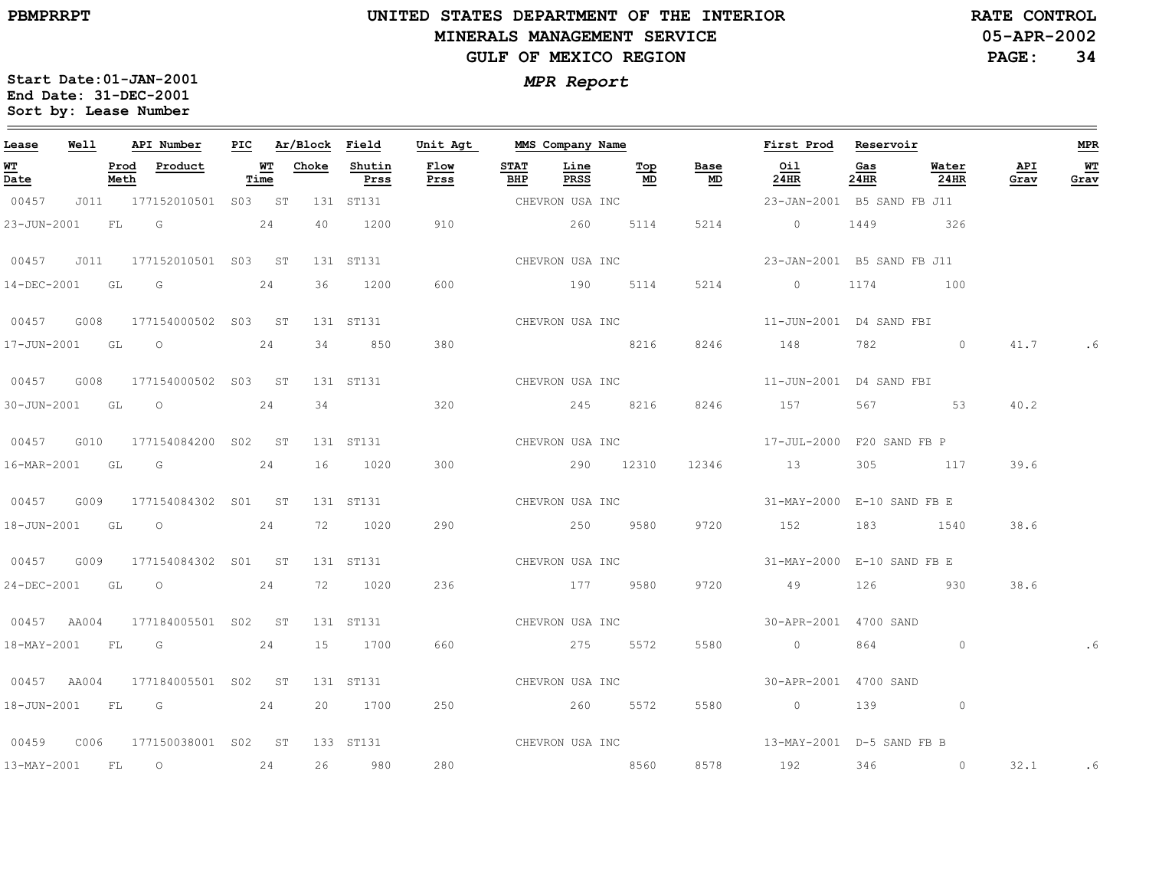$\equiv$ 

# **UNITED STATES DEPARTMENT OF THE INTERIOR MINERALS MANAGEMENT SERVICEGULF OF MEXICO REGION**

**05-APR-2002RATE CONTROL**

**PAGE:34**

| Lease            | Well |              | API Number               | PIC |            | Ar/Block Field |                | Unit Agt     |                    | MMS Company Name |                 |                                   | First Prod                                  | Reservoir   |               |             | <b>MPR</b> |
|------------------|------|--------------|--------------------------|-----|------------|----------------|----------------|--------------|--------------------|------------------|-----------------|-----------------------------------|---------------------------------------------|-------------|---------------|-------------|------------|
| WT<br>Date       |      | Prod<br>Meth | Product                  |     | WТ<br>Time | Choke          | Shutin<br>Prss | Flow<br>Prss | <b>STAT</b><br>BHP | Line<br>PRSS     | Тор<br>MD       | Base<br>$\underline{\mathsf{MD}}$ | Oil<br>24HR                                 | Gas<br>24HR | Water<br>24HR | API<br>Grav | WТ<br>Grav |
| 00457            |      |              | J011 177152010501 S03 ST |     |            |                | 131 ST131      |              |                    | CHEVRON USA INC  |                 |                                   | 23-JAN-2001 B5 SAND FB J11                  |             |               |             |            |
| 23-JUN-2001      |      | FL G         |                          |     | 24         | 40             | 1200           | 910          |                    | 260              | 5114            | 5214                              | $\overline{0}$                              | 1449        | 326           |             |            |
| 00457            | J011 |              | 177152010501 S03 ST      |     |            |                | 131 ST131      |              |                    | CHEVRON USA INC  |                 |                                   | 23-JAN-2001 B5 SAND FB J11                  |             |               |             |            |
| 14-DEC-2001      |      | GL           | $\overline{\mathsf{G}}$  |     | 24         | 36             | 1200           | 600          |                    | 190 5114         |                 | 5214                              | $\overline{0}$                              | 1174        | 100           |             |            |
| 00457 G008       |      |              | 177154000502 S03 ST      |     |            |                | 131 ST131      |              |                    | CHEVRON USA INC  |                 |                                   | 11-JUN-2001 D4 SAND FBI                     |             |               |             |            |
|                  |      |              | 17-JUN-2001 GL O         |     | 24         | 34             | 850            | 380          |                    | 8216             |                 | 8246                              | 148                                         | 782 — 100   | $\circ$       | 41.7        | . 6        |
| 00457            | G008 |              | 177154000502 S03 ST      |     |            |                | 131 ST131      |              | CHEVRON USA INC    |                  |                 |                                   | 11-JUN-2001 D4 SAND FBI                     |             |               |             |            |
| 30-JUN-2001 GL O |      |              |                          |     | 24         | 34             |                | 320          |                    | 245 8216         |                 | 8246                              | 157                                         | 567 — 100   | 53            | 40.2        |            |
| 00457            | G010 |              | 177154084200 S02 ST      |     |            |                | 131 ST131      |              |                    | CHEVRON USA INC  |                 |                                   | 17-JUL-2000 F20 SAND FB P                   |             |               |             |            |
|                  |      |              | 16-MAR-2001 GL G         |     | 24         | 16             | 1020           | 300          |                    | 290 12310        |                 | 12346                             | 13                                          |             | 305 117       | 39.6        |            |
| 00457            | G009 |              | 177154084302 S01 ST      |     |            |                | 131 ST131      |              | CHEVRON USA INC    |                  |                 |                                   | 31-MAY-2000 E-10 SAND FB E                  |             |               |             |            |
| 18-JUN-2001      |      | GL GL        | $\overline{O}$           |     | 24         | 72             | 1020           | 290          |                    | 250              | 9580            | 9720                              | 152                                         |             | 183 1540      | 38.6        |            |
| 00457            | G009 |              | 177154084302 S01 ST      |     |            |                | 131 ST131      |              |                    |                  | CHEVRON USA INC |                                   | 31-MAY-2000 E-10 SAND FB E                  |             |               |             |            |
|                  |      |              | 24-DEC-2001 GL O         |     | 24         |                | 72 1020        | 236          |                    | 177 9580         |                 | 9720                              | 49                                          |             | 126 930       | 38.6        |            |
| 00457 AA004      |      |              | 177184005501 S02 ST      |     |            |                | 131 ST131      |              | CHEVRON USA INC    |                  |                 |                                   | 30-APR-2001 4700 SAND                       |             |               |             |            |
| 18-MAY-2001      |      | <b>FL</b>    | $\overline{\mathsf{G}}$  |     | 24         | 15             | 1700           | 660          |                    | 275 5572         |                 | 5580                              | $\overline{0}$                              |             | $\circ$       |             | .6         |
| 00457 AA004      |      |              | 177184005501 S02 ST      |     |            |                | 131 ST131      |              |                    |                  | CHEVRON USA INC |                                   | 30-APR-2001 4700 SAND                       |             |               |             |            |
| 18-JUN-2001      |      |              | $FL$ G 24                |     |            | 20             | 1700           | 250          |                    | 260 5572         |                 | 5580                              | $\overline{0}$                              |             | 139 0         |             |            |
| 00459            | C006 |              | 177150038001 S02 ST      |     |            |                | 133 ST131      |              |                    |                  |                 |                                   | CHEVRON USA INC $13-MAY-2001$ D-5 SAND FB B |             |               |             |            |
| 13-MAY-2001      |      | FL           | $\overline{\phantom{0}}$ |     | 24         | 26             | 980            | 280          |                    | 8560             |                 | 8578                              | 192 346 0                                   |             |               |             | 32.1 .6    |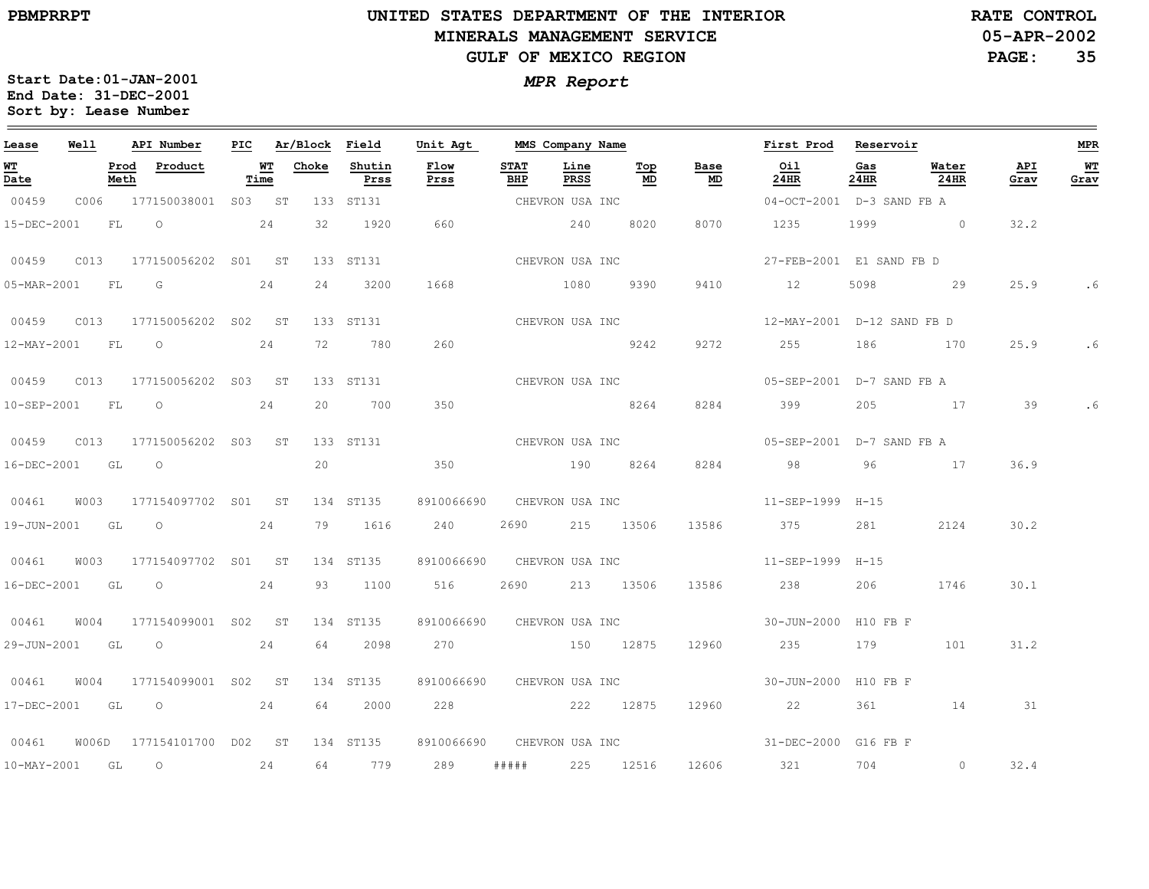# **UNITED STATES DEPARTMENT OF THE INTERIOR MINERALS MANAGEMENT SERVICEGULF OF MEXICO REGION**

**05-APR-2002RATE CONTROL**

**PAGE:35**

| Lease            | <b>Well</b> |      | API Number                |    |                   | PIC Ar/Block Field |                | Unit Agt                   |                    | MMS Company Name    |           |                                   | First Prod Reservoir                            |             |               |             | <b>MPR</b> |
|------------------|-------------|------|---------------------------|----|-------------------|--------------------|----------------|----------------------------|--------------------|---------------------|-----------|-----------------------------------|-------------------------------------------------|-------------|---------------|-------------|------------|
| WT<br>Date       |             | Meth | Prod Product              |    | <b>WT</b><br>Time | Choke              | Shutin<br>Prss | Flow<br>Prss               | <b>STAT</b><br>BHP | Line<br><b>PRSS</b> | Top<br>MD | Base<br>$\underline{\mathsf{MD}}$ | Oil<br>$24$ HR                                  | Gas<br>24HR | Water<br>24HR | API<br>Grav | WT<br>Grav |
| 00459            |             |      | C006 177150038001 S03 ST  |    |                   |                    | 133 ST131      |                            |                    | CHEVRON USA INC     |           |                                   | 04-OCT-2001 D-3 SAND FB A                       |             |               |             |            |
| 15-DEC-2001      |             | FL   | $\circ$ 24                |    |                   |                    | 32 1920        | 660                        |                    | 240                 | 8020      | 8070                              | 1235 1999 0                                     |             |               | 32.2        |            |
| 00459            |             |      | C013 177150056202 S01 ST  |    |                   |                    | 133 ST131      | CHEVRON USA INC            |                    |                     |           |                                   | 27-FEB-2001 E1 SAND FB D                        |             |               |             |            |
|                  |             |      | 05-MAR-2001 FL G 24       |    |                   | 24                 | 3200           | 1668                       |                    | 1080 9390           |           | 9410                              | 12                                              | 5098        | 29            | 25.9        | . 6        |
|                  |             |      |                           |    |                   |                    | 133 ST131      | CHEVRON USA INC            |                    |                     |           |                                   |                                                 |             |               |             |            |
|                  |             |      | 12-MAY-2001 FL O 24       |    |                   |                    | 72 780         | 260                        |                    | 9242                |           | 9272                              | 255 186 170                                     |             |               | 25.9        |            |
| 00459            |             |      | C013 177150056202 S03 ST  |    |                   |                    | 133 ST131      |                            |                    | CHEVRON USA INC     |           |                                   | 05-SEP-2001 D-7 SAND FB A                       |             |               |             |            |
| 10-SEP-2001 FL O |             |      | 24                        |    |                   |                    | 20 700         | 350                        |                    |                     | 8264      | 8284                              | 399                                             |             | 205 17 39     |             |            |
|                  |             |      |                           |    |                   |                    |                | 133 ST131 CHEVRON USA INC  |                    |                     |           |                                   | 05-SEP-2001 D-7 SAND FB A                       |             |               |             |            |
| 16-DEC-2001 GL O |             |      |                           |    |                   | 20                 |                | 350                        |                    | 190 8264            |           | 8284                              | 98                                              | 96          | 17            | 36.9        |            |
|                  |             |      |                           |    |                   |                    | 134 ST135      | 8910066690                 |                    | CHEVRON USA INC     |           |                                   | 11-SEP-1999 H-15                                |             |               |             |            |
| 19-JUN-2001 GL   |             |      | $\overline{O}$            | 24 |                   |                    | 79 1616        | 240                        | 2690               | 215 13506           |           | 13586                             | 375                                             | 281         | 2124          | 30.2        |            |
|                  |             |      |                           |    |                   |                    | 134 ST135      | 8910066690 CHEVRON USA INC |                    |                     |           |                                   | 11-SEP-1999 H-15                                |             |               |             |            |
|                  |             |      | 16-DEC-2001 GL O          |    | 24                |                    | 93 1100        | 516                        |                    | 2690 213 13506      |           |                                   | 13586 238                                       | 206         | 1746          | 30.1        |            |
| 00461            |             |      | W004 177154099001 S02 ST  |    |                   |                    | 134 ST135      | 8910066690 CHEVRON USA INC |                    |                     |           |                                   | 30-JUN-2000 H10 FB F                            |             |               |             |            |
| 29-JUN-2001      |             | GL   | $\overline{O}$            |    | 24                | 64                 | 2098           |                            |                    | 270 150 12875       |           | 12960                             | 235                                             | 179         | 101           | 31.2        |            |
| 00461            | W004        |      | 177154099001 S02 ST       |    |                   |                    | 134 ST135      | 8910066690 CHEVRON USA INC |                    |                     |           |                                   | 30-JUN-2000 H10 FB F                            |             |               |             |            |
|                  |             |      | 17-DEC-2001 GL 0 24       |    |                   | 64                 | 2000           | 228 222 12875              |                    |                     |           | 12960                             | 22                                              | 361 — 100   | 14            | 31          |            |
| 00461            |             |      | W006D 177154101700 D02 ST |    |                   |                    | 134 ST135      |                            |                    |                     |           |                                   | 8910066690 CHEVRON USA INC 31-DEC-2000 G16 FB F |             |               |             |            |
| 10-MAY-2001      |             | GL   | $\overline{\phantom{0}}$  | 24 |                   |                    | 64 779         | 289                        |                    | ##### 225 12516     |           |                                   | 12606 321 704 0                                 |             |               | 32.4        |            |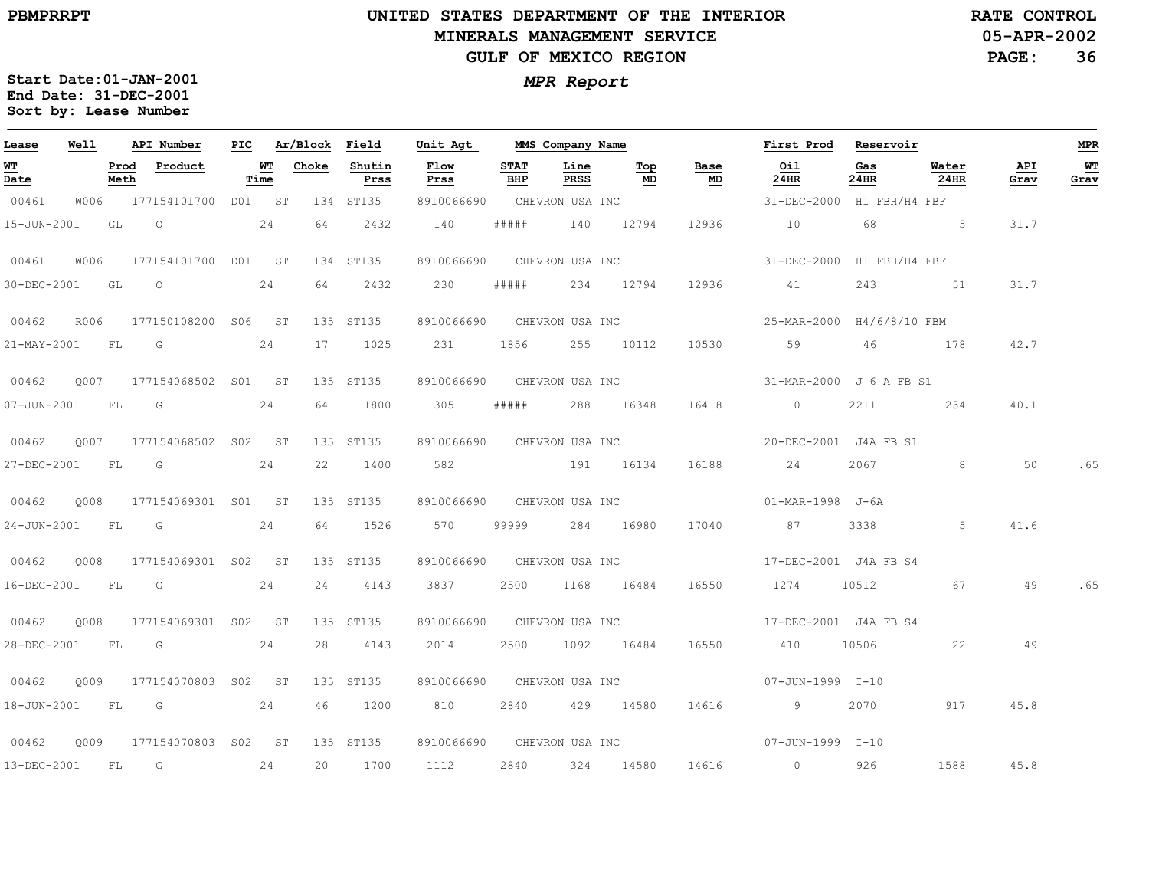$\equiv$ 

# **UNITED STATES DEPARTMENT OF THE INTERIOR MINERALS MANAGEMENT SERVICEGULF OF MEXICO REGION**

**05-APR-2002PAGE: 36 RATE CONTROL**

| Lease            | Well |              | API Number          | PIC |                   | Ar/Block | Field          | Unit Agt                   | MMS Company Name   |                 |            |                            | First Prod                                                                                                                                                                                                                                                                                                                           |               | Reservoir     |             | <b>MPR</b>  |
|------------------|------|--------------|---------------------|-----|-------------------|----------|----------------|----------------------------|--------------------|-----------------|------------|----------------------------|--------------------------------------------------------------------------------------------------------------------------------------------------------------------------------------------------------------------------------------------------------------------------------------------------------------------------------------|---------------|---------------|-------------|-------------|
| WТ<br>Date       |      | Prod<br>Meth | Product             |     | <b>WT</b><br>Time | Choke    | Shutin<br>Prss | Flow<br>Prss               | <b>STAT</b><br>BHP | Line<br>PRSS    | Top<br>MD  | Base<br>MD                 | Oil<br>24HR                                                                                                                                                                                                                                                                                                                          | Gas<br>24HR   | Water<br>24HR | API<br>Grav | $W$<br>Grav |
| 00461            | W006 |              | 177154101700 D01 ST |     |                   |          | 134 ST135      | 8910066690                 |                    | CHEVRON USA INC |            |                            | 31-DEC-2000                                                                                                                                                                                                                                                                                                                          | H1 FBH/H4 FBF |               |             |             |
| 15-JUN-2001      |      | GL           | $\circ$             |     | 24                | 64       | 2432           | 140                        | # # # # #          |                 | 140 12794  | 12936                      | 10                                                                                                                                                                                                                                                                                                                                   | 68            | $\sim$ 5      | 31.7        |             |
| 00461            | W006 |              | 177154101700 D01 ST |     |                   |          | 134 ST135      | 8910066690                 |                    | CHEVRON USA INC |            |                            | 31-DEC-2000 H1 FBH/H4 FBF                                                                                                                                                                                                                                                                                                            |               |               |             |             |
| 30-DEC-2001      |      | GL           | $\circ$             |     | 24                | 64       | 2432           | 230                        | # # # # #          |                 | 234 12794  | 12936                      | 41                                                                                                                                                                                                                                                                                                                                   | 243           | 51            | 31.7        |             |
| 00462            | R006 |              | 177150108200 S06 ST |     |                   |          | 135 ST135      | 8910066690 CHEVRON USA INC |                    |                 |            |                            | 25-MAR-2000 H4/6/8/10 FBM                                                                                                                                                                                                                                                                                                            |               |               |             |             |
| 21-MAY-2001 FL G |      |              |                     |     | 24                | 17       | 1025           | 231                        | 1856               |                 | 255 10112  | 10530                      | 59                                                                                                                                                                                                                                                                                                                                   |               | 46 178        | 42.7        |             |
| 00462            | 0007 |              | 177154068502 S01 ST |     |                   |          | 135 ST135      | 8910066690 CHEVRON USA INC |                    |                 |            |                            | 31-MAR-2000 J 6 A FB S1                                                                                                                                                                                                                                                                                                              |               |               |             |             |
| 07-JUN-2001      |      | <b>FL</b>    | G                   |     | 24                | 64       | 1800           | 305                        | #####              |                 | 288 16348  | 16418                      | $\overline{0}$                                                                                                                                                                                                                                                                                                                       | 2211          | 234           | 40.1        |             |
| 00462            | 0007 |              | 177154068502 S02 ST |     |                   |          | 135 ST135      | 8910066690 CHEVRON USA INC |                    |                 |            |                            | 20-DEC-2001 J4A FB S1                                                                                                                                                                                                                                                                                                                |               |               |             |             |
| 27-DEC-2001      |      | FL G         | 24                  |     |                   | 22       | 1400           |                            |                    | 582 191 16134   |            | 16188                      | 24                                                                                                                                                                                                                                                                                                                                   | 2067 — 20     | 8             | 50          | .65         |
| 00462            | 0008 |              | 177154069301 S01 ST |     |                   |          | 135 ST135      | 8910066690 CHEVRON USA INC |                    |                 |            |                            | 01-MAR-1998 J-6A                                                                                                                                                                                                                                                                                                                     |               |               |             |             |
| 24-JUN-2001      |      | <b>FL</b>    | G                   |     | 24                | 64       | 1526           | 570                        | 99999              |                 | 284 16980  | 17040                      | 87                                                                                                                                                                                                                                                                                                                                   | 3338          | 5             | 41.6        |             |
| 00462            | 0008 |              | 177154069301 S02 ST |     |                   |          | 135 ST135      | 8910066690 CHEVRON USA INC |                    |                 |            |                            | 17-DEC-2001 J4A FB S4                                                                                                                                                                                                                                                                                                                |               |               |             |             |
|                  |      |              | 16-DEC-2001 FL G 24 |     |                   | 24       | 4143           | 3837                       |                    | 2500 1168 16484 |            | 16550                      | 1274 10512                                                                                                                                                                                                                                                                                                                           |               | 67            | 49          | .65         |
| 00462            | 0008 |              | 177154069301 S02 ST |     |                   |          | 135 ST135      |                            |                    |                 |            | 8910066690 CHEVRON USA INC | 17-DEC-2001 J4A FB S4                                                                                                                                                                                                                                                                                                                |               |               |             |             |
| 28-DEC-2001      |      | FL           | $\overline{G}$      |     | 24                | 28       | 4143           | 2014                       | 2500               |                 | 1092 16484 | 16550                      | 410                                                                                                                                                                                                                                                                                                                                  | 10506         | 22            | 49          |             |
| 00462            | 0009 |              | 177154070803 S02 ST |     |                   |          | 135 ST135      | 8910066690                 |                    | CHEVRON USA INC |            |                            | 07-JUN-1999 I-10                                                                                                                                                                                                                                                                                                                     |               |               |             |             |
|                  |      |              | 18-JUN-2001 FL G 24 |     |                   | 46       | 1200           | 810                        |                    | 2840 429 14580  |            | 14616                      | $\overline{9}$ and $\overline{9}$ and $\overline{9}$ and $\overline{9}$ and $\overline{9}$ and $\overline{9}$ and $\overline{9}$ and $\overline{9}$ and $\overline{10}$ and $\overline{10}$ and $\overline{10}$ and $\overline{10}$ and $\overline{10}$ and $\overline{10}$ and $\overline{10}$ and $\overline{10}$ and $\overline{$ | 2070          | 917           | 45.8        |             |
| 00462            | 0009 |              | 177154070803 S02 ST |     |                   |          | 135 ST135      | 8910066690                 |                    |                 |            |                            |                                                                                                                                                                                                                                                                                                                                      |               |               |             |             |
| 13-DEC-2001      |      | FL           | G                   |     | 24                | 20       | 1700           | 1112                       | 2840               |                 | 324 14580  | 14616                      | $\overline{0}$                                                                                                                                                                                                                                                                                                                       | 926           | 1588          | 45.8        |             |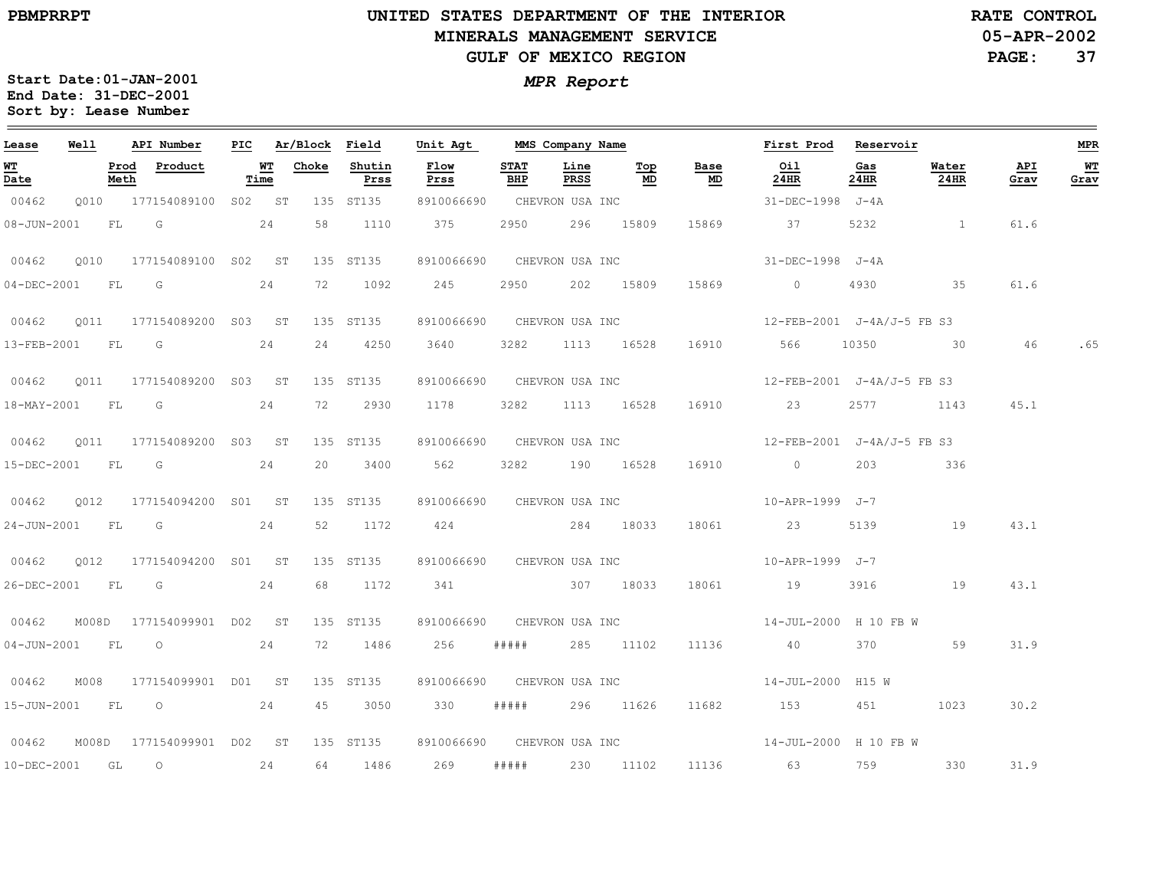#### **UNITED STATES DEPARTMENT OF THE INTERIOR MINERALS MANAGEMENT SERVICEGULF OF MEXICO REGION**

**05-APR-2002RATE CONTROL**

**PAGE:37**

| Lease            | Well |              | API Number                      | PIC |                   | Ar/Block Field |                | Unit Agt                   |                    | MMS Company Name |           |            | First Prod                                                 | Reservoir   |               |             | MPR        |
|------------------|------|--------------|---------------------------------|-----|-------------------|----------------|----------------|----------------------------|--------------------|------------------|-----------|------------|------------------------------------------------------------|-------------|---------------|-------------|------------|
| WT<br>Date       |      | Prod<br>Meth | Product                         |     | <b>WT</b><br>Time | Choke          | Shutin<br>Prss | Flow<br>Prss               | <b>STAT</b><br>BHP | Line<br>PRSS     | Тор<br>MD | Base<br>MD | 0i1<br>24HR                                                | Gas<br>24HR | Water<br>24HR | API<br>Grav | WT<br>Grav |
| 00462            |      |              | Q010 177154089100 S02 ST        |     |                   |                | 135 ST135      | 8910066690 CHEVRON USA INC |                    |                  |           |            | 31-DEC-1998 J-4A                                           |             |               |             |            |
|                  |      |              | 08-JUN-2001 FL G 24             |     |                   | 58             | 1110           | 375                        | 2950               |                  | 296 15809 | 15869      | 37                                                         | 5232        |               | 61.6        |            |
| 00462            | 0010 |              | 177154089100 S02 ST             |     |                   |                | 135 ST135      | 8910066690 CHEVRON USA INC |                    |                  |           |            | 31-DEC-1998 J-4A                                           |             |               |             |            |
|                  |      |              | 04-DEC-2001 FL G                |     | 24                | 72             | 1092           | 245                        |                    | 2950 202 15809   |           |            | 15869 0                                                    | 4930        | 35            | 61.6        |            |
| 00462            |      |              | 0011 177154089200 S03 ST        |     |                   |                | 135 ST135      |                            |                    |                  |           |            | 8910066690 CHEVRON USA INC 12-FEB-2001 J-4A/J-5 FB S3      |             |               |             |            |
|                  |      |              | 13-FEB-2001 FL G 24             |     |                   |                | 24 4250        |                            |                    |                  |           |            | 3640 3282 1113 16528 16910 566 10350 30 46                 |             |               |             | .65        |
| 00462            |      |              | 0011 177154089200 S03 ST        |     |                   |                | 135 ST135      |                            |                    |                  |           |            | 8910066690 CHEVRON USA INC 12-FEB-2001 J-4A/J-5 FB S3      |             |               |             |            |
|                  |      |              | 18-MAY-2001 FL G 24             |     |                   |                | 72 2930        |                            |                    |                  |           |            | 1178 3282 1113 16528 16910 23 2577 1143                    |             |               | 45.1        |            |
| 00462            |      |              | Q011 177154089200 S03 ST        |     |                   |                | 135 ST135      |                            |                    |                  |           |            | 8910066690 CHEVRON USA INC 12-FEB-2001 J-4A/J-5 FB S3      |             |               |             |            |
|                  |      |              | 15-DEC-2001 FL G 24             |     |                   |                | 20 3400        | 562                        |                    |                  |           |            | 3282 190 16528 16910 0                                     | 203         | 336           |             |            |
| 00462            |      |              | Q012 177154094200 S01 ST        |     |                   |                | 135 ST135      |                            |                    |                  |           |            | 8910066690 CHEVRON USA INC 10-APR-1999 J-7                 |             |               |             |            |
|                  |      |              | 24-JUN-2001 FL G 24             |     |                   |                | 52 1172        | 424 284 18033              |                    |                  |           |            | 18061 23                                                   | 5139        | 19            | 43.1        |            |
| 00462            | 0012 |              | 177154094200 S01 ST             |     |                   |                | 135 ST135      | 8910066690 CHEVRON USA INC |                    |                  |           |            | 10-APR-1999 J-7                                            |             |               |             |            |
| 26-DEC-2001 FL G |      |              | 24                              |     |                   |                | 68 1172        | 341 307 18033              |                    |                  |           |            | 18061 19                                                   | 3916        | 19            | 43.1        |            |
|                  |      |              | 00462 M008D 177154099901 D02 ST |     |                   |                | 135 ST135      | 8910066690 CHEVRON USA INC |                    |                  |           |            | 14-JUL-2000 H 10 FB W                                      |             |               |             |            |
|                  |      |              | 04-JUN-2001 FL 0 24             |     |                   |                | 72 1486        | 256                        | #####              |                  | 285 11102 | 11136      | 40                                                         | 370 370     | 59            | 31.9        |            |
| 00462            | M008 |              | 177154099901 D01 ST             |     |                   |                | 135 ST135      |                            |                    |                  |           |            | 8910066690 CHEVRON USA INC 14-JUL-2000 H15 W               |             |               |             |            |
|                  |      |              | 15-JUN-2001 FL 0                |     | 24                |                | 45 3050        | 330                        | # # # # #          |                  |           |            | 296 11626 11682 153 451                                    |             | 1023          | 30.2        |            |
|                  |      |              | 00462 M008D 177154099901 D02 ST |     |                   |                |                |                            |                    |                  |           |            | 135 ST135 8910066690 CHEVRON USA INC 14-JUL-2000 H 10 FB W |             |               |             |            |
|                  |      |              | 10-DEC-2001 GL O 24             |     |                   |                | 64 1486        | 269                        |                    |                  |           |            | ##### 230 11102 11136 63                                   |             | 759 330       | 31.9        |            |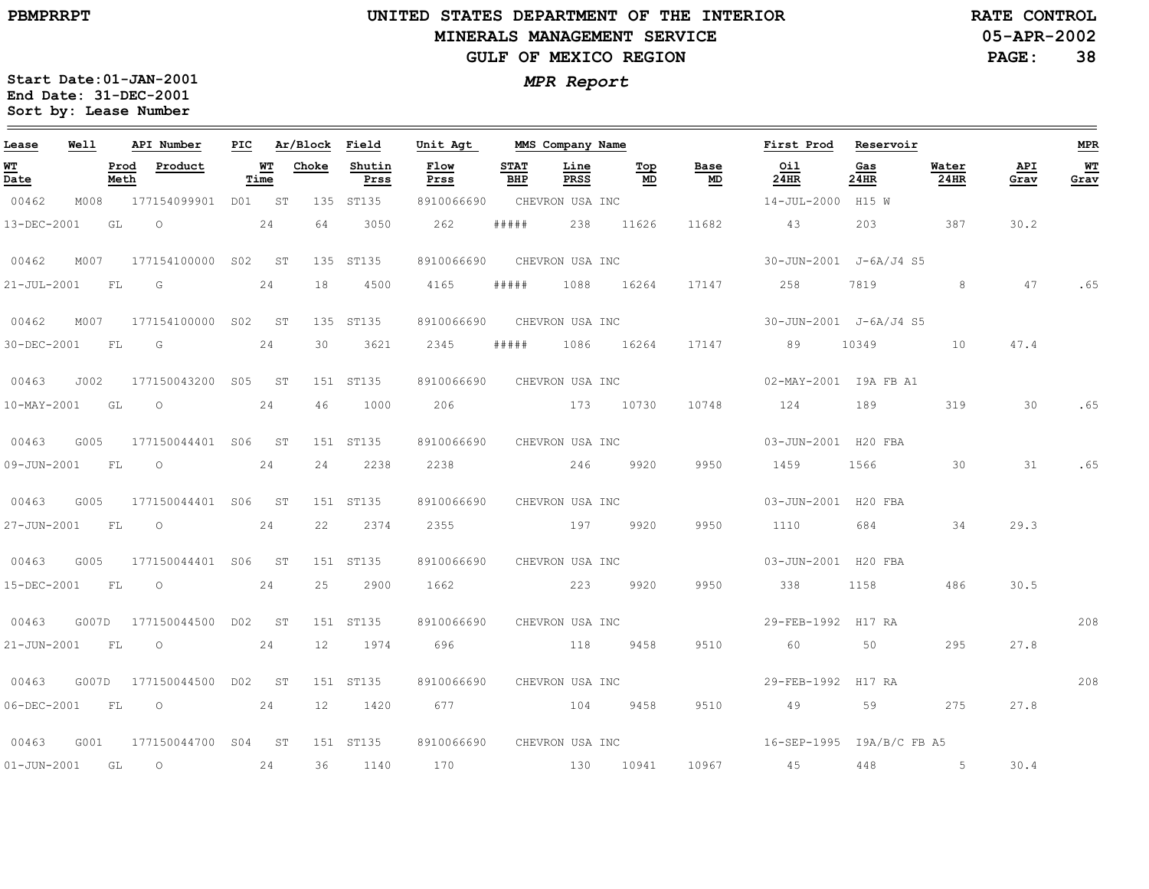#### **UNITED STATES DEPARTMENT OF THE INTERIOR MINERALS MANAGEMENT SERVICEGULF OF MEXICO REGION**

**05-APR-2002RATE CONTROL**

**PAGE:38**

| Lease          | Well |              | API Number                | PIC |            | Ar/Block Field |                | Unit Agt                   |                    | MMS Company Name    |            |            | First Prod                | Reservoir   |               |             | MPR        |
|----------------|------|--------------|---------------------------|-----|------------|----------------|----------------|----------------------------|--------------------|---------------------|------------|------------|---------------------------|-------------|---------------|-------------|------------|
| WТ<br>Date     |      | Prod<br>Meth | Product                   |     | WT<br>Time | Choke          | Shutin<br>Prss | Flow<br>Prss               | <b>STAT</b><br>BHP | Line<br><b>PRSS</b> | Тор<br>MD  | Base<br>MD | Oil<br>24HR               | Gas<br>24HR | Water<br>24HR | API<br>Grav | WT<br>Grav |
| 00462          | M008 |              | 177154099901 D01 ST       |     |            |                | 135 ST135      | 8910066690                 |                    | CHEVRON USA INC     |            |            | 14-JUL-2000 H15 W         |             |               |             |            |
| 13-DEC-2001    |      | GL           | $\circ$                   |     | 24         | 64             | 3050           | 262                        | # # # # #          | 238                 | 11626      | 11682      | 43                        | 203         | 387           | 30.2        |            |
| 00462          | M007 |              | 177154100000 S02 ST       |     |            |                | 135 ST135      | 8910066690                 |                    | CHEVRON USA INC     |            |            | 30-JUN-2001 J-6A/J4 S5    |             |               |             |            |
| 21-JUL-2001    |      | FL           | G                         |     | 24         | 18             | 4500           | 4165                       | #####              | 1088                | 16264      | 17147      | 258                       | 7819        | 8             | 47          | .65        |
| 00462          | M007 |              | 177154100000 S02 ST       |     |            |                | 135 ST135      | 8910066690                 |                    | CHEVRON USA INC     |            |            | 30-JUN-2001 J-6A/J4 S5    |             |               |             |            |
| 30-DEC-2001    | - FL |              | G                         |     | 24         | 30             | 3621           | 2345                       | # # # # #          |                     | 1086 16264 |            | 17147 89                  | 10349       | 10            | 47.4        |            |
| 00463          | J002 |              | 177150043200 S05 ST       |     |            |                | 151 ST135      | 8910066690                 |                    | CHEVRON USA INC     |            |            | 02-MAY-2001 I9A FB A1     |             |               |             |            |
| 10-MAY-2001    |      | GL           | $\circ$                   |     | 24         | 46             | 1000           | 206                        |                    | 173 10730           |            | 10748      | 124                       | 189         | 319           | 30          | .65        |
| 00463          | G005 |              | 177150044401 S06 ST       |     |            |                | 151 ST135      | 8910066690 CHEVRON USA INC |                    |                     |            |            | 03-JUN-2001 H20 FBA       |             |               |             |            |
| 09-JUN-2001 FL |      |              | $\overline{O}$            |     | 24         | 24             | 2238           | 2238 246                   |                    |                     | 9920       | 9950       | 1459                      | 1566        | 30            | 31          | .65        |
| 00463          | G005 |              | 177150044401 S06 ST       |     |            |                | 151 ST135      | 8910066690                 |                    | CHEVRON USA INC     |            |            | 03-JUN-2001 H20 FBA       |             |               |             |            |
| 27-JUN-2001    | FL   |              | $\circ$                   |     | 24         | 22             | 2374           | 2355                       |                    | 197                 | 9920       | 9950       | 1110                      | 684         | 34            | 29.3        |            |
| 00463          | G005 |              | 177150044401 S06 ST       |     |            |                | 151 ST135      | 8910066690                 |                    | CHEVRON USA INC     |            |            | 03-JUN-2001 H20 FBA       |             |               |             |            |
| 15-DEC-2001    |      | FL           | $\circ$                   |     | 24         | 25             | 2900           | 1662 223                   |                    |                     | 9920       | 9950       | 338                       | 1158        | 486           | 30.5        |            |
| 00463          |      |              | G007D 177150044500 D02 ST |     |            |                | 151 ST135      | 8910066690                 |                    | CHEVRON USA INC     |            |            | 29-FEB-1992 H17 RA        |             |               |             | 208        |
| 21-JUN-2001    |      | FL           | $\circ$                   |     | 24         | 12             | 1974           | 696                        |                    | 118 9458            |            | 9510       | 60                        | 50          | 295           | 27.8        |            |
| 00463          |      |              | G007D 177150044500 D02 ST |     |            |                | 151 ST135      | 8910066690                 |                    | CHEVRON USA INC     |            |            | 29-FEB-1992 H17 RA        |             |               |             | 208        |
| 06-DEC-2001    |      | FL           | $\circ$                   |     | 24         | 12             | 1420           | 677 — 100                  |                    | 104 9458            |            | 9510       | 49                        | 59          | 275           | 27.8        |            |
| 00463          | G001 |              | 177150044700 S04 ST       |     |            |                | 151 ST135      | 8910066690 CHEVRON USA INC |                    |                     |            |            | 16-SEP-1995 I9A/B/C FB A5 |             |               |             |            |
| 01-JUN-2001    | GL   |              | $\circ$                   |     | 24         | 36             | 1140           | 170                        |                    | 130 10941           |            |            | 10967 45                  | 448         | $5 - 5$       | 30.4        |            |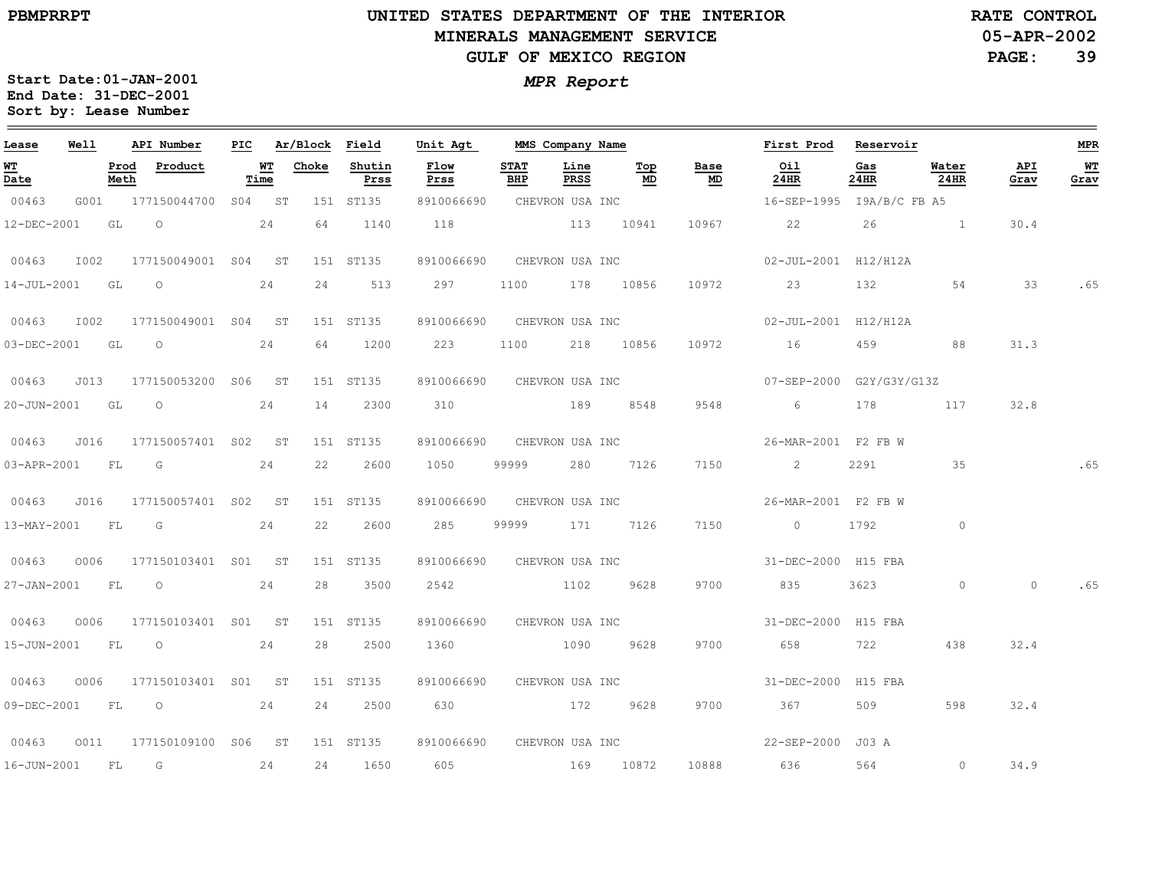**05-APR-2002 RATE CONTROL**

**PAGE:39**

| Lease            | Well |              | API Number               | PIC |                   | Ar/Block | Field          | Unit Agt                   |                    | MMS Company Name |                 |            | First Prod                                      | Reservoir   |               |             | <b>MPR</b> |
|------------------|------|--------------|--------------------------|-----|-------------------|----------|----------------|----------------------------|--------------------|------------------|-----------------|------------|-------------------------------------------------|-------------|---------------|-------------|------------|
| WT<br>Date       |      | Prod<br>Meth | Product                  |     | <b>WT</b><br>Time | Choke    | Shutin<br>Prss | Flow<br>Prss               | <b>STAT</b><br>BHP | Line<br>PRSS     | Тор<br>MD       | Base<br>MD | Oil<br>24HR                                     | Gas<br>24HR | Water<br>24HR | API<br>Grav | WT<br>Grav |
| 00463            | G001 |              | 177150044700 S04 ST      |     |                   |          | 151 ST135      | 8910066690                 |                    | CHEVRON USA INC  |                 |            | 16-SEP-1995 I9A/B/C FB A5                       |             |               |             |            |
| 12-DEC-2001      |      | GL           | $\overline{O}$           |     | 24                | 64       | 1140           | 118 113 10941              |                    |                  |                 | 10967      | 22                                              |             | $26$ 1        | 30.4        |            |
| 00463            | I002 |              | 177150049001 S04 ST      |     |                   |          | 151 ST135      | 8910066690 CHEVRON USA INC |                    |                  |                 |            | 02-JUL-2001 H12/H12A                            |             |               |             |            |
|                  |      |              | 14-JUL-2001 GL O         |     | 24                | 24       | 513            | 297 — 2014                 |                    |                  |                 |            | 1100 178 10856 10972 23                         | 132 2       | 54            | 33          | .65        |
| 00463            | I002 |              | 177150049001 S04 ST      |     |                   |          | 151 ST135      |                            |                    |                  |                 |            | 8910066690 CHEVRON USA INC 02-JUL-2001 H12/H12A |             |               |             |            |
|                  |      |              | 03-DEC-2001 GL O 24      |     |                   | 64       | 1200           | 223 1100 218 10856         |                    |                  |                 | 10972      | 16                                              |             | 88            | 31.3        |            |
| 00463            | J013 |              | 177150053200 S06 ST      |     |                   |          | 151 ST135      | 8910066690 CHEVRON USA INC |                    |                  |                 |            | 07-SEP-2000 G2Y/G3Y/G13Z                        |             |               |             |            |
|                  |      |              | 20-JUN-2001 GL 0 24      |     |                   | 14       | 2300           | 310 189 8548               |                    |                  |                 | 9548       | 6 178 117                                       |             |               | 32.8        |            |
| 00463            | J016 |              | 177150057401 S02 ST      |     |                   |          | 151 ST135      |                            |                    |                  |                 |            | 8910066690 CHEVRON USA INC 26-MAR-2001 F2 FB W  |             |               |             |            |
|                  |      |              | 03-APR-2001 FL G 24      |     |                   | 22       | 2600           | 1050                       | 99999              |                  | 280 7126        | 7150       | $\sim$ 2                                        | 2291 200    | 35            |             | .65        |
| 00463            | J016 |              | 177150057401 S02 ST      |     |                   |          | 151 ST135      | 8910066690                 |                    |                  | CHEVRON USA INC |            | 26-MAR-2001 F2 FB W                             |             |               |             |            |
|                  |      |              | 13-MAY-2001 FL G 24      |     |                   | 22       | 2600           | 285                        |                    | 99999 171 7126   |                 | 7150       | $0$ 1792                                        |             | $\circ$       |             |            |
| 00463            | 0006 |              | 177150103401 S01 ST      |     |                   |          | 151 ST135      | 8910066690 CHEVRON USA INC |                    |                  |                 |            | 31-DEC-2000 H15 FBA                             |             |               |             |            |
| 27-JAN-2001 FL O |      |              | 24                       |     |                   | 28       | 3500           | 2542                       |                    | 1102 9628        |                 | 9700       | 835                                             | 3623        | $\circ$       | $\circ$     | .65        |
| 00463            | 0006 |              | 177150103401 S01 ST      |     |                   |          | 151 ST135      | 8910066690 CHEVRON USA INC |                    |                  |                 |            | 31-DEC-2000 H15 FBA                             |             |               |             |            |
| 15-JUN-2001 FL O |      |              |                          |     | 24                | 28       | 2500           | 1360                       |                    | 1090             | 9628            | 9700       | 658                                             | 722         | 438           | 32.4        |            |
| 00463            |      |              | 0006 177150103401 S01 ST |     |                   |          | 151 ST135      | 8910066690 CHEVRON USA INC |                    |                  |                 |            | 31-DEC-2000 H15 FBA                             |             |               |             |            |
|                  |      |              | 09-DEC-2001 FL 0 24      |     |                   | 24       | 2500           |                            |                    | 172              | 9628            | 9700       | 367                                             | 509         | 598           | 32.4        |            |
| 00463            | 0011 |              | 177150109100 S06 ST      |     |                   |          | 151 ST135      | 8910066690 CHEVRON USA INC |                    |                  |                 |            | 22-SEP-2000 J03 A                               |             |               |             |            |
| 16-JUN-2001      |      | FL           | G                        |     | 24                | 24       | 1650           | 605                        |                    | 169 10872        |                 | 10888      | 636                                             | 564         | $\circ$       | 34.9        |            |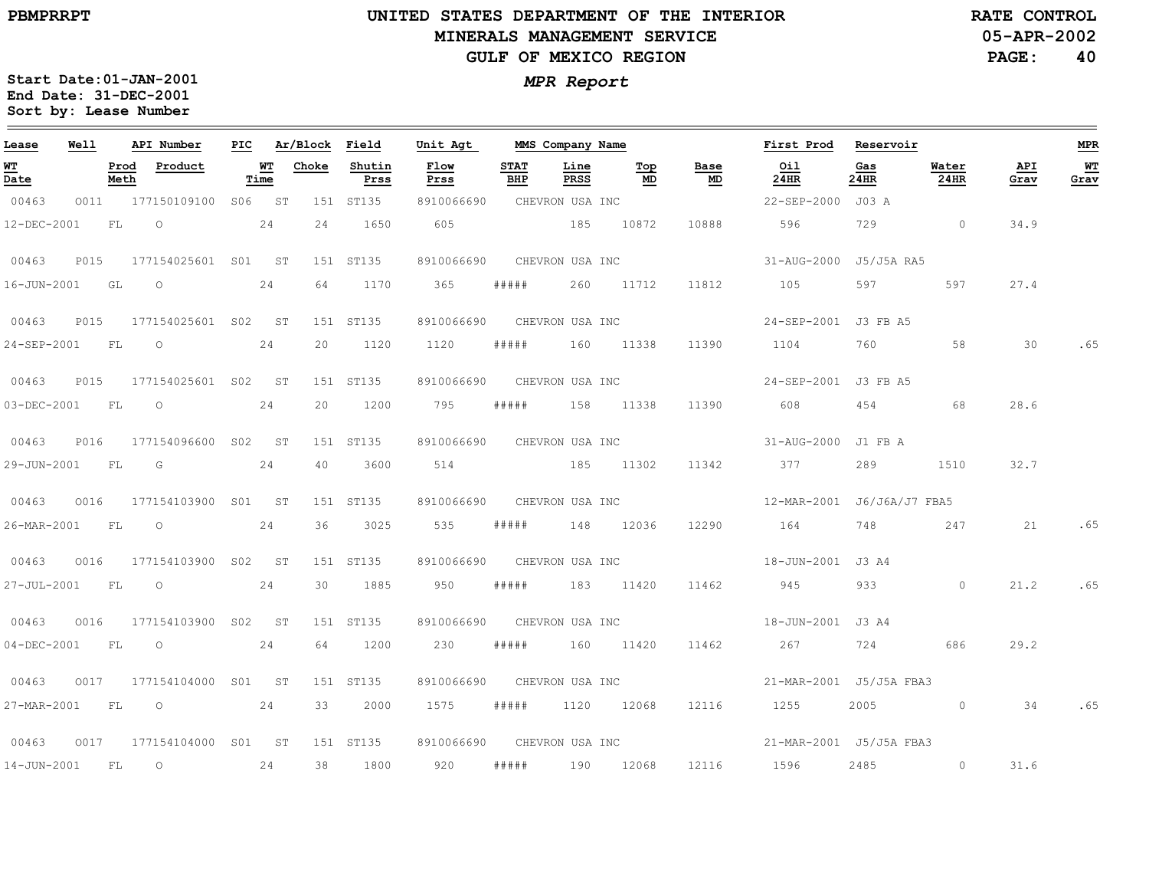**05-APR-2002RATE CONTROL**

**PAGE:40**

| Lease             | Well |              | API Number               | PIC |            | Ar/Block Field |                | Unit Agt                   |                    | MMS Company Name |            |                                 | First Prod Reservoir    |             |               |             | <b>MPR</b> |
|-------------------|------|--------------|--------------------------|-----|------------|----------------|----------------|----------------------------|--------------------|------------------|------------|---------------------------------|-------------------------|-------------|---------------|-------------|------------|
| <u>WT</u><br>Date |      | Prod<br>Meth | Product                  |     | WТ<br>Time | Choke          | Shutin<br>Prss | Flow<br>Prss               | <b>STAT</b><br>BHP | Line<br>PRSS     | Top<br>MD  | Base<br>$\underline{\text{MD}}$ | Oil<br>24HR             | Gas<br>24HR | Water<br>24HR | API<br>Grav | WT<br>Grav |
| 00463             | 0011 |              | 177150109100             |     | S06 ST     |                | 151 ST135      | 8910066690                 |                    | CHEVRON USA INC  |            |                                 | 22-SEP-2000 J03 A       |             |               |             |            |
| 12-DEC-2001       |      | FL.          | $\circ$                  |     | 24         | 24             | 1650           | 605                        |                    | 185 10872        |            | 10888                           | 596                     | 729         | $\circ$       | 34.9        |            |
| 00463             | P015 |              | 177154025601 S01 ST      |     |            |                | 151 ST135      | 8910066690                 |                    | CHEVRON USA INC  |            |                                 | 31-AUG-2000 J5/J5A RA5  |             |               |             |            |
| 16-JUN-2001       |      | GL           | $\circ$                  |     | 24         | 64             | 1170           | 365                        | #####              | 260              | 11712      | 11812                           | 105                     | 597         | 597           | 27.4        |            |
| 00463             | P015 |              | 177154025601 S02 ST      |     |            |                | 151 ST135      | 8910066690                 |                    | CHEVRON USA INC  |            |                                 | 24-SEP-2001 J3 FB A5    |             |               |             |            |
| 24-SEP-2001       |      | <b>FL</b>    | $\overline{\phantom{0}}$ |     | 24         | 20             | 1120           | 1120                       | # # # # #          |                  | 160 11338  | 11390                           | 1104                    | 760         | 58            | 30          | .65        |
| 00463             | P015 |              | 177154025601 S02         |     | ST         |                | 151 ST135      | 8910066690                 |                    | CHEVRON USA INC  |            |                                 | 24-SEP-2001 J3 FB A5    |             |               |             |            |
| 03-DEC-2001       |      | FL           | $\circ$                  |     | 24         | 20             | 1200           | 795                        | #####              |                  | 158 11338  | 11390                           | 608                     | 454         | 68            | 28.6        |            |
| 00463             | P016 |              | 177154096600 S02         |     | ST         |                | 151 ST135      | 8910066690 CHEVRON USA INC |                    |                  |            |                                 | 31-AUG-2000 J1 FB A     |             |               |             |            |
| 29-JUN-2001       |      | FL           | G                        |     | 24         | 40             | 3600           | 514                        |                    | 185 11302        |            | 11342                           | 377                     | 289         | 1510          | 32.7        |            |
| 00463             | 0016 |              | 177154103900 S01         |     | ST         |                | 151 ST135      | 8910066690                 |                    | CHEVRON USA INC  |            |                                 |                         |             |               |             |            |
| 26-MAR-2001       |      | FL           | $\circ$                  |     | 24         | 36             | 3025           | 535                        | #####              | 148              | 12036      | 12290                           | 164                     | 748         | 247           | 21          | .65        |
| 00463             | 0016 |              | 177154103900 S02         |     | ST         |                | 151 ST135      | 8910066690                 |                    | CHEVRON USA INC  |            |                                 | 18-JUN-2001 J3 A4       |             |               |             |            |
| 27-JUL-2001       |      | FL           | $\circ$                  |     | 24         | 30             | 1885           | 950                        | #####              |                  | 183 11420  | 11462                           | 945                     | 933         | $\circ$       | 21.2        | .65        |
| 00463             | 0016 |              | 177154103900 S02         |     | <b>ST</b>  |                | 151 ST135      | 8910066690                 |                    | CHEVRON USA INC  |            |                                 | 18-JUN-2001 J3 A4       |             |               |             |            |
| $04 - DEC - 2001$ |      | FL           | $\circ$                  |     | 24         | 64             | 1200           | 230                        | #####              | 160              | 11420      | 11462                           | 267                     | 724         | 686           | 29.2        |            |
| 00463             | 0017 |              | 177154104000 S01 ST      |     |            |                | 151 ST135      | 8910066690                 |                    | CHEVRON USA INC  |            |                                 | 21-MAR-2001 J5/J5A FBA3 |             |               |             |            |
| 27-MAR-2001       |      | FL           | $\overline{\phantom{0}}$ |     | 24         | 33             | 2000           | 1575                       | #####              |                  | 1120 12068 | 12116                           | 1255                    | 2005        | $\circ$       | 34          | .65        |
| 00463             | 0017 |              | 177154104000 S01 ST      |     |            |                | 151 ST135      | 8910066690                 |                    | CHEVRON USA INC  |            |                                 | 21-MAR-2001 J5/J5A FBA3 |             |               |             |            |
| 14-JUN-2001       |      | FL           | $\circ$                  |     | 24         | 38             | 1800           | 920                        | #####              | 190              | 12068      | 12116                           | 1596                    | 2485        | $\circ$       | 31.6        |            |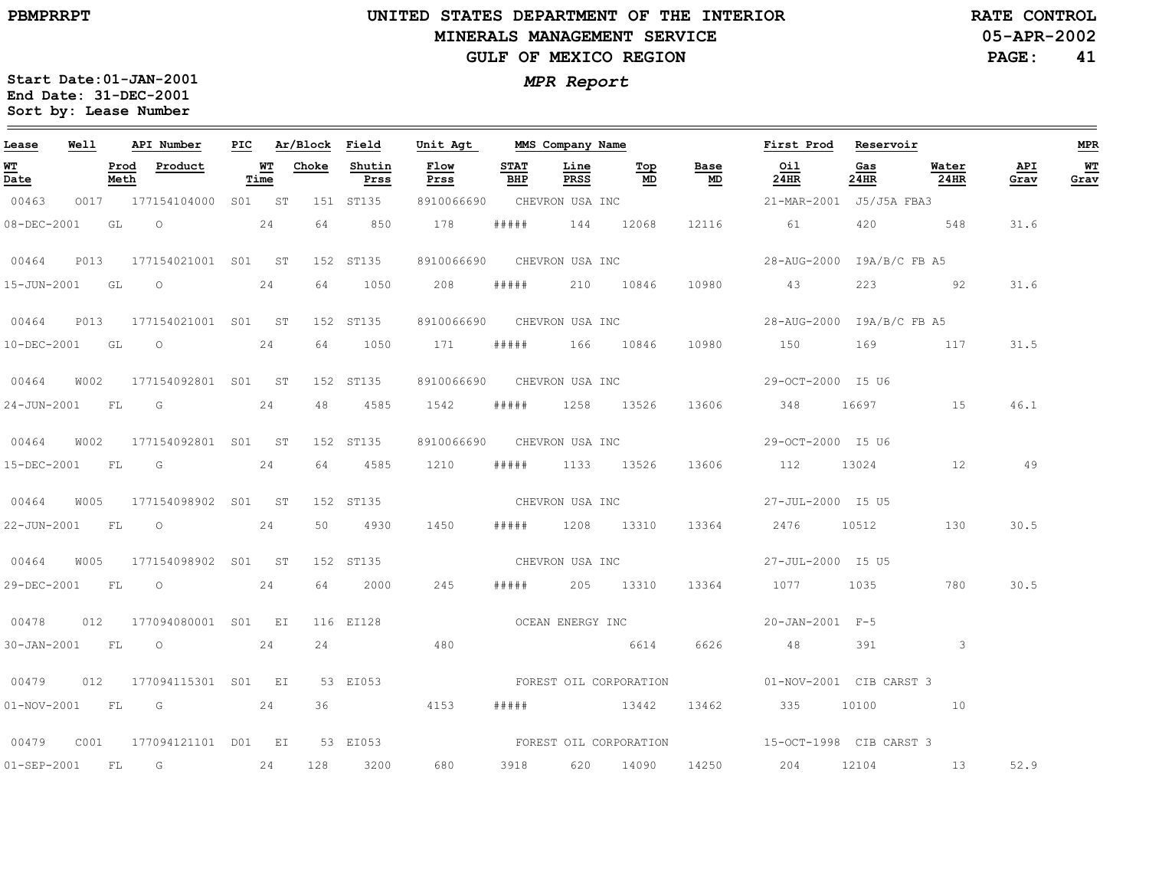**05-APR-2002RATE CONTROL**

**PAGE:41**

| Lease             | Well        |              | API Number              | PIC |            |       | Ar/Block Field | Unit Agt                   |                    |                  | MMS Company Name       |                 | First Prod                                     | Reservoir   |               |             | MPR        |
|-------------------|-------------|--------------|-------------------------|-----|------------|-------|----------------|----------------------------|--------------------|------------------|------------------------|-----------------|------------------------------------------------|-------------|---------------|-------------|------------|
| <u>WТ</u><br>Date |             | Prod<br>Meth | Product                 |     | WТ<br>Time | Choke | Shutin<br>Prss | Flow<br>Prss               | <b>STAT</b><br>BHP | Line<br>PRSS     | Top<br>MD              | Base<br>MD      | Oil<br>24HR                                    | Gas<br>24HR | Water<br>24HR | API<br>Grav | WТ<br>Grav |
| 00463             | 0017        |              | 177154104000            |     | S01 ST     |       | 151 ST135      | 8910066690                 |                    | CHEVRON USA INC  |                        |                 | 21-MAR-2001 J5/J5A FBA3                        |             |               |             |            |
| 08-DEC-2001       |             | GL           | $\overline{O}$          |     | 24         | 64    | 850            | 178                        | #####              |                  | 144 12068              | 12116           | 61 — 10                                        | 420         | 548           | 31.6        |            |
| 00464             | P013        |              | 177154021001 S01 ST     |     |            |       | 152 ST135      | 8910066690 CHEVRON USA INC |                    |                  |                        |                 | 28-AUG-2000 I9A/B/C FB A5                      |             |               |             |            |
|                   |             |              | 15-JUN-2001 GL O        |     | 24         | 64    | 1050           | 208                        | #####              |                  | 210 10846              | 10980           | 43                                             |             | 223 92        | 31.6        |            |
| 00464             | <b>P013</b> |              | 177154021001 S01 ST     |     |            |       | 152 ST135      | 8910066690                 |                    | CHEVRON USA INC  |                        |                 | 28-AUG-2000 I9A/B/C FB A5                      |             |               |             |            |
| 10-DEC-2001       |             | GL           | $\circ$                 |     | 24         | 64    | 1050           | 171                        | # # # # #          |                  | 166 10846              | 10980           | 150                                            | 169         | 117           | 31.5        |            |
| 00464             | W002        |              | 177154092801 S01 ST     |     |            |       | 152 ST135      | 8910066690                 |                    | CHEVRON USA INC  |                        |                 | 29-OCT-2000 I5 U6                              |             |               |             |            |
|                   |             |              | 24-JUN-2001 FL G        |     | 24         | 48    | 4585           | 1542                       | # # # # #          |                  | 1258 13526             | 13606           | 348                                            | 16697 166   | 15            | 46.1        |            |
| 00464             | W002        |              | 177154092801 S01 ST     |     |            |       | 152 ST135      | 8910066690 CHEVRON USA INC |                    |                  |                        |                 | 29-OCT-2000 I5 U6                              |             |               |             |            |
| 15-DEC-2001       |             | FL           | G                       |     | 24         | 64    | 4585           | 1210                       | # # # # #          |                  | 1133 13526             | 13606           | 112                                            | 13024       | 12            | 49          |            |
| 00464             | W005        |              | 177154098902 S01 ST     |     |            |       | 152 ST135      |                            |                    | CHEVRON USA INC  |                        |                 | 27-JUL-2000 I5 U5                              |             |               |             |            |
|                   |             |              | 22-JUN-2001 FL 0 24     |     |            | 50    | 4930           | 1450                       | # # # # #          |                  | 1208 13310             | 13364           | 2476 10512                                     |             | 130           | 30.5        |            |
| 00464             | W005        |              | 177154098902 S01 ST     |     |            |       | 152 ST135      |                            |                    |                  |                        | CHEVRON USA INC | 27-JUL-2000 I5 U5                              |             |               |             |            |
| 29-DEC-2001       |             | FL           | $\circ$                 |     | 24         | 64    | 2000           | 245                        | # # # # #          |                  | 205 13310              | 13364           | 1077                                           | 1035        | 780           | 30.5        |            |
| 00478             | 012         |              | 177094080001 S01 EI     |     |            |       | 116 EI128      |                            |                    | OCEAN ENERGY INC |                        |                 | 20-JAN-2001 F-5                                |             |               |             |            |
| 30-JAN-2001 FL O  |             |              |                         |     | 24         | 24    |                | 480                        |                    | 6614             |                        | 6626            | 48                                             | 391         | $\mathbf{3}$  |             |            |
| 00479             | 012         |              | 177094115301 S01 EI     |     |            |       | 53 EI053       |                            |                    |                  |                        |                 | FOREST OIL CORPORATION 01-NOV-2001 CIB CARST 3 |             |               |             |            |
| 01-NOV-2001 FL    |             |              | $\overline{\mathbb{G}}$ |     | 24         | 36    |                | 4153                       | # # # # #          |                  | 13442                  | 13462           | 335                                            | 10100       | 10            |             |            |
| 00479             | C001        |              | 177094121101 D01 EI     |     |            |       | 53 EI053       |                            |                    |                  | FOREST OIL CORPORATION |                 | 15-OCT-1998 CIB CARST 3                        |             |               |             |            |
| $01 - SEP - 2001$ |             | FL           | G                       |     | 24         | 128   | 3200           | 680                        | 3918               | 620              | 14090                  | 14250           | 204                                            | 12104       | 13            | 52.9        |            |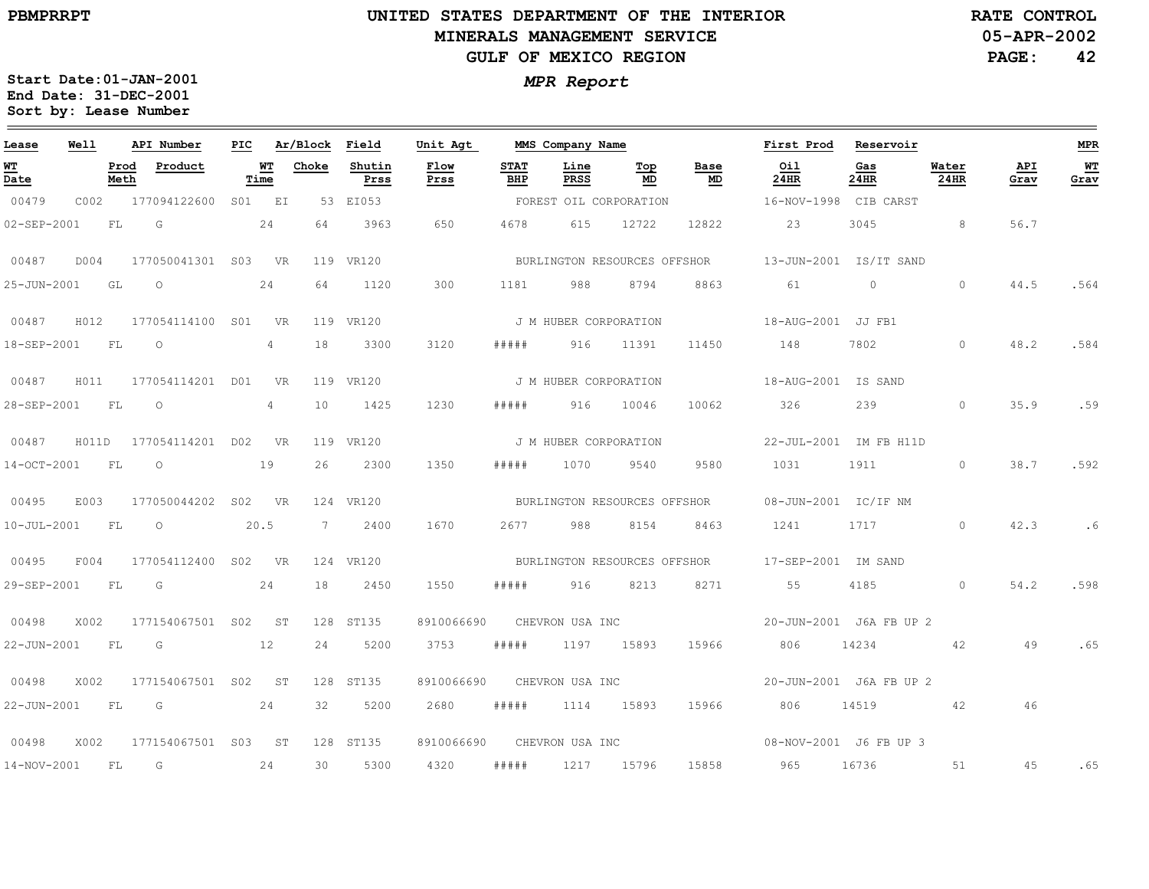**05-APR-2002RATE CONTROL**

**PAGE:42**

| Lease       | Well  |              | API Number          | PIC |                 | Ar/Block Field |                | Unit Agt     |                    | MMS Company Name      |                              |            | First Prod                                       | Reservoir               |               |             | <b>MPR</b> |
|-------------|-------|--------------|---------------------|-----|-----------------|----------------|----------------|--------------|--------------------|-----------------------|------------------------------|------------|--------------------------------------------------|-------------------------|---------------|-------------|------------|
| WT<br>Date  |       | Prod<br>Meth | Product             |     | WT<br>Time      | Choke          | Shutin<br>Prss | Flow<br>Prss | <b>STAT</b><br>BHP | Line<br>PRSS          | Тор<br>MD                    | Base<br>MD | Oil<br>24HR                                      | Gas<br>24HR             | Water<br>24HR | API<br>Grav | WT<br>Grav |
| 00479       | C002  |              | 177094122600        |     | S01 EI          |                | 53 EI053       |              |                    |                       | FOREST OIL CORPORATION       |            | 16-NOV-1998 CIB CARST                            |                         |               |             |            |
| 02-SEP-2001 |       | FL.          | G                   |     | 24              | 64             | 3963           | 650          | 4678               | 615                   | 12722                        | 12822      | 23                                               | 3045                    | 8             | 56.7        |            |
| 00487       | D004  |              | 177050041301 S03 VR |     |                 |                | 119 VR120      |              |                    |                       | BURLINGTON RESOURCES OFFSHOR |            |                                                  | 13-JUN-2001 IS/IT SAND  |               |             |            |
| 25-JUN-2001 |       | GL           | $\circ$             |     | 24              | 64             | 1120           | 300          | 1181               | 988                   | 8794                         | 8863       | 61                                               | $\circ$                 | $\circ$       | 44.5        | .564       |
| 00487       | H012  |              | 177054114100 S01    |     | <b>VR</b>       |                | 119 VR120      |              |                    | J M HUBER CORPORATION |                              |            | 18-AUG-2001 JJ FB1                               |                         |               |             |            |
| 18-SEP-2001 |       | FL           | $\circ$             |     | 4               | 18             | 3300           | 3120         | # # # # #          |                       | 916 11391                    | 11450      | 148                                              | 7802                    | $\circ$       | 48.2        | .584       |
| 00487       | H011  |              | 177054114201 D01    |     | <b>VR</b>       |                | 119 VR120      |              |                    | J M HUBER CORPORATION |                              |            | 18-AUG-2001 IS SAND                              |                         |               |             |            |
| 28-SEP-2001 |       | FL           | $\circ$             |     | $4\overline{ }$ | 10             | 1425           | 1230         | #####              | 916                   | 10046                        | 10062      | 326                                              | 239                     | $\circ$       | 35.9        | .59        |
| 00487       | H011D |              | 177054114201 DO2    |     | <b>VR</b>       |                | 119 VR120      |              |                    | J M HUBER CORPORATION |                              |            |                                                  | 22-JUL-2001 IM FB H11D  |               |             |            |
| 14-OCT-2001 |       | FL           | $\circ$             |     | 19              | 26             | 2300           | 1350         | #####              | 1070                  | 9540                         | 9580       | 1031 1911                                        |                         | $\circ$       | 38.7        | .592       |
| 00495       | E003  |              | 177050044202 S02 VR |     |                 |                | 124 VR120      |              |                    |                       | BURLINGTON RESOURCES OFFSHOR |            | 08-JUN-2001 IC/IF NM                             |                         |               |             |            |
| 10-JUL-2001 |       | FL           | $\circ$             |     | 20.5            | 7              | 2400           | 1670         | 2677               | 988                   | 8154                         | 8463       | 1241                                             | 1717                    | $\circ$       | 42.3        | .6         |
| 00495       | F004  |              | 177054112400 S02 VR |     |                 |                | 124 VR120      |              |                    |                       |                              |            | BURLINGTON RESOURCES OFFSHOR 17-SEP-2001 IM SAND |                         |               |             |            |
| 29-SEP-2001 |       | FL           | G                   |     | 24              | 18             | 2450           | 1550         | #####              | 916                   | 8213                         | 8271       | 55                                               | 4185                    | $\circ$       | 54.2        | .598       |
| 00498       | X002  |              | 177154067501 S02 ST |     |                 |                | 128 ST135      | 8910066690   |                    | CHEVRON USA INC       |                              |            |                                                  | 20-JUN-2001 J6A FB UP 2 |               |             |            |
| 22-JUN-2001 |       | FL           | G                   |     | 12              | 24             | 5200           | 3753         | #####              |                       | 1197 15893                   | 15966      | 806                                              | 14234                   | 42            | 49          | .65        |
| 00498       | X002  |              | 177154067501 S02    |     | ST              |                | 128 ST135      | 8910066690   |                    | CHEVRON USA INC       |                              |            |                                                  | 20-JUN-2001 J6A FB UP 2 |               |             |            |
| 22-JUN-2001 |       | FL           | G                   |     | 24              | 32             | 5200           | 2680         | #####              |                       | 1114 15893                   | 15966      | 806                                              | 14519                   | 42            | 46          |            |
| 00498       | X002  |              | 177154067501 S03 ST |     |                 |                | 128 ST135      | 8910066690   |                    | CHEVRON USA INC       |                              |            |                                                  | 08-NOV-2001 J6 FB UP 3  |               |             |            |
| 14-NOV-2001 |       | FL           | G                   |     | 24              | 30             | 5300           | 4320         | #####              |                       | 1217 15796                   | 15858      | 965                                              | 16736                   | 51            | 45          | .65        |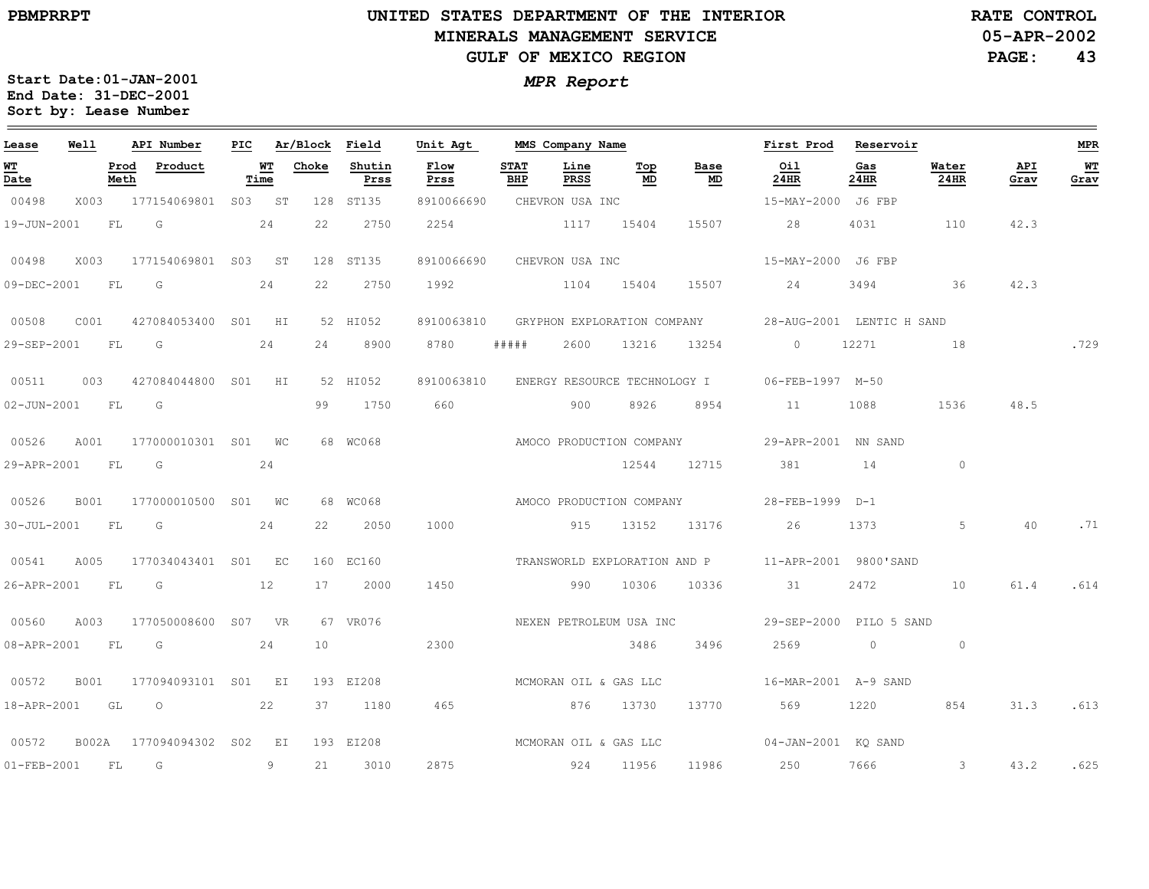**05-APR-2002RATE CONTROL**

**PAGE:43**

| Lease             | Well |              | API Number                                                                                                                                                                                                                                                                                                                         |            | PIC Ar/Block Field |                | Unit Agt              |                    | MMS Company Name |           |                         | First Prod Reservoir                                  |             |               |             | MPR        |
|-------------------|------|--------------|------------------------------------------------------------------------------------------------------------------------------------------------------------------------------------------------------------------------------------------------------------------------------------------------------------------------------------|------------|--------------------|----------------|-----------------------|--------------------|------------------|-----------|-------------------------|-------------------------------------------------------|-------------|---------------|-------------|------------|
| WТ<br>Date        |      | Prod<br>Meth | Product                                                                                                                                                                                                                                                                                                                            | WT<br>Time | Choke              | Shutin<br>Prss | Flow<br>Prss          | <b>STAT</b><br>BHP | Line<br>PRSS     | Top<br>MD | Base<br><u>MD</u>       | Oil<br>24HR                                           | Gas<br>24HR | Water<br>24HR | API<br>Grav | WT<br>Grav |
| 00498             |      |              | X003 177154069801 S03 ST                                                                                                                                                                                                                                                                                                           |            |                    | 128 ST135      | 8910066690            |                    | CHEVRON USA INC  |           |                         | 15-MAY-2000 J6 FBP                                    |             |               |             |            |
| 19-JUN-2001       |      | FL           | $\overline{G}$<br>24                                                                                                                                                                                                                                                                                                               |            | 22                 | 2750           | 2254                  |                    | 1117 15404       |           | 15507                   | 28                                                    | 4031        | 110           | 42.3        |            |
| 00498             | X003 |              | 177154069801 S03 ST                                                                                                                                                                                                                                                                                                                |            |                    | 128 ST135      | 8910066690            |                    | CHEVRON USA INC  |           |                         | 15-MAY-2000 J6 FBP                                    |             |               |             |            |
| 09-DEC-2001 FL    |      |              | $\overline{\mathsf{G}}$                                                                                                                                                                                                                                                                                                            | 24         | 22                 | 2750           | 1992 1104 15404 15507 |                    |                  |           |                         | 24                                                    | 3494        | 36            | 42.3        |            |
| 00508             | COO1 |              | 427084053400 S01 HI                                                                                                                                                                                                                                                                                                                |            |                    | 52 HI052       | 8910063810            |                    |                  |           |                         | GRYPHON EXPLORATION COMPANY 28-AUG-2001 LENTIC H SAND |             |               |             |            |
|                   |      |              | 29-SEP-2001 FL G 24                                                                                                                                                                                                                                                                                                                |            |                    | 24 8900        | 8780                  | # # # # #          |                  |           |                         | 2600 13216 13254 0 12271                              |             | $\sim$ 18     |             | .729       |
| 00511             | 003  |              | 427084044800 S01 HI                                                                                                                                                                                                                                                                                                                |            |                    | 52 HI052       | 8910063810            |                    |                  |           |                         | ENERGY RESOURCE TECHNOLOGY I 06-FEB-1997 M-50         |             |               |             |            |
| 02-JUN-2001 FL    |      |              | $\overline{G}$                                                                                                                                                                                                                                                                                                                     |            | 99                 | 1750           | 660                   |                    | 900              | 8926      | 8954                    | 11                                                    | 1088        | 1536          | 48.5        |            |
| 00526             | A001 |              | 177000010301 S01 WC                                                                                                                                                                                                                                                                                                                |            |                    | 68 WC068       |                       |                    |                  |           |                         | AMOCO PRODUCTION COMPANY 29-APR-2001 NN SAND          |             |               |             |            |
| 29-APR-2001 FL G  |      |              |                                                                                                                                                                                                                                                                                                                                    | 24         |                    |                |                       |                    |                  |           |                         | 12544 12715 381 14                                    |             | $\circ$       |             |            |
| 00526             | B001 |              | 177000010500 S01 WC                                                                                                                                                                                                                                                                                                                |            |                    | 68 WC068       |                       |                    |                  |           |                         | AMOCO PRODUCTION COMPANY 28-FEB-1999 D-1              |             |               |             |            |
| 30-JUL-2001 FL    |      |              | G                                                                                                                                                                                                                                                                                                                                  | 24         | 22                 | 2050           | 1000                  |                    |                  | 915 13152 | 13176                   | 26                                                    | 1373        | 5             | 40          | .71        |
| 00541             | A005 |              | 177034043401 S01 EC                                                                                                                                                                                                                                                                                                                |            |                    | 160 EC160      |                       |                    |                  |           |                         | TRANSWORLD EXPLORATION AND P 11-APR-2001 9800'SAND    |             |               |             |            |
| 26-APR-2001 FL    |      |              | $\overline{\mathbb{G}}$<br>12                                                                                                                                                                                                                                                                                                      |            |                    | 17 2000        | 1450                  |                    | 990 10306        |           | 10336                   | 31                                                    | 2472        | 10            | 61.4        | .614       |
| 00560             | A003 |              | 177050008600 S07 VR                                                                                                                                                                                                                                                                                                                |            |                    | 67 VR076       |                       |                    |                  |           | NEXEN PETROLEUM USA INC | 29-SEP-2000 PILO 5 SAND                               |             |               |             |            |
| 08-APR-2001       |      | FL           | G                                                                                                                                                                                                                                                                                                                                  | 24         | 10 <sup>°</sup>    |                | 2300                  |                    |                  | 3486      | 3496                    | 2569                                                  | $\circ$     | $\circ$       |             |            |
| 00572             | B001 |              | 177094093101 S01 EI                                                                                                                                                                                                                                                                                                                |            |                    | 193 EI208      | MCMORAN OIL & GAS LLC |                    |                  |           |                         | 16-MAR-2001 A-9 SAND                                  |             |               |             |            |
| 18-APR-2001 GL    |      |              | $\overline{O}$ and $\overline{O}$ and $\overline{O}$ and $\overline{O}$ and $\overline{O}$ and $\overline{O}$ and $\overline{O}$ and $\overline{O}$ and $\overline{O}$ and $\overline{O}$ and $\overline{O}$ and $\overline{O}$ and $\overline{O}$ and $\overline{O}$ and $\overline{O}$ and $\overline{O}$ and $\overline{O}$ and | 22         |                    | 37 1180        | 465                   |                    | 876 13730        |           | 13770                   | 569 1220                                              |             | 854           | 31.3        | .613       |
| 00572             |      |              | B002A 177094094302 S02 EI                                                                                                                                                                                                                                                                                                          |            |                    | 193 EI208      | MCMORAN OIL & GAS LLC |                    |                  |           |                         | $04 - JAN - 2001$ KQ SAND                             |             |               |             |            |
| $01 - FEB - 2001$ |      | FL           | $\overline{G}$                                                                                                                                                                                                                                                                                                                     | 9          | 21                 | 3010           | 2875                  |                    | 924 11956        |           |                         | 11986 250 7666 3 43.2                                 |             |               |             | .625       |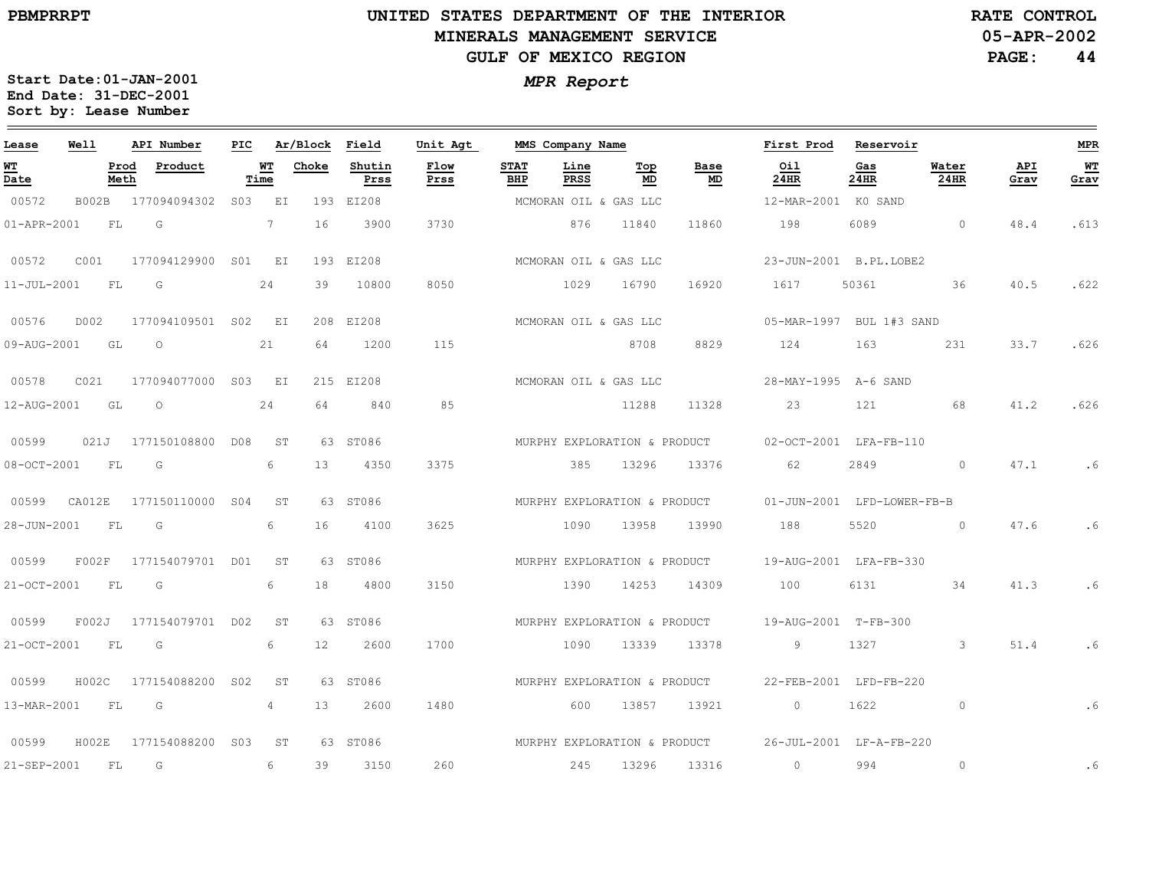### **UNITED STATES DEPARTMENT OF THE INTERIOR MINERALS MANAGEMENT SERVICEGULF OF MEXICO REGION**

**05-APR-2002RATE CONTROL**

**PAGE: 44**

| Lease             | Well   | API Number              | PIC.            |                | Ar/Block        | Field          | Unit Agt     |                    | MMS Company Name      |                              |                              | First Prod                                           | Reservoir                  |               |             | <b>MPR</b> |
|-------------------|--------|-------------------------|-----------------|----------------|-----------------|----------------|--------------|--------------------|-----------------------|------------------------------|------------------------------|------------------------------------------------------|----------------------------|---------------|-------------|------------|
| WT<br>Date        |        | Product<br>Prod<br>Meth |                 | WT<br>Time     | Choke           | Shutin<br>Prss | Flow<br>Prss | <b>STAT</b><br>BHP | Line<br>PRSS          | Top<br>MD                    | Base<br>MD                   | Oil<br>24HR                                          | Gas<br>24HR                | Water<br>24HR | API<br>Grav | WT<br>Grav |
| 00572             | B002B  | 177094094302            |                 | S03 EI         |                 | 193 EI208      |              |                    | MCMORAN OIL & GAS LLC |                              |                              | 12-MAR-2001 KO SAND                                  |                            |               |             |            |
| 01-APR-2001       | FL     | G                       |                 | 7              | 16              | 3900           | 3730         |                    | 876                   | 11840                        | 11860                        | 198                                                  | 6089                       | $\circ$       | 48.4        | .613       |
| 00572             | C001   | 177094129900            | S01 EI          |                |                 | 193 EI208      |              |                    |                       | MCMORAN OIL & GAS LLC        |                              |                                                      | 23-JUN-2001 B.PL.LOBE2     |               |             |            |
| $11 - JUL - 2001$ | FL     | G                       |                 | 24             | 39              | 10800          | 8050         |                    | 1029                  | 16790                        | 16920                        | 1617                                                 | 50361                      | 36            | 40.5        | .622       |
| 00576             | D002   | 177094109501 S02 EI     |                 |                |                 | 208 EI208      |              |                    |                       | MCMORAN OIL & GAS LLC        |                              |                                                      | 05-MAR-1997 BUL 1#3 SAND   |               |             |            |
| 09-AUG-2001       | GL     | $\circ$                 |                 | 21             | 64              | 1200           | 115          |                    |                       | 8708                         | 8829                         | 124                                                  | 163                        | 231           | 33.7        | .626       |
| 00578             | CO21   | 177094077000            |                 | S03 EI         |                 | 215 EI208      |              |                    |                       | MCMORAN OIL & GAS LLC        |                              | 28-MAY-1995 A-6 SAND                                 |                            |               |             |            |
| 12-AUG-2001       | GL     | $\circ$                 |                 | 24             | 64              | 840            | 85           |                    |                       | 11288                        | 11328                        | 23                                                   | 121                        | 68            | 41.2        | .626       |
| 00599             | 021J   | 177150108800 D08        |                 | ST             |                 | 63 ST086       |              |                    |                       | MURPHY EXPLORATION & PRODUCT |                              |                                                      | 02-OCT-2001 LFA-FB-110     |               |             |            |
| $08 - OCT - 2001$ | FL     | G                       |                 | 6              | 13              | 4350           | 3375         |                    | 385                   | 13296                        | 13376                        | 62                                                   | 2849                       | $\circ$       | 47.1        | .6         |
| 00599             | CA012E | 177150110000 S04        |                 | ST             |                 | 63 ST086       |              |                    |                       |                              | MURPHY EXPLORATION & PRODUCT |                                                      | 01-JUN-2001 LFD-LOWER-FB-B |               |             |            |
| 28-JUN-2001       | FL     | G                       |                 | 6              | 16              | 4100           | 3625         |                    | 1090                  | 13958                        | 13990                        | 188                                                  | 5520                       | $\circ$       | 47.6        | .6         |
| 00599             | F002F  | 177154079701 D01        |                 | ST             |                 | 63 ST086       |              |                    |                       | MURPHY EXPLORATION & PRODUCT |                              |                                                      | 19-AUG-2001 LFA-FB-330     |               |             |            |
| 21-OCT-2001       | FL     | G                       |                 | 6              | 18              | 4800           | 3150         |                    | 1390                  | 14253                        | 14309                        | 100                                                  | 6131                       | 34            | 41.3        | .6         |
| 00599             | F002J  | 177154079701 D02        |                 | ST             |                 | 63 ST086       |              |                    |                       |                              |                              | MURPHY EXPLORATION & PRODUCT 19-AUG-2001 T-FB-300    |                            |               |             |            |
| 21-OCT-2001       | FL     | G                       |                 | 6              | 12 <sup>°</sup> | 2600           | 1700         |                    | 1090                  | 13339                        | 13378                        | 9                                                    | 1327                       | $\mathbf{3}$  | 51.4        | .6         |
| 00599             | H002C  | 177154088200            | S <sub>02</sub> | <b>ST</b>      |                 | 63 ST086       |              |                    |                       | MURPHY EXPLORATION & PRODUCT |                              |                                                      | 22-FEB-2001 LFD-FB-220     |               |             |            |
| 13-MAR-2001       | FL.    | G                       |                 | $\overline{4}$ | 13              | 2600           | 1480         |                    | 600                   | 13857                        | 13921                        | $\circ$                                              | 1622                       | $\circ$       |             | .6         |
| 00599             | H002E  | 177154088200 S03        |                 | ST             |                 | 63 ST086       |              |                    |                       |                              |                              | MURPHY EXPLORATION & PRODUCT 26-JUL-2001 LF-A-FB-220 |                            |               |             |            |
| 21-SEP-2001       | FL     | G                       |                 | 6              | 39              | 3150           | 260          |                    | 245                   | 13296                        | 13316                        | $\circ$                                              | 994                        | $\circ$       |             | .6         |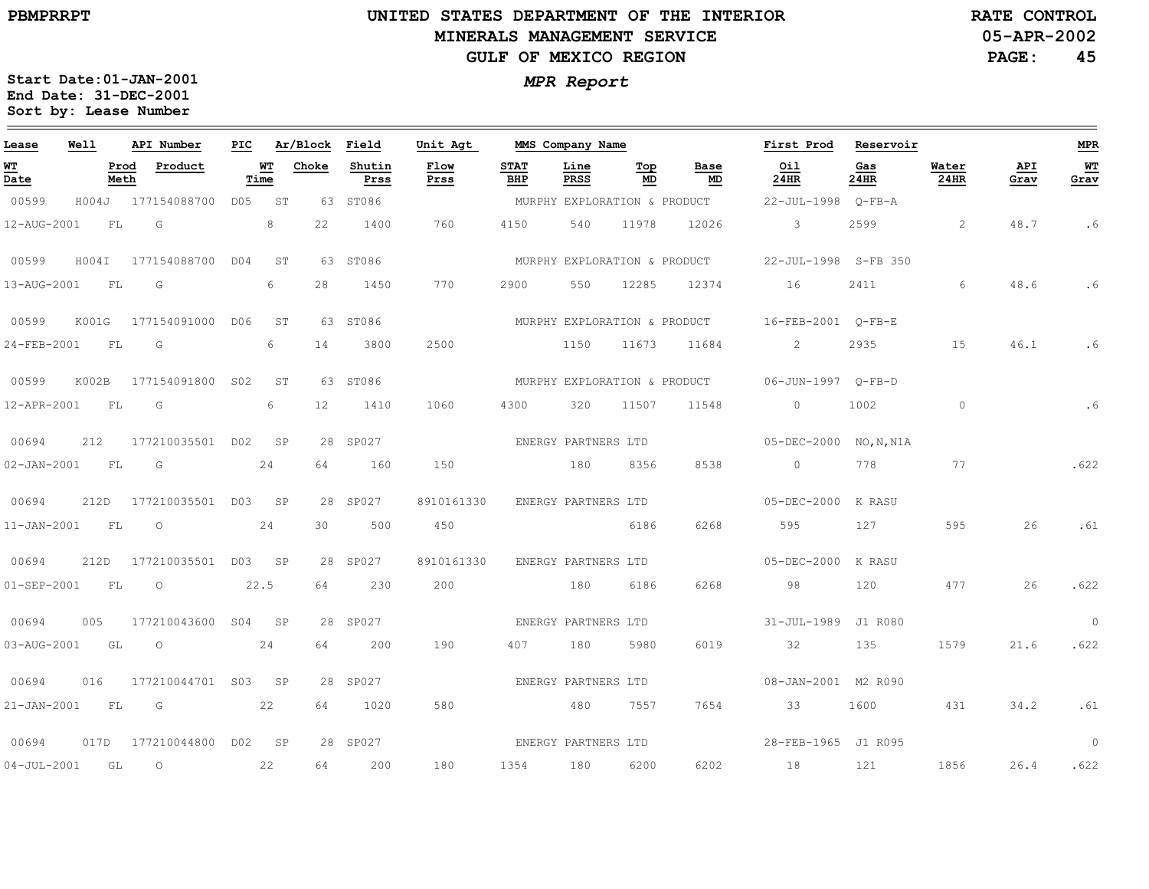# **UNITED STATES DEPARTMENT OF THE INTERIOR MINERALS MANAGEMENT SERVICEGULF OF MEXICO REGION**

**05-APR-2002RATE CONTROL**

**PAGE:45**

| Lease             | Well  |              | API Number       | PIC  |            | Ar/Block          | Field          | Unit Agt     |                              | MMS Company Name    |           |                              | First Prod           | Reservoir   |               |             | <b>MPR</b>   |
|-------------------|-------|--------------|------------------|------|------------|-------------------|----------------|--------------|------------------------------|---------------------|-----------|------------------------------|----------------------|-------------|---------------|-------------|--------------|
| <u>WТ</u><br>Date |       | Prod<br>Meth | Product          |      | WТ<br>Time | Choke             | Shutin<br>Prss | Flow<br>Prss | <b>STAT</b><br>BHP           | Line<br>PRSS        | Top<br>MD | Base<br>MD                   | Oil<br>24HR          | Gas<br>24HR | Water<br>24HR | API<br>Grav | $W$<br>Grav  |
| 00599             | H004J |              | 177154088700     | DO5  | ST         |                   | 63 ST086       |              | MURPHY EXPLORATION & PRODUCT |                     |           |                              | $22 - JUL - 1998$    | O-FB-A      |               |             |              |
| 12-AUG-2001       |       | FL           | G                |      | 8          | 22                | 1400           | 760          | 4150                         | 540                 | 11978     | 12026                        | $\mathcal{S}$        | 2599        | 2             | 48.7        | . 6          |
| 00599             | H004I |              | 177154088700     | DO4  | ST         |                   | 63 ST086       |              | MURPHY EXPLORATION & PRODUCT |                     |           |                              | 22-JUL-1998 S-FB 350 |             |               |             |              |
| 13-AUG-2001       |       | FL           | G                |      | 6          | 28                | 1450           | 770          | 2900                         | 550                 | 12285     | 12374                        | 16                   | 2411        | $6^{\circ}$   | 48.6        | .6           |
| 00599             | K001G |              | 177154091000     | DO 6 | ST         |                   | 63 ST086       |              | MURPHY EXPLORATION & PRODUCT |                     |           |                              | 16-FEB-2001 O-FB-E   |             |               |             |              |
| 24-FEB-2001       |       | FL           | G                |      | 6          | 14                | 3800           | 2500         |                              | 1150                | 11673     | 11684                        | $\overline{2}$       | 2935        | 15            | 46.1        | .6           |
| 00599             | K002B |              | 177154091800     | S02  | ST         | 63                | ST086          |              |                              |                     |           | MURPHY EXPLORATION & PRODUCT |                      |             |               |             |              |
| 12-APR-2001       |       | FL           | G                |      | 6          | $12 \overline{ }$ | 1410           | 1060         | 4300                         | 320                 | 11507     | 11548                        | $\circ$              | 1002        | $\circ$       |             | .6           |
| 00694             | 212   |              | 177210035501 D02 |      | SP         |                   | 28 SP027       |              |                              | ENERGY PARTNERS LTD |           |                              | $05 - DEC - 2000$    | NO, N, N1A  |               |             |              |
| 02-JAN-2001       |       | FL           | G                |      | 24         | 64                | 160            | 150          |                              | 180                 | 8356      | 8538                         | $\circ$              | 778         | 77            |             | .622         |
| 00694             | 212D  |              | 177210035501 D03 |      | SP         |                   | 28 SP027       | 8910161330   |                              | ENERGY PARTNERS LTD |           |                              | $05 - DEC - 2000$    | K RASU      |               |             |              |
| $11 - JAN - 2001$ |       | FL           | $\circ$          |      | 24         | 30                | 500            | 450          |                              |                     | 6186      | 6268                         | 595                  | 127         | 595           | 26          | .61          |
| 00694             | 212D  |              | 177210035501 D03 |      | SP         |                   | 28 SP027       | 8910161330   |                              | ENERGY PARTNERS LTD |           |                              | $05 - DEC - 2000$    | K RASU      |               |             |              |
| 01-SEP-2001       |       | FL           | $\circ$          |      | 22.5       | 64                | 230            | 200          |                              | 180                 | 6186      | 6268                         | 98                   | 120         | 477           | 26          | .622         |
| 00694             | 005   |              | 177210043600     | S04  | SP         |                   | 28 SP027       |              |                              | ENERGY PARTNERS LTD |           |                              | $31 - JUL - 1989$    | J1 R080     |               |             | $\mathbf{0}$ |
| 03-AUG-2001       |       | GL           | $\circ$          |      | 24         | 64                | 200            | 190          | 407                          | 180                 | 5980      | 6019                         | 32                   | 135         | 1579          | 21.6        | .622         |
| 00694             | 016   |              | 177210044701 S03 |      | SP         |                   | 28 SP027       |              |                              | ENERGY PARTNERS LTD |           |                              | 08-JAN-2001 M2 R090  |             |               |             |              |
| 21-JAN-2001       |       | FL.          | G                |      | 22         | 64                | 1020           | 580          |                              | 480                 | 7557      | 7654                         | 33                   | 1600        | 431           | 34.2        | .61          |
| 00694             | 017D  |              | 177210044800     | D02  | SP         |                   | 28 SP027       |              |                              | ENERGY PARTNERS LTD |           |                              | 28-FEB-1965 J1 R095  |             |               |             | $\mathbf{0}$ |
| $04 - JUL - 2001$ |       | GL           | $\circ$          |      | 22         | 64                | 200            | 180          | 1354                         | 180                 | 6200      | 6202                         | 18                   | 121         | 1856          | 26.4        | .622         |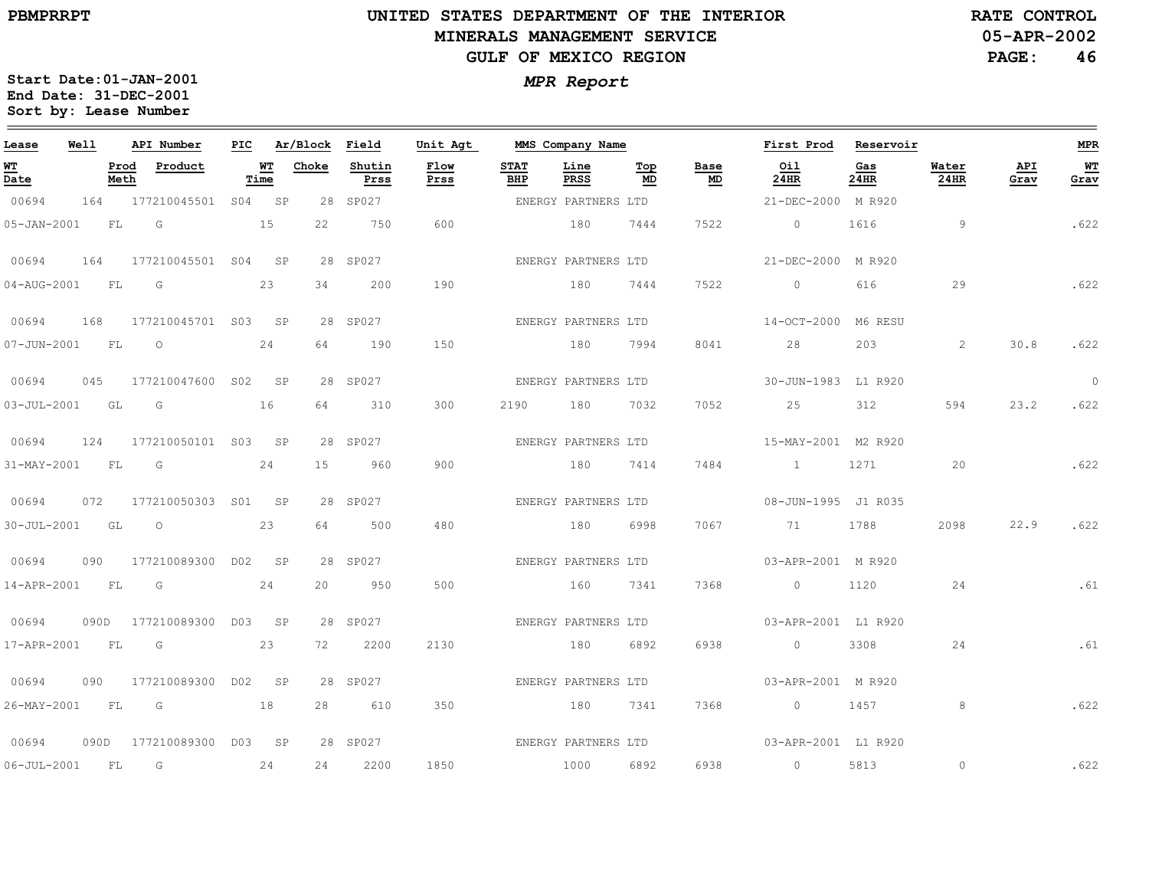**RATE CONTROL**

**PAGE:46**

**Start Date:01-JAN-2001** *MPR Report* **End Date: 31-DEC-2001 Sort by: Lease Number** 

| Lease            | <b>Well</b> |              | API Number               |      | PIC Ar/Block Field |                | Unit Agt     |                     | MMS Company Name    |           |                                   | First Prod Reservoir |             |               |             | <b>MPR</b>     |
|------------------|-------------|--------------|--------------------------|------|--------------------|----------------|--------------|---------------------|---------------------|-----------|-----------------------------------|----------------------|-------------|---------------|-------------|----------------|
| WТ<br>Date       |             | Prod<br>Meth | Product                  | Time | WT Choke           | Shutin<br>Prss | Flow<br>Prss | <b>STAT</b><br>BHP  | Line<br>PRSS        | Top<br>MD | Base<br>$\underline{\mathsf{MD}}$ | Oil<br>24HR          | Gas<br>24HR | Water<br>24HR | API<br>Grav | WT<br>Grav     |
| 00694            | 164         |              | 177210045501 S04 SP      |      |                    | 28 SP027       |              | ENERGY PARTNERS LTD |                     |           |                                   | 21-DEC-2000 M R920   |             |               |             |                |
| 05-JAN-2001      |             | FL           | $\overline{G}$           | 15   | 22                 | 750            | 600          |                     | 180                 | 7444      | 7522                              | $\overline{0}$       | 1616        | 9             |             | .622           |
| 00694            | 164         |              | 177210045501 S04 SP      |      |                    | 28 SP027       |              |                     | ENERGY PARTNERS LTD |           |                                   | 21-DEC-2000 M R920   |             |               |             |                |
| 04-AUG-2001 FL   |             |              | $\overline{G}$           | 23   | 34                 | 200            | 190          |                     | 180                 | 7444      | 7522                              | $\sim$ 0             | 616         | 29            |             | .622           |
| 00694            | 168         |              | 177210045701 S03 SP      |      |                    | 28 SP027       |              | ENERGY PARTNERS LTD |                     |           |                                   | 14-OCT-2000 M6 RESU  |             |               |             |                |
| 07-JUN-2001 FL O |             |              |                          | 24   | 64                 | 190            | 150          |                     | 180                 | 7994      | 8041                              | 28                   | 203         | 2             | 30.8        | .622           |
| 00694            |             |              | 045 177210047600 S02 SP  |      |                    | 28 SP027       |              |                     | ENERGY PARTNERS LTD |           |                                   | 30-JUN-1983 L1 R920  |             |               |             | $\overline{0}$ |
| 03-JUL-2001 GL   |             |              | $\overline{G}$           | 16   | 64                 | 310            | 300          | 2190                | 180                 | 7032      | 7052                              | 25                   | 312         | 594           | 23.2        | .622           |
| 00694            | 124         |              | 177210050101 S03 SP      |      |                    | 28 SP027       |              | ENERGY PARTNERS LTD |                     |           |                                   | 15-MAY-2001 M2 R920  |             |               |             |                |
| 31-MAY-2001 FL   |             |              | $\overline{\mathsf{G}}$  | 24   | 15                 | 960            | 900          |                     | 180 7414            |           | 7484                              | 1 1271               |             | 20            |             | .622           |
| 00694            | 072         |              | 177210050303 S01 SP      |      |                    | 28 SP027       |              |                     | ENERGY PARTNERS LTD |           |                                   | 08-JUN-1995 J1 R035  |             |               |             |                |
| 30-JUL-2001      |             | GL           | $\overline{\phantom{0}}$ | 23   | 64                 | 500            | 480          |                     | 180                 | 6998      | 7067                              | 71                   | 1788        | 2098          | 22.9        | .622           |
| 00694            | 090         |              | 177210089300 D02 SP      |      |                    | 28 SP027       |              |                     | ENERGY PARTNERS LTD |           |                                   | 03-APR-2001 M R920   |             |               |             |                |
| 14-APR-2001 FL   |             |              | G                        | 24   | 20                 | 950            | 500          |                     | 160                 | 7341      | 7368                              | $\overline{0}$       | 1120        | 24            |             | .61            |
| 00694            |             |              | 090D 177210089300 D03 SP |      |                    | 28 SP027       |              |                     | ENERGY PARTNERS LTD |           |                                   | 03-APR-2001 L1 R920  |             |               |             |                |
| 17-APR-2001      |             | <b>FL</b>    | G                        | 23   | 72                 | 2200           | 2130         |                     | 180                 | 6892      | 6938                              | $\circ$              | 3308        | 24            |             | .61            |
| 00694            | 090         |              | 177210089300 D02 SP      |      |                    | 28 SP027       |              |                     | ENERGY PARTNERS LTD |           |                                   | 03-APR-2001 M R920   |             |               |             |                |
| 26-MAY-2001      |             | FL           | G                        | 18   | 28                 | 610            | 350          | 180                 |                     | 7341      | 7368                              | $\overline{0}$       | 1457        | 8             |             | .622           |
| 00694            |             |              | 090D 177210089300 D03 SP |      |                    | 28 SP027       |              | ENERGY PARTNERS LTD |                     |           |                                   | 03-APR-2001 L1 R920  |             |               |             |                |
| 06-JUL-2001      |             | FL           | G                        | 24   | 24                 | 2200           | 1850         |                     | 1000                | 6892      | 6938                              | $\overline{0}$       | 5813        | $\circ$       |             | .622           |

**05-APR-2002**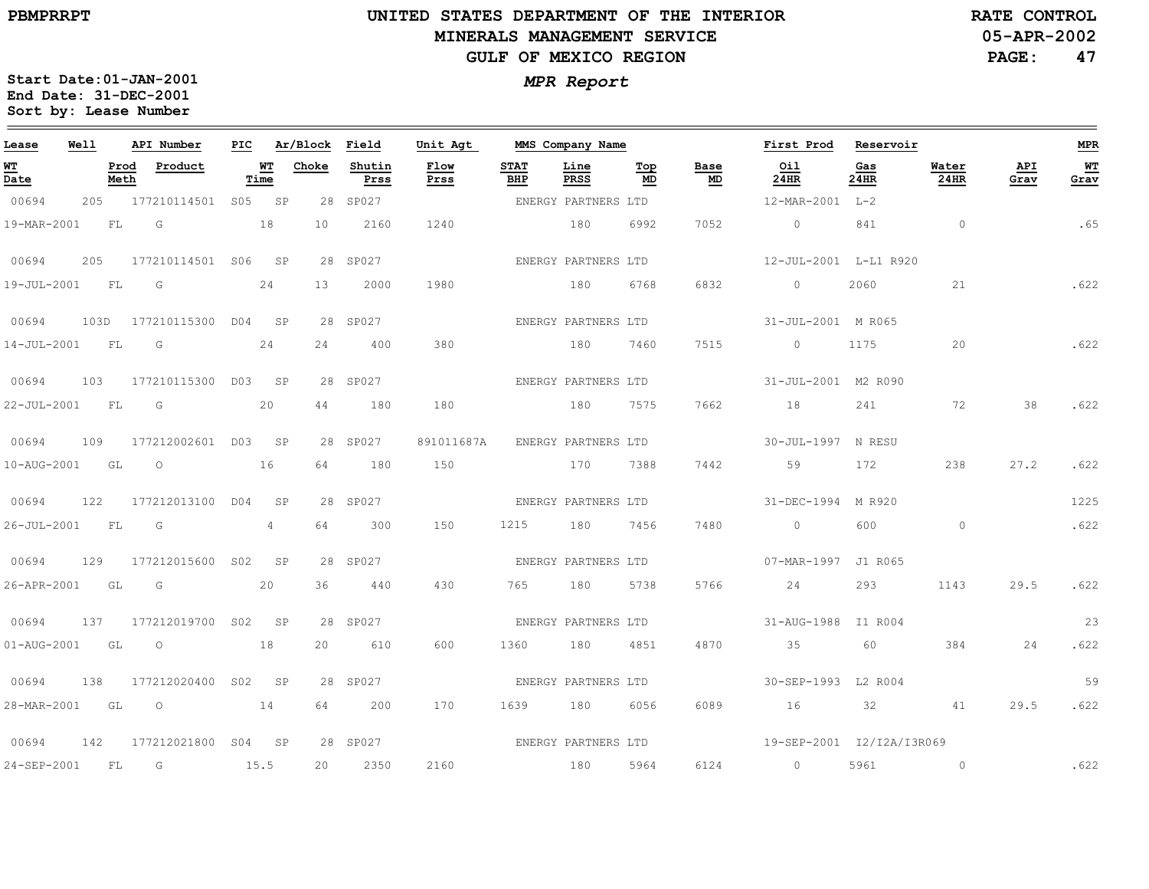**05-APR-2002RATE CONTROL**

**PAGE:47**

| Lease             | Well |              | API Number          | PIC             |            | Ar/Block Field |                | Unit Agt     |                    | MMS Company Name    |           |            | First Prod                | Reservoir   |               |             | <b>MPR</b> |
|-------------------|------|--------------|---------------------|-----------------|------------|----------------|----------------|--------------|--------------------|---------------------|-----------|------------|---------------------------|-------------|---------------|-------------|------------|
| WT<br>Date        |      | Prod<br>Meth | Product             |                 | WT<br>Time | Choke          | Shutin<br>Prss | Flow<br>Prss | <b>STAT</b><br>BHP | Line<br>PRSS        | Top<br>MD | Base<br>MD | Oil<br>24HR               | Gas<br>24HR | Water<br>24HR | API<br>Grav | WT<br>Grav |
| 00694             | 205  |              | 177210114501        | S05             | SP         |                | 28 SP027       |              |                    | ENERGY PARTNERS LTD |           |            | 12-MAR-2001 L-2           |             |               |             |            |
| 19-MAR-2001       |      | ${\rm FL}$   | G                   |                 | 18         | 10             | 2160           | 1240         |                    | 180                 | 6992      | 7052       | $\circ$                   | 841         | $\circ$       |             | .65        |
| 00694             | 205  |              | 177210114501 S06 SP |                 |            |                | 28 SP027       |              |                    | ENERGY PARTNERS LTD |           |            | 12-JUL-2001 L-L1 R920     |             |               |             |            |
| 19-JUL-2001       |      | <b>FL</b>    | G                   |                 | 24         | 13             | 2000           | 1980         |                    | 180                 | 6768      | 6832       | $\circ$                   | 2060        | 21            |             | .622       |
| 00694             | 103D |              | 177210115300        | D04             | SP         |                | 28 SP027       |              |                    | ENERGY PARTNERS LTD |           |            | 31-JUL-2001 M R065        |             |               |             |            |
| 14-JUL-2001       |      | FL           | G                   |                 | 24         | 24             | 400            | 380          |                    | 180                 | 7460      | 7515       | $\circ$                   | 1175        | 20            |             | .622       |
| 00694             | 103  |              | 177210115300 D03 SP |                 |            |                | 28 SP027       |              |                    | ENERGY PARTNERS LTD |           |            | 31-JUL-2001 M2 R090       |             |               |             |            |
| 22-JUL-2001       |      | FL           | $\overline{G}$      |                 | 20         | 44             | 180            | 180          | 180                |                     | 7575      | 7662       | 18                        | 241         | 72            | 38          | .622       |
| 00694             | 109  |              | 177212002601 D03    |                 | SP         |                | 28 SP027       | 891011687A   |                    | ENERGY PARTNERS LTD |           |            | 30-JUL-1997 N RESU        |             |               |             |            |
| 10-AUG-2001       |      | GL           | $\circ$             |                 | 16         | 64             | 180            | 150          |                    | 170                 | 7388      | 7442       | 59                        | 172         | 238           | 27.2        | .622       |
| 00694             | 122  |              | 177212013100 D04    |                 | SP         |                | 28 SP027       |              |                    | ENERGY PARTNERS LTD |           |            | 31-DEC-1994 M R920        |             |               |             | 1225       |
| 26-JUL-2001       |      | <b>FL</b>    | $\overline{G}$      |                 | 4          | 64             | 300            | 150          | 1215               | 180                 | 7456      | 7480       | $\overline{0}$            | 600         | $\circ$       |             | .622       |
| 00694             | 129  |              | 177212015600        | S <sub>02</sub> | SP         |                | 28 SP027       |              |                    | ENERGY PARTNERS LTD |           |            | 07-MAR-1997 J1 R065       |             |               |             |            |
| 26-APR-2001       |      | GL           | $\overline{G}$      |                 | 20         | 36             | 440            | 430          | 765                | 180                 | 5738      | 5766       | 24                        | 293         | 1143          | 29.5        | .622       |
| 00694             | 137  |              | 177212019700 S02    |                 | SP         |                | 28 SP027       |              |                    | ENERGY PARTNERS LTD |           |            | 31-AUG-1988 I1 R004       |             |               |             | 23         |
| $01 - AUG - 2001$ |      | GL           | $\circ$             |                 | 18         | 20             | 610            | 600          | 1360               | 180                 | 4851      | 4870       | 35                        | 60          | 384           | 24          | .622       |
| 00694             | 138  |              | 177212020400        | S02             | SP         |                | 28 SP027       |              |                    | ENERGY PARTNERS LTD |           |            | 30-SEP-1993 L2 R004       |             |               |             | 59         |
| 28-MAR-2001       |      | GL           | $\circ$             |                 | 14         | 64             | 200            | 170          | 1639               | 180                 | 6056      | 6089       | 16                        | 32          | 41            | 29.5        | .622       |
| 00694             | 142  |              | 177212021800 S04 SP |                 |            |                | 28 SP027       |              |                    | ENERGY PARTNERS LTD |           |            | 19-SEP-2001 I2/I2A/I3R069 |             |               |             |            |
| 24-SEP-2001       |      | FL           | G                   |                 | 15.5       | 20             | 2350           | 2160         |                    | 180                 | 5964      | 6124       | $\circ$                   | 5961        | $\circ$       |             | .622       |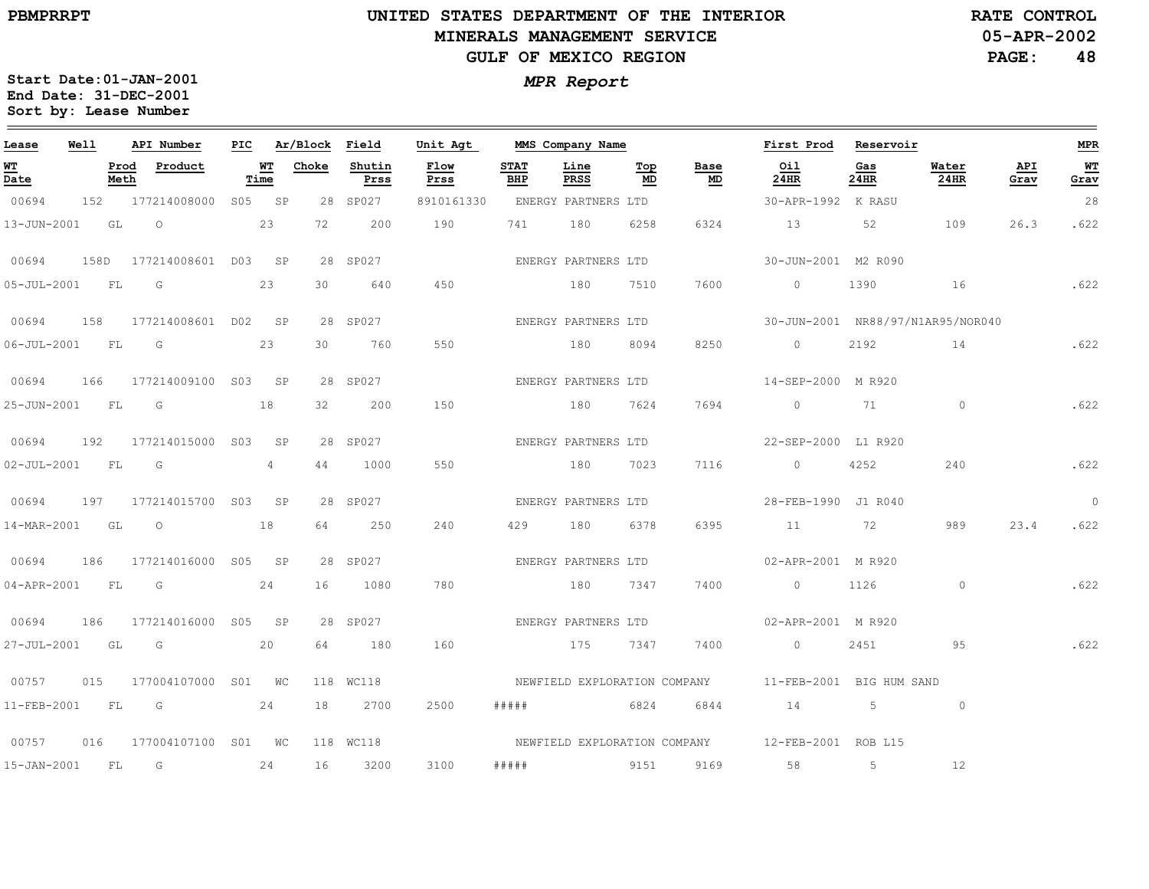**05-APR-2002RATE CONTROL**

**PAGE:48**

| Lease             | Well |              | API Number               | PIC |                | Ar/Block Field |                | Unit Agt     |                    | MMS Company Name             |           |            | First Prod Reservoir                             |             |               |             | MPR            |
|-------------------|------|--------------|--------------------------|-----|----------------|----------------|----------------|--------------|--------------------|------------------------------|-----------|------------|--------------------------------------------------|-------------|---------------|-------------|----------------|
| <b>WT</b><br>Date |      | Prod<br>Meth | Product                  |     | WТ<br>Time     | Choke          | Shutin<br>Prss | Flow<br>Prss | <b>STAT</b><br>BHP | Line<br>PRSS                 | Top<br>MD | Base<br>MD | Oil<br>24HR                                      | Gas<br>24HR | Water<br>24HR | API<br>Grav | WI<br>Grav     |
| 00694             | 152  |              | 177214008000             |     | S05 SP         |                | 28 SP027       | 8910161330   |                    | ENERGY PARTNERS LTD          |           |            | 30-APR-1992 K RASU                               |             |               |             | 28             |
| 13-JUN-2001       |      | GL           | $\circ$                  |     | 23             | 72             | 200            | 190          | 741                | 180                          | 6258      | 6324       | 13                                               | 52          | 109           | 26.3        | .622           |
| 00694             |      |              | 158D 177214008601 D03 SP |     |                |                | 28 SP027       |              |                    | ENERGY PARTNERS LTD          |           |            | 30-JUN-2001 M2 R090                              |             |               |             |                |
| 05-JUL-2001 FL    |      |              | $\overline{G}$           |     | 23             | 30             | 640            | 450          | 180                |                              | 7510      | 7600       | $\overline{0}$                                   | 1390 16     |               |             | .622           |
| 00694             | 158  |              | 177214008601 D02 SP      |     |                |                | 28 SP027       |              |                    | ENERGY PARTNERS LTD          |           |            | 30-JUN-2001 NR88/97/N1AR95/NOR040                |             |               |             |                |
| 06-JUL-2001 FL    |      |              | G                        |     | 23             | 30             | 760            | 550          |                    | 180                          | 8094      | 8250       | $\circ$                                          | 2192        |               | 14 622      |                |
| 00694             | 166  |              | 177214009100 S03 SP      |     |                |                | 28 SP027       |              |                    | ENERGY PARTNERS LTD          |           |            | 14-SEP-2000 M R920                               |             |               |             |                |
| 25-JUN-2001 FL G  |      |              |                          |     | 18             | 32             | 200            | 150          | 180                |                              | 7624      | 7694       | $\sim$ 0 $\sim$ 71                               |             | $\circ$       |             | .622           |
| 00694             | 192  |              | 177214015000 S03         |     | SP             |                | 28 SP027       |              |                    | ENERGY PARTNERS LTD          |           |            | 22-SEP-2000 L1 R920                              |             |               |             |                |
| 02-JUL-2001 FL    |      |              | G                        |     | $\overline{4}$ | 44             | 1000           | 550          |                    | 180                          | 7023      | 7116       | $\overline{0}$                                   | 4252        | 240           |             | .622           |
| 00694             | 197  |              | 177214015700 S03 SP      |     |                |                | 28 SP027       |              |                    | ENERGY PARTNERS LTD          |           |            | 28-FEB-1990 J1 R040                              |             |               |             | $\overline{0}$ |
| 14-MAR-2001       |      | GL           | $\overline{O}$           |     | 18             | 64             | 250            | 240          | 429 180            |                              | 6378      | 6395       | 11                                               | <b>72</b>   | 989           | 23.4        | .622           |
| 00694             | 186  |              | 177214016000 S05 SP      |     |                |                | 28 SP027       |              |                    | ENERGY PARTNERS LTD          |           |            | 02-APR-2001 M R920                               |             |               |             |                |
| 04-APR-2001 FL G  |      |              |                          |     | 24             | 16             | 1080           | 780          |                    | 180                          | 7347      | 7400       | $\overline{0}$                                   | 1126        | $\circ$       |             | .622           |
| 00694             | 186  |              | 177214016000 S05 SP      |     |                |                | 28 SP027       |              |                    | ENERGY PARTNERS LTD          |           |            | 02-APR-2001 M R920                               |             |               |             |                |
| 27-JUL-2001 GL    |      |              | G                        |     | 20             | 64             | 180            | 160          |                    | 175 7347                     |           | 7400       | $\circ$                                          | 2451        | 95            |             | .622           |
| 00757             | 015  |              | 177004107000 S01 WC      |     |                |                | 118 WC118      |              |                    | NEWFIELD EXPLORATION COMPANY |           |            | 11-FEB-2001 BIG HUM SAND                         |             |               |             |                |
| 11-FEB-2001       |      | FL           | G                        |     | 24             | 18             | 2700           | 2500         | #####              | 6824                         |           | 6844       | 14 5                                             |             | $\circ$       |             |                |
| 00757             | 016  |              | 177004107100 S01 WC      |     |                |                | 118 WC118      |              |                    |                              |           |            | NEWFIELD EXPLORATION COMPANY 12-FEB-2001 ROB L15 |             |               |             |                |
| $15 - JAN - 2001$ |      | FL           | G                        |     | 24             | 16             | 3200           | 3100         | #####              | <u>9151</u>                  |           | 9169       | 58                                               | 5           | 12            |             |                |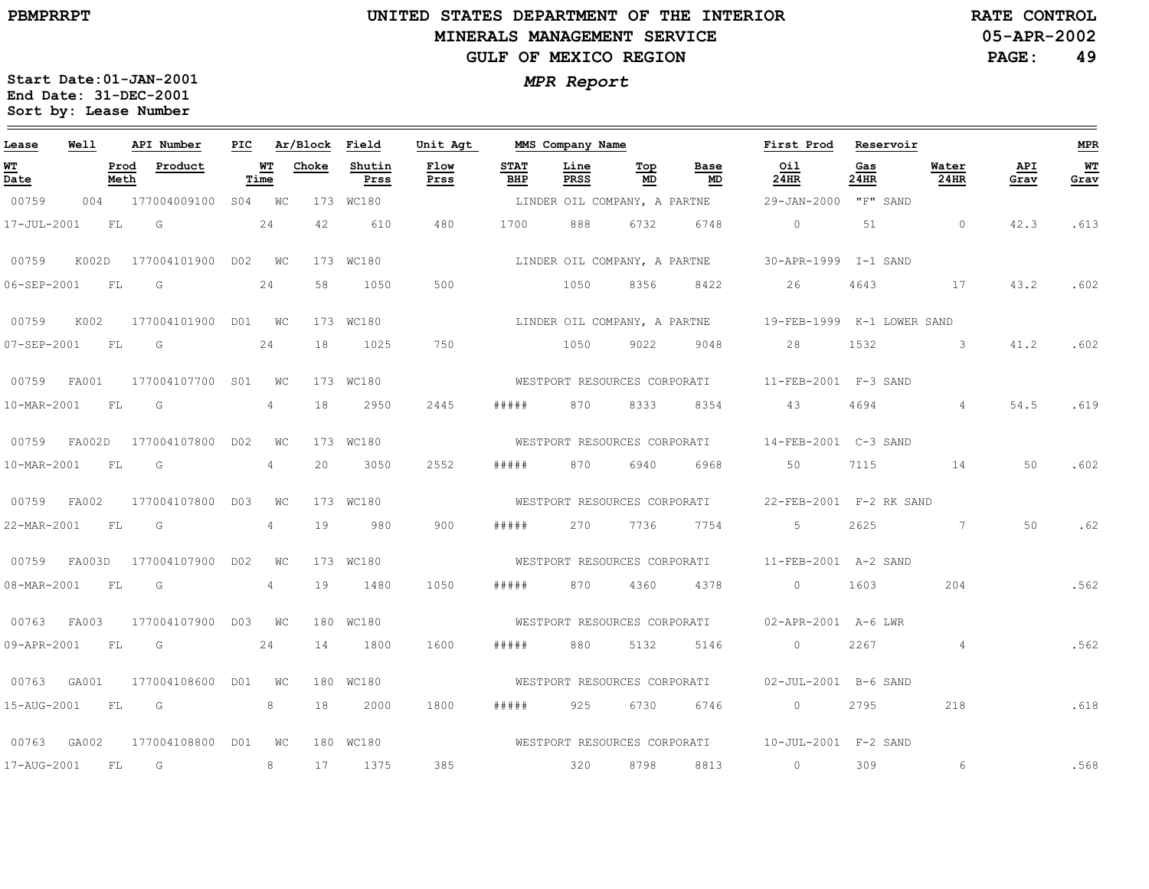### **UNITED STATES DEPARTMENT OF THE INTERIOR MINERALS MANAGEMENT SERVICEGULF OF MEXICO REGION**

**05-APR-2002RATE CONTROL**

**PAGE:49**

| Lease       | Well   |              | API Number          | PIC |                | Ar/Block | Field          | Unit Agt     |                    | MMS Company Name             |           |                              | First Prod                                        | Reservoir   |                |             | <b>MPR</b> |
|-------------|--------|--------------|---------------------|-----|----------------|----------|----------------|--------------|--------------------|------------------------------|-----------|------------------------------|---------------------------------------------------|-------------|----------------|-------------|------------|
| WT<br>Date  |        | Prod<br>Meth | Product             |     | WT<br>Time     | Choke    | Shutin<br>Prss | Flow<br>Prss | <b>STAT</b><br>BHP | Line<br>PRSS                 | Top<br>MD | Base<br>MD                   | Oil<br>24HR                                       | Gas<br>24HR | Water<br>24HR  | API<br>Grav | WТ<br>Grav |
| 00759       | 004    |              | 177004009100        |     | S04 WC         |          | 173 WC180      |              |                    |                              |           | LINDER OIL COMPANY, A PARTNE | 29-JAN-2000                                       | "F" SAND    |                |             |            |
| 17-JUL-2001 |        | FL           | G                   |     | 24             | 42       | 610            | 480          | 1700               | 888                          | 6732      | 6748                         | $\circ$                                           | 51          | $\circ$        | 42.3        | .613       |
| 00759       | K002D  |              | 177004101900 D02 WC |     |                |          | 173 WC180      |              |                    |                              |           | LINDER OIL COMPANY, A PARTNE | 30-APR-1999 I-1 SAND                              |             |                |             |            |
| 06-SEP-2001 |        | FL           | G                   |     | 24             | 58       | 1050           | 500          |                    | 1050                         | 8356      | 8422                         | 26                                                | 4643        | 17             | 43.2        | .602       |
| 00759       | K002   |              | 177004101900 D01 WC |     |                |          | 173 WC180      |              |                    | LINDER OIL COMPANY, A PARTNE |           |                              | 19-FEB-1999 K-1 LOWER SAND                        |             |                |             |            |
| 07-SEP-2001 |        | FL           | G                   |     | 24             | 18       | 1025           | 750          |                    | 1050                         | 9022      | 9048                         | 28                                                | 1532        | $\mathcal{S}$  | 41.2        | .602       |
| 00759       | FA001  |              | 177004107700 S01    |     | WC             |          | 173 WC180      |              |                    |                              |           | WESTPORT RESOURCES CORPORATI | 11-FEB-2001 F-3 SAND                              |             |                |             |            |
| 10-MAR-2001 |        | FL           | G                   |     | 4              | 18       | 2950           | 2445         | #####              | 870                          | 8333      | 8354                         | 43                                                | 4694        | $\overline{4}$ | 54.5        | .619       |
| 00759       | FA002D |              | 177004107800 D02    |     | <b>WC</b>      |          | 173 WC180      |              |                    | WESTPORT RESOURCES CORPORATI |           |                              | 14-FEB-2001 C-3 SAND                              |             |                |             |            |
| 10-MAR-2001 |        | FL           | G                   |     | 4              | 20       | 3050           | 2552         | # # # # #          | 870                          | 6940      | 6968                         | 50                                                | 7115        | 14             | 50          | .602       |
| 00759       | FA002  |              | 177004107800 D03    |     | WС             |          | 173 WC180      |              |                    |                              |           | WESTPORT RESOURCES CORPORATI | 22-FEB-2001 F-2 RK SAND                           |             |                |             |            |
| 22-MAR-2001 |        | FL           | G                   |     | $\overline{4}$ | 19       | 980            | 900          | #####              | 270                          | 7736      | 7754                         | 5                                                 | 2625        | $7^{\circ}$    | 50          | .62        |
| 00759       | FA003D |              | 177004107900 D02    |     | <b>WC</b>      |          | 173 WC180      |              |                    | WESTPORT RESOURCES CORPORATI |           |                              | 11-FEB-2001 A-2 SAND                              |             |                |             |            |
| 08-MAR-2001 |        | FL           | G                   |     | 4              | 19       | 1480           | 1050         | # # # # #          | 870                          | 4360      | 4378                         | $\circ$                                           | 1603        | 204            |             | .562       |
| 00763       | FA003  |              | 177004107900 D03    |     | WС             |          | 180 WC180      |              |                    |                              |           |                              | WESTPORT RESOURCES CORPORATI 02-APR-2001 A-6 LWR  |             |                |             |            |
| 09-APR-2001 |        | FL.          | G                   |     | 24             | 14       | 1800           | 1600         | # # # # #          | 880                          | 5132      | 5146                         | $\circ$                                           | 2267        | $\overline{4}$ |             | .562       |
| 00763       | GA001  |              | 177004108600 D01    |     | <b>WC</b>      |          | 180 WC180      |              |                    | WESTPORT RESOURCES CORPORATI |           |                              | 02-JUL-2001 B-6 SAND                              |             |                |             |            |
| 15-AUG-2001 |        | FL           | G                   |     | 8              | 18       | 2000           | 1800         | #####              | 925                          | 6730      | 6746                         | $\circ$                                           | 2795        | 218            |             | .618       |
| 00763       | GA002  |              | 177004108800        | DO1 | WC             |          | 180 WC180      |              |                    |                              |           |                              | WESTPORT RESOURCES CORPORATI 10-JUL-2001 F-2 SAND |             |                |             |            |
| 17-AUG-2001 |        | FL           | G                   |     | 8              | 17       | 1375           | 385          |                    | 320                          | 8798      | 8813                         | $\circ$                                           | 309         | 6              |             | .568       |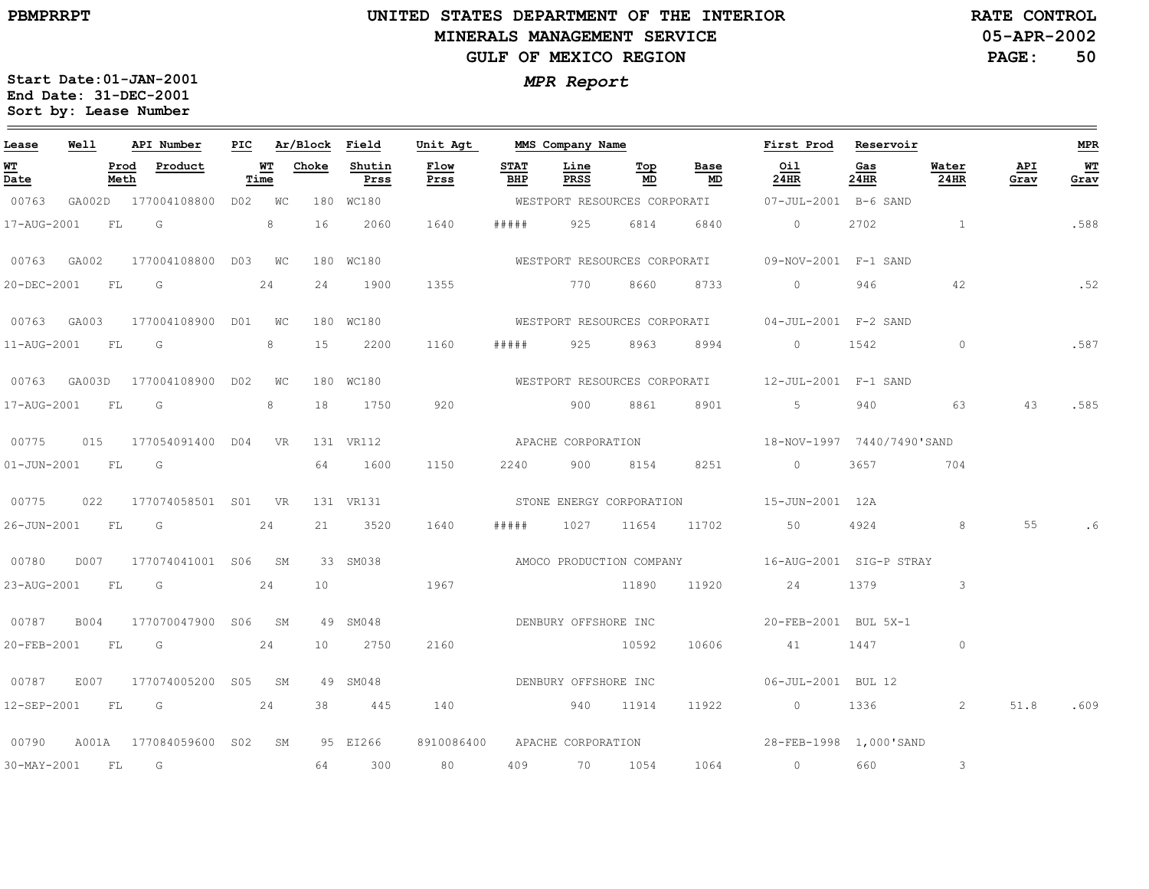# **UNITED STATES DEPARTMENT OF THE INTERIOR MINERALS MANAGEMENT SERVICEGULF OF MEXICO REGION**

**05-APR-2002RATE CONTROL**

**PAGE:50**

| Lease       | <b>Well</b>      |      | API Number                            |      |           | PIC Ar/Block Field |                | Unit Agt             |             | MMS Company Name   |           |                                   | First Prod Reservoir                                                                                                                                                                                                                                                                                                               |             |                         |             | <b>MPR</b>  |
|-------------|------------------|------|---------------------------------------|------|-----------|--------------------|----------------|----------------------|-------------|--------------------|-----------|-----------------------------------|------------------------------------------------------------------------------------------------------------------------------------------------------------------------------------------------------------------------------------------------------------------------------------------------------------------------------------|-------------|-------------------------|-------------|-------------|
| WT<br>Date  |                  | Meth | Prod Product                          | Time | <b>WT</b> | Choke              | Shutin<br>Prss | Flow<br>Prss         | STAT<br>BHP | Line<br>PRSS       | Top<br>MD | Base<br>$\underline{\mathsf{MD}}$ | Oil<br>24HR                                                                                                                                                                                                                                                                                                                        | Gas<br>24HR | Water<br>24HR           | API<br>Grav | $W$<br>Grav |
| 00763       |                  |      | GA002D 177004108800 D02 WC            |      |           |                    | 180 WC180      |                      |             |                    |           |                                   | WESTPORT RESOURCES CORPORATI 07-JUL-2001 B-6 SAND                                                                                                                                                                                                                                                                                  |             |                         |             |             |
| 17-AUG-2001 |                  |      | FLG 8                                 |      |           |                    | 16 2060        | 1640                 | # # # # #   | 925 6814           |           | 6840                              | $\overline{0}$                                                                                                                                                                                                                                                                                                                     |             | 2702 1                  |             | .588        |
|             | 00763 GA002      |      | 177004108800 D03 WC                   |      |           |                    | 180 WC180      |                      |             |                    |           |                                   | WESTPORT RESOURCES CORPORATI 09-NOV-2001 F-1 SAND                                                                                                                                                                                                                                                                                  |             |                         |             |             |
| 20-DEC-2001 |                  | FL G | 24                                    |      |           |                    | 24 1900        | 1355                 |             | 770 8660           |           | 8733                              | $\overline{0}$ and $\overline{0}$ and $\overline{0}$ and $\overline{0}$ and $\overline{0}$ and $\overline{0}$ and $\overline{0}$ and $\overline{0}$ and $\overline{0}$ and $\overline{0}$ and $\overline{0}$ and $\overline{0}$ and $\overline{0}$ and $\overline{0}$ and $\overline{0}$ and $\overline{0}$ and $\overline{0}$ and | 946         | 42                      |             | .52         |
|             |                  |      | 00763 GA003 177004108900 D01 WC       |      |           |                    | 180 WC180      |                      |             |                    |           |                                   | WESTPORT RESOURCES CORPORATI 04-JUL-2001 F-2 SAND                                                                                                                                                                                                                                                                                  |             |                         |             |             |
|             | 11-AUG-2001 FL G |      |                                       |      | 8         |                    | 15 2200        | 1160                 |             |                    |           | ##### 925 8963 8994               | $\overline{0}$                                                                                                                                                                                                                                                                                                                     |             | $\overline{0}$          |             | .587        |
|             |                  |      | 00763 GA003D 177004108900 D02 WC      |      |           |                    | 180 WC180      |                      |             |                    |           |                                   | WESTPORT RESOURCES CORPORATI 12-JUL-2001 F-1 SAND                                                                                                                                                                                                                                                                                  |             |                         |             |             |
| 17-AUG-2001 | FL               |      | G                                     |      | 8         |                    | 18 1750        | 920                  |             | 900                | 8861      | 8901                              | $5 - 1$                                                                                                                                                                                                                                                                                                                            | 940         | 63                      | 43          | .585        |
|             |                  |      | 00775   015   177054091400   D04   VR |      |           |                    | 131 VR112      |                      |             | APACHE CORPORATION |           |                                   | 18-NOV-1997 7440/7490'SAND                                                                                                                                                                                                                                                                                                         |             |                         |             |             |
|             | 01-JUN-2001 FL G |      |                                       |      |           |                    | 64 1600        | 1150                 |             | 2240 900 8154      |           | 8251                              | $\overline{0}$                                                                                                                                                                                                                                                                                                                     | 3657        | 704                     |             |             |
|             |                  |      |                                       |      |           |                    | 131 VR131      |                      |             |                    |           |                                   | STONE ENERGY CORPORATION 15-JUN-2001 12A                                                                                                                                                                                                                                                                                           |             |                         |             |             |
|             | 26-JUN-2001 FL G |      |                                       |      | 24        |                    | 21 3520        | 1640                 | # # # # #   | 1027               | 11654     | 11702 50                          |                                                                                                                                                                                                                                                                                                                                    | 4924        | 8                       | 55          |             |
| 00780       |                  |      | D007 177074041001 S06 SM              |      |           |                    | 33 SM038       |                      |             |                    |           |                                   | AMOCO PRODUCTION COMPANY 16-AUG-2001 SIG-P STRAY                                                                                                                                                                                                                                                                                   |             |                         |             |             |
|             |                  |      | 23-AUG-2001 FL G                      |      | 24        | 10                 |                | 1967                 |             |                    |           |                                   | 11890 11920 24 1379                                                                                                                                                                                                                                                                                                                |             | $\overline{\mathbf{3}}$ |             |             |
| 00787       |                  |      | B004 177070047900 S06 SM              |      |           |                    | 49 SM048       | DENBURY OFFSHORE INC |             |                    |           |                                   | 20-FEB-2001 BUL 5X-1                                                                                                                                                                                                                                                                                                               |             |                         |             |             |
| 20-FEB-2001 |                  | FL G |                                       |      | 24        |                    | 10 2750        | 2160                 |             |                    | 10592     | 10606                             | 41                                                                                                                                                                                                                                                                                                                                 | 1447        | $\circ$                 |             |             |
| 00787       |                  |      | E007 177074005200 S05 SM              |      |           |                    | 49 SM048       | DENBURY OFFSHORE INC |             |                    |           |                                   | 06-JUL-2001 BUL 12                                                                                                                                                                                                                                                                                                                 |             |                         |             |             |
|             |                  |      | 12-SEP-2001 FL G 24                   |      |           |                    | 38 445         | 140                  |             | 940 11914          |           | 11922                             | $0 \t 1336$ 2                                                                                                                                                                                                                                                                                                                      |             |                         |             | 51.8 .609   |
| 00790       |                  |      | A001A 177084059600 S02 SM             |      |           |                    | 95 EI266       | 8910086400           |             |                    |           |                                   | APACHE CORPORATION<br>28-FEB-1998  1,000'SAND                                                                                                                                                                                                                                                                                      |             |                         |             |             |
|             | 30-MAY-2001 FL G |      |                                       |      |           |                    | 64 300         | 80                   |             |                    |           |                                   | 409 70 1054 1064 0                                                                                                                                                                                                                                                                                                                 | 660         | $\mathbf{3}$            |             |             |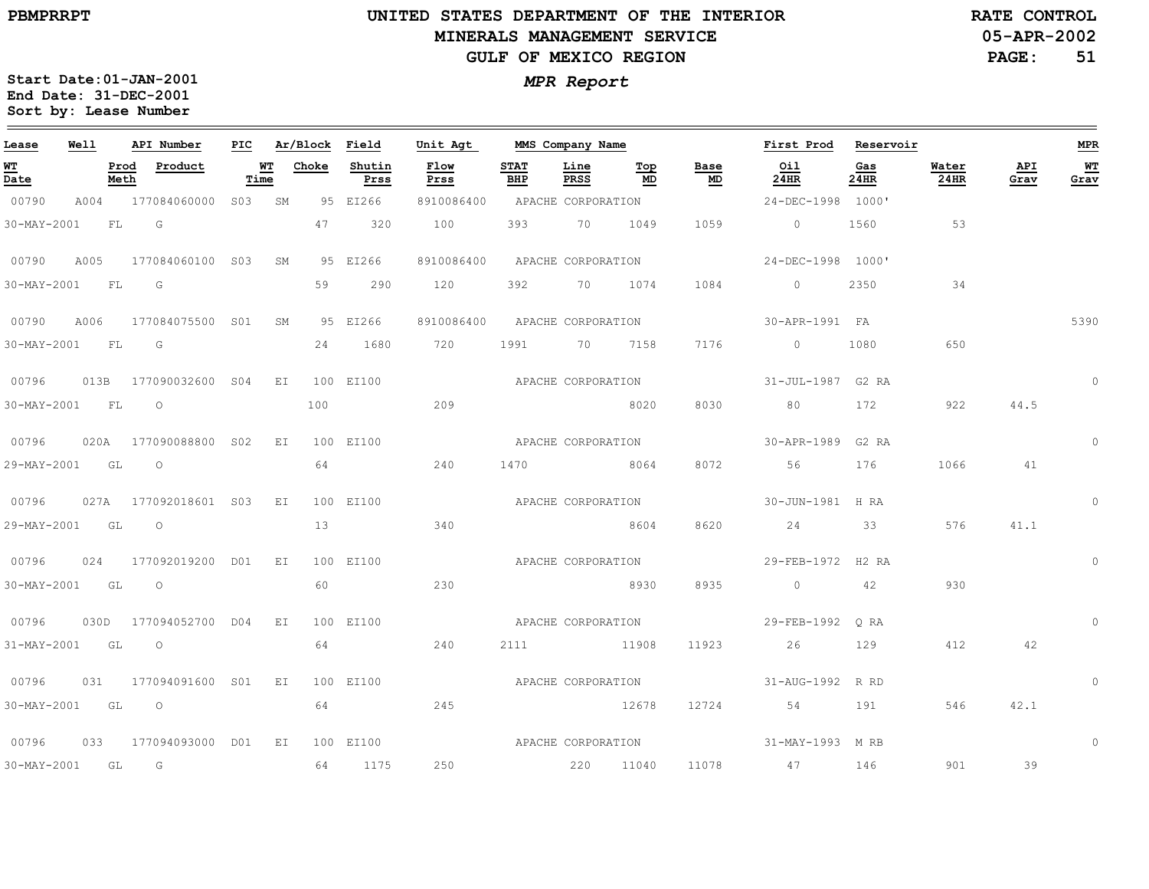**RATE CONTROL**

**PAGE:51**

**Start Date:01-JAN-2001** *MPR Report* **End Date: 31-DEC-2001 Sort by: Lease Number** 

| Lease            | Well |              | API Number               | PIC               |    |       | Ar/Block Field | Unit Agt           |                    | MMS Company Name   |           |                   | First Prod Reservoir |             |                      |             | <b>MPR</b>  |
|------------------|------|--------------|--------------------------|-------------------|----|-------|----------------|--------------------|--------------------|--------------------|-----------|-------------------|----------------------|-------------|----------------------|-------------|-------------|
| WT<br>Date       |      | Prod<br>Meth | Product                  | <b>WT</b><br>Time |    | Choke | Shutin<br>Prss | Flow<br>Prss       | <b>STAT</b><br>BHP | Line<br>PRSS       | Тор<br>MD | Base<br><b>MD</b> | Oil<br>24HR          | Gas<br>24HR | Water<br><b>24HR</b> | API<br>Grav | WT<br>Grav  |
| 00790            | A004 |              | 177084060000             | S03 SM            |    |       | 95 EI266       | 8910086400         |                    | APACHE CORPORATION |           |                   | 24-DEC-1998 1000'    |             |                      |             |             |
| 30-MAY-2001      |      | <b>FL</b>    | G                        |                   |    | 47    | 320            | 100                | 393                | 70 1049            |           | 1059              | $\overline{0}$       | 1560        | 53                   |             |             |
| 00790            | A005 |              | 177084060100 S03 SM      |                   |    |       | 95 EI266       | 8910086400         |                    | APACHE CORPORATION |           |                   | 24-DEC-1998 1000'    |             |                      |             |             |
| 30-MAY-2001 FL G |      |              |                          |                   |    | 59    | 290            | 120                | 392                |                    | 70 1074   | 1084              | $\overline{0}$       | 2350        | 34                   |             |             |
| 00790            |      |              | A006 177084075500 S01    |                   | SM |       | 95 EI266       | 8910086400         |                    | APACHE CORPORATION |           |                   | 30-APR-1991 FA       |             |                      |             | 5390        |
| 30-MAY-2001 FL G |      |              |                          |                   |    |       | 24 1680        | 720                |                    | 1991 70 7158       |           | 7176              | $\overline{0}$       | 1080        | 650                  |             |             |
| 00796            |      |              | 013B 177090032600 S04 EI |                   |    |       | 100 EI100      |                    |                    | APACHE CORPORATION |           |                   | 31-JUL-1987 G2 RA    |             |                      |             | $\circ$     |
| 30-MAY-2001 FL   |      |              | $\overline{\phantom{0}}$ |                   |    | 100   |                | 209                |                    |                    | 8020      | 8030              | 80 30                | 172         | 922                  | 44.5        |             |
| 00796            |      |              | 020A 177090088800 S02    |                   | EI |       | 100 EI100      |                    |                    | APACHE CORPORATION |           |                   | 30-APR-1989 G2 RA    |             |                      |             | $\Omega$    |
| 29-MAY-2001 GL   |      |              | $\overline{O}$           |                   |    | 64    |                | 240                |                    | 1470 8064          |           | 8072              | 56                   | 176         | 1066                 | 41          |             |
| 00796            |      |              | 027A 177092018601 S03 EI |                   |    |       | 100 EI100      |                    |                    | APACHE CORPORATION |           |                   | 30-JUN-1981 H RA     |             |                      |             | $\mathbf 0$ |
| 29-MAY-2001 GL   |      |              | $\overline{\phantom{0}}$ |                   |    | 13    |                | 340                |                    |                    | 8604      | 8620              | 24                   | 33          | 576                  | 41.1        |             |
| 00796            |      |              | 024 177092019200 D01 EI  |                   |    |       | 100 EI100      |                    |                    | APACHE CORPORATION |           |                   | 29-FEB-1972 H2 RA    |             |                      |             | $\mathbf 0$ |
| 30-MAY-2001 GL O |      |              |                          |                   |    | 60    |                | 230                |                    | 8930               |           | 8935              | $\overline{0}$       | 42          | 930                  |             |             |
| 00796            |      |              | 030D 177094052700 D04 EI |                   |    |       | 100 EI100      | APACHE CORPORATION |                    |                    |           |                   | 29-FEB-1992 ORA      |             |                      |             | $\Omega$    |
| 31-MAY-2001      |      | GL GL        | $\overline{O}$           |                   |    | 64    |                | 240                |                    | 2111 11908         |           | 11923             | 26                   | 129         | 412                  | 42          |             |
| 00796            |      |              | 031 177094091600 S01 EI  |                   |    |       | 100 EI100      | APACHE CORPORATION |                    |                    |           |                   | 31-AUG-1992 R RD     |             |                      |             | $\circ$     |
| 30-MAY-2001      |      |              | GL O                     |                   |    | 64    |                | 245                |                    | 12678              |           | 12724             | 54                   | 191         | 546                  | 42.1        |             |
| 00796            |      |              | 033 177094093000 D01 EI  |                   |    |       | 100 EI100      | APACHE CORPORATION |                    |                    |           |                   | 31-MAY-1993 M RB     |             |                      |             | $\Omega$    |
| 30-MAY-2001 GL   |      |              | G                        |                   |    |       | 64 1175        | 250                |                    |                    | 220 11040 |                   | 11078 47             | 146         | 901                  | 39          |             |

# **05-APR-2002**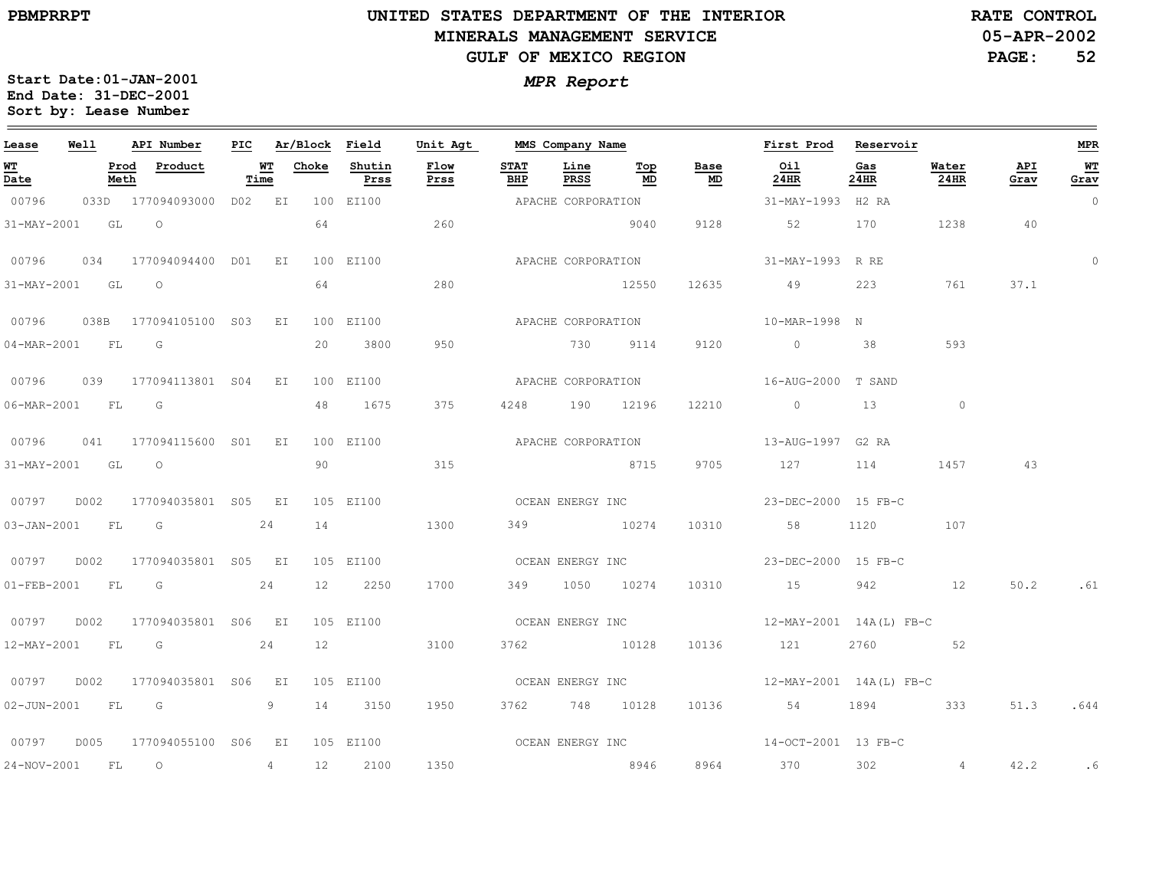# **UNITED STATES DEPARTMENT OF THE INTERIOR MINERALS MANAGEMENT SERVICEGULF OF MEXICO REGION**

**05-APR-2002RATE CONTROL**

**PAGE:52**

| Lease            | <b>Well</b> |      | API Number                                 |      |    | PIC Ar/Block Field |                         | Unit Agt           |                    |                |                       |                                   | MMS Company Name Tirst Prod Reservoir         |             |               |             | MPR            |
|------------------|-------------|------|--------------------------------------------|------|----|--------------------|-------------------------|--------------------|--------------------|----------------|-----------------------|-----------------------------------|-----------------------------------------------|-------------|---------------|-------------|----------------|
| WТ<br>Date       |             | Meth | Prod Product                               | Time |    |                    | WT Choke Shutin<br>Prss | Flow<br>Prss       | <b>STAT</b><br>BHP | Line           | Тор<br><u>PRSS</u> MD | Base<br>$\underline{\mathsf{MD}}$ | Oil<br>24HR                                   | Gas<br>24HR | Water<br>24HR | API<br>Grav | WT<br>Grav     |
| 00796            |             |      | 033D 177094093000 D02 EI                   |      |    |                    | 100 EI100               |                    | APACHE CORPORATION |                |                       |                                   | 31-MAY-1993 H2 RA                             |             |               |             | $\overline{0}$ |
| 31-MAY-2001 GL O |             |      |                                            |      |    | 64                 |                         | 260                |                    |                | 9040                  | 9128                              | 52                                            | 170         | 1238          | 40          |                |
|                  |             |      | 00796  034  177094094400  D01  EI          |      |    |                    | 100 EI100               | APACHE CORPORATION |                    |                |                       |                                   | 31-MAY-1993 R RE                              |             |               |             | $\mathbf 0$    |
|                  |             |      | 31-MAY-2001 GL O                           |      |    |                    | 64 64 65                | 280                |                    | 12550          |                       |                                   | 12635 49 223 761                              |             |               | 37.1        |                |
|                  |             |      | 00796   038B   177094105100   S03   EI     |      |    |                    | 100 EI100               |                    |                    |                |                       |                                   |                                               |             |               |             |                |
| 04-MAR-2001 FL G |             |      |                                            |      |    |                    | 20 3800                 | 950                |                    |                |                       | 730 9114 9120                     | $\sim$ 0 38                                   |             | 593           |             |                |
| 00796            |             |      | 039 177094113801 S04 EI                    |      |    |                    | 100 EI100               |                    | APACHE CORPORATION |                |                       |                                   | 16-AUG-2000 T SAND                            |             |               |             |                |
| 06-MAR-2001 FL G |             |      |                                            |      |    |                    | 48 1675                 | 375                |                    | 4248 190 12196 |                       | 12210                             | $\sim$ 0 $\sim$ 13                            |             | $\circ$       |             |                |
|                  |             |      | 00796  041  177094115600  S01  EI          |      |    |                    |                         |                    |                    |                |                       |                                   |                                               |             |               |             |                |
| 31-MAY-2001 GL O |             |      |                                            |      |    |                    |                         | 90 315             |                    |                |                       |                                   | 8715 9705 127 114                             |             | 1457          | 43          |                |
|                  |             |      | 00797    D002    177094035801    S05    EI |      |    |                    | 105 EI100               |                    |                    |                |                       |                                   |                                               |             |               |             |                |
|                  |             |      | 03-JAN-2001 FL G 24                        |      |    |                    | 14                      | 1300               |                    |                |                       |                                   | 349 10274 10310 58 1120 107                   |             |               |             |                |
|                  |             |      |                                            |      |    |                    | 105 EI100               |                    |                    |                |                       |                                   | OCEAN ENERGY INC $23-\text{DEC}-2000$ 15 FB-C |             |               |             |                |
|                  |             |      | 01-FEB-2001 FL G 24                        |      |    |                    | 12 2250                 | 1700               |                    | 349 1050 10274 |                       |                                   | 10310 15 942 12                               |             |               | 50.2 .61    |                |
|                  |             |      |                                            |      |    |                    | 105 EI100               |                    |                    |                |                       |                                   |                                               |             |               |             |                |
| 12-MAY-2001 FL G |             |      |                                            |      | 24 | 12                 |                         | 3100               |                    | 3762 10128     |                       |                                   | 10136 121                                     | 2760 52     |               |             |                |
|                  |             |      |                                            |      |    |                    | 105 EI100               |                    |                    |                |                       |                                   | OCEAN ENERGY INC 12-MAY-2001 14A(L) FB-C      |             |               |             |                |
|                  |             |      | 02-JUN-2001 FL G 9                         |      |    |                    | 14 3150                 | 1950               |                    |                |                       |                                   | 3762 748 10128 10136 54 1894 333              |             |               | 51.3        | .644           |
|                  |             |      |                                            |      |    |                    | 105 EI100               |                    |                    |                |                       |                                   | OCEAN ENERGY INC<br>14-OCT-2001 13 FB-C       |             |               |             |                |
| 24-NOV-2001 FL O |             |      |                                            |      | 4  |                    | 12 2100                 | 1350               |                    |                |                       |                                   | 8946 8964 370 302 4                           |             |               | 42.2        | . 6            |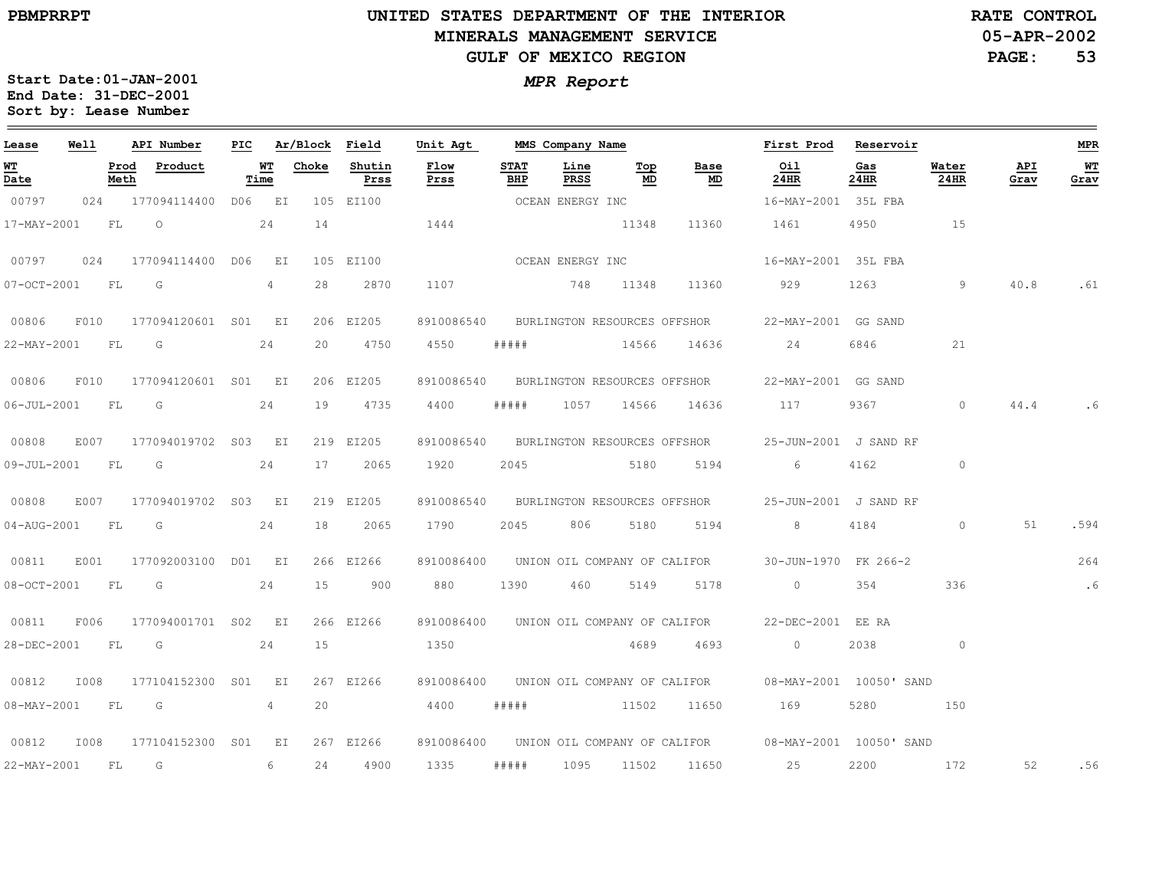# **UNITED STATES DEPARTMENT OF THE INTERIOR MINERALS MANAGEMENT SERVICEGULF OF MEXICO REGION**

**05-APR-2002RATE CONTROL**

**PAGE:53**

| Lease             | Well |              | API Number          | PIC |                | Ar/Block Field |                | Unit Agt     |             | MMS Company Name             |           |                                   | First Prod            | Reservoir               |               |             | MPR         |
|-------------------|------|--------------|---------------------|-----|----------------|----------------|----------------|--------------|-------------|------------------------------|-----------|-----------------------------------|-----------------------|-------------------------|---------------|-------------|-------------|
| WT<br>Date        |      | Prod<br>Meth | Product             |     | WТ<br>Time     | Choke          | Shutin<br>Prss | Flow<br>Prss | STAT<br>BHP | Line<br>PRSS                 | Top<br>MD | Base<br>$\underline{\mathsf{MD}}$ | Oil<br>24HR           | Gas<br>24HR             | Water<br>24HR | API<br>Grav | $W$<br>Grav |
| 00797             | 024  |              | 177094114400 D06 EI |     |                |                | 105 EI100      |              |             | OCEAN ENERGY INC             |           |                                   | 16-MAY-2001 35L FBA   |                         |               |             |             |
| 17-MAY-2001       |      | FL           | $\circ$             |     | 24             | 14             |                | 1444         |             |                              | 11348     | 11360                             | 1461                  | 4950                    | 15            |             |             |
| 00797             | 024  |              | 177094114400 D06    |     | EI             |                | 105 EI100      |              |             | OCEAN ENERGY INC             |           |                                   | 16-MAY-2001 35L FBA   |                         |               |             |             |
| 07-OCT-2001       |      | FL           | G                   |     | 4              | 28             | 2870           | 1107         |             | 748                          | 11348     | 11360                             | 929                   | 1263                    | 9             | 40.8        | .61         |
| 00806             | F010 |              | 177094120601 S01 EI |     |                |                | 206 EI205      | 8910086540   |             |                              |           | BURLINGTON RESOURCES OFFSHOR      | 22-MAY-2001 GG SAND   |                         |               |             |             |
| 22-MAY-2001       |      | FL           | $\overline{G}$      |     | 24             | 20             | 4750           | 4550         | # # # # #   |                              | 14566     | 14636                             | 24                    | 6846                    | 21            |             |             |
| 00806             | F010 |              | 177094120601 S01 EI |     |                |                | 206 EI205      | 8910086540   |             | BURLINGTON RESOURCES OFFSHOR |           |                                   | 22-MAY-2001 GG SAND   |                         |               |             |             |
| $06 - JUL - 2001$ |      | FL           | G                   |     | 24             | 19             | 4735           | 4400         | # # # # #   | 1057                         | 14566     | 14636                             | 117                   | 9367                    | $\circ$       | 44.4        | . 6         |
| 00808             | E007 |              | 177094019702 S03 EI |     |                |                | 219 EI205      | 8910086540   |             |                              |           | BURLINGTON RESOURCES OFFSHOR      | 25-JUN-2001 J SAND RF |                         |               |             |             |
| 09-JUL-2001       |      | FL           | G                   |     | 24             | 17             | 2065           | 1920         | 2045        |                              | 5180      | 5194                              | 6                     | 4162                    | $\circ$       |             |             |
| 00808             | E007 |              | 177094019702 S03 EI |     |                |                | 219 EI205      | 8910086540   |             |                              |           | BURLINGTON RESOURCES OFFSHOR      | 25-JUN-2001 J SAND RF |                         |               |             |             |
| 04-AUG-2001       |      | FL           | G                   |     | 24             | 18             | 2065           | 1790         | 2045        | 806                          | 5180      | 5194                              | 8                     | 4184                    | $\circ$       | 51          | .594        |
| 00811             | E001 |              | 177092003100 D01 EI |     |                |                | 266 EI266      | 8910086400   |             | UNION OIL COMPANY OF CALIFOR |           |                                   | 30-JUN-1970 FK 266-2  |                         |               |             | 264         |
| 08-OCT-2001       |      | FL           | G                   |     | 24             | 15             | 900            | 880          | 1390        | 460                          | 5149      | 5178                              | $\circ$               | 354                     | 336           |             | $\cdot$ 6   |
| 00811             | F006 |              | 177094001701 S02 EI |     |                |                | 266 EI266      | 8910086400   |             | UNION OIL COMPANY OF CALIFOR |           |                                   | 22-DEC-2001 EE RA     |                         |               |             |             |
| 28-DEC-2001       |      | FL           | G                   |     | 24             | 15             |                | 1350         |             |                              | 4689      | 4693                              | $\circ$               | 2038                    | $\circ$       |             |             |
| 00812             | I008 |              | 177104152300 S01    |     | E I            |                | 267 EI266      | 8910086400   |             | UNION OIL COMPANY OF CALIFOR |           |                                   |                       | 08-MAY-2001 10050' SAND |               |             |             |
| 08-MAY-2001       |      | FL           | G                   |     | $\overline{4}$ | 20             |                | 4400         | # # # # #   |                              | 11502     | 11650                             | 169                   | 5280                    | 150           |             |             |
| 00812             | I008 |              | 177104152300 S01    |     | EI             |                | 267 EI266      | 8910086400   |             |                              |           | UNION OIL COMPANY OF CALIFOR      |                       | 08-MAY-2001 10050' SAND |               |             |             |
| 22-MAY-2001       |      | FL           | G                   |     | 6              | 24             | 4900           | 1335         | # # # # #   | 1095                         | 11502     | 11650                             | 25                    | 2200                    | 172           | 52          | .56         |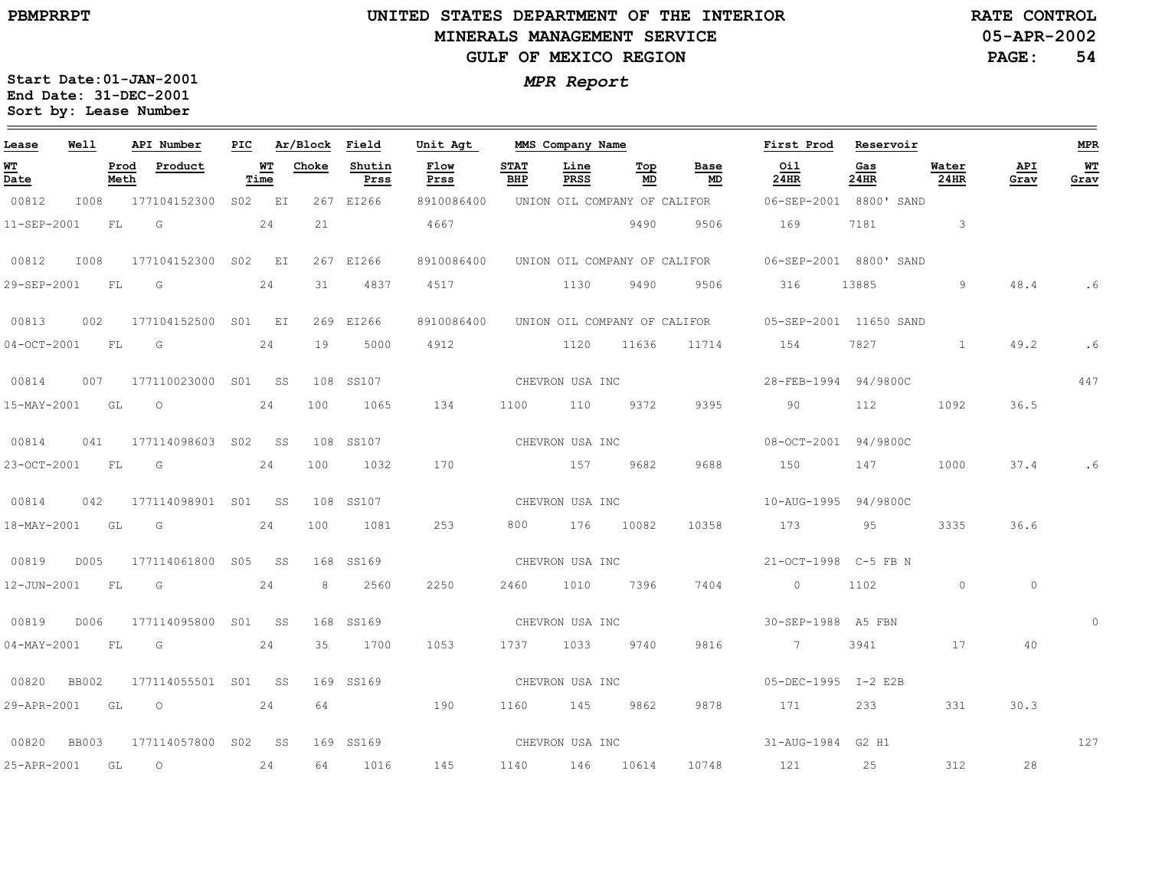#### **UNITED STATES DEPARTMENT OF THE INTERIOR MINERALS MANAGEMENT SERVICEGULF OF MEXICO REGION**

**05-APR-2002RATE CONTROL**

**PAGE: 54**

| Lease                          | Well         |              | API Number          | PIC |            | Ar/Block | Field          | Unit Agt        |                    | MMS Company Name |                                  |                              | First Prod             | Reservoir   |               |             | <b>MPR</b>             |
|--------------------------------|--------------|--------------|---------------------|-----|------------|----------|----------------|-----------------|--------------------|------------------|----------------------------------|------------------------------|------------------------|-------------|---------------|-------------|------------------------|
| WT<br>$\overline{\text{Date}}$ |              | Prod<br>Meth | Product             |     | WT<br>Time | Choke    | Shutin<br>Prss | Flow<br>Prss    | <b>STAT</b><br>BHP | Line<br>PRSS     | $\underline{\texttt{Top}}$<br>MD | Base<br>MD                   | Oil<br>24HR            | Gas<br>24HR | Water<br>24HR | API<br>Grav | W <sub>T</sub><br>Grav |
| 00812                          | I008         |              | 177104152300        |     | S02 EI     |          | 267 EI266      | 8910086400      |                    |                  |                                  | UNION OIL COMPANY OF CALIFOR | 06-SEP-2001 8800' SAND |             |               |             |                        |
| 11-SEP-2001                    |              | FL           | G                   |     | 24         | 21       |                | 4667            |                    |                  | 9490                             | 9506                         | 169                    | 7181        | $\mathbf{3}$  |             |                        |
| 00812                          | I008         |              | 177104152300 S02 EI |     |            |          | 267 EI266      | 8910086400      |                    |                  |                                  | UNION OIL COMPANY OF CALIFOR | 06-SEP-2001 8800' SAND |             |               |             |                        |
| 29-SEP-2001                    |              | FL           | G                   |     | 24         | 31       | 4837           | 4517            |                    | 1130             | 9490                             | 9506                         | 316                    | 13885       | 9             | 48.4        | . 6                    |
| 00813                          | 002          |              | 177104152500 S01 EI |     |            |          | 269 EI266      | 8910086400      |                    |                  |                                  | UNION OIL COMPANY OF CALIFOR | 05-SEP-2001 11650 SAND |             |               |             |                        |
| $04-0CT-2001$                  |              | FL           | G                   |     | 24         | 19       | 5000           | 4912            |                    |                  | 1120 11636                       | 11714                        | 154                    | 7827        | $\mathbf{1}$  | 49.2        | . 6                    |
| 00814                          | 007          |              | 177110023000 S01 SS |     |            | 108      | SS107          | CHEVRON USA INC |                    |                  |                                  |                              | 28-FEB-1994 94/9800C   |             |               |             | 447                    |
| 15-MAY-2001                    |              | GL           | $\circ$             |     | 24         | 100      | 1065           | 134             | 1100               | 110              | 9372                             | 9395                         | 90                     | 112         | 1092          | 36.5        |                        |
| 00814                          | 041          |              | 177114098603 S02 SS |     |            |          | 108 SS107      |                 |                    | CHEVRON USA INC  |                                  |                              | 08-OCT-2001 94/9800C   |             |               |             |                        |
| 23-OCT-2001                    |              | FL           | G                   |     | 24         | 100      | 1032           | 170             |                    | 157              | 9682                             | 9688                         | 150                    | 147         | 1000          | 37.4        | . 6                    |
| 00814                          | 042          |              | 177114098901 S01 SS |     |            |          | 108 SS107      |                 |                    | CHEVRON USA INC  |                                  |                              | 10-AUG-1995 94/9800C   |             |               |             |                        |
| 18-MAY-2001                    |              | GL           | G                   |     | 24         | 100      | 1081           | 253             | 800                |                  | 176 10082                        | 10358                        | 173                    | 95          | 3335          | 36.6        |                        |
| 00819                          | D005         |              | 177114061800 S05 SS |     |            |          | 168 SS169      |                 |                    | CHEVRON USA INC  |                                  |                              | 21-OCT-1998 C-5 FB N   |             |               |             |                        |
| 12-JUN-2001                    |              | FL           | G                   |     | 24         | 8        | 2560           | 2250            | 2460               | 1010             | 7396                             | 7404                         | $\overline{0}$         | 1102        | $\circ$       | $\circ$     |                        |
| 00819                          | D006         |              | 177114095800 S01 SS |     |            |          | 168 SS169      |                 | CHEVRON USA INC    |                  |                                  |                              | 30-SEP-1988 A5 FBN     |             |               |             |                        |
| 04-MAY-2001                    |              | FL           | G                   |     | 24         | 35       | 1700           | 1053            | 1737               | 1033             | 9740                             | 9816                         | $\overline{7}$         | 3941        | 17            | 40          |                        |
| 00820                          | <b>BB002</b> |              | 177114055501 S01 SS |     |            |          | 169 SS169      |                 | CHEVRON USA INC    |                  |                                  |                              | 05-DEC-1995 I-2 E2B    |             |               |             |                        |
| 29-APR-2001                    |              | GL           | $\circ$             |     | 24         | 64       |                | 190             | 1160               | 145              | 9862                             | 9878                         | 171                    | 233         | 331           | 30.3        |                        |
| 00820                          | <b>BB003</b> |              | 177114057800 S02 SS |     |            |          | 169 SS169      | CHEVRON USA INC |                    |                  |                                  |                              | 31-AUG-1984            | G2 H1       |               |             | 127                    |
| 25-APR-2001                    |              | GL           | $\circ$             |     | 24         | 64       | 1016           | 145             | 1140               |                  | 146 10614                        | 10748                        | 121                    | 25          | 312           | 28          |                        |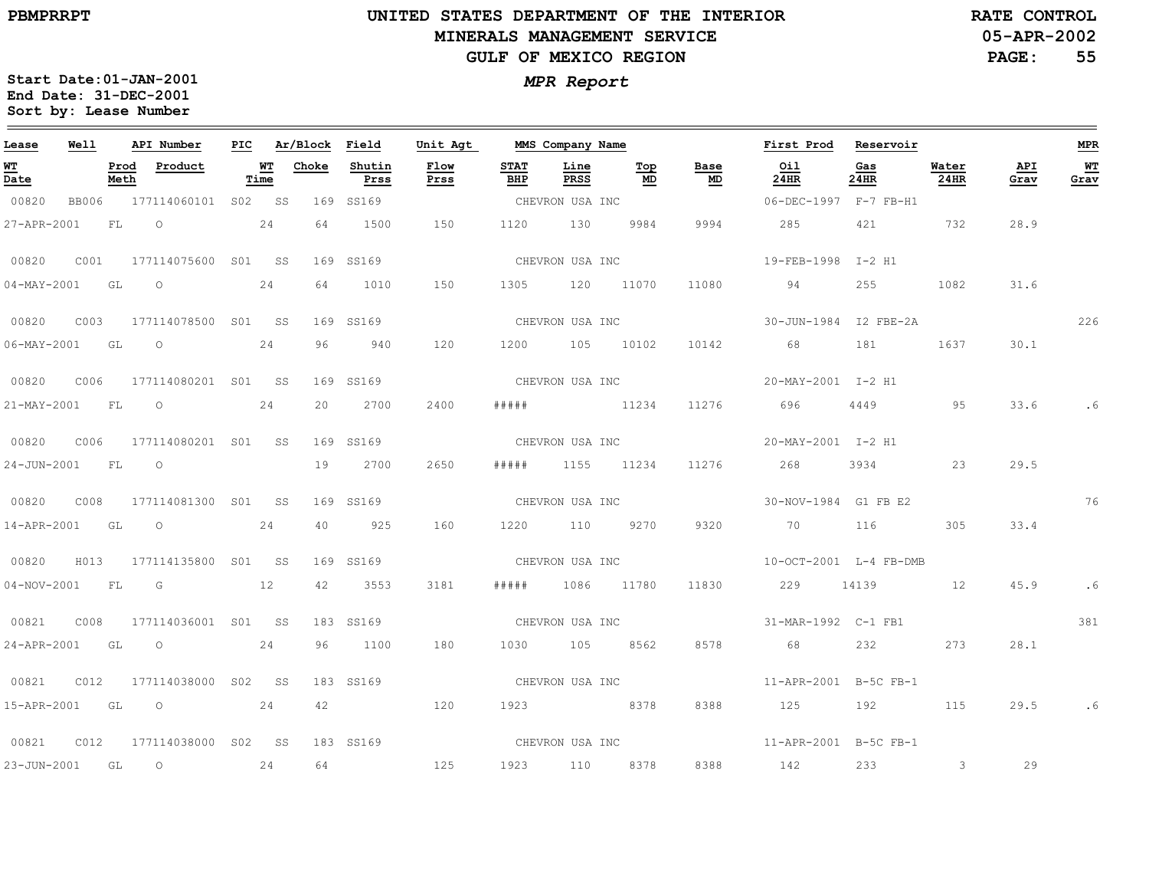# **UNITED STATES DEPARTMENT OF THE INTERIOR MINERALS MANAGEMENT SERVICEGULF OF MEXICO REGION**

**05-APR-2002RATE CONTROL**

**55**

**Start Date:01-JAN-2001** *MPR Report* **End Date: 31-DEC-2001 Sort by: Lease Number** 

| Lease                            | <b>Well</b>      |      | API Number                     |      |                 | PIC Ar/Block Field | Unit Agt     |                    | MMS Company Name |                      |                 | First Prod Reservoir                        |             |                  |             | MPR        |
|----------------------------------|------------------|------|--------------------------------|------|-----------------|--------------------|--------------|--------------------|------------------|----------------------|-----------------|---------------------------------------------|-------------|------------------|-------------|------------|
| WT<br>$\overline{\mathtt{Date}}$ |                  | Meth | Prod Product                   | Time | <b>WT</b> Choke | Shutin<br>Prss     | Flow<br>Prss | <b>STAT</b><br>BHP | Line<br>PRSS     | Тор<br>MD            | Base<br>MD      | Oil<br>24HR                                 | Gas<br>24HR | Water<br>$24$ HR | API<br>Grav | WТ<br>Grav |
| 00820                            |                  |      | BB006 177114060101 S02 SS      |      |                 | 169 SS169          |              | CHEVRON USA INC    |                  |                      |                 | 06-DEC-1997 F-7 FB-H1                       |             |                  |             |            |
| 27-APR-2001                      |                  | FL   | $\circ$ 24                     |      | 64              | 1500               | 150          |                    | 1120 130 9984    |                      | 9994            | 285 286                                     | 421 732     |                  | 28.9        |            |
| 00820                            | C001             |      | 177114075600 S01 SS            |      |                 | 169 SS169          |              |                    |                  |                      |                 | CHEVRON USA INC $19-FEB-1998$ I-2 H1        |             |                  |             |            |
|                                  |                  |      | 04-MAY-2001 GL O 24            |      |                 | 64 1010            | 150          |                    |                  | 1305 120 11070 11080 |                 | 94                                          | 255         | 1082             | 31.6        |            |
| 00820                            |                  |      | C003 177114078500 S01 SS       |      |                 | 169 SS169          |              |                    |                  |                      |                 | CHEVRON USA INC 30-JUN-1984 I2 FBE-2A       |             |                  |             | 226        |
|                                  |                  |      | 06-MAY-2001 GL O 24            |      |                 | 96 940             | 120          |                    | 1200 105 10102   |                      |                 | 10142 68 181 1637                           |             |                  | 30.1        |            |
| 00820                            |                  |      | C006 177114080201 S01 SS       |      |                 | 169 SS169          |              |                    |                  |                      | CHEVRON USA INC | 20-MAY-2001 I-2 H1                          |             |                  |             |            |
|                                  | 21-MAY-2001 FL   |      | $\overline{O}$<br>24           |      | 20              | 2700               | 2400         | # # # # #          |                  |                      | 11234 11276 696 |                                             | 4449        | 95               | 33.6        | . 6        |
|                                  |                  |      |                                |      |                 | 169 SS169          |              |                    |                  |                      | CHEVRON USA INC | 20-MAY-2001 I-2 H1                          |             |                  |             |            |
|                                  | 24-JUN-2001 FL O |      |                                |      |                 | 19 2700            | 2650         |                    | ##### 1155 11234 |                      |                 | 11276 268                                   | 3934 23     |                  | 29.5        |            |
| 00820                            |                  |      | C008 177114081300 S01 SS       |      |                 | 169 SS169          |              |                    | CHEVRON USA INC  |                      |                 | 30-NOV-1984 G1 FB E2                        |             |                  |             | 76         |
|                                  | 14-APR-2001 GL O |      |                                | 24   | 40              | 925                | 160          |                    | 1220 110 9270    |                      | 9320            | 70 116 305                                  |             |                  | 33.4        |            |
|                                  |                  |      | 00820 H013 177114135800 S01 SS |      |                 | 169 SS169          |              |                    |                  |                      | CHEVRON USA INC | 10-OCT-2001 L-4 FB-DMB                      |             |                  |             |            |
|                                  |                  |      | 04-NOV-2001 FL G 12            |      |                 | 42 3553            | 3181         |                    | ##### 1086 11780 |                      | 11830           | 229 14139 12                                |             |                  | 45.9        | . 6        |
| 00821                            | C008             |      | 177114036001 S01 SS            |      |                 | 183 SS169          |              |                    |                  |                      |                 |                                             |             |                  |             | 381        |
|                                  | 24-APR-2001 GL   |      | $\overline{O}$                 | 24   | 96              | 1100               | 180          |                    | 1030 105 8562    |                      |                 | 8578 68                                     | 232         | 273              | 28.1        |            |
| 00821                            |                  |      | C012 177114038000 S02 SS       |      |                 | 183 SS169          |              |                    |                  |                      |                 | CHEVRON USA INC $11-APR-2001$ B-5C FB-1     |             |                  |             |            |
|                                  |                  |      | 15-APR-2001 GL O 24            |      |                 | 42 120             |              |                    | 1923 8378        |                      | 8388            | 125 192                                     |             | 115              | 29.5        | . 6        |
| 00821                            |                  |      | C012 177114038000 S02 SS       |      |                 | 183 SS169          |              |                    |                  |                      |                 | CHEVRON USA INC $11 - APR - 2001$ B-5C FB-1 |             |                  |             |            |
|                                  | 23-JUN-2001 GL   |      | $\overline{O}$<br>24           |      | 64              |                    | 125          | 1923 110 8378      |                  |                      |                 | 8388 142                                    | 233         | $3 \t 29$        |             |            |

**PAGE:**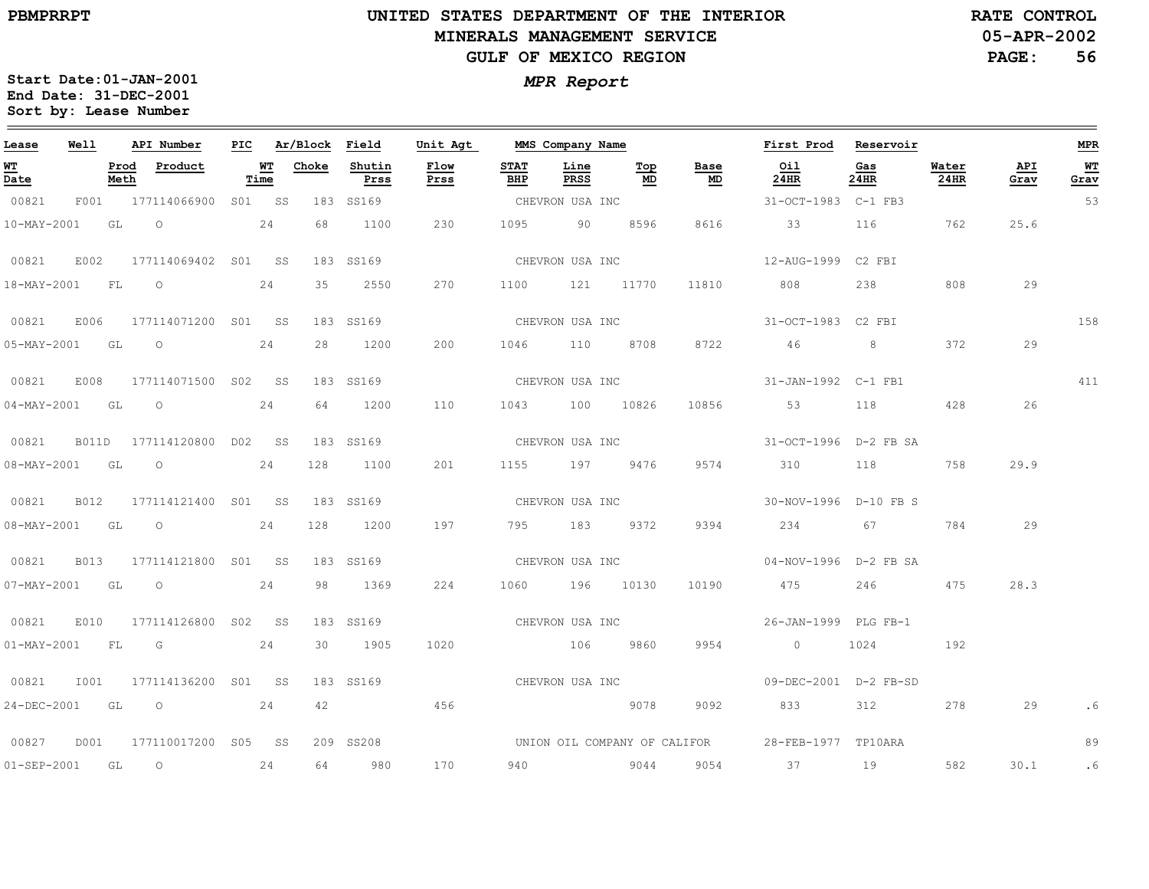# **UNITED STATES DEPARTMENT OF THE INTERIOR MINERALS MANAGEMENT SERVICEGULF OF MEXICO REGION**

**05-APR-2002RATE CONTROL**

**PAGE:56**

| Lease             | Well |              | API Number                | PIC |            | Ar/Block | Field          | Unit Agt        |                    | MMS Company Name                                                                                              |                                  |                                   | First Prod            | Reservoir   |               |             | MPR        |
|-------------------|------|--------------|---------------------------|-----|------------|----------|----------------|-----------------|--------------------|---------------------------------------------------------------------------------------------------------------|----------------------------------|-----------------------------------|-----------------------|-------------|---------------|-------------|------------|
| <u>WT</u><br>Date |      | Prod<br>Meth | Product                   |     | WТ<br>Time | Choke    | Shutin<br>Prss | Flow<br>Prss    | <b>STAT</b><br>BHP | Line<br>PRSS                                                                                                  | Top<br>$\underline{\mathsf{MD}}$ | Base<br>$\underline{\mathsf{MD}}$ | Oil<br>24HR           | Gas<br>24HR | Water<br>24HR | API<br>Grav | WT<br>Grav |
| 00821             | F001 |              | 177114066900              |     | S01 SS     |          | 183 SS169      |                 |                    | CHEVRON USA INC                                                                                               |                                  |                                   | 31-OCT-1983 C-1 FB3   |             |               |             | 53         |
| $10 - MAX - 2001$ |      | GL           | $\circ$                   |     | 24         | 68       | 1100           | 230             | 1095               | 90                                                                                                            | 8596                             | 8616                              | 33                    | 116         | 762           | 25.6        |            |
| 00821             | E002 |              | 177114069402 S01 SS       |     |            |          | 183 SS169      |                 |                    | CHEVRON USA INC                                                                                               |                                  |                                   | 12-AUG-1999 C2 FBI    |             |               |             |            |
| 18-MAY-2001       |      | FL           | $\circ$                   |     | 24         | 35       | 2550           | 270             | 1100               |                                                                                                               | 121 11770                        | 11810                             | 808                   | 238         | 808           | 29          |            |
| 00821             | E006 |              | 177114071200 S01 SS       |     |            |          | 183 SS169      |                 |                    | CHEVRON USA INC                                                                                               |                                  |                                   | 31-OCT-1983 C2 FBI    |             |               |             | 158        |
| $05 - MAX - 2001$ |      | GL           | $\circ$                   |     | 24         | 28       | 1200           | 200             | 1046               | 110                                                                                                           | 8708                             | 8722                              | 46                    | 8           | 372           | 29          |            |
| 00821             | E008 |              | 177114071500 S02 SS       |     |            |          | 183 SS169      | CHEVRON USA INC |                    |                                                                                                               |                                  |                                   | 31-JAN-1992 C-1 FB1   |             |               |             | 411        |
| $04 - MAX - 2001$ |      | GL           | $\circ$                   |     | 24         | 64       | 1200           | 110             | 1043               |                                                                                                               | 100 10826                        | 10856                             | 53                    | 118         | 428           | 26          |            |
| 00821             |      |              | B011D 177114120800 D02 SS |     |            |          | 183 SS169      |                 |                    | CHEVRON USA INC                                                                                               |                                  |                                   | 31-OCT-1996 D-2 FB SA |             |               |             |            |
| 08-MAY-2001 GL    |      |              | $\circ$                   |     | 24         | 128      | 1100           | 201             | 1155               | 197 9476                                                                                                      |                                  | 9574                              | 310                   | 118         | 758           | 29.9        |            |
| 00821             | B012 |              | 177114121400 S01 SS       |     |            |          | 183 SS169      | CHEVRON USA INC |                    |                                                                                                               |                                  |                                   | 30-NOV-1996 D-10 FB S |             |               |             |            |
| 08-MAY-2001       |      | GL           | $\circ$                   |     | 24         | 128      | 1200           | 197             | 795 —              | 183                                                                                                           | 9372                             | 9394                              | 234                   | 67          | 784           | 29          |            |
| 00821             | B013 |              | 177114121800 S01 SS       |     |            |          | 183 SS169      |                 |                    | CHEVRON USA INC                                                                                               |                                  |                                   | 04-NOV-1996 D-2 FB SA |             |               |             |            |
| $07 - MAX - 2001$ |      | GL           | $\overline{O}$            |     | 24         | 98       | 1369           | 224             |                    | 1060 196 10130                                                                                                |                                  | 10190                             | 475                   | 246         | 475           | 28.3        |            |
| 00821             | E010 |              | 177114126800 S02 SS       |     |            |          | 183 SS169      | CHEVRON USA INC |                    |                                                                                                               |                                  |                                   | 26-JAN-1999 PLG FB-1  |             |               |             |            |
| $01 - MAX - 2001$ |      | FL           | G                         |     | 24         | 30       | 1905           | 1020            |                    | 106                                                                                                           | 9860                             | 9954                              | $\overline{0}$        | 1024        | 192           |             |            |
| 00821             | I001 |              | 177114136200 S01 SS       |     |            |          | 183 SS169      |                 |                    | CHEVRON USA INC                                                                                               |                                  |                                   | 09-DEC-2001 D-2 FB-SD |             |               |             |            |
| 24-DEC-2001       |      | GL           | $\circ$                   |     | 24         | 42       |                | 456             |                    | 20078 - 20078 - 20078 - 20178 - 20178 - 20178 - 20178 - 20178 - 20178 - 20178 - 20178 - 20178 - 20178 - 20178 |                                  | 9092                              | 833                   | 312         | 278           | 29          | . 6        |
| 00827             | D001 |              | 177110017200 S05 SS       |     |            |          | 209 SS208      |                 |                    |                                                                                                               |                                  | UNION OIL COMPANY OF CALIFOR      | 28-FEB-1977 TP10ARA   |             |               |             | 89         |
| $01 - SEP - 2001$ |      | GL           | $\circ$                   |     | 24         | 64       | 980            | 170             |                    | 940 9044                                                                                                      |                                  | 9054                              | 37                    | 19          | 582           | 30.1        | $\cdot$ 6  |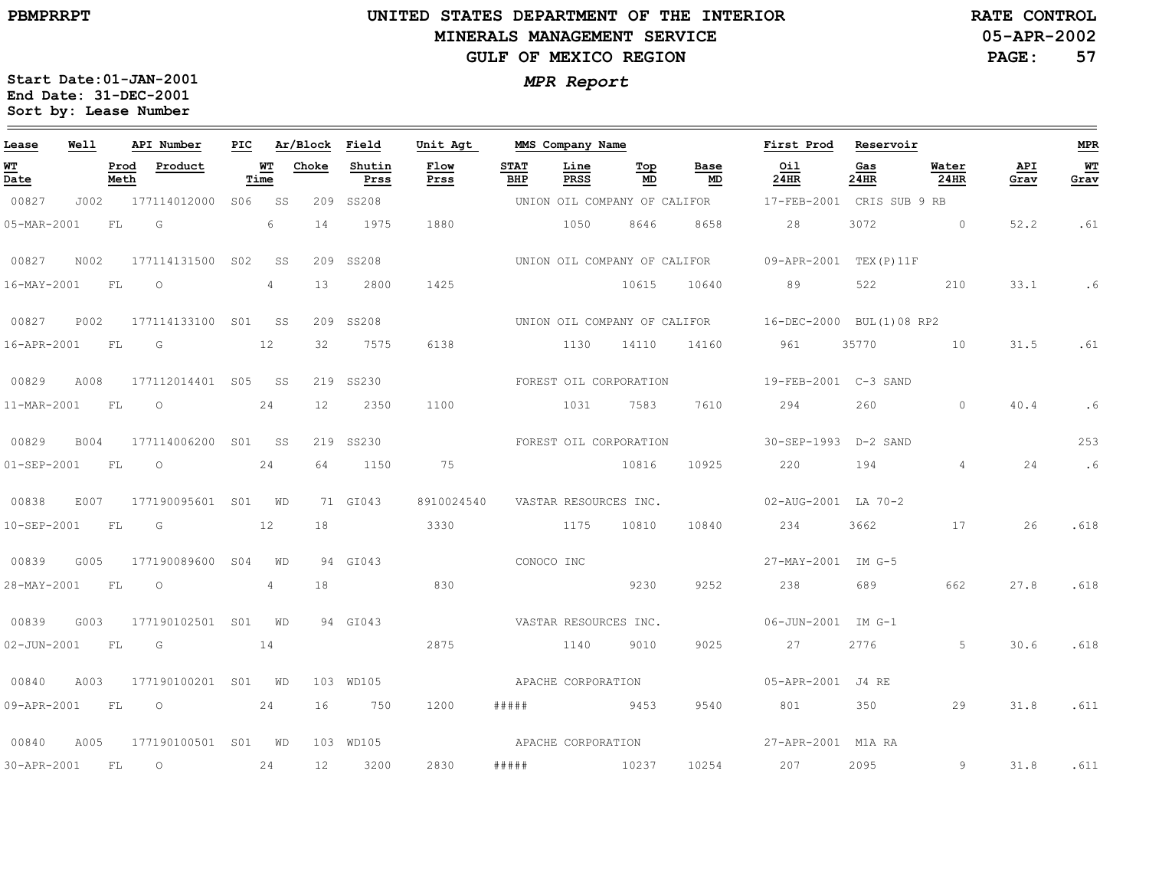# **UNITED STATES DEPARTMENT OF THE INTERIOR MINERALS MANAGEMENT SERVICEGULF OF MEXICO REGION**

**05-APR-2002RATE CONTROL**

**PAGE:57**

| Lease             | Well |              | API Number          | PIC             |                   | Ar/Block | Field          | Unit Agt              |                    | MMS Company Name       |                              |            | First Prod                                            | Reservoir     |                |             | <b>MPR</b>   |
|-------------------|------|--------------|---------------------|-----------------|-------------------|----------|----------------|-----------------------|--------------------|------------------------|------------------------------|------------|-------------------------------------------------------|---------------|----------------|-------------|--------------|
| <u>WТ</u><br>Date |      | Prod<br>Meth | Product             |                 | <b>WT</b><br>Time | Choke    | Shutin<br>Prss | Flow<br>Prss          | <b>STAT</b><br>BHP | Line<br>PRSS           | Тор<br>MD                    | Base<br>MD | Oil<br>24HR                                           | Gas<br>24HR   | Water<br>24HR  | API<br>Grav | $WT$<br>Grav |
| 00827             | J002 |              | 177114012000        | S06             | SS                | 209      | SS208          |                       |                    |                        | UNION OIL COMPANY OF CALIFOR |            | 17-FEB-2001                                           | CRIS SUB 9 RB |                |             |              |
| 05-MAR-2001       |      | FL           | G                   |                 | 6                 | 14       | 1975           | 1880                  |                    | 1050                   | 8646                         | 8658       | 28                                                    | 3072          | $\circ$        | 52.2        | .61          |
| 00827             | N002 |              | 177114131500        | S02             | SS                |          | 209 SS208      |                       |                    |                        |                              |            | UNION OIL COMPANY OF CALIFOR 09-APR-2001 TEX(P)11F    |               |                |             |              |
| 16-MAY-2001       |      | FL           | $\circ$             |                 | $\overline{4}$    | 13       | 2800           | 1425                  |                    |                        | 10615                        | 10640      | 89                                                    | 522           | 210            | 33.1        | .6           |
| 00827             | P002 |              | 177114133100 S01    |                 | SS                |          | 209 SS208      |                       |                    |                        |                              |            | UNION OIL COMPANY OF CALIFOR 16-DEC-2000 BUL(1)08 RP2 |               |                |             |              |
| 16-APR-2001       |      | FL           | G                   |                 | 12                | 32       | 7575           | 6138                  |                    | 1130                   | 14110                        | 14160      | 961                                                   | 35770         | 10             | 31.5        | .61          |
| 00829             | A008 |              | 177112014401 S05    |                 | SS                |          | 219 SS230      |                       |                    |                        | FOREST OIL CORPORATION       |            | 19-FEB-2001 C-3 SAND                                  |               |                |             |              |
| 11-MAR-2001       |      | FL           | $\circ$             |                 | 24                | 12       | 2350           | 1100                  |                    | 1031                   | 7583                         | 7610       | 294                                                   | 260           | $\Omega$       | 40.4        | .6           |
| 00829             | B004 |              | 177114006200        |                 | S01 SS            |          | 219 SS230      |                       |                    | FOREST OIL CORPORATION |                              |            | 30-SEP-1993 D-2 SAND                                  |               |                |             | 253          |
| 01-SEP-2001       |      | FL           | $\circ$             |                 | 24                | 64       | 1150           | 75                    |                    |                        | 10816                        | 10925      | 220                                                   | 194           | $\overline{4}$ | 24          | .6           |
| 00838             | E007 |              | 177190095601 S01    |                 | WD                |          | 71 GI043       | 8910024540            |                    | VASTAR RESOURCES INC.  |                              |            | 02-AUG-2001 LA 70-2                                   |               |                |             |              |
| 10-SEP-2001       |      | FL           | G                   |                 | 12                | 18       |                | 3330                  |                    | 1175                   | 10810                        | 10840      | 234                                                   | 3662          | 17             | 26          | .618         |
| 00839             | G005 |              | 177190089600        | S <sub>04</sub> | WD                |          | 94 GI043       |                       |                    | CONOCO INC             |                              |            | 27-MAY-2001 IM G-5                                    |               |                |             |              |
| 28-MAY-2001       |      | - FL         | $\Omega$            |                 | 4                 | 18       |                | 830                   |                    |                        | 9230                         | 9252       | 238                                                   | 689           | 662            | 27.8        | .618         |
| 00839             | G003 |              | 177190102501 S01    |                 | WD                |          | 94 GI043       | VASTAR RESOURCES INC. |                    |                        |                              |            | 06-JUN-2001 IM G-1                                    |               |                |             |              |
| 02-JUN-2001       |      | FL           | G                   |                 | 14                |          |                | 2875                  |                    | 1140                   | 9010                         | 9025       | 27                                                    | 2776          | 5              | 30.6        | .618         |
| 00840             | A003 |              | 177190100201 S01 WD |                 |                   |          | 103 WD105      |                       |                    | APACHE CORPORATION     |                              |            | 05-APR-2001 J4 RE                                     |               |                |             |              |
| 09-APR-2001       |      | FL           | $\circ$             |                 | 24                | 16       | 750            | 1200                  | #####              | 9453                   |                              | 9540       | 801 - 10                                              | 350           | 29             | 31.8        | .611         |
| 00840             | A005 |              | 177190100501 S01 WD |                 |                   |          | 103 WD105      |                       |                    | APACHE CORPORATION     |                              |            | 27-APR-2001 M1A RA                                    |               |                |             |              |
| 30-APR-2001       |      | FL           | $\circ$             |                 | 24                | 12       | 3200           | 2830                  | # # # # #          | 10237                  |                              | 10254      | 207                                                   | 2095          | 9              | 31.8        | .611         |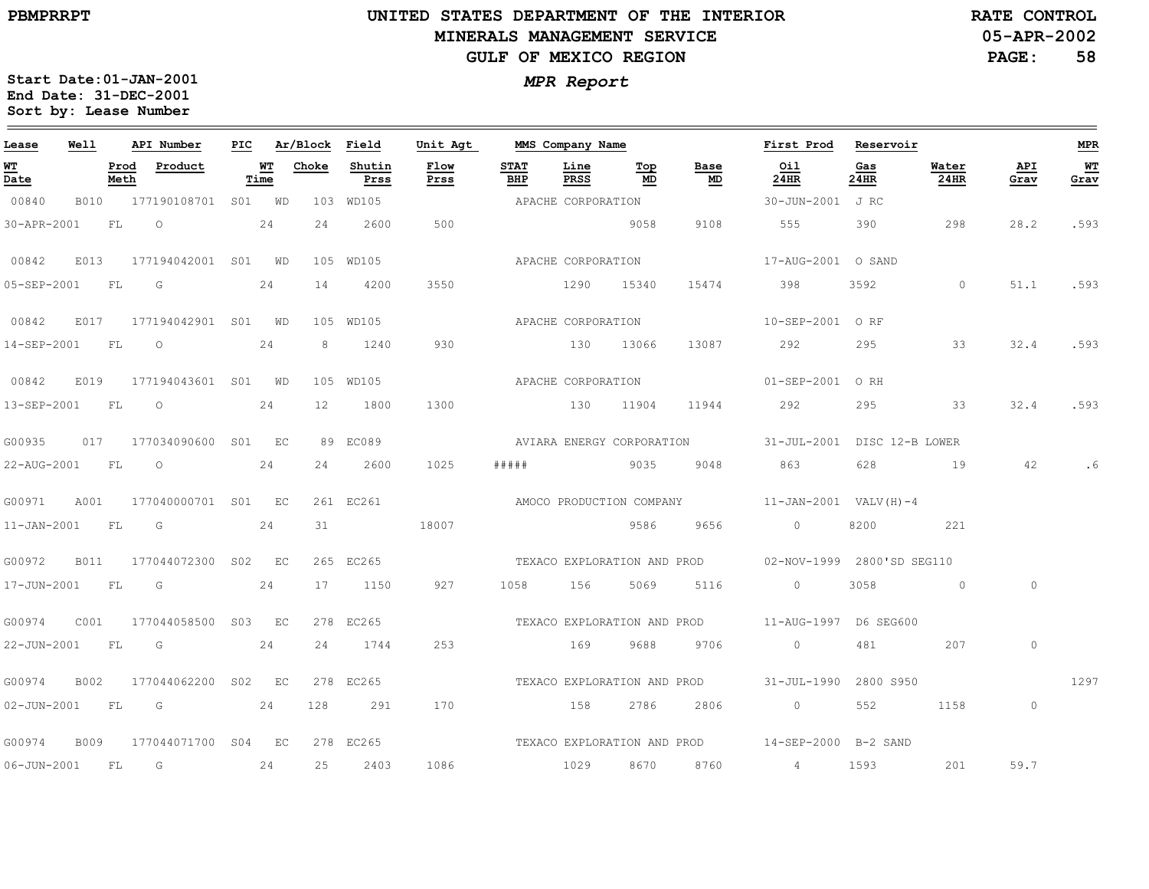# **UNITED STATES DEPARTMENT OF THE INTERIOR MINERALS MANAGEMENT SERVICEGULF OF MEXICO REGION**

**05-APR-2002RATE CONTROL**

**PAGE:58**

| Lease             | Well |              | API Number               |                   | PIC Ar/Block Field |                | Unit Agt     |                    | MMS Company Name   |           |                                   | First Prod Reservoir                                                                                                                                                                                                                                                                                                               |             |                          |             | MPR        |
|-------------------|------|--------------|--------------------------|-------------------|--------------------|----------------|--------------|--------------------|--------------------|-----------|-----------------------------------|------------------------------------------------------------------------------------------------------------------------------------------------------------------------------------------------------------------------------------------------------------------------------------------------------------------------------------|-------------|--------------------------|-------------|------------|
| <u>WT</u><br>Date |      | Prod<br>Meth | Product                  | <b>WT</b><br>Time | Choke              | Shutin<br>Prss | Flow<br>Prss | <b>STAT</b><br>BHP | Line<br>PRSS       | Top<br>MD | Base<br>$\underline{\mathsf{MD}}$ | Oil<br>24HR                                                                                                                                                                                                                                                                                                                        | Gas<br>24HR | Water<br>24HR            | API<br>Grav | WТ<br>Grav |
| 00840             |      |              | B010 177190108701 S01 WD |                   |                    | 103 WD105      |              | APACHE CORPORATION |                    |           |                                   | 30-JUN-2001 J RC                                                                                                                                                                                                                                                                                                                   |             |                          |             |            |
| 30-APR-2001       |      | <b>FL</b>    | $\circ$                  | 24                | 2.4                | 2600           | 500          |                    |                    | 9058      | 9108                              | 555                                                                                                                                                                                                                                                                                                                                | 390         | 298                      | 28.2        | .593       |
| 00842             | E013 |              | 177194042001 S01 WD      |                   |                    | 105 WD105      |              | APACHE CORPORATION |                    |           |                                   | 17-AUG-2001 O SAND                                                                                                                                                                                                                                                                                                                 |             |                          |             |            |
| 05-SEP-2001       |      | FL           | G                        | 24                | 14                 | 4200           | 3550         |                    | 1290               | 15340     | 15474                             | 398                                                                                                                                                                                                                                                                                                                                | 3592        | $\overline{0}$           | 51.1        | .593       |
| 00842             | E017 |              | 177194042901 S01 WD      |                   |                    | 105 WD105      |              |                    | APACHE CORPORATION |           |                                   | 10-SEP-2001 ORF                                                                                                                                                                                                                                                                                                                    |             |                          |             |            |
| 14-SEP-2001 FL    |      |              | $\circ$                  | 24                | 8                  | 1240           | 930          |                    | 130 13066          |           | 13087                             | 292                                                                                                                                                                                                                                                                                                                                | 295         | 33                       | 32.4        | .593       |
| 00842             | E019 |              | 177194043601 S01 WD      |                   |                    | 105 WD105      |              |                    | APACHE CORPORATION |           |                                   | 01-SEP-2001 ORH                                                                                                                                                                                                                                                                                                                    |             |                          |             |            |
| 13-SEP-2001       |      | <b>FL</b>    | $\circ$                  | 24                | 12                 | 1800           | 1300         |                    | 130                | 11904     | 11944                             | 292                                                                                                                                                                                                                                                                                                                                | 295         | 33                       | 32.4        | .593       |
| G00935            |      |              | 017 177034090600 S01 EC  |                   |                    | 89 EC089       |              |                    |                    |           | AVIARA ENERGY CORPORATION         | 31-JUL-2001 DISC 12-B LOWER                                                                                                                                                                                                                                                                                                        |             |                          |             |            |
| 22-AUG-2001 FL    |      |              | $\overline{O}$           | 24                | 24                 | 2600           | 1025         | #####              | 9035               |           | 9048                              |                                                                                                                                                                                                                                                                                                                                    | 628         | 19                       | 42          |            |
| G00971            | A001 |              | 177040000701 S01 EC      |                   |                    | 261 EC261      |              |                    |                    |           |                                   | AMOCO PRODUCTION COMPANY 11-JAN-2001 VALV(H)-4                                                                                                                                                                                                                                                                                     |             |                          |             |            |
| $11 - JAN - 2001$ |      | FL           | $\overline{G}$           | 24                | 31                 |                | 18007        |                    |                    | 9586      | 9656                              | $\sim$ 0                                                                                                                                                                                                                                                                                                                           | 8200        | 221                      |             |            |
| G00972            | B011 |              | 177044072300 S02 EC      |                   |                    | 265 EC265      |              |                    |                    |           | TEXACO EXPLORATION AND PROD       | 02-NOV-1999 2800'SD SEG110                                                                                                                                                                                                                                                                                                         |             |                          |             |            |
| 17-JUN-2001       |      | FL           | $\overline{\mathsf{G}}$  | 24                |                    | 17 1150        | 927          | 1058               | 156                | 5069      | 5116                              | $\overline{0}$                                                                                                                                                                                                                                                                                                                     | 3058        | $\sim$ 0 $\sim$ 0 $\sim$ | $\circ$     |            |
| G00974            | C001 |              | 177044058500 S03 EC      |                   |                    | 278 EC265      |              |                    |                    |           |                                   | TEXACO EXPLORATION AND PROD 11-AUG-1997 D6 SEG600                                                                                                                                                                                                                                                                                  |             |                          |             |            |
| 22-JUN-2001 FL    |      |              | G                        | 24                | 24                 | 1744           | 253          |                    | 169                | 9688      | 9706                              | $\overline{0}$ and $\overline{0}$ and $\overline{0}$ and $\overline{0}$ and $\overline{0}$ and $\overline{0}$ and $\overline{0}$ and $\overline{0}$ and $\overline{0}$ and $\overline{0}$ and $\overline{0}$ and $\overline{0}$ and $\overline{0}$ and $\overline{0}$ and $\overline{0}$ and $\overline{0}$ and $\overline{0}$ and | 481         | 207                      | $\circ$     |            |
| G00974            | B002 |              | 177044062200 S02 EC      |                   |                    | 278 EC265      |              |                    |                    |           |                                   | TEXACO EXPLORATION AND PROD 31-JUL-1990 2800 S950                                                                                                                                                                                                                                                                                  |             |                          |             | 1297       |
| 02-JUN-2001 FL G  |      |              | 24                       |                   | 128                | 291            | 170          |                    | 158                |           | 2786 2806                         | $\overline{0}$                                                                                                                                                                                                                                                                                                                     | 552         | 1158                     | $\circ$     |            |
| G00974            | B009 |              | 177044071700 S04 EC      |                   |                    | 278 EC265      |              |                    |                    |           |                                   | TEXACO EXPLORATION AND PROD 14-SEP-2000 B-2 SAND                                                                                                                                                                                                                                                                                   |             |                          |             |            |
| 06-JUN-2001 FL    |      |              | G                        | 24                | 25                 | 2403           | 1086         |                    | 1029 8670          |           | 8760                              | $4\overline{4}$                                                                                                                                                                                                                                                                                                                    | 1593        | 201                      | 59.7        |            |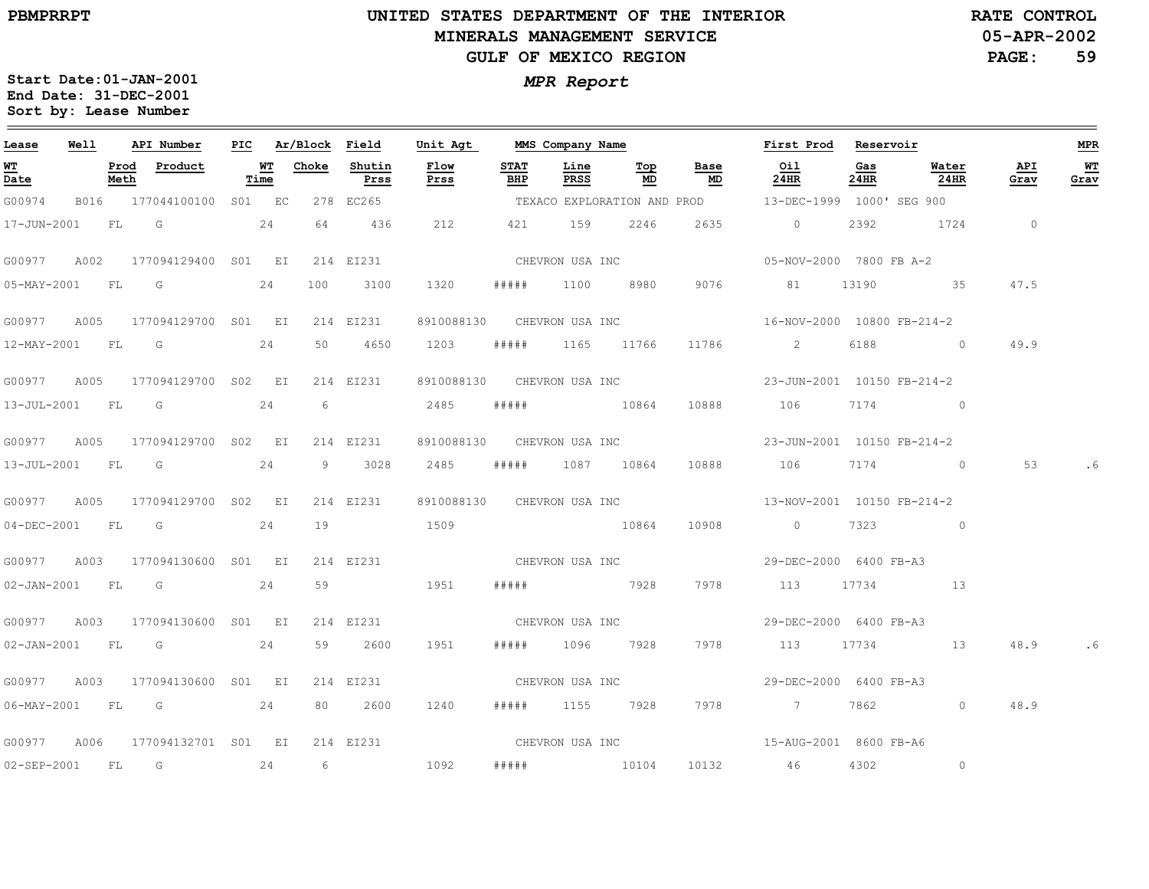$\equiv$ 

# **UNITED STATES DEPARTMENT OF THE INTERIOR MINERALS MANAGEMENT SERVICEGULF OF MEXICO REGION**

**05-APR-2002PAGE: 59 RATE CONTROL**

| Lease            | Well |      | API Number                      | PIC |            | Ar/Block Field |                | Unit Agt                   |                    |                 | MMS Company Name |                 | First Prod                                             | Reservoir   |                  |             | MPR        |
|------------------|------|------|---------------------------------|-----|------------|----------------|----------------|----------------------------|--------------------|-----------------|------------------|-----------------|--------------------------------------------------------|-------------|------------------|-------------|------------|
| WT<br>Date       |      | Meth | Prod Product                    |     | WT<br>Time | Choke          | Shutin<br>Prss | Flow<br>Prss               | <b>STAT</b><br>BHP | Line<br>PRSS    | Top<br>MD        | Base<br>MD      | Oil<br>24HR                                            | Gas<br>24HR | Water<br>$24$ HR | API<br>Grav | WT<br>Grav |
| G00974           |      |      | B016 177044100100 S01 EC        |     |            |                | 278 EC265      |                            |                    |                 |                  |                 | TEXACO EXPLORATION AND PROD  13-DEC-1999 1000' SEG 900 |             |                  |             |            |
|                  |      |      | 17-JUN-2001 FL G                |     | 24         | 64             | 436            | 212                        |                    | 421 159         | 2246             | 2635            | $\overline{0}$                                         | 2392        | 1724             | $\sim$ 0    |            |
| G00977           | A002 |      | 177094129400 S01 EI             |     |            |                | 214 EI231      |                            |                    | CHEVRON USA INC |                  |                 | 05-NOV-2000 7800 FB A-2                                |             |                  |             |            |
| 05-MAY-2001 FL G |      |      |                                 |     | 24         | 100            | 3100           | 1320                       | # # # # #          |                 | 1100 8980        | 9076            | 81                                                     | 13190       | 35               | 47.5        |            |
|                  |      |      | G00977 A005 177094129700 S01 EI |     |            |                | 214 EI231      | 8910088130 CHEVRON USA INC |                    |                 |                  |                 | 16-NOV-2000 10800 FB-214-2                             |             |                  |             |            |
|                  |      |      | 12-MAY-2001 FL G 24             |     |            | 50             | 4650           | 1203                       |                    |                 | ##### 1165 11766 |                 | 11786 2                                                |             | 6188 0           | 49.9        |            |
| G00977           | A005 |      | 177094129700 S02 EI             |     |            |                | 214 EI231      |                            |                    |                 |                  |                 | 8910088130 CHEVRON USA INC 23-JUN-2001 10150 FB-214-2  |             |                  |             |            |
| 13-JUL-2001 FL G |      |      |                                 |     | 24         | 6              |                | 2485                       |                    |                 | ##### 10864      | 10888           | 106                                                    |             | 7174 0           |             |            |
|                  |      |      | G00977 A005 177094129700 S02 EI |     |            |                | 214 EI231      |                            |                    |                 |                  |                 | 8910088130 CHEVRON USA INC 23-JUN-2001 10150 FB-214-2  |             |                  |             |            |
|                  |      |      | 13-JUL-2001 FL G 24             |     |            |                | 9 3028         | 2485                       | #####              |                 | 1087 10864       | 10888           | 106 7174 0                                             |             |                  | 53          |            |
| G00977           | A005 |      | 177094129700 S02 EI             |     |            |                | 214 EI231      |                            |                    |                 |                  |                 | 8910088130 CHEVRON USA INC 13-NOV-2001 10150 FB-214-2  |             |                  |             |            |
|                  |      |      | 04-DEC-2001 FL G                |     | 24         | 19             |                | 1509                       |                    |                 | 10864            | 10908           | $\overline{0}$                                         |             | 7323 0           |             |            |
|                  |      |      | G00977 A003 177094130600 S01 EI |     |            |                | 214 EI231      |                            |                    |                 |                  | CHEVRON USA INC | 29-DEC-2000 6400 FB-A3                                 |             |                  |             |            |
|                  |      |      | 02-JAN-2001 FL G 24             |     |            |                | 59             | 1951                       |                    |                 | ##### 7928 7978  |                 | 113 17734 13                                           |             |                  |             |            |
|                  |      |      | G00977 A003 177094130600 S01 EI |     |            |                | 214 EI231      |                            |                    |                 |                  |                 | CHEVRON USA INC 29-DEC-2000 6400 FB-A3                 |             |                  |             |            |
|                  |      |      | 02-JAN-2001 FL G 24             |     |            | 59             | 2600           | 1951                       | # # # # #          | 1096 7928       |                  | 7978            | 113 17734                                              |             | 13               | 48.9        |            |
| G00977           | A003 |      | 177094130600 S01 EI             |     |            |                | 214 EI231      |                            |                    | CHEVRON USA INC |                  |                 | 29-DEC-2000 6400 FB-A3                                 |             |                  |             |            |
| 06-MAY-2001 FL G |      |      | 24                              |     |            | 80             | 2600           | 1240                       | # # # # #          |                 | 1155 7928        |                 | 7978 7                                                 | 7862        | $\circ$          | 48.9        |            |
|                  |      |      | G00977 A006 177094132701 S01 EI |     |            |                | 214 EI231      |                            |                    |                 |                  |                 | CHEVRON USA INC<br>15-AUG-2001 8600 FB-A6              |             |                  |             |            |
| 02-SEP-2001 FL   |      |      | G                               |     | 24         | 6              |                | 1092                       | # # # # #          |                 | 10104            |                 | 10132 46                                               | 4302        | $\circledcirc$   |             |            |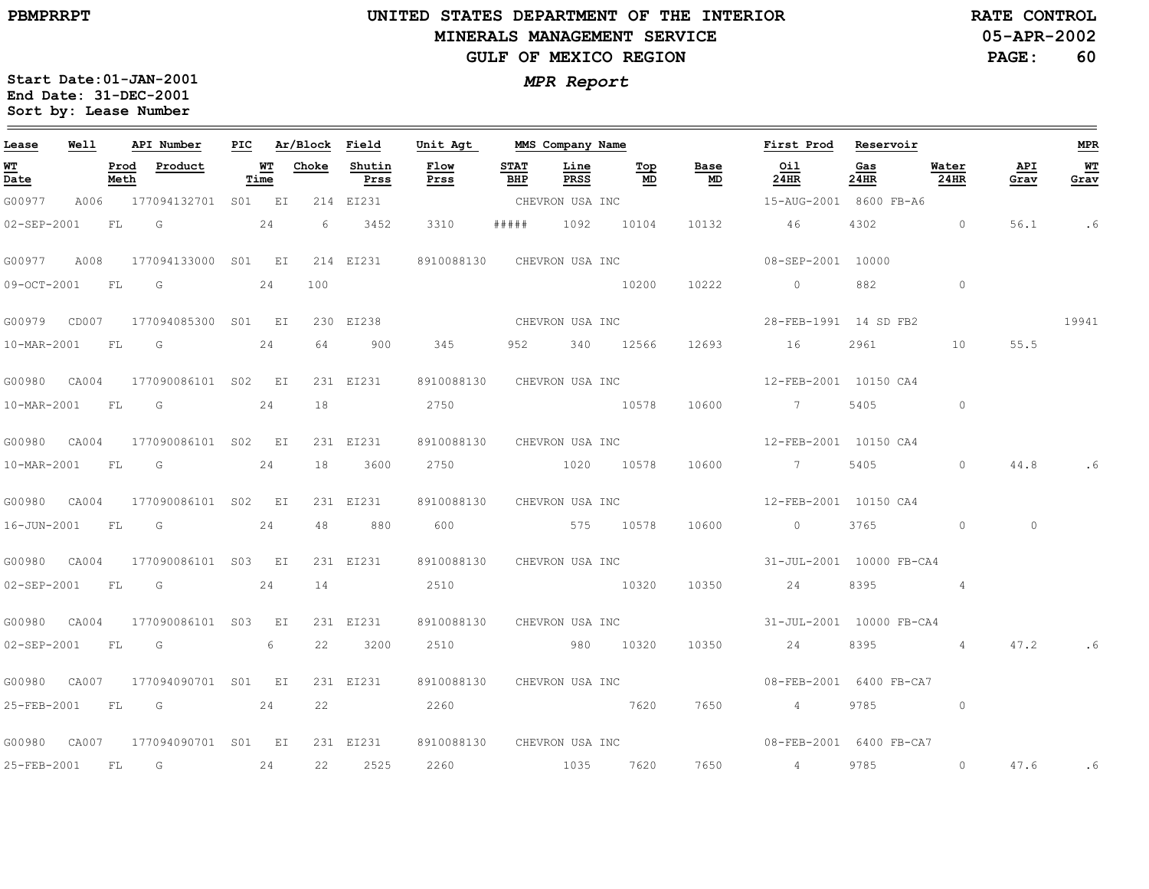# **UNITED STATES DEPARTMENT OF THE INTERIOR MINERALS MANAGEMENT SERVICEGULF OF MEXICO REGION**

**05-APR-2002PAGE: 60 RATE CONTROL**

| Lease       | Well             |              | API Number                                                                           |      | PIC Ar/Block Field |                | Unit Agt                   | MMS Company Name           |              |               |            | First Prod Reservoir                                |             |                 |             | <b>MPR</b> |
|-------------|------------------|--------------|--------------------------------------------------------------------------------------|------|--------------------|----------------|----------------------------|----------------------------|--------------|---------------|------------|-----------------------------------------------------|-------------|-----------------|-------------|------------|
| WT<br>Date  |                  | Prod<br>Meth | Product                                                                              | Time | <b>WT</b> Choke    | Shutin<br>Prss | Flow<br>Prss               | <b>STAT</b><br>BHP         | Line<br>PRSS | Тор<br>MD     | Base<br>MD | Oil<br>24HR                                         | Gas<br>24HR | Water<br>24HR   | API<br>Grav | WТ<br>Grav |
| G00977      |                  |              | A006 177094132701 S01 EI                                                             |      |                    | 214 EI231      |                            | CHEVRON USA INC            |              |               |            | 15-AUG-2001 8600 FB-A6                              |             |                 |             |            |
| 02-SEP-2001 |                  |              | FL G                                                                                 | 24   | - 6                | 3452           | 3310                       | # # # # #                  |              | 1092 10104    | 10132      | 46                                                  | 4302        | $\overline{0}$  | 56.1        | . 6        |
|             |                  |              | G00977 A008 177094133000 S01 EI 214 EI231                                            |      |                    |                | 8910088130 CHEVRON USA INC |                            |              |               |            | 08-SEP-2001 10000                                   |             |                 |             |            |
| 09-OCT-2001 |                  |              | FL G                                                                                 | 24   | 100                |                |                            |                            |              | 10200         | 10222      | $\overline{0}$                                      | 882         | $\sim$ 0        |             |            |
|             |                  |              | G00979        CD007        177094085300        S01        EI        230        EI238 |      |                    |                |                            | CHEVRON USA INC            |              |               |            | 28-FEB-1991 14 SD FB2                               |             |                 |             | 19941      |
|             |                  |              | 10-MAR-2001 FL G 24                                                                  |      |                    | 64 900         | 345                        |                            |              | 952 340 12566 |            | 12693 16                                            | 2961 200    | 10              | 55.5        |            |
|             |                  |              | G00980 CA004 177090086101 S02 EI                                                     |      |                    | 231 EI231      |                            | 8910088130 CHEVRON USA INC |              |               |            | 12-FEB-2001 10150 CA4                               |             |                 |             |            |
| 10-MAR-2001 |                  |              | FL G                                                                                 | 24   | 18                 |                | 2750                       |                            |              | 10578         | 10600      | $\sim$ 7                                            | 5405        | $\circ$         |             |            |
|             |                  |              | G00980 CA004 177090086101 S02 EI                                                     |      |                    | 231 EI231      |                            | 8910088130 CHEVRON USA INC |              |               |            | 12-FEB-2001 10150 CA4                               |             |                 |             |            |
|             |                  |              | 10-MAR-2001 FL G 24                                                                  |      |                    | 18 3600        |                            | 2750 1020 10578            |              |               | 10600      | $\overline{7}$                                      |             | $\Omega$        | 44.8        |            |
|             |                  |              | G00980 CA004 177090086101 S02 EI                                                     |      |                    | 231 EI231      |                            | 8910088130 CHEVRON USA INC |              |               |            | 12-FEB-2001 10150 CA4                               |             |                 |             |            |
|             | 16-JUN-2001 FL G |              |                                                                                      | 24   |                    | 48 880         | 600 575 10578              |                            |              |               | 10600      | $\overline{0}$                                      | 3765        | $\sim$ 0        | $\circ$     |            |
|             |                  |              | G00980 CA004 177090086101 S03 EI                                                     |      |                    | 231 EI231      |                            | 8910088130 CHEVRON USA INC |              |               |            | 31-JUL-2001 10000 FB-CA4                            |             |                 |             |            |
|             |                  |              | 02-SEP-2001 FL G 24                                                                  |      | 14                 |                | 2510                       |                            |              | 10320         | 10350      | 24                                                  |             | 8395 4          |             |            |
|             |                  |              | G00980 CA004 177090086101 S03 EI                                                     |      |                    | 231 EI231      |                            |                            |              |               |            | 8910088130 CHEVRON USA INC 31-JUL-2001 10000 FB-CA4 |             |                 |             |            |
|             | 02-SEP-2001 FL   |              | $\overline{\mathbb{G}}$                                                              | 6    | 22                 | 3200           |                            | 2510 980 10320             |              |               | 10350      | 24                                                  | 8395        | $4\overline{4}$ | 47.2        | . 6        |
|             |                  |              | G00980 CA007 177094090701 S01 EI                                                     |      |                    | 231 EI231      |                            |                            |              |               |            | 8910088130 CHEVRON USA INC 08-FEB-2001 6400 FB-CA7  |             |                 |             |            |
|             |                  |              | 25-FEB-2001 FL G 24                                                                  |      |                    | 22 and $\sim$  | 2260                       |                            |              | 7620          | 7650       | $4\overline{ }$                                     |             | 9785 0          |             |            |
|             |                  |              | G00980 CA007 177094090701 S01 EI                                                     |      |                    | 231 EI231      |                            |                            |              |               |            | 8910088130 CHEVRON USA INC 08-FEB-2001 6400 FB-CA7  |             |                 |             |            |
| 25-FEB-2001 |                  |              | $FL$ G 24                                                                            |      |                    | 22 2525        | 2260 1035 7620             |                            |              |               |            | 7650 4                                              | 9785        | $\overline{0}$  | 47.6        | . 6        |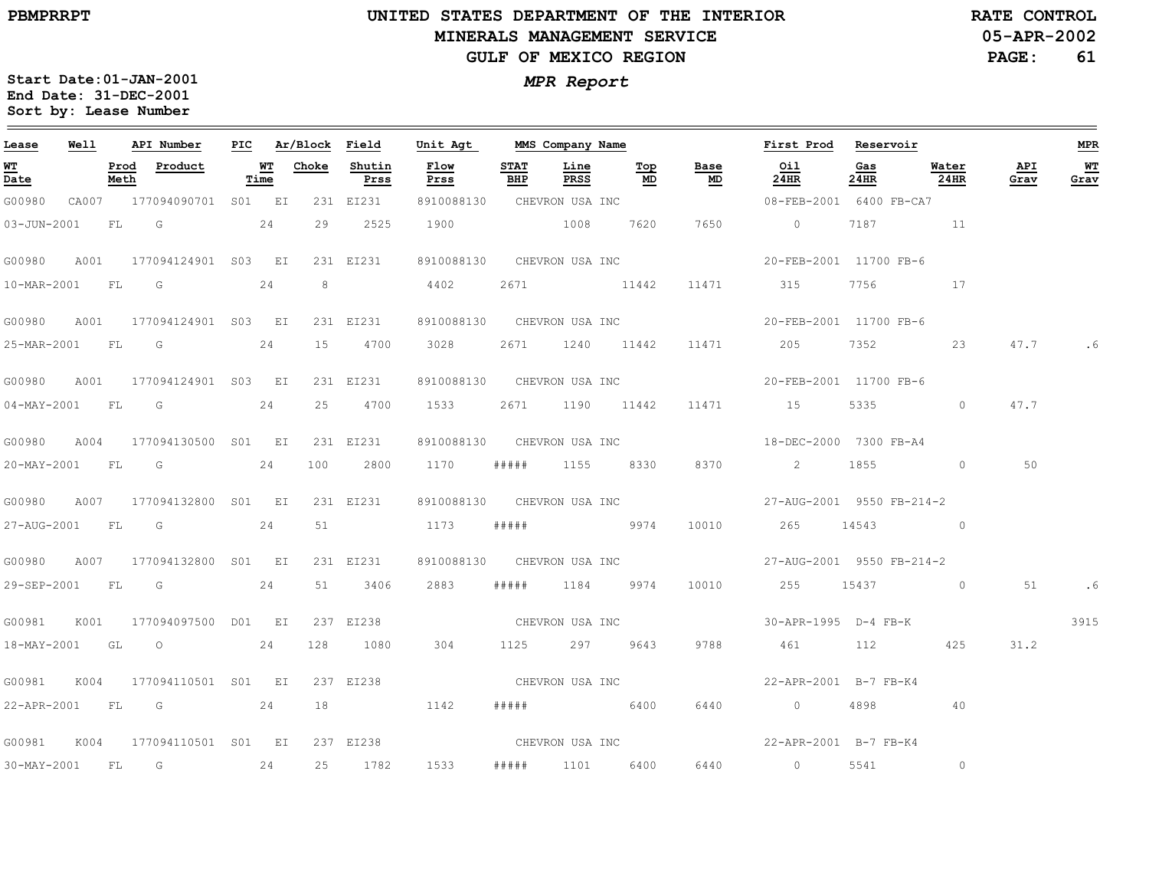$\equiv$ 

# **UNITED STATES DEPARTMENT OF THE INTERIOR MINERALS MANAGEMENT SERVICEGULF OF MEXICO REGION**

**05-APR-2002PAGE: 61 RATE CONTROL**

| Lease             | Well |      | API Number                | PIC |            | Ar/Block Field |                | Unit Agt                   |                    | MMS Company Name |                                                                                                                                                                                                                               |                                   | First Prod                           | Reservoir   |               |             | <b>MPR</b>   |
|-------------------|------|------|---------------------------|-----|------------|----------------|----------------|----------------------------|--------------------|------------------|-------------------------------------------------------------------------------------------------------------------------------------------------------------------------------------------------------------------------------|-----------------------------------|--------------------------------------|-------------|---------------|-------------|--------------|
| <u>WT</u><br>Date |      | Meth | Prod Product              |     | WТ<br>Time | Choke          | Shutin<br>Prss | Flow<br>Prss               | <b>STAT</b><br>BHP | Line<br>PRSS     | Top<br>MD                                                                                                                                                                                                                     | Base<br>$\underline{\mathsf{MD}}$ | Oil<br>24HR                          | Gas<br>24HR | Water<br>24HR | API<br>Grav | $WT$<br>Grav |
| G00980            |      |      | CA007 177094090701 S01 EI |     |            |                | 231 EI231      | 8910088130 CHEVRON USA INC |                    |                  |                                                                                                                                                                                                                               |                                   | 08-FEB-2001 6400 FB-CA7              |             |               |             |              |
| 03-JUN-2001       |      | FL G |                           |     | 24         | 29             | 2525           | 1900                       |                    | 1008             | 7620                                                                                                                                                                                                                          | 7650                              | $\sim$ 0                             | 7187        | $\sim$ $11$   |             |              |
| G00980            | A001 |      | 177094124901 S03 EI       |     |            |                | 231 EI231      | 8910088130 CHEVRON USA INC |                    |                  |                                                                                                                                                                                                                               |                                   | 20-FEB-2001 11700 FB-6               |             |               |             |              |
| 10-MAR-2001 FL G  |      |      |                           |     | 24         | 8              |                | 4402                       | 2671               | 11442            |                                                                                                                                                                                                                               | 11471                             | 315                                  | 7756        | 17            |             |              |
| G00980            | A001 |      | 177094124901 S03 EI       |     |            |                | 231 EI231      | 8910088130 CHEVRON USA INC |                    |                  |                                                                                                                                                                                                                               |                                   | 20-FEB-2001 11700 FB-6               |             |               |             |              |
|                   |      |      | 25-MAR-2001 FL G 24       |     |            | 15             | 4700           | 3028                       |                    | 2671 1240 11442  |                                                                                                                                                                                                                               | 11471                             | 205                                  | 7352 736    | 23            | 47.7        | . 6          |
| G00980            | A001 |      | 177094124901 S03 EI       |     |            |                | 231 EI231      | 8910088130 CHEVRON USA INC |                    |                  |                                                                                                                                                                                                                               |                                   | 20-FEB-2001 11700 FB-6               |             |               |             |              |
| 04-MAY-2001 FL    |      |      | $\overline{\mathsf{G}}$   |     | 24         | 25             | 4700           | 1533                       |                    | 2671 1190 11442  |                                                                                                                                                                                                                               | 11471                             | 15                                   | 5335        | $\circ$       | 47.7        |              |
| G00980            |      |      | A004 177094130500 S01 EI  |     |            |                | 231 EI231      | 8910088130 CHEVRON USA INC |                    |                  |                                                                                                                                                                                                                               |                                   | 18-DEC-2000 7300 FB-A4               |             |               |             |              |
|                   |      |      | 20-MAY-2001 FL G 24       |     |            | 100            | 2800           | 1170                       | #####              |                  | 1155 8330                                                                                                                                                                                                                     | 8370                              | $\sim$ 2                             |             | 1855 0        | 50          |              |
| G00980            | A007 |      | 177094132800 S01 EI       |     |            |                | 231 EI231      |                            |                    |                  |                                                                                                                                                                                                                               | 8910088130 CHEVRON USA INC        | 27-AUG-2001 9550 FB-214-2            |             |               |             |              |
| 27-AUG-2001 FL G  |      |      |                           |     | 24         | 51             |                | 1173                       |                    | ##### 9974       |                                                                                                                                                                                                                               | 10010                             | 265 14543 0                          |             |               |             |              |
| G00980            | A007 |      | 177094132800 S01 EI       |     |            |                | 231 EI231      | 8910088130                 |                    |                  | CHEVRON USA INC                                                                                                                                                                                                               |                                   | 27-AUG-2001 9550 FB-214-2            |             |               |             |              |
|                   |      |      | 29-SEP-2001 FL G 24       |     |            |                | 51 3406        | 2883                       | # # # # #          |                  | 1184 9974                                                                                                                                                                                                                     | 10010                             | 255 15437 0                          |             |               | 51          | .6           |
| G00981            | K001 |      | 177094097500 D01 EI       |     |            |                | 237 EI238      |                            |                    |                  |                                                                                                                                                                                                                               |                                   | CHEVRON USA INC 30-APR-1995 D-4 FB-K |             |               |             | 3915         |
|                   |      |      | 18-MAY-2001 GL O 24       |     |            | 128            | 1080           | 304                        |                    | 1125 297 9643    |                                                                                                                                                                                                                               | 9788                              | 461                                  | 112 2       | 425           | 31.2        |              |
| G00981            | K004 |      | 177094110501 S01 EI       |     |            |                | 237 EI238      |                            |                    |                  | CHEVRON USA INC                                                                                                                                                                                                               |                                   | 22-APR-2001 B-7 FB-K4                |             |               |             |              |
|                   |      |      | 22-APR-2001 FL G 24       |     |            |                |                | 1142                       |                    |                  | $\#$ # $\#$ # $\#$ + $\#$ + $\#$ + $\#$ + $\#$ + $\#$ + $\#$ + $\#$ + $\#$ + $\#$ + $\#$ + $\#$ + $\#$ + $\#$ + $\#$ + $\#$ + $\#$ + $\#$ + $\#$ + $\#$ + $\#$ + $\#$ + $\#$ + $\#$ + $\#$ + $\#$ + $\#$ + $\#$ + $\#$ + $\#$ | 6440                              | $\overline{0}$                       | 4898        | 40            |             |              |
| G00981            |      |      | K004 177094110501 S01 EI  |     |            |                | 237 EI238      |                            |                    |                  |                                                                                                                                                                                                                               |                                   |                                      |             |               |             |              |
| 30-MAY-2001 FL G  |      |      |                           |     | 24         | 25             | 1782           | 1533                       | #####              | 1101             | 6400                                                                                                                                                                                                                          | 6440                              | $\overline{0}$                       | 5541        | $\circ$       |             |              |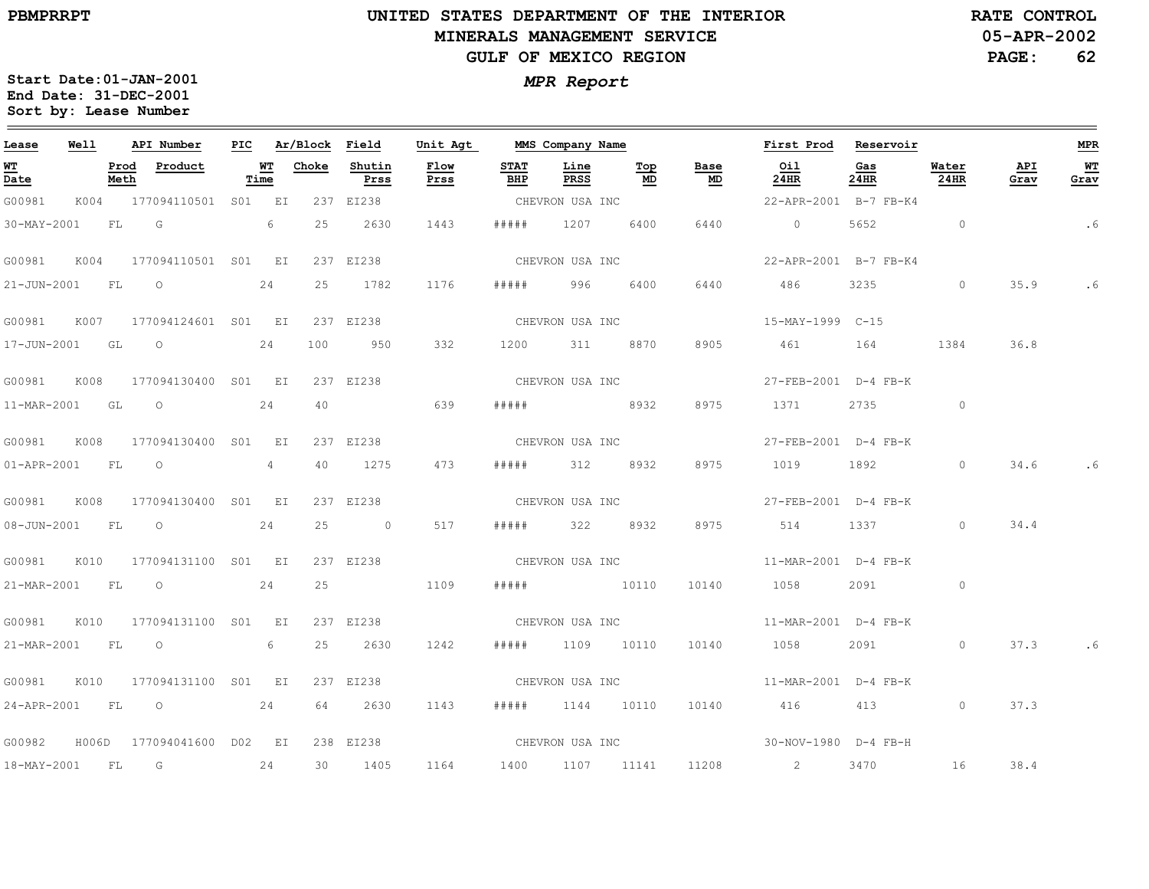$\equiv$ 

# **UNITED STATES DEPARTMENT OF THE INTERIOR MINERALS MANAGEMENT SERVICEGULF OF MEXICO REGION**

**05-APR-2002RATE CONTROL**

**PAGE:62**

| Lease            | Well  |              | API Number               |                | PIC Ar/Block Field |                | Unit Agt     |                    | MMS Company Name |                                        |                 | First Prod Reservoir                 |                                                                                                                                                                                                                                 |                |             | MPR        |
|------------------|-------|--------------|--------------------------|----------------|--------------------|----------------|--------------|--------------------|------------------|----------------------------------------|-----------------|--------------------------------------|---------------------------------------------------------------------------------------------------------------------------------------------------------------------------------------------------------------------------------|----------------|-------------|------------|
| WT<br>Date       |       | Prod<br>Meth | Product                  | WТ<br>Time     | Choke              | Shutin<br>Prss | Flow<br>Prss | <b>STAT</b><br>BHP | Line<br>PRSS     | $\underline{\operatorname{Top}}$<br>MD | Base<br>MD      | Oil<br>24HR                          | Gas<br>24HR                                                                                                                                                                                                                     | Water<br>24HR  | API<br>Grav | WТ<br>Grav |
| G00981           |       |              | K004 177094110501 S01 EI |                |                    | 237 EI238      |              |                    | CHEVRON USA INC  |                                        |                 | 22-APR-2001 B-7 FB-K4                |                                                                                                                                                                                                                                 |                |             |            |
| 30-MAY-2001      |       | FL           | $\overline{G}$           | 6              | 25                 | 2630           | 1443         | # # # # #          | 1207             | 6400                                   | 6440            | $\overline{0}$                       | 5652                                                                                                                                                                                                                            | $\overline{0}$ |             | . 6        |
| G00981           | K004  |              | 177094110501 S01 EI      |                |                    | 237 EI238      |              |                    | CHEVRON USA INC  |                                        |                 | 22-APR-2001 B-7 FB-K4                |                                                                                                                                                                                                                                 |                |             |            |
| 21-JUN-2001      |       | FL           | $\circ$                  | 24             | 25                 | 1782           | 1176         | # # # # #          | 996              | 6400                                   | 6440            | 486                                  | 3235                                                                                                                                                                                                                            | $\circ$        | 35.9        | .6         |
| G00981           | K007  |              | 177094124601 S01 EI      |                |                    | 237 EI238      |              |                    | CHEVRON USA INC  |                                        |                 | 15-MAY-1999 C-15                     |                                                                                                                                                                                                                                 |                |             |            |
| 17-JUN-2001 GL   |       |              | $\overline{O}$           | 24             | 100                | 950            | 332          |                    | 1200 311         | 8870                                   | 8905            | 461                                  | 164                                                                                                                                                                                                                             | 1384           | 36.8        |            |
| G00981           | K008  |              | 177094130400 S01 EI      |                |                    | 237 EI238      |              |                    | CHEVRON USA INC  |                                        |                 | 27-FEB-2001 D-4 FB-K                 |                                                                                                                                                                                                                                 |                |             |            |
| 11-MAR-2001 GL   |       |              | $\circ$                  | 24             | 40                 |                | 639          | # # # # #          |                  | 8932                                   | 8975            | 1371                                 | 2735                                                                                                                                                                                                                            | $\circ$        |             |            |
| G00981           | K008  |              | 177094130400 S01 EI      |                |                    | 237 EI238      |              |                    | CHEVRON USA INC  |                                        |                 | 27-FEB-2001 D-4 FB-K                 |                                                                                                                                                                                                                                 |                |             |            |
| 01-APR-2001 FL 0 |       |              |                          | $\overline{4}$ | 40                 | 1275           | 473          | # # # # #          | 312 8932         |                                        | 8975            | 1019                                 | 1892                                                                                                                                                                                                                            | $\circ$        | 34.6        |            |
| G00981           | K008  |              | 177094130400 S01 EI      |                |                    | 237 EI238      |              |                    | CHEVRON USA INC  |                                        |                 | 27-FEB-2001 D-4 FB-K                 |                                                                                                                                                                                                                                 |                |             |            |
| 08-JUN-2001 FL   |       |              | $\overline{O}$           | 24             | 25                 | $\overline{0}$ | 517          | # # # # #          |                  | 322 8932                               | 8975            | 514                                  | 1337                                                                                                                                                                                                                            | $\circ$        | 34.4        |            |
| G00981           | K010  |              | 177094131100 S01 EI      |                |                    | 237 EI238      |              |                    | CHEVRON USA INC  |                                        |                 | 11-MAR-2001 D-4 FB-K                 |                                                                                                                                                                                                                                 |                |             |            |
|                  |       |              | 21-MAR-2001 FL O         | 24             | 25                 |                | 1109         | # # # # #          | 10110            |                                        | 10140           | 1058                                 | 2091 — 2007 — 2008 — 2008 — 2008 — 2008 — 201                                                                                                                                                                                   | $\circ$        |             |            |
| G00981           | K010  |              | 177094131100 S01 EI      |                |                    | 237 EI238      |              |                    |                  |                                        | CHEVRON USA INC | 11-MAR-2001 D-4 FB-K                 |                                                                                                                                                                                                                                 |                |             |            |
| 21-MAR-2001 FL   |       |              | $\overline{O}$           | 6              | 25                 | 2630           | 1242         | # # # # #          | 1109 10110       |                                        | 10140           | 1058                                 | 2091 — 2091 — 2092 — 2093 — 2094 — 2094 — 2094 — 2094 — 2094 — 2094 — 2094 — 2094 — 2095 — 2094 — 2094 — 2094 — 2094 — 2094 — 2094 — 2094 — 2094 — 2094 — 2094 — 2094 — 2094 — 2094 — 2094 — 2094 — 2094 — 2094 — 2094 — 2094 — | $\circ$        | 37.3        |            |
| G00981           | K010  |              | 177094131100 S01 EI      |                |                    | 237 EI238      |              |                    | CHEVRON USA INC  |                                        |                 | $11-MAR-2001$ D-4 FB-K               |                                                                                                                                                                                                                                 |                |             |            |
|                  |       |              | 24-APR-2001 FL 0 24      |                | 64                 | 2630           | 1143         | # # # # #          |                  | 1144 10110                             | 10140           | 416 413                              |                                                                                                                                                                                                                                 | $\circ$        | 37.3        |            |
| G00982           | H006D |              | 177094041600 D02 EI      |                |                    | 238 EI238      |              |                    |                  |                                        |                 | CHEVRON USA INC 30-NOV-1980 D-4 FB-H |                                                                                                                                                                                                                                 |                |             |            |
| 18-MAY-2001 FL   |       |              | G                        | 24             | 30                 | 1405           | 1164         | 1400               | 1107 11141       |                                        | 11208           | $\sim$ 2                             | 3470                                                                                                                                                                                                                            | 16             | 38.4        |            |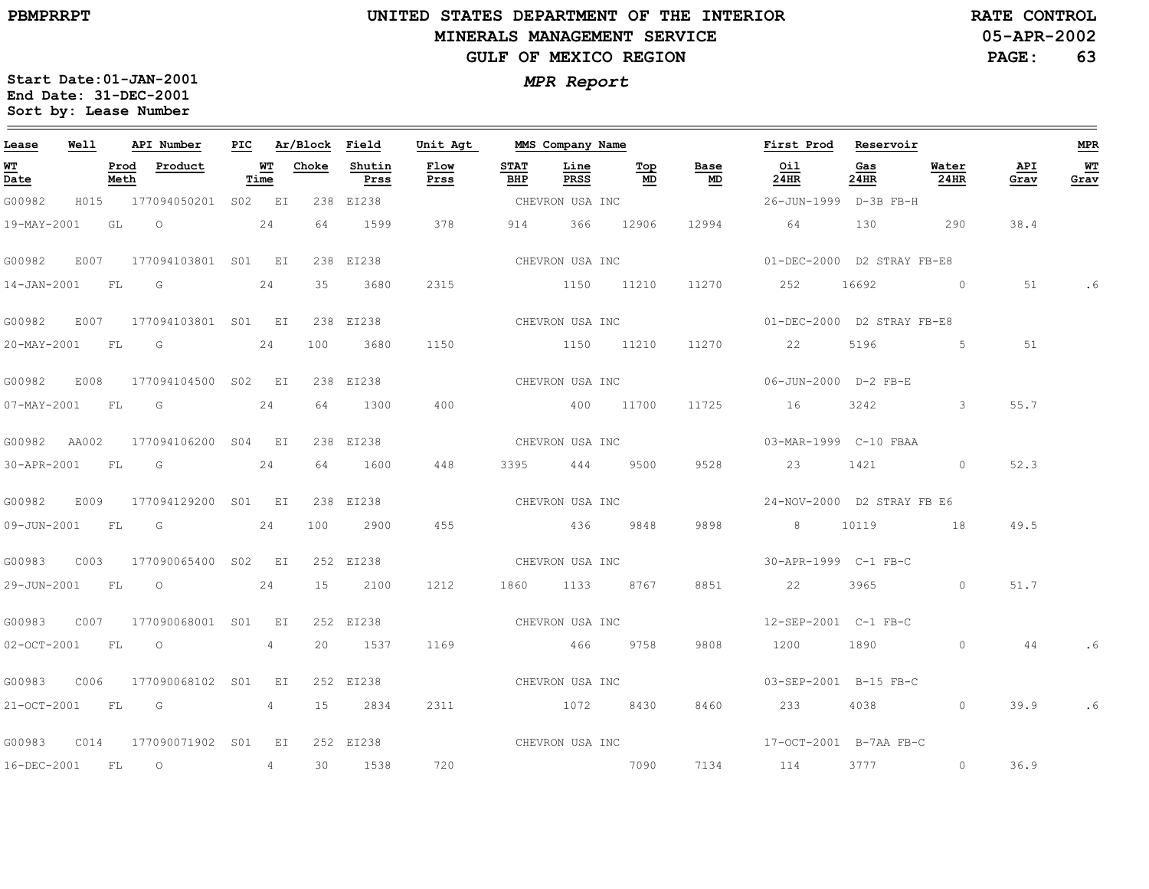# **UNITED STATES DEPARTMENT OF THE INTERIOR MINERALS MANAGEMENT SERVICEGULF OF MEXICO REGION**

**05-APR-2002RATE CONTROL**

**PAGE:63**

| Lease             | Well |              | API Number                                 | PIC |            | Ar/Block Field |                | Unit Agt        |                    | MMS Company Name |                 |            | First Prod                                         | Reservoir                                                                                                                                                                                                                       |                          |             | <b>MPR</b> |
|-------------------|------|--------------|--------------------------------------------|-----|------------|----------------|----------------|-----------------|--------------------|------------------|-----------------|------------|----------------------------------------------------|---------------------------------------------------------------------------------------------------------------------------------------------------------------------------------------------------------------------------------|--------------------------|-------------|------------|
| <u>WT</u><br>Date |      | Prod<br>Meth | Product                                    |     | WT<br>Time | Choke          | Shutin<br>Prss | Flow<br>Prss    | <b>STAT</b><br>BHP | Line<br>PRSS     | Тор<br>MD       | Base<br>MD | Oil<br>24HR                                        | Gas<br>24HR                                                                                                                                                                                                                     | Water<br>24HR            | API<br>Grav | WТ<br>Grav |
| G00982            |      |              | H015 177094050201 S02 EI                   |     |            |                | 238 EI238      |                 |                    | CHEVRON USA INC  |                 |            | 26-JUN-1999 D-3B FB-H                              |                                                                                                                                                                                                                                 |                          |             |            |
|                   |      |              | 19-MAY-2001 GL O                           | 24  |            | 64             | 1599           | 378             |                    | 914 366 12906    |                 |            | 12994 64                                           | 130                                                                                                                                                                                                                             | 290                      | 38.4        |            |
| G00982            | E007 |              | 177094103801 S01 EI                        |     |            |                | 238 EI238      |                 |                    |                  | CHEVRON USA INC |            | 01-DEC-2000 D2 STRAY FB-E8                         |                                                                                                                                                                                                                                 |                          |             |            |
| 14-JAN-2001 FL    |      |              | G                                          |     | 24         | 35             | 3680           | 2315            |                    | 1150 11210       |                 | 11270      | 252                                                | 16692                                                                                                                                                                                                                           | $\sim$ 0                 | 51          | . 6        |
| G00982            |      |              | E007 177094103801 S01 EI                   |     |            |                | 238 EI238      |                 |                    | CHEVRON USA INC  |                 |            | 01-DEC-2000 D2 STRAY FB-E8                         |                                                                                                                                                                                                                                 |                          |             |            |
| 20-MAY-2001 FL G  |      |              | 24                                         |     |            | 100            | 3680           | 1150            |                    | 1150 11210       |                 |            | 11270 22                                           |                                                                                                                                                                                                                                 | 5196 5                   | 51          |            |
| G00982            | E008 |              | 177094104500 S02 EI                        |     |            |                | 238 EI238      |                 |                    |                  |                 |            |                                                    |                                                                                                                                                                                                                                 |                          |             |            |
| 07-MAY-2001 FL G  |      |              |                                            |     | 24         | 64             | 1300           | 400             |                    | 400 11700        |                 | 11725      | 16                                                 | 3242                                                                                                                                                                                                                            | $\mathbf{3}$             | 55.7        |            |
| G00982 AA002      |      |              | 177094106200 S04 EI                        |     |            |                | 238 EI238      |                 |                    |                  |                 |            |                                                    |                                                                                                                                                                                                                                 |                          |             |            |
|                   |      |              | 30-APR-2001 FL G 24                        |     |            | 64             | 1600           | 448             |                    |                  | 3395 444 9500   | 9528       | 23 1421 0                                          |                                                                                                                                                                                                                                 |                          | 52.3        |            |
| G00982            | E009 |              | 177094129200 S01 EI                        |     |            |                | 238 EI238      |                 |                    |                  |                 |            |                                                    |                                                                                                                                                                                                                                 |                          |             |            |
| 09-JUN-2001 FL G  |      |              |                                            |     | 24         | 100            | 2900           | 455             |                    | 436 9848         |                 | 9898       | 8 10119 18                                         |                                                                                                                                                                                                                                 |                          | 49.5        |            |
| G00983            | C003 |              | 177090065400 S02 EI                        |     |            |                | 252 EI238      |                 | CHEVRON USA INC    |                  |                 |            | $30-APR-1999$ $C-1$ $FB-C$                         |                                                                                                                                                                                                                                 |                          |             |            |
|                   |      |              | 29-JUN-2001 FL 0 24                        |     |            |                | 15 2100        | 1212            |                    | 1860 1133 8767   |                 | 8851       | 22                                                 |                                                                                                                                                                                                                                 | $3965$ 0                 | 51.7        |            |
| G00983            |      |              | C007 177090068001 S01 EI                   |     |            |                | 252 EI238      | CHEVRON USA INC |                    |                  |                 |            | 12-SEP-2001 C-1 FB-C                               |                                                                                                                                                                                                                                 |                          |             |            |
| 02-OCT-2001 FL O  |      |              |                                            |     | $4\degree$ |                | 20 1537        | 1169            |                    | 466 9758         |                 | 9808       | 1200 1890                                          |                                                                                                                                                                                                                                 | $\circ$                  | 44          | . 6        |
| G00983            | C006 |              | 177090068102 S01 EI                        |     |            |                | 252 EI238      |                 | CHEVRON USA INC    |                  |                 |            | 03-SEP-2001 B-15 FB-C                              |                                                                                                                                                                                                                                 |                          |             |            |
| 21-OCT-2001 FL    |      |              | $\overline{\mathbb{G}}$<br>$4\overline{4}$ |     |            | 15             | 2834           | 2311            | 1072 8430          |                  |                 | 8460       | 233                                                | 4038                                                                                                                                                                                                                            | $\sim$ 0 $\sim$ 0 $\sim$ | 39.9        | .6         |
|                   |      |              | G00983 C014 177090071902 S01 EI            |     |            |                |                |                 |                    |                  |                 |            | 252 EI238 CHEVRON USA INC $17-0CT-2001$ B-7AA FB-C |                                                                                                                                                                                                                                 |                          |             |            |
| 16-DEC-2001 FL    |      |              | $\overline{O}$                             |     | $4\degree$ | 30             | 1538           | 720             |                    | 7090             |                 | 7134       | 114                                                | 3777 — 2002 — 2014 — 2022 — 2022 — 2022 — 2022 — 2022 — 2022 — 2022 — 2022 — 2022 — 2022 — 2022 — 2022 — 2022 — 2022 — 2022 — 2022 — 2022 — 2022 — 2022 — 2022 — 2022 — 2022 — 2023 — 2023 — 2023 — 2023 — 2023 — 2023 — 2023 — | $\circ$                  | 36.9        |            |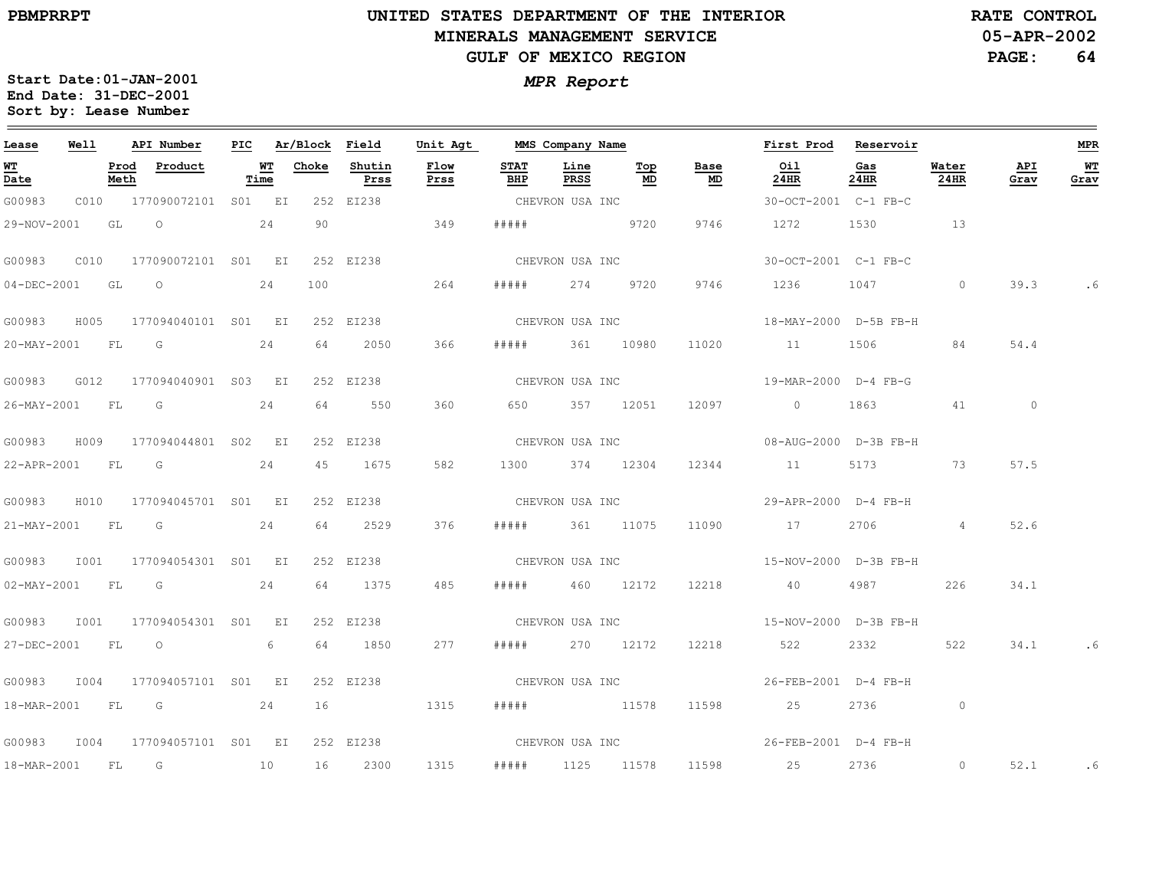$\equiv$ 

# **UNITED STATES DEPARTMENT OF THE INTERIOR MINERALS MANAGEMENT SERVICEGULF OF MEXICO REGION**

**05-APR-2002RATE CONTROL**

**PAGE:64**

| Lease            | Well |              | API Number               | PIC. |            | Ar/Block Field |                | Unit Agt     |                    | MMS Company Name |                 |                                   | First Prod            | Reservoir   |               |             | MPR                              |
|------------------|------|--------------|--------------------------|------|------------|----------------|----------------|--------------|--------------------|------------------|-----------------|-----------------------------------|-----------------------|-------------|---------------|-------------|----------------------------------|
| WT<br>Date       |      | Prod<br>Meth | Product                  |      | WТ<br>Time | Choke          | Shutin<br>Prss | Flow<br>Prss | <b>STAT</b><br>BHP | Line<br>PRSS     | Top<br>MD       | Base<br>$\underline{\mathsf{MD}}$ | Oil<br>24HR           | Gas<br>24HR | Water<br>24HR | API<br>Grav | $\underline{\textbf{W}}$<br>Grav |
| G00983           |      |              | C010 177090072101 S01 EI |      |            |                | 252 EI238      |              |                    | CHEVRON USA INC  |                 |                                   | 30-OCT-2001 C-1 FB-C  |             |               |             |                                  |
| 29-NOV-2001 GL O |      |              |                          |      | 24         | 90             |                | 349          | # # # # #          | <u>9720</u>      |                 | 9746                              | 1272                  | 1530        | 13            |             |                                  |
| G00983           | CO10 |              | 177090072101 S01 EI      |      |            |                | 252 EI238      |              | CHEVRON USA INC    |                  |                 |                                   | 30-OCT-2001 C-1 FB-C  |             |               |             |                                  |
| 04-DEC-2001 GL   |      |              | $\overline{O}$           |      | 24         | 100            |                | 264          | # # # # #          |                  | 274 9720        | 9746                              | 1236                  | 1047        | $\circ$       | 39.3        | .6                               |
| G00983           | H005 |              | 177094040101 S01 EI      |      |            |                | 252 EI238      |              | CHEVRON USA INC    |                  |                 |                                   | 18-MAY-2000 D-5B FB-H |             |               |             |                                  |
|                  |      |              | 20-MAY-2001 FL G 24      |      |            | 64             | 2050           | 366          | #####              | 361 10980        |                 | 11020                             | 11                    | 1506        | 84            | 54.4        |                                  |
| G00983           | G012 |              | 177094040901 S03 EI      |      |            |                | 252 EI238      |              |                    |                  |                 | CHEVRON USA INC                   | 19-MAR-2000 D-4 FB-G  |             |               |             |                                  |
|                  |      |              | 26-MAY-2001 FL G         |      | 24         | 64             | 550            | 360          |                    | 650 357 12051    |                 | 12097                             | $0$ 1863              |             | 41            | $\circ$     |                                  |
| G00983           | H009 |              | 177094044801 S02 EI      |      |            |                | 252 EI238      |              |                    | CHEVRON USA INC  |                 |                                   | 08-AUG-2000 D-3B FB-H |             |               |             |                                  |
|                  |      |              | 22-APR-2001 FL G 24      |      |            |                | 45 1675        | 582          |                    | 1300 374 12304   |                 | 12344                             | 11                    | 5173 73     |               | 57.5        |                                  |
| G00983           | H010 |              | 177094045701 S01 EI      |      |            |                | 252 EI238      |              |                    |                  |                 |                                   |                       |             |               |             |                                  |
|                  |      |              | 21-MAY-2001 FL G 24      |      |            |                | 64 2529        | 376          |                    | ##### 361 11075  |                 | 11090                             | 17                    | 2706 200    | 4             | 52.6        |                                  |
| G00983           | I001 |              | 177094054301 S01 EI      |      |            |                | 252 EI238      |              |                    | CHEVRON USA INC  |                 |                                   | 15-NOV-2000 D-3B FB-H |             |               |             |                                  |
| 02-MAY-2001 FL G |      |              |                          |      | 24         | 64             | 1375           | 485          | #####              | 460 12172        |                 | 12218                             | 40                    | 4987        | 226           | 34.1        |                                  |
| G00983           |      |              | I001 177094054301 S01 EI |      |            |                | 252 EI238      |              |                    |                  | CHEVRON USA INC |                                   | 15-NOV-2000 D-3B FB-H |             |               |             |                                  |
| 27-DEC-2001 FL   |      |              | $\overline{O}$           |      | 6          | 64             | 1850           | 277          | # # # # #          | 270 12172        |                 | 12218                             | 522                   | 2332        | 522           | 34.1        | . 6                              |
| G00983           | I004 |              | 177094057101 S01 EI      |      |            |                | 252 EI238      |              |                    | CHEVRON USA INC  |                 |                                   | 26-FEB-2001 D-4 FB-H  |             |               |             |                                  |
| 18-MAR-2001 FL   |      |              | $\overline{G}$           |      | 24         | 16             |                | 1315         | # # # # #          | 11578            |                 | 11598                             | 25                    | 2736        | $\circ$       |             |                                  |
| G00983           |      |              | 1004 177094057101 S01 EI |      |            |                | 252 EI238      |              |                    |                  |                 | CHEVRON USA INC                   | 26-FEB-2001 D-4 FB-H  |             |               |             |                                  |
|                  |      |              | 18-MAR-2001 FL G 10      |      |            | 16             | 2300           | 1315         | # # # # #          | 1125 11578       |                 | 11598                             | 25                    | 2736 720    | $\circ$       | 52.1        | $\ddotsc$                        |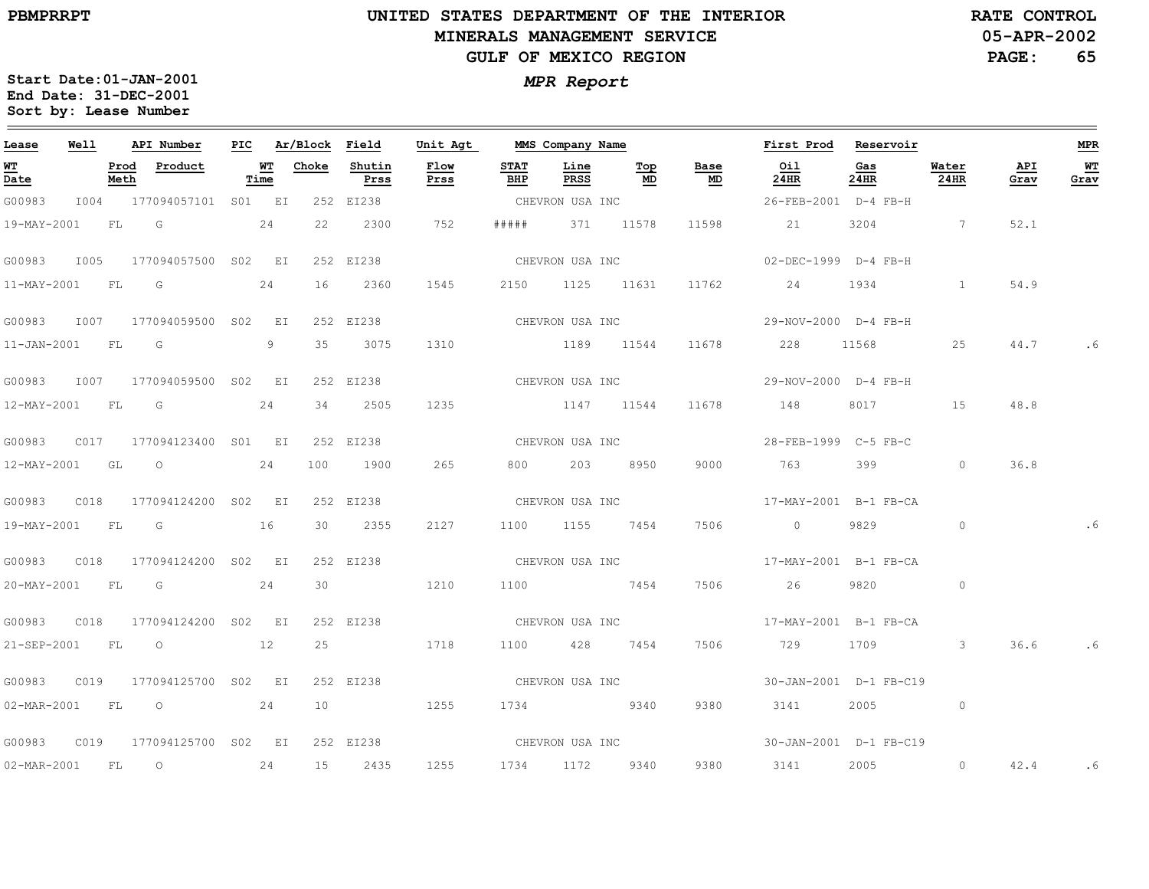## **UNITED STATES DEPARTMENT OF THE INTERIOR MINERALS MANAGEMENT SERVICEGULF OF MEXICO REGION**

**05-APR-2002RATE CONTROL**

**PAGE:65**

| Lease             | Well |           | API Number                      | PIC |            | Ar/Block Field |                | Unit Agt        |                    | MMS Company Name |                 |                 | First Prod            | Reservoir                                                                                                                                                                                                                       |               |             | <b>MPR</b> |
|-------------------|------|-----------|---------------------------------|-----|------------|----------------|----------------|-----------------|--------------------|------------------|-----------------|-----------------|-----------------------|---------------------------------------------------------------------------------------------------------------------------------------------------------------------------------------------------------------------------------|---------------|-------------|------------|
| <u>WT</u><br>Date |      | Meth      | Prod Product                    |     | WT<br>Time | Choke          | Shutin<br>Prss | Flow<br>Prss    | <b>STAT</b><br>BHP | Line<br>PRSS     | Тор<br>MD       | Base<br>MD      | Oil<br>24HR           | Gas<br>24HR                                                                                                                                                                                                                     | Water<br>24HR | API<br>Grav | WT<br>Grav |
| G00983            |      |           | I004 177094057101 S01 EI        |     |            |                | 252 EI238      |                 |                    | CHEVRON USA INC  |                 |                 | 26-FEB-2001 D-4 FB-H  |                                                                                                                                                                                                                                 |               |             |            |
| 19-MAY-2001       |      | FL        | G                               |     | 24         | 22             | 2300           | 752             | # # # # #          |                  | 371 11578       | 11598           | 21                    | 3204                                                                                                                                                                                                                            | $\sim$ 7      | 52.1        |            |
| G00983            | I005 |           | 177094057500 S02 EI             |     |            |                | 252 EI238      |                 |                    | CHEVRON USA INC  |                 |                 | 02-DEC-1999 D-4 FB-H  |                                                                                                                                                                                                                                 |               |             |            |
| 11-MAY-2001       |      | FL        | $\overline{\mathbb{G}}$         |     | 24         | 16             | 2360           | 1545            |                    | 2150 1125 11631  |                 | 11762           | 24                    | 1934                                                                                                                                                                                                                            |               | 54.9        |            |
|                   |      |           | G00983 I007 177094059500 S02 EI |     |            |                | 252 EI238      |                 |                    | CHEVRON USA INC  |                 |                 | 29-NOV-2000 D-4 FB-H  |                                                                                                                                                                                                                                 |               |             |            |
| 11-JAN-2001 FL G  |      |           |                                 |     | 9          | 35             | 3075           | 1310            |                    | 1189 11544       |                 | 11678           | 228                   | 11568                                                                                                                                                                                                                           | 25            | 44.7        |            |
| G00983            | I007 |           | 177094059500 S02 EI             |     |            |                | 252 EI238      |                 |                    |                  |                 | CHEVRON USA INC | 29-NOV-2000 D-4 FB-H  |                                                                                                                                                                                                                                 |               |             |            |
| 12-MAY-2001 FL G  |      |           |                                 |     | 24         | 34             | 2505           | 1235            |                    | 1147 11544       |                 | 11678           | 148                   | 8017 — 100                                                                                                                                                                                                                      | 15            | 48.8        |            |
| G00983            |      |           | C017 177094123400 S01 EI        |     |            |                | 252 EI238      |                 |                    |                  | CHEVRON USA INC |                 | 28-FEB-1999 C-5 FB-C  |                                                                                                                                                                                                                                 |               |             |            |
|                   |      |           | 12-MAY-2001 GL 0 24             |     |            | 100            | 1900           | 265             |                    | 800 203 8950     |                 | 9000            | 763                   | 399                                                                                                                                                                                                                             | $\circ$       | 36.8        |            |
| G00983            | C018 |           | 177094124200 S02 EI             |     |            |                | 252 EI238      | CHEVRON USA INC |                    |                  |                 |                 | 17-MAY-2001 B-1 FB-CA |                                                                                                                                                                                                                                 |               |             |            |
| 19-MAY-2001 FL G  |      |           | 16                              |     |            | 30             | 2355           | 2127            |                    | 1100 1155 7454   |                 | 7506            | $\overline{0}$        | 9829                                                                                                                                                                                                                            | $\circ$       |             |            |
| G00983            | C018 |           | 177094124200 S02 EI             |     |            |                | 252 EI238      |                 |                    |                  |                 | CHEVRON USA INC | 17-MAY-2001 B-1 FB-CA |                                                                                                                                                                                                                                 |               |             |            |
|                   |      |           | 20-MAY-2001 FL G 24             |     |            |                | 30 1210        |                 |                    | 1100 7454        |                 | 7506            | 26                    | 9820                                                                                                                                                                                                                            | $\circ$       |             |            |
| G00983            | C018 |           | 177094124200 S02 EI             |     |            |                | 252 EI238      | CHEVRON USA INC |                    |                  |                 |                 | 17-MAY-2001 B-1 FB-CA |                                                                                                                                                                                                                                 |               |             |            |
|                   |      |           | 21-SEP-2001 FL 0 12             |     |            | 25             |                | 1718            |                    | 1100 428 7454    |                 | 7506            | 729                   | 1709 — 1709 — 1709 — 1709 — 1709 — 1709 — 1709 — 1709 — 1709 — 1710 — 1710 — 1720 — 1720 — 1720 — 1720 — 1720 — 1720 — 1720 — 1720 — 1720 — 1720 — 1720 — 1720 — 1720 — 1720 — 1720 — 1720 — 1720 — 1720 — 1720 — 1720 — 1720 — | $\mathbf{3}$  | 36.6        | . 6        |
| G00983            | C019 |           | 177094125700 S02 EI             |     |            |                | 252 EI238      |                 |                    | CHEVRON USA INC  |                 |                 |                       | 30-JAN-2001 D-1 FB-C19                                                                                                                                                                                                          |               |             |            |
|                   |      |           | 02-MAR-2001 FL 0 24             |     |            |                | 10 1255        |                 |                    | 1734 9340        |                 | 9380            | 3141                  | 2005 — 100                                                                                                                                                                                                                      | $\circ$       |             |            |
| G00983            |      |           | C019 177094125700 S02 EI        |     |            |                | 252 EI238      | CHEVRON USA INC |                    |                  |                 |                 |                       | 30-JAN-2001 D-1 FB-C19                                                                                                                                                                                                          |               |             |            |
| 02-MAR-2001       |      | <b>FL</b> | $\overline{O}$                  |     | 24         | 15             | 2435           | 1255            | 1734               | 1172             | 9340            | 9380            | 3141                  | 2005                                                                                                                                                                                                                            | $\circ$       | 42.4        | . 6        |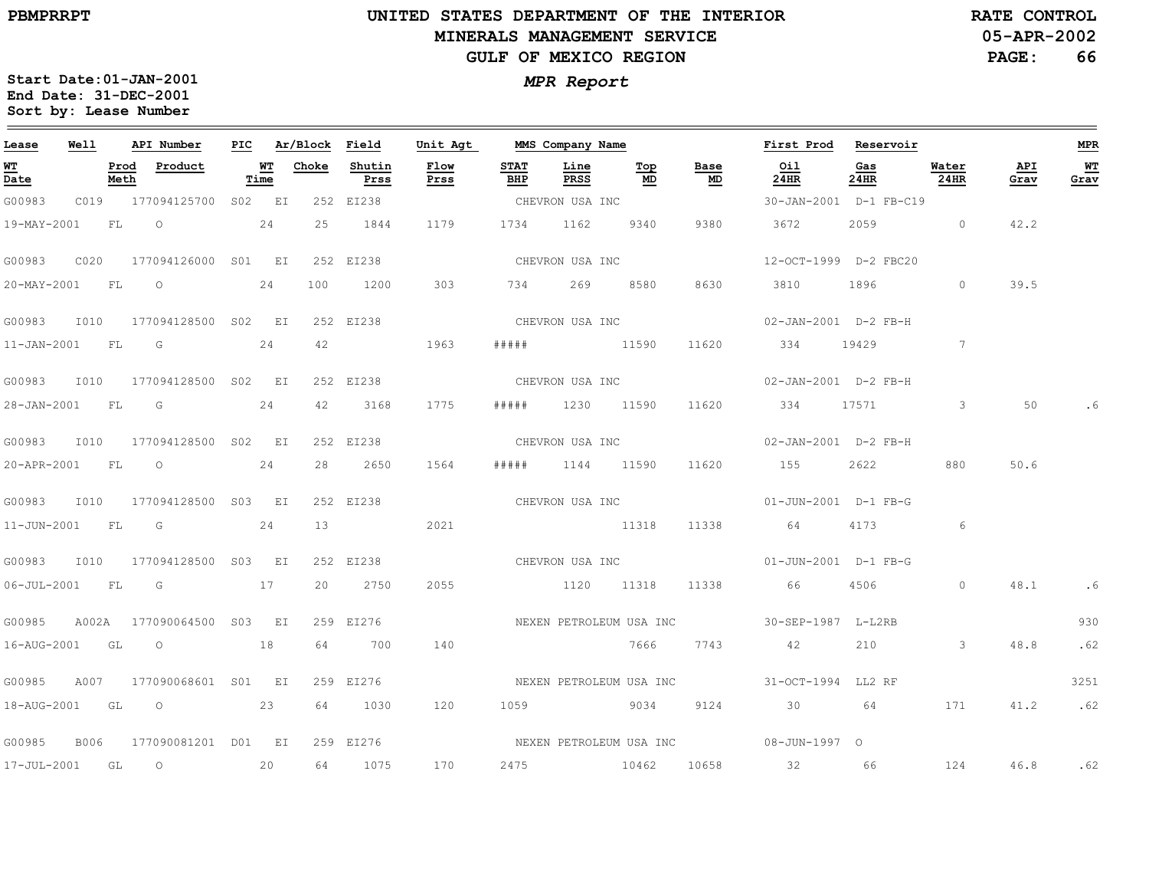**05-APR-2002RATE CONTROL**

**PAGE:66**

| Lease            | <b>Well</b> |      | API Number                       |      | PIC Ar/Block Field |                | Unit Agt     |                    | MMS Company Name |                   |                 | First Prod Reservoir                                                                                     |             |                                   |             | MPR        |
|------------------|-------------|------|----------------------------------|------|--------------------|----------------|--------------|--------------------|------------------|-------------------|-----------------|----------------------------------------------------------------------------------------------------------|-------------|-----------------------------------|-------------|------------|
| WT<br>Date       |             | Meth | Prod Product                     | Time | <b>WT</b> Choke    | Shutin<br>Prss | Flow<br>Prss | <b>STAT</b><br>BHP | Line<br>PRSS     | Тор<br>MD         | Base<br>MD      | Oil<br>24HR                                                                                              | Gas<br>24HR | Water<br>$24$ HR                  | API<br>Grav | WТ<br>Grav |
| G00983           |             |      | C019 177094125700 S02 EI         |      |                    | 252 EI238      |              | CHEVRON USA INC    |                  |                   |                 | 30-JAN-2001 D-1 FB-C19                                                                                   |             |                                   |             |            |
|                  |             |      | 19-MAY-2001 FL O 24              |      | 25                 | 1844           | 1179         |                    | 1734 1162 9340   |                   | 9380            | 3672                                                                                                     | 2059 0      |                                   | 42.2        |            |
| G00983           |             |      | C020 177094126000 S01 EI         |      |                    | 252 EI238      |              |                    | CHEVRON USA INC  |                   |                 | 12-OCT-1999 D-2 FBC20                                                                                    |             |                                   |             |            |
|                  |             |      | 20-MAY-2001 FL O 24              |      | 100                | 1200           | 303          |                    |                  | 734 269 8580 8630 |                 | 3810 1896                                                                                                |             | $\sim$ 0 $\sim$ 0 $\sim$ 0 $\sim$ | 39.5        |            |
|                  |             |      | G00983 I010 177094128500 S02 EI  |      |                    | 252 EI238      |              |                    |                  |                   |                 | CHEVRON USA INC 02-JAN-2001 D-2 FB-H                                                                     |             |                                   |             |            |
|                  |             |      | 11-JAN-2001 FL G 24              |      | 42                 | 1963           |              |                    |                  | ##### 11590       | 11620           | 334 19429                                                                                                |             | 7                                 |             |            |
|                  |             |      | G00983 I010 177094128500 S02 EI  |      |                    | 252 EI238      |              |                    | CHEVRON USA INC  |                   |                 | 02-JAN-2001 D-2 FB-H                                                                                     |             |                                   |             |            |
| 28-JAN-2001 FL G |             |      |                                  | 24   | 42                 | 3168           | 1775         |                    |                  | ##### 1230 11590  |                 | 11620 334 17571                                                                                          |             | $\overline{\mathbf{3}}$           | 50          |            |
|                  |             |      | G00983 I010 177094128500 S02 EI  |      |                    | 252 EI238      |              |                    | CHEVRON USA INC  |                   |                 | 02-JAN-2001 D-2 FB-H                                                                                     |             |                                   |             |            |
|                  |             |      | 20-APR-2001 FL O                 | 24   |                    | 28 2650        | 1564         |                    | ##### 1144 11590 |                   |                 | 11620 155                                                                                                | 2622        | 880                               | 50.6        |            |
|                  |             |      | G00983 I010 177094128500 S03 EI  |      |                    | 252 EI238      |              |                    |                  | CHEVRON USA INC   |                 | 01-JUN-2001 D-1 FB-G                                                                                     |             |                                   |             |            |
| 11-JUN-2001 FL G |             |      |                                  | 24   | 13                 |                | 2021         |                    | 11318            |                   | 11338           | 64                                                                                                       | 4173        | $\sim$ 6                          |             |            |
|                  |             |      | G00983 I010 177094128500 S03 EI  |      |                    | 252 EI238      |              |                    |                  |                   | CHEVRON USA INC | 01-JUN-2001 D-1 FB-G                                                                                     |             |                                   |             |            |
|                  |             |      | 06-JUL-2001 FL G 17              |      |                    | 20 2750        | 2055         |                    |                  |                   |                 | 1120 11318 11338 66 4506 0                                                                               |             |                                   | 48.1        | .6         |
|                  |             |      | G00985 A002A 177090064500 S03 EI |      |                    |                |              |                    |                  |                   |                 | 259 EI276                                    NEXEN PETROLEUM USA INC                  30-SEP-1987 L-L2RB |             |                                   |             | 930        |
|                  |             |      | 16-AUG-2001 GL O 18              |      | 64                 | 700            | 140          |                    |                  | 7666              | 7743            | 42                                                                                                       | $210$ 3     |                                   | 48.8        | .62        |
| G00985           |             |      | A007 177090068601 S01 EI         |      |                    | 259 EI276      |              |                    |                  |                   |                 |                                                                                                          |             |                                   |             | 3251       |
|                  |             |      | 18-AUG-2001 GL O 23              |      |                    | 64 1030        | 120          |                    |                  |                   | 1059 9034 9124  | 30 64                                                                                                    |             | 171                               | 41.2        | .62        |
|                  |             |      | G00985 B006 177090081201 D01 EI  |      |                    |                |              |                    |                  |                   |                 |                                                                                                          |             |                                   |             |            |
| 17-JUL-2001 GL   |             |      | $\overline{O}$<br>20             |      | 64                 | 1075           | 170          |                    |                  |                   |                 | 2475 10462 10658 32 66                                                                                   |             | 124                               |             | 46.8 .62   |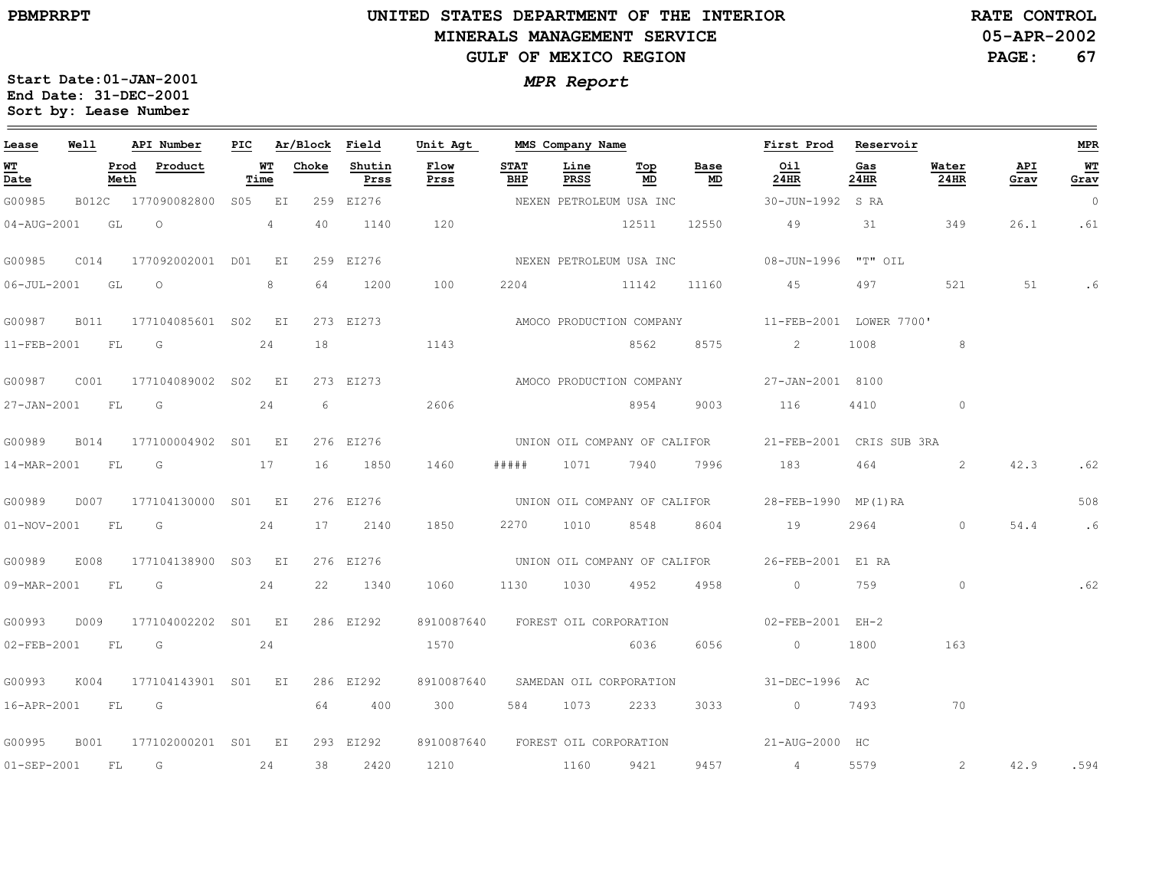# **UNITED STATES DEPARTMENT OF THE INTERIOR MINERALS MANAGEMENT SERVICEGULF OF MEXICO REGION**

**05-APR-2002RATE CONTROL**

**PAGE:67**

| Lease               | Well        |              | API Number                | PIC |                | Ar/Block Field |                | Unit Agt                          |                    | MMS Company Name |                              |            | First Prod               | Reservoir   |                |             | <b>MPR</b>     |
|---------------------|-------------|--------------|---------------------------|-----|----------------|----------------|----------------|-----------------------------------|--------------------|------------------|------------------------------|------------|--------------------------|-------------|----------------|-------------|----------------|
| <u>W'I'</u><br>Date |             | Prod<br>Meth | Product                   |     | WT<br>Time     | Choke          | Shutin<br>Prss | Flow<br>Prss                      | <b>STAT</b><br>BHP | Line<br>PRSS     | Top<br>MD                    | Base<br>MD | Oil<br>24HR              | Gas<br>24HR | Water<br>24HR  | API<br>Grav | WТ<br>Grav     |
| G00985              |             |              | B012C 177090082800 S05 EI |     |                |                | 259 EI276      |                                   |                    |                  | NEXEN PETROLEUM USA INC      |            | 30-JUN-1992 S RA         |             |                |             | $\overline{0}$ |
| 04-AUG-2001         |             | GL           | $\circ$                   |     | $\overline{4}$ | 40             | 1140           | 120                               |                    |                  | 12511                        | 12550      | 49                       | 31          | 349            | 26.1        | .61            |
| G00985              | CO14        |              | 177092002001 D01          |     | EI             | 259            | EI276          |                                   |                    |                  | NEXEN PETROLEUM USA INC      |            | 08-JUN-1996 "T" OIL      |             |                |             |                |
| $06 - JUL - 2001$   |             | GL           | $\circ$                   |     | 8              | 64             | 1200           | 100                               | 2204               |                  | 11142                        | 11160      | 45                       | 497         | 521            | 51          | .6             |
| G00987              | B011        |              | 177104085601 S02 EI       |     |                |                | 273 EI273      |                                   |                    |                  | AMOCO PRODUCTION COMPANY     |            | 11-FEB-2001 LOWER 7700'  |             |                |             |                |
| 11-FEB-2001         |             | FL           | $\overline{G}$            |     | 24             | 18             |                | 1143                              |                    |                  | 8562                         | 8575       | $\mathbf{2}$             | 1008        | 8              |             |                |
| G00987              | C001        |              | 177104089002 S02 EI       |     |                |                | 273 EI273      |                                   |                    |                  | AMOCO PRODUCTION COMPANY     |            | 27-JAN-2001 8100         |             |                |             |                |
| 27-JAN-2001         |             | FL           | G                         |     | 24             | 6              |                | 2606                              |                    |                  | 8954                         | 9003       | 116                      | 4410        | $\circ$        |             |                |
| G00989              | <b>B014</b> |              | 177100004902 S01 EI       |     |                |                | 276 EI276      |                                   |                    |                  | UNION OIL COMPANY OF CALIFOR |            | 21-FEB-2001 CRIS SUB 3RA |             |                |             |                |
| 14-MAR-2001         |             | FL           | $\overline{G}$            |     | 17             | 16             | 1850           | 1460                              | # # # # #          | 1071             | 7940                         | 7996       | 183                      | 464         | $\overline{2}$ | 42.3        | .62            |
| G00989              | D007        |              | 177104130000 S01 EI       |     |                |                | 276 EI276      |                                   |                    |                  | UNION OIL COMPANY OF CALIFOR |            | 28-FEB-1990 MP(1)RA      |             |                |             | 508            |
| $01 - NOV - 2001$   |             | FL           | G                         |     | 24             | 17             | 2140           | 1850                              | 2270               | 1010             | 8548                         | 8604       | 19                       | 2964        | $\circ$        | 54.4        | .6             |
| G00989              | E008        |              | 177104138900 S03 EI       |     |                |                | 276 EI276      |                                   |                    |                  | UNION OIL COMPANY OF CALIFOR |            | 26-FEB-2001 E1 RA        |             |                |             |                |
| 09-MAR-2001         |             | <b>FL</b>    | G                         |     | 24             | 22             | 1340           | 1060                              | 1130               | 1030             | 4952                         | 4958       | $\circ$                  | 759         | $\circ$        |             | .62            |
| G00993              | D009        |              | 177104002202 S01 EI       |     |                |                | 286 EI292      | 8910087640                        |                    |                  | FOREST OIL CORPORATION       |            | 02-FEB-2001 EH-2         |             |                |             |                |
| 02-FEB-2001         |             | FL           | G                         |     | 24             |                |                | 1570                              |                    |                  | 6036                         | 6056       | $\circ$                  | 1800        | 163            |             |                |
| G00993              | K004        |              | 177104143901 S01 EI       |     |                |                | 286 EI292      | 8910087640                        |                    |                  | SAMEDAN OIL CORPORATION      |            | 31-DEC-1996 AC           |             |                |             |                |
| 16-APR-2001         |             | FL           | G                         |     |                | 64             | 400            | 300                               | 584                | 1073             | 2233                         | 3033       | $\sim$ 0                 | 7493        | 70             |             |                |
| G00995              | B001        |              | 177102000201 S01 EI       |     |                |                | 293 EI292      | 8910087640 FOREST OIL CORPORATION |                    |                  |                              |            | 21-AUG-2000 HC           |             |                |             |                |
| 01-SEP-2001         |             | FL           | G                         |     | 24             | 38             | 2420           | 1210                              |                    | 1160             | 9421                         | 9457       | $4 -$                    | 5579        | 2              | 42.9        | .594           |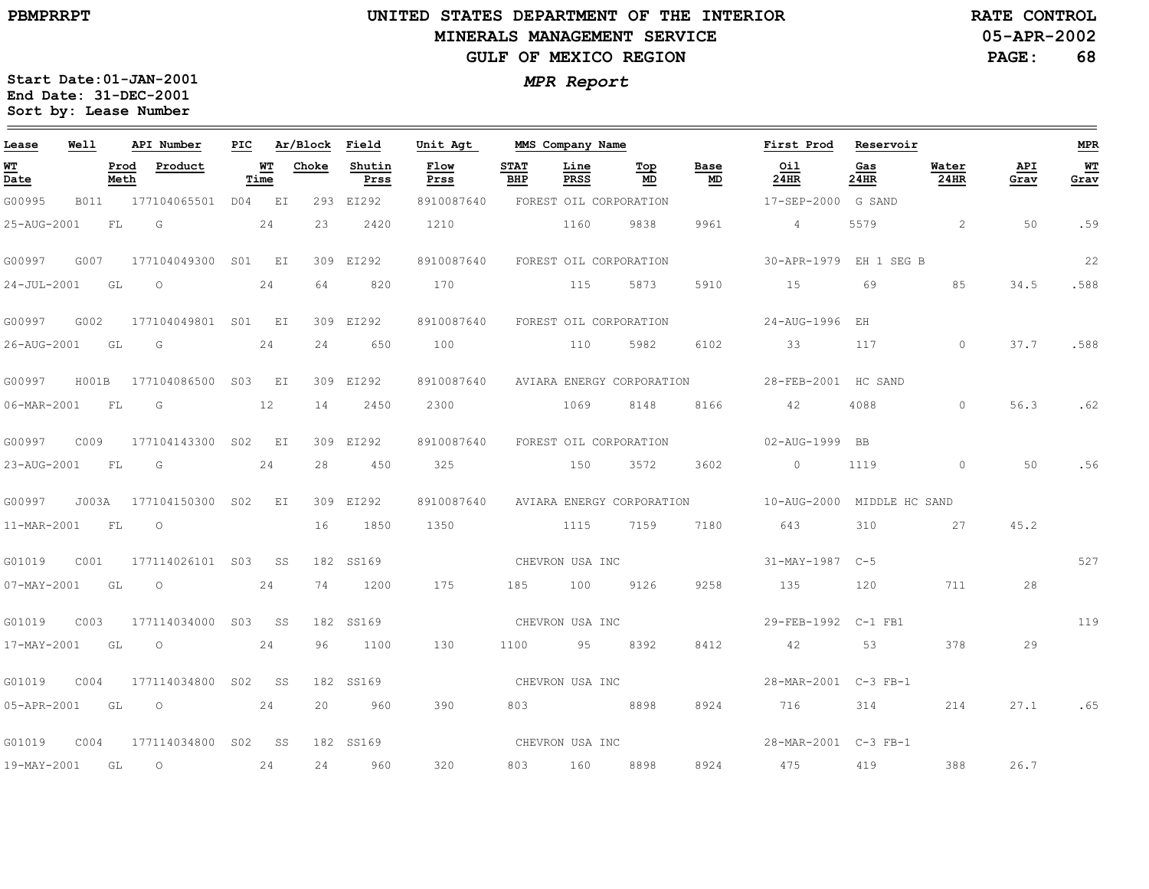**05-APR-2002RATE CONTROL**

**PAGE:68**

| Lease             | Well        | API Number       |                     |        |                 | PIC Ar/Block Field |                | Unit Agt     |                    | MMS Company Name    |                           |                         | First Prod Reservoir       |             |               |             | <b>MPR</b> |
|-------------------|-------------|------------------|---------------------|--------|-----------------|--------------------|----------------|--------------|--------------------|---------------------|---------------------------|-------------------------|----------------------------|-------------|---------------|-------------|------------|
| <u>WT</u><br>Date |             | Prod<br>Meth     | Product             | Time   | WТ              | Choke              | Shutin<br>Prss | Flow<br>Prss | <b>STAT</b><br>BHP | Line<br><b>PRSS</b> | Top<br>MD                 | Base<br>$\texttt{MD}{}$ | Oil<br>24HR                | Gas<br>24HR | Water<br>24HR | API<br>Grav | WT<br>Grav |
| G00995            | <b>B011</b> |                  | 177104065501 D04 EI |        |                 |                    | 293 EI292      | 8910087640   |                    |                     | FOREST OIL CORPORATION    |                         | 17-SEP-2000 G SAND         |             |               |             |            |
| 25-AUG-2001       |             | FL<br>G          |                     |        | 24              | 23                 | 2420           | 1210         |                    | 1160                | 9838                      | 9961                    | $\sim$ 4                   | 5579        | 2             | 50          | .59        |
| G00997            | G007        |                  | 177104049300 S01 EI |        |                 |                    | 309 EI292      | 8910087640   |                    |                     | FOREST OIL CORPORATION    |                         | 30-APR-1979 EH 1 SEG B     |             |               |             | 22         |
| $24 - JUL - 2001$ | GL          | $\circ$          |                     |        | 24              | 64                 | 820            | 170          |                    | 115                 | 5873                      | 5910                    | 15                         | 69          | 85            | 34.5        | .588       |
| G00997            | G002        |                  | 177104049801 S01 EI |        |                 |                    | 309 EI292      | 8910087640   |                    |                     | FOREST OIL CORPORATION    |                         | 24-AUG-1996 EH             |             |               |             |            |
| 26-AUG-2001       | GL          | G                |                     |        | 24              | 24                 | 650            | 100          |                    | 110                 | 5982                      | 6102                    | 33                         | 117         | $\circ$       | 37.7        | .588       |
| G00997            | H001B       |                  | 177104086500 S03 EI |        |                 |                    | 309 EI292      | 8910087640   |                    |                     | AVIARA ENERGY CORPORATION |                         | 28-FEB-2001 HC SAND        |             |               |             |            |
| 06-MAR-2001       | FL          | G                |                     | 12     |                 | 14                 | 2450           | 2300         |                    | 1069                | 8148                      | 8166                    | 42                         | 4088        | $\Omega$      | 56.3        | .62        |
| G00997            | C009        | 177104143300     |                     | S02    | EI              |                    | 309 EI292      | 8910087640   |                    |                     | FOREST OIL CORPORATION    |                         | 02-AUG-1999 BB             |             |               |             |            |
| 23-AUG-2001       | FL          | G                |                     |        | 24              | 2.8                | 450            | 325          |                    | 150                 | 3572                      | 3602                    | $\sim$ 0                   | 1119        | $\Omega$      | 50          | .56        |
| G00997            | J003A       | 177104150300 SO2 |                     |        | E I             |                    | 309 EI292      | 8910087640   |                    |                     | AVIARA ENERGY CORPORATION |                         | 10-AUG-2000 MIDDLE HC SAND |             |               |             |            |
| 11-MAR-2001       |             | FL<br>$\circ$    |                     |        |                 | 16                 | 1850           | 1350         |                    | 1115                | 7159                      | 7180                    | 643                        | 310         | 27            | 45.2        |            |
| G01019            | COO1        |                  | 177114026101 S03    |        | SS              |                    | 182 SS169      |              |                    | CHEVRON USA INC     |                           |                         | 31-MAY-1987 C-5            |             |               |             | 527        |
| $07 - MAX - 2001$ | GL          | $\circ$          |                     |        | 24              | 74                 | 1200           | 175          | 185                | 100                 | 9126                      | 9258                    | 135                        | 120         | 711           | 28          |            |
| G01019            | C003        | 177114034000     |                     | S03    | SS <sub>S</sub> |                    | 182 SS169      |              |                    | CHEVRON USA INC     |                           |                         | 29-FEB-1992 C-1 FB1        |             |               |             | 119        |
| 17-MAY-2001       | GL          | $\circ$          |                     |        | 24              | 96                 | 1100           | 130          | 1100               | 95                  | 8392                      | 8412                    | 42                         | 53          | 378           | 29          |            |
| G01019            | COO4        | 177114034800     |                     | S02 SS |                 |                    | 182 SS169      |              |                    | CHEVRON USA INC     |                           |                         | 28-MAR-2001 C-3 FB-1       |             |               |             |            |
| 05-APR-2001       | GL          | $\circ$          |                     |        | 24              | 20                 | 960            | 390          | 803                | 8898                |                           | 8924                    | 716                        | 314         | 214           | 27.1        | .65        |
| G01019            | COO4        |                  | 177114034800 S02 SS |        |                 |                    | 182 SS169      |              | CHEVRON USA INC    |                     |                           |                         | 28-MAR-2001 C-3 FB-1       |             |               |             |            |
| 19-MAY-2001       |             | GL<br>$\circ$    |                     |        | 24              | 24                 | 960            | 320          | 803                | 160                 | 8898                      | 8924                    | 475                        | 419         | 388           | 26.7        |            |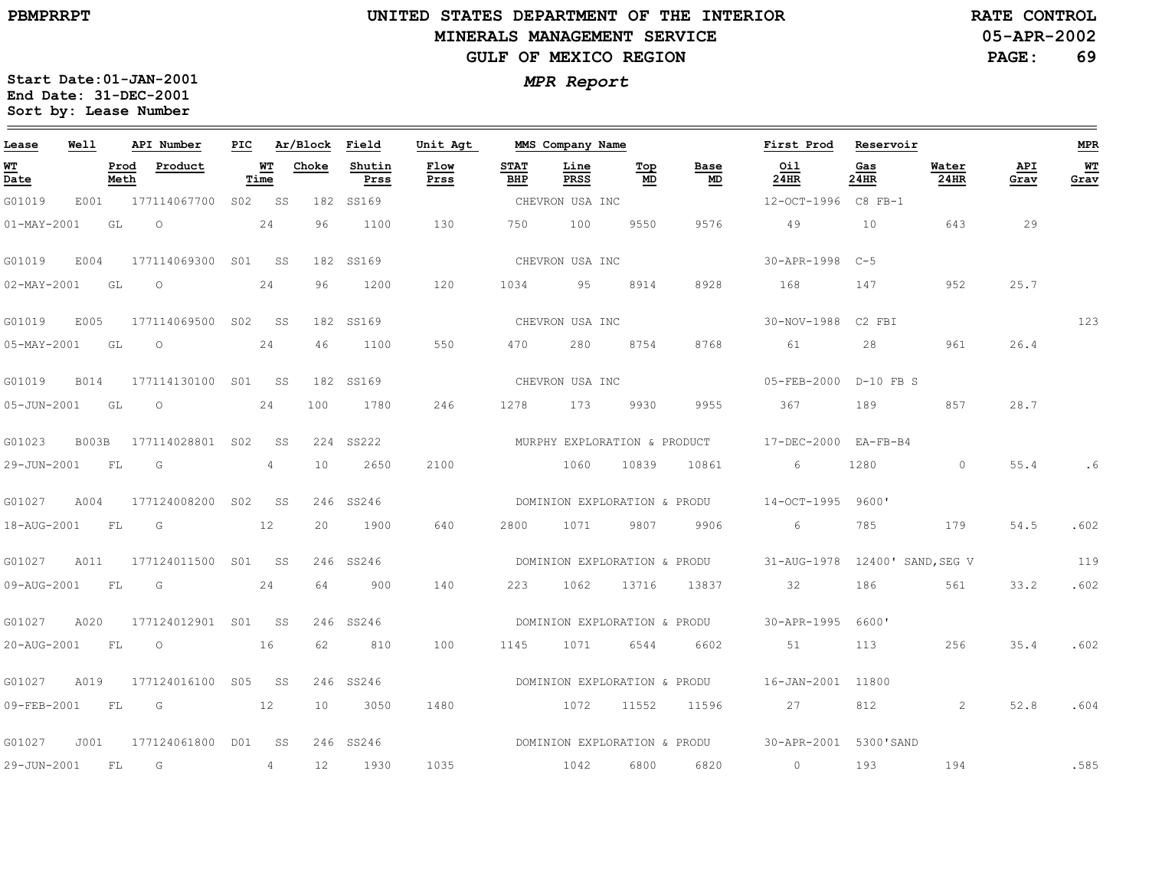### **UNITED STATES DEPARTMENT OF THE INTERIOR MINERALS MANAGEMENT SERVICEGULF OF MEXICO REGION**

**05-APR-2002RATE CONTROL**

**PAGE:69**

| Lease             | Well         |              | API Number          | PIC |                 | Ar/Block | Field          | Unit Agt     |                    | MMS Company Name |                              |            | First Prod                     | Reservoir   |               |                    | <b>MPR</b> |
|-------------------|--------------|--------------|---------------------|-----|-----------------|----------|----------------|--------------|--------------------|------------------|------------------------------|------------|--------------------------------|-------------|---------------|--------------------|------------|
| $WT$<br>Date      |              | Prod<br>Meth | Product             |     | WТ<br>Time      | Choke    | Shutin<br>Prss | Flow<br>Prss | <b>STAT</b><br>BHP | Line<br>PRSS     | Top<br>MD                    | Base<br>MD | Oil<br>24HR                    | Gas<br>24HR | Water<br>24HR | <b>API</b><br>Grav | WT<br>Grav |
| G01019            | E001         |              | 177114067700        | S02 | SS              |          | 182 SS169      |              |                    | CHEVRON USA INC  |                              |            | 12-OCT-1996 C8 FB-1            |             |               |                    |            |
| $01 - MAX - 2001$ |              | GL           | $\circ$             |     | 24              | 96       | 1100           | 130          | 750                | 100              | 9550                         | 9576       | 49                             | 10          | 643           | 29                 |            |
| G01019            | E004         |              | 177114069300        | S01 | SS.             |          | 182 SS169      |              |                    | CHEVRON USA INC  |                              |            | 30-APR-1998                    | $C-5$       |               |                    |            |
| $02 - MAX - 2001$ |              | GL           | $\circ$             |     | 24              | 96       | 1200           | 120          | 1034               | 95               | 8914                         | 8928       | 168                            | 147         | 952           | 25.7               |            |
| G01019            | E005         |              | 177114069500 S02    |     | SS              |          | 182 SS169      |              |                    | CHEVRON USA INC  |                              |            | 30-NOV-1988 C2 FBI             |             |               |                    | 123        |
| $05 - MAX - 2001$ |              | GL           | $\circ$             |     | 24              | 46       | 1100           | 550          | 470                | 280              | 8754                         | 8768       | 61                             | 28          | 961           | 26.4               |            |
| G01019            | <b>B014</b>  |              | 177114130100 S01    |     | SS              |          | 182 SS169      |              |                    | CHEVRON USA INC  |                              |            | $05 - FEB - 2000$              | $D-10$ FB S |               |                    |            |
| 05-JUN-2001       |              | GL           | $\circ$             |     | 24              | 100      | 1780           | 246          | 1278               | 173              | 9930                         | 9955       | 367                            | 189         | 857           | 28.7               |            |
| G01023            | <b>B003B</b> |              | 177114028801 S02    |     | SS              |          | 224 SS222      |              |                    |                  | MURPHY EXPLORATION & PRODUCT |            | 17-DEC-2000 EA-FB-B4           |             |               |                    |            |
| 29-JUN-2001       |              | FL           | G                   |     | $\overline{4}$  | 10       | 2650           | 2100         |                    | 1060             | 10839                        | 10861      | 6                              | 1280        | $\circ$       | 55.4               | . 6        |
| G01027            | A004         |              | 177124008200        | S02 | SS              |          | 246 SS246      |              |                    |                  | DOMINION EXPLORATION & PRODU |            | $14 - OCT - 1995$              | 9600'       |               |                    |            |
| 18-AUG-2001       |              | FL           | G                   |     | 12              | 20       | 1900           | 640          | 2800               | 1071             | 9807                         | 9906       | 6                              | 785         | 179           | 54.5               | .602       |
| G01027            | A011         |              | 177124011500 S01    |     | SS <sub>S</sub> |          | 246 SS246      |              |                    |                  | DOMINION EXPLORATION & PRODU |            | 31-AUG-1978 12400' SAND, SEG V |             |               |                    | 119        |
| 09-AUG-2001       |              | FL           | G                   |     | 24              | 64       | 900            | 140          | 223                | 1062             | 13716                        | 13837      | 32                             | 186         | 561           | 33.2               | .602       |
| G01027            | A020         |              | 177124012901 S01 SS |     |                 |          | 246 SS246      |              |                    |                  | DOMINION EXPLORATION & PRODU |            | 30-APR-1995                    | 6600'       |               |                    |            |
| 20-AUG-2001       |              | FL           | $\circ$             |     | 16              | 62       | 810            | 100          | 1145               | 1071             | 6544                         | 6602       | 51                             | 113         | 256           | 35.4               | .602       |
| G01027            | A019         |              | 177124016100 S05    |     | SS S            |          | 246 SS246      |              |                    |                  | DOMINION EXPLORATION & PRODU |            | 16-JAN-2001 11800              |             |               |                    |            |
| 09-FEB-2001       |              | FL           | G                   |     | 12              | 10       | 3050           | 1480         |                    | 1072             | 11552                        | 11596      | 27                             | 812         | 2             | 52.8               | .604       |
| G01027            | J001         |              | 177124061800        | DO1 | SS              |          | 246 SS246      |              |                    |                  | DOMINION EXPLORATION & PRODU |            | 30-APR-2001 5300'SAND          |             |               |                    |            |
| 29-JUN-2001       |              | FL           | G                   |     | 4               | 12       | 1930           | 1035         |                    | 1042             | 6800                         | 6820       | $\circ$                        | 193         | 194           |                    | .585       |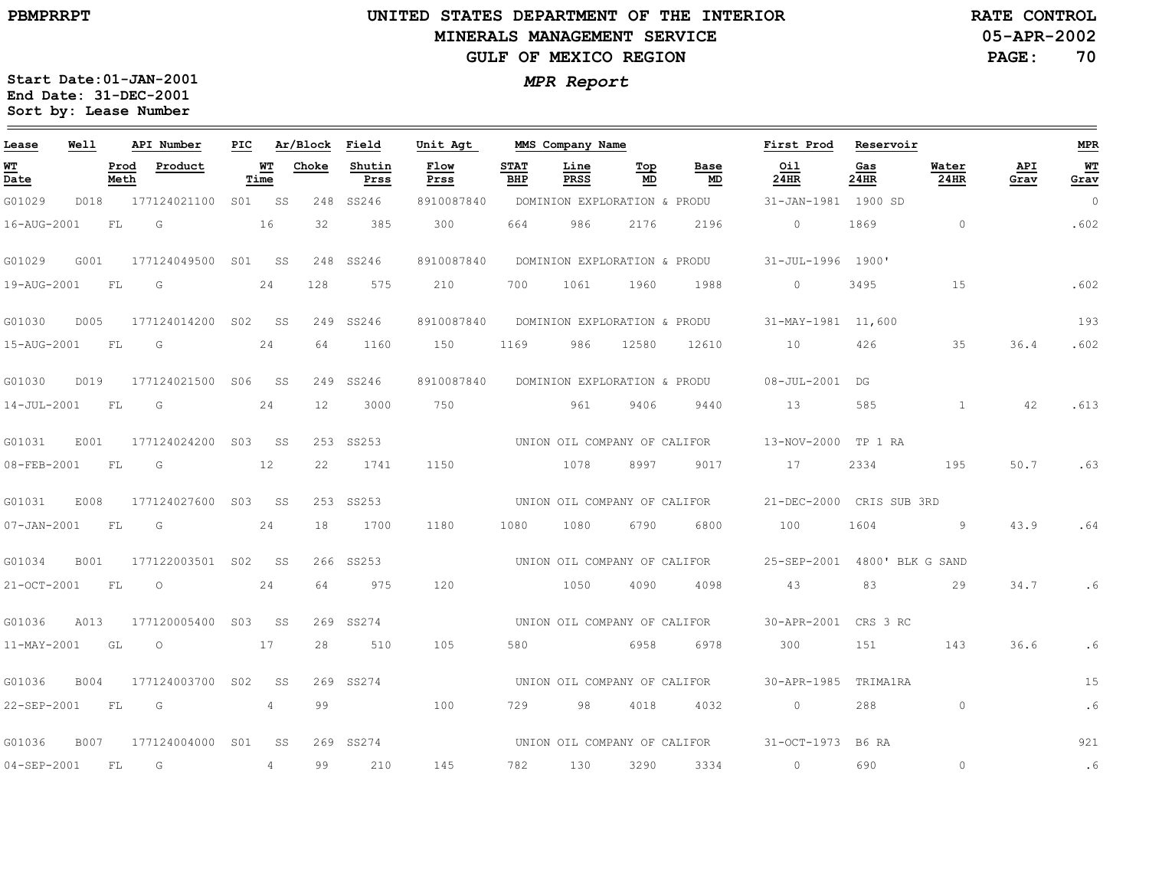**05-APR-2002RATE CONTROL**

**PAGE:70**

| Lease             | Well        |              | API Number       | PIC             |                | Ar/Block | Field          | Unit Agt     |                    | MMS Company Name             |           |            | First Prod               | Reservoir   |                      |             | <b>MPR</b>     |
|-------------------|-------------|--------------|------------------|-----------------|----------------|----------|----------------|--------------|--------------------|------------------------------|-----------|------------|--------------------------|-------------|----------------------|-------------|----------------|
| WT<br>Date        |             | Prod<br>Meth | Product          |                 | WT<br>Time     | Choke    | Shutin<br>Prss | Flow<br>Prss | <b>STAT</b><br>BHP | Line<br><b>PRSS</b>          | Тор<br>MD | Base<br>MD | Oil<br>24HR              | Gas<br>24HR | Water<br><b>24HR</b> | API<br>Grav | WT<br>Grav     |
| G01029            | D018        |              | 177124021100     |                 | S01 SS         | 248      | SS246          | 8910087840   |                    | DOMINION EXPLORATION & PRODU |           |            | 31-JAN-1981 1900 SD      |             |                      |             | $\overline{0}$ |
| 16-AUG-2001       |             | FL           | G                |                 | 16             | 32       | 385            | 300          | 664                | 986                          | 2176      | 2196       | $\circ$                  | 1869        | $\circ$              |             | .602           |
| G01029            | G001        |              | 177124049500     | SO1             | SS             | 248      | SS246          | 8910087840   |                    | DOMINION EXPLORATION & PRODU |           |            | 31-JUL-1996 1900'        |             |                      |             |                |
| 19-AUG-2001       |             | FL.          | G                |                 | 24             | 128      | 575            | 210          | 700                | 1061                         | 1960      | 1988       | $\sim$ 0                 | 3495        | 15                   |             | .602           |
| G01030            | D005        |              | 177124014200     | S02             | SS             |          | 249 SS246      | 8910087840   |                    | DOMINION EXPLORATION & PRODU |           |            | 31-MAY-1981 11,600       |             |                      |             | 193            |
| 15-AUG-2001       |             | FL           | G                |                 | 24             | 64       | 1160           | 150          | 1169               | 986                          | 12580     | 12610      | 10                       | 426         | 35                   | 36.4        | .602           |
| G01030            | D019        |              | 177124021500     | S06             | SS             |          | 249 SS246      | 8910087840   |                    | DOMINION EXPLORATION & PRODU |           |            | $08 - JUL - 2001$        | DG          |                      |             |                |
| 14-JUL-2001       |             | FL           | G                |                 | 24             | 12       | 3000           | 750          |                    | 961                          | 9406      | 9440       | 13                       | 585         | $\mathbf{1}$         | 42          | .613           |
| G01031            | E001        |              | 177124024200     | S03             | SS             |          | 253 SS253      |              |                    | UNION OIL COMPANY OF CALIFOR |           |            | 13-NOV-2000 TP 1 RA      |             |                      |             |                |
| 08-FEB-2001       |             | ${\rm FL}$   | G                |                 | 12             | 22       | 1741           | 1150         |                    | 1078                         | 8997      | 9017       | 17                       | 2334        | 195                  | 50.7        | .63            |
| G01031            | E008        |              | 177124027600     | S03             | SS             |          | 253 SS253      |              |                    | UNION OIL COMPANY OF CALIFOR |           |            | 21-DEC-2000 CRIS SUB 3RD |             |                      |             |                |
| $07 - JAN - 2001$ |             | FL           | G                |                 | 24             | 18       | 1700           | 1180         | 1080               | 1080                         | 6790      | 6800       | 100                      | 1604        | 9                    | 43.9        | .64            |
| G01034            | <b>B001</b> |              | 177122003501 S02 |                 | SS             |          | 266 SS253      |              |                    | UNION OIL COMPANY OF CALIFOR |           |            | 25-SEP-2001              |             | 4800' BLK G SAND     |             |                |
| 21-OCT-2001       |             | FL           | $\circ$          |                 | 24             | 64       | 975            | 120          |                    | 1050                         | 4090      | 4098       | 43                       | 83          | 29                   | 34.7        | .6             |
| G01036            | A013        |              | 177120005400     | S <sub>03</sub> | SS             |          | 269 SS274      |              |                    | UNION OIL COMPANY OF CALIFOR |           |            | 30-APR-2001              | CRS 3 RC    |                      |             |                |
| $11 - MAX - 2001$ |             | GL           | $\circ$          |                 | 17             | 28       | 510            | 105          | 580                |                              | 6958      | 6978       | 300                      | 151         | 143                  | 36.6        | .6             |
| G01036            | B004        |              | 177124003700     | S02             | SS             |          | 269 SS274      |              |                    | UNION OIL COMPANY OF CALIFOR |           |            | 30-APR-1985              | TRIMA1RA    |                      |             | 15             |
| 22-SEP-2001       |             | ${\rm FL}$   | G                |                 | $\overline{4}$ | 99       |                | 100          | 729                | 98                           | 4018      | 4032       | $\circ$                  | 288         | $\circ$              |             | .6             |
| G01036            | <b>B007</b> |              | 177124004000 S01 |                 | SS             |          | 269 SS274      |              |                    | UNION OIL COMPANY OF CALIFOR |           |            | $31 - OCT - 1973$        | B6 RA       |                      |             | 921            |
| 04-SEP-2001       |             | FL           | G                |                 | 4              | 99       | 210            | 145          | 782                | 130                          | 3290      | 3334       | $\circ$                  | 690         | $\circ$              |             | .6             |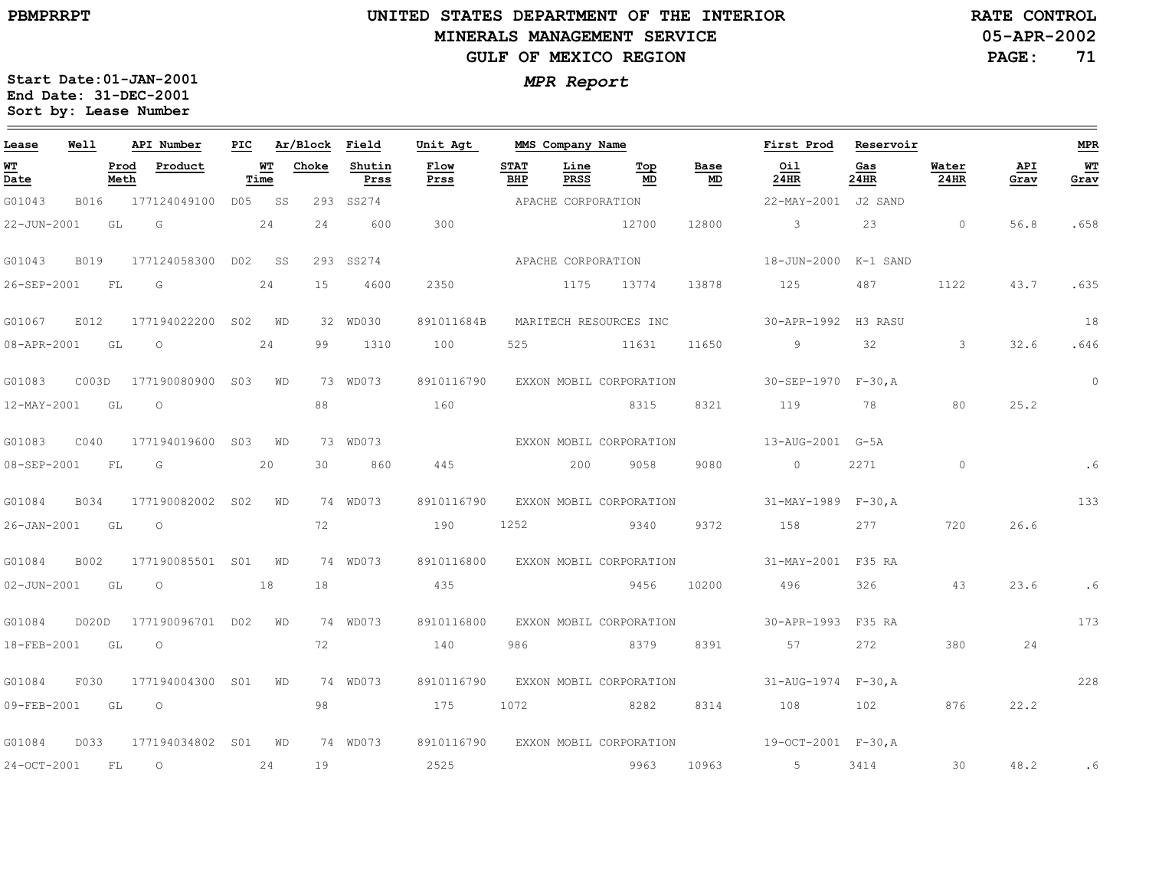# **UNITED STATES DEPARTMENT OF THE INTERIOR MINERALS MANAGEMENT SERVICEGULF OF MEXICO REGION**

**05-APR-2002RATE CONTROL**

**PAGE:71**

| Lease          | Well        |              | API Number                |                   |       | PIC Ar/Block Field | Unit Agt                           |                    | MMS Company Name    |                         |            | First Prod Reservoir                                   |             |                          |             | <b>MPR</b> |
|----------------|-------------|--------------|---------------------------|-------------------|-------|--------------------|------------------------------------|--------------------|---------------------|-------------------------|------------|--------------------------------------------------------|-------------|--------------------------|-------------|------------|
| WТ<br>Date     |             | Prod<br>Meth | Product                   | <b>WT</b><br>Time | Choke | Shutin<br>Prss     | Flow<br>Prss                       | <b>STAT</b><br>BHP | Line<br><b>PRSS</b> | Top<br>MD               | Base<br>MD | Oil<br>$24$ HR                                         | Gas<br>24HR | Water<br>$24$ HR         | API<br>Grav | WT<br>Grav |
| G01043         | <b>B016</b> |              | 177124049100 D05 SS       |                   |       | 293 SS274          |                                    |                    | APACHE CORPORATION  |                         |            | 22-MAY-2001 J2 SAND                                    |             |                          |             |            |
| 22-JUN-2001    |             | GL           | $\overline{G}$            | 24                | 24    | 600                | 300                                |                    |                     | 12700                   | 12800      | $\overline{\mathbf{3}}$                                | 23          | $\sim$ 0 $\sim$ 0 $\sim$ | 56.8        | .658       |
| G01043         | B019        |              | 177124058300 D02 SS       |                   |       | 293 SS274          |                                    |                    | APACHE CORPORATION  |                         |            | 18-JUN-2000 K-1 SAND                                   |             |                          |             |            |
| 26-SEP-2001    |             | FL           | $\overline{G}$            | 24                | 15    | 4600               | 2350                               |                    |                     | 1175 13774              | 13878      | 125                                                    | 487         | 1122                     | 43.7        | .635       |
| G01067         | E012        |              | 177194022200 S02 WD       |                   |       | 32 WD030           | 891011684B                         |                    |                     | MARITECH RESOURCES INC  |            | 30-APR-1992 H3 RASU                                    |             |                          |             | 18         |
| 08-APR-2001 GL |             |              | $\overline{\phantom{0}}$  | 24                |       | 99 1310            | 100                                |                    |                     | 525 11631               | 11650      | $9 \t 32 \t 3$                                         |             |                          | 32.6        | .646       |
| G01083         |             |              | C003D 177190080900 S03 WD |                   |       | 73 WD073           | 8910116790                         |                    |                     | EXXON MOBIL CORPORATION |            | $30 - SEP - 1970$ $F - 30$ , A                         |             |                          |             | $\circ$    |
| 12-MAY-2001    |             | GL           | $\circ$                   |                   | 88    |                    | 160                                |                    |                     | 8315                    | 8321       | 119                                                    | 78          | 80                       | 25.2        |            |
| G01083         | C040        |              | 177194019600 S03 WD       |                   |       | 73 WD073           | EXXON MOBIL CORPORATION            |                    |                     |                         |            | $13 - \text{AUG} - 2001$ $\text{G} - 5\text{A}$        |             |                          |             |            |
| 08-SEP-2001 FL |             |              | $\overline{G}$            | 20                |       | 30 860             | 445                                |                    |                     | 200 9058                | 9080       | $\overline{0}$                                         | 2271        | $\overline{0}$           |             |            |
| G01084         | B034        |              | 177190082002 S02 WD       |                   |       | 74 WD073           | 8910116790                         |                    |                     | EXXON MOBIL CORPORATION |            | $31 - MAX - 1989$ $F-30, A$                            |             |                          |             | 133        |
| 26-JAN-2001 GL |             |              | $\overline{O}$            |                   | 72    |                    | 190                                | 1252               |                     | 9340 9372               |            | 158 277                                                |             | 720                      | 26.6        |            |
| G01084         | B002        |              | 177190085501 S01 WD       |                   |       | 74 WD073           |                                    |                    |                     |                         |            | 8910116800 EXXON MOBIL CORPORATION 31-MAY-2001 F35 RA  |             |                          |             |            |
| 02-JUN-2001 GL |             |              | $\overline{O}$            | 18                | 18    |                    | 435                                |                    |                     | 9456                    | 10200      | 496                                                    | 326         | 43                       | 23.6        | . 6        |
| G01084         |             |              | D020D 177190096701 D02 WD |                   |       | 74 WD073           | 8910116800                         |                    |                     | EXXON MOBIL CORPORATION |            | 30-APR-1993 F35 RA                                     |             |                          |             | 173        |
| 18-FEB-2001    |             | GL           | $\circ$                   |                   | 72    |                    | 140                                | 986                |                     | 8379                    | 8391       | 57                                                     | 272         | 380                      | 24          |            |
| G01084         | F030        |              | 177194004300 S01 WD       |                   |       | 74 WD073           |                                    |                    |                     |                         |            | 8910116790 EXXON MOBIL CORPORATION 31-AUG-1974 F-30, A |             |                          |             | 228        |
| 09-FEB-2001    |             | GL           | $\overline{O}$            |                   | 98    |                    | 175                                | 1072               |                     | 8282                    |            | 8314 108                                               | 102         | 876                      | 22.2        |            |
| G01084         | D033        |              | 177194034802 S01 WD       |                   |       | 74 WD073           | 8910116790 EXXON MOBIL CORPORATION |                    |                     |                         |            | $19-OCT-2001$ $F-30, A$                                |             |                          |             |            |
| 24-OCT-2001    |             | FL           | $\overline{\phantom{0}}$  | 24                | 19    |                    | 2525                               |                    |                     | 9963                    | 10963      | $5 - 5$                                                | 3414        | $\sim$ 30                | 48.2        | .6         |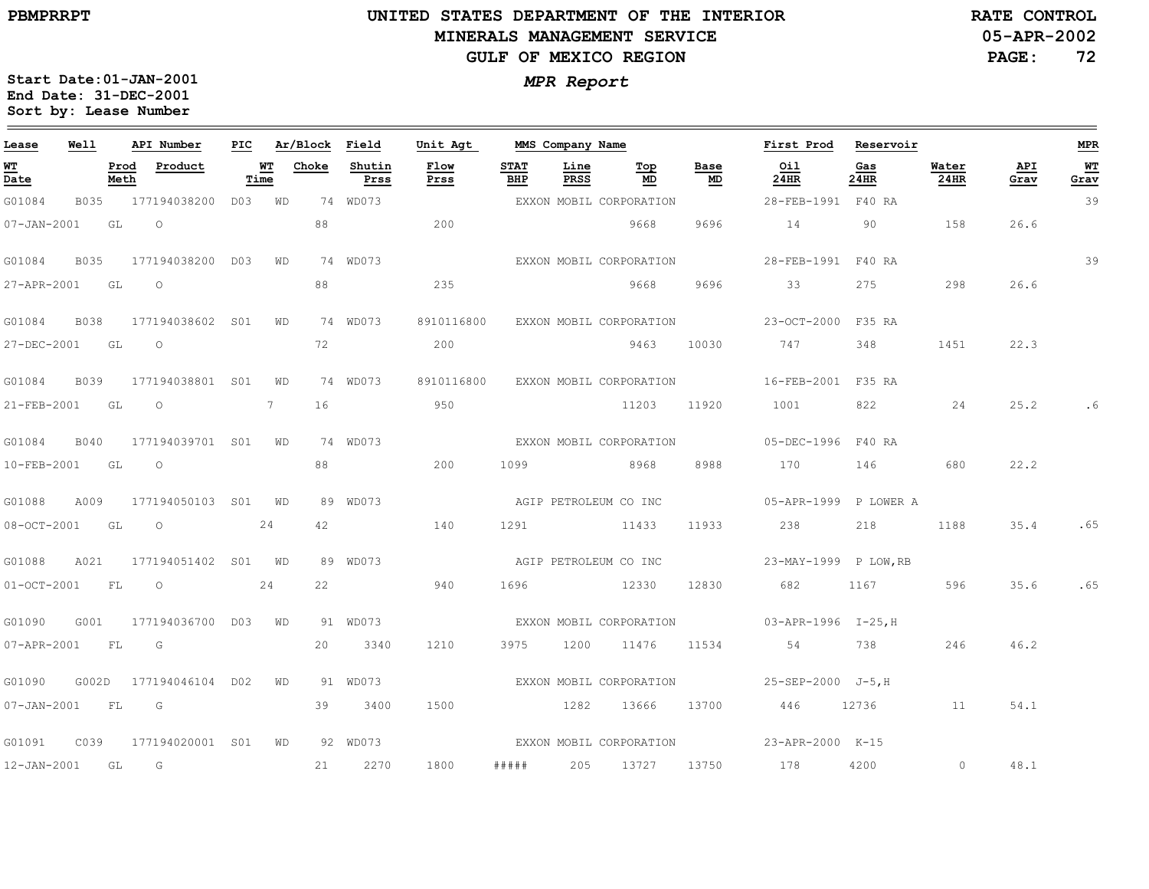$\equiv$ 

# **UNITED STATES DEPARTMENT OF THE INTERIOR MINERALS MANAGEMENT SERVICEGULF OF MEXICO REGION**

**05-APR-2002RATE CONTROL**

**PAGE:72**

| Lease            | Well |              | API Number                | PIC  |    | Ar/Block Field |                | Unit Agt     |                    | MMS Company Name |                                    |            | First Prod                                  | Reservoir   |               |             | <b>MPR</b> |
|------------------|------|--------------|---------------------------|------|----|----------------|----------------|--------------|--------------------|------------------|------------------------------------|------------|---------------------------------------------|-------------|---------------|-------------|------------|
| WТ<br>Date       |      | Prod<br>Meth | Product                   | Time | WT | Choke          | Shutin<br>Prss | Flow<br>Prss | <b>STAT</b><br>BHP | Line<br>PRSS     | Тор<br>MD                          | Base<br>MD | Oil<br>24HR                                 | Gas<br>24HR | Water<br>24HR | API<br>Grav | WT<br>Grav |
| G01084           |      |              | B035 177194038200 D03 WD  |      |    |                | 74 WD073       |              |                    |                  | EXXON MOBIL CORPORATION            |            | 28-FEB-1991 F40 RA                          |             |               |             | 39         |
| 07-JAN-2001      | GL   |              | $\overline{O}$            |      |    | 88             |                | 200          |                    |                  | 9668                               | 9696       | 14                                          | 90          | 158           | 26.6        |            |
| G01084           | B035 |              | 177194038200 D03 WD       |      |    |                | 74 WD073       |              |                    |                  | EXXON MOBIL CORPORATION            |            | 28-FEB-1991 F40 RA                          |             |               |             | 39         |
| 27-APR-2001 GL   |      |              | $\overline{O}$            |      |    | 88             |                | 235          |                    |                  | 9668                               | 9696       | 33                                          | 275 — 275   | 298           | 26.6        |            |
| G01084           | B038 |              | 177194038602 S01 WD       |      |    |                | 74 WD073       |              |                    |                  | 8910116800 EXXON MOBIL CORPORATION |            | 23-OCT-2000 F35 RA                          |             |               |             |            |
| 27-DEC-2001 GL   |      |              | $\overline{O}$            |      |    | 72             |                | 200          |                    |                  | 9463                               | 10030      | 747                                         | 348 — 100   | 1451          | 22.3        |            |
| G01084           | B039 |              | 177194038801 S01 WD       |      |    |                | 74 WD073       |              |                    |                  | 8910116800 EXXON MOBIL CORPORATION |            | 16-FEB-2001 F35 RA                          |             |               |             |            |
| 21-FEB-2001      | GL   |              | $\overline{O}$            |      | 7  | 16             |                | 950          |                    |                  | 11203                              | 11920      | 1001                                        | 822 24      |               | 25.2        | . 6        |
| G01084           | B040 |              | 177194039701 S01 WD       |      |    |                | 74 WD073       |              |                    |                  | EXXON MOBIL CORPORATION            |            | 05-DEC-1996 F40 RA                          |             |               |             |            |
| 10-FEB-2001 GL   |      |              | $\overline{O}$            |      |    | 88             |                | 200          |                    |                  | 1099 8968 8988                     |            | 170 146                                     |             | 680           | 22.2        |            |
| G01088           | A009 |              | 177194050103 S01 WD       |      |    |                | 89 WD073       |              |                    |                  | AGIP PETROLEUM CO INC              |            | 05-APR-1999 P LOWER A                       |             |               |             |            |
| 08-OCT-2001 GL   |      |              | $\overline{O}$            |      | 24 | 42             |                | 140          |                    | 1291 — 200       | 11433                              |            | 11933 238                                   | 218         | 1188          | 35.4        | .65        |
| G01088           | A021 |              | 177194051402 SO1 WD       |      |    |                | 89 WD073       |              |                    |                  | AGIP PETROLEUM CO INC              |            | 23-MAY-1999 P LOW, RB                       |             |               |             |            |
|                  |      |              | 01-OCT-2001 FL 0 24       |      |    |                | 22             | 940          | 1696               |                  | 12330                              | 12830      | 682 1167                                    |             | 596           | 35.6        | .65        |
| G01090           | G001 |              | 177194036700 D03 WD       |      |    |                | 91 WD073       |              |                    |                  |                                    |            | EXXON MOBIL CORPORATION 03-APR-1996 I-25, H |             |               |             |            |
| 07-APR-2001 FL   |      |              | G                         |      |    |                | 20 3340        | 1210         | 3975               |                  |                                    |            | 1200 11476 11534 54 738                     |             | 246           | 46.2        |            |
| G01090           |      |              | G002D 177194046104 D02 WD |      |    |                | 91 WD073       |              |                    |                  |                                    |            | EXXON MOBIL CORPORATION 25-SEP-2000 J-5, H  |             |               |             |            |
| 07-JAN-2001 FL G |      |              |                           |      |    |                | 39 3400        | 1500         |                    |                  |                                    |            | 1282 13666 13700 446 12736 11               |             |               | 54.1        |            |
|                  |      |              |                           |      |    |                | 92 WD073       |              |                    |                  |                                    |            | EXXON MOBIL CORPORATION 23-APR-2000 K-15    |             |               |             |            |
| 12-JAN-2001 GL G |      |              |                           |      |    |                | 21 2270        | 1800         |                    |                  |                                    |            | ##### 205 13727 13750 178                   | 4200        | $\sim$ 0      | 48.1        |            |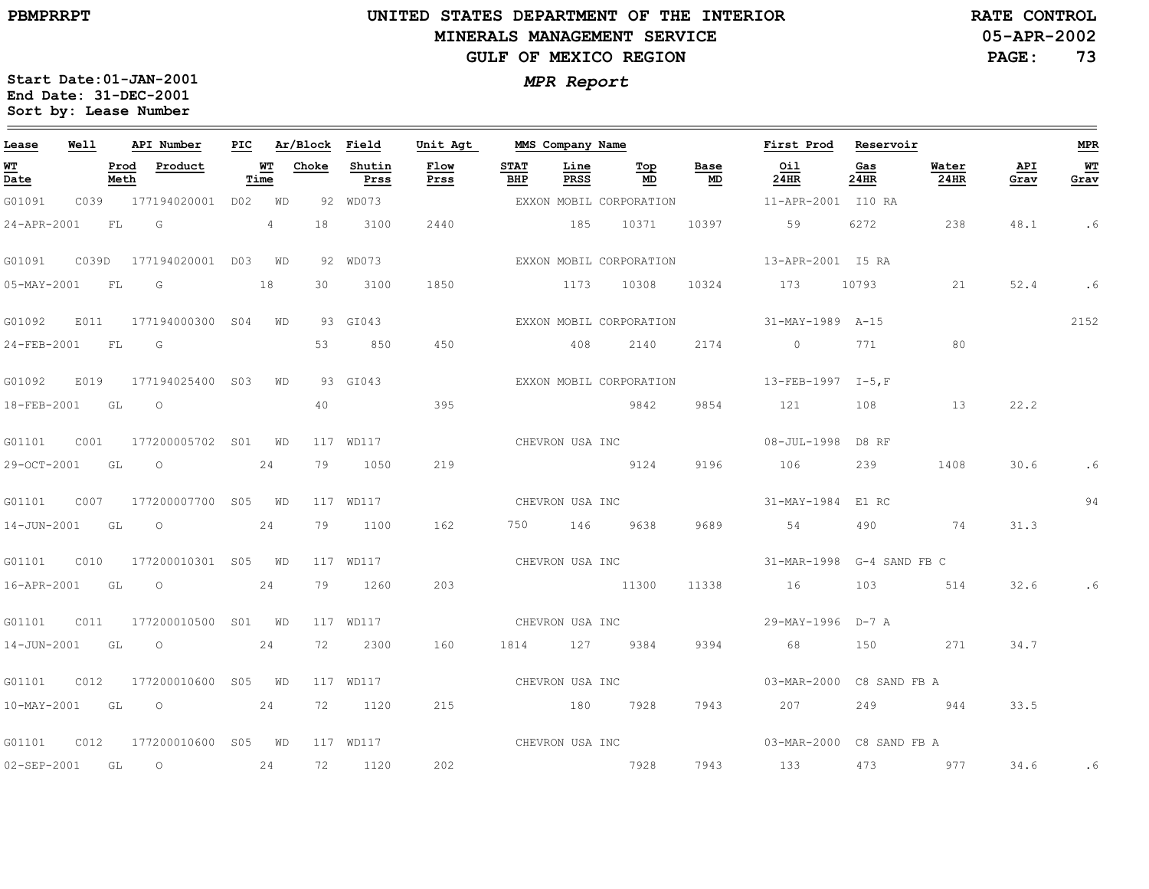## **UNITED STATES DEPARTMENT OF THE INTERIOR MINERALS MANAGEMENT SERVICEGULF OF MEXICO REGION**

**05-APR-2002RATE CONTROL**

**PAGE:73**

| Lease             | Well  |              | API Number          | PIC |            | Ar/Block | Field          | Unit Agt     |                    |                 | MMS Company Name        |            | First Prod Reservoir      |              |               |             | <b>MPR</b> |
|-------------------|-------|--------------|---------------------|-----|------------|----------|----------------|--------------|--------------------|-----------------|-------------------------|------------|---------------------------|--------------|---------------|-------------|------------|
| <u>WT</u><br>Date |       | Prod<br>Meth | Product             |     | WT<br>Time | Choke    | Shutin<br>Prss | Flow<br>Prss | <b>STAT</b><br>BHP | Line<br>PRSS    | Top<br>MD               | Base<br>MD | Oil<br>24HR               | Gas<br>24HR  | Water<br>24HR | API<br>Grav | WT<br>Grav |
| G01091            | C039  |              | 177194020001        | D02 | WD         |          | 92 WD073       |              |                    |                 | EXXON MOBIL CORPORATION |            | 11-APR-2001 I10 RA        |              |               |             |            |
| 24-APR-2001       |       | FL           | G                   |     | 4          | 18       | 3100           | 2440         |                    | 185             | 10371                   | 10397      | 59                        | 6272         | 238           | 48.1        | . 6        |
| G01091            | C039D |              | 177194020001 D03 WD |     |            |          | 92 WD073       |              |                    |                 | EXXON MOBIL CORPORATION |            | 13-APR-2001 I5 RA         |              |               |             |            |
| 05-MAY-2001       |       | <b>FL</b>    | G                   |     | 18         | 30       | 3100           | 1850         |                    |                 | 1173 10308              | 10324      | 173                       | 10793        | 21            | 52.4        | . 6        |
| G01092            | E011  |              | 177194000300 S04    |     | WD         |          | 93 GI043       |              |                    |                 | EXXON MOBIL CORPORATION |            | 31-MAY-1989 A-15          |              |               |             | 2152       |
| 24-FEB-2001       |       | FL           | G                   |     |            | 53       | 850            | 450          |                    | 408             | 2140                    | 2174       | $\circ$                   | 771          | 80            |             |            |
| G01092            | E019  |              | 177194025400 S03    |     | WD         |          | 93 GI043       |              |                    |                 | EXXON MOBIL CORPORATION |            | 13-FEB-1997 I-5, F        |              |               |             |            |
| 18-FEB-2001       |       | GL           | $\circ$             |     |            | 40       |                | 395          |                    |                 | 9842                    | 9854       | 121                       | 108          | 13            | 22.2        |            |
| G01101            | C001  |              | 177200005702 S01 WD |     |            |          | 117 WD117      |              |                    | CHEVRON USA INC |                         |            | 08-JUL-1998 D8 RF         |              |               |             |            |
| 29-OCT-2001       |       | GL GL        | $\circ$             |     | 24         | 79       | 1050           | 219          |                    |                 | 9124                    | 9196       | 106                       | 239          | 1408          | 30.6        | . 6        |
| G01101            | C007  |              | 177200007700 S05 WD |     |            |          | 117 WD117      |              |                    | CHEVRON USA INC |                         |            | 31-MAY-1984 E1 RC         |              |               |             | 94         |
| $14 - JUN - 2001$ |       | GL           | $\overline{O}$      |     | 24         | 79       | 1100           | 162          |                    | 750 146         | 9638                    | 9689       | 54                        | 490          | 74            | 31.3        |            |
| G01101            | C010  |              | 177200010301 S05    |     | WD         |          | 117 WD117      |              |                    |                 | CHEVRON USA INC         |            | 31-MAR-1998 G-4 SAND FB C |              |               |             |            |
| 16-APR-2001 GL    |       |              | $\circ$             |     | 24         | 79       | 1260           | 203          |                    |                 | 11300                   | 11338      | 16                        | 103          | 514           | 32.6        |            |
| G01101            | C011  |              | 177200010500 S01 WD |     |            |          | 117 WD117      |              | CHEVRON USA INC    |                 |                         |            | 29-MAY-1996 D-7 A         |              |               |             |            |
| 14-JUN-2001       |       | GL           | $\circ$             |     | 24         | 72       | 2300           | 160          | 1814 127           |                 | 9384                    | 9394       | 68                        | 150          | 271           | 34.7        |            |
| G01101            | C012  |              | 177200010600        | S05 | WD         |          | 117 WD117      |              | CHEVRON USA INC    |                 |                         |            | 03-MAR-2000               | C8 SAND FB A |               |             |            |
| 10-MAY-2001 GL    |       |              | $\circ$             |     | 24         | 72       | 1120           | 215          |                    | 180             | 7928                    | 7943       | 207                       | 249          | 944           | 33.5        |            |
| G01101            | CO12  |              | 177200010600 S05 WD |     |            |          | 117 WD117      |              |                    | CHEVRON USA INC |                         |            | 03-MAR-2000 C8 SAND FB A  |              |               |             |            |
| 02-SEP-2001       |       | GL           | $\circ$             |     | 24         | 72       | 1120           | 202          |                    |                 | 7928                    | 7943       | 133                       | 473          | 977           | 34.6        | . 6        |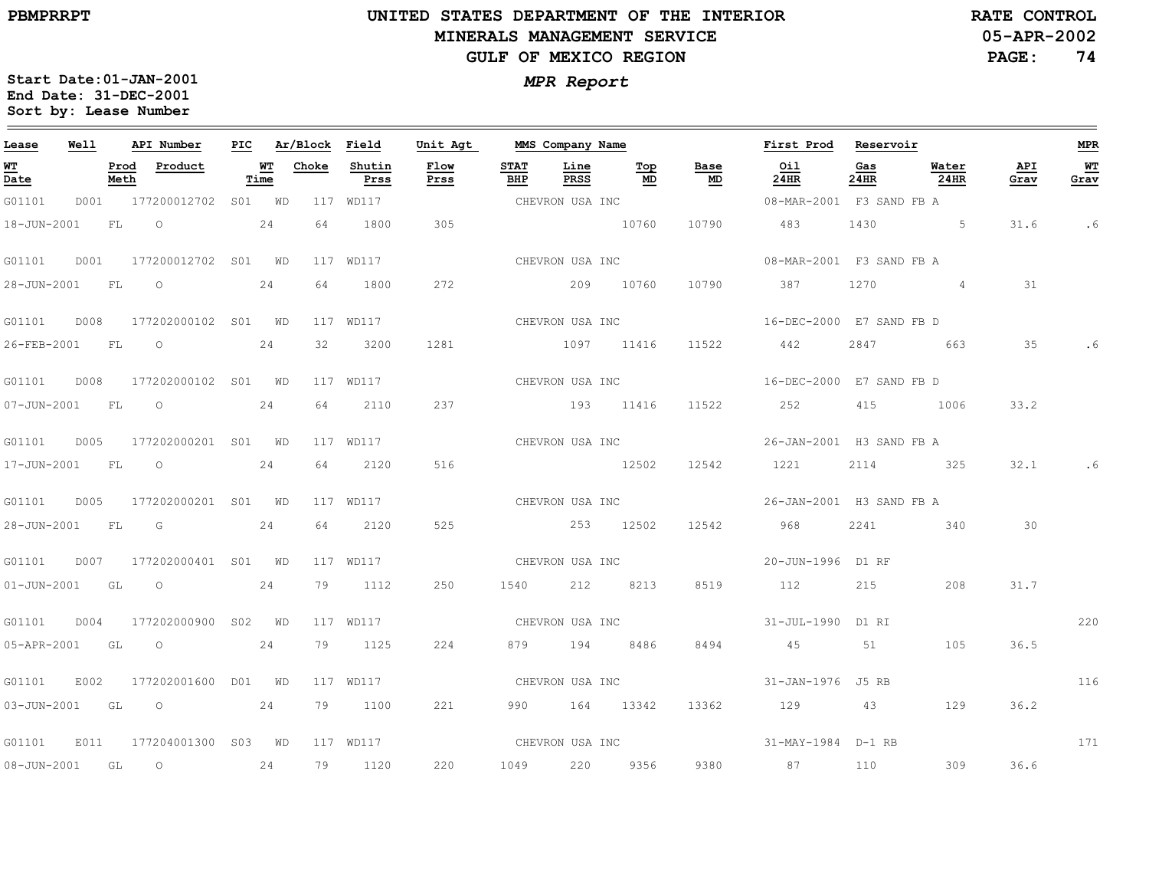# **UNITED STATES DEPARTMENT OF THE INTERIOR MINERALS MANAGEMENT SERVICEGULF OF MEXICO REGION**

**05-APR-2002RATE CONTROL**

**PAGE:74**

| Lease            | <b>Well</b> |              | API Number                      |      | PIC Ar/Block Field |                | Unit Agt        |                    | MMS Company Name |                 |                                   | First Prod Reservoir     |             |                 |             | MPR        |
|------------------|-------------|--------------|---------------------------------|------|--------------------|----------------|-----------------|--------------------|------------------|-----------------|-----------------------------------|--------------------------|-------------|-----------------|-------------|------------|
| WT<br>Date       |             | Prod<br>Meth | Product                         | Time | WT Choke           | Shutin<br>Prss | Flow<br>Prss    | <b>STAT</b><br>BHP | Line<br>PRSS     | Тор<br>MD       | Base<br>$\underline{\mathsf{MD}}$ | Oil<br>24HR              | Gas<br>24HR | Water<br>24HR   | API<br>Grav | WT<br>Grav |
| G01101           |             |              | D001 177200012702 S01 WD        |      |                    | 117 WD117      |                 | CHEVRON USA INC    |                  |                 |                                   | 08-MAR-2001 F3 SAND FB A |             |                 |             |            |
|                  |             |              | 18-JUN-2001 FL 0 24             |      | 64                 | 1800           | 305             |                    |                  | 10760           | 10790                             | 483 1430 5               |             |                 | 31.6        | . 6        |
| G01101           | D001        |              | 177200012702 S01 WD             |      |                    | 117 WD117      |                 |                    |                  |                 | CHEVRON USA INC                   | 08-MAR-2001 F3 SAND FB A |             |                 |             |            |
| 28-JUN-2001 FL O |             |              | 24                              |      | 64                 | 1800           | 272             |                    |                  | 209 10760       | 10790                             | 387                      | 1270        | $4\overline{4}$ | 31          |            |
|                  |             |              |                                 |      |                    | 117 WD117      |                 |                    |                  | CHEVRON USA INC |                                   | 16-DEC-2000 E7 SAND FB D |             |                 |             |            |
|                  |             |              | 26-FEB-2001 FL 0                | 24   | 32                 | 3200           | 1281            | 1097 11416         |                  |                 |                                   | 11522 442                |             | 2847 663        | 35          |            |
|                  |             |              |                                 |      |                    | 117 WD117      |                 |                    | CHEVRON USA INC  |                 |                                   | 16-DEC-2000 E7 SAND FB D |             |                 |             |            |
| 07-JUN-2001 FL 0 |             |              |                                 | 24   | 64                 | 2110           | 237             |                    |                  | 193 11416       |                                   | 11522 252                | 415         | 1006            | 33.2        |            |
| G01101           |             |              | D005 177202000201 S01 WD        |      |                    | 117 WD117      |                 |                    |                  | CHEVRON USA INC |                                   | 26-JAN-2001 H3 SAND FB A |             |                 |             |            |
|                  |             |              | 17-JUN-2001 FL 0                | 24   | 64                 | 2120           | 516             |                    |                  | 12502           |                                   | 12542 1221               |             | 2114 325        | 32.1        |            |
|                  |             |              |                                 |      |                    | 117 WD117      | CHEVRON USA INC |                    |                  |                 |                                   | 26-JAN-2001 H3 SAND FB A |             |                 |             |            |
| 28-JUN-2001 FL G |             |              |                                 | 24   | 64 — 10            | 2120           | 525             |                    |                  | 253 12502       | 12542                             | 968                      |             | 2241 340        | 30          |            |
| G01101           |             |              | D007 177202000401 S01 WD        |      |                    | 117 WD117      |                 |                    |                  |                 | CHEVRON USA INC                   | 20-JUN-1996 D1 RF        |             |                 |             |            |
|                  |             |              | $01 - JUN - 2001$ GL $0$ 24     |      |                    | 79 1112        | 250             |                    |                  | 1540 212 8213   | 8519                              | 112                      | 215         | 208             | 31.7        |            |
| G01101           |             |              | D004 177202000900 S02 WD        |      |                    | 117 WD117      |                 |                    |                  |                 | CHEVRON USA INC                   | 31-JUL-1990 D1 RI        |             |                 |             | 220        |
|                  |             |              | 05-APR-2001 GL O                | 24   |                    | 79 1125        | 224             |                    |                  | 879 194 8486    | 8494                              | 45                       |             | 105             | 36.5        |            |
| G01101           |             |              | E002 177202001600 D01 WD        |      |                    | 117 WD117      |                 |                    | CHEVRON USA INC  |                 |                                   | 31-JAN-1976 J5 RB        |             |                 |             | 116        |
|                  |             |              | 03-JUN-2001 GL O 24             |      |                    | 79 1100        | 221             |                    |                  | 990 164 13342   |                                   | 13362 129 43             |             | 129             | 36.2        |            |
|                  |             |              | G01101 E011 177204001300 S03 WD |      |                    | 117 WD117      |                 |                    |                  |                 |                                   |                          |             |                 |             | 171        |
| 08-JUN-2001 GL O |             |              | 24                              |      |                    | 79 1120        | 220             |                    |                  | 1049 220 9356   | 9380                              | 87                       | 110         | 309             | 36.6        |            |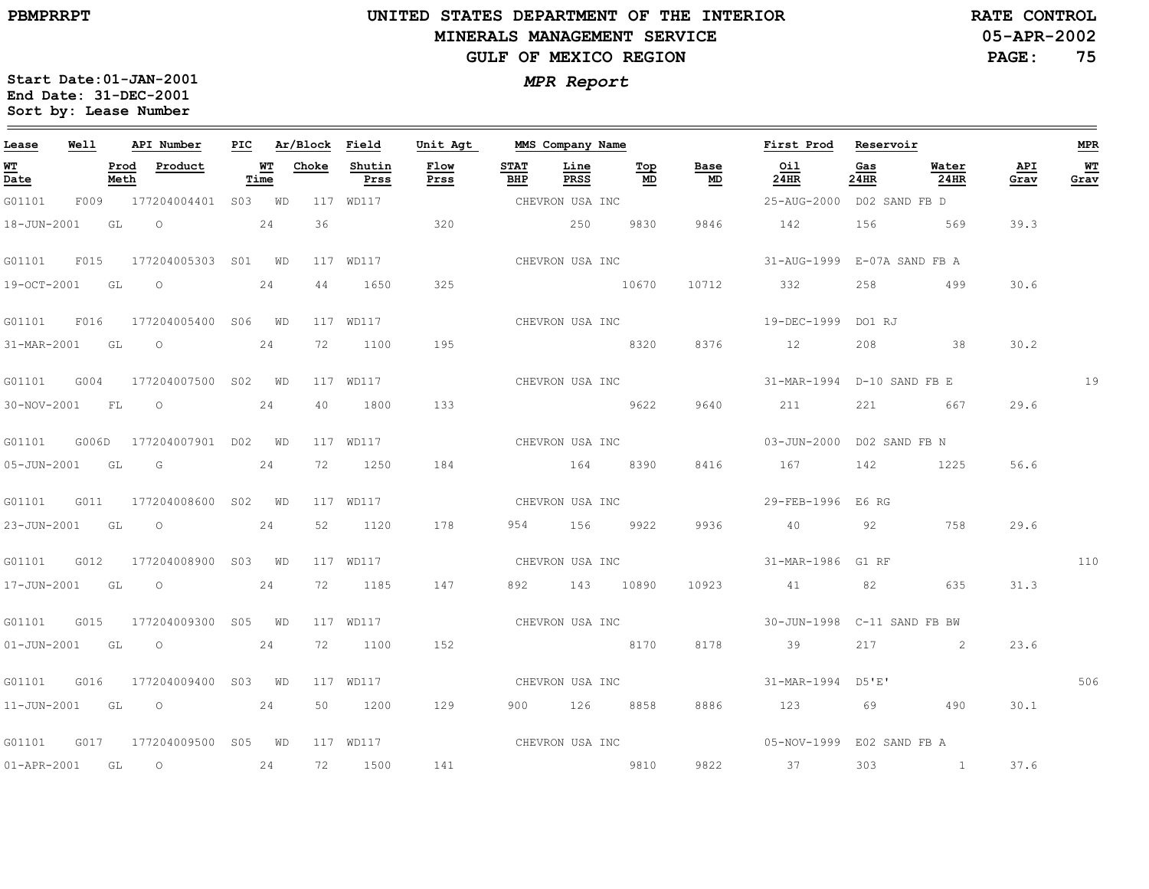$\equiv$ 

# **UNITED STATES DEPARTMENT OF THE INTERIOR MINERALS MANAGEMENT SERVICEGULF OF MEXICO REGION**

**05-APR-2002RATE CONTROL**

**PAGE:75**

| Lease             | Well  |              | API Number               | PIC |            | Ar/Block Field |                | Unit Agt     |                    | MMS Company Name |           |            | First Prod                  | Reservoir   |                                               |             | <b>MPR</b>        |
|-------------------|-------|--------------|--------------------------|-----|------------|----------------|----------------|--------------|--------------------|------------------|-----------|------------|-----------------------------|-------------|-----------------------------------------------|-------------|-------------------|
| WT<br>Date        |       | Prod<br>Meth | Product                  |     | WT<br>Time | Choke          | Shutin<br>Prss | Flow<br>Prss | <b>STAT</b><br>BHP | Line<br>PRSS     | Top<br>MD | Base<br>MD | Oil<br>24HR                 | Gas<br>24HR | Water<br>24HR                                 | API<br>Grav | <b>WT</b><br>Grav |
| G01101            |       |              | F009 177204004401 S03 WD |     |            |                | 117 WD117      |              |                    | CHEVRON USA INC  |           |            | 25-AUG-2000 D02 SAND FB D   |             |                                               |             |                   |
| 18-JUN-2001       |       | GL           | $\overline{O}$           |     | 24         | 36             |                | 320          |                    | 250              | 9830      | 9846       | 142                         | 156         | 569                                           | 39.3        |                   |
| G01101            | F015  |              | 177204005303 S01 WD      |     |            |                | 117 WD117      |              |                    | CHEVRON USA INC  |           |            | 31-AUG-1999 E-07A SAND FB A |             |                                               |             |                   |
| 19-OCT-2001 GL    |       |              | $\circ$                  |     | 24         | 44             | 1650           | 325          |                    |                  | 10670     | 10712      | 332                         | 258         | 499                                           | 30.6        |                   |
| G01101            | F016  |              | 177204005400 S06 WD      |     |            |                | 117 WD117      |              |                    | CHEVRON USA INC  |           |            | 19-DEC-1999 DO1 RJ          |             |                                               |             |                   |
| 31-MAR-2001 GL    |       |              | $\overline{O}$           |     | 24         | 72             | 1100           | 195          |                    |                  | 8320      | 8376       | 12                          | 208         | 38                                            | 30.2        |                   |
| G01101            | G004  |              | 177204007500 S02 WD      |     |            |                | 117 WD117      |              |                    | CHEVRON USA INC  |           |            | 31-MAR-1994 D-10 SAND FB E  |             |                                               |             | 19                |
| 30-NOV-2001       |       | <b>FL</b>    | $\circ$                  |     | 24         | 40             | 1800           | 133          |                    |                  | 9622      | 9640       | 211                         | 221         | 667                                           | 29.6        |                   |
| G01101            | G006D |              | 177204007901 D02 WD      |     |            |                | 117 WD117      |              |                    | CHEVRON USA INC  |           |            | 03-JUN-2000 D02 SAND FB N   |             |                                               |             |                   |
| 05-JUN-2001 GL    |       |              | $\overline{G}$           |     | 24         | 72             | 1250           | 184          |                    | 164              | 8390      | 8416       | 167                         | 142         | 1225                                          | 56.6        |                   |
| G01101            | G011  |              | 177204008600 S02 WD      |     |            |                | 117 WD117      |              |                    | CHEVRON USA INC  |           |            | 29-FEB-1996 E6 RG           |             |                                               |             |                   |
| 23-JUN-2001       |       | GL           | $\overline{O}$           |     | 24         | 52             | 1120           | 178          | 954                | 156 15           | 9922      | 9936       | 40                          | 92          | 758                                           | 29.6        |                   |
| G01101            | G012  |              | 177204008900 S03 WD      |     |            |                | 117 WD117      |              |                    | CHEVRON USA INC  |           |            | 31-MAR-1986 G1 RF           |             |                                               |             | 110               |
| 17-JUN-2001 GL    |       |              | $\overline{O}$           |     | 24         | 72             | 1185           | 147          |                    | 892 143 10890    |           | 10923      | 41                          | 82          | 635                                           | 31.3        |                   |
| G01101            | G015  |              | 177204009300 S05 WD      |     |            |                | 117 WD117      |              |                    | CHEVRON USA INC  |           |            | 30-JUN-1998 C-11 SAND FB BW |             |                                               |             |                   |
| $01 - JUN - 2001$ |       | GL           | $\overline{O}$           |     | 24         | 72             | 1100           | 152          |                    | 8170             |           | 8178       | 39                          | 217         | 2                                             | 23.6        |                   |
| G01101            | G016  |              | 177204009400 S03 WD      |     |            |                | 117 WD117      |              |                    | CHEVRON USA INC  |           |            | 31-MAR-1994 D5'E'           |             |                                               |             | 506               |
| 11-JUN-2001 GL    |       |              | $\overline{O}$           |     | 24         | 50             | 1200           | 129          |                    | 900 126 8858     |           | 8886       | 123                         | 69          | 490                                           | 30.1        |                   |
| G01101            |       |              | G017 177204009500 S05 WD |     |            |                | 117 WD117      |              |                    | CHEVRON USA INC  |           |            | 05-NOV-1999 E02 SAND FB A   |             |                                               |             |                   |
| 01-APR-2001 GL    |       |              | $\overline{O}$           |     | 24         | 72             | 1500           | 141          |                    | 2810             |           | 9822       | 37                          | 303         | $\sim$ 1.000 $\sim$ 1.000 $\sim$ 1.000 $\sim$ | 37.6        |                   |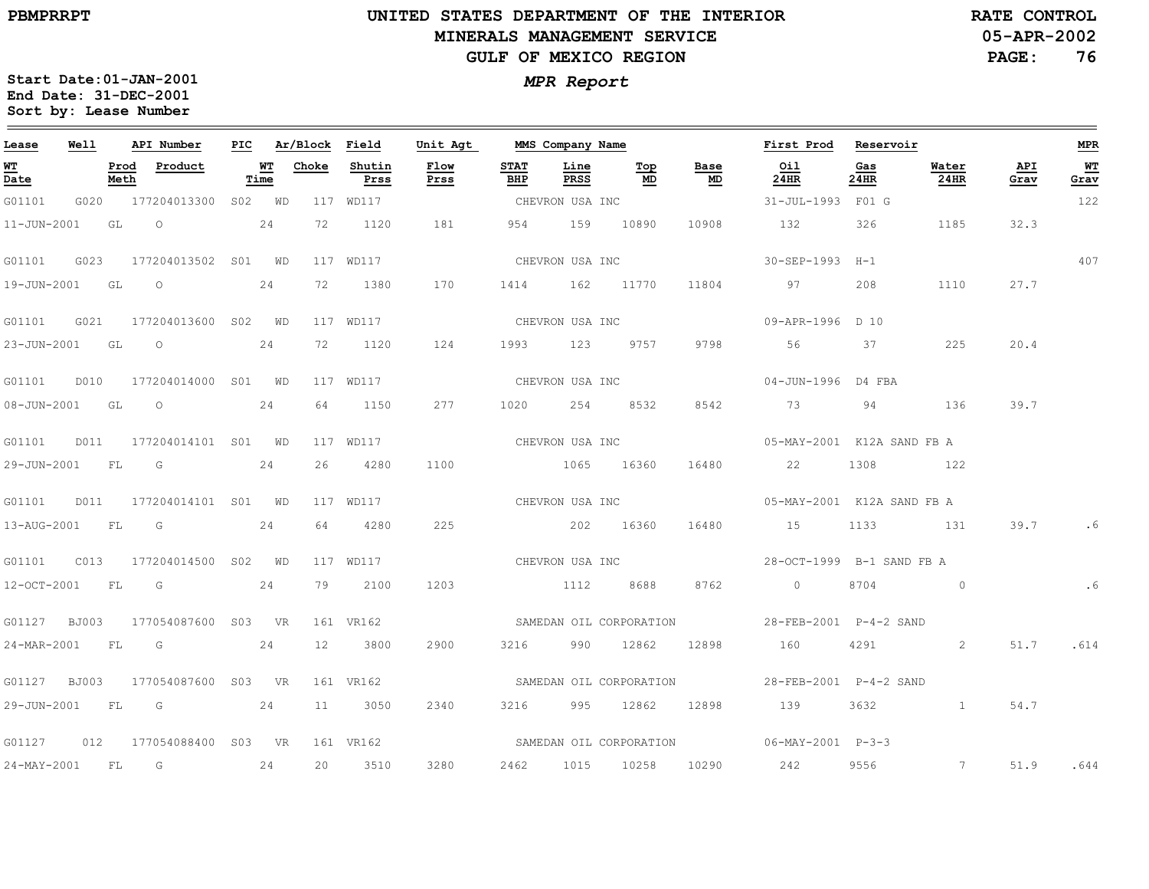$\equiv$ 

# **UNITED STATES DEPARTMENT OF THE INTERIOR MINERALS MANAGEMENT SERVICEGULF OF MEXICO REGION**

**05-APR-2002RATE CONTROL**

**PAGE:76**

| Lease            | Well |              | API Number                             | PIC |            | Ar/Block Field |                | Unit Agt     |                    | MMS Company Name |                         |                                   | First Prod                                | Reservoir   |               |             | MPR               |
|------------------|------|--------------|----------------------------------------|-----|------------|----------------|----------------|--------------|--------------------|------------------|-------------------------|-----------------------------------|-------------------------------------------|-------------|---------------|-------------|-------------------|
| WT<br>Date       |      | Prod<br>Meth | Product                                |     | WT<br>Time | Choke          | Shutin<br>Prss | Flow<br>Prss | <b>STAT</b><br>BHP | Line<br>PRSS     | Top<br>MD               | Base<br>$\underline{\mathsf{MD}}$ | 0i1<br>24HR                               | Gas<br>24HR | Water<br>24HR | API<br>Grav | WT<br><u>Grav</u> |
| G01101           | G020 |              | 177204013300 S02 WD                    |     |            |                | 117 WD117      |              |                    | CHEVRON USA INC  |                         |                                   | 31-JUL-1993 F01 G                         |             |               |             | 122               |
| 11-JUN-2001      |      | GL           | $\circ$                                |     | 24         | 72             | 1120           | 181          | 954                | 159              | 10890                   | 10908                             | 132                                       | 326         | 1185          | 32.3        |                   |
| G01101           | G023 |              | 177204013502 S01 WD                    |     |            |                | 117 WD117      |              |                    | CHEVRON USA INC  |                         |                                   | 30-SEP-1993 H-1                           |             |               |             | 407               |
| 19-JUN-2001 GL   |      |              | $\circ$                                |     | 24         | 72             | 1380           | 170          | 1414               |                  | 162 11770               | 11804                             | 97                                        | 208         | 1110          | 27.7        |                   |
| G01101           | G021 |              | 177204013600 S02 WD                    |     |            |                | 117 WD117      |              |                    | CHEVRON USA INC  |                         |                                   | 09-APR-1996 D 10                          |             |               |             |                   |
| 23-JUN-2001 GL   |      |              | $\overline{O}$                         |     | 24         | 72             | 1120           | 124          | 1993               | 123              | 9757                    | 9798                              | 56                                        | 37          | 225           | 20.4        |                   |
| G01101           | D010 |              | 177204014000 S01 WD                    |     |            |                | 117 WD117      |              | CHEVRON USA INC    |                  |                         |                                   | 04-JUN-1996 D4 FBA                        |             |               |             |                   |
| 08-JUN-2001 GL   |      |              | $\overline{O}$                         |     | 24         | 64             | 1150           | 277          |                    |                  | 1020 254 8532           | 8542                              | 73                                        | 94          | 136           | 39.7        |                   |
| G01101           | D011 |              | 177204014101 S01 WD                    |     |            |                | 117 WD117      |              | CHEVRON USA INC    |                  |                         |                                   | 05-MAY-2001 K12A SAND FB A                |             |               |             |                   |
| 29-JUN-2001 FL G |      |              |                                        |     | 24         | 26             | 4280           | 1100         |                    |                  | 1065 16360              | 16480                             | 22                                        | 1308        | 122           |             |                   |
| G01101           | D011 |              | 177204014101 S01 WD                    |     |            |                | 117 WD117      |              |                    |                  | CHEVRON USA INC         |                                   | 05-MAY-2001 K12A SAND FB A                |             |               |             |                   |
| 13-AUG-2001 FL G |      |              |                                        |     | 24         | 64             | 4280           | 225          |                    |                  | 202 16360               | 16480                             | 15                                        | 1133        | 131           | 39.7        | . 6               |
| G01101           | C013 |              | 177204014500 S02 WD                    |     |            |                | 117 WD117      |              |                    | CHEVRON USA INC  |                         |                                   | 28-OCT-1999 B-1 SAND FB A                 |             |               |             |                   |
| 12-OCT-2001      |      | FL           | $\overline{G}$                         |     | 24         | 79             | 2100           | 1203         |                    |                  | 1112 8688               | 8762                              | $\overline{0}$                            | 8704        | $\sim$ 0      |             | . 6               |
| G01127 BJ003     |      |              | 177054087600 S03 VR                    |     |            |                | 161 VR162      |              |                    |                  | SAMEDAN OIL CORPORATION |                                   | 28-FEB-2001 P-4-2 SAND                    |             |               |             |                   |
| 24-MAR-2001 FL   |      |              | G                                      |     | 24         | 12             | 3800           | 2900         |                    |                  | 3216 990 12862          | 12898                             | 160                                       | 4291        | 2             | 51.7        | .614              |
|                  |      |              | G01127 BJ003 177054087600 S03 VR       |     |            |                | 161 VR162      |              |                    |                  | SAMEDAN OIL CORPORATION |                                   | 28-FEB-2001    P-4-2 SAND                 |             |               |             |                   |
| 29-JUN-2001      |      | FL           | $\overline{G}$                         |     | 24         | 11             | 3050           | 2340         | 3216               | 995              | 12862                   | 12898                             | 139                                       | 3632        | $\mathbf{1}$  | 54.7        |                   |
|                  |      |              | G01127   012   177054088400   S03   VR |     |            |                | 161 VR162      |              |                    |                  |                         |                                   | SAMEDAN OIL CORPORATION 06-MAY-2001 P-3-3 |             |               |             |                   |
| 24-MAY-2001 FL G |      |              |                                        |     | 24         | 20             | 3510           | 3280         | 2462               | 1015             | 10258                   | 10290                             | 242                                       | 9556        | $\sim$ 7      | 51.9        | .644              |
|                  |      |              |                                        |     |            |                |                |              |                    |                  |                         |                                   |                                           |             |               |             |                   |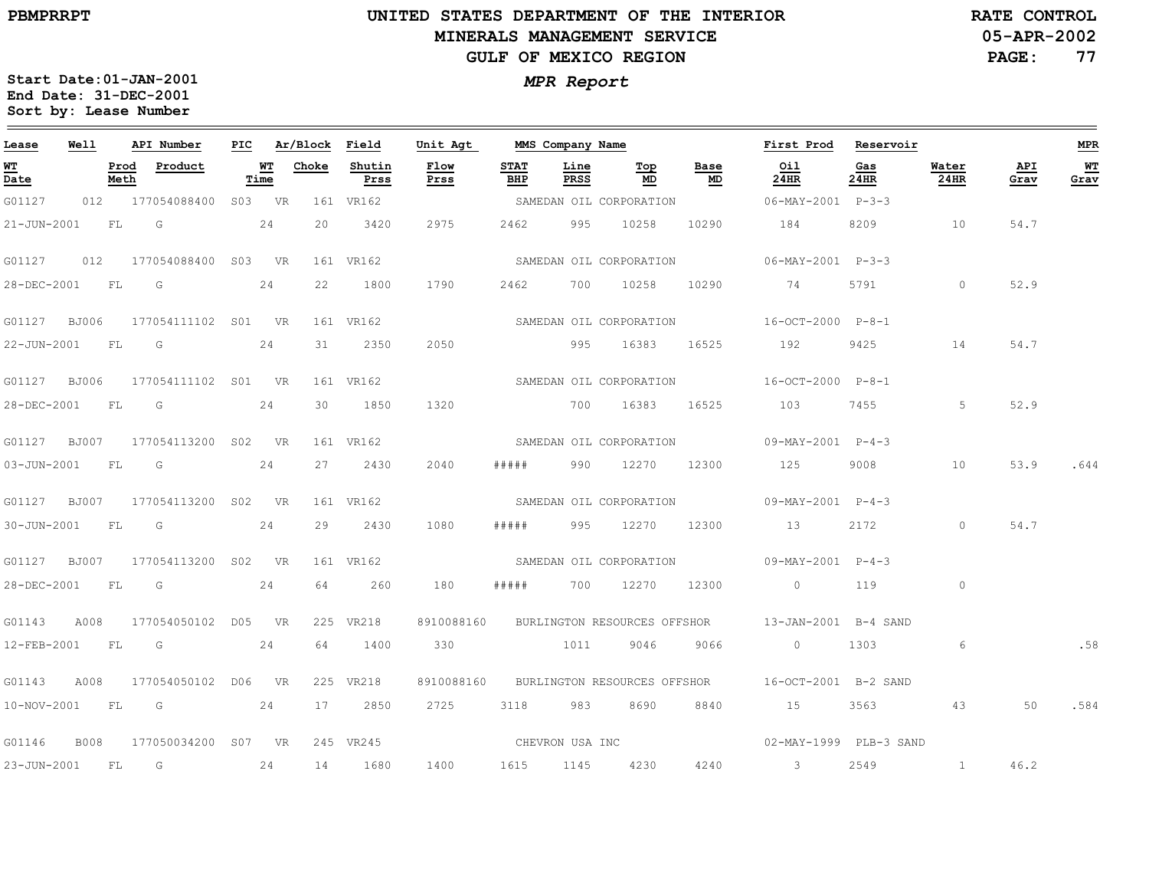### **UNITED STATES DEPARTMENT OF THE INTERIOR MINERALS MANAGEMENT SERVICEGULF OF MEXICO REGION**

**05-APR-2002RATE CONTROL**

**PAGE:77**

| Lease          | Well         |              | API Number              | PIC |            | Ar/Block Field |                | Unit Agt        |                    | MMS Company Name |                                  |            | First Prod                                                   | Reservoir   |               |             | <b>MPR</b> |
|----------------|--------------|--------------|-------------------------|-----|------------|----------------|----------------|-----------------|--------------------|------------------|----------------------------------|------------|--------------------------------------------------------------|-------------|---------------|-------------|------------|
| WT<br>Date     |              | Prod<br>Meth | Product                 |     | WT<br>Time | Choke          | Shutin<br>Prss | Flow<br>Prss    | <b>STAT</b><br>BHP | Line<br>PRSS     | $\underline{\mathbf{Top}}$<br>MD | Base<br>MD | Oil<br>24HR                                                  | Gas<br>24HR | Water<br>24HR | API<br>Grav | WT<br>Grav |
| G01127         |              |              | 012 177054088400 S03 VR |     |            |                | 161 VR162      |                 |                    |                  | SAMEDAN OIL CORPORATION          |            | 06-MAY-2001 P-3-3                                            |             |               |             |            |
| 21-JUN-2001    |              | FL           | $\overline{G}$          |     | 24         | 20             | 3420           | 2975            | 2462               |                  | 995 10258                        | 10290      | 184                                                          | 8209        | 10            | 54.7        |            |
| G01127         | 012          |              | 177054088400 S03 VR     |     |            |                | 161 VR162      |                 |                    |                  | SAMEDAN OIL CORPORATION          |            | 06-MAY-2001 P-3-3                                            |             |               |             |            |
| 28-DEC-2001    |              | FL           | G                       |     | 24         | 22             | 1800           | 1790            | 2462               | 700              | 10258                            | 10290      | 74                                                           | 5791        | $\circ$       | 52.9        |            |
| G01127 BJ006   |              |              | 177054111102 S01 VR     |     |            |                | 161 VR162      |                 |                    |                  |                                  |            | SAMEDAN OIL CORPORATION 16-OCT-2000 P-8-1                    |             |               |             |            |
| 22-JUN-2001 FL |              |              | $\overline{G}$          |     | 24         | 31             | 2350           | 2050            |                    |                  | 995 16383                        | 16525      | 192                                                          | 9425        | 14            | 54.7        |            |
| G01127         | BJ006        |              | 177054111102 S01 VR     |     |            |                | 161 VR162      |                 |                    |                  |                                  |            | SAMEDAN OIL CORPORATION 16-OCT-2000 P-8-1                    |             |               |             |            |
| 28-DEC-2001    |              | FL           | G                       |     | 24         | 30             | 1850           | 1320            |                    |                  | 700 16383                        | 16525      | 103                                                          | 7455        | 5             | 52.9        |            |
| G01127 BJ007   |              |              | 177054113200 SO2 VR     |     |            |                | 161 VR162      |                 |                    |                  |                                  |            | SAMEDAN OIL CORPORATION 09-MAY-2001 P-4-3                    |             |               |             |            |
| 03-JUN-2001 FL |              |              | $\overline{G}$          |     | 24         | 27             | 2430           | 2040            | #####              |                  | 990 12270                        | 12300      | 125                                                          | 9008        | 10            | 53.9        | .644       |
| G01127 BJ007   |              |              | 177054113200 S02 VR     |     |            |                | 161 VR162      |                 |                    |                  | SAMEDAN OIL CORPORATION          |            | 09-MAY-2001 P-4-3                                            |             |               |             |            |
| 30-JUN-2001    |              | FL           | G                       |     | 24         | 29             | 2430           | 1080            | # # # # #          | 995              | 12270                            | 12300      | 13                                                           | 2172        | $\circ$       | 54.7        |            |
| G01127         | <b>BJ007</b> |              | 177054113200 S02 VR     |     |            |                | 161 VR162      |                 |                    |                  |                                  |            | SAMEDAN OIL CORPORATION 09-MAY-2001 P-4-3                    |             |               |             |            |
| 28-DEC-2001    |              | <b>FL</b>    | G                       |     | 24         | 64             | 260            | 180             | #####              |                  | 700 12270                        | 12300      | $\overline{0}$                                               | 119         | $\circ$       |             |            |
| G01143         | A008         |              | 177054050102 D05 VR     |     |            |                | 225 VR218      |                 |                    |                  |                                  |            | 8910088160 BURLINGTON RESOURCES OFFSHOR 13-JAN-2001 B-4 SAND |             |               |             |            |
| 12-FEB-2001    |              | FL           | G                       |     | 24         | 64             | 1400           | 330             |                    | 1011             | 9046                             | 9066       | $\circ$                                                      | 1303        | 6             |             | .58        |
| G01143         | A008         |              | 177054050102 D06 VR     |     |            |                | 225 VR218      | 8910088160      |                    |                  | BURLINGTON RESOURCES OFFSHOR     |            | 16-OCT-2001 B-2 SAND                                         |             |               |             |            |
| 10-NOV-2001 FL |              |              | G                       |     | 24         | 17             | 2850           | 2725            |                    | 3118 983         | 8690                             | 8840       | 15                                                           | 3563        | 43            | 50          | .584       |
| G01146         | <b>B008</b>  |              | 177050034200 S07 VR     |     |            |                | 245 VR245      | CHEVRON USA INC |                    |                  |                                  |            | 02-MAY-1999 PLB-3 SAND                                       |             |               |             |            |
| 23-JUN-2001    |              | FL           | G                       |     | 24         | 14             | 1680           | 1400            | 1615               | 1145             | 4230                             | 4240       | $\sim$ 3                                                     | 2549        | $\mathbf{1}$  | 46.2        |            |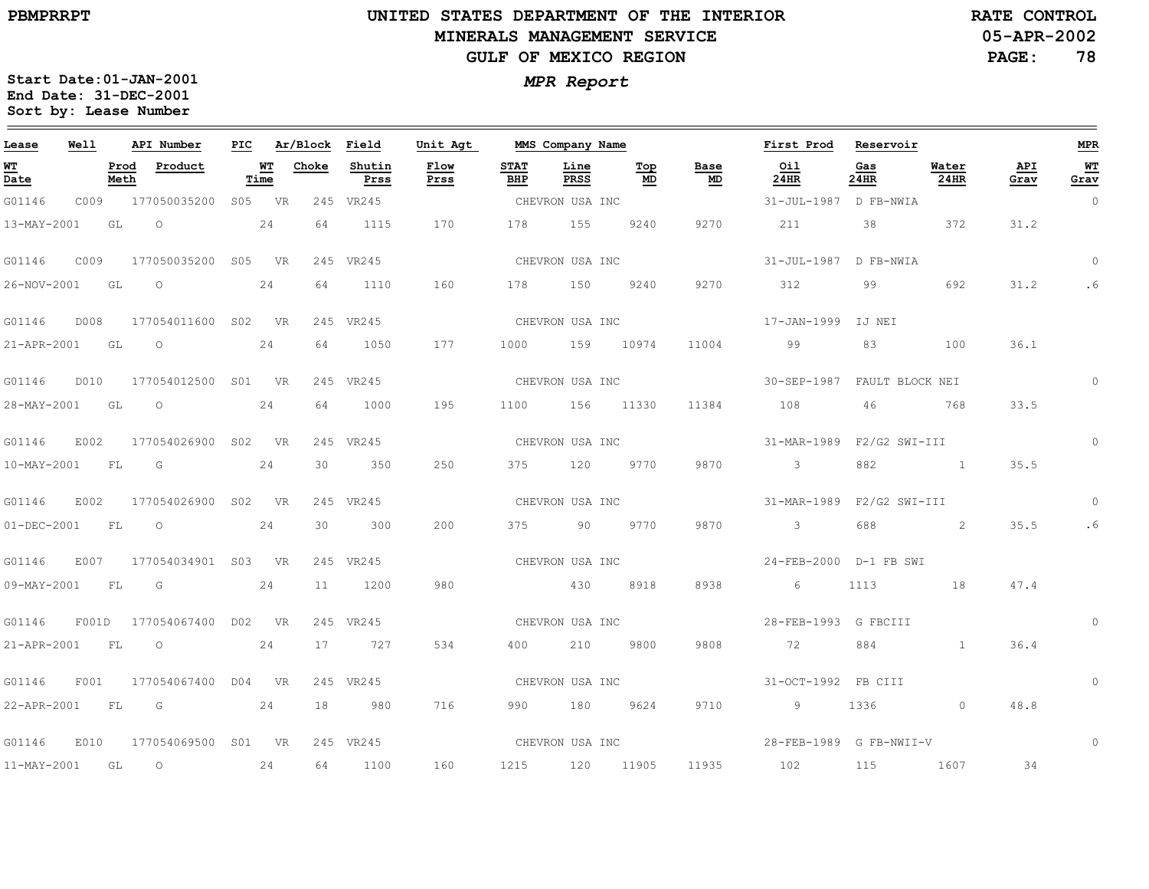### **UNITED STATES DEPARTMENT OF THE INTERIOR MINERALS MANAGEMENT SERVICEGULF OF MEXICO REGION**

**05-APR-2002RATE CONTROL**

**PAGE:78**

| Lease             | Well      |                | API Number          | PIC |            | Ar/Block Field |                | Unit Agt     |                    | MMS Company Name |            |            | First Prod                      | Reservoir   |               |             | MPR            |
|-------------------|-----------|----------------|---------------------|-----|------------|----------------|----------------|--------------|--------------------|------------------|------------|------------|---------------------------------|-------------|---------------|-------------|----------------|
| <u>WT</u><br>Date |           | Prod<br>Meth   | Product             |     | WТ<br>Time | Choke          | Shutin<br>Prss | Flow<br>Prss | <b>STAT</b><br>BHP | Line<br>PRSS     | Top<br>MD. | Base<br>MD | Oil<br>24HR                     | Gas<br>24HR | Water<br>24HR | API<br>Grav | WT<br>Grav     |
| G01146            | C009      |                | 177050035200 S05 VR |     |            |                | 245 VR245      |              |                    | CHEVRON USA INC  |            |            | 31-JUL-1987 D FB-NWIA           |             |               |             | $\overline{0}$ |
| 13-MAY-2001       | GL        |                | $\circ$             |     | 24         | 64             | 1115           | 170          | 178                | 155              | 9240       | 9270       | 211                             | 38          | 372           | 31.2        |                |
| G01146            | C009      |                | 177050035200 S05 VR |     |            |                | 245 VR245      |              |                    | CHEVRON USA INC  |            |            | 31-JUL-1987 D FB-NWIA           |             |               |             | $\Omega$       |
| 26-NOV-2001       | GL        |                | $\circ$             |     | 24         | 64             | 1110           | 160          | 178                | 150              | 9240       | 9270       | 312                             | 99          | 692           | 31.2        | . 6            |
| G01146            | D008      |                | 177054011600 S02 VR |     |            |                | 245 VR245      |              |                    | CHEVRON USA INC  |            |            | 17-JAN-1999 IJ NEI              |             |               |             |                |
| 21-APR-2001       | GL        |                | $\circ$             |     | 24         | 64             | 1050           | 177          | 1000               | 159              | 10974      | 11004      | 99                              | 83          | 100           | 36.1        |                |
| G01146            | D010      |                | 177054012500 S01 VR |     |            |                | 245 VR245      |              | CHEVRON USA INC    |                  |            |            | 30-SEP-1987 FAULT BLOCK NEI     |             |               |             | 0              |
| 28-MAY-2001       | GL        |                | $\circ$             |     | 24         | 64             | 1000           | 195          | 1100               | 156              | 11330      | 11384      | 108                             | 46          | 768           | 33.5        |                |
| G01146            | E002      |                | 177054026900 S02 VR |     |            |                | 245 VR245      |              |                    | CHEVRON USA INC  |            |            | 31-MAR-1989  F2/G2 SWI-III      |             |               |             | $\circ$        |
| 10-MAY-2001       | <b>FL</b> | $\overline{G}$ |                     |     | 24         | 30             | 350            | 250          | 375                | 120              | 9770       | 9870       | $\sim$ 3                        | 882         |               | 35.5        |                |
| G01146            | E002      |                | 177054026900 S02 VR |     |            |                | 245 VR245      |              |                    | CHEVRON USA INC  |            |            | 31-MAR-1989    F2/G2    SWI-III |             |               |             | $\Omega$       |
| $01 - DEC - 2001$ | FL        |                | $\circ$             |     | 24         | 30             | 300            | 200          | 375 — 1            | 90               | 9770       | 9870       | $\overline{\mathbf{3}}$         | 688         | 2             | 35.5        | .6             |
| G01146            | E007      |                | 177054034901 S03 VR |     |            |                | 245 VR245      |              |                    | CHEVRON USA INC  |            |            | 24-FEB-2000 D-1 FB SWI          |             |               |             |                |
| $09 - MAY - 2001$ | <b>FL</b> |                | G                   |     | 24         | 11             | 1200           | 980          |                    | 430              | 8918       | 8938       | 6                               | 1113        | 18            | 47.4        |                |
| G01146            | F001D     |                | 177054067400 D02 VR |     |            |                | 245 VR245      |              |                    | CHEVRON USA INC  |            |            | 28-FEB-1993 G FBCIII            |             |               |             |                |
| 21-APR-2001       | <b>FL</b> |                | $\circ$             |     | 24         | 17             | 727            | 534          | 400                | 210              | 9800       | 9808       | 72                              | 884         | $\mathbf{1}$  | 36.4        |                |
| G01146            | F001      |                | 177054067400 D04 VR |     |            |                | 245 VR245      |              |                    | CHEVRON USA INC  |            |            | 31-OCT-1992 FB CIII             |             |               |             | $\circ$        |
| 22-APR-2001       | FL        |                | G                   |     | 24         | 18             | 980            | 716          | 990                | 180              | 9624       | 9710       | 9                               | 1336        | $\circ$       | 48.8        |                |
| G01146            | E010      |                | 177054069500 S01 VR |     |            |                | 245 VR245      |              |                    | CHEVRON USA INC  |            |            | 28-FEB-1989 G FB-NWII-V         |             |               |             | $\Omega$       |
| 11-MAY-2001 GL    |           |                | $\circ$             |     | 24         | 64             | 1100           | 160          | 1215               | 120              | 11905      | 11935      | 102                             | 115         | 1607          | 34          |                |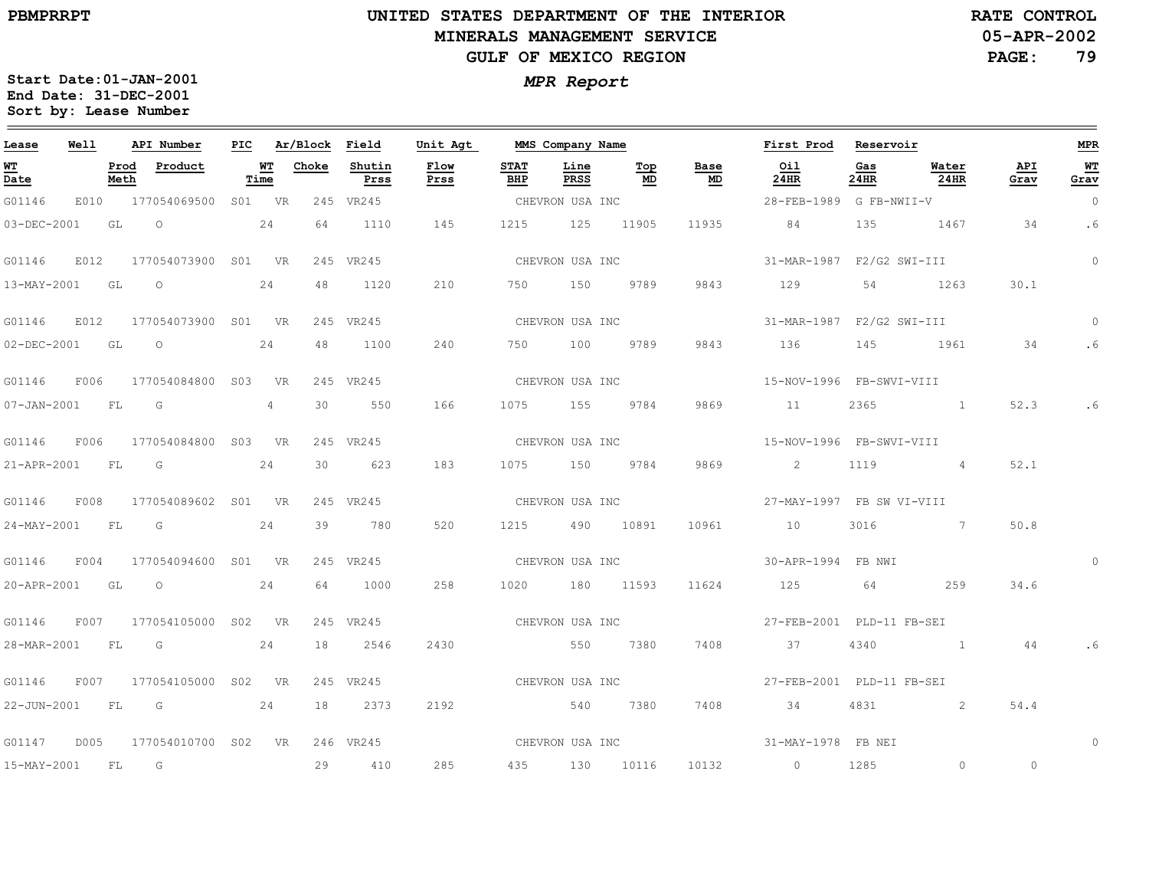### **UNITED STATES DEPARTMENT OF THE INTERIOR MINERALS MANAGEMENT SERVICEGULF OF MEXICO REGION**

**05-APR-2002RATE CONTROL**

**PAGE:79**

| Lease            | Well |      | API Number                      |    |                   | PIC Ar/Block Field |                | Unit Agt        |                    | MMS Company Name |                   |                                   | First Prod Reservoir                              |             |               |             | <b>MPR</b>     |
|------------------|------|------|---------------------------------|----|-------------------|--------------------|----------------|-----------------|--------------------|------------------|-------------------|-----------------------------------|---------------------------------------------------|-------------|---------------|-------------|----------------|
| WT<br>Date       |      | Meth | Prod Product                    |    | <b>WT</b><br>Time | Choke              | Shutin<br>Prss | Flow<br>Prss    | <b>STAT</b><br>BHP | Line<br>PRSS     | Top<br>MD         | Base<br>$\underline{\mathsf{MD}}$ | Oil<br>24HR                                       | Gas<br>24HR | Water<br>24HR | API<br>Grav | WT<br>Grav     |
| G01146           |      |      | E010 177054069500 S01 VR        |    |                   |                    | 245 VR245      |                 | CHEVRON USA INC    |                  |                   |                                   | 28-FEB-1989 G FB-NWII-V                           |             |               |             | $\overline{0}$ |
| 03-DEC-2001      |      | GL   | $\overline{O}$                  |    | 24                | 64                 | 1110           | 145             | 1215               | 125 11905        |                   | 11935                             | 84                                                | 135         | 1467          | 34          | . 6            |
| G01146           |      |      | E012 177054073900 S01 VR        |    |                   |                    | 245 VR245      |                 |                    | CHEVRON USA INC  |                   |                                   | 31-MAR-1987  F2/G2 SWI-III                        |             |               |             | $\circ$        |
| 13-MAY-2001 GL O |      |      |                                 |    | 24                | 48                 | 1120           | 210             |                    |                  | 750 150 9789 9843 |                                   | 129                                               |             | 54 1263       | 30.1        |                |
| G01146           |      |      | E012 177054073900 S01 VR        |    |                   |                    | 245 VR245      |                 |                    | CHEVRON USA INC  |                   |                                   | 31-MAR-1987    F2/G2    SWI-III                   |             |               |             | $\Omega$       |
| 02-DEC-2001 GL   |      |      | $\overline{O}$                  |    | 24                | 48                 | 1100           | 240             |                    | 750 100 9789     |                   | 9843                              | 136                                               | 145         | 1961          | 34          | . 6            |
| G01146           |      |      | F006 177054084800 S03 VR        |    |                   |                    | 245 VR245      |                 |                    | CHEVRON USA INC  |                   |                                   | 15-NOV-1996 FB-SWVI-VIII                          |             |               |             |                |
| 07-JAN-2001 FL   |      |      | G                               |    | $4^{\circ}$       | 30                 | 550            | 166             |                    | 1075 155 9784    |                   | 9869                              | 11                                                | 2365        |               | 52.3        | . 6            |
| G01146           |      |      | F006 177054084800 S03 VR        |    |                   |                    | 245 VR245      |                 |                    | CHEVRON USA INC  |                   |                                   | 15-NOV-1996 FB-SWVI-VIII                          |             |               |             |                |
| 21-APR-2001 FL G |      |      |                                 |    | 24                | 30 <sup>2</sup>    | 623            | 183             |                    | 1075 150 9784    |                   | 9869                              | $\sim$ 2                                          | 1119        | $\sim$ 4      | 52.1        |                |
| G01146           | F008 |      | 177054089602 S01 VR             |    |                   |                    | 245 VR245      | CHEVRON USA INC |                    |                  |                   |                                   | 27-MAY-1997 FB SW VI-VIII                         |             |               |             |                |
| 24-MAY-2001 FL   |      |      | G                               |    | 24                | 39                 | 780            | 520             | 1215               |                  | 490 10891         | 10961                             | 10                                                | 3016        |               | 50.8        |                |
| G01146           |      |      | F004 177054094600 S01 VR        |    |                   |                    | 245 VR245      |                 |                    | CHEVRON USA INC  |                   |                                   | 30-APR-1994 FB NWI                                |             |               |             | $\Omega$       |
|                  |      |      | 20-APR-2001 GL O 24             |    |                   | 64                 | 1000           | 258             |                    | 1020 180 11593   |                   | 11624                             | 125 64 259                                        |             |               | 34.6        |                |
| G01146           |      |      | F007 177054105000 S02 VR        |    |                   |                    | 245 VR245      |                 |                    |                  |                   |                                   | CHEVRON USA INC <a> 27-FEB-2001 PLD-11 FB-SEI</a> |             |               |             |                |
| 28-MAR-2001 FL   |      |      | $\overline{\mathbb{G}}$         |    | 24                | 18                 | 2546           | 2430            |                    | 550 7380         |                   | 7408                              | 37                                                | 4340        | 1 44          |             |                |
| G01146           |      |      | F007 177054105000 S02 VR        |    |                   |                    | 245 VR245      |                 |                    | CHEVRON USA INC  |                   |                                   | 27-FEB-2001 PLD-11 FB-SEI                         |             |               |             |                |
| 22-JUN-2001 FL G |      |      |                                 | 24 |                   | 18                 | 2373           | 2192            |                    |                  | 540 7380          | 7408                              | 34                                                | 4831        | 2             | 54.4        |                |
|                  |      |      | G01147 D005 177054010700 S02 VR |    |                   |                    | 246 VR245      |                 |                    | CHEVRON USA INC  |                   |                                   | 31-MAY-1978 FB NEI                                |             |               |             | $\Omega$       |
| 15-MAY-2001 FL   |      |      | G                               |    |                   | 29                 | 410            | 285             |                    | 435 130 10116    |                   | 10132                             | $\sim$ 0                                          | 1285        | $\circ$       | $\circ$     |                |
|                  |      |      |                                 |    |                   |                    |                |                 |                    |                  |                   |                                   |                                                   |             |               |             |                |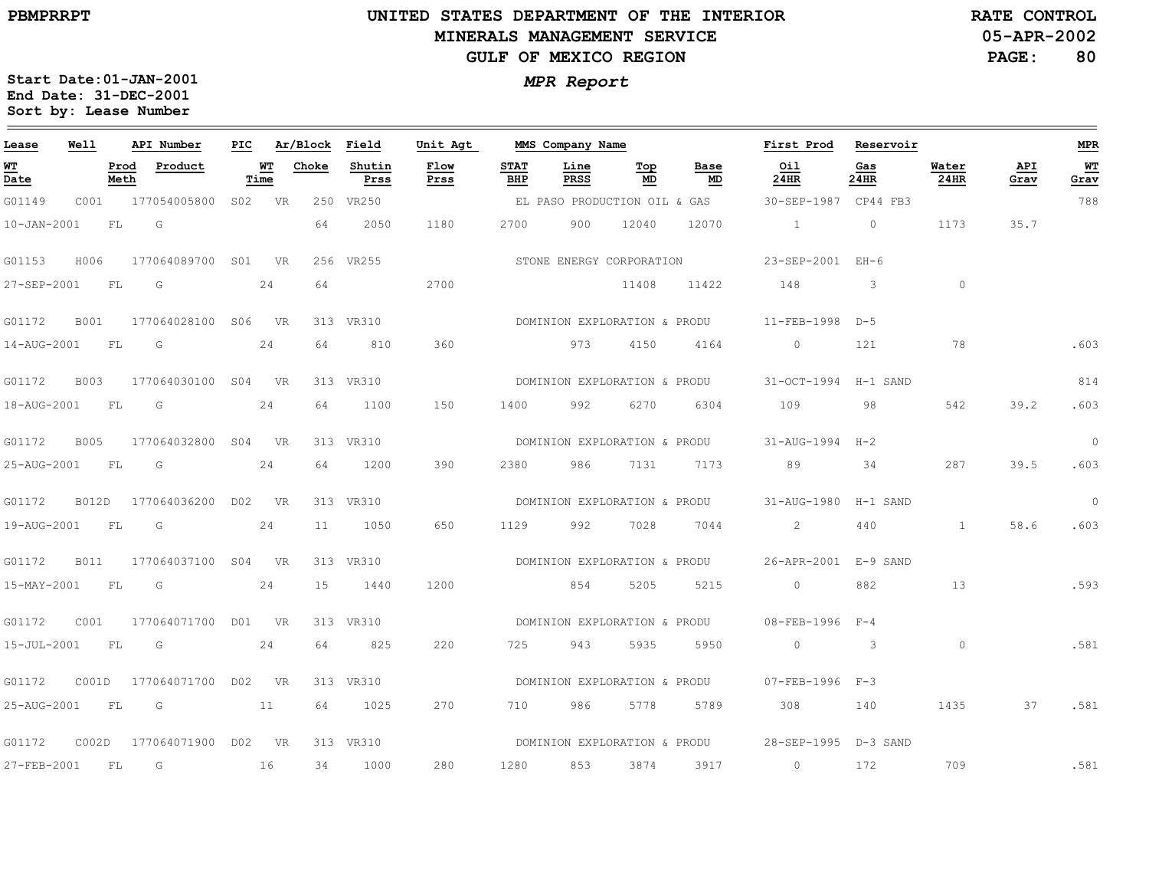### **UNITED STATES DEPARTMENT OF THE INTERIOR MINERALS MANAGEMENT SERVICEGULF OF MEXICO REGION**

**05-APR-2002RATE CONTROL**

**PAGE:80**

| Lease                                 | Well         |              | API Number          | PIC |            | Ar/Block | Field          | Unit Agt     |                    | MMS Company Name             |           |                              | First Prod                | Reservoir    |                      |             | <b>MPR</b> |
|---------------------------------------|--------------|--------------|---------------------|-----|------------|----------|----------------|--------------|--------------------|------------------------------|-----------|------------------------------|---------------------------|--------------|----------------------|-------------|------------|
| <u>WT</u><br>$\overline{\text{Date}}$ |              | Prod<br>Meth | Product             |     | WТ<br>Time | Choke    | Shutin<br>Prss | Flow<br>Prss | <b>STAT</b><br>BHP | Line<br>PRSS                 | Тор<br>MD | Base<br>MD                   | Oil<br>24HR               | Gas<br>24HR  | Water<br><b>24HR</b> | API<br>Grav | WT<br>Grav |
| G01149                                | COO1         |              | 177054005800        |     | S02 VR     |          | 250 VR250      |              |                    | EL PASO PRODUCTION OIL & GAS |           |                              | 30-SEP-1987 CP44 FB3      |              |                      |             | 788        |
| $10 - JAN - 2001$                     |              | FL           | G                   |     |            | 64       | 2050           | 1180         | 2700               | 900                          | 12040     | 12070                        | $\sim$ 1                  | $\circ$      | 1173                 | 35.7        |            |
| G01153                                | H006         |              | 177064089700 S01 VR |     |            |          | 256 VR255      |              |                    | STONE ENERGY CORPORATION     |           |                              | 23-SEP-2001 EH-6          |              |                      |             |            |
| 27-SEP-2001                           |              | FL           | G                   |     | 24         | 64       |                | 2700         |                    |                              | 11408     | 11422                        | 148                       | 3            | $\circ$              |             |            |
| G01172                                | <b>B001</b>  |              | 177064028100 S06 VR |     |            |          | 313 VR310      |              |                    | DOMINION EXPLORATION & PRODU |           |                              | $11-FEB-1998$             | $D-5$        |                      |             |            |
| 14-AUG-2001                           |              | FL           | G                   |     | 24         | 64       | 810            | 360          |                    | 973                          | 4150      | 4164                         | $\circ$                   | 121          | 78                   |             | .603       |
| G01172                                | <b>B003</b>  |              | 177064030100        |     | S04 VR     |          | 313 VR310      |              |                    | DOMINION EXPLORATION & PRODU |           |                              | 31-OCT-1994 H-1 SAND      |              |                      |             | 814        |
| 18-AUG-2001                           |              | FL           | G                   |     | 24         | 64       | 1100           | 150          | 1400               | 992                          | 6270      | 6304                         | 109                       | 98           | 542                  | 39.2        | .603       |
| G01172                                | <b>B005</b>  |              | 177064032800        |     | S04 VR     |          | 313 VR310      |              |                    | DOMINION EXPLORATION & PRODU |           |                              | 31-AUG-1994 H-2           |              |                      |             | $\circ$    |
| 25-AUG-2001                           |              | FL           | G                   |     | 24         | 64       | 1200           | 390          | 2380               | 986                          | 7131      | 7173                         | 89                        | 34           | 287                  | 39.5        | .603       |
| G01172                                | <b>B012D</b> |              | 177064036200 D02    |     | <b>VR</b>  |          | 313 VR310      |              |                    | DOMINION EXPLORATION & PRODU |           |                              | 31-AUG-1980               | H-1 SAND     |                      |             | $\circ$    |
| 19-AUG-2001                           |              | FL           | G                   |     | 24         | 11       | 1050           | 650          | 1129               | 992                          | 7028      | 7044                         | $\overline{2}$            | 440          | $\mathbf{1}$         | 58.6        | .603       |
| G01172                                | B011         |              | 177064037100 S04    |     | <b>VR</b>  |          | 313 VR310      |              |                    | DOMINION EXPLORATION & PRODU |           |                              | 26-APR-2001 E-9 SAND      |              |                      |             |            |
| 15-MAY-2001                           |              | FL           | G                   |     | 24         | 15       | 1440           | 1200         |                    | 854                          | 5205      | 5215                         | $\circ$                   | 882          | 13                   |             | .593       |
| G01172                                | C001         |              | 177064071700 D01    |     | <b>VR</b>  |          | 313 VR310      |              |                    | DOMINION EXPLORATION & PRODU |           |                              | $08 - FFR - 1996$ $F - 4$ |              |                      |             |            |
| 15-JUL-2001                           |              | FL           | G                   |     | 24         | 64       | 825            | 220          | 725                | 943                          | 5935      | 5950                         | $\circ$                   | $\mathbf{3}$ | $\circ$              |             | .581       |
| G01172                                | COO1D        |              | 177064071700 D02 VR |     |            |          | 313 VR310      |              |                    | DOMINION EXPLORATION & PRODU |           |                              | 07-FEB-1996 F-3           |              |                      |             |            |
| 25-AUG-2001                           |              | FL           | G                   |     | 11         | 64       | 1025           | 270          | 710                | 986                          | 5778      | 5789                         | 308                       | 140          | 1435                 | 37          | .581       |
| G01172                                | COO2D        |              | 177064071900 D02 VR |     |            |          | 313 VR310      |              |                    |                              |           | DOMINION EXPLORATION & PRODU | 28-SEP-1995 D-3 SAND      |              |                      |             |            |
| 27-FEB-2001                           |              | FL           | G                   |     | 16         | 34       | 1000           | 280          | 1280               | 853                          | 3874      | 3917                         | $\circ$                   | 172          | 709                  |             | .581       |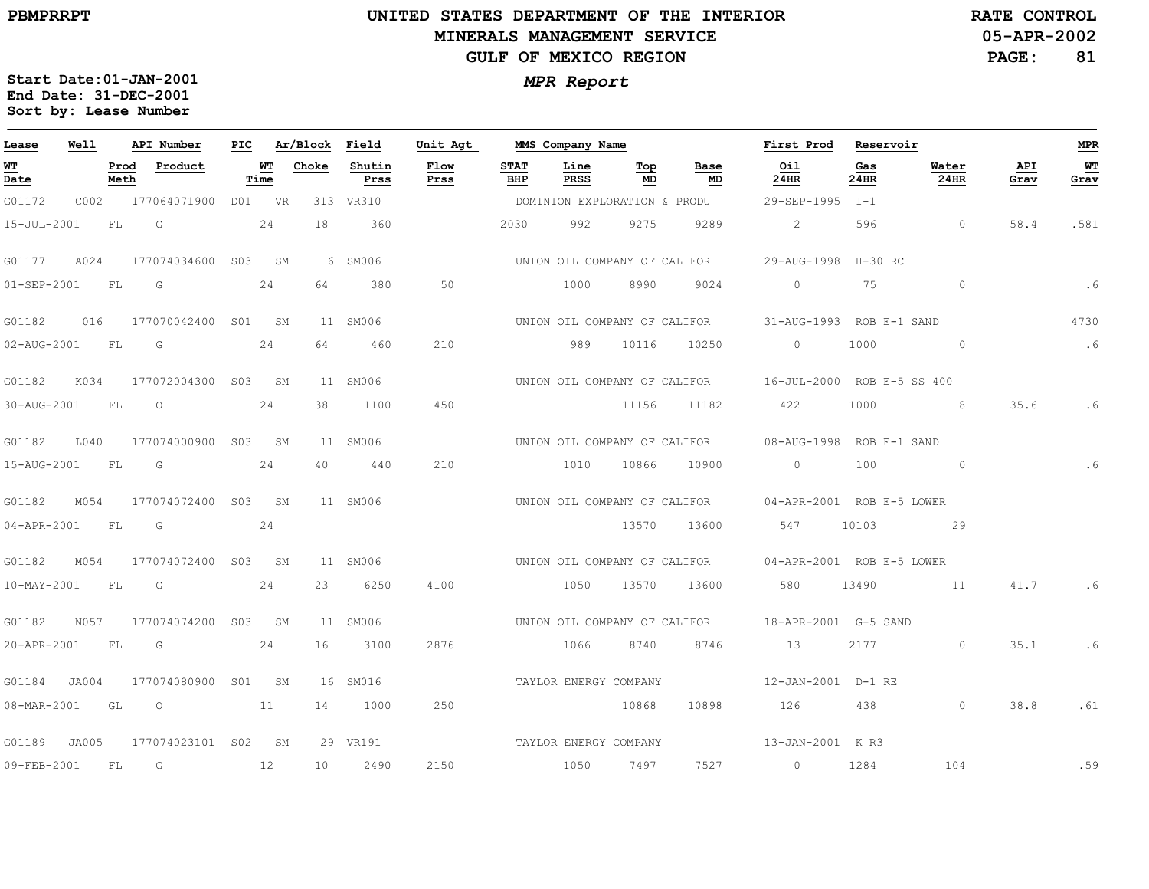# **UNITED STATES DEPARTMENT OF THE INTERIOR MINERALS MANAGEMENT SERVICEGULF OF MEXICO REGION**

**05-APR-2002RATE CONTROL**

**PAGE:81**

| Lease             | Well      |              | API Number              | PIC |            | Ar/Block Field |                | Unit Agt              |                    | MMS Company Name      |                              |                              | First Prod                                              | Reservoir                 |                |             | <b>MPR</b> |
|-------------------|-----------|--------------|-------------------------|-----|------------|----------------|----------------|-----------------------|--------------------|-----------------------|------------------------------|------------------------------|---------------------------------------------------------|---------------------------|----------------|-------------|------------|
| WT<br>Date        |           | Prod<br>Meth | Product                 |     | WT<br>Time | Choke          | Shutin<br>Prss | Flow<br>Prss          | <b>STAT</b><br>BHP | Line<br>PRSS          | Top<br>MD                    | Base<br>MD                   | Oil<br>24HR                                             | Gas<br>24HR               | Water<br>24HR  | API<br>Grav | WТ<br>Grav |
| G01172            | C002      |              | 177064071900 D01 VR     |     |            |                | 313 VR310      |                       |                    |                       | DOMINION EXPLORATION & PRODU |                              | 29-SEP-1995 I-1                                         |                           |                |             |            |
| 15-JUL-2001       |           | FL           | G                       |     | 24         | 18             | 360            |                       | 2030               | 992                   | 9275                         | 9289                         | 2                                                       | 596                       | $\overline{0}$ | 58.4        | .581       |
| G01177            | A024      |              | 177074034600 S03 SM     |     |            |                | 6 SM006        |                       |                    |                       |                              | UNION OIL COMPANY OF CALIFOR |                                                         | 29-AUG-1998 H-30 RC       |                |             |            |
| $01 - SEP - 2001$ |           | FL           | G                       |     | 24         | 64             | 380            | 50                    |                    | 1000                  | 8990                         | 9024                         | $\circ$                                                 | 75                        | $\circ$        |             | .6         |
| G01182            |           |              | 016 177070042400 S01 SM |     |            |                | 11 SM006       |                       |                    |                       |                              |                              | UNION OIL COMPANY OF CALIFOR 31-AUG-1993 ROB E-1 SAND   |                           |                |             | 4730       |
| 02-AUG-2001 FL    |           |              | G                       |     | 24         | 64             | 460            | 210                   |                    | 989                   | 10116                        | 10250                        | $\circ$                                                 | 1000                      | $\sim$ 0       |             | .6         |
| G01182            | K034      |              | 177072004300 S03 SM     |     |            |                | 11 SM006       |                       |                    |                       |                              |                              | UNION OIL COMPANY OF CALIFOR 16-JUL-2000 ROB E-5 SS 400 |                           |                |             |            |
| 30-AUG-2001       | <b>FL</b> |              | $\circ$                 |     | 24         | 38             | 1100           | 450                   |                    |                       | 11156                        | 11182                        | 422                                                     | 1000                      | 8 <sup>1</sup> | 35.6        | .6         |
| G01182            | L040      |              | 177074000900 S03 SM     |     |            |                | 11 SM006       |                       |                    |                       |                              | UNION OIL COMPANY OF CALIFOR |                                                         | 08-AUG-1998 ROB E-1 SAND  |                |             |            |
| 15-AUG-2001 FL    |           |              | G                       |     | 24         | 40             | 440            | 210                   |                    | 1010                  | 10866                        | 10900                        | $\overline{0}$                                          | 100                       | $\sim$ 0       |             |            |
| G01182            | M054      |              | 177074072400 S03 SM     |     |            |                | 11 SM006       |                       |                    |                       |                              |                              | UNION OIL COMPANY OF CALIFOR 04-APR-2001 ROB E-5 LOWER  |                           |                |             |            |
| 04-APR-2001       | FL.       |              | G                       |     | 24         |                |                |                       |                    |                       | 13570                        | 13600                        | 547                                                     | 10103                     | 29             |             |            |
| G01182            | M054      |              | 177074072400 S03 SM     |     |            |                | 11 SM006       |                       |                    |                       |                              | UNION OIL COMPANY OF CALIFOR |                                                         | 04-APR-2001 ROB E-5 LOWER |                |             |            |
| 10-MAY-2001       | <b>FL</b> |              | $\overline{G}$          |     | 24         | 23             | 6250           | 4100                  |                    | 1050                  | 13570                        | 13600                        | 580                                                     | 13490                     | 11             | 41.7        |            |
| G01182            | N057      |              | 177074074200 S03 SM     |     |            |                | 11 SM006       |                       |                    |                       |                              |                              | UNION OIL COMPANY OF CALIFOR 18-APR-2001 G-5 SAND       |                           |                |             |            |
| 20-APR-2001       | FL        |              | $\overline{G}$          |     | 24         | 16             | 3100           | 2876                  |                    | 1066                  | 8740                         | 8746                         | 13                                                      | 2177                      | $\circ$        | 35.1        | .6         |
| G01184 JA004      |           |              | 177074080900 S01 SM     |     |            |                | 16 SM016       |                       |                    | TAYLOR ENERGY COMPANY |                              |                              |                                                         | 12-JAN-2001 D-1 RE        |                |             |            |
| 08-MAR-2001 GL O  |           |              | 11                      |     |            | 14             | 1000           | 250                   |                    |                       | 10868                        | 10898                        | 126 438                                                 |                           | $\circ$        | 38.8        | .61        |
| G01189 JA005      |           |              | 177074023101 S02 SM     |     |            |                | 29 VR191       | TAYLOR ENERGY COMPANY |                    |                       |                              |                              | 13-JAN-2001 KR3                                         |                           |                |             |            |
| 09-FEB-2001       |           | FL.          | G                       |     | 12         | 10             | 2490           | 2150                  |                    | 1050                  | 7497                         | 7527                         | $\overline{0}$                                          | 1284                      | 104            |             | .59        |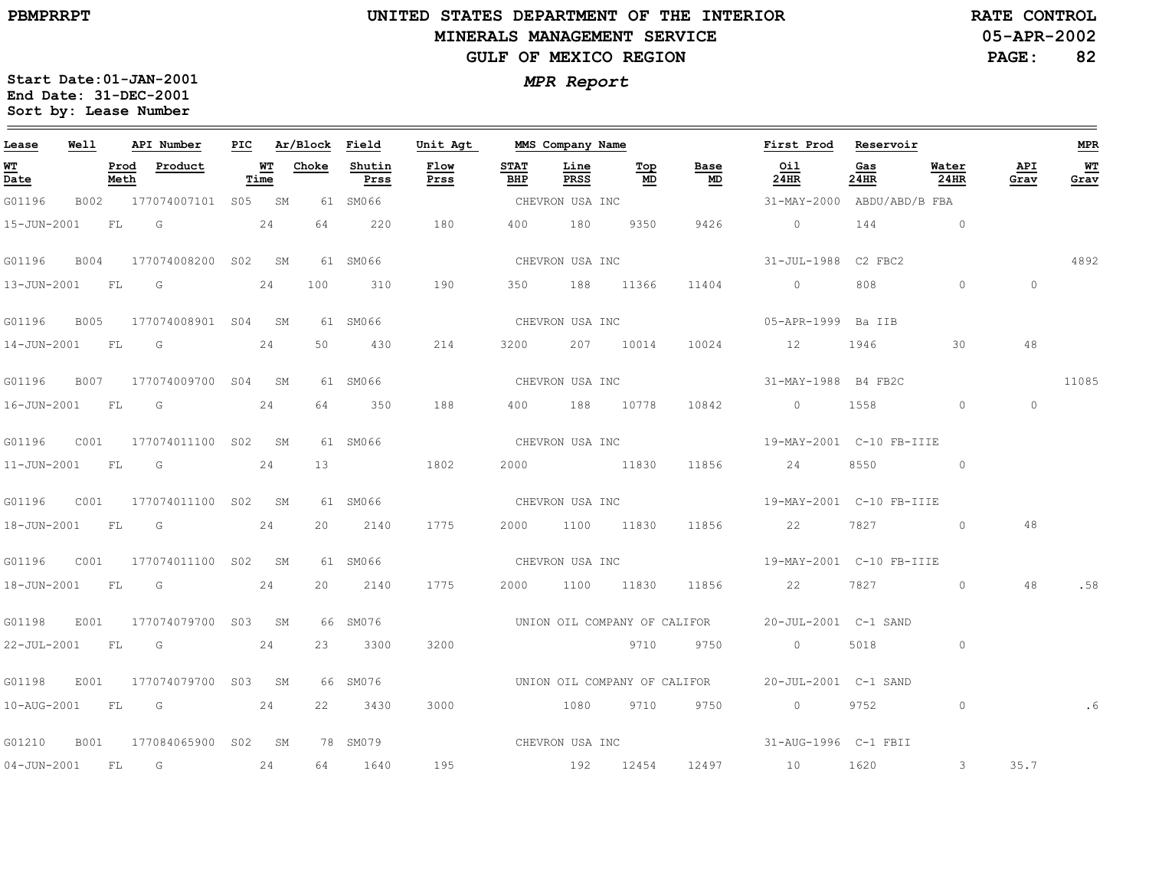# **UNITED STATES DEPARTMENT OF THE INTERIOR MINERALS MANAGEMENT SERVICEGULF OF MEXICO REGION**

**05-APR-2002RATE CONTROL**

**PAGE:82**

| Lease            | Well |              | API Number               |      |                 | PIC Ar/Block Field | Unit Agt     |                    | MMS Company Name |           |                              | First Prod                                        | Reservoir                                                                                                                                                                                                                       |                |             | MPR        |
|------------------|------|--------------|--------------------------|------|-----------------|--------------------|--------------|--------------------|------------------|-----------|------------------------------|---------------------------------------------------|---------------------------------------------------------------------------------------------------------------------------------------------------------------------------------------------------------------------------------|----------------|-------------|------------|
| WT<br>Date       |      | Prod<br>Meth | Product                  | Time | <b>WT</b> Choke | Shutin<br>Prss     | Flow<br>Prss | <b>STAT</b><br>BHP | Line<br>PRSS     | Тор<br>MD | Base<br>MD                   | Oil<br>24HR                                       | Gas<br>24HR                                                                                                                                                                                                                     | Water<br>24HR  | API<br>Grav | WT<br>Grav |
| G01196           | B002 |              | 177074007101 S05 SM      |      |                 | 61 SM066           |              |                    | CHEVRON USA INC  |           |                              | 31-MAY-2000 ABDU/ABD/B FBA                        |                                                                                                                                                                                                                                 |                |             |            |
| 15-JUN-2001 FL G |      |              |                          | 24   | 64              | 220                | 180          |                    | 400 180          | 9350      | 9426                         | $\overline{0}$                                    |                                                                                                                                                                                                                                 | $144$ 0        |             |            |
| G01196           |      |              | B004 177074008200 S02 SM |      |                 | 61 SM066           |              |                    |                  |           | CHEVRON USA INC              | 31-JUL-1988 C2 FBC2                               |                                                                                                                                                                                                                                 |                |             | 4892       |
|                  |      |              | 13-JUN-2001 FL G 24      |      | 100             | 310                | 190          |                    | 350 188 11366    |           | 11404                        | $\overline{0}$                                    |                                                                                                                                                                                                                                 | $\circ$        | $\circ$     |            |
| G01196           | B005 |              | 177074008901 S04 SM      |      |                 | 61 SM066           |              |                    |                  |           |                              |                                                   |                                                                                                                                                                                                                                 |                |             |            |
|                  |      |              | 14-JUN-2001 FL G 24      |      |                 | 50 430             | 214          |                    |                  |           |                              | 3200 207 10014 10024 12 1946                      |                                                                                                                                                                                                                                 | 30             | 48          |            |
| G01196           | B007 |              | 177074009700 S04 SM      |      |                 | 61 SM066           |              |                    |                  |           | CHEVRON USA INC              | 31-MAY-1988 B4 FB2C                               |                                                                                                                                                                                                                                 |                |             | 11085      |
| 16-JUN-2001 FL G |      |              |                          | 24   | 64              | 350                | 188          |                    |                  |           | 400 188 10778 10842          | $\overline{0}$                                    | 1558                                                                                                                                                                                                                            | $\circ$        | $\circ$     |            |
|                  |      |              |                          |      |                 | 61 SM066           |              |                    |                  |           | CHEVRON USA INC              | 19-MAY-2001 C-10 FB-IIIE                          |                                                                                                                                                                                                                                 |                |             |            |
|                  |      |              | 11-JUN-2001 FL G         | 24   | 13              |                    | 1802         |                    | 2000 11830       |           |                              | 11856 24                                          | 8550 and 1970 and 1970 and 1970 and 1970 and 1970 and 1970 and 1970 and 1970 and 1970 and 1970 and 1970 and 1970 and 1970 and 1970 and 1970 and 1970 and 1970 and 1970 and 1970 and 1970 and 1970 and 1970 and 1970 and 1970 an | $\circ$        |             |            |
| G01196           |      |              | C001 177074011100 S02 SM |      |                 | 61 SM066           |              |                    | CHEVRON USA INC  |           |                              | 19-MAY-2001 C-10 FB-IIIE                          |                                                                                                                                                                                                                                 |                |             |            |
| 18-JUN-2001 FL G |      |              |                          | 24   | 20              | 2140               | 1775         |                    | 2000 1100 11830  |           | 11856 700                    | 22                                                | 7827                                                                                                                                                                                                                            | $\Omega$       | 48          |            |
|                  |      |              |                          |      |                 | 61 SM066           |              |                    |                  |           | CHEVRON USA INC              | 19-MAY-2001 C-10 FB-IIIE                          |                                                                                                                                                                                                                                 |                |             |            |
|                  |      |              | 18-JUN-2001 FL G 24      |      | 20              | 2140               | 1775         |                    | 2000 1100 11830  |           |                              | 11856 22                                          | 7827 782                                                                                                                                                                                                                        | $\circ$        | 48          | .58        |
| G01198           | E001 |              | 177074079700 S03 SM      |      |                 | 66 SM076           |              |                    |                  |           |                              | UNION OIL COMPANY OF CALIFOR 20-JUL-2001 C-1 SAND |                                                                                                                                                                                                                                 |                |             |            |
| 22-JUL-2001 FL G |      |              |                          | 24   | 23              | 3300               | 3200         |                    |                  |           | 9710 9750                    | $\overline{0}$                                    | 5018 — 100                                                                                                                                                                                                                      | $\circ$        |             |            |
| G01198           |      |              | E001 177074079700 S03 SM |      |                 | 66 SM076           |              |                    |                  |           | UNION OIL COMPANY OF CALIFOR | 20-JUL-2001 C-1 SAND                              |                                                                                                                                                                                                                                 |                |             |            |
|                  |      |              | 10-AUG-2001 FL G 24      |      |                 | 22 3430            | 3000         |                    |                  |           | 1080 9710 9750               | 0 9752                                            |                                                                                                                                                                                                                                 | $\circ$        |             |            |
| G01210           |      |              | B001 177084065900 S02 SM |      |                 |                    |              |                    |                  |           |                              |                                                   |                                                                                                                                                                                                                                 |                |             |            |
| 04-JUN-2001 FL   |      |              | G                        | 24   |                 | 64 1640            | 195          |                    |                  |           |                              | 192 12454 12497 10 1620                           |                                                                                                                                                                                                                                 | $\overline{3}$ | 35.7        |            |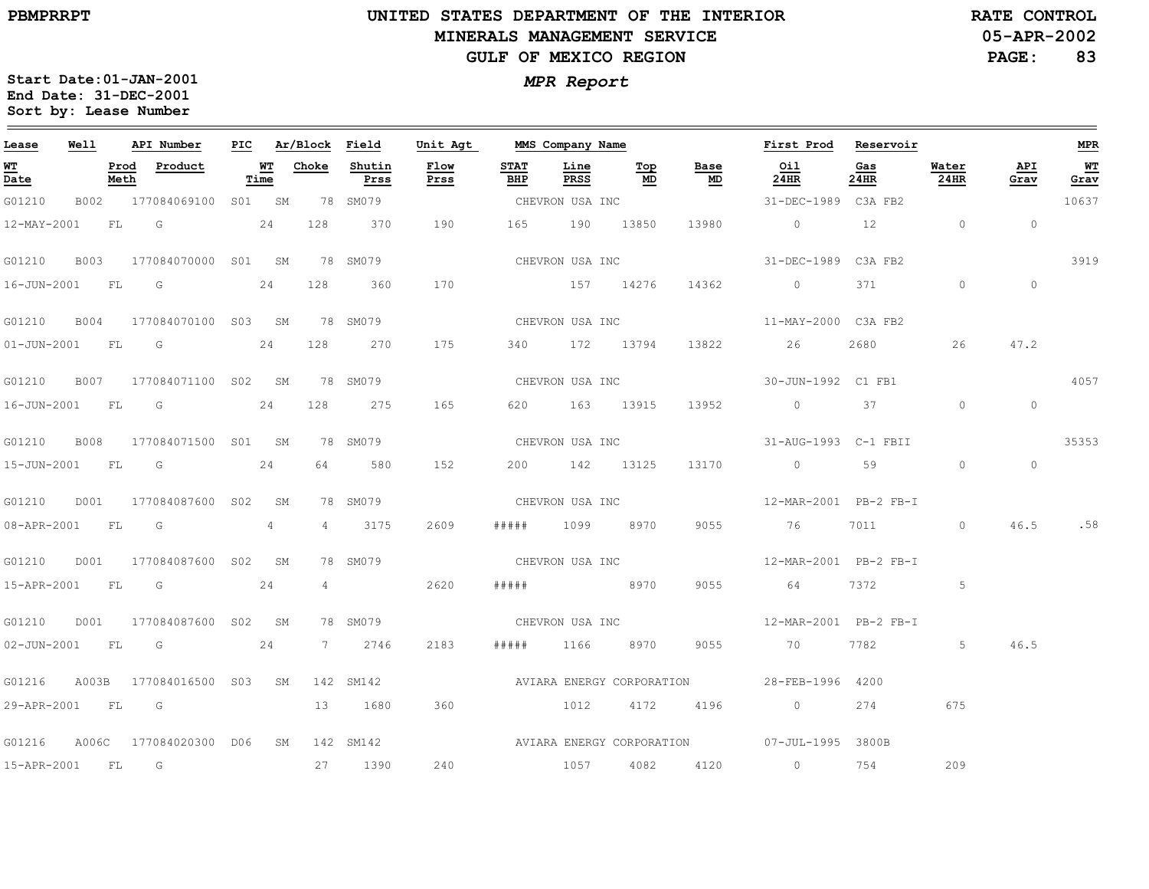the control of the control of the control of the control of

 $\equiv$ 

# **UNITED STATES DEPARTMENT OF THE INTERIOR MINERALS MANAGEMENT SERVICEGULF OF MEXICO REGION**

**05-APR-2002RATE CONTROL**

**PAGE: 83**

| Lease             | Well |              | API Number                      | PIC |            | Ar/Block Field |                | Unit Agt                  |                    | MMS Company Name |                 |                 | First Prod                                            | Reservoir   |                |             | <b>MPR</b> |
|-------------------|------|--------------|---------------------------------|-----|------------|----------------|----------------|---------------------------|--------------------|------------------|-----------------|-----------------|-------------------------------------------------------|-------------|----------------|-------------|------------|
| <b>WT</b><br>Date |      | Prod<br>Meth | Product                         |     | WТ<br>Time | Choke          | Shutin<br>Prss | Flow<br>Prss              | <b>STAT</b><br>BHP | Line<br>PRSS     | Top<br>MD       | Base<br>MD      | Oil<br>24HR                                           | Gas<br>24HR | Water<br>24HR  | API<br>Grav | WT<br>Grav |
| G01210            |      |              | B002 177084069100 S01 SM        |     |            |                | 78 SM079       |                           |                    | CHEVRON USA INC  |                 |                 | 31-DEC-1989 C3A FB2                                   |             |                |             | 10637      |
| 12-MAY-2001       |      | FL G         |                                 |     | 24         | 128            | 370            | 190                       | 165                | 190 13850        |                 | 13980           | $\sim$ 0                                              | 12          | $\overline{0}$ | $\circ$     |            |
| G01210            | B003 |              | 177084070000 S01 SM             |     |            |                | 78 SM079       |                           |                    |                  | CHEVRON USA INC |                 | 31-DEC-1989 C3A FB2                                   |             |                |             | 3919       |
| 16-JUN-2001 FL G  |      |              |                                 |     | 24         | 128            | 360            | 170                       | 157 14276          |                  |                 | 14362           | $\overline{0}$                                        | 371 —       | $\circ$        | $\circ$     |            |
|                   |      |              | G01210 B004 177084070100 S03 SM |     |            |                | 78 SM079       |                           |                    |                  | CHEVRON USA INC |                 | 11-MAY-2000 C3A FB2                                   |             |                |             |            |
|                   |      |              | 01-JUN-2001 FL G                |     | 24         | 128            | 270            | 175                       |                    |                  | 340 172 13794   |                 | 13822 26                                              | 2680 7      | 26             | 47.2        |            |
| G01210            | B007 |              | 177084071100 S02 SM             |     |            |                | 78 SM079       |                           |                    |                  |                 | CHEVRON USA INC | 30-JUN-1992 C1 FB1                                    |             |                |             | 4057       |
| 16-JUN-2001 FL G  |      |              |                                 |     | 24         | 128            | 275            | 165                       |                    | 620 163 13915    |                 | 13952           | $0 \qquad \qquad 37$                                  |             | $\circ$        | $\circ$     |            |
| G01210            |      |              | B008 177084071500 S01 SM        |     |            |                | 78 SM079       |                           |                    |                  |                 | CHEVRON USA INC | 31-AUG-1993    C-1    FBII                            |             |                |             | 35353      |
|                   |      |              | 15-JUN-2001 FL G 24             |     |            |                | 64 580         | 152                       |                    | 200 142 13125    |                 |                 | 13170 0 59                                            |             | $\circ$        | $\circ$     |            |
| G01210            | D001 |              | 177084087600 S02 SM             |     |            |                | 78 SM079       |                           |                    |                  |                 |                 |                                                       |             |                |             |            |
| 08-APR-2001 FL G  |      |              |                                 |     | 4          |                | 4 3175         | 2609                      |                    | ##### 1099 8970  |                 |                 | 9055 76                                               | 7011 701    | $\circ$        |             | 46.5 .58   |
| G01210            |      |              | D001 177084087600 S02 SM        |     |            |                | 78 SM079       |                           |                    |                  |                 | CHEVRON USA INC | 12-MAR-2001 PB-2 FB-I                                 |             |                |             |            |
|                   |      |              | 15-APR-2001 FL G 24             |     |            |                | $4\degree$     | 2620                      |                    | ##### 8970       |                 | 9055            | 64                                                    |             | 5              |             |            |
| G01210            |      |              | D001 177084087600 S02 SM        |     |            |                | 78 SM079       |                           |                    |                  |                 |                 | CHEVRON USA INC $12-MAR-2001$ PB-2 FB-I               |             |                |             |            |
|                   |      |              | 02-JUN-2001 FL G                |     | 24         |                | 7 2746         | 2183                      | # # # # #          | 1166             | 8970            | 9055            | 70                                                    | 7782        | 5              | 46.5        |            |
| G01216            |      |              | A003B 177084016500 S03 SM       |     |            |                | 142 SM142      | AVIARA ENERGY CORPORATION |                    |                  |                 |                 | 28-FEB-1996 4200                                      |             |                |             |            |
|                   |      |              | 29-APR-2001 FL G                |     |            |                | 13 1680        | 360                       |                    |                  | 1012 4172 4196  |                 | $\overline{0}$                                        | 274         | 675            |             |            |
| G01216            |      |              | A006C 177084020300 D06 SM       |     |            |                |                |                           |                    |                  |                 |                 | 142 SM142 AVIARA ENERGY CORPORATION 07-JUL-1995 3800B |             |                |             |            |
| 15-APR-2001 FL G  |      |              |                                 |     |            |                | 27 1390        | 240                       |                    |                  | 1057 4082       | 4120            | $\overline{0}$                                        | 754         | 209            |             |            |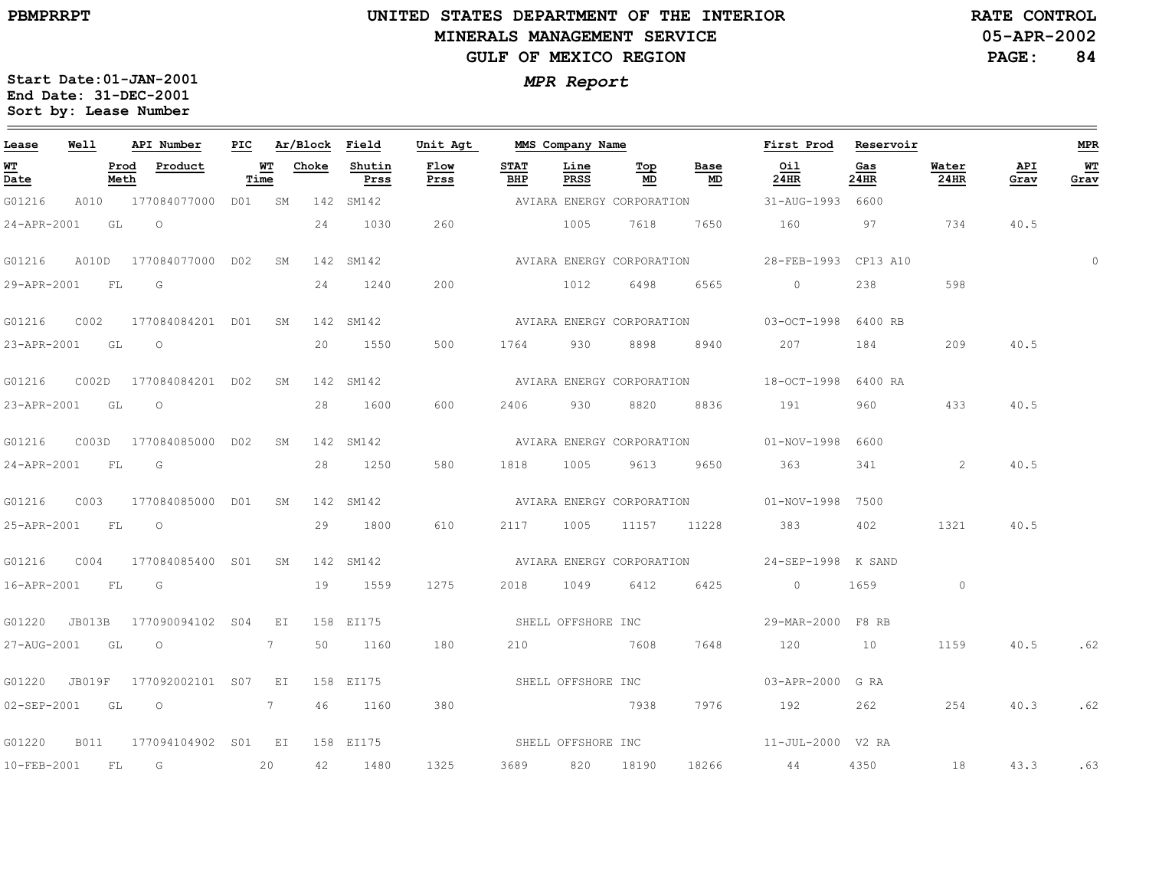**Lease**

 $\qquad \qquad =$ 

# **UNITED STATES DEPARTMENT OF THE INTERIORMINERALS MANAGEMENT SERVICEGULF OF MEXICO REGION**

**05-APR-2002RATE CONTROL**

**PAGE:84**

**MPR**

 $\equiv$ 

**Start Date:01-JAN-2001** *MPR Report* **End Date: 31-DEC-2001 Sort by: Lease Number** 

**Well**

**API Number**

|     |             |        |          |             | - -<br>$-$       |     |      |  |
|-----|-------------|--------|----------|-------------|------------------|-----|------|--|
| PIC | Ar/Block    | Field  | Unit Agt |             | MMS Company Name |     |      |  |
|     | WТ<br>Choke | Shutin | Flow     | <b>STAT</b> | Line             | Top | Base |  |

**First Prod**

**Reservoir**

| WT<br>Date     |             | Prod<br>Meth | Product                  | WT<br>Time | Choke | Shutin<br>Prss | Flow<br>Prss | STAT<br>BHP        | Line<br>PRSS | Top<br>MD                 | Base<br>MD                | Oil<br>24HR        | Gas<br>24HR | Water<br>24HR | API<br>Grav | $\underline{\mathtt{w}}\mathtt{T}$<br>Grav |
|----------------|-------------|--------------|--------------------------|------------|-------|----------------|--------------|--------------------|--------------|---------------------------|---------------------------|--------------------|-------------|---------------|-------------|--------------------------------------------|
| G01216         | A010        |              | 177084077000 D01         | SM         |       | 142 SM142      |              |                    |              | AVIARA ENERGY CORPORATION |                           | 31-AUG-1993 6600   |             |               |             |                                            |
| 24-APR-2001    |             | GL O         |                          |            | 24    | 1030           | 260          |                    | 1005         | 7618                      | 7650                      | 160                | 97          | 734           | 40.5        |                                            |
| G01216         |             |              | A010D 177084077000 D02   | SM         |       | 142 SM142      |              |                    |              |                           | AVIARA ENERGY CORPORATION | 28-FEB-1993        | CP13 A10    |               |             | $\Omega$                                   |
| 29-APR-2001    |             | FL           | G                        |            | 24    | 1240           | 200          |                    | 1012         | 6498                      | 6565                      | $\overline{0}$     | 238         | 598           |             |                                            |
| G01216         | COO2        |              | 177084084201 D01         | SM         |       | 142 SM142      |              |                    |              | AVIARA ENERGY CORPORATION |                           | 03-OCT-1998        | 6400 RB     |               |             |                                            |
| 23-APR-2001 GL |             |              | $\circ$                  |            | 20    | 1550           | 500          | 1764               | 930          | 8898                      | 8940                      | 207                | 184         | 209           | 40.5        |                                            |
| G01216         | COO2D       |              | 177084084201 DO2         | SM         |       | 142 SM142      |              |                    |              | AVIARA ENERGY CORPORATION |                           | 18-OCT-1998        | 6400 RA     |               |             |                                            |
| 23-APR-2001    |             | GL           | $\overline{\phantom{0}}$ |            | 28    | 1600           | 600          | 2406               | 930          | 8820                      | 8836                      | 191                | 960         | 433           | 40.5        |                                            |
| G01216         | C003D       |              | 177084085000 D02         | SM         |       | 142 SM142      |              |                    |              |                           | AVIARA ENERGY CORPORATION | 01-NOV-1998        | 6600        |               |             |                                            |
| 24-APR-2001 FL |             |              | <b>G</b>                 |            | 28    | 1250           | 580          | 1818               | 1005         | 9613                      | 9650                      | 363                | 341         | 2             | 40.5        |                                            |
| G01216         | C003        |              | 177084085000 D01         | SM         |       | 142 SM142      |              |                    |              | AVIARA ENERGY CORPORATION |                           | 01-NOV-1998 7500   |             |               |             |                                            |
| 25-APR-2001    |             | FL           | $\overline{O}$           |            | 29    | 1800           | 610          | 2117               | 1005         | 11157                     | 11228                     |                    | 402         | 1321          | 40.5        |                                            |
| G01216         | COO4        |              | 177084085400 S01         | SM         |       | 142 SM142      |              |                    |              | AVIARA ENERGY CORPORATION |                           | 24-SEP-1998 K SAND |             |               |             |                                            |
| 16-APR-2001 FL |             |              | G                        |            | 19    | 1559           | 1275         | 2018               | 1049         | 6412                      | 6425                      | $\overline{0}$     | 1659        | $\circ$       |             |                                            |
| G01220 JB013B  |             |              | 177090094102 S04         | EI         |       | 158 EI175      |              | SHELL OFFSHORE INC |              |                           |                           | 29-MAR-2000 F8 RB  |             |               |             |                                            |
| 27-AUG-2001 GL |             |              | $\circ$                  | 7          | 50    | 1160           | 180          | 210                | 7608         |                           | 7648                      | 120                | 10          | 1159          | 40.5        | .62                                        |
| G01220         | JB019F      |              | 177092002101 S07 EI      |            |       | 158 EI175      |              | SHELL OFFSHORE INC |              |                           |                           | 03-APR-2000 G RA   |             |               |             |                                            |
| 02-SEP-2001 GL |             |              | $\circ$ 7                |            | 46    | 1160           | 380          |                    |              | 7938                      | 7976                      | 192                | 262         | 254           | 40.3        | .62                                        |
| G01220         | <b>B011</b> |              | 177094104902 S01 EI      |            |       | 158 EI175      |              | SHELL OFFSHORE INC |              |                           |                           | 11-JUL-2000 V2 RA  |             |               |             |                                            |
| 10-FEB-2001    |             | FL           | $\overline{G}$           | 20         | 42    | 1480           | 1325         | 3689               | 820          | 18190                     | 18266                     | 44                 | 4350        | 18            | 43.3        | .63                                        |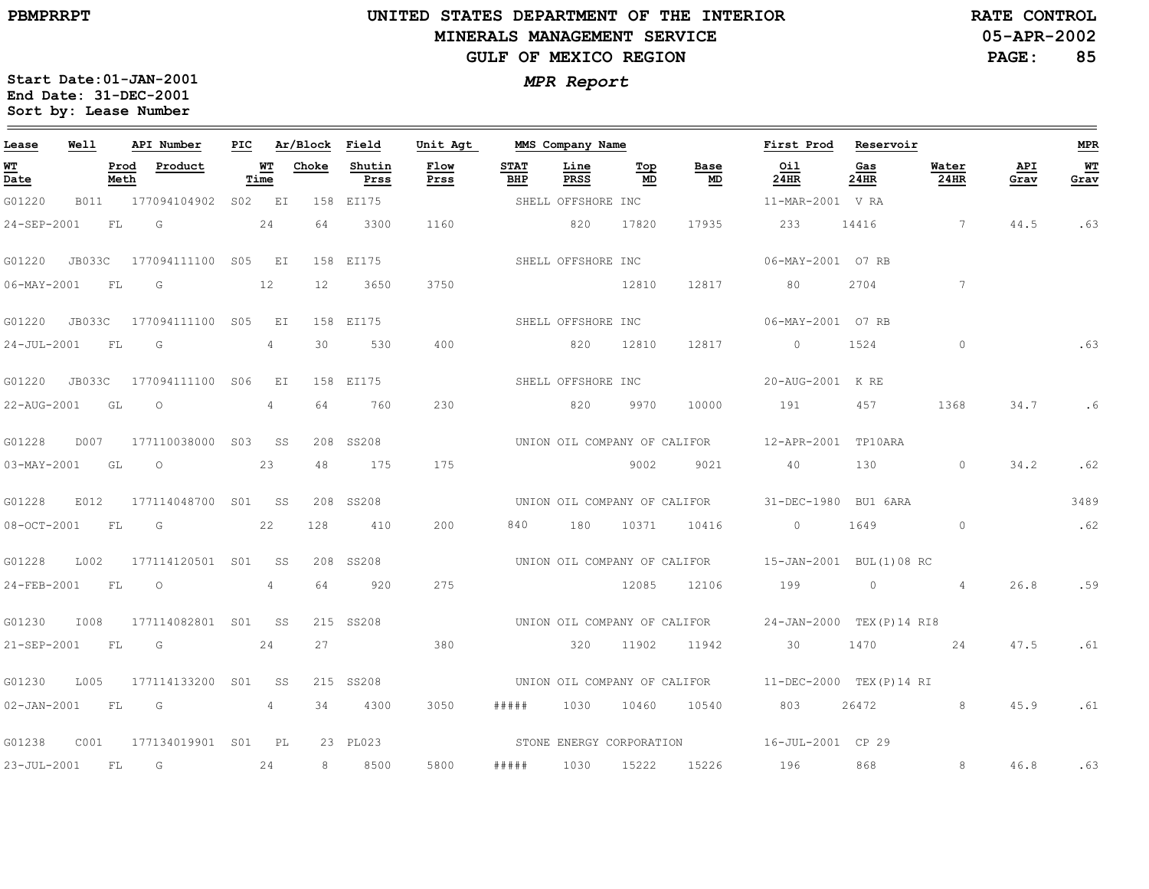### **UNITED STATES DEPARTMENT OF THE INTERIOR MINERALS MANAGEMENT SERVICEGULF OF MEXICO REGION**

**05-APR-2002RATE CONTROL**

**PAGE:85**

| Lease             | Well           |              | API Number                        | PIC |                 | Ar/Block Field |                | Unit Agt     |                    | MMS Company Name             |           |                              | First Prod                                            | Reservoir      |                |             | <b>MPR</b> |
|-------------------|----------------|--------------|-----------------------------------|-----|-----------------|----------------|----------------|--------------|--------------------|------------------------------|-----------|------------------------------|-------------------------------------------------------|----------------|----------------|-------------|------------|
| WT<br>Date        |                | Prod<br>Meth | Product                           |     | WT<br>Time      | Choke          | Shutin<br>Prss | Flow<br>Prss | <b>STAT</b><br>BHP | Line<br>PRSS                 | Top<br>MD | Base<br>MD                   | Oil<br>24HR                                           | Gas<br>24HR    | Water<br>24HR  | API<br>Grav | WТ<br>Grav |
| G01220            | <b>B011</b>    |              | 177094104902                      |     | S02 EI          |                | 158 EI175      |              |                    | SHELL OFFSHORE INC           |           |                              | 11-MAR-2001 V RA                                      |                |                |             |            |
| 24-SEP-2001       |                | FL           | G                                 |     | 24              | 64             | 3300           | 1160         |                    | 820                          | 17820     | 17935                        | 233                                                   | 14416          | $\overline{7}$ | 44.5        | .63        |
| G01220            | JB033C         |              | 177094111100 S05 EI               |     |                 |                | 158 EI175      |              |                    | SHELL OFFSHORE INC           |           |                              | 06-MAY-2001 07 RB                                     |                |                |             |            |
| $06 - MAX - 2001$ |                | <b>FL</b>    | $\overline{G}$                    |     | 12              | 12             | 3650           | 3750         |                    |                              | 12810     | 12817                        | 80                                                    | 2704           | 7              |             |            |
| G01220            | JB033C         |              | 177094111100 S05 EI               |     |                 |                | 158 EI175      |              |                    | SHELL OFFSHORE INC           |           |                              | 06-MAY-2001 07 RB                                     |                |                |             |            |
| 24-JUL-2001       |                | FL           | G                                 |     | $\overline{4}$  | 30             | 530            | 400          |                    | 820                          | 12810     | 12817                        | $\overline{0}$                                        | 1524           | $\circ$        |             | .63        |
| G01220            | JB033C         |              | 177094111100 SO6                  |     | EI              |                | 158 EI175      |              |                    | SHELL OFFSHORE INC           |           |                              | 20-AUG-2001 K RE                                      |                |                |             |            |
| 22-AUG-2001       |                | GL           | $\circ$                           |     | 4               | 64             | 760            | 230          |                    | 820                          | 9970      | 10000                        | 191                                                   | 457            | 1368           | 34.7        | . 6        |
| G01228            | D007           |              | 177110038000 S03 SS               |     |                 |                | 208 SS208      |              |                    |                              |           |                              | UNION OIL COMPANY OF CALIFOR 12-APR-2001 TP10ARA      |                |                |             |            |
|                   | 03-MAY-2001 GL |              | $\circ$                           |     | 23              | 48             | 175            | 175          |                    |                              | 9002      | 9021                         | 40                                                    | 130            | $\sim$ 0       | 34.2        | .62        |
| G01228            | E012           |              | 177114048700 S01 SS               |     |                 |                | 208 SS208      |              |                    |                              |           | UNION OIL COMPANY OF CALIFOR | 31-DEC-1980 BU1 6ARA                                  |                |                |             | 3489       |
| $08 - OCT - 2001$ |                | FL           | G                                 |     | 22              | 128            | 410            | 200          | 840                | 180                          | 10371     | 10416                        | $\Omega$                                              | 1649           | $\Omega$       |             | .62        |
| G01228            | L002           |              | 177114120501 S01                  |     | SS <sub>3</sub> |                | 208 SS208      |              |                    | UNION OIL COMPANY OF CALIFOR |           |                              | 15-JAN-2001 BUL(1)08 RC                               |                |                |             |            |
| 24-FEB-2001       |                | FL           | $\circ$                           |     | 4               | 64             | 920            | 275          |                    |                              | 12085     | 12106                        | 199                                                   | $\overline{0}$ | $\overline{4}$ | 26.8        | .59        |
| G01230            | I008           |              | 177114082801 S01 SS               |     |                 |                | 215 SS208      |              |                    |                              |           |                              | UNION OIL COMPANY OF CALIFOR 24-JAN-2000 TEX(P)14 RI8 |                |                |             |            |
| 21-SEP-2001       |                | <b>FL</b>    | G                                 |     | 24              | 27             |                | 380          |                    | 320                          | 11902     | 11942                        | 30                                                    | 1470           | 24             | 47.5        | .61        |
| G01230            | L005           |              | 177114133200 S01                  |     | SS <sub>3</sub> |                | 215 SS208      |              |                    | UNION OIL COMPANY OF CALIFOR |           |                              | 11-DEC-2000 TEX(P)14 RI                               |                |                |             |            |
|                   | 02-JAN-2001 FL |              | $\overline{G}$<br>$4\overline{ }$ |     |                 | 34             | 4300           | 3050         | # # # # #          | 1030                         | 10460     | 10540                        | 803                                                   | 26472          | $8 - 8$        | 45.9        | .61        |
| G01238            | C001           |              | 177134019901 S01 PL               |     |                 |                | 23 PL023       |              |                    |                              |           |                              |                                                       |                |                |             |            |
| $23 - JUL - 2001$ |                | FL.          | G                                 |     | 24              | 8              | 8500           | 5800         | #####              | 1030                         | 15222     | 15226                        | 196                                                   | 868            | 8              | 46.8        | .63        |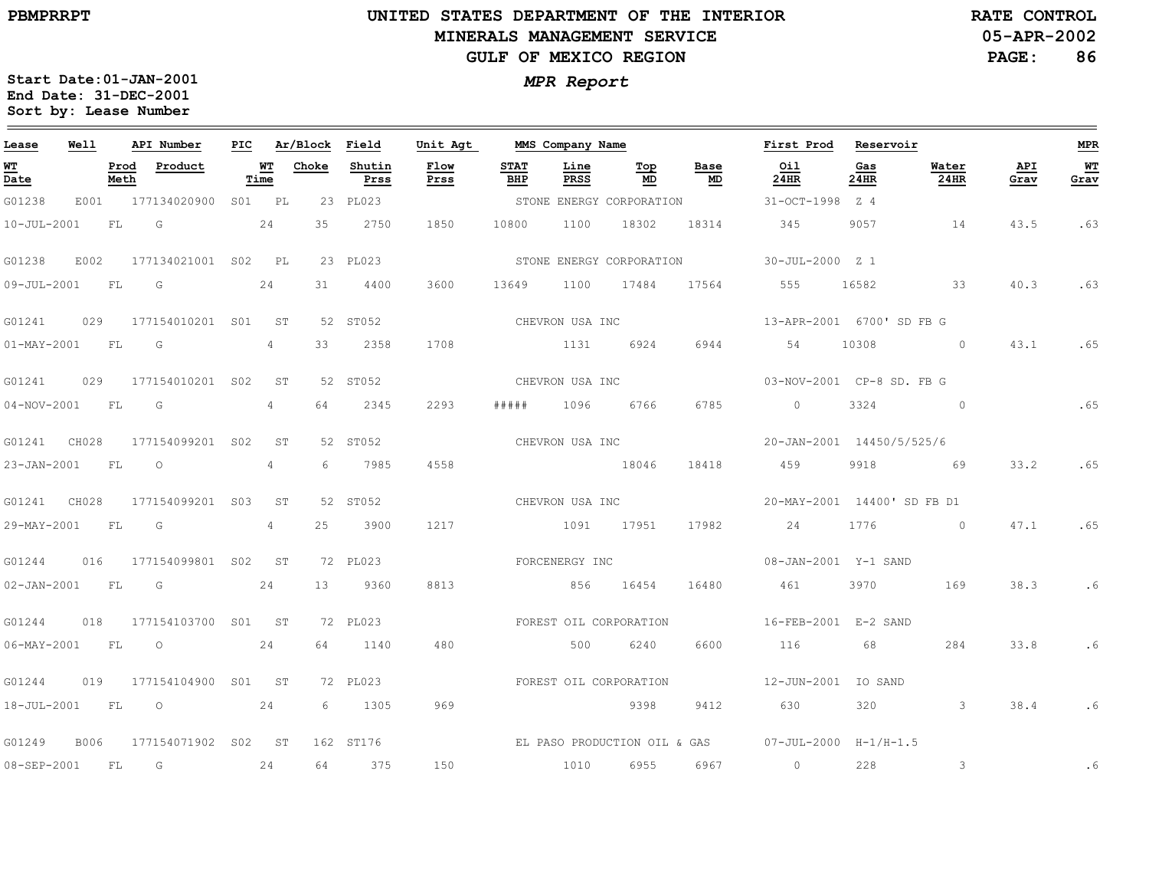#### **UNITED STATES DEPARTMENT OF THE INTERIOR MINERALS MANAGEMENT SERVICEGULF OF MEXICO REGION**

**05-APR-2002RATE CONTROL**

**PAGE:86**

| Lease             | Well  |              | API Number               | PIC |                   | Ar/Block Field |                | Unit Agt     |                    | MMS Company Name |                          |                 | First Prod                               | Reservoir   |                         |             | MPR        |
|-------------------|-------|--------------|--------------------------|-----|-------------------|----------------|----------------|--------------|--------------------|------------------|--------------------------|-----------------|------------------------------------------|-------------|-------------------------|-------------|------------|
| WТ<br>Date        |       | Prod<br>Meth | Product                  |     | <u>WT</u><br>Time | Choke          | Shutin<br>Prss | Flow<br>Prss | <b>STAT</b><br>BHP | Line<br>PRSS     | Top<br>MD                | Base<br>MD      | Oil<br>24HR                              | Gas<br>24HR | Water<br>24HR           | API<br>Grav | WТ<br>Grav |
| G01238            |       |              | E001 177134020900 S01 PL |     |                   |                | 23 PL023       |              |                    |                  | STONE ENERGY CORPORATION |                 | 31-OCT-1998 Z 4                          |             |                         |             |            |
| $10 - JUL - 2001$ |       | FL           | G                        |     | 24                | 35             | 2750           | 1850         | 10800              | 1100             | 18302                    | 18314           | 345                                      | 9057        | 14                      | 43.5        | .63        |
| G01238            | E002  |              | 177134021001 S02 PL      |     |                   |                | 23 PL023       |              |                    |                  | STONE ENERGY CORPORATION |                 | 30-JUL-2000 Z 1                          |             |                         |             |            |
| 09-JUL-2001       |       | <b>FL</b>    | G                        |     | 24                | 31             | 4400           | 3600         | 13649              | 1100             | 17484                    | 17564           | 555                                      | 16582       | $\overline{33}$         | 40.3        | .63        |
| G01241            | 029   |              | 177154010201 S01         |     | <b>ST</b>         |                | 52 ST052       |              |                    | CHEVRON USA INC  |                          |                 | 13-APR-2001 6700'SD FB G                 |             |                         |             |            |
| $01-MAY-2001$     |       | <b>FL</b>    | G                        |     | 4                 | 33             | 2358           | 1708         |                    | 1131             | 6924                     | 6944            | 54                                       | 10308       | $\overline{0}$          | 43.1        | .65        |
| G01241            | 029   |              | 177154010201 S02         |     | ST                |                | 52 ST052       |              |                    | CHEVRON USA INC  |                          |                 | 03-NOV-2001 CP-8 SD. FB G                |             |                         |             |            |
| $04 - NOV - 2001$ |       | FL           | G                        |     | 4                 | 64             | 2345           | 2293         | # # # # #          | 1096             | 6766                     | 6785            | $\circ$                                  | 3324        | $\overline{0}$          |             | .65        |
| G01241 CH028      |       |              | 177154099201 S02         |     | ST                |                | 52 ST052       |              |                    | CHEVRON USA INC  |                          |                 | 20-JAN-2001 14450/5/525/6                |             |                         |             |            |
| 23-JAN-2001       |       | FL           | $\circ$                  |     | 4                 | 6              | 7985           | 4558         |                    | 18046            |                          | 18418           | 459                                      | 9918        | 69                      | 33.2        | .65        |
| G01241            | CH028 |              | 177154099201 S03         |     | SТ                |                | 52 ST052       |              |                    |                  |                          | CHEVRON USA INC | 20-MAY-2001 14400' SD FB D1              |             |                         |             |            |
| 29-MAY-2001       |       | FL.          | G                        |     | $\overline{4}$    | 25             | 3900           | 1217         |                    | 1091 17951       |                          | 17982           | 24                                       | 1776        | $\sim$ 0                | 47.1        | .65        |
| G01244            | 016   |              | 177154099801 S02 ST      |     |                   |                | 72 PL023       |              |                    | FORCENERGY INC   |                          |                 | 08-JAN-2001 Y-1 SAND                     |             |                         |             |            |
| $02 - JAN - 2001$ |       | FL           | $\overline{G}$           |     | 24                | 13             | 9360           | 8813         |                    | 856              | 16454                    | 16480           | 461                                      | 3970        | 169                     | 38.3        | .6         |
| G01244            | 018   |              | 177154103700 S01 ST      |     |                   |                | 72 PL023       |              |                    |                  | FOREST OIL CORPORATION   |                 | 16-FEB-2001 E-2 SAND                     |             |                         |             |            |
| 06-MAY-2001 FL    |       |              | $\circ$                  |     | 24                | 64             | 1140           | 480          |                    | 500              | 6240                     | 6600            | 116                                      | 68          | 284                     | 33.8        | . 6        |
| G01244            | 019   |              | 177154104900 S01 ST      |     |                   |                | 72 PL023       |              |                    |                  | FOREST OIL CORPORATION   |                 | 12-JUN-2001 IO SAND                      |             |                         |             |            |
| $18 - JUL - 2001$ |       | FL           | $\overline{\phantom{0}}$ |     | 24                | 6              | 1305           | 969          |                    |                  | 9398                     | 9412            | 630                                      | 320         | $\overline{\mathbf{3}}$ | 38.4        | .6         |
| G01249            | B006  |              | 177154071902 S02 ST      |     |                   |                | 162 ST176      |              |                    |                  |                          |                 | EL PASO PRODUCTION OIL & GAS 07-JUL-2000 | $H-1/H-1.5$ |                         |             |            |
| 08-SEP-2001       |       | <b>FL</b>    | G                        |     | 24                | 64             | 375            | 150          |                    | 1010             | 6955                     | 6967            | $\circ$                                  | 228         | 3                       |             | .6         |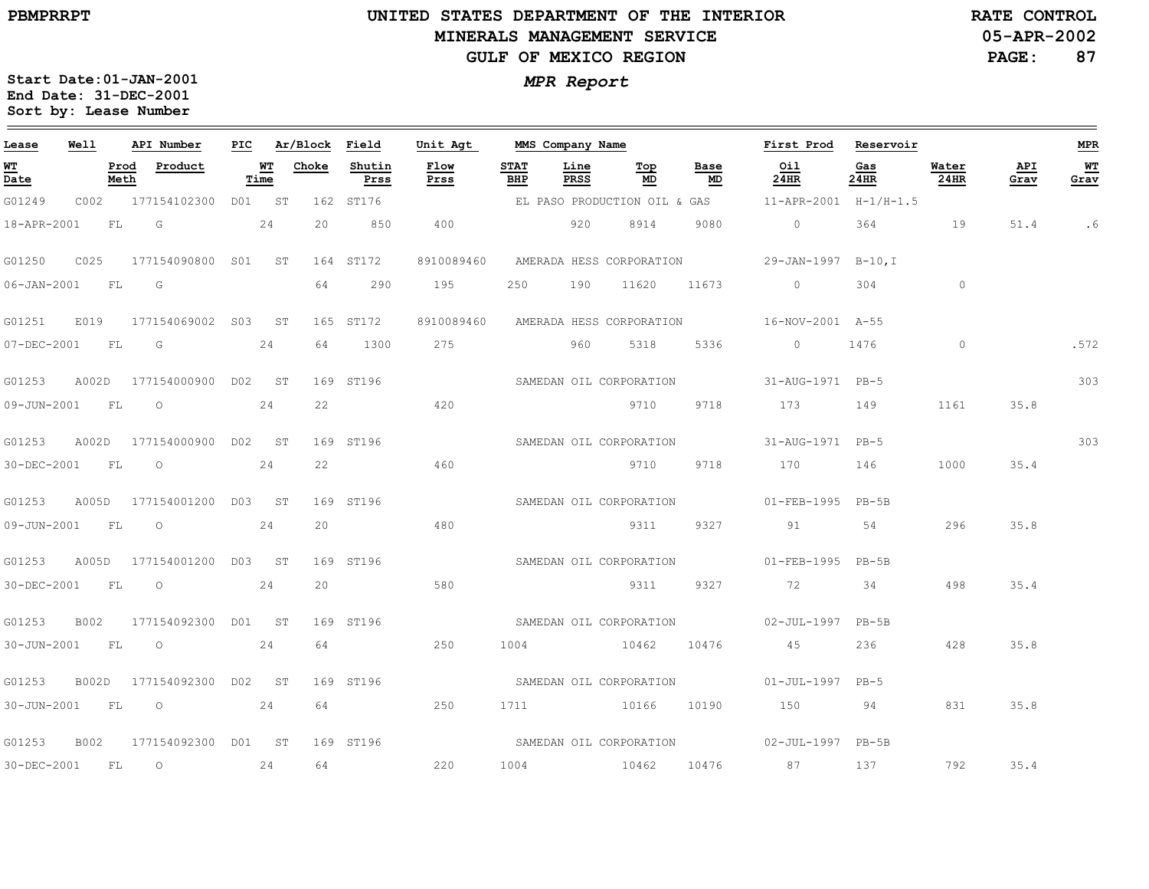$\qquad \qquad$ 

30-DEC-2001

FL

O

24

64

220

1004

10462

10476

87

137

792

35.4

# **UNITED STATES DEPARTMENT OF THE INTERIORMINERALS MANAGEMENT SERVICEGULF OF MEXICO REGION**

**05-APR-2002RATE CONTROL**

> **PAGE:87**

> > 303

.572

**MPR**

 $\equiv$ 

**WT Grav**

.6

303

| Lease                                                  | <b>Well</b> |              | API Number                | PIC |            | Ar/Block | Field          | Unit Agt                |                           | MMS Company Name |                              |            | First Prod                                   | Reservoir          |               |             |
|--------------------------------------------------------|-------------|--------------|---------------------------|-----|------------|----------|----------------|-------------------------|---------------------------|------------------|------------------------------|------------|----------------------------------------------|--------------------|---------------|-------------|
| $\underline{\mathbf{W}}\underline{\mathbf{T}}$<br>Date |             | Prod<br>Meth | Product                   |     | WT<br>Time | Choke    | Shutin<br>Prss | Flow<br>Prss            | <b>STAT</b><br><b>BHP</b> | Line<br>PRSS     | Top<br>MD                    | Base<br>MD | Oil<br><b>24HR</b>                           | Gas<br><b>24HR</b> | Water<br>24HR | API<br>Grav |
| G01249                                                 | C002        |              | 177154102300 D01 ST       |     |            |          | 162 ST176      |                         |                           |                  | EL PASO PRODUCTION OIL & GAS |            | 11-APR-2001 H-1/H-1.5                        |                    |               |             |
| 18-APR-2001                                            |             | FL           | G                         |     | 24         | 20       | 850            | 400                     |                           | 920              | 8914                         | 9080       | $\circ$                                      | 364                | 19            | 51.4        |
| G01250                                                 | C025        |              | 177154090800 S01          |     | ST         |          | 164 ST172      | 8910089460              |                           |                  |                              |            | AMERADA HESS CORPORATION 29-JAN-1997 B-10, I |                    |               |             |
| $06 - JAN - 2001$                                      |             | FL           | G                         |     |            | 64       | 290            | 195                     | 250                       | 190              | 11620                        | 11673      | $\circ$                                      | 304                | $\circ$       |             |
| G01251                                                 | E019        |              | 177154069002 S03 ST       |     |            |          | 165 ST172      | 8910089460              |                           |                  |                              |            | AMERADA HESS CORPORATION 16-NOV-2001 A-55    |                    |               |             |
| 07-DEC-2001                                            |             | FL           | $\overline{G}$            |     | 24         | 64       | 1300           | 275                     |                           | 960              | 5318                         | 5336       | $\overline{0}$                               | 1476               | $\circ$       |             |
| G01253                                                 | A002D       |              | 177154000900 D02 ST       |     |            |          | 169 ST196      |                         |                           |                  | SAMEDAN OIL CORPORATION      |            | 31-AUG-1971 PB-5                             |                    |               |             |
| 09-JUN-2001                                            |             | FL           | $\circ$                   |     | 24         | 22       |                | 420                     |                           |                  | 9710                         | 9718       | 173                                          | 149                | 1161          | 35.8        |
| G01253                                                 | A002D       |              | 177154000900 D02          |     | ST         |          | 169 ST196      |                         |                           |                  | SAMEDAN OIL CORPORATION      |            | 31-AUG-1971 PB-5                             |                    |               |             |
| 30-DEC-2001                                            |             | FL           | $\circ$                   |     | 24         | 22       |                | 460                     |                           |                  | 9710                         | 9718       | 170                                          | 146                | 1000          | 35.4        |
| G01253                                                 |             |              | A005D 177154001200 D03 ST |     |            |          | 169 ST196      |                         |                           |                  | SAMEDAN OIL CORPORATION      |            | 01-FEB-1995 PB-5B                            |                    |               |             |
| 09-JUN-2001                                            | <b>FL</b>   |              | $\circ$                   |     | 24         | 20       |                | 480                     |                           |                  | 9311                         | 9327       | 91                                           | 54                 | 296           | 35.8        |
| G01253                                                 | A005D       |              | 177154001200 D03 ST       |     |            |          | 169 ST196      |                         |                           |                  | SAMEDAN OIL CORPORATION      |            | $01 - FEB - 1995$                            | $PB-5B$            |               |             |
| 30-DEC-2001                                            |             | FL           | $\circ$                   |     | 24         | 20       |                | 580                     |                           |                  | 9311                         | 9327       | 72                                           | 34                 | 498           | 35.4        |
| G01253                                                 | B002        |              | 177154092300              | D01 | ST         |          | 169 ST196      |                         |                           |                  |                              |            | SAMEDAN OIL CORPORATION 02-JUL-1997          | $PB-5B$            |               |             |
| 30-JUN-2001                                            |             | FL           | $\circ$                   |     | 24         | 64       |                | 250                     | 1004                      |                  | 10462                        | 10476      | 45                                           | 236                | 428           | 35.8        |
| G01253                                                 | B002D       |              | 177154092300 D02 ST       |     |            |          | 169 ST196      |                         |                           |                  | SAMEDAN OIL CORPORATION      |            | $01 - JUL - 1997$                            | $PB-5$             |               |             |
| 30-JUN-2001                                            | FL          |              | $\circ$                   |     | 24         | 64       |                | 250                     | 1711 10166                |                  |                              | 10190      | 150                                          | 94                 | 831           | 35.8        |
| G01253                                                 | B002        |              | 177154092300 D01          |     | SТ         |          | 169 ST196      | SAMEDAN OIL CORPORATION |                           |                  |                              |            | $02 - JUL - 1997$ PB-5B                      |                    |               |             |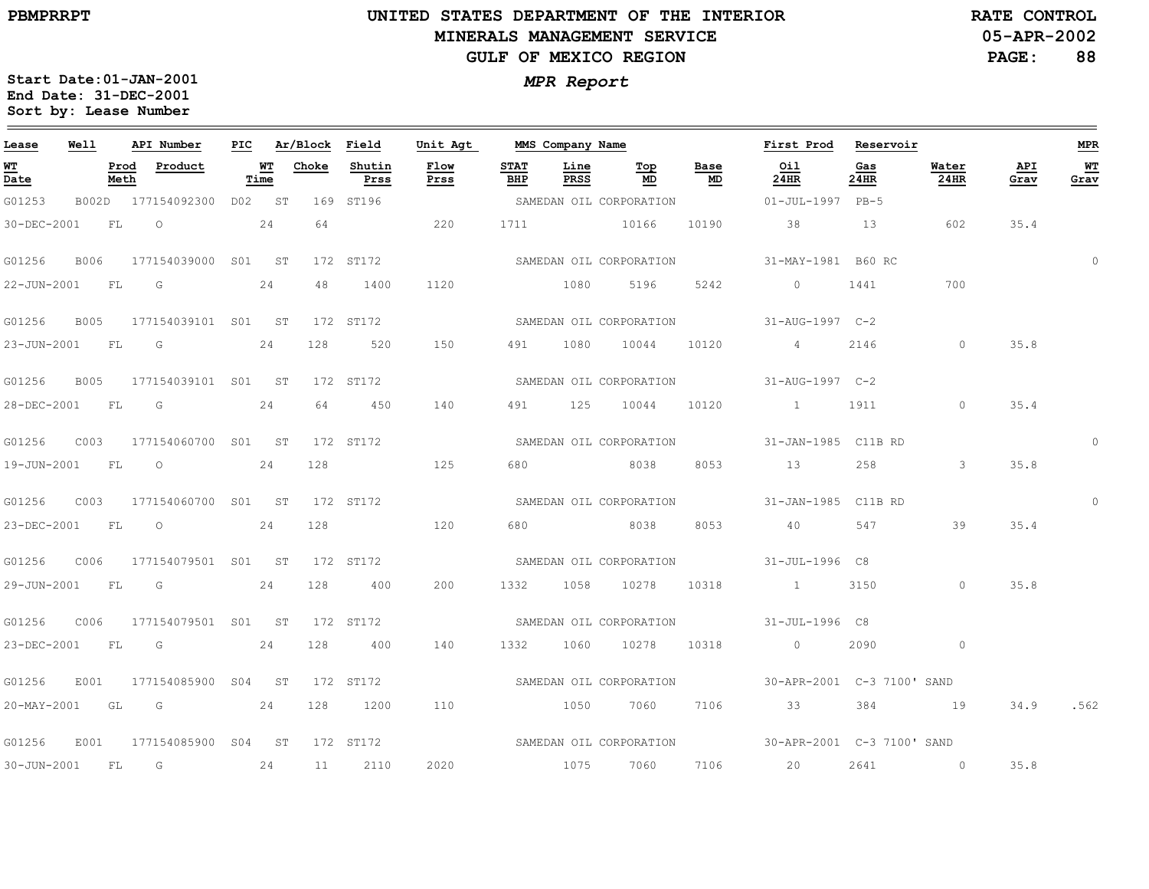G01253 B002D

30-DEC-2001 FL

22-JUN-2001 FL

23-JUN-2001 FL

28-DEC-2001 FL

19-JUN-2001 FL

23-DEC-2001 FL

29-JUN-2001 FL

**Lease**

**WT Date**

G01256 B006

G01256 B005

G01256 B005

G01256 C003

G01256 C003

G01256 C006

# **UNITED STATES DEPARTMENT OF THE INTERIORMINERALS MANAGEMENT SERVICEGULF OF MEXICO REGION**

**05-APR-2002RATE CONTROL**

**PAGE: 88**

35.4

35.4

35.8

35.4

35.8

34.9

.562

35.8

 $\overline{0}$ 

**MPR**

**WT Grav**

0

 $\Omega$ 

**Start Date:01-JAN-2001** *MPR Report* **End Date: 31-DEC-2001Sort by: Lease Number** 

> **Prod Meth**

**Well**

<u> The Communication of the Communication</u>

|              | API Number                    | PIC    |    | Ar/Block Field |                | Unit Agt     |                    | MMS Company Name |                         |            | First Prod                                           | Reservoir   |                      |             |
|--------------|-------------------------------|--------|----|----------------|----------------|--------------|--------------------|------------------|-------------------------|------------|------------------------------------------------------|-------------|----------------------|-------------|
| Prod<br>Meth | Product                       | Time   | WT | Choke          | Shutin<br>Prss | Flow<br>Prss | <b>STAT</b><br>BHP | Line<br>PRSS     | Top<br>MD               | Base<br>MD | Oil<br>24HR                                          | Gas<br>24HR | Water<br><b>24HR</b> | API<br>Grav |
|              | 177154092300                  | D02 ST |    |                | 169 ST196      |              |                    |                  | SAMEDAN OIL CORPORATION |            | $01 - JUL - 1997$                                    | $PB-5$      |                      |             |
|              | $\overline{24}$<br>$FT1$ $O2$ |        |    | 64             |                | 220          |                    |                  | 1711 10166              |            | 10190 38                                             | 13          | 602                  | 35.4        |
|              | 177154039000 S01              |        | ST |                |                |              |                    |                  |                         |            | 172 ST172 SAMEDAN OIL CORPORATION 31-MAY-1981 B60 RC |             |                      |             |
| FL           | G                             | 24     |    | 48             | 1400           | 1120         | 1080               |                  | 5196                    |            | 5242 0                                               | 1441        | 700                  |             |
|              | 177154039101 S01              |        | ST |                |                |              |                    |                  |                         |            | 172 ST172 SAMEDAN OIL CORPORATION 31-AUG-1997 C-2    |             |                      |             |
| FT.          | G                             | 24     |    | 128            | 520            | 150 31       | 491                | 1080             | 10044                   |            | 10120 4                                              | 2146        | $\bigcirc$           | 35.8        |
|              | 177154039101 S01 ST           |        |    |                |                | 172 ST172    |                    |                  |                         |            | SAMEDAN OIL CORPORATION 31-AUG-1997 C-2              |             |                      |             |
| FT.          | G                             | 24     |    | 64             | 450            | 140          |                    | 491 125          |                         |            | 10044 10120 1                                        | 1911        | $\Omega$             | 35.4        |
|              | 177154060700 S01 ST           |        |    |                |                | 172 ST172    |                    |                  | SAMEDAN OIL CORPORATION |            | 31-JAN-1985 C11B RD                                  |             |                      |             |
| FT.          | $\overline{O}$                |        | 24 | 128            |                | 125          |                    |                  | 680 8038                |            | 8053 13                                              | 258         | $\mathcal{E}$        | 35.8        |
|              | 177154060700 S01              |        | ST |                | 172 ST172      |              |                    |                  |                         |            | SAMEDAN OIL CORPORATION 51-JAN-1985 C11B RD          |             |                      |             |
| FT.          | $\circ$                       | 24     |    | 128            |                | 120          | 680                |                  | 8038                    | 8053       | 40                                                   | 547         | 39                   | 35.4        |
|              | 177154079501 S01              |        | ST |                |                |              |                    |                  |                         |            | 172 ST172 SAMEDAN OIL CORPORATION 31-JUL-1996 C8     |             |                      |             |
| FL           | G                             |        | 24 | 128            | 400            | 200          | 1332               | 1058             | 10278                   | 10318      | $\sim$ $\sim$ $\sim$ $\sim$ $\sim$ $\sim$            | 3150        | $\circ$              | 35.8        |

140

110

2020

G01256G01256 G01256 C006 E001E001 177154085900 S04 ST 172 ST172 177154079501 SO1 ST 172 ST172 177154085900 SO4 ST 172 ST172 23-DEC-2001 FL 20-MAY-2001 GL GG24241281284001200

30-JUN-2001 FL G 24 11 2110

133210601027810318SAMEDAN OIL CORPORATION

> 10507060SAMEDAN OIL CORPORATION

> > 10757060

30-APR-2001C-3 7100' SANDSAMEDAN OIL CORPORATION710633 38419

7106 20 2641 0

30-APR-2001 C-3 7100' SAND

 $\overline{0}$ 

31-JUL-1996 C8

02090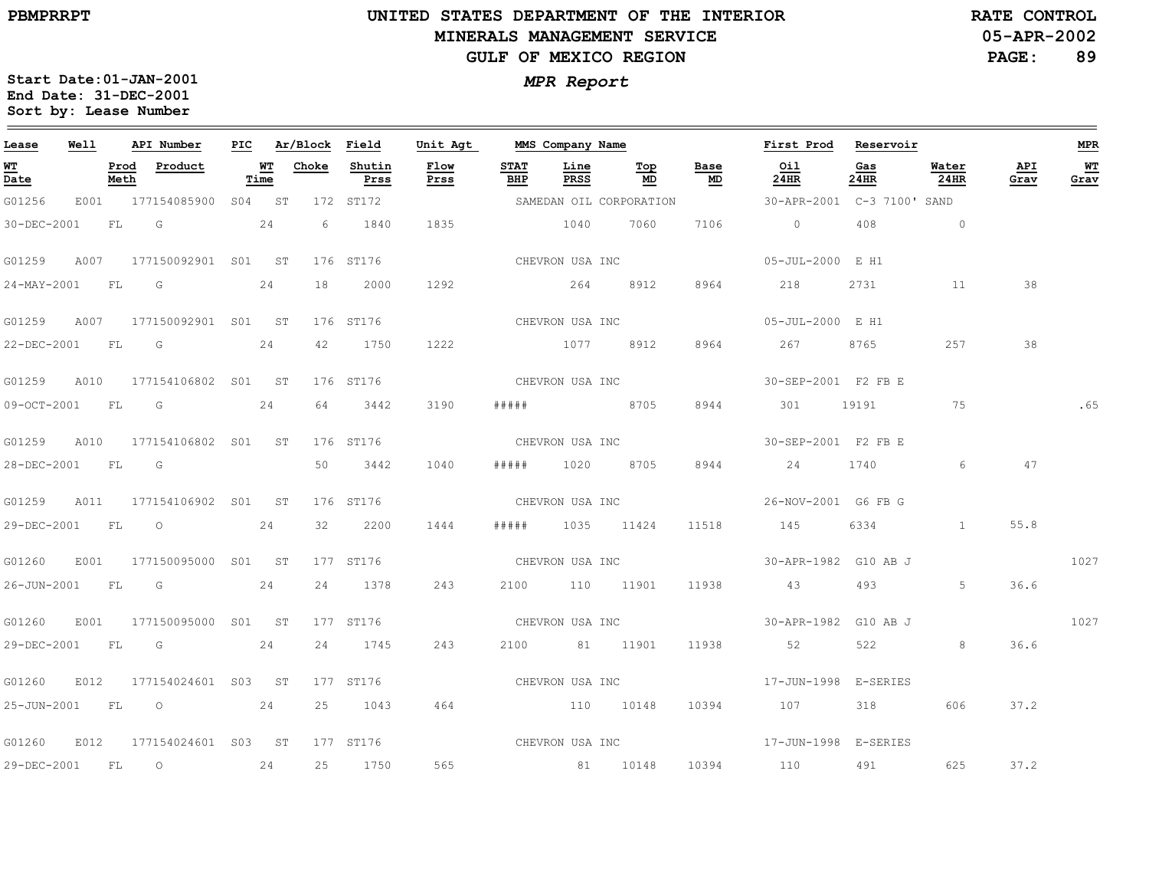the control of the control of the control of the control of

 $\equiv$ 

## **UNITED STATES DEPARTMENT OF THE INTERIOR MINERALS MANAGEMENT SERVICEGULF OF MEXICO REGION**

**05-APR-2002RATE CONTROL**

**PAGE:89**

| <b>MPR Report</b> |  |
|-------------------|--|
|-------------------|--|

| Lease             | Well |              | API Number              | PIC |            | Ar/Block | Field          | Unit Agt     |                    | MMS Company Name |                                |                                   | First Prod           | Reservoir      |               |             | <b>MPR</b>  |
|-------------------|------|--------------|-------------------------|-----|------------|----------|----------------|--------------|--------------------|------------------|--------------------------------|-----------------------------------|----------------------|----------------|---------------|-------------|-------------|
| <u>WT</u><br>Date |      | Prod<br>Meth | Product                 |     | WТ<br>Time | Choke    | Shutin<br>Prss | Flow<br>Prss | <b>STAT</b><br>BHP | Line<br>PRSS     | $\underline{\text{Top}}$<br>MD | Base<br>$\underline{\mathsf{MD}}$ | 0i1<br>24HR          | Gas<br>24HR    | Water<br>24HR | API<br>Grav | $W$<br>Grav |
| G01256            | E001 |              | 177154085900            |     | S04 ST     |          | 172 ST172      |              |                    |                  | SAMEDAN OIL CORPORATION        |                                   | 30-APR-2001          | C-3 7100' SAND |               |             |             |
| 30-DEC-2001       |      | FL           | G                       |     | 24         | 6        | 1840           | 1835         |                    | 1040             | 7060                           | 7106                              | $\circ$              | 408            | $\circ$       |             |             |
| G01259            | A007 |              | 177150092901 S01 ST     |     |            |          | 176 ST176      |              |                    | CHEVRON USA INC  |                                |                                   | 05-JUL-2000 E H1     |                |               |             |             |
| 24-MAY-2001       |      | FL           | G                       |     | 24         | 18       | 2000           | 1292         |                    | 264              | 8912                           | 8964                              | 218                  | 2731           | 11            | 38          |             |
| G01259            | A007 |              | 177150092901 S01 ST     |     |            |          | 176 ST176      |              |                    | CHEVRON USA INC  |                                |                                   | 05-JUL-2000 E H1     |                |               |             |             |
| 22-DEC-2001       |      | FL           | G                       |     | 24         | 42       | 1750           | 1222         |                    | 1077             | 8912                           | 8964                              | 267                  | 8765           | 257           | 38          |             |
| G01259            | A010 |              | 177154106802 S01 ST     |     |            |          | 176 ST176      |              |                    | CHEVRON USA INC  |                                |                                   | 30-SEP-2001 F2 FB E  |                |               |             |             |
| 09-OCT-2001       |      | FL           | G                       |     | 24         | 64       | 3442           | 3190         | # # # # #          |                  | 8705                           | 8944                              | 301                  | 19191          | 75            |             | .65         |
| G01259            | A010 |              | 177154106802 S01 ST     |     |            |          | 176 ST176      |              |                    | CHEVRON USA INC  |                                |                                   | 30-SEP-2001 F2 FB E  |                |               |             |             |
| 28-DEC-2001       |      | FL           | $\overline{\mathbb{G}}$ |     |            | 50       | 3442           | 1040         | # # # # #          | 1020             | 8705                           | 8944                              | 24                   | 1740           | 6             | 47          |             |
| G01259            | A011 |              | 177154106902 S01        |     | ST         |          | 176 ST176      |              |                    | CHEVRON USA INC  |                                |                                   | 26-NOV-2001 G6 FB G  |                |               |             |             |
| 29-DEC-2001       |      | FL           | $\circ$                 |     | 24         | 32       | 2200           | 1444         | #####              |                  | 1035 11424                     | 11518                             | 145                  | 6334           | $\mathbf{1}$  | 55.8        |             |
| G01260            | E001 |              | 177150095000 S01 ST     |     |            |          | 177 ST176      |              |                    | CHEVRON USA INC  |                                |                                   | 30-APR-1982 G10 AB J |                |               |             | 1027        |
| 26-JUN-2001       |      | FL           | G                       |     | 24         | 24       | 1378           | 243          | 2100               |                  | 110 11901                      | 11938                             | 43                   | 493            | 5             | 36.6        |             |
| G01260            | E001 |              | 177150095000 S01 ST     |     |            |          | 177 ST176      |              |                    | CHEVRON USA INC  |                                |                                   | 30-APR-1982 G10 AB J |                |               |             | 1027        |
| 29-DEC-2001       |      | FL           | G                       |     | 24         | 24       | 1745           | 243          | 2100               |                  | 81 11901                       | 11938                             | 52                   | 522            | 8             | 36.6        |             |
| G01260            | E012 |              | 177154024601 S03 ST     |     |            |          | 177 ST176      |              |                    | CHEVRON USA INC  |                                |                                   | 17-JUN-1998 E-SERIES |                |               |             |             |
| 25-JUN-2001       |      | FL           | $\circ$                 |     | 24         | 25       | 1043           | 464          |                    | 110 10148        |                                | 10394                             | 107                  | 318            | 606           | 37.2        |             |
| G01260            | E012 |              | 177154024601 S03 ST     |     |            |          | 177 ST176      |              | CHEVRON USA INC    |                  |                                |                                   | 17-JUN-1998 E-SERIES |                |               |             |             |
| 29-DEC-2001       |      | FL           | $\circ$                 |     | 24         | 25       | 1750           | 565          |                    |                  | 81 10148                       | 10394                             | 110                  | 491            | 625           | 37.2        |             |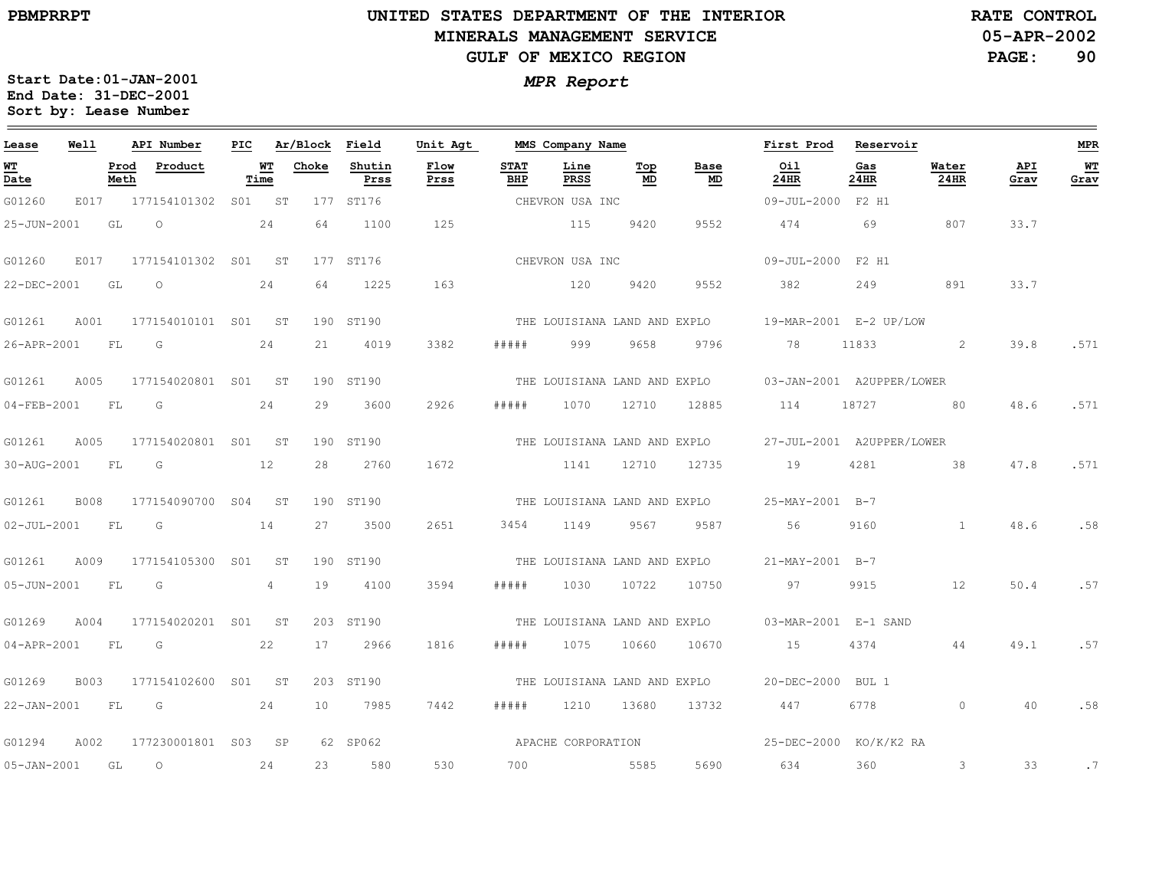### **UNITED STATES DEPARTMENT OF THE INTERIOR MINERALS MANAGEMENT SERVICEGULF OF MEXICO REGION**

**05-APR-2002 RATE CONTROL**

**PAGE:90**

| Lease             | Well        |              | API Number          | PIC             |            | Ar/Block | Field          | Unit Agt     |                    | MMS Company Name             |           |            | First Prod                | Reservoir   |                      |             | <b>MPR</b> |
|-------------------|-------------|--------------|---------------------|-----------------|------------|----------|----------------|--------------|--------------------|------------------------------|-----------|------------|---------------------------|-------------|----------------------|-------------|------------|
| <u>WТ</u><br>Date |             | Prod<br>Meth | Product             |                 | WT<br>Time | Choke    | Shutin<br>Prss | Flow<br>Prss | <b>STAT</b><br>BHP | Line<br><b>PRSS</b>          | Top<br>MD | Base<br>MD | Oil<br>24HR               | Gas<br>24HR | Water<br><b>24HR</b> | API<br>Grav | WT<br>Grav |
| G01260            | E017        |              | 177154101302        | S01             | ST         | 177      | ST176          |              |                    | CHEVRON USA INC              |           |            | 09-JUL-2000 F2 H1         |             |                      |             |            |
| 25-JUN-2001       |             | GL           | $\circ$             |                 | 24         | 64       | 1100           | 125          |                    | 115                          | 9420      | 9552       | 474                       | 69          | 807                  | 33.7        |            |
| G01260            | E017        |              | 177154101302 S01    |                 | ST         |          | 177 ST176      |              |                    | CHEVRON USA INC              |           |            | $09 - JUL - 2000$         | F2 H1       |                      |             |            |
| 22-DEC-2001       |             | GL           | $\circ$             |                 | 24         | 64       | 1225           | 163          |                    | 120                          | 9420      | 9552       | 382                       | 249         | 891                  | 33.7        |            |
| G01261            | A001        |              | 177154010101 S01    |                 | ST         |          | 190 ST190      |              |                    | THE LOUISIANA LAND AND EXPLO |           |            | 19-MAR-2001 E-2 UP/LOW    |             |                      |             |            |
| 26-APR-2001       |             | FL           | G                   |                 | 24         | 21       | 4019           | 3382         | # # # # #          | 999                          | 9658      | 9796       | 78                        | 11833       | 2                    | 39.8        | .571       |
| G01261            | A005        |              | 177154020801 S01    |                 | ST         |          | 190 ST190      |              |                    | THE LOUISIANA LAND AND EXPLO |           |            | 03-JAN-2001 A2UPPER/LOWER |             |                      |             |            |
| 04-FEB-2001       |             | FL           | G                   |                 | 24         | 29       | 3600           | 2926         | # # # # #          | 1070                         | 12710     | 12885      | 114                       | 18727       | 80                   | 48.6        | .571       |
| G01261            | A005        |              | 177154020801 S01    |                 | ST         |          | 190 ST190      |              |                    | THE LOUISIANA LAND AND EXPLO |           |            | 27-JUL-2001 A2UPPER/LOWER |             |                      |             |            |
| 30-AUG-2001       |             | FL           | G                   |                 | 12         | 28       | 2760           | 1672         |                    | 1141                         | 12710     | 12735      | 19                        | 4281        | 38                   | 47.8        | .571       |
| G01261            | B008        |              | 177154090700        | S <sub>04</sub> | <b>ST</b>  |          | 190 ST190      |              |                    | THE LOUISIANA LAND AND EXPLO |           |            | 25-MAY-2001 B-7           |             |                      |             |            |
| $02 - JUL - 2001$ |             | FL           | G                   |                 | 14         | 27       | 3500           | 2651         | 3454               | 1149                         | 9567      | 9587       | 56                        | 9160        | $\mathbf{1}$         | 48.6        | .58        |
| G01261            | A009        |              | 177154105300        | S01             | ST         |          | 190 ST190      |              |                    | THE LOUISIANA LAND AND EXPLO |           |            | 21-MAY-2001 B-7           |             |                      |             |            |
| 05-JUN-2001       |             | FL           | G                   |                 | 4          | 19       | 4100           | 3594         | #####              | 1030                         | 10722     | 10750      | 97                        | 9915        | 12                   | 50.4        | .57        |
| G01269            | A004        |              | 177154020201 S01    |                 | ST         |          | 203 ST190      |              |                    | THE LOUISIANA LAND AND EXPLO |           |            | 03-MAR-2001 E-1 SAND      |             |                      |             |            |
| 04-APR-2001       |             | FL           | G                   |                 | 22         | 17       | 2966           | 1816         | #####              | 1075                         | 10660     | 10670      | 15                        | 4374        | 44                   | 49.1        | .57        |
| G01269            | <b>B003</b> |              | 177154102600        | S01             | ST         |          | 203 ST190      |              |                    | THE LOUISIANA LAND AND EXPLO |           |            | 20-DEC-2000               | BUL 1       |                      |             |            |
| 22-JAN-2001       |             | FL           | G                   |                 | 24         | 10       | 7985           | 7442         | # # # # #          | 1210                         | 13680     | 13732      | 447                       | 6778        | $\Omega$             | 40          | .58        |
| G01294            | A002        |              | 177230001801 S03    |                 | SP         |          | 62 SP062       |              |                    | APACHE CORPORATION           |           |            | 25-DEC-2000 KO/K/K2 RA    |             |                      |             |            |
| 05-JAN-2001       |             | GL           | $\circlearrowright$ |                 | 24         | 23       | 580            | 530          | 700                |                              | 5585      | 5690       | 634                       | 360         | 3                    | 33          | .7         |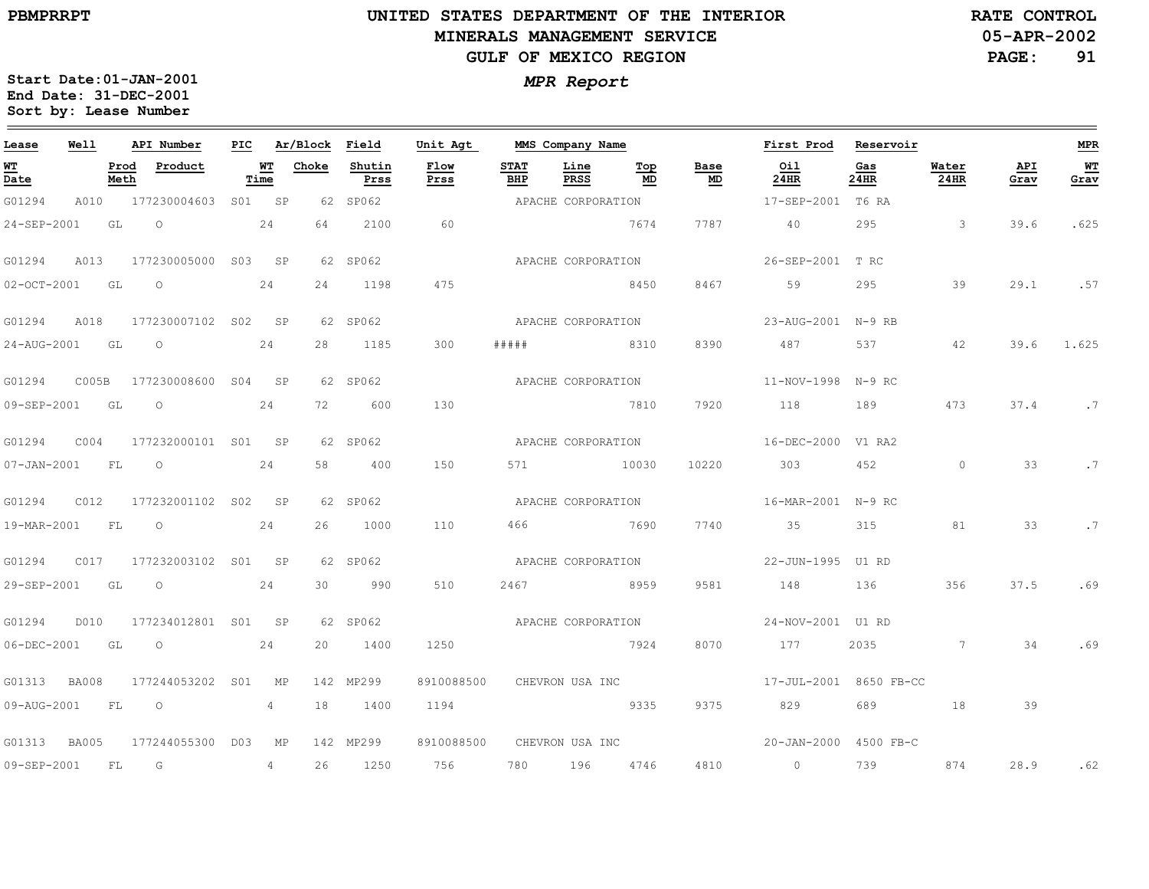# **UNITED STATES DEPARTMENT OF THE INTERIOR MINERALS MANAGEMENT SERVICEGULF OF MEXICO REGION**

**05-APR-2002RATE CONTROL**

**PAGE:91**

| Lease          | Well  |              | API Number               |            | PIC Ar/Block Field |                | Unit Agt     |                    | MMS Company Name   |           |                                   | First Prod Reservoir   |             |                      |             | <b>MPR</b> |
|----------------|-------|--------------|--------------------------|------------|--------------------|----------------|--------------|--------------------|--------------------|-----------|-----------------------------------|------------------------|-------------|----------------------|-------------|------------|
| WT<br>Date     |       | Prod<br>Meth | Product                  | WT<br>Time | Choke              | Shutin<br>Prss | Flow<br>Prss | <b>STAT</b><br>BHP | Line<br>PRSS       | Top<br>MD | Base<br>$\underline{\mathsf{MD}}$ | Oil<br>24HR            | Gas<br>24HR | Water<br><b>24HR</b> | API<br>Grav | WT<br>Grav |
| G01294         | A010  |              | 177230004603             | SO1 SP     |                    | 62 SP062       |              |                    | APACHE CORPORATION |           |                                   | 17-SEP-2001 T6 RA      |             |                      |             |            |
| 24-SEP-2001    |       | GL           | $\circ$                  | 24         | 64                 | 2100           | 60           |                    |                    | 7674      | 7787                              | 40                     | 295         | $\sim$ 3             | 39.6        | .625       |
| G01294         | A013  |              | 177230005000 S03 SP      |            |                    | 62 SP062       |              | APACHE CORPORATION |                    |           |                                   | 26-SEP-2001 T RC       |             |                      |             |            |
| 02-OCT-2001 GL |       |              | $\overline{\phantom{0}}$ | 24         | 24                 | 1198           | 475          |                    |                    | 8450      | 8467                              | 59                     | 295         | 39                   | 29.1        | .57        |
| G01294         | A018  |              | 177230007102 S02 SP      |            |                    | 62 SP062       |              | APACHE CORPORATION |                    |           |                                   | 23-AUG-2001 N-9 RB     |             |                      |             |            |
| 24-AUG-2001 GL |       |              | $\overline{O}$           | 24         | 28                 | 1185           | 300          | #####              | 8310               |           | 8390                              | 487                    | 537         | 42                   | 39.6        | 1.625      |
| G01294         | C005B |              | 177230008600 S04 SP      |            |                    | 62 SP062       |              |                    | APACHE CORPORATION |           |                                   | 11-NOV-1998 N-9 RC     |             |                      |             |            |
| 09-SEP-2001 GL |       |              | $\overline{\phantom{0}}$ | 24         | 72                 | 600            | 130          |                    |                    | 7810      | 7920                              | 118                    | 189         | 473                  | 37.4        | .7         |
| G01294         | COO4  |              | 177232000101 S01 SP      |            |                    | 62 SP062       |              |                    | APACHE CORPORATION |           |                                   | 16-DEC-2000 V1 RA2     |             |                      |             |            |
| 07-JAN-2001 FL |       |              | $\overline{O}$           | 24         | 58                 | 400            | 150          | 571 — 100          |                    | 10030     | 10220                             | 303                    | 452         | $\bigcirc$           | 33          | . 7        |
| G01294         | C012  |              | 177232001102 S02 SP      |            |                    | 62 SP062       |              |                    | APACHE CORPORATION |           |                                   | 16-MAR-2001 N-9 RC     |             |                      |             |            |
| 19-MAR-2001 FL |       |              | $\overline{\phantom{0}}$ | 24         | 26                 | 1000           | 110          | 466                | 7690               |           | 7740                              | 35                     | 315         | 81                   | 33          | .7         |
| G01294         | C017  |              | 177232003102 S01 SP      |            |                    | 62 SP062       |              |                    | APACHE CORPORATION |           |                                   | 22-JUN-1995 U1 RD      |             |                      |             |            |
| 29-SEP-2001 GL |       |              | $\circ$                  | 24         | 30                 | 990            | 510          | 2467               | 8959               |           | 9581                              | 148                    | 136         | 356                  | 37.5        | .69        |
| G01294         | D010  |              | 177234012801 S01 SP      |            |                    | 62 SP062       |              |                    | APACHE CORPORATION |           |                                   | 24-NOV-2001 U1 RD      |             |                      |             |            |
| 06-DEC-2001    |       | GL           | $\circ$                  | 24         | 20                 | 1400           | 1250         |                    |                    | 7924      | 8070                              | 177                    | 2035        | $\overline{7}$       | 34          | .69        |
| G01313 BA008   |       |              | 177244053202 S01         | MP         |                    | 142 MP299      | 8910088500   |                    | CHEVRON USA INC    |           |                                   | 17-JUL-2001 8650 FB-CC |             |                      |             |            |
| 09-AUG-2001    |       | FL           | $\circ$                  | 4          | 18                 | 1400           | 1194         |                    |                    | 9335      | 9375                              | 829                    | 689         | 18                   | 39          |            |
| G01313 BA005   |       |              | 177244055300 D03         | MP         |                    | 142 MP299      | 8910088500   |                    | CHEVRON USA INC    |           |                                   | 20-JAN-2000 4500 FB-C  |             |                      |             |            |
| 09-SEP-2001    |       | FL           | $\overline{G}$           | 4          | 26                 | 1250           | 756 750      | 780 —              | 196                | 4746      | 4810                              | $\overline{0}$         | 739         | 874                  | 28.9        | .62        |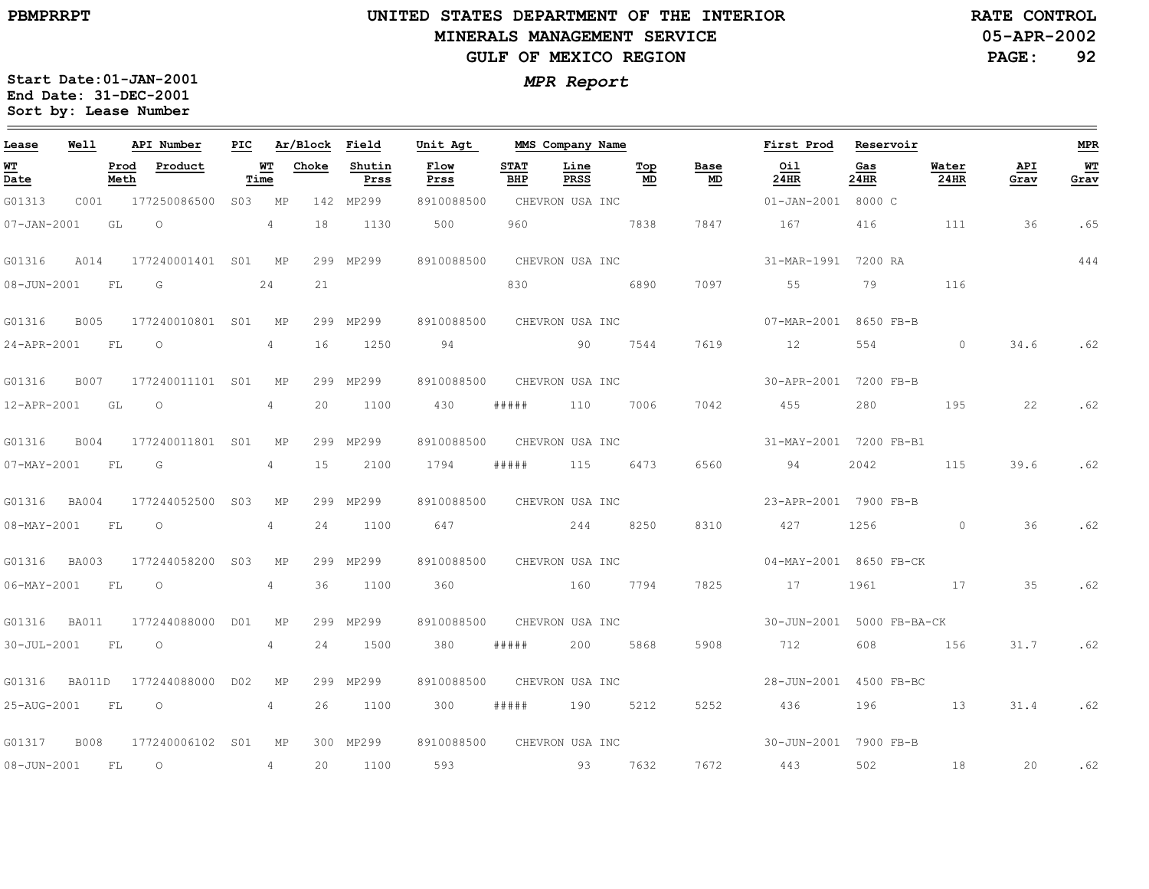#### **UNITED STATES DEPARTMENT OF THE INTERIOR MINERALS MANAGEMENT SERVICEGULF OF MEXICO REGION**

**05-APR-2002RATE CONTROL**

**PAGE:92**

| Lease                                 | Well        |              | API Number          | PIC             |                | Ar/Block Field |                | Unit Agt     |                    | MMS Company Name |           |            | First Prod                | Reservoir   |                      |             | <b>MPR</b> |
|---------------------------------------|-------------|--------------|---------------------|-----------------|----------------|----------------|----------------|--------------|--------------------|------------------|-----------|------------|---------------------------|-------------|----------------------|-------------|------------|
| <u>WТ</u><br>$\overline{\text{Date}}$ |             | Prod<br>Meth | Product             | Time            | WТ             | Choke          | Shutin<br>Prss | Flow<br>Prss | <b>STAT</b><br>BHP | Line<br>PRSS     | Top<br>MD | Base<br>MD | Oil<br>24HR               | Gas<br>24HR | Water<br><b>24HR</b> | API<br>Grav | WT<br>Grav |
| G01313                                | C001        |              | 177250086500        | S <sub>03</sub> | MP             | 142            | MP299          | 8910088500   |                    | CHEVRON USA INC  |           |            | 01-JAN-2001 8000 C        |             |                      |             |            |
| $07 - JAN - 2001$                     |             | GL           | $\circ$             |                 | $\overline{4}$ | 18             | 1130           | 500          | 960                |                  | 7838      | 7847       | 167                       | 416         | 111                  | 36          | .65        |
| G01316                                | A014        |              | 177240001401 S01 MP |                 |                |                | 299 MP299      | 8910088500   |                    | CHEVRON USA INC  |           |            | 31-MAR-1991 7200 RA       |             |                      |             | 444        |
| $08 - JUN - 2001$                     |             | FL           | G                   |                 | 24             | 21             |                |              | 830                |                  | 6890      | 7097       | 55                        | 79          | 116                  |             |            |
| G01316                                | <b>B005</b> |              | 177240010801 S01    |                 | MP             |                | 299 MP299      | 8910088500   |                    | CHEVRON USA INC  |           |            | 07-MAR-2001 8650 FB-B     |             |                      |             |            |
| 24-APR-2001                           |             | FL           | $\circ$             |                 | $\overline{4}$ | 16             | 1250           | 94           |                    | 90               | 7544      | 7619       | 12                        | 554         | $\circ$              | 34.6        | .62        |
| G01316                                | B007        |              | 177240011101 S01    |                 | MP             |                | 299 MP299      | 8910088500   |                    | CHEVRON USA INC  |           |            | 30-APR-2001               | 7200 FB-B   |                      |             |            |
| 12-APR-2001                           |             | GL           | $\circ$             |                 | 4              | 20             | 1100           | 430          | #####              | 110              | 7006      | 7042       | 455                       | 280         | 195                  | 22          | .62        |
| G01316                                | <b>B004</b> |              | 177240011801 S01    |                 | МP             | 299            | MP299          | 8910088500   |                    | CHEVRON USA INC  |           |            | 31-MAY-2001 7200 FB-B1    |             |                      |             |            |
| $07 - MAX - 2001$                     | <b>FL</b>   |              | G                   |                 | $\overline{4}$ | 15             | 2100           | 1794         | # # # # #          | 115              | 6473      | 6560       | 94                        | 2042        | 115                  | 39.6        | .62        |
| G01316                                | BA004       |              | 177244052500        | S <sub>03</sub> | МP             |                | 299 MP299      | 8910088500   |                    | CHEVRON USA INC  |           |            | 23-APR-2001 7900 FB-B     |             |                      |             |            |
| $08 - MAX - 2001$                     |             | FL           | $\circ$             |                 | 4              | 24             | 1100           | 647          |                    | 244              | 8250      | 8310       | 427                       | 1256        | $\circ$              | 36          | .62        |
| G01316                                | BA003       |              | 177244058200        | S <sub>03</sub> | МP             |                | 299 MP299      | 8910088500   |                    | CHEVRON USA INC  |           |            | 04-MAY-2001 8650 FB-CK    |             |                      |             |            |
| $06 - MAX - 2001$                     | FL          |              | $\circ$             |                 | 4              | 36             | 1100           | 360          |                    | 160              | 7794      | 7825       | 17                        | 1961        | 17                   | 35          | .62        |
| G01316                                | BA011       |              | 177244088000        | DO1             | МP             |                | 299 MP299      | 8910088500   |                    | CHEVRON USA INC  |           |            | 30-JUN-2001 5000 FB-BA-CK |             |                      |             |            |
| $30 - JUL - 2001$                     |             | FL           | $\circ$             |                 | 4              | 24             | 1500           | 380          | #####              | 200              | 5868      | 5908       | 712                       | 608         | 156                  | 31.7        | .62        |
| G01316                                | BA011D      |              | 177244088000        | D <sub>02</sub> | МP             | 299            | MP299          | 8910088500   |                    | CHEVRON USA INC  |           |            | 28-JUN-2001               | 4500 FB-BC  |                      |             |            |
| 25-AUG-2001                           |             | FL           | $\circ$             |                 | 4              | 26             | 1100           | 300          | #####              | 190              | 5212      | 5252       | 436                       | 196         | 13                   | 31.4        | .62        |
| G01317                                | <b>B008</b> |              | 177240006102 S01    |                 | МP             |                | 300 MP299      | 8910088500   |                    | CHEVRON USA INC  |           |            | 30-JUN-2001               | 7900 FB-B   |                      |             |            |
| $08 - JUN - 2001$                     |             | FL           | $\circ$             |                 | $\overline{4}$ | 20             | 1100           | 593          |                    | 93               | 7632      | 7672       | 443                       | 502         | 18                   | 20          | .62        |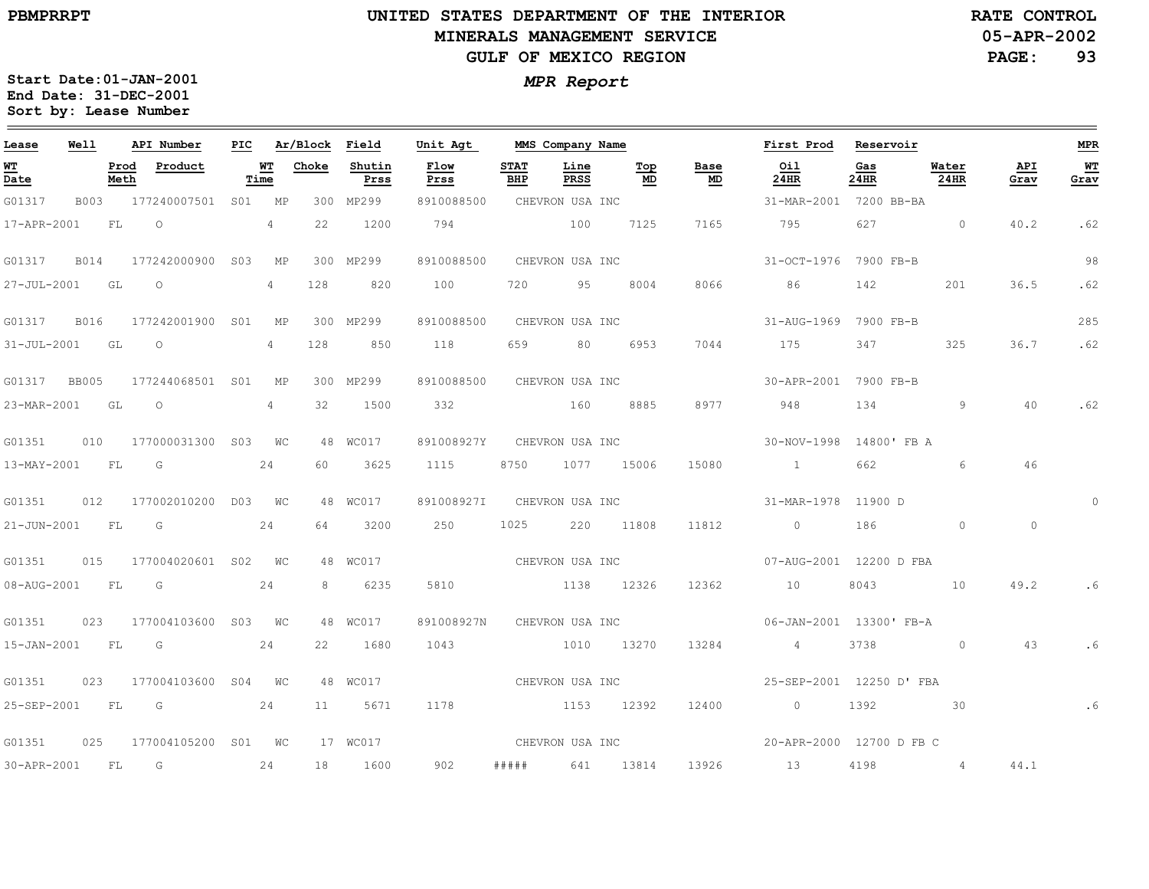#### **UNITED STATES DEPARTMENT OF THE INTERIOR MINERALS MANAGEMENT SERVICEGULF OF MEXICO REGION**

**05-APR-2002RATE CONTROL**

**PAGE:93**

| Lease             | Well |              | API Number               |    |             | PIC Ar/Block Field |                | Unit Agt        |                    | MMS Company Name |                 |            | First Prod Reservoir     |             |                 |             | <b>MPR</b> |
|-------------------|------|--------------|--------------------------|----|-------------|--------------------|----------------|-----------------|--------------------|------------------|-----------------|------------|--------------------------|-------------|-----------------|-------------|------------|
| <u>WT</u><br>Date |      | Prod<br>Meth | Product                  |    | WT<br>Time  | Choke              | Shutin<br>Prss | Flow<br>Prss    | <b>STAT</b><br>BHP | Line<br>PRSS     | Top<br>MD       | Base<br>MD | Oil<br>24HR              | Gas<br>24HR | Water<br>24HR   | API<br>Grav | WT<br>Grav |
| G01317            | B003 |              | 177240007501 S01 MP      |    |             |                    | 300 MP299      | 8910088500      |                    | CHEVRON USA INC  |                 |            | 31-MAR-2001              | 7200 BB-BA  |                 |             |            |
| 17-APR-2001       |      | FL           | $\circ$                  |    | 4           | 22                 | 1200           | 794             |                    | 100              | 7125            | 7165       | 795                      | 627         | $\sim$ 0        | 40.2        | .62        |
| G01317            | B014 |              | 177242000900 S03         |    | MP          |                    | 300 MP299      | 8910088500      |                    | CHEVRON USA INC  |                 |            | 31-OCT-1976 7900 FB-B    |             |                 |             | 98         |
| 27-JUL-2001 GL    |      |              | $\overline{\phantom{0}}$ |    | $4^{\circ}$ | 128                | 820            | 100             | 720                | 95               | 8004            | 8066       | 86                       | 142         | 201             | 36.5        | .62        |
| G01317            | B016 |              | 177242001900 S01 MP      |    |             |                    | 300 MP299      | 8910088500      |                    | CHEVRON USA INC  |                 |            | 31-AUG-1969              | 7900 FB-B   |                 |             | 285        |
| 31-JUL-2001 GL    |      |              | $\circ$                  |    | 4           | 128                | 850            | 118             | 659                | 80 —             | 6953            | 7044       | 175                      | 347         | 325             | 36.7        | .62        |
| G01317 BB005      |      |              | 177244068501 S01 MP      |    |             |                    | 300 MP299      | 8910088500      |                    | CHEVRON USA INC  |                 |            | 30-APR-2001 7900 FB-B    |             |                 |             |            |
| 23-MAR-2001 GL    |      |              | $\circ$                  |    | 4           | 32                 | 1500           | 332             |                    | 160              | 8885            | 8977       | 948                      | 134         | 9               | 40          | .62        |
| G01351            | 010  |              | 177000031300 S03 WC      |    |             |                    | 48 WC017       | 891008927Y      |                    |                  | CHEVRON USA INC |            | 30-NOV-1998              | 14800' FB A |                 |             |            |
| 13-MAY-2001 FL    |      |              | G                        |    | 24          | 60                 | 3625           | 1115            | 8750               | 1077 15006       |                 | 15080      | $\sim$ 1 $\sim$ 1        | 662         | $6^{\circ}$     | 46          |            |
| G01351            |      |              | 012 177002010200 D03 WC  |    |             |                    | 48 WC017       | 891008927I      |                    | CHEVRON USA INC  |                 |            | 31-MAR-1978 11900 D      |             |                 |             |            |
| 21-JUN-2001 FL    |      |              | $\overline{\mathbb{G}}$  |    | 24          | 64                 | 3200           | 250             | 1025               |                  | 220 11808       | 11812      | $\overline{0}$           | 186         | $\Omega$        | $\circ$     |            |
| G01351            | 015  |              | 177004020601 S02 WC      |    |             |                    | 48 WC017       | CHEVRON USA INC |                    |                  |                 |            | 07-AUG-2001 12200 D FBA  |             |                 |             |            |
| 08-AUG-2001 FL    |      |              | G                        |    | 24          | 8                  | 6235           | 5810            |                    | 1138 12326       |                 | 12362      | 10                       | 8043        | 10              | 49.2        |            |
| G01351            | 023  |              | 177004103600 S03 WC      |    |             |                    | 48 WC017       | 891008927N      |                    | CHEVRON USA INC  |                 |            | 06-JAN-2001 13300' FB-A  |             |                 |             |            |
| 15-JAN-2001 FL    |      |              | G                        |    | 24          | 22                 | 1680           | 1043            |                    | 1010             | 13270           | 13284      | 4 <sup>1</sup>           | 3738        | $\Omega$        | 43          |            |
| G01351            | 023  |              | 177004103600 S04 WC      |    |             |                    | 48 WC017       | CHEVRON USA INC |                    |                  |                 |            | 25-SEP-2001 12250 D' FBA |             |                 |             |            |
| 25-SEP-2001 FL    |      |              | $\overline{G}$           |    | 24          | 11                 | 5671           | 1178            |                    | 1153 12392       |                 | 12400      | $\overline{0}$           | 1392        | 30              |             | . 6        |
| G01351            | 025  |              | 177004105200 S01 WC      |    |             |                    | 17 WC017       |                 |                    | CHEVRON USA INC  |                 |            | 20-APR-2000 12700 D FB C |             |                 |             |            |
| 30-APR-2001       |      | FL           | $\overline{G}$           | 24 |             | 18                 | 1600           | 902             |                    | ##### 641 13814  |                 |            | 13926 13                 | 4198        | $4\overline{4}$ | 44.1        |            |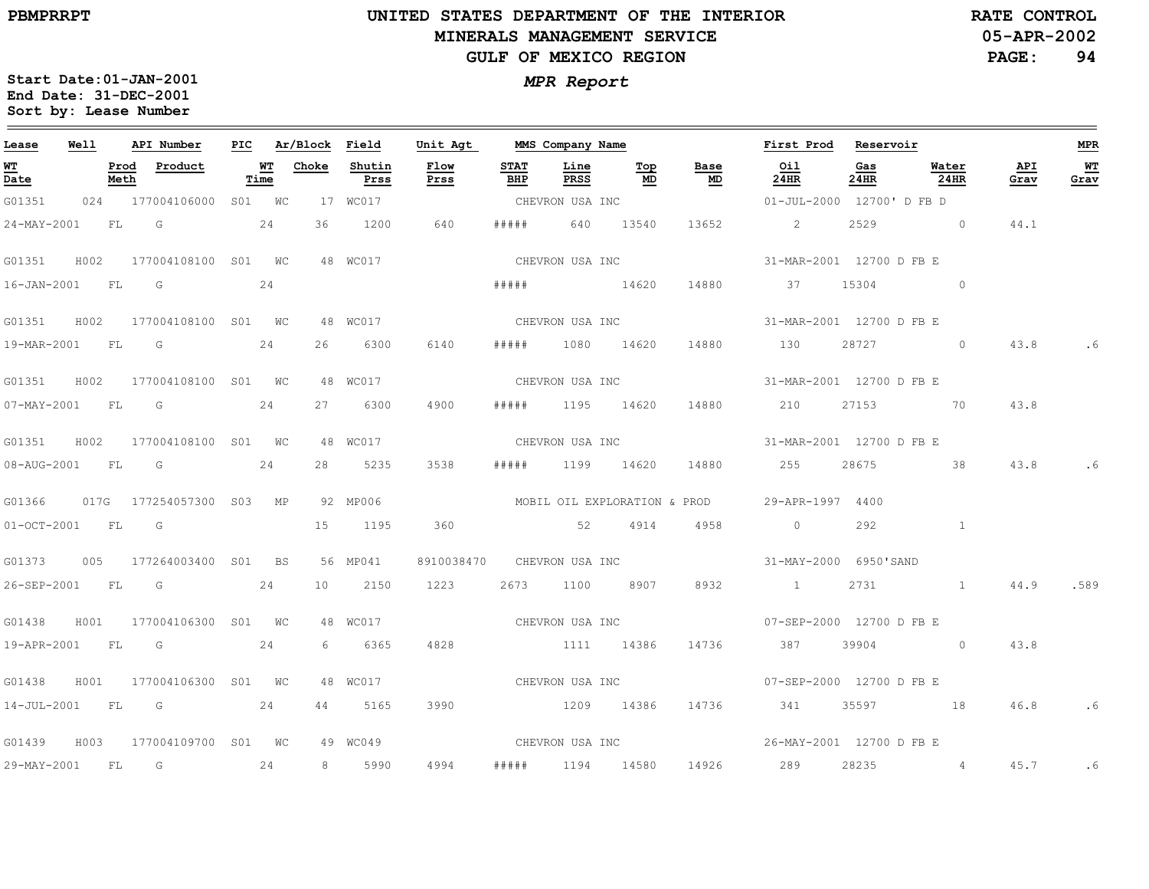**Lease**

 $\frac{1}{2}$ 

29-MAY-2001

FL

G

24

8

5990

4994

#####

1194

14580

14926

289

28235

4

45.7

# **UNITED STATES DEPARTMENT OF THE INTERIORMINERALS MANAGEMENT SERVICEGULF OF MEXICO REGION**

**MMS Company Name**

**First Prod**

**Reservoir**

**05-APR-2002PAGE: 94 RATE CONTROL**

**MPR**

 $\equiv$ 

**WT Grav**

.6

.6

.589

.6

.6

**Start Date:01-JAN-2001** *MPR Report* **End Date: 31-DEC-2001 Sort by: Lease Number** 

**API Number**

**PIC**

**Ar/Block Field**

**Unit Agt** 

**Well**

| <u>WТ</u><br>Date |      | Prod<br>Meth | Product                  |    | WТ<br>Time | Choke | Shutin<br>Prss | Flow<br>Prss               | <b>STAT</b><br>BHP | Line<br>PRSS    | Top<br>MD  | Base<br>$\underline{\mathsf{MD}}$ | Oil<br>24HR                                   | Gas<br>24HR              | Water<br><b>24HR</b> | API<br>Grav |
|-------------------|------|--------------|--------------------------|----|------------|-------|----------------|----------------------------|--------------------|-----------------|------------|-----------------------------------|-----------------------------------------------|--------------------------|----------------------|-------------|
| G01351            | 024  |              | 177004106000             |    | S01 WC     |       | 17 WC017       |                            |                    | CHEVRON USA INC |            |                                   |                                               | 01-JUL-2000 12700'D FB D |                      |             |
| 24-MAY-2001       |      | FL           | 24<br>G                  |    |            | 36    | 1200           | 640                        | # # # #            | 640             | 13540      | 13652                             | $\overline{2}$                                | 2529                     | $\sim$ 0             | 44.1        |
| G01351            | H002 |              | 177004108100 S01 WC      |    |            |       |                | 48 WC017 2007              |                    | CHEVRON USA INC |            |                                   | 31-MAR-2001 12700 D FB E                      |                          |                      |             |
| $16 - JAN - 2001$ |      | FL.          | G                        |    | 24         |       |                |                            | # # # # #          |                 | 14620      |                                   | 14880 37                                      |                          | 15304 0              |             |
| G01351            | H002 |              | 177004108100 S01 WC      |    |            |       | 48 WC017       |                            |                    | CHEVRON USA INC |            |                                   | 31-MAR-2001 12700 D FB E                      |                          |                      |             |
| 19-MAR-2001       |      | <b>FL</b>    | G                        |    | 24         | 26    | 6300           | 6140                       | # # # # #          |                 | 1080 14620 | 14880 130                         |                                               | 28727                    | $\sim$ 0             | 43.8        |
| G01351            | H002 |              | 177004108100 S01 WC      |    |            |       | 48 WC017       |                            |                    | CHEVRON USA INC |            |                                   | 31-MAR-2001 12700 D FB E                      |                          |                      |             |
| 07-MAY-2001       |      | <b>FL</b>    | G                        |    | 24         | 27    | 6300           | 4900                       | #####              |                 | 1195 14620 |                                   | 14880 210                                     |                          | 27153 70             | 43.8        |
| G01351            | H002 |              | 177004108100 S01 WC      |    |            |       | 48 WC017       |                            |                    | CHEVRON USA INC |            |                                   | 31-MAR-2001 12700 D FB E                      |                          |                      |             |
| 08-AUG-2001       |      | FL.          | G                        | 24 |            | 2.8   | 5235           | 3538                       | # # # # #          | 1199 14620      |            |                                   | 14880 255                                     | 28675                    | 38                   | 43.8        |
| G01366            |      |              | 017G 177254057300 S03 MP |    |            |       | 92 MP006       |                            |                    |                 |            |                                   | MOBIL OIL EXPLORATION & PROD 29-APR-1997 4400 |                          |                      |             |
| $01-0CT-2001$     |      | FL.          | G                        |    |            | 15    | 1195           | 360                        |                    | 52              | 4914       | 4958                              | $\sim$ 0                                      | 292                      | $\mathbf{1}$         |             |
| G01373            | 005  |              | 177264003400             |    | S01 BS     |       | 56 MP041       | 8910038470 CHEVRON USA INC |                    |                 |            |                                   | 31-MAY-2000 6950'SAND                         |                          |                      |             |
| 26-SEP-2001       |      | FL           | G                        |    | 24         | 10    | 2150           | 1223                       | 2673               | 1100            | 8907       |                                   | 8932 1                                        | 2731                     | $\mathbf{1}$         | 44.9        |
| G01438            | H001 |              | 177004106300             |    | SO1 WC     |       | 48 WC017       | CHEVRON USA INC            |                    |                 |            |                                   | 07-SEP-2000 12700 D FB E                      |                          |                      |             |
| 19-APR-2001       |      | FL           | G                        |    | 24         | 6     | 6365           | 4828                       |                    | 1111 14386      |            |                                   | 14736 387                                     |                          | 39904 0              | 43.8        |
| G01438            | H001 |              | 177004106300 S01 WC      |    |            |       | 48 WC017       | CHEVRON USA INC            |                    |                 |            |                                   | 07-SEP-2000 12700 D FB E                      |                          |                      |             |
| 14-JUL-2001       |      | <b>FL</b>    | G                        | 24 |            | 44    | 5165           | 3990                       |                    | 1209 14386      |            |                                   | 14736 341                                     |                          | 35597 18             | 46.8        |
| G01439            | H003 |              | 177004109700 S01 WC      |    |            |       | 49 WC049       | CHEVRON USA INC            |                    |                 |            |                                   | 26-MAY-2001 12700 D FB E                      |                          |                      |             |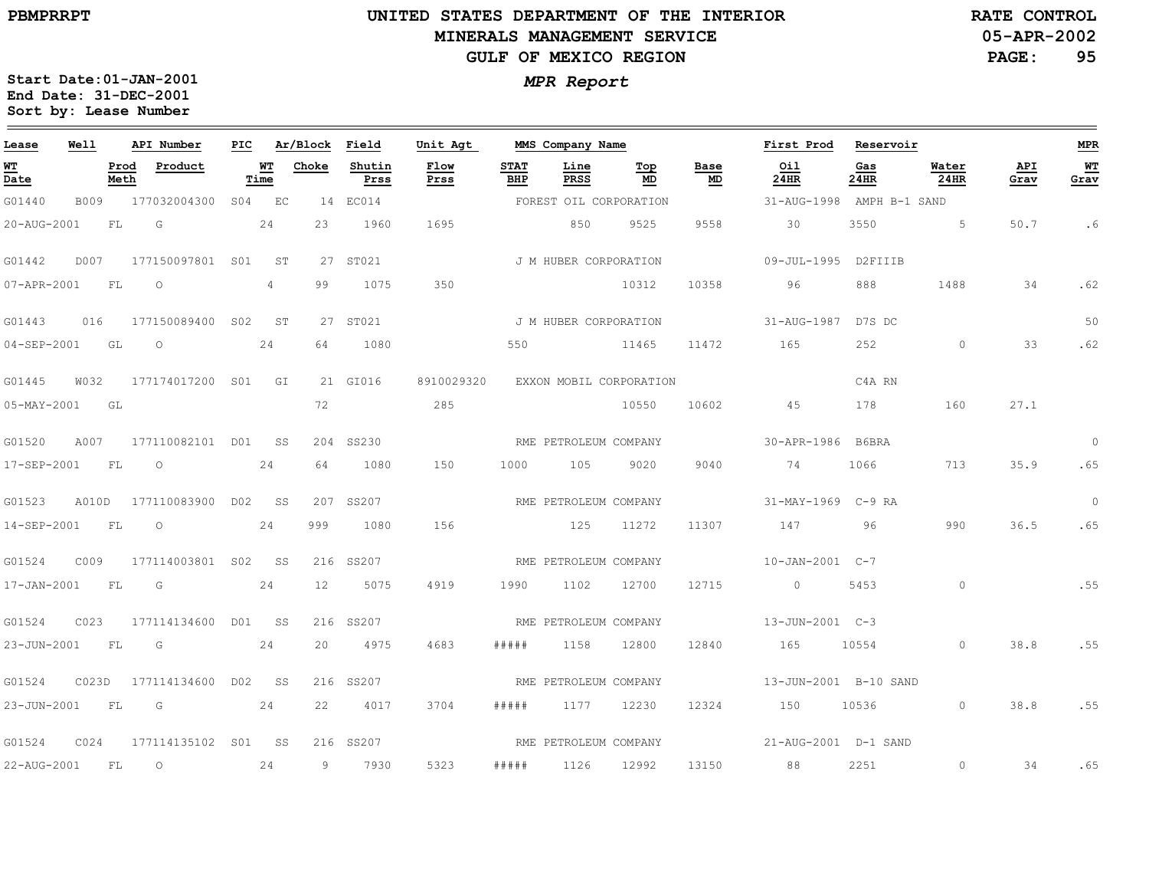# **UNITED STATES DEPARTMENT OF THE INTERIOR MINERALS MANAGEMENT SERVICEGULF OF MEXICO REGION**

**05-APR-2002RATE CONTROL**

**PAGE:95**

| Lease          | Well  |              | API Number                |    |                   |       | PIC Ar/Block Field | Unit Agt              |                    | MMS Company Name        |           |            | First Prod Reservoir      |             |                  |             | <b>MPR</b> |
|----------------|-------|--------------|---------------------------|----|-------------------|-------|--------------------|-----------------------|--------------------|-------------------------|-----------|------------|---------------------------|-------------|------------------|-------------|------------|
| WT<br>Date     |       | Prod<br>Meth | Product                   |    | <b>WT</b><br>Time | Choke | Shutin<br>Prss     | Flow<br>Prss          | <b>STAT</b><br>BHP | Line<br>PRSS            | Top<br>MD | Base<br>MD | Oil<br>24HR               | Gas<br>24HR | Water<br>$24$ HR | API<br>Grav | WT<br>Grav |
| G01440         | B009  |              | 177032004300 S04 EC       |    |                   |       | 14 EC014           |                       |                    | FOREST OIL CORPORATION  |           |            | 31-AUG-1998 AMPH B-1 SAND |             |                  |             |            |
| 20-AUG-2001    |       | FL           | $\overline{G}$            |    | 24                | 23    | 1960               | 1695                  |                    | 850                     | 9525      | 9558       | 30                        | 3550        | $5 - 5$          | 50.7        | .6         |
| G01442         | D007  |              | 177150097801 S01 ST       |    |                   |       | 27 ST021           |                       |                    | J M HUBER CORPORATION   |           |            | 09-JUL-1995 D2FIIIB       |             |                  |             |            |
| 07-APR-2001    |       | FL           | $\overline{O}$            |    | $4\phantom{0}$    | 99    | 1075               | 350                   |                    |                         | 10312     | 10358      | 96                        | 888         | 1488             | 34          | .62        |
| G01443         |       |              | 016 177150089400 S02 ST   |    |                   |       | 27 ST021           | J M HUBER CORPORATION |                    |                         |           |            | 31-AUG-1987 D7S DC        |             |                  |             | 50         |
| 04-SEP-2001 GL |       |              | $\overline{O}$            |    | 24                |       | 64 1080            |                       | 550                | 11465                   |           | 11472      | 165                       | 252         | $\overline{0}$   | 33          | .62        |
| G01445         | W032  |              | 177174017200 S01 GI       |    |                   |       | 21 GI016           | 8910029320            |                    | EXXON MOBIL CORPORATION |           |            |                           | C4A RN      |                  |             |            |
| 05-MAY-2001 GL |       |              |                           |    |                   | 72    |                    | 285                   |                    |                         | 10550     | 10602      | 45                        | 178         | 160              | 27.1        |            |
| G01520         |       |              | A007 177110082101 D01 SS  |    |                   |       | 204 SS230          | RME PETROLEUM COMPANY |                    |                         |           |            | 30-APR-1986 B6BRA         |             |                  |             | $\Omega$   |
| 17-SEP-2001    |       | <b>FL</b>    | $\overline{O}$            |    | 24                | 64    | 1080               | 150                   | 1000               | 105 9020                |           | 9040       | 74                        | 1066 700    | 713              | 35.9        | .65        |
| G01523         |       |              | A010D 177110083900 D02 SS |    |                   |       | 207 SS207          |                       |                    | RME PETROLEUM COMPANY   |           |            | 31-MAY-1969 C-9 RA        |             |                  |             | $\Omega$   |
| 14-SEP-2001    |       | FL           | $\overline{\phantom{0}}$  |    | 24                | 999   | 1080               | 156                   |                    | 125                     | 11272     | 11307      | 147 96                    |             | 990              | 36.5        | .65        |
| G01524         | C009  |              | 177114003801 S02 SS       |    |                   |       | 216 SS207          |                       |                    | RME PETROLEUM COMPANY   |           |            | $10 - JAN - 2001$ $C - 7$ |             |                  |             |            |
| 17-JAN-2001    |       | <b>FL</b>    | $\overline{G}$            |    | 24                | 12    | 5075               | 4919                  | 1990               | 1102                    | 12700     | 12715      | $\overline{0}$            | 5453        | $\bigcirc$       |             | .55        |
| G01524         | C023  |              | 177114134600 D01 SS       |    |                   |       | 216 SS207          |                       |                    | RME PETROLEUM COMPANY   |           |            | 13-JUN-2001 C-3           |             |                  |             |            |
| 23-JUN-2001    |       | FL           | $\overline{G}$            |    | 24                | 20    | 4975               | 4683                  | # # # # #          | 1158                    | 12800     | 12840      | 165                       | 10554       | $\overline{0}$   | 38.8        | .55        |
| G01524         | C023D |              | 177114134600 DO2 SS       |    |                   |       | 216 SS207          |                       |                    | RME PETROLEUM COMPANY   |           |            | 13-JUN-2001 B-10 SAND     |             |                  |             |            |
| 23-JUN-2001    |       | FL           | G                         |    | 24                | 22    | 4017               | 3704                  | # # # # #          | 1177 12230              |           |            | 12324 150 10536           |             | $\circ$          | 38.8        | .55        |
| G01524         | C024  |              | 177114135102 SO1 SS       |    |                   |       | 216 SS207          |                       |                    | RME PETROLEUM COMPANY   |           |            | 21-AUG-2001 D-1 SAND      |             |                  |             |            |
| 22-AUG-2001    |       | <b>FL</b>    | $\overline{O}$            | 24 |                   |       | 9 7930             | 5323                  |                    | ##### 1126              | 12992     |            | 13150 88                  | 2251        | $\circ$          | 34          | .65        |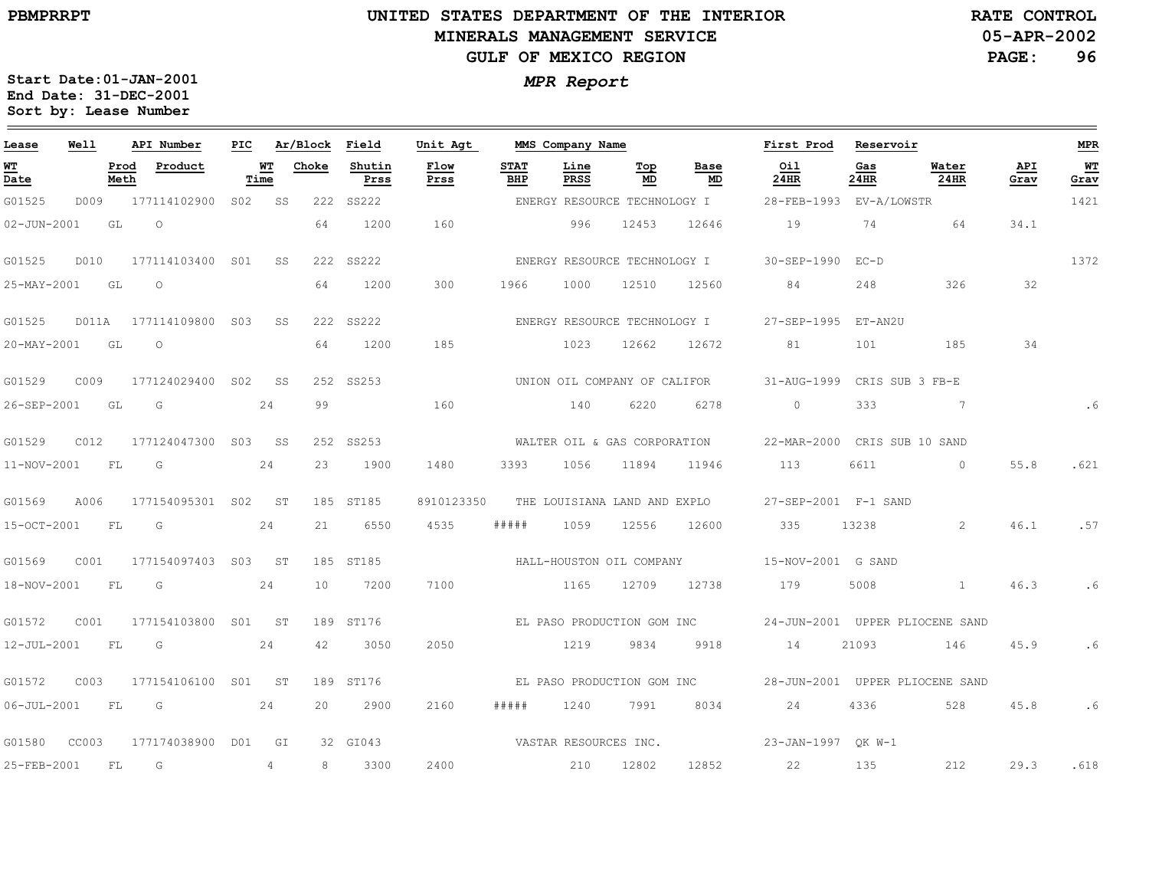### **UNITED STATES DEPARTMENT OF THE INTERIOR MINERALS MANAGEMENT SERVICEGULF OF MEXICO REGION**

**05-APR-2002PAGE: 96 RATE CONTROL**

| Lease                                 | Well  |              | API Number             | PIC.         |    | Ar/Block        | Field          | Unit Agt     |                    | MMS Company Name             |           |                              | First Prod                   | Reservoir   |                                 |             | <b>MPR</b>   |
|---------------------------------------|-------|--------------|------------------------|--------------|----|-----------------|----------------|--------------|--------------------|------------------------------|-----------|------------------------------|------------------------------|-------------|---------------------------------|-------------|--------------|
| <u>WТ</u><br>$\overline{\text{Date}}$ |       | Prod<br>Meth | Product                | Time         | WТ | Choke           | Shutin<br>Prss | Flow<br>Prss | <b>STAT</b><br>BHP | Line<br>PRSS                 | Тор<br>MD | Base<br>MD                   | Oil<br>24HR                  | Gas<br>24HR | Water<br>24HR                   | API<br>Grav | $WT$<br>Grav |
| G01525                                | D009  |              | 177114102900           | S02 <b>S</b> | SS | 222             | SS222          |              |                    | ENERGY RESOURCE TECHNOLOGY I |           |                              | 28-FEB-1993                  | EV-A/LOWSTR |                                 |             | 1421         |
| $02 - JUN - 2001$                     |       | GL           | $\circ$                |              |    | 64              | 1200           | 160          |                    | 996                          | 12453     | 12646                        | 19                           | 74          | 64                              | 34.1        |              |
| G01525                                | D010  |              | 177114103400 SO1       |              | SS |                 | 222 SS222      |              |                    | ENERGY RESOURCE TECHNOLOGY I |           |                              | 30-SEP-1990                  | $FC-D$      |                                 |             | 1372         |
| 25-MAY-2001                           |       | GL           | $\circ$                |              |    | 64              | 1200           | 300          | 1966               | 1000                         | 12510     | 12560                        | 84                           | 248         | 326                             | 32          |              |
| G01525                                |       |              | D011A 177114109800 S03 |              | SS |                 | 222 SS222      |              |                    | ENERGY RESOURCE TECHNOLOGY I |           |                              | 27-SEP-1995 ET-AN2U          |             |                                 |             |              |
| 20-MAY-2001                           |       | GL           | $\circ$                |              |    | 64              | 1200           | 185          |                    | 1023                         | 12662     | 12672                        | 81                           | 101         | 185                             | 34          |              |
| G01529                                | C009  |              | 177124029400 S02       |              | SS |                 | 252 SS253      |              |                    |                              |           | UNION OIL COMPANY OF CALIFOR | 31-AUG-1999                  |             | CRIS SUB 3 FB-E                 |             |              |
| 26-SEP-2001                           |       | GL           | G                      |              | 24 | 99              |                | 160          |                    | 140                          | 6220      | 6278                         | $\Omega$                     | 333         | $7\phantom{0}7$                 |             | .6           |
| G01529                                | C012  |              | 177124047300 S03 SS    |              |    |                 | 252 SS253      |              |                    | WALTER OIL & GAS CORPORATION |           |                              | 22-MAR-2000 CRIS SUB 10 SAND |             |                                 |             |              |
| 11-NOV-2001                           |       | FL           | G                      |              | 24 | 23              | 1900           | 1480         | 3393               | 1056                         | 11894     | 11946                        | 113                          | 6611        | $\Omega$                        | 55.8        | .621         |
| G01569                                | A006  |              | 177154095301 S02       |              | ST |                 | 185 ST185      | 8910123350   |                    |                              |           | THE LOUISIANA LAND AND EXPLO | 27-SEP-2001 F-1 SAND         |             |                                 |             |              |
| 15-OCT-2001                           |       | FL           | G                      |              | 24 | 21              | 6550           | 4535         | #####              | 1059                         | 12556     | 12600                        | 335                          | 13238       | 2                               | 46.1        | .57          |
| G01569                                | C001  |              | 177154097403 S03 ST    |              |    |                 | 185 ST185      |              |                    | HALL-HOUSTON OIL COMPANY     |           |                              | 15-NOV-2001 G SAND           |             |                                 |             |              |
| 18-NOV-2001                           |       | <b>FL</b>    | G                      |              | 24 | 10 <sup>°</sup> | 7200           | 7100         |                    | 1165                         | 12709     | 12738                        | 179                          | 5008        | $\mathbf{1}$                    | 46.3        | .6           |
| G01572                                | C001  |              | 177154103800 S01 ST    |              |    |                 | 189 ST176      |              |                    |                              |           | EL PASO PRODUCTION GOM INC   |                              |             | 24-JUN-2001 UPPER PLIOCENE SAND |             |              |
| 12-JUL-2001                           |       | FL           | G                      |              | 24 | 42              | 3050           | 2050         |                    | 1219                         | 9834      | 9918                         | 14                           | 21093       | 146                             | 45.9        | .6           |
| G01572                                | C003  |              | 177154106100 S01 ST    |              |    |                 | 189 ST176      |              |                    | EL PASO PRODUCTION GOM INC   |           |                              |                              |             | 28-JUN-2001 UPPER PLIOCENE SAND |             |              |
| $06 - JUL - 2001$                     |       | FL.          | G                      |              | 24 | 20              | 2900           | 2160         | # # # # #          | 1240                         | 7991      | 8034                         | 24                           | 4336        | 528                             | 45.8        | .6           |
| G01580                                | CC003 |              | 177174038900 D01       |              | GI |                 | 32 GI043       |              |                    | VASTAR RESOURCES INC.        |           |                              | 23-JAN-1997 OK W-1           |             |                                 |             |              |
| 25-FEB-2001                           |       | FL           | G                      |              | 4  | 8               | 3300           | 2400         |                    | 210                          | 12802     | 12852                        | 22                           | 135         | 212                             | 29.3        | .618         |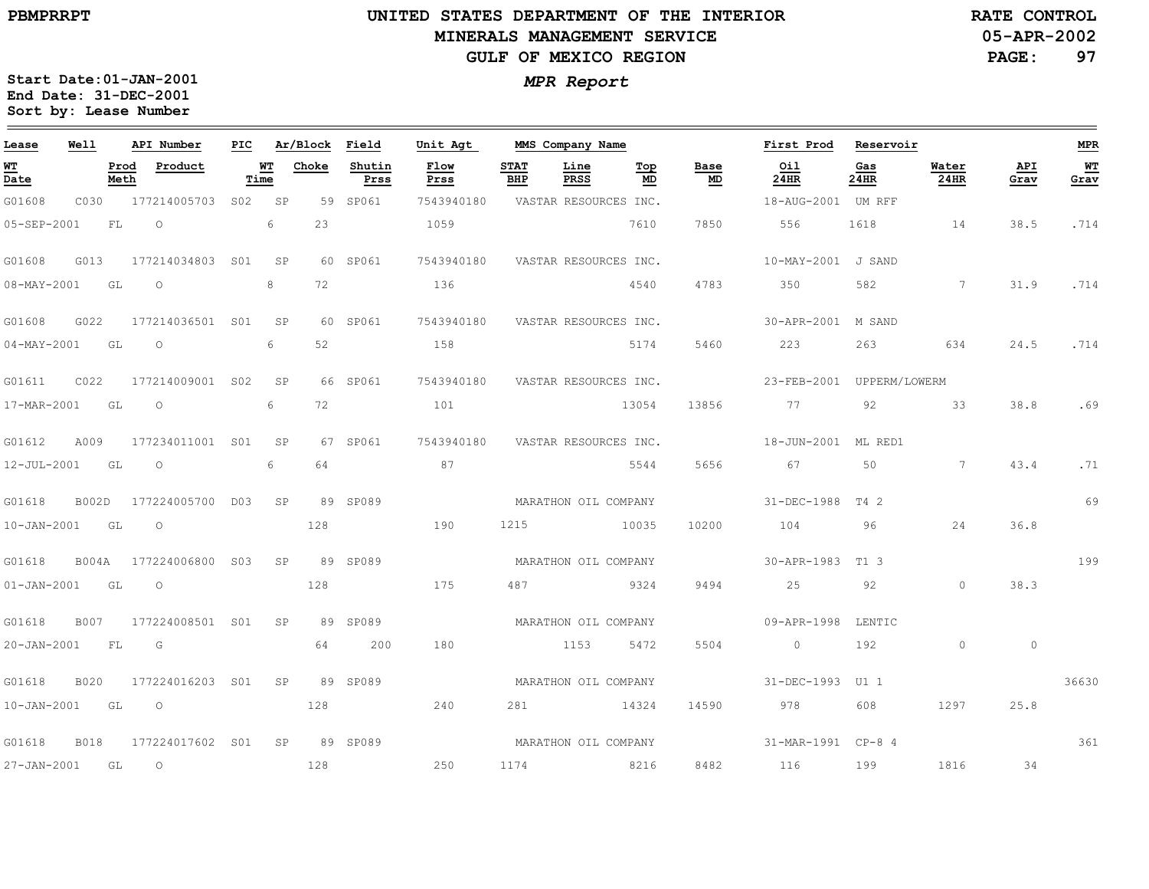#### **UNITED STATES DEPARTMENT OF THE INTERIOR MINERALS MANAGEMENT SERVICEGULF OF MEXICO REGION**

**05-APR-2002RATE CONTROL**

**PAGE:97**

| Lease             | Well        |              | API Number       | PIC             |            | Ar/Block | Field          | Unit Agt             |                      | MMS Company Name      |           |            | First Prod                | Reservoir   |                 |             | MPR        |
|-------------------|-------------|--------------|------------------|-----------------|------------|----------|----------------|----------------------|----------------------|-----------------------|-----------|------------|---------------------------|-------------|-----------------|-------------|------------|
| <u>ит</u><br>Date |             | Prod<br>Meth | Product          |                 | WT<br>Time | Choke    | Shutin<br>Prss | Flow<br>Prss         | <b>STAT</b><br>BHP   | Line<br><b>PRSS</b>   | Top<br>MD | Base<br>MD | Oil<br>24HR               | Gas<br>24HR | Water<br>24HR   | API<br>Grav | WT<br>Grav |
| G01608            | C030        |              | 177214005703     | S02             | SP         |          | 59 SP061       | 7543940180           |                      | VASTAR RESOURCES INC. |           |            | 18-AUG-2001 UM RFF        |             |                 |             |            |
| 05-SEP-2001       |             | FL           | $\circ$          |                 | 6          | 23       |                | 1059                 |                      |                       | 7610      | 7850       | 556                       | 1618        | 14              | 38.5        | .714       |
| G01608            | G013        |              | 177214034803     | S01             | SP         |          | 60 SP061       | 7543940180           |                      | VASTAR RESOURCES INC. |           |            | 10-MAY-2001 J SAND        |             |                 |             |            |
| $08 - MAX - 2001$ |             | GL           | $\circ$          |                 | 8          | 72       |                | 136                  |                      |                       | 4540      | 4783       | 350                       | 582         | $7\phantom{.0}$ | 31.9        | .714       |
| G01608            | G022        |              | 177214036501 S01 |                 | SP         |          | 60 SP061       | 7543940180           |                      | VASTAR RESOURCES INC. |           |            | 30-APR-2001               | M SAND      |                 |             |            |
| $04 - MAX - 2001$ |             | GL           | $\circ$          |                 | 6          | 52       |                | 158                  |                      |                       | 5174      | 5460       | 223                       | 263         | 634             | 24.5        | .714       |
| G01611            | C022        |              | 177214009001 S02 |                 | SP         |          | 66 SP061       | 7543940180           |                      | VASTAR RESOURCES INC. |           |            | 23-FEB-2001 UPPERM/LOWERM |             |                 |             |            |
| 17-MAR-2001       |             | GL           | $\circ$          |                 | 6          | 72       |                | 101                  |                      |                       | 13054     | 13856      | 77                        | 92          | 33              | 38.8        | .69        |
| G01612            | A009        |              | 177234011001 S01 |                 | SP         |          | 67 SP061       | 7543940180           |                      | VASTAR RESOURCES INC. |           |            | 18-JUN-2001 ML RED1       |             |                 |             |            |
| 12-JUL-2001       |             | GL           | $\circ$          |                 | 6          | 64       |                | 87                   |                      |                       | 5544      | 5656       | 67                        | 50          | $\overline{7}$  | 43.4        | .71        |
| G01618            | B002D       |              | 177224005700     | DO3             | SP         |          | 89 SP089       |                      | MARATHON OIL COMPANY |                       |           |            | 31-DEC-1988               | T4 2        |                 |             | 69         |
| 10-JAN-2001       |             | GL           | $\circ$          |                 |            | 128      |                | 190                  | 1215                 |                       | 10035     | 10200      | 104                       | 96          | 24              | 36.8        |            |
| G01618            | B004A       |              | 177224006800     | S <sub>03</sub> | SP         |          | 89 SP089       |                      |                      | MARATHON OIL COMPANY  |           |            | $30 - APR - 1983$         | T1 3        |                 |             | 199        |
| $01 - JAN - 2001$ |             | GL           | $\circ$          |                 |            | 128      |                | 175                  | 487                  |                       | 9324      | 9494       | 25                        | 92          | $\Omega$        | 38.3        |            |
| G01618            | <b>B007</b> |              | 177224008501 S01 |                 | SP         |          | 89 SP089       |                      | MARATHON OIL COMPANY |                       |           |            | 09-APR-1998               | LENTIC      |                 |             |            |
| 20-JAN-2001       |             | FL           | G                |                 |            | 64       | 200            | 180                  |                      | 1153                  | 5472      | 5504       | $\circ$                   | 192         | $\circ$         | $\circ$     |            |
| G01618            | <b>B020</b> |              | 177224016203 S01 |                 | SP         |          | 89 SP089       |                      |                      | MARATHON OIL COMPANY  |           |            | $31 - DEC - 1993$         | U1 1        |                 |             | 36630      |
| $10 - JAN - 2001$ |             | GL           | $\circ$          |                 |            | 128      |                | 240                  | 281                  |                       | 14324     | 14590      | 978                       | 608         | 1297            | 25.8        |            |
| G01618            | <b>B018</b> |              | 177224017602 S01 |                 | SP         |          | 89 SP089       | MARATHON OIL COMPANY |                      |                       |           |            | 31-MAR-1991 CP-8 4        |             |                 |             | 361        |
| 27-JAN-2001       |             | GL           | $\circ$          |                 |            | 128      |                | 250                  | 1174                 |                       | 8216      | 8482       | 116                       | 199         | 1816            | 34          |            |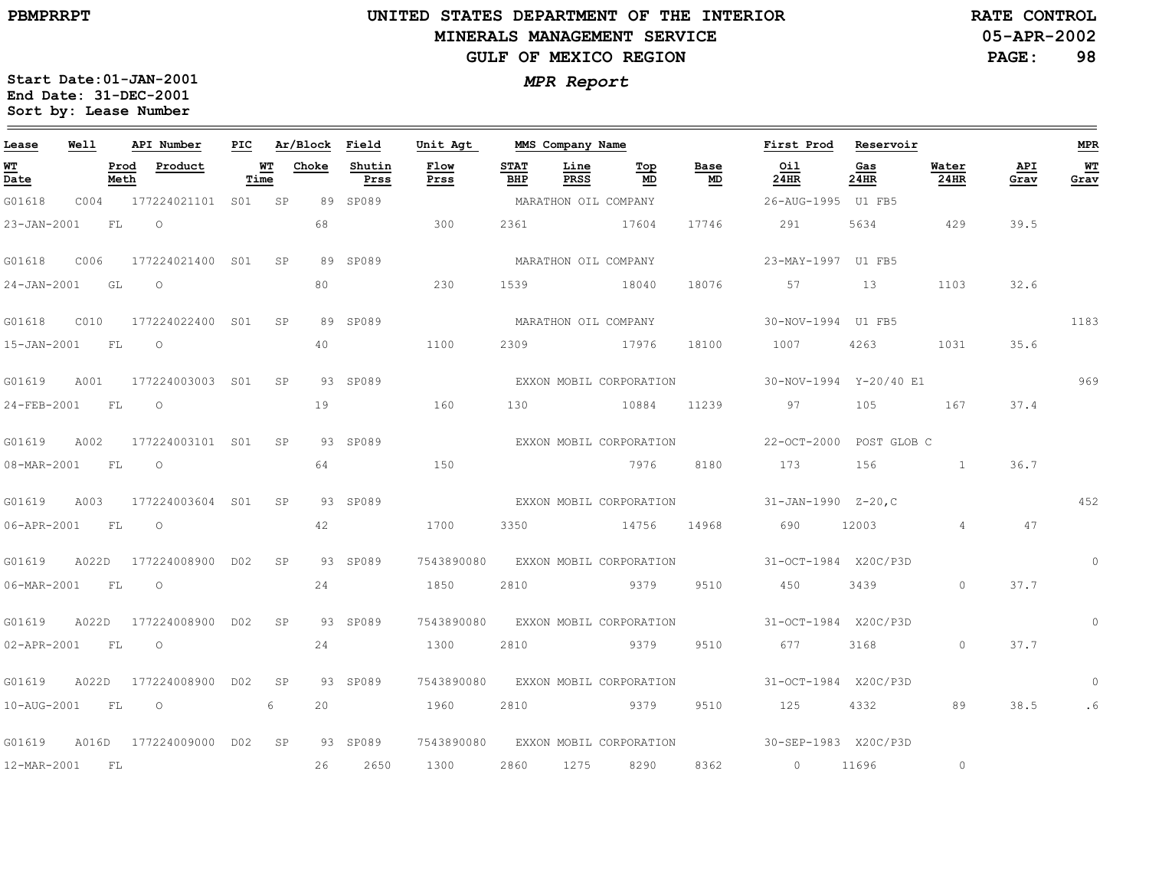# **UNITED STATES DEPARTMENT OF THE INTERIOR MINERALS MANAGEMENT SERVICEGULF OF MEXICO REGION**

**05-APR-2002RATE CONTROL**

**PAGE:98**

| Lease            | Well |              | API Number                       |            |    |       | PIC Ar/Block Field | Unit Agt                           |                    | MMS Company Name        |           |            | First Prod Reservoir                                    |               |                                                 |             | <b>MPR</b>   |
|------------------|------|--------------|----------------------------------|------------|----|-------|--------------------|------------------------------------|--------------------|-------------------------|-----------|------------|---------------------------------------------------------|---------------|-------------------------------------------------|-------------|--------------|
| WT<br>Date       |      | Prod<br>Meth | Product                          | WT<br>Time |    | Choke | Shutin<br>Prss     | Flow<br>Prss                       | <b>STAT</b><br>BHP | Line<br>PRSS            | Top<br>MD | Base<br>MD | Oil<br>24HR                                             | Gas<br>24HR   | Water<br>24HR                                   | API<br>Grav | WT<br>Grav   |
| G01618           | C004 |              | 177224021101 S01 SP              |            |    |       | 89 SP089           |                                    |                    | MARATHON OIL COMPANY    |           |            | 26-AUG-1995 U1 FB5                                      |               |                                                 |             |              |
| 23-JAN-2001      |      | FL           | $\overline{O}$                   |            |    | 68    |                    | 300                                | 2361               | 17604                   |           | 17746      | 291                                                     | 5634 429      |                                                 | 39.5        |              |
| G01618           |      |              | C006 177224021400 S01 SP         |            |    |       | 89 SP089           |                                    |                    | MARATHON OIL COMPANY    |           |            | 23-MAY-1997 U1 FB5                                      |               |                                                 |             |              |
| 24-JAN-2001 GL O |      |              |                                  |            |    | 80    |                    | 230                                | 1539               |                         | 18040     | 18076      | 57 13                                                   |               | 1103                                            | 32.6        |              |
|                  |      |              |                                  |            |    |       | 89 SP089           | MARATHON OIL COMPANY               |                    |                         |           |            | 30-NOV-1994 U1 FB5                                      |               |                                                 |             | 1183         |
| 15-JAN-2001 FL O |      |              |                                  |            |    | 40    |                    | 1100                               |                    | 2309 17976              |           | 18100      | 1007 4263                                               |               | 1031                                            | 35.6        |              |
| G01619           |      |              | A001 177224003003 S01 SP         |            |    |       | 93 SP089           |                                    |                    | EXXON MOBIL CORPORATION |           |            | 30-NOV-1994 Y-20/40 E1                                  |               |                                                 |             | 969          |
| 24-FEB-2001 FL O |      |              |                                  |            |    | 19    |                    | 160                                | 130                |                         | 10884     | 11239      | 97                                                      | 105 167       |                                                 | 37.4        |              |
| G01619 A002      |      |              | 177224003101 S01 SP              |            |    |       | 93 SP089           |                                    |                    |                         |           |            |                                                         |               |                                                 |             |              |
| 08-MAR-2001 FL O |      |              |                                  |            |    | 64    |                    | 150                                |                    |                         | 7976 8180 |            | 173 156                                                 |               | . The contract of $\mathbf{1}$ and $\mathbf{1}$ | 36.7        |              |
|                  |      |              | G01619 A003 177224003604 S01 SP  |            |    |       | 93 SP089           |                                    |                    |                         |           |            | EXXON MOBIL CORPORATION 31-JAN-1990 Z-20,C              |               |                                                 |             | 452          |
| 06-APR-2001 FL 0 |      |              |                                  |            |    | 42    |                    | 1700                               | 3350               | 14756 14968             |           |            | 690                                                     | 12003   12003 | $\overline{4}$                                  | 47          |              |
|                  |      |              | G01619 A022D 177224008900 D02 SP |            |    |       | 93 SP089           |                                    |                    |                         |           |            | 7543890080 EXXON MOBIL CORPORATION 31-OCT-1984 X20C/P3D |               |                                                 |             |              |
| 06-MAR-2001 FL   |      |              | $\circ$                          |            |    | 24    |                    | 1850                               | 2810               | 9379                    |           | 9510       | 450                                                     | 3439          | $\circ$                                         | 37.7        |              |
|                  |      |              | G01619 A022D 177224008900 D02 SP |            |    |       | 93 SP089           | 7543890080 EXXON MOBIL CORPORATION |                    |                         |           |            | 31-OCT-1984 X20C/P3D                                    |               |                                                 |             | $\mathbf{0}$ |
| 02-APR-2001 FL   |      |              | $\circ$                          |            |    | 24    |                    | 1300                               | 2810               | 5379 9379               |           | 9510       | 677                                                     | 3168          | $\Omega$                                        | 37.7        |              |
|                  |      |              | G01619 A022D 177224008900 D02    |            | SP |       | 93 SP089           |                                    |                    |                         |           |            | 7543890080 EXXON MOBIL CORPORATION 31-OCT-1984 X20C/P3D |               |                                                 |             | $\Omega$     |
| 10-AUG-2001 FL   |      |              | $\overline{O}$                   |            | 6  | 20    |                    | 1960                               | 2810               | 9379                    |           | 9510       | 125                                                     | 4332          | 89                                              | 38.5        | . 6          |
|                  |      |              | G01619 A016D 177224009000 D02 SP |            |    |       | 93 SP089           | 7543890080 EXXON MOBIL CORPORATION |                    |                         |           |            | 30-SEP-1983 X20C/P3D                                    |               |                                                 |             |              |
| 12-MAR-2001 FL   |      |              |                                  |            |    | 26    | 2650               | 1300                               | 2860               | 1275                    | 8290      | 8362       | $\sim$ 0                                                | 11696         | $\circ$                                         |             |              |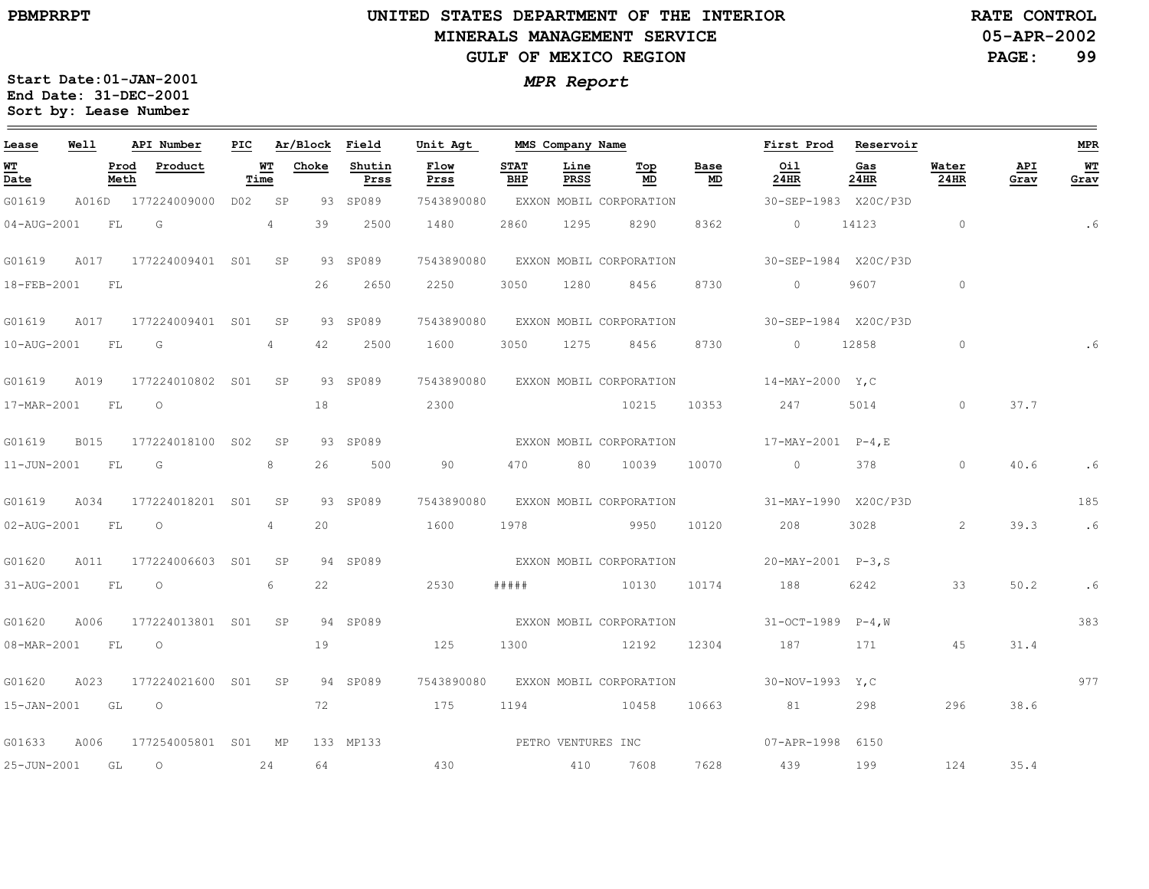#### **UNITED STATES DEPARTMENT OF THE INTERIOR MINERALS MANAGEMENT SERVICEGULF OF MEXICO REGION**

**05-APR-2002RATE CONTROL**

**PAGE: 99**

**Start Date:01-JAN-2001** *MPR Report* **End Date: 31-DEC-2001 Sort by: Lease Number** 

the control of the control of the control of

|  | <b>MPR Report</b> |
|--|-------------------|
|--|-------------------|

| Lease            | Well | API Number                  | PIC |            | Ar/Block Field |                | Unit Agt           |                    | MMS Company Name |                              |            | First Prod                                         | Reservoir   |                |             | <b>MPR</b> |
|------------------|------|-----------------------------|-----|------------|----------------|----------------|--------------------|--------------------|------------------|------------------------------|------------|----------------------------------------------------|-------------|----------------|-------------|------------|
| WT<br>Date       |      | Product<br>Prod<br>Meth     |     | WТ<br>Time | Choke          | Shutin<br>Prss | Flow<br>Prss       | <b>STAT</b><br>BHP | Line<br>PRSS     | Тор<br>MD                    | Base<br>MD | Oil<br>24HR                                        | Gas<br>24HR | Water<br>24HR  | API<br>Grav | WТ<br>Grav |
| G01619           |      | A016D 177224009000          |     | DO2 SP     |                | 93 SP089       | 7543890080         |                    |                  | EXXON MOBIL CORPORATION      |            | 30-SEP-1983 X20C/P3D                               |             |                |             |            |
| 04-AUG-2001      | FL   | G                           |     | 4          | 39             | 2500           | 1480               | 2860               | 1295             | 8290                         | 8362       | $\circ$                                            | 14123       | $\overline{0}$ |             | .6         |
| G01619           | A017 | 177224009401 S01 SP         |     |            |                | 93 SP089       | 7543890080         |                    |                  | EXXON MOBIL CORPORATION      |            | 30-SEP-1984 X20C/P3D                               |             |                |             |            |
| 18-FEB-2001      | F L  |                             |     |            | 26             | 2650           | 2250               | 3050               | 1280             | 8456                         | 8730       | $\circ$                                            | 9607        | $\circ$        |             |            |
| G01619           | A017 | 177224009401 S01            |     | SP         |                | 93 SP089       | 7543890080         |                    |                  | EXXON MOBIL CORPORATION      |            | 30-SEP-1984 X20C/P3D                               |             |                |             |            |
| 10-AUG-2001 FL   |      | G                           |     | 4          | 42             | 2500           | 1600               | 3050               |                  | 1275 8456                    | 8730       | $\sim$ 0                                           | 12858       | $\circ$        |             |            |
| G01619           | A019 | 177224010802 S01            |     | SP         |                | 93 SP089       | 7543890080         |                    |                  | EXXON MOBIL CORPORATION      |            | $14-MAY-2000 Y.C$                                  |             |                |             |            |
| 17-MAR-2001 FL   |      | $\overline{O}$              |     |            | 18             |                | 2300               |                    |                  | 10215                        | 10353      | 247                                                | 5014        | $\circ$        | 37.7        |            |
| G01619           | B015 | 177224018100 S02            |     | SP         |                | 93 SP089       |                    |                    |                  |                              |            |                                                    |             |                |             |            |
| 11-JUN-2001 FL   |      | $\overline{\mathbb{G}}$     |     | 8          | 26             | 500            | 90                 | 470 — 170          |                  | 80 10039                     | 10070      | $\overline{0}$                                     | 378         | $\overline{0}$ | 40.6        | .6         |
| G01619           | A034 | 177224018201 S01            |     | SP         |                | 93 SP089       | 7543890080         |                    |                  | EXXON MOBIL CORPORATION      |            | 31-MAY-1990 X20C/P3D                               |             |                |             | 185        |
| 02-AUG-2001 FL   |      | $\overline{\phantom{0}}$    |     | 4          | 20             |                | 1600               | 1978               |                  | 2012/09/20 20:30:40 20:30:40 | 10120      | 208                                                | 3028        | 2              | 39.3        | .6         |
| G01620           | A011 | 177224006603 S01 SP         |     |            |                | 94 SP089       |                    |                    |                  |                              |            | EXXON MOBIL CORPORATION 20-MAY-2001 P-3,S          |             |                |             |            |
| 31-AUG-2001 FL   |      | $\overline{\phantom{0}}$    |     | 6          | 22             |                | 2530               | # # # # #          |                  | 10130                        | 10174      | 188                                                | 6242        | 33             | 50.2        | . 6        |
| G01620           | A006 | 177224013801 S01 SP         |     |            |                | 94 SP089       |                    |                    |                  | EXXON MOBIL CORPORATION      |            | $31-OCT-1989$ $P-4. W$                             |             |                |             | 383        |
| 08-MAR-2001 FL O |      |                             |     |            | 19             |                | 125                | 1300               |                  | 12192                        | 12304      | 187                                                | 171         | 45             | 31.4        |            |
| G01620           | A023 | 177224021600 S01 SP         |     |            |                | 94 SP089       |                    |                    |                  |                              |            | 7543890080 EXXON MOBIL CORPORATION 30-NOV-1993 Y,C |             |                |             | 977        |
| 15-JAN-2001 GL   |      | $\overline{O}$              |     |            | 72             |                | 175                | 1194               |                  | 10458                        | 10663      | 81                                                 | 298         | 296            | 38.6        |            |
| G01633           | A006 | 177254005801 S01 MP         |     |            |                | 133 MP133      | PETRO VENTURES INC |                    |                  |                              |            | 07-APR-1998 6150                                   |             |                |             |            |
| 25-JUN-2001 GL   |      | $\overline{O}$<br>$\sim$ 24 |     |            | 64             |                | 430                |                    |                  | 410 7608                     | 7628       | 439 199                                            |             | 124            | 35.4        |            |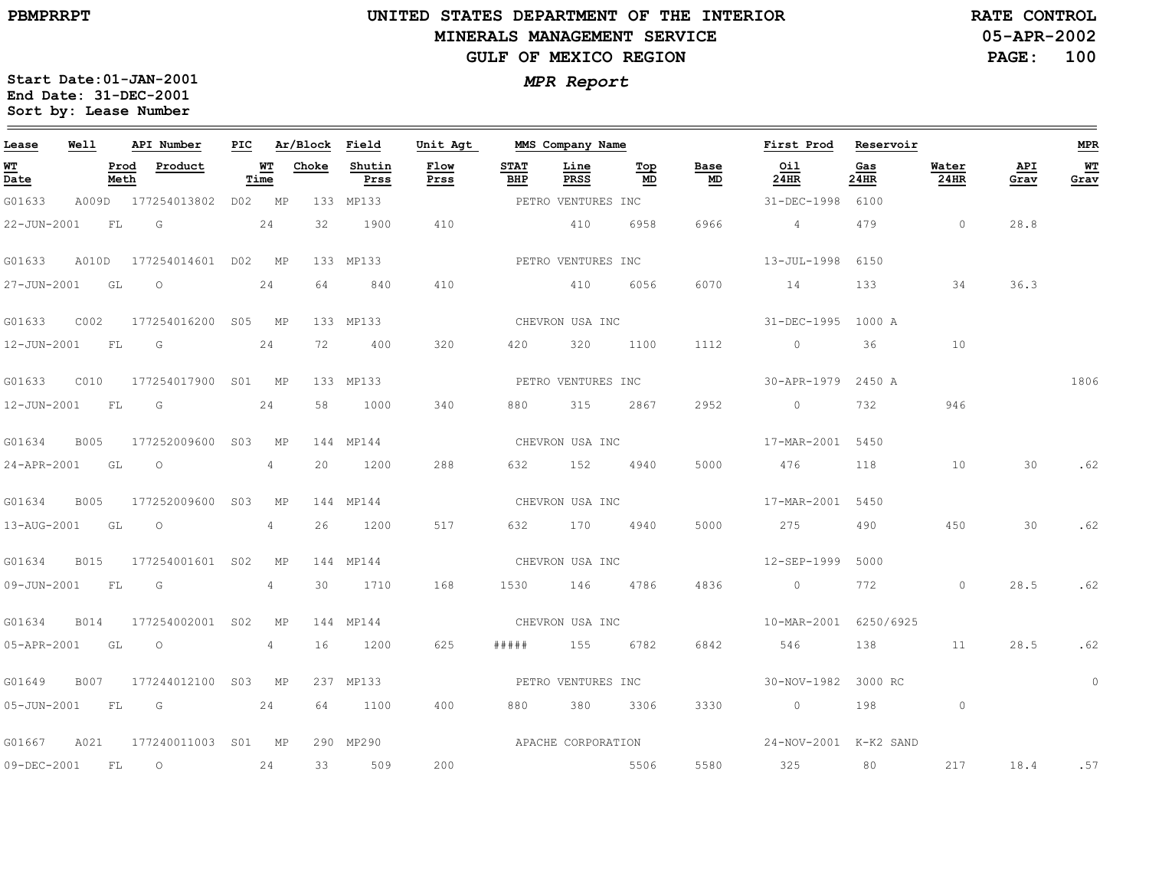#### **UNITED STATES DEPARTMENT OF THE INTERIOR MINERALS MANAGEMENT SERVICEGULF OF MEXICO REGION**

**05-APR-2002 RATE CONTROL**

**PAGE: 100**

| Lease             | Well |              | API Number                | PIC |                   | Ar/Block Field |                | Unit Agt           |                    | MMS Company Name   |           |            | First Prod            | Reservoir   |                |             | MPR        |
|-------------------|------|--------------|---------------------------|-----|-------------------|----------------|----------------|--------------------|--------------------|--------------------|-----------|------------|-----------------------|-------------|----------------|-------------|------------|
| <b>WT</b><br>Date |      | Prod<br>Meth | Product                   |     | <b>WT</b><br>Time | Choke          | Shutin<br>Prss | Flow<br>Prss       | <b>STAT</b><br>BHP | Line<br>PRSS       | Top<br>MD | Base<br>MD | Oil<br>24HR           | Gas<br>24HR | Water<br>24HR  | API<br>Grav | WТ<br>Grav |
| G01633            |      |              | A009D 177254013802        |     | DO2 MP            |                | 133 MP133      |                    |                    | PETRO VENTURES INC |           |            | 31-DEC-1998           | 6100        |                |             |            |
| 22-JUN-2001       |      | <b>FL</b>    | G                         |     | 24                | 32             | 1900           | 410                |                    | 410                | 6958      | 6966       | $4\overline{4}$       | 479         | $\overline{0}$ | 28.8        |            |
| G01633            |      |              | A010D 177254014601 D02 MP |     |                   |                | 133 MP133      |                    |                    | PETRO VENTURES INC |           |            | 13-JUL-1998 6150      |             |                |             |            |
| 27-JUN-2001 GL    |      |              | $\overline{\phantom{0}}$  |     | 24                | 64             | 840            | 410                |                    | 410                | 6056      | 6070       | 14                    | 133         | 34             | 36.3        |            |
| G01633            | C002 |              | 177254016200 S05 MP       |     |                   |                | 133 MP133      |                    |                    | CHEVRON USA INC    |           |            | 31-DEC-1995 1000 A    |             |                |             |            |
| 12-JUN-2001 FL    |      |              | G                         |     | 24                | 72             | 400            | 320                | 420                | 320                | 1100      | 1112       | $\sim$ 0              | 36          | 10             |             |            |
| G01633            | C010 |              | 177254017900 S01 MP       |     |                   |                | 133 MP133      |                    |                    | PETRO VENTURES INC |           |            | 30-APR-1979 2450 A    |             |                |             | 1806       |
| 12-JUN-2001 FL G  |      |              |                           |     | 24                | 58             | 1000           | 340                | 880                | 315                | 2867      | 2952       | $\overline{0}$        | 732         | 946            |             |            |
| G01634            | B005 |              | 177252009600 S03 MP       |     |                   |                | 144 MP144      |                    |                    | CHEVRON USA INC    |           |            | 17-MAR-2001 5450      |             |                |             |            |
| 24-APR-2001 GL    |      |              | $\overline{O}$            |     | 4                 | 20             | 1200           | 288                |                    | 632 152 4940       |           | 5000       | 476                   | 118         | 10             | 30          | .62        |
| G01634            | B005 |              | 177252009600 S03          |     | MP                |                | 144 MP144      |                    |                    | CHEVRON USA INC    |           |            | 17-MAR-2001 5450      |             |                |             |            |
| 13-AUG-2001       |      | GL           | $\circ$                   |     | 4                 | 26             | 1200           | 517                | 632                | 170                | 4940      | 5000       | 275                   | 490         | 450            | 30          | .62        |
| G01634            |      |              | B015 177254001601 S02     |     | MP                |                | 144 MP144      |                    |                    | CHEVRON USA INC    |           |            | 12-SEP-1999           | 5000        |                |             |            |
| 09-JUN-2001 FL    |      |              | G                         |     | 4                 | 30             | 1710           | 168                | 1530               | 146 4786           |           | 4836       | $\overline{0}$        | 772         | $\circ$        | 28.5        | .62        |
| G01634            | B014 |              | 177254002001 S02          |     | MP                |                | 144 MP144      |                    |                    | CHEVRON USA INC    |           |            | 10-MAR-2001 6250/6925 |             |                |             |            |
| 05-APR-2001 GL    |      |              | $\circ$                   |     | 4                 | 16             | 1200           | 625                | # # # # #          | 155                | 6782      | 6842       | 546                   | 138         | 11             | 28.5        | .62        |
| G01649            |      |              | B007 177244012100 S03 MP  |     |                   |                | 237 MP133      |                    |                    | PETRO VENTURES INC |           |            | 30-NOV-1982 3000 RC   |             |                |             | $\circ$    |
| 05-JUN-2001 FL    |      |              | $\overline{G}$            |     | 24                | 64             | 1100           | 400                | 880                | 380                | 3306      | 3330       | $\overline{0}$        | 198         | $\circ$        |             |            |
| G01667            | A021 |              | 177240011003 S01 MP       |     |                   |                | 290 MP290      | APACHE CORPORATION |                    |                    |           |            | 24-NOV-2001 K-K2 SAND |             |                |             |            |
| 09-DEC-2001       |      | FL           | $\circ$                   |     | 24                | 33             | 509            | 200                |                    |                    | 5506      | 5580       | 325                   | 80          | 217            | 18.4        | .57        |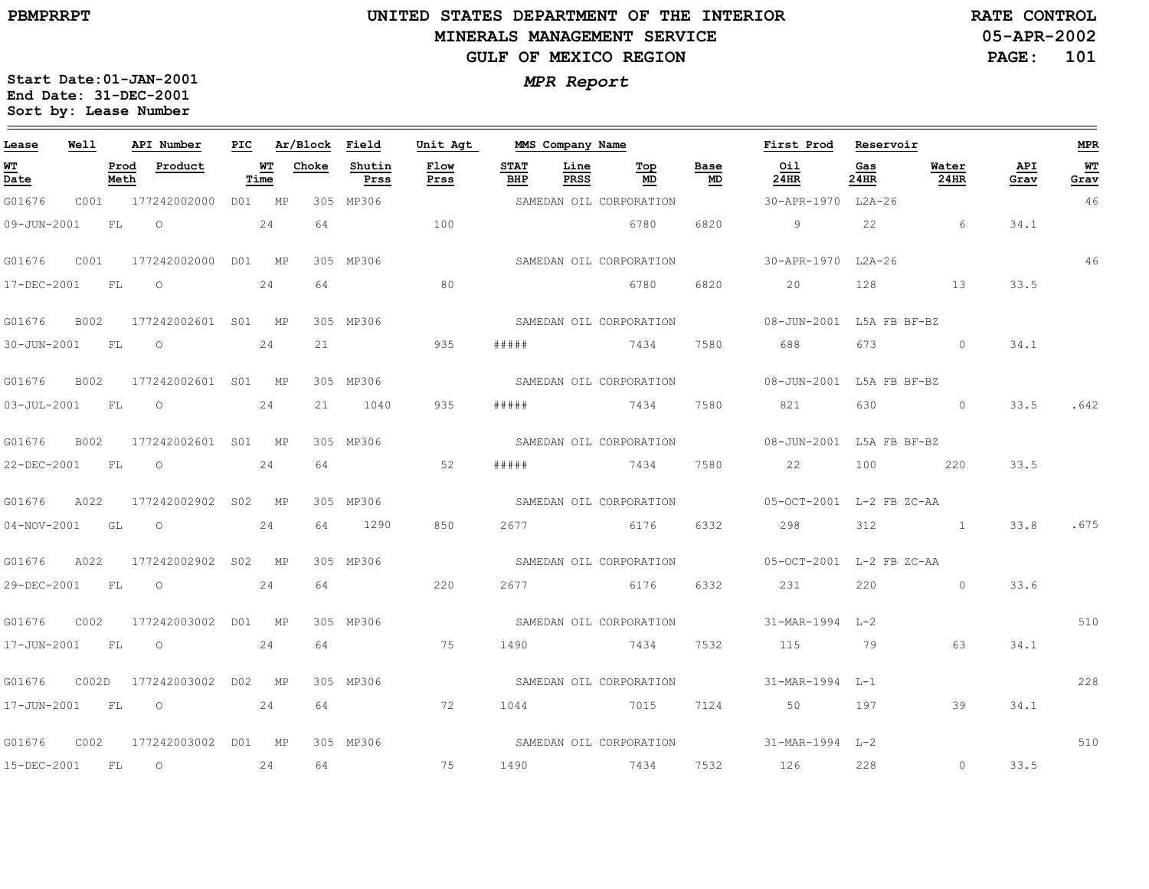$\equiv$ 

# **UNITED STATES DEPARTMENT OF THE INTERIOR MINERALS MANAGEMENT SERVICEGULF OF MEXICO REGION**

**05-APR-2002RATE CONTROL**

**PAGE: 101**

| Lease                          | Well  |              | API Number          | PIC |            | Ar/Block | Field          | Unit Agt     |                    | MMS Company Name    |                         |            | First Prod                              | Reservoir   |               |             | <b>MPR</b> |
|--------------------------------|-------|--------------|---------------------|-----|------------|----------|----------------|--------------|--------------------|---------------------|-------------------------|------------|-----------------------------------------|-------------|---------------|-------------|------------|
| WT<br>$\overline{\text{Date}}$ |       | Prod<br>Meth | Product             |     | WТ<br>Time | Choke    | Shutin<br>Prss | Flow<br>Prss | <b>STAT</b><br>BHP | Line<br><b>PRSS</b> | Top<br>MD               | Base<br>MD | Oil<br>24HR                             | Gas<br>24HR | Water<br>24HR | API<br>Grav | WT<br>Grav |
| G01676                         |       |              | C001 177242002000   |     | D01 MP     |          | 305 MP306      |              |                    |                     | SAMEDAN OIL CORPORATION |            | 30-APR-1970 L2A-26                      |             |               |             | 46         |
| 09-JUN-2001                    |       | FL           | $\circ$             |     | 24         | 64       |                | 100          |                    |                     | 6780                    | 6820       | 9                                       | 22          | 6             | 34.1        |            |
| G01676                         | C001  |              | 177242002000        |     | D01 MP     |          | 305 MP306      |              |                    |                     | SAMEDAN OIL CORPORATION |            | 30-APR-1970 L2A-26                      |             |               |             | 46         |
| 17-DEC-2001                    |       | FL           | $\circ$             |     | 24         | 64       |                | 80           |                    |                     | 6780                    | 6820       | 20                                      | 128         | 13            | 33.5        |            |
| G01676                         | B002  |              | 177242002601 S01 MP |     |            |          | 305 MP306      |              |                    |                     | SAMEDAN OIL CORPORATION |            | 08-JUN-2001 L5A FB BF-BZ                |             |               |             |            |
| 30-JUN-2001                    |       | <b>FL</b>    | $\circ$             |     | 24         | 21       |                | 935          | #####              |                     | 7434                    | 7580       | 688                                     | 673         | $\circ$       | 34.1        |            |
| G01676                         | B002  |              | 177242002601 S01 MP |     |            |          | 305 MP306      |              |                    |                     | SAMEDAN OIL CORPORATION |            | 08-JUN-2001 L5A FB BF-BZ                |             |               |             |            |
| $03 - JUL - 2001$              |       | FL           | $\circ$             |     | 24         | 21       | 1040           | 935          | #####              |                     | 7434                    | 7580       | 821                                     | 630         | $\circ$       | 33.5        | .642       |
| G01676                         | B002  |              | 177242002601 S01 MP |     |            |          | 305 MP306      |              |                    |                     | SAMEDAN OIL CORPORATION |            | 08-JUN-2001 L5A FB BF-BZ                |             |               |             |            |
| 22-DEC-2001                    |       | FL.          | $\circ$             |     | 24         | 64       |                | 52           | #####              |                     | 7434                    | 7580       | 22                                      | 100         | 220           | 33.5        |            |
| G01676                         | A022  |              | 177242002902 S02 MP |     |            |          | 305 MP306      |              |                    |                     | SAMEDAN OIL CORPORATION |            | 05-OCT-2001 L-2 FB ZC-AA                |             |               |             |            |
| $04 - NOV - 2001$              |       | GL GL        | $\circ$             |     | 24         | 64       | 1290           | 850          | 2677               |                     | 6176                    | 6332       | 298                                     | 312         |               | 33.8        | .675       |
| G01676                         | A022  |              | 177242002902 S02 MP |     |            |          | 305 MP306      |              |                    |                     | SAMEDAN OIL CORPORATION |            | 05-OCT-2001 L-2 FB ZC-AA                |             |               |             |            |
| 29-DEC-2001                    |       | FL           | $\overline{O}$      |     | 24         | 64       |                | 220          |                    |                     | 2677 6176               | 6332       | 231                                     | 220         | $\circ$       | 33.6        |            |
| G01676                         | C002  |              | 177242003002 D01 MP |     |            |          | 305 MP306      |              |                    |                     | SAMEDAN OIL CORPORATION |            | 31-MAR-1994 L-2                         |             |               |             | 510        |
| 17-JUN-2001                    |       | FL           | $\circ$             |     | 24         | 64       |                | 75           | 1490               |                     | 7434                    | 7532       | 115                                     | 79          | 63            | 34.1        |            |
| G01676                         | COO2D |              | 177242003002        |     | D02 MP     |          | 305 MP306      |              |                    |                     | SAMEDAN OIL CORPORATION |            | 31-MAR-1994 L-1                         |             |               |             | 228        |
| 17-JUN-2001                    |       | FL           | $\circ$<br>24       |     |            | 64       |                | 72           | 1044               |                     | 7015                    | 7124       | 50                                      | 197         | 39            | 34.1        |            |
| G01676                         | C002  |              | 177242003002 D01 MP |     |            |          | 305 MP306      |              |                    |                     |                         |            | SAMEDAN OIL CORPORATION 31-MAR-1994 L-2 |             |               |             | 510        |
| 15-DEC-2001                    |       | FL           | $\circ$             |     | 24         | 64       |                | 75           | 1490               |                     | 7434                    | 7532       | 126                                     | 228         | $\circ$       | 33.5        |            |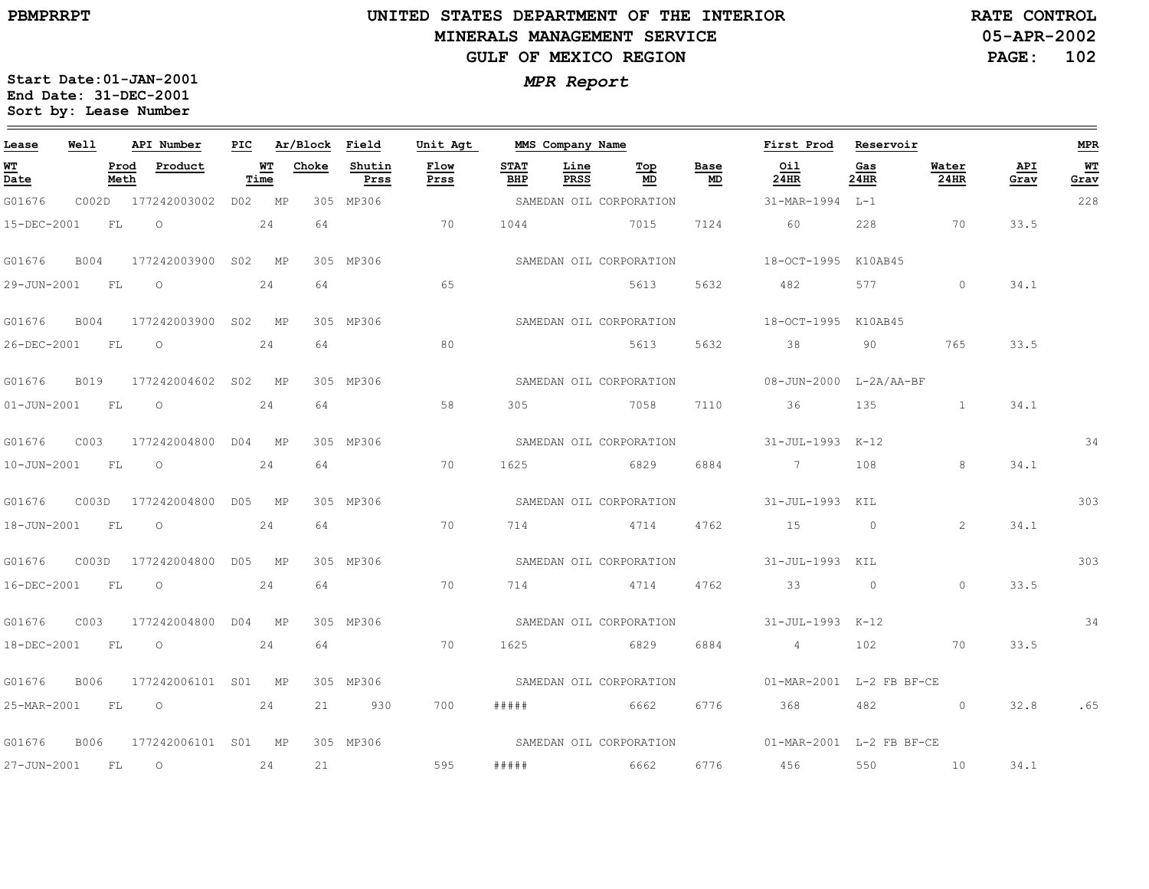$\equiv$ 

# **UNITED STATES DEPARTMENT OF THE INTERIOR MINERALS MANAGEMENT SERVICEGULF OF MEXICO REGION**

**05-APR-2002PAGE: 102 RATE CONTROL**

| Lease             | Well        |              | API Number          | PIC    |            | Ar/Block Field |                | Unit Agt     |                    | MMS Company Name |                         |            | First Prod                                       | Reservoir      |                   |             | <b>MPR</b> |
|-------------------|-------------|--------------|---------------------|--------|------------|----------------|----------------|--------------|--------------------|------------------|-------------------------|------------|--------------------------------------------------|----------------|-------------------|-------------|------------|
| WT<br>Date        |             | Prod<br>Meth | Product             |        | WT<br>Time | Choke          | Shutin<br>Prss | Flow<br>Prss | <b>STAT</b><br>BHP | Line<br>PRSS     | Top<br>MD               | Base<br>MD | Oil<br>24HR                                      | Gas<br>24HR    | Water<br>24HR     | API<br>Grav | WT<br>Grav |
| G01676            |             |              | C002D 177242003002  | D02 MP |            |                | 305 MP306      |              |                    |                  | SAMEDAN OIL CORPORATION |            | 31-MAR-1994 L-1                                  |                |                   |             | 228        |
| 15-DEC-2001       | <b>FL</b>   |              | $\circ$             |        | 24         | 64             |                | 70           | 1044               |                  | 7015                    | 7124       | 60                                               | 228            | 70                | 33.5        |            |
| G01676            | B004        |              | 177242003900 S02 MP |        |            |                | 305 MP306      |              |                    |                  | SAMEDAN OIL CORPORATION |            | 18-OCT-1995 K10AB45                              |                |                   |             |            |
| 29-JUN-2001       | <b>FL</b>   |              | $\circ$             |        | 24         | 64             |                | 65           |                    |                  | 5613                    | 5632       | 482                                              | 577            | $\Omega$          | 34.1        |            |
| G01676            | B004        |              | 177242003900 S02 MP |        |            |                | 305 MP306      |              |                    |                  | SAMEDAN OIL CORPORATION |            | 18-OCT-1995 K10AB45                              |                |                   |             |            |
| 26-DEC-2001 FL    |             |              | $\circ$             |        | 24         | 64             |                | 80           |                    |                  | 5613                    | 5632       | 38                                               | 90             | 765               | 33.5        |            |
| G01676            | <b>B019</b> |              | 177242004602 S02 MP |        |            |                | 305 MP306      |              |                    |                  | SAMEDAN OIL CORPORATION |            | 08-JUN-2000 L-2A/AA-BF                           |                |                   |             |            |
| $01 - JUN - 2001$ | <b>FL</b>   |              | $\circ$             |        | 24         | 64             |                | 58           | 305                |                  | 7058                    | 7110       | 36                                               | 135            | $\mathbf{1}$      | 34.1        |            |
| G01676            | C003        |              | 177242004800 D04 MP |        |            |                | 305 MP306      |              |                    |                  | SAMEDAN OIL CORPORATION |            | 31-JUL-1993 K-12                                 |                |                   |             | 34         |
| $10 - JUN - 2001$ | FL          |              | $\circ$             |        | 24         | 64             |                | 70           | 1625               |                  | 6829                    | 6884       | $7\overline{)}$                                  | 108            | 8                 | 34.1        |            |
| G01676            | C003D       |              | 177242004800 D05 MP |        |            |                | 305 MP306      |              |                    |                  | SAMEDAN OIL CORPORATION |            | 31-JUL-1993 KIL                                  |                |                   |             | 303        |
| 18-JUN-2001       | FL          |              | $\circ$             |        | 2.4        | 64             |                | 70           | 714                |                  | 4714                    | 4762       | 15                                               | $\overline{0}$ | 2                 | 34.1        |            |
| G01676            | COO3D       |              | 177242004800 D05 MP |        |            |                | 305 MP306      |              |                    |                  | SAMEDAN OIL CORPORATION |            | 31-JUL-1993 KIL                                  |                |                   |             | 303        |
| 16-DEC-2001 FL    |             |              | $\overline{O}$      |        | 24         | 64             |                | 70           |                    |                  | 714 4714 4762           |            | $33$ 0                                           |                | $\Omega$          | 33.5        |            |
| G01676            | C003        |              | 177242004800 D04 MP |        |            |                | 305 MP306      |              |                    |                  | SAMEDAN OIL CORPORATION |            | 31-JUL-1993 K-12                                 |                |                   |             | 34         |
| 18-DEC-2001       | F L         |              | $\overline{O}$      |        | 24         | 64             |                | 70           | 1625               |                  | 6829                    | 6884       | $4\overline{4}$                                  | 102            | 70                | 33.5        |            |
| G01676            | B006        |              | 177242006101 S01 MP |        |            |                | 305 MP306      |              |                    |                  | SAMEDAN OIL CORPORATION |            | 01-MAR-2001 L-2 FB BF-CE                         |                |                   |             |            |
| 25-MAR-2001 FL O  |             |              | 24                  |        |            | 21             | 930            | 700          |                    |                  |                         | 6776       | 368 368                                          | 482            | $\sim$ 0 $\sim$ 0 |             | 32.8 .65   |
| G01676            | <b>B006</b> |              | 177242006101 S01 MP |        |            |                | 305 MP306      |              |                    |                  |                         |            | SAMEDAN OIL CORPORATION 01-MAR-2001 L-2 FB BF-CE |                |                   |             |            |
| 27-JUN-2001 FL    |             |              | $\circ$             |        | 24         | 21             |                | 595          | #####              |                  | 6662                    |            | 6776 456                                         | 550            | 10                | 34.1        |            |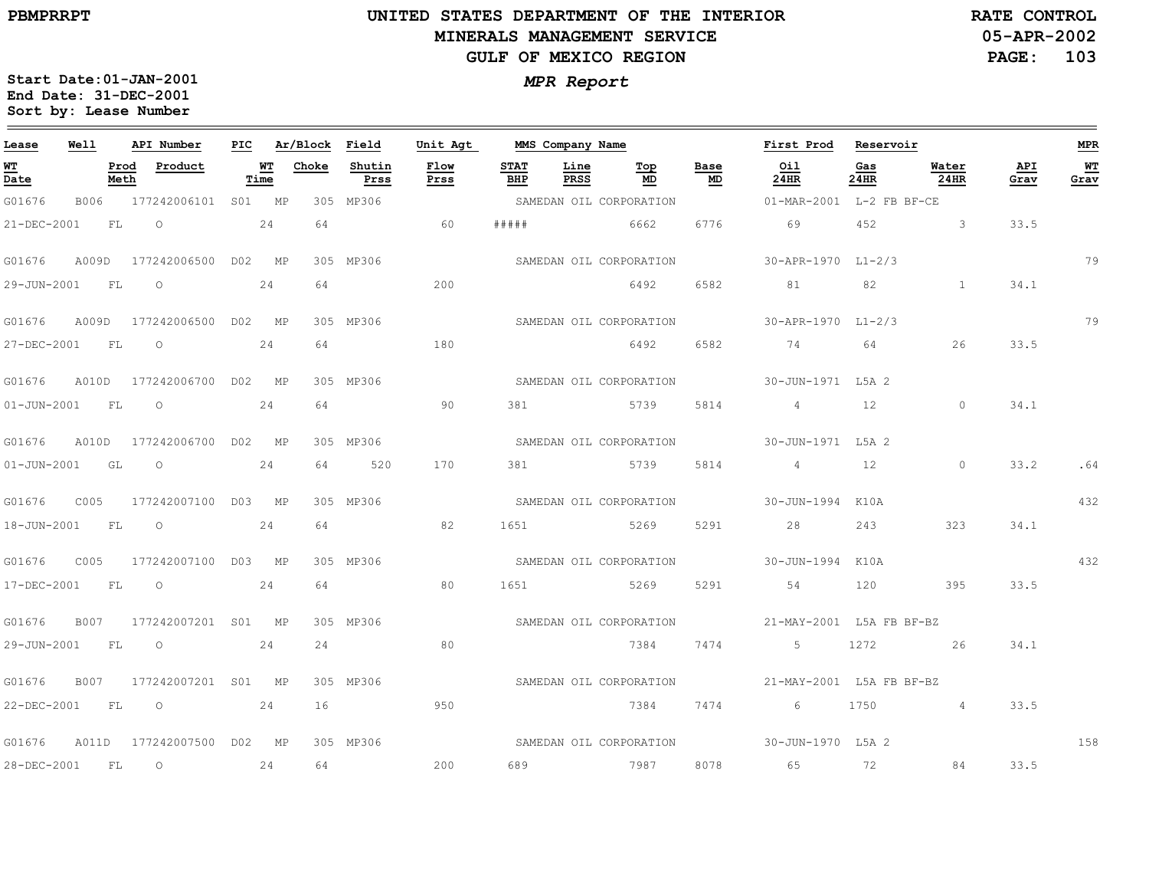$\equiv$ 

# **UNITED STATES DEPARTMENT OF THE INTERIOR MINERALS MANAGEMENT SERVICEGULF OF MEXICO REGION**

**05-APR-2002PAGE: 103 RATE CONTROL**

| Lease             | Well      | API Number              | PIC    |            | Ar/Block Field |                | Unit Agt     |                    | MMS Company Name |                         |            | First Prod               | Reservoir   |                |             | <b>MPR</b>  |
|-------------------|-----------|-------------------------|--------|------------|----------------|----------------|--------------|--------------------|------------------|-------------------------|------------|--------------------------|-------------|----------------|-------------|-------------|
| WT<br>Date        |           | Prod<br>Product<br>Meth |        | WT<br>Time | Choke          | Shutin<br>Prss | Flow<br>Prss | <b>STAT</b><br>BHP | Line<br>PRSS     | Top<br>MD               | Base<br>MD | Oil<br>24HR              | Gas<br>24HR | Water<br>24HR  | API<br>Grav | WT.<br>Grav |
| G01676            | B006      | 177242006101 S01 MP     |        |            |                | 305 MP306      |              |                    |                  | SAMEDAN OIL CORPORATION |            | 01-MAR-2001 L-2 FB BF-CE |             |                |             |             |
| 21-DEC-2001       | FL        | $\Omega$                |        | 24         | 64             |                | 60           | # # # # #          |                  | 6662                    | 6776       | 69                       | 452         | 3              | 33.5        |             |
| G01676            | A009D     | 177242006500 D02 MP     |        |            |                | 305 MP306      |              |                    |                  | SAMEDAN OIL CORPORATION |            | 30-APR-1970 L1-2/3       |             |                |             | 79          |
| 29-JUN-2001       | FL        | $\circ$                 |        | 24         | 64             |                | 200          |                    |                  | 6492                    | 6582       | 81                       | 82          | $\mathbf{1}$   | 34.1        |             |
| G01676            | A009D     | 177242006500 D02 MP     |        |            |                | 305 MP306      |              |                    |                  | SAMEDAN OIL CORPORATION |            | 30-APR-1970 L1-2/3       |             |                |             | 79          |
| 27-DEC-2001       | FL        | $\circ$                 |        | 24         | 64             |                | 180          |                    |                  | 6492                    | 6582       | 74                       | 64          | 26             | 33.5        |             |
| G01676            | A010D     | 177242006700 D02 MP     |        |            |                | 305 MP306      |              |                    |                  | SAMEDAN OIL CORPORATION |            | 30-JUN-1971 L5A 2        |             |                |             |             |
| $01 - JUN - 2001$ | <b>FL</b> | $\circ$                 |        | 24         | 64             |                | 90           | 381                |                  | 5739                    | 5814       | 4                        | 12          | $\circ$        | 34.1        |             |
| G01676            | A010D     | 177242006700            | DO2 MP |            |                | 305 MP306      |              |                    |                  | SAMEDAN OIL CORPORATION |            | 30-JUN-1971 L5A 2        |             |                |             |             |
| $01 - JUN - 2001$ | GL        | $\circ$                 |        | 24         | 64             | 520            | 170          | 381                | 5739             |                         | 5814       | $4\overline{4}$          | 12          | $\circ$        | 33.2        | .64         |
| G01676            | C005      | 177242007100 D03 MP     |        |            |                | 305 MP306      |              |                    |                  | SAMEDAN OIL CORPORATION |            | 30-JUN-1994              | K10A        |                |             | 432         |
| $18 - JUN - 2001$ | FL        | $\circ$                 |        | 24         | 64             |                | 82           | 1651               |                  | 5269                    | 5291       | 28                       | 243         | 323            | 34.1        |             |
| G01676            | C005      | 177242007100            |        | DO3 MP     |                | 305 MP306      |              |                    |                  | SAMEDAN OIL CORPORATION |            | 30-JUN-1994              | K10A        |                |             | 432         |
| 17-DEC-2001       | FL        | $\circ$                 |        | 24         | 64             |                | 80           | 1651               | 5269             |                         | 5291       | 54                       | 120         | 395            | 33.5        |             |
| G01676            | B007      | 177242007201 S01 MP     |        |            |                | 305 MP306      |              |                    |                  | SAMEDAN OIL CORPORATION |            | 21-MAY-2001 L5A FB BF-BZ |             |                |             |             |
| 29-JUN-2001       | <b>FL</b> | $\circ$                 |        | 24         | 24             |                | 80           |                    |                  | 7384                    | 7474       | 5                        | 1272        | 26             | 34.1        |             |
| G01676            | B007      | 177242007201 S01 MP     |        |            |                | 305 MP306      |              |                    |                  | SAMEDAN OIL CORPORATION |            | 21-MAY-2001 L5A FB BF-BZ |             |                |             |             |
| 22-DEC-2001       | FL.       | $\circ$                 |        | 24         | 16             |                | 950          |                    |                  | 7384                    | 7474       | 6                        | 1750        | $\overline{4}$ | 33.5        |             |
| G01676            | A011D     | 177242007500 D02 MP     |        |            |                | 305 MP306      |              |                    |                  | SAMEDAN OIL CORPORATION |            | 30-JUN-1970 L5A 2        |             |                |             | 158         |
| 28-DEC-2001       | FL        | $\circ$                 |        | 24         | 64             |                | 200          | 689                |                  | 7987                    | 8078       | 65                       | 72          | 84             | 33.5        |             |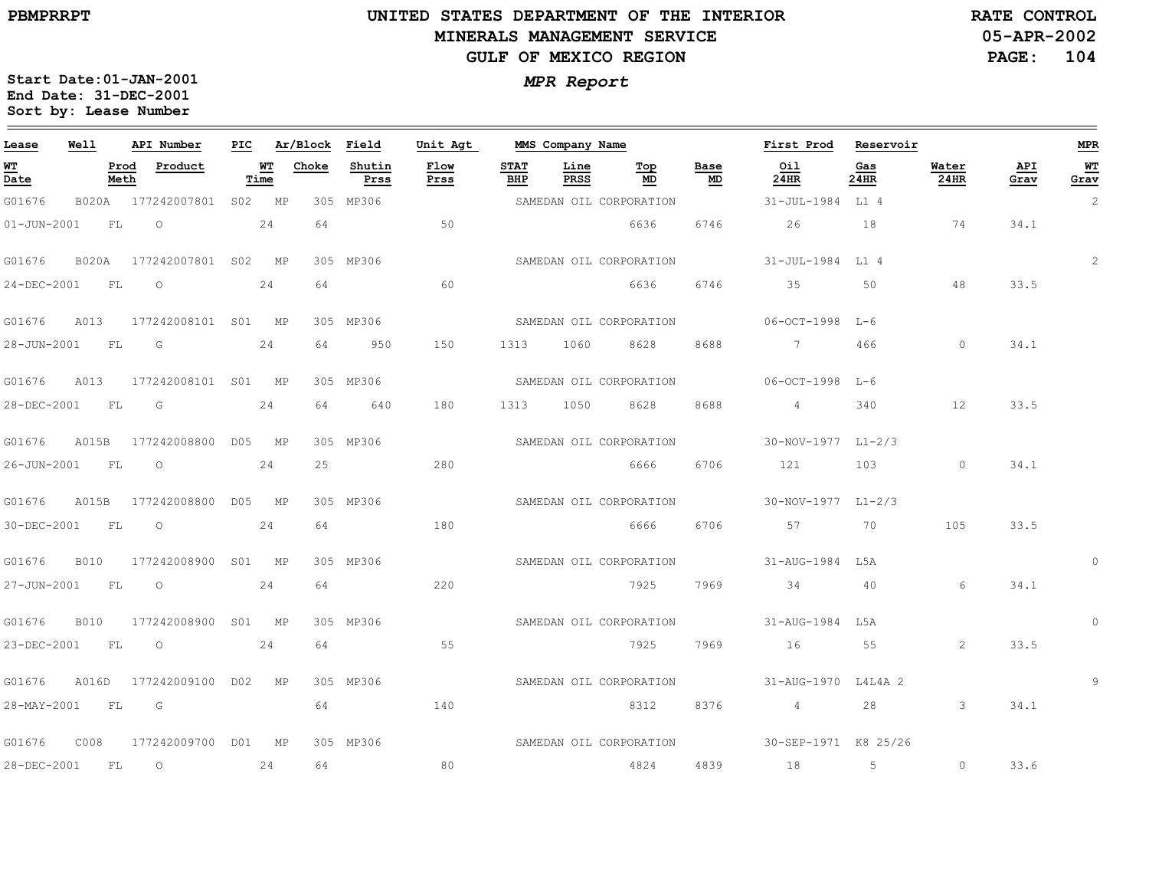$\equiv$ 

# **UNITED STATES DEPARTMENT OF THE INTERIOR MINERALS MANAGEMENT SERVICEGULF OF MEXICO REGION**

**05-APR-2002RATE CONTROL**

**PAGE: 104**

| Lease             | Well         |              | API Number          | PIC |            | Ar/Block | Field          | Unit Agt     |                    | MMS Company Name |                         |            | First Prod                          | Reservoir   |               |             | <b>MPR</b>     |
|-------------------|--------------|--------------|---------------------|-----|------------|----------|----------------|--------------|--------------------|------------------|-------------------------|------------|-------------------------------------|-------------|---------------|-------------|----------------|
| WT<br>Date        |              | Prod<br>Meth | Product             |     | WT<br>Time | Choke    | Shutin<br>Prss | Flow<br>Prss | <b>STAT</b><br>BHP | Line<br>PRSS     | Тор<br>MD               | Base<br>MD | Oil<br>24HR                         | Gas<br>24HR | Water<br>24HR | API<br>Grav | WT.<br>Grav    |
| G01676            | B020A        |              | 177242007801 S02 MP |     |            |          | 305 MP306      |              |                    |                  | SAMEDAN OIL CORPORATION |            | 31-JUL-1984 L1 4                    |             |               |             | $\overline{c}$ |
| $01 - JUN - 2001$ |              | FL           | $\circ$             |     | 24         | 64       |                | 50           |                    |                  | 6636                    | 6746       | 26                                  | 18          | 74            | 34.1        |                |
| G01676            | <b>B020A</b> |              | 177242007801 S02 MP |     |            |          | 305 MP306      |              |                    |                  | SAMEDAN OIL CORPORATION |            | 31-JUL-1984 L14                     |             |               |             | $\overline{2}$ |
| 24-DEC-2001       |              | FL           | $\circ$             |     | 24         | 64       |                | 60           |                    |                  | 6636                    | 6746       | 35                                  | 50          | 48            | 33.5        |                |
| G01676            | A013         |              | 177242008101 S01 MP |     |            |          | 305 MP306      |              |                    |                  | SAMEDAN OIL CORPORATION |            | 06-OCT-1998 L-6                     |             |               |             |                |
| 28-JUN-2001       | FL           |              | G                   |     | 24         | 64       | 950            | 150          | 1313               | 1060             | 8628                    | 8688       | $7\overline{ }$                     | 466         | $\circ$       | 34.1        |                |
| G01676            | A013         |              | 177242008101 S01 MP |     |            |          | 305 MP306      |              |                    |                  | SAMEDAN OIL CORPORATION |            | $06 - 0CT - 1998$ T <sub>1</sub> -6 |             |               |             |                |
| 28-DEC-2001       |              | FL           | G                   |     | 24         | 64       | 640            | 180          | 1313               | 1050             | 8628                    | 8688       | 4                                   | 340         | 12            | 33.5        |                |
| G01676            | A015B        |              | 177242008800 D05 MP |     |            |          | 305 MP306      |              |                    |                  | SAMEDAN OIL CORPORATION |            | 30-NOV-1977 L1-2/3                  |             |               |             |                |
| 26-JUN-2001       | FL           |              | $\circ$             |     | 24         | 25       |                | 280          |                    |                  | 6666 6                  | 6706       | 121                                 | 103         | $\circ$       | 34.1        |                |
| G01676            | A015B        |              | 177242008800 D05 MP |     |            |          | 305 MP306      |              |                    |                  | SAMEDAN OIL CORPORATION |            | 30-NOV-1977 L1-2/3                  |             |               |             |                |
| 30-DEC-2001       |              | FL           | $\circ$             |     | 24         | 64       |                | 180          |                    |                  | 6666                    | 6706       | 57                                  | 70          | 105           | 33.5        |                |
| G01676            | <b>B010</b>  |              | 177242008900        |     | S01 MP     |          | 305 MP306      |              |                    |                  | SAMEDAN OIL CORPORATION |            | 31-AUG-1984 L5A                     |             |               |             | $\Omega$       |
| 27-JUN-2001       | FL           |              | $\circ$             |     | 24         | 64       |                | 220          |                    |                  | 7925                    | 7969       | 34                                  | 40          | 6             | 34.1        |                |
| G01676            | B010         |              | 177242008900 S01 MP |     |            |          | 305 MP306      |              |                    |                  | SAMEDAN OIL CORPORATION |            | 31-AUG-1984 L5A                     |             |               |             | $\Omega$       |
| 23-DEC-2001       |              | FL           | $\circ$             |     | 24         | 64       |                | 55           |                    |                  | 7925                    | 7969       | 16                                  | 55          | 2             | 33.5        |                |
| G01676            | A016D        |              | 177242009100 D02 MP |     |            |          | 305 MP306      |              |                    |                  | SAMEDAN OIL CORPORATION |            | 31-AUG-1970 L4L4A 2                 |             |               |             | 9              |
| 28-MAY-2001       | FL           |              | G                   |     |            | 64       |                | 140          |                    |                  | 8312                    | 8376       | $4\overline{4}$                     | 28          | $\mathbf{3}$  | 34.1        |                |
| G01676            | C008         |              | 177242009700 D01 MP |     |            |          | 305 MP306      |              |                    |                  | SAMEDAN OIL CORPORATION |            | 30-SEP-1971 K8 25/26                |             |               |             |                |
| 28-DEC-2001       |              | FL           | $\circ$             |     | 24         | 64       |                | 80           |                    |                  | 4824                    | 4839       | 18                                  | 5           | $\circ$       | 33.6        |                |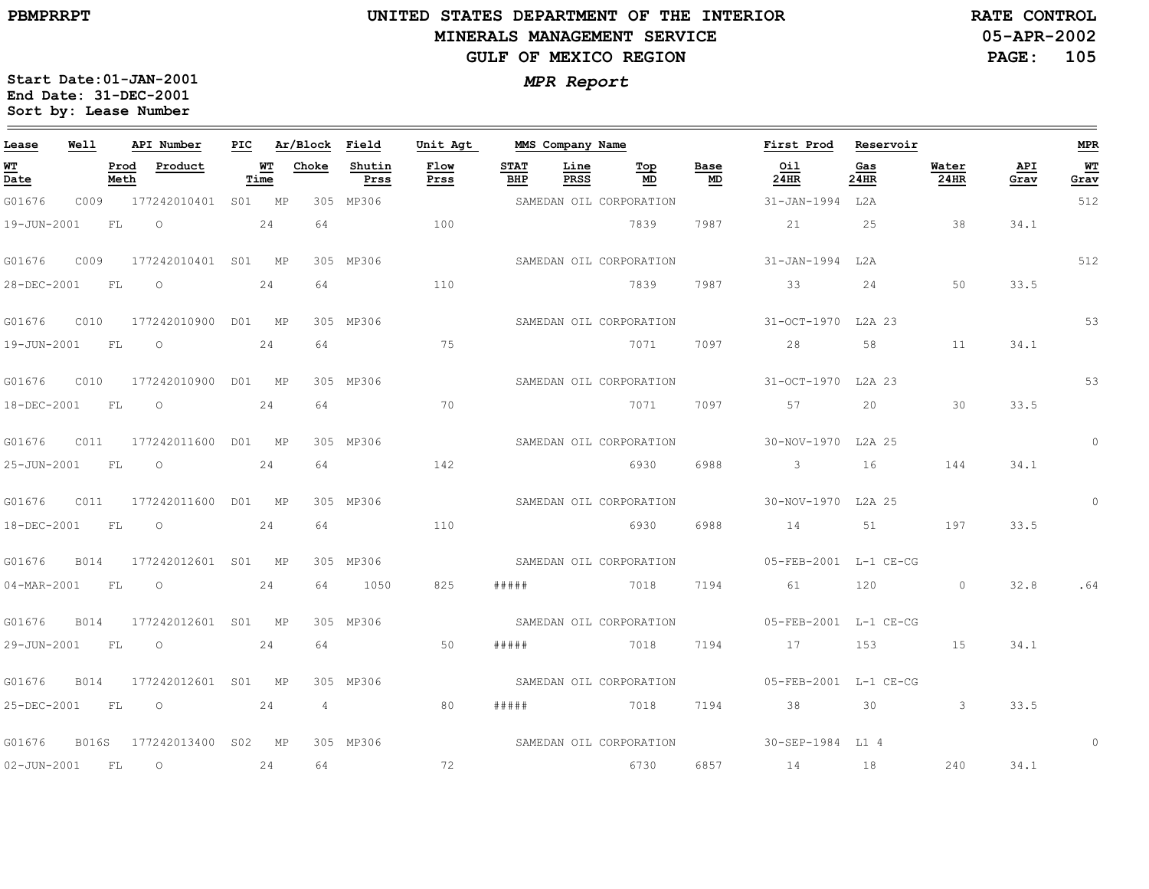$\equiv$ 

# **UNITED STATES DEPARTMENT OF THE INTERIOR MINERALS MANAGEMENT SERVICEGULF OF MEXICO REGION**

**05-APR-2002RATE CONTROL**

**PAGE: 105**

| Lease             | Well        |              | API Number          | PIC |            | Ar/Block       | Field          | Unit Agt     |                    | MMS Company Name    |                         |            | First Prod            | Reservoir   |               |             | <b>MPR</b> |
|-------------------|-------------|--------------|---------------------|-----|------------|----------------|----------------|--------------|--------------------|---------------------|-------------------------|------------|-----------------------|-------------|---------------|-------------|------------|
| <u>WT</u><br>Date |             | Prod<br>Meth | Product             |     | WT<br>Time | Choke          | Shutin<br>Prss | Flow<br>Prss | <b>STAT</b><br>BHP | Line<br><b>PRSS</b> | Top<br>MD               | Base<br>MD | Oil<br>24HR           | Gas<br>24HR | Water<br>24HR | API<br>Grav | WТ<br>Grav |
| G01676            | C009        |              | 177242010401 S01 MP |     |            |                | 305 MP306      |              |                    |                     | SAMEDAN OIL CORPORATION |            | 31-JAN-1994           | L2A         |               |             | 512        |
| 19-JUN-2001       |             | FL           | $\circ$             |     | 24         | 64             |                | 100          |                    |                     | 7839                    | 7987       | 21                    | 25          | 38            | 34.1        |            |
| G01676            | C009        |              | 177242010401 S01 MP |     |            |                | 305 MP306      |              |                    |                     | SAMEDAN OIL CORPORATION |            | $31 - JAN - 1994$     | L2A         |               |             | 512        |
| 28-DEC-2001       |             | FL           | $\circ$             |     | 24         | 64             |                | 110          |                    |                     | 7839                    | 7987       | 33                    | 24          | 50            | 33.5        |            |
| G01676            | CO10        |              | 177242010900        |     | D01 MP     |                | 305 MP306      |              |                    |                     | SAMEDAN OIL CORPORATION |            | 31-OCT-1970           | L2A 23      |               |             | 53         |
| 19-JUN-2001       |             | FL           | $\circ$             |     | 24         | 64             |                | 75           |                    |                     | 7071                    | 7097       | 28                    | 58          | 11            | 34.1        |            |
| G01676            | C010        |              | 177242010900        |     | D01 MP     |                | 305 MP306      |              |                    |                     | SAMEDAN OIL CORPORATION |            | 31-OCT-1970           | L2A 23      |               |             | 53         |
| 18-DEC-2001       |             | FL           | $\circ$             |     | 24         | 64             |                | 70           |                    |                     | 7071                    | 7097       | 57                    | 20          | 30            | 33.5        |            |
| G01676            | C011        |              | 177242011600        |     | D01 MP     |                | 305 MP306      |              |                    |                     | SAMEDAN OIL CORPORATION |            | 30-NOV-1970 L2A 25    |             |               |             | $\circ$    |
| 25-JUN-2001       |             | FL           | $\circ$             |     | 24         | 64             |                | 142          |                    |                     | 6930                    | 6988       | $\mathbf{3}$          | 16          | 144           | 34.1        |            |
| G01676            | C011        |              | 177242011600        |     | D01 MP     |                | 305 MP306      |              |                    |                     | SAMEDAN OIL CORPORATION |            | 30-NOV-1970 L2A 25    |             |               |             | $\circ$    |
| 18-DEC-2001       |             | FL           | $\circ$             |     | 24         | 64             |                | 110          |                    |                     | 6930                    | 6988       | 14                    | 51          | 197           | 33.5        |            |
| G01676            | B014        |              | 177242012601        | SO1 | MP         |                | 305 MP306      |              |                    |                     | SAMEDAN OIL CORPORATION |            | 05-FEB-2001 L-1 CE-CG |             |               |             |            |
| $04 - MAR - 2001$ |             | FL           | $\Omega$            |     | 24         | 64             | 1050           | 825          | # # # # #          |                     | 7018                    | 7194       | 61                    | 120         | $\circ$       | 32.8        | .64        |
| G01676            | B014        |              | 177242012601 S01    |     | MP         |                | 305 MP306      |              |                    |                     | SAMEDAN OIL CORPORATION |            | 05-FEB-2001 L-1 CE-CG |             |               |             |            |
| 29-JUN-2001       |             | FL           | $\circ$             |     | 24         | 64             |                | 50           | # # # # #          |                     | 7018                    | 7194       | 17                    | 153         | 15            | 34.1        |            |
| G01676            | <b>B014</b> |              | 177242012601        | S01 | <b>MP</b>  |                | 305 MP306      |              |                    |                     | SAMEDAN OIL CORPORATION |            | 05-FEB-2001 L-1 CE-CG |             |               |             |            |
| 25-DEC-2001       |             | FL           | $\circ$             |     | 24         | $\overline{4}$ |                | 80           | #####              |                     | 7018                    | 7194       | 38                    | 30          | $\mathbf{3}$  | 33.5        |            |
| G01676            | B016S       |              | 177242013400 S02 MP |     |            |                | 305 MP306      |              |                    |                     | SAMEDAN OIL CORPORATION |            | 30-SEP-1984 L1 4      |             |               |             | $\Omega$   |
| $02 - JUN - 2001$ |             | FL           | $\circ$             |     | 24         | 64             |                | 72           |                    |                     | 6730                    | 6857       | 14                    | 18          | 240           | 34.1        |            |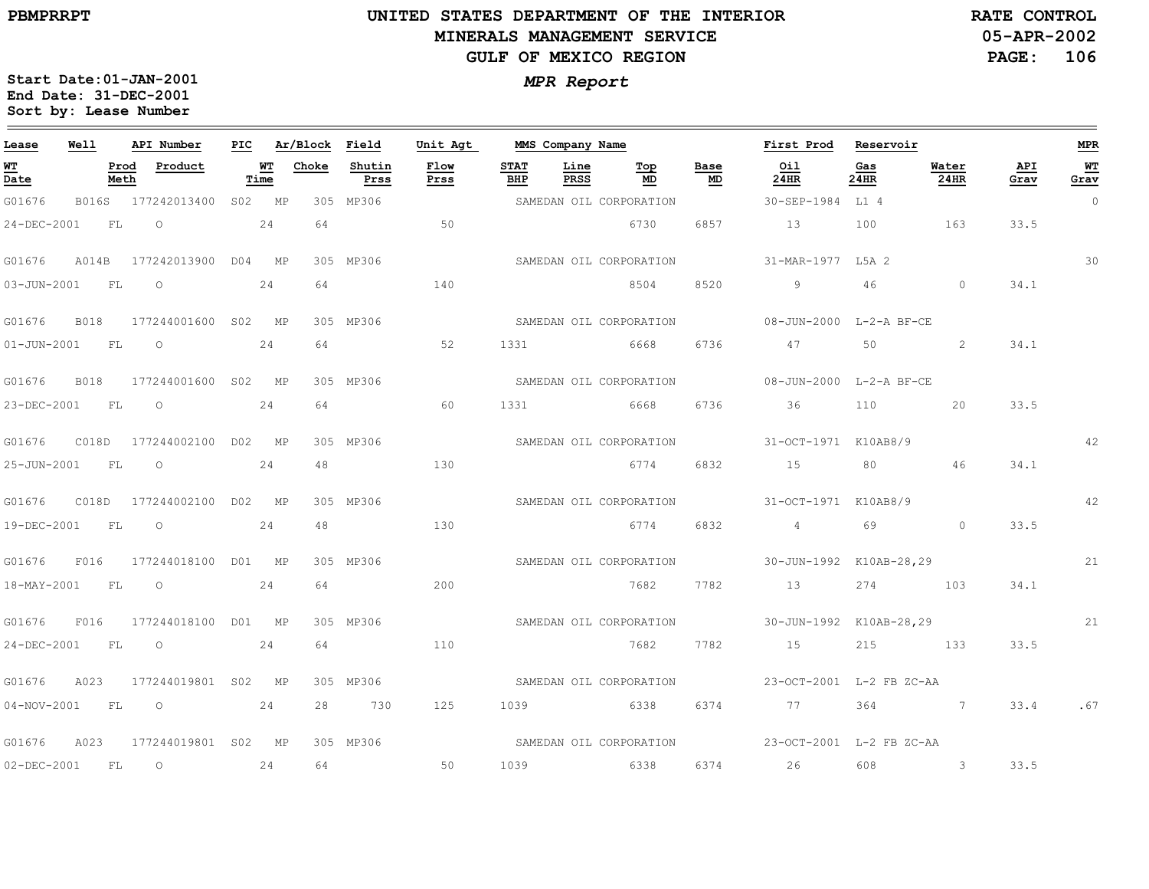$\equiv$ 

# **UNITED STATES DEPARTMENT OF THE INTERIOR MINERALS MANAGEMENT SERVICEGULF OF MEXICO REGION**

**05-APR-2002PAGE: 106 RATE CONTROL**

| Lease                          | Well<br>API Number |              |                      | PIC | Ar/Block   |       | Field          | Unit Agt     |                    | MMS Company Name |                         |            | First Prod                                       | Reservoir   |               |             | <b>MPR</b> |
|--------------------------------|--------------------|--------------|----------------------|-----|------------|-------|----------------|--------------|--------------------|------------------|-------------------------|------------|--------------------------------------------------|-------------|---------------|-------------|------------|
| WT<br>$\overline{\text{Date}}$ |                    | Prod<br>Meth | Product              |     | WТ<br>Time | Choke | Shutin<br>Prss | Flow<br>Prss | <b>STAT</b><br>BHP | Line<br>PRSS     | Тор<br>MD               | Base<br>MD | Oil<br>24HR                                      | Gas<br>24HR | Water<br>24HR | API<br>Grav | WΤ<br>Grav |
| G01676                         | B016S              |              | 177242013400         |     | S02 MP     |       | 305 MP306      |              |                    |                  | SAMEDAN OIL CORPORATION |            | 30-SEP-1984                                      | L1 4        |               |             | $\circ$    |
| 24-DEC-2001                    |                    | FL           | $\circ$              |     | 24         | 64    |                | 50           |                    |                  | 6730                    | 6857       | 13                                               | 100         | 163           | 33.5        |            |
| G01676                         | A014B              |              | 177242013900 D04 MP  |     |            |       | 305 MP306      |              |                    |                  | SAMEDAN OIL CORPORATION |            | 31-MAR-1977 L5A 2                                |             |               |             | 30         |
| 03-JUN-2001                    |                    | FL           | $\circ$              |     | 24         | 64    |                | 140          |                    |                  | 8504                    | 8520       | 9                                                | 46          | $\Omega$      | 34.1        |            |
| G01676                         | <b>B018</b>        |              | 177244001600 S02 MP  |     |            |       | 305 MP306      |              |                    |                  | SAMEDAN OIL CORPORATION |            | 08-JUN-2000 L-2-A BF-CE                          |             |               |             |            |
| $01 - JUN - 2001$              | FL                 |              | $\circ$              |     | 24         | 64    |                | 52           | 1331               | 6668             |                         | 6736       | 47                                               | 50          | 2             | 34.1        |            |
| G01676                         | <b>B018</b>        |              | 177244001600 S02 MP  |     |            |       | 305 MP306      |              |                    |                  | SAMEDAN OIL CORPORATION |            | 08-JUN-2000 L-2-A BF-CE                          |             |               |             |            |
| 23-DEC-2001                    |                    | FL           | $\circ$              |     | 24         | 64    |                | 60           | 1331               |                  | 6668                    | 6736       | 36                                               | 110         | 20            | 33.5        |            |
| G01676                         | CO18D              |              | 177244002100 D02 MP  |     |            |       | 305 MP306      |              |                    |                  | SAMEDAN OIL CORPORATION |            | 31-OCT-1971 K10AB8/9                             |             |               |             | 42         |
| 25-JUN-2001                    | FL.                |              | $\circ$              |     | 24         | 48    |                | 130          |                    |                  | 6774                    | 6832       | 15                                               | 80          | 46            | 34.1        |            |
| G01676                         | C018D              |              | 177244002100 D02 MP  |     |            |       | 305 MP306      |              |                    |                  | SAMEDAN OIL CORPORATION |            | 31-OCT-1971 K10AB8/9                             |             |               |             | 42         |
| 19-DEC-2001                    |                    | FL           | $\circ$              |     | 24         | 48    |                | 130          |                    |                  | 6774                    | 6832       | 4 <sup>1</sup>                                   | 69          | $\circ$       | 33.5        |            |
| G01676                         | F016               |              | 177244018100 D01 MP  |     |            |       | 305 MP306      |              |                    |                  | SAMEDAN OIL CORPORATION |            | 30-JUN-1992 K10AB-28,29                          |             |               |             | 21         |
| 18-MAY-2001                    | FL                 |              | $\overline{O}$       |     | 24         | 64    |                | 200          |                    |                  | 7682                    | 7782       | 13                                               | 274 103     |               | 34.1        |            |
| G01676                         | F016               |              | 177244018100 D01 MP  |     |            |       | 305 MP306      |              |                    |                  | SAMEDAN OIL CORPORATION |            | 30-JUN-1992 K10AB-28,29                          |             |               |             | 21         |
| 24-DEC-2001                    | FL                 |              | $\circ$              |     | 24         | 64    |                | 110          |                    |                  | 7682                    | 7782       | 15                                               | 215         | 133           | 33.5        |            |
| G01676                         | A023               |              | 177244019801 S02 MP  |     |            |       | 305 MP306      |              |                    |                  | SAMEDAN OIL CORPORATION |            | 23-OCT-2001 L-2 FB ZC-AA                         |             |               |             |            |
| $04 - NOV - 2001$              | FL                 |              | $\overline{O}$<br>24 |     |            | 28    | 730            | 125          |                    |                  | 1039 6338               | 6374       |                                                  | 364         | $\sim$ 7      | 33.4        | .67        |
| G01676                         | A023               |              | 177244019801 S02 MP  |     |            |       | 305 MP306      |              |                    |                  |                         |            | SAMEDAN OIL CORPORATION 23-OCT-2001 L-2 FB ZC-AA |             |               |             |            |
| 02-DEC-2001                    | <b>FL</b>          |              | $\circ$              |     | 24         | 64    |                | 50           | 1039               |                  | 6338                    | 6374       | 26                                               | 608         | $\mathbf{3}$  | 33.5        |            |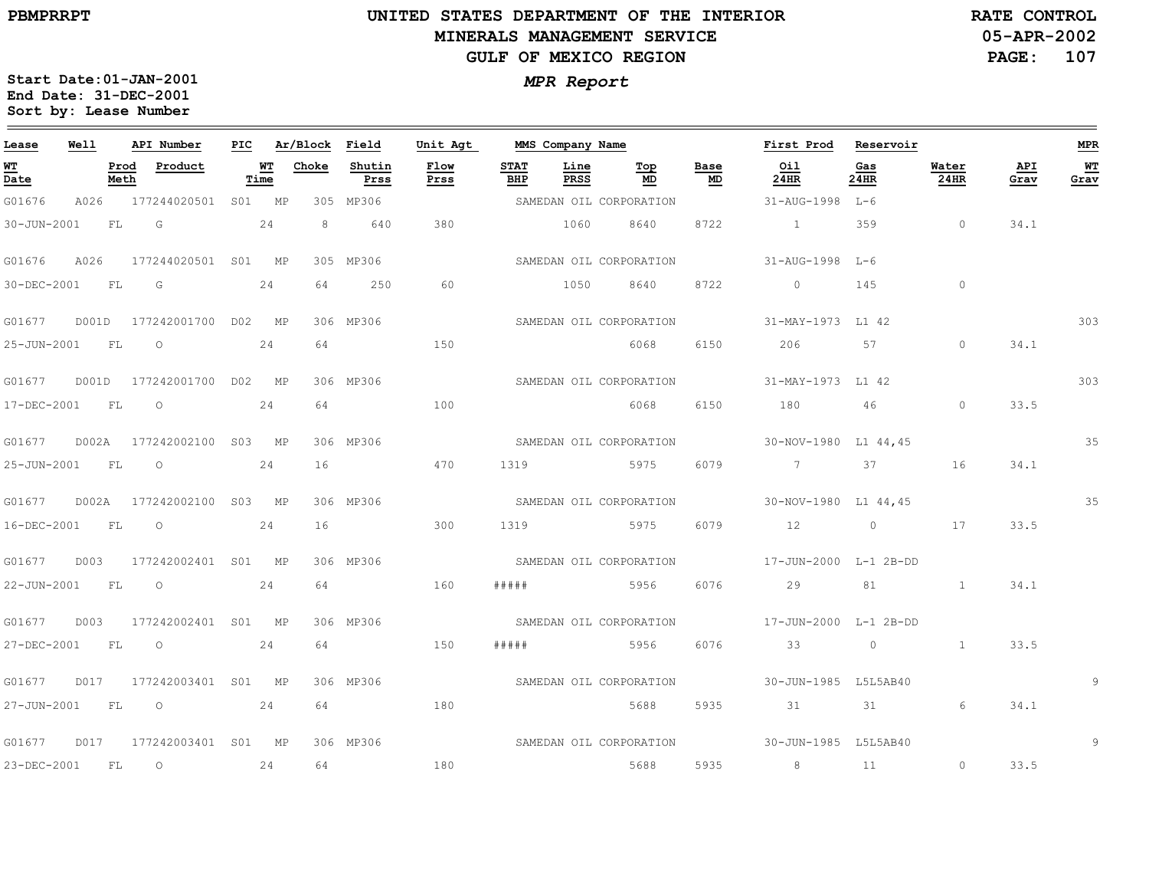# **UNITED STATES DEPARTMENT OF THE INTERIOR MINERALS MANAGEMENT SERVICEGULF OF MEXICO REGION**

**05-APR-2002 RATE CONTROL**

**PAGE:107**

| Lease                                 | Well  |              | API Number          | PIC |            | Ar/Block | Field          | Unit Agt     | MMS Company Name   |              |                         |                                 | First Prod            | Reservoir                                                                                                                                                                                                                                                                                                                          |                |             | <b>MPR</b> |
|---------------------------------------|-------|--------------|---------------------|-----|------------|----------|----------------|--------------|--------------------|--------------|-------------------------|---------------------------------|-----------------------|------------------------------------------------------------------------------------------------------------------------------------------------------------------------------------------------------------------------------------------------------------------------------------------------------------------------------------|----------------|-------------|------------|
| <b>WT</b><br>$\overline{\text{Date}}$ |       | Prod<br>Meth | Product             |     | WТ<br>Time | Choke    | Shutin<br>Prss | Flow<br>Prss | <b>STAT</b><br>BHP | Line<br>PRSS | Top<br>MD               | Base<br>$\underline{\text{MD}}$ | Oil<br>24HR           | Gas<br>24HR                                                                                                                                                                                                                                                                                                                        | Water<br>24HR  | API<br>Grav | WT<br>Grav |
| G01676                                | A026  |              | 177244020501        | SO1 | МP         |          | 305 MP306      |              |                    |              | SAMEDAN OIL CORPORATION |                                 | 31-AUG-1998           | L-6                                                                                                                                                                                                                                                                                                                                |                |             |            |
| 30-JUN-2001                           |       | FL           | G                   |     | 24         | 8        | 640            | 380          |                    | 1060         | 8640                    | 8722                            | $\sim$ 1              | 359                                                                                                                                                                                                                                                                                                                                | $\circ$        | 34.1        |            |
| G01676                                | A026  |              | 177244020501 S01 MP |     |            |          | 305 MP306      |              |                    |              | SAMEDAN OIL CORPORATION |                                 | 31-AUG-1998 L-6       |                                                                                                                                                                                                                                                                                                                                    |                |             |            |
| 30-DEC-2001                           |       | FL           | G                   |     | 24         | 64       | 250            | 60           |                    | 1050         | 8640                    | 8722                            | $\overline{0}$        | 145                                                                                                                                                                                                                                                                                                                                | $\circ$        |             |            |
| G01677                                | D001D |              | 177242001700 D02 MP |     |            |          | 306 MP306      |              |                    |              | SAMEDAN OIL CORPORATION |                                 | 31-MAY-1973 L1 42     |                                                                                                                                                                                                                                                                                                                                    |                |             | 303        |
| 25-JUN-2001                           |       | FL           | $\circ$             |     | 24         | 64       |                | 150          |                    |              | 6068                    | 6150                            | 206                   | 57                                                                                                                                                                                                                                                                                                                                 | $\Omega$       | 34.1        |            |
| G01677                                | D001D |              | 177242001700        |     | DO2 MP     |          | 306 MP306      |              |                    |              | SAMEDAN OIL CORPORATION |                                 | 31-MAY-1973 L1 42     |                                                                                                                                                                                                                                                                                                                                    |                |             | 303        |
| 17-DEC-2001                           |       | FL           | $\circ$             |     | 24         | 64       |                | 100          |                    |              | 6068                    | 6150                            | 180                   | 46                                                                                                                                                                                                                                                                                                                                 | $\circ$        | 33.5        |            |
| G01677                                | D002A |              | 177242002100        | S03 | MP         |          | 306 MP306      |              |                    |              | SAMEDAN OIL CORPORATION |                                 | 30-NOV-1980 L1 44,45  |                                                                                                                                                                                                                                                                                                                                    |                |             | 35         |
| 25-JUN-2001                           |       | FL           | $\circ$             |     | 24         | 16       |                | 470          | 1319               |              | 5975                    | 6079                            | $\overline{7}$        | 37                                                                                                                                                                                                                                                                                                                                 | 16             | 34.1        |            |
| G01677                                | D002A |              | 177242002100        | S03 | MP         |          | 306 MP306      |              |                    |              | SAMEDAN OIL CORPORATION |                                 | 30-NOV-1980 L1 44,45  |                                                                                                                                                                                                                                                                                                                                    |                |             | 35         |
| 16-DEC-2001                           |       | FL           | $\circ$             |     | 24         | 16       |                | 300          | 1319               |              | 5975                    | 6079                            | 12                    | $\overline{0}$ and $\overline{0}$ and $\overline{0}$ and $\overline{0}$ and $\overline{0}$ and $\overline{0}$ and $\overline{0}$ and $\overline{0}$ and $\overline{0}$ and $\overline{0}$ and $\overline{0}$ and $\overline{0}$ and $\overline{0}$ and $\overline{0}$ and $\overline{0}$ and $\overline{0}$ and $\overline{0}$ and | 17             | 33.5        |            |
| G01677                                | D003  |              | 177242002401 S01 MP |     |            |          | 306 MP306      |              |                    |              | SAMEDAN OIL CORPORATION |                                 | 17-JUN-2000 L-1 2B-DD |                                                                                                                                                                                                                                                                                                                                    |                |             |            |
| 22-JUN-2001                           |       | FL           | $\circ$             |     | 24         | 64       |                | 160          | # # # # #          |              | 5956                    | 6076                            | 29                    | 81                                                                                                                                                                                                                                                                                                                                 | $\overline{1}$ | 34.1        |            |
| G01677                                | D003  |              | 177242002401 S01    |     | MP         |          | 306 MP306      |              |                    |              | SAMEDAN OIL CORPORATION |                                 | 17-JUN-2000 L-1 2B-DD |                                                                                                                                                                                                                                                                                                                                    |                |             |            |
| 27-DEC-2001                           |       | FL           | $\circ$             |     | 24         | 64       |                | 150          | # # # # #          |              | 5956                    | 6076                            | 33                    | $\circ$                                                                                                                                                                                                                                                                                                                            | $\mathbf{1}$   | 33.5        |            |
| G01677                                | D017  |              | 177242003401        | S01 | MP         |          | 306 MP306      |              |                    |              | SAMEDAN OIL CORPORATION |                                 | 30-JUN-1985 L5L5AB40  |                                                                                                                                                                                                                                                                                                                                    |                |             |            |
| 27-JUN-2001                           |       | FL           | $\circ$             |     | 24         | 64       |                | 180          |                    |              | 5688                    | 5935                            | 31                    | 31                                                                                                                                                                                                                                                                                                                                 | 6              | 34.1        |            |
| G01677                                | D017  |              | 177242003401 S01 MP |     |            |          | 306 MP306      |              |                    |              | SAMEDAN OIL CORPORATION |                                 | 30-JUN-1985 L5L5AB40  |                                                                                                                                                                                                                                                                                                                                    |                |             | 9          |
| 23-DEC-2001                           |       | FL           | $\circ$             |     | 24         | 64       |                | 180          |                    |              | 5688                    | 5935                            | 8                     | 11                                                                                                                                                                                                                                                                                                                                 | $\circ$        | 33.5        |            |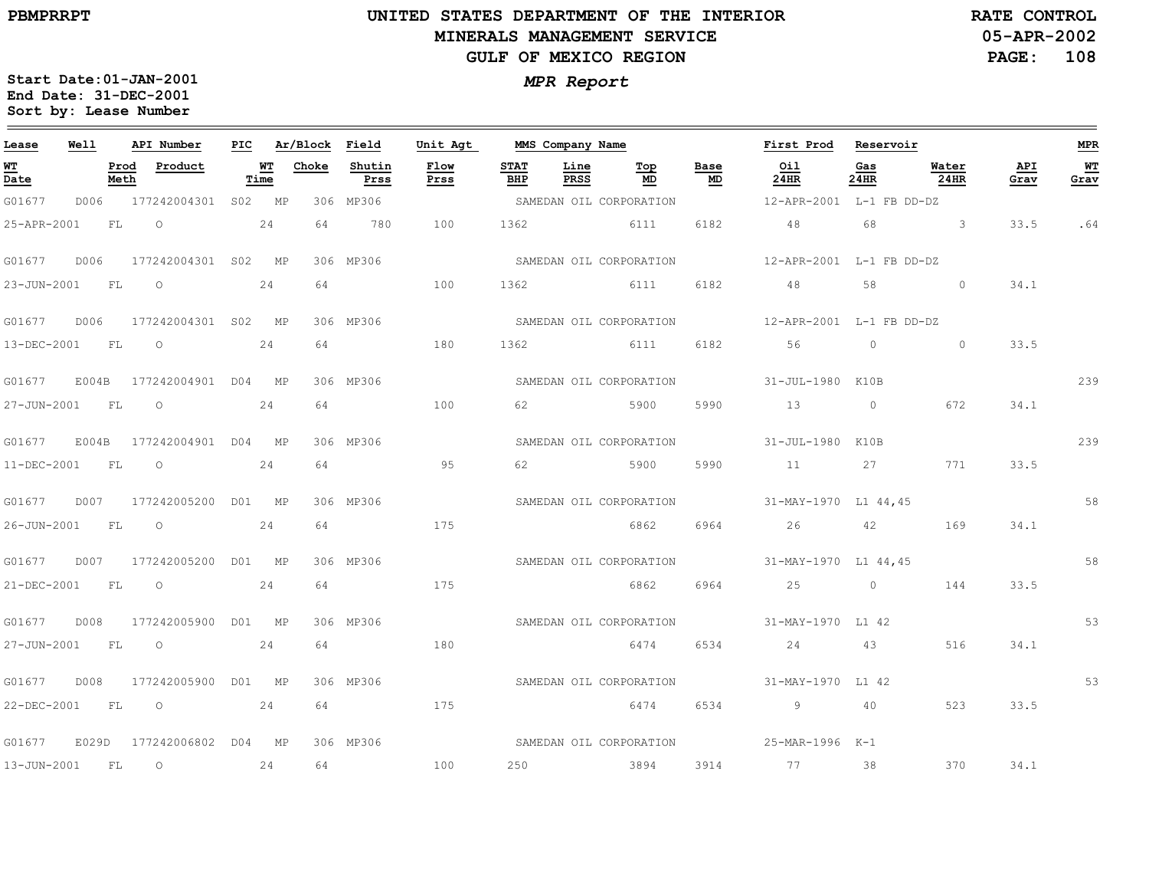# **UNITED STATES DEPARTMENT OF THE INTERIOR MINERALS MANAGEMENT SERVICEGULF OF MEXICO REGION**

**05-APR-2002PAGE: 108 RATE CONTROL**

| Lease                            | <b>Well</b> |      | API Number                       |      |                 | PIC Ar/Block Field | Unit Agt     |                    | MMS Company Name    |                |                                   | First Prod Reservoir                             |             |                        |             | MPR        |
|----------------------------------|-------------|------|----------------------------------|------|-----------------|--------------------|--------------|--------------------|---------------------|----------------|-----------------------------------|--------------------------------------------------|-------------|------------------------|-------------|------------|
| WТ<br>$\overline{\mathtt{Date}}$ |             | Meth | Prod Product                     | Time | <b>WT</b> Choke | Shutin<br>Prss     | Flow<br>Prss | <b>STAT</b><br>BHP | Line<br><b>PRSS</b> | Тор<br>MD      | Base<br>$\underline{\mathsf{MD}}$ | Oil<br>24HR                                      | Gas<br>24HR | Water<br>$24$ HR       | API<br>Grav | WT<br>Grav |
| G01677                           |             |      | D006 177242004301 S02 MP         |      |                 | 306 MP306          |              |                    |                     |                |                                   | SAMEDAN OIL CORPORATION 12-APR-2001 L-1 FB DD-DZ |             |                        |             |            |
| 25-APR-2001                      |             |      | $FL$ 0 24                        |      | 64              | 780                | 100          |                    |                     | 1362 6111      | 6182                              | 48 68 3                                          |             |                        | 33.5        | .64        |
|                                  |             |      | G01677 D006 177242004301 S02 MP  |      |                 | 306 MP306          |              |                    |                     |                |                                   | SAMEDAN OIL CORPORATION 12-APR-2001 L-1 FB DD-DZ |             |                        |             |            |
| 23-JUN-2001 FL O                 |             |      | 24                               |      | 64              |                    | 100          | 1362               |                     |                |                                   | 6111 6182 48 58 0                                |             |                        | 34.1        |            |
|                                  |             |      | G01677 D006 177242004301 S02 MP  |      |                 | 306 MP306          |              |                    |                     |                |                                   | SAMEDAN OIL CORPORATION 12-APR-2001 L-1 FB DD-DZ |             |                        |             |            |
|                                  |             |      | 13-DEC-2001 FL 0 24              |      | 64              |                    | 180          |                    |                     | 1362 6111 6182 |                                   | $56$ 0                                           |             | $\circ$                | 33.5        |            |
|                                  |             |      | G01677 E004B 177242004901 D04 MP |      |                 | 306 MP306          |              |                    |                     |                |                                   | SAMEDAN OIL CORPORATION 51-JUL-1980 K10B         |             |                        |             | 239        |
| 27-JUN-2001 FL                   |             |      | $\overline{O}$                   | 24   | 64              |                    | 100          | 62                 |                     | 5900           | 5990                              | 13                                               |             | $0 \hspace{1.5cm} 672$ | 34.1        |            |
|                                  |             |      | G01677 E004B 177242004901 D04 MP |      |                 | 306 MP306          |              |                    |                     |                |                                   | SAMEDAN OIL CORPORATION 31-JUL-1980 K10B         |             |                        |             | 239        |
| 11-DEC-2001 FL                   |             |      | $\overline{O}$                   | 24   | 64              |                    | 95           |                    |                     | 62 5900        | 5990                              | 11 27                                            |             | 771                    | 33.5        |            |
|                                  |             |      |                                  |      |                 | 306 MP306          |              |                    |                     |                |                                   | SAMEDAN OIL CORPORATION 31-MAY-1970 L1 44,45     |             |                        |             | 58         |
| 26-JUN-2001 FL 0                 |             |      |                                  | 24   | 64              |                    | 175          |                    |                     | 6862           |                                   | 6964 26 42                                       |             | 169                    | 34.1        |            |
|                                  |             |      |                                  |      |                 | 306 MP306          |              |                    |                     |                |                                   | SAMEDAN OIL CORPORATION 31-MAY-1970 L1 44,45     |             |                        |             | 58         |
|                                  |             |      | 21-DEC-2001 FL O                 | 24   |                 | 64 64 64 65        | 175          |                    |                     | 6862           |                                   | 6964 25 0                                        |             | 144                    | 33.5        |            |
| G01677                           |             |      | D008 177242005900 D01 MP         |      |                 | 306 MP306          |              |                    |                     |                |                                   | SAMEDAN OIL CORPORATION 31-MAY-1970 L1 42        |             |                        |             | 53         |
| 27-JUN-2001 FL O                 |             |      |                                  | 24   | 64              |                    | 180          |                    |                     |                |                                   | 6474 6534 24 43                                  |             | 516                    | 34.1        |            |
|                                  |             |      | G01677 D008 177242005900 D01 MP  |      |                 | 306 MP306          |              |                    |                     |                |                                   | SAMEDAN OIL CORPORATION 31-MAY-1970 L1 42        |             |                        |             | 53         |
|                                  |             |      | 22-DEC-2001 FL 0 24              |      |                 | 64 175             |              |                    |                     | 6474 6534      |                                   | $9 \t 40$                                        |             | 523                    | 33.5        |            |
| G01677                           |             |      | E029D 177242006802 D04 MP        |      |                 | 306 MP306          |              |                    |                     |                |                                   | SAMEDAN OIL CORPORATION 525-MAR-1996 K-1         |             |                        |             |            |
| 13-JUN-2001 FL                   |             |      | $\overline{O}$<br>24             |      | 64              |                    | 100          |                    |                     |                |                                   | 250 3894 3914 77 38                              |             | 370                    | 34.1        |            |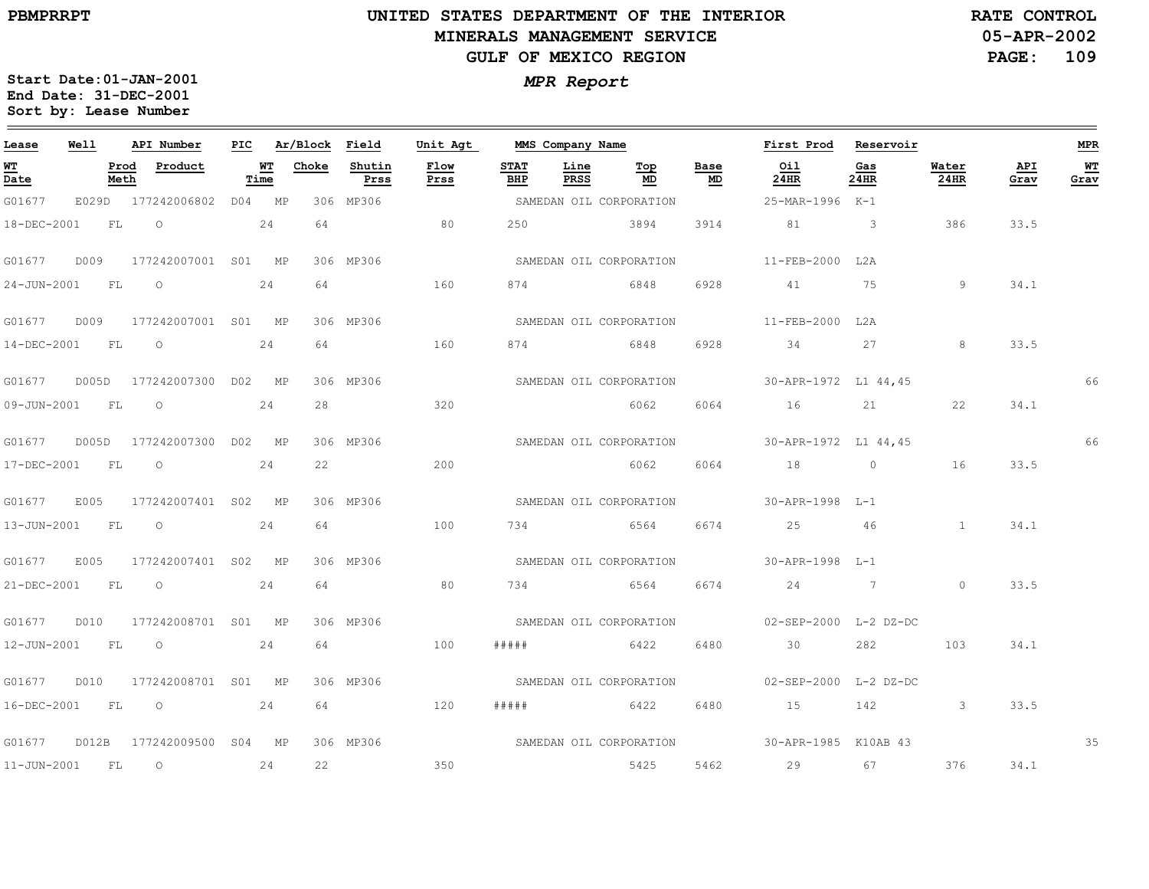$\equiv$ 

# **UNITED STATES DEPARTMENT OF THE INTERIOR MINERALS MANAGEMENT SERVICEGULF OF MEXICO REGION**

**05-APR-2002PAGE: 109 RATE CONTROL**

| Lease              | Well  |              | API Number          | PIC |            | Ar/Block | Field          | Unit Agt     |                    | MMS Company Name    |                         |            | First Prod                                   | Reservoir      |               |             | <b>MPR</b> |
|--------------------|-------|--------------|---------------------|-----|------------|----------|----------------|--------------|--------------------|---------------------|-------------------------|------------|----------------------------------------------|----------------|---------------|-------------|------------|
| <u> WТ</u><br>Date |       | Prod<br>Meth | Product             |     | WT<br>Time | Choke    | Shutin<br>Prss | Flow<br>Prss | <b>STAT</b><br>BHP | Line<br><b>PRSS</b> | Top<br>MD               | Base<br>MD | Oil<br>24HR                                  | Gas<br>24HR    | Water<br>24HR | API<br>Grav | WТ<br>Grav |
| G01677             | E029D |              | 177242006802 D04 MP |     |            |          | 306 MP306      |              |                    |                     | SAMEDAN OIL CORPORATION |            | 25-MAR-1996 K-1                              |                |               |             |            |
| 18-DEC-2001        |       | FL.          | $\Omega$            |     | 24         | 64       |                | 80           | 250                | 3894                |                         | 3914       | 81                                           | -3             | 386           | 33.5        |            |
| G01677             | D009  |              | 177242007001 S01 MP |     |            |          | 306 MP306      |              |                    |                     | SAMEDAN OIL CORPORATION |            | 11-FEB-2000 L2A                              |                |               |             |            |
| 24-JUN-2001        |       | FL           | $\circ$             |     | 24         | 64       |                | 160          | 874                |                     | 6848                    | 6928       | 41                                           | 75             | 9             | 34.1        |            |
| G01677             | D009  |              | 177242007001 S01 MP |     |            |          | 306 MP306      |              |                    |                     | SAMEDAN OIL CORPORATION |            | 11-FEB-2000                                  | T.2 A          |               |             |            |
| $14 - DEC - 2001$  | FL    |              | $\circ$             |     | 24         | 64       |                | 160          | 874                | 6848                |                         | 6928       | 34                                           | 27             | 8             | 33.5        |            |
| G01677             | D005D |              | 177242007300 D02 MP |     |            |          | 306 MP306      |              |                    |                     | SAMEDAN OIL CORPORATION |            | 30-APR-1972 L1 44,45                         |                |               |             | 66         |
| 09-JUN-2001        |       | FL           | $\circ$             |     | 24         | 28       |                | 320          |                    |                     | 6062                    | 6064       | 16                                           | 21             | 22            | 34.1        |            |
| G01677             | D005D |              | 177242007300 D02 MP |     |            |          | 306 MP306      |              |                    |                     | SAMEDAN OIL CORPORATION |            | 30-APR-1972 L1 44,45                         |                |               |             | 66         |
| 17-DEC-2001        | FL    |              | $\circ$             |     | 24         | 22       |                | 200          |                    |                     | 6062                    | 6064       | 18                                           | $\circ$        | 16            | 33.5        |            |
| G01677             | E005  |              | 177242007401 S02 MP |     |            |          | 306 MP306      |              |                    |                     | SAMEDAN OIL CORPORATION |            | 30-APR-1998 L-1                              |                |               |             |            |
| 13-JUN-2001        |       | FL           | $\circ$             |     | 24         | 64       |                | 100          | 734                |                     | 6564                    | 6674       | 25                                           | 46             | $\mathbf{1}$  | 34.1        |            |
| G01677             | E005  |              | 177242007401 S02 MP |     |            |          | 306 MP306      |              |                    |                     | SAMEDAN OIL CORPORATION |            | 30-APR-1998 L-1                              |                |               |             |            |
| 21-DEC-2001        | FL    |              | $\circ$             |     | 24         | 64       |                | 80           | 734                |                     | 6564                    | 6674       | 24                                           | $\overline{7}$ | $\circ$       | 33.5        |            |
| G01677             | D010  |              | 177242008701 S01 MP |     |            |          | 306 MP306      |              |                    |                     | SAMEDAN OIL CORPORATION |            | $02 - SEP - 2000$ L-2 DZ-DC                  |                |               |             |            |
| 12-JUN-2001        |       | FL           | $\circ$             |     | 24         | 64       |                | 100          | #####              |                     | 6422                    | 6480       | 30                                           | 282            | 103           | 34.1        |            |
| G01677             | D010  |              | 177242008701 S01 MP |     |            |          | 306 MP306      |              |                    |                     | SAMEDAN OIL CORPORATION |            | 02-SEP-2000 L-2 DZ-DC                        |                |               |             |            |
| 16-DEC-2001        |       | FL           | $\circ$             |     | 24         | 64       |                | 120          | # # # #            | 6422                |                         | 6480       | 15                                           | 142            | $\mathbf{3}$  | 33.5        |            |
| G01677             | D012B |              | 177242009500 S04 MP |     |            |          | 306 MP306      |              |                    |                     |                         |            | SAMEDAN OIL CORPORATION 30-APR-1985 K10AB 43 |                |               |             | 35         |
| $11 - JUN - 2001$  |       | FL           | $\circ$             |     | 24         | 22       |                | 350          |                    |                     | 5425                    | 5462       | 29                                           | 67             | 376           | 34.1        |            |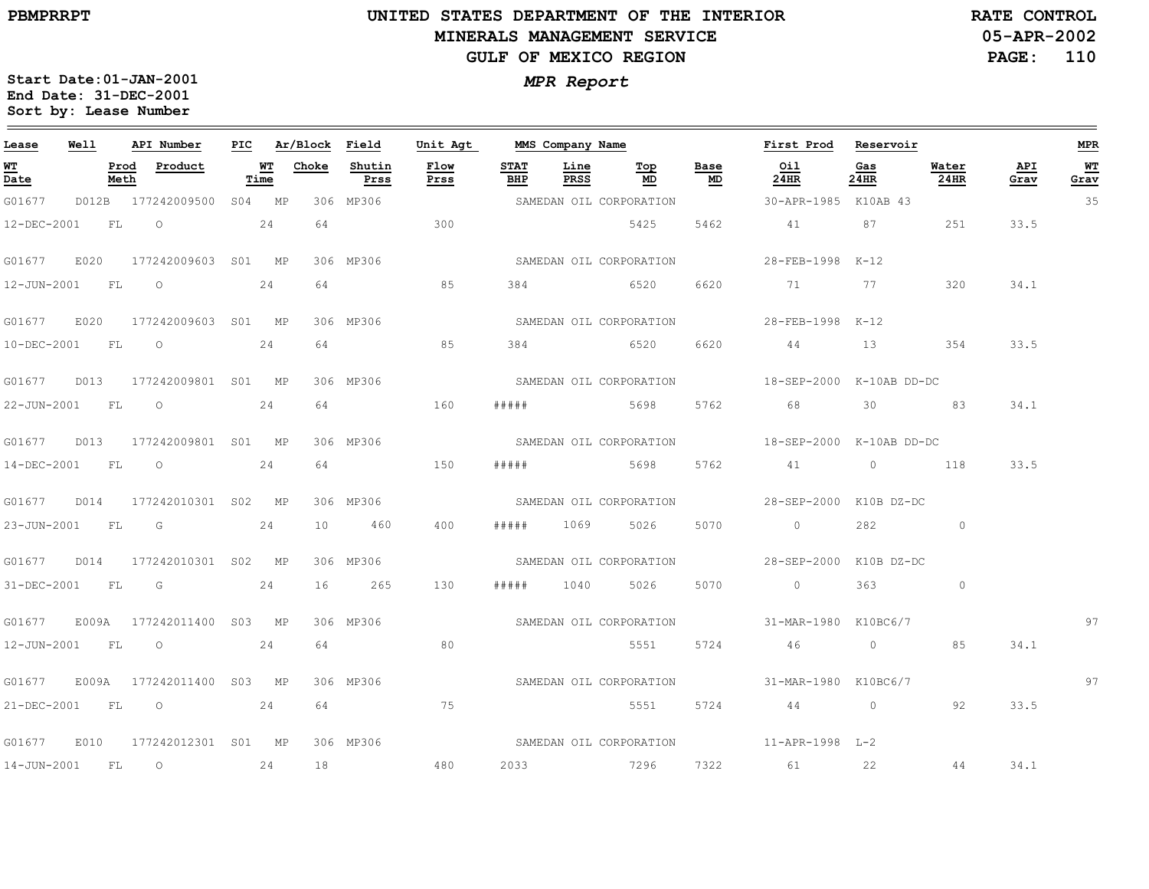$\equiv$ 

# **UNITED STATES DEPARTMENT OF THE INTERIOR MINERALS MANAGEMENT SERVICEGULF OF MEXICO REGION**

**05-APR-2002RATE CONTROL**

**PAGE: 110**

| Lease             | Well      |              | API Number                                                                                                                                                                                                                     | PIC |            | Ar/Block | Field          | Unit Agt     |                    | MMS Company Name |                         |            | First Prod                                   | Reservoir      |               |             | <b>MPR</b>             |
|-------------------|-----------|--------------|--------------------------------------------------------------------------------------------------------------------------------------------------------------------------------------------------------------------------------|-----|------------|----------|----------------|--------------|--------------------|------------------|-------------------------|------------|----------------------------------------------|----------------|---------------|-------------|------------------------|
| <u>WT</u><br>Date |           | Prod<br>Meth | Product                                                                                                                                                                                                                        |     | WТ<br>Time | Choke    | Shutin<br>Prss | Flow<br>Prss | <b>STAT</b><br>BHP | Line<br>PRSS     | Top<br>MD               | Base<br>MD | Oil<br>24HR                                  | Gas<br>24HR    | Water<br>24HR | API<br>Grav | W <sup>T</sup><br>Grav |
| G01677            |           |              | D012B 177242009500 S04 MP                                                                                                                                                                                                      |     |            |          | 306 MP306      |              |                    |                  | SAMEDAN OIL CORPORATION |            | 30-APR-1985 K10AB 43                         |                |               |             | 35                     |
| 12-DEC-2001       |           | <b>FL</b>    | $\circ$                                                                                                                                                                                                                        |     | 24         | 64       |                | 300          |                    |                  | 5425                    | 5462       | 41                                           | 87             | 251           | 33.5        |                        |
| G01677            | E020      |              | 177242009603 S01 MP                                                                                                                                                                                                            |     |            |          | 306 MP306      |              |                    |                  | SAMEDAN OIL CORPORATION |            | 28-FEB-1998 K-12                             |                |               |             |                        |
| 12-JUN-2001       |           | FL           | $\circ$                                                                                                                                                                                                                        |     | 24         | 64       |                | 85           | 384                |                  | 6520                    | 6620       | 71                                           | 77             | 320           | 34.1        |                        |
| G01677            | E020      |              | 177242009603 S01 MP                                                                                                                                                                                                            |     |            |          | 306 MP306      |              |                    |                  | SAMEDAN OIL CORPORATION |            | 28-FEB-1998 K-12                             |                |               |             |                        |
| 10-DEC-2001 FL    |           |              | $\overline{O}$                                                                                                                                                                                                                 |     | 24         | 64       |                | 85           |                    | 384 6520         |                         | 6620       | 44                                           |                | 13 354        | 33.5        |                        |
| G01677            | D013      |              | 177242009801 S01 MP                                                                                                                                                                                                            |     |            |          | 306 MP306      |              |                    |                  | SAMEDAN OIL CORPORATION |            | 18-SEP-2000 K-10AB DD-DC                     |                |               |             |                        |
| 22-JUN-2001       |           | FL           | $\circ$                                                                                                                                                                                                                        |     | 24         | 64       |                | 160          | # # # # #          |                  | 5698                    | 5762       | 68                                           | 30             | 83            | 34.1        |                        |
| G01677            | D013      |              | 177242009801 S01 MP                                                                                                                                                                                                            |     |            |          | 306 MP306      |              |                    |                  | SAMEDAN OIL CORPORATION |            | 18-SEP-2000 K-10AB DD-DC                     |                |               |             |                        |
| 14-DEC-2001       | <b>FL</b> |              | $\overline{O}$                                                                                                                                                                                                                 |     | 24         | 64       |                | 150          | # # # # #          |                  | 5698                    | 5762       | 41 0 118                                     |                |               | 33.5        |                        |
| G01677            | D014      |              | 177242010301 S02 MP                                                                                                                                                                                                            |     |            |          | 306 MP306      |              |                    |                  | SAMEDAN OIL CORPORATION |            | 28-SEP-2000 K10B DZ-DC                       |                |               |             |                        |
| 23-JUN-2001       | <b>FL</b> |              | G                                                                                                                                                                                                                              |     | 24         | 10       | 460            | 400          | # # # # #          | 1069             | 5026                    | 5070       | $\sim$ 0                                     | 282            | $\circ$       |             |                        |
| G01677            | D014      |              | 177242010301 S02 MP                                                                                                                                                                                                            |     |            |          | 306 MP306      |              |                    |                  | SAMEDAN OIL CORPORATION |            | 28-SEP-2000 K10B DZ-DC                       |                |               |             |                        |
| 31-DEC-2001       |           | FL           | Germany Communication of the Communication of the Communication of the Communication of the Communication of the Communication of the Communication of the Communication of the Communication of the Communication of the Comm |     | 24         | 16       | 265            | 130          | # # # # #          | 1040             | 5026                    | 5070       | $\sim$ 0                                     | 363            | $\circ$       |             |                        |
| G01677            |           |              | E009A 177242011400 S03 MP                                                                                                                                                                                                      |     |            |          | 306 MP306      |              |                    |                  |                         |            | SAMEDAN OIL CORPORATION 31-MAR-1980 K10BC6/7 |                |               |             | 97                     |
| 12-JUN-2001 FL    |           |              | $\overline{\phantom{0}}$                                                                                                                                                                                                       |     | 24         | 64       |                | 80           |                    |                  | 5551                    | 5724       | 46                                           | $\overline{0}$ | 85            | 34.1        |                        |
| G01677            |           |              | E009A 177242011400 S03 MP                                                                                                                                                                                                      |     |            |          | 306 MP306      |              |                    |                  | SAMEDAN OIL CORPORATION |            | 31-MAR-1980 K10BC6/7                         |                |               |             | 97                     |
|                   |           |              | 21-DEC-2001 FL 0 24                                                                                                                                                                                                            |     |            | 64       |                | 75           |                    |                  | 5551                    | 5724       | 44 0                                         |                | 92            | 33.5        |                        |
| G01677            | E010      |              | 177242012301 S01 MP                                                                                                                                                                                                            |     |            |          | 306 MP306      |              |                    |                  |                         |            | SAMEDAN OIL CORPORATION 511-APR-1998 L-2     |                |               |             |                        |
| 14-JUN-2001       | <b>FL</b> |              | $\overline{O}$                                                                                                                                                                                                                 |     | 24         | 18       |                | 480          | 2033               |                  | 7296                    | 7322       | 61 22                                        |                | 44            | 34.1        |                        |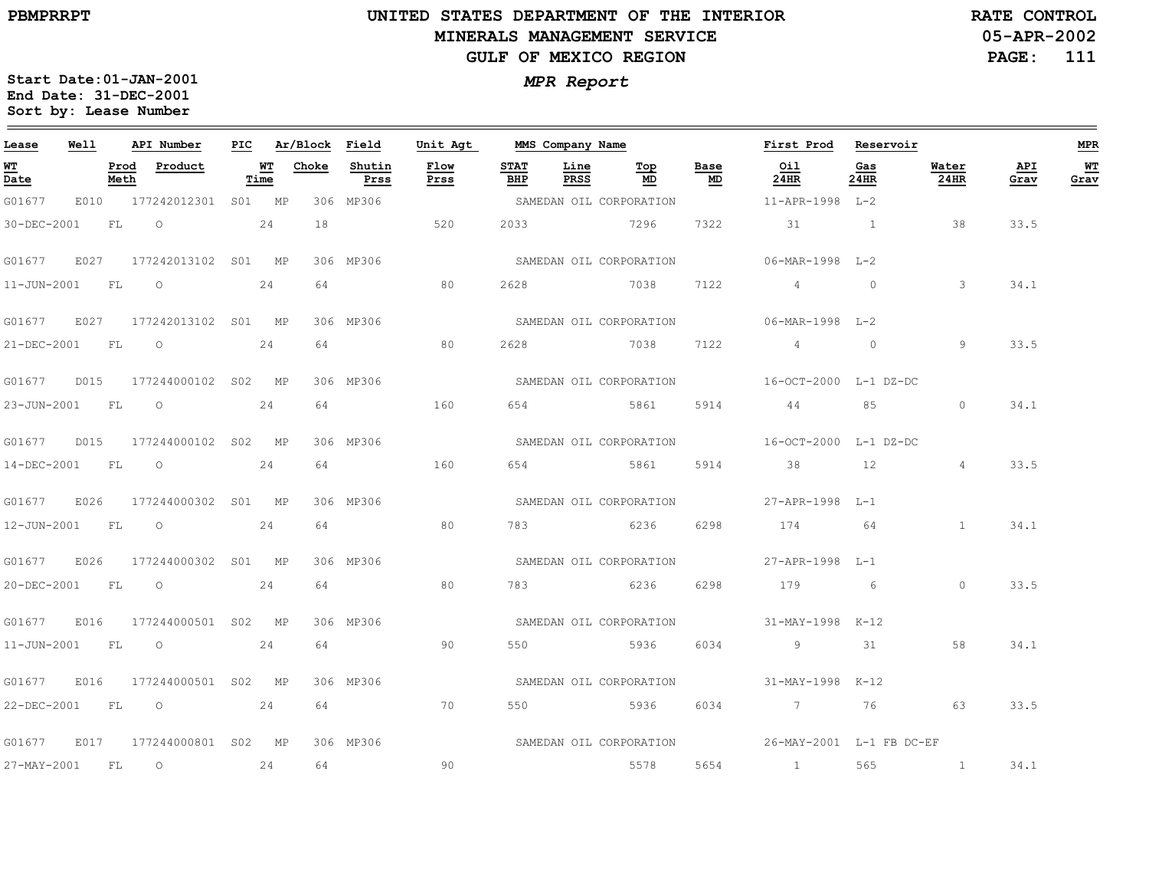$=$ 

# **UNITED STATES DEPARTMENT OF THE INTERIOR MINERALS MANAGEMENT SERVICEGULF OF MEXICO REGION**

**05-APR-2002RATE CONTROL**

**PAGE: 111**

 $\equiv$ 

| Lease            | Well |              | API Number                      |            | PIC Ar/Block Field |                | Unit Agt            |                    | MMS Company Name    |                         |            | First Prod Reservoir                          |                |               |             | <b>MPR</b> |
|------------------|------|--------------|---------------------------------|------------|--------------------|----------------|---------------------|--------------------|---------------------|-------------------------|------------|-----------------------------------------------|----------------|---------------|-------------|------------|
| WT<br>Date       |      | Prod<br>Meth | Product                         | WT<br>Time | Choke              | Shutin<br>Prss | <b>Flow</b><br>Prss | <b>STAT</b><br>BHP | Line<br><b>PRSS</b> | Top<br>MD.              | Base<br>MD | Oil<br>24HR                                   | Gas<br>24HR    | Water<br>24HR | API<br>Grav | WT<br>Grav |
| G01677           |      |              | E010 177242012301 S01 MP        |            |                    | 306 MP306      |                     |                    |                     | SAMEDAN OIL CORPORATION |            | 11-APR-1998 L-2                               |                |               |             |            |
| 30-DEC-2001      |      | FL .         | $\overline{O}$<br>24            |            | 18                 |                | 520                 |                    | 2033 7296           |                         | 7322       | 31 1                                          |                | 38            | 33.5        |            |
| G01677           | E027 |              | 177242013102 S01 MP             |            |                    | 306 MP306      |                     |                    |                     | SAMEDAN OIL CORPORATION |            | 06-MAR-1998 L-2                               |                |               |             |            |
| 11-JUN-2001 FL 0 |      |              |                                 | 24         | 64                 |                | 80                  | 2628               |                     | 7038                    | 7122       | 4                                             | $\overline{0}$ | $\mathcal{E}$ | 34.1        |            |
|                  |      |              | G01677 E027 177242013102 S01 MP |            |                    | 306 MP306      |                     |                    |                     | SAMEDAN OIL CORPORATION |            | 06-MAR-1998 L-2                               |                |               |             |            |
| 21-DEC-2001 FL   |      |              | $\overline{O}$                  | 24         | 64                 |                | 80                  | 2628               |                     | 7038 7122               |            | $4\overline{4}$                               | $\overline{0}$ | 9             | 33.5        |            |
|                  |      |              | G01677 D015 177244000102 S02 MP |            |                    | 306 MP306      |                     |                    |                     |                         |            | SAMEDAN OIL CORPORATION 16-OCT-2000 L-1 DZ-DC |                |               |             |            |
| 23-JUN-2001 FL 0 |      |              |                                 | 24         | 64                 |                | 160                 | 654                |                     | 5861                    | 5914       | 44                                            | 85             | $\circ$       | 34.1        |            |
|                  |      |              | G01677 D015 177244000102 S02 MP |            |                    | 306 MP306      |                     |                    |                     | SAMEDAN OIL CORPORATION |            | 16-OCT-2000 L-1 DZ-DC                         |                |               |             |            |
| 14-DEC-2001 FL   |      |              | $\overline{O}$                  | 24         | 64                 |                | 160                 |                    |                     | 654 5861                | 5914       | 38                                            | 12             | 4             | 33.5        |            |
| G01677 E026      |      |              | 177244000302 S01 MP             |            |                    | 306 MP306      |                     |                    |                     | SAMEDAN OIL CORPORATION |            | 27-APR-1998 L-1                               |                |               |             |            |
| 12-JUN-2001 FL 0 |      |              |                                 | 24         | 64                 |                | 80                  | 783                |                     | 6236                    | 6298       | 174                                           | 64             | $\mathbf{1}$  | 34.1        |            |
|                  |      |              | G01677 E026 177244000302 S01 MP |            |                    | 306 MP306      |                     |                    |                     | SAMEDAN OIL CORPORATION |            | 27-APR-1998 L-1                               |                |               |             |            |
| 20-DEC-2001 FL 0 |      |              |                                 | 24         | 64                 |                | 80                  |                    |                     | 783 6236                | 6298       | 179 6                                         |                | $\circ$       | 33.5        |            |
| G01677           | E016 |              | 177244000501 S02 MP             |            |                    | 306 MP306      |                     |                    |                     | SAMEDAN OIL CORPORATION |            | 31-MAY-1998 K-12                              |                |               |             |            |
| 11-JUN-2001 FL   |      |              | $\overline{\phantom{0}}$        | 24         | 64                 |                | 90                  | 550                | 5936                |                         | 6034       | 9                                             | 31             | 58            | 34.1        |            |
| G01677           | E016 |              | 177244000501 S02 MP             |            |                    | 306 MP306      |                     |                    |                     | SAMEDAN OIL CORPORATION |            | 31-MAY-1998 K-12                              |                |               |             |            |
|                  |      |              | 22-DEC-2001 FL 0 24             |            | 64                 |                | 70                  |                    |                     | 550 5936 6034           |            | 7 76 63                                       |                |               | 33.5        |            |
| G01677           |      |              | E017  177244000801  S02  MP     |            |                    | 306 MP306      |                     |                    |                     |                         |            |                                               |                |               |             |            |
| 27-MAY-2001 FL   |      |              | $\overline{O}$<br>24            |            | 64                 |                | 90                  |                    |                     | 5578                    | 5654       |                                               | 565            | $\sim$ 1      | 34.1        |            |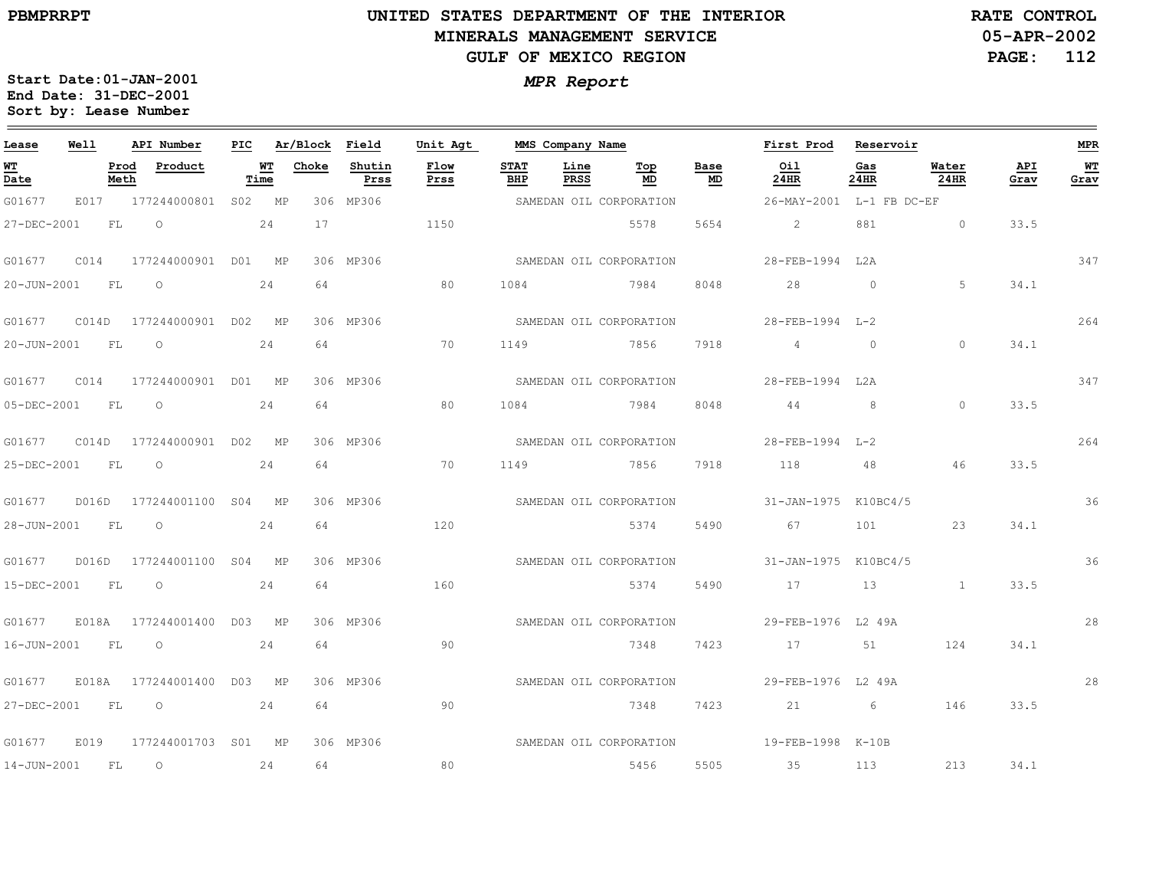# **UNITED STATES DEPARTMENT OF THE INTERIOR MINERALS MANAGEMENT SERVICEGULF OF MEXICO REGION**

**05-APR-2002RATE CONTROL**

**PAGE: 112**

| Lease          | Well  |              | API Number                       |            | PIC Ar/Block Field |                | Unit Agt     |                    | MMS Company Name |                         |            | First Prod               | Reservoir       |               |             | <b>MPR</b> |
|----------------|-------|--------------|----------------------------------|------------|--------------------|----------------|--------------|--------------------|------------------|-------------------------|------------|--------------------------|-----------------|---------------|-------------|------------|
| WT<br>Date     |       | Prod<br>Meth | Product                          | WT<br>Time | Choke              | Shutin<br>Prss | Flow<br>Prss | <b>STAT</b><br>BHP | Line<br>PRSS     | Top<br>MD               | Base<br>MD | Oil<br>24HR              | Gas<br>24HR     | Water<br>24HR | API<br>Grav | WT<br>Grav |
| G01677         | E017  |              | 177244000801 S02 MP              |            |                    | 306 MP306      |              |                    |                  | SAMEDAN OIL CORPORATION |            | 26-MAY-2001 L-1 FB DC-EF |                 |               |             |            |
| 27-DEC-2001    |       | FL           | $\circ$                          | 2.4        | 17                 |                | 1150         |                    |                  | 5578                    | 5654       | $\overline{2}$           | 881             | $\Omega$      | 33.5        |            |
|                |       |              |                                  |            |                    | 306 MP306      |              |                    |                  | SAMEDAN OIL CORPORATION |            | 28-FEB-1994 L2A          |                 |               |             | 347        |
| 20-JUN-2001    |       | FL           | $\overline{O}$                   | 24         | 64                 |                | 80           | 1084               |                  | 7984                    | 8048       | 28                       | $\overline{0}$  | 5             | 34.1        |            |
| G01677         |       |              | C014D 177244000901 D02 MP        |            |                    | 306 MP306      |              |                    |                  | SAMEDAN OIL CORPORATION |            | 28-FEB-1994 L-2          |                 |               |             | 264        |
| 20-JUN-2001 FL |       |              | $\overline{O}$                   | 24         | 64                 |                | 70           | 1149               |                  | 7856 7918               |            | $4\overline{4}$          | $\overline{0}$  | $\Omega$      | 34.1        |            |
| G01677         | C014  |              | 177244000901 D01 MP              |            |                    | 306 MP306      |              |                    |                  | SAMEDAN OIL CORPORATION |            | 28-FEB-1994 L2A          |                 |               |             | 347        |
| 05-DEC-2001 FL |       |              | $\overline{O}$                   | 24         | 64                 |                | 80           | 1084               |                  | 7984                    | 8048       | 44                       | 8 <sup>8</sup>  | $\Omega$      | 33.5        |            |
|                |       |              |                                  |            |                    | 306 MP306      |              |                    |                  | SAMEDAN OIL CORPORATION |            | 28-FEB-1994 L-2          |                 |               |             | 264        |
| 25-DEC-2001 FL |       |              | $\circ$                          | 24         | 64                 |                | 70           | 1149               |                  | 7856                    | 7918       | 118                      | 48              | 46            | 33.5        |            |
| G01677         |       |              | D016D 177244001100 S04 MP        |            |                    | 306 MP306      |              |                    |                  | SAMEDAN OIL CORPORATION |            | 31-JAN-1975 K10BC4/5     |                 |               |             | 36         |
| 28-JUN-2001 FL |       |              | $\circ$                          | 24         | 64                 |                | 120          |                    |                  | 5374                    | 5490       | 67 — 1                   | 101             | 23            | 34.1        |            |
| G01677         | D016D |              | 177244001100 S04 MP              |            |                    | 306 MP306      |              |                    |                  | SAMEDAN OIL CORPORATION |            | 31-JAN-1975 K10BC4/5     |                 |               |             | 36         |
| 15-DEC-2001 FL |       |              | $\circ$                          | 24         | 64                 |                | 160          |                    |                  | 5374                    | 5490       | 17                       | 13              | $\sim$ 1      | 33.5        |            |
|                |       |              | G01677 E018A 177244001400 D03 MP |            |                    | 306 MP306      |              |                    |                  | SAMEDAN OIL CORPORATION |            | 29-FEB-1976 L2 49A       |                 |               |             | 28         |
| 16-JUN-2001 FL |       |              | $\circ$                          | 24         | 64                 |                | 90           |                    |                  | 7348                    | 7423       | 17                       | 51              | 124           | 34.1        |            |
| G01677         |       |              | E018A 177244001400 D03 MP        |            |                    | 306 MP306      |              |                    |                  | SAMEDAN OIL CORPORATION |            | 29-FEB-1976 L2 49A       |                 |               |             | 28         |
| 27-DEC-2001 FL |       |              | $\circ$                          | 24         | 64                 |                | 90           |                    |                  | 7348                    | 7423       | 21                       | $6\overline{6}$ | 146           | 33.5        |            |
| G01677         | E019  |              | 177244001703 S01 MP              |            |                    | 306 MP306      |              |                    |                  | SAMEDAN OIL CORPORATION |            | 19-FEB-1998 K-10B        |                 |               |             |            |
| 14-JUN-2001    |       | FL           | $\circ$                          | 24         | 64                 |                | 80           |                    |                  | 5456                    | 5505       | 35                       | 113             | 213           | 34.1        |            |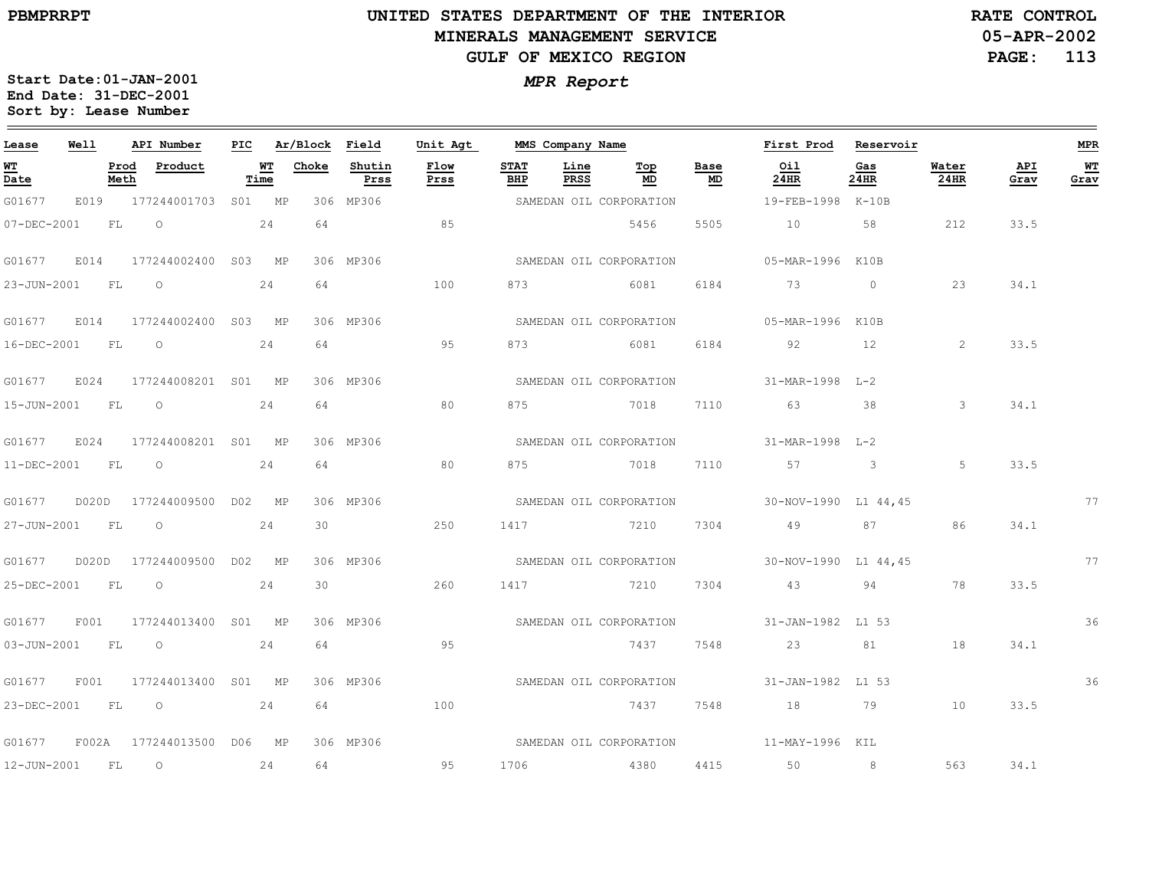# **UNITED STATES DEPARTMENT OF THE INTERIOR MINERALS MANAGEMENT SERVICEGULF OF MEXICO REGION**

**05-APR-2002 RATE CONTROL**

**PAGE: 113**

| Lease            | Well |      | API Number                       |      |                 | PIC Ar/Block Field | Unit Agt     |                    | MMS Company Name |                         |            | First Prod Reservoir                         |             |                |             | MPR        |
|------------------|------|------|----------------------------------|------|-----------------|--------------------|--------------|--------------------|------------------|-------------------------|------------|----------------------------------------------|-------------|----------------|-------------|------------|
| WT<br>Date       |      | Meth | Prod Product                     | Time | <b>WT</b> Choke | Shutin<br>Prss     | Flow<br>Prss | <b>STAT</b><br>BHP | Line<br>PRSS     | Тор<br>MD               | Base<br>MD | Oil<br>24HR                                  | Gas<br>24HR | Water<br>24HR  | API<br>Grav | WT<br>Grav |
| G01677           |      |      | E019 177244001703 S01 MP         |      |                 | 306 MP306          |              |                    |                  | SAMEDAN OIL CORPORATION |            | 19-FEB-1998 K-10B                            |             |                |             |            |
|                  |      |      | 07-DEC-2001 FL 0 24              |      | 64              |                    | 85           |                    |                  | 5456                    | 5505       | 10 58 212                                    |             |                | 33.5        |            |
|                  |      |      | G01677 E014 177244002400 S03 MP  |      |                 | 306 MP306          |              |                    |                  | SAMEDAN OIL CORPORATION |            | 05-MAR-1996 K10B                             |             |                |             |            |
|                  |      |      | 23-JUN-2001 FL 0 24              |      |                 | 64 100             |              |                    |                  | 873 6081 6184           |            | 73 0                                         |             | 23             | 34.1        |            |
|                  |      |      | G01677 E014 177244002400 S03 MP  |      |                 | 306 MP306          |              |                    |                  |                         |            |                                              |             |                |             |            |
|                  |      |      | 16-DEC-2001 FL 0 24              |      |                 | 64                 | 95           |                    |                  | 873 6081                |            | 6184 92 12                                   |             | $\sim$ 2       | 33.5        |            |
|                  |      |      | G01677 E024 177244008201 S01 MP  |      |                 | 306 MP306          |              |                    |                  |                         |            | SAMEDAN OIL CORPORATION 31-MAR-1998 L-2      |             |                |             |            |
|                  |      |      | 15-JUN-2001 FL 0 24              |      |                 | 64 64              | 80           |                    |                  |                         |            | 875 7018 7110 63 38                          |             | $\overline{3}$ | 34.1        |            |
|                  |      |      | G01677 E024 177244008201 S01 MP  |      |                 | 306 MP306          |              |                    |                  |                         |            | SAMEDAN OIL CORPORATION 31-MAR-1998 L-2      |             |                |             |            |
|                  |      |      | 11-DEC-2001 FL 0 24              |      |                 | 64 — 100           | 80           |                    |                  |                         |            | 875 7018 7110 57 3                           |             | $5^{\circ}$    | 33.5        |            |
|                  |      |      |                                  |      |                 | 306 MP306          |              |                    |                  |                         |            | SAMEDAN OIL CORPORATION 30-NOV-1990 L1 44,45 |             |                |             | 77         |
| 27-JUN-2001 FL O |      |      | 24                               |      | 30              |                    | 250          |                    |                  | 1417 7210               | 7304       | 49 87                                        |             | 86             | 34.1        |            |
|                  |      |      |                                  |      |                 | 306 MP306          |              |                    |                  |                         |            | SAMEDAN OIL CORPORATION 30-NOV-1990 L1 44,45 |             |                |             | 77         |
|                  |      |      | 25-DEC-2001 FL 0 24              |      |                 | $30 - 30$          | 260          |                    |                  | 1417 7210 7304          |            | 43 94                                        |             | 78             | 33.5        |            |
|                  |      |      | G01677 F001 177244013400 S01 MP  |      |                 | 306 MP306          |              |                    |                  |                         |            | SAMEDAN OIL CORPORATION 51-JAN-1982 L1 53    |             |                |             | 36         |
| 03-JUN-2001 FL 0 |      |      |                                  | 24   | 64              |                    | 95           |                    |                  | 7437                    | 7548       | 23                                           |             | 81 18          | 34.1        |            |
|                  |      |      | G01677 F001 177244013400 S01 MP  |      |                 | 306 MP306          |              |                    |                  | SAMEDAN OIL CORPORATION |            | 31-JAN-1982 L1 53                            |             |                |             | 36         |
|                  |      |      | 23-DEC-2001 FL 0 24              |      |                 | 64 64 65           | 100          |                    |                  | 7437 7548               |            | 18 79 10                                     |             |                | 33.5        |            |
|                  |      |      | G01677 F002A 177244013500 D06 MP |      |                 | 306 MP306          |              |                    |                  |                         |            | SAMEDAN OIL CORPORATION 11-MAY-1996 KIL      |             |                |             |            |
| 12-JUN-2001 FL O |      |      | 24                               |      |                 | 64 64 64 65        | 95           |                    |                  |                         |            | 1706    4380    4415    50    8              |             | 563            | 34.1        |            |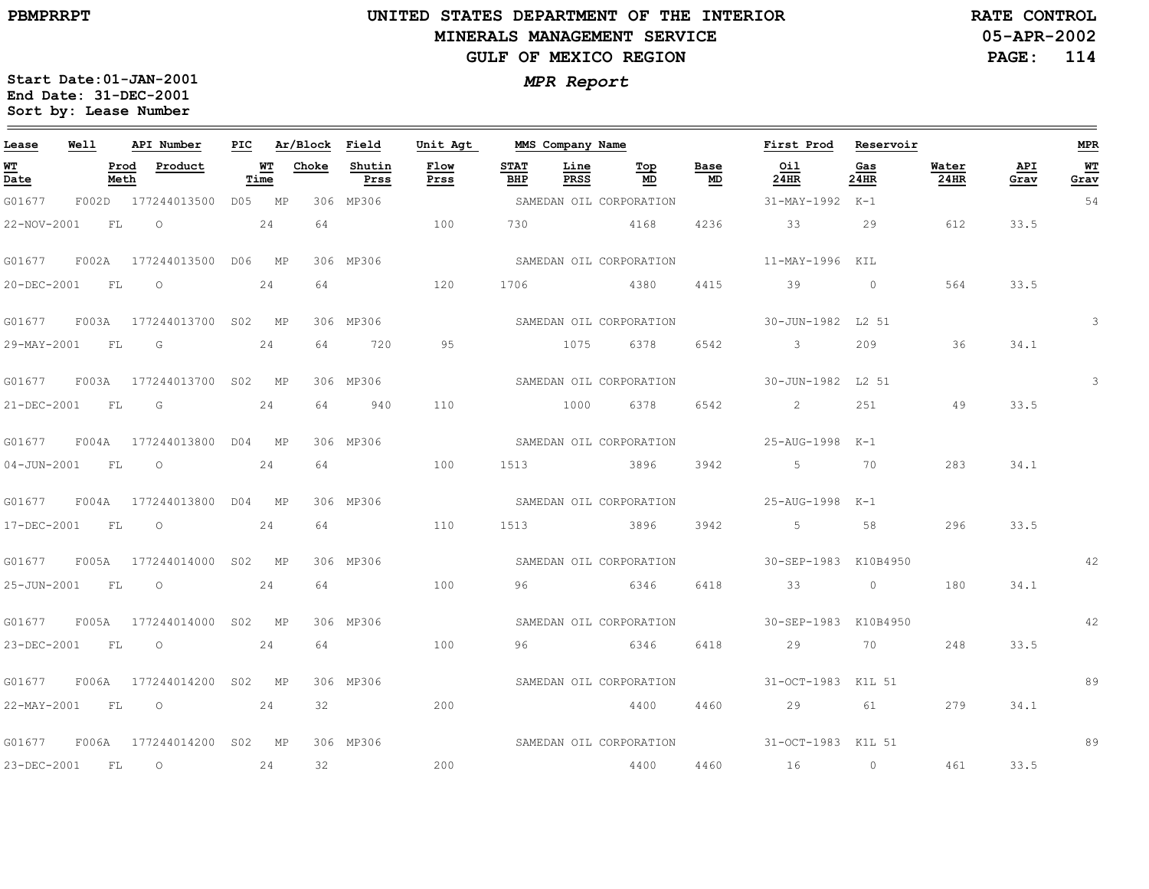# **UNITED STATES DEPARTMENT OF THE INTERIOR MINERALS MANAGEMENT SERVICEGULF OF MEXICO REGION**

**05-APR-2002RATE CONTROL**

**PAGE: 114**

| Lease            | Well |      | API Number                       |    |      | PIC Ar/Block Field |                | Unit Agt     |             | MMS Company Name    |                         |            | First Prod Reservoir                         |                          |               |             | <b>MPR</b> |
|------------------|------|------|----------------------------------|----|------|--------------------|----------------|--------------|-------------|---------------------|-------------------------|------------|----------------------------------------------|--------------------------|---------------|-------------|------------|
| WТ<br>Date       |      | Meth | Prod Product                     |    | Time | <b>WT</b> Choke    | Shutin<br>Prss | Flow<br>Prss | STAT<br>BHP | Line<br><b>PRSS</b> | Тор<br>MD               | Base<br>MD | Oil<br>$24$ HR                               | Gas<br>24HR              | Water<br>24HR | API<br>Grav | WT<br>Grav |
| G01677           |      |      | F002D 177244013500 D05 MP        |    |      |                    | 306 MP306      |              |             |                     |                         |            | SAMEDAN OIL CORPORATION 51-MAY-1992 K-1      |                          |               |             | 54         |
| 22-NOV-2001      |      |      | $FL$ 0 24                        |    |      | 64                 | 100            |              |             |                     | 730 4168                |            | 4236 33 29                                   |                          | 612           | 33.5        |            |
| G01677           |      |      | F002A 177244013500 D06 MP        |    |      |                    | 306 MP306      |              |             |                     | SAMEDAN OIL CORPORATION |            | 11-MAY-1996 KIL                              |                          |               |             |            |
| 20-DEC-2001 FL   |      |      | $\overline{O}$<br>24             |    |      | 64                 |                | 120          | 1706        |                     | 4380 4415 39            |            |                                              | $\sim$ 0 $\sim$ 0 $\sim$ | 564           | 33.5        |            |
|                  |      |      | G01677 F003A 177244013700 S02 MP |    |      |                    | 306 MP306      |              |             |                     |                         |            | SAMEDAN OIL CORPORATION 30-JUN-1982 L2 51    |                          |               |             |            |
|                  |      |      | 29-MAY-2001 FL G 24              |    |      |                    | 64 720         | 95           |             |                     | 1075 6378 6542          |            | $\sim$ 3                                     | 209                      | 36            | 34.1        |            |
| G01677           |      |      | F003A 177244013700 S02 MP        |    |      |                    | 306 MP306      |              |             |                     |                         |            | SAMEDAN OIL CORPORATION 50-JUN-1982 L2 51    |                          |               |             | 3          |
| 21-DEC-2001 FL G |      |      | 24                               |    |      |                    | 64 940         | 110          |             |                     | 1000 6378 6542          |            | $\sim$ 2                                     | 251                      | 49            | 33.5        |            |
|                  |      |      | G01677 F004A 177244013800 D04 MP |    |      |                    | 306 MP306      |              |             |                     |                         |            | SAMEDAN OIL CORPORATION 25-AUG-1998 K-1      |                          |               |             |            |
| 04-JUN-2001 FL   |      |      | 24<br>$\overline{O}$             |    |      | 64                 |                | 100          |             |                     | 1513 3896 3942          |            | 5 70                                         |                          | 283           | 34.1        |            |
|                  |      |      | G01677 F004A 177244013800 D04 MP |    |      |                    | 306 MP306      |              |             |                     | SAMEDAN OIL CORPORATION |            | 25-AUG-1998 K-1                              |                          |               |             |            |
| 17-DEC-2001 FL   |      |      | $\overline{O}$                   | 24 |      | 64                 |                | 110          | 1513        |                     | 3896 3942               |            | 5 58                                         |                          | 296           | 33.5        |            |
|                  |      |      | G01677 F005A 177244014000 S02 MP |    |      |                    | 306 MP306      |              |             |                     |                         |            | SAMEDAN OIL CORPORATION 50-SEP-1983 K10B4950 |                          |               |             | 42         |
| 25-JUN-2001 FL   |      |      | $\overline{O}$                   | 24 |      | 64                 |                | 100          | 96          |                     |                         |            | 6346 6418 33 0                               |                          | 180           | 34.1        |            |
|                  |      |      | G01677 F005A 177244014000 S02 MP |    |      |                    | 306 MP306      |              |             |                     | SAMEDAN OIL CORPORATION |            | 30-SEP-1983 K10B4950                         |                          |               |             | 42         |
| 23-DEC-2001 FL O |      |      |                                  |    | 24   | 64                 |                | 100          | 96          |                     | 6346                    | 6418       | 29                                           | 70                       | 248           | 33.5        |            |
|                  |      |      | G01677 F006A 177244014200 S02 MP |    |      |                    | 306 MP306      |              |             |                     |                         |            | SAMEDAN OIL CORPORATION 31-OCT-1983 K1L 51   |                          |               |             | 89         |
| 22-MAY-2001 FL   |      |      | $\circ$ 24                       |    |      |                    | 32             | 200          |             |                     | 4400 4460               |            | 29 61                                        |                          | 279           | 34.1        |            |
|                  |      |      | G01677 F006A 177244014200 S02 MP |    |      |                    | 306 MP306      |              |             |                     |                         |            | SAMEDAN OIL CORPORATION 31-OCT-1983 K1L 51   |                          |               |             | 89         |
| 23-DEC-2001 FL   |      |      | $\overline{\phantom{0}}$<br>24   |    |      | 32                 |                | 200          |             |                     | 4400                    |            | 4460 16 0 461 33.5                           |                          |               |             |            |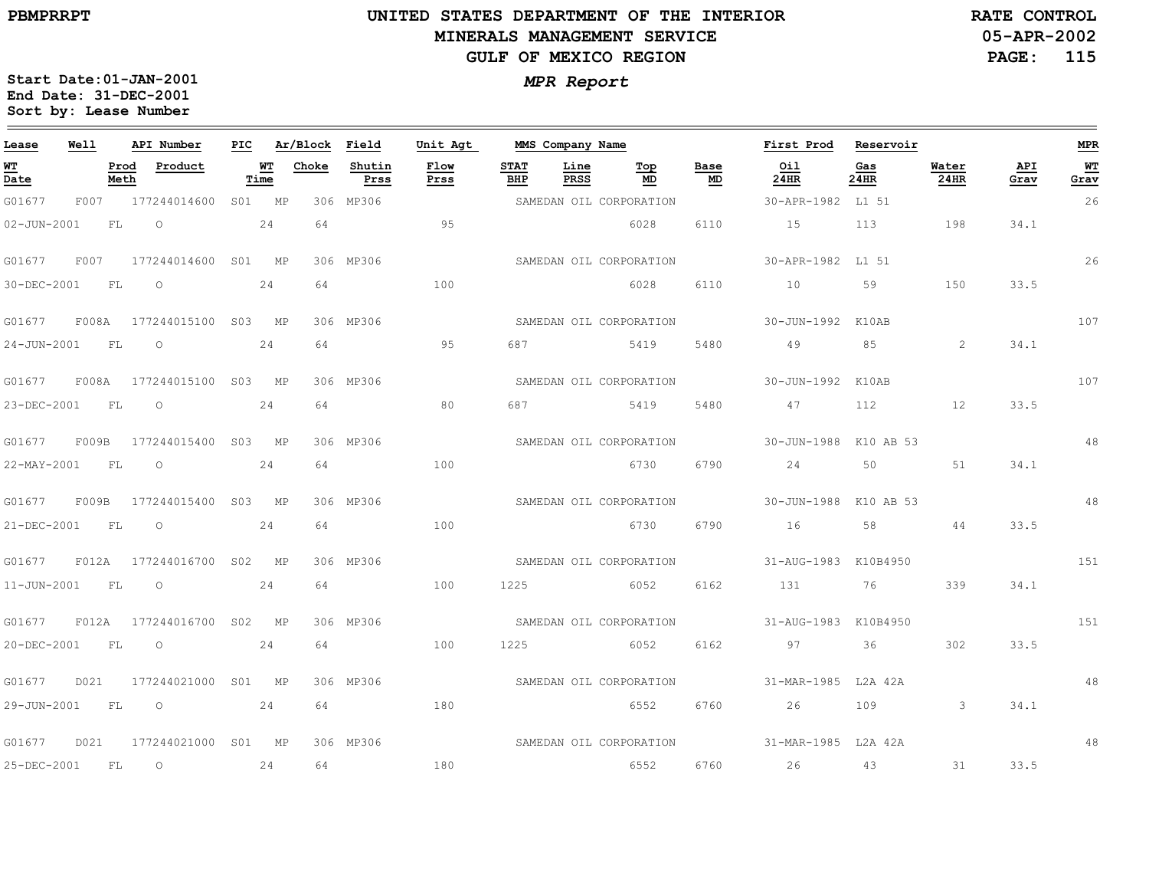$\equiv$ 

# **UNITED STATES DEPARTMENT OF THE INTERIOR MINERALS MANAGEMENT SERVICEGULF OF MEXICO REGION**

**05-APR-2002RATE CONTROL**

**PAGE: 115**

| Lease             | Well          |              | API Number                | PIC    |            | Ar/Block Field |                | Unit Agt     |                    | MMS Company Name    |                         |            | First Prod            | Reservoir   |               |             | <b>MPR</b> |
|-------------------|---------------|--------------|---------------------------|--------|------------|----------------|----------------|--------------|--------------------|---------------------|-------------------------|------------|-----------------------|-------------|---------------|-------------|------------|
| WT<br>Date        |               | Prod<br>Meth | Product                   |        | WT<br>Time | Choke          | Shutin<br>Prss | Flow<br>Prss | <b>STAT</b><br>BHP | Line<br><b>PRSS</b> | Top<br>MD               | Base<br>MD | Oil<br>24HR           | Gas<br>24HR | Water<br>24HR | API<br>Grav | WT<br>Grav |
| G01677            | F007          |              | 177244014600              | S01 MP |            |                | 306 MP306      |              |                    |                     | SAMEDAN OIL CORPORATION |            | 30-APR-1982           | L1 51       |               |             | 26         |
| $02 - JUN - 2001$ |               | FL           | $\circ$                   |        | 24         | 64             |                | 95           |                    |                     | 6028                    | 6110       | 15                    | 113         | 198           | 34.1        |            |
| G01677            | F007          |              | 177244014600 S01 MP       |        |            |                | 306 MP306      |              |                    |                     | SAMEDAN OIL CORPORATION |            | 30-APR-1982           | L1 51       |               |             | 26         |
| 30-DEC-2001       |               | FL           | $\circ$                   |        | 24         | 64             |                | 100          |                    |                     | 6028                    | 6110       | 10                    | 59          | 150           | 33.5        |            |
| G01677            | ${\tt F008A}$ |              | 177244015100 S03 MP       |        |            |                | 306 MP306      |              |                    |                     | SAMEDAN OIL CORPORATION |            | 30-JUN-1992           | K10AB       |               |             | 107        |
| $24 - JUN - 2001$ | FL            |              | $\circ$                   |        | 24         | 64             |                | 95           | 687                |                     | 5419                    | 5480       | 49                    | 85          | 2             | 34.1        |            |
| G01677            |               |              | F008A 177244015100 S03 MP |        |            |                | 306 MP306      |              |                    |                     | SAMEDAN OIL CORPORATION |            | 30-JUN-1992           | K10AB       |               |             | 107        |
| 23-DEC-2001       | FL            |              | $\circ$                   |        | 24         | 64             |                | 80           | 687                |                     | 5419                    | 5480       | 47                    | 112         | 12            | 33.5        |            |
| G01677            | F009B         |              | 177244015400 S03 MP       |        |            |                | 306 MP306      |              |                    |                     | SAMEDAN OIL CORPORATION |            | 30-JUN-1988 K10 AB 53 |             |               |             | 48         |
| 22-MAY-2001       | FL            |              | $\circ$                   |        | 24         | 64             |                | 100          |                    |                     | 6730                    | 6790       | 24                    | 50          | 51            | 34.1        |            |
| G01677            | F009B         |              | 177244015400 S03 MP       |        |            |                | 306 MP306      |              |                    |                     | SAMEDAN OIL CORPORATION |            | 30-JUN-1988 K10 AB 53 |             |               |             | 48         |
| 21-DEC-2001       | FL            |              | $\circ$                   |        | 24         | 64             |                | 100          |                    |                     | 6730                    | 6790       | 16                    | 58          | 44            | 33.5        |            |
| G01677            |               |              | F012A 177244016700 S02 MP |        |            |                | 306 MP306      |              |                    |                     | SAMEDAN OIL CORPORATION |            | 31-AUG-1983 K10B4950  |             |               |             | 151        |
| 11-JUN-2001       | FL            |              | $\circ$                   |        | 24         | 64             |                | 100          | 1225               |                     | 6052                    | 6162       | 131                   | 76          | 339           | 34.1        |            |
| G01677            | F012A         |              | 177244016700 S02 MP       |        |            |                | 306 MP306      |              |                    |                     | SAMEDAN OIL CORPORATION |            | 31-AUG-1983 K10B4950  |             |               |             | 151        |
| 20-DEC-2001       |               | FL           | $\circ$                   |        | 24         | 64             |                | 100          | 1225               |                     | 6052                    | 6162       | 97                    | 36          | 302           | 33.5        |            |
| G01677            | D021          |              | 177244021000              | S01 MP |            |                | 306 MP306      |              |                    |                     | SAMEDAN OIL CORPORATION |            | 31-MAR-1985 L2A 42A   |             |               |             | 48         |
| 29-JUN-2001       | FL            |              | $\circ$                   |        | 24         | 64             |                | 180          |                    |                     | 6552                    | 6760       | 26                    | 109         | -3            | 34.1        |            |
| G01677            | D021          |              | 177244021000 S01 MP       |        |            |                | 306 MP306      |              |                    |                     | SAMEDAN OIL CORPORATION |            | 31-MAR-1985 L2A 42A   |             |               |             | 48         |
| 25-DEC-2001       | <b>FL</b>     |              | $\circ$                   |        | 24         | 64             |                | 180          |                    |                     | 6552                    | 6760       | 26                    | 43          | 31            | 33.5        |            |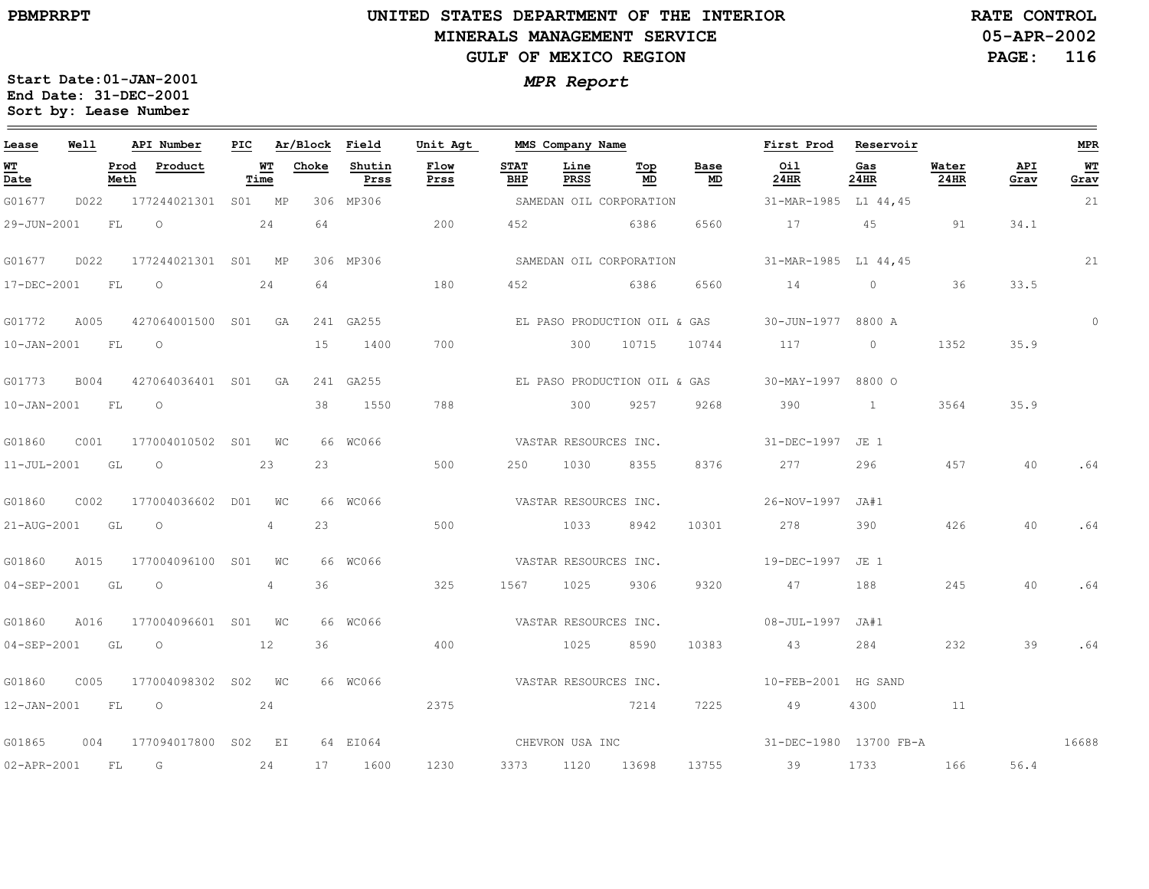# **UNITED STATES DEPARTMENT OF THE INTERIOR MINERALS MANAGEMENT SERVICEGULF OF MEXICO REGION**

**05-APR-2002RATE CONTROL**

**PAGE: 116**

| Lease            | Well |              | API Number           |    |                   | PIC Ar/Block Field |                | Unit Agt              |                    | MMS Company Name      |                              |            | First Prod Reservoir   |             |                  |             | <b>MPR</b> |
|------------------|------|--------------|----------------------|----|-------------------|--------------------|----------------|-----------------------|--------------------|-----------------------|------------------------------|------------|------------------------|-------------|------------------|-------------|------------|
| WT<br>Date       |      | Prod<br>Meth | Product              |    | <b>WT</b><br>Time | Choke              | Shutin<br>Prss | Flow<br>Prss          | <b>STAT</b><br>BHP | Line<br>PRSS          | Top<br>MD                    | Base<br>MD | Oil<br>24HR            | Gas<br>24HR | Water<br>24HR    | API<br>Grav | WT<br>Grav |
| G01677           | D022 |              | 177244021301 S01 MP  |    |                   |                    | 306 MP306      |                       |                    |                       | SAMEDAN OIL CORPORATION      |            | 31-MAR-1985 L1 44,45   |             |                  |             | 21         |
| 29-JUN-2001      |      | FL           | $\circ$              |    | 24                | 64                 |                | 200                   | 452                | 6386                  |                              | 6560       | 17 17                  | 45 91       |                  | 34.1        |            |
| G01677           | D022 |              | 177244021301 S01 MP  |    |                   |                    | 306 MP306      |                       |                    |                       | SAMEDAN OIL CORPORATION      |            | 31-MAR-1985 L1 44,45   |             |                  |             | 21         |
| 17-DEC-2001      |      | FL           | $\circ$              |    | 24                | 64                 |                | 180                   | 452                |                       | 6386                         | 6560       | 14                     | $0$ 36      |                  | 33.5        |            |
| G01772           | A005 |              | 427064001500 S01 GA  |    |                   |                    | 241 GA255      |                       |                    |                       | EL PASO PRODUCTION OIL & GAS |            | 30-JUN-1977 8800 A     |             |                  |             | $\circ$    |
| 10-JAN-2001 FL O |      |              |                      |    |                   | 15                 | 1400           | 700                   |                    |                       | 300 10715                    |            | 10744 117 0            |             | 1352             | 35.9        |            |
| G01773           | B004 |              | 427064036401 S01 GA  |    |                   |                    | 241 GA255      |                       |                    |                       | EL PASO PRODUCTION OIL & GAS |            | 30-MAY-1997 8800 O     |             |                  |             |            |
| 10-JAN-2001 FL O |      |              |                      |    |                   | 38                 | 1550           | 788                   |                    | 300                   | 9257                         | 9268       | 390                    | $\sim$ 1    | 3564             | 35.9        |            |
| G01860           | C001 |              | 177004010502 S01 WC  |    |                   |                    | 66 WC066       |                       |                    |                       | VASTAR RESOURCES INC.        |            | 31-DEC-1997 JE 1       |             |                  |             |            |
| 11-JUL-2001 GL O |      |              |                      |    | 23                | 23                 |                | 500                   |                    | 250 1030              | 8355                         | 8376       | 277                    | 296         | 457              | 40          | .64        |
| G01860           | C002 |              | 177004036602 D01 WC  |    |                   |                    | 66 WC066       |                       |                    | VASTAR RESOURCES INC. |                              |            | 26-NOV-1997 JA#1       |             |                  |             |            |
| 21-AUG-2001 GL O |      |              |                      |    | 4                 | 23                 |                | 500                   |                    | 1033                  | 8942                         | 10301      | 278                    | 390         | 426              | 40          | .64        |
| G01860           | A015 |              | 177004096100 S01 WC  |    |                   |                    | 66 WC066       | VASTAR RESOURCES INC. |                    |                       |                              |            | 19-DEC-1997 JE 1       |             |                  |             |            |
| 04-SEP-2001 GL   |      |              | $\overline{O}$       |    | 4                 | 36                 |                | 325                   |                    | 1567 1025             | 9306                         | 9320       | 47                     | 188         | 245              | 40          | .64        |
| G01860           | A016 |              | 177004096601 S01 WC  |    |                   |                    | 66 WC066       |                       |                    | VASTAR RESOURCES INC. |                              |            | $08 - JUL - 1997$ JA#1 |             |                  |             |            |
| 04-SEP-2001 GL   |      |              | $\overline{O}$<br>12 |    |                   | 36                 |                | 400                   |                    | 1025                  | 8590                         | 10383      | 43                     | 284         | 232              | 39          | .64        |
| G01860           | C005 |              | 177004098302 S02 WC  |    |                   |                    | 66 WC066       | VASTAR RESOURCES INC. |                    |                       |                              |            | 10-FEB-2001 HG SAND    |             |                  |             |            |
| 12-JAN-2001 FL   |      |              | $\overline{O}$       |    | 24                |                    |                | 2375                  |                    |                       | 7214                         | 7225       | 49                     | 4300        | $\sim$ $\sim$ 11 |             |            |
| G01865           | 004  |              | 177094017800 S02 EI  |    |                   |                    | 64 EI064       |                       |                    | CHEVRON USA INC       |                              |            | 31-DEC-1980 13700 FB-A |             |                  |             | 16688      |
| 02-APR-2001      |      | FL G         |                      | 24 |                   |                    | 17 1600        | 1230                  |                    |                       | 3373 1120 13698              |            | 13755 39               | 1733        | 166 16           | 56.4        |            |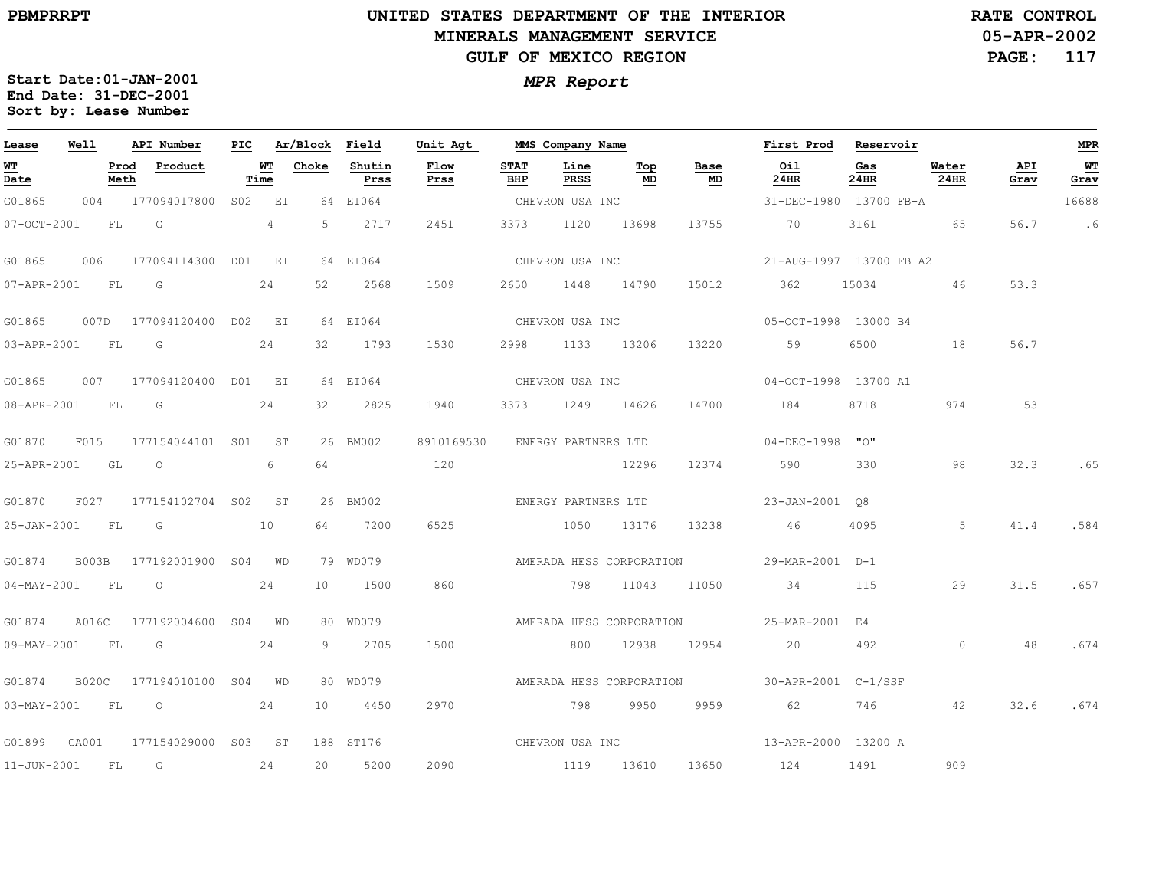#### **UNITED STATES DEPARTMENT OF THE INTERIOR MINERALS MANAGEMENT SERVICEGULF OF MEXICO REGION**

**05-APR-2002 PAGE: 117 RATE CONTROL**

| Lease            | Well  |              | API Number                      | PIC |             | Ar/Block | Field          | Unit Agt        |                    | MMS Company Name    |                          |                 | First Prod Reservoir                         |             |               |             | <b>MPR</b> |
|------------------|-------|--------------|---------------------------------|-----|-------------|----------|----------------|-----------------|--------------------|---------------------|--------------------------|-----------------|----------------------------------------------|-------------|---------------|-------------|------------|
| WT<br>Date       |       | Prod<br>Meth | Product                         |     | WT<br>Time  | Choke    | Shutin<br>Prss | Flow<br>Prss    | <b>STAT</b><br>BHP | Line<br>PRSS        | Top<br>MD                | Base<br>MD      | Oil<br>24HR                                  | Gas<br>24HR | Water<br>24HR | API<br>Grav | WT<br>Grav |
| G01865           | 004   |              | 177094017800                    |     | S02 EI      |          | 64 EI064       |                 |                    | CHEVRON USA INC     |                          |                 | 31-DEC-1980 13700 FB-A                       |             |               |             | 16688      |
| 07-OCT-2001      |       | FL           | $\overline{G}$                  |     | $4^{\circ}$ | 5        | 2717           | 2451            | 3373               |                     | 1120 13698               | 13755           | 70                                           | 3161        | 65            | 56.7        | . 6        |
| G01865           | 006   |              | 177094114300 DO1 EI             |     |             |          | 64 EI064       |                 |                    | CHEVRON USA INC     |                          |                 | 21-AUG-1997 13700 FB A2                      |             |               |             |            |
| 07-APR-2001 FL G |       |              |                                 |     | 24          | 52       | 2568           | 1509            | 2650               | 1448 14790          |                          | 15012           | 362                                          | 15034       | 46            | 53.3        |            |
|                  |       |              | G01865 007D 177094120400 D02 EI |     |             |          | 64 EI064       | CHEVRON USA INC |                    |                     |                          |                 | 05-OCT-1998 13000 B4                         |             |               |             |            |
| 03-APR-2001 FL G |       |              |                                 |     | 24          |          | 32 1793        | 1530            | 2998               | 1133 13206          |                          | 13220           | 59                                           | 6500        | 18            | 56.7        |            |
| G01865           |       |              | 007 177094120400 D01 EI         |     |             |          | 64 EI064       |                 |                    | CHEVRON USA INC     |                          |                 | 04-OCT-1998 13700 A1                         |             |               |             |            |
| 08-APR-2001 FL G |       |              |                                 |     | 24          | 32       | 2825           | 1940            |                    | 3373 1249 14626     |                          | 14700           | 184                                          | 8718        | 974           | 53          |            |
| G01870           | F015  |              | 177154044101 S01 ST             |     |             |          | 26 BM002       | 8910169530      |                    | ENERGY PARTNERS LTD |                          |                 | $04 - DEC - 1998$ "O"                        |             |               |             |            |
| 25-APR-2001 GL   |       |              | $\overline{O}$                  |     | 6           | 64       |                | 120             |                    |                     | 12296                    | 12374           | 590                                          | 330         | 98            | 32.3        | .65        |
| G01870           |       |              | F027 177154102704 S02 ST        |     |             |          | 26 BM002       |                 |                    | ENERGY PARTNERS LTD |                          |                 | 23-JAN-2001 08                               |             |               |             |            |
| 25-JAN-2001 FL G |       |              |                                 |     | 10          | 64       | 7200           | 6525            |                    | 1050                | 13176                    | 13238           | 46                                           | 4095        | 5             | 41.4        | .584       |
| G01874           |       |              | B003B 177192001900 S04 WD       |     |             |          | 79 WD079       |                 |                    |                     |                          |                 |                                              |             |               |             |            |
| 04-MAY-2001 FL   |       |              | $\overline{O}$                  |     | 24          | 10       | 1500           | 860             |                    |                     |                          | 798 11043 11050 | 34                                           | 115         | 29            | 31.5        | .657       |
| G01874           | A016C |              | 177192004600 S04 WD             |     |             |          | 80 WD079       |                 |                    |                     | AMERADA HESS CORPORATION |                 | 25-MAR-2001 E4                               |             |               |             |            |
| 09-MAY-2001 FL   |       |              | G                               |     | 24          |          | 9 2705         | 1500            |                    | 800                 | 12938                    | 12954           | 20                                           | 492         | $\circ$       | 48          | .674       |
| G01874 B020C     |       |              | 177194010100 S04 WD             |     |             |          | 80 WD079       |                 |                    |                     |                          |                 | AMERADA HESS CORPORATION 30-APR-2001 C-1/SSF |             |               |             |            |
| 03-MAY-2001 FL   |       |              | $\circ$                         |     | 24          | 10       | 4450           | 2970            |                    |                     | 798 9950                 | 9959            | 62 —                                         | 746 — 1     | 42            | 32.6        | .674       |
| G01899 CA001     |       |              | 177154029000 S03 ST             |     |             |          | 188 ST176      |                 |                    | CHEVRON USA INC     |                          |                 | 13-APR-2000 13200 A                          |             |               |             |            |
| 11-JUN-2001      |       | FL           | $\overline{G}$                  | 24  |             | 20       | 5200           | 2090            |                    | 1119 13610          |                          |                 | 13650 124                                    | 1491        | 909           |             |            |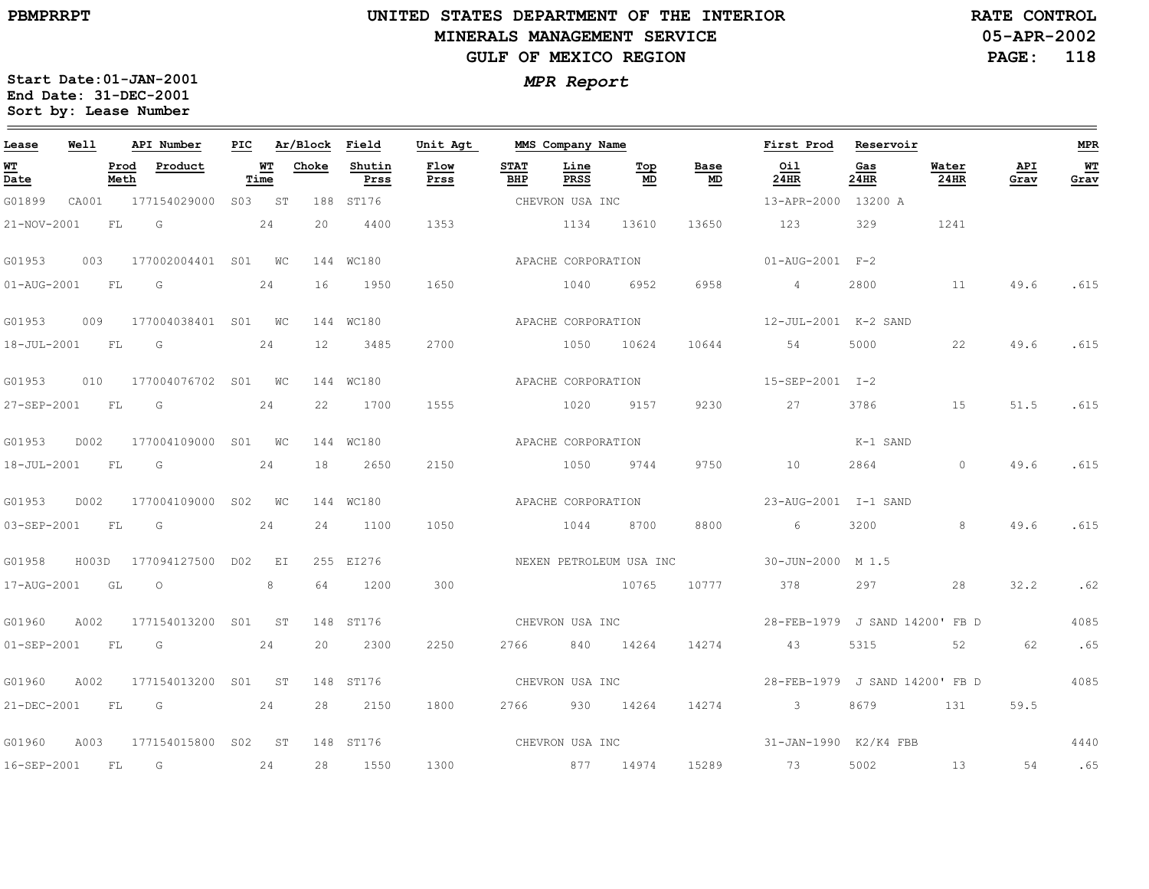#### **UNITED STATES DEPARTMENT OF THE INTERIOR MINERALS MANAGEMENT SERVICEGULF OF MEXICO REGION**

**05-APR-2002PAGE: 118 RATE CONTROL**

| Lease                          | <b>Well</b> |              | API Number           | PIC |            | Ar/Block | Field          | Unit Agt        |                    | MMS Company Name    |                         |            | First Prod                       | Reservoir   |               |             | <b>MPR</b> |
|--------------------------------|-------------|--------------|----------------------|-----|------------|----------|----------------|-----------------|--------------------|---------------------|-------------------------|------------|----------------------------------|-------------|---------------|-------------|------------|
| WT<br>$\overline{\text{Date}}$ |             | Prod<br>Meth | Product              |     | WT<br>Time | Choke    | Shutin<br>Prss | Flow<br>Prss    | <b>STAT</b><br>BHP | Line<br><b>PRSS</b> | Тор<br>MD               | Base<br>MD | Oil<br>24HR                      | Gas<br>24HR | Water<br>24HR | API<br>Grav | WT<br>Grav |
| G01899                         | CA001       |              | 177154029000         |     | S03 ST     |          | 188 ST176      |                 |                    | CHEVRON USA INC     |                         |            | 13-APR-2000 13200 A              |             |               |             |            |
| 21-NOV-2001                    |             | FL           | G                    |     | 24         | 20       | 4400           | 1353            |                    | 1134                | 13610                   | 13650      | 123                              | 329         | 1241          |             |            |
| G01953                         | 003         |              | 177002004401 S01 WC  |     |            |          | 144 WC180      |                 |                    | APACHE CORPORATION  |                         |            | $01 - \text{AUG} - 2001$ $F - 2$ |             |               |             |            |
| 01-AUG-2001                    |             | FL           | G                    |     | 24         | 16       | 1950           | 1650            |                    | 1040                | 6952                    | 6958       | $\overline{4}$                   | 2800        | 11            | 49.6        | .615       |
| G01953                         | 009         |              | 177004038401 S01 WC  |     |            |          | 144 WC180      |                 |                    | APACHE CORPORATION  |                         |            | 12-JUL-2001 K-2 SAND             |             |               |             |            |
| 18-JUL-2001 FL                 |             |              | G                    |     | 24         | 12       | 3485           | 2700            |                    | 1050                | 10624                   | 10644      | 54                               | 5000        | 22            | 49.6        | .615       |
| G01953                         | 010         |              | 177004076702 S01 WC  |     |            |          | 144 WC180      |                 |                    | APACHE CORPORATION  |                         |            | 15-SEP-2001 I-2                  |             |               |             |            |
| 27-SEP-2001                    |             | FL           | G                    |     | 24         | 22       | 1700           | 1555            |                    | 1020                | 9157                    | 9230       | 27                               | 3786        | 15            | 51.5        | .615       |
| G01953                         | D002        |              | 177004109000 S01 WC  |     |            |          | 144 WC180      |                 |                    | APACHE CORPORATION  |                         |            |                                  | K-1 SAND    |               |             |            |
| 18-JUL-2001                    |             | FL           | G                    |     | 24         | 18       | 2650           | 2150            |                    | 1050                | 9744                    | 9750       | 10                               | 2864        | $\bigcirc$    | 49.6        | .615       |
| G01953                         | D002        |              | 177004109000 S02 WC  |     |            |          | 144 WC180      |                 |                    | APACHE CORPORATION  |                         |            | 23-AUG-2001 I-1 SAND             |             |               |             |            |
| 03-SEP-2001                    |             | FL           | G                    |     | 24         | 24       | 1100           | 1050            |                    | 1044                | 8700                    | 8800       | 6                                | 3200        | 8             | 49.6        | .615       |
| G01958                         | H003D       |              | 177094127500 D02 EI  |     |            |          | 255 EI276      |                 |                    |                     | NEXEN PETROLEUM USA INC |            | 30-JUN-2000 M 1.5                |             |               |             |            |
| 17-AUG-2001                    |             | GL           | $\circ$              |     | 8          | 64       | 1200           | 300             |                    | 10765               |                         | 10777      | 378                              | 297         | 28            | 32.2        | .62        |
| G01960                         | A002        |              | 177154013200 S01 ST  |     |            |          | 148 ST176      | CHEVRON USA INC |                    |                     |                         |            | 28-FEB-1979 J SAND 14200' FB D   |             |               |             | 4085       |
| $01 - SEP - 2001$              |             | FL           | G                    |     | 24         | 20       | 2300           | 2250            | 2766               |                     | 840 14264               | 14274      | 43                               | 5315        | 52            | 62          | .65        |
| G01960                         | A002        |              | 177154013200 S01 ST  |     |            |          | 148 ST176      |                 |                    | CHEVRON USA INC     |                         |            | 28-FEB-1979 J SAND 14200' FB D   |             |               |             | 4085       |
| 21-DEC-2001                    |             | <b>FL</b>    | $\overline{G}$<br>24 |     |            | 28       | 2150           | 1800            |                    | 2766 930 14264      |                         | 14274      | $\overline{\mathbf{3}}$          | 8679        | 131           | 59.5        |            |
| G01960                         | A003        |              | 177154015800 S02 ST  |     |            |          | 148 ST176      | CHEVRON USA INC |                    |                     |                         |            | 31-JAN-1990 K2/K4 FBB            |             |               |             | 4440       |
| 16-SEP-2001                    |             | FL.          | G                    |     | 24         | 28       | 1550           | 1300            |                    | 877 14974           |                         | 15289      | 73                               | 5002        | 13            | 54          | .65        |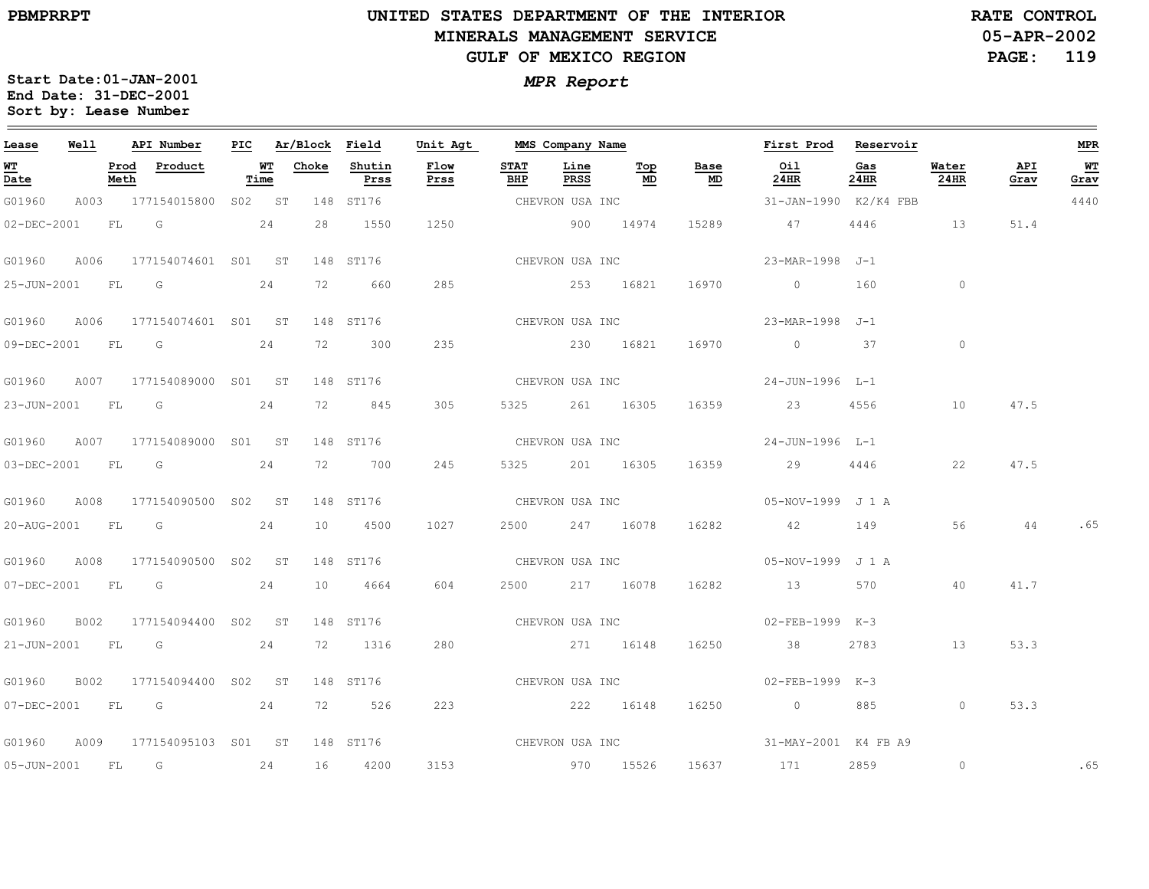#### **UNITED STATES DEPARTMENT OF THE INTERIOR MINERALS MANAGEMENT SERVICEGULF OF MEXICO REGION**

**05-APR-2002PAGE: 119 RATE CONTROL**

| Lease          | Well |              | API Number                                                                                                                                                                                                                    |            | PIC Ar/Block Field |                | Unit Agt        |                    | MMS Company Name    |           |                 | First Prod Reservoir  |             |               |             | <b>MPR</b> |
|----------------|------|--------------|-------------------------------------------------------------------------------------------------------------------------------------------------------------------------------------------------------------------------------|------------|--------------------|----------------|-----------------|--------------------|---------------------|-----------|-----------------|-----------------------|-------------|---------------|-------------|------------|
| WT<br>Date     |      | Prod<br>Meth | Product                                                                                                                                                                                                                       | WT<br>Time | Choke              | Shutin<br>Prss | Flow<br>Prss    | <b>STAT</b><br>BHP | Line<br><b>PRSS</b> | Top<br>MD | Base<br>MD      | Oil<br>24HR           | Gas<br>24HR | Water<br>24HR | API<br>Grav | WT<br>Grav |
| G01960         |      |              | A003 177154015800 S02 ST                                                                                                                                                                                                      |            |                    | 148 ST176      |                 |                    | CHEVRON USA INC     |           |                 | 31-JAN-1990 K2/K4 FBB |             |               |             | 4440       |
| 02-DEC-2001    |      | FL           | G<br>24                                                                                                                                                                                                                       |            | 28                 | 1550           | 1250            |                    | 900 14974           |           | 15289           | 47                    | 4446        | 13            | 51.4        |            |
| G01960         | A006 |              | 177154074601 S01 ST                                                                                                                                                                                                           |            |                    | 148 ST176      |                 |                    | CHEVRON USA INC     |           |                 | 23-MAR-1998 J-1       |             |               |             |            |
| 25-JUN-2001 FL |      |              | $\overline{\mathsf{G}}$                                                                                                                                                                                                       | 24         | 72                 | 660            | 285             |                    | 253 16821           |           | 16970           | $\overline{0}$        | 160         | $\circ$       |             |            |
| G01960         | A006 |              | 177154074601 S01 ST                                                                                                                                                                                                           |            |                    | 148 ST176      |                 |                    | CHEVRON USA INC     |           |                 | 23-MAR-1998 J-1       |             |               |             |            |
|                |      |              | 09-DEC-2001 FL G                                                                                                                                                                                                              | 24         | 72                 | 300            | 235             |                    | 230 16821           |           | 16970           | $\overline{0}$        | 37          | $\circ$       |             |            |
| G01960         | A007 |              | 177154089000 S01 ST                                                                                                                                                                                                           |            |                    | 148 ST176      |                 |                    | CHEVRON USA INC     |           |                 | 24-JUN-1996 L-1       |             |               |             |            |
| 23-JUN-2001 FL |      |              | G                                                                                                                                                                                                                             | 24         | 72                 | 845            | 305             | 5325               |                     | 261 16305 | 16359           | 23                    | 4556        | 10            | 47.5        |            |
| G01960         |      |              | A007 177154089000 S01 ST                                                                                                                                                                                                      |            |                    | 148 ST176      |                 |                    | CHEVRON USA INC     |           |                 | 24-JUN-1996 L-1       |             |               |             |            |
| 03-DEC-2001 FL |      |              | $\overline{G}$                                                                                                                                                                                                                | 24         | 72                 | 700            | 245             | 5325               |                     | 201 16305 | 16359           | 29                    | 4446        | 22            | 47.5        |            |
| G01960         | A008 |              | 177154090500 S02 ST                                                                                                                                                                                                           |            |                    | 148 ST176      |                 |                    | CHEVRON USA INC     |           |                 | 05-NOV-1999 J 1 A     |             |               |             |            |
| 20-AUG-2001 FL |      |              | $\overline{\mathsf{G}}$                                                                                                                                                                                                       | 24         | 10                 | 4500           | 1027            | 2500               |                     | 247 16078 | 16282           | 42                    | 149         | 56            | 44          | .65        |
| G01960         | A008 |              | 177154090500 S02 ST                                                                                                                                                                                                           |            |                    | 148 ST176      |                 |                    | CHEVRON USA INC     |           |                 | 05-NOV-1999 J 1 A     |             |               |             |            |
| 07-DEC-2001    |      |              | FLG COMMENCES IN THE STATE OF THE STATE OF THE STATE OF THE STATE OF THE STATE OF THE STATE OF THE STATE OF THE STATE OF THE STATE OF THE STATE OF THE STATE OF THE STATE OF THE STATE OF THE STATE OF THE STATE OF THE STATE | 24         | 10                 | 4664           | 604             |                    | 2500 217 16078      |           | 16282           | 13                    | 570         | 40            | 41.7        |            |
| G01960         | B002 |              | 177154094400 S02 ST                                                                                                                                                                                                           |            |                    | 148 ST176      |                 |                    |                     |           | CHEVRON USA INC | 02-FEB-1999 K-3       |             |               |             |            |
| 21-JUN-2001 FL |      |              | $\overline{G}$                                                                                                                                                                                                                | 24         | 72                 | 1316           | 280             |                    | 271 16148           |           | 16250           | 38                    | 2783        | 13            | 53.3        |            |
| G01960         | B002 |              | 177154094400 S02 ST                                                                                                                                                                                                           |            |                    | 148 ST176      |                 |                    | CHEVRON USA INC     |           |                 | 02-FEB-1999 K-3       |             |               |             |            |
|                |      |              | 07-DEC-2001 FL G 24                                                                                                                                                                                                           |            | 72 —               | 526            | 223             |                    | 222 16148           |           | 16250           | $\overline{0}$        | 885         | $\circ$       | 53.3        |            |
| G01960         | A009 |              | 177154095103 S01 ST                                                                                                                                                                                                           |            |                    | 148 ST176      | CHEVRON USA INC |                    |                     |           |                 | 31-MAY-2001 K4 FB A9  |             |               |             |            |
| 05-JUN-2001 FL |      |              | $\overline{G}$                                                                                                                                                                                                                | 24         | 16                 | 4200           | 3153            |                    | 970 15526           |           | 15637           | 171                   | 2859        | $\circ$       |             | .65        |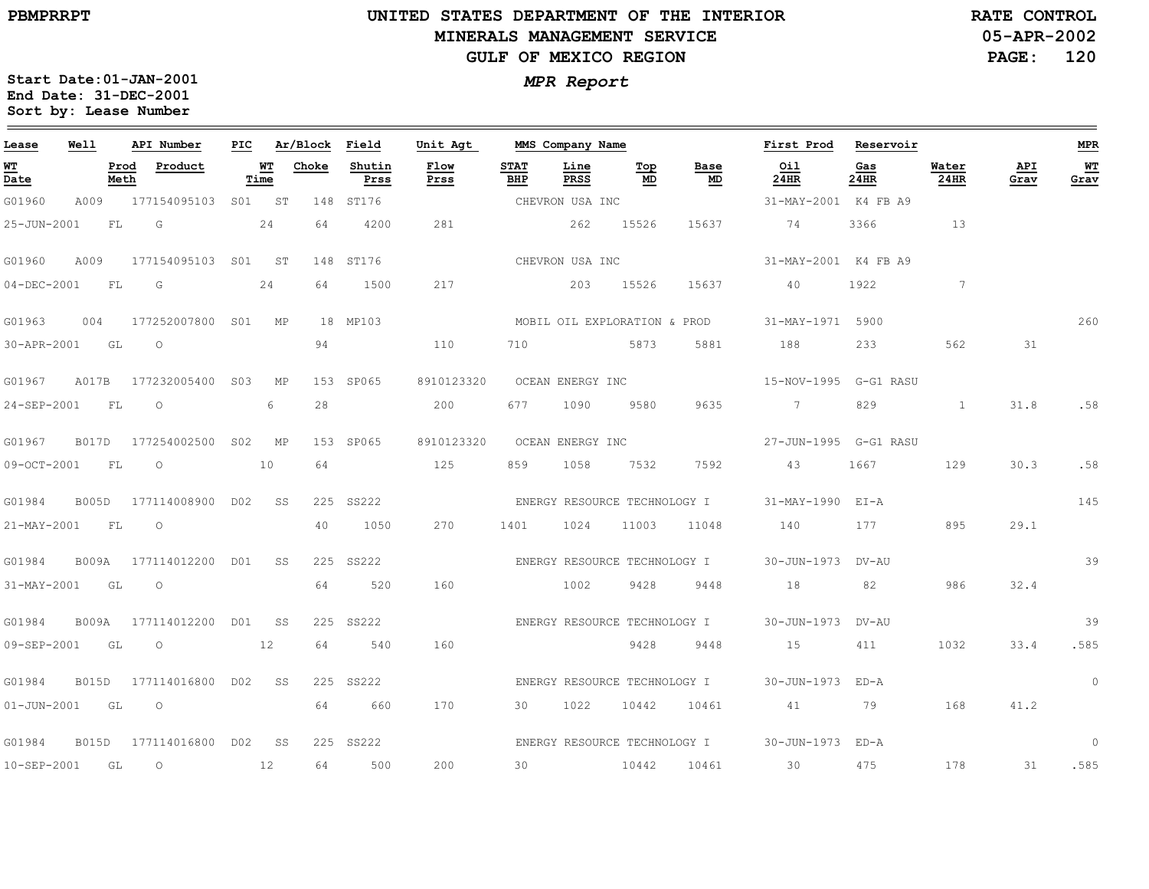$\equiv$ 

# **UNITED STATES DEPARTMENT OF THE INTERIOR MINERALS MANAGEMENT SERVICEGULF OF MEXICO REGION**

**05-APR-2002PAGE: 120 RATE CONTROL**

| Lease             | Well         |              | API Number          | PIC |            | Ar/Block | Field          | Unit Agt     |                    | MMS Company Name             |                      |            | First Prod            | Reservoir   |               |             | <b>MPR</b> |
|-------------------|--------------|--------------|---------------------|-----|------------|----------|----------------|--------------|--------------------|------------------------------|----------------------|------------|-----------------------|-------------|---------------|-------------|------------|
| WТ<br>Date        |              | Prod<br>Meth | Product             |     | WT<br>Time | Choke    | Shutin<br>Prss | Flow<br>Prss | <b>STAT</b><br>BHP | Line<br>PRSS                 | $\mathbf{Top}$<br>MD | Base<br>MD | Oil<br>24HR           | Gas<br>24HR | Water<br>24HR | API<br>Grav | WT<br>Grav |
| G01960            | A009         |              | 177154095103 S01 ST |     |            | 148      | ST176          |              |                    | CHEVRON USA INC              |                      |            | 31-MAY-2001 K4 FB A9  |             |               |             |            |
| 25-JUN-2001       |              | FL           | G                   |     | 24         | 64       | 4200           | 281          |                    | 262                          | 15526                | 15637      | 74                    | 3366        | 13            |             |            |
| G01960            | A009         |              | 177154095103 S01    |     | ST         |          | 148 ST176      |              |                    | CHEVRON USA INC              |                      |            | 31-MAY-2001 K4 FB A9  |             |               |             |            |
| 04-DEC-2001       |              | FL           | G                   |     | 24         | 64       | 1500           | 217          |                    | 203                          | 15526                | 15637      | 40                    | 1922        | $7^{\circ}$   |             |            |
| G01963            | 004          |              | 177252007800 S01    |     | МP         |          | 18 MP103       |              |                    | MOBIL OIL EXPLORATION & PROD |                      |            | 31-MAY-1971 5900      |             |               |             | 260        |
| 30-APR-2001       |              | GL           | $\circ$             |     |            | 94       |                | 110          | 710                |                              | 5873                 | 5881       | 188                   | 233         | 562           | 31          |            |
| G01967            | A017B        |              | 177232005400 S03    |     | МP         |          | 153 SP065      | 8910123320   |                    | OCEAN ENERGY INC             |                      |            | 15-NOV-1995 G-G1 RASU |             |               |             |            |
| 24-SEP-2001       |              | FL           | $\circ$             |     | 6          | 28       |                | 200          | 677                | 1090                         | 9580                 | 9635       | 7                     | 829         | $\mathbf{1}$  | 31.8        | .58        |
| G01967            | <b>B017D</b> |              | 177254002500        | S02 | МP         |          | 153 SP065      | 8910123320   |                    | OCEAN ENERGY INC             |                      |            | 27-JUN-1995 G-G1 RASU |             |               |             |            |
| 09-OCT-2001       |              | FL           | $\circ$             |     | 10         | 64       |                | 125          | 859                | 1058                         | 7532                 | 7592       | 43                    | 1667        | 129           | 30.3        | .58        |
| G01984            | <b>B005D</b> |              | 177114008900 D02    |     | SS         |          | 225 SS222      |              |                    | ENERGY RESOURCE TECHNOLOGY I |                      |            | $31 - MAX - 1990$     | EI-A        |               |             | 145        |
| 21-MAY-2001       |              | FL           | $\circ$             |     |            | 40       | 1050           | 270          | 1401               | 1024                         | 11003                | 11048      | 140                   | 177         | 895           | 29.1        |            |
| G01984            | <b>B009A</b> |              | 177114012200 D01    |     | SS         | 225      | SS222          |              |                    | ENERGY RESOURCE TECHNOLOGY I |                      |            | 30-JUN-1973           | DV-AU       |               |             | 39         |
| 31-MAY-2001       |              | GL           | $\circ$             |     |            | 64       | 520            | 160          |                    | 1002                         | 9428                 | 9448       | 18                    | 82          | 986           | 32.4        |            |
| G01984            | <b>B009A</b> |              | 177114012200        | DO1 | SS         |          | 225 SS222      |              |                    | ENERGY RESOURCE TECHNOLOGY I |                      |            | 30-JUN-1973           | DV-AU       |               |             | 39         |
| 09-SEP-2001       |              | GL           | $\circ$             |     | 12         | 64       | 540            | 160          |                    |                              | 9428                 | 9448       | 15                    | 411         | 1032          | 33.4        | .585       |
| G01984            | <b>B015D</b> |              | 177114016800 D02    |     | SS         |          | 225 SS222      |              |                    | ENERGY RESOURCE TECHNOLOGY I |                      |            | 30-JUN-1973           | FD-A        |               |             | $\circ$    |
| $01 - JUN - 2001$ |              | GL           | $\circ$             |     |            | 64       | 660            | 170          | 30                 | 1022                         | 10442                | 10461      | 41                    | 79          | 168           | 41.2        |            |
| G01984            | <b>B015D</b> |              | 177114016800 D02    |     | SS         |          | 225 SS222      |              |                    | ENERGY RESOURCE TECHNOLOGY I |                      |            | 30-JUN-1973 ED-A      |             |               |             | $\circ$    |
| 10-SEP-2001       |              | GL           | $\circlearrowright$ |     | 12         | 64       | 500            | 200          | 30                 |                              | 10442                | 10461      | 30                    | 475         | 178           | 31          | .585       |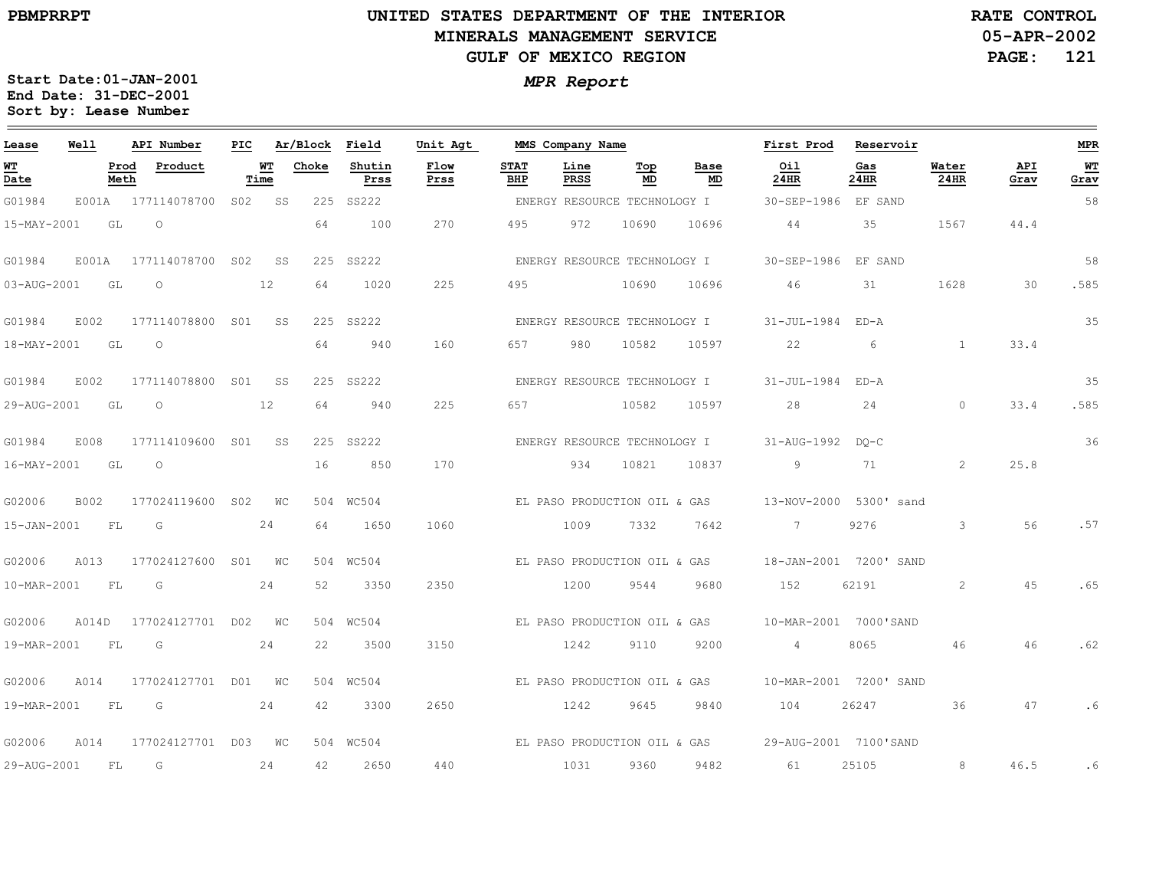#### **UNITED STATES DEPARTMENT OF THE INTERIOR MINERALS MANAGEMENT SERVICEGULF OF MEXICO REGION**

**05-APR-2002PAGE: 121 RATE CONTROL**

| Lease                                 | Well  |              | API Number       | PIC             |            | Ar/Block | Field          | Unit Agt     |                    | MMS Company Name |                              |                              | First Prod             | Reservoir   |               |             | <b>MPR</b>   |
|---------------------------------------|-------|--------------|------------------|-----------------|------------|----------|----------------|--------------|--------------------|------------------|------------------------------|------------------------------|------------------------|-------------|---------------|-------------|--------------|
| <u>WТ</u><br>$\overline{\text{Date}}$ |       | Prod<br>Meth | Product          |                 | WТ<br>Time | Choke    | Shutin<br>Prss | Flow<br>Prss | <b>STAT</b><br>BHP | Line<br>PRSS     | Top<br>MD                    | Base<br>MD                   | Oil<br>24HR            | Gas<br>24HR | Water<br>24HR | API<br>Grav | $WT$<br>Grav |
| G01984                                | E001A |              | 177114078700     | S02             | SS         | 225      | SS222          |              |                    |                  | ENERGY RESOURCE TECHNOLOGY I |                              | 30-SEP-1986            | EF SAND     |               |             | 58           |
| 15-MAY-2001                           |       | GL           | $\circ$          |                 |            | 64       | 100            | 270          | 495                | 972              | 10690                        | 10696                        | 44                     | 35          | 1567          | 44.4        |              |
| G01984                                | E001A |              | 177114078700     | S <sub>02</sub> | SS         | 225      | SS222          |              |                    |                  | ENERGY RESOURCE TECHNOLOGY I |                              | 30-SEP-1986            | EF SAND     |               |             | 58           |
| 03-AUG-2001                           |       | GL           | $\circ$          |                 | 12         | 64       | 1020           | 225          | 495                |                  | 10690                        | 10696                        | 46                     | 31          | 1628          | 30          | .585         |
| G01984                                | E002  |              | 177114078800     | S01             | SS         |          | 225 SS222      |              |                    |                  | ENERGY RESOURCE TECHNOLOGY I |                              | 31-JUL-1984            | ED-A        |               |             | 35           |
| 18-MAY-2001                           |       | GL           | $\circ$          |                 |            | 64       | 940            | 160          | 657                | 980              | 10582                        | 10597                        | 22                     | 6           | $\mathbf{1}$  | 33.4        |              |
| G01984                                | E002  |              | 177114078800     | S01             | SS         |          | 225 SS222      |              |                    |                  | ENERGY RESOURCE TECHNOLOGY I |                              | 31-JUL-1984            | $ED - A$    |               |             | 35           |
| 29-AUG-2001                           |       | GL           | $\circ$          |                 | 12         | 64       | 940            | 225          | 657                |                  | 10582                        | 10597                        | 28                     | 24          | $\Omega$      | 33.4        | .585         |
| G01984                                | E008  |              | 177114109600     | S <sub>01</sub> | SS         | 225      | SS222          |              |                    |                  | ENERGY RESOURCE TECHNOLOGY I |                              | 31-AUG-1992            | $DO-C$      |               |             | 36           |
| 16-MAY-2001                           |       | GL           | $\Omega$         |                 |            | 16       | 850            | 170          |                    | 934              | 10821                        | 10837                        | 9                      | 71          | $\mathcal{L}$ | 25.8        |              |
| G02006                                | B002  |              | 177024119600     | S <sub>02</sub> | WС         |          | 504 WC504      |              |                    |                  | EL PASO PRODUCTION OIL & GAS |                              | 13-NOV-2000 5300' sand |             |               |             |              |
| 15-JAN-2001                           |       | FL           | G                |                 | 24         | 64       | 1650           | 1060         |                    | 1009             | 7332                         | 7642                         | $7^{\circ}$            | 9276        | 3             | 56          | .57          |
| G02006                                | A013  |              | 177024127600     | SO1             | <b>WC</b>  |          | 504 WC504      |              |                    |                  | EL PASO PRODUCTION OIL & GAS |                              | 18-JAN-2001 7200' SAND |             |               |             |              |
| 10-MAR-2001                           |       | FL           | G                |                 | 24         | 52       | 3350           | 2350         |                    | 1200             | 9544                         | 9680                         | 152                    | 62191       | 2             | 45          | .65          |
| G02006                                | A014D |              | 177024127701 D02 |                 | WС         |          | 504 WC504      |              |                    |                  | EL PASO PRODUCTION OIL & GAS |                              | 10-MAR-2001 7000'SAND  |             |               |             |              |
| 19-MAR-2001                           |       | FL           | G                |                 | 24         | 22       | 3500           | 3150         |                    | 1242             | 9110                         | 9200                         | $\overline{4}$         | 8065        | 46            | 46          | .62          |
| G02006                                | A014  |              | 177024127701 D01 |                 | WC         | 504      | WC504          |              |                    |                  | EL PASO PRODUCTION OIL & GAS |                              | 10-MAR-2001 7200' SAND |             |               |             |              |
| 19-MAR-2001                           |       | FL           | G                |                 | 24         | 42       | 3300           | 2650         |                    | 1242             | 9645                         | 9840                         | 104                    | 26247       | 36            | 47          | .6           |
| G02006                                | A014  |              | 177024127701 D03 |                 | WC         |          | 504 WC504      |              |                    |                  |                              | EL PASO PRODUCTION OIL & GAS | 29-AUG-2001 7100'SAND  |             |               |             |              |
| 29-AUG-2001                           |       | FL           | G                |                 | 24         | 42       | 2650           | 440          |                    | 1031             | 9360                         | 9482                         | 61                     | 25105       | 8             | 46.5        | .6           |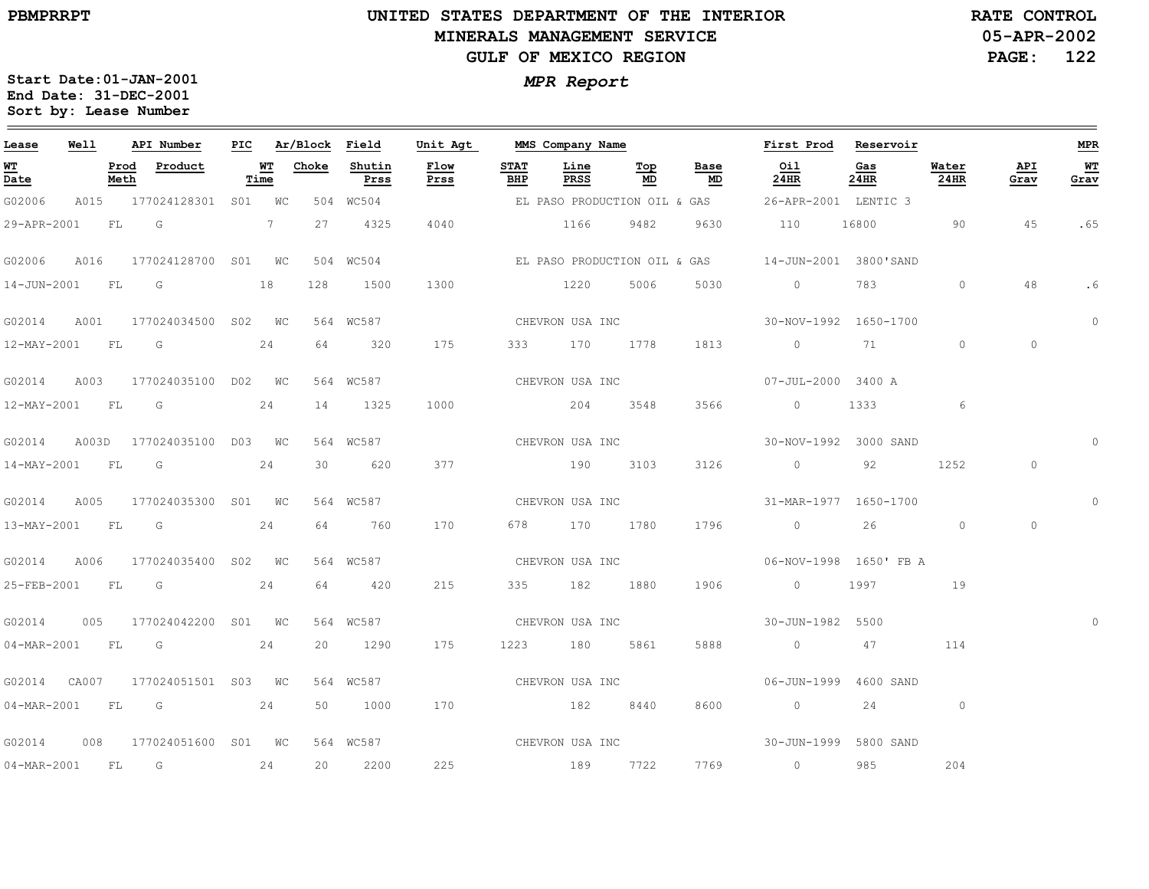#### **UNITED STATES DEPARTMENT OF THE INTERIOR MINERALS MANAGEMENT SERVICEGULF OF MEXICO REGION**

**05-APR-2002PAGE: 122 RATE CONTROL**

| Lease                    | Well |              | API Number                      | PIC |            | Ar/Block | Field          | Unit Agt     |                    | MMS Company Name |           |                              | First Prod             | Reservoir   |               |             | <b>MPR</b> |
|--------------------------|------|--------------|---------------------------------|-----|------------|----------|----------------|--------------|--------------------|------------------|-----------|------------------------------|------------------------|-------------|---------------|-------------|------------|
| WT<br>Date               |      | Prod<br>Meth | Product                         |     | WТ<br>Time | Choke    | Shutin<br>Prss | Flow<br>Prss | <b>STAT</b><br>BHP | Line<br>PRSS     | Тор<br>MD | Base<br>MD                   | Oil<br>24HR            | Gas<br>24HR | Water<br>24HR | API<br>Grav | WТ<br>Grav |
| G02006                   |      |              | A015 177024128301 S01 WC        |     |            |          | 504 WC504      |              |                    |                  |           | EL PASO PRODUCTION OIL & GAS | 26-APR-2001 LENTIC 3   |             |               |             |            |
| 29-APR-2001              |      | FL G         |                                 |     | 7          | 27       | 4325           | 4040         |                    | 1166             | 9482      | 9630                         | 110                    | 16800       | 90            | 45          | .65        |
| G02006                   | A016 |              | 177024128700 S01 WC             |     |            |          | 504 WC504      |              |                    |                  |           | EL PASO PRODUCTION OIL & GAS | 14-JUN-2001 3800'SAND  |             |               |             |            |
| 14-JUN-2001              |      | FL           | G                               |     | 18         | 128      | 1500           | 1300         |                    | 1220             | 5006      | 5030                         | $\circ$                | 783         | $\circ$       | 48          | .6         |
|                          |      |              | G02014 A001 177024034500 S02 WC |     |            |          | 564 WC587      |              |                    | CHEVRON USA INC  |           |                              | 30-NOV-1992 1650-1700  |             |               |             | $\circ$    |
| 12-MAY-2001 FL G         |      |              |                                 |     | 24         | 64       | 320            | 175          |                    | 333 170 1778     |           | 1813                         | $\overline{0}$         | 71 — 20     | $\circ$       | $\circ$     |            |
| G02014                   | A003 |              | 177024035100 D02 WC             |     |            |          | 564 WC587      |              |                    | CHEVRON USA INC  |           |                              | 07-JUL-2000 3400 A     |             |               |             |            |
| 12-MAY-2001              |      | FL           | G                               |     | 24         | 14       | 1325           | 1000         |                    | 204 3548         |           | 3566                         | $\circ$                | 1333        | 6             |             |            |
| G02014                   |      |              | A003D 177024035100 D03 WC       |     |            |          | 564 WC587      |              |                    | CHEVRON USA INC  |           |                              | 30-NOV-1992 3000 SAND  |             |               |             | $\circ$    |
| 14-MAY-2001 FL           |      |              | G                               |     | 24         | 30       | 620            | 377          |                    | 190 3103         |           | 3126                         | $\overline{0}$         | 92          | 1252          | $\circ$     |            |
| G02014                   | A005 |              | 177024035300 S01 WC             |     |            |          | 564 WC587      |              |                    | CHEVRON USA INC  |           |                              | 31-MAR-1977 1650-1700  |             |               |             | $\Omega$   |
| 13-MAY-2001              |      | <b>FL</b>    | G                               |     | 24         | 64       | 760            | 170          |                    | 678 170 1780     |           | 1796                         | $\overline{0}$         | 26          | $\circ$       | $\circ$     |            |
| G02014                   | A006 |              | 177024035400 S02 WC             |     |            |          | 564 WC587      |              |                    | CHEVRON USA INC  |           |                              | 06-NOV-1998 1650' FB A |             |               |             |            |
|                          |      |              | 25-FEB-2001 FL G                |     | 24         | 64       | 420            | 215          |                    | 335 182 1880     |           | 1906                         | $\overline{0}$         | 1997        | 19            |             |            |
| G02014                   | 005  |              | 177024042200 S01 WC             |     |            |          | 564 WC587      |              |                    | CHEVRON USA INC  |           |                              | 30-JUN-1982 5500       |             |               |             |            |
| 04-MAR-2001 FL           |      |              | $\overline{\mathsf{G}}$         |     | 24         | 20       | 1290           | 175          |                    | 1223 180         | 5861      | 5888                         | $\sim$ 0               | 47          | 114           |             |            |
| G02014 CA007             |      |              | 177024051501 S03 WC             |     |            |          | 564 WC587      |              |                    | CHEVRON USA INC  |           |                              | 06-JUN-1999 4600 SAND  |             |               |             |            |
|                          |      |              | 04-MAR-2001 FL G 24             |     |            | 50       | 1000           | 170          |                    | 182 8440         |           | 8600                         | $\overline{0}$         | 24          | $\circ$       |             |            |
| G02014                   | 008  |              | 177024051600 S01 WC             |     |            |          | 564 WC587      |              |                    |                  |           |                              |                        |             |               |             |            |
| $04 - \text{MAR} - 2001$ |      | FL           | G                               |     | 24         | 20       | 2200           | 225          |                    | 189 7722         |           | 7769                         | $\overline{0}$         | 985         | 204           |             |            |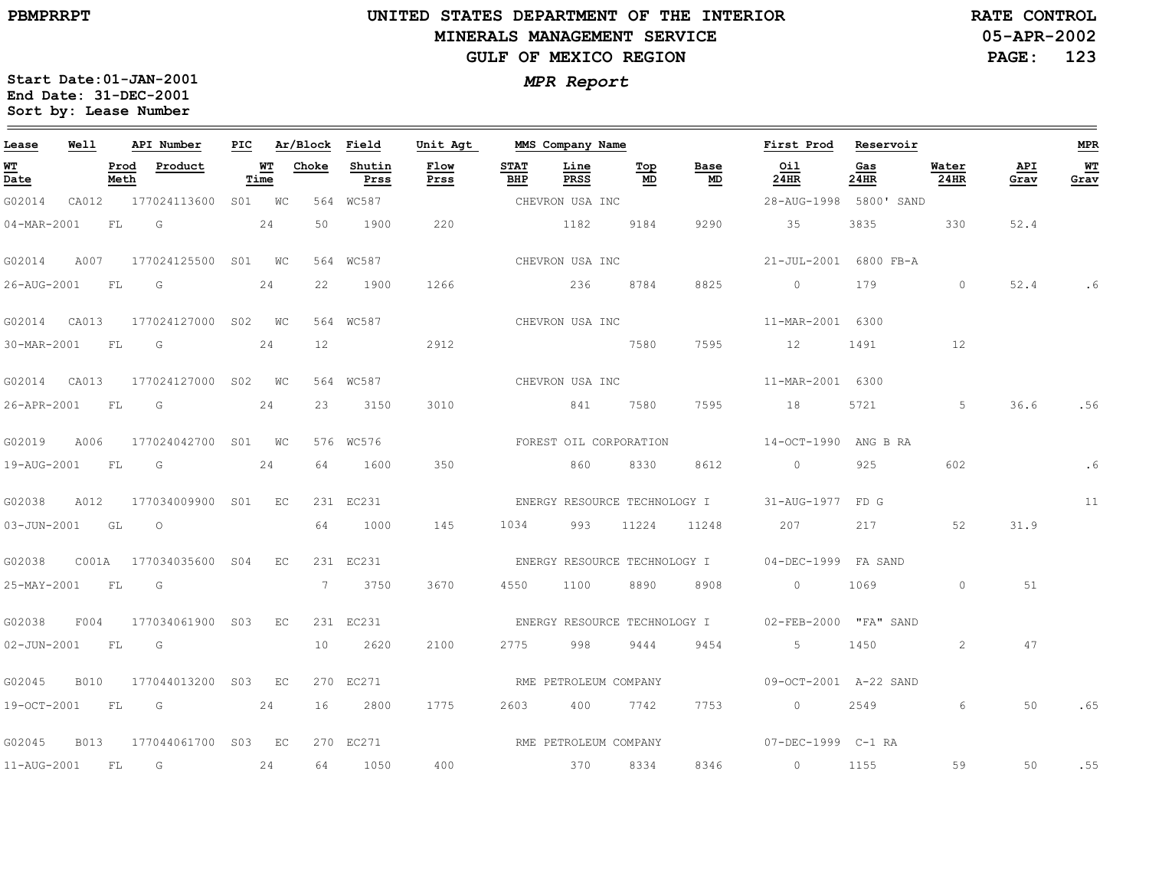# **UNITED STATES DEPARTMENT OF THE INTERIOR MINERALS MANAGEMENT SERVICEGULF OF MEXICO REGION**

**05-APR-2002PAGE: 123 RATE CONTROL**

| Lease             | Well        |              | API Number             | PIC |                   | Ar/Block Field  |                | Unit Agt              |                    | MMS Company Name      |                              |                                   | First Prod             | Reservoir   |                |             | <b>MPR</b> |
|-------------------|-------------|--------------|------------------------|-----|-------------------|-----------------|----------------|-----------------------|--------------------|-----------------------|------------------------------|-----------------------------------|------------------------|-------------|----------------|-------------|------------|
| WT<br>Date        |             | Prod<br>Meth | Product                |     | <u>WT</u><br>Time | Choke           | Shutin<br>Prss | Flow<br>Prss          | <b>STAT</b><br>BHP | Line<br>PRSS          | Тор<br>MD                    | Base<br>$\underline{\mathsf{MD}}$ | Oil<br>24HR            | Gas<br>24HR | Water<br>24HR  | API<br>Grav | WТ<br>Grav |
| G02014            | CA012       |              | 177024113600           |     | S01 WC            |                 | 564 WC587      |                       |                    | CHEVRON USA INC       |                              |                                   | 28-AUG-1998 5800' SAND |             |                |             |            |
| 04-MAR-2001       |             | FL           | G                      |     | 24                | 50              | 1900           | 220                   |                    | 1182                  | 9184                         | 9290                              | 35                     | 3835        | 330            | 52.4        |            |
| G02014            | A007        |              | 177024125500 S01 WC    |     |                   |                 | 564 WC587      |                       |                    | CHEVRON USA INC       |                              |                                   | 21-JUL-2001 6800 FB-A  |             |                |             |            |
| 26-AUG-2001       |             | <b>FL</b>    | G                      |     | 24                | 22              | 1900           | 1266                  |                    | 236                   | 8784                         | 8825                              | $\circ$                | 179         | $\circ$        | 52.4        | . 6        |
| G02014            | CA013       |              | 177024127000 S02 WC    |     |                   |                 | 564 WC587      |                       |                    | CHEVRON USA INC       |                              |                                   | 11-MAR-2001 6300       |             |                |             |            |
| 30-MAR-2001       |             | FL           | $\overline{G}$         |     | 24                | 12 <sup>°</sup> |                | 2912                  |                    |                       | 7580                         | 7595                              | 12                     | 1491        | 12             |             |            |
| G02014            | CA013       |              | 177024127000 S02 WC    |     |                   |                 | 564 WC587      |                       |                    | CHEVRON USA INC       |                              |                                   | 11-MAR-2001 6300       |             |                |             |            |
| 26-APR-2001       |             | FL.          | G                      |     | 24                | 23              | 3150           | 3010                  |                    | 841                   | 7580                         | 7595                              | 18                     | 5721        | 5              | 36.6        | .56        |
| G02019            | A006        |              | 177024042700 S01 WC    |     |                   |                 | 576 WC576      |                       |                    |                       | FOREST OIL CORPORATION       |                                   | 14-OCT-1990 ANG B RA   |             |                |             |            |
| 19-AUG-2001 FL    |             |              | G                      |     | 24                | 64              | 1600           | 350                   |                    | 860                   | 8330                         | 8612                              | $0 \qquad \qquad$      | 925         | 602            |             |            |
| G02038            | A012        |              | 177034009900 S01       |     | $E_{\rm C}$       |                 | 231 EC231      |                       |                    |                       |                              | ENERGY RESOURCE TECHNOLOGY I      | 31-AUG-1977 FD G       |             |                |             | 11         |
| $03 - JUN - 2001$ |             | GL           | $\circ$                |     |                   | 64              | 1000           | 145                   | 1034               | 993                   | 11224                        | 11248                             | 207                    | 217         | 52             | 31.9        |            |
| G02038            |             |              | C001A 177034035600 S04 |     | EC                |                 | 231 EC231      |                       |                    |                       | ENERGY RESOURCE TECHNOLOGY I |                                   | 04-DEC-1999 FA SAND    |             |                |             |            |
| 25-MAY-2001       |             | FL           | G                      |     |                   |                 | 7 3750         | 3670                  | 4550               | 1100                  | 8890                         | 8908                              | $\overline{0}$         | 1069        | $\circ$        | 51          |            |
| G02038            | F004        |              | 177034061900 S03       |     | EC                |                 | 231 EC231      |                       |                    |                       |                              | ENERGY RESOURCE TECHNOLOGY I      | 02-FEB-2000 "FA" SAND  |             |                |             |            |
| $02 - JUN - 2001$ |             | FL           | G                      |     |                   | 10              | 2620           | 2100                  | 2775               | 998                   | 9444                         | 9454                              | 5                      | 1450        | $\overline{2}$ | 47          |            |
| G02045            | B010        |              | 177044013200 S03       |     | EC                |                 | 270 EC271      |                       |                    | RME PETROLEUM COMPANY |                              |                                   | 09-OCT-2001 A-22 SAND  |             |                |             |            |
| 19-OCT-2001       |             | FL           | in Gr                  |     | 24                | 16              | 2800           | 1775                  | 2603               | 400                   | 7742                         | 7753                              | $\overline{0}$         | 2549        | 6              | 50          | .65        |
| G02045            | <b>B013</b> |              | 177044061700 S03 EC    |     |                   |                 | 270 EC271      | RME PETROLEUM COMPANY |                    |                       |                              |                                   | 07-DEC-1999 C-1 RA     |             |                |             |            |
| 11-AUG-2001       |             | FL.          | G                      |     | 24                | 64              | 1050           | 400                   |                    | 370                   | 8334                         | 8346                              | $\overline{0}$         | 1155        | 59             | 50          | .55        |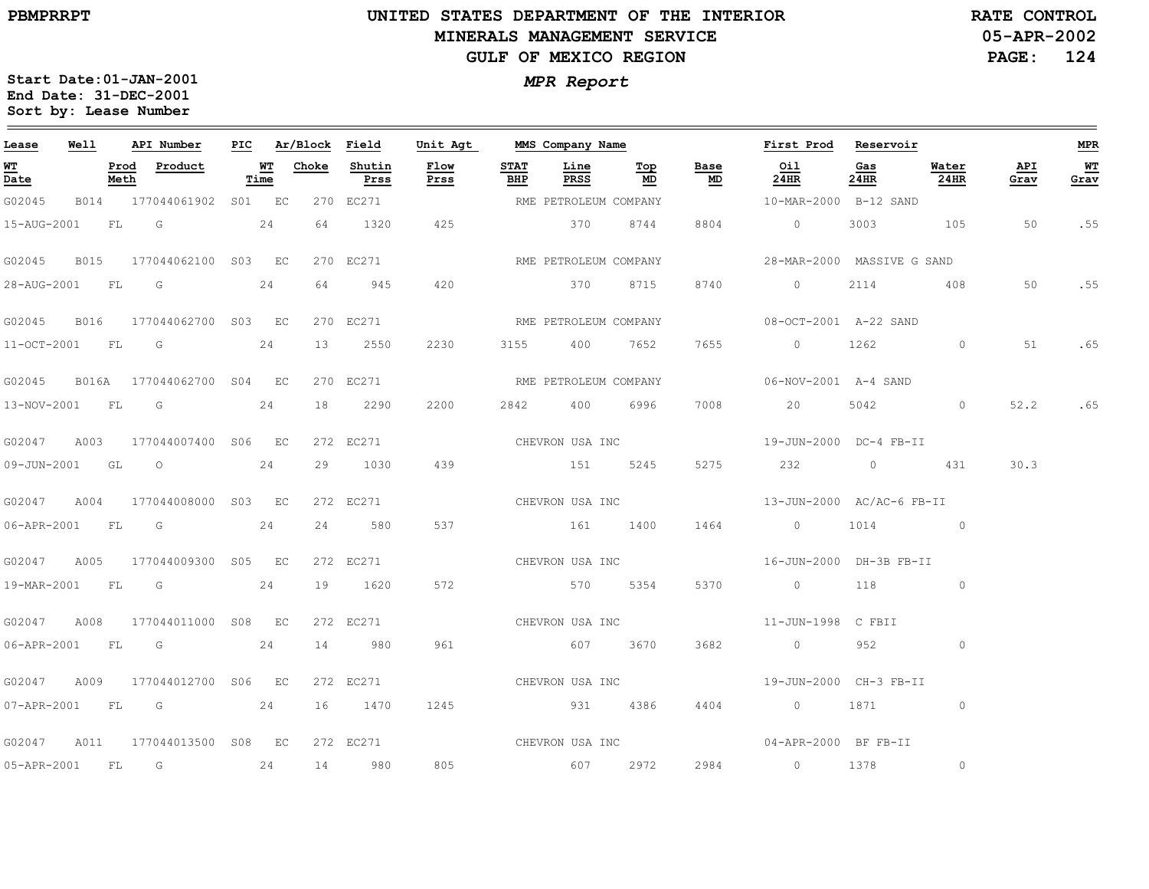#### **UNITED STATES DEPARTMENT OF THE INTERIOR MINERALS MANAGEMENT SERVICEGULF OF MEXICO REGION**

**05-APR-2002PAGE: 124 RATE CONTROL**

| Lease            | Well |      | API Number                      | PIC |            | Ar/Block Field |                | Unit Agt        |                    |                       | MMS Company Name |                 | First Prod                                     | Reservoir   |               |             | <b>MPR</b> |
|------------------|------|------|---------------------------------|-----|------------|----------------|----------------|-----------------|--------------------|-----------------------|------------------|-----------------|------------------------------------------------|-------------|---------------|-------------|------------|
| WT<br>Date       |      | Meth | Prod Product                    |     | WT<br>Time | Choke          | Shutin<br>Prss | Flow<br>Prss    | <b>STAT</b><br>BHP | Line<br>PRSS          | Тор<br>MD        | Base<br>MD      | Oil<br>24HR                                    | Gas<br>24HR | Water<br>24HR | API<br>Grav | WТ<br>Grav |
| G02045           |      |      | B014 177044061902 S01 EC        |     |            |                | 270 EC271      |                 |                    | RME PETROLEUM COMPANY |                  |                 | 10-MAR-2000 B-12 SAND                          |             |               |             |            |
|                  |      |      | 15-AUG-2001 FL G                |     | 24         | 64             | 1320           | 425             |                    | 370                   | 8744             | 8804            | $\overline{0}$                                 | 3003        | 105           | 50          | .55        |
| G02045           | B015 |      | 177044062100 S03 EC             |     |            |                | 270 EC271      |                 |                    | RME PETROLEUM COMPANY |                  |                 | 28-MAR-2000 MASSIVE G SAND                     |             |               |             |            |
| 28-AUG-2001 FL G |      |      |                                 |     | 24         | 64             | 945            | 420             |                    | 370 8715              |                  | 8740            | $\circ$                                        | 2114        | 408           | 50          | .55        |
| G02045 B016      |      |      | 177044062700 S03 EC             |     |            |                | 270 EC271      |                 |                    | RME PETROLEUM COMPANY |                  |                 | 08-OCT-2001 A-22 SAND                          |             |               |             |            |
|                  |      |      | $11-OCT-2001$ FL G              |     | 24         | 13             | 2550           | 2230            |                    | 3155 400 7652         |                  | 7655            | $\overline{0}$                                 | 1262        | $\circ$       | 51          | .65        |
| G02045           |      |      | B016A 177044062700 S04 EC       |     |            |                | 270 EC271      |                 |                    | RME PETROLEUM COMPANY |                  |                 | 06-NOV-2001 A-4 SAND                           |             |               |             |            |
| 13-NOV-2001 FL G |      |      |                                 |     | 24         | 18             | 2290           | 2200            | 2842               | 400                   | 6996             | 7008            | 20                                             | 5042        | $\circ$       | 52.2        | .65        |
|                  |      |      | G02047 A003 177044007400 S06 EC |     |            |                | 272 EC271      | CHEVRON USA INC |                    |                       |                  |                 | 19-JUN-2000 DC-4 FB-II                         |             |               |             |            |
|                  |      |      | 09-JUN-2001 GL 0 24             |     |            | 29             | 1030           | 439             |                    | 151 5245              |                  | 5275            | 232 0 431                                      |             |               | 30.3        |            |
| G02047           | A004 |      | 177044008000 S03 EC             |     |            |                | 272 EC271      |                 |                    |                       | CHEVRON USA INC  |                 | 13-JUN-2000 AC/AC-6 FB-II                      |             |               |             |            |
| 06-APR-2001 FL G |      |      |                                 |     | 24         | 24             | 580            | 537             |                    | 161 1400              |                  | 1464            | $\overline{0}$                                 |             | 1014 0        |             |            |
|                  |      |      | G02047 A005 177044009300 S05 EC |     |            |                | 272 EC271      |                 |                    |                       |                  |                 | CHEVRON USA INC 16-JUN-2000 DH-3B FB-II        |             |               |             |            |
|                  |      |      | 19-MAR-2001 FL G 24             |     |            |                | 19 1620        | 572             |                    | 570 5354              |                  | 5370            | $\begin{array}{ccc} & 0 & 118 & 0 \end{array}$ |             |               |             |            |
|                  |      |      | G02047 A008 177044011000 S08 EC |     |            |                | 272 EC271      |                 |                    |                       |                  |                 |                                                |             |               |             |            |
|                  |      |      | 06-APR-2001 FL G                |     | 24         | 14             | 980            | 961             |                    | 607 3670              |                  | 3682            | $\overline{0}$                                 | 952         | $\circ$       |             |            |
| G02047           | A009 |      | 177044012700 S06 EC             |     |            |                | 272 EC271      |                 |                    |                       |                  | CHEVRON USA INC | 19-JUN-2000 CH-3 FB-II                         |             |               |             |            |
|                  |      |      | 07-APR-2001 FL G 24             |     |            |                | 16 1470        | 1245            |                    | 931 4386              |                  | 4404            | $0$ 1871                                       |             | $\circ$       |             |            |
| G02047           |      |      | A011 177044013500 S08 EC        |     |            |                |                |                 |                    |                       |                  |                 | 272 EC271 CHEVRON USA INC 04-APR-2000 BF FB-II |             |               |             |            |
| 05-APR-2001 FL G |      |      |                                 |     | 24         |                | 14 980         | 805             |                    | 607 2972              |                  | 2984            | 0 1378                                         |             | $\circ$       |             |            |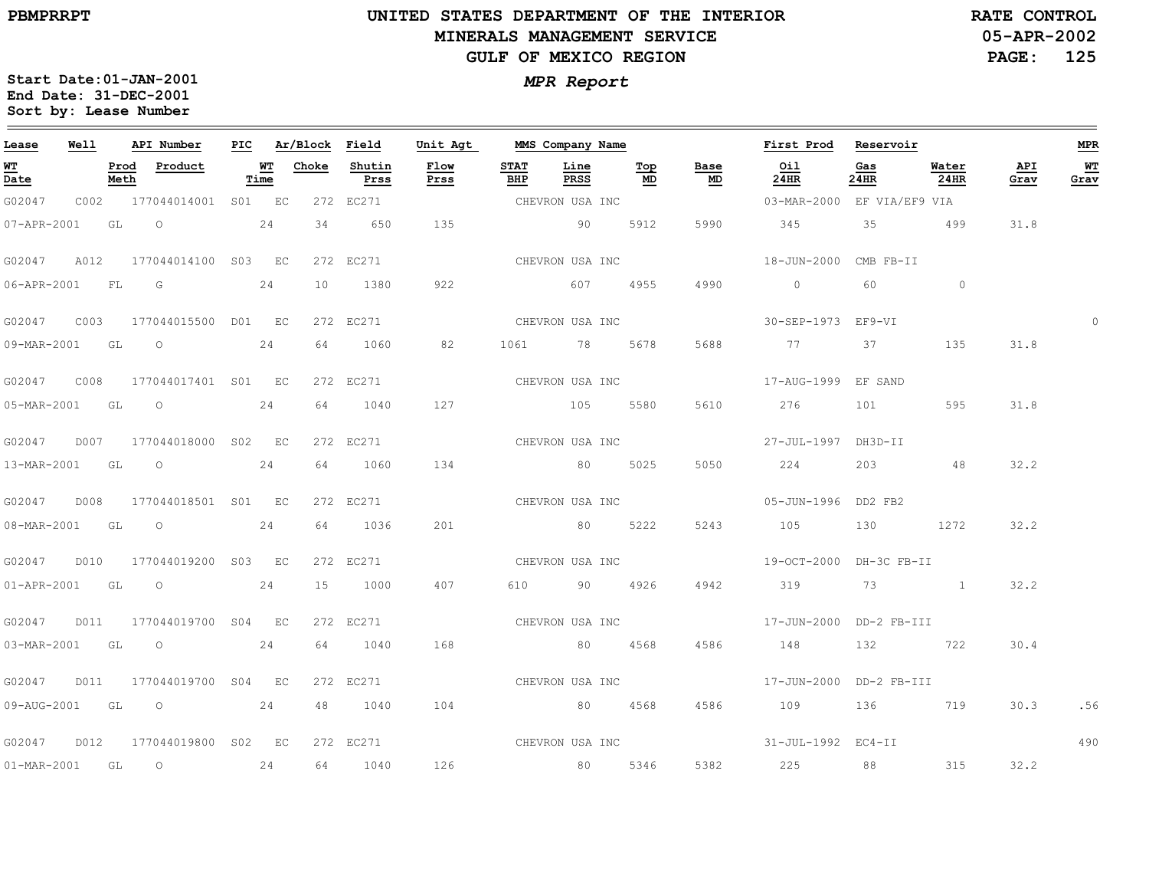$\equiv$ 

# **UNITED STATES DEPARTMENT OF THE INTERIORMINERALS MANAGEMENT SERVICEGULF OF MEXICO REGION**

**05-APR-2002PAGE: 125 RATE CONTROL**

 $\equiv$ 

**Start Date:01-JAN-2001Sort by: Lease Number** 

| End Date: 31-DEC-2001<br>Sort by: Lease Number |      |      | Start Date:01-JAN-2001 |     |                |        |          |      | <b>MPR Report</b> |    |
|------------------------------------------------|------|------|------------------------|-----|----------------|--------|----------|------|-------------------|----|
| ease                                           | Well |      | API Number             | PIC | Ar/Block Field |        | Unit Agt |      | MMS Company Name  |    |
| TT                                             |      | Prod | Product                | WТ  | Choke          | Shutin | ™ ∩w     | STAT | T.i n≙            | ጥሪ |

| Lease             | Well |              | API Number               | PIC |            | Ar/Block        | Field          | Unit Agt        |                    | MMS Company Name |           |            | First Prod                              | Reservoir                                                                                                                                                                                                                       |                      |             | <b>MPR</b> |
|-------------------|------|--------------|--------------------------|-----|------------|-----------------|----------------|-----------------|--------------------|------------------|-----------|------------|-----------------------------------------|---------------------------------------------------------------------------------------------------------------------------------------------------------------------------------------------------------------------------------|----------------------|-------------|------------|
| <b>WT</b><br>Date |      | Prod<br>Meth | Product                  |     | WT<br>Time | Choke           | Shutin<br>Prss | Flow<br>Prss    | <b>STAT</b><br>BHP | Line<br>PRSS     | Top<br>MD | Base<br>MD | Oil<br>24HR                             | Gas<br>24HR                                                                                                                                                                                                                     | Water<br>24HR        | API<br>Grav | WТ<br>Grav |
| G02047            | C002 |              | 177044014001 S01 EC      |     |            |                 | 272 EC271      |                 |                    | CHEVRON USA INC  |           |            | 03-MAR-2000 EF VIA/EF9 VIA              |                                                                                                                                                                                                                                 |                      |             |            |
| 07-APR-2001 GL    |      |              | $\overline{O}$           |     | 24         | 34              | 650            | 135             |                    | 90               | 5912      | 5990       | 345                                     | 35                                                                                                                                                                                                                              | 499                  | 31.8        |            |
| G02047            | A012 |              | 177044014100 S03 EC      |     |            |                 | 272 EC271      |                 |                    | CHEVRON USA INC  |           |            | 18-JUN-2000 CMB FB-II                   |                                                                                                                                                                                                                                 |                      |             |            |
| 06-APR-2001 FL G  |      |              |                          |     | 24         | 10 <sup>1</sup> | 1380           | 922             |                    | 607 60           | 4955      | 4990       | $\overline{0}$                          |                                                                                                                                                                                                                                 | 60<br>$\overline{0}$ |             |            |
| G02047            | C003 |              | 177044015500 D01 EC      |     |            |                 | 272 EC271      |                 |                    | CHEVRON USA INC  |           |            | 30-SEP-1973 EF9-VI                      |                                                                                                                                                                                                                                 |                      |             | $\Omega$   |
|                   |      |              | 09-MAR-2001 GL O         |     | 24         | 64              | 1060           | 82              |                    | 1061 78 5678     |           | 5688       | 77                                      | 37                                                                                                                                                                                                                              | 135                  | 31.8        |            |
| G02047            | C008 |              | 177044017401 S01 EC      |     |            |                 | 272 EC271      |                 |                    | CHEVRON USA INC  |           |            | 17-AUG-1999 EF SAND                     |                                                                                                                                                                                                                                 |                      |             |            |
| 05-MAR-2001 GL    |      |              | $\overline{O}$           |     | 24         | 64              | 1040           | 127             |                    | 105              | 5580      | 5610       | 276                                     | 101 — 101 — 101 — 102 — 102 — 103 — 104 — 104 — 104 — 104 — 104 — 104 — 105 — 106 — 107 — 108 — 108 — 108 — 108 — 108 — 108 — 108 — 108 — 108 — 108 — 108 — 108 — 108 — 108 — 108 — 108 — 108 — 108 — 108 — 108 — 108 — 108 — 1 | 595                  | 31.8        |            |
| G02047            |      |              | D007 177044018000 S02 EC |     |            |                 | 272 EC271      |                 |                    | CHEVRON USA INC  |           |            | 27-JUL-1997 DH3D-II                     |                                                                                                                                                                                                                                 |                      |             |            |
|                   |      |              | 13-MAR-2001 GL O         |     | 24         | 64              | 1060           | 134             |                    | 80               | 5025      | 5050       | 224                                     |                                                                                                                                                                                                                                 | 203 48               | 32.2        |            |
| G02047            | D008 |              | 177044018501 S01 EC      |     |            |                 | 272 EC271      |                 |                    | CHEVRON USA INC  |           |            | 05-JUN-1996 DD2 FB2                     |                                                                                                                                                                                                                                 |                      |             |            |
|                   |      |              | 08-MAR-2001 GL O         |     | 24         | 64              | 1036           | 201             |                    |                  | 80 5222   | 5243       | 105                                     | 130                                                                                                                                                                                                                             | 1272                 | 32.2        |            |
| G02047            |      |              | D010 177044019200 S03 EC |     |            |                 | 272 EC271      |                 |                    | CHEVRON USA INC  |           |            | 19-OCT-2000 DH-3C FB-II                 |                                                                                                                                                                                                                                 |                      |             |            |
|                   |      |              | $01 - APR - 2001$ GL $0$ |     | 24         | 15              | 1000           | 407             |                    | 610 90 4926      |           | 4942       | 319                                     |                                                                                                                                                                                                                                 | 73 1                 | 32.2        |            |
| G02047            | D011 |              | 177044019700 S04 EC      |     |            |                 | 272 EC271      |                 |                    |                  |           |            | CHEVRON USA INC 17-JUN-2000 DD-2 FB-III |                                                                                                                                                                                                                                 |                      |             |            |
|                   |      |              | 03-MAR-2001 GL O         |     | 24         | 64              | 1040           | 168             |                    |                  | 80 4568   | 4586       | 148                                     |                                                                                                                                                                                                                                 | 132 722              | 30.4        |            |
| G02047            |      |              | D011 177044019700 S04 EC |     |            |                 | 272 EC271      |                 |                    | CHEVRON USA INC  |           |            | 17-JUN-2000 DD-2 FB-III                 |                                                                                                                                                                                                                                 |                      |             |            |
|                   |      |              | 09-AUG-2001 GL O 24      |     |            | 48              | 1040           | 104             |                    | 80 4568          |           | 4586       | 109                                     |                                                                                                                                                                                                                                 | 136 719              | 30.3        | .56        |
| G02047            | D012 |              | 177044019800 S02 EC      |     |            |                 | 272 EC271      | CHEVRON USA INC |                    |                  |           |            | 31-JUL-1992 EC4-II                      |                                                                                                                                                                                                                                 |                      |             | 490        |
| 01-MAR-2001 GL O  |      |              |                          |     | 24         |                 | 64 1040        | 126             |                    | 80 5346          |           | 5382       | 225                                     | 88 - 100 - 100 - 100 - 100 - 100 - 100 - 100 - 100 - 100 - 100 - 100 - 100 - 100 - 100 - 100 - 100 - 100 - 100 - 100 - 100 - 100 - 100 - 100 - 100 - 100 - 100 - 100 - 100 - 100 - 100 - 100 - 100 - 100 - 100 - 100 - 100 - 10 | 315                  | 32.2        |            |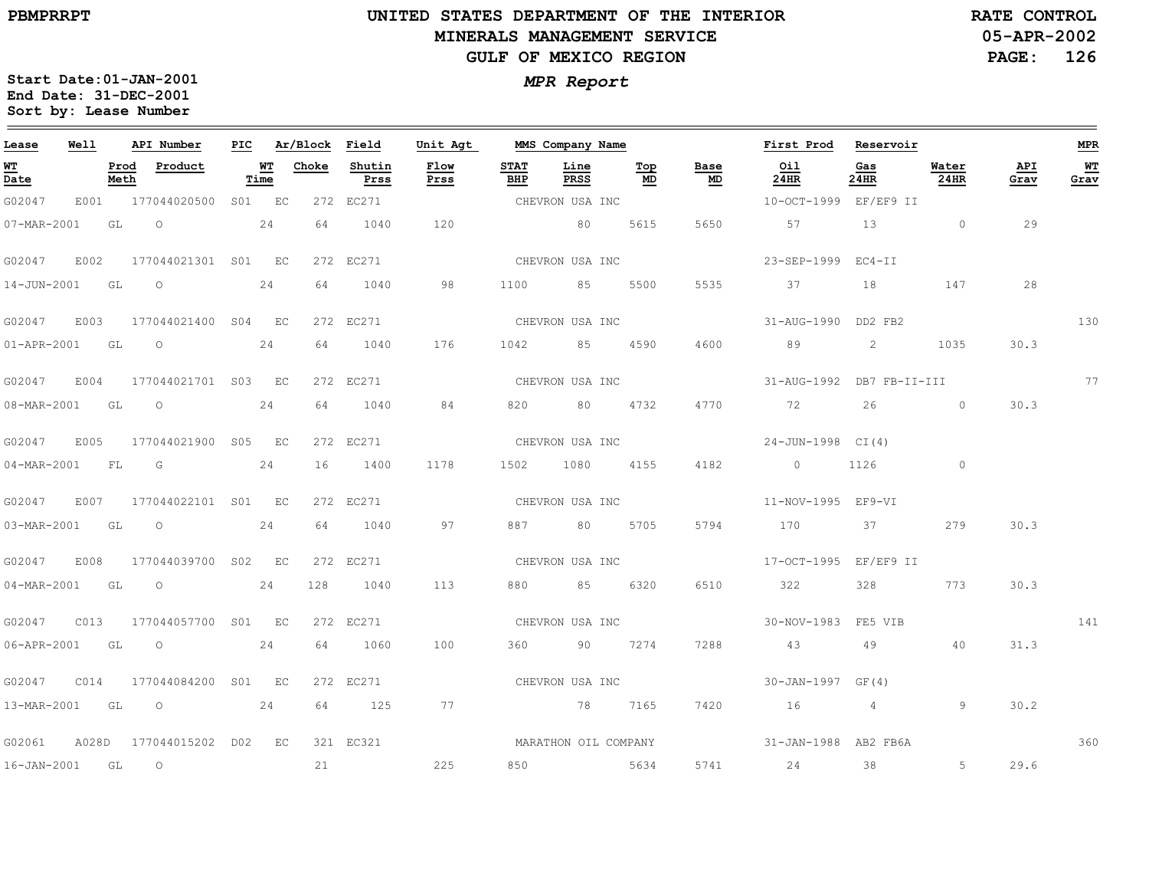$\equiv$ 

# **UNITED STATES DEPARTMENT OF THE INTERIOR MINERALS MANAGEMENT SERVICEGULF OF MEXICO REGION**

**05-APR-2002PAGE: 126 RATE CONTROL**

| Lease                                 | Well  |              | API Number          | PIC |            | Ar/Block Field |                | Unit Agt             |                    | MMS Company Name |           |            | First Prod                | Reservoir   |               |             | <b>MPR</b> |
|---------------------------------------|-------|--------------|---------------------|-----|------------|----------------|----------------|----------------------|--------------------|------------------|-----------|------------|---------------------------|-------------|---------------|-------------|------------|
| <b>WT</b><br>$\overline{\text{Date}}$ |       | Prod<br>Meth | Product             |     | WT<br>Time | Choke          | Shutin<br>Prss | Flow<br>Prss         | <b>STAT</b><br>BHP | Line<br>PRSS     | Top<br>MD | Base<br>MD | Oil<br>24HR               | Gas<br>24HR | Water<br>24HR | API<br>Grav | WT<br>Grav |
| G02047                                | E001  |              | 177044020500 S01 EC |     |            |                | 272 EC271      |                      |                    | CHEVRON USA INC  |           |            | 10-OCT-1999 EF/EF9 II     |             |               |             |            |
| 07-MAR-2001                           |       | GL           | $\overline{O}$      |     | 24         | 64             | 1040           | 120                  |                    | 80               | 5615      | 5650       | 57                        | 13          | $\sim$ 0      | 29          |            |
| G02047                                | E002  |              | 177044021301 S01 EC |     |            |                | 272 EC271      |                      |                    | CHEVRON USA INC  |           |            | 23-SEP-1999               | $EC4-TI$    |               |             |            |
| 14-JUN-2001                           |       | GL           | $\circ$             |     | 24         | 64             | 1040           | 98                   | 1100               | 85               | 5500      | 5535       | 37                        | 18          | 147           | 28          |            |
| G02047 E003                           |       |              | 177044021400 S04 EC |     |            |                | 272 EC271      |                      |                    | CHEVRON USA INC  |           |            | 31-AUG-1990 DD2 FB2       |             |               |             | 130        |
| 01-APR-2001 GL                        |       |              | $\overline{O}$      |     | 24         | 64             | 1040           | 176                  | 1042               | 85 —             | 4590      | 4600       | 89                        | 2           | 1035          | 30.3        |            |
| G02047                                | E004  |              | 177044021701 S03 EC |     |            |                | 272 EC271      |                      |                    | CHEVRON USA INC  |           |            | 31-AUG-1992 DB7 FB-II-III |             |               |             | 77         |
| 08-MAR-2001                           |       | GL           | $\circ$             |     | 24         | 64             | 1040           | 84                   | 820                | 80 —             | 4732      | 4770       | 72                        | 26          | $\sim$ 0      | 30.3        |            |
| G02047                                | E005  |              | 177044021900 S05 EC |     |            |                | 272 EC271      |                      |                    | CHEVRON USA INC  |           |            | 24-JUN-1998 CI(4)         |             |               |             |            |
| $04 - \text{MAR} - 2001$              |       | FL           | G                   |     | 24         | 16             | 1400           | 1178                 | 1502               | 1080             | 4155      | 4182       | $\overline{0}$            | 1126        | $\sim$ 0      |             |            |
| G02047                                | E007  |              | 177044022101 S01 EC |     |            |                | 272 EC271      |                      |                    | CHEVRON USA INC  |           |            | 11-NOV-1995 EF9-VI        |             |               |             |            |
| 03-MAR-2001 GL                        |       |              | $\overline{O}$      |     | 24         | 64             | 1040           | 97                   | 887 — 100          | 80 — 10          | 5705      | 5794       | 170                       | 37          | 279           | 30.3        |            |
| G02047                                | E008  |              | 177044039700 S02 EC |     |            |                | 272 EC271      |                      |                    | CHEVRON USA INC  |           |            | 17-OCT-1995 EF/EF9 II     |             |               |             |            |
| 04-MAR-2001                           |       | GL           | $\overline{O}$      |     | 24         | 128            | 1040           | 113                  | 880 — 100          | 85 6320          |           | 6510       | 322                       | 328         | 773           | 30.3        |            |
| G02047                                | C013  |              | 177044057700 S01 EC |     |            |                | 272 EC271      |                      |                    | CHEVRON USA INC  |           |            | 30-NOV-1983 FE5 VIB       |             |               |             | 141        |
| 06-APR-2001 GL                        |       |              | $\overline{O}$      |     | 24         | 64             | 1060           | 100                  | 360 360            |                  | 90 7274   | 7288       | 43                        | 49          | 40            | 31.3        |            |
| G02047                                | CO14  |              | 177044084200 S01 EC |     |            |                | 272 EC271      |                      |                    | CHEVRON USA INC  |           |            | 30-JAN-1997 GF(4)         |             |               |             |            |
|                                       |       |              | 13-MAR-2001 GL O 24 |     |            |                | 64 125         | 77                   |                    | 78 7165          |           | 7420       | $16$ 4                    |             | 9             | 30.2        |            |
| G02061                                | A028D |              | 177044015202 D02 EC |     |            |                | 321 EC321      | MARATHON OIL COMPANY |                    |                  |           |            | 31-JAN-1988 AB2 FB6A      |             |               |             | 360        |
| 16-JAN-2001 GL                        |       |              | $\overline{O}$      |     |            | 21             |                | 225                  | 850                | 5634             |           | 5741       | 24                        | 38          | $5 -$         | 29.6        |            |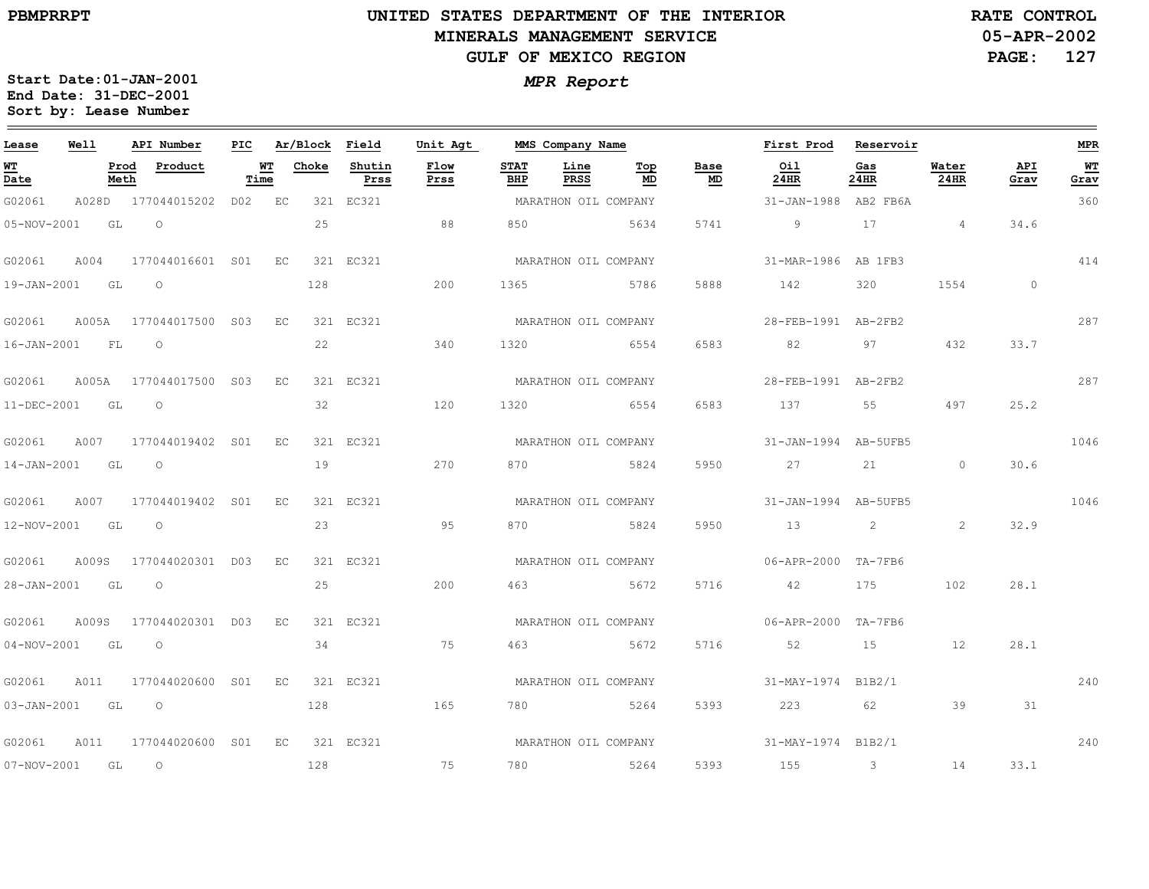# **UNITED STATES DEPARTMENT OF THE INTERIOR MINERALS MANAGEMENT SERVICEGULF OF MEXICO REGION**

**05-APR-2002 RATE CONTROL**

**PAGE: 127**

| Lease            | Well |      | API Number                                                  |      |                 | PIC Ar/Block Field | Unit Agt     |             | MMS Company Name     |           |            | First Prod Reservoir           |             |               |             | <b>MPR</b> |
|------------------|------|------|-------------------------------------------------------------|------|-----------------|--------------------|--------------|-------------|----------------------|-----------|------------|--------------------------------|-------------|---------------|-------------|------------|
| WT<br>Date       |      | Meth | Prod Product                                                | Time | <b>WT</b> Choke | Shutin<br>Prss     | Flow<br>Prss | STAT<br>BHP | Line<br>PRSS         | Top<br>MD | Base<br>MD | Oil<br>24HR                    | Gas<br>24HR | Water<br>24HR | API<br>Grav | WT<br>Grav |
| G02061           |      |      | A028D 177044015202 D02 EC                                   |      |                 | 321 EC321          |              |             | MARATHON OIL COMPANY |           |            | 31-JAN-1988 AB2 FB6A           |             |               |             | 360        |
| 05-NOV-2001 GL   |      |      | $\overline{O}$                                              |      | 25              |                    | 88           | 850         | 5634                 |           | 5741       | $\sim$ 9                       | 17 4        |               | 34.6        |            |
|                  |      |      | G02061 A004 177044016601 S01 EC 321 EC321                   |      |                 |                    |              |             | MARATHON OIL COMPANY |           |            | 31-MAR-1986 AB 1FB3            |             |               |             | 414        |
| 19-JAN-2001 GL O |      |      |                                                             |      | 128             |                    | 200          | 1365        | 5786                 |           | 5888       | 142                            | 320 320     | 1554 159      | $\circ$     |            |
|                  |      |      | G02061 A005A 177044017500 S03 EC 321 EC321                  |      |                 |                    |              |             | MARATHON OIL COMPANY |           |            | 28-FEB-1991 AB-2FB2            |             |               |             | 287        |
| 16-JAN-2001 FL O |      |      |                                                             |      |                 | 22                 | 340          | 1320        | 6554                 |           |            | 6583 82 97 432                 |             |               | 33.7        |            |
|                  |      |      | G02061 A005A 177044017500 S03 EC                            |      |                 | 321 EC321          |              |             | MARATHON OIL COMPANY |           |            | 28-FEB-1991 AB-2FB2            |             |               |             | 287        |
| 11-DEC-2001 GL O |      |      |                                                             |      | 32              |                    | 120          | 1320        | 6554                 |           | 6583       | 137 55                         |             | 497           | 25.2        |            |
|                  |      |      | G02061 A007 177044019402 S01 EC                             |      |                 | 321 EC321          |              |             | MARATHON OIL COMPANY |           |            | $31 - JAN - 1994$ $AB - 5UFB5$ |             |               |             | 1046       |
| 14-JAN-2001 GL O |      |      |                                                             |      | 19              |                    | 270          |             | 870 5824             |           |            | 5950 27 21 0 30.6              |             |               |             |            |
|                  |      |      | G02061 A007 177044019402 S01 EC 321 EC321                   |      |                 |                    |              |             | MARATHON OIL COMPANY |           |            | $31 - JAN - 1994$ $AB - 5UFR5$ |             |               |             | 1046       |
| 12-NOV-2001 GL O |      |      |                                                             |      | 23              |                    | 95           | 870         | 5824                 |           |            | 5950 13 2                      |             | 2             | 32.9        |            |
|                  |      |      | G02061 A009S 177044020301 D03 EC                            |      |                 | 321 EC321          |              |             | MARATHON OIL COMPANY |           |            | 06-APR-2000 TA-7FB6            |             |               |             |            |
| 28-JAN-2001 GL   |      |      | $\overline{O}$                                              |      | 25              |                    | 200          | 463         | 5672                 |           |            | 5716 42                        | 175         | 102           | 28.1        |            |
|                  |      |      | G02061 A009S 177044020301 D03 EC 321 EC321                  |      |                 |                    |              |             | MARATHON OIL COMPANY |           |            | 06-APR-2000 TA-7FB6            |             |               |             |            |
| 04-NOV-2001 GL   |      |      | $\overline{O}$                                              |      | 34              |                    | 75           | 463         | 5672                 |           |            | 5716 52 15 12                  |             |               | 28.1        |            |
|                  |      |      | G02061 A011 177044020600 S01 EC 321 EC321                   |      |                 |                    |              |             | MARATHON OIL COMPANY |           |            | 31-MAY-1974 B1B2/1             |             |               |             | 240        |
| 03-JAN-2001 GL O |      |      |                                                             |      | 128             |                    | 165          |             | 780 5264             |           | 5393       | 223 62                         |             | 39            | 31          |            |
|                  |      |      | G02061    A011    177044020600    S01    EC    321    EC321 |      |                 |                    |              |             | MARATHON OIL COMPANY |           |            | 31-MAY-1974 B1B2/1             |             |               |             | 240        |
| 07-NOV-2001 GL O |      |      |                                                             |      | 128             |                    | 75           |             | 780 5264             |           |            | 5393 155 3                     |             |               | 14 33.1     |            |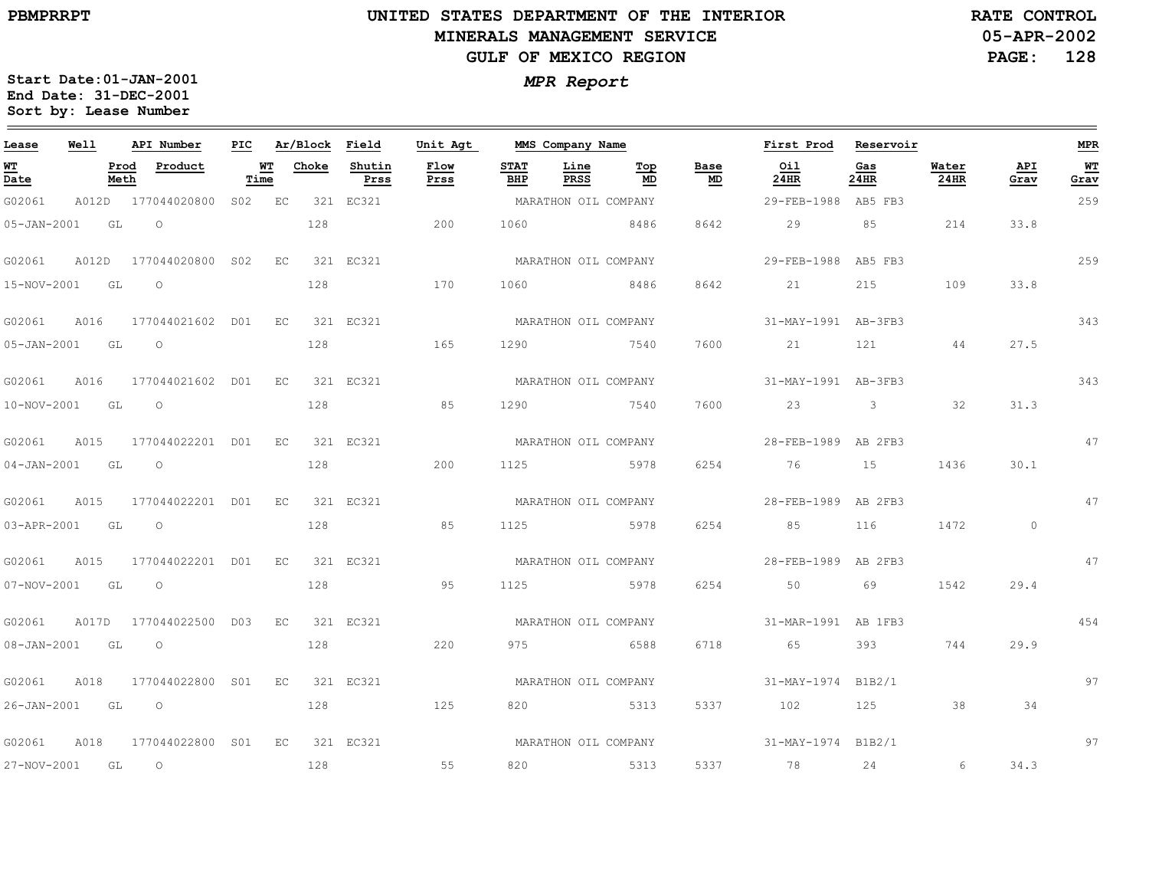# **UNITED STATES DEPARTMENT OF THE INTERIOR MINERALS MANAGEMENT SERVICEGULF OF MEXICO REGION**

**05-APR-2002RATE CONTROL**

**PAGE: 128**

| Lease             | Well  | API Number                     |        |             |       | PIC Ar/Block Field | Unit Agt     |                    | MMS Company Name     |                         | First Prod          | Reservoir               |               |             | <b>MPR</b> |
|-------------------|-------|--------------------------------|--------|-------------|-------|--------------------|--------------|--------------------|----------------------|-------------------------|---------------------|-------------------------|---------------|-------------|------------|
| <u>WT</u><br>Date |       | Product<br>Prod<br>Meth        | Time   | WТ          | Choke | Shutin<br>Prss     | Flow<br>Prss | <b>STAT</b><br>BHP | Line<br>PRSS         | Base<br>Top<br>MD<br>MD | Oil<br>24HR         | Gas<br>24HR             | Water<br>24HR | API<br>Grav | WТ<br>Grav |
| G02061            | A012D | 177044020800                   | S02 EC |             |       | 321 EC321          |              |                    | MARATHON OIL COMPANY |                         | 29-FEB-1988         | AB5 FB3                 |               |             | 259        |
| 05-JAN-2001       |       | GL<br>$\Omega$                 |        |             | 128   |                    | 200          | 1060               | 8486                 | 8642                    | 29                  | 85                      | 214           | 33.8        |            |
| G02061            | A012D | 177044020800 S02               |        | $E_{\rm C}$ |       | 321 EC321          |              |                    | MARATHON OIL COMPANY |                         | 29-FEB-1988 AB5 FB3 |                         |               |             | 259        |
| $15 - NOV - 2001$ |       | GL<br>$\circ$                  |        |             | 128   |                    | 170          | 1060               | 8486                 | 8642                    | 21                  | 215                     | 109           | 33.8        |            |
| G02061            | A016  | 177044021602 D01               |        | EC          |       | 321 EC321          |              |                    | MARATHON OIL COMPANY |                         | 31-MAY-1991 AB-3FB3 |                         |               |             | 343        |
| $05 - JAN - 2001$ |       | GL<br>$\Omega$                 |        |             | 128   |                    | 165          | 1290               | 7540                 | 7600                    | 21                  | 121                     | 44            | 27.5        |            |
| G02061            | A016  | 177044021602 D01               |        | EC          |       | 321 EC321          |              |                    | MARATHON OIL COMPANY |                         | 31-MAY-1991 AB-3FB3 |                         |               |             | 343        |
| $10 - NOV - 2001$ |       | GL<br>$\circ$                  |        |             | 128   |                    | 85           | 1290               | 7540                 | 7600                    | 23                  | $\overline{\mathbf{3}}$ | 32            | 31.3        |            |
| G02061            | A015  | 177044022201 D01               |        | EC          |       | 321 EC321          |              |                    | MARATHON OIL COMPANY |                         | 28-FEB-1989 AB 2FB3 |                         |               |             | 47         |
| 04-JAN-2001 GL    |       | $\circ$                        |        |             | 128   |                    | 200          | 1125               | 5978                 | 6254                    | 76                  | 15                      | 1436          | 30.1        |            |
| G02061            | A015  | 177044022201 D01               |        | EC.         |       | 321 EC321          |              |                    | MARATHON OIL COMPANY |                         | 28-FEB-1989         | AB 2FB3                 |               |             | 47         |
| 03-APR-2001       |       | $\circ$<br>GL                  |        |             | 128   |                    | 85           | 1125               | 5978                 | 6254                    | 85                  | 116                     | 1472          | $\circ$     |            |
| G02061            | A015  | 177044022201 D01               |        | EC          |       | 321 EC321          |              |                    | MARATHON OIL COMPANY |                         | 28-FEB-1989         | AB 2FB3                 |               |             | 47         |
| 07-NOV-2001       |       | $\circ$<br>GL                  |        |             | 128   |                    | 95           | 1125               | 5978                 | 6254                    | 50                  | 69                      | 1542          | 29.4        |            |
| G02061            | A017D | 177044022500 D03               |        | EC          |       | 321 EC321          |              |                    | MARATHON OIL COMPANY |                         | 31-MAR-1991 AB 1FB3 |                         |               |             | 454        |
| $08 - JAN - 2001$ |       | GL<br>$\circ$                  |        |             | 128   |                    | 220          | 975                | 6588                 | 6718                    | 65                  | 393                     | 744           | 29.9        |            |
| G02061            | A018  | 177044022800 S01               |        | EC          |       | 321 EC321          |              |                    | MARATHON OIL COMPANY |                         | 31-MAY-1974         | B1B2/1                  |               |             | 97         |
| 26-JAN-2001 GL    |       | $\circ$                        |        |             | 128   |                    | 125          | 820                | 5313                 | 5337                    | 102                 | 125                     | 38            | 34          |            |
| G02061            | A018  | 177044022800 S01 EC            |        |             |       | 321 EC321          |              |                    | MARATHON OIL COMPANY |                         | 31-MAY-1974 B1B2/1  |                         |               |             | 97         |
| 27-NOV-2001       |       | $\overline{\phantom{0}}$<br>GL |        |             | 128   |                    | 55           | 820                | 5313                 | 5337                    | 78 24               |                         | 6             | 34.3        |            |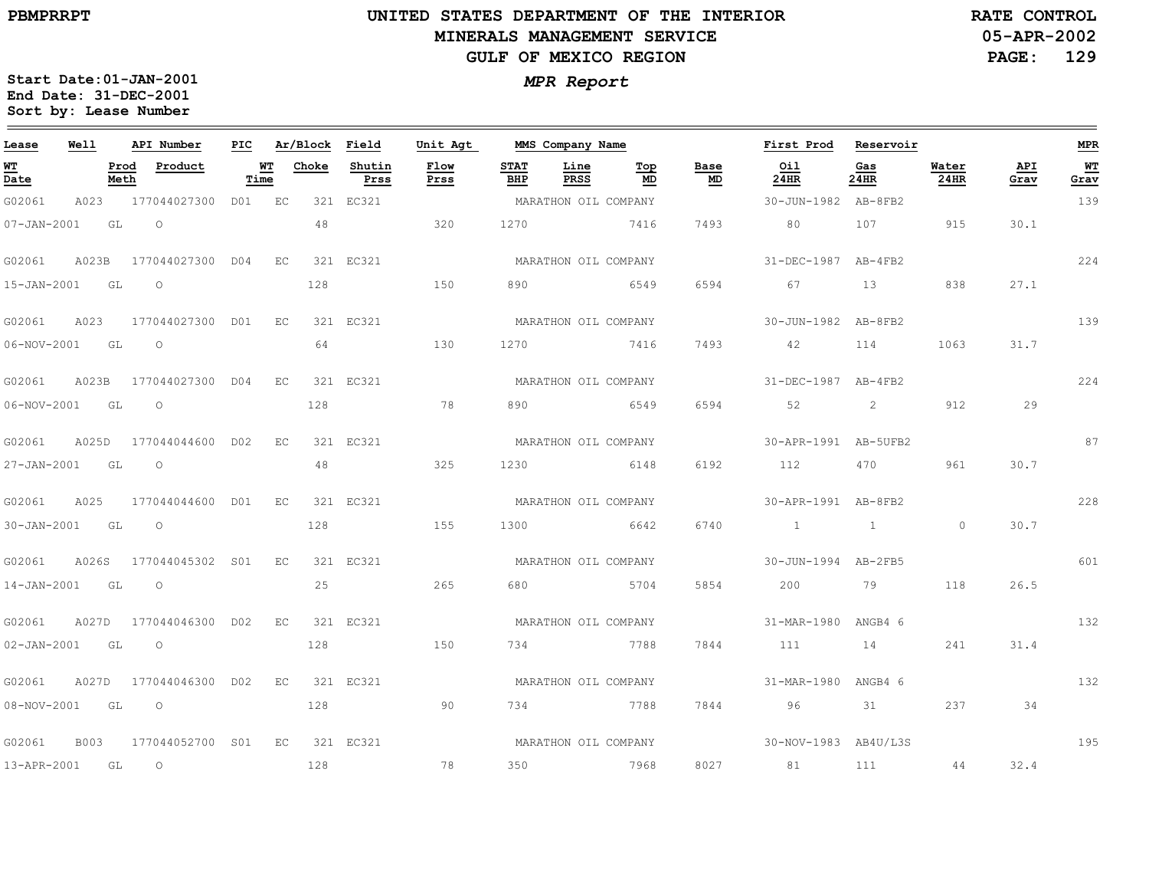# **UNITED STATES DEPARTMENT OF THE INTERIOR MINERALS MANAGEMENT SERVICEGULF OF MEXICO REGION**

**05-APR-2002RATE CONTROL**

**PAGE: 129**

| Lease             | Well  |              | API Number                |                   |    |       | PIC Ar/Block Field | Unit Agt             |                    | MMS Company Name     |           |            | First Prod Reservoir                      |                                                                                                                |               |             | <b>MPR</b> |
|-------------------|-------|--------------|---------------------------|-------------------|----|-------|--------------------|----------------------|--------------------|----------------------|-----------|------------|-------------------------------------------|----------------------------------------------------------------------------------------------------------------|---------------|-------------|------------|
| <b>WT</b><br>Date |       | Prod<br>Meth | Product                   | <b>WT</b><br>Time |    | Choke | Shutin<br>Prss     | Flow<br>Prss         | <b>STAT</b><br>BHP | Line<br>PRSS         | Тор<br>MD | Base<br>MD | Oil<br>24HR                               | Gas<br>24HR                                                                                                    | Water<br>24HR | API<br>Grav | WT<br>Grav |
| G02061            | A023  |              | 177044027300 D01 EC       |                   |    |       | 321 EC321          |                      |                    | MARATHON OIL COMPANY |           |            | 30-JUN-1982 AB-8FB2                       |                                                                                                                |               |             | 139        |
| $07 - JAN - 2001$ |       | GL           | $\overline{O}$            |                   |    | 48    |                    | 320                  | 1270               | 7416                 |           | 7493       | 80                                        | 107                                                                                                            | 915           | 30.1        |            |
| G02061            |       |              | A023B 177044027300 D04 EC |                   |    |       | 321 EC321          |                      |                    | MARATHON OIL COMPANY |           |            | 31-DEC-1987 AB-4FB2                       |                                                                                                                |               |             | 224        |
| 15-JAN-2001 GL    |       |              | $\overline{O}$            |                   |    | 128   |                    | 150                  | 890                | 6549                 |           | 6594       | 67                                        | 13                                                                                                             | 838           | 27.1        |            |
| G02061            | A023  |              | 177044027300 D01 EC       |                   |    |       | 321 EC321          |                      |                    | MARATHON OIL COMPANY |           |            | 30-JUN-1982 AB-8FB2                       |                                                                                                                |               |             | 139        |
| 06-NOV-2001 GL    |       |              | $\overline{a}$            |                   |    | 64    |                    | 130                  |                    | 1270 7416            |           | 7493       | 42 114                                    |                                                                                                                | 1063          | 31.7        |            |
| G02061            | A023B |              | 177044027300 D04 EC       |                   |    |       | 321 EC321          |                      |                    | MARATHON OIL COMPANY |           |            | 31-DEC-1987 AB-4FB2                       |                                                                                                                |               |             | 224        |
| 06-NOV-2001 GL    |       |              | $\circ$                   |                   |    | 128   |                    | 78                   | 890                | 6549                 |           | 6594       | 52                                        | 2                                                                                                              | 912           | 29          |            |
| G02061            | A025D |              | 177044044600 D02 EC       |                   |    |       | 321 EC321          |                      |                    | MARATHON OIL COMPANY |           |            | 30-APR-1991 AB-5UFB2                      |                                                                                                                |               |             | 87         |
| 27-JAN-2001 GL    |       |              | $\circ$                   |                   |    | 48    |                    | 325                  | 1230               | 6148                 |           | 6192       | 112                                       | 470 — 170 — 170 — 170 — 170 — 170 — 170 — 170 — 171 — 172 — 172 — 172 — 172 — 172 — 172 — 172 — 172 — 172 — 17 | 961           | 30.7        |            |
| G02061 A025       |       |              | 177044044600 D01 EC       |                   |    |       | 321 EC321          |                      |                    | MARATHON OIL COMPANY |           |            | 30-APR-1991 AB-8FB2                       |                                                                                                                |               |             | 228        |
| 30-JAN-2001 GL    |       |              | $\overline{O}$            |                   |    | 128   |                    | 155                  | 1300               | 6642                 |           | 6740       | $\sim$ $\sim$ $\sim$ $\sim$ $\sim$ $\sim$ |                                                                                                                | $\Omega$      | 30.7        |            |
| G02061            |       |              | A026S 177044045302 S01 EC |                   |    |       | 321 EC321          |                      |                    | MARATHON OIL COMPANY |           |            | 30-JUN-1994 AB-2FB5                       |                                                                                                                |               |             | 601        |
| 14-JAN-2001       | GL GL |              | $\overline{O}$            |                   |    | 25    |                    | 265                  | 680                | 5704                 |           | 5854       | 200                                       | <b>19</b>                                                                                                      | 118           | 26.5        |            |
| G02061            |       |              | A027D 177044046300 D02 EC |                   |    |       | 321 EC321          |                      |                    | MARATHON OIL COMPANY |           |            | 31-MAR-1980 ANGB4 6                       |                                                                                                                |               |             | 132        |
| 02-JAN-2001 GL    |       |              | $\overline{O}$            |                   |    | 128   |                    | 150                  | 734                | 7788                 |           | 7844       | 111                                       | 14                                                                                                             | 241           | 31.4        |            |
| G02061            |       |              | A027D 177044046300 D02    |                   | EC |       | 321 EC321          |                      |                    | MARATHON OIL COMPANY |           |            | 31-MAR-1980 ANGB4 6                       |                                                                                                                |               |             | 132        |
| $08 - NOV - 2001$ | GL    |              | $\circ$                   |                   |    | 128   |                    | 90                   |                    | 734 7788             |           | 7844       | 96                                        | 31                                                                                                             | 237           | 34          |            |
| G02061            | B003  |              | 177044052700 S01 EC       |                   |    |       | 321 EC321          | MARATHON OIL COMPANY |                    |                      |           |            | $30-NOV-1983$ $AB4U/L3S$                  |                                                                                                                |               |             | 195        |
| 13-APR-2001 GL    |       |              | $\overline{O}$            |                   |    | 128   |                    | 78                   | 350                | 7968                 |           |            | 8027 81                                   | 111 44 32.4                                                                                                    |               |             |            |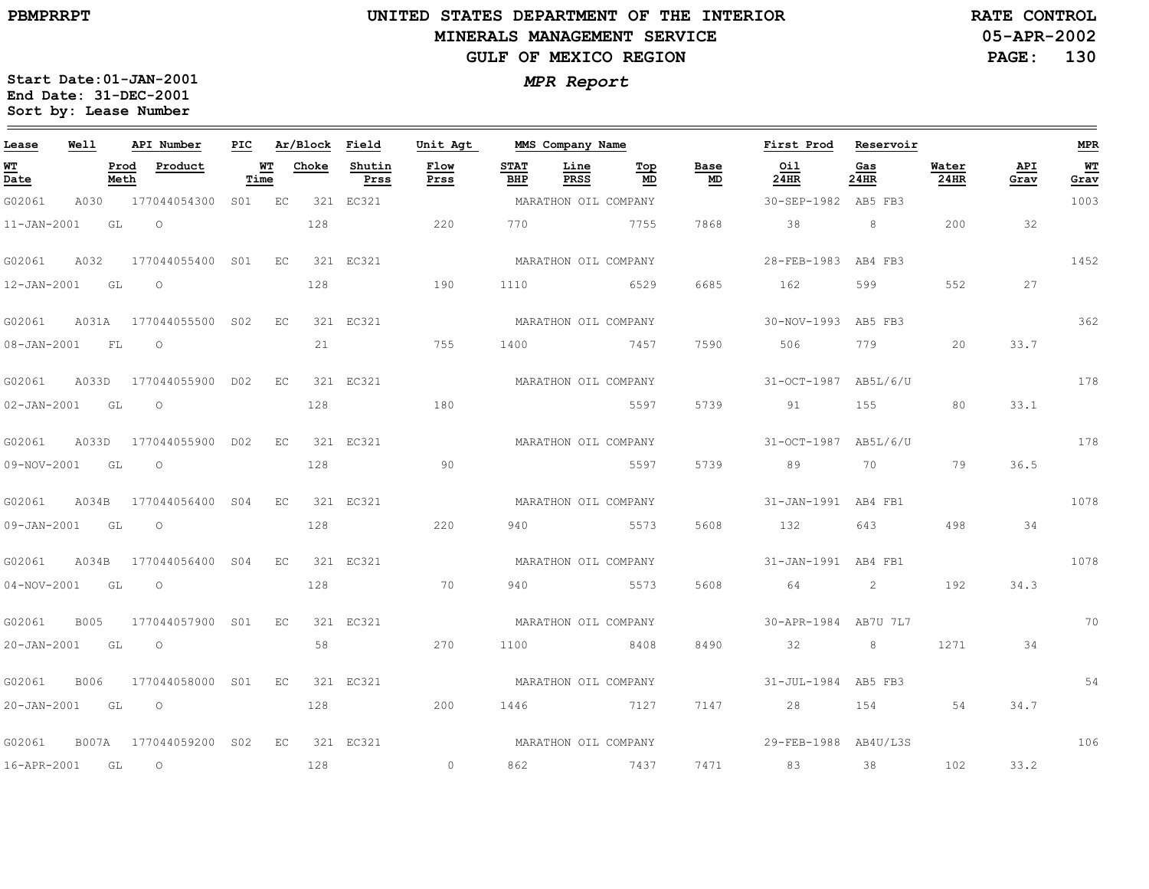$\equiv$ 

# **UNITED STATES DEPARTMENT OF THE INTERIOR MINERALS MANAGEMENT SERVICEGULF OF MEXICO REGION**

**05-APR-2002PAGE: 130 RATE CONTROL**

| Lease             | Well        |              | API Number       | PIC    |      | Ar/Block | Field          | Unit Agt       |                           | MMS Company Name     |           |            | First Prod           | Reservoir      |               |             | MPR        |
|-------------------|-------------|--------------|------------------|--------|------|----------|----------------|----------------|---------------------------|----------------------|-----------|------------|----------------------|----------------|---------------|-------------|------------|
| WТ<br>Date        |             | Prod<br>Meth | Product          | Time   | WТ   | Choke    | Shutin<br>Prss | Flow<br>Prss   | <b>STAT</b><br><b>BHP</b> | Line<br><b>PRSS</b>  | Top<br>MD | Base<br>MD | Oil<br>24HR          | Gas<br>24HR    | Water<br>24HR | API<br>Grav | WT<br>Grav |
| G02061            | A030        |              | 177044054300     | S01 EC |      |          | 321 EC321      |                |                           | MARATHON OIL COMPANY |           |            | 30-SEP-1982          | AB5 FB3        |               |             | 1003       |
| $11 - JAN - 2001$ |             | GL           | $\Omega$         |        |      | 128      |                | 220            | 770                       |                      | 7755      | 7868       | 38                   | 8              | 200           | 32          |            |
| G02061            | A032        |              | 177044055400     | S01    | E.C. |          | 321 RC321      |                |                           | MARATHON OIL COMPANY |           |            | 28-FEB-1983          | AB4 FB3        |               |             | 1452       |
| 12-JAN-2001       |             | GL           | $\Omega$         |        |      | 128      |                | 190            | 1110                      |                      | 6529      | 6685       | 162                  | 599            | 552           | 27          |            |
| G02061            | A031A       |              | 177044055500 SO2 |        | EC   |          | 321 EC321      |                |                           | MARATHON OIL COMPANY |           |            | 30-NOV-1993 AB5 FB3  |                |               |             | 362        |
| 08-JAN-2001       |             | FL           | $\circ$          |        |      | 21       |                | 755            | 1400                      | 7457                 |           | 7590       | 506                  | 779            | 20            | 33.7        |            |
| G02061            | A033D       |              | 177044055900     | D02    | EC   |          | 321 EC321      |                |                           | MARATHON OIL COMPANY |           |            | 31-OCT-1987 AB5L/6/U |                |               |             | 178        |
| $02 - JAN - 2001$ |             | GL           | $\circ$          |        |      | 128      |                | 180            |                           |                      | 5597      | 5739       | 91                   | 155            | 80            | 33.1        |            |
| G02061            | A033D       |              | 177044055900     | D02    | EC   |          | 321 EC321      |                |                           | MARATHON OIL COMPANY |           |            | 31-OCT-1987          | AB5L/6/U       |               |             | 178        |
| 09-NOV-2001       |             | GL           | $\circ$          |        |      | 128      |                | 90             |                           |                      | 5597      | 5739       | 89                   | 70             | 79            | 36.5        |            |
| G02061            | A034B       |              | 177044056400 S04 |        | EC   |          | 321 EC321      |                |                           | MARATHON OIL COMPANY |           |            | 31-JAN-1991 AB4 FB1  |                |               |             | 1078       |
| $09 - JAN - 2001$ |             | GL           | $\circ$          |        |      | 128      |                | 220            | 940                       |                      | 5573      | 5608       | 132                  | 643            | 498           | 34          |            |
| G02061            | A034B       |              | 177044056400 S04 |        | EC   |          | 321 EC321      |                |                           | MARATHON OIL COMPANY |           |            | 31-JAN-1991 AB4 FB1  |                |               |             | 1078       |
| $04 - NOV - 2001$ |             | GL           | $\circ$          |        |      | 128      |                | 70             | 940                       | 5573                 |           | 5608       | 64                   | $\overline{2}$ | 192           | 34.3        |            |
| G02061            | <b>B005</b> |              | 177044057900 S01 |        | EC   |          | 321 EC321      |                |                           | MARATHON OIL COMPANY |           |            | 30-APR-1984 AB7U 7L7 |                |               |             | 70         |
| 20-JAN-2001       | GL          |              | $\circ$          |        |      | 58       |                | 270            | 1100                      |                      | 8408      | 8490       | 32                   | 8              | 1271          | 34          |            |
| G02061            | B006        |              | 177044058000 S01 |        | EC   |          | 321 EC321      |                |                           | MARATHON OIL COMPANY |           |            | 31-JUL-1984 AB5 FB3  |                |               |             | 54         |
| $20 - JAN - 2001$ |             | GL           | $\circ$          |        |      | 128      |                | 200            | 1446                      | 7127                 |           | 7147       | 28                   | 154            | 54            | 34.7        |            |
| G02061            | B007A       |              | 177044059200     | S02    | EC   |          | 321 EC321      |                |                           | MARATHON OIL COMPANY |           |            | 29-FEB-1988          | AB4U/L3S       |               |             | 106        |
| 16-APR-2001       |             | GL           | $\circ$          |        |      | 128      |                | $\overline{0}$ | 862                       |                      | 7437      | 7471       | 83                   | 38             | 102           | 33.2        |            |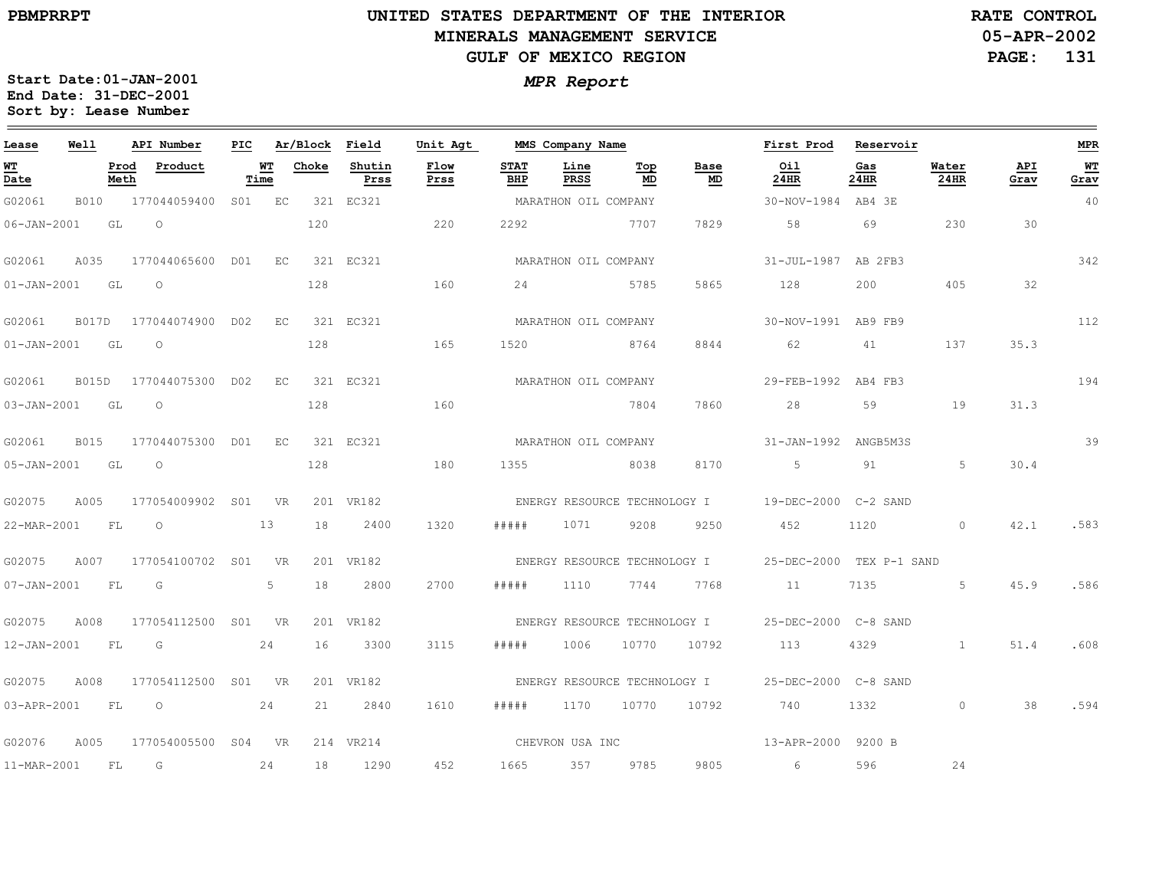# **UNITED STATES DEPARTMENT OF THE INTERIOR MINERALS MANAGEMENT SERVICEGULF OF MEXICO REGION**

**05-APR-2002RATE CONTROL**

**PAGE: 131**

| Lease             | Well        |              | API Number             | PIC |                | Ar/Block Field |                | Unit Agt     |                    | MMS Company Name             |           |                              | First Prod               | Reservoir   |               |             | MPR               |
|-------------------|-------------|--------------|------------------------|-----|----------------|----------------|----------------|--------------|--------------------|------------------------------|-----------|------------------------------|--------------------------|-------------|---------------|-------------|-------------------|
| WT<br>Date        |             | Prod<br>Meth | Product                |     | WТ<br>Time     | Choke          | Shutin<br>Prss | Flow<br>Prss | <b>STAT</b><br>BHP | Line<br>PRSS                 | Top<br>MD | Base<br>MD                   | Oil<br>24HR              | Gas<br>24HR | Water<br>24HR | API<br>Grav | <b>WT</b><br>Grav |
| G02061            | <b>B010</b> |              | 177044059400           | SO1 | EC             |                | 321 EC321      |              |                    | MARATHON OIL COMPANY         |           |                              | 30-NOV-1984 AB4 3E       |             |               |             | 40                |
| $06 - JAN - 2001$ |             | GL           | $\circ$                |     |                | 120            |                | 220          | 2292               |                              | 7707      | 7829                         | 58                       | 69          | 230           | 30          |                   |
| G02061            | A035        |              | 177044065600 D01       |     | $E_{\rm C}$    |                | 321 EC321      |              |                    | MARATHON OIL COMPANY         |           |                              | 31-JUL-1987 AB 2FB3      |             |               |             | 342               |
| $01 - JAN - 2001$ |             | GL           | $\circ$                |     |                | 128            |                | 160          | 24                 | 5785                         |           | 5865                         | 128                      | 200         | 405           | 32          |                   |
| G02061            |             |              | B017D 177044074900 D02 |     | EC             |                | 321 EC321      |              |                    | MARATHON OIL COMPANY         |           |                              | 30-NOV-1991 AB9 FB9      |             |               |             | 112               |
| $01 - JAN - 2001$ |             | GL           | $\circ$                |     |                | 128            |                | 165          | 1520               |                              | 8764      | 8844                         | 62                       | 41          | 137           | 35.3        |                   |
| G02061            | B015D       |              | 177044075300 D02       |     | EC             |                | 321 EC321      |              |                    | MARATHON OIL COMPANY         |           |                              | 29-FEB-1992 AB4 FB3      |             |               |             | 194               |
| $03 - JAN - 2001$ |             | GL           | $\circ$                |     |                | 128            |                | 160          |                    |                              | 7804      | 7860                         | 28                       | 59          | 19            | 31.3        |                   |
| G02061            | <b>B015</b> |              | 177044075300 D01 EC    |     |                |                | 321 EC321      |              |                    | MARATHON OIL COMPANY         |           |                              | 31-JAN-1992 ANGB5M3S     |             |               |             | 39                |
| 05-JAN-2001 GL    |             |              | $\circ$                |     |                | 128            |                | 180          | 1355               |                              | 8038      | 8170                         | $5^{\circ}$              | 91          | 5             | 30.4        |                   |
| G02075            | A005        |              | 177054009902 S01 VR    |     |                |                | 201 VR182      |              |                    | ENERGY RESOURCE TECHNOLOGY I |           |                              | 19-DEC-2000 C-2 SAND     |             |               |             |                   |
| 22-MAR-2001       |             | FL           | $\circ$                |     | 13             | 18             | 2400           | 1320         | # # # # #          | 1071                         | 9208      | 9250                         | 452                      | 1120        | $\Omega$      | 42.1        | .583              |
| G02075            | A007        |              | 177054100702 S01       |     | <b>VR</b>      |                | 201 VR182      |              |                    |                              |           | ENERGY RESOURCE TECHNOLOGY I | 25-DEC-2000 TEX P-1 SAND |             |               |             |                   |
| 07-JAN-2001       |             | FL           | G                      |     | 5 <sup>5</sup> | 18             | 2800           | 2700         | # # # # #          | 1110                         | 7744      | 7768                         | 11                       | 7135        | 5             | 45.9        | .586              |
| G02075            | A008        |              | 177054112500 S01 VR    |     |                |                | 201 VR182      |              |                    | ENERGY RESOURCE TECHNOLOGY I |           |                              | 25-DEC-2000 C-8 SAND     |             |               |             |                   |
| 12-JAN-2001       |             | FL           | G                      |     | 24             | 16             | 3300           | 3115         | #####              | 1006                         | 10770     | 10792                        | 113                      | 4329        | $\mathbf{1}$  | 51.4        | .608              |
| G02075            | A008        |              | 177054112500           |     | S01 VR         |                | 201 VR182      |              |                    | ENERGY RESOURCE TECHNOLOGY I |           |                              | 25-DEC-2000 C-8 SAND     |             |               |             |                   |
| 03-APR-2001       |             | FL           | $\overline{O}$         |     | 24             | 21             | 2840           | 1610         | # # # #            | 1170                         | 10770     | 10792                        | 740                      | 1332        | $\circ$       | 38          | .594              |
| G02076            | A005        |              | 177054005500 S04 VR    |     |                |                | 214 VR214      |              |                    | CHEVRON USA INC              |           |                              | 13-APR-2000 9200 B       |             |               |             |                   |
| 11-MAR-2001       |             | FL           | G                      |     | 24             | 18             | 1290           | 452          | 1665               | 357                          | 9785      | 9805                         | 6                        | 596         | 24            |             |                   |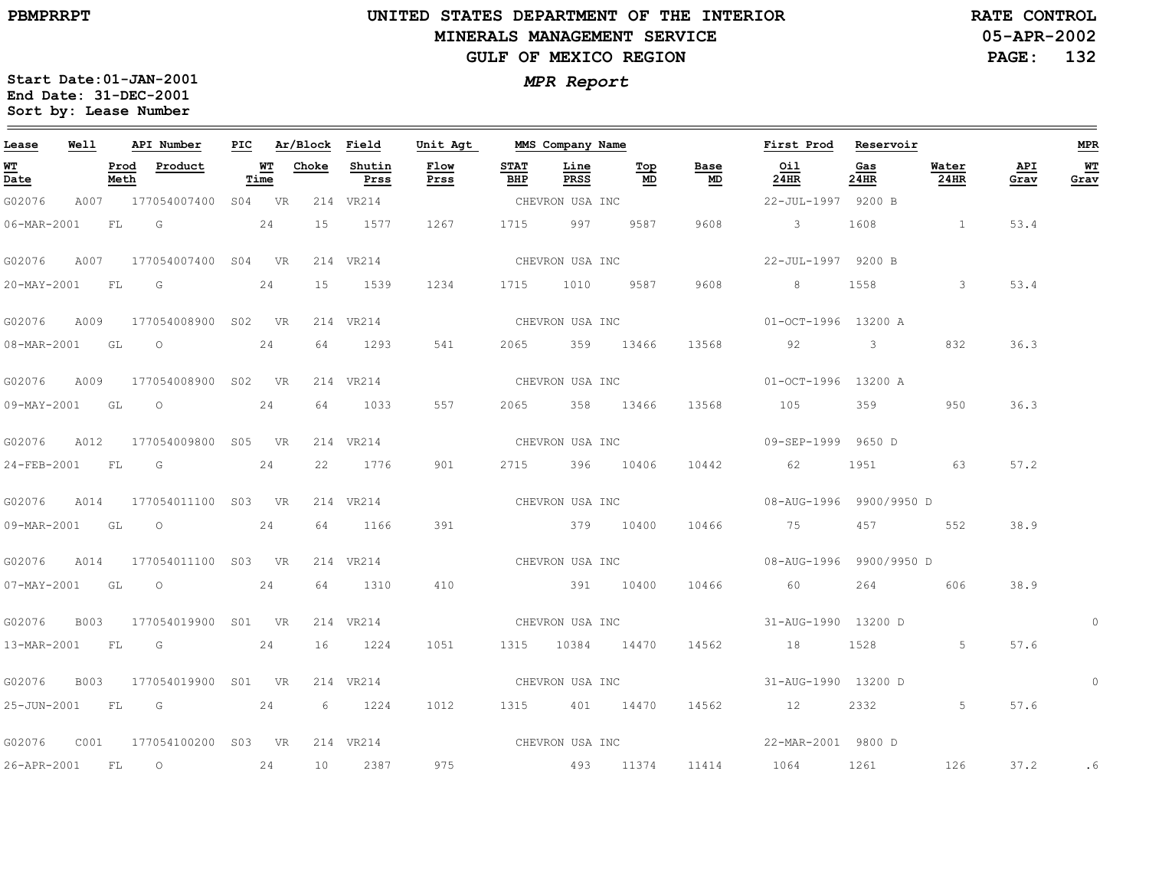$\equiv$ 

# **UNITED STATES DEPARTMENT OF THE INTERIOR MINERALS MANAGEMENT SERVICEGULF OF MEXICO REGION**

**05-APR-2002PAGE: 132 RATE CONTROL**

| Lease                    | Well        |              | API Number               | PIC |            | Ar/Block | Field          | Unit Agt        |                    | MMS Company Name |                                        |                                   | First Prod              | Reservoir   |                         |             | <b>MPR</b> |
|--------------------------|-------------|--------------|--------------------------|-----|------------|----------|----------------|-----------------|--------------------|------------------|----------------------------------------|-----------------------------------|-------------------------|-------------|-------------------------|-------------|------------|
| WT<br>Date               |             | Prod<br>Meth | Product                  |     | WТ<br>Time | Choke    | Shutin<br>Prss | Flow<br>Prss    | <b>STAT</b><br>BHP | Line<br>PRSS     | $\underline{\operatorname{Top}}$<br>MD | Base<br>$\underline{\mathsf{MD}}$ | Oil<br>24HR             | Gas<br>24HR | Water<br>24HR           | API<br>Grav | WT<br>Grav |
| G02076                   |             |              | A007 177054007400 S04 VR |     |            |          | 214 VR214      |                 |                    | CHEVRON USA INC  |                                        |                                   | 22-JUL-1997 9200 B      |             |                         |             |            |
| 06-MAR-2001              |             | FL           | G                        |     | 24         | 15       | 1577           | 1267            | 1715               | 997              | 9587                                   | 9608                              | $\overline{\mathbf{3}}$ | 1608        |                         | 53.4        |            |
| G02076                   | A007        |              | 177054007400 S04 VR      |     |            |          | 214 VR214      |                 |                    | CHEVRON USA INC  |                                        |                                   | 22-JUL-1997 9200 B      |             |                         |             |            |
| 20-MAY-2001              |             | FL           | G                        |     | 24         | 15       | 1539           | 1234            | 1715               | 1010             | 9587                                   | 9608                              | 8                       | 1558        | $\overline{\mathbf{3}}$ | 53.4        |            |
| G02076                   | A009        |              | 177054008900 S02 VR      |     |            |          | 214 VR214      |                 |                    | CHEVRON USA INC  |                                        |                                   | 01-OCT-1996 13200 A     |             |                         |             |            |
| 08-MAR-2001 GL O         |             |              |                          |     | 24         | 64       | 1293           | 541             | 2065               | 359 13466        |                                        | 13568                             | 92                      | $3 \sim$    | 832                     | 36.3        |            |
| G02076                   | A009        |              | 177054008900 S02 VR      |     |            |          | 214 VR214      | CHEVRON USA INC |                    |                  |                                        |                                   | 01-OCT-1996 13200 A     |             |                         |             |            |
| 09-MAY-2001 GL           |             |              | $\circ$                  |     | 24         | 64       | 1033           | 557             | 2065               |                  | 358 13466                              | 13568                             | 105                     | 359         | 950                     | 36.3        |            |
| G02076                   | A012        |              | 177054009800 S05 VR      |     |            |          | 214 VR214      |                 |                    | CHEVRON USA INC  |                                        |                                   | 09-SEP-1999 9650 D      |             |                         |             |            |
| 24-FEB-2001 FL G         |             |              |                          |     | 24         | 22       | 1776           | 901             |                    | 2715 396 10406   |                                        | 10442                             | 62                      | 1951        | 63                      | 57.2        |            |
| G02076                   | A014        |              | 177054011100 S03 VR      |     |            |          | 214 VR214      | CHEVRON USA INC |                    |                  |                                        |                                   | 08-AUG-1996 9900/9950 D |             |                         |             |            |
| 09-MAR-2001 GL           |             |              | $\overline{O}$           |     | 24         | 64       | 1166           | 391             |                    | 379 10400        |                                        | 10466                             | 75                      | 457         | 552                     | 38.9        |            |
| G02076                   | A014        |              | 177054011100 S03 VR      |     |            |          | 214 VR214      |                 |                    | CHEVRON USA INC  |                                        |                                   | 08-AUG-1996 9900/9950 D |             |                         |             |            |
| $07 - \text{MAX} - 2001$ |             | GL           | $\overline{O}$           |     | 24         | 64       | 1310           | 410             |                    | 391 10400        |                                        | 10466                             | 60                      | 264         | 606                     | 38.9        |            |
| G02076                   | <b>B003</b> |              | 177054019900 S01 VR      |     |            |          | 214 VR214      |                 |                    |                  |                                        | CHEVRON USA INC                   | 31-AUG-1990 13200 D     |             |                         |             |            |
| 13-MAR-2001              |             | FL           | $\overline{\mathbb{G}}$  |     | 24         | 16       | 1224           | 1051            |                    | 1315 10384 14470 |                                        | 14562                             | 18                      | 1528        | 5                       | 57.6        |            |
| G02076                   | <b>B003</b> |              | 177054019900 S01 VR      |     |            |          | 214 VR214      |                 |                    | CHEVRON USA INC  |                                        |                                   | 31-AUG-1990 13200 D     |             |                         |             | $\circ$    |
| 25-JUN-2001              |             | FL           | G                        |     | 24         | 6        | 1224           | 1012            |                    | 1315 401 14470   |                                        | 14562                             | 12                      | 2332        | 5                       | 57.6        |            |
| G02076                   | C001        |              | 177054100200 S03 VR      |     |            |          | 214 VR214      | CHEVRON USA INC |                    |                  |                                        |                                   | 22-MAR-2001 9800 D      |             |                         |             |            |
| 26-APR-2001              |             | FL           | $\circ$                  |     | 24         | 10       | 2387           | 975             |                    | 493 11374        |                                        | 11414                             | 1064                    | 1261        | 126                     | 37.2        | . 6        |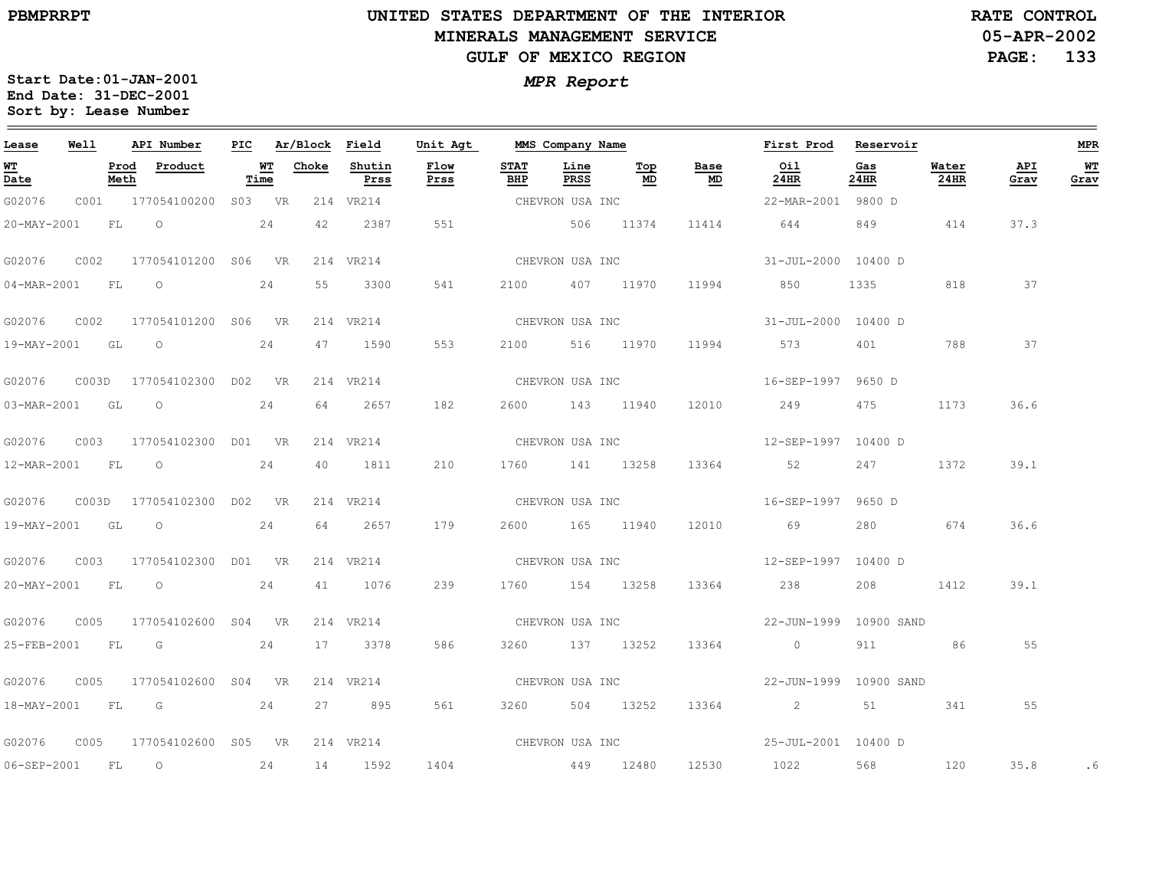#### **UNITED STATES DEPARTMENT OF THE INTERIOR MINERALS MANAGEMENT SERVICEGULF OF MEXICO REGION**

**05-APR-2002PAGE: 133 RATE CONTROL**

| Lease            | Well  |              | API Number                                                                                                                                                                                                                    | PIC |            | Ar/Block | Field          | Unit Agt        |                    | MMS Company Name |                 |                 | First Prod          | Reservoir                                                                                                                                                                                                                       |               |             | <b>MPR</b> |
|------------------|-------|--------------|-------------------------------------------------------------------------------------------------------------------------------------------------------------------------------------------------------------------------------|-----|------------|----------|----------------|-----------------|--------------------|------------------|-----------------|-----------------|---------------------|---------------------------------------------------------------------------------------------------------------------------------------------------------------------------------------------------------------------------------|---------------|-------------|------------|
| WT<br>Date       |       | Prod<br>Meth | Product                                                                                                                                                                                                                       |     | WТ<br>Time | Choke    | Shutin<br>Prss | Flow<br>Prss    | <b>STAT</b><br>BHP | Line<br>PRSS     | Тор<br>MD       | Base<br>MD      | Oil<br>24HR         | Gas<br>24HR                                                                                                                                                                                                                     | Water<br>24HR | API<br>Grav | WT<br>Grav |
| G02076           | C001  |              | 177054100200 S03 VR                                                                                                                                                                                                           |     |            |          | 214 VR214      |                 |                    | CHEVRON USA INC  |                 |                 | 22-MAR-2001 9800 D  |                                                                                                                                                                                                                                 |               |             |            |
| 20-MAY-2001      |       | FL           | $\circ$                                                                                                                                                                                                                       |     | 24         | 42       | 2387           | 551             |                    | 506 11374        |                 | 11414           | 644                 | 849                                                                                                                                                                                                                             | 414           | 37.3        |            |
| G02076           | C002  |              | 177054101200 S06 VR                                                                                                                                                                                                           |     |            |          | 214 VR214      |                 |                    | CHEVRON USA INC  |                 |                 | 31-JUL-2000 10400 D |                                                                                                                                                                                                                                 |               |             |            |
| 04-MAR-2001      |       | FL           | $\circ$                                                                                                                                                                                                                       |     | 24         | 55       | 3300           | 541             | 2100               |                  | 407 11970       | 11994           | 850                 | 1335                                                                                                                                                                                                                            | 818           | 37          |            |
| G02076           | C002  |              | 177054101200 S06 VR                                                                                                                                                                                                           |     |            |          | 214 VR214      |                 |                    |                  | CHEVRON USA INC |                 | 31-JUL-2000 10400 D |                                                                                                                                                                                                                                 |               |             |            |
| 19-MAY-2001 GL O |       |              |                                                                                                                                                                                                                               |     | 24         | 47       | 1590           | 553             | 2100               | 516 11970        |                 | 11994           | 573                 | 401                                                                                                                                                                                                                             | 788           | 37          |            |
| G02076           | C003D |              | 177054102300 D02 VR                                                                                                                                                                                                           |     |            |          | 214 VR214      |                 | CHEVRON USA INC    |                  |                 |                 | 16-SEP-1997 9650 D  |                                                                                                                                                                                                                                 |               |             |            |
| 03-MAR-2001      |       | GL           | $\circ$                                                                                                                                                                                                                       |     | 24         | 64       | 2657           | 182             | 2600               | 143 11940        |                 | 12010           | 249                 | 475                                                                                                                                                                                                                             | 1173          | 36.6        |            |
| G02076           | C003  |              | 177054102300 D01 VR                                                                                                                                                                                                           |     |            |          | 214 VR214      |                 |                    | CHEVRON USA INC  |                 |                 | 12-SEP-1997 10400 D |                                                                                                                                                                                                                                 |               |             |            |
|                  |       |              | 12-MAR-2001 FL 0                                                                                                                                                                                                              |     | 24         | 40       | 1811           | 210             |                    | 1760 141 13258   |                 | 13364           | 52                  | 247                                                                                                                                                                                                                             | 1372          | 39.1        |            |
| G02076           |       |              | C003D 177054102300 D02 VR                                                                                                                                                                                                     |     |            |          | 214 VR214      | CHEVRON USA INC |                    |                  |                 |                 | 16-SEP-1997 9650 D  |                                                                                                                                                                                                                                 |               |             |            |
| 19-MAY-2001 GL   |       |              | $\circ$                                                                                                                                                                                                                       |     | 24         | 64       | 2657           | 179             |                    | 2600 165 11940   |                 | 12010           | 69                  | 280                                                                                                                                                                                                                             | 674           | 36.6        |            |
| G02076           | C003  |              | 177054102300 D01 VR                                                                                                                                                                                                           |     |            |          | 214 VR214      |                 |                    | CHEVRON USA INC  |                 |                 | 12-SEP-1997 10400 D |                                                                                                                                                                                                                                 |               |             |            |
| 20-MAY-2001      |       |              | FL O                                                                                                                                                                                                                          |     | 24         | 41       | 1076           | 239             |                    | 1760 154 13258   |                 | 13364           | 238                 | 208 — 208 — 208 — 208 — 208 — 208 — 208 — 208 — 208 — 208 — 208 — 208 — 208 — 208 — 208 — 208 — 208 — 208 — 208 — 208 — 208 — 208 — 208 — 208 — 208 — 208 — 208 — 208 — 208 — 208 — 208 — 208 — 208 — 208 — 208 — 208 — 208 — 2 | 1412          | 39.1        |            |
| G02076           | C005  |              | 177054102600 S04 VR                                                                                                                                                                                                           |     |            |          | 214 VR214      |                 |                    |                  |                 | CHEVRON USA INC |                     | 22-JUN-1999 10900 SAND                                                                                                                                                                                                          |               |             |            |
| 25-FEB-2001      |       | FL           | $G$ and $G$ and $G$ and $G$ and $G$ and $G$ and $G$ and $G$ and $G$ and $G$ and $G$ and $G$ and $G$ and $G$ and $G$ and $G$ and $G$ and $G$ and $G$ and $G$ and $G$ and $G$ and $G$ and $G$ and $G$ and $G$ and $G$ and $G$ a |     | 24         | 17       | 3378           | 586             |                    | 3260 137 13252   |                 | 13364           | $\overline{0}$      | 911                                                                                                                                                                                                                             | 86            | 55          |            |
| G02076           | C005  |              | 177054102600 S04 VR                                                                                                                                                                                                           |     |            |          | 214 VR214      |                 |                    | CHEVRON USA INC  |                 |                 |                     | 22-JUN-1999 10900 SAND                                                                                                                                                                                                          |               |             |            |
| 18-MAY-2001      |       | FL           | $\overline{G}$                                                                                                                                                                                                                |     | 24         | 27       | 895            | 561             |                    | 3260 504 13252   |                 | 13364           | $\sim$ 2            | 51                                                                                                                                                                                                                              | 341           | 55          |            |
| G02076           | C005  |              | 177054102600 S05 VR                                                                                                                                                                                                           |     |            |          | 214 VR214      | CHEVRON USA INC |                    |                  |                 |                 | 25-JUL-2001 10400 D |                                                                                                                                                                                                                                 |               |             |            |
| 06-SEP-2001      |       | FL           | $\overline{O}$                                                                                                                                                                                                                |     | 24         | 14       | 1592           | 1404            | 449 12480          |                  |                 | 12530           | 1022                | 568                                                                                                                                                                                                                             | 120           | 35.8        | . 6        |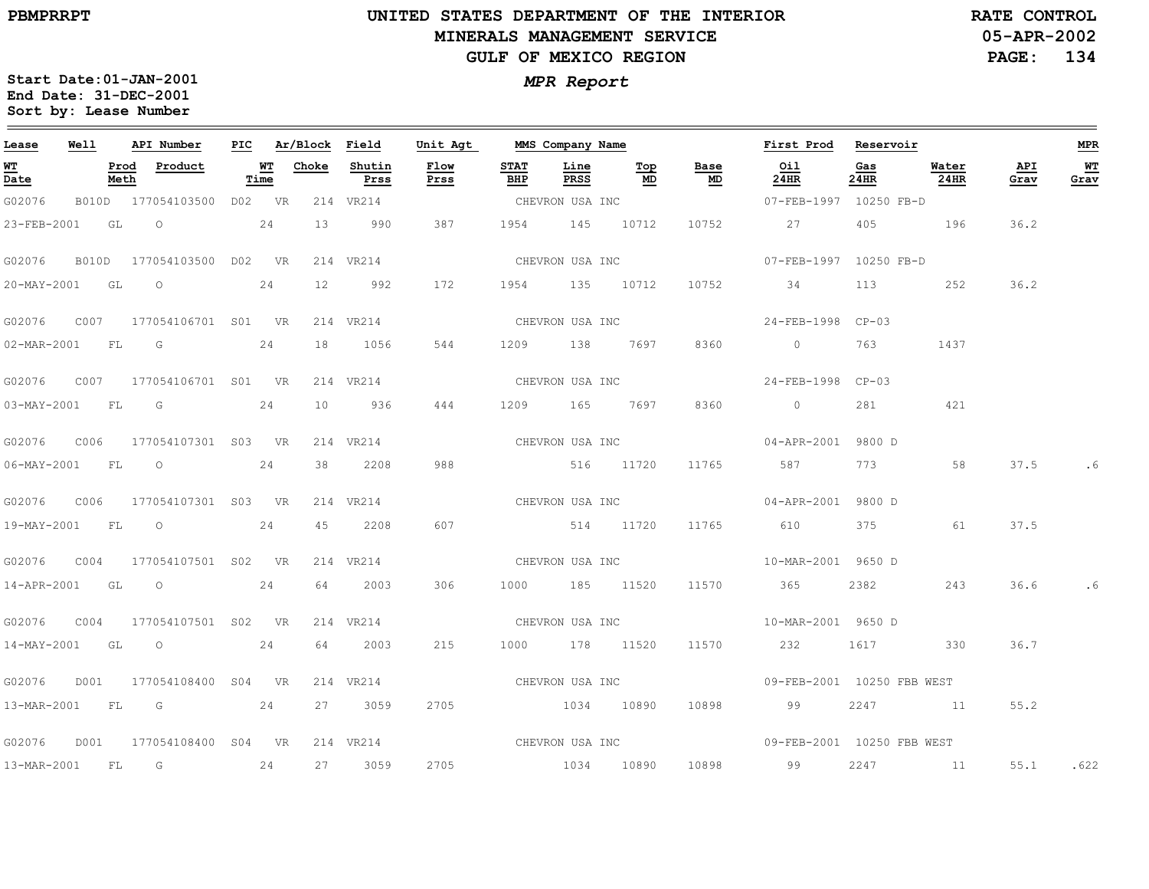# **UNITED STATES DEPARTMENT OF THE INTERIOR MINERALS MANAGEMENT SERVICEGULF OF MEXICO REGION**

**05-APR-2002PAGE: 134 RATE CONTROL**

| Lease            | Well |      | API Number                      |      | PIC Ar/Block Field |                | Unit Agt     |                    | MMS Company Name |                 |                                   | First Prod Reservoir                           |             |               |             | MPR        |
|------------------|------|------|---------------------------------|------|--------------------|----------------|--------------|--------------------|------------------|-----------------|-----------------------------------|------------------------------------------------|-------------|---------------|-------------|------------|
| WT<br>Date       |      | Meth | Prod Product                    | Time | <b>WT</b> Choke    | Shutin<br>Prss | Flow<br>Prss | <b>STAT</b><br>BHP | Line<br>PRSS     | Top<br>MD       | Base<br>$\underline{\mathbf{MD}}$ | Oil<br>$24$ HR                                 | Gas<br>24HR | Water<br>24HR | API<br>Grav | WТ<br>Grav |
| G02076           |      |      | B010D 177054103500 D02 VR       |      |                    | 214 VR214      |              | CHEVRON USA INC    |                  |                 |                                   | 07-FEB-1997 10250 FB-D                         |             |               |             |            |
| 23-FEB-2001      |      |      | $GL$ 0 24                       |      | 13                 | 990            | 387          |                    | 1954 145 10712   |                 | 10752                             | 27 27                                          |             | 405 196       | 36.2        |            |
| G02076           |      |      | B010D 177054103500 D02 VR       |      |                    | 214 VR214      |              |                    |                  | CHEVRON USA INC |                                   | 07-FEB-1997 10250 FB-D                         |             |               |             |            |
| 20-MAY-2001 GL O |      |      | 24                              |      |                    | 12 992         | 172          |                    |                  | 1954 135 10712  | 10752                             | 34                                             | 113         | 252           | 36.2        |            |
|                  |      |      |                                 |      |                    | 214 VR214      |              |                    |                  | CHEVRON USA INC |                                   | 24-FEB-1998 CP-03                              |             |               |             |            |
|                  |      |      | 02-MAR-2001 FL G 24             |      |                    | 18 1056        | 544          |                    | 1209 138 7697    |                 | 8360                              | $\overline{0}$                                 | 763         | 1437          |             |            |
| G02076           |      |      | C007 177054106701 S01 VR        |      |                    | 214 VR214      |              |                    | CHEVRON USA INC  |                 |                                   | 24-FEB-1998 CP-03                              |             |               |             |            |
| 03-MAY-2001 FL G |      |      |                                 | 24   | 10                 | 936            | 444          |                    | 1209 165 7697    |                 | 8360                              | $\sim$ 0                                       | 281         | 421           |             |            |
|                  |      |      |                                 |      |                    | 214 VR214      |              |                    | CHEVRON USA INC  |                 |                                   | 04-APR-2001 9800 D                             |             |               |             |            |
|                  |      |      | 06-MAY-2001 FL 0                | 24   | 38                 | 2208           | 988          |                    | 516 11720        |                 | 11765                             | 587                                            | 773 — 173   | 58            | 37.5        |            |
| G02076           |      |      | C006 177054107301 S03 VR        |      |                    | 214 VR214      |              |                    | CHEVRON USA INC  |                 |                                   | 04-APR-2001 9800 D                             |             |               |             |            |
| 19-MAY-2001 FL O |      |      |                                 | 24   | 45                 | 2208           | 607          |                    | 514 11720        |                 | 11765                             | 610                                            | 375         | 61            | 37.5        |            |
|                  |      |      |                                 |      |                    | 214 VR214      |              |                    |                  |                 | CHEVRON USA INC                   | 10-MAR-2001 9650 D                             |             |               |             |            |
|                  |      |      | 14-APR-2001 GL O                | 24   | 64                 | 2003           | 306          |                    | 1000 185 11520   |                 |                                   | 11570 365                                      | 2382 238    | 243           | 36.6        |            |
| G02076           |      |      | C004 177054107501 S02 VR        |      |                    | 214 VR214      |              |                    |                  |                 |                                   | CHEVRON USA INC 10-MAR-2001 9650 D             |             |               |             |            |
|                  |      |      | 14-MAY-2001 GL O                | 24   | 64                 | 2003           | 215          |                    | 1000 178 11520   |                 |                                   | 11570 232                                      |             | 1617 330      | 36.7        |            |
| G02076           |      |      | D001 177054108400 S04 VR        |      |                    | 214 VR214      |              | CHEVRON USA INC    |                  |                 |                                   | 09-FEB-2001 10250 FBB WEST                     |             |               |             |            |
|                  |      |      | 13-MAR-2001 FL G 24             |      |                    | 27 3059        | 2705         |                    | 1034 10890       |                 |                                   | 10898 99                                       |             | 2247 11       | 55.2        |            |
|                  |      |      | G02076 D001 177054108400 S04 VR |      |                    | 214 VR214      |              |                    |                  |                 |                                   | CHEVRON USA INC 600 09-FEB-2001 10250 FBB WEST |             |               |             |            |
| 13-MAR-2001 FL G |      |      | 24                              |      |                    | 27 3059        | 2705         | 1034 10890         |                  |                 |                                   | 10898 99                                       | 2247        | 11            | 55.1 .622   |            |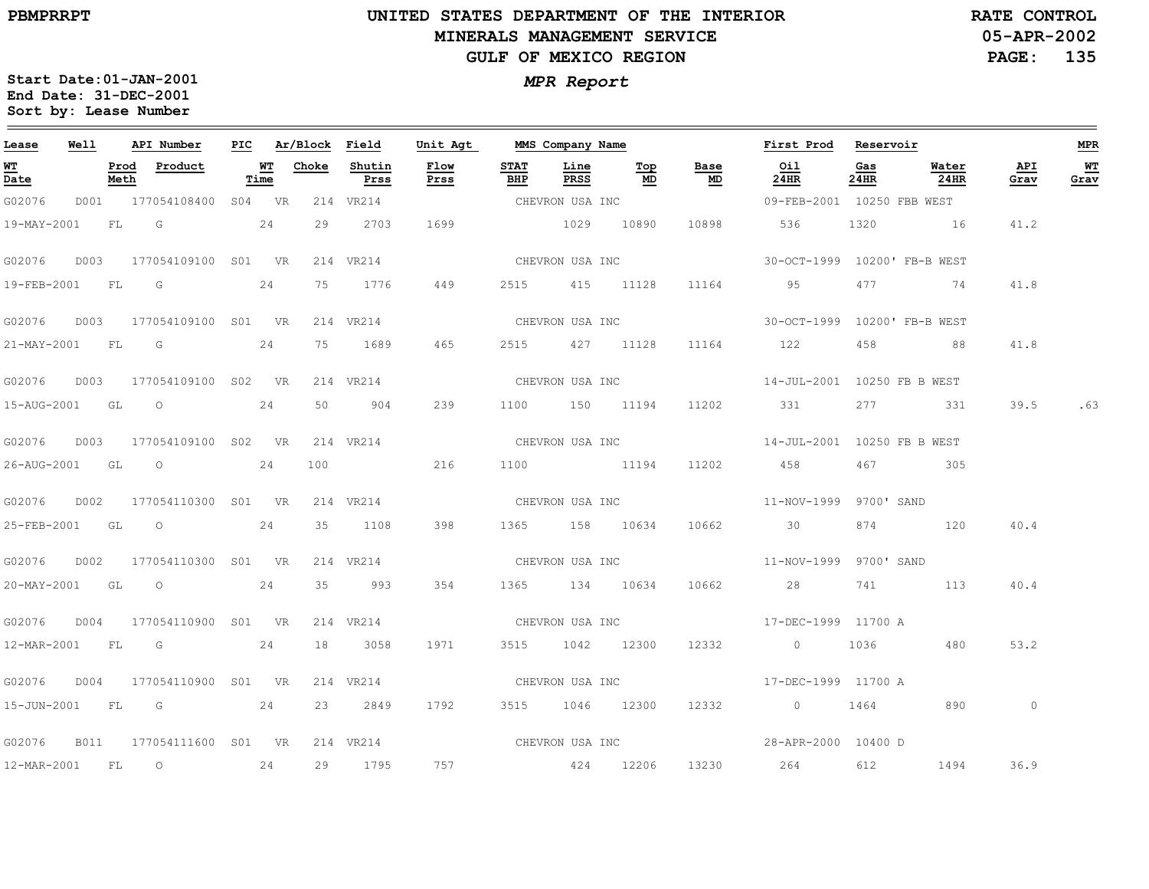#### **UNITED STATES DEPARTMENT OF THE INTERIOR MINERALS MANAGEMENT SERVICEGULF OF MEXICO REGION**

**05-APR-2002 PAGE: 135 RATE CONTROL**

| Lease             | <b>Well</b> |      | API Number                      |      | PIC Ar/Block Field |                | Unit Agt        |                    | MMS Company Name |                      |                                   | First Prod Reservoir                          |             |                  |             | MPR        |
|-------------------|-------------|------|---------------------------------|------|--------------------|----------------|-----------------|--------------------|------------------|----------------------|-----------------------------------|-----------------------------------------------|-------------|------------------|-------------|------------|
| <b>WT</b><br>Date |             | Meth | Prod Product                    | Time | <b>WT</b> Choke    | Shutin<br>Prss | Flow<br>Prss    | <b>STAT</b><br>BHP | Line<br>PRSS     | Тор<br>MD            | Base<br>$\underline{\mathsf{MD}}$ | Oil<br>24HR                                   | Gas<br>24HR | Water<br>$24$ HR | API<br>Grav | WТ<br>Grav |
| G02076            |             |      | D001 177054108400 S04 VR        |      |                    | 214 VR214      |                 |                    | CHEVRON USA INC  |                      |                                   | 09-FEB-2001 10250 FBB WEST                    |             |                  |             |            |
|                   |             |      | 19-MAY-2001 FL G 24             |      |                    | 29 2703        | 1699            |                    | 1029 10890       |                      | 10898                             | 536                                           |             | 1320 16          | 41.2        |            |
| G02076            |             |      | D003 177054109100 S01 VR        |      |                    | 214 VR214      |                 |                    |                  | CHEVRON USA INC      |                                   | 30-OCT-1999 10200' FB-B WEST                  |             |                  |             |            |
| 19-FEB-2001 FL G  |             |      | 24                              |      |                    | 75 1776        | 449             |                    |                  | 2515 415 11128 11164 |                                   | 95                                            | 477         | <u>74</u>        | 41.8        |            |
| G02076            |             |      | D003 177054109100 S01 VR        |      |                    | 214 VR214      |                 |                    |                  |                      | CHEVRON USA INC                   | 30-OCT-1999 10200' FB-B WEST                  |             |                  |             |            |
|                   |             |      | 21-MAY-2001 FL G 24             |      |                    | 75 1689        | 465             |                    | 2515 427 11128   |                      |                                   | 11164 122                                     | 458         | 88               | 41.8        |            |
| G02076            |             |      | D003 177054109100 S02 VR        |      |                    | 214 VR214      |                 |                    |                  | CHEVRON USA INC      |                                   | 14-JUL-2001 10250 FB B WEST                   |             |                  |             |            |
| 15-AUG-2001 GL O  |             |      |                                 | 24   |                    | 50 904         | 239             |                    | 1100 150 11194   |                      |                                   | 11202 331                                     | 277         | 331              |             | 39.5 .63   |
|                   |             |      | G02076 D003 177054109100 S02 VR |      |                    | 214 VR214      |                 |                    |                  | CHEVRON USA INC      |                                   | 14-JUL-2001 10250 FB B WEST                   |             |                  |             |            |
|                   |             |      | 26-AUG-2001 GL O                | 24   |                    | 100            | 216             |                    | 1100 11194       |                      | 11202                             | 458                                           | 467         | 305              |             |            |
|                   |             |      | G02076 D002 177054110300 S01 VR |      |                    | 214 VR214      | CHEVRON USA INC |                    |                  |                      |                                   | 11-NOV-1999 9700' SAND                        |             |                  |             |            |
| 25-FEB-2001 GL    |             |      | $\overline{O}$                  | 24   |                    | 35 1108        | 398             |                    | 1365 158 10634   |                      | 10662                             | $\sim$ 30                                     | 874         | 120              | 40.4        |            |
| G02076            |             |      | D002 177054110300 S01 VR        |      |                    | 214 VR214      |                 |                    |                  |                      |                                   |                                               |             |                  |             |            |
|                   |             |      | 20-MAY-2001 GL O 24             |      |                    | 35 993         | 354             |                    | 1365 134 10634   |                      | 10662                             | 28 741 113                                    |             |                  | 40.4        |            |
| G02076            |             |      | D004 177054110900 S01 VR        |      |                    | 214 VR214      |                 |                    |                  |                      |                                   |                                               |             |                  |             |            |
|                   |             |      | 12-MAR-2001 FL G 24             |      |                    | 18 3058        | 1971            |                    | 3515 1042 12300  |                      | 12332                             | $\overline{0}$                                | 1036        | 480              | 53.2        |            |
| G02076            |             |      | D004 177054110900 S01 VR        |      |                    | 214 VR214      |                 |                    | CHEVRON USA INC  |                      |                                   | 17-DEC-1999 11700 A                           |             |                  |             |            |
|                   |             |      | 15-JUN-2001 FL G 24             |      |                    | 23 2849        | 1792            |                    |                  |                      | 3515 1046 12300 12332             | 0 1464 890                                    |             |                  | $\circ$     |            |
|                   |             |      | G02076 B011 177054111600 S01 VR |      |                    |                |                 |                    |                  |                      |                                   | 214 VR214 CHEVRON USA INC 28-APR-2000 10400 D |             |                  |             |            |
| 12-MAR-2001 FL 0  |             |      | 24                              |      |                    | 29 1795        | 757             |                    | 424 12206        |                      | 13230                             | 264                                           | 612         | 1494             | 36.9        |            |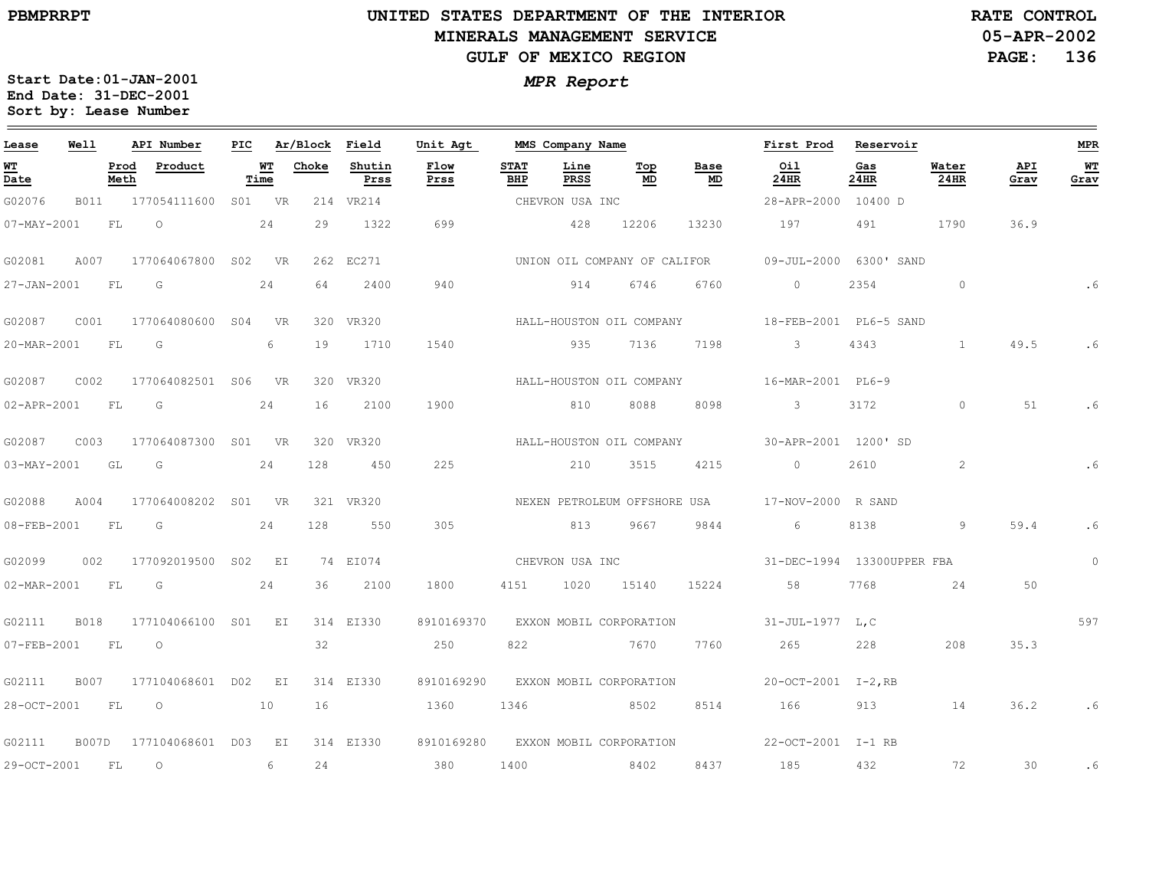#### **UNITED STATES DEPARTMENT OF THE INTERIOR MINERALS MANAGEMENT SERVICEGULF OF MEXICO REGION**

**05-APR-2002PAGE: 136 RATE CONTROL**

| Lease       | Well         |              | API Number          | PIC |            | Ar/Block Field |                | Unit Agt     |                    | MMS Company Name |                              |            | First Prod                 | Reservoir   |               |             | <b>MPR</b> |
|-------------|--------------|--------------|---------------------|-----|------------|----------------|----------------|--------------|--------------------|------------------|------------------------------|------------|----------------------------|-------------|---------------|-------------|------------|
| WT<br>Date  |              | Prod<br>Meth | Product             |     | WT<br>Time | Choke          | Shutin<br>Prss | Flow<br>Prss | <b>STAT</b><br>BHP | Line<br>PRSS     | Top<br>MD                    | Base<br>MD | Oil<br>24HR                | Gas<br>24HR | Water<br>24HR | API<br>Grav | WT<br>Grav |
| G02076      | B011         |              | 177054111600        |     | S01 VR     |                | 214 VR214      |              |                    | CHEVRON USA INC  |                              |            | 28-APR-2000                | 10400 D     |               |             |            |
| 07-MAY-2001 |              | FL.          | $\Omega$            |     | 24         | 29             | 1322           | 699          |                    | 428              | 12206                        | 13230      | 197                        | 491         | 1790          | 36.9        |            |
| G02081      | A007         |              | 177064067800 S02    |     | - VR       |                | 262 EC271      |              |                    |                  | UNION OIL COMPANY OF CALIFOR |            | $09 - JUL - 2000$          | 6300' SAND  |               |             |            |
| 27-JAN-2001 |              | FL           | G                   |     | 24         | 64             | 2400           | 940          |                    | 914              | 6746                         | 6760       | $\circ$                    | 2354        | $\circ$       |             | . 6        |
| G02087      | C001         |              | 177064080600 S04    |     | <b>VR</b>  | 320            | VR320          |              |                    |                  | HALL-HOUSTON OIL COMPANY     |            | 18-FEB-2001 PL6-5 SAND     |             |               |             |            |
| 20-MAR-2001 |              | FL           | G                   |     | 6          | 19             | 1710           | 1540         |                    | 935              | 7136                         | 7198       | $\overline{3}$             | 4343        | $\mathbf{1}$  | 49.5        | . 6        |
| G02087      | C002         |              | 177064082501 S06    |     | <b>VR</b>  |                | 320 VR320      |              |                    |                  | HALL-HOUSTON OIL COMPANY     |            | 16-MAR-2001 PL6-9          |             |               |             |            |
| 02-APR-2001 |              | FL           | G                   |     | 24         | 16             | 2100           | 1900         |                    | 810              | 8088                         | 8098       | $\mathcal{S}$              | 3172        | $\circ$       | 51          | . 6        |
| G02087      | C003         |              | 177064087300 S01 VR |     |            | 320            | <b>VR320</b>   |              |                    |                  | HALL-HOUSTON OIL COMPANY     |            | 30-APR-2001 1200'SD        |             |               |             |            |
| 03-MAY-2001 |              | GL           | G                   |     | 24         | 128            | 450            | 225          |                    | 210              | 3515                         | 4215       | $\circ$                    | 2610        | 2             |             |            |
| G02088      | A004         |              | 177064008202 S01    |     | <b>VR</b>  |                | 321 VR320      |              |                    |                  | NEXEN PETROLEUM OFFSHORE USA |            | 17-NOV-2000 R SAND         |             |               |             |            |
| 08-FEB-2001 |              | FL           | G                   |     | 24         | 128            | 550            | 305          |                    | 813              | 9667                         | 9844       | 6                          | 8138        | 9             | 59.4        | .6         |
| G02099      | 002          |              | 177092019500        | S02 | E I        |                | 74 EI074       |              |                    | CHEVRON USA INC  |                              |            | 31-DEC-1994 13300UPPER FBA |             |               |             | $\circ$    |
| 02-MAR-2001 |              | FL           | G                   |     | 24         | 36             | 2100           | 1800         | 4151               | 1020             | 15140                        | 15224      | 58                         | 7768        | 24            | 50          |            |
| G02111      | <b>B018</b>  |              | 177104066100 S01    |     | EI         |                | 314 EI330      | 8910169370   |                    |                  | EXXON MOBIL CORPORATION      |            | 31-JUL-1977 L,C            |             |               |             | 597        |
| 07-FEB-2001 |              | FL           | $\circ$             |     |            | 32             |                | 250          | 822                |                  | 7670                         | 7760       | 265                        | 228         | 208           | 35.3        |            |
| G02111      | <b>B007</b>  |              | 177104068601 D02    |     | ΕI         |                | 314 EI330      | 8910169290   |                    |                  | EXXON MOBIL CORPORATION      |            | 20-OCT-2001 I-2, RB        |             |               |             |            |
| 28-OCT-2001 |              | FL           | $\circ$             |     | 10         | 16             |                | 1360         | 1346               | 8502             |                              | 8514       | 166                        | 913         | 14            | 36.2        | .6         |
| G02111      | <b>B007D</b> |              | 177104068601 D03    |     | EI         |                | 314 EI330      | 8910169280   |                    |                  | EXXON MOBIL CORPORATION      |            | 22-OCT-2001 I-1 RB         |             |               |             |            |
| 29-OCT-2001 |              | FL           | $\circ$             |     | 6          | 24             |                | 380          | 1400               |                  | 8402                         | 8437       | 185                        | 432         | 72            | 30          | .6         |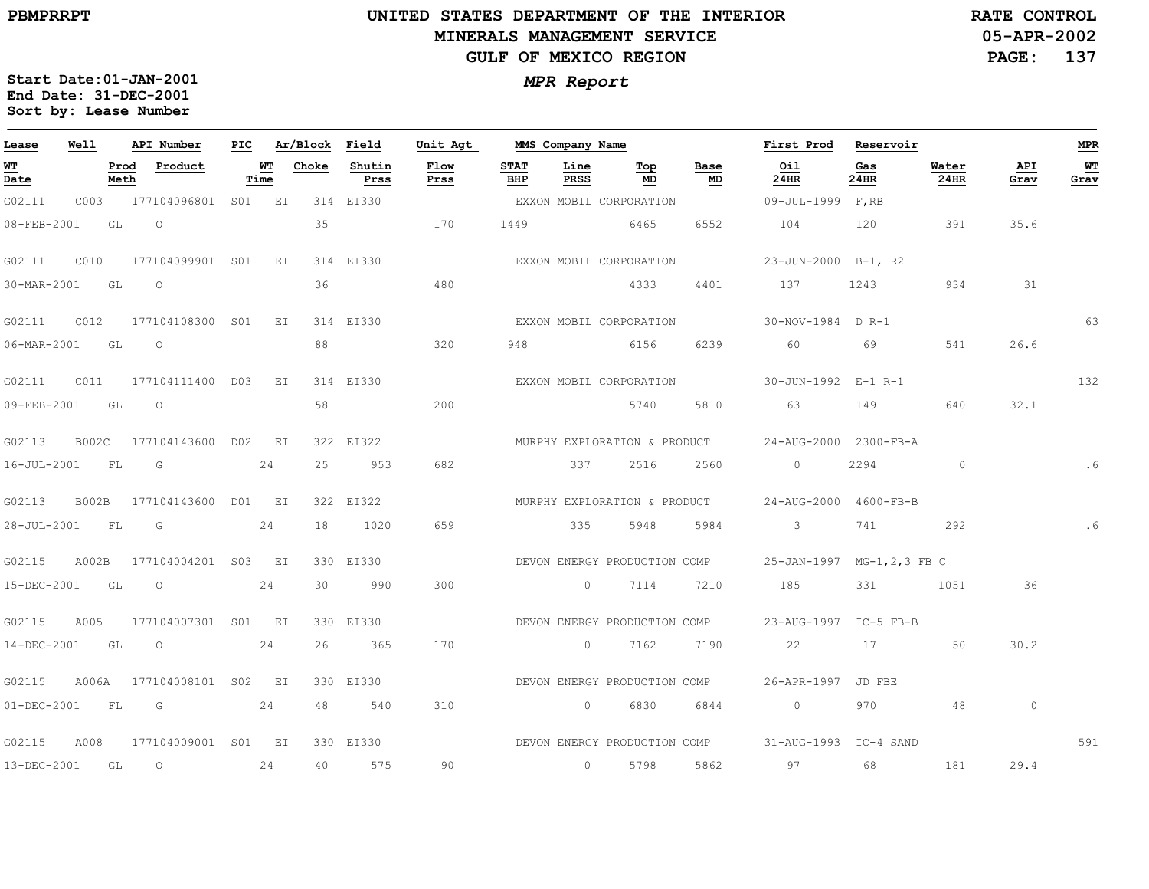$\equiv$ 

# **UNITED STATES DEPARTMENT OF THE INTERIOR MINERALS MANAGEMENT SERVICEGULF OF MEXICO REGION**

**05-APR-2002RATE CONTROL**

**PAGE: 137**

| Lease          | Well |              | API Number                | PIC |            | Ar/Block Field |                | Unit Agt     |                    | MMS Company Name |                              |            | First Prod                                         | Reservoir   |                |             | <b>MPR</b> |
|----------------|------|--------------|---------------------------|-----|------------|----------------|----------------|--------------|--------------------|------------------|------------------------------|------------|----------------------------------------------------|-------------|----------------|-------------|------------|
| WT<br>Date     |      | Prod<br>Meth | Product                   |     | WT<br>Time | Choke          | Shutin<br>Prss | Flow<br>Prss | <b>STAT</b><br>BHP | Line<br>PRSS     | Top<br>MD                    | Base<br>MD | Oil<br>24HR                                        | Gas<br>24HR | Water<br>24HR  | API<br>Grav | WT<br>Grav |
| G02111         | C003 |              | 177104096801 S01 EI       |     |            |                | 314 EI330      |              |                    |                  | EXXON MOBIL CORPORATION      |            | 09-JUL-1999 F, RB                                  |             |                |             |            |
| 08-FEB-2001    |      | GL           | $\circ$                   |     |            | 35             |                | 170          | 1449               |                  | 6465                         | 6552       | 104                                                | 120         | 391            | 35.6        |            |
| G02111         | CO10 |              | 177104099901 S01 EI       |     |            |                | 314 EI330      |              |                    |                  | EXXON MOBIL CORPORATION      |            | 23-JUN-2000 B-1, R2                                |             |                |             |            |
| 30-MAR-2001    | GT.  |              | $\Omega$                  |     |            | 36             |                | 480          |                    |                  | 4333                         | 4401       | 137                                                | 1243        | 934            | 31          |            |
| G02111         | C012 |              | 177104108300 S01 EI       |     |            |                | 314 EI330      |              |                    |                  | EXXON MOBIL CORPORATION      |            | 30-NOV-1984 D R-1                                  |             |                |             | 63         |
| 06-MAR-2001 GL |      |              | $\overline{O}$            |     |            | 88             |                | 320          | 948                |                  | 6156                         | 6239       | 60                                                 | 69          | 541            | 26.6        |            |
| G02111         | C011 |              | 177104111400 DO3          |     | EI         |                | 314 EI330      |              |                    |                  | EXXON MOBIL CORPORATION      |            | 30-JUN-1992 E-1 R-1                                |             |                |             | 132        |
| 09-FEB-2001 GL |      |              | $\circ$                   |     |            | 58             |                | 200          |                    |                  | 5740                         | 5810       | 63 63                                              | 149         | 640            | 32.1        |            |
| G02113         |      |              | B002C 177104143600 D02 EI |     |            |                | 322 EI322      |              |                    |                  | MURPHY EXPLORATION & PRODUCT |            | 24-AUG-2000 2300-FB-A                              |             |                |             |            |
| 16-JUL-2001 FL |      |              | G                         |     | 24         | 25             | 953            | 682          |                    | 337              | 2516                         | 2560       | $\overline{0}$                                     | 2294        | $\overline{0}$ |             |            |
| G02113         |      |              | B002B 177104143600 D01 EI |     |            |                | 322 EI322      |              |                    |                  |                              |            | MURPHY EXPLORATION & PRODUCT 24-AUG-2000 4600-FB-B |             |                |             |            |
| 28-JUL-2001 FL |      |              | in Gi                     |     | 24         | 18             | 1020           | 659          |                    | 335              | 5948                         | 5984       | $\frac{3}{2}$                                      | 741         | 292            |             | . 6        |
| G02115         |      |              | A002B 177104004201 S03 EI |     |            |                | 330 EI330      |              |                    |                  | DEVON ENERGY PRODUCTION COMP |            | 25-JAN-1997 MG-1, 2, 3 FB C                        |             |                |             |            |
| 15-DEC-2001 GL |      |              | $\overline{O}$            |     | 24         | 30             | 990            | 300          |                    |                  | $0 \t 7114$                  | 7210       | 185                                                | 331         | 1051           | 36          |            |
| G02115         | A005 |              | 177104007301 S01 EI       |     |            |                | 330 EI330      |              |                    |                  |                              |            | DEVON ENERGY PRODUCTION COMP 23-AUG-1997 IC-5 FB-B |             |                |             |            |
| 14-DEC-2001 GL |      |              | $\overline{O}$            |     | 24         | 26             | 365            | 170          |                    |                  | 0 7162                       | 7190       | 22                                                 | 17          | 50             | 30.2        |            |
| G02115         |      |              | A006A 177104008101 S02 EI |     |            |                | 330 EI330      |              |                    |                  | DEVON ENERGY PRODUCTION COMP |            | 26-APR-1997 JD FBE                                 |             |                |             |            |
|                |      |              | 01-DEC-2001 FL G 24       |     |            | 48             | 540            | 310          |                    |                  | 0 6830                       | 6844       | $\overline{0}$                                     | 970         | -48            | $\circ$     |            |
| G02115         | A008 |              | 177104009001 S01 EI       |     |            |                | 330 EI330      |              |                    |                  |                              |            | DEVON ENERGY PRODUCTION COMP 31-AUG-1993 IC-4 SAND |             |                |             | 591        |
| 13-DEC-2001 GL |      |              | $\overline{O}$            |     | 24         | 40             | 575            | 90           |                    |                  | 0 5798                       | 5862       | 97                                                 | 68          | 181            | 29.4        |            |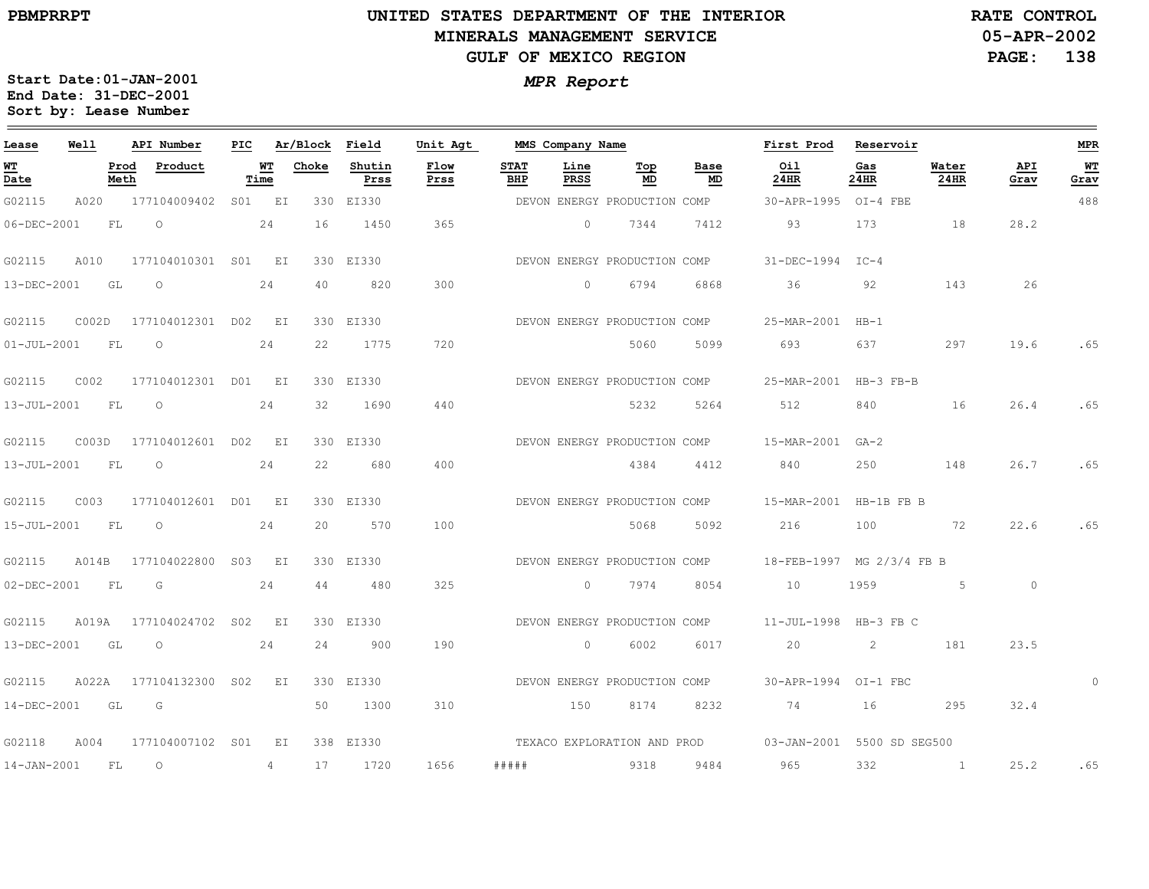#### **UNITED STATES DEPARTMENT OF THE INTERIOR MINERALS MANAGEMENT SERVICEGULF OF MEXICO REGION**

**05-APR-2002PAGE: 138 RATE CONTROL**

| Lease                          | Well      |              | API Number             | PIC    |             | Ar/Block | Field          | Unit Agt     |                    | MMS Company Name    |                              |            | First Prod                                             | Reservoir   |                |             | <b>MPR</b> |
|--------------------------------|-----------|--------------|------------------------|--------|-------------|----------|----------------|--------------|--------------------|---------------------|------------------------------|------------|--------------------------------------------------------|-------------|----------------|-------------|------------|
| WT<br>$\overline{\text{Date}}$ |           | Prod<br>Meth | Product                |        | WТ<br>Time  | Choke    | Shutin<br>Prss | Flow<br>Prss | <b>STAT</b><br>BHP | Line<br><b>PRSS</b> | Top<br>MD                    | Base<br>MD | Oil<br>24HR                                            | Gas<br>24HR | Water<br>24HR  | API<br>Grav | WT<br>Grav |
| G02115                         | A020      |              | 177104009402           | SO1 EI |             |          | 330 EI330      |              |                    |                     | DEVON ENERGY PRODUCTION COMP |            | 30-APR-1995                                            | $OI-4$ FBE  |                |             | 488        |
| 06-DEC-2001                    |           | FL           | $\circ$                |        | 24          | 16       | 1450           | 365          |                    | $\overline{0}$      | 7344                         | 7412       | 93                                                     | 173         | 18             | 28.2        |            |
| G02115                         | A010      |              | 177104010301 S01 EI    |        |             |          | 330 EI330      |              |                    |                     | DEVON ENERGY PRODUCTION COMP |            | $31 - DEC - 1994$                                      | $TC-4$      |                |             |            |
| 13-DEC-2001                    |           | GL           | $\Omega$               |        | 24          | 40       | 820            | 300          |                    | $\Omega$            | 6794                         | 6868       | 36                                                     | 92          | 143            | 26          |            |
| G02115                         | COO2D     |              | 177104012301 D02 EI    |        |             |          | 330 EI330      |              |                    |                     | DEVON ENERGY PRODUCTION COMP |            | 25-MAR-2001                                            | $HB-1$      |                |             |            |
| $01 - JUL - 2001$              | FL        |              | $\circ$                |        | 24          | 22       | 1775           | 720          |                    |                     | 5060                         | 5099       | 693                                                    | 637         | 297            | 19.6        | .65        |
| G02115                         | C002      |              | 177104012301 D01       |        | EI          |          | 330 EI330      |              |                    |                     | DEVON ENERGY PRODUCTION COMP |            | 25-MAR-2001 HB-3 FB-B                                  |             |                |             |            |
| 13-JUL-2001                    | FL        |              | $\circ$                |        | 24          | 32       | 1690           | 440          |                    |                     | 5232                         | 5264       | 512                                                    | 840         | 16             | 26.4        | .65        |
| G02115                         |           |              | C003D 177104012601 D02 |        | $E_{\rm L}$ |          | 330 EI330      |              |                    |                     | DEVON ENERGY PRODUCTION COMP |            | 15-MAR-2001 GA-2                                       |             |                |             |            |
| 13-JUL-2001                    | <b>FL</b> |              | $\circ$                |        | 24          | 22       | 680            | 400          |                    |                     | 4384                         | 4412       | 840                                                    | 250         | 148            | 26.7        | .65        |
| G02115                         | C003      |              | 177104012601 D01 EI    |        |             |          | 330 EI330      |              |                    |                     | DEVON ENERGY PRODUCTION COMP |            | 15-MAR-2001                                            | HB-1B FB B  |                |             |            |
| $15 - JUL - 2001$              | - FL      |              | $\circ$                |        | 24          | 20       | 570            | 100          |                    |                     | 5068                         | 5092       | 216                                                    | 100         | 72             | 22.6        | .65        |
| G02115                         | A014B     |              | 177104022800 S03 EI    |        |             |          | 330 EI330      |              |                    |                     | DEVON ENERGY PRODUCTION COMP |            | 18-FEB-1997 MG 2/3/4 FB B                              |             |                |             |            |
| $02 - DEC - 2001$              | FL        |              | G                      |        | 24          | 44       | 480            | 325          |                    | $\overline{0}$      | 7974                         | 8054       | 10                                                     | 1959        | 5 <sub>5</sub> | $\circ$     |            |
| G02115                         | A019A     |              | 177104024702 S02 EI    |        |             |          | 330 EI330      |              |                    |                     | DEVON ENERGY PRODUCTION COMP |            | 11-JUL-1998 HB-3 FB C                                  |             |                |             |            |
| 13-DEC-2001                    | GL        |              | $\circ$                |        | 24          | 24       | 900            | 190          |                    | $\circ$             | 6002                         | 6017       | 20                                                     | 2           | 181            | 23.5        |            |
| G02115                         | A022A     |              | 177104132300 SO2       |        | EI          |          | 330 EI330      |              |                    |                     | DEVON ENERGY PRODUCTION COMP |            | 30-APR-1994 OI-1 FBC                                   |             |                |             | $\Omega$   |
| 14-DEC-2001                    | GL        |              | G                      |        |             | 50       | 1300           | 310          |                    | 150                 | 8174                         | 8232       | 74                                                     | 16          | 295            | 32.4        |            |
| G02118                         | A004      |              | 177104007102 S01       |        | ΕI          |          | 338 EI330      |              |                    |                     |                              |            | TEXACO EXPLORATION AND PROD 03-JAN-2001 5500 SD SEG500 |             |                |             |            |
| $14 - JAN - 2001$              | <b>FL</b> |              | $\circ$                |        | 4           | 17       | 1720           | 1656         | # # # # #          |                     | 9318                         | 9484       | 965                                                    | 332         |                | 25.2        | .65        |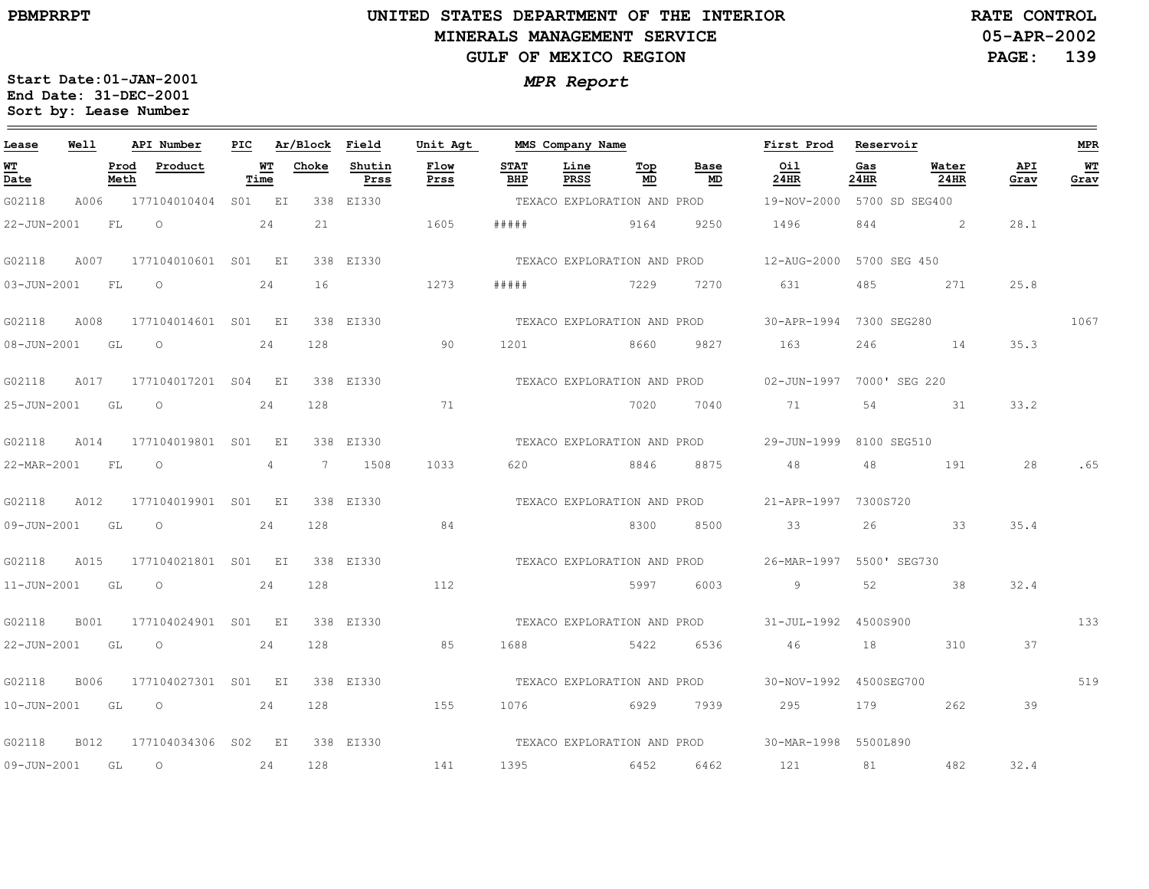# **UNITED STATES DEPARTMENT OF THE INTERIOR MINERALS MANAGEMENT SERVICEGULF OF MEXICO REGION**

**05-APR-2002 PAGE: 139 RATE CONTROL**

| Lease          | Well |              | API Number                     |      | PIC Ar/Block Field |                | Unit Agt     |                             | MMS Company Name            |           |                             | First Prod                                          | Reservoir   |               |             | <b>MPR</b> |
|----------------|------|--------------|--------------------------------|------|--------------------|----------------|--------------|-----------------------------|-----------------------------|-----------|-----------------------------|-----------------------------------------------------|-------------|---------------|-------------|------------|
| WT<br>Date     |      | Prod<br>Meth | Product                        | Time | WT Choke           | Shutin<br>Prss | Flow<br>Prss | <b>STAT</b><br>BHP          | Line<br>PRSS                | Top<br>MD | Base<br>MD                  | Oil<br>24HR                                         | Gas<br>24HR | Water<br>24HR | API<br>Grav | WT<br>Grav |
| G02118         |      |              | A006 177104010404 S01 EI       |      |                    | 338 EI330      |              |                             |                             |           | TEXACO EXPLORATION AND PROD | 19-NOV-2000 5700 SD SEG400                          |             |               |             |            |
| 22-JUN-2001    |      | FL.          | $\circ$                        | 24   | 21                 |                | 1605         | # # # # #                   |                             | 9164      | 9250                        | 1496                                                | 844         | $\sim$ 2      | 28.1        |            |
| G02118         | A007 |              | 177104010601 S01 EI            |      |                    | 338 EI330      |              |                             |                             |           | TEXACO EXPLORATION AND PROD | 12-AUG-2000 5700 SEG 450                            |             |               |             |            |
| 03-JUN-2001 FL |      |              | $\overline{O}$                 | 24   | 16                 |                | 1273         | #####                       | 7229                        |           | 7270                        | 631                                                 | 485         | 271           | 25.8        |            |
| G02118         | A008 |              | 177104014601 S01 EI            |      |                    | 338 EI330      |              |                             |                             |           |                             | TEXACO EXPLORATION AND PROD 30-APR-1994 7300 SEG280 |             |               |             | 1067       |
| 08-JUN-2001 GL |      |              | $\overline{O}$                 | 24   | 128                |                | 90           |                             | 1201 8660 9827              |           |                             | 163                                                 | 246         | 14            | 35.3        |            |
| G02118         |      |              | A017 177104017201 S04 EI       |      |                    | 338 EI330      |              |                             |                             |           | TEXACO EXPLORATION AND PROD | 02-JUN-1997 7000' SEG 220                           |             |               |             |            |
| 25-JUN-2001    |      | GL           | $\circ$                        | 24   | 128                |                | 71           |                             |                             | 7020      | 7040                        | 71                                                  | 54          | 31            | 33.2        |            |
| G02118         |      |              | A014 177104019801 S01 EI       |      |                    | 338 EI330      |              |                             |                             |           | TEXACO EXPLORATION AND PROD | 29-JUN-1999 8100 SEG510                             |             |               |             |            |
| 22-MAR-2001 FL |      |              | $\overline{O}$                 | 4    |                    | 7 1508         | 1033         | 620                         | 8846                        |           | 8875                        | 48                                                  | 48          | 191           | 28          | . 65       |
| G02118         | A012 |              | 177104019901 S01 EI            |      |                    | 338 EI330      |              |                             |                             |           | TEXACO EXPLORATION AND PROD | 21-APR-1997 7300S720                                |             |               |             |            |
| 09-JUN-2001 GL |      |              | $\circ$                        | 24   | 128                |                | 84           |                             |                             | 8300      | 8500                        | 33                                                  | 26          | 33            | 35.4        |            |
| G02118         |      |              | A015 177104021801 S01 EI       |      |                    | 338 EI330      |              | TEXACO EXPLORATION AND PROD |                             |           |                             | 26-MAR-1997 5500' SEG730                            |             |               |             |            |
| 11-JUN-2001 GL |      |              | $\overline{O}$                 | 24   | 128                |                | 112          |                             |                             | 5997      | 6003                        | 9                                                   | 52          | 38            | 32.4        |            |
| G02118         | B001 |              | 177104024901 S01 EI            |      |                    | 338 EI330      |              |                             |                             |           |                             | TEXACO EXPLORATION AND PROD 31-JUL-1992 4500S900    |             |               |             | 133        |
| 22-JUN-2001 GL |      |              | $\overline{O}$                 | 24   | 128                |                | 85           | 1688                        |                             | 5422      | 6536                        | 46                                                  | 18          | 310           | 37          |            |
| G02118         | B006 |              | 177104027301 S01 EI            |      |                    | 338 EI330      |              |                             | TEXACO EXPLORATION AND PROD |           |                             | 30-NOV-1992 4500SEG700                              |             |               |             | 519        |
| 10-JUN-2001 GL |      |              | $\overline{\phantom{0}}$<br>24 |      | 128                |                | 155          | 1076                        | 6929 7939                   |           |                             | 295                                                 | 179         | 262           | 39          |            |
| G02118         | B012 |              | 177104034306 S02 EI            |      |                    | 338 EI330      |              |                             |                             |           |                             | TEXACO EXPLORATION AND PROD 30-MAR-1998 5500L890    |             |               |             |            |
| 09-JUN-2001    | GL   |              | $\circ$                        | 24   | 128                |                | 141          | 1395                        | 6452                        |           | 6462                        | 121                                                 | 81          | 482           | 32.4        |            |
|                |      |              |                                |      |                    |                |              |                             |                             |           |                             |                                                     |             |               |             |            |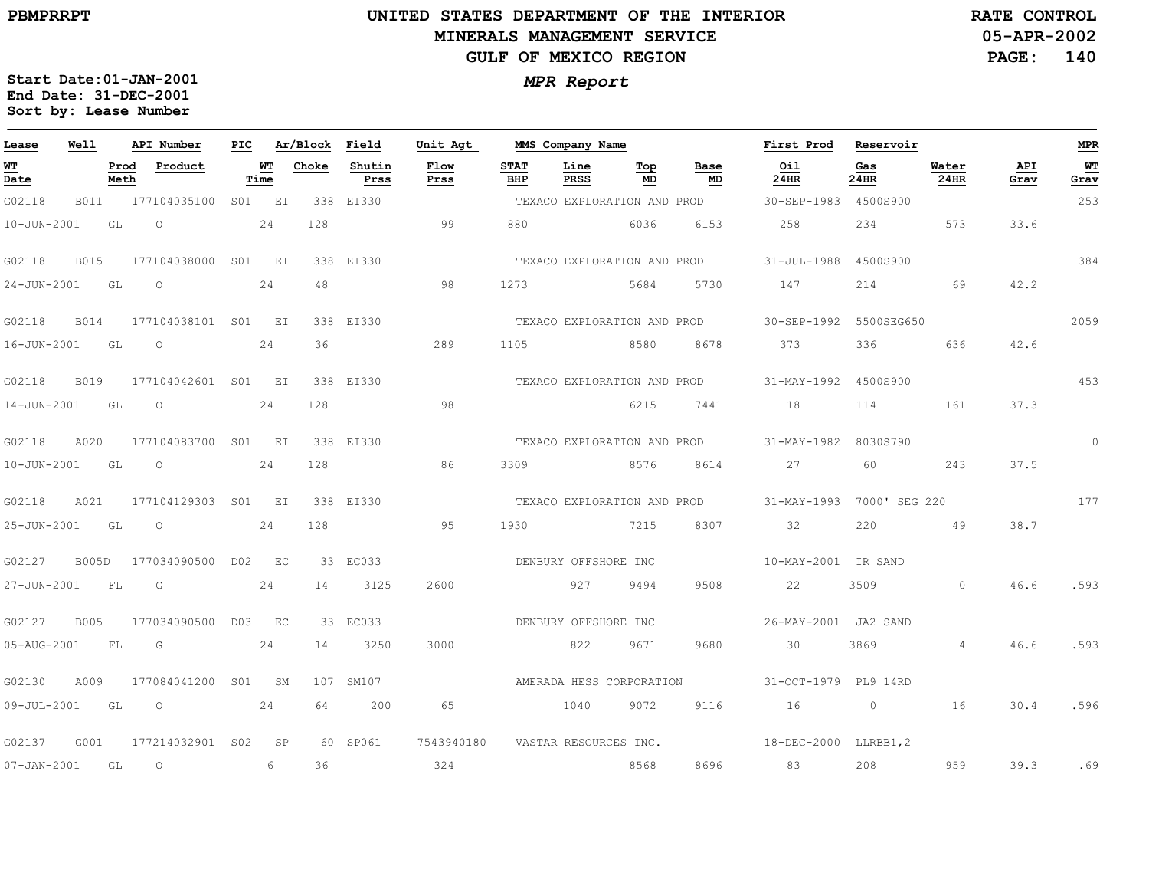# **UNITED STATES DEPARTMENT OF THE INTERIOR MINERALS MANAGEMENT SERVICEGULF OF MEXICO REGION**

**05-APR-2002RATE CONTROL**

**PAGE:140**

| Lease             | Well        |              | API Number                  | PIC |            | Ar/Block Field |                | Unit Agt     |                    | MMS Company Name            |           |                             | First Prod                | Reservoir   |                      |             | <b>MPR</b>             |
|-------------------|-------------|--------------|-----------------------------|-----|------------|----------------|----------------|--------------|--------------------|-----------------------------|-----------|-----------------------------|---------------------------|-------------|----------------------|-------------|------------------------|
| WT<br>Date        |             | Prod<br>Meth | Product                     |     | WT<br>Time | Choke          | Shutin<br>Prss | Flow<br>Prss | <b>STAT</b><br>BHP | Line<br><b>PRSS</b>         | Top<br>MD | Base<br>MD                  | Oil<br>24HR               | Gas<br>24HR | Water<br><b>24HR</b> | API<br>Grav | W <sub>T</sub><br>Grav |
| G02118            | B011        |              | 177104035100                |     | S01 EI     |                | 338 EI330      |              |                    | TEXACO EXPLORATION AND PROD |           |                             | 30-SEP-1983 4500S900      |             |                      |             | 253                    |
| 10-JUN-2001       |             | GL           | $\circ$                     |     | 24         | 128            |                | 99           | 880                |                             | 6036      | 6153                        | 258                       | 234         | 573                  | 33.6        |                        |
| G02118            | <b>B015</b> |              | 177104038000 S01 EI         |     |            |                | 338 EI330      |              |                    |                             |           | TEXACO EXPLORATION AND PROD | 31-JUL-1988 4500S900      |             |                      |             | 384                    |
| 24-JUN-2001 GL    |             |              | $\sim$ 24<br>$\overline{O}$ |     |            | 48             |                | 98           | 1273               | 5684 5730                   |           |                             | 147                       | 214         | 69                   | 42.2        |                        |
| G02118            | <b>B014</b> |              | 177104038101 S01 EI         |     |            |                | 338 EI330      |              |                    |                             |           | TEXACO EXPLORATION AND PROD | 30-SEP-1992 5500SEG650    |             |                      |             | 2059                   |
| 16-JUN-2001       |             | GL           | $\circ$                     |     | 24         | 36             |                | 289          | 1105               |                             | 8580      | 8678                        | 373                       | 336         | 636                  | 42.6        |                        |
| G02118            | B019        |              | 177104042601 S01 EI         |     |            |                | 338 EI330      |              |                    | TEXACO EXPLORATION AND PROD |           |                             | 31-MAY-1992 4500S900      |             |                      |             | 453                    |
| 14-JUN-2001 GL    |             |              | $\circ$                     |     | 24         | 128            |                | 98           |                    | 6215 7441                   |           |                             | 18                        | 114         | 161                  | 37.3        |                        |
| G02118            | A020        |              | 177104083700 S01 EI         |     |            |                | 338 EI330      |              |                    |                             |           | TEXACO EXPLORATION AND PROD | 31-MAY-1982 8030S790      |             |                      |             | $\circ$                |
| 10-JUN-2001       |             | GL           | $\circ$                     |     | 2.4        | 128            |                | 86           | 3309               |                             | 8576      | 8614                        | 2.7                       | 60          | 243                  | 37.5        |                        |
| G02118            | A021        |              | 177104129303 S01 EI         |     |            |                | 338 ET330      |              |                    | TEXACO EXPLORATION AND PROD |           |                             | 31-MAY-1993 7000' SEG 220 |             |                      |             | 177                    |
| 25-JUN-2001 GL    |             |              | $\overline{O}$              |     | 24         | 128            |                | 95           | 1930               | 7215                        |           | 8307                        | 32                        | 220         | 49                   | 38.7        |                        |
| G02127            | B005D       |              | 177034090500 D02 EC         |     |            |                | 33 EC033       |              |                    | DENBURY OFFSHORE INC        |           |                             | 10-MAY-2001 IR SAND       |             |                      |             |                        |
| 27-JUN-2001       |             | FL           | G                           |     | 24         | 14             | 3125           | 2600         |                    | 927                         | 9494      | 9508                        | 22                        | 3509        | $\overline{0}$       | 46.6        | .593                   |
| G02127            | <b>B005</b> |              | 177034090500                |     | D03 EC     |                | 33 EC033       |              |                    | DENBURY OFFSHORE INC        |           |                             | 26-MAY-2001 JA2 SAND      |             |                      |             |                        |
| 05-AUG-2001       |             | FL           | G                           |     | 24         | 14             | 3250           | 3000         |                    | 822                         | 9671      | 9680                        | 30                        | 3869        | $\overline{4}$       | 46.6        | .593                   |
| G02130            | A009        |              | 177084041200 S01            |     | SM         |                | 107 SM107      |              |                    | AMERADA HESS CORPORATION    |           |                             | 31-OCT-1979 PL9 14RD      |             |                      |             |                        |
| 09-JUL-2001 GL    |             |              | $\circ$                     |     | 24         | 64             | 200            | 65           |                    | 1040                        | 9072      | 9116                        | 16                        | $\circ$     | 16                   | 30.4        | .596                   |
| G02137            | G001        |              | 177214032901 S02 SP         |     |            |                | 60 SP061       | 7543940180   |                    | VASTAR RESOURCES INC.       |           |                             | 18-DEC-2000 LLRBB1,2      |             |                      |             |                        |
| $07 - JAN - 2001$ |             | GL           | $\circ$                     |     | 6          | 36             |                | 324          |                    |                             | 8568      | 8696                        | 83                        | 208         | 959                  | 39.3        | .69                    |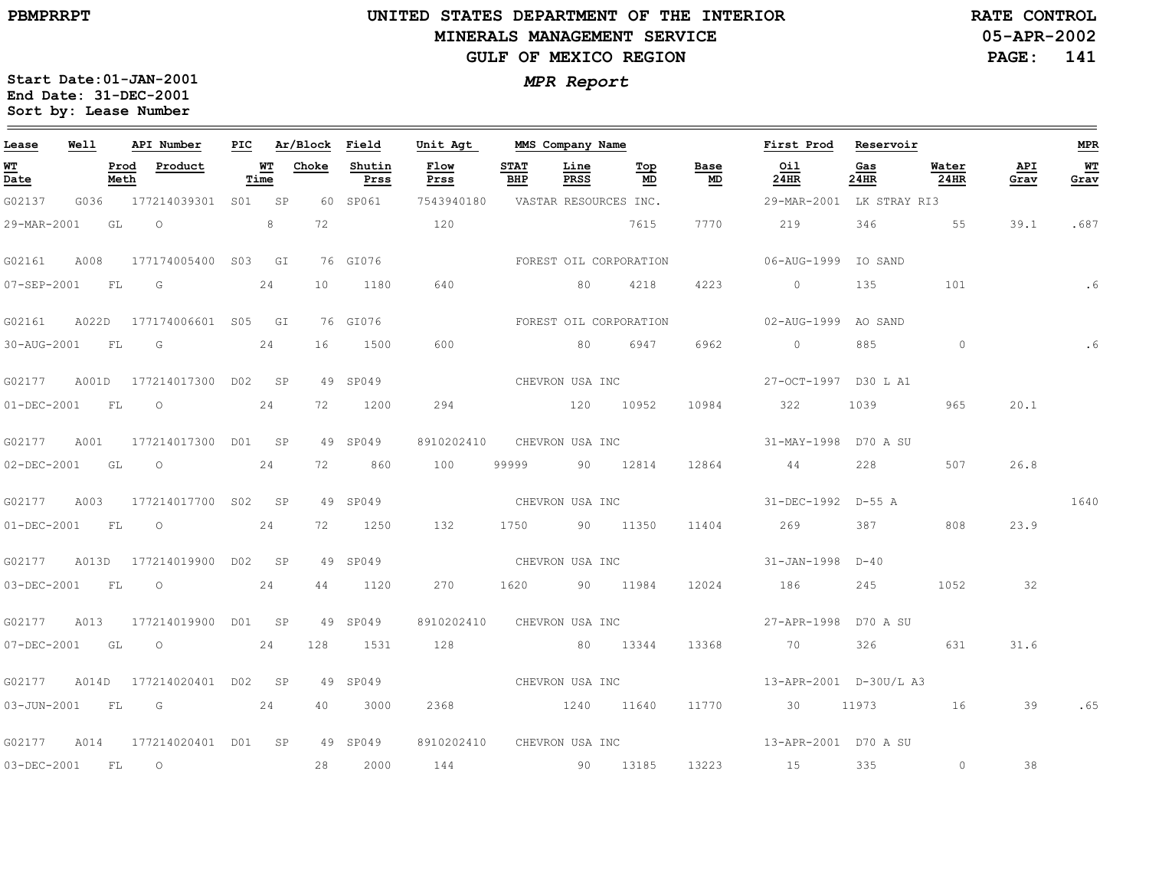$\equiv$ 

#### **UNITED STATES DEPARTMENT OF THE INTERIOR MINERALS MANAGEMENT SERVICEGULF OF MEXICO REGION**

**05-APR-2002PAGE: 141 RATE CONTROL**

| Lease             | Well  |              | API Number                | PIC |            | Ar/Block | Field          | Unit Agt     |                    | MMS Company Name      |                        |                                   | First Prod                           | Reservoir   |               |             | <b>MPR</b> |
|-------------------|-------|--------------|---------------------------|-----|------------|----------|----------------|--------------|--------------------|-----------------------|------------------------|-----------------------------------|--------------------------------------|-------------|---------------|-------------|------------|
| WT<br>Date        |       | Prod<br>Meth | Product                   |     | WT<br>Time | Choke    | Shutin<br>Prss | Flow<br>Prss | <b>STAT</b><br>BHP | Line<br>PRSS          | Top<br>MD              | Base<br>$\underline{\mathsf{MD}}$ | Oil<br>24HR                          | Gas<br>24HR | Water<br>24HR | API<br>Grav | WT<br>Grav |
| G02137            | G036  |              | 177214039301 S01 SP       |     |            |          | 60 SP061       | 7543940180   |                    | VASTAR RESOURCES INC. |                        |                                   | 29-MAR-2001 LK STRAY RI3             |             |               |             |            |
| 29-MAR-2001       |       | GL           | $\circ$                   |     | 8          | 72       |                | 120          |                    |                       | 7615                   | 7770                              | 219                                  | 346         | 55            | 39.1        | .687       |
| G02161            | A008  |              | 177174005400 S03 GI       |     |            |          | 76 GI076       |              |                    |                       | FOREST OIL CORPORATION |                                   | 06-AUG-1999 IO SAND                  |             |               |             |            |
| 07-SEP-2001       |       | FL.          | G                         |     | 24         | 10       | 1180           | 640          |                    | 80                    | 4218                   | 4223                              | $\overline{0}$                       | 135         | 101           |             | .6         |
| G02161            |       |              | A022D 177174006601 S05 GI |     |            |          | 76 GI076       |              |                    |                       | FOREST OIL CORPORATION |                                   | 02-AUG-1999 AO SAND                  |             |               |             |            |
| 30-AUG-2001 FL    |       |              | G                         |     | 24         | 16       | 1500           | 600          |                    | 80                    | 6947                   | 6962                              | $\overline{0}$                       | 885         | $\circ$       |             |            |
| G02177            | A001D |              | 177214017300 D02 SP       |     |            |          | 49 SP049       |              |                    | CHEVRON USA INC       |                        |                                   | 27-OCT-1997 D30 L A1                 |             |               |             |            |
| $01 - DEC - 2001$ |       | <b>FL</b>    | $\circ$                   |     | 24         | 72       | 1200           | 294          |                    | 120 10952             |                        | 10984                             | 322                                  | 1039        | 965           | 20.1        |            |
| G02177            | A001  |              | 177214017300 D01 SP       |     |            |          | 49 SP049       | 8910202410   |                    | CHEVRON USA INC       |                        |                                   | 31-MAY-1998 D70 A SU                 |             |               |             |            |
| 02-DEC-2001       |       | GL           | $\circ$                   |     | 24         | 72       | 860            | 100          | 99999              |                       | 90 12814               | 12864                             | 44                                   | 228         | 507           | 26.8        |            |
| G02177            | A003  |              | 177214017700 S02 SP       |     |            |          | 49 SP049       |              |                    | CHEVRON USA INC       |                        |                                   | 31-DEC-1992 D-55 A                   |             |               |             | 1640       |
| 01-DEC-2001       |       | FL           | $\circ$                   |     | 24         | 72       | 1250           | 132          | 1750               |                       | 90 11350               | 11404                             | 269                                  | 387         | 808           | 23.9        |            |
| G02177            |       |              | A013D 177214019900 D02 SP |     |            |          | 49 SP049       |              |                    | CHEVRON USA INC       |                        |                                   | 31-JAN-1998 D-40                     |             |               |             |            |
| 03-DEC-2001       |       | FL           | $\overline{O}$            |     | 24         | 44       | 1120           | 270          | 1620               |                       | 90 11984               | 12024                             | 186                                  | 245         | 1052          | 32          |            |
| G02177            | A013  |              | 177214019900 D01 SP       |     |            |          | 49 SP049       | 8910202410   |                    |                       | CHEVRON USA INC        |                                   | 27-APR-1998 D70 A SU                 |             |               |             |            |
| 07-DEC-2001       |       | GL           | $\circ$                   |     | 24         | 128      | 1531           | 128          |                    |                       | 80 13344               | 13368                             | 70                                   | 326         | 631           | 31.6        |            |
| G02177            |       |              | A014D 177214020401 D02 SP |     |            |          | 49 SP049       |              |                    | CHEVRON USA INC       |                        |                                   | 13-APR-2001 D-30U/L A3               |             |               |             |            |
| $03 - JUN - 2001$ |       | FL           | G G                       |     | 24         | 40       | 3000           | 2368         |                    | 1240 11640            |                        | 11770                             | 30                                   | 11973 16    |               | 39          | .65        |
| G02177            | A014  |              | 177214020401 D01 SP       |     |            |          | 49 SP049       | 8910202410   |                    |                       |                        |                                   | CHEVRON USA INC 13-APR-2001 D70 A SU |             |               |             |            |
| 03-DEC-2001       |       | FL           | $\overline{O}$            |     |            | 28       | 2000           | 144          |                    | 90 13185              |                        | 13223                             | 15                                   | 335         | $\circ$       | 38          |            |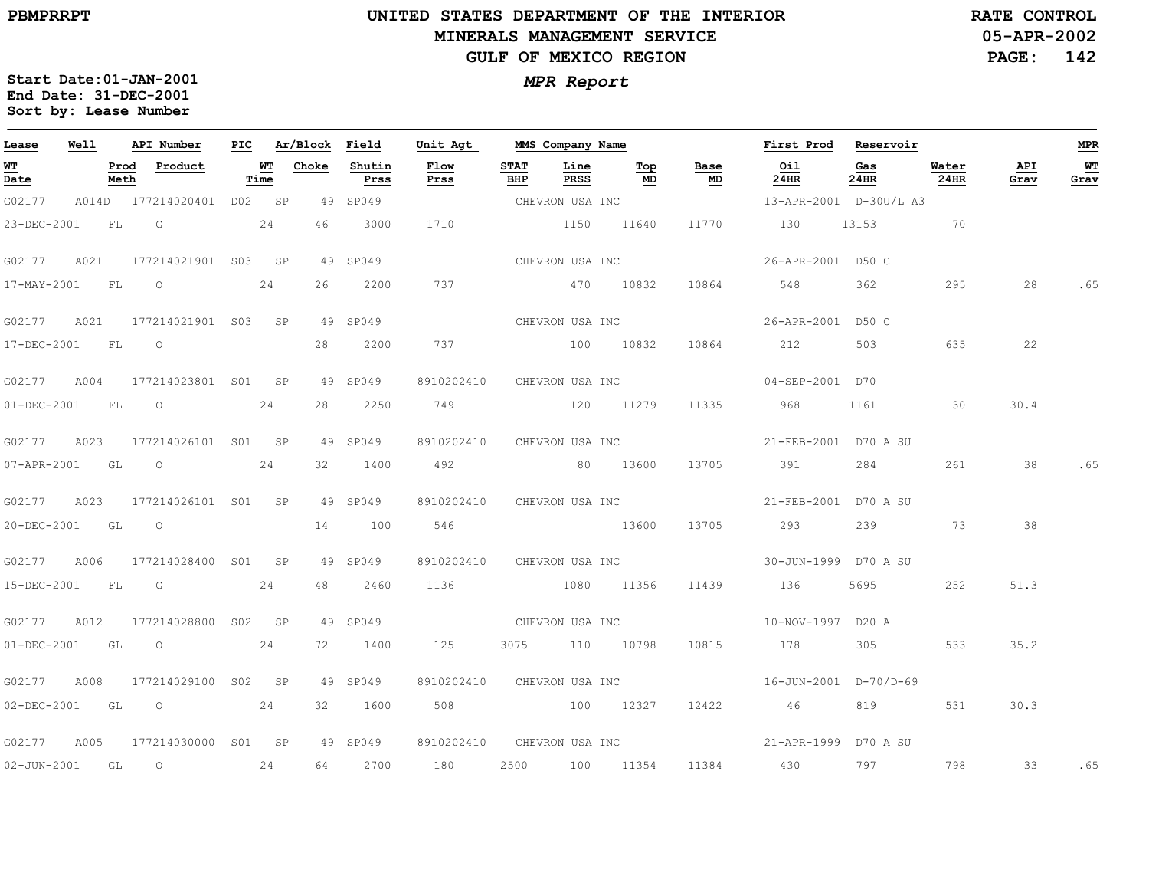$\equiv$ 

## **UNITED STATES DEPARTMENT OF THE INTERIOR MINERALS MANAGEMENT SERVICEGULF OF MEXICO REGION**

**05-APR-2002PAGE: 142 RATE CONTROL**

| Lease             | Well      |              | API Number                                                                                                                                                                                                                                                                                                                         | PIC |            | Ar/Block Field |                | Unit Agt                   |                    | MMS Company Name |                 |            | First Prod             | Reservoir   |               |             | <b>MPR</b> |
|-------------------|-----------|--------------|------------------------------------------------------------------------------------------------------------------------------------------------------------------------------------------------------------------------------------------------------------------------------------------------------------------------------------|-----|------------|----------------|----------------|----------------------------|--------------------|------------------|-----------------|------------|------------------------|-------------|---------------|-------------|------------|
| WT<br>Date        |           | Prod<br>Meth | Product                                                                                                                                                                                                                                                                                                                            |     | WT<br>Time | Choke          | Shutin<br>Prss | Flow<br>Prss               | <b>STAT</b><br>BHP | Line<br>PRSS     | Тор<br>MD       | Base<br>MD | Oil<br>24HR            | Gas<br>24HR | Water<br>24HR | API<br>Grav | WT<br>Grav |
| G02177            |           |              | A014D 177214020401 D02 SP                                                                                                                                                                                                                                                                                                          |     |            |                | 49 SP049       |                            |                    | CHEVRON USA INC  |                 |            | 13-APR-2001 D-30U/L A3 |             |               |             |            |
| 23-DEC-2001       |           | FL.          | $\overline{G}$                                                                                                                                                                                                                                                                                                                     |     | 24         | 46             | 3000           | 1710                       |                    | 1150 11640       |                 | 11770      | 130                    | 13153       | 70            |             |            |
| G02177            | A021      |              | 177214021901 S03 SP                                                                                                                                                                                                                                                                                                                |     |            |                | 49 SP049       |                            |                    | CHEVRON USA INC  |                 |            | 26-APR-2001 D50 C      |             |               |             |            |
| 17-MAY-2001       |           | FL           | $\circ$                                                                                                                                                                                                                                                                                                                            |     | 24         | 26             | 2200           | 737                        |                    | 470 10832        |                 | 10864      | 548                    | 362         | 295           | 28          | .65        |
| G02177            |           |              | A021 177214021901 S03 SP                                                                                                                                                                                                                                                                                                           |     |            |                | 49 SP049       |                            |                    | CHEVRON USA INC  |                 |            | 26-APR-2001 D50 C      |             |               |             |            |
| 17-DEC-2001 FL    |           |              | $\overline{O}$                                                                                                                                                                                                                                                                                                                     |     |            | 28             | 2200           | 737                        | 100 10832          |                  |                 |            | 10864 212              | 503         | 635           | 22          |            |
| G02177            | A004      |              | 177214023801 S01 SP                                                                                                                                                                                                                                                                                                                |     |            |                | 49 SP049       | 8910202410                 |                    | CHEVRON USA INC  |                 |            | 04-SEP-2001 D70        |             |               |             |            |
| $01 - DEC - 2001$ | <b>FL</b> |              | $\overline{O}$                                                                                                                                                                                                                                                                                                                     |     | 24         | 28             | 2250           | 749                        |                    | 120 11279        |                 | 11335      | 968                    | 1161        | $\sim$ 30     | 30.4        |            |
| G02177            | A023      |              | 177214026101 S01 SP                                                                                                                                                                                                                                                                                                                |     |            |                | 49 SP049       | 8910202410                 |                    | CHEVRON USA INC  |                 |            | 21-FEB-2001 D70 A SU   |             |               |             |            |
| 07-APR-2001 GL    |           |              | $\overline{O}$ and $\overline{O}$ and $\overline{O}$ and $\overline{O}$ and $\overline{O}$ and $\overline{O}$ and $\overline{O}$ and $\overline{O}$ and $\overline{O}$ and $\overline{O}$ and $\overline{O}$ and $\overline{O}$ and $\overline{O}$ and $\overline{O}$ and $\overline{O}$ and $\overline{O}$ and $\overline{O}$ and |     | 24         | 32             | 1400           | 492 80 13600               |                    |                  |                 | 13705      | 391                    | 284         | 261           | 38          | .65        |
| G02177            | A023      |              | 177214026101 S01 SP                                                                                                                                                                                                                                                                                                                |     |            |                | 49 SP049       | 8910202410                 |                    |                  | CHEVRON USA INC |            | 21-FEB-2001 D70 A SU   |             |               |             |            |
| 20-DEC-2001 GL    |           |              | $\circ$                                                                                                                                                                                                                                                                                                                            |     |            | 14             | 100            | 546                        |                    | 13600            |                 | 13705      | 293                    | 239         | 73            | 38          |            |
| G02177            | A006      |              | 177214028400 S01 SP                                                                                                                                                                                                                                                                                                                |     |            |                | 49 SP049       | 8910202410 CHEVRON USA INC |                    |                  |                 |            | 30-JUN-1999 D70 A SU   |             |               |             |            |
| 15-DEC-2001 FL G  |           |              |                                                                                                                                                                                                                                                                                                                                    |     | 24         | 48             | 2460           | 1136 1080 11356            |                    |                  |                 | 11439      | 136                    | 5695 7      | 252           | 51.3        |            |
| G02177            | A012      |              | 177214028800 S02 SP                                                                                                                                                                                                                                                                                                                |     |            |                | 49 SP049       | CHEVRON USA INC            |                    |                  |                 |            | 10-NOV-1997 D20 A      |             |               |             |            |
| 01-DEC-2001       | GL        |              | $\circ$                                                                                                                                                                                                                                                                                                                            |     | 24         | 72             | 1400           | 125                        |                    | 3075 110 10798   |                 | 10815      | 178                    | 305         | 533           | 35.2        |            |
| G02177            | A008      |              | 177214029100 S02 SP                                                                                                                                                                                                                                                                                                                |     |            |                | 49 SP049       | 8910202410 CHEVRON USA INC |                    |                  |                 |            | 16-JUN-2001 D-70/D-69  |             |               |             |            |
|                   |           |              | 02-DEC-2001 GL O 24                                                                                                                                                                                                                                                                                                                |     |            | 32             | 1600           | 508 100 12327              |                    |                  |                 | 12422      | 46                     | 819         | 531           | 30.3        |            |
| G02177            | A005      |              | 177214030000 S01 SP                                                                                                                                                                                                                                                                                                                |     |            |                | 49 SP049       | 8910202410 CHEVRON USA INC |                    |                  |                 |            | 21-APR-1999 D70 A SU   |             |               |             |            |
| 02-JUN-2001 GL    |           |              | 24<br>$\overline{O}$                                                                                                                                                                                                                                                                                                               |     |            |                | 64 2700        | 180                        |                    |                  | 2500 100 11354  |            | 11384 430              | 797         | 798           | 33          | .65        |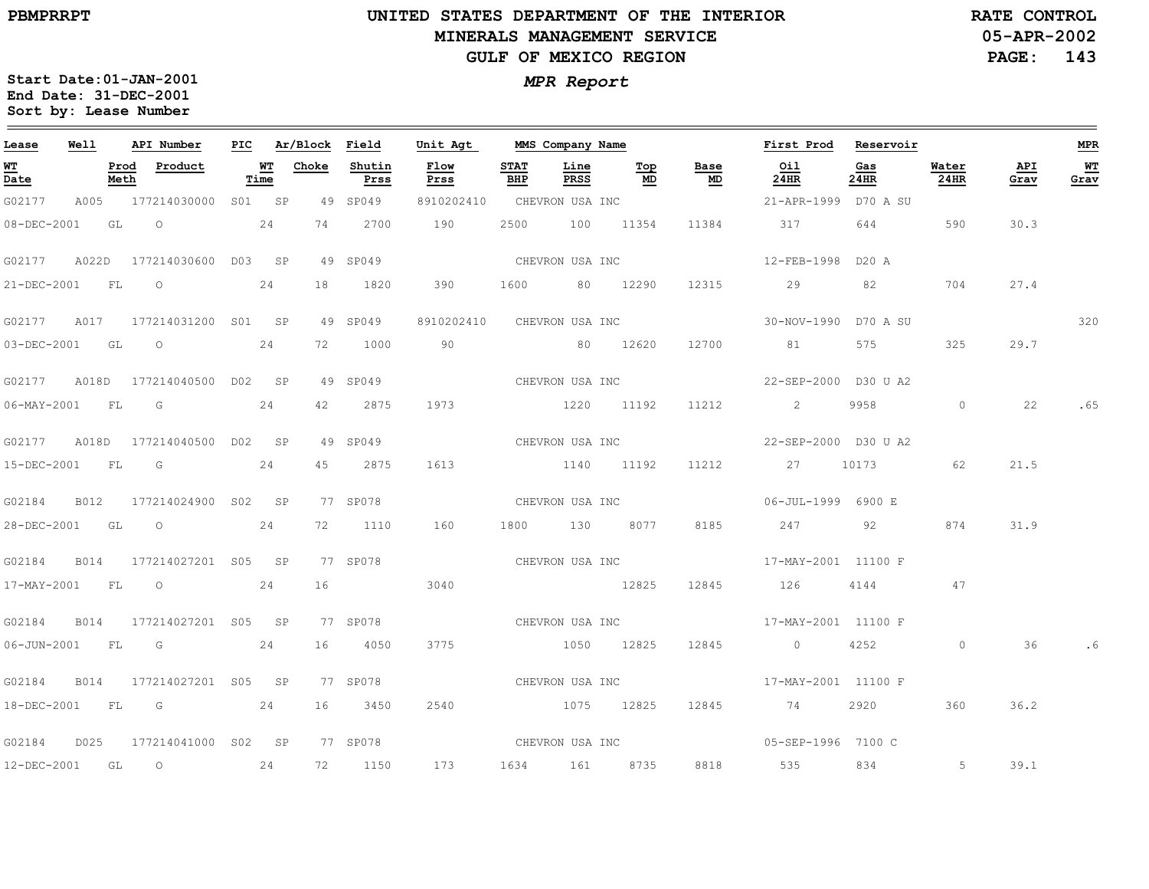$\equiv$ 

# **UNITED STATES DEPARTMENT OF THE INTERIOR MINERALS MANAGEMENT SERVICEGULF OF MEXICO REGION**

**05-APR-2002RATE CONTROL**

**PAGE: 143**

| Lease                            | Well  |              | API Number                                                                                                                                                                                                                                                                                                                         | PIC |            | Ar/Block Field |                | Unit Agt        |                    | MMS Company Name |                 |            | First Prod                          | Reservoir   |               |             | <b>MPR</b>   |
|----------------------------------|-------|--------------|------------------------------------------------------------------------------------------------------------------------------------------------------------------------------------------------------------------------------------------------------------------------------------------------------------------------------------|-----|------------|----------------|----------------|-----------------|--------------------|------------------|-----------------|------------|-------------------------------------|-------------|---------------|-------------|--------------|
| $\underline{\mathbf{w}}$<br>Date |       | Prod<br>Meth | Product                                                                                                                                                                                                                                                                                                                            |     | WТ<br>Time | Choke          | Shutin<br>Prss | Flow<br>Prss    | <b>STAT</b><br>BHP | Line<br>PRSS     | Тор<br>MD       | Base<br>MD | Oil<br>24HR                         | Gas<br>24HR | Water<br>24HR | API<br>Grav | $WT$<br>Grav |
| G02177                           |       |              | A005 177214030000 S01 SP                                                                                                                                                                                                                                                                                                           |     |            |                | 49 SP049       | 8910202410      |                    | CHEVRON USA INC  |                 |            | 21-APR-1999 D70 A SU                |             |               |             |              |
| 08-DEC-2001                      |       | GL           | $\overline{O}$                                                                                                                                                                                                                                                                                                                     |     | 24         | 74             | 2700           | 190             | 2500               |                  | 100 11354       | 11384      | 317                                 | 644         | 590           | 30.3        |              |
| G02177                           | A022D |              | 177214030600 D03 SP                                                                                                                                                                                                                                                                                                                |     |            |                | 49 SP049       |                 |                    | CHEVRON USA INC  |                 |            | 12-FEB-1998                         | D20 A       |               |             |              |
| 21-DEC-2001                      |       | FL           | $\circ$                                                                                                                                                                                                                                                                                                                            |     | 24         | 18             | 1820           | 390             | 1600               |                  | 80 12290        | 12315      | 29                                  | 82          | 704           | 27.4        |              |
| G02177 A017                      |       |              | 177214031200 S01 SP                                                                                                                                                                                                                                                                                                                |     |            |                | 49 SP049       | 8910202410      |                    | CHEVRON USA INC  |                 |            | 30-NOV-1990 D70 A SU                |             |               |             | 320          |
| 03-DEC-2001 GL                   |       |              | $\circ$                                                                                                                                                                                                                                                                                                                            |     | 24         | 72             | 1000           | 90 80 12620     |                    |                  |                 | 12700      | 81                                  | 575         | 325           | 29.7        |              |
| G02177                           | A018D |              | 177214040500 D02 SP                                                                                                                                                                                                                                                                                                                |     |            |                | 49 SP049       | CHEVRON USA INC |                    |                  |                 |            | 22-SEP-2000 D30 U A2                |             |               |             |              |
| $06 - MAX - 2001$                |       | FL           | G                                                                                                                                                                                                                                                                                                                                  |     | 24         | 42             | 2875           | 1973            |                    | 1220 11192       |                 | 11212      | 2                                   | 9958        | $\circ$       | 22          | .65          |
|                                  |       |              | G02177 A018D 177214040500 D02 SP                                                                                                                                                                                                                                                                                                   |     |            |                | 49 SP049       |                 |                    |                  | CHEVRON USA INC |            | 22-SEP-2000 D30 U A2                |             |               |             |              |
| 15-DEC-2001                      |       | FL           | G                                                                                                                                                                                                                                                                                                                                  |     | 24         | 45             | 2875           | 1613            |                    | 1140 11192       |                 | 11212      | 27 10173                            |             | 62            | 21.5        |              |
| G02184                           | B012  |              | 177214024900 S02 SP                                                                                                                                                                                                                                                                                                                |     |            |                | 77 SP078       | CHEVRON USA INC |                    |                  |                 |            | 06-JUL-1999 6900 E                  |             |               |             |              |
| 28-DEC-2001                      |       | GL           | $\circ$                                                                                                                                                                                                                                                                                                                            |     | 24         | 72             | 1110           | 160             |                    | 1800 130         | 8077            | 8185       | 247                                 | 92          | 874           | 31.9        |              |
| G02184                           | B014  |              | 177214027201 S05 SP                                                                                                                                                                                                                                                                                                                |     |            |                | 77 SP078       |                 |                    | CHEVRON USA INC  |                 |            | 17-MAY-2001 11100 F                 |             |               |             |              |
| 17-MAY-2001 FL                   |       |              | $\overline{O}$ and $\overline{O}$ and $\overline{O}$ and $\overline{O}$ and $\overline{O}$ and $\overline{O}$ and $\overline{O}$ and $\overline{O}$ and $\overline{O}$ and $\overline{O}$ and $\overline{O}$ and $\overline{O}$ and $\overline{O}$ and $\overline{O}$ and $\overline{O}$ and $\overline{O}$ and $\overline{O}$ and |     | 24         | 16             |                | 3040            |                    | 12825            |                 | 12845      | 126                                 | 4144 47     |               |             |              |
| G02184                           | B014  |              | 177214027201 S05 SP                                                                                                                                                                                                                                                                                                                |     |            |                | 77 SP078       |                 |                    |                  |                 |            | CHEVRON USA INC 17-MAY-2001 11100 F |             |               |             |              |
| 06-JUN-2001                      |       | FL.          | $\overline{G}$                                                                                                                                                                                                                                                                                                                     |     | 24         | 16             | 4050           | 3775            |                    | 1050 12825       |                 | 12845      | $\overline{0}$                      | 4252        | $\circ$       | 36          | .6           |
| G02184                           | B014  |              | 177214027201 S05 SP                                                                                                                                                                                                                                                                                                                |     |            |                | 77 SP078       |                 |                    | CHEVRON USA INC  |                 |            | 17-MAY-2001 11100 F                 |             |               |             |              |
|                                  |       |              | 18-DEC-2001 FL G 24                                                                                                                                                                                                                                                                                                                |     |            |                | 16 3450        | 2540            |                    | 1075 12825       |                 | 12845      | 74 2920                             |             | 360           | 36.2        |              |
| G02184                           | D025  |              | 177214041000 S02 SP                                                                                                                                                                                                                                                                                                                |     |            |                | 77 SP078       | CHEVRON USA INC |                    |                  |                 |            | 05-SEP-1996 7100 C                  |             |               |             |              |
| 12-DEC-2001                      |       | GL           | $\overline{O}$                                                                                                                                                                                                                                                                                                                     |     | 24         |                | 72 1150        | 173             |                    | 1634 161         | 8735            | 8818       | 535 64                              | 834         | 5             | 39.1        |              |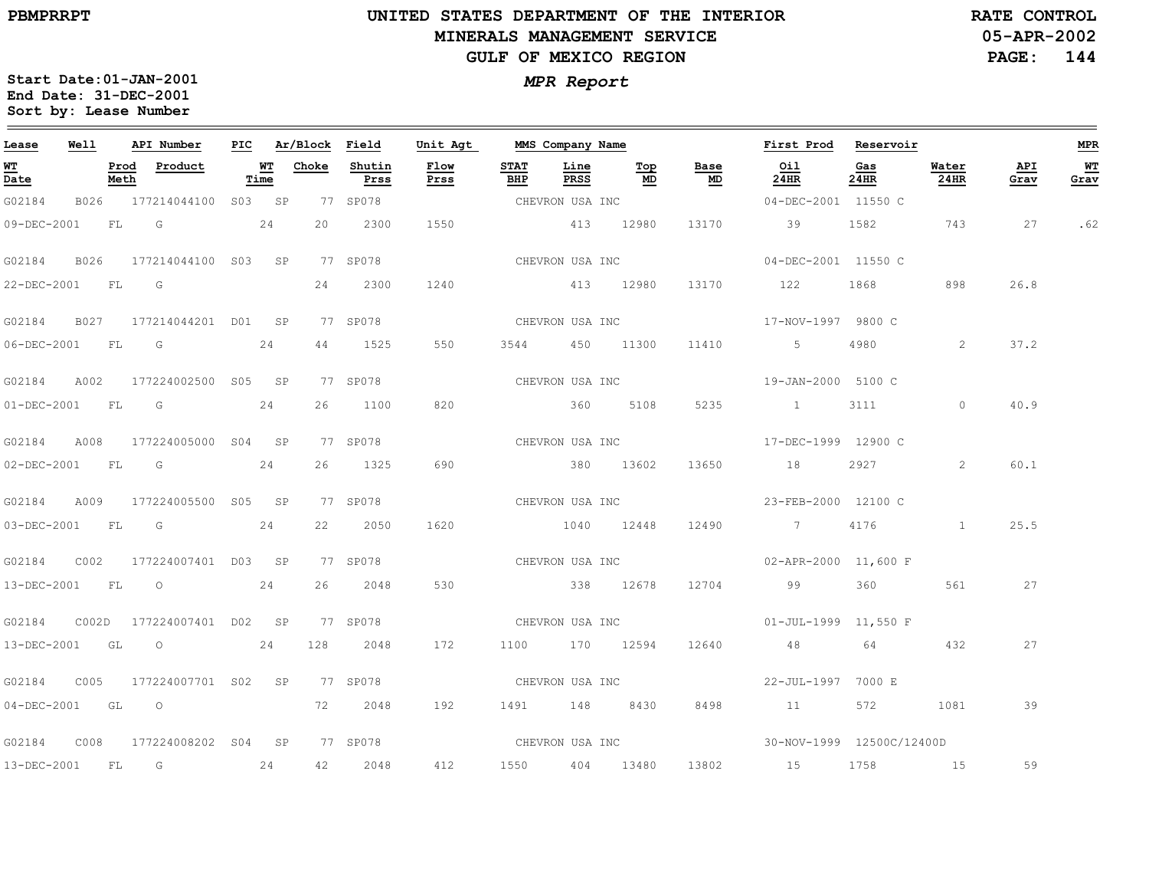$=$ 

#### **UNITED STATES DEPARTMENT OF THE INTERIOR MINERALS MANAGEMENT SERVICEGULF OF MEXICO REGION**

**05-APR-2002PAGE: 144 RATE CONTROL**

| Lease                          | Well |              | API Number                                                                                                                                                                                                                    | PIC |            | Ar/Block | Field          | Unit Agt                                  | MMS Company Name   |                 |           |            | First Prod                 | Reservoir   |               |             | <b>MPR</b> |
|--------------------------------|------|--------------|-------------------------------------------------------------------------------------------------------------------------------------------------------------------------------------------------------------------------------|-----|------------|----------|----------------|-------------------------------------------|--------------------|-----------------|-----------|------------|----------------------------|-------------|---------------|-------------|------------|
| WT<br>$\overline{\text{Date}}$ |      | Prod<br>Meth | Product                                                                                                                                                                                                                       |     | WТ<br>Time | Choke    | Shutin<br>Prss | Flow<br>Prss                              | <b>STAT</b><br>BHP | Line<br>PRSS    | Top<br>MD | Base<br>MD | Oil<br>24HR                | Gas<br>24HR | Water<br>24HR | API<br>Grav | WT<br>Grav |
| G02184                         |      |              | B026 177214044100 S03 SP                                                                                                                                                                                                      |     |            |          | 77 SP078       |                                           |                    | CHEVRON USA INC |           |            | 04-DEC-2001 11550 C        |             |               |             |            |
| 09-DEC-2001                    |      | FL G         |                                                                                                                                                                                                                               |     | 24         | 20       | 2300           | 1550                                      |                    | 413             | 12980     | 13170      | 39                         | 1582        | 743           | 27          | .62        |
| G02184                         | B026 |              | 177214044100 S03 SP                                                                                                                                                                                                           |     |            |          | 77 SP078       |                                           |                    | CHEVRON USA INC |           |            | 04-DEC-2001 11550 C        |             |               |             |            |
| 22-DEC-2001                    |      | FL           | G                                                                                                                                                                                                                             |     |            | 24       | 2300           | 1240                                      |                    | 413 12980       |           | 13170      | 122                        | 1868        | 898           | 26.8        |            |
| G02184                         | B027 |              | 177214044201 D01 SP                                                                                                                                                                                                           |     |            |          | 77 SP078       |                                           |                    | CHEVRON USA INC |           |            | 17-NOV-1997 9800 C         |             |               |             |            |
| 06-DEC-2001                    |      | FL           | G                                                                                                                                                                                                                             |     | 24         | 44       | 1525           | 550                                       | 3544               |                 | 450 11300 | 11410      | $5 - 5$                    | 4980        | 2             | 37.2        |            |
| G02184                         | A002 |              | 177224002500 S05 SP                                                                                                                                                                                                           |     |            |          | 77 SP078       |                                           | CHEVRON USA INC    |                 |           |            | 19-JAN-2000 5100 C         |             |               |             |            |
| 01-DEC-2001                    |      | FL           | $\overline{\mathsf{G}}$                                                                                                                                                                                                       |     | 24         | 26       | 1100           | 820                                       |                    | 360 360         | 5108      | 5235       |                            | 3111        | $\circ$       | 40.9        |            |
| G02184                         | A008 |              | 177224005000 S04 SP                                                                                                                                                                                                           |     |            |          | 77 SP078       |                                           | CHEVRON USA INC    |                 |           |            | 17-DEC-1999 12900 C        |             |               |             |            |
| $02 - DEC - 2001$              |      | FL           | $G$ and $G$ and $G$ and $G$ and $G$ and $G$ and $G$ and $G$ and $G$ and $G$ and $G$ and $G$ and $G$ and $G$ and $G$ and $G$ and $G$ and $G$ and $G$ and $G$ and $G$ and $G$ and $G$ and $G$ and $G$ and $G$ and $G$ and $G$ a |     | 24         | 26       | 1325           | 690                                       |                    | 380 13602       |           | 13650      | 18                         |             | 2             | 60.1        |            |
| G02184                         | A009 |              | 177224005500 S05 SP                                                                                                                                                                                                           |     |            |          | 77 SP078       | CHEVRON USA INC                           |                    |                 |           |            | 23-FEB-2000 12100 C        |             |               |             |            |
| 03-DEC-2001                    |      | <b>FL</b>    | G                                                                                                                                                                                                                             |     | 24         | 22       | 2050           | 1620                                      |                    | 1040 12448      |           | 12490      | $\overline{7}$             | 4176        |               | 25.5        |            |
| G02184                         | C002 |              | 177224007401 D03 SP                                                                                                                                                                                                           |     |            |          | 77 SP078       |                                           |                    | CHEVRON USA INC |           |            | $02 - APR - 2000$ 11,600 F |             |               |             |            |
| 13-DEC-2001                    |      |              | $FL$ 0 24                                                                                                                                                                                                                     |     |            | 26       | 2048           | 530                                       |                    | 338 12678       |           | 12704      | 99 360                     |             | 561           | 27          |            |
| G02184                         |      |              | C002D 177224007401 D02 SP                                                                                                                                                                                                     |     |            |          | 77 SP078       |                                           |                    |                 |           |            |                            |             |               |             |            |
| 13-DEC-2001                    |      | GL           |                                                                                                                                                                                                                               |     | 24         | 128      | 2048           | 172                                       |                    | 1100 170 12594  |           | 12640      | 48                         | 64          | 432           | 27          |            |
| G02184                         | C005 |              | 177224007701 S02 SP                                                                                                                                                                                                           |     |            |          | 77 SP078       |                                           |                    | CHEVRON USA INC |           |            | 22-JUL-1997 7000 E         |             |               |             |            |
|                                |      |              | 04-DEC-2001 GL O                                                                                                                                                                                                              |     |            | 72       | 2048           | 192                                       |                    | 1491 148 8430   |           | 8498       | 11                         | 572 — 100   | 1081          | 39          |            |
| G02184                         | C008 |              | 177224008202 S04 SP                                                                                                                                                                                                           |     |            |          | 77 SP078       | CHEVRON USA INC 30-NOV-1999 12500C/12400D |                    |                 |           |            |                            |             |               |             |            |
| $13-DEC-2001$                  |      | FL           | $\overline{G}$                                                                                                                                                                                                                |     | 24         | 42       | 2048           | 412                                       |                    | 1550 404 13480  |           | 13802      | 15                         | 1758        | 15            | 59          |            |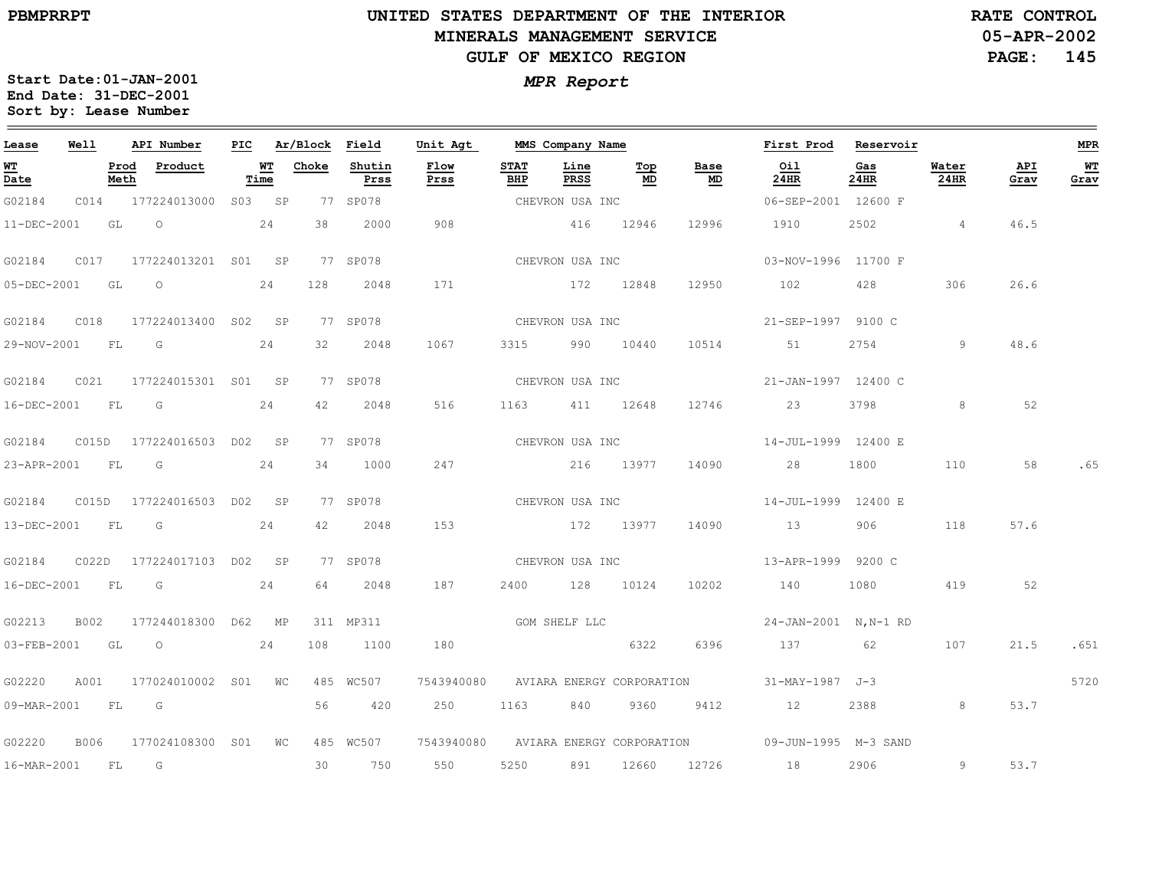$\equiv$ 

# **UNITED STATES DEPARTMENT OF THE INTERIOR MINERALS MANAGEMENT SERVICEGULF OF MEXICO REGION**

**05-APR-2002PAGE: 145 RATE CONTROL**

| Lease          | Well  |              | API Number                | PIC |            | Ar/Block | Field          | Unit Agt                             |                    | MMS Company Name |           |            | First Prod                                                | Reservoir   |               |             | <b>MPR</b> |
|----------------|-------|--------------|---------------------------|-----|------------|----------|----------------|--------------------------------------|--------------------|------------------|-----------|------------|-----------------------------------------------------------|-------------|---------------|-------------|------------|
| WT<br>Date     |       | Prod<br>Meth | Product                   |     | WT<br>Time | Choke    | Shutin<br>Prss | Flow<br>Prss                         | <b>STAT</b><br>BHP | Line<br>PRSS     | Top<br>MD | Base<br>MD | Oil<br>24HR                                               | Gas<br>24HR | Water<br>24HR | API<br>Grav | WT<br>Grav |
| G02184         | C014  |              | 177224013000 S03 SP       |     |            |          | 77 SP078       |                                      |                    | CHEVRON USA INC  |           |            | 06-SEP-2001 12600 F                                       |             |               |             |            |
| 11-DEC-2001    |       | GL           | $\circ$                   |     | 24         | 38       | 2000           | 908                                  |                    | 416 12946        |           | 12996      | 1910                                                      | 2502        | $\sim$ 4      | 46.5        |            |
| G02184         | C017  |              | 177224013201 S01 SP       |     |            |          | 77 SP078       |                                      |                    | CHEVRON USA INC  |           |            | 03-NOV-1996 11700 F                                       |             |               |             |            |
| 05-DEC-2001    |       | GL           | $\circ$                   |     | 24         | 128      | 2048           | 171                                  |                    |                  | 172 12848 | 12950      | 102                                                       | 428         | 306           | 26.6        |            |
| G02184         | C018  |              | 177224013400 S02 SP       |     |            |          | 77 SP078       |                                      |                    | CHEVRON USA INC  |           |            | 21-SEP-1997 9100 C                                        |             |               |             |            |
| 29-NOV-2001 FL |       |              | G                         |     | 24         | 32       | 2048           | 1067                                 | 3315               |                  | 990 10440 | 10514      | 51                                                        | 2754        | 9             | 48.6        |            |
| G02184         | C021  |              | 177224015301 S01 SP       |     |            |          | 77 SP078       |                                      |                    | CHEVRON USA INC  |           |            | 21-JAN-1997 12400 C                                       |             |               |             |            |
| 16-DEC-2001    |       | FL           | G                         |     | 24         | 42       | 2048           | 516                                  | 1163               |                  | 411 12648 | 12746      | 23                                                        | 3798        | 8             | 52          |            |
| G02184         |       |              | C015D 177224016503 D02 SP |     |            |          | 77 SP078       |                                      |                    | CHEVRON USA INC  |           |            | 14-JUL-1999 12400 E                                       |             |               |             |            |
| 23-APR-2001    |       | <b>FL</b>    | G                         |     | 24         | 34       | 1000           | 247                                  |                    | 216 13977        |           | 14090      | 28                                                        | 1800        | 110           | 58          | .65        |
| G02184         |       |              | C015D 177224016503 D02 SP |     |            |          | 77 SP078       |                                      |                    | CHEVRON USA INC  |           |            | 14-JUL-1999 12400 E                                       |             |               |             |            |
| 13-DEC-2001    |       | FL           | G                         |     | 24         | 42       | 2048           | 153                                  |                    |                  | 172 13977 | 14090      | 13                                                        | 906         | 118           | 57.6        |            |
| G02184         | C022D |              | 177224017103 DO2 SP       |     |            |          | 77 SP078       |                                      |                    | CHEVRON USA INC  |           |            | 13-APR-1999 9200 C                                        |             |               |             |            |
| 16-DEC-2001    |       | FL           | G                         |     | 24         | 64       | 2048           | 187                                  | 2400               |                  | 128 10124 | 10202      | 140                                                       | 1080        | 419           | 52          |            |
| G02213         | B002  |              | 177244018300 D62 MP       |     |            |          | 311 MP311      | GOM SHELF LLC                        |                    |                  |           |            | 24-JAN-2001 N, N-1 RD                                     |             |               |             |            |
| 03-FEB-2001    |       | GL           | $\circ$                   |     | 24         | 108      | 1100           | 180                                  |                    |                  | 6322      | 6396       | 137                                                       | 62          | 107           | 21.5        | .651       |
| G02220         | A001  |              | 177024010002 S01 WC       |     |            |          | 485 WC507      | 7543940080 AVIARA ENERGY CORPORATION |                    |                  |           |            | 31-MAY-1987 J-3                                           |             |               |             | 5720       |
| 09-MAR-2001    |       | FL.          | G                         |     |            | 56       | 420            | 250                                  | 1163               | 840              | 9360      | 9412       | 12                                                        | 2388        | 8             | 53.7        |            |
| G02220         | B006  |              | 177024108300 S01 WC       |     |            |          | 485 WC507      |                                      |                    |                  |           |            | 7543940080 AVIARA ENERGY CORPORATION 09-JUN-1995 M-3 SAND |             |               |             |            |
| 16-MAR-2001    |       | FL           | $\overline{G}$            |     |            | 30       | 750            | 550                                  | 5250               | 891              | 12660     | 12726      | 18                                                        | 2906        | 9             | 53.7        |            |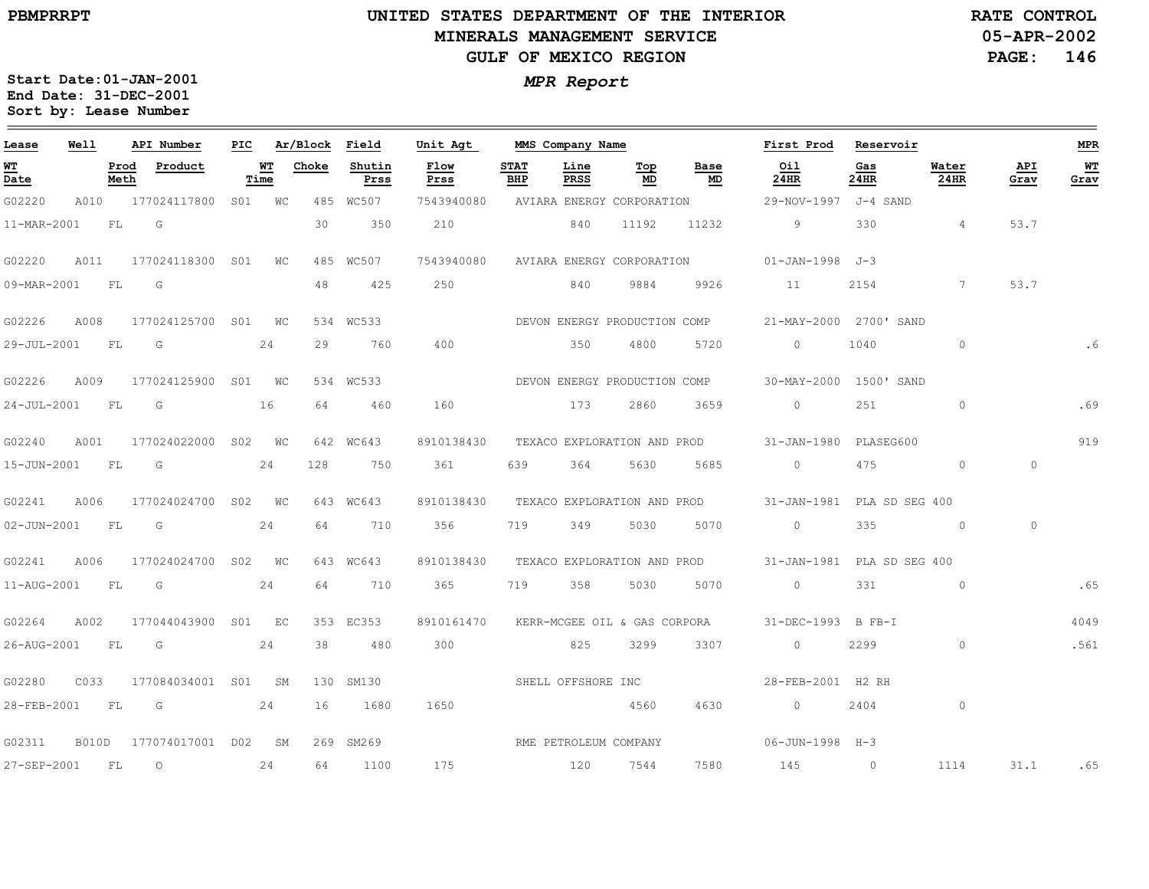# **UNITED STATES DEPARTMENT OF THE INTERIOR MINERALS MANAGEMENT SERVICEGULF OF MEXICO REGION**

**05-APR-2002PAGE: 146 RATE CONTROL**

| Lease       | Well         |              | API Number          | PIC |            | Ar/Block Field |                | Unit Agt              |                    | MMS Company Name             |           |                             | First Prod             | Reservoir      |                 |             | <b>MPR</b> |
|-------------|--------------|--------------|---------------------|-----|------------|----------------|----------------|-----------------------|--------------------|------------------------------|-----------|-----------------------------|------------------------|----------------|-----------------|-------------|------------|
| WT<br>Date  |              | Prod<br>Meth | Product             |     | WT<br>Time | Choke          | Shutin<br>Prss | Flow<br>Prss          | <b>STAT</b><br>BHP | Line<br>PRSS                 | Top<br>MD | Base<br>MD                  | Oil<br>24HR            | Gas<br>24HR    | Water<br>24HR   | API<br>Grav | WT<br>Grav |
| G02220      | A010         |              | 177024117800 S01 WC |     |            |                | 485 WC507      | 7543940080            |                    | AVIARA ENERGY CORPORATION    |           |                             | 29-NOV-1997            | J-4 SAND       |                 |             |            |
| 11-MAR-2001 |              | FL           | G                   |     |            | 30             | 350            | 210                   |                    | 840                          | 11192     | 11232                       | 9                      | 330            | $\overline{4}$  | 53.7        |            |
| G02220      | A011         |              | 177024118300 SO1    |     | WC         | 485            | WC507          | 7543940080            |                    | AVIARA ENERGY CORPORATION    |           |                             | $01 - JAN - 1998$      | $J-3$          |                 |             |            |
| 09-MAR-2001 |              | FL           | G                   |     |            | 48             | 425            | 250                   |                    | 840                          | 9884      | 9926                        | 11                     | 2154           | $7\phantom{.0}$ | 53.7        |            |
| G02226      | A008         |              | 177024125700 S01    |     | WC         |                | 534 WC533      |                       |                    | DEVON ENERGY PRODUCTION COMP |           |                             | 21-MAY-2000 2700' SAND |                |                 |             |            |
| 29-JUL-2001 |              | FL           | G                   |     | 24         | 29             | 760            | 400                   |                    | 350                          | 4800      | 5720                        | $\circ$                | 1040           | $\circ$         |             |            |
| G02226      | A009         |              | 177024125900 S01 WC |     |            |                | 534 WC533      |                       |                    | DEVON ENERGY PRODUCTION COMP |           |                             | 30-MAY-2000            | 1500' SAND     |                 |             |            |
| 24-JUL-2001 |              | FL           | G                   |     | 16         | 64             | 460            | 160                   |                    | 173                          | 2860      | 3659                        | $\circ$                | 251            | $\circ$         |             | .69        |
| G02240      | A001         |              | 177024022000        | S02 | WC         |                | 642 WC643      | 8910138430            |                    | TEXACO EXPLORATION AND PROD  |           |                             | $31 - JAN - 1980$      | PLASEG600      |                 |             | 919        |
| 15-JUN-2001 |              | FL           | G                   |     | 24         | 128            | 750            | 361                   | 639                | 364                          | 5630      | 5685                        | $\circ$                | 475            | $\circ$         | $\circ$     |            |
| G02241      | A006         |              | 177024024700 S02    |     | WC         |                | 643 WC643      | 8910138430            |                    |                              |           | TEXACO EXPLORATION AND PROD | $31 - JAN - 1981$      | PLA SD SEG 400 |                 |             |            |
| 02-JUN-2001 |              | FL           | G                   |     | 24         | 64             | 710            | 356                   | 719                | 349                          | 5030      | 5070                        | $\Omega$               | 335            | $\circ$         | $\Omega$    |            |
| G02241      | A006         |              | 177024024700 S02 WC |     |            |                | 643 WC643      | 8910138430            |                    | TEXACO EXPLORATION AND PROD  |           |                             | 31-JAN-1981            | PLA SD SEG 400 |                 |             |            |
| 11-AUG-2001 |              | FL           | G                   |     | 24         | 64             | 710            | 365                   | 719                | 358                          | 5030      | 5070                        | $\circ$                | 331            | $\circ$         |             | .65        |
| G02264      | A002         |              | 177044043900        |     | S01 EC     |                | 353 EC353      | 8910161470            |                    | KERR-MCGEE OIL & GAS CORPORA |           |                             | 31-DEC-1993 B FB-I     |                |                 |             | 4049       |
| 26-AUG-2001 |              | FL.          | G                   |     | 24         | 38             | 480            | 300                   |                    | 825                          | 3299      | 3307                        | $\circ$                | 2299           | $\circ$         |             | .561       |
| G02280      | C033         |              | 177084034001 S01    |     | <b>SM</b>  | 130            | SM130          |                       |                    | SHELL OFFSHORE INC           |           |                             | 28-FEB-2001 H2 RH      |                |                 |             |            |
| 28-FEB-2001 |              | FL           | G                   |     | 24         | 16             | 1680           | 1650                  |                    |                              | 4560      | 4630                        | $\circ$                | 2404           | $\circ$         |             |            |
| G02311      | <b>B010D</b> |              | 177074017001 D02    |     | SM         | 269            | SM269          | RME PETROLEUM COMPANY |                    |                              |           |                             | 06-JUN-1998 H-3        |                |                 |             |            |
| 27-SEP-2001 |              | FL           | $\circ$             |     | 24         | 64             | 1100           | 175                   |                    | 120                          | 7544      | 7580                        | 145                    | $\circ$        | 1114            | 31.1        | .65        |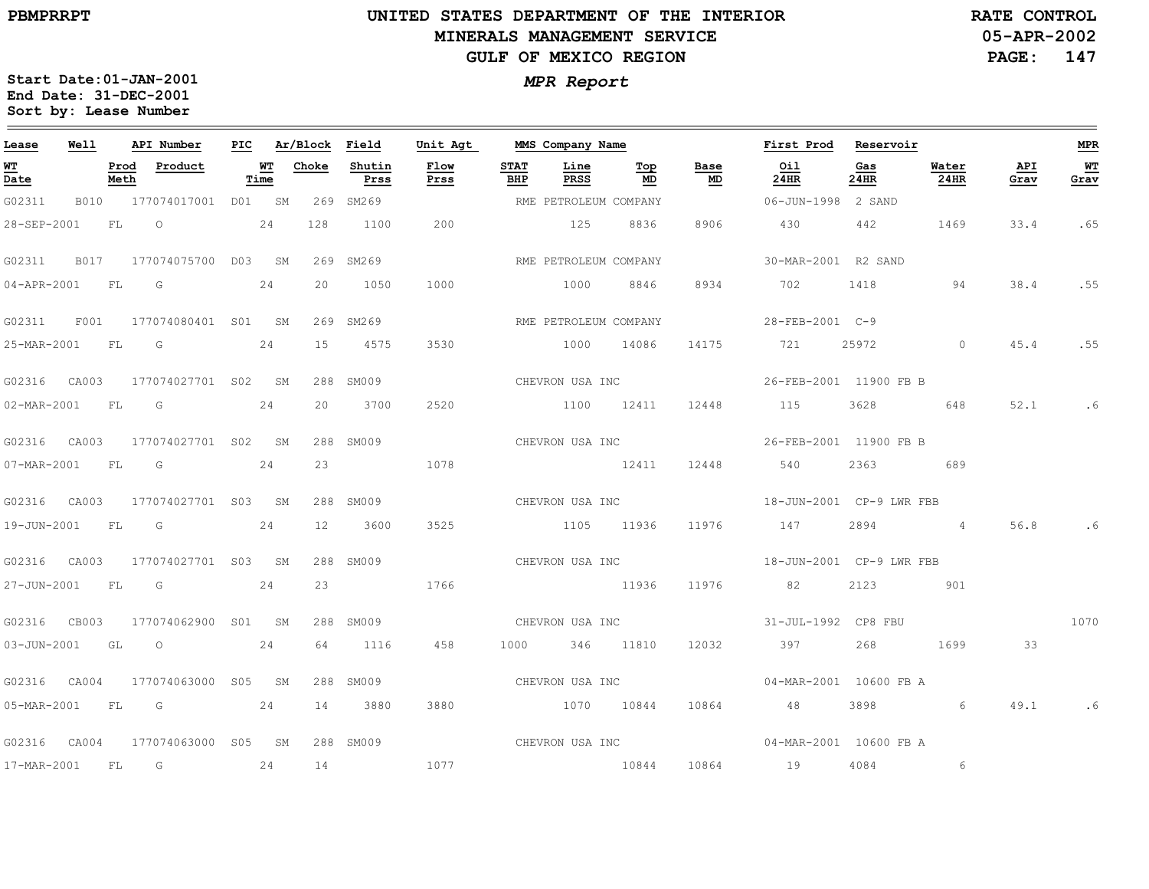$\frac{1}{2}$ 

17-MAR-2001

FL

G

24

14

1077

# **UNITED STATES DEPARTMENT OF THE INTERIORMINERALS MANAGEMENT SERVICEGULF OF MEXICO REGION**

**05-APR-2002 RATE CONTROL**

**PAGE:147**

**MPR**

 $\equiv$ 

**WT Grav**

.65

.55

.55

.6

.6

1070

.6

**Start Date:01-JAN-2001** *MPR Report* **End Date: 31-DEC-2001 Sort by: Lease Number** 

| Lease                                    | <b>Well</b> |              | API Number                       | PIC |            | Ar/Block | Field          | Unit Agt     |                    | MMS Company Name      |                  |                 | First Prod                                        | Reservoir   |                 |             |
|------------------------------------------|-------------|--------------|----------------------------------|-----|------------|----------|----------------|--------------|--------------------|-----------------------|------------------|-----------------|---------------------------------------------------|-------------|-----------------|-------------|
| <u> WТ</u><br>$\overline{\mathsf{Date}}$ |             | Prod<br>Meth | Product                          |     | WT<br>Time | Choke    | Shutin<br>Prss | Flow<br>Prss | <b>STAT</b><br>BHP | Line<br>PRSS          | Top<br>MD        | Base<br>MD      | Oil<br>24HR                                       | Gas<br>24HR | Water<br>24HR   | API<br>Grav |
| G02311                                   | B010        |              | 177074017001 D01 SM              |     |            |          | 269 SM269      |              |                    | RME PETROLEUM COMPANY |                  |                 | 06-JUN-1998 2 SAND                                |             |                 |             |
| 28-SEP-2001                              |             | FL           | $\overline{O}$                   |     | 24         | 128      | 1100           | 200          |                    | 125 8836              |                  | 8906            | 430                                               | 442         | 1469            | 33.4        |
| G02311                                   |             |              | B017 177074075700 D03 SM         |     |            |          | 269 SM269      |              |                    | RME PETROLEUM COMPANY |                  |                 | 30-MAR-2001 R2 SAND                               |             |                 |             |
| 04-APR-2001                              |             | FL           | G                                |     | 24         | 20       | 1050           | 1000         |                    | 1000                  | 8846             |                 | 8934 702                                          | 1418        | 94              | 38.4        |
| G02311                                   | F001        |              | 177074080401 S01 SM              |     |            | 269      | SM269          |              |                    | RME PETROLEUM COMPANY |                  |                 | 28-FEB-2001 C-9                                   |             |                 |             |
| 25-MAR-2001 FL                           |             |              | G                                |     | 24         | 15       | 4575           | 3530         |                    | 1000                  | 14086            | 14175           | 721                                               | 25972       | $\circ$         | 45.4        |
| G02316 CA003                             |             |              | 177074027701 S02 SM              |     |            |          | 288 SM009      |              |                    |                       |                  | CHEVRON USA INC | 26-FEB-2001 11900 FB B                            |             |                 |             |
| 02-MAR-2001 FL G                         |             |              |                                  |     | 24         | 20       | 3700           | 2520         |                    | 1100 12411            |                  |                 | 12448 115                                         | 3628 360    | 648             | 52.1        |
|                                          |             |              | G02316 CA003 177074027701 S02 SM |     |            |          | 288 SM009      |              |                    |                       |                  | CHEVRON USA INC | 26-FEB-2001 11900 FB B                            |             |                 |             |
| 07-MAR-2001                              |             | FL           | G                                |     | 24         | 23       |                | 1078         |                    | 12411                 |                  |                 | 12448 540                                         | 2363        | 689             |             |
| G02316 CA003                             |             |              | 177074027701 S03 SM              |     |            |          | 288 SM009      |              |                    | CHEVRON USA INC       |                  |                 | 18-JUN-2001 CP-9 LWR FBB                          |             |                 |             |
| 19-JUN-2001                              |             | <b>FL</b>    | G                                |     | 24         | 12       | 3600           | 3525         |                    |                       | 1105 11936 11976 |                 | 147                                               | 2894        | $4\overline{4}$ | 56.8        |
| G02316 CA003                             |             |              | 177074027701 S03 SM              |     |            |          | 288 SM009      |              |                    |                       |                  |                 | CHEVRON USA INC $18-\text{JUN}-2001$ CP-9 LWR FBB |             |                 |             |
| 27-JUN-2001 FL                           |             |              | in Gr                            |     | 24         | 23       |                | 1766         |                    | 11936                 |                  | 11976           | 82                                                |             | 2123 901        |             |
| G02316 CB003                             |             |              | 177074062900 S01 SM              |     |            |          | 288 SM009      |              |                    |                       | CHEVRON USA INC  |                 | 31-JUL-1992 CP8 FBU                               |             |                 |             |
| 03-JUN-2001                              |             | GL           | $\circ$                          |     | 24         | 64       | 1116           | 458          |                    | 1000 346 11810        |                  |                 | 12032 397                                         | 268         | 1699            | 33          |
| G02316 CA004                             |             |              | 177074063000 S05 SM              |     |            |          | 288 SM009      |              |                    | CHEVRON USA INC       |                  |                 | 04-MAR-2001 10600 FB A                            |             |                 |             |
| 05-MAR-2001 FL                           |             |              | $\overline{\mathbb{G}}$<br>24    |     |            | 14       | 3880           | 3880         |                    | 1070 10844            |                  |                 | 10864 48                                          | 3898        | 6               | 49.1        |
|                                          |             |              | G02316 CA004 177074063000 S05    |     |            | SM       | 288 SM009      |              |                    | CHEVRON USA INC       |                  |                 | 04-MAR-2001 10600 FB A                            |             |                 |             |

10844 10864194084 6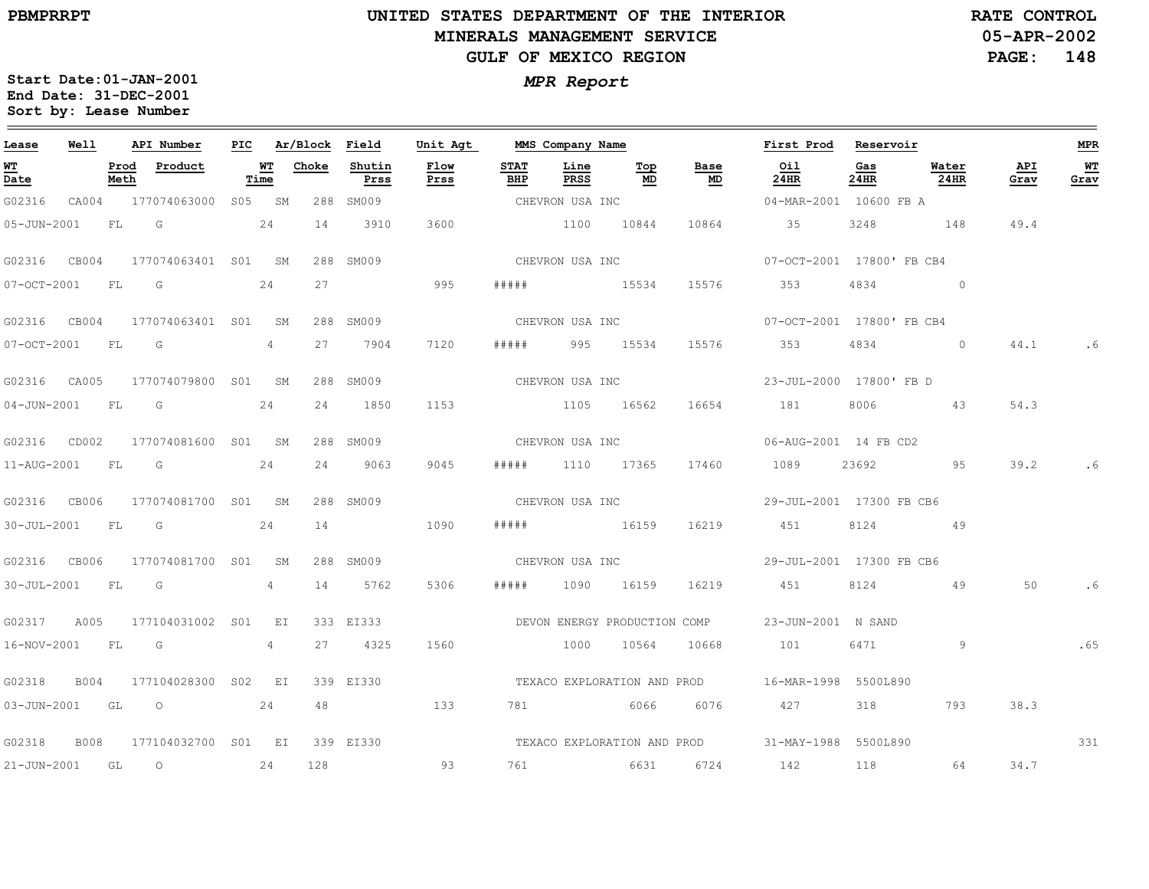$\equiv$ 

# **UNITED STATES DEPARTMENT OF THE INTERIOR MINERALS MANAGEMENT SERVICEGULF OF MEXICO REGION**

**05-APR-2002PAGE: 148 RATE CONTROL**

| Lease             | Well |              | API Number                | PIC  |                | Ar/Block Field |                | Unit Agt     |                    | MMS Company Name |                 |                              | First Prod                                       | Reservoir   |                |             | <b>MPR</b> |
|-------------------|------|--------------|---------------------------|------|----------------|----------------|----------------|--------------|--------------------|------------------|-----------------|------------------------------|--------------------------------------------------|-------------|----------------|-------------|------------|
| WT<br>Date        |      | Prod<br>Meth | Product                   | Time | WT             | Choke          | Shutin<br>Prss | Flow<br>Prss | <b>STAT</b><br>BHP | Line<br>PRSS     | Тор<br>MD       | Base<br>MD                   | Oil<br>24HR                                      | Gas<br>24HR | Water<br>24HR  | API<br>Grav | WТ<br>Grav |
| G02316            |      |              | CA004 177074063000 S05 SM |      |                |                | 288 SM009      |              |                    | CHEVRON USA INC  |                 |                              | 04-MAR-2001 10600 FB A                           |             |                |             |            |
| $05 - JUN - 2001$ |      | FL           | G                         | 24   |                | 14             | 3910           | 3600         |                    | 1100 10844       |                 | 10864                        | 35                                               | 3248        | 148            | 49.4        |            |
| G02316 CB004      |      |              | 177074063401 S01 SM       |      |                |                | 288 SM009      |              |                    |                  | CHEVRON USA INC |                              | 07-OCT-2001 17800' FB CB4                        |             |                |             |            |
| 07-OCT-2001       |      | <b>FL</b>    | <b>G</b>                  |      | 24             | 27             |                | 995          | # # # # #          | 15534            |                 | 15576                        | 353                                              | 4834        | $\overline{0}$ |             |            |
| G02316 CB004      |      |              | 177074063401 S01 SM       |      |                |                | 288 SM009      |              |                    |                  | CHEVRON USA INC |                              | 07-OCT-2001 17800' FB CB4                        |             |                |             |            |
| 07-OCT-2001 FL    |      |              | G                         |      | 4              | 27             | 7904           | 7120         |                    | ##### 995 15534  |                 | 15576                        | 353                                              | 4834        | $\sim$ 0       | 44.1        | . 6        |
| G02316 CA005      |      |              | 177074079800 S01 SM       |      |                |                | 288 SM009      |              |                    | CHEVRON USA INC  |                 |                              | 23-JUL-2000 17800' FB D                          |             |                |             |            |
| $04 - JUN - 2001$ |      | <b>FL</b>    | G                         |      | 24             | 24             | 1850           | 1153         |                    | 1105 16562       |                 | 16654                        | 181                                              | 8006        | 43             | 54.3        |            |
| G02316 CD002      |      |              | 177074081600 S01 SM       |      |                |                | 288 SM009      |              |                    | CHEVRON USA INC  |                 |                              | 06-AUG-2001 14 FB CD2                            |             |                |             |            |
| 11-AUG-2001 FL    |      |              | $\overline{\mathbb{G}}$   |      | 24             | 24             | 9063           | 9045         |                    | ##### 1110 17365 |                 | 17460                        | 1089                                             | 23692       | 95             | 39.2        | .6         |
| G02316 CB006      |      |              | 177074081700 S01 SM       |      |                |                | 288 SM009      |              |                    | CHEVRON USA INC  |                 |                              | 29-JUL-2001 17300 FB CB6                         |             |                |             |            |
| $30 - JUL - 2001$ |      | <b>FL</b>    | <b>G</b>                  |      | 24             | 14             |                | 1090         | # # # # #          | 16159            |                 | 16219                        | 451                                              | 8124        | 49             |             |            |
| G02316 CB006      |      |              | 177074081700 S01 SM       |      |                |                | 288 SM009      |              |                    | CHEVRON USA INC  |                 |                              | 29-JUL-2001 17300 FB CB6                         |             |                |             |            |
| $30 - JUL - 2001$ |      | FL           | $\overline{\mathbb{G}}$   |      | 4              | 14             | 5762           | 5306         |                    | 1090             | 16159           | 16219                        | 451                                              | 8124        | - 49           | 50          | .6         |
| G02317            | A005 |              | 177104031002 SO1          |      | $E_{\rm L}$    |                | 333 EI333      |              |                    |                  |                 | DEVON ENERGY PRODUCTION COMP | 23-JUN-2001 N SAND                               |             |                |             |            |
| 16-NOV-2001       |      | FL           | $\overline{\mathbb{G}}$   |      | $\overline{4}$ | 27             | 4325           | 1560         |                    | 1000             | 10564           | 10668                        | 101                                              | 6471        | 9              |             | .65        |
| G02318            | B004 |              | 177104028300 S02 EI       |      |                |                | 339 EI330      |              |                    |                  |                 |                              | TEXACO EXPLORATION AND PROD 16-MAR-1998 5500L890 |             |                |             |            |
|                   |      |              | 03-JUN-2001 GL O          |      | 24             | 48             |                | 133          |                    |                  | 781 6066        | 6076                         | 427                                              | 318         | 793            | 38.3        |            |
| G02318            | B008 |              | 177104032700 S01 EI       |      |                |                | 339 EI330      |              |                    |                  |                 |                              | TEXACO EXPLORATION AND PROD 31-MAY-1988 5500L890 |             |                |             | 331        |
| $21 - JUN - 2001$ |      | GL           | $\circ$                   |      | 24             | 128            |                | 93           |                    |                  | 6631            | 6724                         | 142                                              | 118         | 64             | 34.7        |            |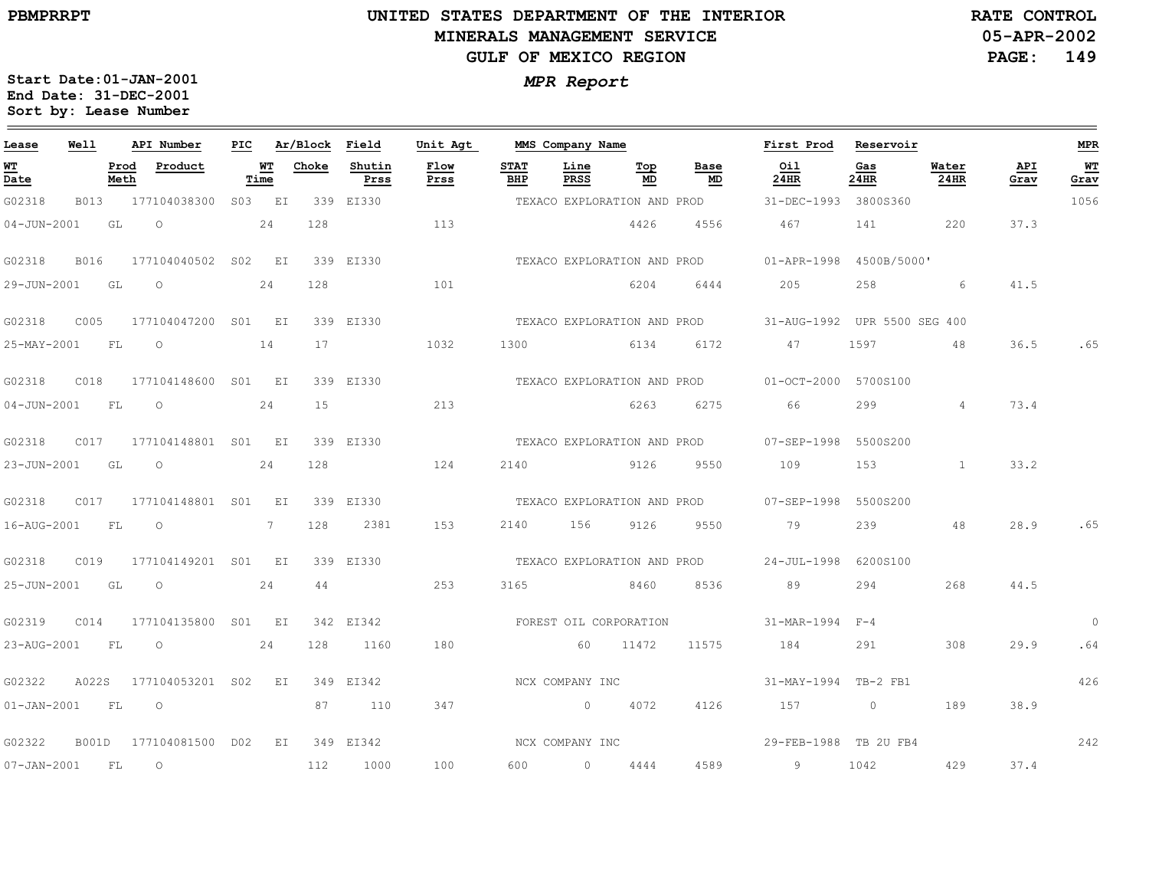# **UNITED STATES DEPARTMENT OF THE INTERIOR MINERALS MANAGEMENT SERVICEGULF OF MEXICO REGION**

**05-APR-2002PAGE: 149 RATE CONTROL**

| Lease             | Well        |              | API Number          | PIC |              | Ar/Block Field |                | Unit Agt     |                             | MMS Company Name |                             |                             | First Prod                   | Reservoir      |                |             | <b>MPR</b>   |
|-------------------|-------------|--------------|---------------------|-----|--------------|----------------|----------------|--------------|-----------------------------|------------------|-----------------------------|-----------------------------|------------------------------|----------------|----------------|-------------|--------------|
| WT<br>Date        |             | Prod<br>Meth | Product             |     | WT<br>Time   | Choke          | Shutin<br>Prss | Flow<br>Prss | <b>STAT</b><br>BHP          | Line<br>PRSS     | Тор<br>MD                   | Base<br>MD                  | Oil<br>24HR                  | Gas<br>24HR    | Water<br>24HR  | API<br>Grav | WТ<br>Grav   |
| G02318            | B013        |              | 177104038300        |     | S03 EI       |                | 339 EI330      |              |                             |                  | TEXACO EXPLORATION AND PROD |                             | 31-DEC-1993 3800S360         |                |                |             | 1056         |
| $04 - JUN - 2001$ |             | GL           | $\circ$             |     | 24           | 128            |                | 113          |                             |                  | 4426                        | 4556                        | 467                          | 141            | 220            | 37.3        |              |
| G02318            | <b>B016</b> |              | 177104040502 SO2    |     | EI           |                | 339 EI330      |              | TEXACO EXPLORATION AND PROD |                  |                             |                             | $01 - APR - 1998$            | 4500B/5000'    |                |             |              |
| 29-JUN-2001       |             | GL           | $\circ$             |     | 24           | 128            |                | 101          |                             |                  | 6204                        | 6444                        | 205                          | 258            | 6              | 41.5        |              |
| G02318            | C005        |              | 177104047200 S01 EI |     |              |                | 339 EI330      |              |                             |                  |                             | TEXACO EXPLORATION AND PROD | 31-AUG-1992 UPR 5500 SEG 400 |                |                |             |              |
| 25-MAY-2001       |             | <b>FL</b>    | $\circ$             |     | 14           | 17             |                | 1032         | 1300                        |                  | 6134                        | 6172                        | 47                           | 1597           | 48             | 36.5        | .65          |
| G02318            | C018        |              | 177104148600        |     | S01 EI       |                | 339 EI330      |              |                             |                  |                             | TEXACO EXPLORATION AND PROD | $01 - OCT - 2000$            | 5700S100       |                |             |              |
| $04 - JUN - 2001$ |             | FL           | $\circ$             |     | 24           | 15             |                | 213          |                             |                  | 6263                        | 6275                        | 66                           | 299            | $\overline{4}$ | 73.4        |              |
| G02318            | C017        |              | 177104148801 S01 EI |     |              |                | 339 EI330      |              |                             |                  |                             | TEXACO EXPLORATION AND PROD | 07-SEP-1998                  | 5500S200       |                |             |              |
| 23-JUN-2001       |             | GL           | $\circ$             |     | 24           | 128            |                | 124          | 2140                        | 9126             |                             | 9550                        | 109                          | 153            | $\mathbf{1}$   | 33.2        |              |
| G02318            | C017        |              | 177104148801 S01 EI |     |              |                | 339 EI330      |              |                             |                  |                             | TEXACO EXPLORATION AND PROD | $07 - SEP - 1998$            | 5500S200       |                |             |              |
| 16-AUG-2001       |             | FL           | $\circ$             |     | $7^{\circ}$  | 128            | 2381           | 153          | 2140                        | 156              | 9126                        | 9550                        | 79                           | 239            | 48             | 28.9        | .65          |
| G02318            | C019        |              | 177104149201 S01 EI |     |              |                | 339 EI330      |              |                             |                  | TEXACO EXPLORATION AND PROD |                             | 24-JUL-1998                  | 6200S100       |                |             |              |
| 25-JUN-2001       |             | GL           | $\circ$             |     | 24           | 44             |                | 253          | 3165                        | 8460             |                             | 8536                        | 89                           | 294            | 268            | 44.5        |              |
| G02319            | CO14        |              | 177104135800        | S01 | $E_{\rm{I}}$ |                | 342 EI342      |              | FOREST OIL CORPORATION      |                  |                             |                             | 31-MAR-1994                  | $F - 4$        |                |             | $\mathbf{0}$ |
| 23-AUG-2001       |             | FL           | $\circ$             |     | 24           | 128            | 1160           | 180          |                             | 60               | 11472                       | 11575                       | 184                          | 291            | 308            | 29.9        | .64          |
| G02322            | A022S       |              | 177104053201        | S02 | EI           |                | 349 EI342      |              |                             | NCX COMPANY INC  |                             |                             | 31-MAY-1994 TB-2 FB1         |                |                |             | 426          |
| $01 - JAN - 2001$ |             | FL           | $\circ$             |     |              | 87             | 110            | 347          |                             | $\overline{0}$   | 4072                        | 4126                        | 157                          | $\overline{0}$ | 189            | 38.9        |              |
| G02322            | B001D       |              | 177104081500 D02    |     | EI           |                | 349 EI342      |              |                             | NCX COMPANY INC  |                             |                             | 29-FEB-1988 TB 2U FB4        |                |                |             | 242          |
| $07 - JAN - 2001$ |             | FL           | $\circ$             |     |              | 112            | 1000           | 100          | 600                         | $\circ$          | 4444                        | 4589                        | 9                            | 1042           | 429            | 37.4        |              |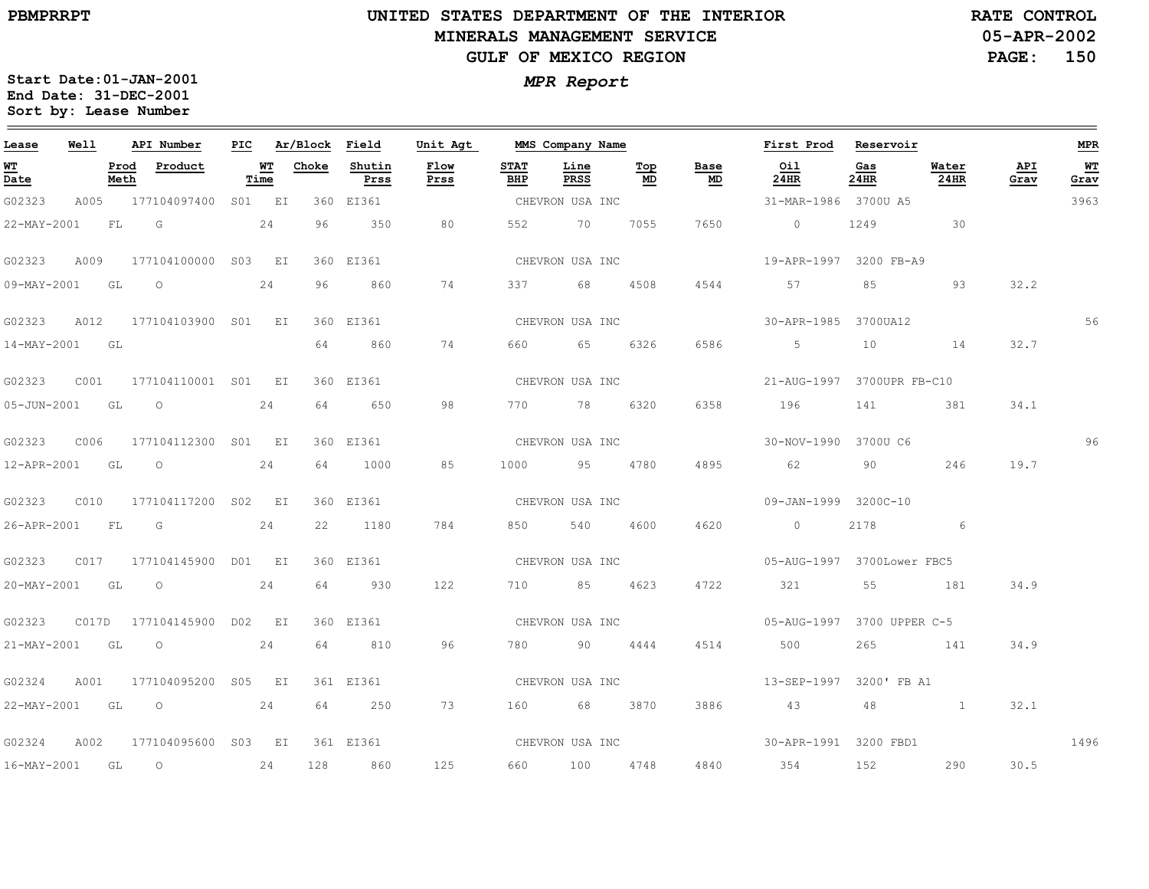**05-APR-2002PAGE: 150 RATE CONTROL**

| Lease             | Well |              | API Number                |            | PIC Ar/Block Field |                | Unit Agt     |                    | MMS Company Name |           |                   | First Prod Reservoir                                                                                                                                                                                                                                                                                                               |             |                |             | MPR        |
|-------------------|------|--------------|---------------------------|------------|--------------------|----------------|--------------|--------------------|------------------|-----------|-------------------|------------------------------------------------------------------------------------------------------------------------------------------------------------------------------------------------------------------------------------------------------------------------------------------------------------------------------------|-------------|----------------|-------------|------------|
| <u>WT</u><br>Date |      | Prod<br>Meth | Product                   | WT<br>Time | Choke              | Shutin<br>Prss | Flow<br>Prss | <b>STAT</b><br>BHP | Line<br>PRSS     | Top<br>MD | Base<br><u>MD</u> | Oil<br>24HR                                                                                                                                                                                                                                                                                                                        | Gas<br>24HR | Water<br>24HR  | API<br>Grav | WT<br>Grav |
| G02323            | A005 |              | 177104097400 S01 EI       |            |                    | 360 EI361      |              |                    | CHEVRON USA INC  |           |                   | 31-MAR-1986 3700U A5                                                                                                                                                                                                                                                                                                               |             |                |             | 3963       |
| 22-MAY-2001       |      | FL           | $\overline{G}$            | 24         | 96                 | 350            | 80           |                    | 552 70           | 7055      | 7650              | $\overline{0}$ and $\overline{0}$ and $\overline{0}$ and $\overline{0}$ and $\overline{0}$ and $\overline{0}$ and $\overline{0}$ and $\overline{0}$ and $\overline{0}$ and $\overline{0}$ and $\overline{0}$ and $\overline{0}$ and $\overline{0}$ and $\overline{0}$ and $\overline{0}$ and $\overline{0}$ and $\overline{0}$ and |             | 1249 30        |             |            |
| G02323            | A009 |              | 177104100000 S03 EI       |            |                    | 360 EI361      |              |                    | CHEVRON USA INC  |           |                   | 19-APR-1997 3200 FB-A9                                                                                                                                                                                                                                                                                                             |             |                |             |            |
| 09-MAY-2001 GL    |      |              | $\overline{O}$            | 24         | 96                 | 860            | 74           |                    | 337 68           | 4508      | 4544              | 57                                                                                                                                                                                                                                                                                                                                 | 85          | 93             | 32.2        |            |
| G02323            | A012 |              | 177104103900 S01 EI       |            |                    | 360 EI361      |              |                    | CHEVRON USA INC  |           |                   | 30-APR-1985 3700UA12                                                                                                                                                                                                                                                                                                               |             |                |             | 56         |
| 14-MAY-2001 GL    |      |              |                           |            | 64                 | 860            | 74           |                    | 660 65           | 6326      | 6586              | $5\overline{)}$                                                                                                                                                                                                                                                                                                                    | 10          | 14             | 32.7        |            |
| G02323            | COO1 |              | 177104110001 S01 EI       |            |                    | 360 EI361      |              |                    | CHEVRON USA INC  |           |                   | 21-AUG-1997 3700UPR FB-C10                                                                                                                                                                                                                                                                                                         |             |                |             |            |
| 05-JUN-2001       |      | GL           | $\circ$                   | 24         | 64                 | 650            | 98           |                    | 770 78           | 6320      | 6358              | 196                                                                                                                                                                                                                                                                                                                                | 141         | 381            | 34.1        |            |
| G02323            | C006 |              | 177104112300 S01 EI       |            |                    | 360 EI361      |              |                    | CHEVRON USA INC  |           |                   | 30-NOV-1990 3700U C6                                                                                                                                                                                                                                                                                                               |             |                |             | 96         |
| 12-APR-2001 GL    |      |              | $\overline{O}$            | 24         | 64                 | 1000           | 85           |                    | 1000 95          | 4780      | 4895              | 62                                                                                                                                                                                                                                                                                                                                 | 90          | 246            | 19.7        |            |
| G02323            | C010 |              | 177104117200 S02 EI       |            |                    | 360 EI361      |              |                    | CHEVRON USA INC  |           |                   | 09-JAN-1999 3200C-10                                                                                                                                                                                                                                                                                                               |             |                |             |            |
| 26-APR-2001       |      | FL           | G                         | 24         | 22                 | 1180           | 784          |                    | 540              | 4600      | 4620              | $\sim$ 0                                                                                                                                                                                                                                                                                                                           | 2178        | 6              |             |            |
| G02323            |      |              | C017 177104145900 D01 EI  |            |                    | 360 EI361      |              |                    | CHEVRON USA INC  |           |                   | 05-AUG-1997 3700Lower FBC5                                                                                                                                                                                                                                                                                                         |             |                |             |            |
| 20-MAY-2001       |      | GL           | $\overline{O}$            | 24         | 64                 | 930            | 122          |                    | 710 85 4623      |           | 4722              | 321                                                                                                                                                                                                                                                                                                                                |             | 55 181         | 34.9        |            |
| G02323            |      |              | C017D 177104145900 D02 EI |            |                    | 360 EI361      |              |                    | CHEVRON USA INC  |           |                   | 05-AUG-1997 3700 UPPER C-5                                                                                                                                                                                                                                                                                                         |             |                |             |            |
| 21-MAY-2001 GL    |      |              | $\overline{O}$            | 24         | 64                 | 810            | 96           |                    | 780 90           | 4444      | 4514              | 500                                                                                                                                                                                                                                                                                                                                | 265         | 141            | 34.9        |            |
| G02324            | A001 |              | 177104095200 S05 EI       |            |                    | 361 EI361      |              |                    | CHEVRON USA INC  |           |                   | 13-SEP-1997 3200' FB A1                                                                                                                                                                                                                                                                                                            |             |                |             |            |
|                   |      |              | 22-MAY-2001 GL O 24       |            | 64                 | 250            | 73           |                    | 160 68 3870      |           | 3886              | 43                                                                                                                                                                                                                                                                                                                                 | 48          | $\overline{1}$ | 32.1        |            |
| G02324            | A002 |              | 177104095600 S03 EI       |            |                    | 361 EI361      |              |                    |                  |           |                   |                                                                                                                                                                                                                                                                                                                                    |             |                |             | 1496       |
| 16-MAY-2001 GL    |      |              | $\overline{O}$            | 24         | 128                | 860            | 125          |                    | 660 100          | 4748      | 4840              | 354                                                                                                                                                                                                                                                                                                                                | 152         | 290            | 30.5        |            |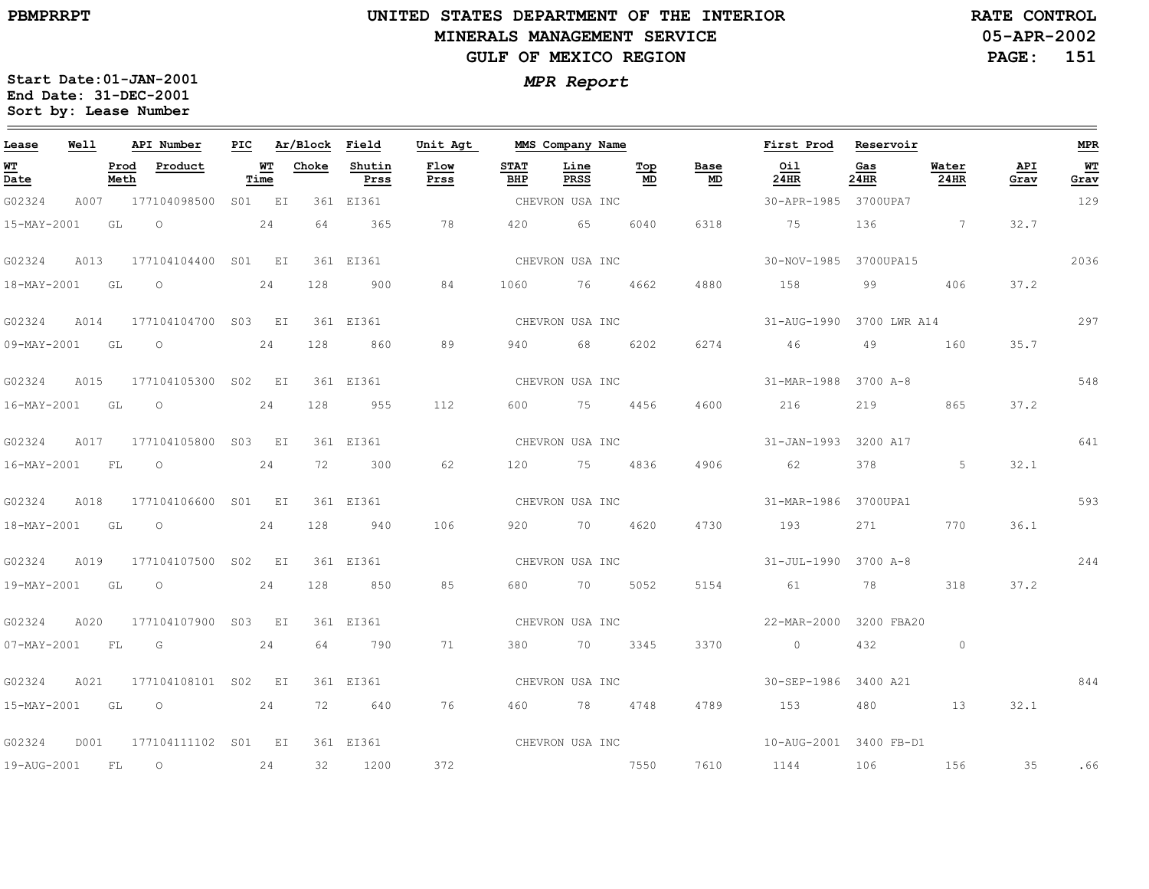# **UNITED STATES DEPARTMENT OF THE INTERIOR MINERALS MANAGEMENT SERVICEGULF OF MEXICO REGION**

**05-APR-2002PAGE: 151 RATE CONTROL**

| Lease                                                | Well |              | API Number          | PIC |                   | Ar/Block Field |                | Unit Agt        |                    | MMS Company Name |           |            | First Prod            | Reservoir    |                 |             | $MPR$      |
|------------------------------------------------------|------|--------------|---------------------|-----|-------------------|----------------|----------------|-----------------|--------------------|------------------|-----------|------------|-----------------------|--------------|-----------------|-------------|------------|
| $\underline{\mathbf{w}}$<br>$\overline{\text{Date}}$ |      | Prod<br>Meth | Product             |     | <u>WT</u><br>Time | Choke          | Shutin<br>Prss | Flow<br>Prss    | <b>STAT</b><br>BHP | Line<br>PRSS     | Top<br>MD | Base<br>MD | Oil<br>24HR           | Gas<br>24HR  | Water<br>24HR   | API<br>Grav | WТ<br>Grav |
| G02324                                               | A007 |              | 177104098500        |     | S01 EI            |                | 361 EI361      |                 |                    | CHEVRON USA INC  |           |            | 30-APR-1985           | 3700UPA7     |                 |             | 129        |
| 15-MAY-2001                                          |      | GL           | $\circ$             |     | 24                | 64             | 365            | 78              | 420                | 65               | 6040      | 6318       | 75                    | 136          | $7\phantom{.0}$ | 32.7        |            |
| G02324                                               | A013 |              | 177104104400 S01 EI |     |                   |                | 361 EI361      |                 |                    | CHEVRON USA INC  |           |            | 30-NOV-1985 3700UPA15 |              |                 |             | 2036       |
| 18-MAY-2001                                          |      | GL           | $\circ$             |     | 24                | 128            | 900            | 84              | 1060               | 76               | 4662      | 4880       | 158                   | 99           | 406             | 37.2        |            |
| G02324                                               | A014 |              | 177104104700 S03 EI |     |                   |                | 361 EI361      |                 |                    | CHEVRON USA INC  |           |            | 31-AUG-1990           | 3700 LWR A14 |                 |             | 297        |
| 09-MAY-2001                                          |      | GL           | $\circ$             |     | 24                | 128            | 860            | 89              | 940                | 68               | 6202      | 6274       | 46                    | 49           | 160             | 35.7        |            |
| G02324                                               | A015 |              | 177104105300 S02 EI |     |                   |                | 361 EI361      |                 |                    | CHEVRON USA INC  |           |            | 31-MAR-1988           | 3700 A-8     |                 |             | 548        |
| $16 - MAX - 2001$                                    |      | GL           | $\circ$             |     | 24                | 128            | 955            | 112             | 600                | 75               | 4456      | 4600       | 216                   | 219          | 865             | 37.2        |            |
| G02324                                               | A017 |              | 177104105800        |     | S03 EI            |                | 361 EI361      |                 |                    | CHEVRON USA INC  |           |            | $31 - JAN - 1993$     | 3200 A17     |                 |             | 641        |
| 16-MAY-2001                                          |      | FL           | $\circ$             |     | 24                | 72             | 300            | 62              | 120                | 75               | 4836      | 4906       | 62                    | 378          | 5               | 32.1        |            |
| G02324                                               | A018 |              | 177104106600 S01 EI |     |                   |                | 361 EI361      |                 |                    | CHEVRON USA INC  |           |            | 31-MAR-1986           | 3700UPA1     |                 |             | 593        |
| 18-MAY-2001                                          |      | GL           | $\circ$             |     | 24                | 128            | 940            | 106             | 920                | 70               | 4620      | 4730       | 193                   | 271          | 770             | 36.1        |            |
| G02324                                               | A019 |              | 177104107500 S02 EI |     |                   |                | 361 EI361      |                 |                    | CHEVRON USA INC  |           |            | $31 - JUL - 1990$     | 3700 A-8     |                 |             | 244        |
| 19-MAY-2001                                          |      | GL           | $\circ$             |     | 24                | 128            | 850            | 85              | 680                | 70               | 5052      | 5154       | 61                    | 78           | 318             | 37.2        |            |
| G02324                                               | A020 |              | 177104107900 S03 EI |     |                   |                | 361 EI361      |                 |                    | CHEVRON USA INC  |           |            | 22-MAR-2000           | 3200 FBA20   |                 |             |            |
| 07-MAY-2001                                          |      | FL           | G                   |     | 24                | 64             | 790            | 71              | 380                | 70               | 3345      | 3370       | $\overline{0}$        | 432          | $\circ$         |             |            |
| G02324                                               | A021 |              | 177104108101 S02 EI |     |                   |                | 361 EI361      |                 |                    | CHEVRON USA INC  |           |            | 30-SEP-1986 3400 A21  |              |                 |             | 844        |
| 15-MAY-2001                                          |      | GL           | $\circ$             |     | 24                | 72             | 640            | 76              |                    | 460 78           | 4748      | 4789       | 153                   | 480          | 13              | 32.1        |            |
| G02324                                               | D001 |              | 177104111102 S01 EI |     |                   |                | 361 EI361      | CHEVRON USA INC |                    |                  |           |            | 10-AUG-2001           | 3400 FB-D1   |                 |             |            |
| 19-AUG-2001                                          |      | FL           | $\circ$             |     | 24                | 32             | 1200           | 372             |                    |                  | 7550      | 7610       | 1144                  | 106          | 156             | 35          | .66        |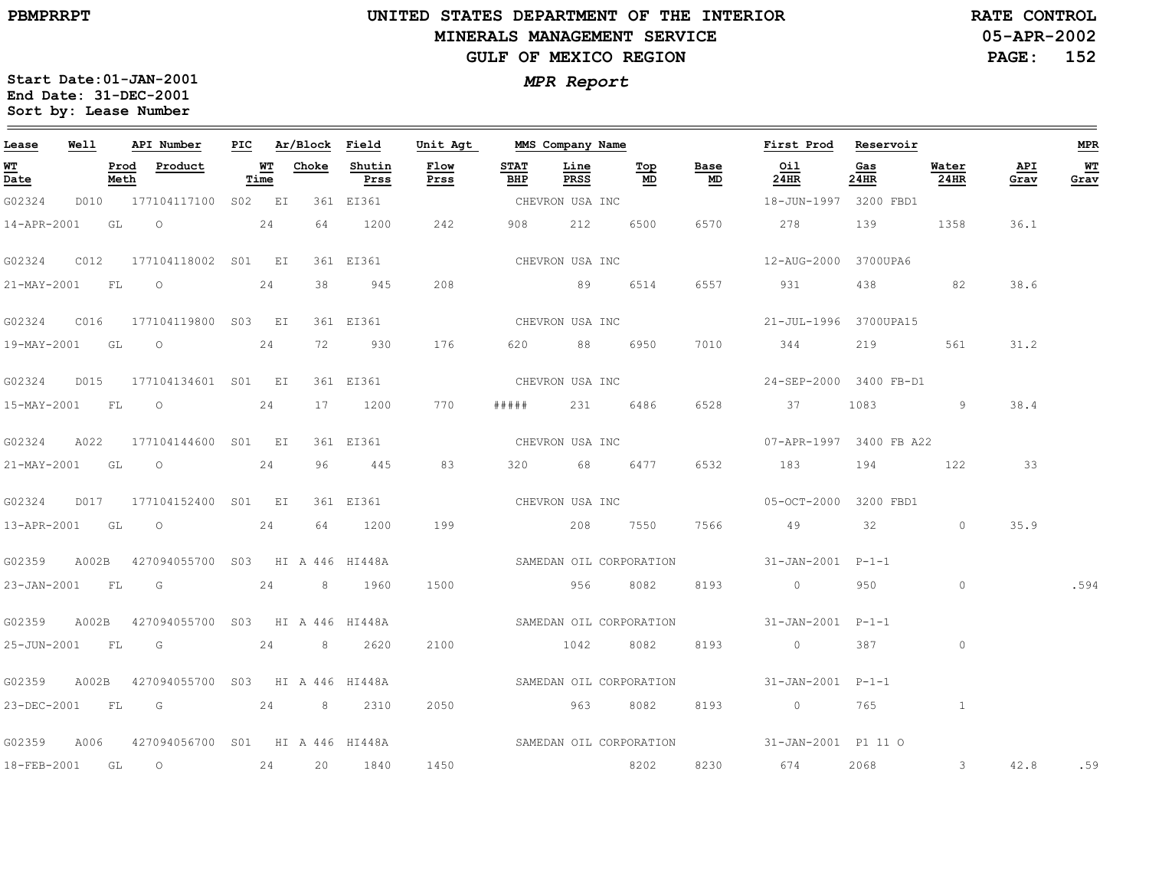**05-APR-2002PAGE: 152 RATE CONTROL**

| Lease            | Well |              | API Number                                    | PIC |            | Ar/Block Field |                | Unit Agt     |                    | MMS Company Name    |                         |            | First Prod                                  | Reservoir   |               |             | <b>MPR</b> |
|------------------|------|--------------|-----------------------------------------------|-----|------------|----------------|----------------|--------------|--------------------|---------------------|-------------------------|------------|---------------------------------------------|-------------|---------------|-------------|------------|
| WT<br>Date       |      | Prod<br>Meth | Product                                       |     | WT<br>Time | Choke          | Shutin<br>Prss | Flow<br>Prss | <b>STAT</b><br>BHP | Line<br><b>PRSS</b> | Тор<br>MD               | Base<br>MD | Oil<br>24HR                                 | Gas<br>24HR | Water<br>24HR | API<br>Grav | WT<br>Grav |
| G02324           |      |              | D010 177104117100 S02 EI                      |     |            |                | 361 EI361      |              |                    | CHEVRON USA INC     |                         |            | 18-JUN-1997 3200 FBD1                       |             |               |             |            |
|                  |      |              | 14-APR-2001 GL 0 24                           |     |            | 64             | 1200           | 242          |                    | 908 212             | 6500                    | 6570       | 278                                         | 139         | 1358          | 36.1        |            |
| G02324           | C012 |              | 177104118002 S01 EI                           |     |            |                | 361 EI361      |              | CHEVRON USA INC    |                     |                         |            | 12-AUG-2000 3700UPA6                        |             |               |             |            |
|                  |      |              | 21-MAY-2001 FL 0 24                           |     |            | 38             | 945            | 208          |                    | 89 6514             |                         |            | 6557 931 438 82                             |             |               | 38.6        |            |
| G02324           | C016 |              | 177104119800 S03 EI                           |     |            |                | 361 EI361      |              |                    | CHEVRON USA INC     |                         |            | 21-JUL-1996 3700UPA15                       |             |               |             |            |
| 19-MAY-2001 GL O |      |              | 24                                            |     |            | 72             | 930            | 176          |                    | 620 88 6950         |                         | 7010       | 344                                         |             | 219 561       | 31.2        |            |
|                  |      |              | G02324 D015 177104134601 S01 EI               |     |            |                | 361 EI361      |              |                    | CHEVRON USA INC     |                         |            | 24-SEP-2000 3400 FB-D1                      |             |               |             |            |
|                  |      |              | 15-MAY-2001 FL O 24                           |     |            | 17             | 1200           | 770          | # # # # #          |                     | 231 6486                | 6528       | 37                                          |             | 9             | 38.4        |            |
| G02324           | A022 |              | 177104144600 S01 EI                           |     |            |                | 361 EI361      |              |                    | CHEVRON USA INC     |                         |            | 07-APR-1997 3400 FB A22                     |             |               |             |            |
| 21-MAY-2001 GL O |      |              |                                               |     | 24         | 96             | 445            | 83           |                    | 320 68              | 6477                    | 6532       | 183                                         | 194         | 122           | 33          |            |
| G02324           |      |              | D017 177104152400 S01 EI                      |     |            |                | 361 EI361      |              |                    |                     | CHEVRON USA INC         |            | 05-OCT-2000 3200 FBD1                       |             |               |             |            |
|                  |      |              | 13-APR-2001 GL O 24                           |     |            | 64             | 1200           | 199          |                    | 208 7550            |                         | 7566       | 49 32                                       |             | $\circ$       | 35.9        |            |
| G02359           |      |              | A002B 427094055700 S03 HI A 446 HI448A        |     |            |                |                |              |                    |                     |                         |            | SAMEDAN OIL CORPORATION 31-JAN-2001 P-1-1   |             |               |             |            |
| 23-JAN-2001 FL   |      |              | G 24 8 1960                                   |     |            |                |                | 1500         |                    | 956                 | 8082                    |            | 8193 0                                      | 950         | $\circ$       |             | .594       |
| G02359           |      |              | A002B 427094055700 S03 HI A 446 HI448A        |     |            |                |                |              |                    |                     | SAMEDAN OIL CORPORATION |            | 31-JAN-2001 P-1-1                           |             |               |             |            |
| 25-JUN-2001 FL G |      |              |                                               |     |            |                | 24 8 2620      | 2100         |                    | 1042                | 8082                    | 8193       | $\overline{0}$                              | 387         | $\circ$       |             |            |
|                  |      |              | G02359 A002B 427094055700 S03 HI A 446 HI448A |     |            |                |                |              |                    |                     | SAMEDAN OIL CORPORATION |            | 31-JAN-2001 P-1-1                           |             |               |             |            |
|                  |      |              | 23-DEC-2001 FL G 24 8 2310                    |     |            |                |                | 2050         |                    | 963                 | 8082                    | 8193       | $\sim$ 0                                    | 765         | $\mathbf{1}$  |             |            |
| G02359           | A006 |              | 427094056700 S01 HI A 446 HI448A              |     |            |                |                |              |                    |                     |                         |            | SAMEDAN OIL CORPORATION 31-JAN-2001 P1 11 O |             |               |             |            |
| 18-FEB-2001      |      | GL           | $\overline{O}$<br>24                          |     |            | 20             | 1840           | 1450         |                    |                     | 8202                    |            | 8230 674                                    | 2068        | $3^{\circ}$   | 42.8        | .59        |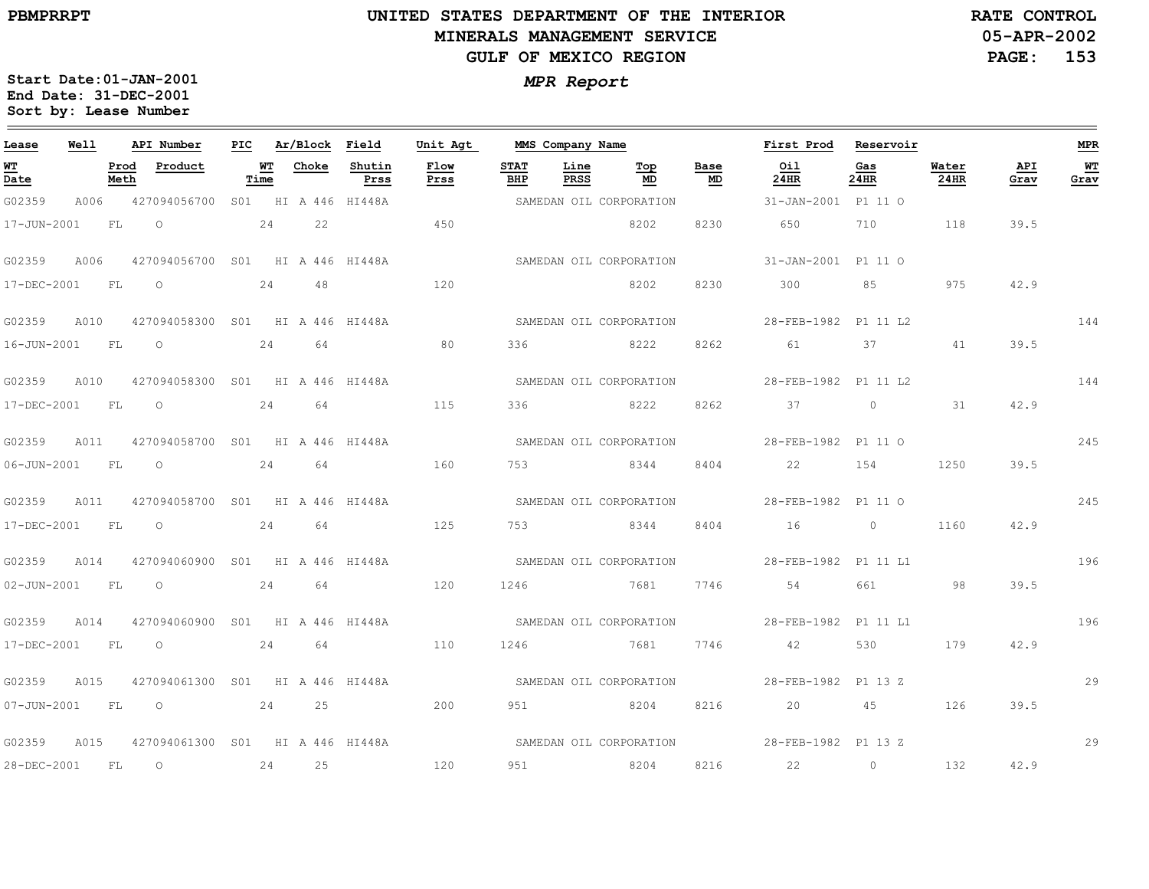# **UNITED STATES DEPARTMENT OF THE INTERIOR MINERALS MANAGEMENT SERVICEGULF OF MEXICO REGION**

**05-APR-2002RATE CONTROL**

**PAGE: 153**

| MPR Report |
|------------|
|            |

| Lease          | Well |      | API Number                                   |      | PIC Ar/Block Field |                | Unit Agt     |                    | MMS Company Name |                         |            | First Prod           | Reservoir      |               |             | <b>MPR</b> |
|----------------|------|------|----------------------------------------------|------|--------------------|----------------|--------------|--------------------|------------------|-------------------------|------------|----------------------|----------------|---------------|-------------|------------|
| WT<br>Date     |      | Meth | Prod Product                                 | Time | WT Choke           | Shutin<br>Prss | Flow<br>Prss | <b>STAT</b><br>BHP | Line<br>PRSS     | Top<br>MD               | Base<br>MD | Oil<br>24HR          | Gas<br>24HR    | Water<br>24HR | API<br>Grav | WТ<br>Grav |
| G02359         | A006 |      | 427094056700 S01 HI A 446 HI448A             |      |                    |                |              |                    |                  | SAMEDAN OIL CORPORATION |            | 31-JAN-2001 P1 11 O  |                |               |             |            |
| 17-JUN-2001    |      | FL   | $\overline{O}$                               | 24   | 22                 |                | 450          |                    |                  | 8202                    | 8230       | 650                  | 710 710        | 118           | 39.5        |            |
| G02359         | A006 |      | 427094056700 SO1 HI A 446 HI448A             |      |                    |                |              |                    |                  | SAMEDAN OIL CORPORATION |            | 31-JAN-2001 P1 11 O  |                |               |             |            |
| 17-DEC-2001    |      | FL   | $\circ$                                      | 24   | 48                 |                | 120          |                    |                  | 8202                    | 8230       | 300                  | 85             | 975           | 42.9        |            |
| G02359 A010    |      |      | 427094058300 S01 HI A 446 HI448A             |      |                    |                |              |                    |                  | SAMEDAN OIL CORPORATION |            | 28-FEB-1982 P1 11 L2 |                |               |             | 144        |
| 16-JUN-2001 FL |      |      | $\circ$                                      | 24   | 64                 | 80             |              | 336                |                  | 8222                    | 8262       | 61 61                | 37 — 1         | 41            | 39.5        |            |
| G02359         | A010 |      | 427094058300 SO1 HI A 446 HI448A             |      |                    |                |              |                    |                  | SAMEDAN OIL CORPORATION |            | 28-FEB-1982 P1 11 L2 |                |               |             | 144        |
| 17-DEC-2001 FL |      |      | $\overline{O}$                               | 24   | 64                 |                | 115          | 336                |                  | 8222                    | 8262       | 37                   | $\overline{0}$ | 31            | 42.9        |            |
| G02359 A011    |      |      | 427094058700 S01 HI A 446 HI448A             |      |                    |                |              |                    |                  | SAMEDAN OIL CORPORATION |            | 28-FEB-1982 P1 11 O  |                |               |             | 245        |
| 06-JUN-2001 FL |      |      | $\overline{O}$                               | 24   | 64                 | 160            |              |                    | 753 8344         |                         | 8404       | 22                   | 154            | 1250          | 39.5        |            |
| G02359         | A011 |      | 427094058700 S01 HI A 446 HI448A             |      |                    |                |              |                    |                  | SAMEDAN OIL CORPORATION |            | 28-FEB-1982 P1 11 O  |                |               |             | 245        |
| 17-DEC-2001 FL |      |      | $\overline{O}$                               | 24   | 64                 |                | 125          | 753                |                  | 8344                    | 8404       | $16$ 0               |                | 1160          | 42.9        |            |
|                |      |      | G02359 A014 427094060900 S01 HI A 446 HI448A |      |                    |                |              |                    |                  | SAMEDAN OIL CORPORATION |            | 28-FEB-1982 P1 11 L1 |                |               |             | 196        |
| 02-JUN-2001 FL |      |      | $\overline{O}$                               | 24   | 64                 | 120            |              | 1246               |                  | 7681                    | 7746       | 54                   | 661 7          | 98            | 39.5        |            |
| G02359         | A014 |      | 427094060900 S01 HI A 446 HI448A             |      |                    |                |              |                    |                  | SAMEDAN OIL CORPORATION |            | 28-FEB-1982 P1 11 L1 |                |               |             | 196        |
| 17-DEC-2001    | FL   |      | $\overline{O}$                               | 24   | 64                 |                | 110          | 1246               |                  | 7681                    | 7746       | 42                   | 530            | 179           | 42.9        |            |
| G02359 A015    |      |      | 427094061300 SO1 HI A 446 HI448A             |      |                    |                |              |                    |                  | SAMEDAN OIL CORPORATION |            | 28-FEB-1982 P1 13 Z  |                |               |             | 29         |
| 07-JUN-2001 FL |      |      | $\overline{O}$                               | 24   | 25                 | 200            |              | 951                |                  | 8204                    | 8216       | 20 45                |                | 126           | 39.5        |            |
| G02359         | A015 |      | 427094061300 S01 HI A 446 HI448A             |      |                    |                |              |                    |                  | SAMEDAN OIL CORPORATION |            | 28-FEB-1982 P1 13 Z  |                |               |             | 29         |
| 28-DEC-2001    |      | FL   | $\overline{O}$<br>24 25                      |      |                    |                | 120          | 951                | 8204             |                         | 8216       | $22$ 0               |                | 132           | 42.9        |            |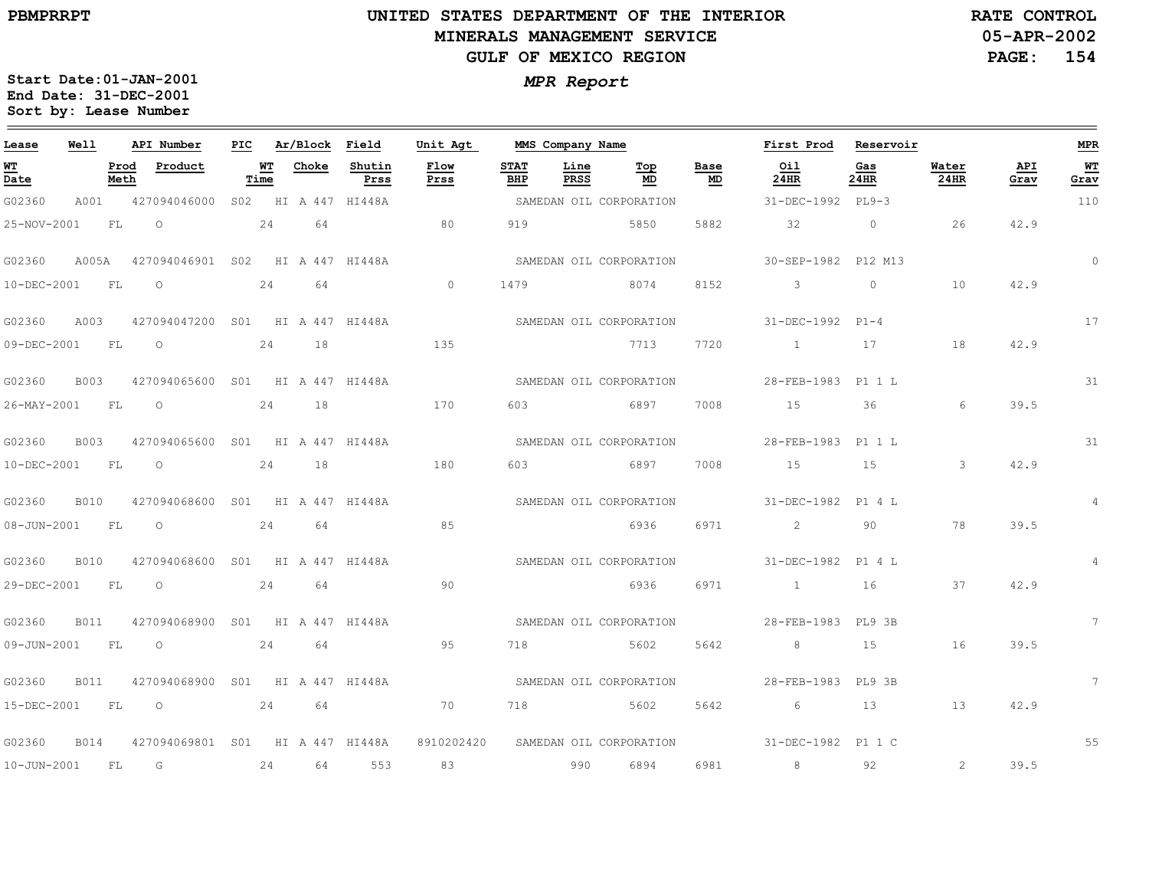$\equiv$ 

# **UNITED STATES DEPARTMENT OF THE INTERIOR MINERALS MANAGEMENT SERVICEGULF OF MEXICO REGION**

**05-APR-2002RATE CONTROL**

**PAGE: 154**

| Lease                          | Well        |              | API Number                       | PIC |            | Ar/Block Field |                     | Unit Agt                | MMS Company Name   |                     |                         |            | First Prod                                 | Reservoir   |                         |             | <b>MPR</b>      |
|--------------------------------|-------------|--------------|----------------------------------|-----|------------|----------------|---------------------|-------------------------|--------------------|---------------------|-------------------------|------------|--------------------------------------------|-------------|-------------------------|-------------|-----------------|
| WT<br>$\overline{\text{Date}}$ |             | Prod<br>Meth | Product                          |     | WT<br>Time | Choke          | Shutin<br>Prss      | Flow<br>Prss            | <b>STAT</b><br>BHP | Line<br><b>PRSS</b> | Top<br>MD               | Base<br>MD | Oil<br>24HR                                | Gas<br>24HR | Water<br><b>24HR</b>    | API<br>Grav | WT<br>Grav      |
| G02360                         | A001        |              | 427094046000                     |     |            |                | S02 HI A 447 HI448A |                         |                    |                     | SAMEDAN OIL CORPORATION |            | 31-DEC-1992 PL9-3                          |             |                         |             | 110             |
| 25-NOV-2001                    |             | FL           | $\circ$                          |     | 24         | 64             |                     | 80                      | 919                |                     | 5850                    | 5882       | 32                                         | $\circ$     | 26                      | 42.9        |                 |
| G02360                         | A005A       |              | 427094046901 S02 HI A 447 HI448A |     |            |                |                     |                         |                    |                     | SAMEDAN OIL CORPORATION |            | 30-SEP-1982 P12 M13                        |             |                         |             | $\circ$         |
| 10-DEC-2001                    |             | <b>FL</b>    | $\circ$                          |     | 24         | 64             |                     | $\circ$                 | 1479               |                     | 8074                    | 8152       | 3                                          | $\circ$     | 10                      | 42.9        |                 |
| G02360                         | A003        |              | 427094047200 S01 HI A 447 HI448A |     |            |                |                     |                         |                    |                     | SAMEDAN OIL CORPORATION |            | 31-DEC-1992 P1-4                           |             |                         |             | 17              |
| 09-DEC-2001                    |             | FL           | $\circ$                          | 24  |            | 18             | 135                 |                         |                    |                     | 7713                    | 7720       | $\sim$ $\sim$ $\sim$ $\sim$                | 17          | 18                      | 42.9        |                 |
| G02360                         | <b>B003</b> |              | 427094065600 S01 HI A 447 HI448A |     |            |                |                     |                         |                    |                     | SAMEDAN OIL CORPORATION |            | 28-FEB-1983 P1 1 L                         |             |                         |             | 31              |
| 26-MAY-2001                    |             | FL           | $\circ$                          |     | 24         | 18             |                     | 170                     | 603                |                     | 6897                    | 7008       | 15                                         | 36          | 6                       | 39.5        |                 |
| G02360                         | <b>B003</b> |              | 427094065600 S01 HI A 447 HI448A |     |            |                |                     |                         |                    |                     | SAMEDAN OIL CORPORATION |            | 28-FEB-1983 P1 1 L                         |             |                         |             | 31              |
| 10-DEC-2001                    |             | FL           | $\circ$<br>24                    |     |            | 18             |                     | 180                     | 603                |                     | 6897                    | 7008       | 15                                         | 15          | $\overline{\mathbf{3}}$ | 42.9        |                 |
| G02360                         | <b>B010</b> |              | 427094068600 S01 HI A 447 HI448A |     |            |                |                     | SAMEDAN OIL CORPORATION |                    |                     |                         |            | 31-DEC-1982 P1 4 L                         |             |                         |             | $\overline{4}$  |
| 08-JUN-2001                    |             | <b>FL</b>    | $\circ$                          |     | 24         | 64             |                     | 85                      |                    |                     | 6936                    | 6971       | 2                                          | 90          | 78                      | 39.5        |                 |
| G02360                         | B010        |              | 427094068600 S01 HI A 447 HI448A |     |            |                |                     |                         |                    |                     | SAMEDAN OIL CORPORATION |            | 31-DEC-1982 P1 4 L                         |             |                         |             | $\overline{4}$  |
| 29-DEC-2001                    |             | FL           | $\overline{O}$                   |     | 2.4        | 64             |                     | 90                      |                    |                     | 6936                    | 6971       | $\sim$ 1                                   | 16          | 37                      | 42.9        |                 |
| G02360                         | <b>B011</b> |              | 427094068900 S01 HI A 447 HI448A |     |            |                |                     |                         |                    |                     |                         |            | SAMEDAN OIL CORPORATION 28-FEB-1983 PL9 3B |             |                         |             | $7^{\circ}$     |
| 09-JUN-2001                    |             | FL           | $\overline{O}$                   |     | 24         | 64             |                     | 95                      | 718                |                     | 5602                    | 5642       | $8\,$                                      | 15          | 16                      | 39.5        |                 |
| G02360                         | <b>B011</b> |              | 427094068900 S01 HI A 447 HI448A |     |            |                |                     |                         |                    |                     | SAMEDAN OIL CORPORATION |            | 28-FEB-1983 PL9 3B                         |             |                         |             | $7\overline{ }$ |
| 15-DEC-2001                    | <b>FL</b>   |              | 24 64<br>$\overline{O}$          |     |            |                |                     | 70                      |                    |                     | 718 5602 5642           |            | 6 13                                       |             | 13                      | 42.9        |                 |
| G02360                         | <b>B014</b> |              | 427094069801 S01 HI A 447 HI448A |     |            |                |                     | 8910202420              |                    |                     |                         |            | SAMEDAN OIL CORPORATION 31-DEC-1982 P1 1 C |             |                         |             | 55              |
| $10 - JUN - 2001$              |             | <b>FL</b>    | G<br>24                          |     |            | 64             | 553                 | 83                      |                    | 990                 | 6894                    | 6981       | 8                                          | 92          | 2                       | 39.5        |                 |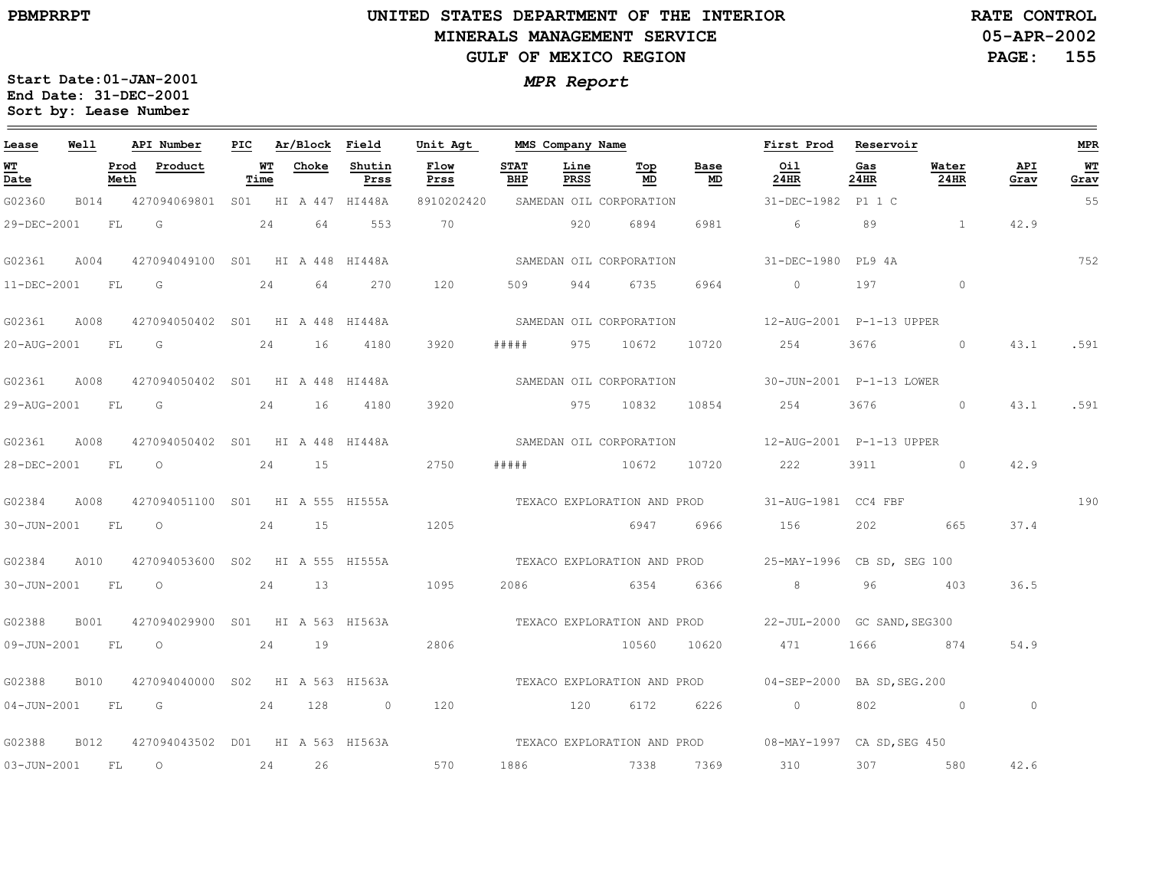# **UNITED STATES DEPARTMENT OF THE INTERIOR MINERALS MANAGEMENT SERVICEGULF OF MEXICO REGION**

**05-APR-2002PAGE: 155 RATE CONTROL**

| Lease             | Well        |              | API Number                       | PIC |            | Ar/Block Field |                | Unit Agt     |                    | MMS Company Name    |                         |            | First Prod                                              | Reservoir   |               |                | <b>MPR</b> |
|-------------------|-------------|--------------|----------------------------------|-----|------------|----------------|----------------|--------------|--------------------|---------------------|-------------------------|------------|---------------------------------------------------------|-------------|---------------|----------------|------------|
| WT<br>Date        |             | Prod<br>Meth | Product                          |     | WT<br>Time | Choke          | Shutin<br>Prss | Flow<br>Prss | <b>STAT</b><br>BHP | Line<br><b>PRSS</b> | Тор<br>MD               | Base<br>MD | Oil<br>$24$ HR                                          | Gas<br>24HR | Water<br>24HR | API<br>Grav    | WT<br>Grav |
| G02360            | B014        |              | 427094069801 S01 HI A 447 HI448A |     |            |                |                | 8910202420   |                    |                     | SAMEDAN OIL CORPORATION |            | 31-DEC-1982 P1 1 C                                      |             |               |                | 55         |
| 29-DEC-2001       |             | FL           | G                                |     | 24         | 64             | 553            | 70           |                    | 920                 | 6894                    | 6981       | $6\overline{6}$                                         | 89          | $\sim$ 1      | 42.9           |            |
| G02361            | A004        |              | 427094049100 S01 HI A 448 HI448A |     |            |                |                |              |                    |                     | SAMEDAN OIL CORPORATION |            | 31-DEC-1980 PL94A                                       |             |               |                | 752        |
| 11-DEC-2001       |             | <b>FL</b>    | G                                |     | 24         | 64             | 270            | 120          | 509                | 944                 | 6735                    | 6964       | $\circ$                                                 | 197         | $\circ$       |                |            |
| G02361            | A008        |              | 427094050402 S01 HI A 448 HI448A |     |            |                |                |              |                    |                     | SAMEDAN OIL CORPORATION |            |                                                         |             |               |                |            |
| 20-AUG-2001 FL    |             |              | $\overline{G}$                   |     | 24         | 16             | 4180           | 3920         | # # # # #          |                     | 975 10672               |            | 10720 254                                               | 3676        | $\circ$       | 43.1           | .591       |
| G02361            | A008        |              | 427094050402 S01 HI A 448 HI448A |     |            |                |                |              |                    |                     | SAMEDAN OIL CORPORATION |            | 30-JUN-2001    P-1-13    LOWER                          |             |               |                |            |
| 29-AUG-2001       |             | <b>FL</b>    | G                                |     | 24         | 16             | 4180           | 3920         |                    |                     | 975 10832               | 10854      | 254                                                     | 3676        | $\circ$       | 43.1           | .591       |
| G02361            | A008        |              | 427094050402 S01 HI A 448 HI448A |     |            |                |                |              |                    |                     | SAMEDAN OIL CORPORATION |            |                                                         |             |               |                |            |
| 28-DEC-2001       |             | FL           | $\circ$                          |     | 24         | 15             |                | 2750         | # # # #            |                     | 10672                   | 10720      | 222                                                     | 3911        | $\Omega$      | 42.9           |            |
| G02384            | A008        |              | 427094051100 S01 HI A 555 HI555A |     |            |                |                |              |                    |                     |                         |            | TEXACO EXPLORATION AND PROD 31-AUG-1981 CC4 FBF         |             |               |                | 190        |
| 30-JUN-2001       |             | FL           | $\overline{O}$                   |     | 24         | 15             |                | 1205         |                    |                     | 6947                    | 6966       | 156                                                     | 202         | 665           | 37.4           |            |
| G02384            | A010        |              | 427094053600 S02 HI A 555 HI555A |     |            |                |                |              |                    |                     |                         |            | TEXACO EXPLORATION AND PROD 25-MAY-1996 CB SD, SEG 100  |             |               |                |            |
| 30-JUN-2001 FL    |             |              | $\overline{O}$                   |     | 24         | 13             |                | 1095         |                    |                     | 2086 6354               | 6366       | 8 <sup>8</sup>                                          | 96          | 403           | 36.5           |            |
| G02388            | B001        |              | 427094029900 S01 HI A 563 HI563A |     |            |                |                |              |                    |                     |                         |            | TEXACO EXPLORATION AND PROD 22-JUL-2000 GC SAND, SEG300 |             |               |                |            |
| 09-JUN-2001       |             | <b>FL</b>    | $\circ$                          |     | 24         | 19             |                | 2806         |                    |                     | 10560                   | 10620      | 471                                                     | 1666        | 874           | 54.9           |            |
| G02388            | <b>B010</b> |              | 427094040000 S02 HI A 563 HI563A |     |            |                |                |              |                    |                     |                         |            | TEXACO EXPLORATION AND PROD 04-SEP-2000 BA SD, SEG.200  |             |               |                |            |
| $04 - JUN - 2001$ |             | <b>FL</b>    | G<br>24                          |     |            | 128            | $\sim$ 0       | 120          |                    | 120                 | 6172                    | 6226       | $\overline{0}$                                          |             | 802 0         | $\overline{0}$ |            |
| G02388            | B012        |              | 427094043502 D01 HI A 563 HI563A |     |            |                |                |              |                    |                     |                         |            | TEXACO EXPLORATION AND PROD 08-MAY-1997 CA SD, SEG 450  |             |               |                |            |
| $03 - JUN - 2001$ |             | <b>FL</b>    | $\overline{O}$                   |     | 24         | 26             |                | 570          | 1886               |                     | 7338 7369 310           |            |                                                         |             | 307 580       | 42.6           |            |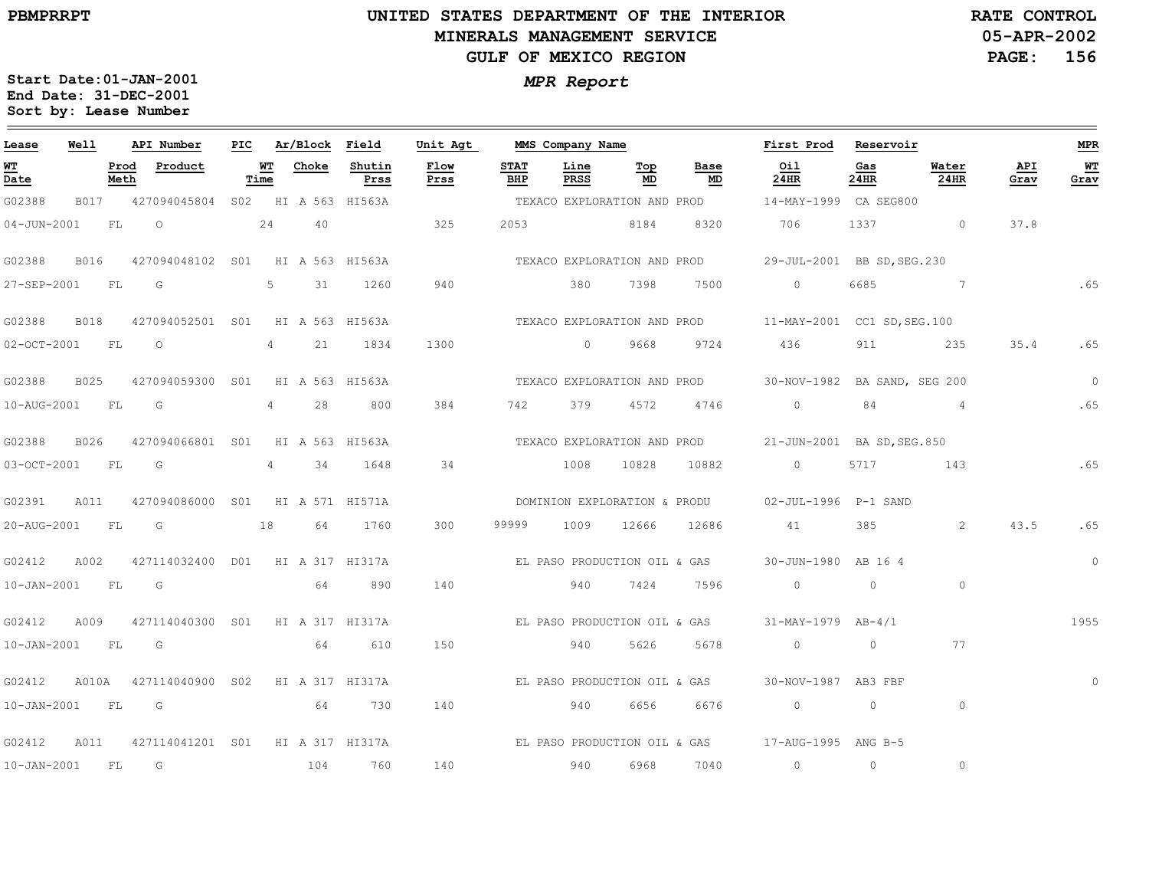# **UNITED STATES DEPARTMENT OF THE INTERIOR MINERALS MANAGEMENT SERVICEGULF OF MEXICO REGION**

**05-APR-2002PAGE: 156 RATE CONTROL**

| Lease                  | Well |      | API Number                             | PIC |                   | Ar/Block Field |                | Unit Agt     |                    | MMS Company Name |                                        |            | First Prod                                                                                                                                                                                                                                                                                                                         | Reservoir   |               |             | MPR            |
|------------------------|------|------|----------------------------------------|-----|-------------------|----------------|----------------|--------------|--------------------|------------------|----------------------------------------|------------|------------------------------------------------------------------------------------------------------------------------------------------------------------------------------------------------------------------------------------------------------------------------------------------------------------------------------------|-------------|---------------|-------------|----------------|
| WT<br>Date             |      | Meth | Prod Product                           |     | <u>WT</u><br>Time | Choke          | Shutin<br>Prss | Flow<br>Prss | <b>STAT</b><br>BHP | Line<br>PRSS     | $\underline{\operatorname{Top}}$<br>MD | Base<br>MD | Oil<br>24HR                                                                                                                                                                                                                                                                                                                        | Gas<br>24HR | Water<br>24HR | API<br>Grav | WT.<br>Grav    |
| G02388                 |      |      | B017 427094045804 S02 HI A 563 HI563A  |     |                   |                |                |              |                    |                  |                                        |            | TEXACO EXPLORATION AND PROD 14-MAY-1999 CA SEG800                                                                                                                                                                                                                                                                                  |             |               |             |                |
|                        |      |      | 04-JUN-2001 FL 0 24                    |     |                   | 40             |                | 325          |                    | 2053 8184        |                                        |            | 8320 706                                                                                                                                                                                                                                                                                                                           |             | 1337 0        | 37.8        |                |
| G02388                 | B016 |      | 427094048102 S01 HI A 563 HI563A       |     |                   |                |                |              |                    |                  |                                        |            | TEXACO EXPLORATION AND PROD 29-JUL-2001 BB SD, SEG. 230                                                                                                                                                                                                                                                                            |             |               |             |                |
| 27-SEP-2001 FL         |      |      | $\overline{\mathbb{G}}$                |     | $5^{\circ}$       | 31             | 1260           | 940          |                    | 380              | 7398                                   | 7500       | $\circ$                                                                                                                                                                                                                                                                                                                            |             | 6685 7        | $\sim$ 65   |                |
| G02388                 | B018 |      | 427094052501 S01 HI A 563 HI563A       |     |                   |                |                |              |                    |                  |                                        |            | TEXACO EXPLORATION AND PROD 11-MAY-2001 CC1 SD, SEG.100                                                                                                                                                                                                                                                                            |             |               |             |                |
| 02-OCT-2001 FL O       |      |      |                                        |     |                   |                | 4 21 1834      | 1300         |                    |                  |                                        |            | 0 9668 9724 436 911 235                                                                                                                                                                                                                                                                                                            |             |               | 35.4        | .65            |
| G02388                 | B025 |      | 427094059300 S01 HI A 563 HI563A       |     |                   |                |                |              |                    |                  |                                        |            | TEXACO EXPLORATION AND PROD 30-NOV-1982 BA SAND, SEG 200                                                                                                                                                                                                                                                                           |             |               |             | $\overline{0}$ |
| 10-AUG-2001 FL         |      |      | $\overline{\mathsf{G}}$                |     | 4                 | 28             | 800            | 384          | 742                | 379              |                                        | 4572 4746  | $\overline{0}$ and $\overline{0}$ and $\overline{0}$ and $\overline{0}$ and $\overline{0}$ and $\overline{0}$ and $\overline{0}$ and $\overline{0}$ and $\overline{0}$ and $\overline{0}$ and $\overline{0}$ and $\overline{0}$ and $\overline{0}$ and $\overline{0}$ and $\overline{0}$ and $\overline{0}$ and $\overline{0}$ and |             | 84 4          |             | .65            |
| G02388                 | B026 |      | 427094066801 S01 HI A 563 HI563A       |     |                   |                |                |              |                    |                  |                                        |            | TEXACO EXPLORATION AND PROD 21-JUN-2001 BA SD, SEG. 850                                                                                                                                                                                                                                                                            |             |               |             |                |
|                        |      |      | 03-OCT-2001 FL G 4 34                  |     |                   |                | 1648           | 34           |                    |                  |                                        |            | 1008 10828 10882 0                                                                                                                                                                                                                                                                                                                 |             | 5717 143      |             | .65            |
| G02391                 | A011 |      | 427094086000 S01 HI A 571 HI571A       |     |                   |                |                |              |                    |                  |                                        |            | DOMINION EXPLORATION & PRODU 02-JUL-1996 P-1 SAND                                                                                                                                                                                                                                                                                  |             |               |             |                |
| 20-AUG-2001 FL G       |      |      | 18                                     |     |                   |                | 64 1760        | 300          | 99999              |                  |                                        |            | 1009 12666 12686 41                                                                                                                                                                                                                                                                                                                | 385         | 2             | 43.5        | .65            |
| G02412                 | A002 |      | 427114032400 D01 HI A 317 HI317A       |     |                   |                |                |              |                    |                  |                                        |            | EL PASO PRODUCTION OIL & GAS 30-JUN-1980 AB 16 4                                                                                                                                                                                                                                                                                   |             |               |             | $\circ$        |
| $10 - JAN - 2001$ FL G |      |      |                                        |     |                   | 64             | 890            | 140          |                    |                  | 940 7424 7596                          |            |                                                                                                                                                                                                                                                                                                                                    |             | $\circ$       |             |                |
| G02412                 |      |      | A009 427114040300 S01 HI A 317 HI317A  |     |                   |                |                |              |                    |                  |                                        |            | EL PASO PRODUCTION OIL & GAS 31-MAY-1979 AB-4/1                                                                                                                                                                                                                                                                                    |             |               |             | 1955           |
| 10-JAN-2001 FL G       |      |      |                                        |     |                   |                | 64 610         | 150          |                    |                  | 940 5626                               | 5678       | $\sim$ 0                                                                                                                                                                                                                                                                                                                           | $\circ$     | 77            |             |                |
| G02412                 |      |      | A010A 427114040900 S02 HI A 317 HI317A |     |                   |                |                |              |                    |                  |                                        |            | EL PASO PRODUCTION OIL & GAS 30-NOV-1987 AB3 FBF                                                                                                                                                                                                                                                                                   |             |               |             | $\circ$        |
| 10-JAN-2001 FL G       |      |      |                                        |     |                   |                | 64 730         | 140          |                    | 940              | 6656                                   | 6676       | $\overline{0}$ and $\overline{0}$ and $\overline{0}$ and $\overline{0}$ and $\overline{0}$ and $\overline{0}$ and $\overline{0}$ and $\overline{0}$ and $\overline{0}$ and $\overline{0}$ and $\overline{0}$ and $\overline{0}$ and $\overline{0}$ and $\overline{0}$ and $\overline{0}$ and $\overline{0}$ and $\overline{0}$ and | $\circ$     | $\circ$       |             |                |
|                        |      |      |                                        |     |                   |                |                |              |                    |                  |                                        |            | G02412 A011 427114041201 S01 HI A 317 HI317A BL PASO PRODUCTION OIL & GAS 17-AUG-1995 ANG B-5                                                                                                                                                                                                                                      |             |               |             |                |
| 10-JAN-2001 FL G       |      |      |                                        |     |                   | 104            | 760            | 140          |                    | 940              | 6968                                   | 7040       | $\circ$                                                                                                                                                                                                                                                                                                                            | $\circ$     | $\circ$       |             |                |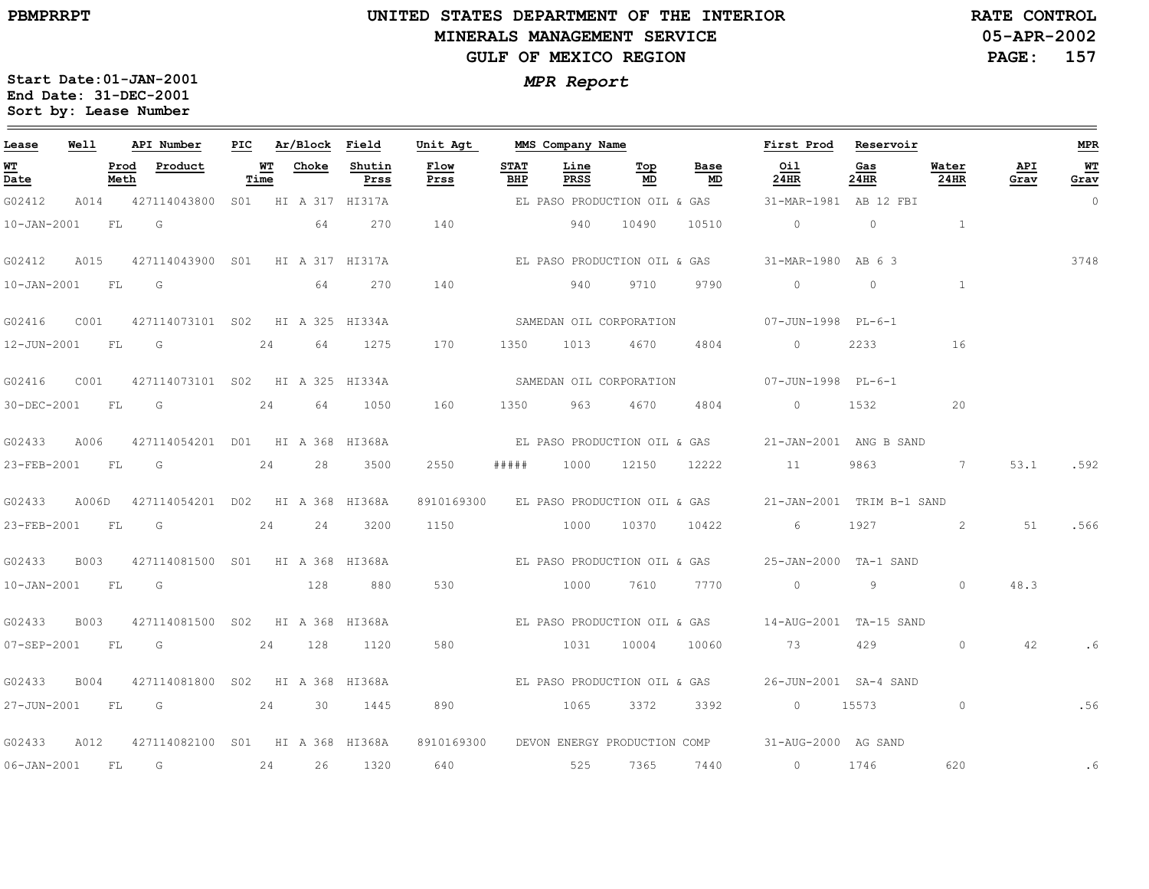# **UNITED STATES DEPARTMENT OF THE INTERIOR MINERALS MANAGEMENT SERVICEGULF OF MEXICO REGION**

**05-APR-2002PAGE: 157 RATE CONTROL**

| Lease            | Well |              | API Number                             | PIC |            | Ar/Block Field  |                | Unit Agt                                |                    | MMS Company Name        |            |                              | First Prod                                          | Reservoir      |                |             | MPR            |
|------------------|------|--------------|----------------------------------------|-----|------------|-----------------|----------------|-----------------------------------------|--------------------|-------------------------|------------|------------------------------|-----------------------------------------------------|----------------|----------------|-------------|----------------|
| WT.<br>Date      |      | Prod<br>Meth | Product                                |     | WT<br>Time | Choke           | Shutin<br>Prss | Flow<br>Prss                            | <b>STAT</b><br>BHP | Line<br>PRSS            | Тор<br>MD  | Base<br>MD                   | Oil<br>24HR                                         | Gas<br>24HR    | Water<br>24HR  | API<br>Grav | WТ<br>Grav     |
| G02412           |      |              | A014 427114043800 S01 HI A 317 HI317A  |     |            |                 |                |                                         |                    |                         |            | EL PASO PRODUCTION OIL & GAS | 31-MAR-1981 AB 12 FBI                               |                |                |             | $\overline{0}$ |
| 10-JAN-2001 FL G |      |              |                                        |     |            | 64              | 270            | 140                                     |                    | 940 10490               |            | 10510                        | $\overline{0}$                                      | $\overline{0}$ | $\sim$ 1       |             |                |
| G02412           | A015 |              | 427114043900 SO1 HI A 317 HI317A       |     |            |                 |                |                                         |                    |                         |            | EL PASO PRODUCTION OIL & GAS | 31-MAR-1980 AB 63                                   |                |                |             | 3748           |
| 10-JAN-2001 FL G |      |              |                                        |     |            | 64              | 270            | 140                                     |                    | 940                     | 9710       | 9790                         | $\overline{0}$                                      | $\overline{0}$ | $\sim$ 1       |             |                |
| G02416           | C001 |              | 427114073101 S02 HI A 325 HI334A       |     |            |                 |                |                                         |                    | SAMEDAN OIL CORPORATION |            |                              | 07-JUN-1998 PL-6-1                                  |                |                |             |                |
|                  |      |              | 12-JUN-2001 FL G 24 64 1275            |     |            |                 |                | 170                                     |                    | 1350 1013 4670          |            | 4804                         | $\Omega$                                            | 2233           | 16             |             |                |
| G02416           | C001 |              | 427114073101 S02 HI A 325 HI334A       |     |            |                 |                |                                         |                    | SAMEDAN OIL CORPORATION |            |                              | 07-JUN-1998 PL-6-1                                  |                |                |             |                |
| 30-DEC-2001 FL   |      |              | $\overline{\mathsf{G}}$                |     | 24         | 64              | 1050           | 160                                     | 1350               | 963                     | 4670       | 4804                         | $\overline{0}$                                      | 1532           | 20             |             |                |
| G02433           |      |              | A006 427114054201 D01 HI A 368 HI368A  |     |            |                 |                |                                         |                    |                         |            |                              | EL PASO PRODUCTION OIL & GAS 21-JAN-2001 ANG B SAND |                |                |             |                |
|                  |      |              | 23-FEB-2001 FL G 24 28                 |     |            |                 | 3500           | 2550                                    | # # # # #          |                         | 1000 12150 | 12222                        | 11                                                  | 9863           | $\overline{7}$ | 53.1        | .592           |
| G02433           |      |              | A006D 427114054201 D02 HI A 368 HI368A |     |            |                 |                | 8910169300 EL PASO PRODUCTION OIL & GAS |                    |                         |            |                              | 21-JAN-2001 TRIM B-1 SAND                           |                |                |             |                |
| 23-FEB-2001 FL   |      |              | G                                      |     | 24         | 24              | 3200           | 1150                                    |                    | 1000                    | 10370      | 10422                        | 6                                                   | 1927           | $\sim$ 2       | 51          | .566           |
| G02433           |      |              | B003 427114081500 S01 HI A 368 HI368A  |     |            |                 |                |                                         |                    |                         |            |                              |                                                     |                |                |             |                |
| 10-JAN-2001 FL G |      |              |                                        |     |            | 128             | 880            | 530                                     |                    | 1000                    | 7610       | 7770                         | $\overline{0}$                                      | 9              | $\Omega$       | 48.3        |                |
| G02433           | B003 |              | 427114081500 S02 HI A 368 HI368A       |     |            |                 |                |                                         |                    |                         |            |                              |                                                     |                |                |             |                |
| 07-SEP-2001 FL   |      |              | $\overline{\mathbb{G}}$                |     | 24         | 128             | 1120           | 580                                     |                    | 1031                    | 10004      | 10060                        | 73                                                  | 429            | $\Omega$       | 42          | .6             |
| G02433           | B004 |              | 427114081800 S02 HI A 368 HI368A       |     |            |                 |                |                                         |                    |                         |            |                              | EL PASO PRODUCTION OIL & GAS 26-JUN-2001 SA-4 SAND  |                |                |             |                |
| 27-JUN-2001 FL G |      |              | 24                                     |     |            | $\overline{30}$ | 1445           | 890                                     |                    | 1065                    | 3372       | 3392                         | $0 \t 15573$                                        |                | $\circ$        |             | .56            |
| G02433           | A012 |              | 427114082100 S01 HI A 368 HI368A       |     |            |                 |                | 8910169300                              |                    |                         |            | DEVON ENERGY PRODUCTION COMP | 31-AUG-2000 AG SAND                                 |                |                |             |                |
| 06-JAN-2001 FL   |      |              | $\overline{\mathbb{G}}$                |     | 24         | 26              | 1320           | 640                                     |                    | 525                     | 7365       | 7440                         | $\overline{0}$                                      | 1746           | 620            |             | .6             |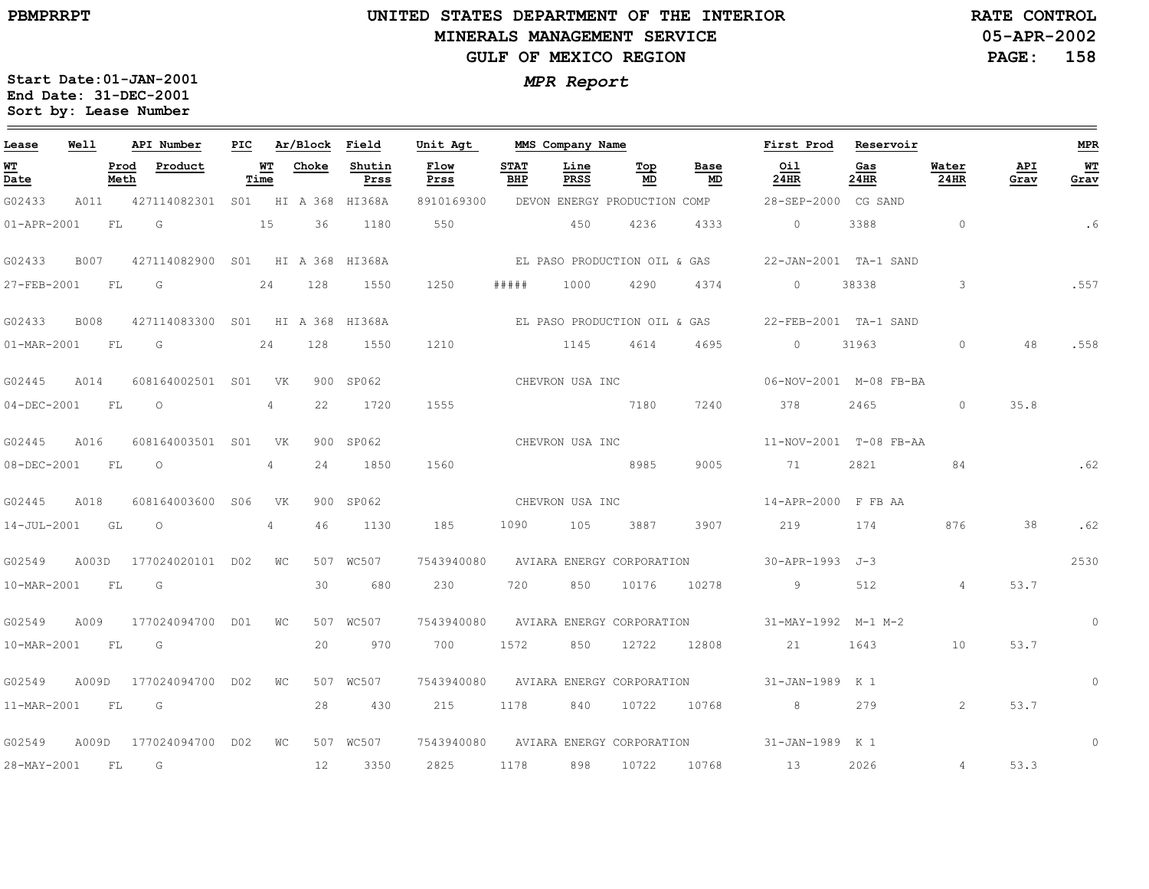# **UNITED STATES DEPARTMENT OF THE INTERIOR MINERALS MANAGEMENT SERVICEGULF OF MEXICO REGION**

**05-APR-2002PAGE: 158 RATE CONTROL**

| Lease             | Well        |              | API Number                       | PIC |                | Ar/Block          | Field          | Unit Agt            |                    | MMS Company Name             |           |            | First Prod          | Reservoir              |                |             | <b>MPR</b>  |
|-------------------|-------------|--------------|----------------------------------|-----|----------------|-------------------|----------------|---------------------|--------------------|------------------------------|-----------|------------|---------------------|------------------------|----------------|-------------|-------------|
| WT<br>Date        |             | Prod<br>Meth | Product                          |     | WT<br>Time     | Choke             | Shutin<br>Prss | <b>Flow</b><br>Prss | <b>STAT</b><br>BHP | Line<br>PRSS                 | Top<br>MD | Base<br>MD | Oil<br>24HR         | Gas<br>24HR            | Water<br>24HR  | API<br>Grav | WT<br>Grav  |
| G02433            | A011        |              | 427114082301 S01 HI A 368 HI368A |     |                |                   |                | 8910169300          |                    | DEVON ENERGY PRODUCTION COMP |           |            | 28-SEP-2000 CG SAND |                        |                |             |             |
| 01-APR-2001       |             | FL           | G                                |     | 15             | 36                | 1180           | 550                 |                    | 450                          | 4236      | 4333       | $\circ$             | 3388                   | $\circ$        |             | . 6         |
| G02433            | B007        |              | 427114082900 S01 HI A 368 HI368A |     |                |                   |                |                     |                    | EL PASO PRODUCTION OIL & GAS |           |            |                     | 22-JAN-2001 TA-1 SAND  |                |             |             |
| 27-FEB-2001       |             | FL           | G                                |     | 24             | 128               | 1550           | 1250                | # # # # #          | 1000                         | 4290      | 4374       | $\circ$             | 38338                  | 3              |             | .557        |
| G02433            | <b>B008</b> |              | 427114083300 S01 HI A 368 HI368A |     |                |                   |                |                     |                    | EL PASO PRODUCTION OIL & GAS |           |            |                     | 22-FEB-2001 TA-1 SAND  |                |             |             |
| 01-MAR-2001       |             | <b>FL</b>    | G                                |     | 24             | 128               | 1550           | 1210                |                    | 1145                         | 4614      | 4695       | $\circ$             | 31963                  | $\circ$        | 48          | .558        |
| G02445            | A014        |              | 608164002501 S01                 |     | <b>VK</b>      |                   | 900 SP062      |                     |                    | CHEVRON USA INC              |           |            |                     | 06-NOV-2001 M-08 FB-BA |                |             |             |
| $04 - DEC - 2001$ |             | FL           | $\Omega$                         |     | 4              | 22                | 1720           | 1555                |                    |                              | 7180      | 7240       | 378                 | 2465                   | $\Omega$       | 35.8        |             |
| G02445            | A016        |              | 608164003501 S01                 |     | <b>VK</b>      |                   | 900 SP062      |                     |                    | CHEVRON USA INC              |           |            |                     | 11-NOV-2001 T-08 FB-AA |                |             |             |
| 08-DEC-2001       |             | FL           | $\circ$                          |     | $\overline{4}$ | 24                | 1850           | 1560                |                    |                              | 8985      | 9005       | 71                  | 2821                   | 84             |             |             |
| G02445            | A018        |              | 608164003600 S06                 |     | VK             |                   | 900 SP062      |                     |                    | CHEVRON USA INC              |           |            | 14-APR-2000 F FB AA |                        |                |             |             |
| 14-JUL-2001       |             | GL           | $\circ$                          |     | $\overline{4}$ | 46                | 1130           | 185                 | 1090               | 105                          | 3887      | 3907       | 219                 | 174                    | 876            | 38          | .62         |
| G02549            | A003D       |              | 177024020101 D02                 |     | WС             |                   | 507 WC507      | 7543940080          |                    | AVIARA ENERGY CORPORATION    |           |            | 30-APR-1993 J-3     |                        |                |             | 2530        |
| 10-MAR-2001       |             | FL.          | G                                |     |                | 30                | 680            | 230                 | 720                | 850                          | 10176     | 10278      | 9                   | 512                    | $\overline{4}$ | 53.7        |             |
| G02549            | A009        |              | 177024094700 D01                 |     | WС             |                   | 507 WC507      | 7543940080          |                    | AVIARA ENERGY CORPORATION    |           |            | 31-MAY-1992 M-1 M-2 |                        |                |             | $\mathbf 0$ |
| 10-MAR-2001       |             | FL.          | G                                |     |                | 20                | 970            | 700                 | 1572               | 850                          | 12722     | 12808      | 21                  | 1643                   | 10             | 53.7        |             |
| G02549            | A009D       |              | 177024094700 D02                 |     | WС             |                   | 507 WC507      | 7543940080          |                    | AVIARA ENERGY CORPORATION    |           |            | 31-JAN-1989 K 1     |                        |                |             | $\Omega$    |
| 11-MAR-2001       |             | FL           | G                                |     |                | 28                | 430            | 215                 | 1178               | 840                          | 10722     | 10768      | 8                   | 279                    | 2              | 53.7        |             |
| G02549            | A009D       |              | 177024094700 D02                 |     | $W_{\rm C}$    |                   | 507 WC507      | 7543940080          |                    | AVIARA ENERGY CORPORATION    |           |            | 31-JAN-1989 K 1     |                        |                |             | $\Omega$    |
| 28-MAY-2001       |             | FL           | G                                |     |                | $12 \overline{ }$ | 3350           | 2825                | 1178               | 898                          | 10722     | 10768      | 13                  | 2026                   | $\overline{4}$ | 53.3        |             |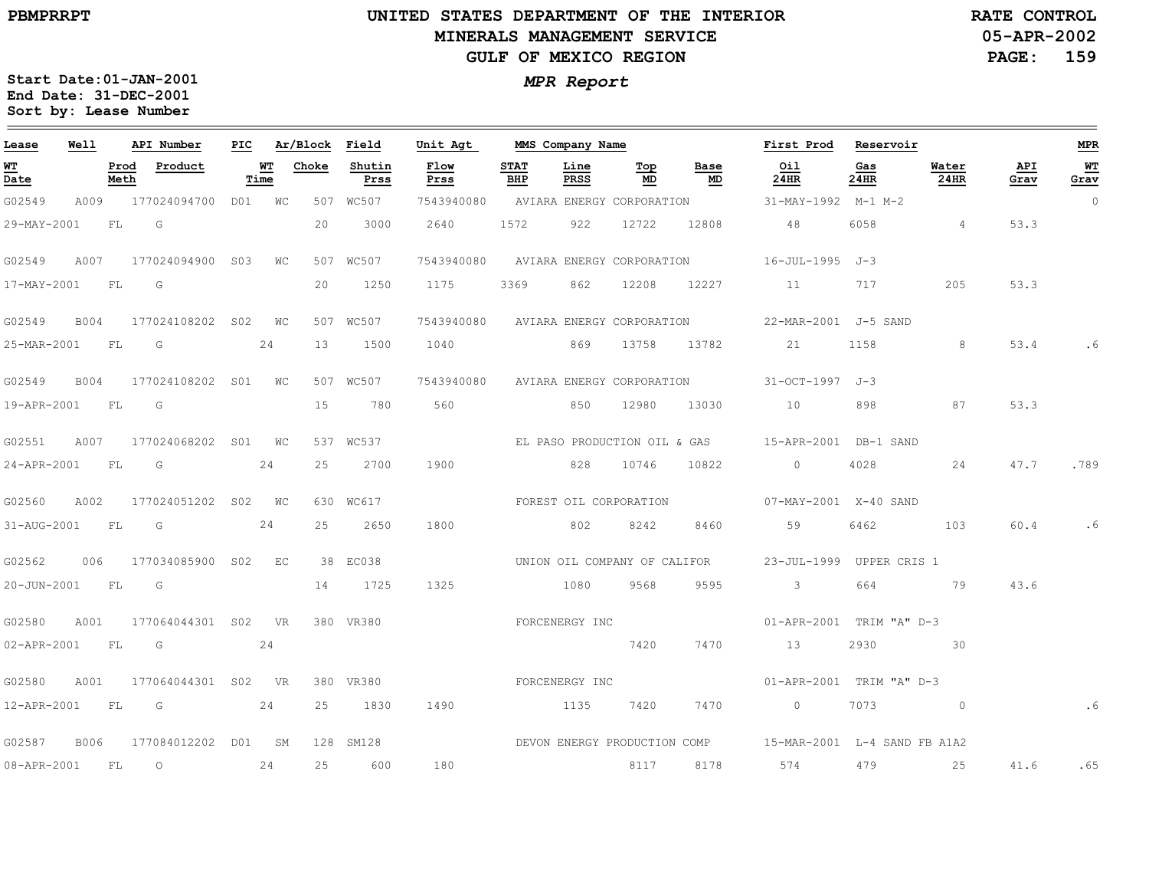# **UNITED STATES DEPARTMENT OF THE INTERIOR MINERALS MANAGEMENT SERVICEGULF OF MEXICO REGION**

**05-APR-2002PAGE: 159 RATE CONTROL**

| Lease            | Well |              | API Number               | PIC |            | Ar/Block Field |                | Unit Agt                             | MMS Company Name   |                |                           |                              | First Prod                                                | Reservoir   |                |             | <b>MPR</b> |
|------------------|------|--------------|--------------------------|-----|------------|----------------|----------------|--------------------------------------|--------------------|----------------|---------------------------|------------------------------|-----------------------------------------------------------|-------------|----------------|-------------|------------|
| WT<br>Date       |      | Prod<br>Meth | Product                  |     | WT<br>Time | Choke          | Shutin<br>Prss | Flow<br>Prss                         | <b>STAT</b><br>BHP | Line<br>PRSS   | Тор<br>MD                 | Base<br>MD                   | Oil<br>24HR                                               | Gas<br>24HR | Water<br>24HR  | API<br>Grav | WТ<br>Grav |
| G02549           | A009 |              | 177024094700 D01 WC      |     |            |                | 507 WC507      | 7543940080                           |                    |                | AVIARA ENERGY CORPORATION |                              | 31-MAY-1992 M-1 M-2                                       |             |                |             | $\Omega$   |
| 29-MAY-2001      |      | <b>FL</b>    | G                        |     |            | 20             | 3000           | 2640                                 | 1572               | 922            | 12722                     | 12808                        | 48                                                        | 6058        | $\overline{4}$ | 53.3        |            |
| G02549           | A007 |              | 177024094900 S03 WC      |     |            |                | 507 WC507      | 7543940080                           |                    |                |                           |                              | AVIARA ENERGY CORPORATION 16-JUL-1995 J-3                 |             |                |             |            |
| 17-MAY-2001      |      | FL.          | G                        |     |            | 20             | 1250           | 1175                                 | 3369               | 862            | 12208                     | 12227                        | 11                                                        | 717         | 205            | 53.3        |            |
| G02549           | B004 |              | 177024108202 S02 WC      |     |            |                | 507 WC507      | 7543940080 AVIARA ENERGY CORPORATION |                    |                |                           |                              | 22-MAR-2001 J-5 SAND                                      |             |                |             |            |
| 25-MAR-2001 FL   |      |              | G                        |     | 24         | 13             | 1500           | 1040 869 13758                       |                    |                |                           | 13782                        | 21                                                        | 1158        | 8              | 53.4        |            |
| G02549           | B004 |              | 177024108202 S01 WC      |     |            |                | 507 WC507      | 7543940080                           |                    |                |                           | AVIARA ENERGY CORPORATION    | 31-OCT-1997 J-3                                           |             |                |             |            |
| 19-APR-2001 FL   |      |              | G                        |     |            | 15             | 780            | 560                                  |                    | 850            | 12980                     | 13030                        | 10                                                        | 898         | 87             | 53.3        |            |
| G02551           |      |              | A007 177024068202 S01 WC |     |            |                | 537 WC537      |                                      |                    |                |                           |                              |                                                           |             |                |             |            |
| 24-APR-2001 FL   |      |              | G                        |     | 24         | 25             | 2700           | 1900                                 |                    | 828            | 10746                     | 10822                        | $\overline{0}$                                            | 4028        | 24             | 47.7        | .789       |
| G02560           | A002 |              | 177024051202 S02 WC      |     |            |                | 630 WC617      | FOREST OIL CORPORATION               |                    |                |                           |                              | 07-MAY-2001 X-40 SAND                                     |             |                |             |            |
| 31-AUG-2001 FL   |      |              | G                        |     | 24         | 25             | 2650           | 1800                                 |                    | 802            | 8242                      | 8460                         | 59                                                        | 6462        | 103            | 60.4        | .6         |
| G02562           |      |              | 006 177034085900 S02 EC  |     |            |                | 38 EC038       |                                      |                    |                |                           | UNION OIL COMPANY OF CALIFOR | 23-JUL-1999 UPPER CRIS 1                                  |             |                |             |            |
| 20-JUN-2001 FL G |      |              |                          |     |            | 14             | 1725           | 1325                                 | 1080               |                | 9568                      | 9595                         | $\overline{\mathbf{3}}$                                   | 664         | 79             | 43.6        |            |
| G02580           | A001 |              | 177064044301 S02 VR      |     |            |                | 380 VR380      |                                      |                    | FORCENERGY INC |                           |                              | 01-APR-2001 TRIM "A" D-3                                  |             |                |             |            |
| 02-APR-2001 FL   |      |              | $\overline{G}$           |     | 24         |                |                |                                      |                    |                | 7420                      | 7470                         | 13                                                        | 2930        | 30             |             |            |
| G02580           | A001 |              | 177064044301 S02 VR      |     |            |                | 380 VR380      |                                      |                    | FORCENERGY INC |                           |                              | 01-APR-2001 TRIM "A" D-3                                  |             |                |             |            |
|                  |      |              | 12-APR-2001 FL G 24      |     |            | 25             | 1830           | 1490                                 | 1135               |                | 7420                      | 7470                         | $\overline{0}$                                            | 7073        | $\sim$ 0       |             |            |
| G02587           | B006 |              | 177084012202 D01 SM      |     |            |                | 128 SM128      |                                      |                    |                |                           |                              | DEVON ENERGY PRODUCTION COMP 15-MAR-2001 L-4 SAND FB A1A2 |             |                |             |            |
| 08-APR-2001 FL   |      |              | $\overline{\phantom{0}}$ |     | 24         | 25             | 600            | 180                                  |                    |                | 8117                      | 8178                         | 574                                                       | 479         | 25             | 41.6        | .65        |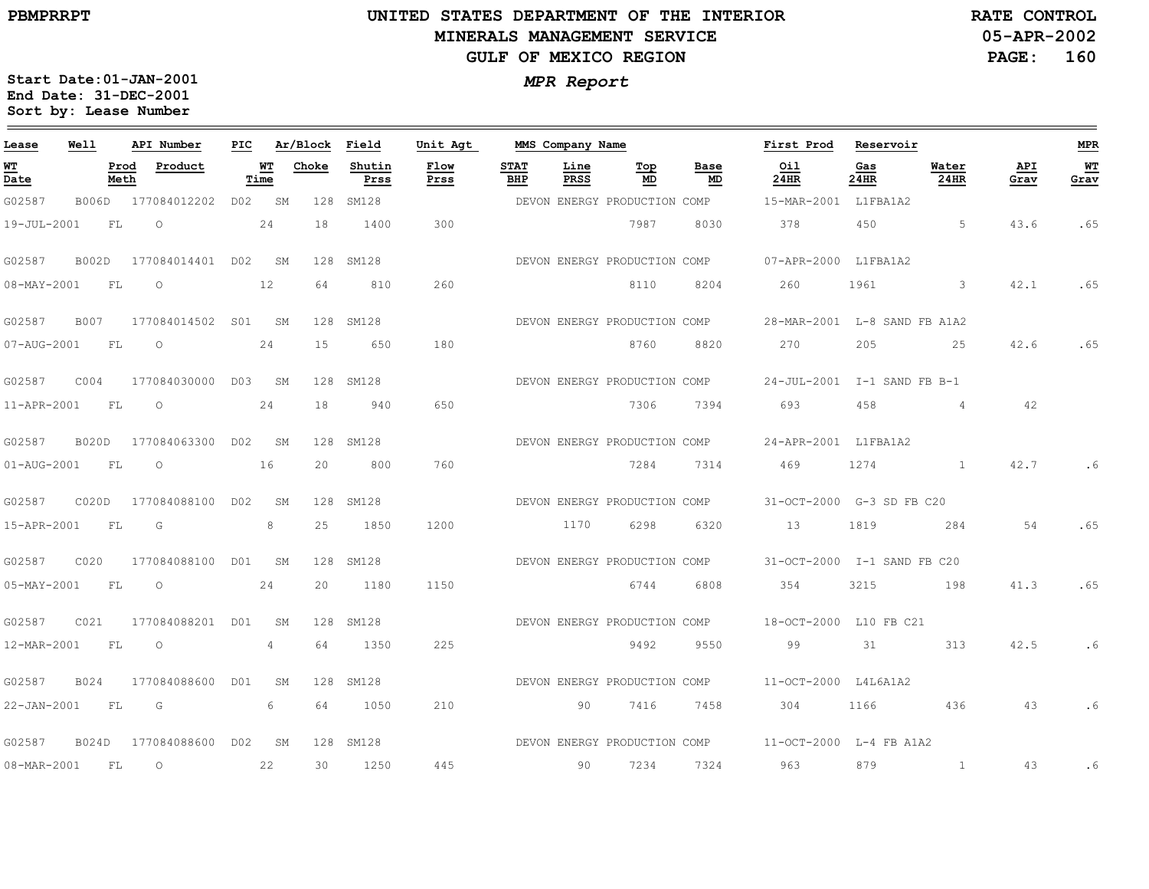# **UNITED STATES DEPARTMENT OF THE INTERIOR MINERALS MANAGEMENT SERVICEGULF OF MEXICO REGION**

**05-APR-2002PAGE: 160 RATE CONTROL**

| Lease       | Well             | API Number                | PIC |            | Ar/Block Field |                | Unit Agt     |                    | MMS Company Name |                              |            | First Prod                   | Reservoir   |                |             | MPR        |
|-------------|------------------|---------------------------|-----|------------|----------------|----------------|--------------|--------------------|------------------|------------------------------|------------|------------------------------|-------------|----------------|-------------|------------|
| WT<br>Date  |                  | Prod<br>Product<br>Meth   |     | WT<br>Time | Choke          | Shutin<br>Prss | Flow<br>Prss | <b>STAT</b><br>BHP | Line<br>PRSS     | Тор<br>MD                    | Base<br>MD | Oil<br>24HR                  | Gas<br>24HR | Water<br>24HR  | API<br>Grav | WТ<br>Grav |
| G02587      |                  | B006D 177084012202 D02 SM |     |            |                | 128 SM128      |              |                    |                  | DEVON ENERGY PRODUCTION COMP |            | 15-MAR-2001 L1FBA1A2         |             |                |             |            |
| 19-JUL-2001 | FL               | $\circ$                   |     | 24         | 18             | 1400           | 300          |                    |                  | 7987                         | 8030       | 378                          | 450         | 5              | 43.6        | .65        |
| G02587      | B002D            | 177084014401 D02 SM       |     |            |                | 128 SM128      |              |                    |                  | DEVON ENERGY PRODUCTION COMP |            | 07-APR-2000 L1FBA1A2         |             |                |             |            |
| 08-MAY-2001 | FL               | $\circ$                   |     | 12         | 64             | 810            | 260          |                    |                  | 8110                         | 8204       | 260                          | 1961        | 3              | 42.1        | .65        |
| G02587      | B007             | 177084014502 S01 SM       |     |            |                | 128 SM128      |              |                    |                  | DEVON ENERGY PRODUCTION COMP |            | 28-MAR-2001 L-8 SAND FB A1A2 |             |                |             |            |
| 07-AUG-2001 | FL.              | $\circ$                   |     | 24         | 15             | 650            | 180          |                    |                  | 8760                         | 8820       | 270                          | 205         | 25             | 42.6        | .65        |
| G02587      | COO4             | 177084030000 D03 SM       |     |            |                | 128 SM128      |              |                    |                  | DEVON ENERGY PRODUCTION COMP |            | 24-JUL-2001 I-1 SAND FB B-1  |             |                |             |            |
| 11-APR-2001 | FL               | $\circ$                   |     | 24         | 18             | 940            | 650          |                    |                  | 7306                         | 7394       | 693                          | 458         | $\overline{4}$ | 42          |            |
| G02587      |                  | B020D 177084063300 D02 SM |     |            |                | 128 SM128      |              |                    |                  | DEVON ENERGY PRODUCTION COMP |            | 24-APR-2001 L1FBA1A2         |             |                |             |            |
| 01-AUG-2001 | FL               | $\circ$                   |     | 16         | 20             | 800            | 760          |                    |                  | 7284                         | 7314       | 469                          | 1274        | $\frac{1}{2}$  | 42.7        | . 6        |
| G02587      |                  | C020D 177084088100 D02    |     | SM         |                | 128 SM128      |              |                    |                  | DEVON ENERGY PRODUCTION COMP |            | 31-OCT-2000 G-3 SD FB C20    |             |                |             |            |
| 15-APR-2001 | FL.              | G                         |     | 8          | 25             | 1850           | 1200         |                    | 1170             | 6298                         | 6320       | 13                           | 1819        | 284            | 54          | .65        |
| G02587      | CO <sub>20</sub> | 177084088100 D01 SM       |     |            |                | 128 SM128      |              |                    |                  | DEVON ENERGY PRODUCTION COMP |            | 31-OCT-2000 I-1 SAND FB C20  |             |                |             |            |
| 05-MAY-2001 | FL               | $\circ$                   |     | 24         | 20             | 1180           | 1150         |                    |                  | 6744                         | 6808       | 354                          | 3215        | 198            | 41.3        | .65        |
| G02587      | C021             | 177084088201 D01          |     | SM         |                | 128 SM128      |              |                    |                  | DEVON ENERGY PRODUCTION COMP |            | 18-OCT-2000 L10 FB C21       |             |                |             |            |
| 12-MAR-2001 | FL.              | $\circ$                   |     | 4          | 64             | 1350           | 225          |                    |                  | 9492                         | 9550       | 99                           | 31          | 313            | 42.5        | .6         |
| G02587      | B024             | 177084088600 D01          |     | SM         |                | 128 SM128      |              |                    |                  | DEVON ENERGY PRODUCTION COMP |            | 11-OCT-2000 L4L6A1A2         |             |                |             |            |
| 22-JAN-2001 | FL.              | G                         |     | 6          | 64             | 1050           | 210          |                    | 90               | 7416                         | 7458       | 304                          | 1166        | 436            | 43          | .6         |
| G02587      |                  | B024D 177084088600 D02 SM |     |            |                | 128 SM128      |              |                    |                  | DEVON ENERGY PRODUCTION COMP |            | 11-OCT-2000 L-4 FB A1A2      |             |                |             |            |
| 08-MAR-2001 | FL               | $\circ$                   |     | 22         | 30             | 1250           | 445          |                    | 90               | 7234                         | 7324       | 963                          | 879         | $\mathbf{1}$   | 43          | . 6        |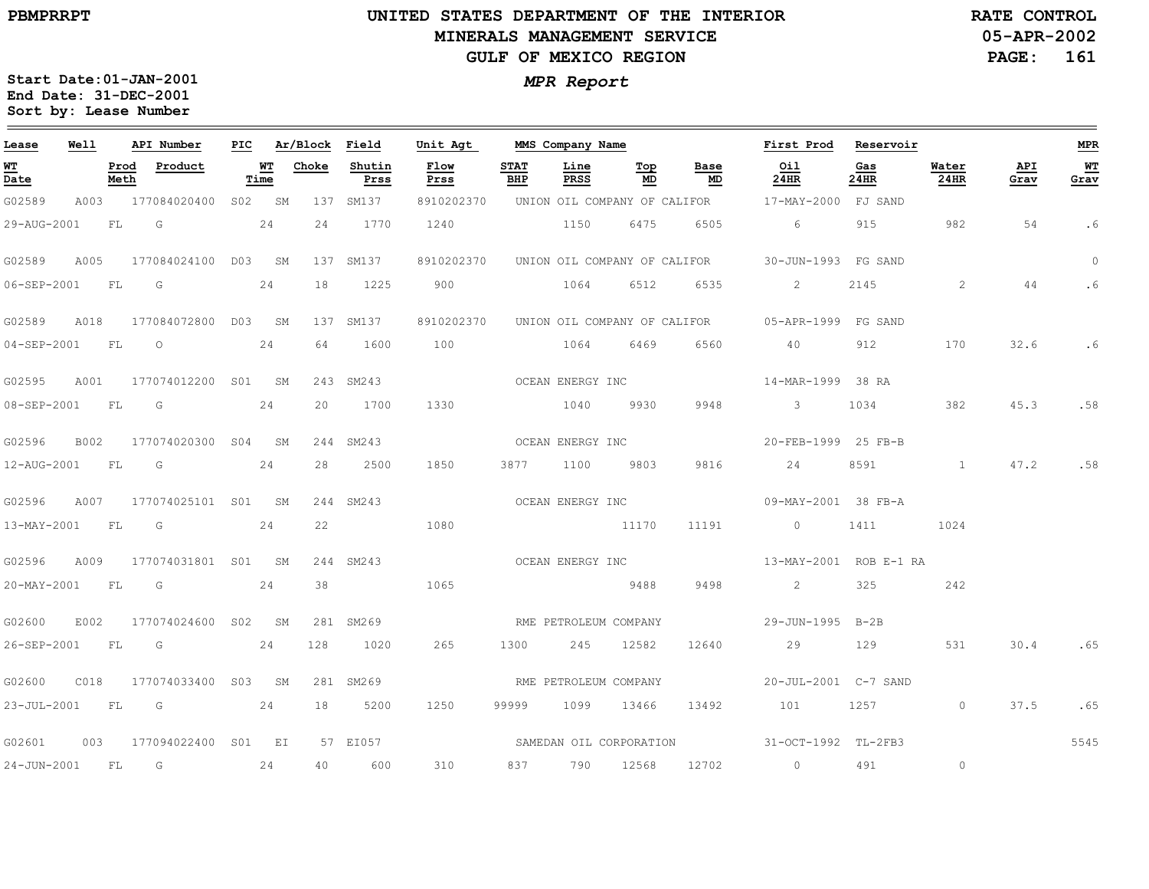# **UNITED STATES DEPARTMENT OF THE INTERIOR MINERALS MANAGEMENT SERVICEGULF OF MEXICO REGION**

**05-APR-2002PAGE: 161 RATE CONTROL**

| Lease            | Well        |              | API Number          | PIC |            | Ar/Block | Field          | Unit Agt                |                    | MMS Company Name      |                  |                              | First Prod                     | Reservoir   |                |             | <b>MPR</b>   |
|------------------|-------------|--------------|---------------------|-----|------------|----------|----------------|-------------------------|--------------------|-----------------------|------------------|------------------------------|--------------------------------|-------------|----------------|-------------|--------------|
| WT<br>Date       |             | Prod<br>Meth | Product             |     | WТ<br>Time | Choke    | Shutin<br>Prss | Flow<br>Prss            | <b>STAT</b><br>BHP | Line<br>PRSS          | Тор<br>MD        | Base<br>MD                   | Oil<br>24HR                    | Gas<br>24HR | Water<br>24HR  | API<br>Grav | $WT$<br>Grav |
| G02589           | A003        |              | 177084020400        |     | S02 SM     |          | 137 SM137      | 8910202370              |                    |                       |                  | UNION OIL COMPANY OF CALIFOR | 17-MAY-2000 FJ SAND            |             |                |             |              |
| 29-AUG-2001      |             | FL           | G                   |     | 24         | 24       | 1770           | 1240                    |                    | 1150                  | 6475             | 6505                         | 6                              | 915         | 982            | 54          | .6           |
| G02589           | A005        |              | 177084024100 D03 SM |     |            |          | 137 SM137      | 8910202370              |                    |                       |                  | UNION OIL COMPANY OF CALIFOR | 30-JUN-1993 FG SAND            |             |                |             | $\circ$      |
| 06-SEP-2001      |             | FL           | G                   |     | 24         | 18       | 1225           | 900                     |                    | 1064                  | 6512             | 6535                         | $\overline{2}$                 | 2145        | 2              | 44          | .6           |
| G02589           | A018        |              | 177084072800 D03 SM |     |            |          | 137 SM137      | 8910202370              |                    |                       |                  | UNION OIL COMPANY OF CALIFOR | 05-APR-1999 FG SAND            |             |                |             |              |
| 04-SEP-2001      |             | FL           | $\circ$             |     | 24         | 64       | 1600           | 100                     |                    | 1064                  | 6469             | 6560                         | 40                             | 912         | 170            | 32.6        | .6           |
| G02595           | A001        |              | 177074012200        | S01 | SΜ         |          | 243 SM243      |                         |                    | OCEAN ENERGY INC      |                  |                              | 14-MAR-1999 38 RA              |             |                |             |              |
| 08-SEP-2001      |             | FL           | G                   |     | 24         | 20       | 1700           | 1330                    |                    | 1040                  | 9930             | 9948                         | $\mathbf{3}$                   | 1034        | 382            | 45.3        | .58          |
| G02596           | <b>B002</b> |              | 177074020300 S04 SM |     |            |          | 244 SM243      |                         |                    | OCEAN ENERGY INC      |                  |                              | 20-FEB-1999 25 FB-B            |             |                |             |              |
| 12-AUG-2001      |             | <b>FL</b>    | G                   |     | 24         | 28       | 2500           | 1850                    | 3877 1100          |                       | 9803             | 9816                         | 24                             | 8591        | $\sim$ 1       | 47.2        | .58          |
| G02596           | A007        |              | 177074025101 S01 SM |     |            |          | 244 SM243      |                         |                    | OCEAN ENERGY INC      |                  |                              | 09-MAY-2001 38 FB-A            |             |                |             |              |
| 13-MAY-2001      |             | FL           | G                   |     | 24         | 22       |                | 1080                    |                    | 11170                 |                  | 11191                        | $\circ$                        | 1411        | 1024           |             |              |
| G02596           | A009        |              | 177074031801 S01 SM |     |            |          | 244 SM243      |                         |                    |                       | OCEAN ENERGY INC |                              | 13-MAY-2001 ROB E-1 RA         |             |                |             |              |
| 20-MAY-2001      |             | FL           | $\overline{G}$      |     | 24         | 38       |                | 1065                    |                    | 2488 9488             |                  | 9498                         | $2 \left( \frac{1}{2} \right)$ | 325         | 242            |             |              |
| G02600           | E002        |              | 177074024600 S02 SM |     |            |          | 281 SM269      | RME PETROLEUM COMPANY   |                    |                       |                  |                              | 29-JUN-1995 B-2B               |             |                |             |              |
| 26-SEP-2001      |             | FL.          | G                   |     | 24         | 128      | 1020           | 265                     | 1300               | 245                   | 12582            | 12640                        | 29                             | 129         | 531            | 30.4        | .65          |
| G02600           | C018        |              | 177074033400 S03 SM |     |            |          | 281 SM269      |                         |                    | RME PETROLEUM COMPANY |                  |                              | 20-JUL-2001 C-7 SAND           |             |                |             |              |
| 23-JUL-2001 FL G |             |              | 24                  |     |            | 18       | 5200           | 1250                    | 99999              | 1099 13466            |                  | 13492                        | 101 1257                       |             | $\circ$        | 37.5        | .65          |
| G02601           | 003         |              | 177094022400 S01 EI |     |            |          | 57 EI057       | SAMEDAN OIL CORPORATION |                    |                       |                  |                              | 31-OCT-1992 TL-2FB3            |             |                |             | 5545         |
| 24-JUN-2001      |             | FL.          | G                   |     | 24         | 40       | 600            | 310                     | 837 — 10           | 790                   | 12568            | 12702                        | $\overline{0}$                 | 491         | $\circledcirc$ |             |              |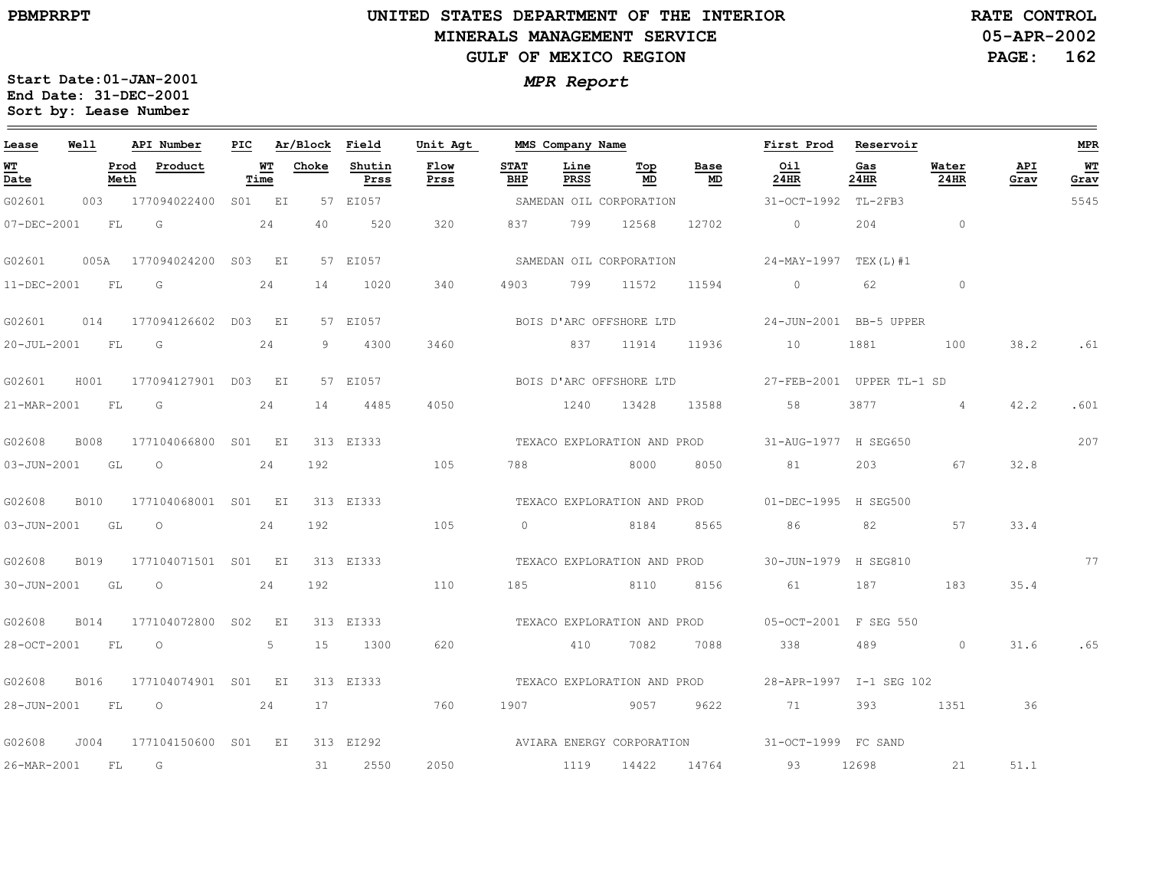# **UNITED STATES DEPARTMENT OF THE INTERIOR MINERALS MANAGEMENT SERVICEGULF OF MEXICO REGION**

**05-APR-2002PAGE: 162 RATE CONTROL**

| Lease            | Well        |              | API Number                      | PIC |            | Ar/Block Field |                | Unit Agt     |                    | MMS Company Name |                                        |                             | First Prod                                        | Reservoir   |                 |             | <b>MPR</b> |
|------------------|-------------|--------------|---------------------------------|-----|------------|----------------|----------------|--------------|--------------------|------------------|----------------------------------------|-----------------------------|---------------------------------------------------|-------------|-----------------|-------------|------------|
| WT<br>Date       |             | Prod<br>Meth | Product                         |     | WT<br>Time | Choke          | Shutin<br>Prss | Flow<br>Prss | <b>STAT</b><br>BHP | Line<br>PRSS     | $\underline{\operatorname{Top}}$<br>MD | Base<br>MD                  | Oil<br>24HR                                       | Gas<br>24HR | Water<br>24HR   | API<br>Grav | WT<br>Grav |
| G02601           |             |              | 003 177094022400 S01 EI         |     |            |                | 57 EI057       |              |                    |                  | SAMEDAN OIL CORPORATION                |                             | 31-OCT-1992 TL-2FB3                               |             |                 |             | 5545       |
| 07-DEC-2001      | <b>FL</b>   |              | G                               |     | 24         | 40             | 520            | 320          | 837                | 799              | 12568                                  | 12702                       | $\Omega$                                          | 204         | $\sim$ 0        |             |            |
|                  |             |              | G02601 005A 177094024200 S03 EI |     |            |                | 57 EI057       |              |                    |                  | SAMEDAN OIL CORPORATION                |                             | 24-MAY-1997 TEX(L)#1                              |             |                 |             |            |
| 11-DEC-2001 FL   |             |              | G                               |     | 24         | 14             | 1020           | 340          | 4903               | 799              | 11572                                  | 11594                       | $\circ$                                           | 62          | $\circ$         |             |            |
| G02601           |             |              | 014 177094126602 D03 EI         |     |            |                | 57 EI057       |              |                    |                  | BOIS D'ARC OFFSHORE LTD                |                             | 24-JUN-2001 BB-5 UPPER                            |             |                 |             |            |
| 20-JUL-2001 FL G |             |              |                                 |     | 24         | 9              | 4300           | 3460         |                    | 837 11914        |                                        | 11936                       | 10                                                | 1881        | 100             | 38.2        | .61        |
| G02601           | H001        |              | 177094127901 D03 EI             |     |            |                | 57 EI057       |              |                    |                  |                                        | BOIS D'ARC OFFSHORE LTD     | 27-FEB-2001 UPPER TL-1 SD                         |             |                 |             |            |
| 21-MAR-2001 FL   |             |              | in Gi                           |     | 24         | 14             | 4485           | 4050         |                    | 1240 13428       |                                        | 13588                       | 58                                                | 3877        | $4\overline{4}$ | 42.2        | .601       |
| G02608           | B008        |              | 177104066800 S01 EI             |     |            |                | 313 EI333      |              |                    |                  |                                        |                             | TEXACO EXPLORATION AND PROD 31-AUG-1977 H SEG650  |             |                 |             | 207        |
| 03-JUN-2001 GL O |             |              |                                 |     | 24         | 192            |                | 105          | 788                | 8000             |                                        | 8050                        | 81                                                | 203         | 67              | 32.8        |            |
| G02608           | <b>B010</b> |              | 177104068001 S01 EI             |     |            |                | 313 EI333      |              |                    |                  |                                        |                             | TEXACO EXPLORATION AND PROD 01-DEC-1995 H SEG500  |             |                 |             |            |
| 03-JUN-2001 GL   |             |              | $\overline{O}$                  |     | 24         | 192            |                | 105          | $\overline{0}$     |                  | 8184 8565                              |                             | 86 30                                             | 82          | 57              | 33.4        |            |
| G02608           | B019        |              | 177104071501 S01 EI             |     |            |                | 313 EI333      |              |                    |                  |                                        | TEXACO EXPLORATION AND PROD | 30-JUN-1979 H SEG810                              |             |                 |             | 77         |
| 30-JUN-2001 GL   |             |              | $\circ$                         |     | 24         | 192            |                | 110          | 185                |                  | 8110                                   | 8156                        | 61                                                | 187         | 183             | 35.4        |            |
| G02608           | B014        |              | 177104072800 S02 EI             |     |            |                | 313 EI333      |              |                    |                  |                                        |                             | TEXACO EXPLORATION AND PROD 05-OCT-2001 F SEG 550 |             |                 |             |            |
| 28-OCT-2001 FL   |             |              | $\overline{O}$                  |     | 5          | 15             | 1300           | 620          |                    | 410 7082         |                                        | 7088                        | 338                                               | 489         | $\circ$         | 31.6        | .65        |
| G02608           |             |              | B016 177104074901 S01 EI        |     |            |                | 313 EI333      |              |                    |                  |                                        | TEXACO EXPLORATION AND PROD | 28-APR-1997 I-1 SEG 102                           |             |                 |             |            |
| 28-JUN-2001      | <b>FL</b>   |              | $\circ$                         |     | 24         | 17             |                | 760          | 1907               |                  | 9057                                   | 9622                        | 71                                                | 393         | 1351            | 36          |            |
| G02608           | J004        |              | 177104150600 S01 EI             |     |            |                | 313 EI292      |              |                    |                  |                                        | AVIARA ENERGY CORPORATION   | 31-OCT-1999 FC SAND                               |             |                 |             |            |
| 26-MAR-2001 FL   |             |              | G                               |     |            | 31             | 2550           | 2050         | 1119               |                  | 14422 14764                            |                             | 93                                                | 12698       | 21              | 51.1        |            |
|                  |             |              |                                 |     |            |                |                |              |                    |                  |                                        |                             |                                                   |             |                 |             |            |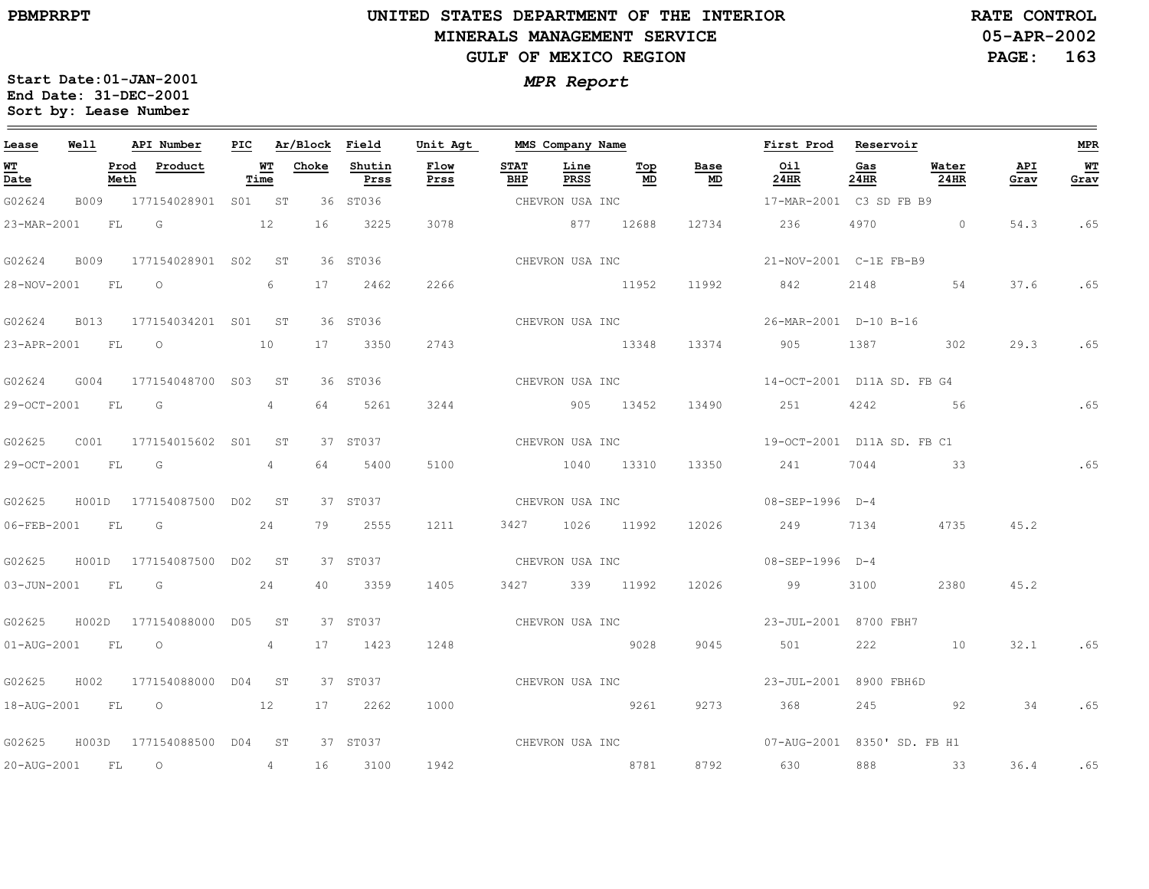$\qquad \qquad =$ 

20-AUG-2001

FL

O

4

16

3100

1942

# **UNITED STATES DEPARTMENT OF THE INTERIORMINERALS MANAGEMENT SERVICEGULF OF MEXICO REGION**

**05-APR-2002PAGE: 163 RATE CONTROL**

**MPR**

 $\equiv$ 

**WT Grav**

.65

.65

.65

.65

.65

.65

.65

.65

**Start Date:01-JAN-2001** *MPR Report* **End Date: 31-DEC-2001 Sort by: Lease Number** 

| Lease             | Well        |              | API Number                | PIC. |                 | Ar/Block | Field          | Unit Agt     |                    | MMS Company Name |                 |            | First Prod                  | Reservoir   |                      |             |
|-------------------|-------------|--------------|---------------------------|------|-----------------|----------|----------------|--------------|--------------------|------------------|-----------------|------------|-----------------------------|-------------|----------------------|-------------|
| <u>ит</u><br>Date |             | Prod<br>Meth | Product                   |      | WТ<br>Time      | Choke    | Shutin<br>Prss | Flow<br>Prss | <b>STAT</b><br>BHP | Line<br>PRSS     | Тор<br>MD       | Base<br>MD | Oil<br>24HR                 | Gas<br>24HR | Water<br><b>24HR</b> | API<br>Grav |
| G02624            | B009        |              | 177154028901 S01 ST       |      |                 |          | 36 ST036       |              |                    | CHEVRON USA INC  |                 |            | 17-MAR-2001 C3 SD FB B9     |             |                      |             |
| 23-MAR-2001       |             | FL.          | G                         |      | 12              | 16       | 3225           | 3078         |                    | 877 12688        |                 | 12734      | 236                         | 4970        | $\Omega$             | 54.3        |
| G02624            | <b>B009</b> |              | 177154028901 S02          |      | ST              |          | 36 ST036       |              |                    |                  | CHEVRON USA INC |            | 21-NOV-2001 C-1E FB-B9      |             |                      |             |
| 28-NOV-2001       |             | FL           | $\circ$                   |      | 6               | 17       | 2462           | 2266         |                    |                  | 11952           | 11992      | 842                         | 2148        | 54                   | 37.6        |
| G02624            | B013        |              | 177154034201 S01 ST       |      |                 |          | 36 ST036       |              |                    |                  | CHEVRON USA INC |            | 26-MAR-2001 D-10 B-16       |             |                      |             |
| 23-APR-2001       |             | <b>FL</b>    | $\circ$                   |      | 10              | 17       | 3350           | 2743         |                    | 13348            |                 | 13374      | 905                         | 1387        | 302                  | 29.3        |
| G02624            | G004        |              | 177154048700 S03 ST       |      |                 |          | 36 ST036       |              |                    | CHEVRON USA INC  |                 |            | 14-OCT-2001 D11A SD. FB G4  |             |                      |             |
| 29-OCT-2001       |             | FL           | G                         |      | $4\phantom{0}$  | 64       | 5261           | 3244         |                    | 905              | 13452           | 13490      | 251                         | 4242        | 56                   |             |
| G02625            | C001        |              | 177154015602 S01          |      | ST              |          | 37 ST037       |              |                    | CHEVRON USA INC  |                 |            | 19-OCT-2001 D11A SD. FB C1  |             |                      |             |
| 29-OCT-2001       |             | FL           | G                         |      | $4\degree$      | 64       | 5400           | 5100         |                    | 1040 13310       |                 | 13350      | 241                         | 7044        | 33                   |             |
| G02625            | H001D       |              | 177154087500 D02 ST       |      |                 |          | 37 ST037       |              |                    |                  |                 |            |                             |             |                      |             |
| 06-FEB-2001       |             | FL.          | G                         |      | 24              | 79       | 2555           | 1211         | 3427               |                  | 1026 11992      | 12026      | 249                         | 7134        | 4735                 | 45.2        |
| G02625            |             |              | H001D 177154087500 D02 ST |      |                 |          | 37 ST037       |              |                    | CHEVRON USA INC  |                 |            | 08-SEP-1996 D-4             |             |                      |             |
| 03-JUN-2001       |             | FL           | G                         |      | 24              | 40       | 3359           | 1405         |                    | 3427 339 11992   |                 | 12026      | 99                          | 3100        | 2380                 | 45.2        |
| G02625            |             |              | H002D 177154088000 D05    |      | ST              |          | 37 ST037       |              |                    | CHEVRON USA INC  |                 |            | 23-JUL-2001 8700 FBH7       |             |                      |             |
| 01-AUG-2001       |             | <b>FL</b>    | $\circ$                   |      | $4 \quad$       | 17       | 1423           | 1248         |                    |                  | 9028            | 9045       | 501                         | 222         | 10                   | 32.1        |
| G02625            | H002        |              | 177154088000 D04          |      | ST              |          | 37 ST037       |              |                    |                  | CHEVRON USA INC |            | 23-JUL-2001 8900 FBH6D      |             |                      |             |
| 18-AUG-2001       |             | FL           | 12<br>$\overline{O}$      |      |                 | 17       | 2262           | 1000         |                    |                  | 9261            | 9273       | 368                         | 245         | 92                   | 34          |
| G02625            | H003D       |              | 177154088500 D04          |      | ST <sup>3</sup> |          | 37 ST037       |              |                    |                  | CHEVRON USA INC |            | 07-AUG-2001 8350' SD. FB H1 |             |                      |             |

8781

8792

630

888

33

36.4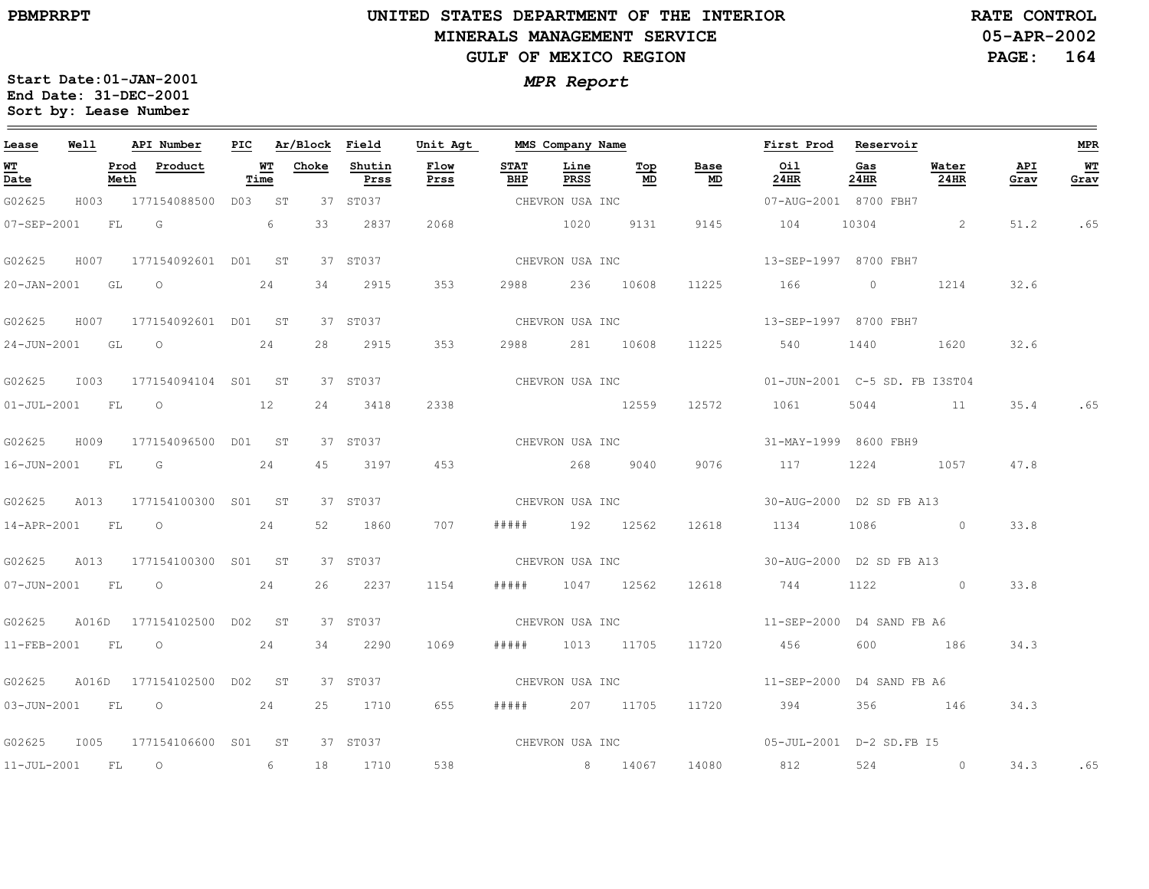# **UNITED STATES DEPARTMENT OF THE INTERIOR MINERALS MANAGEMENT SERVICEGULF OF MEXICO REGION**

**05-APR-2002PAGE: 164 RATE CONTROL**

| Lease             | Well |              | API Number                |            | PIC Ar/Block Field |                | Unit Agt     |                    | MMS Company Name |                 |            | First Prod                                  | Reservoir      |               |             | <b>MPR</b> |
|-------------------|------|--------------|---------------------------|------------|--------------------|----------------|--------------|--------------------|------------------|-----------------|------------|---------------------------------------------|----------------|---------------|-------------|------------|
| WT<br>Date        |      | Prod<br>Meth | Product                   | WT<br>Time | Choke              | Shutin<br>Prss | Flow<br>Prss | <b>STAT</b><br>BHP | Line<br>PRSS     | Тор<br>MD       | Base<br>MD | Oil<br>24HR                                 | Gas<br>24HR    | Water<br>24HR | API<br>Grav | WТ<br>Grav |
| G02625            |      |              | H003 177154088500 D03 ST  |            |                    | 37 ST037       |              |                    | CHEVRON USA INC  |                 |            | 07-AUG-2001 8700 FBH7                       |                |               |             |            |
| $07 - SEP - 2001$ |      | FL G         |                           | 6          | 33                 | 2837           | 2068         |                    | 1020             | 9131            | 9145       | 104                                         | 10304          | $\sim$ 2      | 51.2        | .65        |
| G02625            |      |              | H007 177154092601 D01 ST  |            |                    | 37 ST037       |              |                    | CHEVRON USA INC  |                 |            | 13-SEP-1997 8700 FBH7                       |                |               |             |            |
| 20-JAN-2001 GL O  |      |              |                           | 24         | 34                 | 2915           | 353          | 2988               |                  | 236 10608       | 11225      | 166                                         | $\overline{0}$ | 1214          | 32.6        |            |
| G02625            |      |              | H007 177154092601 D01 ST  |            |                    | 37 ST037       |              |                    | CHEVRON USA INC  |                 |            | 13-SEP-1997 8700 FBH7                       |                |               |             |            |
|                   |      |              | 24-JUN-2001 GL O          | 24         | 28                 | 2915           | 353          |                    | 2988 281 10608   |                 | 11225      | 540                                         | 1440           | 1620          | 32.6        |            |
| G02625            |      |              | 1003 177154094104 S01 ST  |            |                    | 37 ST037       |              |                    |                  | CHEVRON USA INC |            | 01-JUN-2001 C-5 SD. FB I3ST04               |                |               |             |            |
| 01-JUL-2001 FL 0  |      |              |                           | 12         | 24                 | 3418           | 2338         |                    | 12559            |                 | 12572      | 1061                                        | 5044           | 11            |             | 35.4 .65   |
| G02625            |      |              | H009 177154096500 D01 ST  |            |                    | 37 ST037       |              |                    | CHEVRON USA INC  |                 |            | 31-MAY-1999 8600 FBH9                       |                |               |             |            |
| 16-JUN-2001 FL G  |      |              |                           | 24         | 45                 | 3197           | 453          |                    | 268 9040         |                 | 9076       | 117                                         |                | 1224 1057     | 47.8        |            |
| G02625            |      |              | A013 177154100300 S01 ST  |            |                    | 37 ST037       |              |                    | CHEVRON USA INC  |                 |            | 30-AUG-2000 D2 SD FB A13                    |                |               |             |            |
| 14-APR-2001 FL O  |      |              |                           | 24         | 52                 | 1860           | 707          | # # # # #          | 192 12562        |                 | 12618      | 1134                                        | 1086           | $\sim$ 0      | 33.8        |            |
| G02625            |      |              | A013 177154100300 S01 ST  |            |                    | 37 ST037       |              |                    | CHEVRON USA INC  |                 |            | 30-AUG-2000 D2 SD FB A13                    |                |               |             |            |
|                   |      |              | 07-JUN-2001 FL 0          | 24         | 26                 | 2237           | 1154         | # # # #            |                  | 1047 12562      | 12618      | 744                                         |                | 1122 0        | 33.8        |            |
| G02625            |      |              | A016D 177154102500 D02 ST |            |                    | 37 ST037       |              |                    |                  |                 |            | CHEVRON USA INC $11-SEP-2000$ D4 SAND FB A6 |                |               |             |            |
| 11-FEB-2001 FL    |      |              | $\overline{O}$            | 24         | 34                 | 2290           | 1069         | # # # # #          | 1013 11705       |                 | 11720      | 456                                         | 600            | 186           | 34.3        |            |
| G02625            |      |              | A016D 177154102500 D02 ST |            |                    | 37 ST037       |              |                    | CHEVRON USA INC  |                 |            | 11-SEP-2000 D4 SAND FB A6                   |                |               |             |            |
|                   |      |              | 03-JUN-2001 FL 0 24       |            |                    | 25 1710        | 655          |                    | ##### 207 11705  |                 | 11720      | 394                                         |                | 356 146       | 34.3        |            |
| G02625            |      |              | 1005 177154106600 S01 ST  |            |                    | 37 ST037       |              |                    |                  |                 |            |                                             |                |               |             |            |
| 11-JUL-2001 FL 0  |      |              |                           | 6          |                    | 18 1710        | 538          |                    | 8 14067          |                 | 14080      | 812                                         | 524            | $\sim$ 0      | 34.3        | .65        |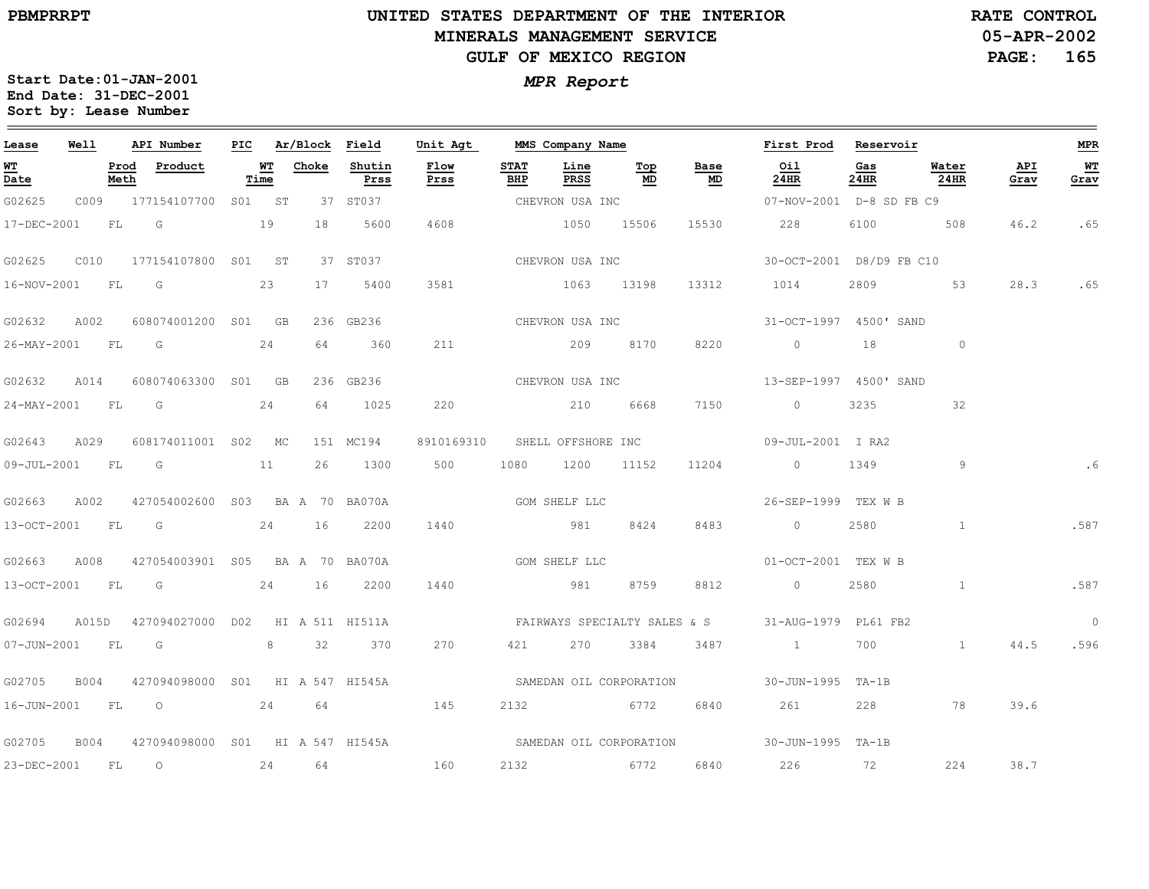$\equiv$ 

# **UNITED STATES DEPARTMENT OF THE INTERIOR MINERALS MANAGEMENT SERVICEGULF OF MEXICO REGION**

**05-APR-2002PAGE: 165 RATE CONTROL**

| Lease             | Well  |              | API Number                       |            | PIC Ar/Block Field |                | Unit Agt                      |                    | MMS Company Name |           |            | First Prod                                        | Reservoir   |               |             | MPR            |
|-------------------|-------|--------------|----------------------------------|------------|--------------------|----------------|-------------------------------|--------------------|------------------|-----------|------------|---------------------------------------------------|-------------|---------------|-------------|----------------|
| <b>WT</b><br>Date |       | Prod<br>Meth | Product                          | WT<br>Time | Choke              | Shutin<br>Prss | Flow<br>Prss                  | <b>STAT</b><br>BHP | Line<br>PRSS     | Top<br>MD | Base<br>MD | Oil<br>24HR                                       | Gas<br>24HR | Water<br>24HR | API<br>Grav | WT<br>Grav     |
| G02625            |       |              | C009 177154107700 S01 ST         |            |                    | 37 ST037       |                               |                    | CHEVRON USA INC  |           |            | 07-NOV-2001 D-8 SD FB C9                          |             |               |             |                |
| 17-DEC-2001       |       | FL.          | G<br>19                          |            | 18                 | 5600           | 4608                          |                    | 1050 15506       |           | 15530      | 228                                               |             | 6100 508      | 46.2        | .65            |
| G02625            | C010  |              | 177154107800 S01 ST              |            |                    | 37 ST037       |                               |                    | CHEVRON USA INC  |           |            | 30-OCT-2001 D8/D9 FB C10                          |             |               |             |                |
| 16-NOV-2001       |       | FL           | G                                | 23         | 17                 | 5400           | 3581                          |                    | 1063 13198       |           | 13312      | 1014                                              | 2809        | 53            | 28.3        | .65            |
| G02632            | A002  |              | 608074001200 S01 GB              |            |                    | 236 GB236      | CHEVRON USA INC               |                    |                  |           |            | 31-OCT-1997 4500' SAND                            |             |               |             |                |
| 26-MAY-2001 FL G  |       |              | 24                               |            | 64                 | 360            | 211                           |                    | 209 8170         |           | 8220       | $\sim$ 0                                          | 18          | $\circ$       |             |                |
| G02632            | A014  |              | 608074063300 S01 GB              |            |                    | 236 GB236      |                               |                    | CHEVRON USA INC  |           |            | 13-SEP-1997 4500' SAND                            |             |               |             |                |
| $24 - MAX - 2001$ |       | FL G         |                                  | 24         | 64                 | 1025           | 220                           |                    | 210 6668         |           | 7150       | $\circ$                                           | 3235        | 32            |             |                |
| G02643            | A029  |              | 608174011001 S02 MC              |            |                    | 151 MC194      | 8910169310 SHELL OFFSHORE INC |                    |                  |           |            | 09-JUL-2001 I RA2                                 |             |               |             |                |
|                   |       |              | 09-JUL-2001 FL G 11              |            | 26                 | 1300           | 500                           |                    | 1080 1200 11152  |           | 11204      | $\sim$ 0                                          | 1349        | 9             |             | . 6            |
| G02663            | A002  |              | 427054002600 S03 BA A 70 BA070A  |            |                    |                | GOM SHELF LLC                 |                    |                  |           |            | 26-SEP-1999 TEX W B                               |             |               |             |                |
| 13-OCT-2001       |       | FL           | $\overline{\mathbb{G}}$          |            | 24 16              | 2200           | 1440                          |                    | 981 8424         |           | 8483       | $\circ$                                           | 2580        | $\sim$ 1      |             | .587           |
| G02663            | A008  |              | 427054003901 S05 BA A 70 BA070A  |            |                    |                | GOM SHELF LLC                 |                    |                  |           |            | 01-OCT-2001 TEX W B                               |             |               |             |                |
| 13-OCT-2001 FL    |       |              | $\overline{\mathsf{G}}$          |            | 24 16              | 2200           | 1440                          |                    | 981              | 8759      | 8812       | $\overline{0}$                                    | 2580        | $\mathbf{1}$  |             | .587           |
| G02694            | A015D |              | 427094027000 D02 HI A 511 HI511A |            |                    |                |                               |                    |                  |           |            | FAIRWAYS SPECIALTY SALES & S 31-AUG-1979 PL61 FB2 |             |               |             | $\overline{0}$ |
| 07-JUN-2001       |       | FL           | G                                |            | 8 32               | 370            | 270                           | 421                | 270              | 3384      | 3487       | $\sim$ 1                                          | 700         | 1             | 44.5        | .596           |
| G02705            | B004  |              | 427094098000 S01 HI A 547 HI545A |            |                    |                | SAMEDAN OIL CORPORATION       |                    |                  |           |            | 30-JUN-1995 TA-1B                                 |             |               |             |                |
|                   |       |              | 16-JUN-2001 FL O 24 64 145       |            |                    |                |                               |                    | 2132 6772        |           | 6840       | 261                                               | 228         | 78            | 39.6        |                |
| G02705            | B004  |              | 427094098000 S01 HI A 547 HI545A |            |                    |                | SAMEDAN OIL CORPORATION       |                    |                  |           |            | 30-JUN-1995 TA-1B                                 |             |               |             |                |
| 23-DEC-2001       |       | FL           | $\overline{O}$                   |            | 24 64              |                | 160                           |                    | 2132 6772        |           | 6840       | 226 72                                            |             | 224           | 38.7        |                |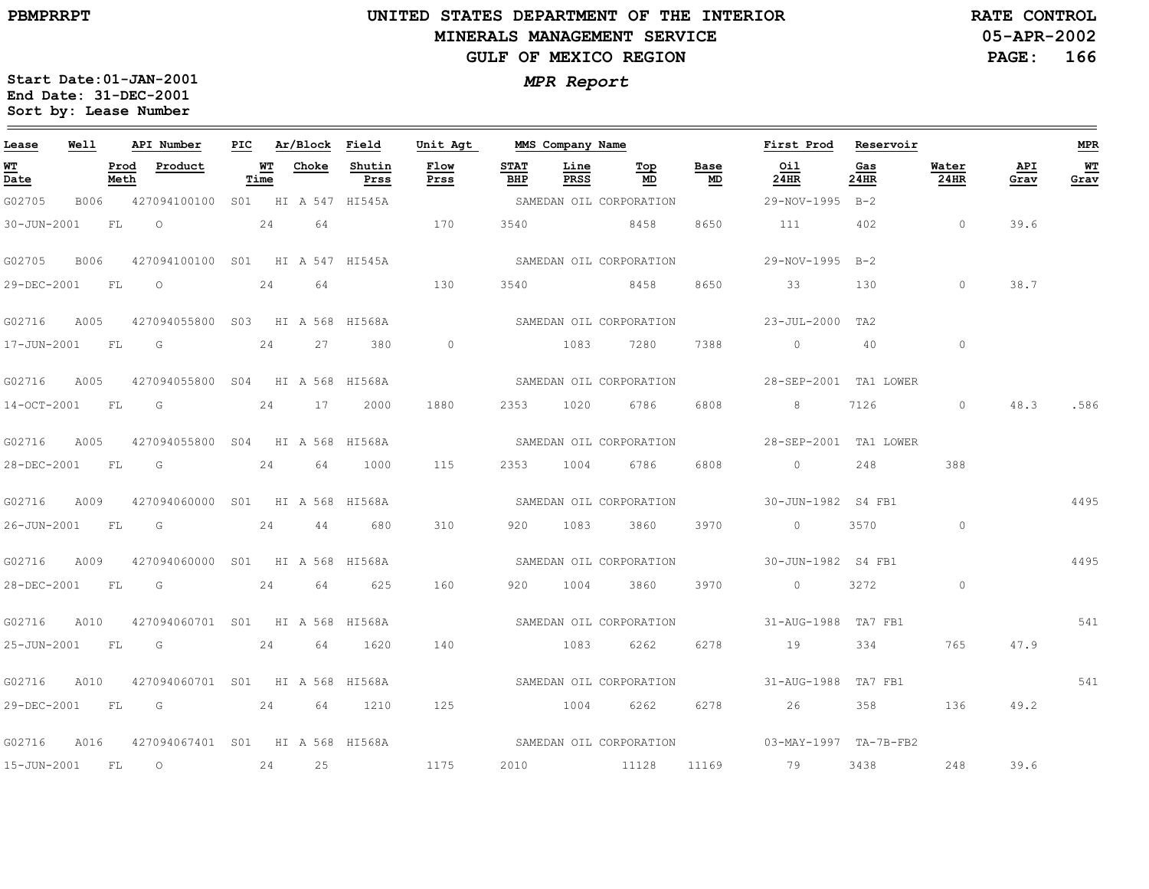$\equiv$ 

# **UNITED STATES DEPARTMENT OF THE INTERIOR MINERALS MANAGEMENT SERVICEGULF OF MEXICO REGION**

**05-APR-2002PAGE: 166 RATE CONTROL**

| Lease            | Well |              | API Number                       |            | PIC Ar/Block Field |                | Unit Agt       |                    | MMS Company Name    |                         |            | First Prod Reservoir                                                                                                                                                                                                                                                                                                               |             |                |             | <b>MPR</b> |
|------------------|------|--------------|----------------------------------|------------|--------------------|----------------|----------------|--------------------|---------------------|-------------------------|------------|------------------------------------------------------------------------------------------------------------------------------------------------------------------------------------------------------------------------------------------------------------------------------------------------------------------------------------|-------------|----------------|-------------|------------|
| WT<br>Date       |      | Prod<br>Meth | Product                          | WT<br>Time | Choke              | Shutin<br>Prss | Flow<br>Prss   | <b>STAT</b><br>BHP | Line<br><b>PRSS</b> | Тор<br>MD               | Base<br>MD | Oil<br>24HR                                                                                                                                                                                                                                                                                                                        | Gas<br>24HR | Water<br>24HR  | API<br>Grav | WТ<br>Grav |
| G02705           | B006 |              | 427094100100 S01 HI A 547 HI545A |            |                    |                |                |                    |                     | SAMEDAN OIL CORPORATION |            | 29-NOV-1995 B-2                                                                                                                                                                                                                                                                                                                    |             |                |             |            |
| 30-JUN-2001      |      | FL           | 24 64<br>$\overline{O}$          |            |                    |                | 170            | 3540               |                     | 8458                    | 8650       | 111                                                                                                                                                                                                                                                                                                                                | 402         | $\overline{0}$ | 39.6        |            |
| G02705           | B006 |              | 427094100100 S01 HI A 547 HI545A |            |                    |                |                |                    |                     | SAMEDAN OIL CORPORATION |            | 29-NOV-1995 B-2                                                                                                                                                                                                                                                                                                                    |             |                |             |            |
| 29-DEC-2001      |      | <b>FL</b>    | $\circ$                          | 24         | 64                 |                | 130            | 3540               |                     | 8458                    | 8650       | 33                                                                                                                                                                                                                                                                                                                                 | 130         | $\circ$        | 38.7        |            |
| G02716           | A005 |              | 427094055800 S03 HI A 568 HI568A |            |                    |                |                |                    |                     | SAMEDAN OIL CORPORATION |            | 23-JUL-2000 TA2                                                                                                                                                                                                                                                                                                                    |             |                |             |            |
| 17-JUN-2001 FL G |      |              |                                  |            | 24 27              | 380            | $\overline{0}$ |                    |                     | 1083 7280               | 7388       | $\overline{0}$                                                                                                                                                                                                                                                                                                                     | -40         | $\circ$        |             |            |
| G02716           | A005 |              | 427094055800 S04 HI A 568 HI568A |            |                    |                |                |                    |                     | SAMEDAN OIL CORPORATION |            | 28-SEP-2001 TA1 LOWER                                                                                                                                                                                                                                                                                                              |             |                |             |            |
| 14-OCT-2001      |      | FL           | G                                |            | 24 17              | 2000           | 1880           | 2353               | 1020                | 6786                    | 6808       | 8                                                                                                                                                                                                                                                                                                                                  | 7126        | $\circ$        | 48.3        | .586       |
| G02716           | A005 |              | 427094055800 S04 HI A 568 HI568A |            |                    |                |                |                    |                     | SAMEDAN OIL CORPORATION |            | 28-SEP-2001 TA1 LOWER                                                                                                                                                                                                                                                                                                              |             |                |             |            |
| 28-DEC-2001 FL   |      |              | $\overline{G}$                   | 24         | 64                 | 1000           | 115            |                    | 2353 1004           | 6786 —                  | 6808       | $\overline{0}$ and $\overline{0}$ and $\overline{0}$ and $\overline{0}$ and $\overline{0}$ and $\overline{0}$ and $\overline{0}$ and $\overline{0}$ and $\overline{0}$ and $\overline{0}$ and $\overline{0}$ and $\overline{0}$ and $\overline{0}$ and $\overline{0}$ and $\overline{0}$ and $\overline{0}$ and $\overline{0}$ and | 248         | 388            |             |            |
| G02716           | A009 |              | 427094060000 S01 HI A 568 HI568A |            |                    |                |                |                    |                     | SAMEDAN OIL CORPORATION |            | 30-JUN-1982 S4 FB1                                                                                                                                                                                                                                                                                                                 |             |                |             | 4495       |
| 26-JUN-2001      |      | FL           | G                                | 24         | 44                 | 680            | 310            | 920                | 1083                | 3860                    | 3970       | $\circ$                                                                                                                                                                                                                                                                                                                            | 3570        | $\sim$ 0       |             |            |
| G02716           | A009 |              | 427094060000 S01 HI A 568 HI568A |            |                    |                |                |                    |                     | SAMEDAN OIL CORPORATION |            | 30-JUN-1982 S4 FB1                                                                                                                                                                                                                                                                                                                 |             |                |             | 4495       |
| 28-DEC-2001 FL   |      |              | G                                | 24         | 64                 | 625            | 160            | 920                | 1004                | 3860                    | 3970       | $\overline{0}$                                                                                                                                                                                                                                                                                                                     | 3272        | $\circ$        |             |            |
| G02716           | A010 |              | 427094060701 S01 HI A 568 HI568A |            |                    |                |                |                    |                     | SAMEDAN OIL CORPORATION |            | 31-AUG-1988 TA7 FB1                                                                                                                                                                                                                                                                                                                |             |                |             | 541        |
| 25-JUN-2001 FL   |      |              | $\overline{\mathsf{G}}$          | 24         | 64                 | 1620           | 140            |                    | 1083                | 6262                    | 6278       | 19                                                                                                                                                                                                                                                                                                                                 | 334         | 765            | 47.9        |            |
| G02716           | A010 |              | 427094060701 S01 HI A 568 HI568A |            |                    |                |                |                    |                     | SAMEDAN OIL CORPORATION |            | 31-AUG-1988 TA7 FB1                                                                                                                                                                                                                                                                                                                |             |                |             | 541        |
|                  |      |              | 29-DEC-2001 FL G 24              |            | 64                 | 1210           | 125            |                    | 1004                | 6262                    | 6278       | 26                                                                                                                                                                                                                                                                                                                                 | 358 358     | 136            | 49.2        |            |
| G02716           | A016 |              | 427094067401 S01 HI A 568 HI568A |            |                    |                |                |                    |                     |                         |            | SAMEDAN OIL CORPORATION 03-MAY-1997 TA-7B-FB2                                                                                                                                                                                                                                                                                      |             |                |             |            |
| 15-JUN-2001      |      | <b>FL</b>    | $\overline{O}$                   |            | 24 25              |                | 1175           | 2010               |                     | 11128                   |            | 11169 79                                                                                                                                                                                                                                                                                                                           | 3438        | 248            | 39.6        |            |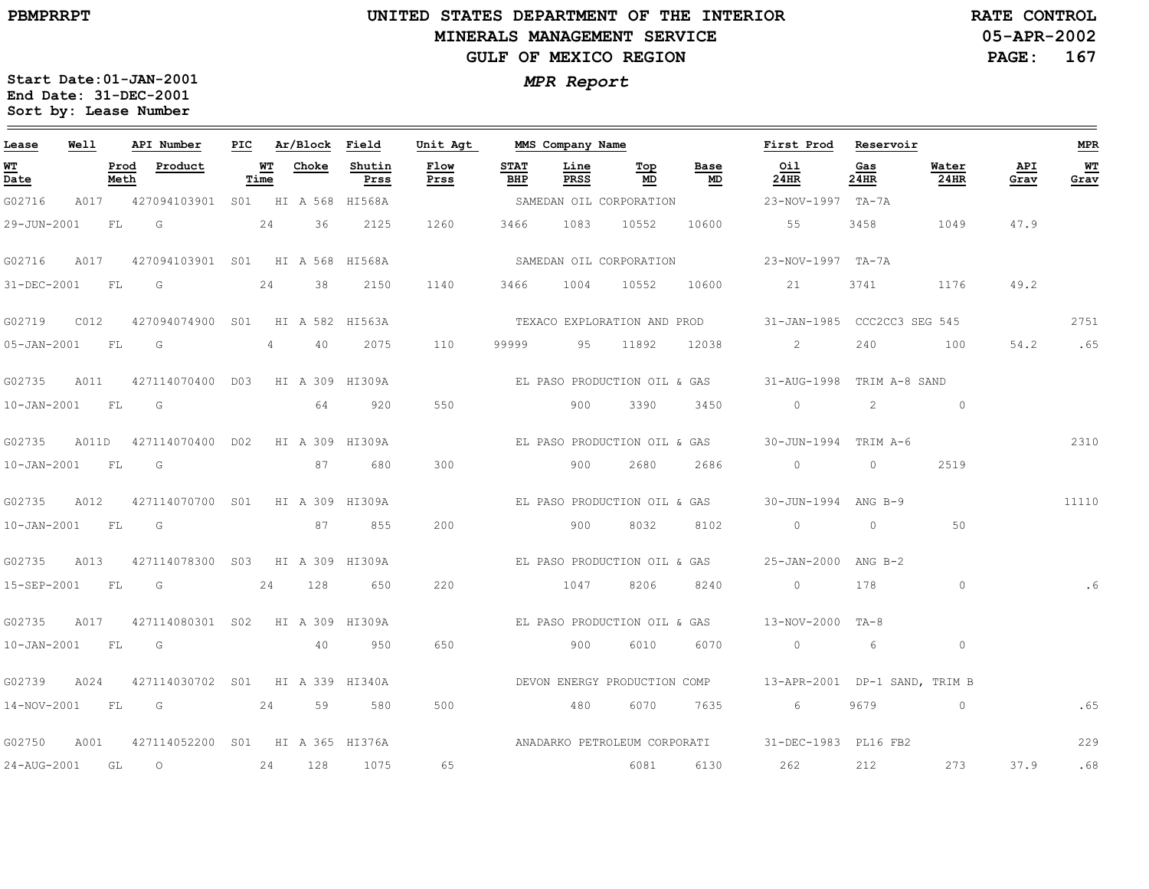# **UNITED STATES DEPARTMENT OF THE INTERIOR MINERALS MANAGEMENT SERVICEGULF OF MEXICO REGION**

**05-APR-2002RATE CONTROL**

**PAGE: 167**

| Lease            | Well |      | API Number                                   | PIC |            | Ar/Block Field |                | Unit Agt     |                    | MMS Company Name |                              |            | First Prod                                                                              | Reservoir   |               |             | <b>MPR</b> |
|------------------|------|------|----------------------------------------------|-----|------------|----------------|----------------|--------------|--------------------|------------------|------------------------------|------------|-----------------------------------------------------------------------------------------|-------------|---------------|-------------|------------|
| WT<br>Date       |      | Meth | Prod Product                                 |     | WT<br>Time | Choke          | Shutin<br>Prss | Flow<br>Prss | <b>STAT</b><br>BHP | Line<br>PRSS     | Top<br>MD                    | Base<br>MD | Oil<br>24HR                                                                             | Gas<br>24HR | Water<br>24HR | API<br>Grav | WT<br>Grav |
| G02716           |      |      | A017 427094103901 S01 HI A 568 HI568A        |     |            |                |                |              |                    |                  | SAMEDAN OIL CORPORATION      |            | 23-NOV-1997 TA-7A                                                                       |             |               |             |            |
| 29-JUN-2001      |      | FL G | 24                                           |     |            | 36             | 2125           | 1260         | 3466               |                  | 1083 10552                   | 10600      | 55                                                                                      | 3458        | 1049          | 47.9        |            |
| G02716           |      |      | A017 427094103901 S01 HI A 568 HI568A        |     |            |                |                |              |                    |                  | SAMEDAN OIL CORPORATION      |            | 23-NOV-1997 TA-7A                                                                       |             |               |             |            |
| 31-DEC-2001 FL G |      |      |                                              |     | 24         | 38             | 2150           | 1140         |                    | 3466 1004 10552  |                              | 10600      | 21                                                                                      | 3741        | 1176          | 49.2        |            |
|                  |      |      |                                              |     |            |                |                |              |                    |                  |                              |            | TEXACO EXPLORATION AND PROD 31-JAN-1985 CCC2CC3 SEG 545                                 |             |               |             | 2751       |
| 05-JAN-2001 FL G |      |      |                                              |     | $4\degree$ | 40             | 2075           | 110          | 99999              | 95 11892         |                              |            | 12038 2                                                                                 | 240         | 100           | 54.2        | .65        |
| G02735           |      |      | A011 427114070400 D03 HI A 309 HI309A        |     |            |                |                |              |                    |                  |                              |            | EL PASO PRODUCTION OIL & GAS 31-AUG-1998 TRIM A-8 SAND                                  |             |               |             |            |
| 10-JAN-2001 FL G |      |      |                                              |     |            | 64             | 920            | 550          |                    | 900              | 3390                         | 3450       | $\begin{array}{ccccccc}\n0 & & & 2 & & & 0\n\end{array}$                                |             |               |             |            |
| G02735           |      |      | A011D  427114070400  D02  HI  A  309  HI309A |     |            |                |                |              |                    |                  | EL PASO PRODUCTION OIL & GAS |            | 30-JUN-1994 TRIM A-6                                                                    |             |               |             | 2310       |
| 10-JAN-2001 FL G |      |      |                                              |     |            | 87   187       | 680            | 300          |                    | 900              | 2680                         | 2686       |                                                                                         |             | 2519          |             |            |
| G02735           |      |      | A012 427114070700 S01 HI A 309 HI309A        |     |            |                |                |              |                    |                  |                              |            | EL PASO PRODUCTION OIL & GAS 30-JUN-1994 ANG B-9                                        |             |               |             | 11110      |
| 10-JAN-2001 FL G |      |      |                                              |     |            |                | 87 855         | 200          |                    | 900              | 8032                         | 8102       |                                                                                         |             | 50            |             |            |
| G02735           |      |      | A013 427114078300 S03 HI A 309 HI309A        |     |            |                |                |              |                    |                  |                              |            | EL PASO PRODUCTION OIL & GAS 25-JAN-2000 ANG B-2                                        |             |               |             |            |
|                  |      |      | 15-SEP-2001 FL G 24 128                      |     |            |                | 650            | 220          |                    | 1047             | 8206                         | 8240       | $\sim$ 0 $\sim$ 0                                                                       | 178         | $\Omega$      |             |            |
| G02735           |      |      | A017 427114080301 S02 HI A 309 HI309A        |     |            |                |                |              |                    |                  |                              |            |                                                                                         |             |               |             |            |
| 10-JAN-2001 FL G |      |      |                                              |     |            | 40             | 950            | 650          |                    | 900              | 6010                         | 6070       | $\begin{array}{ccc} & & 0 & \hline \end{array}$                                         |             | $\circ$       |             |            |
|                  |      |      | G02739 A024 427114030702 S01 HI A 339 HI340A |     |            |                |                |              |                    |                  |                              |            | DEVON ENERGY PRODUCTION COMP 13-APR-2001 DP-1 SAND, TRIM B                              |             |               |             |            |
|                  |      |      | 14-NOV-2001 FL G 24 59                       |     |            |                | 580            | 500          |                    | 480              | 6070                         | 7635       | $6 \qquad \qquad$                                                                       | 9679        | $\sim$ 0      |             | .65        |
| G02750           |      |      |                                              |     |            |                |                |              |                    |                  |                              |            | A001 427114052200 S01 HI A 365 HI376A ANADARKO PETROLEUM CORPORATI 31-DEC-1983 PL16 FB2 |             |               |             | 229        |
| 24-AUG-2001 GL   |      |      | $\overline{O}$                               | 24  |            | 128            | 1075           | 65           |                    |                  | 6081                         | 6130       | 262                                                                                     | 212         | 273           | 37.9        | .68        |
|                  |      |      |                                              |     |            |                |                |              |                    |                  |                              |            |                                                                                         |             |               |             |            |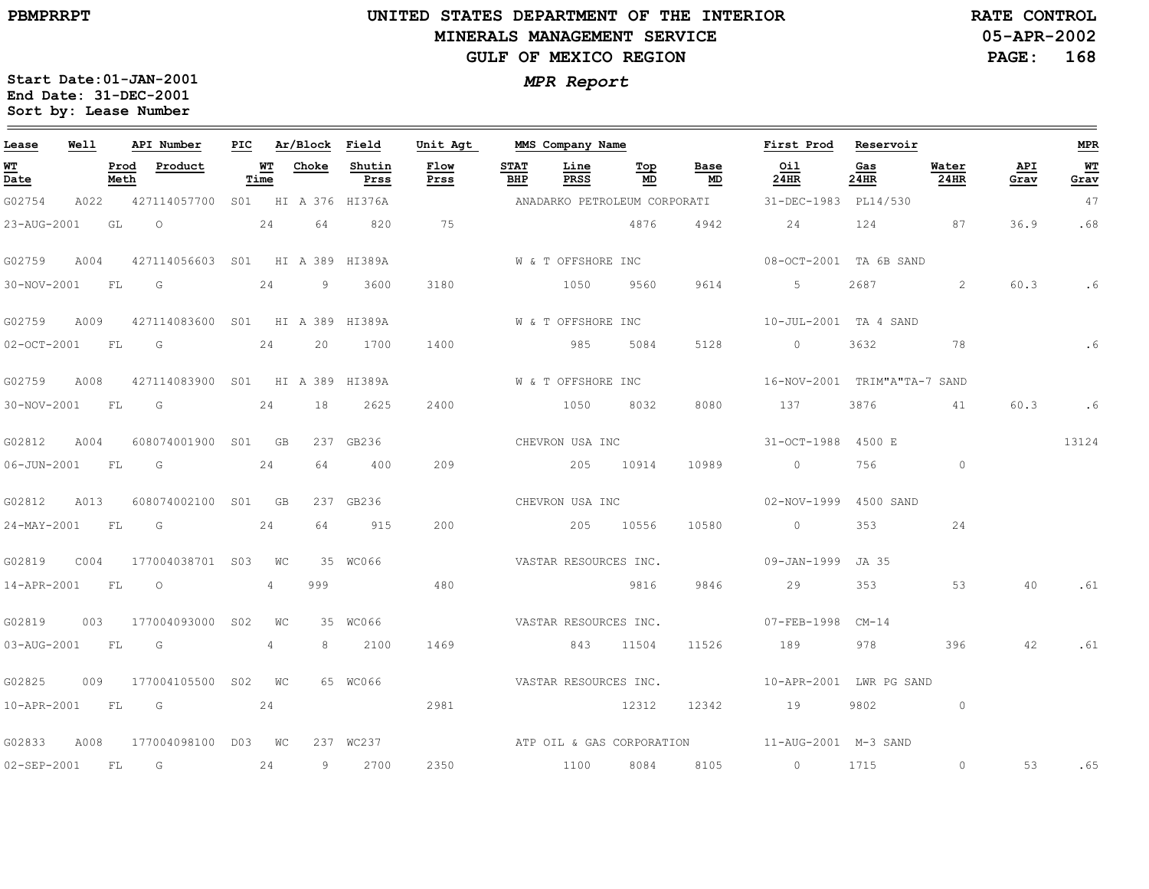# **UNITED STATES DEPARTMENT OF THE INTERIOR MINERALS MANAGEMENT SERVICEGULF OF MEXICO REGION**

**05-APR-2002PAGE: 168 RATE CONTROL**

| Lease          | Well |              | API Number                       | PIC |            | Ar/Block Field |                | Unit Agt              |                    | MMS Company Name      |           |                              | First Prod                                                                                                                                                                                                                                                                                                                         | Reservoir   |                |             | <b>MPR</b> |
|----------------|------|--------------|----------------------------------|-----|------------|----------------|----------------|-----------------------|--------------------|-----------------------|-----------|------------------------------|------------------------------------------------------------------------------------------------------------------------------------------------------------------------------------------------------------------------------------------------------------------------------------------------------------------------------------|-------------|----------------|-------------|------------|
| WT<br>Date     |      | Prod<br>Meth | Product                          |     | WT<br>Time | Choke          | Shutin<br>Prss | Flow<br>Prss          | <b>STAT</b><br>BHP | Line<br>PRSS          | Top<br>MD | Base<br>MD                   | Oil<br>24HR                                                                                                                                                                                                                                                                                                                        | Gas<br>24HR | Water<br>24HR  | API<br>Grav | WT<br>Grav |
| G02754         | A022 |              | 427114057700 SO1 HI A 376 HI376A |     |            |                |                |                       |                    |                       |           | ANADARKO PETROLEUM CORPORATI | 31-DEC-1983 PL14/530                                                                                                                                                                                                                                                                                                               |             |                |             | 47         |
| 23-AUG-2001    |      | GL           | $\overline{O}$                   |     | 24         | 64             | 820            | 75                    |                    |                       | 4876      | 4942                         | 24                                                                                                                                                                                                                                                                                                                                 | 124         | 87             | 36.9        | .68        |
| G02759         | A004 |              | 427114056603 S01 HI A 389 HI389A |     |            |                |                |                       |                    | W & T OFFSHORE INC    |           |                              | 08-OCT-2001 TA 6B SAND                                                                                                                                                                                                                                                                                                             |             |                |             |            |
| 30-NOV-2001    |      | <b>FL</b>    | G                                |     | 24         | 9              | 3600           | 3180                  |                    | 1050                  | 9560      | 9614                         | 5                                                                                                                                                                                                                                                                                                                                  | 2687        | 2              | 60.3        | .6         |
| G02759         | A009 |              | 427114083600 S01 HI A 389 HI389A |     |            |                |                |                       |                    | W & T OFFSHORE INC    |           |                              | 10-JUL-2001 TA 4 SAND                                                                                                                                                                                                                                                                                                              |             |                |             |            |
| 02-OCT-2001 FL |      |              | G                                |     | 24         | 20             | 1700           | 1400                  |                    | 985                   | 5084      | 5128                         | $\overline{0}$                                                                                                                                                                                                                                                                                                                     | 3632        | 78             |             |            |
| G02759         | A008 |              | 427114083900 S01 HI A 389 HI389A |     |            |                |                |                       |                    | W & T OFFSHORE INC    |           |                              | 16-NOV-2001 TRIM"A"TA-7 SAND                                                                                                                                                                                                                                                                                                       |             |                |             |            |
| 30-NOV-2001 FL |      |              | G                                |     | 24         | 18             | 2625           | 2400                  |                    | 1050                  | 8032      | 8080                         | 137                                                                                                                                                                                                                                                                                                                                | 3876        | 41             | 60.3        | .6         |
| G02812         | A004 |              | 608074001900 S01 GB              |     |            |                | 237 GB236      |                       |                    | CHEVRON USA INC       |           |                              | 31-OCT-1988 4500 E                                                                                                                                                                                                                                                                                                                 |             |                |             | 13124      |
| 06-JUN-2001 FL |      |              | G                                |     | 24         | 64             | 400            | 209                   |                    | 205 10914             |           | 10989                        | $\overline{0}$ and $\overline{0}$ and $\overline{0}$ and $\overline{0}$ and $\overline{0}$ and $\overline{0}$ and $\overline{0}$ and $\overline{0}$ and $\overline{0}$ and $\overline{0}$ and $\overline{0}$ and $\overline{0}$ and $\overline{0}$ and $\overline{0}$ and $\overline{0}$ and $\overline{0}$ and $\overline{0}$ and | 756         | $\overline{0}$ |             |            |
| G02812         | A013 |              | 608074002100 S01 GB              |     |            |                | 237 GB236      |                       |                    | CHEVRON USA INC       |           |                              | 02-NOV-1999 4500 SAND                                                                                                                                                                                                                                                                                                              |             |                |             |            |
| 24-MAY-2001 FL |      |              | $\overline{\mathsf{G}}$          |     | 24         | 64             | 915            | 200                   |                    | 205 10556             |           | 10580                        | $\sim$ 0                                                                                                                                                                                                                                                                                                                           | 353         | 24             |             |            |
| G02819         | C004 |              | 177004038701 S03 WC              |     |            |                | 35 WC066       |                       |                    | VASTAR RESOURCES INC. |           |                              | 09-JAN-1999 JA 35                                                                                                                                                                                                                                                                                                                  |             |                |             |            |
| 14-APR-2001    |      | FL           | $\overline{O}$                   |     | 4          | 999            |                | 480                   |                    |                       | 9816      | 9846                         | 29                                                                                                                                                                                                                                                                                                                                 | 353         | 53             | 40          | .61        |
| G02819         | 003  |              | 177004093000 S02                 |     | WC         |                | 35 WC066       | VASTAR RESOURCES INC. |                    |                       |           |                              | 07-FEB-1998 CM-14                                                                                                                                                                                                                                                                                                                  |             |                |             |            |
| 03-AUG-2001 FL |      |              | G                                |     | 4          | 8              | 2100           | 1469                  |                    | 843 11504             |           | 11526                        | 189                                                                                                                                                                                                                                                                                                                                | 978         | 396            | 42          | .61        |
| G02825         | 009  |              | 177004105500 S02 WC              |     |            |                | 65 WC066       | VASTAR RESOURCES INC. |                    |                       |           |                              | 10-APR-2001 LWR PG SAND                                                                                                                                                                                                                                                                                                            |             |                |             |            |
|                |      |              | 10-APR-2001 FL G 24              |     |            |                |                | 2981                  |                    |                       | 12312     | 12342                        | 19                                                                                                                                                                                                                                                                                                                                 | 9802 0      |                |             |            |
| G02833         | A008 |              | 177004098100 D03 WC              |     |            |                | 237 WC237      |                       |                    |                       |           |                              | ATP OIL & GAS CORPORATION 11-AUG-2001 M-3 SAND                                                                                                                                                                                                                                                                                     |             |                |             |            |
| 02-SEP-2001    |      | <b>FL</b>    | $\overline{G}$                   |     | 24         |                | 9 2700         | 2350                  |                    | 1100                  | 8084      | 8105                         | $\sim$ 0                                                                                                                                                                                                                                                                                                                           | 1715        | $\circ$        | 53          | .65        |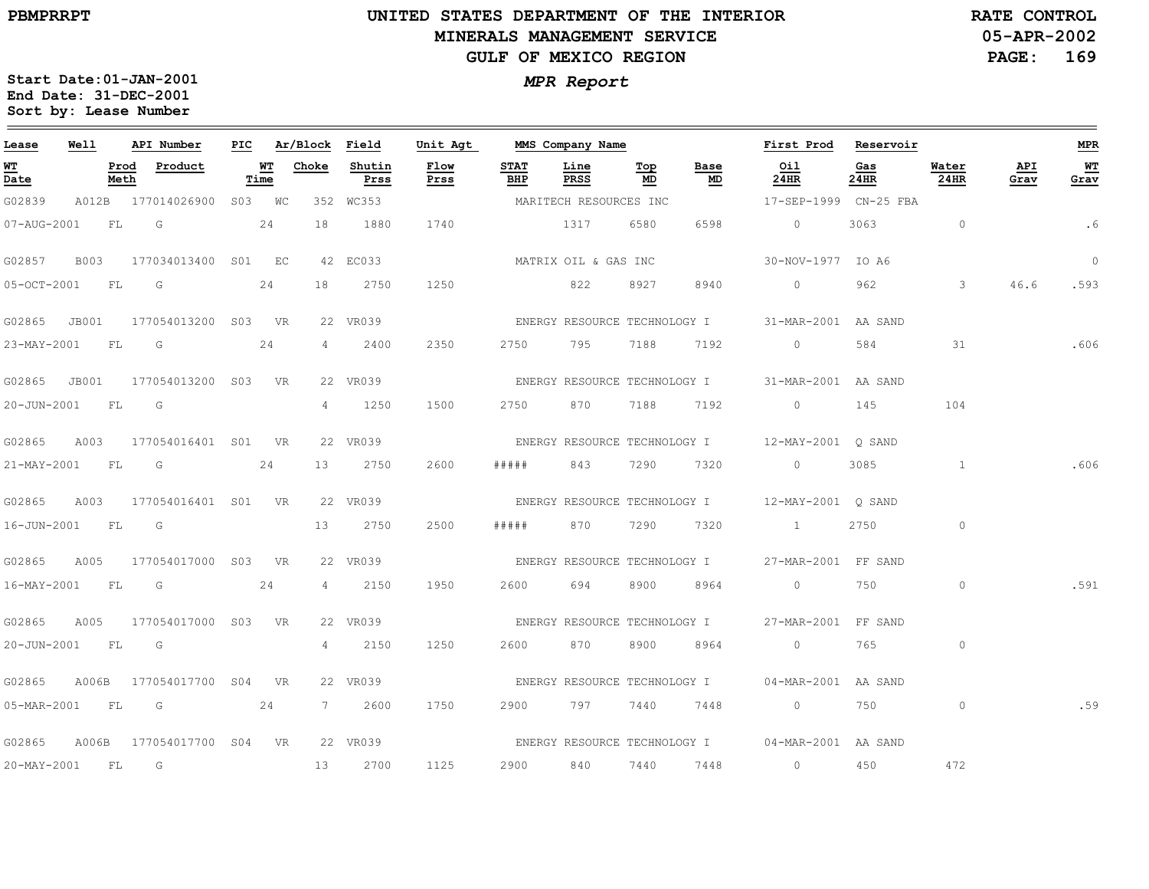# **UNITED STATES DEPARTMENT OF THE INTERIOR MINERALS MANAGEMENT SERVICEGULF OF MEXICO REGION**

**05-APR-2002PAGE: 169 RATE CONTROL**

| Lease       | Well        |              | API Number                | PIC |            | Ar/Block Field |                | Unit Agt     |                    | MMS Company Name             |                                  |                              | First Prod                                       | Reservoir   |               |             | <b>MPR</b> |
|-------------|-------------|--------------|---------------------------|-----|------------|----------------|----------------|--------------|--------------------|------------------------------|----------------------------------|------------------------------|--------------------------------------------------|-------------|---------------|-------------|------------|
| WT<br>Date  |             | Prod<br>Meth | Product                   |     | WТ<br>Time | Choke          | Shutin<br>Prss | Flow<br>Prss | <b>STAT</b><br>BHP | Line<br>PRSS                 | $\underline{\mathbf{Top}}$<br>MD | Base<br>MD                   | Oil<br>24HR                                      | Gas<br>24HR | Water<br>24HR | API<br>Grav | WT<br>Grav |
| G02839      |             |              | A012B 177014026900 S03 WC |     |            |                | 352 WC353      |              |                    | MARITECH RESOURCES INC       |                                  |                              | 17-SEP-1999 CN-25 FBA                            |             |               |             |            |
| 07-AUG-2001 |             | FL           | G                         |     | 24         | 18             | 1880           | 1740         |                    | 1317                         | 6580                             | 6598                         | $\circ$                                          | 3063        | $\circ$       |             | .6         |
| G02857      | <b>B003</b> |              | 177034013400 S01 EC       |     |            |                | 42 EC033       |              |                    | MATRIX OIL & GAS INC         |                                  |                              | 30-NOV-1977 IO A6                                |             |               |             | $\circ$    |
| 05-OCT-2001 |             | FL           | G                         |     | 24         | 18             | 2750           | 1250         |                    | 822                          | 8927                             | 8940                         | $\circ$                                          | 962         | $\mathbf{3}$  | 46.6        | .593       |
| G02865      | JB001       |              | 177054013200 S03 VR       |     |            |                | 22 VR039       |              |                    |                              |                                  | ENERGY RESOURCE TECHNOLOGY I | 31-MAR-2001 AA SAND                              |             |               |             |            |
| 23-MAY-2001 |             | FL           | G                         |     | 24         | 4              | 2400           | 2350         | 2750               | 795                          | 7188                             | 7192                         | $\overline{0}$                                   | 584         | 31            |             | .606       |
| G02865      | JB001       |              | 177054013200 S03 VR       |     |            |                | 22 VR039       |              |                    |                              |                                  | ENERGY RESOURCE TECHNOLOGY I | 31-MAR-2001 AA SAND                              |             |               |             |            |
| 20-JUN-2001 |             | FL           | G                         |     |            | $\overline{4}$ | 1250           | 1500         | 2750               | 870                          | 7188                             | 7192                         | $\circ$                                          | 145         | 104           |             |            |
| G02865      | A003        |              | 177054016401 S01          |     | <b>VR</b>  |                | 22 VR039       |              |                    | ENERGY RESOURCE TECHNOLOGY I |                                  |                              | 12-MAY-2001 Q SAND                               |             |               |             |            |
| 21-MAY-2001 |             | FL           | G                         |     | 24         | 13             | 2750           | 2600         | # # # # #          | 843                          | 7290                             | 7320                         | $\circ$                                          | 3085        | $\mathbf{1}$  |             | .606       |
| G02865      | A003        |              | 177054016401 S01          |     | <b>VR</b>  |                | 22 VR039       |              |                    | ENERGY RESOURCE TECHNOLOGY I |                                  |                              | 12-MAY-2001 O SAND                               |             |               |             |            |
| 16-JUN-2001 |             | FL           | G                         |     |            | 13             | 2750           | 2500         | #####              | 870                          | 7290                             | 7320                         | $\mathbf{1}$                                     | 2750        | $\circ$       |             |            |
| G02865      | A005        |              | 177054017000 S03 VR       |     |            |                | 22 VR039       |              |                    | ENERGY RESOURCE TECHNOLOGY I |                                  |                              | 27-MAR-2001 FF SAND                              |             |               |             |            |
| 16-MAY-2001 |             | FL           | G                         |     | 24         | $4 -$          | 2150           | 1950         | 2600               | 694                          | 8900                             | 8964                         | $\circ$                                          | 750         | $\circ$       |             | .591       |
| G02865      | A005        |              | 177054017000 S03 VR       |     |            |                | 22 VR039       |              |                    |                              |                                  | ENERGY RESOURCE TECHNOLOGY I | 27-MAR-2001 FF SAND                              |             |               |             |            |
| 20-JUN-2001 |             | FL           | G                         |     |            | $\overline{4}$ | 2150           | 1250         | 2600               | 870                          | 8900                             | 8964                         | $\circ$                                          | 765         | $\circ$       |             |            |
| G02865      | A006B       |              | 177054017700 S04 VR       |     |            |                | 22 VR039       |              |                    | ENERGY RESOURCE TECHNOLOGY I |                                  |                              | 04-MAR-2001 AA SAND                              |             |               |             |            |
| 05-MAR-2001 | FL          |              | G                         |     | 24         | 7              | 2600           | 1750         | 2900               | 797                          | 7440                             | 7448                         | $\overline{0}$ and $\overline{0}$                | 750         | $\circ$       |             | .59        |
| G02865      |             |              | A006B 177054017700 S04 VR |     |            |                | 22 VR039       |              |                    |                              |                                  |                              | ENERGY RESOURCE TECHNOLOGY I 04-MAR-2001 AA SAND |             |               |             |            |
| 20-MAY-2001 |             | FL           | G                         |     |            | 13             | 2700           | 1125         | 2900               | 840                          | 7440                             | 7448                         | $\circ$                                          | 450         | 472           |             |            |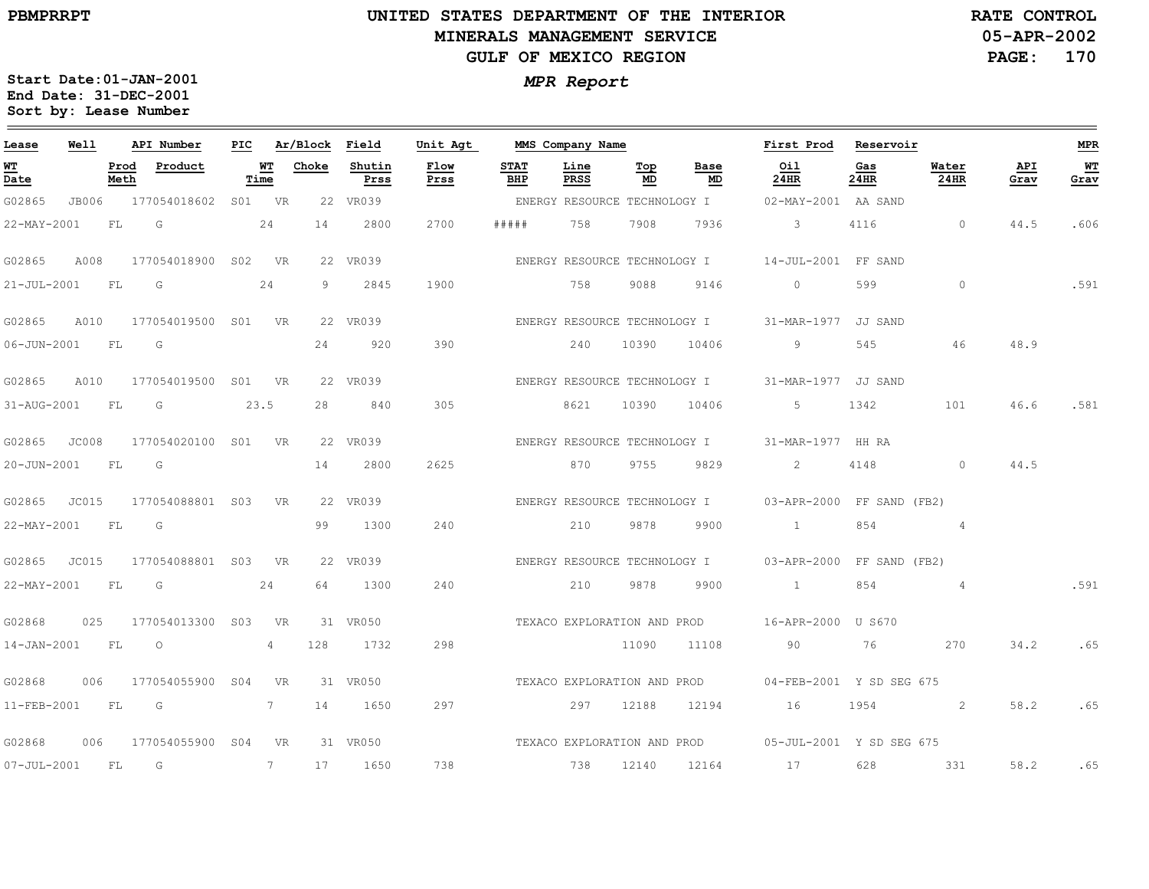# **UNITED STATES DEPARTMENT OF THE INTERIOR MINERALS MANAGEMENT SERVICEGULF OF MEXICO REGION**

**05-APR-2002PAGE: 170 RATE CONTROL**

| Lease             | Well  |              | API Number                | PIC |                    | Ar/Block Field |                | Unit Agt     |                    | MMS Company Name |                              |                              | First Prod                                             | Reservoir   |                |             | MPR         |
|-------------------|-------|--------------|---------------------------|-----|--------------------|----------------|----------------|--------------|--------------------|------------------|------------------------------|------------------------------|--------------------------------------------------------|-------------|----------------|-------------|-------------|
| WТ<br>Date        |       | Prod<br>Meth | Product                   |     | <u> WТ</u><br>Time | Choke          | Shutin<br>Prss | Flow<br>Prss | <b>STAT</b><br>BHP | Line<br>PRSS     | Top<br>MD                    | <b>Base</b><br>MD            | Oil<br>24HR                                            | Gas<br>24HR | Water<br>24HR  | API<br>Grav | WT.<br>Grav |
| G02865            |       |              | JB006 177054018602 S01 VR |     |                    |                | 22 VR039       |              |                    |                  | ENERGY RESOURCE TECHNOLOGY I |                              | 02-MAY-2001 AA SAND                                    |             |                |             |             |
| 22-MAY-2001       |       | FL           | G                         |     | 24                 | 14             | 2800           | 2700         | # # # # #          | 758              | 7908                         | 7936                         | $\mathbf{3}$                                           | 4116        | $\circ$        | 44.5        | .606        |
| G02865            | A008  |              | 177054018900 S02 VR       |     |                    |                | 22 VR039       |              |                    |                  |                              | ENERGY RESOURCE TECHNOLOGY I | 14-JUL-2001 FF SAND                                    |             |                |             |             |
| $21 - JUL - 2001$ |       | FL           | G                         |     | 24                 | 9              | 2845           | 1900         |                    | 758              | 9088                         | 9146                         | $\circ$                                                | 599         | $\circ$        |             | .591        |
| G02865            | A010  |              | 177054019500 S01 VR       |     |                    |                | 22 VR039       |              |                    |                  | ENERGY RESOURCE TECHNOLOGY I |                              | 31-MAR-1977 JJ SAND                                    |             |                |             |             |
| $06 - JUN - 2001$ |       | <b>FL</b>    | G                         |     |                    | 24             | 920            | 390          |                    | 240              | 10390                        | 10406                        | 9                                                      | 545         | 46             | 48.9        |             |
| G02865            | A010  |              | 177054019500 S01 VR       |     |                    |                | 22 VR039       |              |                    |                  |                              | ENERGY RESOURCE TECHNOLOGY I | 31-MAR-1977 JJ SAND                                    |             |                |             |             |
| 31-AUG-2001       |       | FL           | G                         |     | 23.5               | 28             | 840            | 305          |                    | 8621             | 10390                        | 10406                        | 5                                                      | 1342        | 101            | 46.6        | .581        |
| G02865            | JC008 |              | 177054020100 S01 VR       |     |                    |                | 22 VR039       |              |                    |                  | ENERGY RESOURCE TECHNOLOGY I |                              | 31-MAR-1977 HH RA                                      |             |                |             |             |
| 20-JUN-2001       |       | FL           | $\overline{\mathsf{G}}$   |     |                    | 14             | 2800           | 2625         |                    | 870              | 9755                         | 9829                         | 2                                                      | 4148        | $\circ$        | 44.5        |             |
| G02865            | JC015 |              | 177054088801 S03          |     | VR                 |                | 22 VR039       |              |                    |                  |                              |                              | ENERGY RESOURCE TECHNOLOGY I 03-APR-2000 FF SAND (FB2) |             |                |             |             |
| 22-MAY-2001       |       | <b>FL</b>    | G                         |     |                    | 99             | 1300           | 240          |                    | 210              | 9878                         | 9900                         | $\sim$ 1 $\sim$                                        | 854         | $\overline{4}$ |             |             |
| G02865            | JC015 |              | 177054088801 S03 VR       |     |                    |                | 22 VR039       |              |                    |                  | ENERGY RESOURCE TECHNOLOGY I |                              | 03-APR-2000 FF SAND (FB2)                              |             |                |             |             |
| 22-MAY-2001       |       | FL           | G                         |     | 24                 | 64             | 1300           | 240          |                    | 210              | 9878                         | 9900                         | $\sim$ 1                                               | 854         | $\sim$ 4       |             | .591        |
| G02868            | 025   |              | 177054013300 S03 VR       |     |                    |                | 31 VR050       |              |                    |                  |                              |                              | TEXACO EXPLORATION AND PROD 16-APR-2000 U S670         |             |                |             |             |
| 14-JAN-2001 FL    |       |              | $\overline{O}$            |     | 4                  | 128            | 1732           | 298          |                    |                  | 11090                        | 11108                        | 90                                                     | 76          | 270            | 34.2        | .65         |
| G02868            | 006   |              | 177054055900 S04          |     | <b>VR</b>          |                | 31 VR050       |              |                    |                  |                              |                              | TEXACO EXPLORATION AND PROD 04-FEB-2001 Y SD SEG 675   |             |                |             |             |
| $11 - FEB - 2001$ |       | <b>FL</b>    | $\overline{G}$            |     | 7                  | 14             | 1650           | 297          |                    | 297              | 12188                        | 12194                        | 16                                                     | 1954        | 2              | 58.2        | .65         |
| G02868            | 006   |              | 177054055900 S04          |     | <b>VR</b>          |                | 31 VR050       |              |                    |                  |                              |                              | TEXACO EXPLORATION AND PROD 05-JUL-2001 Y SD SEG 675   |             |                |             |             |
| 07-JUL-2001 FL    |       |              | G                         |     | $7^{\circ}$        | 17             | 1650           | 738          |                    | 738              | 12140                        | 12164                        | 17                                                     | 628         | 331            | 58.2        | .65         |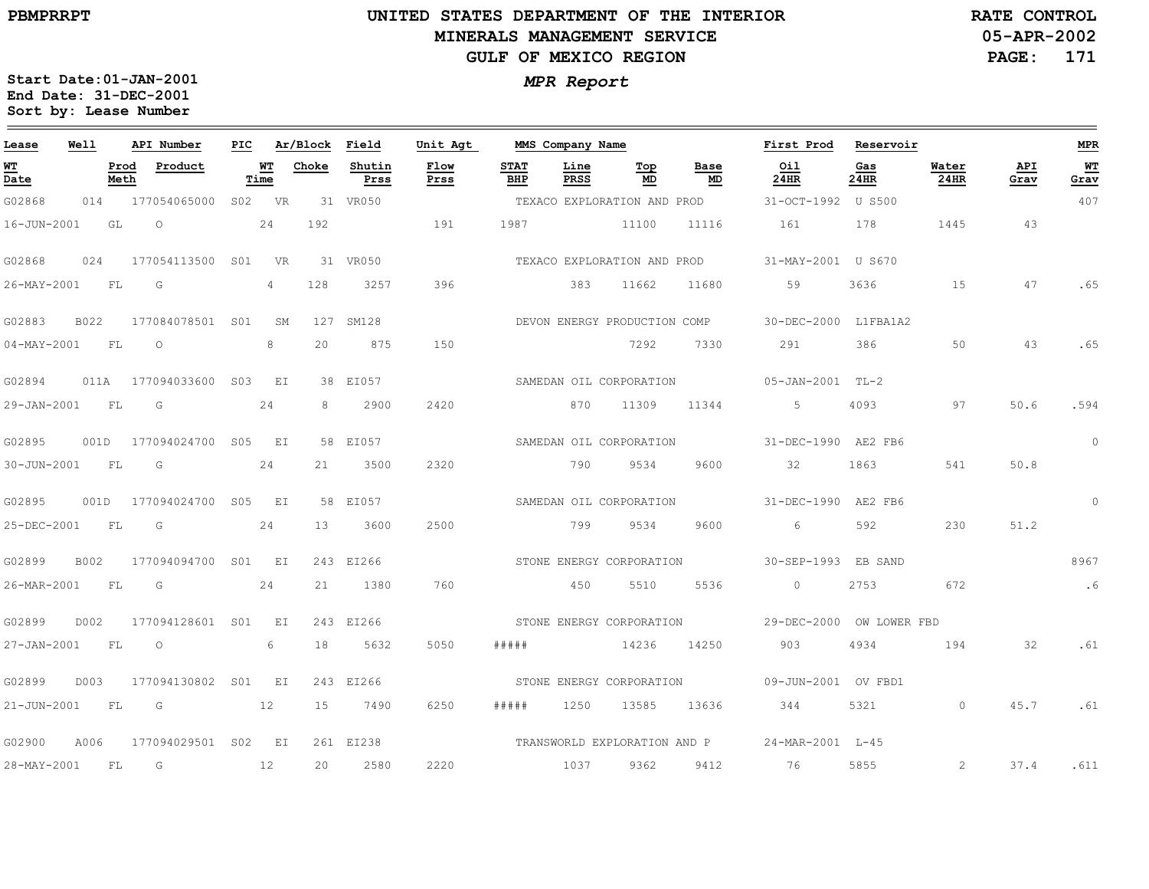# **UNITED STATES DEPARTMENT OF THE INTERIOR MINERALS MANAGEMENT SERVICEGULF OF MEXICO REGION**

**05-APR-2002RATE CONTROL**

**PAGE: 171**

| Lease             | Well |              | API Number               | PIC |                | Ar/Block Field  |                | Unit Agt     |                    | MMS Company Name |                              |                             | First Prod                                    | Reservoir   |               |             | <b>MPR</b> |
|-------------------|------|--------------|--------------------------|-----|----------------|-----------------|----------------|--------------|--------------------|------------------|------------------------------|-----------------------------|-----------------------------------------------|-------------|---------------|-------------|------------|
| WТ<br>Date        |      | Prod<br>Meth | Product                  |     | WT<br>Time     | Choke           | Shutin<br>Prss | Flow<br>Prss | <b>STAT</b><br>BHP | Line<br>PRSS     | Тор<br>MD                    | Base<br>MD                  | Oil<br>24HR                                   | Gas<br>24HR | Water<br>24HR | API<br>Grav | WT<br>Grav |
| G02868            |      |              | 014 177054065000 S02 VR  |     |                |                 | 31 VR050       |              |                    |                  | TEXACO EXPLORATION AND PROD  |                             | 31-OCT-1992 U S500                            |             |               |             | 407        |
| 16-JUN-2001       |      | GL           | $\circ$                  |     | 24             | 192             |                | 191          | 1987               |                  | 11100                        | 11116                       | 161                                           | 178         | 1445          | 43          |            |
| G02868            | 024  |              | 177054113500 SO1 VR      |     |                |                 | 31 VR050       |              |                    |                  |                              | TEXACO EXPLORATION AND PROD | 31-MAY-2001 U S670                            |             |               |             |            |
| 26-MAY-2001       |      | FL.          | G                        |     | $\overline{4}$ | 128             | 3257           | 396          |                    | 383              | 11662                        | 11680                       | 59                                            | 3636        | 1.5           | 47          | .65        |
| G02883            | B022 |              | 177084078501 S01         |     | SM             |                 | 127 SM128      |              |                    |                  | DEVON ENERGY PRODUCTION COMP |                             | 30-DEC-2000 L1FBA1A2                          |             |               |             |            |
| $04 - MAX - 2001$ |      | FL           | $\circ$                  |     | 8              | 20              | 875            | 150          |                    |                  | 7292                         | 7330                        | 291                                           | 386         | 50            | 43          | .65        |
| G02894            |      |              | 011A 177094033600 S03 EI |     |                |                 | 38 EI057       |              |                    |                  | SAMEDAN OIL CORPORATION      |                             | 05-JAN-2001 TL-2                              |             |               |             |            |
| 29-JAN-2001 FL    |      |              | G                        |     | 24             | 8               | 2900           | 2420         |                    |                  | 870 11309                    | 11344                       | $5 -$                                         | 4093        | 97            | 50.6        | .594       |
| G02895            |      |              | 001D 177094024700 S05 EI |     |                |                 | 58 EI057       |              |                    |                  | SAMEDAN OIL CORPORATION      |                             | 31-DEC-1990 AE2 FB6                           |             |               |             | $\circ$    |
| 30-JUN-2001       |      | <b>FL</b>    | $\overline{G}$           |     | 24             | 21              | 3500           | 2320         |                    | 790              | 9534                         | 9600                        | 32                                            | 1863        | 541           | 50.8        |            |
| G02895            |      |              | 001D 177094024700 S05 EI |     |                |                 | 58 EI057       |              |                    |                  | SAMEDAN OIL CORPORATION      |                             | 31-DEC-1990 AE2 FB6                           |             |               |             | $\circ$    |
| 25-DEC-2001 FL    |      |              | $\overline{\mathsf{G}}$  |     | 24             | 13 <sup>1</sup> | 3600           | 2500         |                    | 799              | 9534                         | 9600                        | 6                                             | 592         | 230           | 51.2        |            |
| G02899            | B002 |              | 177094094700 S01 EI      |     |                |                 | 243 EI266      |              |                    |                  | STONE ENERGY CORPORATION     |                             | 30-SEP-1993 EB SAND                           |             |               |             | 8967       |
| 26-MAR-2001       |      | FL           | $\overline{G}$           |     | 24             | 21              | 1380           | 760          |                    | 450              | 5510                         | 5536                        | $\sim$ 0                                      | 2753        | 672           |             | $\ddotsc$  |
| G02899            | D002 |              | 177094128601 S01 EI      |     |                |                 | 243 EI266      |              |                    |                  |                              |                             |                                               |             |               |             |            |
| 27-JAN-2001 FL    |      |              | $\overline{O}$           |     | 6              | 18              | 5632           | 5050         | # # # # #          |                  | 14236                        | 14250                       | 903                                           | 4934        | 194           | 32          | .61        |
| G02899            | D003 |              | 177094130802 S01 EI      |     |                |                 | 243 EI266      |              |                    |                  | STONE ENERGY CORPORATION     |                             | 09-JUN-2001 OV FBD1                           |             |               |             |            |
| 21-JUN-2001 FL    |      |              | 12<br>$\overline{G}$     |     |                | 15              | 7490           | 6250         | # # # # #          | 1250             | 13585                        | 13636                       | 344                                           | 5321        | $\Omega$      | 45.7        | .61        |
| G02900            | A006 |              | 177094029501 S02 EI      |     |                |                 | 261 EI238      |              |                    |                  |                              |                             | TRANSWORLD EXPLORATION AND P 24-MAR-2001 L-45 |             |               |             |            |
| 28-MAY-2001       |      | FL           | $\overline{G}$           |     | 12             | 20              | 2580           | 2220         |                    | 1037             | 9362                         |                             | 9412 76                                       | 5855        | 2             | 37.4        | .611       |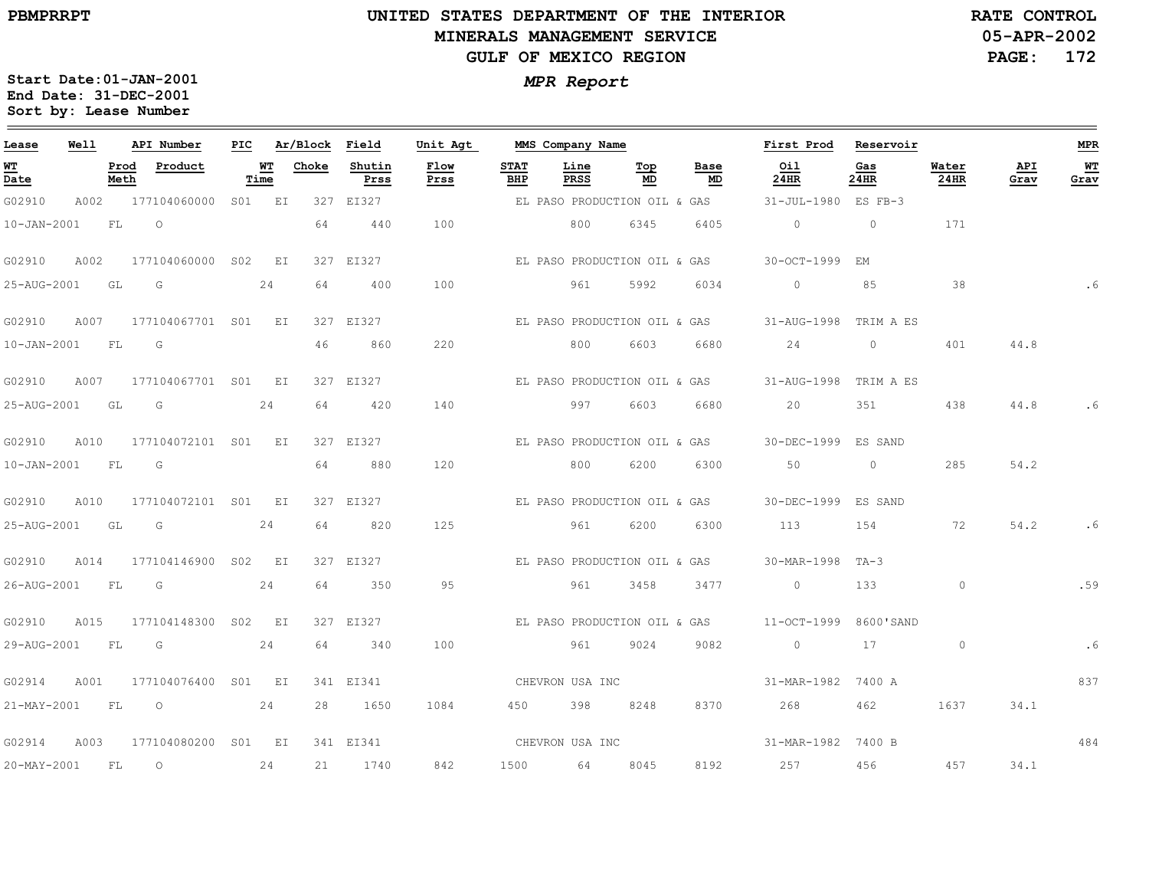# **UNITED STATES DEPARTMENT OF THE INTERIOR MINERALS MANAGEMENT SERVICEGULF OF MEXICO REGION**

**05-APR-2002PAGE: 172 RATE CONTROL**

| Lease                          | Well |              | API Number          | PIC |            | Ar/Block | Field          | Unit Agt     |                    | MMS Company Name             |           |            | First Prod            | Reservoir   |               |             | <b>MPR</b> |
|--------------------------------|------|--------------|---------------------|-----|------------|----------|----------------|--------------|--------------------|------------------------------|-----------|------------|-----------------------|-------------|---------------|-------------|------------|
| WТ<br>$\overline{\text{Date}}$ |      | Prod<br>Meth | Product             |     | WТ<br>Time | Choke    | Shutin<br>Prss | Flow<br>Prss | <b>STAT</b><br>BHP | Line<br>PRSS                 | Top<br>MD | Base<br>MD | Oil<br>24HR           | Gas<br>24HR | Water<br>24HR | API<br>Grav | WT<br>Grav |
| G02910                         | A002 |              | 177104060000 S01 EI |     |            |          | 327 EI327      |              |                    | EL PASO PRODUCTION OIL & GAS |           |            | 31-JUL-1980 ES FB-3   |             |               |             |            |
| $10 - JAN - 2001$              |      | FL           | $\circ$             |     |            | 64       | 440            | 100          |                    | 800                          | 6345      | 6405       | $\circ$               | $\circ$     | 171           |             |            |
| G02910                         | A002 |              | 177104060000 S02 EI |     |            |          | 327 EI327      |              |                    | EL PASO PRODUCTION OIL & GAS |           |            | 30-OCT-1999           | EM          |               |             |            |
| 25-AUG-2001                    |      | GL           | G                   |     | 24         | 64       | 400            | 100          |                    | 961                          | 5992      | 6034       | $\circ$               | 85          | 38            |             |            |
| G02910                         | A007 |              | 177104067701 S01 EI |     |            |          | 327 EI327      |              |                    | EL PASO PRODUCTION OIL & GAS |           |            | 31-AUG-1998 TRIM A ES |             |               |             |            |
| $10 - JAN - 2001$              |      | <b>FL</b>    | G                   |     |            | 46       | 860            | 220          |                    | 800                          | 6603      | 6680       | 24                    | $\circ$     | 401           | 44.8        |            |
| G02910                         | A007 |              | 177104067701 S01    |     | EI         |          | 327 EI327      |              |                    | EL PASO PRODUCTION OIL & GAS |           |            | 31-AUG-1998           | TRIM A ES   |               |             |            |
| 25-AUG-2001                    |      | GL           | G                   |     | 24         | 64       | 420            | 140          |                    | 997                          | 6603      | 6680       | 20                    | 351         | 438           | 44.8        | . 6        |
| G02910                         | A010 |              | 177104072101 S01    |     | E I        |          | 327 EI327      |              |                    | EL PASO PRODUCTION OIL & GAS |           |            | 30-DEC-1999 ES SAND   |             |               |             |            |
| $10 - JAN - 2001$              |      | <b>FL</b>    | G                   |     |            | 64       | 880            | 120          |                    | 800                          | 6200      | 6300       | 50                    | $\circ$     | 285           | 54.2        |            |
| G02910                         | A010 |              | 177104072101 S01 EI |     |            |          | 327 EI327      |              |                    | EL PASO PRODUCTION OIL & GAS |           |            | 30-DEC-1999 ES SAND   |             |               |             |            |
| 25-AUG-2001                    |      | GL           | G                   |     | 24         | 64       | 820            | 125          |                    | 961                          | 6200      | 6300       | 113                   | 154         | 72            | 54.2        | . 6        |
| G02910                         | A014 |              | 177104146900 SO2    |     | EI         |          | 327 EI327      |              |                    | EL PASO PRODUCTION OIL & GAS |           |            | 30-MAR-1998 TA-3      |             |               |             |            |
| 26-AUG-2001                    |      | <b>FL</b>    | $\overline{G}$      |     | 24         | 64       | 350            | 95           |                    | 961                          | 3458      | 3477       | $\circ$               | 133         | $\circ$       |             | .59        |
| G02910                         | A015 |              | 177104148300 S02 EI |     |            |          | 327 EI327      |              |                    | EL PASO PRODUCTION OIL & GAS |           |            | 11-OCT-1999           | 8600'SAND   |               |             |            |
| 29-AUG-2001                    |      | FL           | G                   |     | 24         | 64       | 340            | 100          |                    | 961                          | 9024      | 9082       | $\circ$               | 17          | $\circ$       |             | .6         |
| G02914                         | A001 |              | 177104076400 S01 EI |     |            |          | 341 EI341      |              |                    | CHEVRON USA INC              |           |            | 31-MAR-1982           | 7400 A      |               |             | 837        |
| 21-MAY-2001                    |      | FL           | $\overline{O}$      |     | 24         | 28       | 1650           | 1084         |                    | 450 398                      | 8248      | 8370       | 268 7                 | 462         | 1637          | 34.1        |            |
| G02914                         | A003 |              | 177104080200 S01 EI |     |            |          | 341 EI341      |              |                    | CHEVRON USA INC              |           |            | 31-MAR-1982 7400 B    |             |               |             | 484        |
| $20 - MAX - 2001$              |      | FL           | $\circ$             |     | 24         | 21       | 1740           | 842          | 1500               | 64                           | 8045      | 8192       | 257                   | 456         | 457           | 34.1        |            |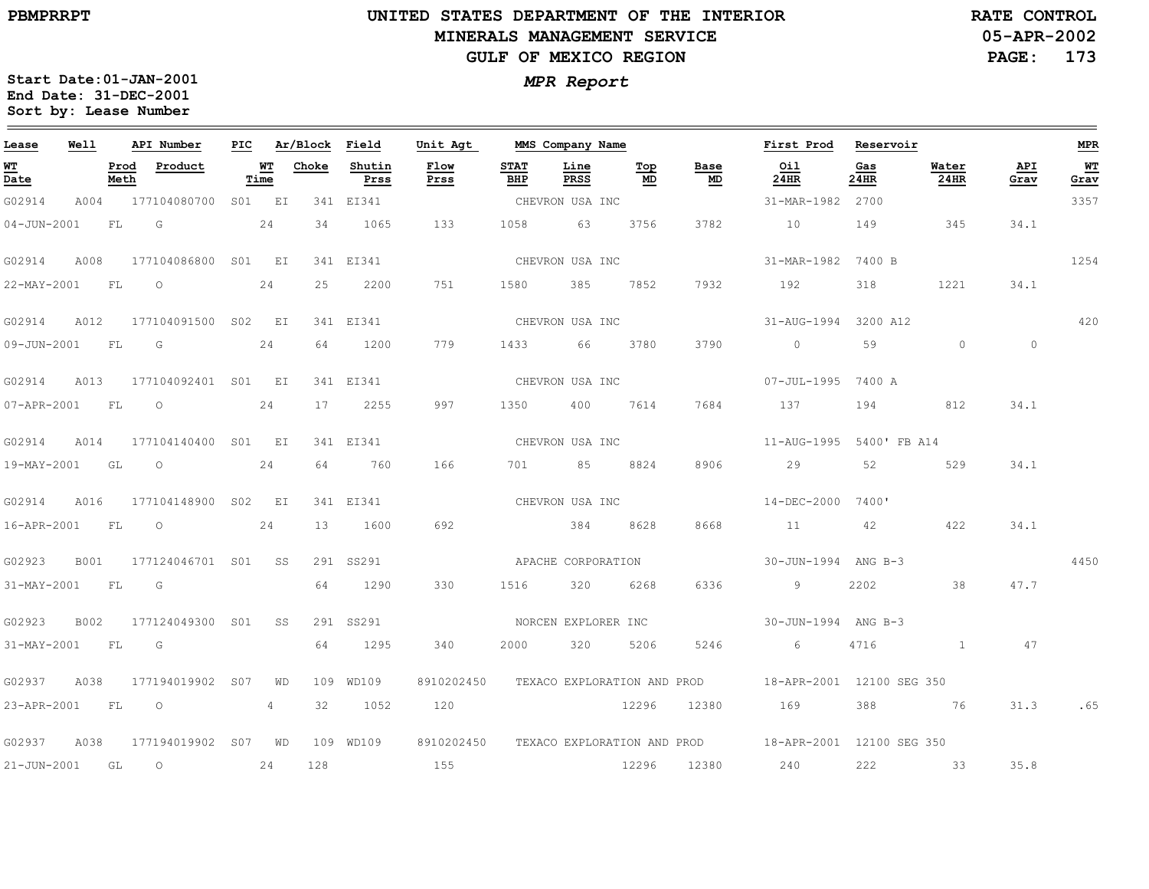**05-APR-2002 RATE CONTROL**

**PAGE: 173**

| Lease             | Well |              | API Number               | PIC |            | Ar/Block | Field          | Unit Agt     |                    | MMS Company Name            |           |                                | First Prod                                            | Reservoir   |               |                | MPR        |
|-------------------|------|--------------|--------------------------|-----|------------|----------|----------------|--------------|--------------------|-----------------------------|-----------|--------------------------------|-------------------------------------------------------|-------------|---------------|----------------|------------|
| <b>WT</b><br>Date |      | Prod<br>Meth | Product                  |     | WT<br>Time | Choke    | Shutin<br>Prss | Flow<br>Prss | <b>STAT</b><br>BHP | Line<br><b>PRSS</b>         | Top<br>MD | Base<br>$\mathop{\mathsf{MD}}$ | 0i1<br>24HR                                           | Gas<br>24HR | Water<br>24HR | API<br>Grav    | WT<br>Grav |
| G02914            | A004 |              | 177104080700             |     | S01 EI     |          | 341 EI341      |              |                    | CHEVRON USA INC             |           |                                | 31-MAR-1982 2700                                      |             |               |                | 3357       |
| $04 - JUN - 2001$ |      | FL           | G                        |     | 24         | 34       | 1065           | 133          | 1058               | 63                          | 3756      | 3782                           | 10                                                    | 149         | 345           | 34.1           |            |
| G02914            | A008 |              | 177104086800 S01 EI      |     |            |          | 341 EI341      |              |                    | CHEVRON USA INC             |           |                                | 31-MAR-1982 7400 B                                    |             |               |                | 1254       |
| 22-MAY-2001 FL    |      |              | $\circ$                  |     | 24         | 25       | 2200           | 751          | 1580               | 385                         | 7852      | 7932                           | 192                                                   | 318         | 1221          | 34.1           |            |
| G02914            | A012 |              | 177104091500 S02 EI      |     |            |          | 341 EI341      |              |                    | CHEVRON USA INC             |           |                                | 31-AUG-1994 3200 A12                                  |             |               |                | 420        |
| 09-JUN-2001 FL    |      |              | G                        |     | 24         | 64       | 1200           | 779          | 1433               | 66                          | 3780      | 3790                           | $\overline{0}$                                        | 59          | $\circ$       | $\overline{0}$ |            |
| G02914            | A013 |              | 177104092401 S01 EI      |     |            |          | 341 EI341      |              |                    | CHEVRON USA INC             |           |                                | 07-JUL-1995 7400 A                                    |             |               |                |            |
| 07-APR-2001 FL    |      |              | $\overline{\phantom{0}}$ |     | 24         | 17       | 2255           | 997          | 1350               | 400                         | 7614      | 7684                           | 137                                                   | 194         | 812           | 34.1           |            |
| G02914            | A014 |              | 177104140400 S01 EI      |     |            |          | 341 EI341      |              |                    | CHEVRON USA INC             |           |                                | 11-AUG-1995 5400' FB A14                              |             |               |                |            |
| 19-MAY-2001 GL    |      |              | $\circ$                  |     | 24         | 64       | 760            | 166          | 701 — 101          | 85                          | 8824      | 8906                           | 29                                                    | 52          | 529           | 34.1           |            |
| G02914            | A016 |              | 177104148900 S02 EI      |     |            |          | 341 EI341      |              |                    | CHEVRON USA INC             |           |                                | 14-DEC-2000 7400'                                     |             |               |                |            |
| 16-APR-2001       |      | <b>FL</b>    | $\circ$                  |     | 24         | 13       | 1600           | 692          |                    | 384                         | 8628      | 8668                           | 11                                                    | 42          | 422           | 34.1           |            |
| G02923            | B001 |              | 177124046701 S01         |     | SS         |          | 291 SS291      |              |                    | APACHE CORPORATION          |           |                                | 30-JUN-1994 ANG B-3                                   |             |               |                | 4450       |
| 31-MAY-2001 FL    |      |              | G                        |     |            | 64       | 1290           | 330          | 1516               | 320                         | 6268      | 6336                           | 9                                                     | 2202        | 38            | 47.7           |            |
| G02923            | B002 |              | 177124049300 S01         |     | SS         |          | 291 SS291      |              |                    | NORCEN EXPLORER INC         |           |                                | 30-JUN-1994 ANG B-3                                   |             |               |                |            |
| 31-MAY-2001       |      | <b>FL</b>    | G                        |     |            | 64       | 1295           | 340          | 2000               | 320                         | 5206      | 5246                           | 6                                                     | 4716        | $\mathbf{1}$  | 47             |            |
| G02937            | A038 |              | 177194019902 S07         |     | WD         |          | 109 WD109      | 8910202450   |                    | TEXACO EXPLORATION AND PROD |           |                                | 18-APR-2001 12100 SEG 350                             |             |               |                |            |
| 23-APR-2001       |      | <b>FL</b>    | $\overline{\phantom{0}}$ |     | 4          | 32       | 1052           | 120          |                    |                             | 12296     | 12380                          | 169                                                   | 388         | 76            | 31.3           | .65        |
| G02937            | A038 |              | 177194019902 S07 WD      |     |            |          | 109 WD109      | 8910202450   |                    |                             |           |                                | TEXACO EXPLORATION AND PROD 18-APR-2001 12100 SEG 350 |             |               |                |            |
| $21 - JUN - 2001$ |      | GL           | $\circ$                  |     | 24         | 128      |                | 155          |                    |                             | 12296     | 12380                          | 240                                                   | 222         | 33            | 35.8           |            |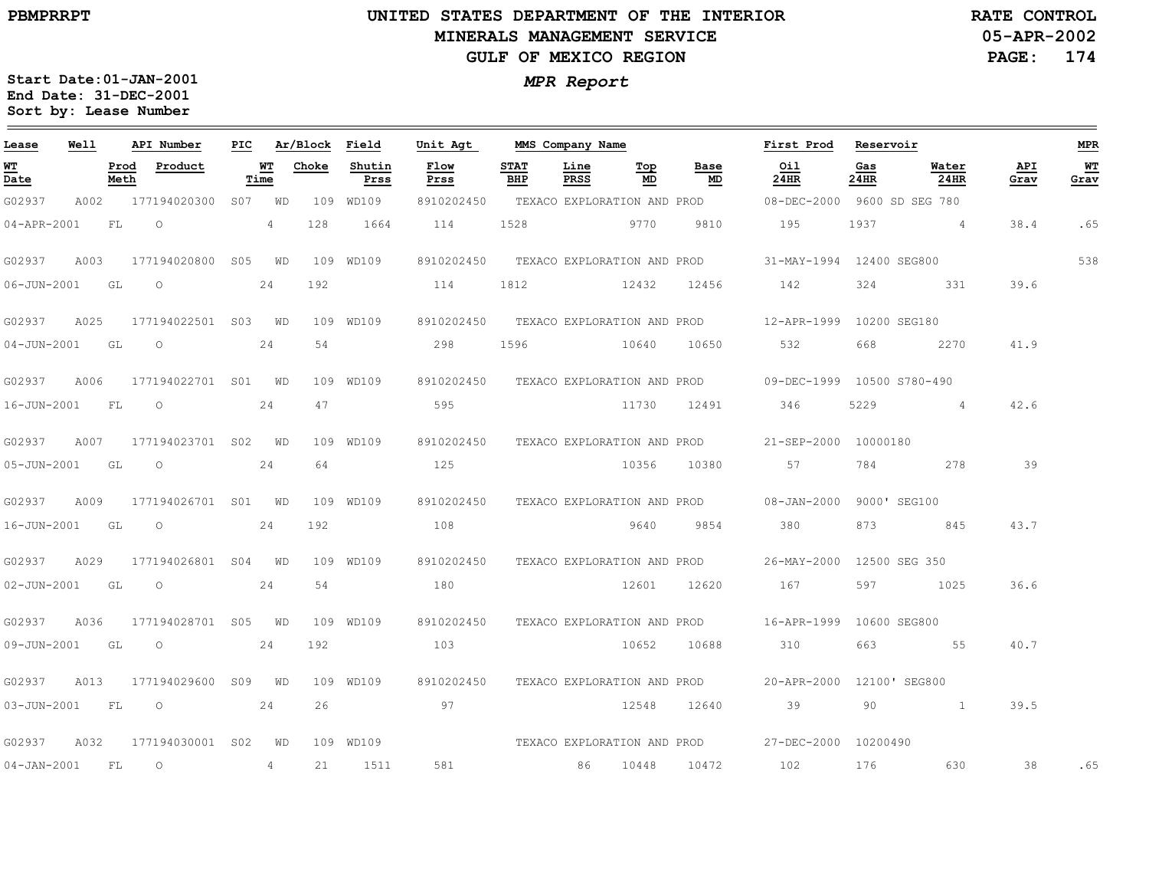**05-APR-2002RATE CONTROL**

**PAGE: 174**

| Lease             | Well |              | API Number          | PIC.            |            | Ar/Block | Field          | Unit Agt                    |                    | MMS Company Name            |           |                             | First Prod                 | Reservoir    |                 |             | <b>MPR</b>             |
|-------------------|------|--------------|---------------------|-----------------|------------|----------|----------------|-----------------------------|--------------------|-----------------------------|-----------|-----------------------------|----------------------------|--------------|-----------------|-------------|------------------------|
| <u>WT</u><br>Date |      | Prod<br>Meth | Product             |                 | WТ<br>Time | Choke    | Shutin<br>Prss | Flow<br>Prss                | <b>STAT</b><br>BHP | Line<br>PRSS                | Top<br>MD | Base<br>MD                  | Oil<br>24HR                | Gas<br>24HR  | Water<br>24HR   | API<br>Grav | W <sub>T</sub><br>Grav |
| G02937            | A002 |              | 177194020300        | S <sub>07</sub> | WD         |          | 109 WD109      | 8910202450                  |                    |                             |           | TEXACO EXPLORATION AND PROD | 08-DEC-2000                |              | 9600 SD SEG 780 |             |                        |
| 04-APR-2001       |      | FL           | $\circ$             |                 | 4          | 128      | 1664           | 114                         | 1528               |                             | 9770      | 9810                        | 195                        | 1937         | $\overline{4}$  | 38.4        | .65                    |
| G02937            | A003 |              | 177194020800        | S <sub>05</sub> | WD         |          | 109 WD109      | 8910202450                  |                    | TEXACO EXPLORATION AND PROD |           |                             | 31-MAY-1994 12400 SEG800   |              |                 |             | 538                    |
| $06 - JUN - 2001$ |      | GL           | $\circ$             |                 | 24         | 192      |                | 114                         | 1812               |                             | 12432     | 12456                       | 142                        | 324          | 331             | 39.6        |                        |
| G02937            | A025 |              | 177194022501 S03    |                 | WD         |          | 109 WD109      | 8910202450                  |                    |                             |           | TEXACO EXPLORATION AND PROD | 12-APR-1999 10200 SEG180   |              |                 |             |                        |
| 04-JUN-2001       |      | GL           | $\circ$             |                 | 24         | 54       |                | 298                         | 1596               |                             | 10640     | 10650                       | 532                        | 668          | 2270            | 41.9        |                        |
| G02937            | A006 |              | 177194022701 S01    |                 | WD         |          | 109 WD109      | 8910202450                  |                    | TEXACO EXPLORATION AND PROD |           |                             | 09-DEC-1999 10500 S780-490 |              |                 |             |                        |
| 16-JUN-2001       |      | FL           | $\circ$             |                 | 24         | 47       |                | 595                         |                    |                             | 11730     | 12491                       | 346                        | 5229         | $\overline{4}$  | 42.6        |                        |
| G02937            | A007 |              | 177194023701 S02    |                 | WD         |          | 109 WD109      | 8910202450                  |                    |                             |           | TEXACO EXPLORATION AND PROD | 21-SEP-2000 10000180       |              |                 |             |                        |
| 05-JUN-2001       |      | GL           | $\circ$             |                 | 24         | 64       |                | 125                         |                    |                             | 10356     | 10380                       | 57                         | 784          | 278             | 39          |                        |
| G02937            | A009 |              | 177194026701 S01    |                 | WD         |          | 109 WD109      | 8910202450                  |                    | TEXACO EXPLORATION AND PROD |           |                             | 08-JAN-2000                |              | 9000' SEG100    |             |                        |
| 16-JUN-2001       |      | GL           | $\circ$             |                 | 24         | 192      |                | 108                         |                    |                             | 9640      | 9854                        | 380                        | 873          | 845             | 43.7        |                        |
| G02937            | A029 |              | 177194026801 S04    |                 | WD         |          | 109 WD109      | 8910202450                  |                    |                             |           | TEXACO EXPLORATION AND PROD | 26-MAY-2000                |              | 12500 SEG 350   |             |                        |
| $02 - JUN - 2001$ |      | GL           | $\circ$             |                 | 24         | 54       |                | 180                         |                    |                             | 12601     | 12620                       | 167                        | 597          | 1025            | 36.6        |                        |
| G02937            | A036 |              | 177194028701 S05    |                 | WD         |          | 109 WD109      | 8910202450                  |                    | TEXACO EXPLORATION AND PROD |           |                             | 16-APR-1999                | 10600 SEG800 |                 |             |                        |
| 09-JUN-2001       |      | GL           | $\circ$             |                 | 24         | 192      |                | 103                         |                    |                             | 10652     | 10688                       | 310                        | 663          | 55              | 40.7        |                        |
| G02937            | A013 |              | 177194029600        | S09             | WD         |          | 109 WD109      | 8910202450                  |                    | TEXACO EXPLORATION AND PROD |           |                             | 20-APR-2000                |              | 12100' SEG800   |             |                        |
| $03 - JUN - 2001$ |      | FL           | $\circ$             |                 | 24         | 26       |                | 97                          |                    |                             | 12548     | 12640                       | 39                         | 90           | $\mathbf{1}$    | 39.5        |                        |
| G02937            | A032 |              | 177194030001 S02    |                 | WD         |          | 109 WD109      | TEXACO EXPLORATION AND PROD |                    |                             |           |                             | 27-DEC-2000 10200490       |              |                 |             |                        |
| $04 - JAN - 2001$ |      | FL           | $\circlearrowright$ |                 | 4          | 21       | 1511           | 581                         |                    | 86                          | 10448     | 10472                       | 102                        | 176          | 630             | 38          | .65                    |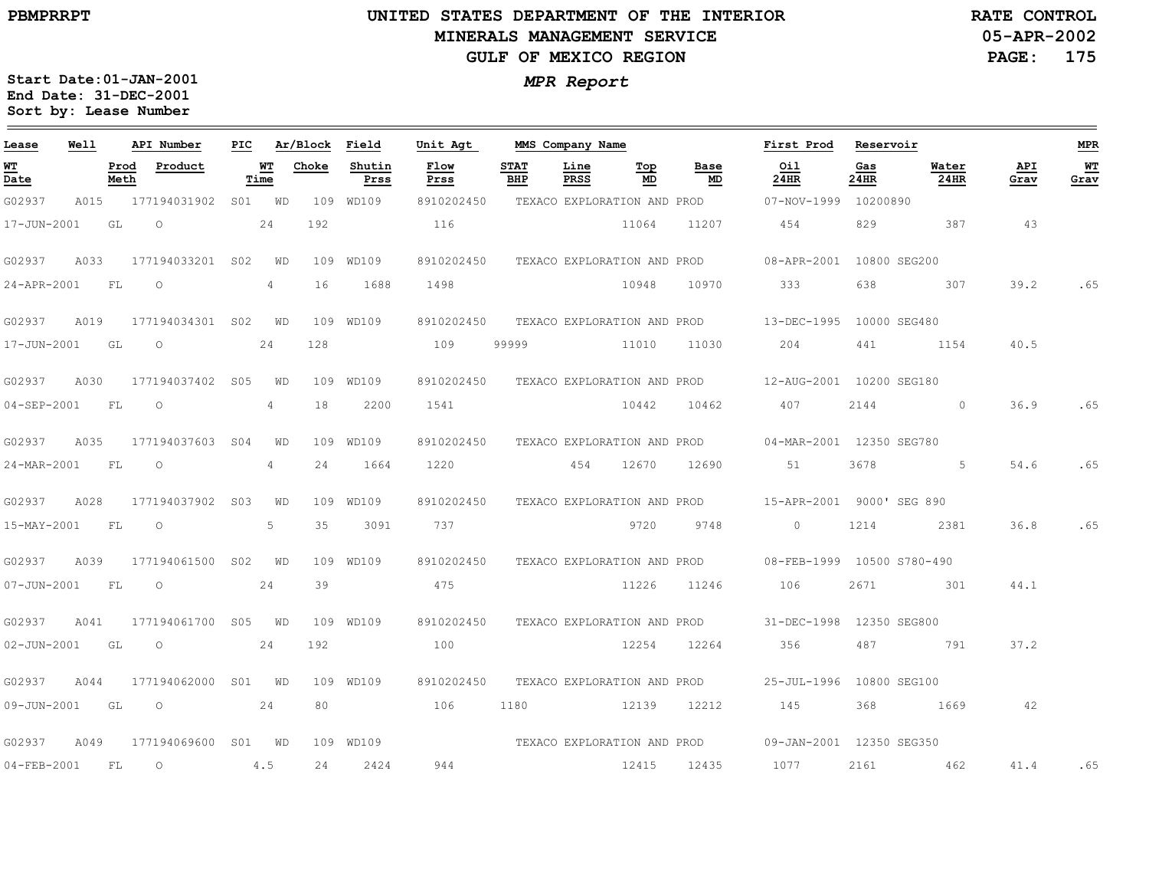**05-APR-2002PAGE: 175 RATE CONTROL**

| Lease             | Well |              | API Number       | PIC             |            | Ar/Block Field |                | Unit Agt                    |                    | MMS Company Name            |           |                             | First Prod                 | Reservoir    |               |             | <b>MPR</b>        |
|-------------------|------|--------------|------------------|-----------------|------------|----------------|----------------|-----------------------------|--------------------|-----------------------------|-----------|-----------------------------|----------------------------|--------------|---------------|-------------|-------------------|
| WТ<br>Date        |      | Prod<br>Meth | Product          |                 | WТ<br>Time | Choke          | Shutin<br>Prss | Flow<br>Prss                | <b>STAT</b><br>BHP | Line<br><b>PRSS</b>         | Top<br>MD | Base<br>MD                  | Oil<br>24HR                | Gas<br>24HR  | Water<br>24HR | API<br>Grav | <b>WT</b><br>Grav |
| G02937            | A015 |              | 177194031902     |                 | S01 WD     |                | 109 WD109      | 8910202450                  |                    |                             |           | TEXACO EXPLORATION AND PROD | 07-NOV-1999 10200890       |              |               |             |                   |
| 17-JUN-2001       |      | GL           | $\circ$          |                 | 24         | 192            |                | 116                         |                    |                             | 11064     | 11207                       | 454                        | 829          | 387           | 43          |                   |
| G02937            | A033 |              | 177194033201 S02 |                 | WD         |                | 109 WD109      | 8910202450                  |                    | TEXACO EXPLORATION AND PROD |           |                             | 08-APR-2001                | 10800 SEG200 |               |             |                   |
| 24-APR-2001       |      | <b>FL</b>    | $\circ$          |                 | 4          | 16             | 1688           | 1498                        |                    |                             | 10948     | 10970                       | 333                        | 638          | 307           | 39.2        | .65               |
| G02937            | A019 |              | 177194034301 S02 |                 | WD         |                | 109 WD109      | 8910202450                  |                    | TEXACO EXPLORATION AND PROD |           |                             | 13-DEC-1995                | 10000 SEG480 |               |             |                   |
| 17-JUN-2001       |      | GL           | $\circ$          |                 | 24         | 128            |                | 109                         | 99999              |                             | 11010     | 11030                       | 204                        | 441          | 1154          | 40.5        |                   |
| G02937            | A030 |              | 177194037402 S05 |                 | WD         |                | 109 WD109      | 8910202450                  |                    | TEXACO EXPLORATION AND PROD |           |                             | 12-AUG-2001 10200 SEG180   |              |               |             |                   |
| $04 - SEP - 2001$ |      | FL           | $\circ$          |                 | 4          | 18             | 2200           | 1541                        |                    |                             | 10442     | 10462                       | 407                        | 2144         | $\circ$       | 36.9        | .65               |
| G02937            | A035 |              | 177194037603     | S <sub>04</sub> | WD         | 109            | WD109          | 8910202450                  |                    | TEXACO EXPLORATION AND PROD |           |                             | 04-MAR-2001 12350 SEG780   |              |               |             |                   |
| 24-MAR-2001       |      | FL           | $\circ$          |                 | 4          | 24             | 1664           | 1220                        |                    | 454                         | 12670     | 12690                       | 51                         | 3678         | 5             | 54.6        | .65               |
| G02937            | A028 |              | 177194037902     | S03             | WD         |                | 109 WD109      | 8910202450                  |                    | TEXACO EXPLORATION AND PROD |           |                             | 15-APR-2001 9000' SEG 890  |              |               |             |                   |
| 15-MAY-2001       |      | FL           | $\circ$          |                 | 5          | 35             | 3091           | 737                         |                    |                             | 9720      | 9748                        | $\circ$                    | 1214         | 2381          | 36.8        | .65               |
| G02937            | A039 |              | 177194061500     | S <sub>02</sub> | WD         | 109            | WD109          | 8910202450                  |                    | TEXACO EXPLORATION AND PROD |           |                             | 08-FEB-1999 10500 S780-490 |              |               |             |                   |
| $07 - JUN - 2001$ |      | FL           | $\circ$          |                 | 24         | 39             |                | 475                         |                    |                             | 11226     | 11246                       | 106                        | 2671         | 301           | 44.1        |                   |
| G02937            | A041 |              | 177194061700 S05 |                 | WD         |                | 109 WD109      | 8910202450                  |                    | TEXACO EXPLORATION AND PROD |           |                             | 31-DEC-1998                | 12350 SEG800 |               |             |                   |
| $02 - JUN - 2001$ |      | GL           | $\circ$          |                 | 24         | 192            |                | 100                         |                    |                             | 12254     | 12264                       | 356                        | 487          | 791           | 37.2        |                   |
| G02937            | A044 |              | 177194062000     | S01             | WD         |                | 109 WD109      | 8910202450                  |                    | TEXACO EXPLORATION AND PROD |           |                             | 25-JUL-1996                | 10800 SEG100 |               |             |                   |
| 09-JUN-2001       |      | GL           | $\circ$          |                 | 24         | 80             |                | 106                         | 1180               |                             | 12139     | 12212                       | 145                        | 368          | 1669          | 42          |                   |
| G02937            | A049 |              | 177194069600     |                 | S01 WD     |                | 109 WD109      | TEXACO EXPLORATION AND PROD |                    |                             |           |                             | 09-JAN-2001 12350 SEG350   |              |               |             |                   |
| $04 - FEB - 2001$ |      | FL           | $\circ$          |                 | 4.5        | 24             | 2424           | 944                         |                    |                             | 12415     | 12435                       | 1077                       | 2161         | 462           | 41.4        | .65               |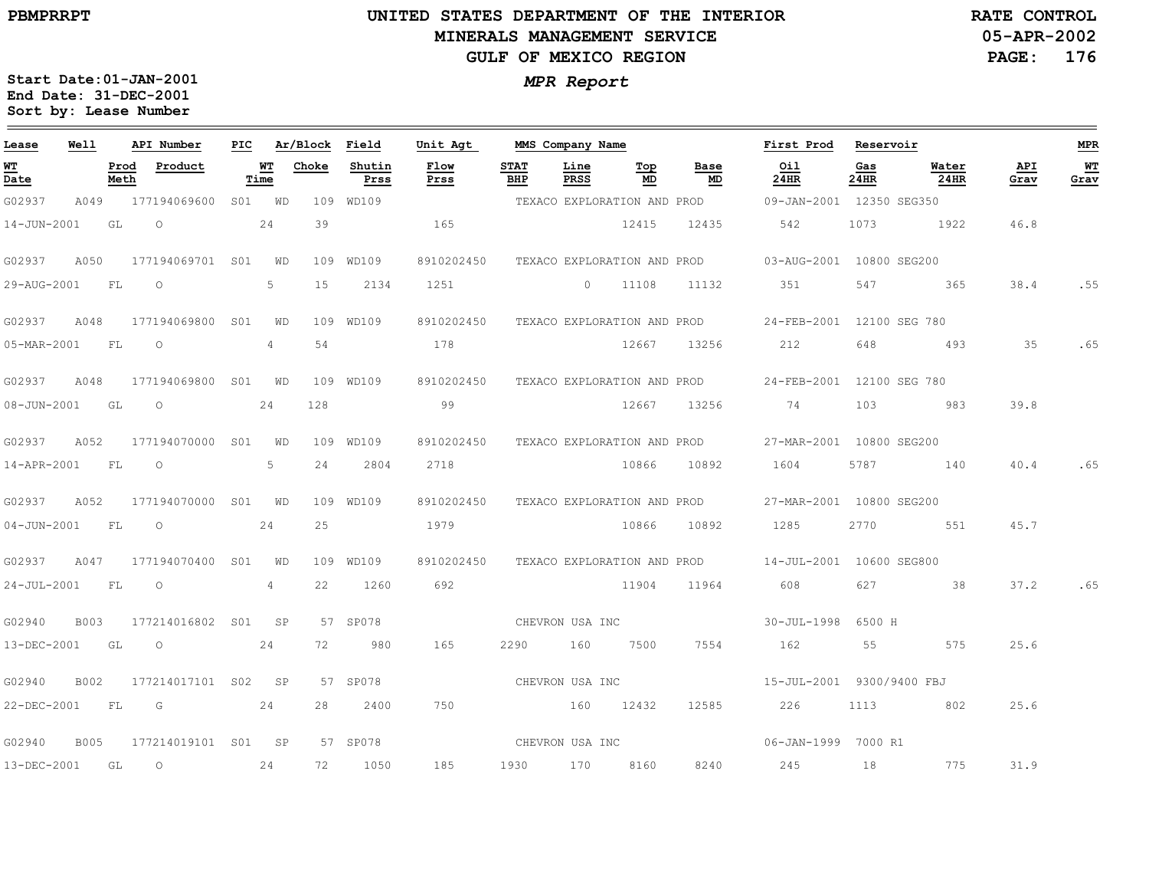# **UNITED STATES DEPARTMENT OF THE INTERIOR MINERALS MANAGEMENT SERVICEGULF OF MEXICO REGION**

**05-APR-2002PAGE: 176 RATE CONTROL**

| Lease             | Well        |              | API Number          | PIC |                | Ar/Block Field |                | Unit Agt     |                    | MMS Company Name |                             |                             | First Prod                                           | Reservoir   |               |             | MPR        |
|-------------------|-------------|--------------|---------------------|-----|----------------|----------------|----------------|--------------|--------------------|------------------|-----------------------------|-----------------------------|------------------------------------------------------|-------------|---------------|-------------|------------|
| WT<br>Date        |             | Prod<br>Meth | Product             |     | WT<br>Time     | Choke          | Shutin<br>Prss | Flow<br>Prss | <b>STAT</b><br>BHP | Line<br>PRSS     | Тор<br>MD                   | Base<br>MD                  | Oil<br>24HR                                          | Gas<br>24HR | Water<br>24HR | API<br>Grav | WT<br>Grav |
| G02937            | A049        |              | 177194069600        |     | S01 WD         |                | 109 WD109      |              |                    |                  |                             |                             | TEXACO EXPLORATION AND PROD 09-JAN-2001 12350 SEG350 |             |               |             |            |
| 14-JUN-2001       |             | GL           | $\circ$             |     | 24             | 39             |                | 165          |                    |                  | 12415                       | 12435                       | 542                                                  | 1073        | 1922          | 46.8        |            |
| G02937            | A050        |              | 177194069701 S01    |     | <b>WD</b>      |                | 109 WD109      | 8910202450   |                    |                  |                             |                             | TEXACO EXPLORATION AND PROD 03-AUG-2001 10800 SEG200 |             |               |             |            |
| 29-AUG-2001       |             | <b>FL</b>    | $\circ$             |     | 5              | 15             | 2134           | 1251         |                    | $\Omega$         | 11108                       | 11132                       | 351                                                  | 547         | 365           | 38.4        | .55        |
| G02937            | A048        |              | 177194069800        | S01 | WD             |                | 109 WD109      | 8910202450   |                    |                  | TEXACO EXPLORATION AND PROD |                             | 24-FEB-2001 12100 SEG 780                            |             |               |             |            |
| 05-MAR-2001       |             | FL           | $\overline{O}$      |     | $\overline{4}$ | 54             |                | 178          |                    |                  | 12667                       | 13256                       | 212                                                  | 648         | 493           | 35          | .65        |
| G02937            | A048        |              | 177194069800 S01 WD |     |                |                | 109 WD109      | 8910202450   |                    |                  |                             | TEXACO EXPLORATION AND PROD | 24-FEB-2001 12100 SEG 780                            |             |               |             |            |
| $08 - JUN - 2001$ |             | GL           | $\circ$             |     | 24             | 128            |                | 99           |                    |                  | 12667                       | 13256                       | 74                                                   | 103         | 983           | 39.8        |            |
| G02937            | A052        |              | 177194070000 S01    |     | WD             |                | 109 WD109      | 8910202450   |                    |                  | TEXACO EXPLORATION AND PROD |                             | 27-MAR-2001 10800 SEG200                             |             |               |             |            |
| 14-APR-2001       |             | FL           | $\overline{O}$      |     | 5              | 24             | 2804           | 2718         |                    |                  | 10866                       | 10892                       | 1604                                                 | 5787        | 140           | 40.4        | .65        |
| G02937            | A052        |              | 177194070000 S01 WD |     |                |                | 109 WD109      | 8910202450   |                    |                  |                             | TEXACO EXPLORATION AND PROD | 27-MAR-2001 10800 SEG200                             |             |               |             |            |
| $04 - JUN - 2001$ |             | FL           | $\overline{O}$      |     | 24             | 25             |                | 1979         |                    |                  | 10866                       | 10892                       | 1285                                                 | 2770        | 551           | 45.7        |            |
| G02937            | A047        |              | 177194070400 S01 WD |     |                |                | 109 WD109      | 8910202450   |                    |                  |                             |                             | TEXACO EXPLORATION AND PROD 14-JUL-2001 10600 SEG800 |             |               |             |            |
| $24 - JUL - 2001$ |             | <b>FL</b>    | $\overline{O}$      |     | 4              | 22             | 1260           | 692          |                    |                  | 11904                       | 11964                       | 608 — 100                                            | 627         | $\sim$ 38     | 37.2        | .65        |
| G02940            | B003        |              | 177214016802 S01 SP |     |                |                | 57 SP078       |              | CHEVRON USA INC    |                  |                             |                             | 30-JUL-1998 6500 H                                   |             |               |             |            |
| 13-DEC-2001 GL    |             |              | $\overline{O}$      |     | 24             | 72             | 980            | 165          | 2290               | 160              | 7500                        | 7554                        | 162                                                  | 55          | 575           | 25.6        |            |
| G02940            | B002        |              | 177214017101 S02 SP |     |                |                | 57 SP078       |              | CHEVRON USA INC    |                  |                             |                             | 15-JUL-2001 9300/9400 FBJ                            |             |               |             |            |
| 22-DEC-2001       |             | FL           | G                   |     | 24             | 28             | 2400           | 750          | 160 12432          |                  |                             | 12585                       | 226                                                  | 1113        | 802           | 25.6        |            |
| G02940            | <b>B005</b> |              | 177214019101 S01 SP |     |                |                | 57 SP078       |              |                    |                  | CHEVRON USA INC             |                             | 06-JAN-1999 7000 R1                                  |             |               |             |            |
| 13-DEC-2001 GL    |             |              | $\overline{O}$      |     | 24             | 72             | 1050           | 185          | 1930               | 170              | 8160                        | 8240                        | 245                                                  | 18          | 775           | 31.9        |            |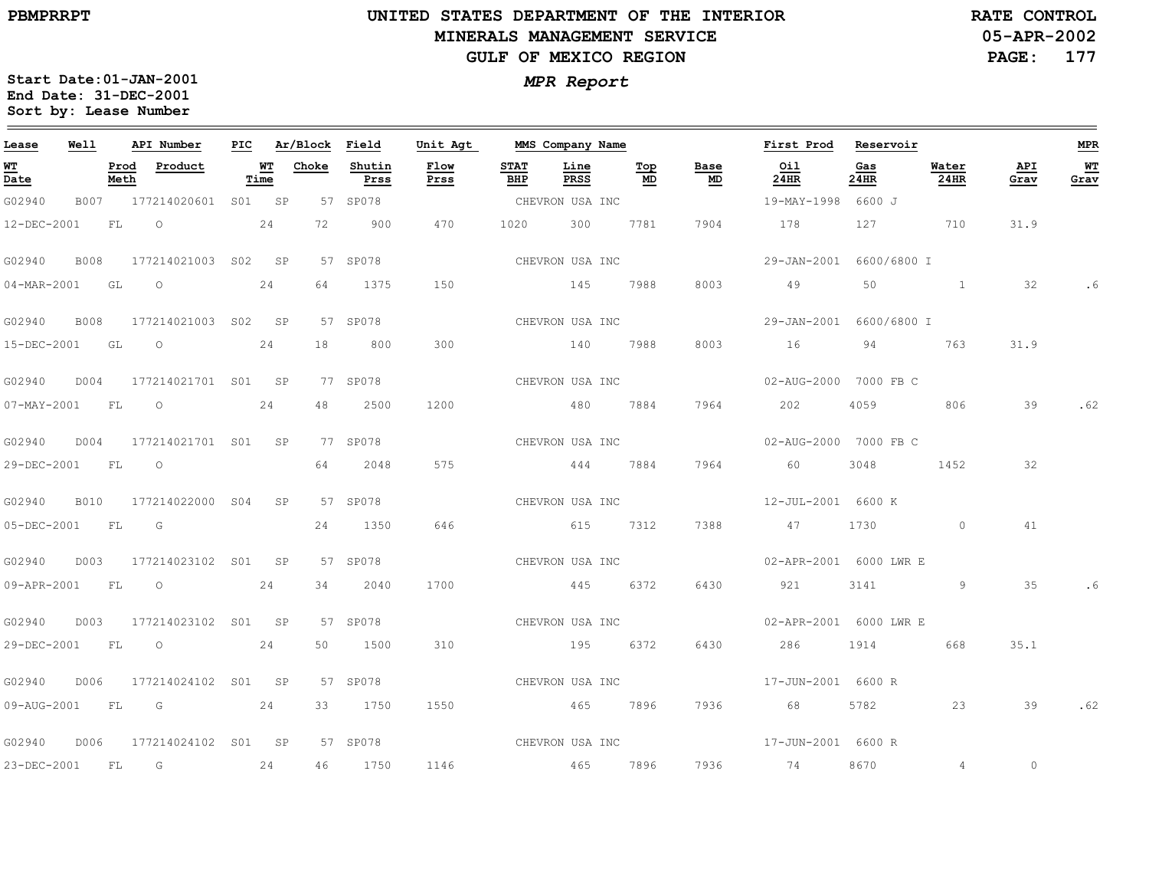$\equiv$ 

# **UNITED STATES DEPARTMENT OF THE INTERIOR MINERALS MANAGEMENT SERVICEGULF OF MEXICO REGION**

**05-APR-2002PAGE: 177 RATE CONTROL**

| Lease            | Well        |              | API Number               |            | PIC Ar/Block Field |                | Unit Agt     |                    | MMS Company Name |           |                 | First Prod              | Reservoir   |                |             | MPR        |
|------------------|-------------|--------------|--------------------------|------------|--------------------|----------------|--------------|--------------------|------------------|-----------|-----------------|-------------------------|-------------|----------------|-------------|------------|
| WТ<br>Date       |             | Prod<br>Meth | Product                  | WT<br>Time | Choke              | Shutin<br>Prss | Flow<br>Prss | <b>STAT</b><br>BHP | Line<br>PRSS     | Тор<br>MD | Base<br>MD      | Oil<br>24HR             | Gas<br>24HR | Water<br>24HR  | API<br>Grav | WT<br>Grav |
| G02940           |             |              | B007 177214020601 S01 SP |            |                    | 57 SP078       |              |                    | CHEVRON USA INC  |           |                 | 19-MAY-1998 6600 J      |             |                |             |            |
| 12-DEC-2001      |             | <b>FL</b>    | $\overline{O}$           | 24         | 72                 | 900            | 470          | 1020               | 300              | 7781      | 7904            | 178                     | 127         | 710            | 31.9        |            |
| G02940           | <b>B008</b> |              | 177214021003 S02 SP      |            |                    | 57 SP078       |              |                    | CHEVRON USA INC  |           |                 | 29-JAN-2001 6600/6800 I |             |                |             |            |
| 04-MAR-2001      |             | GL           | $\circ$                  | 24         | 64                 | 1375           | 150          |                    | 145              | 7988      | 8003            | 49                      | 50          |                | 32          | . 6        |
| G02940           |             |              | B008 177214021003 S02 SP |            |                    | 57 SP078       |              |                    | CHEVRON USA INC  |           |                 | 29-JAN-2001 6600/6800 I |             |                |             |            |
| 15-DEC-2001 GL   |             |              | $\overline{O}$           | 24         | 18                 | 800            | 300          |                    | 140 7988         |           | 8003            | 16                      | 94          | 763            | 31.9        |            |
| G02940           | D004        |              | 177214021701 S01 SP      |            |                    | 77 SP078       |              |                    | CHEVRON USA INC  |           |                 | 02-AUG-2000 7000 FB C   |             |                |             |            |
| 07-MAY-2001 FL   |             |              | $\overline{O}$           | 24         | 48                 | 2500           | 1200         |                    | 480 7884         |           | 7964            | 202                     | 4059        | 806            | 39          | .62        |
| G02940           | D004        |              | 177214021701 S01 SP      |            |                    | 77 SP078       |              |                    | CHEVRON USA INC  |           |                 | 02-AUG-2000 7000 FB C   |             |                |             |            |
| 29-DEC-2001 FL   |             |              | $\overline{O}$           |            | 64                 | 2048           | 575          |                    | 444              | 7884      | 7964            | 60                      | 3048        | 1452           | 32          |            |
| G02940           |             |              | B010 177214022000 S04 SP |            |                    | 57 SP078       |              |                    |                  |           | CHEVRON USA INC | 12-JUL-2001 6600 K      |             |                |             |            |
| 05-DEC-2001 FL   |             |              | G                        |            | 24                 | 1350           | 646          |                    | 615 7312         |           | 7388            | 47                      | 1730        | $\overline{0}$ | 41          |            |
| G02940           |             |              | D003 177214023102 S01 SP |            |                    | 57 SP078       |              |                    | CHEVRON USA INC  |           |                 | 02-APR-2001 6000 LWR E  |             |                |             |            |
| 09-APR-2001 FL 0 |             |              |                          | 24         | 34                 | 2040           | 1700         |                    | 445 6372         |           | 6430            | 921                     | 3141        | 9              | 35          |            |
| G02940           | D003        |              | 177214023102 S01 SP      |            |                    | 57 SP078       |              |                    | CHEVRON USA INC  |           |                 | 02-APR-2001 6000 LWR E  |             |                |             |            |
| 29-DEC-2001 FL   |             |              | $\overline{\phantom{0}}$ | 24         | 50                 | 1500           | 310          |                    | 195 6372         |           | 6430            | 286 28                  | 1914        | 668            | 35.1        |            |
| G02940           | D006        |              | 177214024102 S01 SP      |            |                    | 57 SP078       |              |                    | CHEVRON USA INC  |           |                 | 17-JUN-2001 6600 R      |             |                |             |            |
| 09-AUG-2001 FL   |             |              | $\overline{G}$           | 24         | 33                 | 1750           | 1550         |                    | 465 7896         |           | 7936            | 68                      | 5782        | 23             | 39          | .62        |
| G02940           |             |              | D006 177214024102 S01 SP |            |                    | 57 SP078       |              |                    | CHEVRON USA INC  |           |                 | 17-JUN-2001 6600 R      |             |                |             |            |
| 23-DEC-2001 FL   |             |              | $\overline{\mathbb{G}}$  | 24         | 46                 | 1750           | 1146         | 465                |                  | 7896      | 7936            | <b>74</b>               | 8670        | $\overline{4}$ | $\circ$     |            |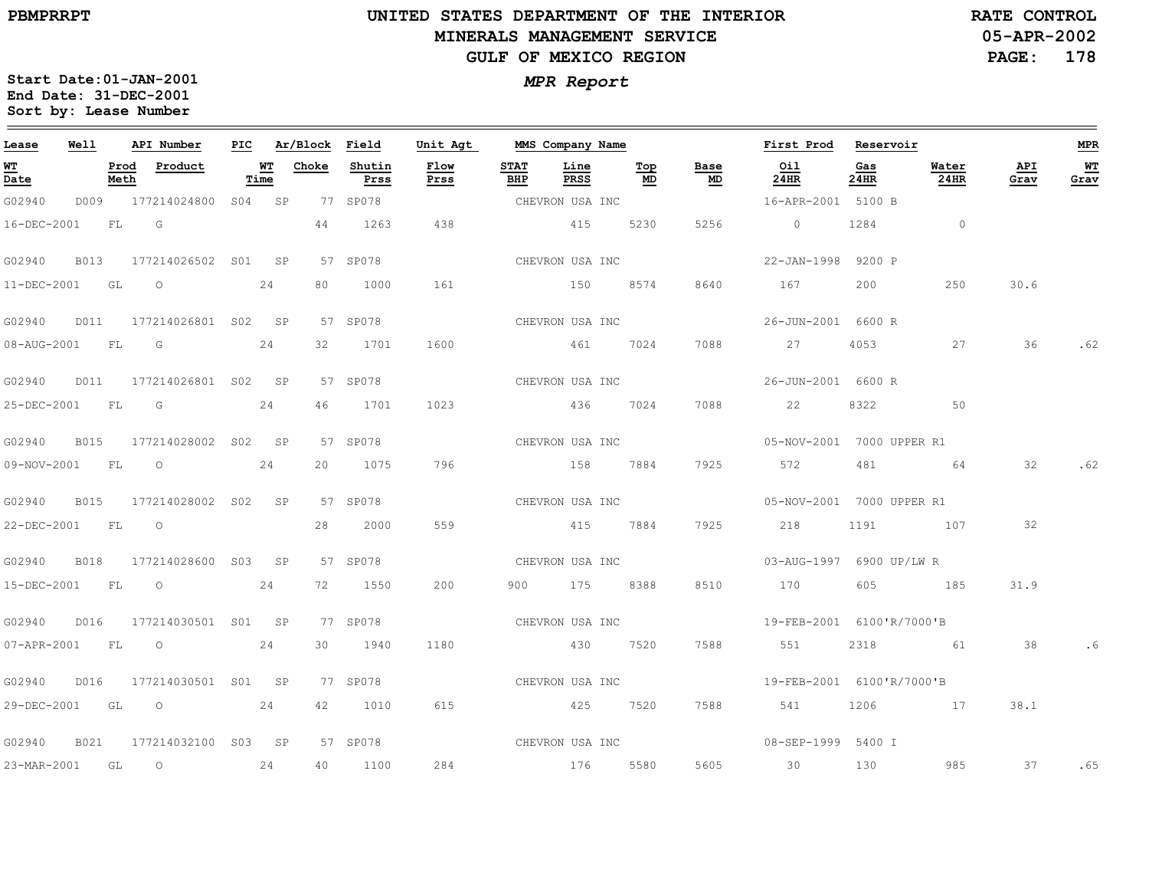$\equiv$ 

# **UNITED STATES DEPARTMENT OF THE INTERIOR MINERALS MANAGEMENT SERVICEGULF OF MEXICO REGION**

**05-APR-2002PAGE: 178 RATE CONTROL**

| Lease            | Well        |              | API Number               | PIC |                   | Ar/Block Field |                | Unit Agt        |                    | MMS Company Name |           |                                   | First Prod                | Reservoir   |               |                 | MPR        |
|------------------|-------------|--------------|--------------------------|-----|-------------------|----------------|----------------|-----------------|--------------------|------------------|-----------|-----------------------------------|---------------------------|-------------|---------------|-----------------|------------|
| WT<br>Date       |             | Prod<br>Meth | Product                  |     | <u>WT</u><br>Time | Choke          | Shutin<br>Prss | Flow<br>Prss    | <b>STAT</b><br>BHP | Line<br>PRSS     | Top<br>MD | Base<br>$\underline{\mathsf{MD}}$ | Oil<br>24HR               | Gas<br>24HR | Water<br>24HR | API<br>Grav     | WТ<br>Grav |
| G02940           |             |              | D009 177214024800 S04 SP |     |                   |                | 77 SP078       |                 |                    | CHEVRON USA INC  |           |                                   | 16-APR-2001 5100 B        |             |               |                 |            |
| 16-DEC-2001      |             | FL G         |                          |     |                   | 44             | 1263           | 438             |                    | 415              | 5230      | 5256                              | $\overline{0}$            | 1284        | $\sim$ 0      |                 |            |
| G02940           | B013        |              | 177214026502 S01 SP      |     |                   |                | 57 SP078       |                 |                    | CHEVRON USA INC  |           |                                   | 22-JAN-1998 9200 P        |             |               |                 |            |
| 11-DEC-2001      |             | GL           | $\circ$                  |     | 24                | 80             | 1000           | 161             |                    | 150              | 8574      | 8640                              | 167                       | 200         | 250           | 30.6            |            |
| G02940           | D011        |              | 177214026801 S02 SP      |     |                   |                | 57 SP078       |                 |                    | CHEVRON USA INC  |           |                                   | 26-JUN-2001 6600 R        |             |               |                 |            |
| 08-AUG-2001 FL G |             |              |                          |     | 24                | 32             | 1701           | 1600            |                    | 461              | 7024      | 7088                              | 27                        | 4053        | 27            | 36              | .62        |
| G02940           | D011        |              | 177214026801 S02 SP      |     |                   |                | 57 SP078       | CHEVRON USA INC |                    |                  |           |                                   | 26-JUN-2001 6600 R        |             |               |                 |            |
| 25-DEC-2001 FL   |             |              | $\overline{\mathsf{G}}$  |     | 24                | 46             | 1701           | 1023            |                    | 436              | 7024      | 7088                              | 22                        | 8322        | 50            |                 |            |
| G02940           | <b>B015</b> |              | 177214028002 S02 SP      |     |                   |                | 57 SP078       |                 |                    | CHEVRON USA INC  |           |                                   | 05-NOV-2001 7000 UPPER R1 |             |               |                 |            |
| 09-NOV-2001 FL 0 |             |              |                          |     | 24                | 20             | 1075           | 796             |                    | 158 7884         |           | 7925                              | 572                       | 481         | 64            | 32              | .62        |
| G02940           | <b>B015</b> |              | 177214028002 S02 SP      |     |                   |                | 57 SP078       | CHEVRON USA INC |                    |                  |           |                                   | 05-NOV-2001 7000 UPPER R1 |             |               |                 |            |
| 22-DEC-2001 FL   |             |              | $\overline{O}$           |     |                   | 28             | 2000           | 559             |                    | 415 7884         |           | 7925                              | 218                       | 1191        | 107           | $\overline{32}$ |            |
| G02940           | <b>B018</b> |              | 177214028600 S03 SP      |     |                   |                | 57 SP078       |                 |                    | CHEVRON USA INC  |           |                                   | 03-AUG-1997 6900 UP/LW R  |             |               |                 |            |
|                  |             |              | 15-DEC-2001 FL 0 24      |     |                   |                | 72 1550        | 200             |                    | 900 175 8388     |           | 8510                              | 170                       |             | 605 185       | 31.9            |            |
| G02940           | D016        |              | 177214030501 S01 SP      |     |                   |                | 77 SP078       |                 |                    |                  |           |                                   |                           |             |               |                 |            |
| 07-APR-2001 FL 0 |             |              |                          |     | 24                | 30             | 1940           | 1180            |                    | 430 7520         |           | 7588                              | 551                       | 2318        | 61            | 38              | . 6        |
| G02940           | D016        |              | 177214030501 S01 SP      |     |                   |                | 77 SP078       |                 |                    | CHEVRON USA INC  |           |                                   | 19-FEB-2001 6100'R/7000'B |             |               |                 |            |
|                  |             |              | 29-DEC-2001 GL 0 24      |     |                   | 42             | 1010           | 615             |                    | 425 7520         |           | 7588                              | 541                       |             | 1206 17       | 38.1            |            |
| G02940           | B021        |              | 177214032100 S03 SP      |     |                   |                | 57 SP078       | CHEVRON USA INC |                    |                  |           |                                   | 08-SEP-1999 5400 I        |             |               |                 |            |
| 23-MAR-2001 GL   |             |              | $\overline{\phantom{0}}$ |     | 24                | 40             | 1100           | 284             |                    | 176 5580         |           | 5605                              | 30                        | 130         | 985           | 37              | .65        |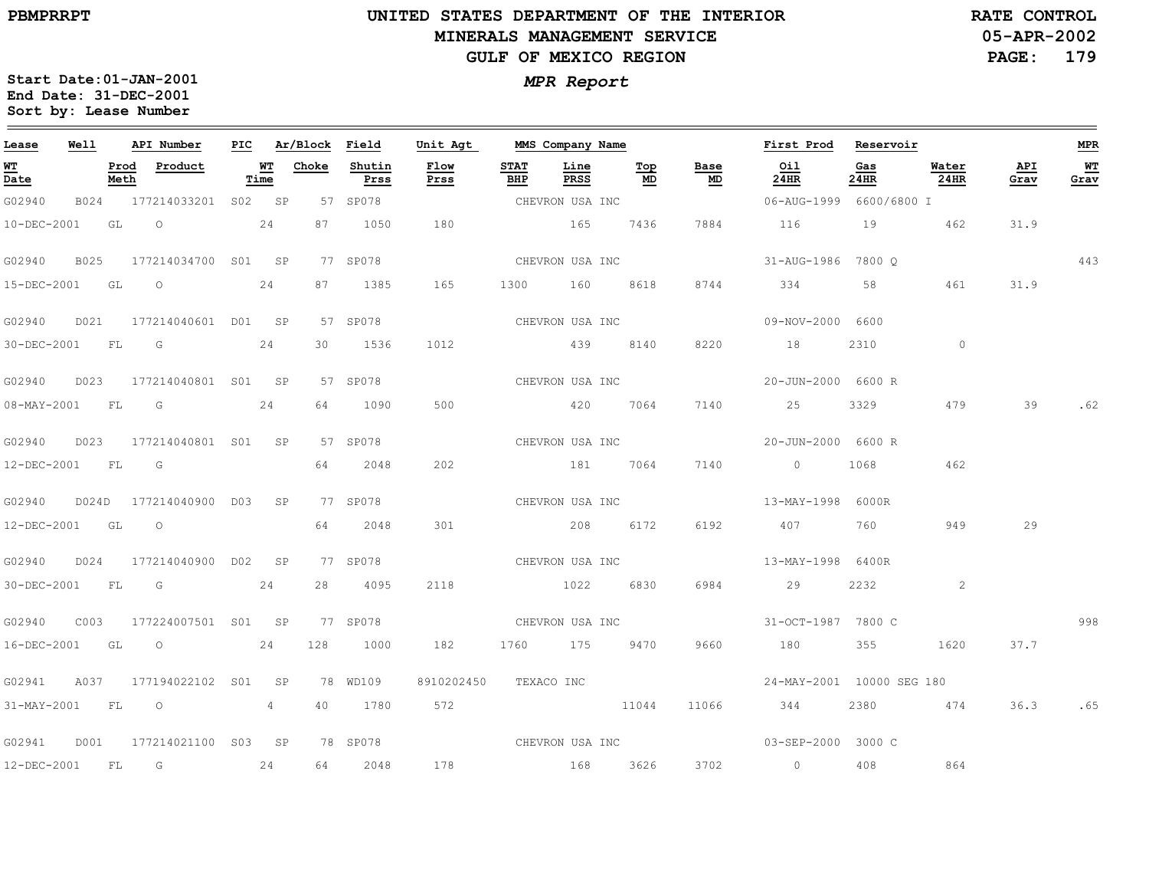# **UNITED STATES DEPARTMENT OF THE INTERIOR MINERALS MANAGEMENT SERVICEGULF OF MEXICO REGION**

**05-APR-2002 PAGE: 179 RATE CONTROL**

| Lease             | Well |      | API Number                      |        | PIC Ar/Block Field |                | Unit Agt              |                    | MMS Company Name |                                        |                                   | First Prod Reservoir                |             |               |             | MPR         |
|-------------------|------|------|---------------------------------|--------|--------------------|----------------|-----------------------|--------------------|------------------|----------------------------------------|-----------------------------------|-------------------------------------|-------------|---------------|-------------|-------------|
| <b>WT</b><br>Date |      | Meth | Prod Product                    | Time   | <u>WT Choke</u>    | Shutin<br>Prss | Flow<br>Prss          | <b>STAT</b><br>BHP | Line<br>PRSS     | $\underline{\operatorname{Top}}$<br>MD | Base<br>$\underline{\mathsf{MD}}$ | Oil<br>24HR                         | Gas<br>24HR | Water<br>24HR | API<br>Grav | $W$<br>Grav |
| G02940            |      |      | B024 177214033201               | S02 SP |                    | 57 SP078       |                       |                    | CHEVRON USA INC  |                                        |                                   | 06-AUG-1999 6600/6800 I             |             |               |             |             |
| 10-DEC-2001       |      | GL   | $\overline{O}$                  | 24     | 87                 | 1050           | 180                   |                    | 165              | 7436                                   | 7884                              | 116                                 | 19          | 462           | 31.9        |             |
| G02940            |      |      | B025 177214034700 S01 SP        |        |                    | 77 SP078       |                       |                    | CHEVRON USA INC  |                                        |                                   | 31-AUG-1986 7800 Q                  |             |               |             | 443         |
| 15-DEC-2001 GL O  |      |      |                                 | 24     |                    | 87 1385        | 165                   |                    | 1300 160 8618    |                                        | 8744                              | 334                                 | 58          | 461           | 31.9        |             |
| G02940            | D021 |      | 177214040601 D01 SP             |        |                    | 57 SP078       | CHEVRON USA INC       |                    |                  |                                        |                                   | 09-NOV-2000 6600                    |             |               |             |             |
| 30-DEC-2001 FL G  |      |      |                                 | 24     | 30                 | 1536           | 1012                  |                    | 439 8140         |                                        | 8220                              | 18                                  | 2310        | $\circ$       |             |             |
| G02940            |      |      | D023 177214040801 S01 SP        |        |                    | 57 SP078       |                       |                    |                  |                                        | CHEVRON USA INC                   | 20-JUN-2000 6600 R                  |             |               |             |             |
|                   |      |      | 08-MAY-2001 FL G                | 24     | 64                 | 1090           | 500                   |                    | 420 7064         |                                        | 7140                              | 25                                  | 3329        | 479           | 39          | . 62        |
| G02940            |      |      | D023 177214040801 S01 SP        |        |                    | 57 SP078       |                       |                    |                  |                                        |                                   |                                     |             |               |             |             |
| 12-DEC-2001 FL G  |      |      |                                 |        | 64                 | 2048           | 202                   |                    | 181 7064         |                                        | 7140                              | $\overline{0}$                      | 1068        | 462           |             |             |
| G02940            |      |      | D024D 177214040900 D03 SP       |        |                    | 77 SP078       |                       |                    | CHEVRON USA INC  |                                        |                                   | 13-MAY-1998 6000R                   |             |               |             |             |
| 12-DEC-2001 GL O  |      |      |                                 |        |                    | 64 2048        | 301                   |                    | 208 6172         |                                        | 6192                              | 407                                 | 760         | 949           | 29          |             |
| G02940            |      |      | D024 177214040900 D02 SP        |        |                    | 77 SP078       | CHEVRON USA INC       |                    |                  |                                        |                                   | 13-MAY-1998 6400R                   |             |               |             |             |
| 30-DEC-2001 FL G  |      |      |                                 | 24     | 28                 | 4095           | 2118                  |                    | 1022             | 6830                                   | 6984                              | 29                                  | 2232        | 2             |             |             |
| G02940            | C003 |      | 177224007501 S01 SP             |        |                    | 77 SP078       |                       |                    | CHEVRON USA INC  |                                        |                                   | 31-OCT-1987 7800 C                  |             |               |             | 998         |
| 16-DEC-2001 GL O  |      |      |                                 | 24     | 128                | 1000           | 182                   |                    | 1760 175 9470    |                                        | 9660                              | 180                                 | 355         | 1620          | 37.7        |             |
|                   |      |      | G02941 A037 177194022102 S01 SP |        |                    | 78 WD109       | 8910202450 TEXACO INC |                    |                  |                                        |                                   | 24-MAY-2001 10000 SEG 180           |             |               |             |             |
| 31-MAY-2001 FL O  |      |      |                                 | 4      | 40                 | 1780           | 572                   |                    |                  | 11044                                  | 11066                             | 344                                 |             | 2380 474      | 36.3        | .65         |
| G02941            |      |      | D001 177214021100 S03 SP        |        |                    | 78 SP078       |                       |                    |                  |                                        |                                   | CHEVRON USA INC 603-SEP-2000 3000 C |             |               |             |             |
| 12-DEC-2001       |      | FL   | $\overline{\mathbb{G}}$         | 24     |                    | 64 2048        | 178                   |                    | 168 3626         |                                        | 3702                              | $\sim$ 0 $\sim$ 0 $\sim$            | 408         | 864           |             |             |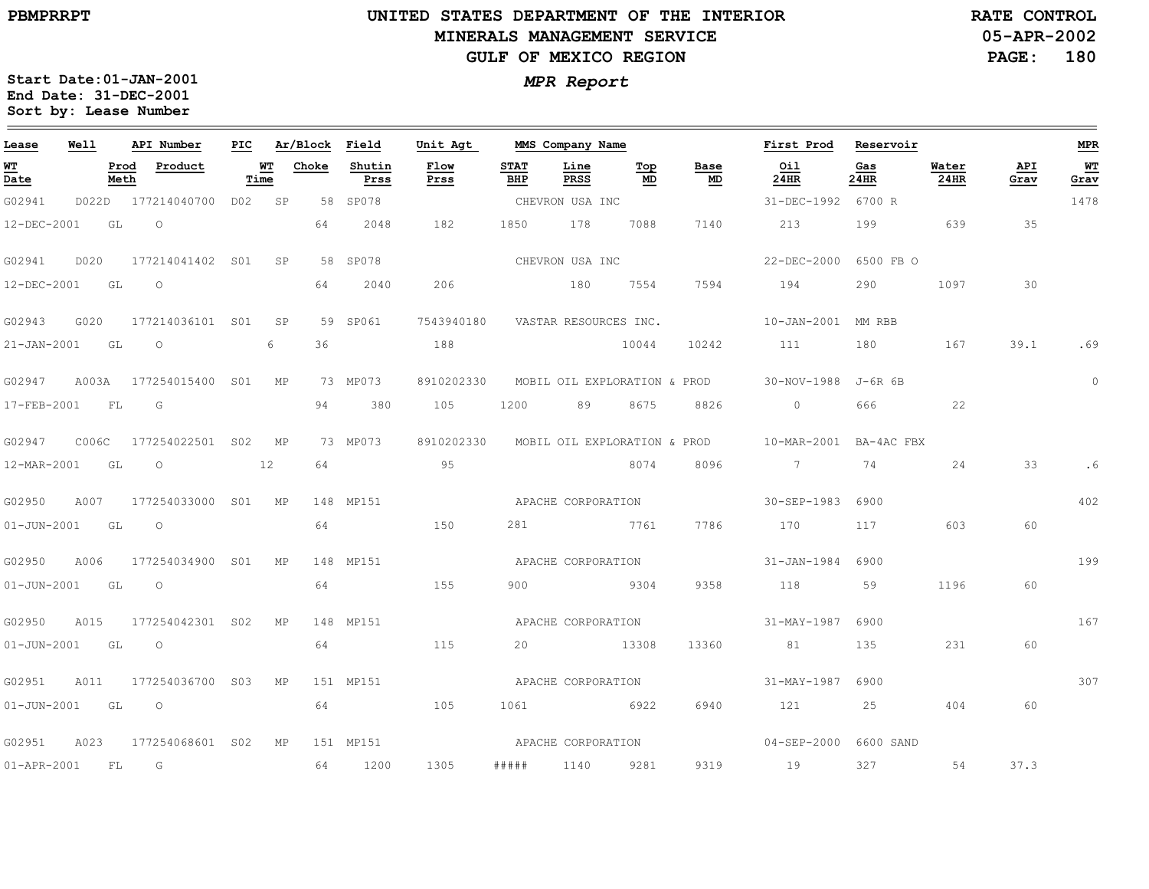the control of the control of the control of the

 $\equiv$ 

# **UNITED STATES DEPARTMENT OF THE INTERIOR MINERALS MANAGEMENT SERVICEGULF OF MEXICO REGION**

**05-APR-2002PAGE: 180 RATE CONTROL**

| Lease             | Well  |              | API Number                | PIC |            | Ar/Block | Field          | Unit Agt     |                    | MMS Company Name             |             |                              | First Prod             | Reservoir   |               |             | MPR        |
|-------------------|-------|--------------|---------------------------|-----|------------|----------|----------------|--------------|--------------------|------------------------------|-------------|------------------------------|------------------------|-------------|---------------|-------------|------------|
| WT<br>Date        |       | Prod<br>Meth | Product                   |     | WT<br>Time | Choke    | Shutin<br>Prss | Flow<br>Prss | <b>STAT</b><br>BHP | Line<br>PRSS                 | $Top$<br>MD | Base<br>MD                   | Oil<br>24HR            | Gas<br>24HR | Water<br>24HR | API<br>Grav | WТ<br>Grav |
| G02941            |       |              | D022D 177214040700 D02 SP |     |            |          | 58 SP078       |              |                    | CHEVRON USA INC              |             |                              | 31-DEC-1992 6700 R     |             |               |             | 1478       |
| 12-DEC-2001       |       | GL           | $\circ$                   |     |            | 64       | 2048           | 182          | 1850               | 178                          | 7088        | 7140                         | 213                    | 199         | 639           | 35          |            |
| G02941            | D020  |              | 177214041402 SO1          |     | SP         |          | 58 SP078       |              |                    | CHEVRON USA INC              |             |                              | $22 - DEC - 2000$      | 6500 FB O   |               |             |            |
| 12-DEC-2001       |       | GL           | $\circ$                   |     |            | 64       | 2040           | 206          |                    | 180                          | 7554        | 7594                         | 194                    | 290         | 1097          | 30          |            |
| G02943            | G020  |              | 177214036101 S01          |     | SP         |          | 59 SP061       | 7543940180   |                    | VASTAR RESOURCES INC.        |             |                              | 10-JAN-2001 MM RBB     |             |               |             |            |
| $21 - JAN - 2001$ |       | GL           | $\circ$                   |     | 6          | 36       |                | 188          |                    |                              | 10044       | 10242                        | 111                    | 180         | 167           | 39.1        | .69        |
| G02947            | A003A |              | 177254015400 SO1          |     | МP         |          | 73 MP073       | 8910202330   |                    |                              |             | MOBIL OIL EXPLORATION & PROD | 30-NOV-1988 J-6R 6B    |             |               |             | $\circ$    |
| 17-FEB-2001       |       | FL           | G                         |     |            | 94       | 380            | 105          | 1200               | 89                           | 8675        | 8826                         | $\Omega$               | 666         | 22            |             |            |
| G02947            | COO6C |              | 177254022501 S02 MP       |     |            |          | 73 MP073       | 8910202330   |                    | MOBIL OIL EXPLORATION & PROD |             |                              | 10-MAR-2001 BA-4AC FBX |             |               |             |            |
| 12-MAR-2001       |       | GL           | $\circ$                   |     | 12         | 64       |                | 95           |                    |                              | 8074        | 8096                         | $7\degree$             | 74          | 24            | 33          |            |
| G02950            | A007  |              | 177254033000 S01          |     | MP         |          | 148 MP151      |              |                    | APACHE CORPORATION           |             |                              | 30-SEP-1983            | 6900        |               |             | 402        |
| $01 - JUN - 2001$ |       | GL           | $\circ$                   |     |            | 64       |                | 150          | 281                |                              | 7761        | 7786                         | 170                    | 117         | 603           | 60          |            |
| G02950            | A006  |              | 177254034900 SO1          |     | MP         |          | 148 MP151      |              |                    | APACHE CORPORATION           |             |                              | $31 - JAN - 1984$      | 6900        |               |             | 199        |
| $01 - JUN - 2001$ |       | GL           | $\circ$                   |     |            | 64       |                | 155          | 900                | 2304                         |             | 9358                         | 118                    | 59          | 1196          | 60          |            |
| G02950            | A015  |              | 177254042301 S02          |     | ΜP         |          | 148 MP151      |              |                    | APACHE CORPORATION           |             |                              | 31-MAY-1987            | 6900        |               |             | 167        |
| $01 - JUN - 2001$ |       | GL           | $\circ$                   |     |            | 64       |                | 115          | 20                 |                              | 13308       | 13360                        | 81                     | 135         | 231           | 60          |            |
| G02951            | A011  |              | 177254036700 S03          |     | МP         |          | 151 MP151      |              |                    | APACHE CORPORATION           |             |                              | 31-MAY-1987            | 6900        |               |             | 307        |
| $01 - JUN - 2001$ |       | GL           | $\circ$                   |     |            | 64       |                | 105          | 1061               | 6922                         |             | 6940                         | 121                    | 25          | 404           | 60          |            |
| G02951            | A023  |              | 177254068601 S02          |     | MP         |          | 151 MP151      |              |                    | APACHE CORPORATION           |             |                              | 04-SEP-2000 6600 SAND  |             |               |             |            |
| $01 - APR - 2001$ |       | FL           | $\overline{G}$            |     |            | 64       | 1200           | 1305         | # # # # #          | 1140                         | 9281        | 9319                         | 19                     | 327         | 54            | 37.3        |            |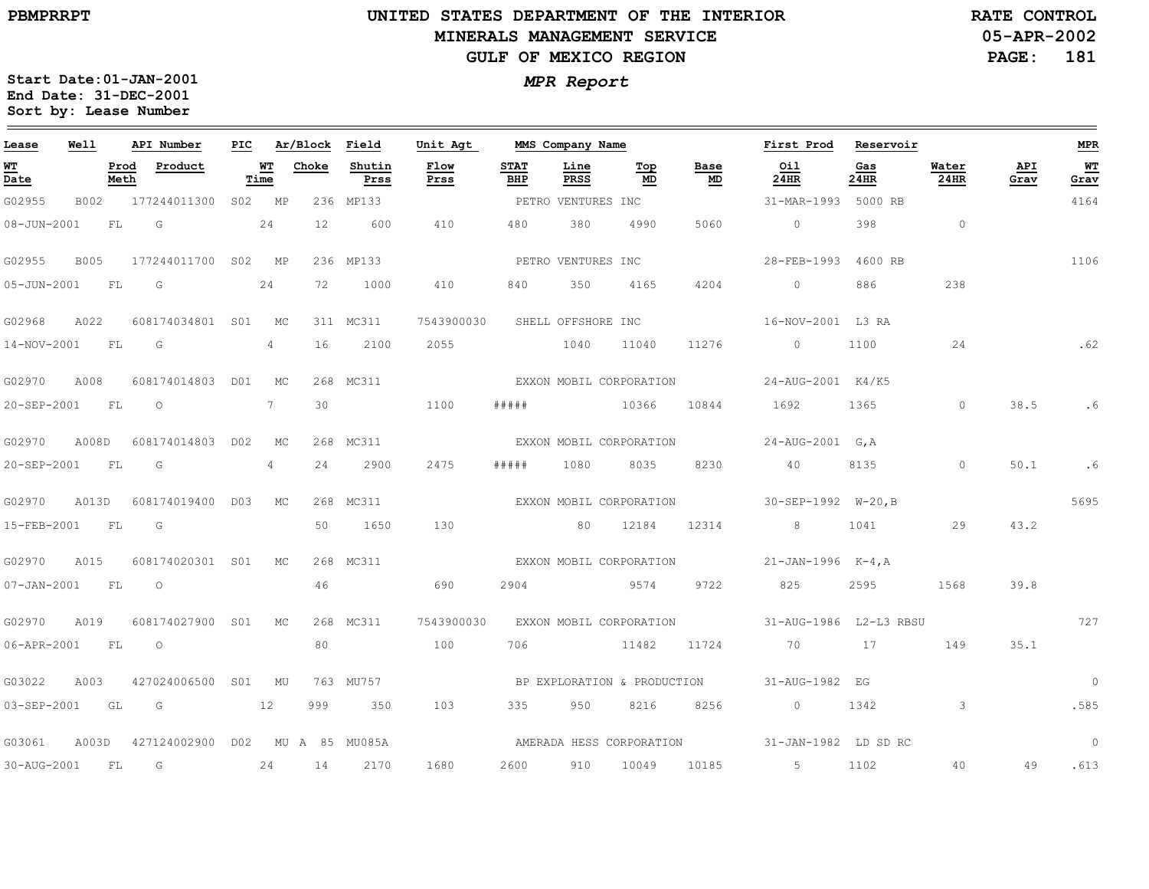$\equiv$ 

# **UNITED STATES DEPARTMENT OF THE INTERIOR MINERALS MANAGEMENT SERVICEGULF OF MEXICO REGION**

**05-APR-2002PAGE: 181 RATE CONTROL**

| Lease             | Well        |              | API Number       | PIC |                | Ar/Block          | Field          | Unit Agt     |                    | MMS Company Name   |                             |                   | First Prod                                    | Reservoir   |               |             | <b>MPR</b>     |
|-------------------|-------------|--------------|------------------|-----|----------------|-------------------|----------------|--------------|--------------------|--------------------|-----------------------------|-------------------|-----------------------------------------------|-------------|---------------|-------------|----------------|
| WT<br>Date        |             | Prod<br>Meth | Product          |     | WТ<br>Time     | Choke             | Shutin<br>Prss | Flow<br>Prss | <b>STAT</b><br>BHP | Line<br>PRSS       | Top<br>MD                   | Base<br><b>MD</b> | Oil<br>24HR                                   | Gas<br>24HR | Water<br>24HR | API<br>Grav | WT<br>Grav     |
| G02955            | B002        |              | 177244011300     | S02 | MP             |                   | 236 MP133      |              |                    | PETRO VENTURES INC |                             |                   | 31-MAR-1993                                   | 5000 RB     |               |             | 4164           |
| 08-JUN-2001       |             | FL           | G                |     | 24             | $12 \overline{ }$ | 600            | 410          | 480                | 380                | 4990                        | 5060              | $\circ$                                       | 398         | $\circ$       |             |                |
| G02955            | <b>B005</b> |              | 177244011700 S02 |     | MP             |                   | 236 MP133      |              |                    | PETRO VENTURES INC |                             |                   | 28-FEB-1993                                   | 4600 RB     |               |             | 1106           |
| 05-JUN-2001       |             | FL           | G                |     | 24             | 72                | 1000           | 410          | 840                | 350                | 4165                        | 4204              | $\circ$                                       | 886         | 238           |             |                |
| G02968            | A022        |              | 608174034801 S01 |     | MC             |                   | 311 MC311      | 7543900030   | SHELL OFFSHORE INC |                    |                             |                   | 16-NOV-2001 L3 RA                             |             |               |             |                |
| 14-NOV-2001       |             | FL           | G                |     | $\overline{4}$ | 16                | 2100           | 2055         |                    | 1040               | 11040                       | 11276             | $\circ$                                       | 1100        | 24            |             | .62            |
| G02970            | A008        |              | 608174014803 D01 |     | МC             |                   | 268 MC311      |              |                    |                    | EXXON MOBIL CORPORATION     |                   | 24-AUG-2001 K4/K5                             |             |               |             |                |
| 20-SEP-2001       |             | FL           | $\circ$          |     | $7^{\circ}$    | 30                |                | 1100         | #####              |                    | 10366                       | 10844             | 1692                                          | 1365        | $\circ$       | 38.5        | . 6            |
| G02970            | A008D       |              | 608174014803 D02 |     | МC             |                   | 268 MC311      |              |                    |                    | EXXON MOBIL CORPORATION     |                   | 24-AUG-2001 G, A                              |             |               |             |                |
| 20-SEP-2001       |             | FL           | G                |     | $\overline{4}$ | 24                | 2900           | 2475         | # # # # #          | 1080               | 8035                        | 8230              | 40                                            | 8135        | $\circ$       | 50.1        | .6             |
| G02970            | A013D       |              | 608174019400 D03 |     | МC             |                   | 268 MC311      |              |                    |                    | EXXON MOBIL CORPORATION     |                   | $30 - SEP - 1992$ $W - 20, B$                 |             |               |             | 5695           |
| 15-FEB-2001       |             | FL           | G                |     |                | 50                | 1650           | 130          |                    | 80                 | 12184                       | 12314             | 8                                             | 1041        | 29            | 43.2        |                |
| G02970            | A015        |              | 608174020301 S01 |     | MC             |                   | 268 MC311      |              |                    |                    | EXXON MOBIL CORPORATION     |                   | $21 - JAN - 1996$ K-4, A                      |             |               |             |                |
| $07 - JAN - 2001$ |             | FL           | $\circ$          |     |                | 46                |                | 690          | 2904               |                    | 9574                        | 9722              | 825                                           | 2595        | 1568          | 39.8        |                |
| G02970            | A019        |              | 608174027900 S01 |     | МC             |                   | 268 MC311      | 7543900030   |                    |                    | EXXON MOBIL CORPORATION     |                   | 31-AUG-1986 L2-L3 RBSU                        |             |               |             | 727            |
| 06-APR-2001       |             | FL           | $\circ$          |     |                | 80                |                | 100          | 706                |                    | 11482                       | 11724             | 70                                            | 17          | 149           | 35.1        |                |
| G03022            | A003        |              | 427024006500 S01 |     | MU             |                   | 763 MU757      |              |                    |                    | BP EXPLORATION & PRODUCTION |                   | 31-AUG-1982 EG                                |             |               |             | $\circ$        |
| 03-SEP-2001       |             | GL           | G                |     | 12             | 999               | 350            | 103          | 335                | 950                | 8216                        | 8256              | $\overline{0}$                                | 1342        | 3             |             | .585           |
| G03061            | A003D       |              | 427124002900 D02 |     |                |                   | MU A 85 MU085A |              |                    |                    |                             |                   | AMERADA HESS CORPORATION 31-JAN-1982 LD SD RC |             |               |             | $\overline{0}$ |
| 30-AUG-2001       |             | FL.          | G                |     | 24             | 14                | 2170           | 1680         | 2600               | 910                | 10049                       | 10185             | $5 - 5$                                       | 1102        | 40            | 49          | .613           |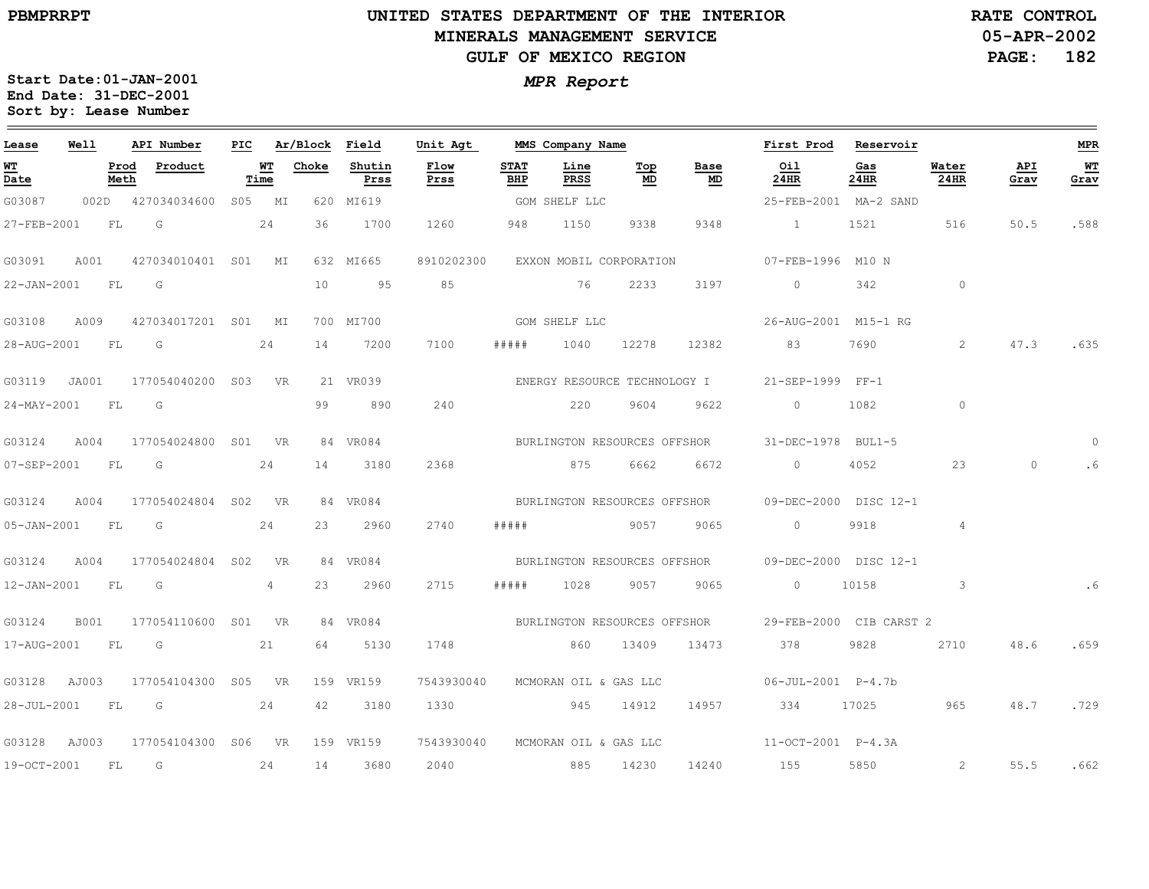## **UNITED STATES DEPARTMENT OF THE INTERIOR MINERALS MANAGEMENT SERVICEGULF OF MEXICO REGION**

**05-APR-2002PAGE: 182 RATE CONTROL**

| Lease          | Well |              | API Number              | PIC    |            | Ar/Block Field |                | Unit Agt                         |             | MMS Company Name             |                                |            | First Prod                                         | Reservoir   |                |             | <b>MPR</b>        |
|----------------|------|--------------|-------------------------|--------|------------|----------------|----------------|----------------------------------|-------------|------------------------------|--------------------------------|------------|----------------------------------------------------|-------------|----------------|-------------|-------------------|
| WT<br>Date     |      | Prod<br>Meth | Product                 |        | WT<br>Time | Choke          | Shutin<br>Prss | Flow<br>Prss                     | STAT<br>BHP | Line<br>PRSS                 | $\underline{\text{Top}}$<br>MD | Base<br>MD | Oil<br>24HR                                        | Gas<br>24HR | Water<br>24HR  | API<br>Grav | <u>WT</u><br>Grav |
| G03087         |      |              | 002D 427034034600       | S05 MI |            |                | 620 MI619      |                                  |             | GOM SHELF LLC                |                                |            | 25-FEB-2001 MA-2 SAND                              |             |                |             |                   |
| 27-FEB-2001    |      | FL           | G                       |        | 24         | 36             | 1700           | 1260                             | 948         | 1150                         | 9338                           | 9348       | $\sim$ 1                                           | 1521        | 516            | 50.5        | .588              |
| G03091         | A001 |              | 427034010401 S01 MI     |        |            |                | 632 MI665      | 8910202300                       |             | EXXON MOBIL CORPORATION      |                                |            | 07-FEB-1996 M10 N                                  |             |                |             |                   |
| 22-JAN-2001 FL |      |              | G                       |        |            | 10             | 95             | 85                               |             | 76                           | 2233                           | 3197       | $\circ$                                            | 342         | $\circ$        |             |                   |
| G03108         | A009 |              | 427034017201 S01 MI     |        |            |                | 700 MI700      | GOM SHELF LLC                    |             |                              |                                |            | 26-AUG-2001 M15-1 RG                               |             |                |             |                   |
| 28-AUG-2001 FL |      |              | G                       |        | 24         | 14             | 7200           | 7100                             | # # # # #   | 1040                         | 12278                          | 12382      | 83                                                 | 7690        | 2              | 47.3        | .635              |
| G03119 JA001   |      |              | 177054040200 S03 VR     |        |            |                | 21 VR039       |                                  |             | ENERGY RESOURCE TECHNOLOGY I |                                |            | 21-SEP-1999 FF-1                                   |             |                |             |                   |
| 24-MAY-2001 FL |      |              | $\overline{\mathsf{G}}$ |        |            | 99             | 890            | 240                              |             | 220                          | 9604                           | 9622       | $\circ$                                            | 1082        | $\circ$        |             |                   |
| G03124         | A004 |              | 177054024800 S01 VR     |        |            |                | 84 VR084       |                                  |             |                              |                                |            | BURLINGTON RESOURCES OFFSHOR 31-DEC-1978 BUL1-5    |             |                |             | $\Omega$          |
| 07-SEP-2001 FL |      |              | G                       |        | 24         | 14             | 3180           | 2368                             |             | 875                          | 6662                           | 6672       | $\overline{0}$                                     | 4052        | 23             | $\circ$     |                   |
| G03124         | A004 |              | 177054024804 S02 VR     |        |            |                | 84 VR084       |                                  |             |                              |                                |            | BURLINGTON RESOURCES OFFSHOR 09-DEC-2000 DISC 12-1 |             |                |             |                   |
| 05-JAN-2001 FL |      |              | G                       |        | 24         | 23             | 2960           | 2740                             | # # # # #   |                              | 9057                           | 9065       | $\circ$                                            | 9918        | $\overline{4}$ |             |                   |
| G03124         | A004 |              | 177054024804 S02        |        | <b>VR</b>  |                | 84 VR084       |                                  |             |                              |                                |            | BURLINGTON RESOURCES OFFSHOR 09-DEC-2000 DISC 12-1 |             |                |             |                   |
| 12-JAN-2001 FL |      |              | G                       |        | 4          | 23             | 2960           | 2715                             | # # # # #   | 1028                         | 9057                           | 9065       | $\circ$                                            | 10158       | $\mathbf{3}$   |             | .6                |
| G03124         | B001 |              | 177054110600 S01 VR     |        |            |                | 84 VR084       |                                  |             | BURLINGTON RESOURCES OFFSHOR |                                |            | 29-FEB-2000 CIB CARST 2                            |             |                |             |                   |
| 17-AUG-2001    |      | <b>FL</b>    | G                       |        | 21         | 64             | 5130           | 1748                             |             | 860                          | 13409                          | 13473      | 378                                                | 9828        | 2710           | 48.6        | .659              |
| G03128 AJ003   |      |              | 177054104300 S05 VR     |        |            |                | 159 VR159      | 7543930040                       |             | MCMORAN OIL & GAS LLC        |                                |            | 06-JUL-2001 P-4.7b                                 |             |                |             |                   |
| 28-JUL-2001    |      | FL           | $\overline{G}$          |        | 24         | 42             | 3180           | 1330                             |             | 945                          | 14912                          | 14957      | 334                                                | 17025       | 965            | 48.7        | .729              |
| G03128 AJ003   |      |              | 177054104300 S06 VR     |        |            |                | 159 VR159      | 7543930040 MCMORAN OIL & GAS LLC |             |                              |                                |            | $11-0CT-2001$ $P-4.3A$                             |             |                |             |                   |
| 19-OCT-2001    |      | FL           | G                       |        | 24         | 14             | 3680           | 2040                             |             | 885                          | 14230                          | 14240      | 155                                                | 5850        | 2              | 55.5        | .662              |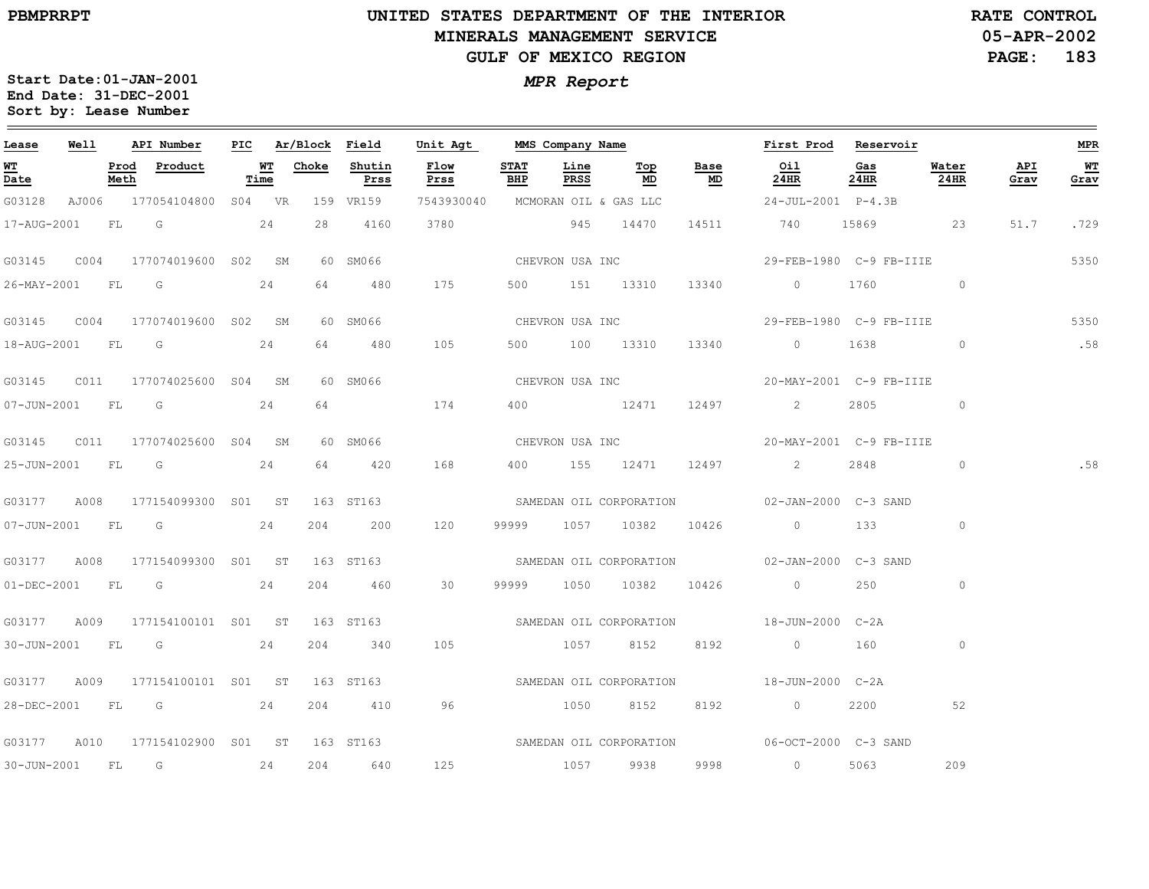# **UNITED STATES DEPARTMENT OF THE INTERIOR MINERALS MANAGEMENT SERVICEGULF OF MEXICO REGION**

**05-APR-2002PAGE: 183 RATE CONTROL**

| Lease             | Well |      | API Number                      |            | PIC Ar/Block Field |                | Unit Agt MMS Company Name        |                    |                 |                                  |                                   | First Prod Reservoir                                   |             |               |             | <b>MPR</b> |
|-------------------|------|------|---------------------------------|------------|--------------------|----------------|----------------------------------|--------------------|-----------------|----------------------------------|-----------------------------------|--------------------------------------------------------|-------------|---------------|-------------|------------|
| <b>WT</b><br>Date |      | Meth | Prod Product                    | WT<br>Time | Choke              | Shutin<br>Prss | Flow<br>Prss                     | <b>STAT</b><br>BHP | Line<br>PRSS    | Top<br>$\underline{\mathsf{MD}}$ | Base<br>$\underline{\mathsf{MD}}$ | Oil<br>24HR                                            | Gas<br>24HR | Water<br>24HR | API<br>Grav | WT<br>Grav |
| G03128            |      |      | AJ006 177054104800 S04 VR       |            |                    | 159 VR159      | 7543930040 MCMORAN OIL & GAS LLC |                    |                 |                                  |                                   | 24-JUL-2001 P-4.3B                                     |             |               |             |            |
|                   |      |      | 17-AUG-2001 FL G 24             |            |                    | 28 4160        | 3780                             |                    |                 | 945 14470                        | 14511                             | 740 15869 23                                           |             |               | 51.7        | .729       |
|                   |      |      |                                 |            |                    | 60 SM066       |                                  |                    |                 |                                  |                                   | CHEVRON USA INC<br>29-FEB-1980 C-9 FB-IIIE             |             |               |             | 5350       |
|                   |      |      | 26-MAY-2001 FL G 24             |            |                    | 64 480         | 175                              |                    |                 | 500 151 13310 13340              |                                   | 0 1760 0                                               |             |               |             |            |
|                   |      |      |                                 |            |                    | 60 SM066       |                                  |                    |                 | CHEVRON USA INC                  |                                   | 29-FEB-1980 C-9 FB-IIIE                                |             |               |             | 5350       |
| 18-AUG-2001 FL G  |      |      |                                 | 24         |                    | 64 480         | 105                              |                    |                 | 500 100 13310                    | 13340                             | $\overline{0}$ and $\overline{0}$                      | 1638        | $\sim$ 0      |             | .58        |
|                   |      |      |                                 |            |                    | 60 SM066       |                                  |                    | CHEVRON USA INC |                                  |                                   | 20-MAY-2001 C-9 FB-IIIE                                |             |               |             |            |
|                   |      |      | 07-JUN-2001 FL G 24             |            |                    | 64 64 64 65    | 174                              |                    |                 |                                  |                                   | 400 12471 12497 2                                      |             | $\circ$       |             |            |
|                   |      |      |                                 |            |                    | 60 SM066       |                                  |                    |                 | CHEVRON USA INC                  |                                   | 20-MAY-2001 C-9 FB-IIIE                                |             |               |             |            |
| 25-JUN-2001 FL G  |      |      |                                 | 24         |                    | 64 420         | 168                              |                    |                 | 400 155 12471                    |                                   | 12497 2                                                | 2848        | $\circ$       |             | .58        |
|                   |      |      | G03177 A008 177154099300 S01 ST |            |                    | 163 ST163      |                                  |                    |                 |                                  |                                   | SAMEDAN OIL CORPORATION 602-JAN-2000 C-3 SAND          |             |               |             |            |
|                   |      |      | 07-JUN-2001 FL G 24             |            |                    | 204 200        | 120                              |                    |                 | 99999 1057 10382 10426           |                                   | $\sim$ 0 133                                           |             | $\circ$       |             |            |
|                   |      |      | G03177 A008 177154099300 S01 ST |            |                    |                |                                  |                    |                 |                                  |                                   | 163 ST163 SAMEDAN OIL CORPORATION 02-JAN-2000 C-3 SAND |             |               |             |            |
|                   |      |      | 01-DEC-2001 FL G 24             |            |                    | 204 460        | 30                               |                    |                 | 99999 1050 10382 10426           |                                   | $\overline{0}$                                         | 250         | $\circ$       |             |            |
|                   |      |      | G03177 A009 177154100101 S01 ST |            |                    | 163 ST163      |                                  |                    |                 |                                  |                                   | SAMEDAN OIL CORPORATION 18-JUN-2000 C-2A               |             |               |             |            |
|                   |      |      | 30-JUN-2001 FL G 24             |            |                    | 204 340        | 105                              |                    |                 | 1057 8152 8192                   |                                   | $\begin{array}{ccc} & 0 & \quad & 160 \end{array}$     |             | $\circ$       |             |            |
|                   |      |      | G03177 A009 177154100101 S01 ST |            |                    |                |                                  |                    |                 |                                  |                                   |                                                        |             |               |             |            |
|                   |      |      | 28-DEC-2001 FL G 24             |            |                    | 204 410        | 96                               |                    |                 | 1050 8152                        | 8192                              | $\overline{0}$                                         | 2200        | 52            |             |            |
|                   |      |      | G03177 A010 177154102900 S01 ST |            |                    | 163 ST163      |                                  |                    |                 |                                  |                                   | SAMEDAN OIL CORPORATION 06-OCT-2000 C-3 SAND           |             |               |             |            |
| 30-JUN-2001       |      | FL G | 24                              |            | 204                | 640            | 125                              |                    |                 | 1057 9938 9998                   |                                   | $\sim$ 0                                               | 5063        | 209           |             |            |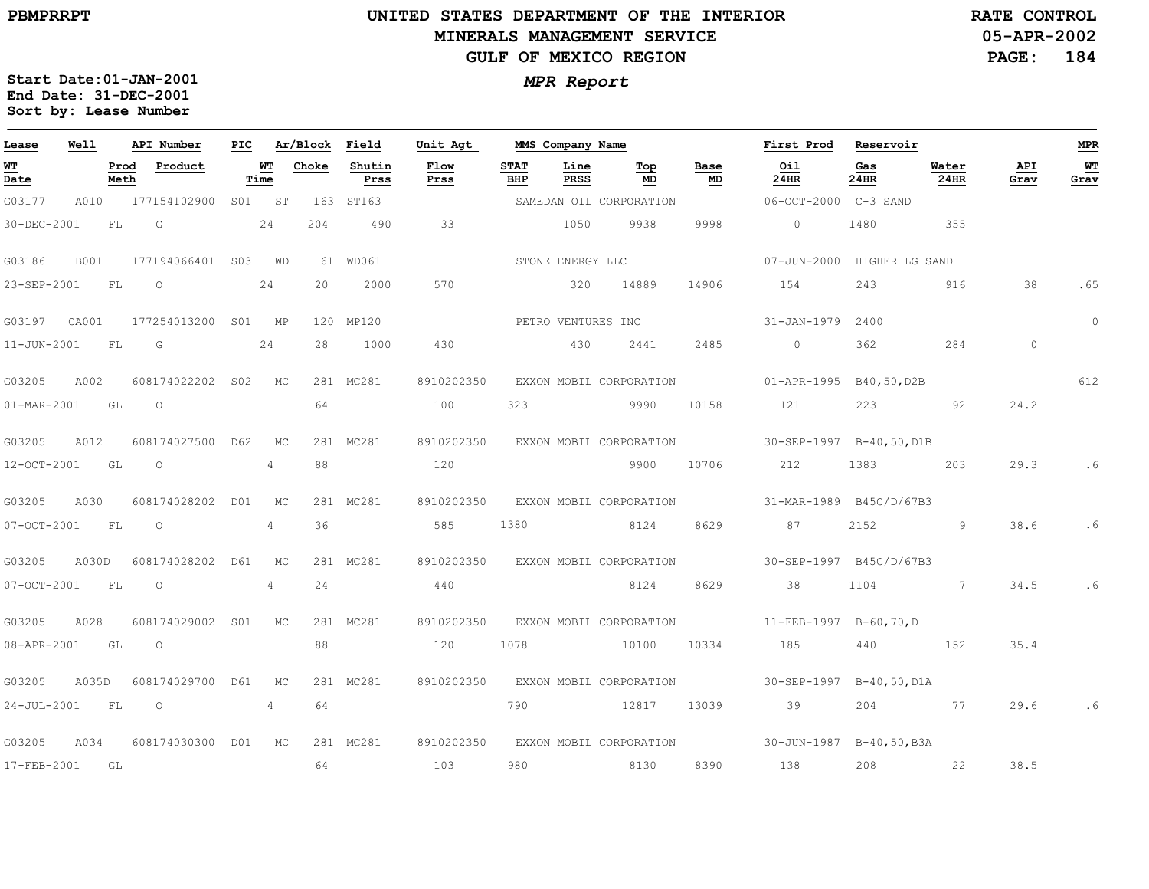$\equiv$ 

# **UNITED STATES DEPARTMENT OF THE INTERIOR MINERALS MANAGEMENT SERVICEGULF OF MEXICO REGION**

**05-APR-2002PAGE: 184 RATE CONTROL**

| Lease                    | Well        |              | API Number          | PIC |                | Ar/Block Field |                | Unit Agt     |                    | MMS Company Name |                         |            | First Prod                | Reservoir                |               |             | <b>MPR</b> |
|--------------------------|-------------|--------------|---------------------|-----|----------------|----------------|----------------|--------------|--------------------|------------------|-------------------------|------------|---------------------------|--------------------------|---------------|-------------|------------|
| WT<br>Date               |             | Prod<br>Meth | Product             |     | WТ<br>Time     | Choke          | Shutin<br>Prss | Flow<br>Prss | <b>STAT</b><br>BHP | Line<br>PRSS     | Top<br>MD               | Base<br>MD | Oil<br>24HR               | Gas<br>24HR              | Water<br>24HR | API<br>Grav | WТ<br>Grav |
| G03177                   | A010        |              | 177154102900        | SO1 | ST             |                | 163 ST163      |              |                    |                  | SAMEDAN OIL CORPORATION |            | 06-OCT-2000 C-3 SAND      |                          |               |             |            |
| 30-DEC-2001              |             | FL           | G                   |     | 24             | 204            | 490            | 33           |                    | 1050             | 9938                    | 9998       | $\circ$                   | 1480                     | 355           |             |            |
| G03186                   | <b>B001</b> |              | 177194066401 S03    |     | WD             |                | 61 WD061       |              |                    | STONE ENERGY LLC |                         |            | $07 - JUN - 2000$         | HIGHER LG SAND           |               |             |            |
| 23-SEP-2001              |             | FL           | $\circ$             |     | 24             | 20             | 2000           | 570          |                    | 320              | 14889                   | 14906      | 154                       | 243                      | 916           | 38          | .65        |
| G03197                   | CA001       |              | 177254013200 S01 MP |     |                |                | 120 MP120      |              |                    |                  | PETRO VENTURES INC      |            | 31-JAN-1979               | 2400                     |               |             | $\circ$    |
| $11 - JUN - 2001$        |             | FL           | G                   |     | 24             | 28             | 1000           | 430          |                    | 430              | 2441                    | 2485       | $0 \qquad \qquad$         | 362                      | 284           | $\circ$     |            |
| G03205                   | A002        |              | 608174022202        | S02 | MC             |                | 281 MC281      | 8910202350   |                    |                  | EXXON MOBIL CORPORATION |            | 01-APR-1995 B40,50,D2B    |                          |               |             | 612        |
| $01 - \text{MAR} - 2001$ |             | GL           | $\circ$             |     |                | 64             |                | 100          | 323                |                  | 9990                    | 10158      | 121                       | 223                      | 92            | 24.2        |            |
| G03205                   | A012        |              | 608174027500 D62    |     | МC             |                | 281 MC281      | 8910202350   |                    |                  | EXXON MOBIL CORPORATION |            | $30-SEP-1997$ B-40,50,D1B |                          |               |             |            |
| 12-OCT-2001              |             | GL GL        | $\Omega$            |     | $\overline{4}$ | 88             |                | 120          |                    |                  | 9900                    | 10706      | 212                       | 1383                     | 203           | 29.3        | .6         |
| G03205                   | A030        |              | 608174028202 D01    |     | МC             |                | 281 MC281      | 8910202350   |                    |                  | EXXON MOBIL CORPORATION |            |                           | 31-MAR-1989 B45C/D/67B3  |               |             |            |
| 07-OCT-2001              |             | FL           | $\circ$             |     | $\overline{4}$ | 36             |                | 585          | 1380               |                  | 8124                    | 8629       | 87                        | 2152                     | 9             | 38.6        | .6         |
| G03205                   | A030D       |              | 608174028202        | D61 | МC             |                | 281 MC281      | 8910202350   |                    |                  | EXXON MOBIL CORPORATION |            |                           | 30-SEP-1997 B45C/D/67B3  |               |             |            |
| 07-OCT-2001              |             | FL           | $\circ$             |     | 4              | 24             |                | 440          |                    |                  | 8124                    | 8629       | 38                        | 1104                     | 7             | 34.5        | .6         |
| G03205                   | A028        |              | 608174029002 S01    |     | MC             |                | 281 MC281      | 8910202350   |                    |                  | EXXON MOBIL CORPORATION |            | 11-FEB-1997 B-60,70,D     |                          |               |             |            |
| 08-APR-2001              |             | GL           | $\circ$             |     |                | 88             |                | 120          | 1078               |                  | 10100                   | 10334      | 185                       | 440                      | 152           | 35.4        |            |
| G03205                   | A035D       |              | 608174029700 D61    |     | МC             |                | 281 MC281      | 8910202350   |                    |                  | EXXON MOBIL CORPORATION |            |                           | 30-SEP-1997 B-40,50, D1A |               |             |            |
| 24-JUL-2001              |             | FL           | $\Omega$            |     | $\overline{4}$ | 64             |                |              | 790                |                  | 12817                   | 13039      | 39                        | 204                      | 77            | 29.6        | .6         |
| G03205                   | A034        |              | 608174030300 D01 MC |     |                |                | 281 MC281      | 8910202350   |                    |                  | EXXON MOBIL CORPORATION |            |                           | 30-JUN-1987 B-40,50,B3A  |               |             |            |
| 17-FEB-2001              |             | GL           |                     |     |                | 64             |                | 103          | 980                |                  | 8130                    | 8390       | 138                       | 208                      | 22            | 38.5        |            |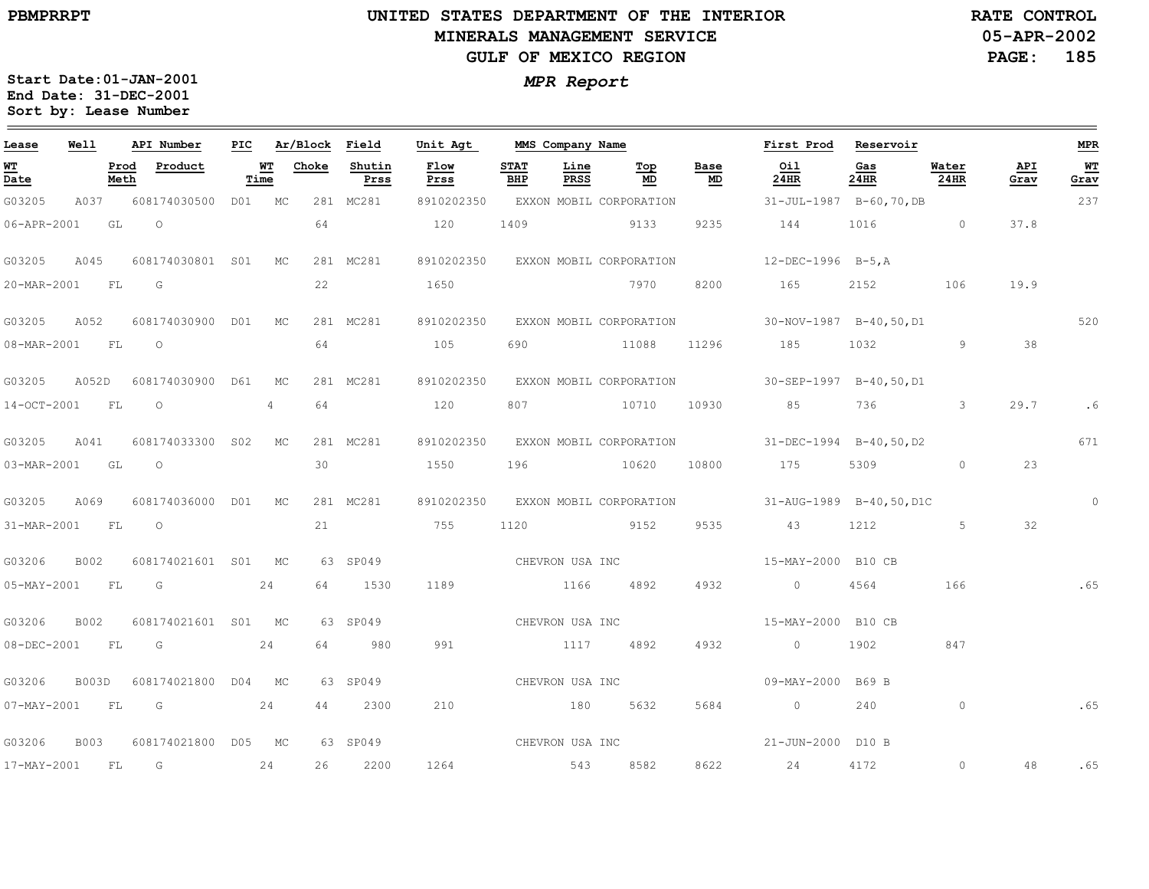$\qquad \qquad =$ 

# **UNITED STATES DEPARTMENT OF THE INTERIORMINERALS MANAGEMENT SERVICEGULF OF MEXICO REGION**

**05-APR-2002PAGE: 185 RATE CONTROL**

237

**MPR**

 $\equiv$ 

**WT Grav**

520

671

.6

0

.65

.65

.65

0

48

**Start Date:01-JAN-2001** *MPR Report* **End Date: 31-DEC-2001 Sort by: Lease Number** 

| Lease                          | Well |              | API Number                       | PIC.      |                | Ar/Block | Field          | Unit Agt                                                                                                                                                                                                                      |                    |              | MMS Company Name |                   | First Prod                                                 | Reservoir   |               |                    |
|--------------------------------|------|--------------|----------------------------------|-----------|----------------|----------|----------------|-------------------------------------------------------------------------------------------------------------------------------------------------------------------------------------------------------------------------------|--------------------|--------------|------------------|-------------------|------------------------------------------------------------|-------------|---------------|--------------------|
| $\overline{\text{MT}}$<br>Date |      | Prod<br>Meth | Product                          | <b>WT</b> | Time           | Choke    | Shutin<br>Prss | Flow<br>Prss                                                                                                                                                                                                                  | <b>STAT</b><br>BHP | Line<br>PRSS | Тор<br>MD        | Base<br><b>MD</b> | Oil<br>24HR                                                | Gas<br>24HR | Water<br>24HR | <b>API</b><br>Grav |
| G03205                         | A037 |              | 608174030500 D01 MC              |           |                |          | 281 MC281      |                                                                                                                                                                                                                               |                    |              |                  |                   | 8910202350 EXXON MOBIL CORPORATION 31-JUL-1987 B-60,70,DB  |             |               |                    |
| 06-APR-2001 GL                 |      |              | $\circ$                          |           |                | 64       |                | 120                                                                                                                                                                                                                           |                    |              | 1409 9133        | 9235              | 144 1016 0                                                 |             |               | 37.8               |
| G03205 A045                    |      |              | 608174030801 S01 MC              |           |                |          | 281 MC281      |                                                                                                                                                                                                                               |                    |              |                  |                   | 8910202350 EXXON MOBIL CORPORATION 12-DEC-1996 B-5, A      |             |               |                    |
| 20-MAR-2001 FL G               |      |              |                                  |           |                | 22       |                | 1650                                                                                                                                                                                                                          |                    |              | 7970             |                   | 8200 165                                                   | 2152 2152   | 106           | 19.9               |
| G03205 A052                    |      |              | 608174030900 D01 MC              |           |                |          | 281 MC281      |                                                                                                                                                                                                                               |                    |              |                  |                   | 8910202350 EXXON MOBIL CORPORATION 30-NOV-1987 B-40,50,D1  |             |               |                    |
| 08-MAR-2001 FL                 |      |              | $\circ$                          |           |                | 64       |                | 105                                                                                                                                                                                                                           |                    |              |                  |                   | 690 11088 11296 185 1032 9                                 |             |               | 38                 |
|                                |      |              | G03205 A052D 608174030900 D61 MC |           |                |          | 281 MC281      |                                                                                                                                                                                                                               |                    |              |                  |                   | 8910202350 EXXON MOBIL CORPORATION 30-SEP-1997 B-40,50, D1 |             |               |                    |
| 14-OCT-2001 FL                 |      |              | $\circ$                          |           | $4\phantom{0}$ | 64       |                | 120                                                                                                                                                                                                                           |                    |              |                  |                   | 807 10710 10930 85 736 3                                   |             |               | 29.7               |
|                                |      |              | G03205 A041 608174033300 S02 MC  |           |                |          | 281 MC281      |                                                                                                                                                                                                                               |                    |              |                  |                   | 8910202350 EXXON MOBIL CORPORATION 31-DEC-1994 B-40,50, D2 |             |               |                    |
| 03-MAR-2001 GL                 |      |              |                                  |           |                | 30       |                | 1550                                                                                                                                                                                                                          |                    |              | 196 10620        |                   | 10800 175                                                  | 5309 0      |               | 23                 |
| G03205 A069                    |      |              | 608174036000 D01 MC              |           |                |          | 281 MC281      |                                                                                                                                                                                                                               |                    |              |                  |                   | 8910202350 EXXON MOBIL CORPORATION 31-AUG-1989 B-40,50,D1C |             |               |                    |
| 31-MAR-2001 FL O               |      |              |                                  |           |                |          |                | 21 755                                                                                                                                                                                                                        |                    |              | 1120 9152        |                   | 9535 43 1212 5                                             |             |               | 32                 |
| G03206 B002                    |      |              | 608174021601 S01 MC              |           |                |          | 63 SP049       |                                                                                                                                                                                                                               |                    |              | CHEVRON USA INC  |                   | 15-MAY-2000 B10 CB                                         |             |               |                    |
| 05-MAY-2001 FL G               |      |              | 24                               |           |                |          | 64 1530        | 1189 1166 4892                                                                                                                                                                                                                |                    |              |                  |                   | 4932 0 4564                                                |             | 166           |                    |
| G03206                         | B002 |              | 608174021601 S01 MC              |           |                |          | 63 SP049       |                                                                                                                                                                                                                               |                    |              | CHEVRON USA INC  |                   | 15-MAY-2000 B10 CB                                         |             |               |                    |
| 08-DEC-2001 FL G               |      |              | 24                               |           |                | 64       | 980            | 991                                                                                                                                                                                                                           |                    |              | 1117 4892        |                   | 4932 0 1902                                                |             | 847           |                    |
|                                |      |              | G03206 B003D 608174021800 D04 MC |           |                |          | 63 SP049       |                                                                                                                                                                                                                               |                    |              |                  |                   | CHEVRON USA INC 609-MAY-2000 B69 B                         |             |               |                    |
|                                |      |              | 07-MAY-2001 FL G 24              |           |                | 44       | 2300           | 210                                                                                                                                                                                                                           |                    |              | 180 5632         |                   | 5684 0 240                                                 |             | $\circ$       |                    |
|                                |      |              |                                  |           |                |          |                | $0.02200$ $0.01200174021000$ $0.05$ $0.010$ $0.0040$ $0.0010$ $0.00100$ $0.00100$ $0.00100$ $0.00100$ $0.00100$ $0.00100$ $0.00100$ $0.00100$ $0.00100$ $0.00100$ $0.00100$ $0.00100$ $0.00100$ $0.00100$ $0.00100$ $0.00100$ |                    |              |                  |                   | 01 TIM 2000 D10 D                                          |             |               |                    |

G03206 B003608174021800 D05 MC 63SP04921-JUN-2000 D10 B 17-MAY-2001 FLG 24262200126454385828622244172CHEVRON USA INC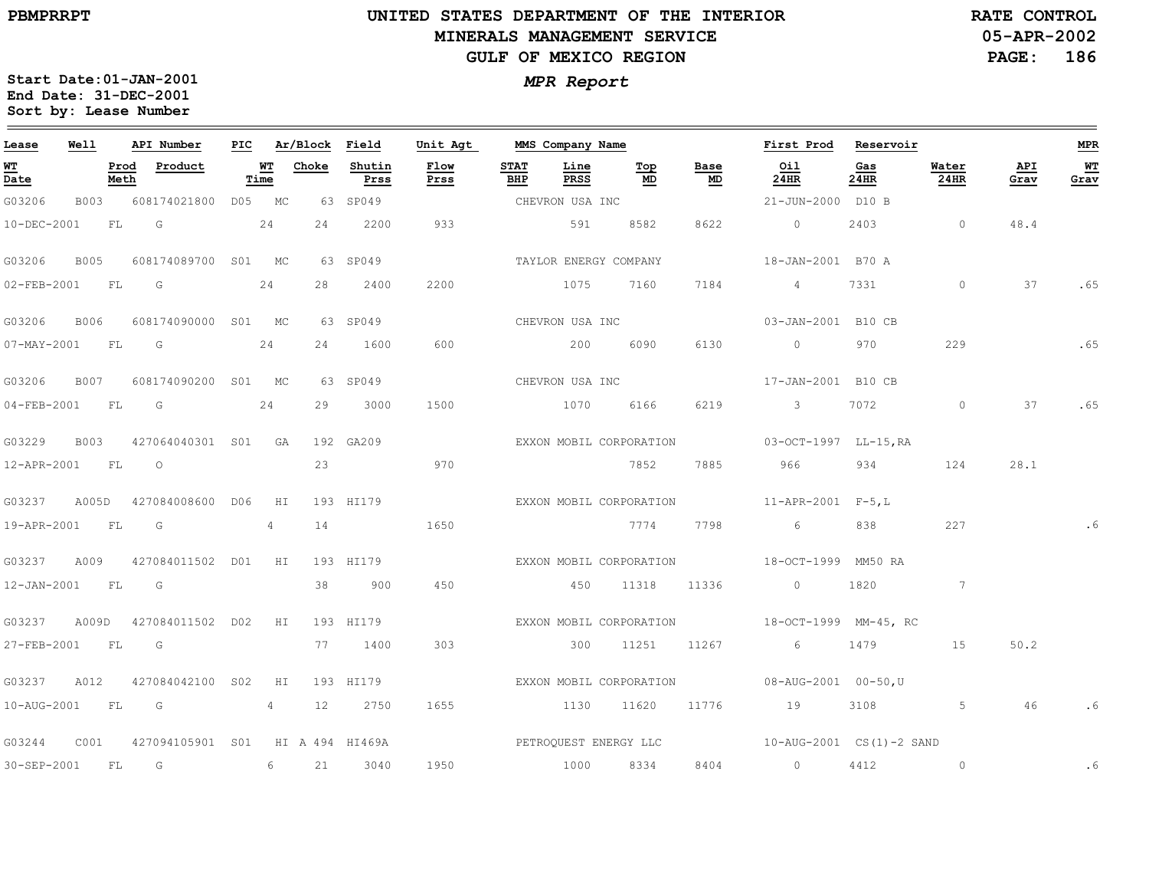## **UNITED STATES DEPARTMENT OF THE INTERIOR MINERALS MANAGEMENT SERVICEGULF OF MEXICO REGION**

**05-APR-2002PAGE: 186 RATE CONTROL**

| Lease             | Well        |              | API Number          |            | PIC Ar/Block Field |                 | Unit Agt              |                    | MMS Company Name    |                         |            | First Prod                                                         | Reservoir   |                |             | <b>MPR</b> |
|-------------------|-------------|--------------|---------------------|------------|--------------------|-----------------|-----------------------|--------------------|---------------------|-------------------------|------------|--------------------------------------------------------------------|-------------|----------------|-------------|------------|
| WT<br>Date        |             | Prod<br>Meth | Product             | WT<br>Time | Choke              | Shutin<br>Prss  | Flow<br>Prss          | <b>STAT</b><br>BHP | Line<br><b>PRSS</b> | Top<br>MD               | Base<br>MD | Oil<br>24HR                                                        | Gas<br>24HR | Water<br>24HR  | API<br>Grav | WТ<br>Grav |
| G03206            | B003        |              | 608174021800 D05 MC |            |                    | 63 SP049        |                       |                    | CHEVRON USA INC     |                         |            | 21-JUN-2000 D10 B                                                  |             |                |             |            |
| 10-DEC-2001       |             | FL           | G                   | 24         | 24                 | 2200            | 933                   |                    | 591                 | 8582                    | 8622       | $\overline{0}$                                                     | 2403        | $\overline{0}$ | 48.4        |            |
| G03206            | <b>B005</b> |              | 608174089700 S01 MC |            |                    | 63 SP049        |                       |                    |                     | TAYLOR ENERGY COMPANY   |            | 18-JAN-2001 B70 A                                                  |             |                |             |            |
| $02 - FEB - 2001$ |             | FL           | $\overline{G}$      | 24         | 28                 | 2400            | 2200                  |                    | 1075                | 7160                    | 7184       | 4                                                                  | 7331        | $\circ$        | 37          | .65        |
| G03206            | <b>B006</b> |              | 608174090000 S01 MC |            |                    | 63 SP049        |                       |                    | CHEVRON USA INC     |                         |            | 03-JAN-2001 B10 CB                                                 |             |                |             |            |
| $07 - MAX - 2001$ |             | <b>FL</b>    | G                   | 24         | 24                 | 1600            | 600                   |                    | 200                 | 6090                    | 6130       | $\overline{0}$                                                     | 970         | 229            |             | .65        |
| G03206            | B007        |              | 608174090200 S01 MC |            |                    | 63 SP049        |                       |                    | CHEVRON USA INC     |                         |            | 17-JAN-2001 B10 CB                                                 |             |                |             |            |
| $04 - FEB - 2001$ |             | FL           | G                   | 24         | 29                 | 3000            | 1500                  |                    | 1070                | 6166                    | 6219       | $\mathcal{S}$                                                      | 7072        | $\circ$        | 37          | .65        |
| G03229            | B003        |              | 427064040301 S01 GA |            |                    | 192 GA209       |                       |                    |                     | EXXON MOBIL CORPORATION |            | 03-OCT-1997 LL-15, RA                                              |             |                |             |            |
| 12-APR-2001 FL    |             |              | $\overline{O}$      |            | 23                 |                 | 970                   |                    |                     | 7852                    | 7885       | 966 —                                                              | 934         | 124            | 28.1        |            |
| G03237            | A005D       |              | 427084008600 D06    | HI         |                    | 193 HI179       |                       |                    |                     | EXXON MOBIL CORPORATION |            | $11$ -APR-2001 F-5,L                                               |             |                |             |            |
| 19-APR-2001       |             | FL           | G                   | 4          | 14                 |                 | 1650                  |                    |                     | 7774                    | 7798       | 6                                                                  | 838         | 227            |             |            |
| G03237            | A009        |              | 427084011502 D01 HI |            |                    | 193 HI179       |                       |                    |                     | EXXON MOBIL CORPORATION |            | 18-OCT-1999 MM50 RA                                                |             |                |             |            |
| 12-JAN-2001       |             | FL           | G                   |            | 38                 | 900             | 450                   |                    | 450                 | 11318                   | 11336      | $\overline{0}$                                                     | 1820        | $\sim$ 7       |             |            |
| G03237            | A009D       |              | 427084011502 D02    | HI         |                    | 193 HI179       |                       |                    |                     |                         |            | EXXON MOBIL CORPORATION 18-OCT-1999 MM-45, RC                      |             |                |             |            |
| 27-FEB-2001       |             | <b>FL</b>    | <b>G</b>            |            | 77                 | 1400            | 303                   |                    | 300                 | 11251                   | 11267      | 6                                                                  | 1479        | 15             | 50.2        |            |
| G03237            | A012        |              | 427084042100 S02    | H I        |                    | 193 HI179       |                       |                    |                     | EXXON MOBIL CORPORATION |            | 08-AUG-2001 00-50, U                                               |             |                |             |            |
| 10-AUG-2001       |             | FL G         |                     | 4          | 12                 | 2750            | 1655                  |                    | 1130                | 11620                   | 11776      | 19                                                                 | 3108 310    | 5              | 46          |            |
| G03244            | C001        |              | 427094105901 S01    |            |                    | HI A 494 HI469A | PETROQUEST ENERGY LLC |                    |                     |                         |            | $10 - \text{AUG} - 2001 \quad \text{CS (1)} - 2 \quad \text{SAND}$ |             |                |             |            |
| 30-SEP-2001       |             | <b>FL</b>    | $\overline{G}$      | 6          | 21                 | 3040            | 1950                  |                    |                     | 1000 8334               | 8404       | $\overline{0}$                                                     | 4412        | $\circ$        |             | .6         |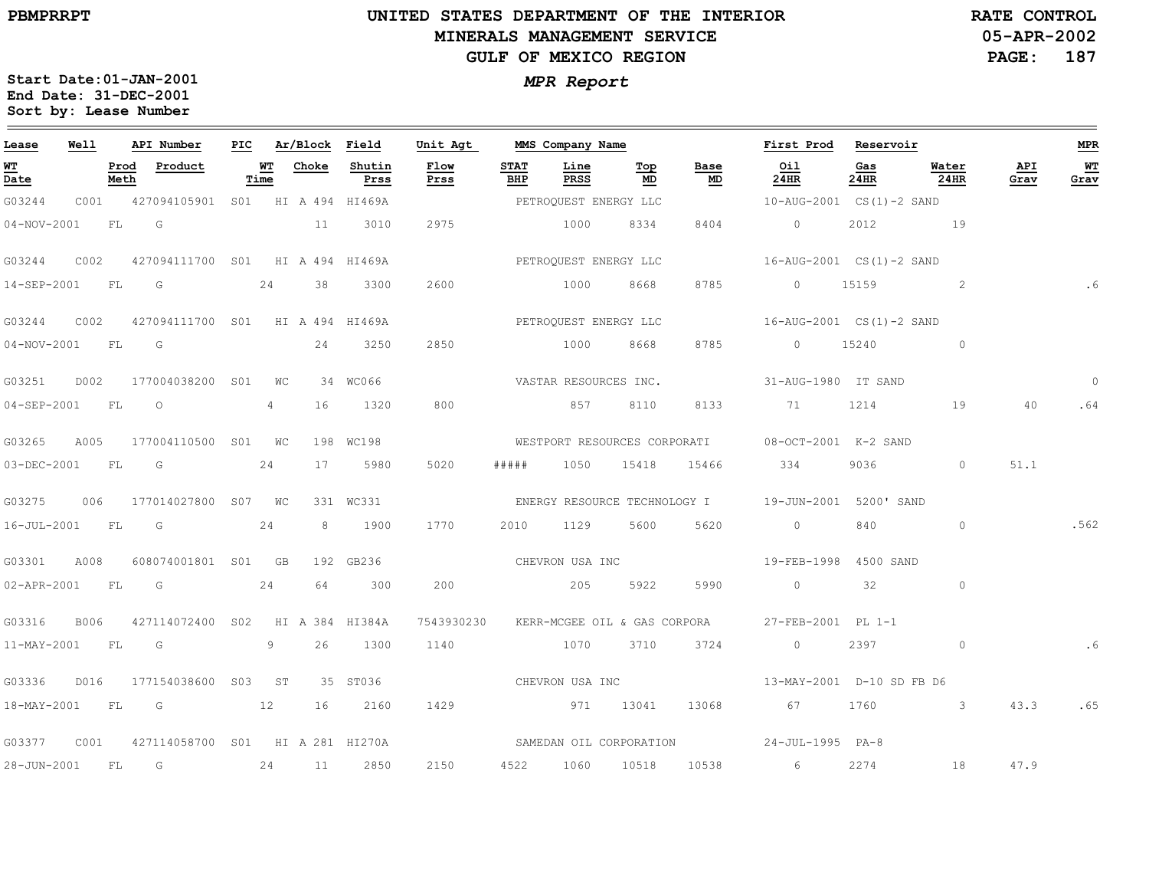## **UNITED STATES DEPARTMENT OF THE INTERIOR MINERALS MANAGEMENT SERVICEGULF OF MEXICO REGION**

**05-APR-2002PAGE: 187 RATE CONTROL**

| Lease             | Well |              | API Number                            |            | PIC Ar/Block Field |                | Unit Agt     |                    | MMS Company Name      |            |                                         | First Prod                                          | Reservoir   |               |             | <b>MPR</b> |
|-------------------|------|--------------|---------------------------------------|------------|--------------------|----------------|--------------|--------------------|-----------------------|------------|-----------------------------------------|-----------------------------------------------------|-------------|---------------|-------------|------------|
| WT<br>Date        |      | Prod<br>Meth | Product                               | WT<br>Time | Choke              | Shutin<br>Prss | Flow<br>Prss | <b>STAT</b><br>BHP | Line<br>PRSS          | Top<br>MD  | Base<br>MD                              | Oil<br>24HR                                         | Gas<br>24HR | Water<br>24HR | API<br>Grav | WТ<br>Grav |
| G03244            |      |              | C001 427094105901 S01 HI A 494 HI469A |            |                    |                |              |                    | PETROQUEST ENERGY LLC |            |                                         | 10-AUG-2001 CS(1)-2 SAND                            |             |               |             |            |
| $04 - NOV - 2001$ |      | FL G         |                                       |            | 11                 | 3010           | 2975         |                    | 1000                  | 8334       | 8404                                    | $\overline{0}$                                      |             | 2012 19       |             |            |
| G03244            | C002 |              | 427094111700 S01 HI A 494 HI469A      |            |                    |                |              |                    |                       |            |                                         |                                                     |             |               |             |            |
| 14-SEP-2001 FL G  |      |              | 24                                    |            | 38                 | 3300           | 2600         |                    | 1000                  | 8668       | 8785                                    | 0 15159                                             |             | $\sim$ 2      |             | . 6        |
| G03244            | C002 |              | 427094111700 SO1 HI A 494 HI469A      |            |                    |                |              |                    | PETROQUEST ENERGY LLC |            |                                         | 16-AUG-2001 CS(1)-2 SAND                            |             |               |             |            |
| 04-NOV-2001 FL G  |      |              |                                       |            | 24                 | 3250           | 2850         |                    | 1000 8668             |            | 8785                                    | 0 15240                                             |             | $\circ$       |             |            |
| G03251            | D002 |              | 177004038200 S01 WC                   |            |                    | 34 WC066       |              |                    | VASTAR RESOURCES INC. |            |                                         | 31-AUG-1980 IT SAND                                 |             |               |             | $\Omega$   |
| 04-SEP-2001 FL    |      |              | $\circ$                               | 4          | 16                 | 1320           | 800          |                    | 857                   | 8110       | 8133                                    | 71                                                  | 1214        | 19            | 40          | .64        |
| G03265            | A005 |              | 177004110500 S01 WC                   |            |                    | 198 WC198      |              |                    |                       |            |                                         | WESTPORT RESOURCES CORPORATI 08-OCT-2001 K-2 SAND   |             |               |             |            |
| 03-DEC-2001 FL G  |      |              |                                       | 24         | 17                 | 5980           | 5020         | # # # # #          |                       | 1050 15418 | 15466                                   | 334                                                 | 9036        | $\circ$       | 51.1        |            |
| G03275            | 006  |              | 177014027800 S07 WC                   |            |                    | 331 WC331      |              |                    |                       |            |                                         | ENERGY RESOURCE TECHNOLOGY I 19-JUN-2001 5200' SAND |             |               |             |            |
| 16-JUL-2001 FL G  |      |              |                                       | 24         | 8                  | 1900           | 1770         | 2010               | 1129                  | 5600       | 5620                                    | $\circ$                                             | 840         | $\circ$       |             | .562       |
| G03301            | A008 |              | 608074001801 S01 GB                   |            |                    | 192 GB236      |              |                    | CHEVRON USA INC       |            |                                         | 19-FEB-1998 4500 SAND                               |             |               |             |            |
|                   |      |              | 02-APR-2001 FL G                      | 24         | 64                 | 300            | 200          |                    | 205                   | 5922       | 5990                                    | $\overline{0}$                                      | 32          | $\circ$       |             |            |
| G03316            | B006 |              | 427114072400 S02 HI A 384 HI384A      |            |                    |                |              |                    |                       |            | 7543930230 KERR-MCGEE OIL & GAS CORPORA | 27-FEB-2001 PL 1-1                                  |             |               |             |            |
| 11-MAY-2001 FL    |      |              | G                                     | 9          | 26                 | 1300           | 1140         |                    | 1070                  | 3710       | 3724                                    | $\circ$                                             | 2397        | $\circ$       |             | .6         |
| G03336            | D016 |              | 177154038600 S03 ST                   |            |                    | 35 ST036       |              |                    |                       |            | CHEVRON USA INC                         | 13-MAY-2001 D-10 SD FB D6                           |             |               |             |            |
|                   |      |              | 18-MAY-2001 FL G 12                   |            | 16                 | 2160           | 1429         |                    | 971 13041             |            | 13068                                   | 67 67                                               |             | 1760 3        | 43.3        | .65        |
| G03377            | C001 |              | 427114058700 S01 HI A 281 HI270A      |            |                    |                |              |                    |                       |            |                                         | SAMEDAN OIL CORPORATION 24-JUL-1995 PA-8            |             |               |             |            |
| 28-JUN-2001       |      | <b>FL</b>    | $\overline{G}$                        | 24         |                    | 11 2850        | 2150         |                    | 4522 1060 10518       |            |                                         | 10538 6                                             | 2274        | 18            | 47.9        |            |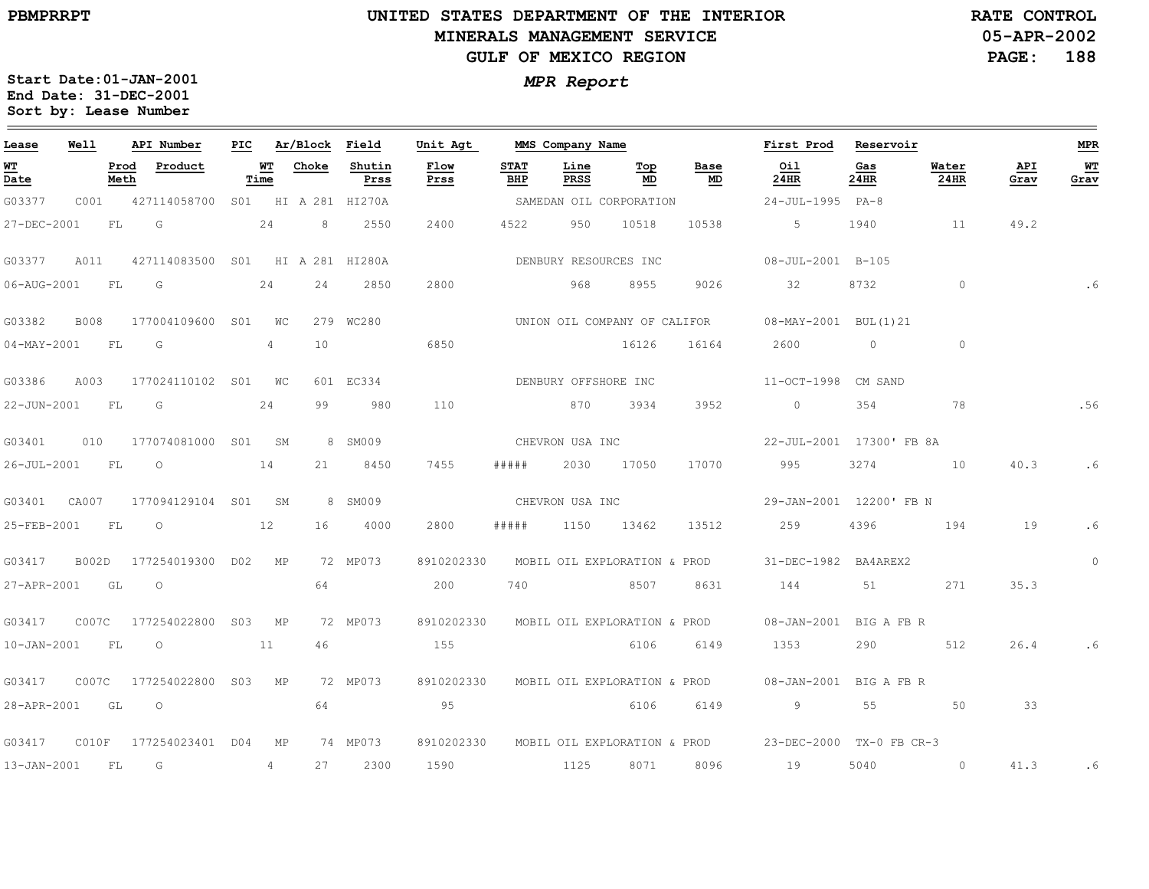## **UNITED STATES DEPARTMENT OF THE INTERIOR MINERALS MANAGEMENT SERVICEGULF OF MEXICO REGION**

**05-APR-2002PAGE: 188 RATE CONTROL**

| Lease             | Well         |              | API Number       | PIC |            | Ar/Block | Field           | Unit Agt     |                    | MMS Company Name             |           |            | First Prod               | Reservoir   |                      |             | <b>MPR</b> |
|-------------------|--------------|--------------|------------------|-----|------------|----------|-----------------|--------------|--------------------|------------------------------|-----------|------------|--------------------------|-------------|----------------------|-------------|------------|
| WT<br>Date        |              | Prod<br>Meth | Product          |     | WT<br>Time | Choke    | Shutin<br>Prss  | Flow<br>Prss | <b>STAT</b><br>BHP | Line<br>PRSS                 | Top<br>MD | Base<br>MD | Oil<br>24HR              | Gas<br>24HR | Water<br><b>24HR</b> | API<br>Grav | WT<br>Grav |
| G03377            | C001         |              | 427114058700     | SO1 |            |          | HI A 281 HI270A |              |                    | SAMEDAN OIL CORPORATION      |           |            | 24-JUL-1995              | $PA-8$      |                      |             |            |
| 27-DEC-2001       |              | FL           | G                |     | 24         | 8        | 2550            | 2400         | 4522               | 950                          | 10518     | 10538      | 5                        | 1940        | 11                   | 49.2        |            |
| G03377            | A011         |              | 427114083500     | SO1 |            |          | HI A 281 HI280A |              |                    | DENBURY RESOURCES INC        |           |            | 08-JUL-2001 B-105        |             |                      |             |            |
| 06-AUG-2001       |              | FL           | G                |     | 24         | 24       | 2850            | 2800         |                    | 968                          | 8955      | 9026       | 32                       | 8732        | $\circ$              |             |            |
| G03382            | <b>B008</b>  |              | 177004109600     | S01 | WС         |          | 279 WC280       |              |                    | UNION OIL COMPANY OF CALIFOR |           |            | 08-MAY-2001 BUL(1)21     |             |                      |             |            |
| $04 - MAY - 2001$ |              | FL           | G                |     | 4          | 10       |                 | 6850         |                    |                              | 16126     | 16164      | 2600                     | $\circ$     | $\circ$              |             |            |
| G03386            | A003         |              | 177024110102 S01 |     | WС         |          | 601 EC334       |              |                    | DENBURY OFFSHORE INC         |           |            | 11-OCT-1998              | CM SAND     |                      |             |            |
| 22-JUN-2001       |              | FL           | G                |     | 24         | 99       | 980             | 110          |                    | 870                          | 3934      | 3952       | $\circ$                  | 354         | 78                   |             | .56        |
| G03401            | 010          |              | 177074081000     | SO1 | SM         |          | 8 SM009         |              |                    | CHEVRON USA INC              |           |            | 22-JUL-2001 17300' FB 8A |             |                      |             |            |
| 26-JUL-2001       |              | FL           | $\circ$          |     | 14         | 21       | 8450            | 7455         | #####              | 2030                         | 17050     | 17070      | 995                      | 3274        | 10                   | 40.3        | .6         |
| G03401            | CA007        |              | 177094129104     | SO1 | SM         |          | 8 SM009         |              |                    | CHEVRON USA INC              |           |            | 29-JAN-2001 12200' FB N  |             |                      |             |            |
| 25-FEB-2001       |              | FL           | $\circ$          |     | 12         | 16       | 4000            | 2800         | # # # # #          | 1150                         | 13462     | 13512      | 259                      | 4396        | 194                  | 19          | .6         |
| G03417            | <b>B002D</b> |              | 177254019300     | DO2 | MP         |          | 72 MP073        | 8910202330   |                    | MOBIL OIL EXPLORATION & PROD |           |            | 31-DEC-1982 BA4AREX2     |             |                      |             | $\circ$    |
| 27-APR-2001       |              | GL           | $\circ$          |     |            | 64       |                 | 200          | 740                |                              | 8507      | 8631       | 144                      | 51          | 271                  | 35.3        |            |
| G03417            | C007C        |              | 177254022800     | S03 | МP         |          | 72 MP073        | 8910202330   |                    | MOBIL OIL EXPLORATION & PROD |           |            | $08 - JAN - 2001$        | BIG A FB R  |                      |             |            |
| $10 - JAN - 2001$ |              | FL           | $\circ$          |     | 11         | 46       |                 | 155          |                    |                              | 6106      | 6149       | 1353                     | 290         | 512                  | 26.4        | .6         |
| G03417            | C007C        |              | 177254022800     | S03 | МP         |          | 72 MP073        | 8910202330   |                    | MOBIL OIL EXPLORATION & PROD |           |            | $08 - JAN - 2001$        | BIG A FB R  |                      |             |            |
| 28-APR-2001       |              | GL           | $\circ$          |     |            | 64       |                 | 95           |                    |                              | 6106      | 6149       | 9                        | 55          | 50                   | 33          |            |
| G03417            | C010F        |              | 177254023401 D04 |     | МP         |          | 74 MP073        | 8910202330   |                    | MOBIL OIL EXPLORATION & PROD |           |            | 23-DEC-2000 TX-0 FB CR-3 |             |                      |             |            |
| 13-JAN-2001       |              | FL           | G                |     | 4          | 27       | 2300            | 1590         |                    | 1125                         | 8071      | 8096       | 19                       | 5040        | $\circ$              | 41.3        | .6         |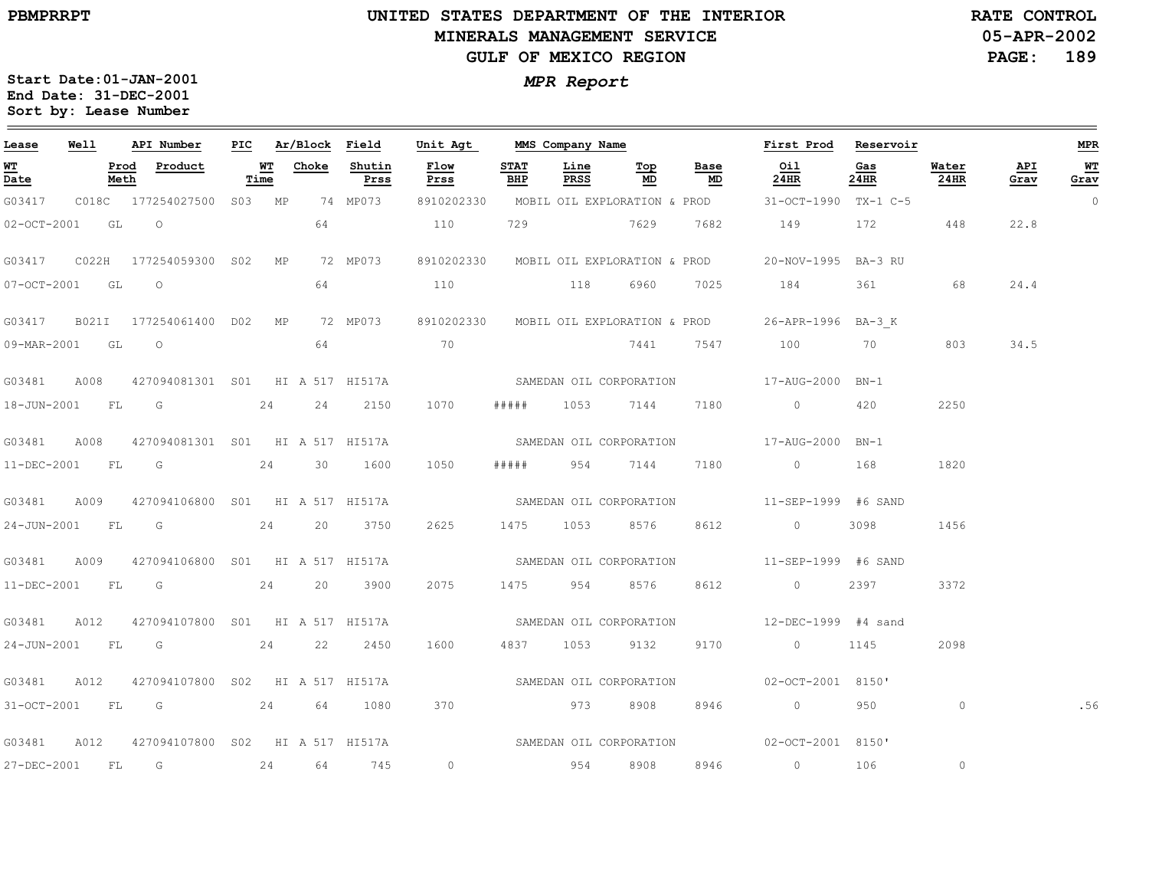$=$ 

## **UNITED STATES DEPARTMENT OF THE INTERIOR MINERALS MANAGEMENT SERVICEGULF OF MEXICO REGION**

**05-APR-2002PAGE: 189 RATE CONTROL**

| Lease            | Well |      | API Number                                   | PIC |            | Ar/Block Field |                | Unit Agt                                |                    | MMS Company Name |                     |            | First Prod                                                                                                                                                                                                                                                                                                                         | Reservoir   |               |             | <b>MPR</b> |
|------------------|------|------|----------------------------------------------|-----|------------|----------------|----------------|-----------------------------------------|--------------------|------------------|---------------------|------------|------------------------------------------------------------------------------------------------------------------------------------------------------------------------------------------------------------------------------------------------------------------------------------------------------------------------------------|-------------|---------------|-------------|------------|
| WT<br>Date       |      | Meth | Prod Product                                 |     | WT<br>Time | Choke          | Shutin<br>Prss | Flow<br>Prss                            | <b>STAT</b><br>BHP | Line<br>PRSS     | <u>Top</u><br>MD    | Base<br>MD | Oil<br>24HR                                                                                                                                                                                                                                                                                                                        | Gas<br>24HR | Water<br>24HR | API<br>Grav | WT<br>Grav |
| G03417           |      |      | C018C 177254027500 S03 MP                    |     |            |                | 74 MP073       | 8910202330 MOBIL OIL EXPLORATION & PROD |                    |                  |                     |            | 31-OCT-1990 TX-1 C-5                                                                                                                                                                                                                                                                                                               |             |               |             | 0          |
| 02-OCT-2001 GL O |      |      |                                              |     |            | 64             |                | 110                                     | 729                | 7629             |                     | 7682       | 149                                                                                                                                                                                                                                                                                                                                | 172         | 448           | 22.8        |            |
|                  |      |      |                                              |     |            |                | 72 MP073       | 8910202330 MOBIL OIL EXPLORATION & PROD |                    |                  |                     |            | 20-NOV-1995 BA-3 RU                                                                                                                                                                                                                                                                                                                |             |               |             |            |
| 07-OCT-2001 GL   |      |      | $\overline{a}$                               |     |            | 64             |                | 110                                     |                    | 118              | 6960                | 7025       | 184                                                                                                                                                                                                                                                                                                                                | 361         | 68            | 24.4        |            |
|                  |      |      | G03417 B021I 177254061400 D02 MP             |     |            |                | 72 MP073       |                                         |                    |                  |                     |            | 8910202330 MOBIL OIL EXPLORATION & PROD 26-APR-1996 BA-3 K                                                                                                                                                                                                                                                                         |             |               |             |            |
| 09-MAR-2001 GL O |      |      |                                              |     |            | 64             |                | 70                                      |                    |                  | 7441                |            | 7547 100 70                                                                                                                                                                                                                                                                                                                        |             | 803           | 34.5        |            |
|                  |      |      | G03481 A008 427094081301 S01 HI A 517 HI517A |     |            |                |                |                                         |                    |                  |                     |            | SAMEDAN OIL CORPORATION 517-AUG-2000 BN-1                                                                                                                                                                                                                                                                                          |             |               |             |            |
| 18-JUN-2001 FL G |      |      |                                              |     | 24         | 24             | 2150           | 1070                                    | #####              | 1053             | 7144                | 7180       | $\overline{0}$ and $\overline{0}$ and $\overline{0}$ and $\overline{0}$ and $\overline{0}$ and $\overline{0}$ and $\overline{0}$ and $\overline{0}$ and $\overline{0}$ and $\overline{0}$ and $\overline{0}$ and $\overline{0}$ and $\overline{0}$ and $\overline{0}$ and $\overline{0}$ and $\overline{0}$ and $\overline{0}$ and | 420         | 2250          |             |            |
|                  |      |      | G03481 A008 427094081301 S01 HI A 517 HI517A |     |            |                |                | SAMEDAN OIL CORPORATION                 |                    |                  |                     |            | 17-AUG-2000 BN-1                                                                                                                                                                                                                                                                                                                   |             |               |             |            |
|                  |      |      | 11-DEC-2001 FL G 24                          |     |            |                | 30 1600        | 1050                                    |                    |                  | ##### 954 7144 7180 |            | $\overline{0}$                                                                                                                                                                                                                                                                                                                     | 168         | 1820          |             |            |
| G03481           |      |      | A009 427094106800 S01 HI A 517 HI517A        |     |            |                |                |                                         |                    |                  |                     |            | SAMEDAN OIL CORPORATION 5 11-SEP-1999 #6 SAND                                                                                                                                                                                                                                                                                      |             |               |             |            |
| 24-JUN-2001 FL G |      |      |                                              |     | 24         | 20             | 3750           | 2625                                    |                    | 1475 1053        | 8576                | 8612       | $\overline{0}$                                                                                                                                                                                                                                                                                                                     | 3098        | 1456          |             |            |
| G03481           |      |      | A009 427094106800 S01 HI A 517 HI517A        |     |            |                |                |                                         |                    |                  |                     |            | SAMEDAN OIL CORPORATION 5 11-SEP-1999 #6 SAND                                                                                                                                                                                                                                                                                      |             |               |             |            |
|                  |      |      | 11-DEC-2001 FL G 24                          |     |            |                | 20 3900        | 2075                                    |                    |                  | 1475 954 8576 8612  |            | $\overline{0}$                                                                                                                                                                                                                                                                                                                     | 2397        | 3372          |             |            |
|                  |      |      | G03481 A012 427094107800 S01 HI A 517 HI517A |     |            |                |                |                                         |                    |                  |                     |            |                                                                                                                                                                                                                                                                                                                                    |             |               |             |            |
|                  |      |      | 24-JUN-2001 FL G 24                          |     |            | 22             | 2450           | 1600                                    |                    | 4837 1053        | 9132                | 9170       | $\sim$ 0                                                                                                                                                                                                                                                                                                                           | 1145        | 2098          |             |            |
| G03481           |      |      | A012 427094107800 S02 HI A 517 HI517A        |     |            |                |                | SAMEDAN OIL CORPORATION                 |                    |                  |                     |            | 02-OCT-2001 8150'                                                                                                                                                                                                                                                                                                                  |             |               |             |            |
|                  |      |      | 31-OCT-2001 FL G 24 64 1080                  |     |            |                |                | 370                                     |                    |                  | 973 8908 8946       |            | $\overline{0}$                                                                                                                                                                                                                                                                                                                     | 950 — 10    | $\circ$       |             | .56        |
|                  |      |      | G03481 A012 427094107800 S02 HI A 517 HI517A |     |            |                |                |                                         |                    |                  |                     |            | SAMEDAN OIL CORPORATION 02-OCT-2001 8150'                                                                                                                                                                                                                                                                                          |             |               |             |            |
| 27-DEC-2001 FL G |      |      |                                              |     |            |                | 24 64 745      | $\circ$                                 |                    |                  | 954 8908            | 8946       | $\sim$ 0                                                                                                                                                                                                                                                                                                                           | 106         | $\circ$       |             |            |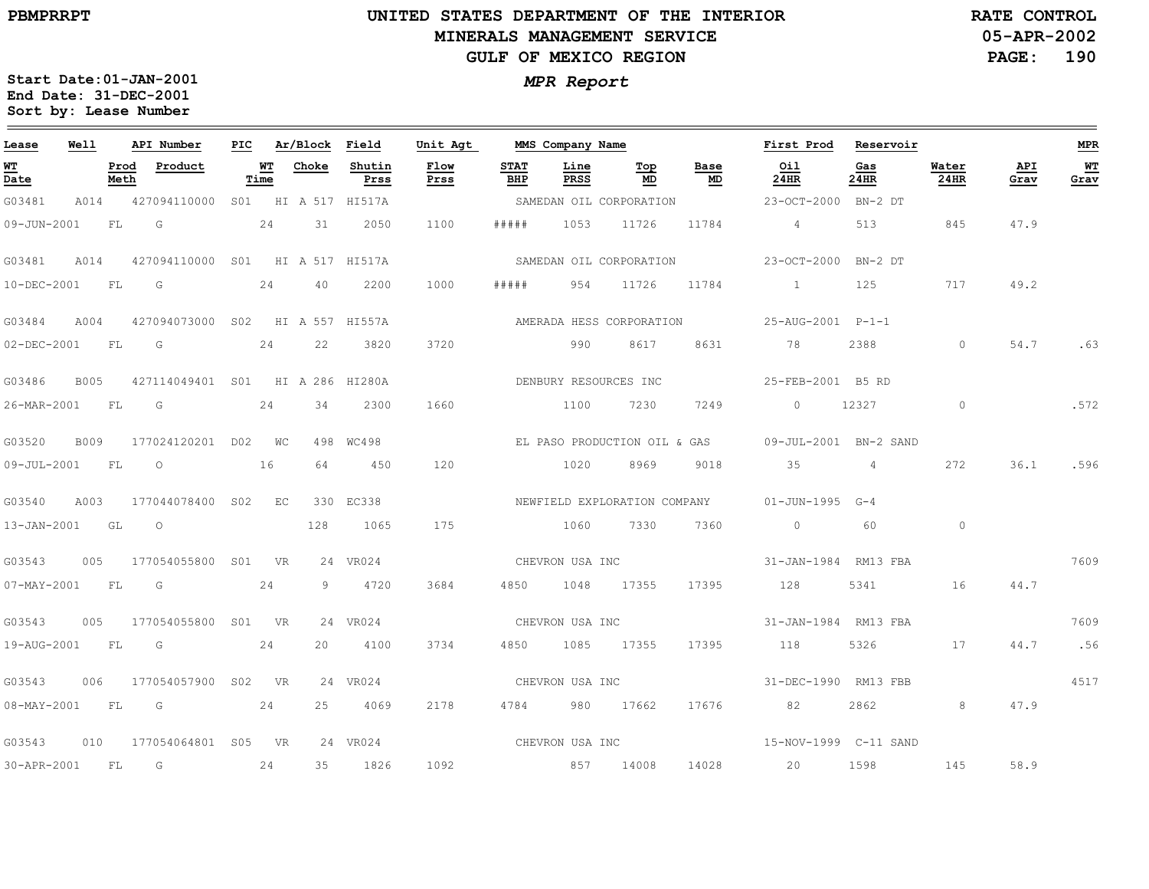## **UNITED STATES DEPARTMENT OF THE INTERIOR MINERALS MANAGEMENT SERVICEGULF OF MEXICO REGION**

**05-APR-2002 PAGE: 190 RATE CONTROL**

| Lease                                 | Well |      | API Number                            |            | PIC Ar/Block Field |                | Unit Agt            |                    | MMS Company Name |                                        |                                   | First Prod Reservoir                         |             |               |             | <b>MPR</b> |
|---------------------------------------|------|------|---------------------------------------|------------|--------------------|----------------|---------------------|--------------------|------------------|----------------------------------------|-----------------------------------|----------------------------------------------|-------------|---------------|-------------|------------|
| <b>WT</b><br>$\overline{\text{Date}}$ |      | Meth | Prod Product                          | WT<br>Time | Choke              | Shutin<br>Prss | <b>Flow</b><br>Prss | <b>STAT</b><br>BHP | Line<br>PRSS     | $\underline{\operatorname{Top}}$<br>MD | Base<br>$\underline{\mathbf{MD}}$ | Oil<br>24HR                                  | Gas<br>24HR | Water<br>24HR | API<br>Grav | WT<br>Grav |
| G03481                                |      |      | A014 427094110000 S01 HI A 517 HI517A |            |                    |                |                     |                    |                  |                                        |                                   |                                              |             |               |             |            |
| 09-JUN-2001 FL G                      |      |      | 24                                    |            | 31                 | 2050           | 1100                | # # # # #          |                  | 1053 11726                             | 11784                             | $4\overline{4}$                              | 513         | 845           | 47.9        |            |
| G03481                                | A014 |      | 427094110000 S01 HI A 517 HI517A      |            |                    |                |                     |                    |                  |                                        |                                   | SAMEDAN OIL CORPORATION 23-OCT-2000 BN-2 DT  |             |               |             |            |
| 10-DEC-2001 FL                        |      |      | G                                     | 24         | 40                 | 2200           | 1000                | #####              |                  | 954 11726                              | 11784                             | $\sim$ 1                                     | 125         | 717           | 49.2        |            |
| G03484                                | A004 |      | 427094073000 S02 HI A 557 HI557A      |            |                    |                |                     |                    |                  |                                        |                                   | AMERADA HESS CORPORATION 25-AUG-2001 P-1-1   |             |               |             |            |
| 02-DEC-2001 FL G                      |      |      | 24 22                                 |            |                    | 3820           | 3720                |                    |                  | 990 8617                               |                                   | 8631 78                                      | 2388        | $\circ$       | 54.7        | .63        |
| G03486                                | B005 |      | 427114049401 S01 HI A 286 HI280A      |            |                    |                |                     |                    |                  | DENBURY RESOURCES INC                  |                                   | 25-FEB-2001 B5 RD                            |             |               |             |            |
| 26-MAR-2001 FL                        |      |      | $\overline{G}$                        | 24         | 34                 | 2300           | 1660                |                    | 1100             | 7230                                   | 7249                              | $\circ$                                      | 12327       | $\circ$       |             | .572       |
| G03520                                |      |      | B009 177024120201 D02 WC              |            |                    | 498 WC498      |                     |                    |                  | EL PASO PRODUCTION OIL & GAS           |                                   | 09-JUL-2001 BN-2 SAND                        |             |               |             |            |
| 09-JUL-2001 FL O                      |      |      | 16                                    |            | 64                 | 450            | 120                 |                    | 1020             | 8969                                   | 9018                              | $35$ 4                                       |             | 272           | 36.1        | .596       |
| G03540                                | A003 |      | 177044078400 S02 EC                   |            |                    | 330 EC338      |                     |                    |                  |                                        |                                   | NEWFIELD EXPLORATION COMPANY 01-JUN-1995 G-4 |             |               |             |            |
| 13-JAN-2001 GL                        |      |      | $\circ$                               |            | 128                | 1065           | 175                 |                    | 1060             | 7330                                   | 7360                              | $\overline{0}$                               | 60          | $\circ$       |             |            |
| G03543                                |      |      | 005 177054055800 S01 VR               |            |                    | 24 VR024       |                     |                    | CHEVRON USA INC  |                                        |                                   | 31-JAN-1984 RM13 FBA                         |             |               |             | 7609       |
| 07-MAY-2001 FL G                      |      |      | 24                                    |            |                    | 9 4720         | 3684                |                    |                  | 4850 1048 17355 17395                  |                                   | 128 5341 16 44.7                             |             |               |             |            |
| G03543                                |      |      | 005 177054055800 S01 VR               |            |                    | 24 VR024       |                     |                    |                  |                                        |                                   | CHEVRON USA INC 31-JAN-1984 RM13 FBA         |             |               |             | 7609       |
| 19-AUG-2001 FL G                      |      |      | 24                                    |            | 20                 | 4100           | 3734                | 4850               |                  | 1085 17355 17395                       |                                   | 118                                          | 5326        |               | 17 44.7     | .56        |
| G03543                                |      |      | 006 177054057900 S02 VR               |            |                    | 24 VR024       |                     |                    | CHEVRON USA INC  |                                        |                                   | 31-DEC-1990 RM13 FBB                         |             |               |             | 4517       |
| 08-MAY-2001 FL G                      |      |      |                                       | 24         | 25                 | 4069           | 2178                |                    |                  | 4784 980 17662                         |                                   | 17676 82                                     | 2862        | 8             | 47.9        |            |
|                                       |      |      | G03543 010 177054064801 S05 VR        |            |                    | 24 VR024       |                     |                    |                  | CHEVRON USA INC                        |                                   | 15-NOV-1999 C-11 SAND                        |             |               |             |            |
| 30-APR-2001 FL G                      |      |      |                                       | 24         | 35                 | 1826           | 1092                | 857 14008          |                  |                                        |                                   | 14028 20                                     | 1598        | 145           | 58.9        |            |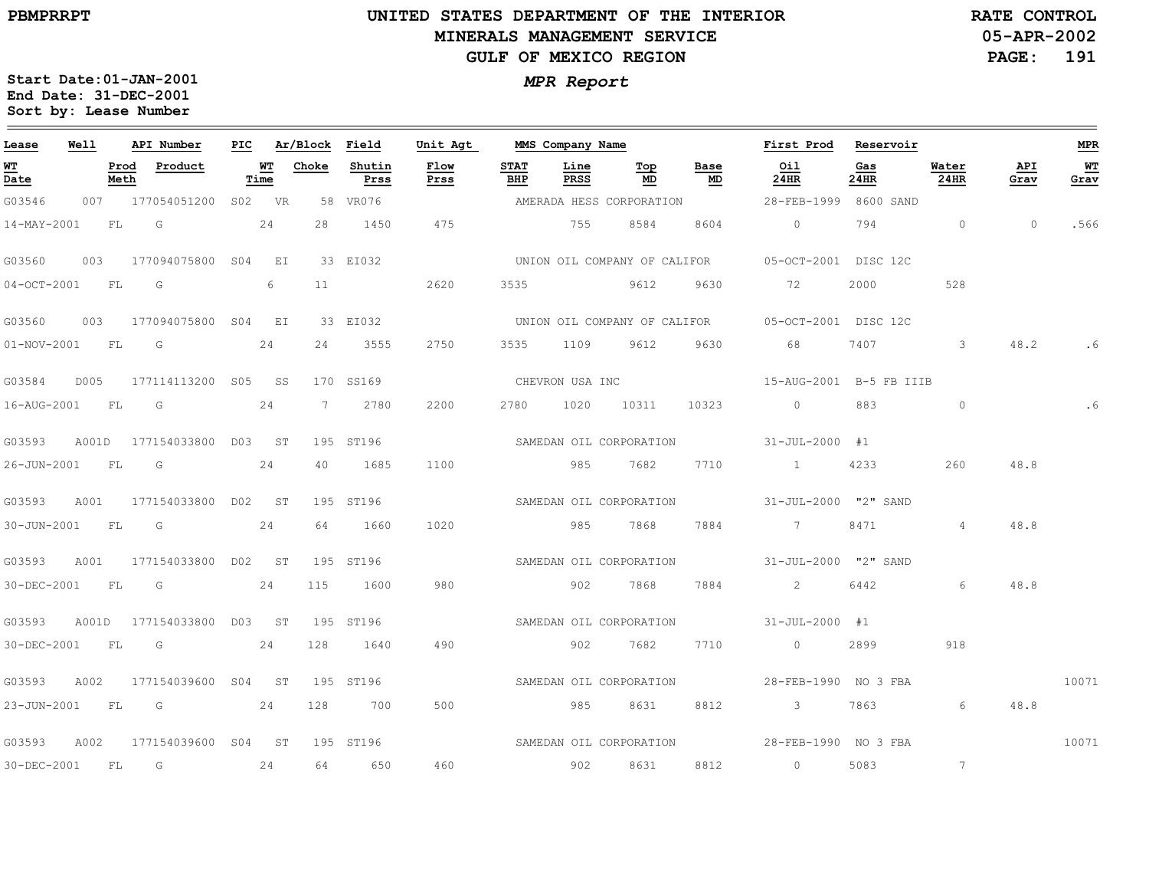## **UNITED STATES DEPARTMENT OF THE INTERIOR MINERALS MANAGEMENT SERVICEGULF OF MEXICO REGION**

**05-APR-2002PAGE: 191 RATE CONTROL**

| Lease            | Well |              | API Number                | PIC |            | Ar/Block Field |                | Unit Agt                |                    | MMS Company Name |                          |            | First Prod                                        | Reservoir   |                 |             | <b>MPR</b> |
|------------------|------|--------------|---------------------------|-----|------------|----------------|----------------|-------------------------|--------------------|------------------|--------------------------|------------|---------------------------------------------------|-------------|-----------------|-------------|------------|
| WT<br>Date       |      | Prod<br>Meth | Product                   |     | WT<br>Time | Choke          | Shutin<br>Prss | Flow<br>Prss            | <b>STAT</b><br>BHP | Line<br>PRSS     | Тор<br>MD                | Base<br>MD | Oil<br>24HR                                       | Gas<br>24HR | Water<br>24HR   | API<br>Grav | WТ<br>Grav |
| G03546           |      |              | 007 177054051200 S02 VR   |     |            |                | 58 VR076       |                         |                    |                  | AMERADA HESS CORPORATION |            | 28-FEB-1999 8600 SAND                             |             |                 |             |            |
| 14-MAY-2001      |      | <b>FL</b>    | $\overline{\mathsf{G}}$   |     | 24         | 28             | 1450           | 475                     |                    | 755              | 8584                     | 8604       | $\overline{0}$                                    | 794         | $\overline{0}$  | $\Omega$    | .566       |
| G03560           |      |              | 003 177094075800 S04 EI   |     |            |                | 33 EI032       |                         |                    |                  |                          |            | UNION OIL COMPANY OF CALIFOR 05-OCT-2001 DISC 12C |             |                 |             |            |
| 04-OCT-2001 FL   |      |              | G                         |     | 6          | 11             |                | 2620                    | 3535               |                  | 9612                     | 9630       | 72                                                | 2000        | 528             |             |            |
| G03560           |      |              | 003 177094075800 S04 EI   |     |            |                | 33 EI032       |                         |                    |                  |                          |            | UNION OIL COMPANY OF CALIFOR 05-OCT-2001 DISC 12C |             |                 |             |            |
| 01-NOV-2001 FL G |      |              |                           |     | 24         | 24             | 3555           | 2750                    |                    |                  | 3535 1109 9612           | 9630       | 68                                                | 7407        | 3               | 48.2        |            |
| G03584           |      |              | D005 177114113200 S05 SS  |     |            |                | 170 SS169      |                         |                    | CHEVRON USA INC  |                          |            | 15-AUG-2001 B-5 FB IIIB                           |             |                 |             |            |
| 16-AUG-2001 FL   |      |              | G                         |     | 24         | 7              | 2780           | 2200                    | 2780               | 1020             | 10311                    | 10323      | $\Omega$                                          | 883         | $\Omega$        |             | .6         |
| G03593           |      |              | A001D 177154033800 D03 ST |     |            |                | 195 ST196      |                         |                    |                  | SAMEDAN OIL CORPORATION  |            | $31 - JUL - 2000$ #1                              |             |                 |             |            |
| 26-JUN-2001 FL G |      |              |                           |     | 24         | 40             | 1685           | 1100                    |                    | 985              | 7682                     | 7710       | $\sim$ 1                                          | 4233        | 260             | 48.8        |            |
| G03593           | A001 |              | 177154033800 D02 ST       |     |            |                | 195 ST196      |                         |                    |                  | SAMEDAN OIL CORPORATION  |            | 31-JUL-2000 "2" SAND                              |             |                 |             |            |
| 30-JUN-2001 FL   |      |              | $\overline{\mathbb{G}}$   |     | 24         | 64             | 1660           | 1020                    |                    | 985              | 7868                     | 7884       | 7                                                 | 8471        | 4               | 48.8        |            |
| G03593           | A001 |              | 177154033800 DO2 ST       |     |            |                | 195 ST196      |                         |                    |                  | SAMEDAN OIL CORPORATION  |            | 31-JUL-2000 "2" SAND                              |             |                 |             |            |
| 30-DEC-2001 FL G |      |              |                           |     | 24         | 115            | 1600           | 980                     |                    | 902              | 7868                     | 7884       | $\sim$ 2                                          | 6442        | 6               | 48.8        |            |
| G03593           |      |              | A001D 177154033800 D03 ST |     |            |                | 195 ST196      | SAMEDAN OIL CORPORATION |                    |                  |                          |            | $31 - JUL - 2000$ #1                              |             |                 |             |            |
| 30-DEC-2001      |      | FL           |                           |     | 24         | 128            | 1640           | 490                     |                    | 902              | 7682                     | 7710       | $\overline{0}$                                    | 2899        | 918             |             |            |
| G03593           | A002 |              | 177154039600 S04 ST       |     |            |                | 195 ST196      |                         |                    |                  | SAMEDAN OIL CORPORATION  |            | 28-FEB-1990 NO 3 FBA                              |             |                 |             | 10071      |
|                  |      |              | 23-JUN-2001 FL G 24       |     |            | 128            | 700            | 500                     |                    | 985              | 8631                     | 8812       | 3 7863                                            |             | 6               | 48.8        |            |
| G03593           | A002 |              | 177154039600 S04 ST       |     |            |                | 195 ST196      |                         |                    |                  |                          |            | SAMEDAN OIL CORPORATION 528-FEB-1990 NO 3 FBA     |             |                 |             | 10071      |
| 30-DEC-2001 FL   |      |              | G                         |     | 24         | 64             | 650            | 460                     |                    | 902              | 8631                     | 8812       | $\overline{0}$                                    | 5083        | $7\phantom{.0}$ |             |            |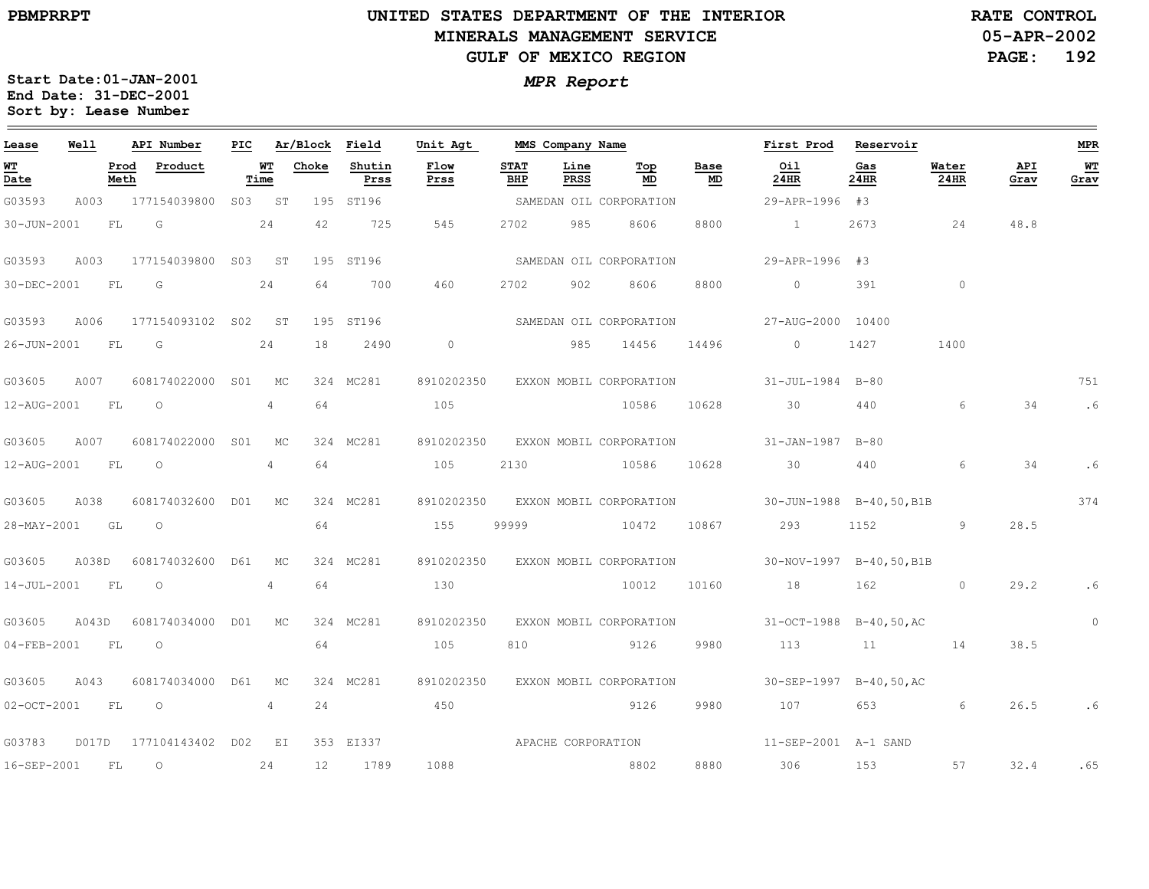## **UNITED STATES DEPARTMENT OF THE INTERIOR MINERALS MANAGEMENT SERVICEGULF OF MEXICO REGION**

**05-APR-2002PAGE: 192 RATE CONTROL**

| Lease             | Well  |              | API Number          | PIC |                   | Ar/Block Field |                | Unit Agt           |                    | MMS Company Name    |                                    |            | First Prod              | Reservoir   |               |             | <b>MPR</b> |
|-------------------|-------|--------------|---------------------|-----|-------------------|----------------|----------------|--------------------|--------------------|---------------------|------------------------------------|------------|-------------------------|-------------|---------------|-------------|------------|
| WT<br>Date        |       | Prod<br>Meth | Product             |     | <u>WT</u><br>Time | Choke          | Shutin<br>Prss | Flow<br>Prss       | <b>STAT</b><br>BHP | Line<br><b>PRSS</b> | Тор<br>MD                          | Base<br>MD | Oil<br>24HR             | Gas<br>24HR | Water<br>24HR | API<br>Grav | WТ<br>Grav |
| G03593            | A003  |              | 177154039800        |     | S03 ST            |                | 195 ST196      |                    |                    |                     | SAMEDAN OIL CORPORATION            |            | 29-APR-1996 #3          |             |               |             |            |
| 30-JUN-2001       |       | FL           | G                   |     | 24                | 42             | 725            | 545                | 2702               | 985                 | 8606                               | 8800       | $\sim$ 1                | 2673        | 24            | 48.8        |            |
| G03593            | A003  |              | 177154039800 S03 ST |     |                   |                | 195 ST196      |                    |                    |                     | SAMEDAN OIL CORPORATION            |            | 29-APR-1996 #3          |             |               |             |            |
| 30-DEC-2001       |       | FL           | G                   |     | 24                | 64             | 700            | 460                | 2702               | 902                 | 8606                               | 8800       | $\circ$                 | 391         | $\circ$       |             |            |
| G03593            | A006  |              | 177154093102 S02 ST |     |                   |                | 195 ST196      |                    |                    |                     | SAMEDAN OIL CORPORATION            |            | 27-AUG-2000 10400       |             |               |             |            |
| 26-JUN-2001 FL    |       |              | G                   |     | 24                | 18             | 2490           | $\overline{0}$     |                    |                     | 985 14456                          | 14496      | $\overline{0}$          | 1427        | 1400          |             |            |
| G03605            | A007  |              | 608174022000 S01 MC |     |                   |                | 324 MC281      | 8910202350         |                    |                     | EXXON MOBIL CORPORATION            |            | 31-JUL-1984 B-80        |             |               |             | 751        |
| 12-AUG-2001       |       | <b>FL</b>    | $\circ$             |     | $\overline{4}$    | 64             |                | 105                |                    |                     | 10586                              | 10628      | 30                      | 440         | 6             | 34          | .6         |
| G03605            | A007  |              | 608174022000        | S01 | MC                |                | 324 MC281      | 8910202350         |                    |                     | EXXON MOBIL CORPORATION            |            | 31-JAN-1987 B-80        |             |               |             |            |
| 12-AUG-2001 FL    |       |              | $\overline{O}$      |     | 4                 | 64             |                | 105                | 2130               |                     | 10586                              | 10628      | 30                      | 440         | 6             | 34          | .6         |
| G03605            | A038  |              | 608174032600 D01 MC |     |                   |                | 324 MC281      | 8910202350         |                    |                     | EXXON MOBIL CORPORATION            |            | 30-JUN-1988 B-40,50,B1B |             |               |             | 374        |
| 28-MAY-2001       |       | GL           | $\circ$             |     |                   | 64             |                | 155                | 99999              |                     | 10472                              | 10867      | 293                     | 1152        | 9             | 28.5        |            |
| G03605            | A038D |              | 608174032600 D61    |     | MC                |                | 324 MC281      |                    |                    |                     | 8910202350 EXXON MOBIL CORPORATION |            | 30-NOV-1997 B-40,50,B1B |             |               |             |            |
| 14-JUL-2001       |       | <b>FL</b>    | $\circ$             |     | $4^{\circ}$       | 64             |                | 130                |                    |                     | 10012                              | 10160      | 18                      | 162 200     | $\circ$       | 29.2        | .6         |
| G03605            | A043D |              | 608174034000 D01    |     | MC                |                | 324 MC281      | 8910202350         |                    |                     | EXXON MOBIL CORPORATION            |            | 31-OCT-1988 B-40,50,AC  |             |               |             | $\circ$    |
| 04-FEB-2001       |       | FL           | $\circ$             |     |                   | 64             |                | 105                | 810                |                     | 9126                               | 9980       | 113                     | 11          | 14            | 38.5        |            |
| G03605            | A043  |              | 608174034000 D61    |     | MC                |                | 324 MC281      | 8910202350         |                    |                     | EXXON MOBIL CORPORATION            |            | 30-SEP-1997 B-40,50,AC  |             |               |             |            |
| $02 - OCT - 2001$ |       | FL           | $\overline{O}$      |     | 4                 | 24             |                | 450                |                    |                     | 9126                               | 9980       | 107                     |             | 6             | 26.5        | .6         |
| G03783            | D017D |              | 177104143402 D02 EI |     |                   |                | 353 EI337      | APACHE CORPORATION |                    |                     |                                    |            | 11-SEP-2001 A-1 SAND    |             |               |             |            |
| 16-SEP-2001       |       | FL           | $\circ$             |     | 24                | 12             | 1789           | 1088               |                    |                     | 8802                               | 8880       | 306 700                 | 153         | 57            | 32.4        | .65        |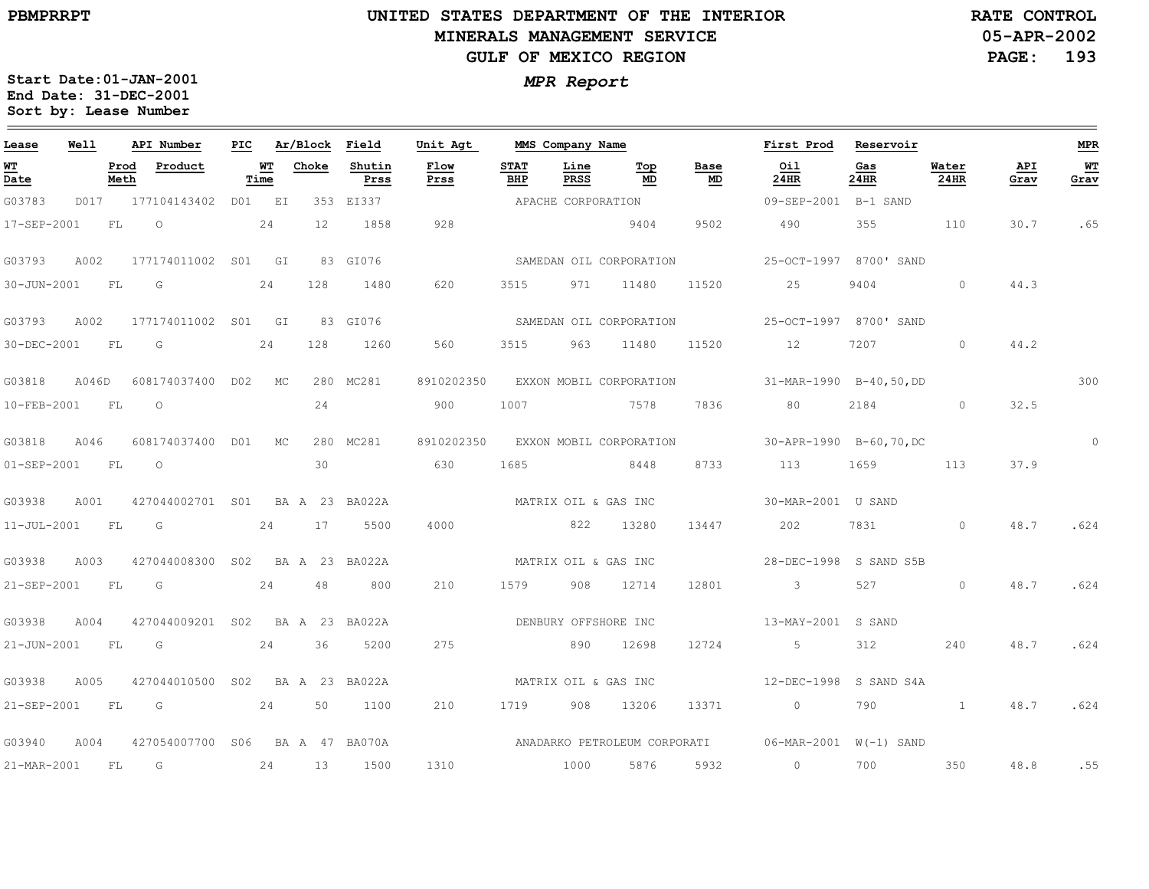## **UNITED STATES DEPARTMENT OF THE INTERIOR MINERALS MANAGEMENT SERVICEGULF OF MEXICO REGION**

**05-APR-2002PAGE: 193 RATE CONTROL**

| Lease             | Well  |              | API Number                       | PIC |                   | Ar/Block Field |                | Unit Agt             |                      | MMS Company Name   |                         |            | First Prod                                          | Reservoir              |               |             | <b>MPR</b> |
|-------------------|-------|--------------|----------------------------------|-----|-------------------|----------------|----------------|----------------------|----------------------|--------------------|-------------------------|------------|-----------------------------------------------------|------------------------|---------------|-------------|------------|
| <u>WТ</u><br>Date |       | Prod<br>Meth | Product                          |     | <u>WT</u><br>Time | Choke          | Shutin<br>Prss | Flow<br>Prss         | <b>STAT</b><br>BHP   | Line<br>PRSS       | Top<br>MD               | Base<br>MD | Oil<br>24HR                                         | Gas<br>24HR            | Water<br>24HR | API<br>Grav | WТ<br>Grav |
| G03783            |       |              | D017 177104143402 D01 EI         |     |                   |                | 353 EI337      |                      |                      | APACHE CORPORATION |                         |            | 09-SEP-2001 B-1 SAND                                |                        |               |             |            |
| 17-SEP-2001       |       | FL           | $\circ$                          |     | 24                | 12             | 1858           | 928                  |                      |                    | 9404                    | 9502       | 490                                                 | 355                    | 110           | 30.7        | .65        |
| G03793            | A002  |              | 177174011002 S01 GI              |     |                   |                | 83 GI076       |                      |                      |                    | SAMEDAN OIL CORPORATION |            |                                                     | 25-OCT-1997 8700' SAND |               |             |            |
| 30-JUN-2001       |       | FL           | G                                |     | 24                | 128            | 1480           | 620                  | 3515                 | 971                | 11480                   | 11520      | 25                                                  | 9404                   | $\circ$       | 44.3        |            |
| G03793            | A002  |              | 177174011002 S01 GI              |     |                   |                | 83 GI076       |                      |                      |                    | SAMEDAN OIL CORPORATION |            |                                                     | 25-OCT-1997 8700' SAND |               |             |            |
| 30-DEC-2001       |       | <b>FL</b>    | $\overline{\mathsf{G}}$          |     | 24                | 128            | 1260           | 560                  | 3515                 | 963                | 11480                   | 11520      | 12                                                  | 7207                   | $\circ$       | 44.2        |            |
| G03818            | A046D |              | 608174037400 D02 MC              |     |                   |                | 280 MC281      | 8910202350           |                      |                    | EXXON MOBIL CORPORATION |            | $31-MAR-1990$ B-40,50,DD                            |                        |               |             | 300        |
| 10-FEB-2001       |       | <b>FL</b>    | $\overline{O}$                   |     |                   | 24             |                | 900                  | 1007                 |                    | 7578                    | 7836       | 80                                                  | 2184                   | $\circ$       | 32.5        |            |
| G03818            | A046  |              | 608174037400 D01 MC              |     |                   |                | 280 MC281      | 8910202350           |                      |                    | EXXON MOBIL CORPORATION |            |                                                     | 30-APR-1990 B-60,70,DC |               |             | $\circ$    |
| 01-SEP-2001       |       | FL           | $\circ$                          |     |                   | 30             |                | 630                  | 1685                 |                    | 8448                    | 8733       | 113                                                 | 1659 16                | 113           | 37.9        |            |
| G03938            | A001  |              | 427044002701 S01                 |     |                   |                | BA A 23 BA022A | MATRIX OIL & GAS INC |                      |                    |                         |            | 30-MAR-2001 U SAND                                  |                        |               |             |            |
| 11-JUL-2001       |       | <b>FL</b>    | $\overline{\mathbb{G}}$          |     | 24                | 17             | 5500           | 4000                 |                      | 822 13280          |                         | 13447      | 202                                                 | 7831                   | $\circ$       | 48.7        | .624       |
| G03938            | A003  |              | 427044008300 S02 BA A 23 BA022A  |     |                   |                |                |                      | MATRIX OIL & GAS INC |                    |                         |            |                                                     | 28-DEC-1998 S SAND S5B |               |             |            |
| 21-SEP-2001 FL    |       |              | $\overline{\mathsf{G}}$          |     | 24                | 48             | 800            | 210                  | 1579 908 12714       |                    |                         | 12801      | $\overline{\mathbf{3}}$                             | 527                    | $\circ$       | 48.7        | .624       |
| G03938            | A004  |              | 427044009201 S02                 |     |                   |                | BA A 23 BA022A | DENBURY OFFSHORE INC |                      |                    |                         |            | 13-MAY-2001 S SAND                                  |                        |               |             |            |
| 21-JUN-2001 FL    |       |              | $\overline{\mathsf{G}}$          |     |                   | 24 36          | 5200           | 275                  |                      | 890                | 12698                   | 12724      | $5 - 5$                                             | 312                    | 240           | 48.7        | .624       |
| G03938            | A005  |              | 427044010500 S02 BA A 23 BA022A  |     |                   |                |                |                      | MATRIX OIL & GAS INC |                    |                         |            | 12-DEC-1998 S SAND S4A                              |                        |               |             |            |
| 21-SEP-2001 FL    |       |              | $\overline{\mathsf{G}}$<br>24 50 |     |                   |                | 1100           | 210                  | 1719 908             |                    | 13206                   | 13371      | $\overline{0}$                                      | 790                    |               | 48.7        | .624       |
| G03940            | A004  |              | 427054007700 S06 BA A 47 BA070A  |     |                   |                |                |                      |                      |                    |                         |            | ANADARKO PETROLEUM CORPORATI 06-MAR-2001 W(-1) SAND |                        |               |             |            |
| 21-MAR-2001       |       | FL           | G                                |     | 24                | 13             | 1500           | 1310                 |                      | 1000               | 5876                    | 5932       | $\circ$                                             | 700                    | 350           | 48.8        | .55        |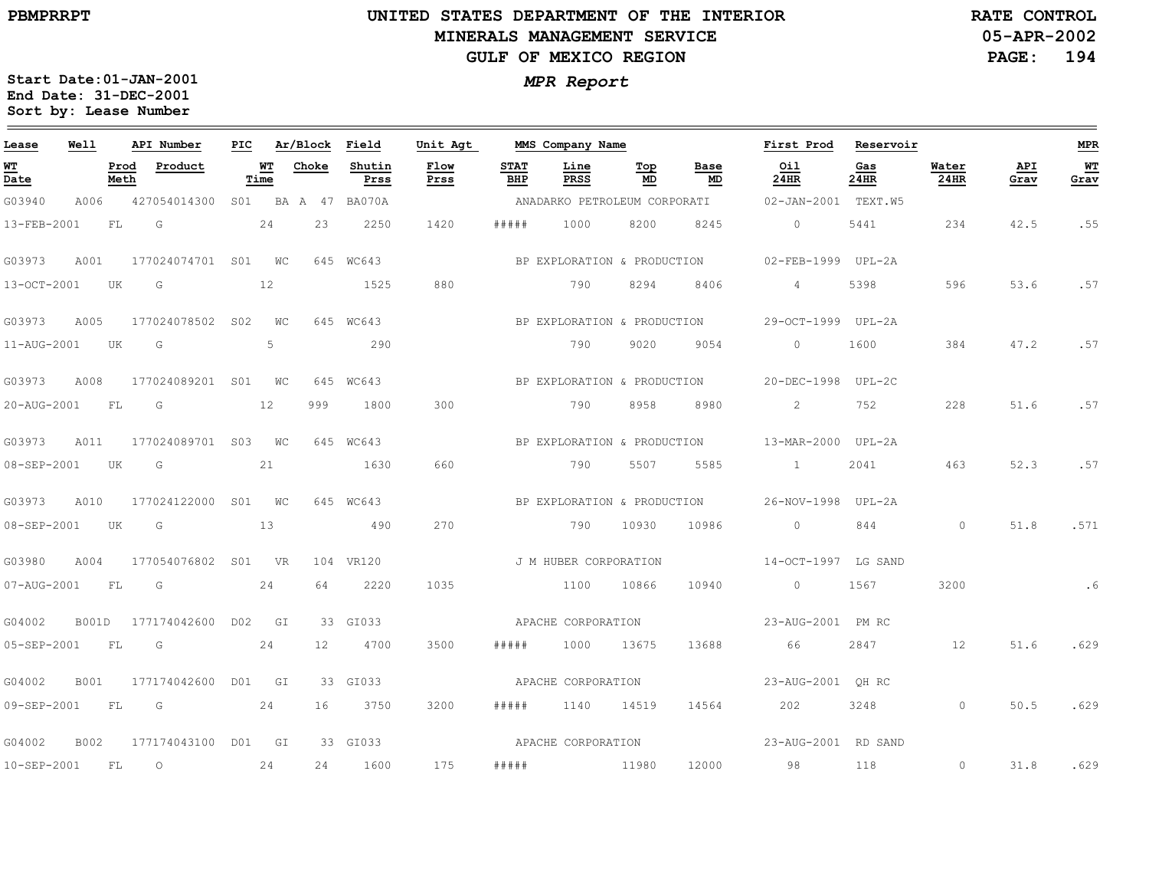# **UNITED STATES DEPARTMENT OF THE INTERIOR MINERALS MANAGEMENT SERVICEGULF OF MEXICO REGION**

**05-APR-2002PAGE: 194 RATE CONTROL**

| Lease                          | Well  |              | API Number          | PIC |             | Ar/Block          | Field              | Unit Agt     |                    | MMS Company Name             |           |                             | First Prod          | Reservoir   |               |             | <b>MPR</b> |
|--------------------------------|-------|--------------|---------------------|-----|-------------|-------------------|--------------------|--------------|--------------------|------------------------------|-----------|-----------------------------|---------------------|-------------|---------------|-------------|------------|
| WT<br>$\overline{\text{Date}}$ |       | Prod<br>Meth | Product             |     | WТ<br>Time  | Choke             | Shutin<br>Prss     | Flow<br>Prss | <b>STAT</b><br>BHP | Line<br>PRSS                 | Top<br>MD | Base<br>MD                  | Oil<br>24HR         | Gas<br>24HR | Water<br>24HR | API<br>Grav | WT<br>Grav |
| G03940                         | A006  |              | 427054014300        |     |             |                   | S01 BA A 47 BA070A |              |                    | ANADARKO PETROLEUM CORPORATI |           |                             | 02-JAN-2001 TEXT.W5 |             |               |             |            |
| 13-FEB-2001                    |       | FL           | G                   |     | 24          | 23                | 2250               | 1420         | # # # # #          | 1000                         | 8200      | 8245                        | $\circ$             | 5441        | 234           | 42.5        | .55        |
| G03973                         | A001  |              | 177024074701 S01 WC |     |             |                   | 645 WC643          |              |                    | BP EXPLORATION & PRODUCTION  |           |                             | 02-FEB-1999 UPL-2A  |             |               |             |            |
| 13-OCT-2001                    |       | UK           | G                   |     | 12          |                   | 1525               | 880          |                    | 790                          | 8294      | 8406                        | 4                   | 5398        | 596           | 53.6        | .57        |
| G03973                         | A005  |              | 177024078502 S02    |     | WС          |                   | 645 WC643          |              |                    | BP EXPLORATION & PRODUCTION  |           |                             | 29-OCT-1999 UPL-2A  |             |               |             |            |
| 11-AUG-2001                    |       | UK           | G                   |     | 5           |                   | 290                |              |                    | 790                          | 9020      | 9054                        | $\circ$             | 1600        | 384           | 47.2        | .57        |
| G03973                         | A008  |              | 177024089201 S01    |     | $W_{\rm C}$ |                   | 645 WC643          |              |                    | BP EXPLORATION & PRODUCTION  |           |                             | 20-DEC-1998         | UPL-2C      |               |             |            |
| 20-AUG-2001                    |       | FL           | G                   |     | 12          | 999               | 1800               | 300          |                    | 790                          | 8958      | 8980                        | $\overline{2}$      | 752         | 228           | 51.6        | .57        |
| G03973                         | A011  |              | 177024089701 S03 WC |     |             |                   | 645 WC643          |              |                    | BP EXPLORATION & PRODUCTION  |           |                             | 13-MAR-2000 UPL-2A  |             |               |             |            |
| 08-SEP-2001                    |       | UK           | G                   |     | 21          |                   | 1630               | 660          |                    | 790                          | 5507      | 5585                        | $\sim$ 1 $\sim$     | 2041        | 463           | 52.3        | .57        |
| G03973                         | A010  |              | 177024122000 S01 WC |     |             |                   | 645 WC643          |              |                    |                              |           | BP EXPLORATION & PRODUCTION | 26-NOV-1998         | UPL-2A      |               |             |            |
| 08-SEP-2001                    |       | UK           | G                   |     | 13          |                   | 490                | 270          |                    | 790                          | 10930     | 10986                       | $\circ$             | 844         | $\circ$       | 51.8        | .571       |
| G03980                         | A004  |              | 177054076802 S01    |     | <b>VR</b>   |                   | 104 VR120          |              |                    | J M HUBER CORPORATION        |           |                             | 14-OCT-1997 LG SAND |             |               |             |            |
| 07-AUG-2001                    |       | FL           | G                   |     | 24          | 64                | 2220               | 1035         |                    | 1100                         | 10866     | 10940                       | $\circ$             | 1567        | 3200          |             | .6         |
| G04002                         | B001D |              | 177174042600 D02    |     | GI          |                   | 33 GI033           |              |                    | APACHE CORPORATION           |           |                             | 23-AUG-2001 PM RC   |             |               |             |            |
| 05-SEP-2001                    |       | FL           | G                   |     | 24          | $12 \overline{ }$ | 4700               | 3500         | # # # # #          | 1000                         | 13675     | 13688                       | 66                  | 2847        | 12            | 51.6        | .629       |
| G04002                         | B001  |              | 177174042600        |     | D01 GI      |                   | 33 GI033           |              |                    | APACHE CORPORATION           |           |                             | 23-AUG-2001 OH RC   |             |               |             |            |
| 09-SEP-2001                    |       | FL.          | $\overline{G}$      |     | 24          | 16                | 3750               | 3200         | # # # # #          | 1140                         | 14519     | 14564                       | 202                 | 3248        | $\circ$       | 50.5        | .629       |
| G04002                         | B002  |              | 177174043100        |     | D01 GI      |                   | 33 GI033           |              |                    | APACHE CORPORATION           |           |                             | 23-AUG-2001 RD SAND |             |               |             |            |
| 10-SEP-2001                    |       | FL.          | $\circ$             |     | 24          | 24                | 1600               | 175          | #####              |                              | 11980     | 12000                       | 98                  | 118         | $\circ$       | 31.8        | .629       |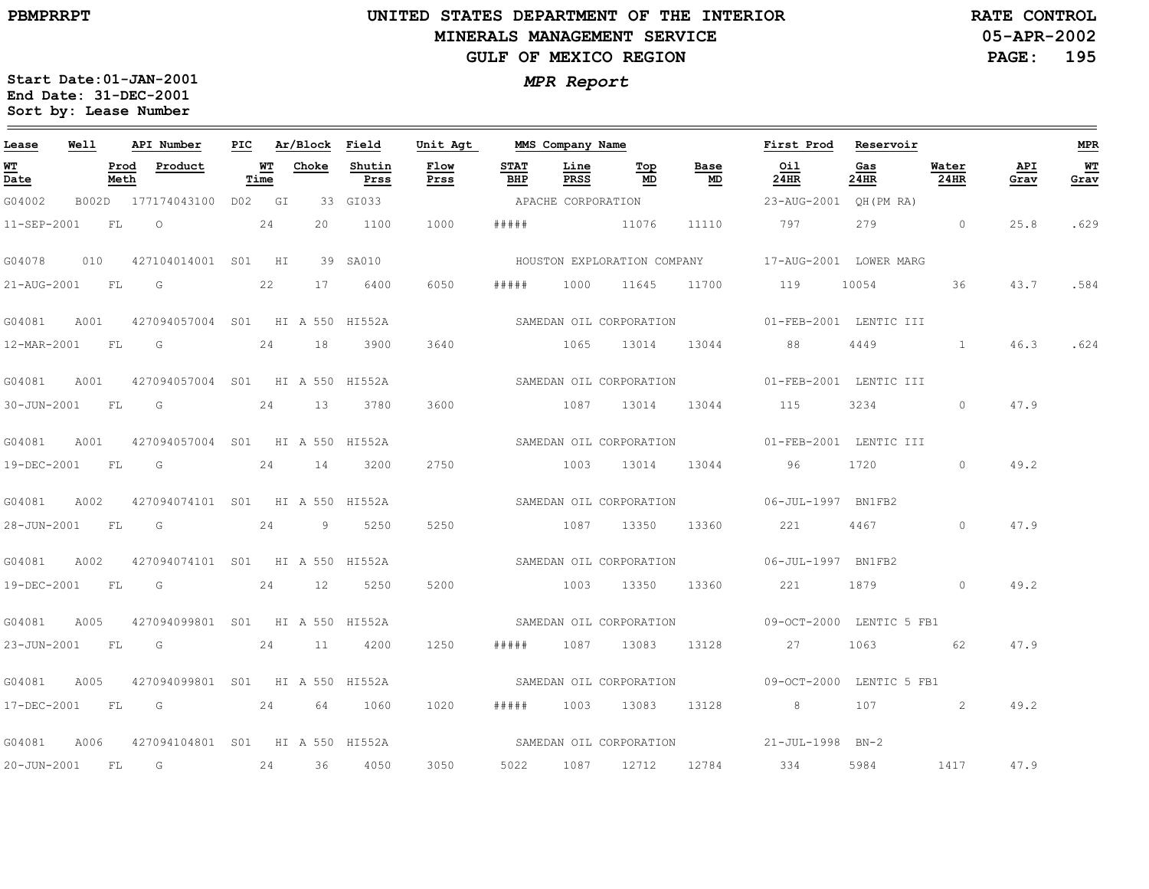$=$ 

## **UNITED STATES DEPARTMENT OF THE INTERIOR MINERALS MANAGEMENT SERVICEGULF OF MEXICO REGION**

**05-APR-2002 PAGE: 195 RATE CONTROL**

| Lease            | Well |      | API Number                                   | PIC |                                | Ar/Block Field |                | Unit Agt     |                    | MMS Company Name   |                  |            | First Prod                                         | Reservoir       |               |             | MPR               |
|------------------|------|------|----------------------------------------------|-----|--------------------------------|----------------|----------------|--------------|--------------------|--------------------|------------------|------------|----------------------------------------------------|-----------------|---------------|-------------|-------------------|
| WT<br>Date       |      | Meth | Prod Product                                 |     | $\overline{\text{MT}}$<br>Time | Choke          | Shutin<br>Prss | Flow<br>Prss | <b>STAT</b><br>BHP | Line<br>PRSS       | Top<br>MD        | Base<br>MD | Oil<br>24HR                                        | Gas<br>24HR     | Water<br>24HR | API<br>Grav | <b>WT</b><br>Grav |
| G04002           |      |      | B002D 177174043100 D02 GI                    |     |                                |                | 33 GI033       |              |                    | APACHE CORPORATION |                  |            | 23-AUG-2001 QH(PM RA)                              |                 |               |             |                   |
| 11-SEP-2001 FL O |      |      |                                              |     | 24                             | 20             | 1100           | 1000         | #####              | 11076              |                  | 11110      | 797                                                |                 | 279 0         | 25.8        | .629              |
| G04078           | 010  |      | 427104014001 S01 HI                          |     |                                |                | 39 SA010       |              |                    |                    |                  |            | HOUSTON EXPLORATION COMPANY 17-AUG-2001 LOWER MARG |                 |               |             |                   |
| 21-AUG-2001 FL G |      |      |                                              |     | 22                             | 17             | 6400           | 6050         | # # # # #          |                    | 1000 11645       |            | 11700 119                                          | 10054 36        |               | 43.7        | .584              |
| G04081           |      |      | A001 427094057004 S01 HI A 550 HI552A        |     |                                |                |                |              |                    |                    |                  |            | SAMEDAN OIL CORPORATION 61-FEB-2001 LENTIC III     |                 |               |             |                   |
|                  |      |      | 12-MAR-2001 FL G 24                          |     |                                | 18             | 3900           | 3640         |                    |                    |                  |            | 1065 13014 13044 88                                |                 | 4449 1        |             | 46.3 .624         |
| G04081           | A001 |      | 427094057004 SO1 HI A 550 HI552A             |     |                                |                |                |              |                    |                    |                  |            | SAMEDAN OIL CORPORATION 601-FEB-2001 LENTIC III    |                 |               |             |                   |
| 30-JUN-2001 FL G |      |      | 24                                           |     |                                | 13             | 3780           | 3600         |                    |                    | 1087 13014       |            | 13044 115                                          | 3234 and $\sim$ | $\circ$       | 47.9        |                   |
| G04081           |      |      | A001 427094057004 S01 HI A 550 HI552A        |     |                                |                |                |              |                    |                    |                  |            | SAMEDAN OIL CORPORATION 601-FEB-2001 LENTIC III    |                 |               |             |                   |
|                  |      |      | 19-DEC-2001 FL G 24 14                       |     |                                |                | 3200           | 2750         |                    |                    |                  |            | 1003 13014 13044 96                                | 1720            | $\Omega$      | 49.2        |                   |
| G04081           | A002 |      | 427094074101 S01 HI A 550 HI552A             |     |                                |                |                |              |                    |                    |                  |            | SAMEDAN OIL CORPORATION 06-JUL-1997 BN1FB2         |                 |               |             |                   |
|                  |      |      | 28-JUN-2001 FL G 24 9 5250                   |     |                                |                |                | 5250         |                    |                    | 1087 13350 13360 |            | 221 4467                                           |                 | $\Omega$      | 47.9        |                   |
| G04081           | A002 |      | 427094074101 S01 HI A 550 HI552A             |     |                                |                |                |              |                    |                    |                  |            | SAMEDAN OIL CORPORATION 06-JUL-1997 BN1FB2         |                 |               |             |                   |
| 19-DEC-2001 FL G |      |      |                                              |     |                                |                | 24 12 5250     | 5200         |                    |                    | 1003 13350 13360 |            | 221 1879 0                                         |                 |               | 49.2        |                   |
| G04081           |      |      | A005 427094099801 S01 HI A 550 HI552A        |     |                                |                |                |              |                    |                    |                  |            | SAMEDAN OIL CORPORATION 69-OCT-2000 LENTIC 5 FB1   |                 |               |             |                   |
|                  |      |      | 23-JUN-2001 FL G 24 11 4200                  |     |                                |                |                | 1250         | # # # # #          |                    | 1087 13083       |            | 13128 27                                           | 1063            | 62            | 47.9        |                   |
| G04081           | A005 |      | 427094099801 S01 HI A 550 HI552A             |     |                                |                |                |              |                    |                    |                  |            | SAMEDAN OIL CORPORATION 69-OCT-2000 LENTIC 5 FB1   |                 |               |             |                   |
| 17-DEC-2001 FL G |      |      |                                              |     |                                | 24 64          | 1060           | 1020         | # # # # #          |                    | 1003 13083       | 13128      | 8 <sup>1</sup>                                     | 107             | 2             | 49.2        |                   |
|                  |      |      | G04081 A006 427094104801 S01 HI A 550 HI552A |     |                                |                |                |              |                    |                    |                  |            | SAMEDAN OIL CORPORATION 21-JUL-1998 BN-2           |                 |               |             |                   |
|                  |      |      | 20-JUN-2001 FL G 24 36                       |     |                                |                | 4050           | 3050         |                    |                    | 5022 1087 12712  |            | 12784 334                                          | 5984            | 1417          | 47.9        |                   |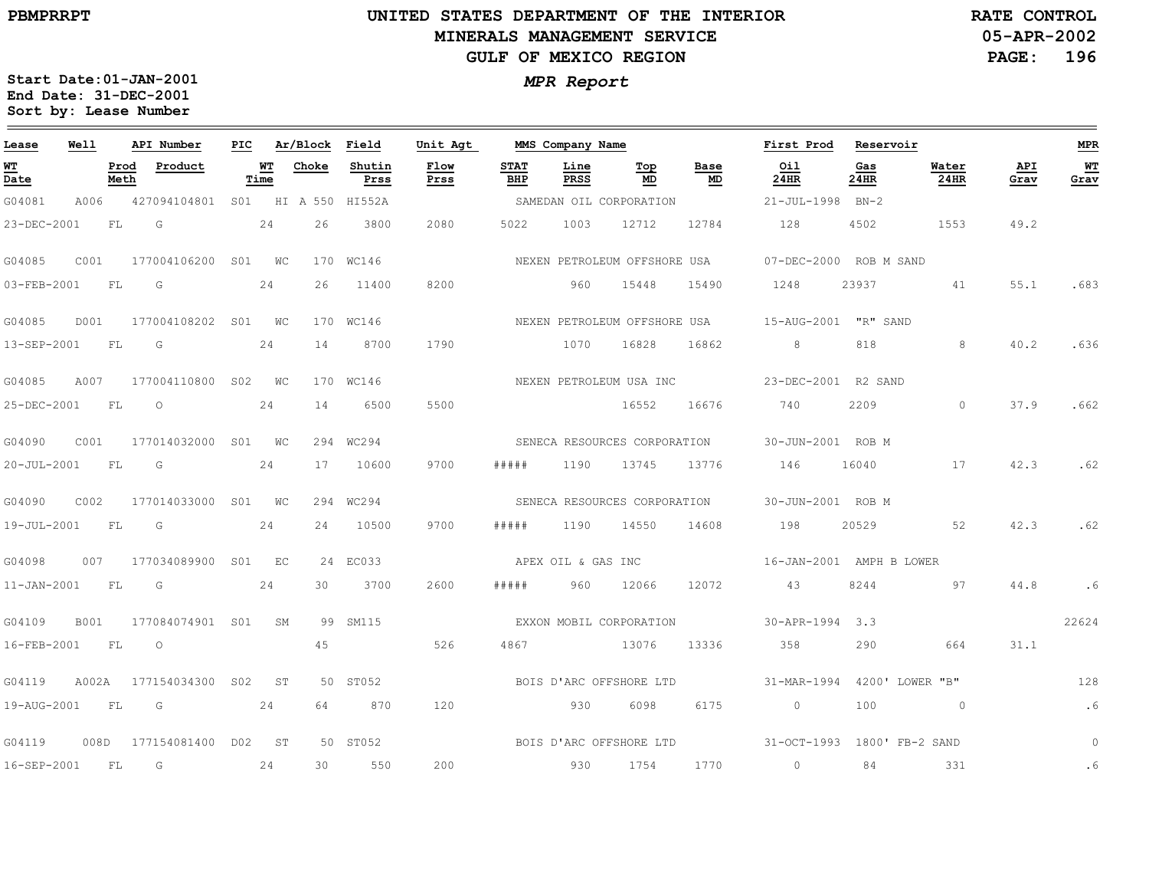## **UNITED STATES DEPARTMENT OF THE INTERIOR MINERALS MANAGEMENT SERVICEGULF OF MEXICO REGION**

**05-APR-2002PAGE: 196 RATE CONTROL**

| Lease                          | Well  |              | API Number          | PIC |            | Ar/Block | Field               | Unit Agt     |                    | MMS Company Name   |                              |                              | First Prod           | Reservoir                   |                 |             | <b>MPR</b> |
|--------------------------------|-------|--------------|---------------------|-----|------------|----------|---------------------|--------------|--------------------|--------------------|------------------------------|------------------------------|----------------------|-----------------------------|-----------------|-------------|------------|
| WT<br>$\overline{\text{Date}}$ |       | Prod<br>Meth | Product             |     | WT<br>Time | Choke    | Shutin<br>Prss      | Flow<br>Prss | <b>STAT</b><br>BHP | Line<br>PRSS       | Top<br>MD                    | Base<br>MD                   | Oil<br>24HR          | Gas<br>24HR                 | Water<br>24HR   | API<br>Grav | WT<br>Grav |
| G04081                         | A006  |              | 427094104801        |     |            |          | S01 HI A 550 HI552A |              |                    |                    | SAMEDAN OIL CORPORATION      |                              | 21-JUL-1998          | $BN-2$                      |                 |             |            |
| 23-DEC-2001                    |       | FL           | G                   |     | 24         | 26       | 3800                | 2080         | 5022               | 1003               | 12712                        | 12784                        | 128                  | 4502                        | 1553            | 49.2        |            |
| G04085                         | C001  |              | 177004106200 S01 WC |     |            |          | 170 WC146           |              |                    |                    | NEXEN PETROLEUM OFFSHORE USA |                              |                      | 07-DEC-2000 ROB M SAND      |                 |             |            |
| 03-FEB-2001                    |       | FL           | G                   |     | 24         | 26       | 11400               | 8200         |                    | 960                | 15448                        | 15490                        | 1248                 | 23937                       | 41              | 55.1        | .683       |
| G04085                         | D001  |              | 177004108202 S01 WC |     |            |          | 170 WC146           |              |                    |                    | NEXEN PETROLEUM OFFSHORE USA |                              | 15-AUG-2001 "R" SAND |                             |                 |             |            |
| 13-SEP-2001                    |       | FL           | G                   |     | 24         | 14       | 8700                | 1790         |                    | 1070               | 16828                        | 16862                        | 8                    | 818                         | 8               | 40.2        | .636       |
| G04085                         | A007  |              | 177004110800 S02 WC |     |            |          | 170 WC146           |              |                    |                    | NEXEN PETROLEUM USA INC      |                              |                      | 23-DEC-2001 R2 SAND         |                 |             |            |
| 25-DEC-2001                    |       | FL           | $\circ$             |     | 24         | 14       | 6500                | 5500         |                    |                    | 16552                        | 16676                        | 740                  | 2209                        | $\Omega$        | 37.9        | .662       |
| G04090                         | C001  |              | 177014032000 S01 WC |     |            |          | 294 WC294           |              |                    |                    | SENECA RESOURCES CORPORATION |                              | 30-JUN-2001 ROB M    |                             |                 |             |            |
| 20-JUL-2001                    |       | FL           | G                   |     | 24         | 17       | 10600               | 9700         | # # # # #          | 1190               | 13745                        | 13776                        | 146                  | 16040                       | 17              | 42.3        | .62        |
| G04090                         | C002  |              | 177014033000 S01 WC |     |            |          | 294 WC294           |              |                    |                    |                              | SENECA RESOURCES CORPORATION | 30-JUN-2001 ROB M    |                             |                 |             |            |
| 19-JUL-2001                    |       | FL           | G                   |     | 24         | 24       | 10500               | 9700         | # # # # #          | 1190               | 14550                        | 14608                        | 198                  | 20529                       | 52              | 42.3        | .62        |
| G04098                         | 007   |              | 177034089900 S01 EC |     |            |          | 24 EC033            |              |                    | APEX OIL & GAS INC |                              |                              |                      | 16-JAN-2001 AMPH B LOWER    |                 |             |            |
| $11 - JAN - 2001$              |       | FL           | G                   |     | 24         | 30       | 3700                | 2600         | # # # # #          | 960                | 12066                        | 12072                        | 43                   | 8244                        | 97              | 44.8        | .6         |
| G04109                         | B001  |              | 177084074901 S01 SM |     |            |          | 99 SM115            |              |                    |                    | EXXON MOBIL CORPORATION      |                              | 30-APR-1994 3.3      |                             |                 |             | 22624      |
| 16-FEB-2001                    |       | FL.          | $\circ$             |     |            | 45       |                     | 526          | 4867               |                    | 13076                        | 13336                        | 358                  | 290                         | 664             | 31.1        |            |
| G04119                         | A002A |              | 177154034300 S02    |     | ST         |          | 50 ST052            |              |                    |                    | BOIS D'ARC OFFSHORE LTD      |                              |                      | 31-MAR-1994 4200' LOWER "B" |                 |             | 128        |
| 19-AUG-2001                    |       | FL           | G G                 |     | 24         | 64       | 870                 | 120          |                    | 930                | 6098                         | 6175                         | $\overline{0}$       | 100                         | $\sim$ 0        |             | .6         |
| G04119                         | 008D  |              | 177154081400        |     | DO2 ST     |          | 50 ST052            |              |                    |                    | BOIS D'ARC OFFSHORE LTD      |                              | $31-9CT-1993$        |                             | 1800' FB-2 SAND |             | $\circ$    |
| 16-SEP-2001                    |       | FL           | G                   |     | 24         | 30       | 550                 | 200          |                    | 930                | 1754                         | 1770                         | $\overline{0}$       | 84                          | 331             |             | .6         |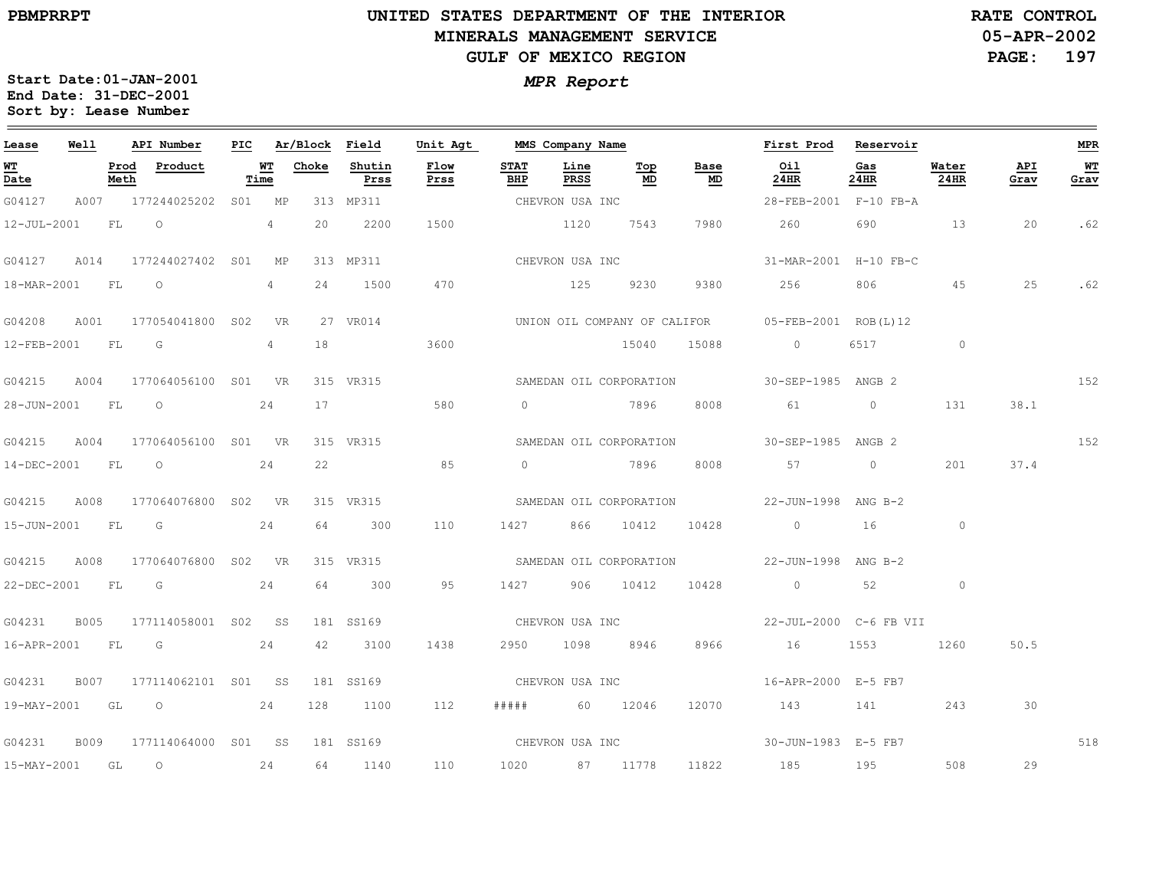## **UNITED STATES DEPARTMENT OF THE INTERIOR MINERALS MANAGEMENT SERVICEGULF OF MEXICO REGION**

**05-APR-2002PAGE: 197 RATE CONTROL**

| Lease          | Well        |              | API Number               | PIC |            | Ar/Block Field |                | Unit Agt        |                    | MMS Company Name |                         |            | First Prod                                        | Reservoir   |               |             | MPR        |
|----------------|-------------|--------------|--------------------------|-----|------------|----------------|----------------|-----------------|--------------------|------------------|-------------------------|------------|---------------------------------------------------|-------------|---------------|-------------|------------|
| WT<br>Date     |             | Prod<br>Meth | Product                  |     | WT<br>Time | Choke          | Shutin<br>Prss | Flow<br>Prss    | <b>STAT</b><br>BHP | Line<br>PRSS     | Тор<br>MD               | Base<br>MD | Oil<br>24HR                                       | Gas<br>24HR | Water<br>24HR | API<br>Grav | WТ<br>Grav |
| G04127         |             |              | A007 177244025202 S01 MP |     |            |                | 313 MP311      |                 |                    | CHEVRON USA INC  |                         |            | 28-FEB-2001 F-10 FB-A                             |             |               |             |            |
| 12-JUL-2001 FL |             |              | $\overline{O}$           |     | 4          | 20             | 2200           | 1500            |                    | 1120             | 7543                    | 7980       | 260                                               | 690         | 13            | 20          | .62        |
| G04127         | A014        |              | 177244027402 S01 MP      |     |            |                | 313 MP311      |                 |                    | CHEVRON USA INC  |                         |            | 31-MAR-2001 H-10 FB-C                             |             |               |             |            |
| 18-MAR-2001 FL |             |              | $\circ$                  |     | 4          | 24             | 1500           | 470             |                    | 125              | 9230                    | 9380       | 256                                               | 806         | 45            | 25          | .62        |
| G04208         | A001        |              | 177054041800 S02 VR      |     |            |                | 27 VR014       |                 |                    |                  |                         |            | UNION OIL COMPANY OF CALIFOR 05-FEB-2001 ROB(L)12 |             |               |             |            |
| 12-FEB-2001 FL |             |              | $\overline{\mathsf{G}}$  |     | 4          | 18             |                | 3600            |                    |                  | 15040                   | 15088      | $\overline{0}$                                    | 6517        | $\circ$       |             |            |
| G04215         | A004        |              | 177064056100 S01 VR      |     |            |                | 315 VR315      |                 |                    |                  | SAMEDAN OIL CORPORATION |            | 30-SEP-1985 ANGB 2                                |             |               |             | 152        |
| 28-JUN-2001 FL |             |              | $\circ$                  |     | 24         | 17             |                | 580             |                    |                  | 0 7896                  | 8008       | 61                                                | $\circ$     | 131           | 38.1        |            |
| G04215         | A004        |              | 177064056100 S01 VR      |     |            |                | 315 VR315      |                 |                    |                  | SAMEDAN OIL CORPORATION |            | 30-SEP-1985 ANGB 2                                |             |               |             | 152        |
|                |             |              | 14-DEC-2001 FL 0 24      |     |            | 22             |                | 85              |                    |                  | 0 7896                  | 8008       | 57 0                                              |             | 201           | 37.4        |            |
| G04215         | A008        |              | 177064076800 S02 VR      |     |            |                | 315 VR315      |                 |                    |                  | SAMEDAN OIL CORPORATION |            | 22-JUN-1998 ANG B-2                               |             |               |             |            |
| 15-JUN-2001 FL |             |              | $\overline{\mathbb{G}}$  |     | 24         | 64             | 300            | 110             | 1427               |                  | 866 10412               | 10428      | $\overline{0}$                                    | 16          | $\circ$       |             |            |
| G04215         | A008        |              | 177064076800 S02 VR      |     |            |                | 315 VR315      |                 |                    |                  | SAMEDAN OIL CORPORATION |            | 22-JUN-1998 ANG B-2                               |             |               |             |            |
|                |             |              | 22-DEC-2001 FL G 24      |     |            | 64             | 300            | 95              |                    |                  | 1427 906 10412          | 10428      | $0 \qquad \qquad 52$                              |             | $\circ$       |             |            |
| G04231         | <b>B005</b> |              | 177114058001 S02 SS      |     |            |                | 181 SS169      | CHEVRON USA INC |                    |                  |                         |            | 22-JUL-2000 C-6 FB VII                            |             |               |             |            |
| 16-APR-2001 FL |             |              | $\overline{\mathsf{G}}$  |     | 24         | 42             | 3100           | 1438            |                    |                  | 2950 1098 8946          | 8966       | 16                                                | 1553        | 1260          | 50.5        |            |
| G04231         | B007        |              | 177114062101 S01 SS      |     |            |                | 181 SS169      |                 |                    | CHEVRON USA INC  |                         |            | 16-APR-2000 E-5 FB7                               |             |               |             |            |
|                |             |              | 19-MAY-2001 GL O 24      |     |            | 128            | 1100           | 112             |                    |                  | ##### 60 12046          | 12070      | 143 141                                           |             | 243           | 30          |            |
| G04231         | B009        |              | 177114064000 S01 SS      |     |            |                | 181 SS169      |                 |                    |                  |                         |            | CHEVRON USA INC 30-JUN-1983 E-5 FB7               |             |               |             | 518        |
| 15-MAY-2001 GL |             |              | $\overline{O}$<br>24     |     |            |                | 64 1140        | 110             |                    |                  | 1020 87 11778           | 11822      | 185                                               | 195         | 508           | 29          |            |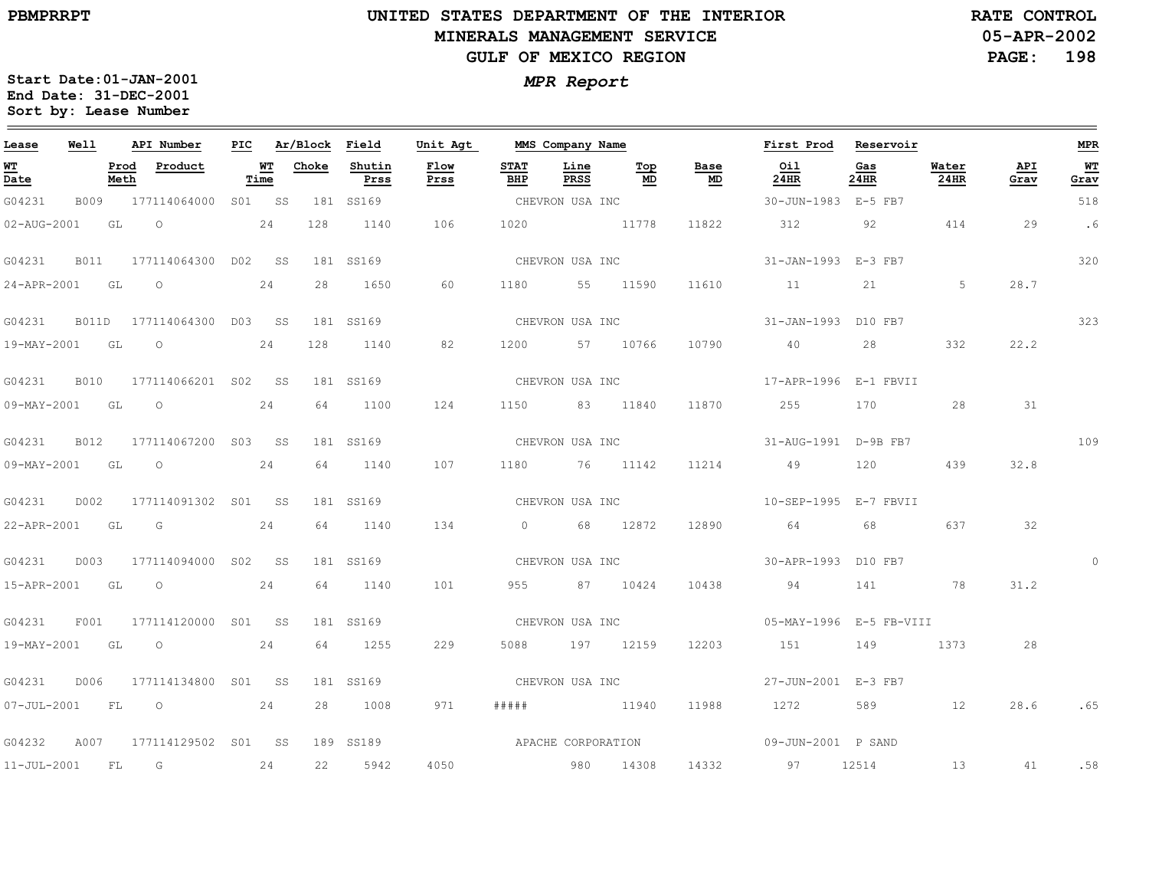## **UNITED STATES DEPARTMENT OF THE INTERIOR MINERALS MANAGEMENT SERVICEGULF OF MEXICO REGION**

**05-APR-2002PAGE: 198 RATE CONTROL**

| Lease                                 | Well |           | API Number                |      | PIC Ar/Block Field |                | Unit Agt        |                    | MMS Company Name |           |                                   | First Prod Reservoir  |             |               |             | <b>MPR</b> |
|---------------------------------------|------|-----------|---------------------------|------|--------------------|----------------|-----------------|--------------------|------------------|-----------|-----------------------------------|-----------------------|-------------|---------------|-------------|------------|
| <u>WT</u><br>$\overline{\text{Date}}$ |      | Meth      | Prod Product              | Time | <b>WT</b> Choke    | Shutin<br>Prss | Flow<br>Prss    | <b>STAT</b><br>BHP | Line<br>PRSS     | Top<br>MD | Base<br>$\underline{\mathbf{MD}}$ | Oil<br>24HR           | Gas<br>24HR | Water<br>24HR | API<br>Grav | WT<br>Grav |
| G04231                                | B009 |           | 177114064000 S01 SS       |      |                    | 181 SS169      |                 | CHEVRON USA INC    |                  |           |                                   | 30-JUN-1983 E-5 FB7   |             |               |             | 518        |
| 02-AUG-2001                           |      | GL        | $\overline{O}$<br>24      |      | 128                | 1140           | 106             | 1020               | 11778            |           | 11822                             | 312 92                |             | 414           | 29          | .6         |
| G04231                                | B011 |           | 177114064300 D02 SS       |      |                    | 181 SS169      |                 |                    | CHEVRON USA INC  |           |                                   | 31-JAN-1993 E-3 FB7   |             |               |             | 320        |
| 24-APR-2001 GL                        |      |           | $\overline{a}$<br>24      |      | 28                 | 1650           | 60              |                    | 1180 55 11590    |           | 11610                             | 11                    | 21          | 5             | 28.7        |            |
| G04231                                |      |           | B011D 177114064300 D03 SS |      |                    | 181 SS169      |                 |                    | CHEVRON USA INC  |           |                                   | 31-JAN-1993 D10 FB7   |             |               |             | 323        |
| 19-MAY-2001 GL                        |      |           | $\overline{O}$<br>24      |      | 128                | 1140           | 82              |                    | 1200 57 10766    |           | 10790                             | 40                    | 28          | 332           | 22.2        |            |
| G04231                                | B010 |           | 177114066201 S02 SS       |      |                    | 181 SS169      |                 |                    | CHEVRON USA INC  |           |                                   | 17-APR-1996 E-1 FBVII |             |               |             |            |
| 09-MAY-2001 GL                        |      |           | $\overline{O}$            | 24   | 64                 | 1100           | 124             | 1150               | 83 11840         |           | 11870                             | 255                   | 170         | 28            | 31          |            |
| G04231                                | B012 |           | 177114067200 S03 SS       |      |                    | 181 SS169      |                 |                    | CHEVRON USA INC  |           |                                   | 31-AUG-1991 D-9B FB7  |             |               |             | 109        |
| 09-MAY-2001 GL                        |      |           | $\overline{O}$            | 24   | 64                 | 1140           | 107             |                    | 1180 76 11142    |           | 11214                             | 49                    | 120         | 439           | 32.8        |            |
| G04231                                | D002 |           | 177114091302 S01 SS       |      |                    | 181 SS169      | CHEVRON USA INC |                    |                  |           |                                   | 10-SEP-1995 E-7 FBVII |             |               |             |            |
| 22-APR-2001 GL                        |      |           | G                         | 24   | 64                 | 1140           | 134             |                    | 0 68 12872       |           | 12890                             | 64                    | 68          | 637           | 32          |            |
| G04231                                | D003 |           | 177114094000 S02 SS       |      |                    | 181 SS169      |                 |                    | CHEVRON USA INC  |           |                                   | 30-APR-1993 D10 FB7   |             |               |             | $\Omega$   |
|                                       |      |           | 15-APR-2001 GL O 24       |      | 64                 | 1140           | 101             |                    | 955 87 10424     |           | 10438                             | 94                    | 141 78      |               | 31.2        |            |
| G04231                                | F001 |           | 177114120000 S01 SS       |      |                    | 181 SS169      |                 |                    |                  |           |                                   |                       |             |               |             |            |
| 19-MAY-2001 GL                        |      |           | 24<br>$\overline{O}$      |      |                    | 64 1255        | 229             |                    | 5088 197 12159   |           | 12203                             | 151                   | 149         | 1373          | 28          |            |
| G04231                                | D006 |           | 177114134800 S01 SS       |      |                    | 181 SS169      |                 |                    | CHEVRON USA INC  |           |                                   | 27-JUN-2001 E-3 FB7   |             |               |             |            |
| $07 - JUL - 2001$                     |      | <b>FL</b> | 24<br>$\overline{O}$      |      | 28                 | 1008           | 971             | # # # # #          | 11940            |           | 11988                             | 1272 589 12           |             |               | 28.6        | .65        |
| G04232                                | A007 |           | 177114129502 SO1 SS       |      |                    | 189 SS189      |                 |                    |                  |           | APACHE CORPORATION                | 09-JUN-2001 P SAND    |             |               |             |            |
| 11-JUL-2001 FL                        |      |           | G                         | 24   | 22                 | 5942           | 4050            | 980 14308          |                  |           | 14332                             | 97                    | 12514       | 13            | 41          | .58        |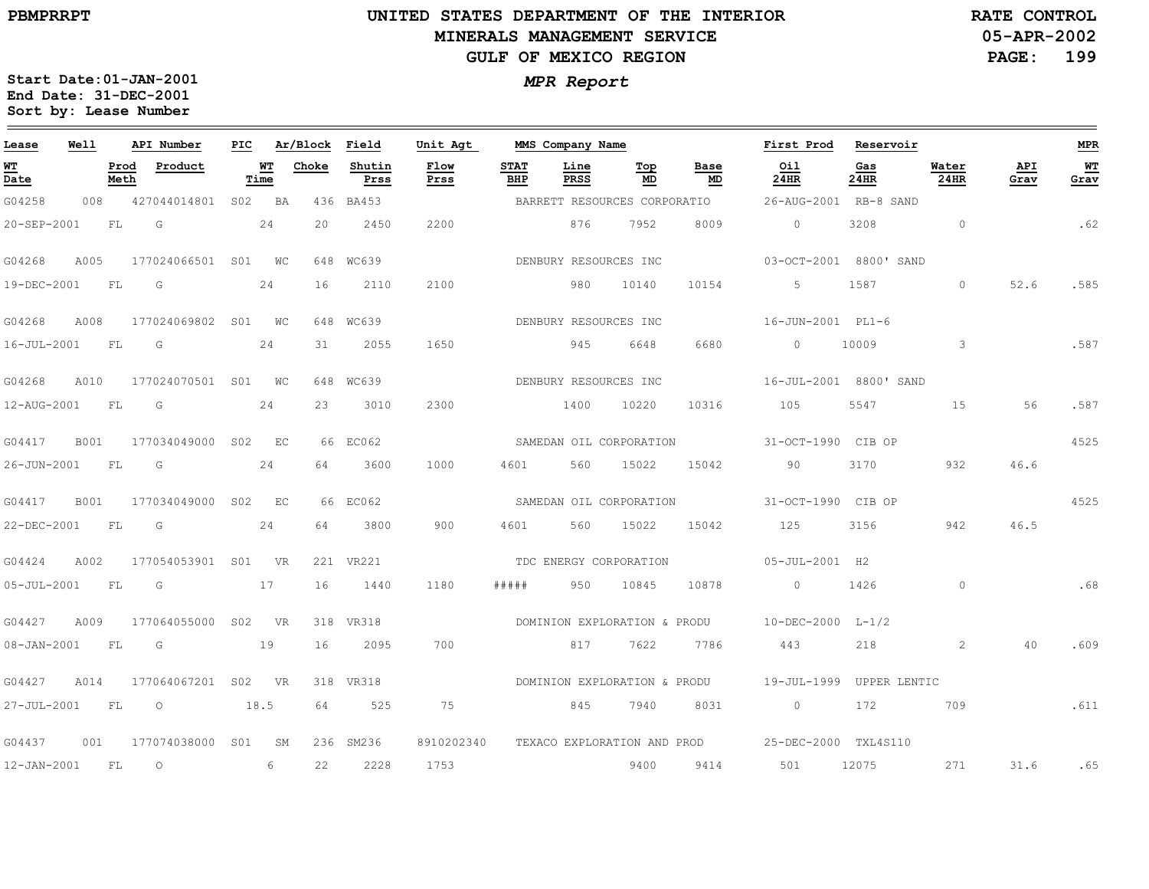## **UNITED STATES DEPARTMENT OF THE INTERIOR MINERALS MANAGEMENT SERVICEGULF OF MEXICO REGION**

**05-APR-2002PAGE: 199 RATE CONTROL**

| Lease                          | Well        |              | API Number          | PIC |            | Ar/Block | Field          | Unit Agt            |                    | MMS Company Name       |                              |            | First Prod                                       | Reservoir    |                      |             | <b>MPR</b> |
|--------------------------------|-------------|--------------|---------------------|-----|------------|----------|----------------|---------------------|--------------------|------------------------|------------------------------|------------|--------------------------------------------------|--------------|----------------------|-------------|------------|
| WT<br>$\overline{\text{Date}}$ |             | Prod<br>Meth | Product             |     | WТ<br>Time | Choke    | Shutin<br>Prss | <b>Flow</b><br>Prss | <b>STAT</b><br>BHP | Line<br><b>PRSS</b>    | Top<br>MD                    | Base<br>MD | Oil<br>24HR                                      | Gas<br>24HR  | Water<br><b>24HR</b> | API<br>Grav | WT<br>Grav |
| G04258                         | 008         |              | 427044014801        |     | S02 BA     | 436      | BA453          |                     |                    |                        | BARRETT RESOURCES CORPORATIO |            | 26-AUG-2001 RB-8 SAND                            |              |                      |             |            |
| 20-SEP-2001                    |             | FL           | G                   |     | 24         | 20       | 2450           | 2200                |                    | 876                    | 7952                         | 8009       | $\circ$                                          | 3208         | $\circ$              |             | .62        |
| G04268                         | A005        |              | 177024066501        |     | SO1 WC     |          | 648 WC639      |                     |                    | DENBURY RESOURCES INC  |                              |            | 03-OCT-2001 8800' SAND                           |              |                      |             |            |
| 19-DEC-2001                    |             | FL           | G                   |     | 24         | 16       | 2110           | 2100                |                    | 980                    | 10140                        | 10154      | 5                                                | 1587         | $\Omega$             | 52.6        | .585       |
| G04268                         | A008        |              | 177024069802        |     | S01 WC     |          | 648 WC639      |                     |                    | DENBURY RESOURCES INC  |                              |            | 16-JUN-2001 PL1-6                                |              |                      |             |            |
| 16-JUL-2001                    |             | <b>FL</b>    | G                   |     | 24         | 31       | 2055           | 1650                |                    | 945                    | 6648                         | 6680       | $\Omega$                                         | 10009        | $\mathbf{3}$         |             | .587       |
| G04268                         | A010        |              | 177024070501 S01 WC |     |            |          | 648 WC639      |                     |                    | DENBURY RESOURCES INC  |                              |            | 16-JUL-2001 8800' SAND                           |              |                      |             |            |
| 12-AUG-2001                    |             | FL           | G                   |     | 24         | 23       | 3010           | 2300                |                    | 1400                   | 10220                        | 10316      | 105                                              | 5547         | 15                   | 56          | .587       |
| G04417                         | <b>B001</b> |              | 177034049000 S02 EC |     |            |          | 66 EC062       |                     |                    |                        | SAMEDAN OIL CORPORATION      |            | 31-OCT-1990 CIB OP                               |              |                      |             | 4525       |
| 26-JUN-2001                    |             | FL           | G                   |     | 24         | 64       | 3600           | 1000                | 4601               | 560                    | 15022                        | 15042      | 90                                               | 3170         | 932                  | 46.6        |            |
| G04417                         | <b>B001</b> |              | 177034049000        | S02 | EC         |          | 66 EC062       |                     |                    |                        | SAMEDAN OIL CORPORATION      |            | 31-OCT-1990 CIB OP                               |              |                      |             | 4525       |
| 22-DEC-2001                    |             | FL           | G                   |     | 24         | 64       | 3800           | 900                 | 4601               | 560                    | 15022                        | 15042      | 125                                              | 3156         | 942                  | 46.5        |            |
| G04424                         | A002        |              | 177054053901 S01 VR |     |            |          | 221 VR221      |                     |                    | TDC ENERGY CORPORATION |                              |            | 05-JUL-2001 H2                                   |              |                      |             |            |
| $05 - JUL - 2001$              |             | FL           | G                   |     | 17         | 16       | 1440           | 1180                | #####              | 950                    | 10845                        | 10878      | $\circ$                                          | 1426         | $\circ$              |             | .68        |
| G04427                         | A009        |              | 177064055000        |     | S02 VR     | 318      | VR318          |                     |                    |                        | DOMINION EXPLORATION & PRODU |            | 10-DEC-2000 L-1/2                                |              |                      |             |            |
| 08-JAN-2001                    |             | <b>FL</b>    | G                   |     | 19         | 16       | 2095           | 700                 |                    | 817                    | 7622                         | 7786       | 443                                              | 218          | 2                    | 40          | .609       |
| G04427                         | A014        |              | 177064067201        | S02 | <b>VR</b>  |          | 318 VR318      |                     |                    |                        | DOMINION EXPLORATION & PRODU |            | 19-JUL-1999                                      | UPPER LENTIC |                      |             |            |
| 27-JUL-2001                    |             | FL.          | $\circ$             |     | 18.5       | 64       | 525            | 75                  |                    | 845                    | 7940                         | 8031       | $\circ$                                          | 172          | 709                  |             | .611       |
| G04437                         | 001         |              | 177074038000        | S01 | SM         |          | 236 SM236      | 8910202340          |                    |                        |                              |            | TEXACO EXPLORATION AND PROD 25-DEC-2000 TXL4S110 |              |                      |             |            |
| 12-JAN-2001                    |             | <b>FL</b>    | $\circ$             |     | 6          | 22       | 2228           | 1753                |                    |                        | 9400                         | 9414       | 501                                              | 12075        | 271                  | 31.6        | .65        |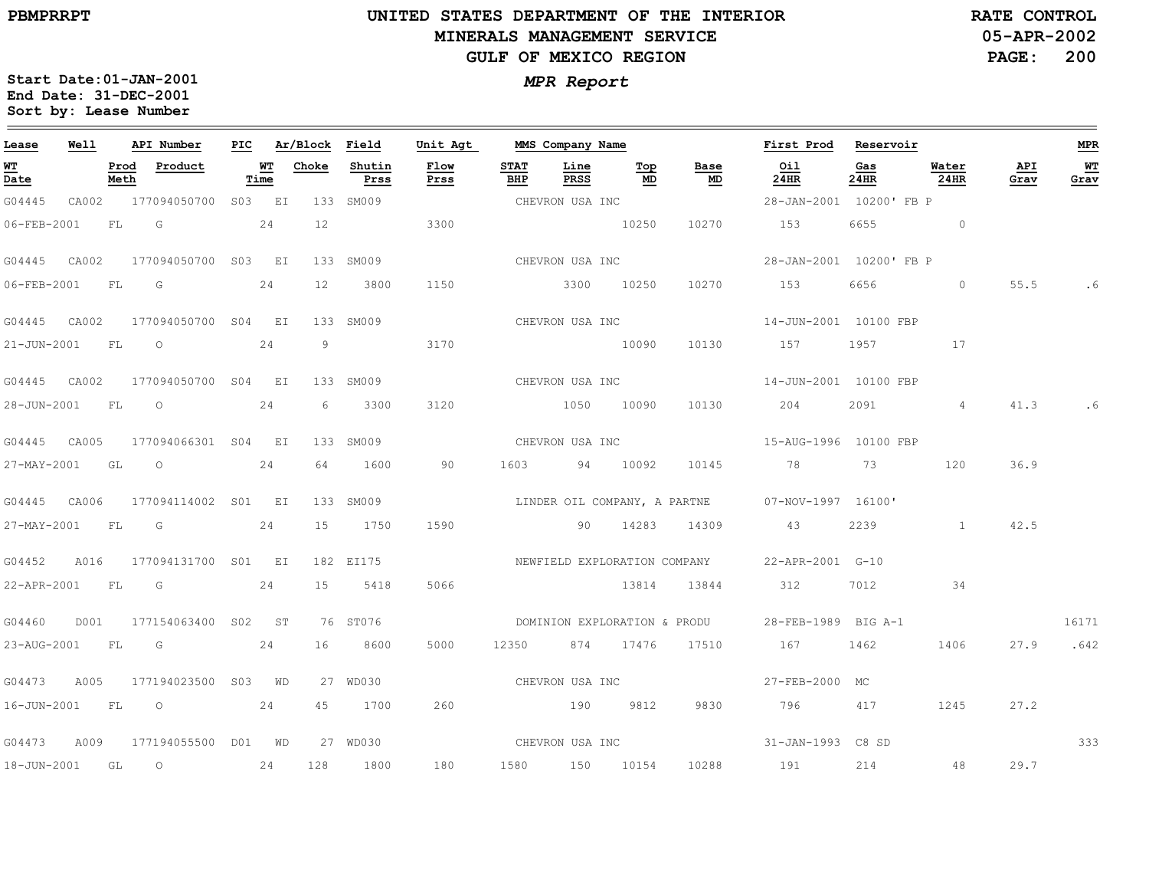$\qquad \qquad =$ 

18-JUN-2001

GL

O

24

128

1800

180

1580

150

10154

10288

191

214

48

29.7

**Start Date:01-JAN-2001**

**Sort by: Lease Number** 

# **UNITED STATES DEPARTMENT OF THE INTERIORMINERALS MANAGEMENT SERVICEGULF OF MEXICO REGION**

**05-APR-2002PAGE: 200 RATE CONTROL**

*MPR Report* **End Date: 31-DEC-2001**

| Lease             | Well  |              | API Number               | PIC |            | Ar/Block | Field          | Unit Agt     |                    | MMS Company Name |                              |                              | First Prod                                      | Reservoir   |                |             | <b>MPR</b>        |
|-------------------|-------|--------------|--------------------------|-----|------------|----------|----------------|--------------|--------------------|------------------|------------------------------|------------------------------|-------------------------------------------------|-------------|----------------|-------------|-------------------|
| <u>WT</u><br>Date |       | Prod<br>Meth | Product                  |     | WT<br>Time | Choke    | Shutin<br>Prss | Flow<br>Prss | <b>STAT</b><br>BHP | Line<br>PRSS     | Top<br>MD                    | Base<br>MD                   | Oil<br>$24$ HR                                  | Gas<br>24HR | Water<br>24HR  | API<br>Grav | <b>WT</b><br>Grav |
| G04445            | CA002 |              | 177094050700 S03 EI      |     |            |          | 133 SM009      |              |                    | CHEVRON USA INC  |                              |                              | 28-JAN-2001 10200' FB P                         |             |                |             |                   |
| 06-FEB-2001       |       | FL           | G                        |     | 24         | 12       |                | 3300         |                    |                  | 10250                        | 10270                        | 153                                             | 6655        | $\sim$ 0       |             |                   |
| G04445 CA002      |       |              | 177094050700 S03 EI      |     |            |          | 133 SM009      |              | CHEVRON USA INC    |                  |                              |                              | 28-JAN-2001 10200' FB P                         |             |                |             |                   |
| 06-FEB-2001       |       | FL           | G                        |     | 24         | 12       | 3800           | 1150         |                    |                  | 3300 10250                   | 10270                        | 153                                             | 6656        | $\circ$        | 55.5        | . 6               |
| G04445 CA002      |       |              | 177094050700 S04 EI      |     |            |          | 133 SM009      |              |                    |                  |                              | CHEVRON USA INC              | 14-JUN-2001 10100 FBP                           |             |                |             |                   |
| 21-JUN-2001 FL    |       |              | $\overline{O}$           |     | 24         | 9        |                | 3170         |                    |                  | 10090                        | 10130                        | 157                                             | 1957        | 17             |             |                   |
| G04445 CA002      |       |              | 177094050700 S04 EI      |     |            |          | 133 SM009      |              |                    |                  |                              | CHEVRON USA INC              | 14-JUN-2001 10100 FBP                           |             |                |             |                   |
| 28-JUN-2001       |       | FL           | $\circ$                  |     | 24         | 6        | 3300           | 3120         |                    |                  | 1050 10090                   | 10130                        | 204                                             | 2091        | $\overline{4}$ | 41.3        | . 6               |
| G04445 CA005      |       |              | 177094066301 S04 EI      |     |            |          | 133 SM009      |              |                    | CHEVRON USA INC  |                              |                              | 15-AUG-1996 10100 FBP                           |             |                |             |                   |
| 27-MAY-2001 GL    |       |              | $\overline{\phantom{0}}$ |     | 24         | 64       | 1600           | 90           | 1603               |                  | 94 10092                     | 10145                        | 78 78                                           | 73          | 120            | 36.9        |                   |
| G04445 CA006      |       |              | 177094114002 S01 EI      |     |            |          | 133 SM009      |              |                    |                  |                              |                              | LINDER OIL COMPANY, A PARTNE 07-NOV-1997 16100' |             |                |             |                   |
| 27-MAY-2001 FL    |       |              | $\overline{G}$           |     | 24         | 15       | 1750           | 1590         |                    |                  |                              | 90 14283 14309 43            |                                                 | 2239        | $\mathbf{1}$   | 42.5        |                   |
| G04452            | A016  |              | 177094131700 S01 EI      |     |            |          | 182 EI175      |              |                    |                  | NEWFIELD EXPLORATION COMPANY |                              | 22-APR-2001 G-10                                |             |                |             |                   |
| 22-APR-2001 FL    |       |              | G                        |     | 24         | 15       | 5418           | 5066         |                    |                  | 13814                        | 13844                        | 312                                             | 7012        | 34             |             |                   |
| G04460            | D001  |              | 177154063400 S02 ST      |     |            |          | 76 ST076       |              |                    |                  |                              | DOMINION EXPLORATION & PRODU | 28-FEB-1989 BIG A-1                             |             |                |             | 16171             |
| 23-AUG-2001 FL G  |       |              |                          |     | 24         | 16       | 8600           | 5000         | 12350              |                  | 874 17476                    | 17510                        | 167                                             | 1462        | 1406           | 27.9        | .642              |
| G04473            | A005  |              | 177194023500 S03 WD      |     |            |          | 27 WD030       |              |                    |                  |                              | CHEVRON USA INC              | 27-FEB-2000 MC                                  |             |                |             |                   |
| 16-JUN-2001 FL    |       |              | $\overline{O}$           |     | 24         | 45       | 1700           | 260          |                    | 190 9812         |                              | 9830                         | 796                                             | 417         | 1245           | 27.2        |                   |
| G04473            | A009  |              | 177194055500 D01 WD      |     |            |          | 27 WD030       |              |                    |                  |                              | CHEVRON USA INC              | 31-JAN-1993 C8 SD                               |             |                |             | 333               |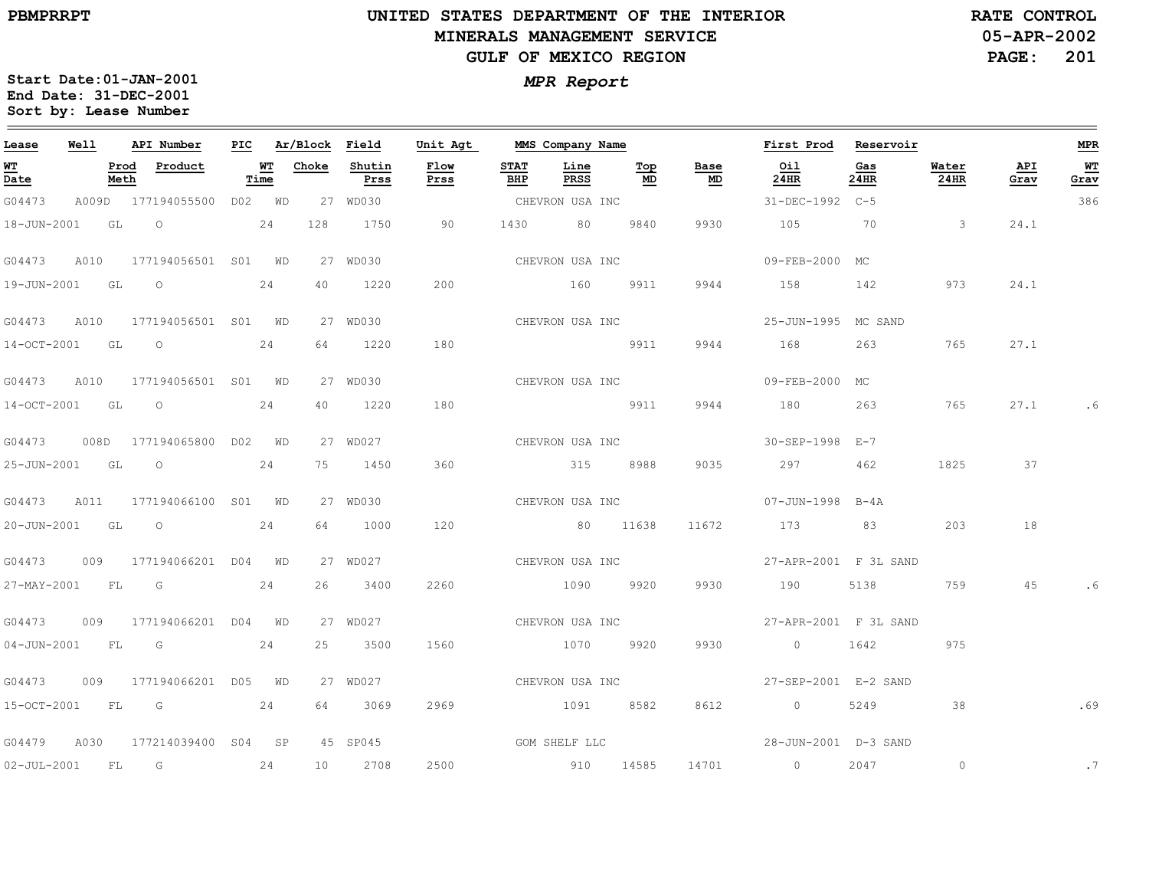$\equiv$ 

# **UNITED STATES DEPARTMENT OF THE INTERIOR MINERALS MANAGEMENT SERVICEGULF OF MEXICO REGION**

**05-APR-2002PAGE: 201 RATE CONTROL**

| Lease            | Well |              | API Number                      |                    | PIC Ar/Block Field |                | Unit Agt      |             | MMS Company Name |                 |                   | First Prod                 | Reservoir   |                          |             | MPR        |
|------------------|------|--------------|---------------------------------|--------------------|--------------------|----------------|---------------|-------------|------------------|-----------------|-------------------|----------------------------|-------------|--------------------------|-------------|------------|
| WT<br>Date       |      | Prod<br>Meth | Product                         | <u> WТ</u><br>Time | Choke              | Shutin<br>Prss | Flow<br>Prss  | STAT<br>BHP | Line<br>PRSS     | Top<br>MD       | Base<br><u>MD</u> | Oil<br>24HR                | Gas<br>24HR | Water<br>24HR            | API<br>Grav | WΤ<br>Grav |
| G04473           |      |              | A009D 177194055500 D02 WD       |                    |                    | 27 WD030       |               |             | CHEVRON USA INC  |                 |                   | 31-DEC-1992 C-5            |             |                          |             | 386        |
| 18-JUN-2001 GL O |      |              | $\sim$ 24                       |                    | 128                | 1750           | 90            |             | 1430 80          | 9840            | 9930              | 105 70                     |             | $\overline{\phantom{a}}$ | 24.1        |            |
| G04473           | A010 |              | 177194056501 S01 WD             |                    |                    | 27 WD030       |               |             | CHEVRON USA INC  |                 |                   | 09-FEB-2000 MC             |             |                          |             |            |
| 19-JUN-2001 GL   |      |              | $\overline{O}$                  | 24                 | 40                 | 1220           | 200           |             | 160 9911         |                 | 9944              | 158 142                    |             | 973                      | 24.1        |            |
| G04473           | A010 |              | 177194056501 S01 WD             |                    |                    | 27 WD030       |               |             |                  | CHEVRON USA INC |                   | 25-JUN-1995 MC SAND        |             |                          |             |            |
| 14-OCT-2001 GL   |      |              | $\overline{O}$                  | 24                 | 64                 | 1220           | 180           |             | <u>9911</u>      |                 | 9944              | 168                        | 263         | 765                      | 27.1        |            |
| G04473           | A010 |              | 177194056501 S01 WD             |                    |                    | 27 WD030       |               |             |                  | CHEVRON USA INC |                   | 09-FEB-2000 MC             |             |                          |             |            |
| 14-OCT-2001 GL   |      |              | $\circ$                         | 24                 | 40                 | 1220           | 180           |             | <u>9911</u>      |                 | 9944              | 180                        | 263         | 765                      | 27.1        | . 6        |
|                  |      |              | G04473 008D 177194065800 D02 WD |                    |                    | 27 WD027       |               |             | CHEVRON USA INC  |                 |                   | 30-SEP-1998 E-7            |             |                          |             |            |
| 25-JUN-2001 GL O |      |              |                                 | 24                 | 75                 | 1450           | 360           |             | 315 8988         |                 | 9035              | 297                        | 462         | 1825                     | 37          |            |
| G04473           | A011 |              | 177194066100 S01 WD             |                    |                    | 27 WD030       |               |             | CHEVRON USA INC  |                 |                   | 07-JUN-1998 B-4A           |             |                          |             |            |
| 20-JUN-2001 GL   |      |              | $\overline{\phantom{0}}$        | 24                 | 64                 | 1000           | 120           |             | 80 11638         |                 | 11672             | 173                        | 83          | 203                      | 18          |            |
| G04473           |      |              | 009 177194066201 D04 WD         |                    |                    | 27 WD027       |               |             | CHEVRON USA INC  |                 |                   | 27-APR-2001 F 3L SAND      |             |                          |             |            |
| 27-MAY-2001 FL G |      |              |                                 | 24                 | 26                 | 3400           | 2260          |             | 1090 9920        |                 | 9930              | 190                        | 5138        | 759                      | 45          |            |
| G04473           | 009  |              | 177194066201 D04 WD             |                    |                    | 27 WD027       |               |             |                  | CHEVRON USA INC |                   | 27-APR-2001 F 3L SAND      |             |                          |             |            |
| 04-JUN-2001 FL   |      |              | <b>G</b>                        | 24                 | 25                 | 3500           | 1560          |             | 1070 9920        |                 | 9930              | $\overline{0}$             | 1642        | 975                      |             |            |
| G04473           |      |              | 009 177194066201 D05 WD         |                    |                    | 27 WD027       |               |             | CHEVRON USA INC  |                 |                   | 27-SEP-2001 E-2 SAND       |             |                          |             |            |
|                  |      |              | 15-OCT-2001 FL G 24             |                    | 64                 | 3069           | 2969          |             | 1091 8582        |                 | 8612              | $\overline{0}$             | 5249        | 38                       |             | .69        |
| G04479           | A030 |              | 177214039400 S04 SP             |                    |                    | 45 SP045       | GOM SHELF LLC |             |                  |                 |                   | $28 - JUN - 2001$ D-3 SAND |             |                          |             |            |
| 02-JUL-2001 FL   |      |              | G                               | 24                 |                    | 10 2708        | 2500          |             | 910 14585        |                 | 14701             | $\sim$ 0                   | 2047        | $\circ$                  |             | .7         |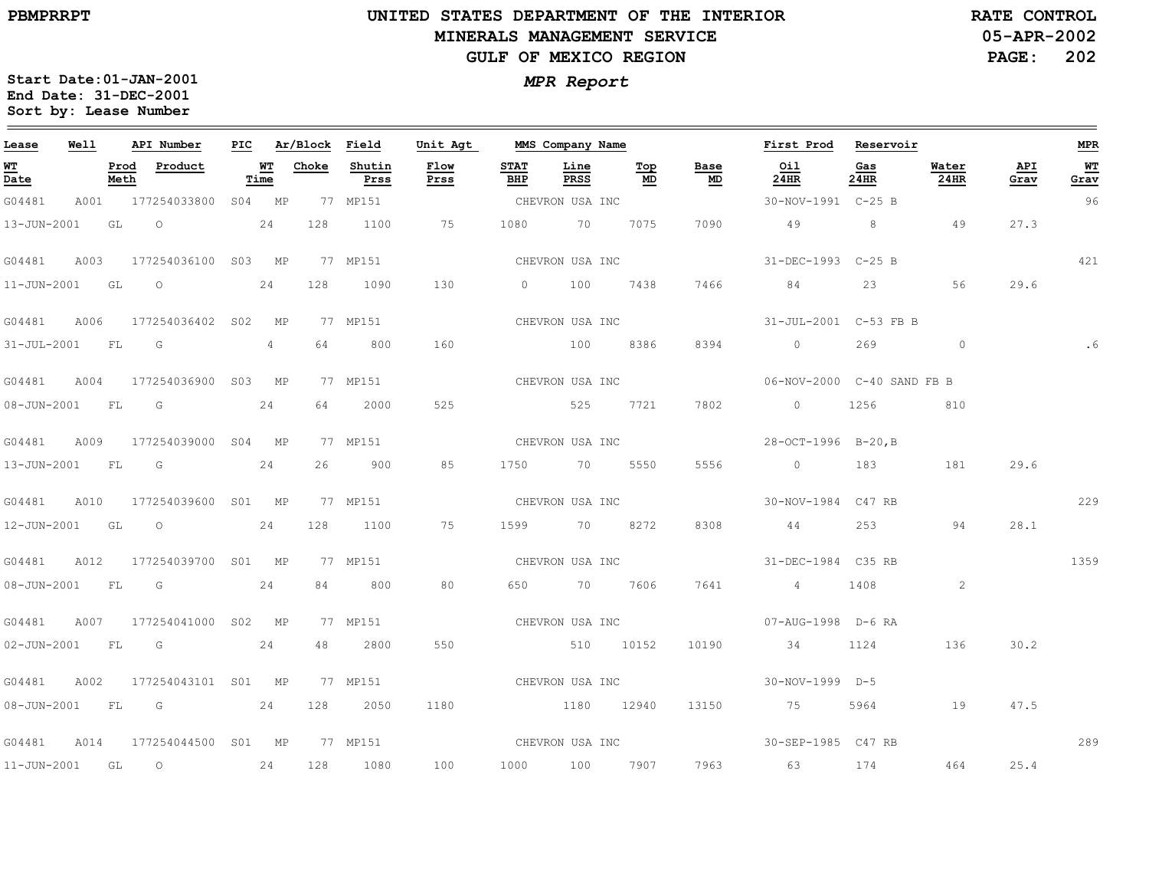## **UNITED STATES DEPARTMENT OF THE INTERIOR MINERALS MANAGEMENT SERVICEGULF OF MEXICO REGION**

**05-APR-2002 PAGE: 202 RATE CONTROL**

| Lease            | Well |      | API Number                             |           | PIC Ar/Block Field |                | Unit Agt        |                    | MMS Company Name |                 |                 | First Prod                         | Reservoir                                                                                                                                                                                                                       |               |             | <b>MPR</b> |
|------------------|------|------|----------------------------------------|-----------|--------------------|----------------|-----------------|--------------------|------------------|-----------------|-----------------|------------------------------------|---------------------------------------------------------------------------------------------------------------------------------------------------------------------------------------------------------------------------------|---------------|-------------|------------|
| WT<br>Date       |      | Meth | Prod Product                           | Time      | <b>WT</b> Choke    | Shutin<br>Prss | Flow<br>Prss    | <b>STAT</b><br>BHP | Line<br>PRSS     | Тор<br>MD       | Base<br>MD      | Oil<br>24HR                        | Gas<br>24HR                                                                                                                                                                                                                     | Water<br>24HR | API<br>Grav | WT<br>Grav |
| G04481           |      |      | A001 177254033800 S04 MP               |           |                    | 77 MP151       |                 |                    | CHEVRON USA INC  |                 |                 | 30-NOV-1991 C-25 B                 |                                                                                                                                                                                                                                 |               |             | 96         |
| 13-JUN-2001 GL   |      |      | $\overline{O}$                         | 24        | 128                | 1100           | 75              |                    | 1080 70 7075     |                 | 7090            | 49                                 |                                                                                                                                                                                                                                 | 8 49          | 27.3        |            |
| G04481           |      |      | A003 177254036100 S03 MP               |           |                    | 77 MP151       |                 |                    |                  | CHEVRON USA INC |                 | 31-DEC-1993 C-25 B                 |                                                                                                                                                                                                                                 |               |             | 421        |
| 11-JUN-2001 GL O |      |      |                                        | 24        | 128                | 1090           | 130             |                    |                  | 0 100 7438 7466 |                 | 84 84                              |                                                                                                                                                                                                                                 | 56            | 29.6        |            |
|                  |      |      | G04481 A006 177254036402 S02 MP        |           |                    | 77 MP151       |                 |                    |                  |                 | CHEVRON USA INC | 31-JUL-2001 C-53 FB B              |                                                                                                                                                                                                                                 |               |             |            |
| 31-JUL-2001 FL G |      |      |                                        | $4 \quad$ |                    | 64 64<br>800   | 160             |                    | 100 8386         |                 | 8394            | $\overline{0}$                     | 269                                                                                                                                                                                                                             | $\circ$       |             |            |
| G04481           |      |      | A004 177254036900 S03 MP               |           |                    | 77 MP151       |                 |                    |                  |                 | CHEVRON USA INC | 06-NOV-2000 C-40 SAND FB B         |                                                                                                                                                                                                                                 |               |             |            |
| 08-JUN-2001 FL G |      |      |                                        | 24        | 64 —               | 2000           | 525             |                    |                  | 525 7721 7802   |                 | 0 1256                             |                                                                                                                                                                                                                                 | 810           |             |            |
|                  |      |      | G04481 A009 177254039000 S04 MP        |           |                    | 77 MP151       |                 |                    |                  | CHEVRON USA INC |                 | 28-OCT-1996 B-20, B                |                                                                                                                                                                                                                                 |               |             |            |
| 13-JUN-2001 FL G |      |      |                                        | 24        | 26                 | 900            | 85              |                    | 1750 70 5550     |                 | 5556            | $\sim$ 0                           | 183 — 183 — 184 — 184 — 185 — 186 — 187 — 187 — 188 — 188 — 188 — 188 — 188 — 188 — 188 — 188 — 188 — 188 — 188 — 188 — 188 — 188 — 188 — 188 — 188 — 188 — 188 — 188 — 188 — 188 — 188 — 188 — 188 — 188 — 188 — 188 — 188 — 1 | 181           | 29.6        |            |
|                  |      |      | G04481 A010 177254039600 S01 MP        |           |                    | 77 MP151       |                 |                    | CHEVRON USA INC  |                 |                 | 30-NOV-1984 C47 RB                 |                                                                                                                                                                                                                                 |               |             | 229        |
| 12-JUN-2001 GL   |      |      | $\overline{O}$                         | 24        | 128                | 1100           | 75              |                    | 1599 70 8272     |                 | 8308            | 44                                 | 253                                                                                                                                                                                                                             | 94            | 28.1        |            |
|                  |      |      | G04481 A012 177254039700 S01 MP        |           |                    | 77 MP151       |                 |                    | CHEVRON USA INC  |                 |                 | 31-DEC-1984    C35 RB              |                                                                                                                                                                                                                                 |               |             | 1359       |
| 08-JUN-2001 FL G |      |      |                                        | 24        | 84                 | 800            | 80              |                    | 650 70 7606      |                 | 7641            | $4\overline{4}$                    | 1408 — 1408 — 1408 — 1510 — 1520 — 1520 — 1521 — 1522 — 1522 — 1522 — 1523 — 1524 — 1525 — 1526 — 1527 — 1527 — 1527 — 1527 — 1527 — 1527 — 1527 — 1527 — 1527 — 1527 — 1527 — 1527 — 1527 — 1527 — 1527 — 1527 — 1527 — 1527 — | 2             |             |            |
|                  |      |      | G04481 A007 177254041000 S02 MP        |           |                    | 77 MP151       |                 |                    |                  |                 | CHEVRON USA INC | 07-AUG-1998 D-6 RA                 |                                                                                                                                                                                                                                 |               |             |            |
| 02-JUN-2001 FL G |      |      |                                        | 24        | 48                 | 2800           | 550             |                    | 510 10152        |                 | 10190           | 34                                 | 1124                                                                                                                                                                                                                            | 136           | 30.2        |            |
| G04481           |      |      | A002 177254043101 S01 MP               |           |                    | 77 MP151       | CHEVRON USA INC |                    |                  |                 |                 | 30-NOV-1999 D-5                    |                                                                                                                                                                                                                                 |               |             |            |
|                  |      |      | 08-JUN-2001 FL G 24                    |           | 128                | 2050           | 1180            |                    | 1180 12940       |                 | 13150           | 75                                 | 5964                                                                                                                                                                                                                            | 19            | 47.5        |            |
| G04481           |      |      | A014  177254044500  S01  MP  77  MP151 |           |                    |                |                 |                    |                  |                 |                 | CHEVRON USA INC 30-SEP-1985 C47 RB |                                                                                                                                                                                                                                 |               |             | 289        |
| 11-JUN-2001 GL   |      |      | $\overline{O}$                         | 24        |                    | 128 1080       | 100             |                    | 1000 100 7907    |                 |                 | 7963 63                            | 174                                                                                                                                                                                                                             | 464           | 25.4        |            |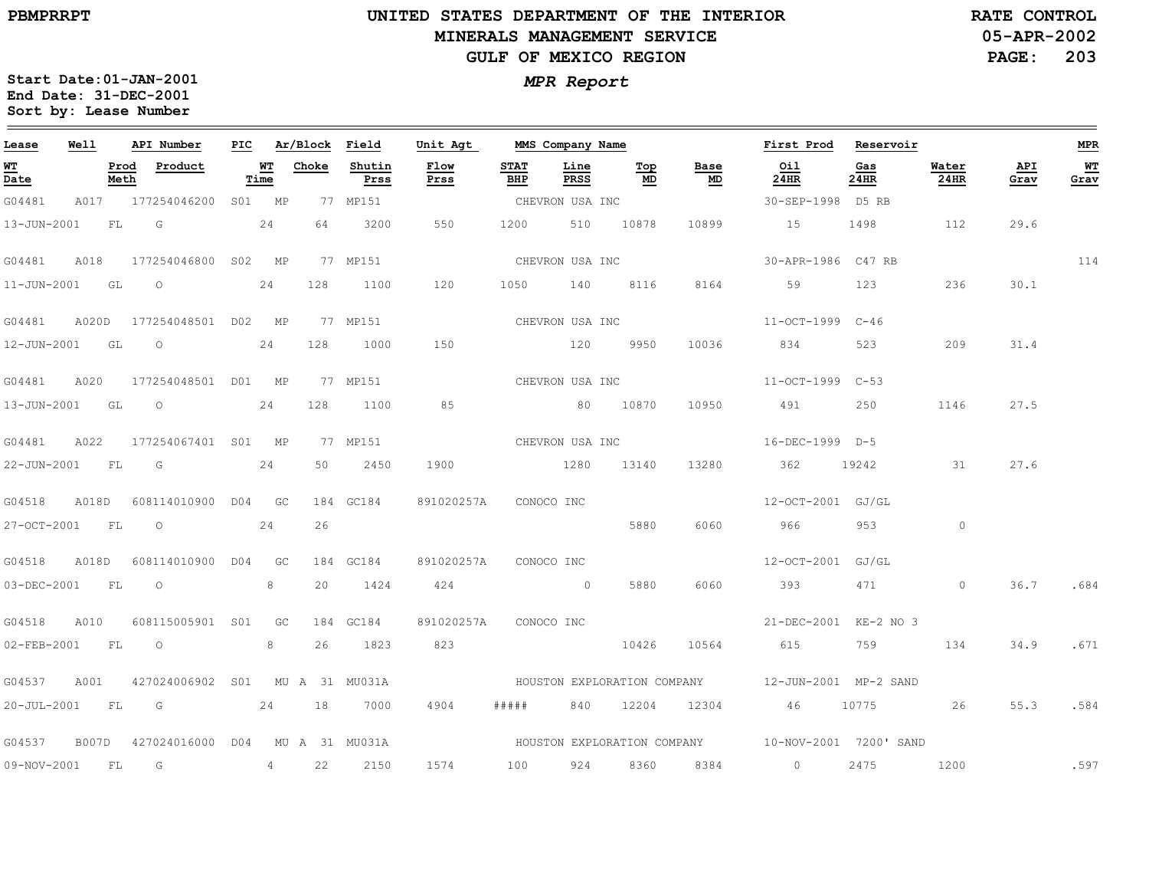$\equiv$ 

# **UNITED STATES DEPARTMENT OF THE INTERIOR MINERALS MANAGEMENT SERVICEGULF OF MEXICO REGION**

**05-APR-2002PAGE: 203 RATE CONTROL**

| Lease       | Well  |              | API Number                      | <b>PIC</b> |                 | Ar/Block Field |                | Unit Agt     |                    | MMS Company Name |                                |                                   | First Prod                                         | Reservoir   |               |             | <b>MPR</b>               |
|-------------|-------|--------------|---------------------------------|------------|-----------------|----------------|----------------|--------------|--------------------|------------------|--------------------------------|-----------------------------------|----------------------------------------------------|-------------|---------------|-------------|--------------------------|
| WT<br>Date  |       | Prod<br>Meth | Product                         |            | WT<br>Time      | Choke          | Shutin<br>Prss | Flow<br>Prss | <b>STAT</b><br>BHP | Line<br>PRSS     | $\underline{\text{Top}}$<br>MD | Base<br>$\underline{\mathsf{MD}}$ | Oil<br>24HR                                        | Gas<br>24HR | Water<br>24HR | API<br>Grav | <b>WT</b><br><u>Grav</u> |
| G04481      |       |              | A017 177254046200               |            | S01 MP          |                | 77 MP151       |              |                    | CHEVRON USA INC  |                                |                                   | 30-SEP-1998 D5 RB                                  |             |               |             |                          |
| 13-JUN-2001 |       | FL           | G                               |            | 24              | 64             | 3200           | 550          | 1200               | 510              | 10878                          | 10899                             | 15                                                 | 1498        | 112           | 29.6        |                          |
| G04481      | A018  |              | 177254046800                    |            | S02 MP          |                | 77 MP151       |              |                    | CHEVRON USA INC  |                                |                                   | 30-APR-1986 C47 RB                                 |             |               |             | 114                      |
| 11-JUN-2001 |       | GL           | $\circ$                         |            | 24              | 128            | 1100           | 120          | 1050               | 140              | 8116                           | 8164                              | 59                                                 | 123         | 236           | 30.1        |                          |
| G04481      | A020D |              | 177254048501 D02 MP             |            |                 |                | 77 MP151       |              |                    | CHEVRON USA INC  |                                |                                   | 11-OCT-1999 C-46                                   |             |               |             |                          |
| 12-JUN-2001 |       | GL           | $\circ$                         |            | 24              | 128            | 1000           | 150          |                    | 120              | 9950                           | 10036                             | 834                                                | 523         | 209           | 31.4        |                          |
| G04481      | A020  |              | 177254048501 D01 MP             |            |                 |                | 77 MP151       |              |                    | CHEVRON USA INC  |                                |                                   | 11-OCT-1999 C-53                                   |             |               |             |                          |
| 13-JUN-2001 |       | GL           | $\circ$                         |            | 24              | 128            | 1100           | 85           |                    |                  | 80 10870                       | 10950                             | 491                                                | 250         | 1146          | 27.5        |                          |
| G04481      | A022  |              | 177254067401 S01 MP             |            |                 |                | 77 MP151       |              |                    | CHEVRON USA INC  |                                |                                   | 16-DEC-1999 D-5                                    |             |               |             |                          |
| 22-JUN-2001 |       | FL           | G                               |            | 24              | 50             | 2450           | 1900         |                    | 1280             | 13140                          | 13280                             | 362                                                | 19242       | 31            | 27.6        |                          |
| G04518      | A018D |              | 608114010900 D04 GC             |            |                 |                | 184 GC184      | 891020257A   |                    | CONOCO INC       |                                |                                   | 12-OCT-2001 GJ/GL                                  |             |               |             |                          |
| 27-OCT-2001 |       | FL.          | $\circ$                         |            | 24              | 26             |                |              |                    |                  | 5880                           | 6060                              | 966                                                | 953         | $\circ$       |             |                          |
| G04518      | A018D |              | 608114010900 D04                |            | GC <sub>1</sub> |                | 184 GC184      | 891020257A   |                    | CONOCO INC       |                                |                                   | 12-OCT-2001 GJ/GL                                  |             |               |             |                          |
| 03-DEC-2001 |       | FL           | $\overline{O}$                  |            | 8               | 20             | 1424           | 424          |                    | $\sim$ 0         | 5880                           | 6060                              | 393                                                | 471         | $\circ$       | 36.7        | .684                     |
| G04518      | A010  |              | 608115005901 S01                |            | GC              |                | 184 GC184      | 891020257A   |                    | CONOCO INC       |                                |                                   | 21-DEC-2001 KE-2 NO 3                              |             |               |             |                          |
| 02-FEB-2001 |       | FL.          | $\circ$                         |            | 8               | 26             | 1823           | 823          |                    |                  | 10426                          | 10564                             | 615                                                | 759         | 134           | 34.9        | .671                     |
| G04537      | A001  |              | 427024006902 S01 MU A 31 MU031A |            |                 |                |                |              |                    |                  |                                | HOUSTON EXPLORATION COMPANY       | 12-JUN-2001 MP-2 SAND                              |             |               |             |                          |
| 20-JUL-2001 |       | <b>FL</b>    | $\overline{G}$                  |            | 24              | 18             | 7000           | 4904         | # # # # #          | 840              | 12204                          | 12304                             | 46                                                 | 10775       | 26            | 55.3        | .584                     |
| G04537      | B007D |              | 427024016000 D04                |            |                 |                | MU A 31 MU031A |              |                    |                  |                                |                                   | HOUSTON EXPLORATION COMPANY 10-NOV-2001 7200' SAND |             |               |             |                          |
| 09-NOV-2001 |       | FL           | G                               |            | 4               | 22             | 2150           | 1574         | 100                | 924              | 8360                           | 8384                              | $\overline{0}$                                     | 2475        | 1200          |             | .597                     |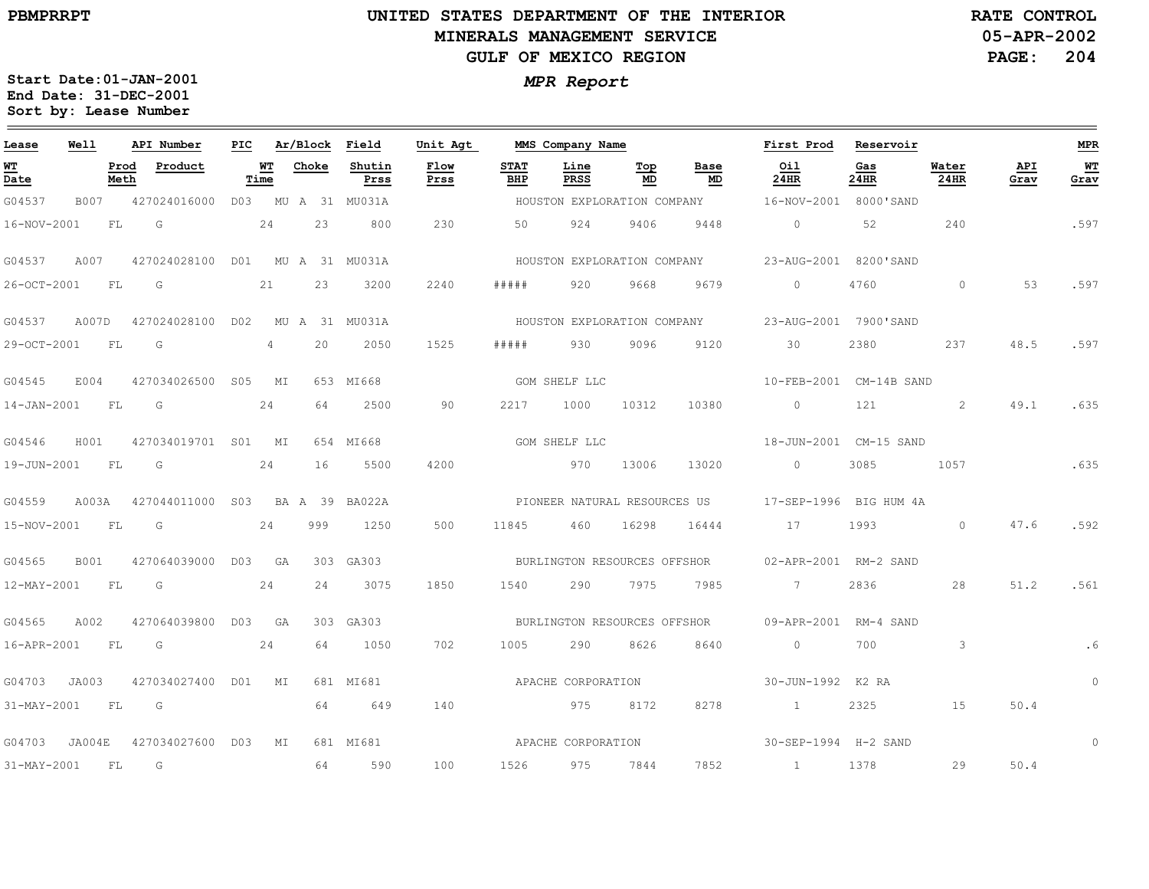## **UNITED STATES DEPARTMENT OF THE INTERIOR MINERALS MANAGEMENT SERVICEGULF OF MEXICO REGION**

**05-APR-2002PAGE: 204 RATE CONTROL**

| Lease             | Well        |              | API Number                      | PIC |                | Ar/Block Field |                    | Unit Agt     |                    | MMS Company Name   |                              |                             | First Prod                  | Reservoir   |               |             | <b>MPR</b> |
|-------------------|-------------|--------------|---------------------------------|-----|----------------|----------------|--------------------|--------------|--------------------|--------------------|------------------------------|-----------------------------|-----------------------------|-------------|---------------|-------------|------------|
| WT<br>Date        |             | Prod<br>Meth | Product                         |     | WT<br>Time     | Choke          | Shutin<br>Prss     | Flow<br>Prss | <b>STAT</b><br>BHP | Line<br>PRSS       | Top<br>MD                    | Base<br>MD                  | Oil<br>24HR                 | Gas<br>24HR | Water<br>24HR | API<br>Grav | WT<br>Grav |
| G04537            | B007        |              | 427024016000                    |     |                |                | D03 MU A 31 MU031A |              |                    |                    | HOUSTON EXPLORATION COMPANY  |                             | 16-NOV-2001 8000'SAND       |             |               |             |            |
| 16-NOV-2001       |             | FL.          | G                               |     | 24             | 23             | 800                | 230          | 50                 | 924                | 9406                         | 9448                        | $\bigcirc$                  | 52          | 240           |             | .597       |
| G04537            | A007        |              | 427024028100 D01 MU A 31 MU031A |     |                |                |                    |              |                    |                    |                              | HOUSTON EXPLORATION COMPANY | 23-AUG-2001 8200'SAND       |             |               |             |            |
| 26-OCT-2001       |             | FL           | G                               |     | 21             | 23             | 3200               | 2240         | #####              | 920                | 9668                         | 9679                        | $\circ$                     | 4760        | $\circ$       | 53          | .597       |
| G04537            | A007D       |              | 427024028100 D02                |     |                |                | MU A 31 MU031A     |              |                    |                    |                              | HOUSTON EXPLORATION COMPANY | 23-AUG-2001 7900'SAND       |             |               |             |            |
| 29-OCT-2001       |             | FL           | G                               |     | $\overline{4}$ | 20             | 2050               | 1525         | # # # # #          | 930                | 9096                         | 9120                        | 30                          | 2380        | 237           | 48.5        | .597       |
| G04545            | E004        |              | 427034026500 S05 MI             |     |                |                | 653 MI668          |              |                    | GOM SHELF LLC      |                              |                             | 10-FEB-2001 CM-14B SAND     |             |               |             |            |
| $14 - JAN - 2001$ |             | FL           | G                               |     | 24             | 64             | 2500               | 90           | 2217               | 1000               | 10312                        | 10380                       | $\circ$                     | 121         | 2             | 49.1        | .635       |
| G04546            | H001        |              | 427034019701 S01 MI             |     |                |                | 654 MI668          |              |                    | GOM SHELF LLC      |                              |                             | 18-JUN-2001 CM-15 SAND      |             |               |             |            |
| 19-JUN-2001       |             | FL           | G                               |     | 24             | 16             | 5500               | 4200         |                    | <u>970</u>         | 13006                        | 13020                       | $\circ$                     | 3085        | 1057          |             | .635       |
| G04559            | A003A       |              | 427044011000 S03 BA A 39 BA022A |     |                |                |                    |              |                    |                    | PIONEER NATURAL RESOURCES US |                             | 17-SEP-1996 BIG HUM 4A      |             |               |             |            |
| 15-NOV-2001       |             | FL           | G                               |     | 24             | 999            | 1250               | 500          | 11845              | 460                | 16298                        | 16444                       | 17                          | 1993        | $\Omega$      | 47.6        | .592       |
| G04565            | <b>B001</b> |              | 427064039000                    |     | D03 GA         |                | 303 GA303          |              |                    |                    | BURLINGTON RESOURCES OFFSHOR |                             | 02-APR-2001 RM-2 SAND       |             |               |             |            |
| 12-MAY-2001       |             | FL           | G                               |     | 24             | 24             | 3075               | 1850         | 1540               | 290                | 7975                         | 7985                        | $\overline{7}$              | 2836        | 28            | 51.2        | .561       |
| G04565            | A002        |              | 427064039800                    |     | D03 GA         |                | 303 GA303          |              |                    |                    | BURLINGTON RESOURCES OFFSHOR |                             | 09-APR-2001 RM-4 SAND       |             |               |             |            |
| 16-APR-2001       |             | FL           | G                               |     | 24             | 64             | 1050               | 702          | 1005               | 290                | 8626                         | 8640                        | $\circ$                     | 700         | 3             |             | .6         |
| G04703            | JA003       |              | 427034027400 D01 MI             |     |                |                | 681 MI681          |              |                    | APACHE CORPORATION |                              |                             | 30-JUN-1992 K2 RA           |             |               |             | $\circ$    |
| 31-MAY-2001       |             | FL           | G                               |     |                | 64             | 649                | 140          |                    | 975                | 8172                         | 8278                        | $\sim$ 1                    | 2325        | 15            | 50.4        |            |
| G04703            | JA004E      |              | 427034027600 D03                |     | MI             |                | 681 MI681          |              | APACHE CORPORATION |                    |                              |                             | 30-SEP-1994 H-2 SAND        |             |               |             | $\circ$    |
| 31-MAY-2001       |             | FL           | G                               |     |                | 64             | 590                | 100          | 1526               | 975                | 7844                         | 7852                        | $\sim$ $\sim$ $\sim$ $\sim$ | 1378        | 29            | 50.4        |            |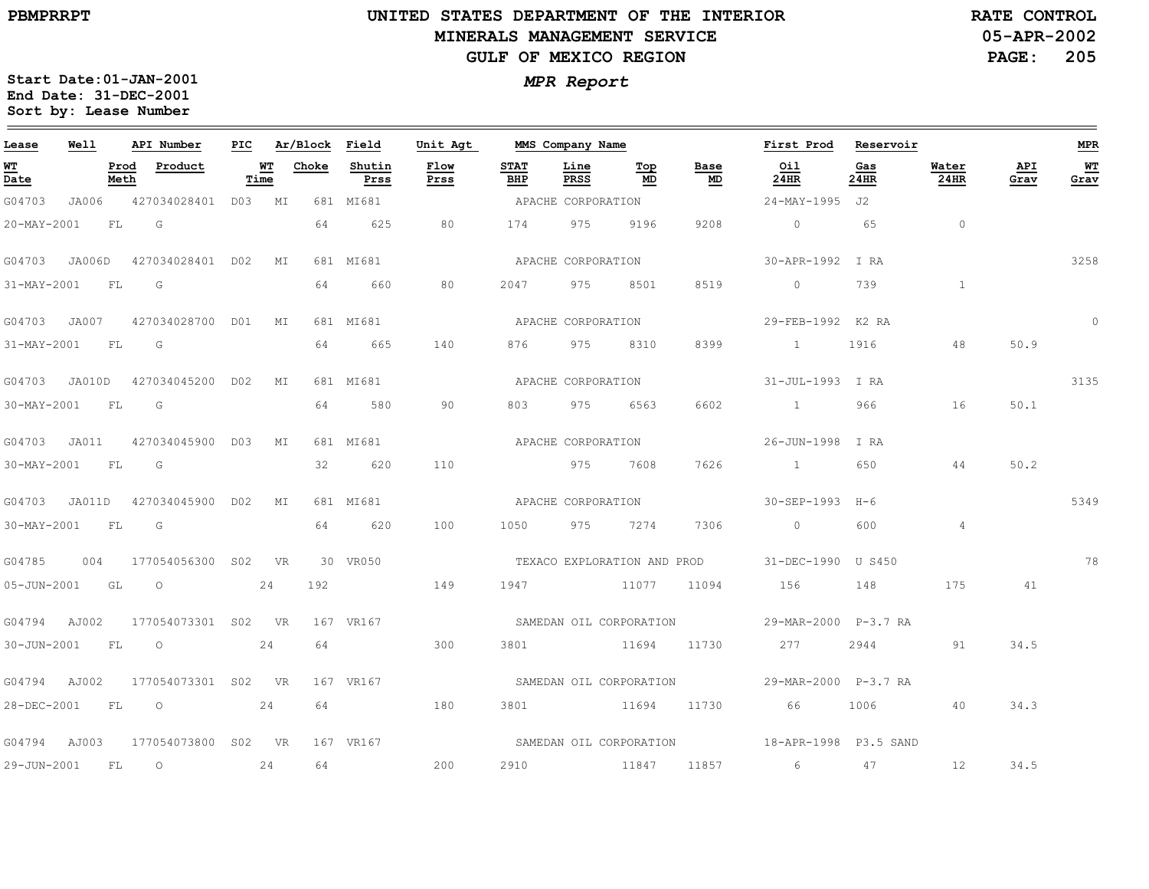$\equiv$ 

# **UNITED STATES DEPARTMENT OF THE INTERIOR MINERALS MANAGEMENT SERVICEGULF OF MEXICO REGION**

**05-APR-2002PAGE: 205 RATE CONTROL**

| Lease          | Well   |              | API Number          | PIC |            | Ar/Block | Field          | Unit Agt     |                    | MMS Company Name   |                                  |                         | First Prod                                      | Reservoir   |                |             | <b>MPR</b> |
|----------------|--------|--------------|---------------------|-----|------------|----------|----------------|--------------|--------------------|--------------------|----------------------------------|-------------------------|-------------------------------------------------|-------------|----------------|-------------|------------|
| WT<br>Date     |        | Prod<br>Meth | Product             |     | WT<br>Time | Choke    | Shutin<br>Prss | Flow<br>Prss | <b>STAT</b><br>BHP | Line<br>PRSS       | $\underline{\mathbf{Top}}$<br>MD | Base<br>MD              | Oil<br>24HR                                     | Gas<br>24HR | Water<br>24HR  | API<br>Grav | WT<br>Grav |
| G04703         | JA006  |              | 427034028401 D03 MI |     |            |          | 681 MI681      |              |                    | APACHE CORPORATION |                                  |                         | 24-MAY-1995 J2                                  |             |                |             |            |
| 20-MAY-2001    |        | FL           | G                   |     |            | 64       | 625            | 80           | 174                | 975                | 9196                             | 9208                    | $\overline{0}$                                  | 65          | $\circ$        |             |            |
| G04703         | JA006D |              | 427034028401 D02    |     | МI         |          | 681 MI681      |              |                    | APACHE CORPORATION |                                  |                         | 30-APR-1992 I RA                                |             |                |             | 3258       |
| 31-MAY-2001    |        | FL           | G                   |     |            | 64       | 660            | 80           | 2047               | 975                | 8501                             | 8519                    | $\circ$                                         | 739         | $\mathbf{1}$   |             |            |
| G04703 JA007   |        |              | 427034028700 D01    |     | МI         |          | 681 MI681      |              |                    | APACHE CORPORATION |                                  |                         | 29-FEB-1992 K2 RA                               |             |                |             | $\circ$    |
| 31-MAY-2001    |        | FL           | G                   |     |            | 64       | 665            | 140          | 876 —              | 975                | 8310                             | 8399                    | $\sim$ $\sim$ $\sim$ $\sim$                     | 1916        | 48             | 50.9        |            |
| G04703         | JA010D |              | 427034045200 D02    |     | МI         |          | 681 MI681      |              |                    | APACHE CORPORATION |                                  |                         | 31-JUL-1993 I RA                                |             |                |             | 3135       |
| 30-MAY-2001    |        | FL           | G                   |     |            | 64       | 580            | 90           | 803                | 975                | 6563                             | 6602                    | $\sim$ 1                                        | 966         | 16             | 50.1        |            |
| G04703 JA011   |        |              | 427034045900 D03    |     | МI         |          | 681 MI681      |              |                    | APACHE CORPORATION |                                  |                         | 26-JUN-1998 I RA                                |             |                |             |            |
| 30-MAY-2001    |        | FL           | G                   |     |            | 32       | 620            | 110          |                    | 975                | 7608                             | 7626                    | $\sim$ $\sim$ $\sim$ $\sim$ $\sim$              | 650         | 44             | 50.2        |            |
| G04703         | JA011D |              | 427034045900 D02    |     | МI         |          | 681 MI681      |              |                    | APACHE CORPORATION |                                  |                         | 30-SEP-1993                                     | H-6         |                |             | 5349       |
| 30-MAY-2001    |        | FL           | G                   |     |            | 64       | 620            | 100          | 1050               | 975                | 7274                             | 7306                    | $\overline{0}$                                  | 600         | $\overline{4}$ |             |            |
| G04785         | 004    |              | 177054056300 SO2    |     | <b>VR</b>  |          | 30 VR050       |              |                    |                    | TEXACO EXPLORATION AND PROD      |                         | 31-DEC-1990 U S450                              |             |                |             | 78         |
| 05-JUN-2001 GL |        |              | $\circ$             |     | 24         | 192      |                | 149          |                    | 1947 11077         |                                  | 11094                   | 156                                             | 148         | 175            | 41          |            |
| G04794         | AJ002  |              | 177054073301 S02    |     | <b>VR</b>  |          | 167 VR167      |              |                    |                    |                                  | SAMEDAN OIL CORPORATION | 29-MAR-2000 P-3.7 RA                            |             |                |             |            |
| 30-JUN-2001    |        | FL           | $\circ$             |     | 24         | 64       |                | 300          | 3801               |                    | 11694                            | 11730                   | 277                                             | 2944        | 91             | 34.5        |            |
| G04794         | AJ002  |              | 177054073301 S02 VR |     |            |          | 167 VR167      |              |                    |                    |                                  | SAMEDAN OIL CORPORATION | 29-MAR-2000 P-3.7 RA                            |             |                |             |            |
| 28-DEC-2001    |        | FL           | $\circ$             |     | 24         | 64       |                | 180          |                    | 3801 11694         |                                  | 11730                   | 66                                              | 1006        | 40             | 34.3        |            |
| G04794         | AJ003  |              | 177054073800 S02 VR |     |            |          | 167 VR167      |              |                    |                    |                                  |                         | SAMEDAN OIL CORPORATION 5 18-APR-1998 P3.5 SAND |             |                |             |            |
| 29-JUN-2001    |        | FL           | $\circ$             |     | 24         | 64       |                | 200          |                    | 2910 11847         |                                  | 11857 11857             | 6                                               | 47          | 12             | 34.5        |            |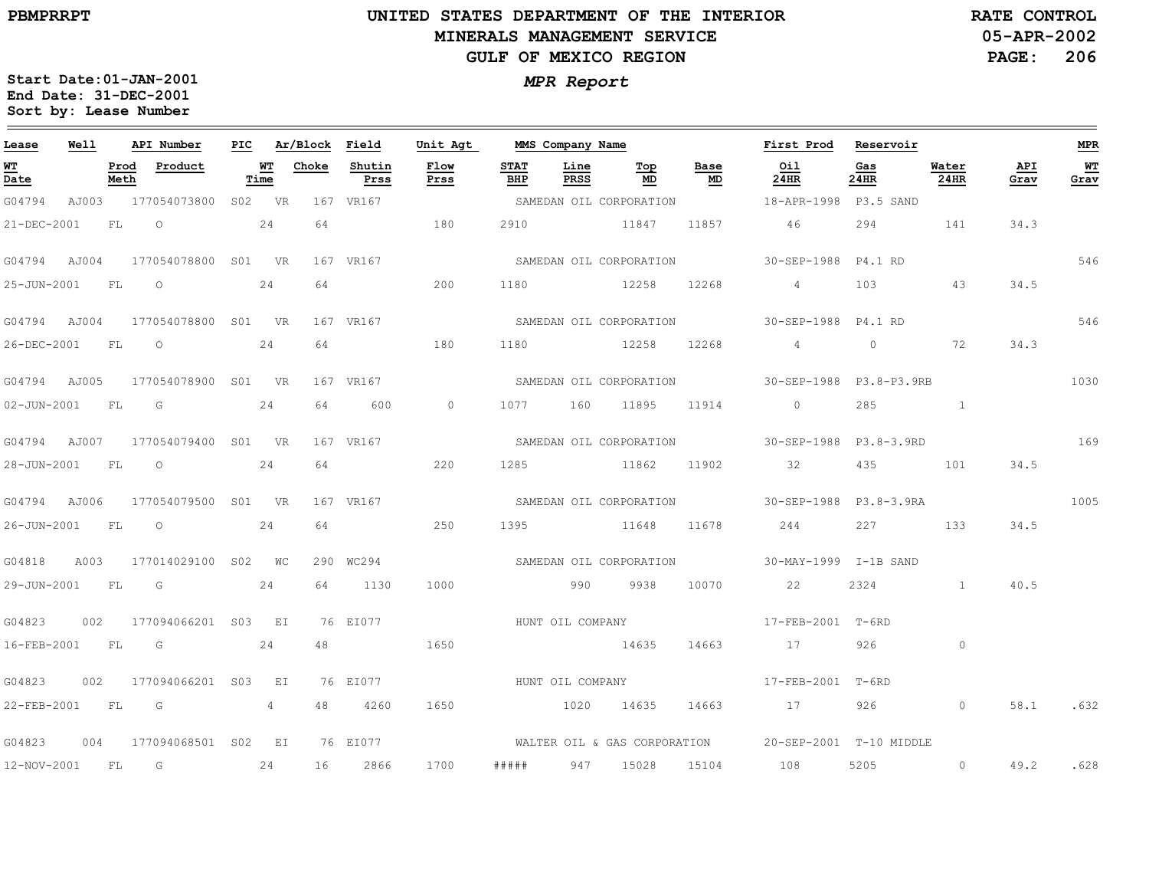# **UNITED STATES DEPARTMENT OF THE INTERIOR MINERALS MANAGEMENT SERVICEGULF OF MEXICO REGION**

**05-APR-2002 PAGE: 206 RATE CONTROL**

| Lease             | Well  |              | API Number          | PIC    |            | Ar/Block | Field          | Unit Agt     |                    |                  | MMS Company Name        |            | First Prod Reservoir                                 |             |                |             | <b>MPR</b>  |
|-------------------|-------|--------------|---------------------|--------|------------|----------|----------------|--------------|--------------------|------------------|-------------------------|------------|------------------------------------------------------|-------------|----------------|-------------|-------------|
| <u>WT</u><br>Date |       | Prod<br>Meth | Product             |        | WТ<br>Time | Choke    | Shutin<br>Prss | Flow<br>Prss | <b>STAT</b><br>BHP | Line<br>PRSS     | Top<br>MD               | Base<br>MD | Oil<br>24HR                                          | Gas<br>24HR | Water<br>24HR  | API<br>Grav | $W$<br>Grav |
| G04794            | AJ003 |              | 177054073800        | S02    | <b>VR</b>  |          | 167 VR167      |              |                    |                  | SAMEDAN OIL CORPORATION |            | 18-APR-1998 P3.5 SAND                                |             |                |             |             |
| 21-DEC-2001       |       | FL           | $\circ$             |        | 24         | 64       |                | 180          | 2910               |                  | 11847                   | 11857      | 46                                                   | 294         | 141            | 34.3        |             |
| G04794            | AJ004 |              | 177054078800 S01 VR |        |            |          | 167 VR167      |              |                    |                  | SAMEDAN OIL CORPORATION |            | 30-SEP-1988 P4.1 RD                                  |             |                |             | 546         |
| 25-JUN-2001       |       | FL           | $\circ$             |        | 24         | 64       |                | 200          | 1180               |                  | 12258                   | 12268      | $4\overline{4}$                                      | 103         | 43             | 34.5        |             |
| G04794            | AJ004 |              | 177054078800        | S01    | <b>VR</b>  |          | 167 VR167      |              |                    |                  | SAMEDAN OIL CORPORATION |            | 30-SEP-1988 P4.1 RD                                  |             |                |             | 546         |
| 26-DEC-2001       |       | FL           | $\circ$             |        | 24         | 64       |                | 180          | 1180               |                  | 12258                   | 12268      | $\overline{4}$                                       | $\circ$     | 72             | 34.3        |             |
| G04794 AJ005      |       |              | 177054078900        | S01 VR |            |          | 167 VR167      |              |                    |                  | SAMEDAN OIL CORPORATION |            | 30-SEP-1988 P3.8-P3.9RB                              |             |                |             | 1030        |
| 02-JUN-2001       |       | FL           | G                   |        | 24         | 64       | 600            | $\circ$      |                    | 1077 160 11895   |                         | 11914      | $\overline{0}$                                       | 285         |                |             |             |
| G04794            | AJ007 |              | 177054079400 S01 VR |        |            |          | 167 VR167      |              |                    |                  |                         |            | SAMEDAN OIL CORPORATION 50-SEP-1988 P3.8-3.9RD       |             |                |             | 169         |
| 28-JUN-2001       |       | FL           | $\circ$             |        | 24         | 64       |                | 220          | 1285               |                  | 11862                   | 11902      | 32                                                   | 435         | 101            | 34.5        |             |
| G04794            | AJ006 |              | 177054079500 S01 VR |        |            |          | 167 VR167      |              |                    |                  | SAMEDAN OIL CORPORATION |            | 30-SEP-1988 P3.8-3.9RA                               |             |                |             | 1005        |
| 26-JUN-2001       |       | FL           | $\circ$             |        | 24         | 64       |                | 250          | 1395               |                  | 11648                   | 11678      | 244                                                  | 227 — 227   | 133            | 34.5        |             |
| G04818            | A003  |              | 177014029100 S02 WC |        |            |          | 290 WC294      |              |                    |                  | SAMEDAN OIL CORPORATION |            | 30-MAY-1999 I-1B SAND                                |             |                |             |             |
| 29-JUN-2001 FL    |       |              | $\overline{G}$      |        | 24         | 64       | 1130           | 1000         |                    | 990              | 9938                    | 10070      | 22                                                   | 2324        | $\overline{1}$ | 40.5        |             |
| G04823            | 002   |              | 177094066201        |        | S03 EI     |          | 76 EI077       |              |                    | HUNT OIL COMPANY |                         |            | 17-FEB-2001 T-6RD                                    |             |                |             |             |
| 16-FEB-2001       |       | FL           | G                   |        | 24         | 48       |                | 1650         |                    |                  | 14635                   | 14663      | 17                                                   | 926         | $\circ$        |             |             |
| G04823            | 002   |              | 177094066201 S03    |        | E I        |          | 76 EI077       |              |                    | HUNT OIL COMPANY |                         |            | 17-FEB-2001 T-6RD                                    |             |                |             |             |
| 22-FEB-2001       |       | FL           | G                   |        | 4          | 48       | 4260           | 1650         |                    | 1020             | 14635                   | 14663      | 17                                                   | 926         | $\circ$        | 58.1        | .632        |
| G04823            | 004   |              | 177094068501 S02 EI |        |            |          | 76 EI077       |              |                    |                  |                         |            | WALTER OIL & GAS CORPORATION 20-SEP-2001 T-10 MIDDLE |             |                |             |             |
| 12-NOV-2001       |       | FL           | G                   |        | 24         | 16       | 2866           | 1700         | #####              | 947              | 15028                   | 15104      | 108                                                  | 5205        | $\circ$        | 49.2        | .628        |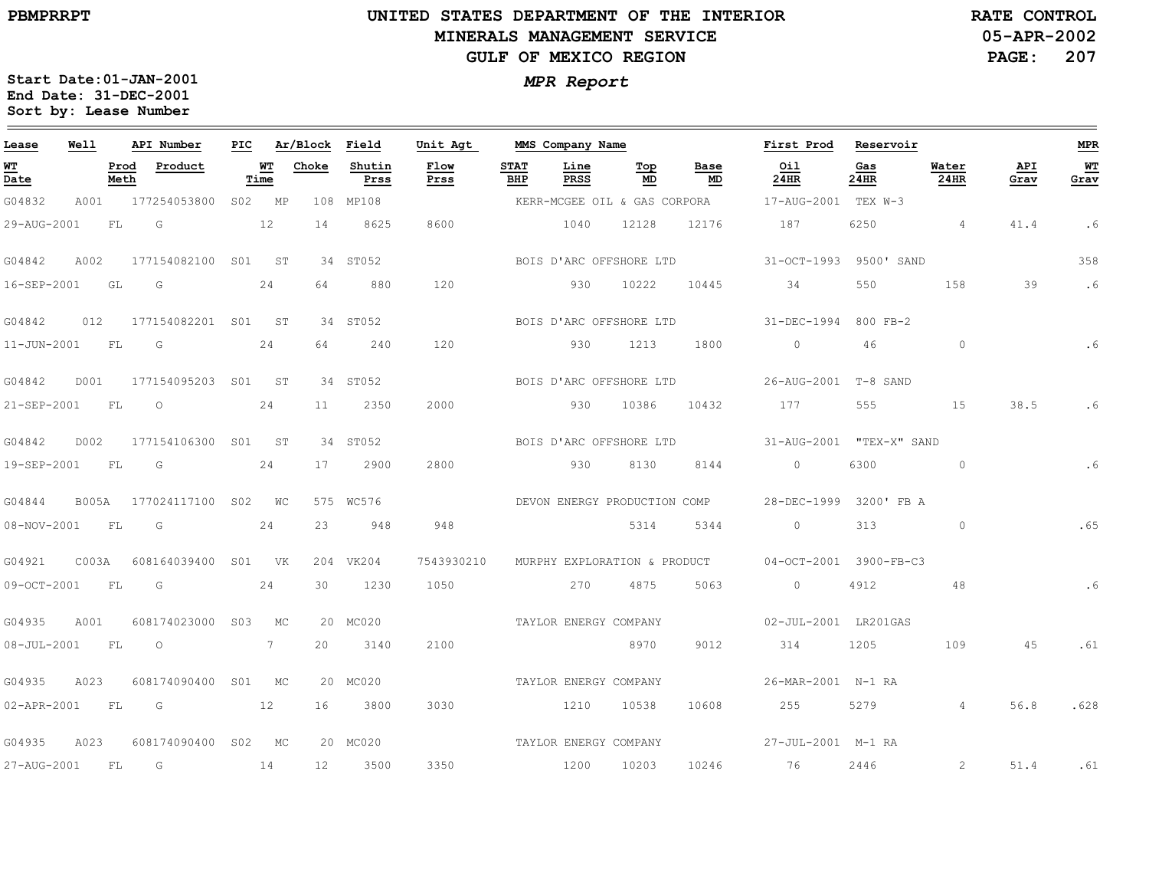## **UNITED STATES DEPARTMENT OF THE INTERIOR MINERALS MANAGEMENT SERVICEGULF OF MEXICO REGION**

**05-APR-2002PAGE: 207 RATE CONTROL**

| Lease             | Well         |              | API Number              | PIC |             | Ar/Block Field |                | Unit Agt              |                    | MMS Company Name      |                              |                              | First Prod               | Reservoir   |                |             | <b>MPR</b> |
|-------------------|--------------|--------------|-------------------------|-----|-------------|----------------|----------------|-----------------------|--------------------|-----------------------|------------------------------|------------------------------|--------------------------|-------------|----------------|-------------|------------|
| WT<br>Date        |              | Prod<br>Meth | Product                 |     | WT<br>Time  | Choke          | Shutin<br>Prss | Flow<br>Prss          | <b>STAT</b><br>BHP | Line<br>PRSS          | Top<br>MD                    | Base<br>MD                   | Oil<br>24HR              | Gas<br>24HR | Water<br>24HR  | API<br>Grav | WТ<br>Grav |
| G04832            | A001         |              | 177254053800            |     | S02 MP      |                | 108 MP108      |                       |                    |                       |                              | KERR-MCGEE OIL & GAS CORPORA | 17-AUG-2001 TEX W-3      |             |                |             |            |
| 29-AUG-2001       |              | FL           | G                       |     | 12          | 14             | 8625           | 8600                  |                    | 1040                  | 12128                        | 12176                        | 187                      | 6250        | $\overline{4}$ | 41.4        | . 6        |
| G04842            | A002         |              | 177154082100 S01 ST     |     |             |                | 34 ST052       |                       |                    |                       |                              | BOIS D'ARC OFFSHORE LTD      | 31-OCT-1993 9500' SAND   |             |                |             | 358        |
| 16-SEP-2001       |              | GL           | G                       |     | 24          | 64             | 880            | 120                   |                    | 930                   | 10222                        | 10445                        | 34                       | 550         | 158            | 39          | .6         |
| G04842            | 012          |              | 177154082201 S01 ST     |     |             |                | 34 ST052       |                       |                    |                       | BOIS D'ARC OFFSHORE LTD      |                              | 31-DEC-1994 800 FB-2     |             |                |             |            |
| 11-JUN-2001       |              | <b>FL</b>    | $\overline{\mathsf{G}}$ |     | 24          | 64             | 240            | 120                   |                    | 930                   | 1213                         | 1800                         | $\overline{0}$           | 46          | $\circ$        |             | .6         |
| G04842            | D001         |              | 177154095203 S01 ST     |     |             |                | 34 ST052       |                       |                    |                       | BOIS D'ARC OFFSHORE LTD      |                              | 26-AUG-2001 T-8 SAND     |             |                |             |            |
| 21-SEP-2001       |              | <b>FL</b>    | $\circ$                 |     | 24          | 11             | 2350           | 2000                  |                    | 930                   | 10386                        | 10432                        | 177                      | 555         | 15             | 38.5        | .6         |
| G04842            | D002         |              | 177154106300 S01 ST     |     |             |                | 34 ST052       |                       |                    |                       | BOIS D'ARC OFFSHORE LTD      |                              | 31-AUG-2001 "TEX-X" SAND |             |                |             |            |
| 19-SEP-2001       |              | FL.          | G                       |     | 24          | 17             | 2900           | 2800                  |                    | 930                   | 8130                         | 8144                         | $\overline{0}$           | 6300        | $\circ$        |             | .6         |
| G04844            | <b>B005A</b> |              | 177024117100 S02 WC     |     |             |                | 575 WC576      |                       |                    |                       |                              | DEVON ENERGY PRODUCTION COMP | 28-DEC-1999 3200' FB A   |             |                |             |            |
| 08-NOV-2001       |              | FL           | G                       |     | 24          | 23             | 948            | 948                   |                    |                       | 5314                         | 5344                         | $\circ$                  | 313         | $\circ$        |             | .65        |
| G04921            | C003A        |              | 608164039400 S01 VK     |     |             |                | 204 VK204      | 7543930210            |                    |                       | MURPHY EXPLORATION & PRODUCT |                              | 04-0CT-2001 3900-FB-C3   |             |                |             |            |
| 09-OCT-2001       |              | FL           | G                       |     | 24          | 30             | 1230           | 1050                  |                    | 270                   | 4875                         | 5063                         | $\overline{0}$           | 4912        | 48             |             | .6         |
| G04935            | A001         |              | 608174023000 S03        |     | MC          |                | 20 MC020       |                       |                    | TAYLOR ENERGY COMPANY |                              |                              | 02-JUL-2001 LR201GAS     |             |                |             |            |
| $08 - JUL - 2001$ |              | FL.          | $\circ$                 |     | $7^{\circ}$ | 20             | 3140           | 2100                  |                    |                       | 8970                         | 9012                         | 314                      | 1205        | 109            | 45          | .61        |
| G04935            | A023         |              | 608174090400 S01 MC     |     |             |                | 20 MC020       |                       |                    | TAYLOR ENERGY COMPANY |                              |                              | 26-MAR-2001 N-1 RA       |             |                |             |            |
| 02-APR-2001       |              | FL           | G<br>12                 |     |             | 16             | 3800           | 3030                  |                    | 1210                  | 10538                        | 10608                        | 255                      | 5279        | $\overline{4}$ | 56.8        | .628       |
| G04935            | A023         |              | 608174090400 S02 MC     |     |             |                | 20 MC020       | TAYLOR ENERGY COMPANY |                    |                       |                              |                              | 27-JUL-2001 M-1 RA       |             |                |             |            |
| 27-AUG-2001       |              | <b>FL</b>    | $\overline{G}$          |     | 14          | 12             | 3500           | 3350                  |                    | 1200                  | 10203                        | 10246                        | 76 76                    | 2446        | 2              | 51.4        | .61        |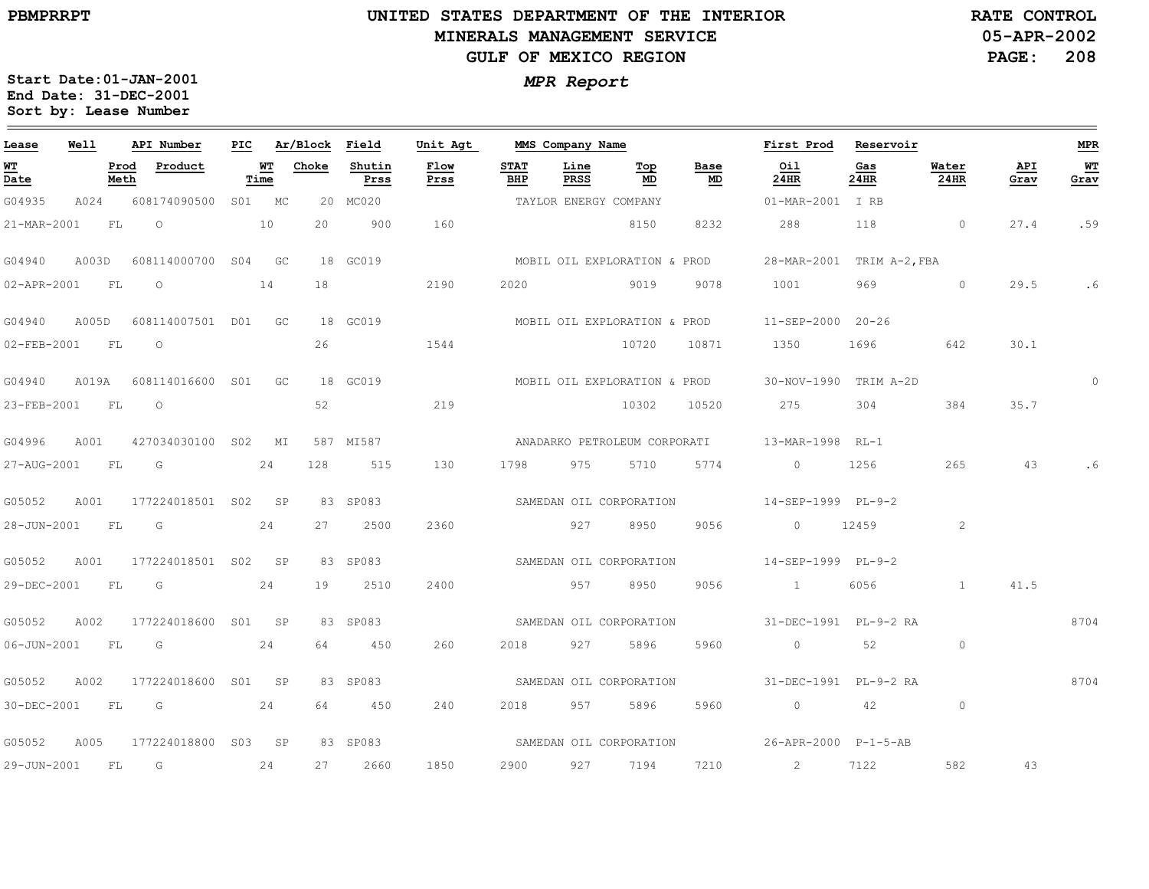$\equiv$ 

# **UNITED STATES DEPARTMENT OF THE INTERIOR MINERALS MANAGEMENT SERVICEGULF OF MEXICO REGION**

**05-APR-2002PAGE: 208 RATE CONTROL**

| Lease       | Well      |              | API Number          | PIC |            | Ar/Block Field |                | Unit Agt                |                    | MMS Company Name      |                                  |            | First Prod                | Reservoir   |                |             | <b>MPR</b> |
|-------------|-----------|--------------|---------------------|-----|------------|----------------|----------------|-------------------------|--------------------|-----------------------|----------------------------------|------------|---------------------------|-------------|----------------|-------------|------------|
| WT<br>Date  |           | Prod<br>Meth | Product             |     | WT<br>Time | Choke          | Shutin<br>Prss | Flow<br>Prss            | <b>STAT</b><br>BHP | Line<br>PRSS          | $\underline{\mathbf{Top}}$<br>MD | Base<br>MD | Oil<br>24HR               | Gas<br>24HR | Water<br>24HR  | API<br>Grav | WT<br>Grav |
| G04935      | A024      |              | 608174090500        |     | S01 MC     |                | 20 MC020       |                         |                    | TAYLOR ENERGY COMPANY |                                  |            | 01-MAR-2001               | I RB        |                |             |            |
| 21-MAR-2001 |           | FL           | $\circ$             |     | 10         | 20             | 900            | 160                     |                    |                       | 8150                             | 8232       | 288                       | 118         | $\overline{0}$ | 27.4        | .59        |
| G04940      | A003D     |              | 608114000700 S04    |     | GC         |                | 18 GC019       |                         |                    |                       | MOBIL OIL EXPLORATION & PROD     |            | 28-MAR-2001 TRIM A-2, FBA |             |                |             |            |
| 02-APR-2001 |           | FL           | $\circ$             |     | 14         | 18             |                | 2190                    | 2020               |                       | 9019                             | 9078       | 1001                      | 969         | $\circ$        | 29.5        | .6         |
| G04940      | A005D     |              | 608114007501 D01 GC |     |            |                | 18 GC019       |                         |                    |                       | MOBIL OIL EXPLORATION & PROD     |            | 11-SEP-2000 20-26         |             |                |             |            |
| 02-FEB-2001 | <b>FL</b> |              | $\Omega$            |     |            | 26             |                | 1544                    |                    |                       | 10720                            | 10871      | 1350                      | 1696        | 642            | 30.1        |            |
| G04940      | A019A     |              | 608114016600 S01    |     | GC         |                | 18 GC019       |                         |                    |                       | MOBIL OIL EXPLORATION & PROD     |            | 30-NOV-1990 TRIM A-2D     |             |                |             | $\circ$    |
| 23-FEB-2001 |           | FL           | $\circ$             |     |            | 52             |                | 219                     |                    |                       | 10302                            | 10520      | 275                       | 304         | 384            | 35.7        |            |
| G04996      | A001      |              | 427034030100 S02    |     | МI         |                | 587 MI587      |                         |                    |                       | ANADARKO PETROLEUM CORPORATI     |            | 13-MAR-1998 RL-1          |             |                |             |            |
| 27-AUG-2001 | <b>FL</b> |              | G                   |     | 24         | 128            | 515            | 130                     | 1798               | 975                   | 5710                             | 5774       | $\overline{0}$            | 1256        | 265            | 43          |            |
| G05052      | A001      |              | 177224018501 S02    |     | SP         |                | 83 SP083       |                         |                    |                       | SAMEDAN OIL CORPORATION          |            | 14-SEP-1999 PL-9-2        |             |                |             |            |
| 28-JUN-2001 |           | FL           | G                   |     | 24         | 27             | 2500           | 2360                    |                    | 927                   | 8950                             | 9056       | $\circ$                   | 12459       | 2              |             |            |
| G05052      | A001      |              | 177224018501 S02 SP |     |            |                | 83 SP083       |                         |                    |                       | SAMEDAN OIL CORPORATION          |            | 14-SEP-1999 PL-9-2        |             |                |             |            |
| 29-DEC-2001 |           | FL           | G                   |     | 24         | 19             | 2510           | 2400                    |                    | 957                   | 8950                             | 9056       | $\sim$ 1                  | 6056        | $\mathbf{1}$   | 41.5        |            |
| G05052      | A002      |              | 177224018600 S01 SP |     |            |                | 83 SP083       |                         |                    |                       | SAMEDAN OIL CORPORATION          |            | 31-DEC-1991 PL-9-2 RA     |             |                |             | 8704       |
| 06-JUN-2001 |           | FL           | G                   |     | 24         | 64             | 450            | 260                     | 2018               | 927                   | 5896                             | 5960       | $\circ$                   | 52          | $\circ$        |             |            |
| G05052      | A002      |              | 177224018600        | S01 | SP         |                | 83 SP083       |                         |                    |                       | SAMEDAN OIL CORPORATION          |            | 31-DEC-1991 PL-9-2 RA     |             |                |             | 8704       |
| 30-DEC-2001 |           | FL           | G                   |     | 24         | 64             | 450            | 240                     | 2018               | 957                   | 5896                             | 5960       | $\circ$                   | 42          | $\circ$        |             |            |
| G05052      | A005      |              | 177224018800 S03 SP |     |            |                | 83 SP083       | SAMEDAN OIL CORPORATION |                    |                       |                                  |            | 26-APR-2000 P-1-5-AB      |             |                |             |            |
| 29-JUN-2001 |           | FL           | G                   |     | 24         | 27             | 2660           | 1850                    | 2900               | 927                   | 7194                             | 7210       | 2                         | 7122        | 582            | 43          |            |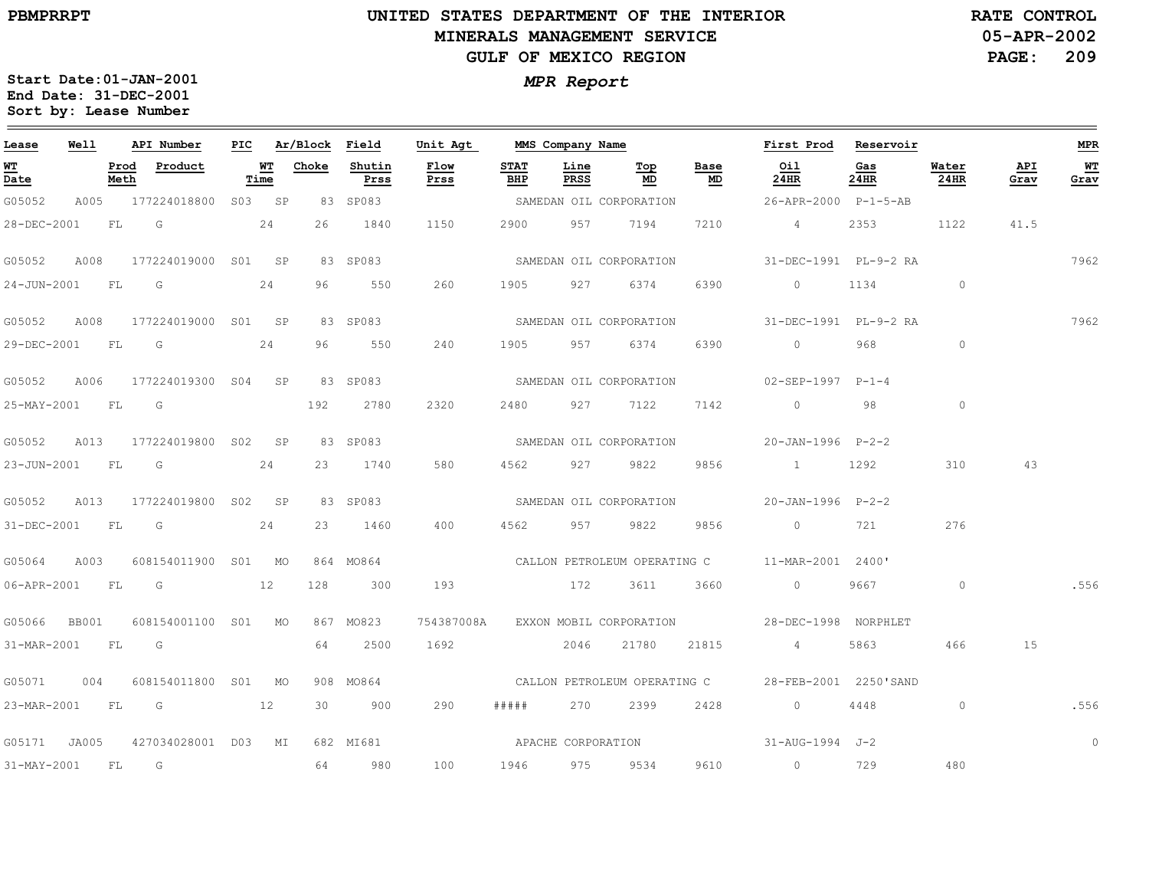## **UNITED STATES DEPARTMENT OF THE INTERIOR MINERALS MANAGEMENT SERVICEGULF OF MEXICO REGION**

**05-APR-2002PAGE: 209 RATE CONTROL**

| Lease            | Well  |              | API Number              | PIC |            | Ar/Block Field |                | Unit Agt     |                    | MMS Company Name   |                                    |            | First Prod                                     | Reservoir   |                |             | <b>MPR</b> |
|------------------|-------|--------------|-------------------------|-----|------------|----------------|----------------|--------------|--------------------|--------------------|------------------------------------|------------|------------------------------------------------|-------------|----------------|-------------|------------|
| WT<br>Date       |       | Prod<br>Meth | Product                 |     | WT<br>Time | Choke          | Shutin<br>Prss | Flow<br>Prss | <b>STAT</b><br>BHP | Line<br>PRSS       | Тор<br>MD                          | Base<br>MD | Oil<br>24HR                                    | Gas<br>24HR | Water<br>24HR  | API<br>Grav | WT<br>Grav |
| G05052           | A005  |              | 177224018800 S03 SP     |     |            |                | 83 SP083       |              |                    |                    | SAMEDAN OIL CORPORATION            |            | 26-APR-2000 P-1-5-AB                           |             |                |             |            |
| 28-DEC-2001      |       | FL           | $\overline{\mathsf{G}}$ |     | 24         | 26             | 1840           | 1150         | 2900               | 957                | 7194                               | 7210       | $4\overline{4}$                                | 2353        | 1122           | 41.5        |            |
| G05052           | A008  |              | 177224019000 S01 SP     |     |            |                | 83 SP083       |              |                    |                    | SAMEDAN OIL CORPORATION            |            | 31-DEC-1991 PL-9-2 RA                          |             |                |             | 7962       |
| 24-JUN-2001      |       | FL           | <b>G</b>                |     | 24         | 96             | 550            | 260          | 1905               | 927                | 6374                               | 6390       | $\circ$                                        | 1134        | $\sim$ 0       |             |            |
| G05052           | A008  |              | 177224019000 S01 SP     |     |            |                | 83 SP083       |              |                    |                    | SAMEDAN OIL CORPORATION            |            | 31-DEC-1991 PL-9-2 RA                          |             |                |             | 7962       |
| 29-DEC-2001 FL G |       |              | 24                      |     |            | 96             | 550            | 240          | 1905               | 957 6374           |                                    | 6390       | $\overline{0}$                                 | 968         | $\circ$        |             |            |
| G05052           | A006  |              | 177224019300 S04 SP     |     |            |                | 83 SP083       |              |                    |                    | SAMEDAN OIL CORPORATION            |            | 02-SEP-1997 P-1-4                              |             |                |             |            |
| 25-MAY-2001      |       | FL           | $\overline{\mathsf{G}}$ |     |            | 192            | 2780           | 2320         | 2480               | 927                | 7122                               | 7142       | $\circ$                                        | 98          | $\circ$        |             |            |
| G05052           | A013  |              | 177224019800 S02 SP     |     |            |                | 83 SP083       |              |                    |                    | SAMEDAN OIL CORPORATION            |            | 20-JAN-1996 P-2-2                              |             |                |             |            |
| 23-JUN-2001 FL   |       |              | $\overline{\mathsf{G}}$ |     | 24         | 23             | 1740           | 580          | 4562               | 927                | 9822                               | 9856       | $\sim$ 1                                       | 1292        | 310            | 43          |            |
| G05052           | A013  |              | 177224019800 S02 SP     |     |            |                | 83 SP083       |              |                    |                    | SAMEDAN OIL CORPORATION            |            | $20 - JAN - 1996$ $P - 2 - 2$                  |             |                |             |            |
| 31-DEC-2001      |       | FL           | G                       |     | 24         | 23             | 1460           | 400          | 4562               | 957                | 9822                               | 9856       | $\circ$                                        | 721         | 276            |             |            |
| G05064           | A003  |              | 608154011900 S01 MO     |     |            |                | 864 MO864      |              |                    |                    |                                    |            | CALLON PETROLEUM OPERATING C 11-MAR-2001 2400' |             |                |             |            |
| 06-APR-2001 FL G |       |              | $\sim$ 12               |     |            | 128            | 300            | 193          |                    | 172                | 3611                               | 3660       | $\sim$ 0 $\sim$                                | 9667        | $\overline{0}$ |             | .556       |
| G05066           | BB001 |              | 608154001100 S01 MO     |     |            |                | 867 MO823      |              |                    |                    | 754387008A EXXON MOBIL CORPORATION |            | 28-DEC-1998 NORPHLET                           |             |                |             |            |
| 31-MAR-2001      |       | FL           | G                       |     |            | 64             | 2500           | 1692         |                    | 2046               | 21780                              | 21815      | $4\overline{4}$                                | 5863        | 466            | 15          |            |
| G05071           | 004   |              | 608154011800 S01 MO     |     |            |                | 908 MO864      |              |                    |                    | CALLON PETROLEUM OPERATING C       |            | 28-FEB-2001 2250'SAND                          |             |                |             |            |
| 23-MAR-2001 FL G |       |              | 12                      |     |            | 30             | 900            | 290          | # # # # #          |                    | 270 2399                           | 2428       | $\overline{0}$                                 | 4448        | $\circ$        |             | .556       |
| G05171 JA005     |       |              | 427034028001 D03 MI     |     |            |                | 682 MI681      |              |                    | APACHE CORPORATION |                                    |            | 31-AUG-1994 J-2                                |             |                |             | $\circ$    |
| 31-MAY-2001      |       | FL           | G                       |     |            | 64             | 980            | 100          | 1946               | 975                | 9534                               | 9610       | $\sim$ 0                                       | 729         | 480            |             |            |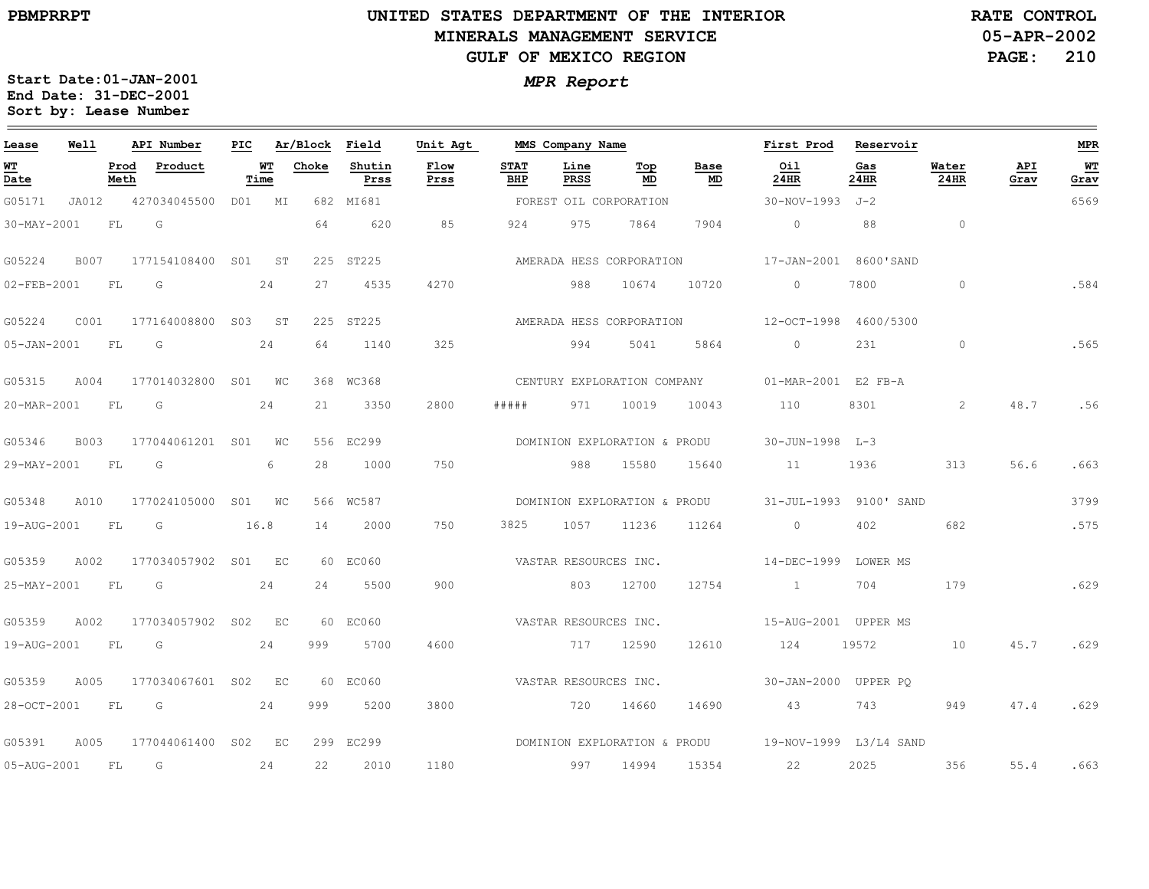$\equiv$ 

# **UNITED STATES DEPARTMENT OF THE INTERIOR MINERALS MANAGEMENT SERVICEGULF OF MEXICO REGION**

**05-APR-2002PAGE: 210 RATE CONTROL**

| Lease                          | Well        |              | API Number          | PIC. |             | Ar/Block Field |                | Unit Agt     |                    | MMS Company Name      |                              |                              | First Prod                                          | Reservoir   |                |             | <b>MPR</b> |
|--------------------------------|-------------|--------------|---------------------|------|-------------|----------------|----------------|--------------|--------------------|-----------------------|------------------------------|------------------------------|-----------------------------------------------------|-------------|----------------|-------------|------------|
| WT<br>$\overline{\text{Date}}$ |             | Prod<br>Meth | Product             |      | WT<br>Time  | Choke          | Shutin<br>Prss | Flow<br>Prss | <b>STAT</b><br>BHP | Line<br><b>PRSS</b>   | Тор<br>MD                    | Base<br>MD                   | Oil<br>24HR                                         | Gas<br>24HR | Water<br>24HR  | API<br>Grav | WT<br>Grav |
| G05171                         | JA012       |              | 427034045500        |      | D01 MI      |                | 682 MI681      |              |                    |                       | FOREST OIL CORPORATION       |                              | $30 - NOV - 1993$ $J - 2$                           |             |                |             | 6569       |
| 30-MAY-2001                    |             | FL           | G                   |      |             | 64             | 620            | 85           | 924                | 975                   | 7864                         | 7904                         | $\Omega$                                            | 88          | $\circ$        |             |            |
| G05224                         | B007        |              | 177154108400 S01 ST |      |             |                | 225 ST225      |              |                    |                       | AMERADA HESS CORPORATION     |                              | 17-JAN-2001 8600'SAND                               |             |                |             |            |
| 02-FEB-2001                    |             | FL           | G                   |      | 24          | 27             | 4535           | 4270         |                    | 988                   | 10674                        | 10720                        | $\Omega$                                            | 7800        | $\Omega$       |             | .584       |
| G05224                         | C001        |              | 177164008800 S03 ST |      |             |                | 225 ST225      |              |                    |                       | AMERADA HESS CORPORATION     |                              | 12-OCT-1998 4600/5300                               |             |                |             |            |
| $05 - JAN - 2001$              |             | FL.          | G                   |      | 24          | 64             | 1140           | 325          |                    | 994                   | 5041                         | 5864                         | $\circ$                                             | 231         | $\circ$        |             | .565       |
| G05315                         | A004        |              | 177014032800 S01 WC |      |             |                | 368 WC368      |              |                    |                       |                              | CENTURY EXPLORATION COMPANY  | 01-MAR-2001 E2 FB-A                                 |             |                |             |            |
| 20-MAR-2001                    |             | FL           | G                   |      | 24          | 21             | 3350           | 2800         | #####              | 971                   | 10019                        | 10043                        | 110                                                 | 8301        | $\overline{2}$ | 48.7        | .56        |
| G05346                         | <b>B003</b> |              | 177044061201 S01    |      | WС          |                | 556 EC299      |              |                    |                       | DOMINION EXPLORATION & PRODU |                              | $30 - JUN - 1998$ $L - 3$                           |             |                |             |            |
| 29-MAY-2001                    |             | FL.          | G                   |      | 6           | 28             | 1000           | 750          |                    | 988                   | 15580                        | 15640                        | 11                                                  | 1936        | 313            | 56.6        | .663       |
| G05348                         | A010        |              | 177024105000        | SO1  | $W_{\rm C}$ |                | 566 WC587      |              |                    |                       |                              | DOMINION EXPLORATION & PRODU | $31 - JUL - 1993$                                   | 9100' SAND  |                |             | 3799       |
| 19-AUG-2001                    |             | <b>FL</b>    | G                   |      | 16.8        | 14             | 2000           | 750          | 3825               | 1057                  | 11236                        | 11264                        | $\circ$                                             | 402         | 682            |             | .575       |
| G05359                         | A002        |              | 177034057902 S01 EC |      |             |                | 60 EC060       |              |                    | VASTAR RESOURCES INC. |                              |                              | 14-DEC-1999 LOWER MS                                |             |                |             |            |
| 25-MAY-2001                    |             | FL.          | $\overline{G}$      |      | 24          | 24             | 5500           | 900          |                    | 803                   | 12700                        | 12754                        | $\sim$ 1                                            | 704         | 179            |             | .629       |
| G05359                         | A002        |              | 177034057902        | S02  | EC          |                | 60 EC060       |              |                    | VASTAR RESOURCES INC. |                              |                              | 15-AUG-2001 UPPER MS                                |             |                |             |            |
| 19-AUG-2001                    |             | <b>FL</b>    | G                   |      | 24          | 999            | 5700           | 4600         |                    | 717                   | 12590                        | 12610                        | 124                                                 | 19572       | 10             | 45.7        | .629       |
| G05359                         | A005        |              | 177034067601 S02    |      | EC          |                | 60 EC060       |              |                    | VASTAR RESOURCES INC. |                              |                              | 30-JAN-2000 UPPER PO                                |             |                |             |            |
| 28-OCT-2001                    |             | <b>FL</b>    | G                   |      | 24          | 999            | 5200           | 3800         |                    | 720                   | 14660                        | 14690                        | 43                                                  | 743         | 949            | 47.4        | .629       |
| G05391                         | A005        |              | 177044061400        |      | S02 EC      |                | 299 EC299      |              |                    |                       |                              |                              | DOMINION EXPLORATION & PRODU 19-NOV-1999 L3/L4 SAND |             |                |             |            |
| 05-AUG-2001                    |             | FL           | G                   |      | 24          | 22             | 2010           | 1180         |                    | 997                   | 14994                        | 15354                        | 22                                                  | 2025        | 356            | 55.4        | .663       |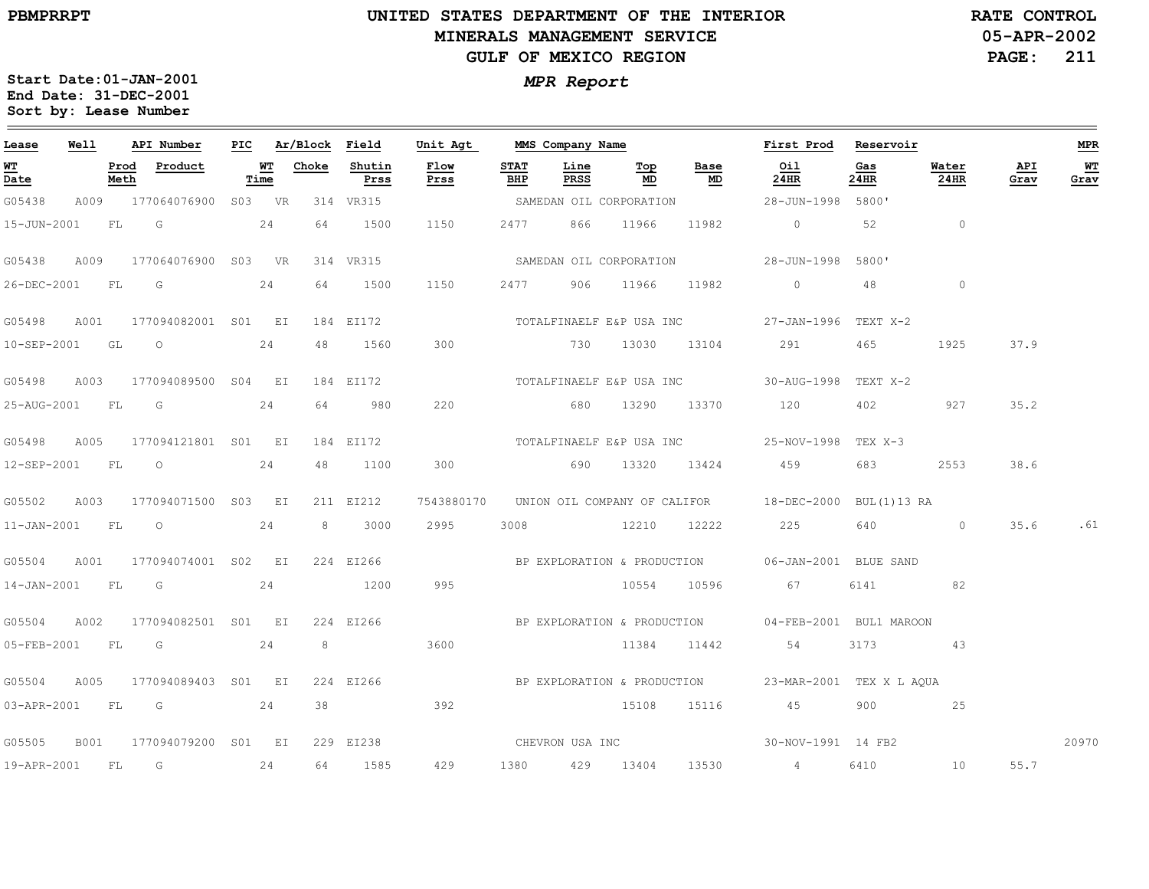$\equiv$ 

# **UNITED STATES DEPARTMENT OF THE INTERIOR MINERALS MANAGEMENT SERVICEGULF OF MEXICO REGION**

**05-APR-2002PAGE: 211 RATE CONTROL**

| Lease            | Well |      | API Number                                                                                                       | PIC |            | Ar/Block Field |                | Unit Agt                 |             |                | MMS Company Name         |                                   | First Prod Reservoir                                            |             |                |             | MPR        |
|------------------|------|------|------------------------------------------------------------------------------------------------------------------|-----|------------|----------------|----------------|--------------------------|-------------|----------------|--------------------------|-----------------------------------|-----------------------------------------------------------------|-------------|----------------|-------------|------------|
| WТ<br>Date       |      | Meth | Prod Product                                                                                                     |     | WT<br>Time | Choke          | Shutin<br>Prss | Flow<br>Prss             | STAT<br>BHP | Line<br>PRSS   | Top<br>MD                | Base<br>$\underline{\mathsf{MD}}$ | Oil<br>24HR                                                     | Gas<br>24HR | Water<br>24HR  | API<br>Grav | WТ<br>Grav |
| G05438           |      |      | A009 177064076900 S03 VR                                                                                         |     |            |                | 314 VR315      |                          |             |                | SAMEDAN OIL CORPORATION  |                                   | 28-JUN-1998 5800'                                               |             |                |             |            |
|                  |      |      | 15-JUN-2001 FL G                                                                                                 | 24  |            | 64             | 1500           | 1150                     |             | 2477 866 11966 |                          | 11982                             | $\overline{0}$                                                  | 52          | $\overline{0}$ |             |            |
| G05438           | A009 |      | 177064076900 S03 VR                                                                                              |     |            |                | 314 VR315      |                          |             |                | SAMEDAN OIL CORPORATION  |                                   | 28-JUN-1998 5800'                                               |             |                |             |            |
| 26-DEC-2001      |      | FL G |                                                                                                                  |     | 24         | 64             | 1500           | 1150                     | 2477        |                | 906 11966                | 11982                             | $\sim$ 0                                                        | 48          | $\circ$        |             |            |
| G05498           |      |      | A001 177094082001 S01 EI                                                                                         |     |            |                | 184 EI172      |                          |             |                | TOTALFINAELF E&P USA INC |                                   | 27-JAN-1996 TEXT X-2                                            |             |                |             |            |
|                  |      |      | 10-SEP-2001 GL O                                                                                                 |     | 24         | 48             | 1560           | 300                      |             |                |                          |                                   | 730 13030 13104 291                                             | 465         | 1925           | 37.9        |            |
| G05498           | A003 |      | 177094089500 S04 EI                                                                                              |     |            |                | 184 EI172      |                          |             |                | TOTALFINAELF E&P USA INC |                                   | 30-AUG-1998 TEXT X-2                                            |             |                |             |            |
| 25-AUG-2001 FL   |      |      | in Green Green Green Green Green Green Green Green Green Green Green Green Green Green Green Green Green Green G |     | 24         | 64             | 980            | 220                      |             |                |                          |                                   | 680 13290 13370 120                                             | 402         | 927            | 35.2        |            |
| G05498           |      |      | A005 177094121801 S01 EI                                                                                         |     |            |                | 184 EI172      | TOTALFINAELF E&P USA INC |             |                |                          |                                   | 25-NOV-1998 TEX X-3                                             |             |                |             |            |
| 12-SEP-2001      |      |      | FL 0 24                                                                                                          |     |            | 48             | 1100           | 300                      |             |                | 690 13320 13424          |                                   | 459                                                             | 683 — 10    | 2553           | 38.6        |            |
| G05502           | A003 |      | 177094071500 S03 EI                                                                                              |     |            |                | 211 EI212      |                          |             |                |                          |                                   | 7543880170 UNION OIL COMPANY OF CALIFOR 18-DEC-2000 BUL(1)13 RA |             |                |             |            |
| 11-JAN-2001 FL O |      |      |                                                                                                                  |     | 24         | 8              | 3000           | 2995                     |             |                | 3008 12210 12222         |                                   | 225                                                             | 640         | $\overline{0}$ |             | 35.6 .61   |
| G05504           |      |      | A001 177094074001 S02 EI                                                                                         |     |            |                | 224 EI266      |                          |             |                |                          |                                   | BP EXPLORATION & PRODUCTION 06-JAN-2001 BLUE SAND               |             |                |             |            |
|                  |      |      | 14-JAN-2001 FL G 24                                                                                              |     |            |                | 1200           | 995                      |             |                | 10554 10596              |                                   | 67 67                                                           |             | 6141 82        |             |            |
| G05504           |      |      | A002 177094082501 S01 EI                                                                                         |     |            |                | 224 EI266      |                          |             |                |                          |                                   | BP EXPLORATION & PRODUCTION 04-FEB-2001 BUL1 MAROON             |             |                |             |            |
|                  |      |      | 05-FEB-2001 FL G                                                                                                 |     | 24         | 8              |                | 3600                     |             |                |                          |                                   | 11384 11442 54                                                  |             | 3173 43        |             |            |
| G05504           | A005 |      | 177094089403 S01 EI                                                                                              |     |            |                | 224 EI266      |                          |             |                |                          |                                   | BP EXPLORATION & PRODUCTION   23-MAR-2001 TEX X L AQUA          |             |                |             |            |
|                  |      |      | 03-APR-2001 FL G 24                                                                                              |     |            | 38             |                | 392                      |             |                |                          |                                   | 15108 15116 45 900 25                                           |             |                |             |            |
|                  |      |      | G05505 B001 177094079200 S01 EI                                                                                  |     |            |                |                |                          |             |                |                          |                                   | 229 EI238 CHEVRON USA INC 30-NOV-1991 14 FB2                    |             |                |             | 20970      |
| 19-APR-2001 FL   |      |      | $\overline{\mathbb{G}}$                                                                                          |     | 24         | 64             | 1585           | 429                      |             | 1380 429 13404 |                          | 13530                             | $4\overline{4}$                                                 | 6410        | 10             | 55.7        |            |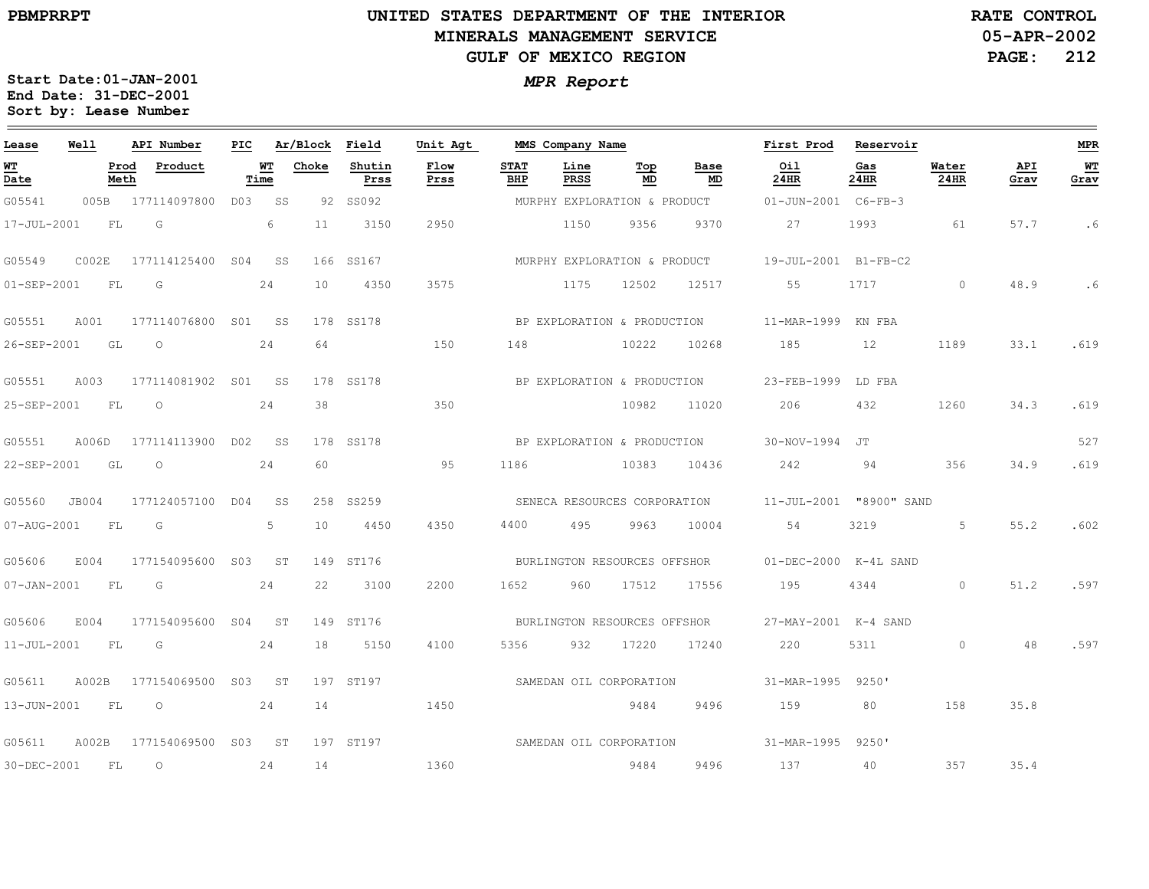## **UNITED STATES DEPARTMENT OF THE INTERIOR MINERALS MANAGEMENT SERVICEGULF OF MEXICO REGION**

**05-APR-2002PAGE: 212 RATE CONTROL**

| Lease             | Well  |              | API Number          | PIC |            | Ar/Block | Field          | Unit Agt                |                    | MMS Company Name |                              |                             | First Prod                                           | Reservoir   |               |             | MPR               |
|-------------------|-------|--------------|---------------------|-----|------------|----------|----------------|-------------------------|--------------------|------------------|------------------------------|-----------------------------|------------------------------------------------------|-------------|---------------|-------------|-------------------|
| WТ<br>Date        |       | Prod<br>Meth | Product             |     | WТ<br>Time | Choke    | Shutin<br>Prss | Flow<br>Prss            | <b>STAT</b><br>BHP | Line<br>PRSS     | Top<br>MD                    | Base<br>MD                  | Oil<br>24HR                                          | Gas<br>24HR | Water<br>24HR | API<br>Grav | <b>WT</b><br>Grav |
| G05541            | 005B  |              | 177114097800        | DO3 | SS.        |          | 92 SS092       |                         |                    |                  | MURPHY EXPLORATION & PRODUCT |                             | 01-JUN-2001 C6-FB-3                                  |             |               |             |                   |
| 17-JUL-2001       |       | FL           | G                   |     | 6          | 11       | 3150           | 2950                    |                    | 1150             | 9356                         | 9370                        | 27                                                   | 1993        | 61            | 57.7        | . 6               |
| G05549            | COO2E |              | 177114125400 S04 SS |     |            |          | 166 SS167      |                         |                    |                  |                              |                             | MURPHY EXPLORATION & PRODUCT 19-JUL-2001 B1-FB-C2    |             |               |             |                   |
| 01-SEP-2001       |       | FL           | G                   |     | 24         | 10       | 4350           | 3575                    |                    | 1175             | 12502                        | 12517                       | 55                                                   | 1717        | $\circ$       | 48.9        | .6                |
| G05551            | A001  |              | 177114076800        |     | S01 SS     |          | 178 SS178      |                         |                    |                  | BP EXPLORATION & PRODUCTION  |                             | 11-MAR-1999 KN FBA                                   |             |               |             |                   |
| 26-SEP-2001       |       | GL           | $\circ$             |     | 24         | 64       |                | 150                     | 148                |                  | 10222                        | 10268                       | 185                                                  | 12          | 1189          | 33.1        | .619              |
| G05551            | A003  |              | 177114081902 S01 SS |     |            |          | 178 SS178      |                         |                    |                  |                              | BP EXPLORATION & PRODUCTION | 23-FEB-1999                                          | LD FBA      |               |             |                   |
| 25-SEP-2001       |       | FL           | $\circ$             |     | 24         | 38       |                | 350                     |                    |                  | 10982                        | 11020                       | 206                                                  | 432         | 1260          | 34.3        | .619              |
| G05551            | A006D |              | 177114113900 DO2 SS |     |            |          | 178 SS178      |                         |                    |                  | BP EXPLORATION & PRODUCTION  |                             | 30-NOV-1994 JT                                       |             |               |             | 527               |
| 22-SEP-2001       |       | GL           | $\circ$             |     | 24         | 60       |                | 95                      | 1186               |                  | 10383                        | 10436                       | 242                                                  | 94          | 356           | 34.9        | .619              |
| G05560            | JB004 |              | 177124057100 D04    |     | SS         |          | 258 SS259      |                         |                    |                  |                              |                             | SENECA RESOURCES CORPORATION 11-JUL-2001 "8900" SAND |             |               |             |                   |
| 07-AUG-2001       |       | FL           | G                   |     | 5          | 10       | 4450           | 4350                    | 4400               | 495              | 9963                         | 10004                       | 54                                                   | 3219        | 5             | 55.2        | .602              |
| G05606            | E004  |              | 177154095600 S03 ST |     |            |          | 149 ST176      |                         |                    |                  | BURLINGTON RESOURCES OFFSHOR |                             | 01-DEC-2000 K-4L SAND                                |             |               |             |                   |
| 07-JAN-2001       | FL    |              | G                   |     | 24         | 22       | 3100           | 2200                    | 1652               | 960              | 17512                        | 17556                       | 195                                                  | 4344        | $\circ$       | 51.2        | .597              |
| G05606            | E004  |              | 177154095600        |     | S04 ST     |          | 149 ST176      |                         |                    |                  |                              |                             |                                                      |             |               |             |                   |
| $11 - JUL - 2001$ |       | FL.          | G                   |     | 24         | 18       | 5150           | 4100                    | 5356               | 932              | 17220                        | 17240                       | 220                                                  | 5311        | $\circ$       | 48          | .597              |
| G05611            | A002B |              | 177154069500        | S03 | ST         |          | 197 ST197      |                         |                    |                  | SAMEDAN OIL CORPORATION      |                             | 31-MAR-1995 9250'                                    |             |               |             |                   |
| 13-JUN-2001       |       | FL           | $\circ$             |     | 24         | 14       |                | 1450                    |                    |                  | 9484                         | 9496                        | 159                                                  | 80          | 158           | 35.8        |                   |
| G05611            | A002B |              | 177154069500        | S03 | ST         |          | 197 ST197      | SAMEDAN OIL CORPORATION |                    |                  |                              |                             | 31-MAR-1995                                          | 9250'       |               |             |                   |
| 30-DEC-2001       |       | FL           | $\circ$             |     | 24         | 14       |                | 1360                    |                    |                  | 9484                         | 9496                        | 137                                                  | 40          | 357           | 35.4        |                   |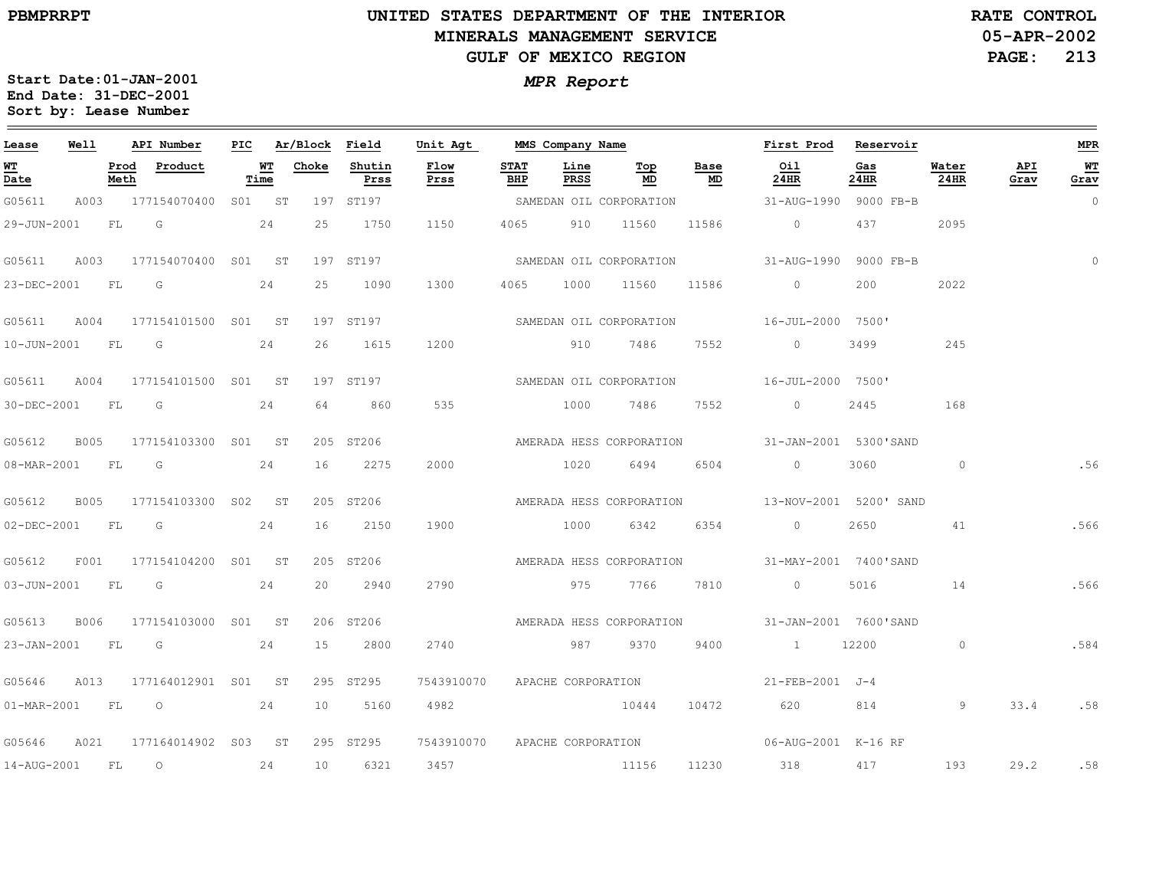# **UNITED STATES DEPARTMENT OF THE INTERIOR MINERALS MANAGEMENT SERVICEGULF OF MEXICO REGION**

**05-APR-2002PAGE: 213 RATE CONTROL**

| Lease            | Well |      | API Number                      |                   | PIC Ar/Block Field |                | Unit Agt                      |             | MMS Company Name |                                  |            | First Prod Reservoir                              |             |                |             | MPR        |
|------------------|------|------|---------------------------------|-------------------|--------------------|----------------|-------------------------------|-------------|------------------|----------------------------------|------------|---------------------------------------------------|-------------|----------------|-------------|------------|
| WT<br>Date       |      | Meth | Prod Product                    | <u>WT</u><br>Time | Choke              | Shutin<br>Prss | Flow<br>Prss                  | STAT<br>BHP | Line<br>PRSS     | $\underline{\mathbf{Top}}$<br>MD | Base<br>MD | Oil<br>24HR                                       | Gas<br>24HR | Water<br>24HR  | API<br>Grav | WT<br>Grav |
| G05611           |      |      | A003 177154070400 S01 ST        |                   |                    | 197 ST197      |                               |             |                  | SAMEDAN OIL CORPORATION          |            | 31-AUG-1990 9000 FB-B                             |             |                |             | $\circ$    |
| 29-JUN-2001      |      |      | $FL$ G 24                       |                   | 25                 | 1750           | 1150                          |             | 4065 910 11560   |                                  | 11586      | $\sim$ 0                                          | 437         | 2095           |             |            |
| G05611           |      |      | A003 177154070400 S01 ST        |                   |                    | 197 ST197      |                               |             |                  | SAMEDAN OIL CORPORATION          |            | 31-AUG-1990 9000 FB-B                             |             |                |             |            |
| 23-DEC-2001 FL G |      |      |                                 | 24                | 25                 | 1090           | 1300                          |             | 4065 1000 11560  |                                  | 11586      | $\overline{0}$                                    | 200         | 2022           |             |            |
|                  |      |      | G05611 A004 177154101500 S01 ST |                   |                    | 197 ST197      |                               |             |                  | SAMEDAN OIL CORPORATION          |            | 16-JUL-2000 7500'                                 |             |                |             |            |
|                  |      |      | 10-JUN-2001 FL G 24             |                   |                    | 26 1615        | 1200                          |             |                  | 910 7486 7552                    |            | $\overline{0}$                                    | 3499        | 245            |             |            |
| G05611           |      |      | A004 177154101500 S01 ST        |                   |                    | 197 ST197      |                               |             |                  |                                  |            | SAMEDAN OIL CORPORATION 16-JUL-2000 7500'         |             |                |             |            |
| 30-DEC-2001 FL G |      |      |                                 | 24                | 64                 | 860            | 535                           |             | 1000             | 7486                             | 7552       | $\sim$ 0 $\sim$                                   | 2445        | 168            |             |            |
| G05612           |      |      | B005 177154103300 S01 ST        |                   |                    | 205 ST206      |                               |             |                  | AMERADA HESS CORPORATION         |            | 31-JAN-2001 5300'SAND                             |             |                |             |            |
|                  |      |      | 08-MAR-2001 FL G 24             |                   |                    | 16 2275        | 2000                          |             |                  | 1020 6494 6504                   |            | $\overline{0}$                                    | 3060        | $\sim$ 0       |             | .56        |
| G05612           |      |      | B005 177154103300 S02 ST        |                   |                    | 205 ST206      |                               |             |                  |                                  |            | AMERADA HESS CORPORATION 13-NOV-2001 5200' SAND   |             |                |             |            |
| 02-DEC-2001 FL G |      |      |                                 | 24                | 16                 | 2150           | 1900                          |             | 1000             | 6342 6354                        |            | $\sim$ 0                                          | 2650        | 41             |             | .566       |
| G05612           |      |      | F001 177154104200 S01 ST        |                   |                    | 205 ST206      |                               |             |                  | AMERADA HESS CORPORATION         |            | 31-MAY-2001 7400'SAND                             |             |                |             |            |
|                  |      |      | 03-JUN-2001 FL G 24             |                   |                    | 20 2940        | 2790                          |             |                  |                                  |            | 975 7766 7810 0 5016 14                           |             |                |             | .566       |
| G05613           |      |      | B006 177154103000 S01 ST        |                   |                    | 206 ST206      |                               |             |                  |                                  |            | AMERADA HESS CORPORATION 31-JAN-2001 7600'SAND    |             |                |             |            |
|                  |      |      | 23-JAN-2001 FL G 24             |                   |                    | 15 2800        | 2740                          |             |                  | 987 9370 9400                    |            | 1 12200                                           |             | $\overline{0}$ |             | .584       |
| G05646           |      |      | A013 177164012901 S01 ST        |                   |                    | 295 ST295      | 7543910070 APACHE CORPORATION |             |                  |                                  |            | 21-FEB-2001 J-4                                   |             |                |             |            |
|                  |      |      | 01-MAR-2001 FL 0 24             |                   |                    | 10 5160        | 4982                          |             |                  | 10444                            |            | 10472 620 814                                     |             | 9              | 33.4        | .58        |
|                  |      |      | G05646 A021 177164014902 S03 ST |                   |                    | 295 ST295      |                               |             |                  |                                  |            | 7543910070 APACHE CORPORATION 06-AUG-2001 K-16 RF |             |                |             |            |
| 14-AUG-2001 FL 0 |      |      | 24                              |                   | 10                 | 6321           | 3457                          |             |                  | 11156 11230                      |            | 318                                               | 417         | 193            | 29.2 .58    |            |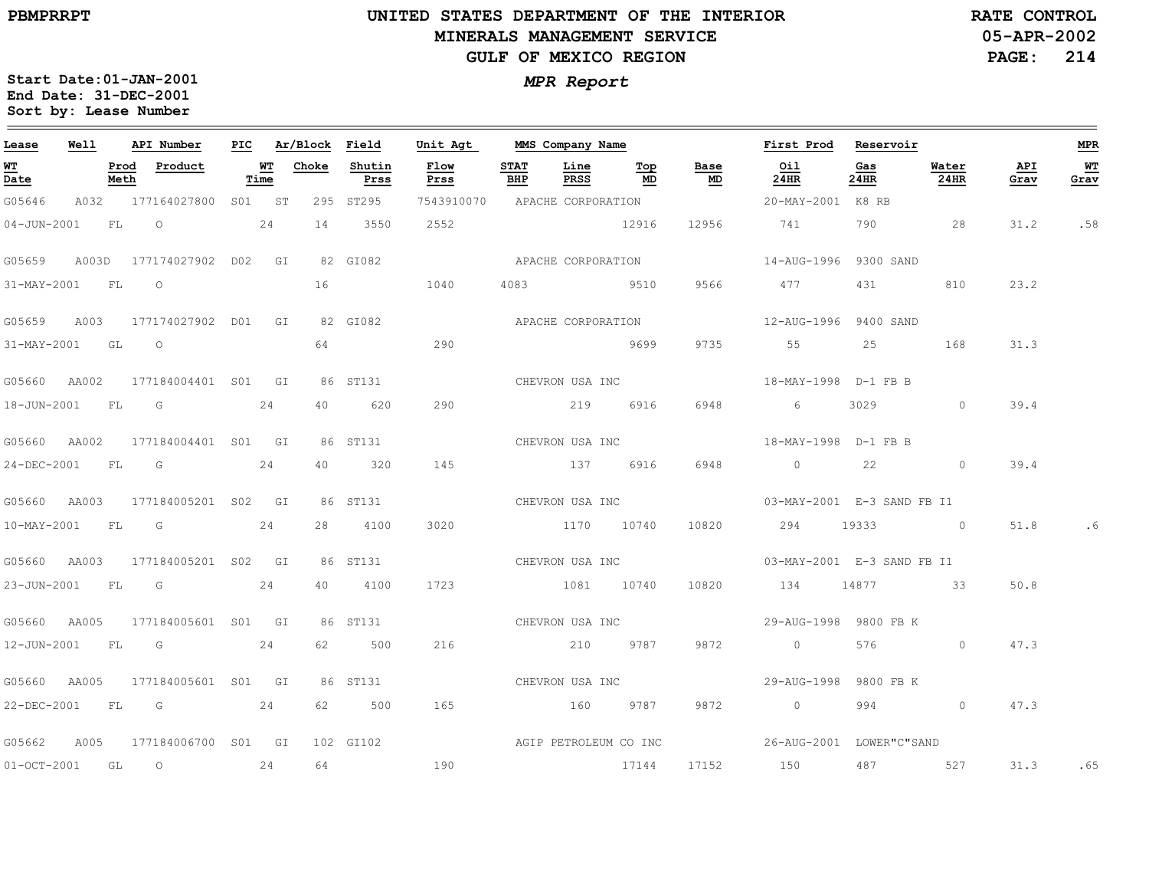# **UNITED STATES DEPARTMENT OF THE INTERIOR MINERALS MANAGEMENT SERVICEGULF OF MEXICO REGION**

**05-APR-2002RATE CONTROL**

**PAGE: 214**

| Lease             | Well             |      | API Number                       |      | PIC Ar/Block Field |                | Unit Agt                      | MMS Company Name   |                 |                 |            | First Prod Reservoir                                                 |                                                                                                                                                                                                                                 |               |             | MPR        |
|-------------------|------------------|------|----------------------------------|------|--------------------|----------------|-------------------------------|--------------------|-----------------|-----------------|------------|----------------------------------------------------------------------|---------------------------------------------------------------------------------------------------------------------------------------------------------------------------------------------------------------------------------|---------------|-------------|------------|
| <b>WT</b><br>Date |                  | Meth | Prod Product                     | Time | <b>WT</b> Choke    | Shutin<br>Prss | <b>Flow</b><br>Prss           | <b>STAT</b><br>BHP | Line<br>PRSS    | Тор<br>MD       | Base<br>MD | Oil<br>24HR                                                          | Gas<br>24HR                                                                                                                                                                                                                     | Water<br>24HR | API<br>Grav | WT<br>Grav |
| G05646            |                  |      | A032 177164027800 S01 ST         |      |                    | 295 ST295      | 7543910070 APACHE CORPORATION |                    |                 |                 |            | 20-MAY-2001 K8 RB                                                    |                                                                                                                                                                                                                                 |               |             |            |
|                   |                  |      | 04-JUN-2001 FL 0 24              |      | 14                 | 3550           | 2552                          |                    |                 | 12916           | 12956      | 741 790 28                                                           |                                                                                                                                                                                                                                 |               | 31.2        | .58        |
|                   |                  |      | G05659 A003D 177174027902 D02 GI |      |                    | 82 GI082       |                               |                    |                 |                 |            |                                                                      |                                                                                                                                                                                                                                 |               |             |            |
|                   | 31-MAY-2001 FL O |      |                                  |      |                    | 16 1040        |                               |                    |                 | 4083 9510 9566  |            | 477 431 810                                                          |                                                                                                                                                                                                                                 |               | 23.2        |            |
|                   |                  |      | G05659 A003 177174027902 D01 GI  |      |                    |                |                               |                    |                 |                 |            |                                                                      |                                                                                                                                                                                                                                 |               |             |            |
|                   | 31-MAY-2001 GL O |      |                                  |      |                    | 64 64 64 65    | 290                           |                    |                 | 9699            |            | 9735 55 25                                                           |                                                                                                                                                                                                                                 | 168           | 31.3        |            |
|                   |                  |      | G05660 AA002 177184004401 S01 GI |      |                    | 86 ST131       |                               | CHEVRON USA INC    |                 |                 |            | 18-MAY-1998 D-1 FB B                                                 |                                                                                                                                                                                                                                 |               |             |            |
|                   | 18-JUN-2001 FL G |      | 24                               |      |                    | 40 620         | 290                           |                    |                 | 219 6916        | 6948       | $6 \qquad \qquad$                                                    | 3029                                                                                                                                                                                                                            | $\sim$ 0      | 39.4        |            |
|                   |                  |      | G05660 AA002 177184004401 S01 GI |      |                    | 86 ST131       |                               |                    |                 | CHEVRON USA INC |            | 18-MAY-1998 D-1 FB B                                                 |                                                                                                                                                                                                                                 |               |             |            |
|                   |                  |      | 24-DEC-2001 FL G 24              |      | 40                 | 320            | 145                           |                    |                 | 137 6916        | 6948       | $\begin{array}{ccc} 0 & 22 & 0 \end{array}$                          |                                                                                                                                                                                                                                 |               | 39.4        |            |
|                   |                  |      | G05660 AA003 177184005201 S02 GI |      |                    | 86 ST131       |                               | CHEVRON USA INC    |                 |                 |            | 03-MAY-2001 E-3 SAND FB I1                                           |                                                                                                                                                                                                                                 |               |             |            |
|                   | 10-MAY-2001 FL G |      |                                  | 24   |                    | 28 4100        | 3020                          |                    |                 | 1170 10740      |            | 10820 294                                                            |                                                                                                                                                                                                                                 | 19333 0       | 51.8        |            |
|                   |                  |      | G05660 AA003 177184005201 S02 GI |      |                    | 86 ST131       |                               |                    | CHEVRON USA INC |                 |            | 03-MAY-2001 E-3 SAND FB I1                                           |                                                                                                                                                                                                                                 |               |             |            |
|                   |                  |      | 23-JUN-2001 FL G 24              |      | 40 — 10            | 4100           | 1723                          |                    |                 | 1081 10740      | 10820      | 134 14877 33                                                         |                                                                                                                                                                                                                                 |               | 50.8        |            |
|                   |                  |      | G05660 AA005 177184005601 S01 GI |      |                    | 86 ST131       | CHEVRON USA INC               |                    |                 |                 |            | 29-AUG-1998 9800 FB K                                                |                                                                                                                                                                                                                                 |               |             |            |
|                   | 12-JUN-2001 FL G |      |                                  | 24   | 62.                | 500            | 216                           | 210 9787           |                 |                 | 9872       | $\overline{0}$                                                       | 576 — 17                                                                                                                                                                                                                        | $\Omega$      | 47.3        |            |
|                   |                  |      | G05660 AA005 177184005601 S01 GI |      |                    | 86 ST131       | CHEVRON USA INC               |                    |                 |                 |            | 29-AUG-1998 9800 FB K                                                |                                                                                                                                                                                                                                 |               |             |            |
|                   |                  |      | 22-DEC-2001 FL G 24              |      |                    | 62 500         | 165                           |                    |                 | 160 9787 9872   |            | $\overline{0}$                                                       | 994 — 100 — 100 — 100 — 100 — 100 — 100 — 100 — 100 — 100 — 100 — 100 — 100 — 100 — 100 — 100 — 100 — 100 — 100 — 100 — 100 — 100 — 100 — 100 — 100 — 100 — 100 — 100 — 100 — 100 — 100 — 100 — 100 — 100 — 100 — 100 — 100 — 1 | $\circ$       | 47.3        |            |
|                   |                  |      | G05662 A005 177184006700 S01 GI  |      |                    |                |                               |                    |                 |                 |            | 102 GI102 CONSTRUCTED AGIP PETROLEUM CO INC 26-AUG-2001 LOWER"C"SAND |                                                                                                                                                                                                                                 |               |             |            |
|                   | 01-OCT-2001 GL O |      | 24                               |      | 64                 |                | 190                           |                    |                 | 17144           | 17152      | 150 487 527                                                          |                                                                                                                                                                                                                                 |               | 31.3        | .65        |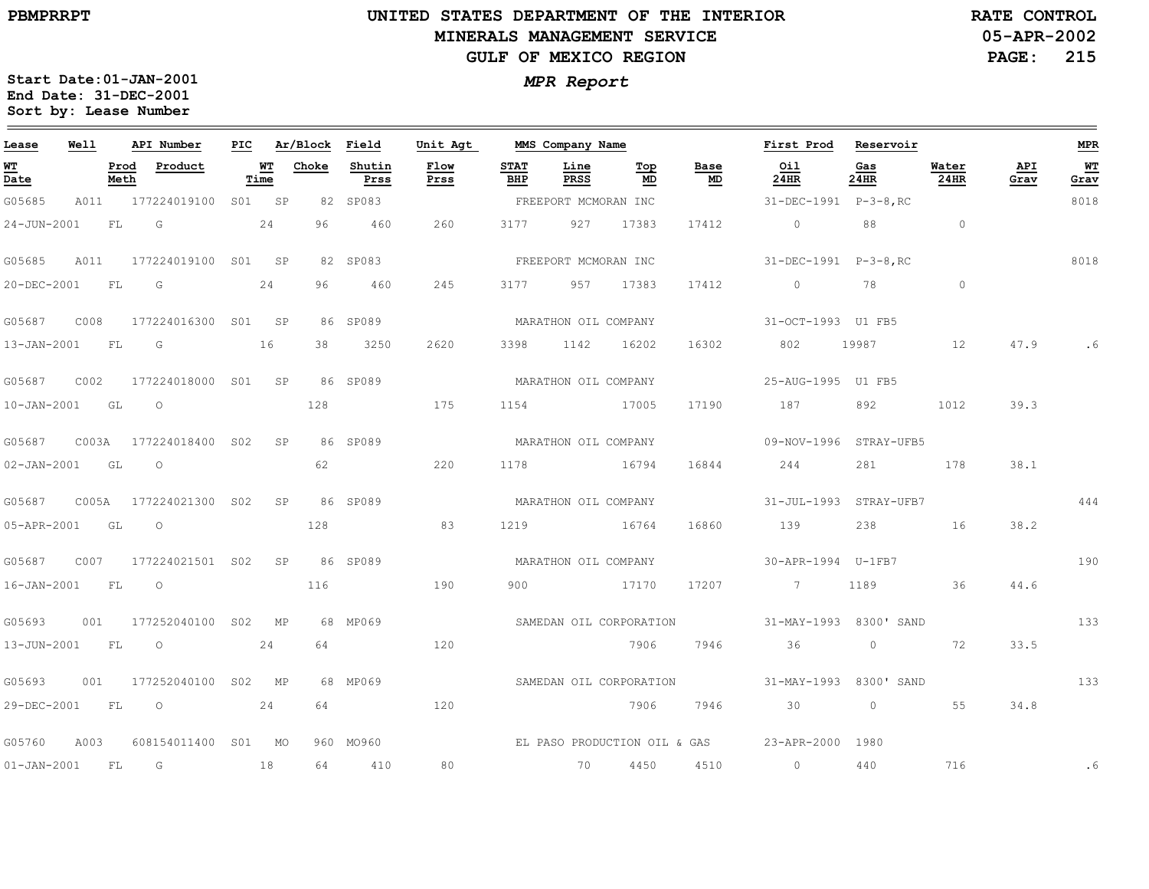## **UNITED STATES DEPARTMENT OF THE INTERIOR MINERALS MANAGEMENT SERVICEGULF OF MEXICO REGION**

**05-APR-2002PAGE: 215 RATE CONTROL**

| Lease             | Well  |              | API Number                |            | PIC Ar/Block Field |                | Unit Agt     |                      | MMS Company Name     |                         |            | First Prod                                     | Reservoir   |                |             | MPR        |
|-------------------|-------|--------------|---------------------------|------------|--------------------|----------------|--------------|----------------------|----------------------|-------------------------|------------|------------------------------------------------|-------------|----------------|-------------|------------|
| WT<br>Date        |       | Prod<br>Meth | Product                   | WТ<br>Time | Choke              | Shutin<br>Prss | Flow<br>Prss | <b>STAT</b><br>BHP   | Line<br>PRSS         | Тор<br>MD               | Base<br>MD | Oil<br>24HR                                    | Gas<br>24HR | Water<br>24HR  | API<br>Grav | WТ<br>Grav |
| G05685            | A011  |              | 177224019100 S01 SP       |            |                    | 82 SP083       |              |                      | FREEPORT MCMORAN INC |                         |            | 31-DEC-1991 P-3-8, RC                          |             |                |             | 8018       |
| $24 - JUN - 2001$ |       | FL           | G                         | 24         | 96                 | 460            | 260          | 3177                 | 927                  | 17383                   | 17412      | $\overline{0}$                                 | 88          | $\overline{0}$ |             |            |
| G05685            | A011  |              | 177224019100 S01 SP       |            |                    | 82 SP083       |              |                      | FREEPORT MCMORAN INC |                         |            | 31-DEC-1991 P-3-8, RC                          |             |                |             | 8018       |
| 20-DEC-2001       |       | FL           | G                         | 24         | 96.                | 460            | 245          | 3177                 | 957                  | 17383                   | 17412      | $\circ$                                        | 78          | $\circ$        |             |            |
| G05687            | C008  |              | 177224016300 S01 SP       |            |                    | 86 SP089       |              |                      | MARATHON OIL COMPANY |                         |            | 31-OCT-1993 U1 FB5                             |             |                |             |            |
| 13-JAN-2001 FL    |       |              | $\overline{G}$            | 16         | 38                 | 3250           | 2620         | 3398                 | 1142                 | 16202                   | 16302      | 802                                            | 19987       | 12             | 47.9        |            |
| G05687            | C002  |              | 177224018000 S01 SP       |            |                    | 86 SP089       |              |                      | MARATHON OIL COMPANY |                         |            | 25-AUG-1995 U1 FB5                             |             |                |             |            |
| $10 - JAN - 2001$ |       | GL           | $\circ$                   |            | 128                |                | 175          | 1154                 |                      | 17005                   | 17190      | 187                                            | 892         | 1012           | 39.3        |            |
| G05687            |       |              | C003A 177224018400 S02 SP |            |                    | 86 SP089       |              |                      | MARATHON OIL COMPANY |                         |            | 09-NOV-1996 STRAY-UFB5                         |             |                |             |            |
| $02 - JAN - 2001$ |       | GL           | $\circ$                   |            | 62                 |                | 220          | 1178                 | 16794                |                         | 16844      | 244                                            | 281         | 178            | 38.1        |            |
| G05687            | C005A |              | 177224021300 SO2          | SP         |                    | 86 SP089       |              | MARATHON OIL COMPANY |                      |                         |            | 31-JUL-1993 STRAY-UFB7                         |             |                |             | 444        |
| 05-APR-2001       |       | GL           | $\circ$                   |            | 128                |                | 83           | 1219                 |                      | 16764                   | 16860      | 139                                            | 238         | 16             | 38.2        |            |
| G05687            |       |              | C007 177224021501 S02     | <b>SP</b>  |                    | 86 SP089       |              |                      | MARATHON OIL COMPANY |                         |            | 30-APR-1994 U-1FB7                             |             |                |             | 190        |
| $16 - JAN - 2001$ |       | <b>FL</b>    | $\overline{\phantom{0}}$  |            | 116                |                | 190          | 900                  | 17170                |                         | 17207      | 7 1189                                         |             | 36             | 44.6        |            |
| G05693            | 001   |              | 177252040100 S02 MP       |            |                    | 68 MP069       |              |                      |                      |                         |            | SAMEDAN OIL CORPORATION 51-MAY-1993 8300' SAND |             |                |             | 133        |
| 13-JUN-2001       |       | <b>FL</b>    | $\circ$                   | 24         | 64                 |                | 120          |                      |                      | 7906                    | 7946       | 36                                             | $\circ$     | 72             | 33.5        |            |
| G05693            | 001   |              | 177252040100 S02 MP       |            |                    | 68 MP069       |              |                      |                      | SAMEDAN OIL CORPORATION |            | 31-MAY-1993 8300' SAND                         |             |                |             | 133        |
| 29-DEC-2001       |       | FL           | $\overline{O}$            | 24         | 64                 |                | 120          |                      |                      | 7906                    | 7946       | 30                                             | $\circ$     | 55             | 34.8        |            |
| G05760            | A003  |              | 608154011400 S01 MO       |            |                    | 960 MO960      |              |                      |                      |                         |            | EL PASO PRODUCTION OIL & GAS 23-APR-2000 1980  |             |                |             |            |
| $01 - JAN - 2001$ |       | FL.          | G                         | 18         | 64                 | 410            | 80           |                      | 70                   | 4450                    | 4510       | $\sim$ 0                                       | 440         | 716            |             | .6         |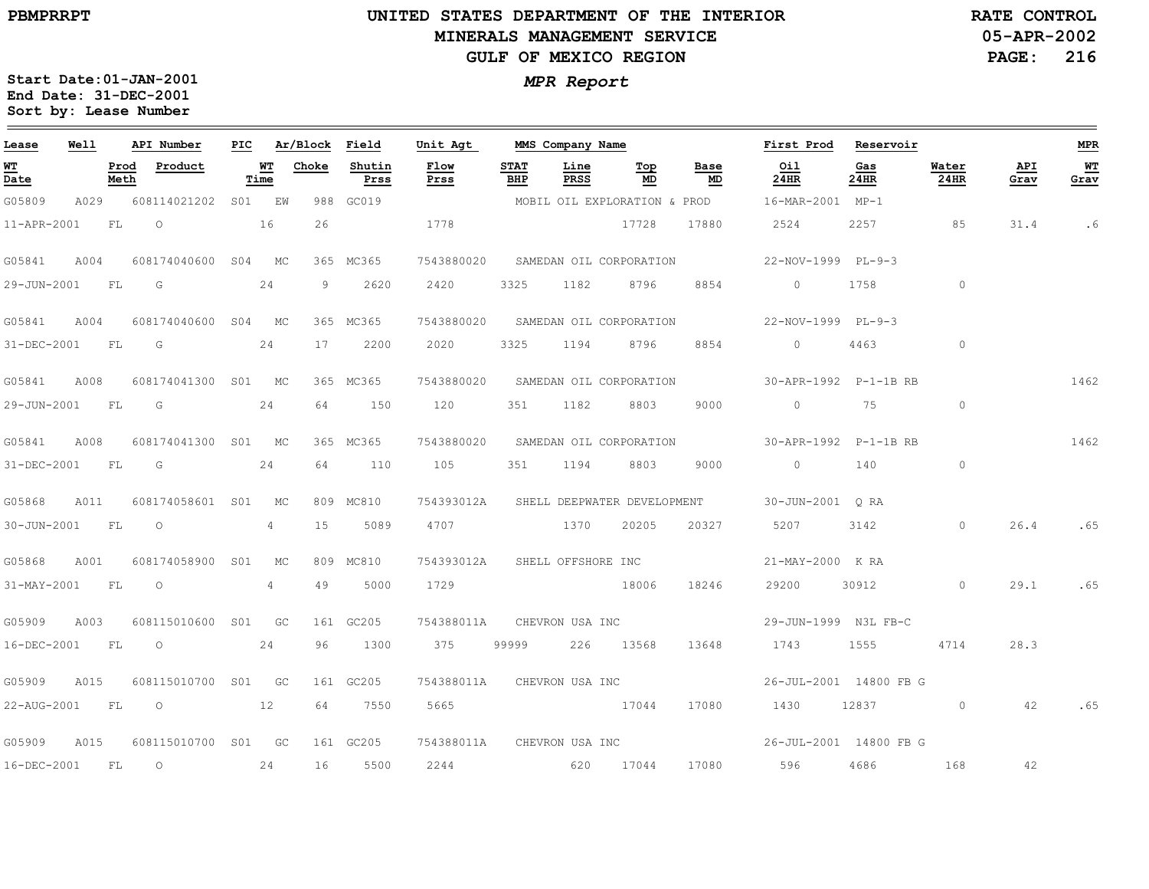## **UNITED STATES DEPARTMENT OF THE INTERIOR MINERALS MANAGEMENT SERVICEGULF OF MEXICO REGION**

**05-APR-2002PAGE: 216 RATE CONTROL**

| Lease             | Well |              | API Number           | PIC |                | Ar/Block | Field          | Unit Agt                   |                    | MMS Company Name   |                              |            | First Prod            | Reservoir              |                |             | <b>MPR</b>   |
|-------------------|------|--------------|----------------------|-----|----------------|----------|----------------|----------------------------|--------------------|--------------------|------------------------------|------------|-----------------------|------------------------|----------------|-------------|--------------|
| <u>WT</u><br>Date |      | Prod<br>Meth | Product              |     | WT<br>Time     | Choke    | Shutin<br>Prss | Flow<br>Prss               | <b>STAT</b><br>BHP | Line<br>PRSS       | Top<br>MD                    | Base<br>MD | Oil<br>$24$ HR        | Gas<br>24HR            | Water<br>24HR  | API<br>Grav | $WT$<br>Grav |
| G05809            | A029 |              | 608114021202         |     | S01 EW         | 988      | GC019          |                            |                    |                    | MOBIL OIL EXPLORATION & PROD |            | 16-MAR-2001 MP-1      |                        |                |             |              |
| 11-APR-2001       |      | FL           | $\circ$              |     | 16             | 26       |                | 1778                       |                    |                    | 17728                        | 17880      | 2524                  | 2257                   | 85             | 31.4        | .6           |
| G05841            | A004 |              | 608174040600 S04     |     | MC             |          | 365 MC365      | 7543880020                 |                    |                    | SAMEDAN OIL CORPORATION      |            | 22-NOV-1999 PL-9-3    |                        |                |             |              |
| 29-JUN-2001       |      | FL           | G                    |     | 24             | 9        | 2620           | 2420                       | 3325               | 1182               | 8796                         | 8854       | $\circ$               | 1758                   | $\circ$        |             |              |
| G05841            | A004 |              | 608174040600 S04 MC  |     |                |          | 365 MC365      | 7543880020                 |                    |                    | SAMEDAN OIL CORPORATION      |            | 22-NOV-1999 PL-9-3    |                        |                |             |              |
| 31-DEC-2001       |      | FL           | G                    |     | 24             | 17       | 2200           | 2020                       | 3325               | 1194               | 8796                         | 8854       | $\Omega$              | 4463                   | $\circ$        |             |              |
| G05841            | A008 |              | 608174041300         |     | S01 MC         |          | 365 MC365      | 7543880020                 |                    |                    | SAMEDAN OIL CORPORATION      |            | 30-APR-1992 P-1-1B RB |                        |                |             | 1462         |
| 29-JUN-2001       |      | FL           | G                    |     | 24             | 64       | 150            | 120                        | 351                | 1182               | 8803                         | 9000       | $\circ$               | 75                     | $\circ$        |             |              |
| G05841            | A008 |              | 608174041300 S01 MC  |     |                |          | 365 MC365      | 7543880020                 |                    |                    | SAMEDAN OIL CORPORATION      |            | 30-APR-1992 P-1-1B RB |                        |                |             | 1462         |
| 31-DEC-2001       |      | FL           | G                    |     | 24             | 64       | 110            | 105                        | 351                | 1194               | 8803                         | 9000       | $\overline{0}$        | 140                    | $\circ$        |             |              |
| G05868            | A011 |              | 608174058601 S01     |     | MC             |          | 809 MC810      | 754393012A                 |                    |                    | SHELL DEEPWATER DEVELOPMENT  |            | 30-JUN-2001 ORA       |                        |                |             |              |
| 30-JUN-2001       |      | FL           | $\circ$              |     | $\overline{4}$ | 15       | 5089           | 4707                       |                    | 1370               | 20205                        | 20327      | 5207                  | 3142                   | $\circ$        | 26.4        | .65          |
| G05868            | A001 |              | 608174058900 S01     |     | MC             |          | 809 MC810      | 754393012A                 |                    | SHELL OFFSHORE INC |                              |            | 21-MAY-2000 K RA      |                        |                |             |              |
| 31-MAY-2001       |      | FL           | $\circ$              |     | $\overline{4}$ | 49       | 5000           | 1729                       |                    |                    | 18006                        | 18246      | 29200                 | 30912                  | $\overline{0}$ | 29.1        | .65          |
| G05909            | A003 |              | 608115010600 S01 GC  |     |                |          | 161 GC205      | 754388011A                 |                    |                    | CHEVRON USA INC              |            | 29-JUN-1999 N3L FB-C  |                        |                |             |              |
| 16-DEC-2001       |      | FL           | $\circ$              |     | 24             | 96       | 1300           | 375                        | 99999              | 226                | 13568                        | 13648      | 1743                  | 1555                   | 4714           | 28.3        |              |
| G05909            | A015 |              | 608115010700 S01 GC  |     |                |          | 161 GC205      | 754388011A                 |                    | CHEVRON USA INC    |                              |            |                       | 26-JUL-2001 14800 FB G |                |             |              |
| 22-AUG-2001 FL    |      |              | 12<br>$\overline{O}$ |     |                | 64       | 7550           | 5665                       |                    |                    | 17044                        | 17080      |                       | 1430 12837             | $\circ$        | 42          | .65          |
| G05909            | A015 |              | 608115010700 S01 GC  |     |                |          | 161 GC205      | 754388011A CHEVRON USA INC |                    |                    |                              |            |                       | 26-JUL-2001 14800 FB G |                |             |              |
| 16-DEC-2001       |      | FL.          | $\circ$              |     | 24             | 16       | 5500           | 2244                       |                    |                    | 620 17044                    | 17080      | 596 7                 | 4686                   | 168            | 42          |              |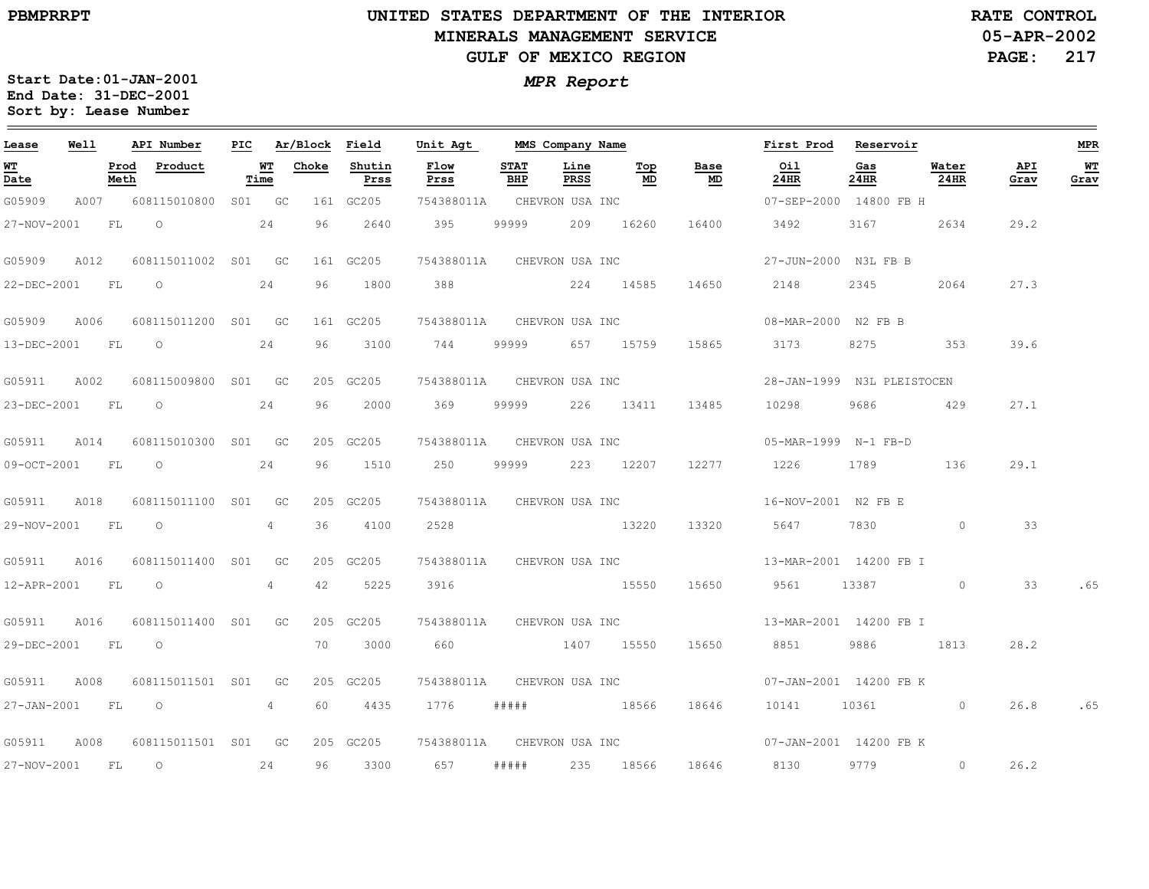### **UNITED STATES DEPARTMENT OF THE INTERIOR MINERALS MANAGEMENT SERVICEGULF OF MEXICO REGION**

**05-APR-2002 PAGE: 217 RATE CONTROL**

| Lease            | <b>Well</b> |      | API Number                      |                | PIC Ar/Block Field |                | Unit Agt                   |                    | MMS Company Name    |           |                                   | First Prod Reservoir                              |                                                                                                                                                                                                                                 |               |             | MPR               |
|------------------|-------------|------|---------------------------------|----------------|--------------------|----------------|----------------------------|--------------------|---------------------|-----------|-----------------------------------|---------------------------------------------------|---------------------------------------------------------------------------------------------------------------------------------------------------------------------------------------------------------------------------------|---------------|-------------|-------------------|
| WT<br>Date       |             | Meth | Prod Product                    | Time           | WT Choke           | Shutin<br>Prss | Flow<br>Prss               | <b>STAT</b><br>BHP | Line<br>PRSS        | Тор<br>MD | Base<br>$\underline{\mathsf{MD}}$ | Oil<br>24HR                                       | Gas<br>24HR                                                                                                                                                                                                                     | Water<br>24HR | API<br>Grav | <u>WT</u><br>Grav |
| G05909           |             |      | A007 608115010800 S01 GC        |                |                    | 161 GC205      | 754388011A CHEVRON USA INC |                    |                     |           |                                   | 07-SEP-2000 14800 FB H                            |                                                                                                                                                                                                                                 |               |             |                   |
| 27-NOV-2001      |             | FL   | $\circ$ 24                      |                |                    | 96 2640        | 395                        |                    | 99999 209 16260     |           | 16400                             | 3492                                              | 3167 31                                                                                                                                                                                                                         | 2634          | 29.2        |                   |
| G05909           | A012        |      | 608115011002 S01 GC             |                |                    | 161 GC205      | 754388011A CHEVRON USA INC |                    |                     |           |                                   | 27-JUN-2000 N3L FB B                              |                                                                                                                                                                                                                                 |               |             |                   |
| 22-DEC-2001 FL O |             |      | 24                              |                | 96                 | 1800           | 388                        |                    | 224 14585 14650     |           |                                   | 2148                                              | 2345                                                                                                                                                                                                                            | 2064          | 27.3        |                   |
| G05909           | A006        |      | 608115011200 S01 GC             |                |                    | 161 GC205      | 754388011A CHEVRON USA INC |                    |                     |           |                                   | 08-MAR-2000 N2 FB B                               |                                                                                                                                                                                                                                 |               |             |                   |
|                  |             |      | 13-DEC-2001 FL 0                | 24             |                    | 96 3100        | 744 99999 657 15759        |                    |                     |           |                                   | 15865 3173                                        | 8275 — 100                                                                                                                                                                                                                      | 353           | 39.6        |                   |
| G05911 A002      |             |      | 608115009800 S01 GC             |                |                    | 205 GC205      | 754388011A CHEVRON USA INC |                    |                     |           |                                   | 28-JAN-1999 N3L PLEISTOCEN                        |                                                                                                                                                                                                                                 |               |             |                   |
| 23-DEC-2001 FL   |             |      | $\overline{O}$                  | 24             | 96                 | 2000           | 369                        |                    | 99999 226 13411     |           | 13485                             | 10298                                             | 9686                                                                                                                                                                                                                            | 429           | 27.1        |                   |
|                  |             |      | G05911 A014 608115010300 S01 GC |                |                    | 205 GC205      | 754388011A CHEVRON USA INC |                    |                     |           |                                   | 05-MAR-1999 N-1 FB-D                              |                                                                                                                                                                                                                                 |               |             |                   |
|                  |             |      | 09-OCT-2001 FL O                | 24             |                    | 96 1510        |                            |                    | 250 99999 223 12207 |           |                                   | 12277 1226                                        | 1789 — 1789 — 1780 — 1780 — 1780 — 1780 — 1780 — 1780 — 1780 — 1780 — 1780 — 1780 — 1780 — 1780 — 1780 — 1780 — 1780 — 1780 — 1780 — 1780 — 1780 — 1780 — 1780 — 1780 — 1780 — 1780 — 1780 — 1780 — 1780 — 1780 — 1780 — 1780 — | 136           | 29.1        |                   |
| G05911 A018      |             |      | 608115011100 S01 GC             |                |                    | 205 GC205      | 754388011A CHEVRON USA INC |                    |                     |           |                                   | 16-NOV-2001 N2 FB E                               |                                                                                                                                                                                                                                 |               |             |                   |
| 29-NOV-2001 FL   |             |      | $\overline{\phantom{0}}$        | 4              | 36                 | 4100           | 2528                       |                    | 13220               |           | 13320                             | 5647                                              |                                                                                                                                                                                                                                 | 7830 0        | 33          |                   |
|                  |             |      | G05911 A016 608115011400 S01 GC |                |                    | 205 GC205      | 754388011A CHEVRON USA INC |                    |                     |           |                                   | 13-MAR-2001 14200 FB I                            |                                                                                                                                                                                                                                 |               |             |                   |
|                  |             |      | 12-APR-2001 FL O                | $4\phantom{0}$ | 42                 | 5225           | 3916 15550                 |                    |                     |           | 15650                             | 9561 13387 0                                      |                                                                                                                                                                                                                                 |               | 33          | .65               |
| G05911           | A016        |      | 608115011400 S01 GC             |                |                    | 205 GC205      |                            |                    |                     |           |                                   | 754388011A CHEVRON USA INC 13-MAR-2001 14200 FB I |                                                                                                                                                                                                                                 |               |             |                   |
| 29-DEC-2001 FL   |             |      | $\overline{O}$                  |                | 70                 | 3000           |                            |                    |                     |           |                                   | 660 1407 15550 15650 8851                         |                                                                                                                                                                                                                                 | 9886 1813     | 28.2        |                   |
| G05911           | A008        |      | 608115011501 S01 GC             |                |                    | 205 GC205      | 754388011A                 |                    |                     |           | CHEVRON USA INC                   | 07-JAN-2001 14200 FB K                            |                                                                                                                                                                                                                                 |               |             |                   |
|                  |             |      | 27-JAN-2001 FL O                | 4              |                    | 60 4435        | 1776 #####                 |                    |                     |           | 18566 18646                       | 10141 10361 0                                     |                                                                                                                                                                                                                                 |               | 26.8        | .65               |
| G05911           |             |      | A008 608115011501 S01 GC        |                |                    | 205 GC205      | 754388011A CHEVRON USA INC |                    |                     |           |                                   | 07-JAN-2001 14200 FB K                            |                                                                                                                                                                                                                                 |               |             |                   |
|                  |             |      | 27-NOV-2001 FL 0 24             |                |                    | 96 3300        | 657                        |                    |                     |           |                                   | ##### 235 18566 18646 8130                        | 9779 — 100                                                                                                                                                                                                                      | $\sim$ 0      | 26.2        |                   |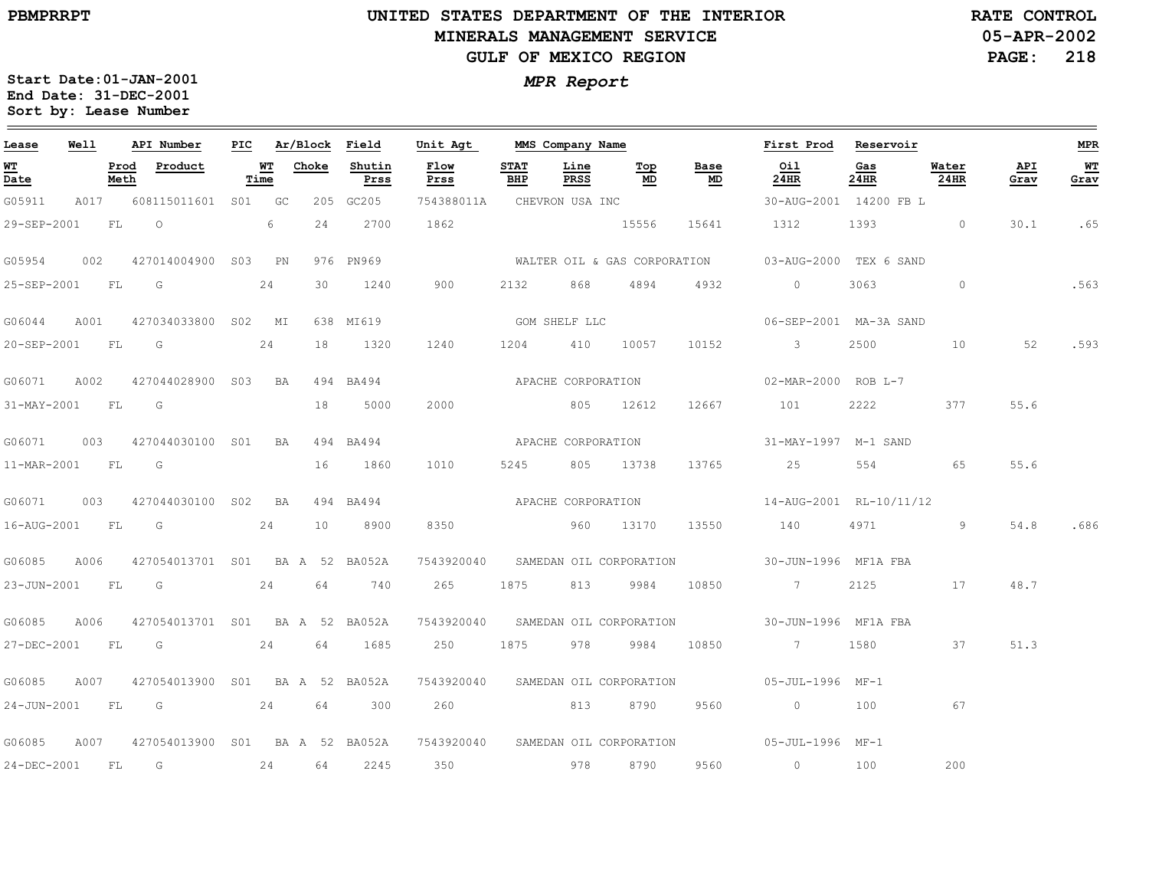$\equiv$ 

# **UNITED STATES DEPARTMENT OF THE INTERIOR MINERALS MANAGEMENT SERVICEGULF OF MEXICO REGION**

**05-APR-2002PAGE: 218 RATE CONTROL**

| Lease            | Well |              | API Number                      | PIC |            | Ar/Block Field |                | Unit Agt                   | MMS Company Name   |              |                                    |                                   | First Prod Reservoir                                    |             |               |             | <b>MPR</b> |
|------------------|------|--------------|---------------------------------|-----|------------|----------------|----------------|----------------------------|--------------------|--------------|------------------------------------|-----------------------------------|---------------------------------------------------------|-------------|---------------|-------------|------------|
| WТ<br>Date       |      | Prod<br>Meth | Product                         |     | WТ<br>Time | Choke          | Shutin<br>Prss | Flow<br>Prss               | <b>STAT</b><br>BHP | Line<br>PRSS | Тор<br>MD                          | Base<br>$\underline{\mathsf{MD}}$ | Oil<br>24HR                                             | Gas<br>24HR | Water<br>24HR | API<br>Grav | WT<br>Grav |
| G05911           |      |              | A017 608115011601 S01 GC        |     |            |                | 205 GC205      | 754388011A CHEVRON USA INC |                    |              |                                    |                                   | 30-AUG-2001 14200 FB L                                  |             |               |             |            |
| 29-SEP-2001      |      | FL           | $\circ$                         |     | 6          | 24             | 2700           | 1862                       |                    |              | 15556                              | 15641                             | 1312                                                    | 1393 0      |               | 30.1        | .65        |
| G05954           | 002  |              | 427014004900 S03                |     | PN         |                | 976 PN969      |                            |                    |              | WALTER OIL & GAS CORPORATION       |                                   | 03-AUG-2000 TEX 6 SAND                                  |             |               |             |            |
| 25-SEP-2001      |      | FL           | $\overline{G}$                  |     | 24         | 30             | 1240           | 900                        | 2132               | 868          | 4894                               | 4932                              | $\circ$                                                 | 3063        | $\circ$       |             | .563       |
| G06044           | A001 |              | 427034033800 S02 MI             |     |            |                | 638 MI619      |                            | GOM SHELF LLC      |              |                                    |                                   | 06-SEP-2001 MA-3A SAND                                  |             |               |             |            |
| 20-SEP-2001 FL G |      |              |                                 |     | 24         | 18             | 1320           | 1240                       | 1204 410 10057     |              |                                    | 10152                             | $\sim$ 3                                                | 2500 000    | 10            | 52          | .593       |
| G06071           | A002 |              | 427044028900 S03 BA             |     |            |                | 494 BA494      |                            | APACHE CORPORATION |              |                                    |                                   | 02-MAR-2000 ROB L-7                                     |             |               |             |            |
| 31-MAY-2001      |      | FL           | $\overline{\mathsf{G}}$         |     |            | 18             | 5000           | 2000                       |                    |              | 805 12612                          | 12667                             | 101                                                     | 2222        | 377           | 55.6        |            |
| G06071           |      |              | 003 427044030100 S01            |     | BA         |                | 494 BA494      |                            | APACHE CORPORATION |              |                                    |                                   | 31-MAY-1997 M-1 SAND                                    |             |               |             |            |
| 11-MAR-2001 FL G |      |              |                                 |     |            | 16             | 1860           | 1010                       | 5245 805 13738     |              |                                    | 13765                             | 25                                                      | 554         | 65            | 55.6        |            |
| G06071           | 003  |              | 427044030100 S02 BA             |     |            |                | 494 BA494      |                            | APACHE CORPORATION |              |                                    |                                   | 14-AUG-2001 RL-10/11/12                                 |             |               |             |            |
| 16-AUG-2001 FL   |      |              | $\overline{\mathbb{G}}$         |     | 24         | 10             | 8900           | 8350                       | 960 13170          |              |                                    | 13550                             | 140                                                     | 4971        | 9             | 54.8        | .686       |
| G06085           | A006 |              | 427054013701 S01 BA A 52 BA052A |     |            |                |                |                            |                    |              |                                    |                                   | 7543920040 SAMEDAN OIL CORPORATION 30-JUN-1996 MF1A FBA |             |               |             |            |
| 23-JUN-2001 FL   |      |              | $\overline{\mathsf{G}}$         |     | 24         | 64             | 740            | 265                        | 1875               | 813          | 9984                               | 10850                             | $\sim$ 7                                                | 2125        | 17            | 48.7        |            |
| G06085           | A006 |              | 427054013701 S01 BA A 52 BA052A |     |            |                |                | 7543920040                 |                    |              | SAMEDAN OIL CORPORATION            |                                   | 30-JUN-1996 MF1A FBA                                    |             |               |             |            |
| 27-DEC-2001      |      | FL           | $\overline{G}$                  |     | 24         | 64             | 1685           | 250                        | 1875               | 978          | 9984                               | 10850                             | $7\overline{ }$                                         | 1580        | 37            | 51.3        |            |
| G06085           | A007 |              | 427054013900 S01 BA A 52 BA052A |     |            |                |                |                            |                    |              | 7543920040 SAMEDAN OIL CORPORATION |                                   | 05-JUL-1996 MF-1                                        |             |               |             |            |
| 24-JUN-2001 FL   |      |              | $\overline{\mathbb{G}}$         |     | 24         | 64             | 300            | 260 000                    | 813                |              | 8790                               | 9560                              | $\sim$ 0                                                | 100         | 67            |             |            |
| G06085           | A007 |              | 427054013900 S01 BA A 52 BA052A |     |            |                |                |                            |                    |              | 7543920040 SAMEDAN OIL CORPORATION |                                   | 05-JUL-1996 MF-1                                        |             |               |             |            |
| 24-DEC-2001      |      | FL           | G                               |     | 24         | 64             | 2245           | 350                        | 978                |              | 8790                               | 9560                              | $\overline{0}$                                          | 100         | 200           |             |            |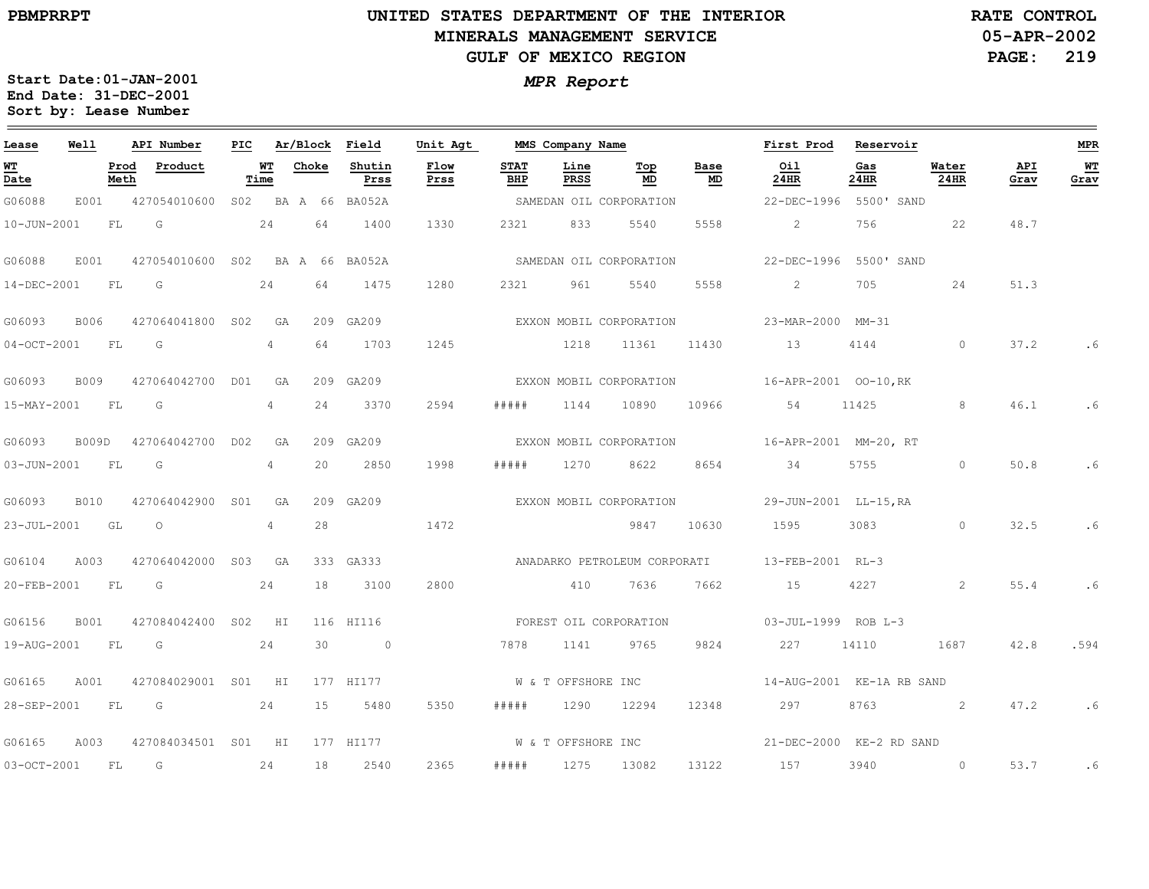### **UNITED STATES DEPARTMENT OF THE INTERIOR MINERALS MANAGEMENT SERVICEGULF OF MEXICO REGION**

**05-APR-2002PAGE: 219 RATE CONTROL**

| Lease             | Well        |              | API Number                      | PIC |                |            | Ar/Block Field | Unit Agt               |                    | MMS Company Name   |                              |            | First Prod                    | Reservoir   |               |             | MPR        |
|-------------------|-------------|--------------|---------------------------------|-----|----------------|------------|----------------|------------------------|--------------------|--------------------|------------------------------|------------|-------------------------------|-------------|---------------|-------------|------------|
| WT<br>Date        |             | Prod<br>Meth | Product                         |     | WT<br>Time     | Choke      | Shutin<br>Prss | Flow<br>Prss           | <b>STAT</b><br>BHP | Line<br>PRSS       | Тор<br>MD                    | Base<br>MD | Oil<br>24HR                   | Gas<br>24HR | Water<br>24HR | API<br>Grav | WT<br>Grav |
| G06088            | E001        |              | 427054010600                    |     |                | S02 BAA 66 | BA052A         |                        |                    |                    | SAMEDAN OIL CORPORATION      |            | 22-DEC-1996                   | 5500' SAND  |               |             |            |
| 10-JUN-2001       |             | FL           | $\overline{\mathsf{G}}$         |     | 24             | 64         | 1400           | 1330                   | 2321               | 833                | 5540                         | 5558       | 2                             | 756         | 22            | 48.7        |            |
| G06088            | E001        |              | 427054010600 S02 BA A 66 BA052A |     |                |            |                |                        |                    |                    | SAMEDAN OIL CORPORATION      |            | 22-DEC-1996                   | 5500' SAND  |               |             |            |
| 14-DEC-2001       |             | FL           | G                               |     | 24             | 64         | 1475           | 1280                   | 2321               | 961                | 5540                         | 5558       | $2 -$                         | 705         | 24            | 51.3        |            |
| G06093            | B006        |              | 427064041800 S02                |     | GA             |            | 209 GA209      |                        |                    |                    | EXXON MOBIL CORPORATION      |            | 23-MAR-2000 MM-31             |             |               |             |            |
| $04-0CT-2001$     |             | FL.          | G                               |     | $\overline{4}$ | 64         | 1703           | 1245                   | 1218               |                    | 11361                        | 11430      | 13                            | 4144        | $\circ$       | 37.2        |            |
| G06093            | B009        |              | 427064042700 D01                |     | GA             |            | 209 GA209      |                        |                    |                    | EXXON MOBIL CORPORATION      |            | 16-APR-2001 00-10, RK         |             |               |             |            |
| 15-MAY-2001       |             | FL.          | G                               |     | $\overline{4}$ | 24         | 3370           | 2594                   | #####              | 1144               | 10890                        | 10966      | 54                            | 11425       | 8             | 46.1        | .6         |
| G06093            | B009D       |              | 427064042700 D02                |     | GA             |            | 209 GA209      |                        |                    |                    | EXXON MOBIL CORPORATION      |            | 16-APR-2001 MM-20, RT         |             |               |             |            |
| $03 - JUN - 2001$ |             | FL.          | G                               |     | $\overline{4}$ | 20         | 2850           | 1998                   | # # # # #          | 1270               | 8622                         | 8654       | 34                            | 5755        | $\circ$       | 50.8        | .6         |
| G06093            | <b>B010</b> |              | 427064042900 S01                |     | GA             |            | 209 GA209      |                        |                    |                    | EXXON MOBIL CORPORATION      |            | 29-JUN-2001 LL-15, RA         |             |               |             |            |
| 23-JUL-2001       | GL          |              | $\circ$                         |     | $\overline{4}$ | 28         |                | 1472                   |                    |                    | 9847                         | 10630      | 1595                          | 3083        | $\circ$       | 32.5        | .6         |
| G06104            | A003        |              | 427064042000 S03 GA             |     |                |            | 333 GA333      |                        |                    |                    | ANADARKO PETROLEUM CORPORATI |            | 13-FEB-2001 RL-3              |             |               |             |            |
| 20-FEB-2001       | FL          |              | G                               |     | 24             | 18         | 3100           | 2800                   |                    | 410                | 7636                         | 7662       | 15                            | 4227        | 2             | 55.4        | .6         |
| G06156            | B001        |              | 427084042400 S02 HI             |     |                |            | 116 HI116      | FOREST OIL CORPORATION |                    |                    |                              |            | $03 - JUL - 1999$ ROB $L - 3$ |             |               |             |            |
| 19-AUG-2001       | FL          |              | $\overline{\mathsf{G}}$         |     | 24             | 30         | $\sim$ 0       |                        | 7878               | 1141               | 9765                         | 9824       | 227                           | 14110       | 1687          | 42.8        | .594       |
| G06165            | A001        |              | 427084029001 S01 HI             |     |                |            | 177 HI177      |                        |                    | W & T OFFSHORE INC |                              |            | 14-AUG-2001 KE-1A RB SAND     |             |               |             |            |
| 28-SEP-2001       | FL          |              | G<br>24                         |     |                | 15         | 5480           | 5350                   | # # # # #          | 1290               | 12294                        | 12348      | 297                           | 8763        | $\sim$ 2      | 47.2        | .6         |
| G06165            | A003        |              | 427084034501 S01 HI             |     |                |            | 177 HI177      |                        |                    | W & T OFFSHORE INC |                              |            | 21-DEC-2000 KE-2 RD SAND      |             |               |             |            |
| $03 - OCT - 2001$ |             | FL           | G                               |     | 24             | 18         | 2540           | 2365                   | # # # # #          | 1275               | 13082                        | 13122      | 157                           | 3940        | $\circ$       | 53.7        | .6         |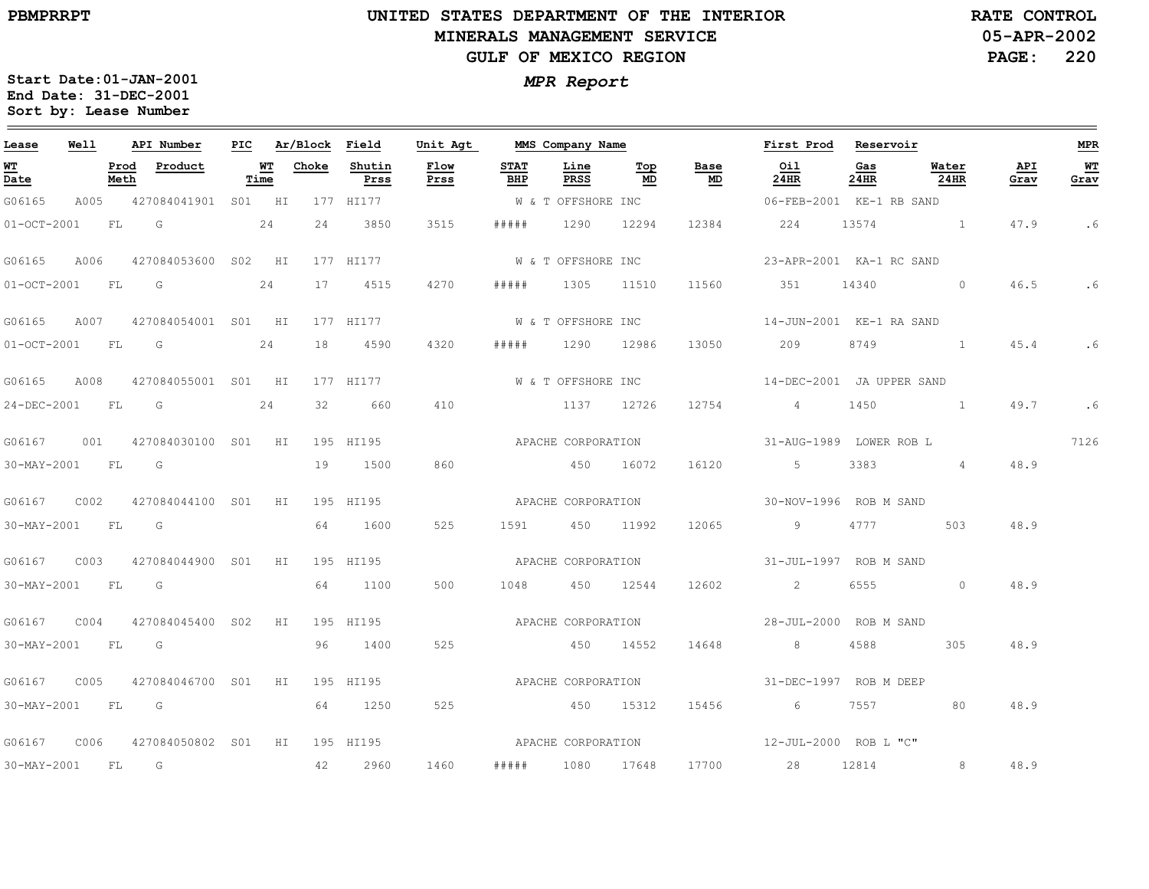$\equiv$ 

# **UNITED STATES DEPARTMENT OF THE INTERIOR MINERALS MANAGEMENT SERVICEGULF OF MEXICO REGION**

**05-APR-2002PAGE: 220 RATE CONTROL**

| Lease             | Well |              | API Number              | PIC |            | Ar/Block | Field          | Unit Agt           |                    | MMS Company Name   |            |                                   | First Prod                  | Reservoir   |                                                  |             | <b>MPR</b>   |
|-------------------|------|--------------|-------------------------|-----|------------|----------|----------------|--------------------|--------------------|--------------------|------------|-----------------------------------|-----------------------------|-------------|--------------------------------------------------|-------------|--------------|
| <u>WT</u><br>Date |      | Prod<br>Meth | Product                 |     | WТ<br>Time | Choke    | Shutin<br>Prss | Flow<br>Prss       | <b>STAT</b><br>BHP | Line<br>PRSS       | Top<br>MD  | Base<br>$\underline{\mathsf{MD}}$ | Oil<br>24HR                 | Gas<br>24HR | Water<br>24HR                                    | API<br>Grav | $WT$<br>Grav |
| G06165            | A005 |              | 427084041901 S01 HI     |     |            |          | 177 HI177      |                    |                    | W & T OFFSHORE INC |            |                                   | 06-FEB-2001 KE-1 RB SAND    |             |                                                  |             |              |
| $01-0CT-2001$     |      | FL           | G                       |     | 24         | 24       | 3850           | 3515               | # # # # #          | 1290               | 12294      | 12384                             | 224                         | 13574       |                                                  | 47.9        | .6           |
| G06165            | A006 |              | 427084053600 S02 HI     |     |            |          | 177 HI177      |                    |                    | W & T OFFSHORE INC |            |                                   | 23-APR-2001 KA-1 RC SAND    |             |                                                  |             |              |
| $01-0CT-2001$     |      | FL           | G                       |     | 24         | 17       | 4515           | 4270               | # # # # #          | 1305               | 11510      | 11560                             | 351                         | 14340       | $\overline{0}$                                   | 46.5        | . 6          |
| G06165            | A007 |              | 427084054001 S01 HI     |     |            |          | 177 HI177      |                    |                    | W & T OFFSHORE INC |            |                                   | 14-JUN-2001 KE-1 RA SAND    |             |                                                  |             |              |
| $01-OCT-2001$     |      | FL.          | G                       |     | 24         | 18       | 4590           | 4320               | # # # # #          |                    | 1290 12986 | 13050                             | 209                         | 8749        |                                                  | 45.4        | .6           |
| G06165            | A008 |              | 427084055001 S01 HI     |     |            |          | 177 HI177      |                    |                    | W & T OFFSHORE INC |            |                                   | 14-DEC-2001 JA UPPER SAND   |             |                                                  |             |              |
| 24-DEC-2001       |      | FL           | G                       |     | 24         | 32       | 660            | 410                |                    |                    | 1137 12726 | 12754                             | $4\overline{4}$             | 1450        | $\sim$ $\sim$ $\sim$ $\sim$ $\sim$ $\sim$ $\sim$ | 49.7        | .6           |
| G06167            |      |              | 001 427084030100 S01 HI |     |            |          | 195 HI195      |                    | APACHE CORPORATION |                    |            |                                   | 31-AUG-1989 LOWER ROB L     |             |                                                  |             | 7126         |
| 30-MAY-2001       |      | FL           | G                       |     |            | 19       | 1500           | 860                |                    | 450 16072          |            | 16120                             | $5 - 5$                     | 3383        | $\sim$ 4                                         | 48.9        |              |
| G06167            | C002 |              | 427084044100 S01        |     | HI         |          | 195 HI195      |                    | APACHE CORPORATION |                    |            |                                   | 30-NOV-1996 ROB M SAND      |             |                                                  |             |              |
| 30-MAY-2001       |      | FL           | G                       |     |            | 64       | 1600           | 525                | 1591               |                    | 450 11992  | 12065                             | $\overline{9}$              | 4777        | 503                                              | 48.9        |              |
| G06167            | C003 |              | 427084044900 SO1        |     | HI         |          | 195 HI195      |                    |                    | APACHE CORPORATION |            |                                   | 31-JUL-1997 ROB M SAND      |             |                                                  |             |              |
| 30-MAY-2001       |      | FL           | G                       |     |            | 64       | 1100           | 500                | 1048               |                    | 450 12544  | 12602                             | $\sim$ 2                    | 6555        | $\Omega$                                         | 48.9        |              |
| G06167            | C004 |              | 427084045400 S02        |     | HI         |          | 195 HI195      |                    | APACHE CORPORATION |                    |            |                                   | 28-JUL-2000 ROB M SAND      |             |                                                  |             |              |
| 30-MAY-2001       |      | <b>FL</b>    | <b>G</b>                |     |            | 96       | 1400           | 525                |                    |                    | 450 14552  | 14648                             | 8 <sup>1</sup>              | 4588        | 305                                              | 48.9        |              |
| G06167            | C005 |              | 427084046700 S01        |     | HI         |          | 195 HI195      |                    | APACHE CORPORATION |                    |            |                                   | 31-DEC-1997 ROB M DEEP      |             |                                                  |             |              |
| 30-MAY-2001       |      | FL           | <b>G</b>                |     |            | 64       | 1250           | 525                |                    | 450 15312          |            | 15456                             | $6\overline{6}$             | 7557 — 17   | 80                                               | 48.9        |              |
| G06167            | C006 |              | 427084050802 S01 HI     |     |            |          | 195 HI195      | APACHE CORPORATION |                    |                    |            |                                   | $12 - JUL - 2000$ ROB L "C" |             |                                                  |             |              |
| 30-MAY-2001       |      | FL           | $\overline{G}$          |     |            | 42       | 2960           | 1460               | # # # # #          |                    | 1080 17648 |                                   | 17700 28                    | 12814       | 8 <sup>1</sup>                                   | 48.9        |              |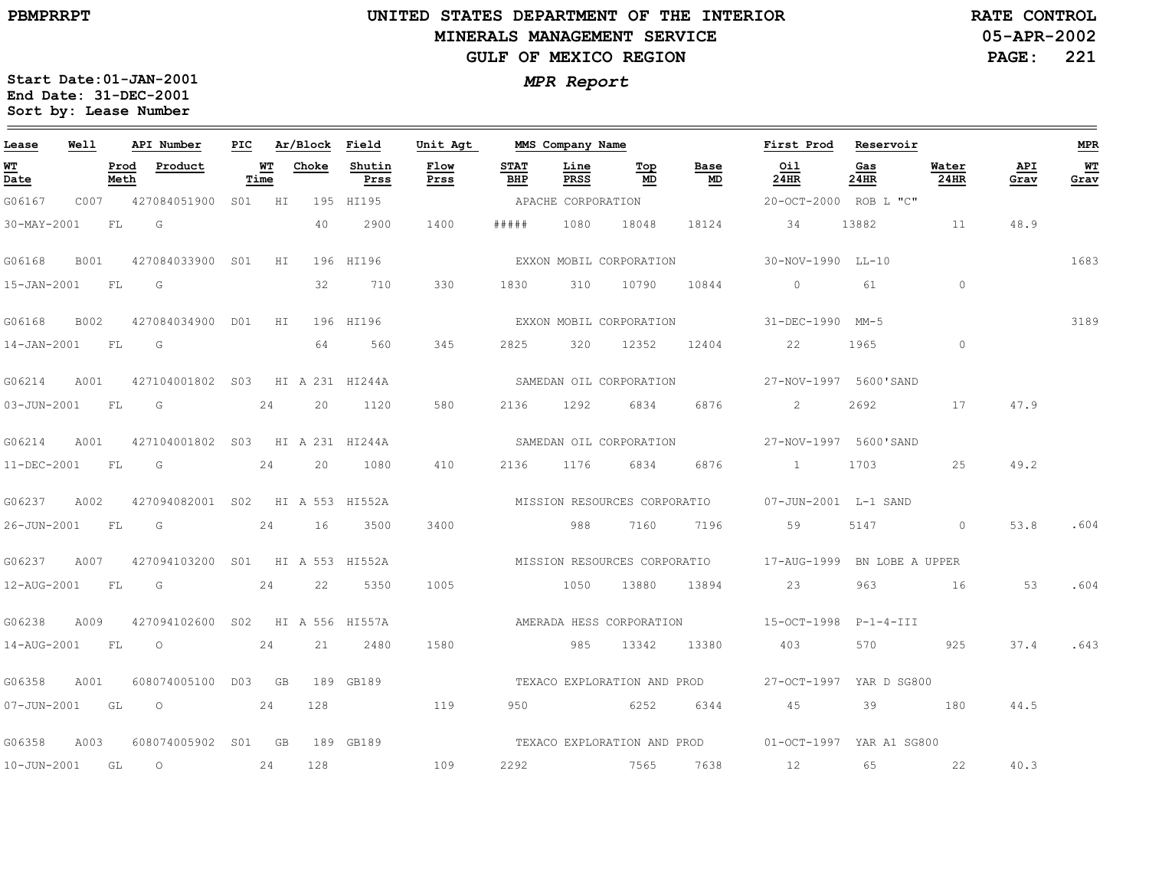$\equiv$ 

# **UNITED STATES DEPARTMENT OF THE INTERIOR MINERALS MANAGEMENT SERVICEGULF OF MEXICO REGION**

**05-APR-2002PAGE: 221 RATE CONTROL**

| Lease            | Well |      | API Number                                   |            | PIC Ar/Block Field |                | Unit Agt     |                    | MMS Company Name   |                         |                 | First Prod Reservoir                                    |             |                  |             | <b>MPR</b> |
|------------------|------|------|----------------------------------------------|------------|--------------------|----------------|--------------|--------------------|--------------------|-------------------------|-----------------|---------------------------------------------------------|-------------|------------------|-------------|------------|
| WT<br>Date       |      | Meth | Prod Product                                 | WT<br>Time | Choke              | Shutin<br>Prss | Flow<br>Prss | <b>STAT</b><br>BHP | Line<br>PRSS       | Тор<br>MD               | Base<br>MD      | Oil<br>24HR                                             | Gas<br>24HR | Water<br>$24$ HR | API<br>Grav | WT<br>Grav |
| G06167           |      |      | C007 427084051900 S01 HI 195 HI195           |            |                    |                |              |                    | APACHE CORPORATION |                         |                 | 20-OCT-2000 ROB L "C"                                   |             |                  |             |            |
| 30-MAY-2001      |      | FL G |                                              |            | 40                 | 2900           | 1400         | #####              |                    | 1080 18048              |                 | 18124 34                                                | 13882       |                  | 48.9        |            |
|                  |      |      | G06168 B001 427084033900 S01 HI 196 HI196    |            |                    |                |              |                    |                    |                         |                 | EXXON MOBIL CORPORATION 50-NOV-1990 LL-10               |             |                  |             | 1683       |
| 15-JAN-2001 FL G |      |      |                                              |            | 32                 | 710            | 330          | 1830               |                    | 310 10790               | 10844           | $\circ$                                                 | 61          | $\sim$ 0         |             |            |
|                  |      |      |                                              |            |                    |                |              |                    |                    |                         |                 | EXXON MOBIL CORPORATION 51-DEC-1990 MM-5                |             |                  |             | 3189       |
| 14-JAN-2001 FL G |      |      |                                              |            | 64                 | 560            | 345          |                    |                    |                         |                 | 2825 320 12352 12404 22                                 | 1965        | $\circ$          |             |            |
|                  |      |      | G06214 A001 427104001802 S03 HI A 231 HI244A |            |                    |                |              |                    |                    |                         |                 |                                                         |             |                  |             |            |
| 03-JUN-2001 FL G |      |      |                                              | 24         |                    | 20 1120        | 580          | 2136               | 1292               | 6834                    | 6876            | $\mathbf{2}$                                            | 2692        | 17               | 47.9        |            |
|                  |      |      | G06214 A001 427104001802 S03 HI A 231 HI244A |            |                    |                |              |                    |                    | SAMEDAN OIL CORPORATION |                 | 27-NOV-1997 5600'SAND                                   |             |                  |             |            |
|                  |      |      | 11-DEC-2001 FL G 24                          |            |                    | 20 1080        | 410          |                    |                    | 2136 1176 6834 6876     |                 | 1 1703 25                                               |             |                  | 49.2        |            |
| G06237 A002      |      |      | 427094082001 SO2 HI A 553 HI552A             |            |                    |                |              |                    |                    |                         |                 | MISSION RESOURCES CORPORATIO      07-JUN-2001  L-1 SAND |             |                  |             |            |
| 26-JUN-2001 FL G |      |      |                                              |            | 24 16              | 3500           | 3400         |                    | 988                |                         |                 | 7160 7196 59                                            |             | 5147 0           | 53.8        | .604       |
|                  |      |      | G06237 A007 427094103200 S01 HI A 553 HI552A |            |                    |                |              |                    |                    |                         |                 |                                                         |             |                  |             |            |
|                  |      |      | 12-AUG-2001 FL G 24                          |            |                    | 22 5350        | 1005         |                    |                    |                         |                 | 1050 13880 13894 23 963 16 53                           |             |                  |             | .604       |
| G06238           |      |      | A009 427094102600 S02 HI A 556 HI557A        |            |                    |                |              |                    |                    |                         |                 | AMERADA HESS CORPORATION 15-OCT-1998 P-1-4-III          |             |                  |             |            |
|                  |      |      | 14-AUG-2001 FL O                             | 24         |                    | 21 2480        | 1580         |                    |                    |                         | 985 13342 13380 | 403                                                     |             | 570 925          |             | 37.4 .643  |
| G06358           | A001 |      | 608074005100 D03 GB                          |            |                    | 189 GB189      |              |                    |                    |                         |                 | TEXACO EXPLORATION AND PROD 27-OCT-1997 YAR D SG800     |             |                  |             |            |
|                  |      |      | 07-JUN-2001 GL O 24                          |            |                    | 128 119        |              |                    |                    |                         | 950 6252 6344   | 45 39 180                                               |             |                  | 44.5        |            |
|                  |      |      | G06358 A003 608074005902 S01 GB 189 GB189    |            |                    |                |              |                    |                    |                         |                 | TEXACO EXPLORATION AND PROD 01-OCT-1997 YAR A1 SG800    |             |                  |             |            |
| 10-JUN-2001 GL O |      |      | 24                                           |            | 128                |                | 109          |                    |                    |                         |                 | 2292 7565 7638 12                                       |             | 65 22            | 40.3        |            |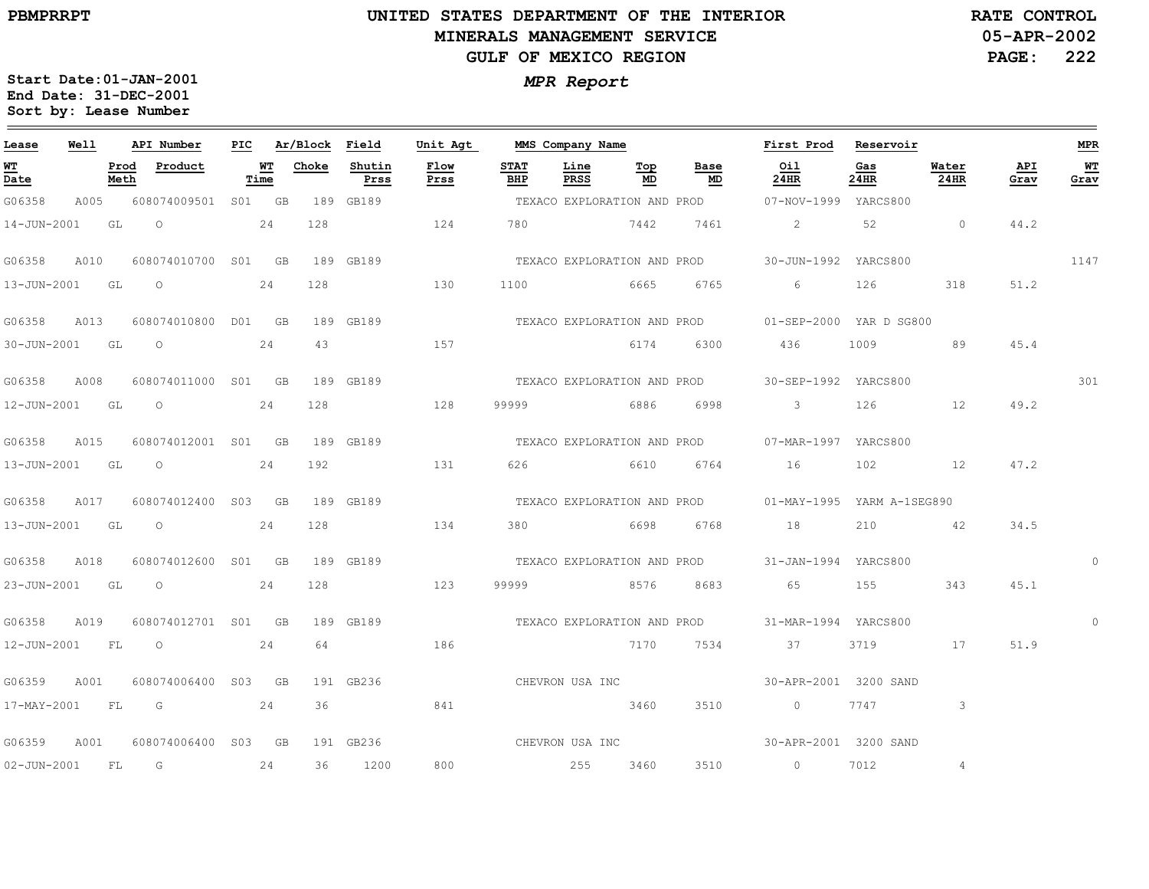# **UNITED STATES DEPARTMENT OF THE INTERIOR MINERALS MANAGEMENT SERVICEGULF OF MEXICO REGION**

**05-APR-2002PAGE: 222 RATE CONTROL**

| Lease              | Well |              | API Number          |                   | PIC Ar/Block Field |                | Unit Agt     |                    | MMS Company Name            |           |                             | First Prod                                       | Reservoir   |                |             | MPR        |
|--------------------|------|--------------|---------------------|-------------------|--------------------|----------------|--------------|--------------------|-----------------------------|-----------|-----------------------------|--------------------------------------------------|-------------|----------------|-------------|------------|
| <u> WТ</u><br>Date |      | Prod<br>Meth | Product             | <u>WT</u><br>Time | Choke              | Shutin<br>Prss | Flow<br>Prss | <b>STAT</b><br>BHP | Line<br>PRSS                | Top<br>MD | Base<br>MD                  | Oil<br>24HR                                      | Gas<br>24HR | Water<br>24HR  | API<br>Grav | WT<br>Grav |
| G06358             | A005 |              | 608074009501 S01 GB |                   |                    | 189 GB189      |              |                    |                             |           | TEXACO EXPLORATION AND PROD | 07-NOV-1999 YARCS800                             |             |                |             |            |
| 14-JUN-2001        |      | GL           | $\circ$             | 24                | 128                |                | 124          |                    | 780 7442                    |           | 7461                        | $\overline{2}$                                   | 52          | $\circ$        | 44.2        |            |
| G06358             | A010 |              | 608074010700 S01 GB |                   |                    | 189 GB189      |              |                    |                             |           |                             | TEXACO EXPLORATION AND PROD 30-JUN-1992 YARCS800 |             |                |             | 1147       |
| 13-JUN-2001        |      | GL           | $\circ$             | 24                | 128                |                | 130          | 1100               |                             | 6665      | 6765                        | 6                                                | 126         | 318            | 51.2        |            |
| G06358             | A013 |              | 608074010800 D01 GB |                   |                    | 189 GB189      |              |                    |                             |           | TEXACO EXPLORATION AND PROD | 01-SEP-2000 YAR D SG800                          |             |                |             |            |
| 30-JUN-2001 GL     |      |              | $\circ$             | 24                | 43                 |                | 157          |                    | 6174                        |           | 6300                        | 436                                              | 1009        | 89             | 45.4        |            |
| G06358             | A008 |              | 608074011000 S01 GB |                   |                    | 189 GB189      |              |                    |                             |           | TEXACO EXPLORATION AND PROD | 30-SEP-1992 YARCS800                             |             |                |             | 301        |
| 12-JUN-2001        |      | GL           | $\circ$             | 24                | 128                |                | 128          | 99999              |                             | 6886      | 6998                        | 3                                                | 126         | 12             | 49.2        |            |
| G06358             | A015 |              | 608074012001 S01 GB |                   |                    | 189 GB189      |              |                    | TEXACO EXPLORATION AND PROD |           |                             | 07-MAR-1997 YARCS800                             |             |                |             |            |
| 13-JUN-2001        |      | GL           | $\circ$             | 24                | 192                |                | 131          |                    | 626 6610                    |           | 6764                        | 16                                               | 102         | 12             | 47.2        |            |
| G06358             | A017 |              | 608074012400 S03 GB |                   |                    | 189 GB189      |              |                    |                             |           | TEXACO EXPLORATION AND PROD | 01-MAY-1995 YARM A-1SEG890                       |             |                |             |            |
| 13-JUN-2001        |      | GL           | $\circ$             | 24                | 128                |                | 134          | 380                |                             | 6698      | 6768                        | 18                                               | 210         | 42             | 34.5        |            |
| G06358             | A018 |              | 608074012600 S01 GB |                   |                    | 189 GB189      |              |                    |                             |           | TEXACO EXPLORATION AND PROD | 31-JAN-1994 YARCS800                             |             |                |             | $\Omega$   |
| 23-JUN-2001        |      | GL           | $\circ$             | 24                | 128                |                | 123          |                    | 99999 8576                  |           | 8683                        | 65                                               | 155         | 343            | 45.1        |            |
| G06358             | A019 |              | 608074012701 S01 GB |                   |                    | 189 GB189      |              |                    |                             |           |                             | TEXACO EXPLORATION AND PROD 31-MAR-1994 YARCS800 |             |                |             |            |
| 12-JUN-2001        |      | FL           | $\circ$             | 24                | 64                 |                | 186          |                    |                             | 7170      | 7534                        | 37                                               | 3719        | 17             | 51.9        |            |
| G06359             | A001 |              | 608074006400 S03 GB |                   |                    | 191 GB236      |              |                    | CHEVRON USA INC             |           |                             | 30-APR-2001 3200 SAND                            |             |                |             |            |
| 17-MAY-2001 FL     |      |              | $\overline{G}$      | 24                | 36                 |                | 841          |                    | 3460                        |           | 3510                        | $\sim$ 0                                         | 7747        | $\mathbf{3}$   |             |            |
| G06359             | A001 |              | 608074006400 S03 GB |                   |                    | 191 GB236      |              |                    |                             |           |                             | CHEVRON USA INC 30-APR-2001 3200 SAND            |             |                |             |            |
| $02 - JUN - 2001$  |      | FL           | $\overline{G}$      | 24                | 36                 | 1200           | 800          |                    | 255                         | 3460      | 3510                        | $\overline{0}$                                   | 7012        | $\overline{4}$ |             |            |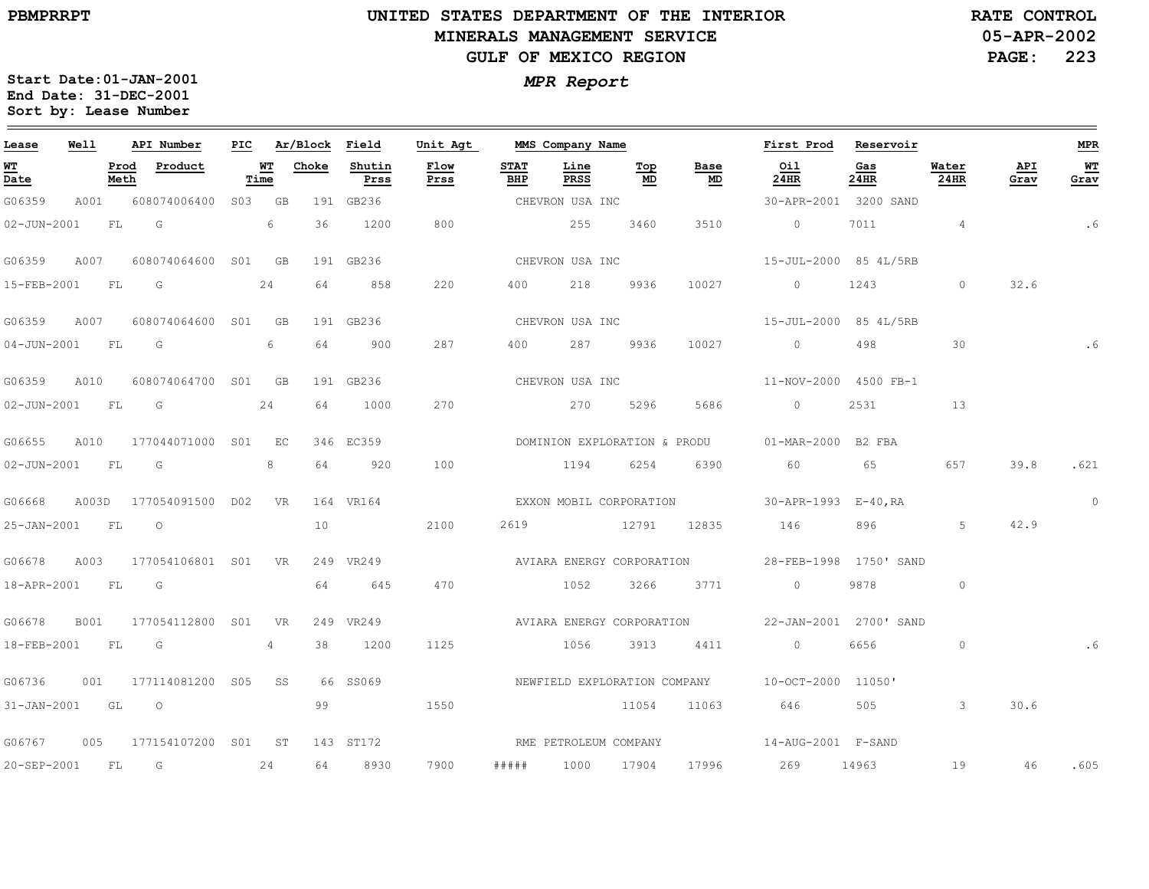# **UNITED STATES DEPARTMENT OF THE INTERIOR MINERALS MANAGEMENT SERVICEGULF OF MEXICO REGION**

**05-APR-2002PAGE: 223 RATE CONTROL**

| Lease                                                                       | Well        |              | API Number                | PIC |             | Ar/Block | Field          | Unit Agt     |                    | MMS Company Name      |           |                                   | First Prod Reservoir                               |                        |               |             | <b>MPR</b> |
|-----------------------------------------------------------------------------|-------------|--------------|---------------------------|-----|-------------|----------|----------------|--------------|--------------------|-----------------------|-----------|-----------------------------------|----------------------------------------------------|------------------------|---------------|-------------|------------|
| $\overline{\mathbf{W}}$ $\overline{\mathbf{T}}$<br>$\overline{\text{Date}}$ |             | Prod<br>Meth | Product                   |     | $W$<br>Time | Choke    | Shutin<br>Prss | Flow<br>Prss | <b>STAT</b><br>BHP | Line<br>PRSS          | Top<br>MD | Base<br>$\underline{\mathsf{MD}}$ | 0i1<br>24HR                                        | Gas<br>24HR            | Water<br>24HR | API<br>Grav | WT<br>Grav |
| G06359                                                                      | A001        |              | 608074006400              |     | S03 GB      |          | 191 GB236      |              |                    | CHEVRON USA INC       |           |                                   |                                                    | 30-APR-2001 3200 SAND  |               |             |            |
| 02-JUN-2001                                                                 |             | FL           | G                         |     | 6           | 36       | 1200           | 800          |                    | 255                   | 3460      | 3510                              | $\overline{0}$                                     | 7011                   | $\sim$ 4      |             | .6         |
| G06359                                                                      | A007        |              | 608074064600 S01 GB       |     |             |          | 191 GB236      |              |                    | CHEVRON USA INC       |           |                                   | 15-JUL-2000 85 4L/5RB                              |                        |               |             |            |
| 15-FEB-2001 FL                                                              |             |              | G $24$                    |     |             | 64       | 858            | 220          |                    | 400 218               | 9936      | 10027                             | $\overline{0}$                                     | 1243                   | $\circ$       | 32.6        |            |
| G06359                                                                      | A007        |              | 608074064600 S01          |     | GB          |          | 191 GB236      |              |                    | CHEVRON USA INC       |           |                                   | 15-JUL-2000 85 4L/5RB                              |                        |               |             |            |
| 04-JUN-2001                                                                 |             | FL           | G                         |     | 6           | 64       | 900            | 287          | 400                |                       | 287 9936  | 10027                             | $\overline{0}$                                     | 498                    | 30            |             |            |
| G06359                                                                      | A010        |              | 608074064700 S01 GB       |     |             |          | 191 GB236      |              |                    | CHEVRON USA INC       |           |                                   | 11-NOV-2000 4500 FB-1                              |                        |               |             |            |
| 02-JUN-2001 FL G                                                            |             |              |                           |     | 24          | 64       | 1000           | 270          |                    | 270                   | 5296      | 5686                              | $\overline{0}$                                     | 2531                   | 13            |             |            |
| G06655                                                                      | A010        |              | 177044071000 S01 EC       |     |             |          | 346 EC359      |              |                    |                       |           |                                   | DOMINION EXPLORATION & PRODU 01-MAR-2000 B2 FBA    |                        |               |             |            |
| 02-JUN-2001                                                                 |             | FL           | G                         |     | 8           | 64       | 920            | 100          |                    | 1194                  | 6254      | 6390                              | 60                                                 | 65                     | 657           | 39.8        | .621       |
| G06668                                                                      |             |              | A003D 177054091500 D02 VR |     |             |          | 164 VR164      |              |                    |                       |           |                                   | EXXON MOBIL CORPORATION 30-APR-1993 E-40, RA       |                        |               |             | $\circ$    |
| 25-JAN-2001 FL                                                              |             |              | $\overline{O}$            |     |             | 10       |                | 2100         |                    |                       |           |                                   | 2619 12791 12835 146                               |                        | 5             | 42.9        |            |
| G06678                                                                      | A003        |              | 177054106801 S01          |     | <b>VR</b>   |          | 249 VR249      |              |                    |                       |           | AVIARA ENERGY CORPORATION         | 28-FEB-1998 1750' SAND                             |                        |               |             |            |
| 18-APR-2001                                                                 |             | FL           | G                         |     |             | 64       | 645            | 470          |                    | 1052                  | 3266      | 3771                              | $\circ$                                            | 9878                   | $\circ$       |             |            |
| G06678                                                                      | <b>B001</b> |              | 177054112800 S01          |     | <b>VR</b>   |          | 249 VR249      |              |                    |                       |           | AVIARA ENERGY CORPORATION         |                                                    | 22-JAN-2001 2700' SAND |               |             |            |
| 18-FEB-2001                                                                 |             | FL           | G                         |     | 4           | 38       | 1200           | 1125         |                    | 1056                  | 3913      | 4411                              | $\overline{0}$                                     | 6656                   | $\circ$       |             |            |
| G06736                                                                      | 001         |              | 177114081200 S05 SS       |     |             |          | 66 SS069       |              |                    |                       |           |                                   | NEWFIELD EXPLORATION COMPANY $10-$ OCT-2000 11050' |                        |               |             |            |
| 31-JAN-2001 GL                                                              |             |              | $\circ$                   |     |             | 99       |                | 1550         |                    |                       | 11054     | 11063                             | 646                                                |                        | $\mathcal{S}$ | 30.6        |            |
| G06767                                                                      |             |              | 005 177154107200 S01 ST   |     |             |          | 143 ST172      |              |                    | RME PETROLEUM COMPANY |           |                                   | $14 - \text{AUG} - 2001$ $F - \text{SAND}$         |                        |               |             |            |
| 20-SEP-2001 FL G                                                            |             |              |                           |     | 24          |          | 64 8930        | 7900         | # # # # #          | 1000 17904            |           | 17996                             | 269 14963                                          |                        | 19            | 46          | .605       |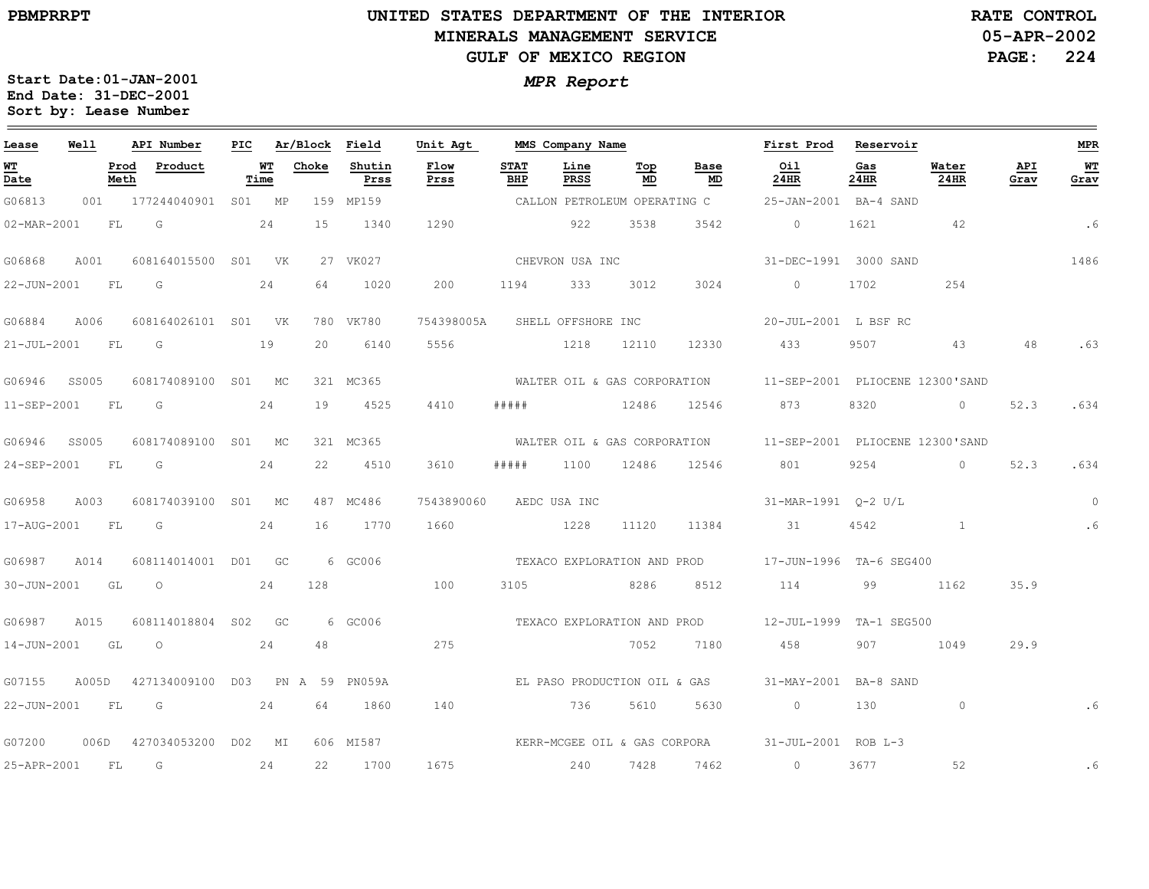# **UNITED STATES DEPARTMENT OF THE INTERIOR MINERALS MANAGEMENT SERVICEGULF OF MEXICO REGION**

**05-APR-2002PAGE: 224 RATE CONTROL**

**Start Date:01-JAN-2001** *MPR Report* **End Date: 31-DEC-2001 Sort by: Lease Number**   $\qquad \qquad$ 

| Lease             | Well  |              | API Number                      | PIC |                                                         | Ar/Block Field |                | Unit Agt                     |                    | MMS Company Name             |                                  |                              | First Prod Reservoir                                         |             |               |             | <b>MPR</b>             |
|-------------------|-------|--------------|---------------------------------|-----|---------------------------------------------------------|----------------|----------------|------------------------------|--------------------|------------------------------|----------------------------------|------------------------------|--------------------------------------------------------------|-------------|---------------|-------------|------------------------|
| <u>WT</u><br>Date |       | Prod<br>Meth | Product                         |     | $\overline{\mathbf{M}}$ $\overline{\mathbf{T}}$<br>Time | Choke          | Shutin<br>Prss | Flow<br>Prss                 | <b>STAT</b><br>BHP | Line<br>PRSS                 | $\underline{\texttt{Top}}$<br>MD | Base<br>MD                   | Oil<br>24HR                                                  | Gas<br>24HR | Water<br>24HR | API<br>Grav | W <sub>T</sub><br>Grav |
| G06813            | 001   |              | 177244040901                    |     | S01 MP                                                  |                | 159 MP159      |                              |                    | CALLON PETROLEUM OPERATING C |                                  |                              | 25-JAN-2001 BA-4 SAND                                        |             |               |             |                        |
| 02-MAR-2001       |       | FL           | G                               |     | 24                                                      | 15             | 1340           | 1290                         |                    | 922                          | 3538                             | 3542                         | $\overline{0}$                                               | 1621        | 42            |             | .6                     |
| G06868            | A001  |              | 608164015500 S01 VK             |     |                                                         |                | 27 VK027       |                              |                    | CHEVRON USA INC              |                                  |                              | 31-DEC-1991 3000 SAND                                        |             |               |             | 1486                   |
| 22-JUN-2001 FL    |       |              | G<br>24                         |     |                                                         | 64             | 1020           | 200                          |                    | 1194 333                     | 3012                             | 3024                         | $\overline{0}$                                               | 1702        | 254           |             |                        |
| G06884            | A006  |              | 608164026101 S01 VK             |     |                                                         |                | 780 VK780      | 754398005A                   |                    | SHELL OFFSHORE INC           |                                  |                              | 20-JUL-2001 L BSF RC                                         |             |               |             |                        |
| 21-JUL-2001       |       | FL           | G                               |     | 19                                                      | 20             | 6140           | 5556                         |                    | 1218                         | 12110                            | 12330                        | 433                                                          | 9507        | 43            | 48          | .63                    |
| G06946            | SS005 |              | 608174089100 S01 MC             |     |                                                         |                | 321 MC365      |                              |                    |                              |                                  |                              | WALTER OIL & GAS CORPORATION 11-SEP-2001 PLIOCENE 12300'SAND |             |               |             |                        |
| 11-SEP-2001       |       | FL           | G                               |     | 24                                                      | 19             | 4525           | 4410                         | #####              | 12486 12546                  |                                  |                              | 873                                                          | 8320        | $\circ$       | 52.3        | .634                   |
| G06946            | SS005 |              | 608174089100 S01 MC             |     |                                                         |                | 321 MC365      |                              |                    |                              |                                  |                              | WALTER OIL & GAS CORPORATION 11-SEP-2001 PLIOCENE 12300'SAND |             |               |             |                        |
| 24-SEP-2001       |       | FL           | G                               |     | 24                                                      | 22             | 4510           | 3610                         | #####              | 1100                         | 12486                            | 12546                        | 801                                                          | 9254        | $\circ$       | 52.3        | .634                   |
| G06958            | A003  |              | 608174039100 S01 MC             |     |                                                         |                | 487 MC486      | 7543890060 AEDC USA INC      |                    |                              |                                  |                              | 31-MAR-1991  0-2  U/L                                        |             |               |             | $\Omega$               |
| 17-AUG-2001 FL    |       |              | G                               |     | 24                                                      | 16             | 1770           | 1660                         |                    | 1228                         | 11120                            | 11384                        | 31                                                           | 4542        | $\mathbf{1}$  |             | .6                     |
| G06987            | A014  |              | 608114014001 D01 GC             |     |                                                         |                | 6 GC006        |                              |                    |                              |                                  | TEXACO EXPLORATION AND PROD  | 17-JUN-1996 TA-6 SEG400                                      |             |               |             |                        |
| $30 - JUN - 2001$ |       | GL           | $\circ$                         |     | 24                                                      | 128            |                | 100                          | 3105               |                              | 8286                             | 8512                         | 114                                                          | 99          | 1162          | 35.9        |                        |
| G06987            | A015  |              | 608114018804 S02 GC             |     |                                                         |                | 6 GC006        |                              |                    | TEXACO EXPLORATION AND PROD  |                                  |                              | 12-JUL-1999 TA-1 SEG500                                      |             |               |             |                        |
| 14-JUN-2001 GL    |       |              | $\circ$                         |     | 24                                                      | 48             |                | 275                          |                    | 7052                         |                                  | 7180                         | 458                                                          | 907         | 1049          | 29.9        |                        |
| G07155            | A005D |              | 427134009100 D03 PN A 59 PN059A |     |                                                         |                |                |                              |                    |                              |                                  | EL PASO PRODUCTION OIL & GAS | 31-MAY-2001 BA-8 SAND                                        |             |               |             |                        |
| 22-JUN-2001       |       | FL           | G                               |     | 24                                                      | 64             | 1860           | 140                          |                    | 736                          | 5610                             | 5630                         | $\circ$                                                      | 130         | $\circ$       |             | .6                     |
| G07200            |       |              | 006D 427034053200 D02 MI        |     |                                                         |                | 606 MI587      | KERR-MCGEE OIL & GAS CORPORA |                    |                              |                                  |                              | 31-JUL-2001 ROB L-3                                          |             |               |             |                        |
| 25-APR-2001       |       | FL           | G                               |     | 24                                                      | 22             | 1700           | 1675                         |                    | 240                          | 7428                             | 7462                         | $\circ$                                                      | 3677        | 52            |             | . 6                    |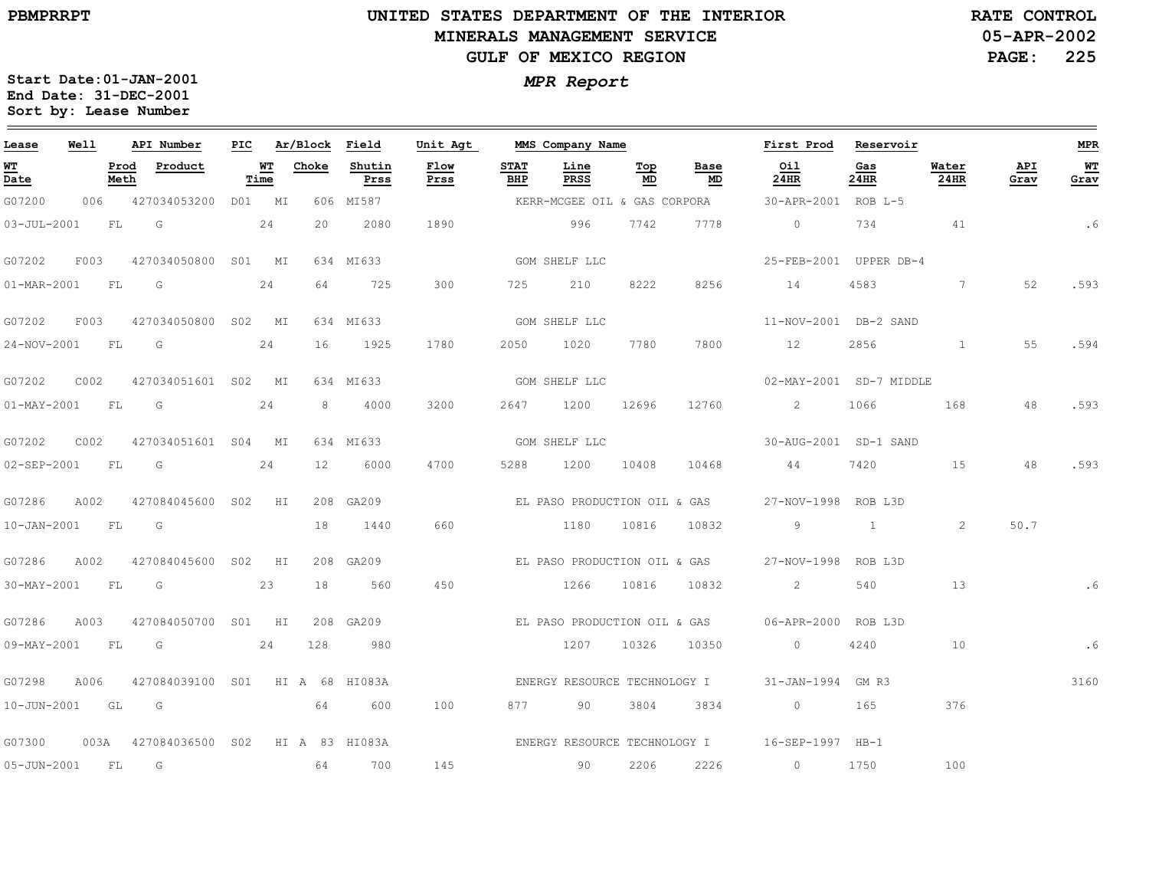### **UNITED STATES DEPARTMENT OF THE INTERIOR MINERALS MANAGEMENT SERVICEGULF OF MEXICO REGION**

**05-APR-2002PAGE: 225 RATE CONTROL**

| Lease             | Well |           | API Number                           |                   |                 | PIC Ar/Block Field | Unit Agt     |                    | MMS Company Name |           |                              | First Prod                                       | Reservoir    |                  |             | MPR               |
|-------------------|------|-----------|--------------------------------------|-------------------|-----------------|--------------------|--------------|--------------------|------------------|-----------|------------------------------|--------------------------------------------------|--------------|------------------|-------------|-------------------|
| WT<br>Date        |      | Meth      | Prod Product                         | <b>WT</b><br>Time | Choke           | Shutin<br>Prss     | Flow<br>Prss | <b>STAT</b><br>BHP | Line<br>PRSS     | Тор<br>MD | Base<br>MD                   | Oil<br>24HR                                      | Gas<br>24HR  | Water<br>$24$ HR | API<br>Grav | <b>WT</b><br>Grav |
| G07200            | 006  |           | 427034053200 D01 MI                  |                   |                 | 606 MI587          |              |                    |                  |           | KERR-MCGEE OIL & GAS CORPORA | 30-APR-2001 ROB L-5                              |              |                  |             |                   |
| $03 - JUL - 2001$ |      | <b>FL</b> | G                                    | 24                | 20              | 2080               | 1890         |                    | 996              | 7742      | 7778                         | $\overline{0}$                                   | 734          | 41               |             | .6                |
| G07202            | F003 |           | 427034050800 S01 MI                  |                   |                 | 634 MI633          |              |                    | GOM SHELF LLC    |           |                              | 25-FEB-2001 UPPER DB-4                           |              |                  |             |                   |
| 01-MAR-2001 FL G  |      |           |                                      | 24                | 64              | 725                | 300          |                    | 725 210          | 8222      | 8256                         | 14                                               | 4583         | $7\phantom{.0}$  | 52          | .593              |
| G07202            | F003 |           | 427034050800 S02 MI                  |                   |                 | 634 MI633          |              |                    | GOM SHELF LLC    |           |                              | 11-NOV-2001 DB-2 SAND                            |              |                  |             |                   |
| 24-NOV-2001 FL G  |      |           |                                      | 24                | 16              | 1925               | 1780         |                    | 2050 1020        | 7780      | 7800                         | 12                                               | 2856         | 1                | 55          | .594              |
| G07202            | C002 |           | 427034051601 S02 MI                  |                   |                 | 634 MI633          |              |                    | GOM SHELF LLC    |           |                              | 02-MAY-2001 SD-7 MIDDLE                          |              |                  |             |                   |
| $01 - MAX - 2001$ |      | FL        | $\overline{G}$                       | 24                | 8               | 4000               | 3200         | 2647               | 1200 12696       |           | 12760                        | $\overline{2}$                                   | 1066         | 168              | 48          | .593              |
| G07202            | C002 |           | 427034051601 S04 MI                  |                   |                 | 634 MI633          |              |                    | GOM SHELF LLC    |           |                              | 30-AUG-2001 SD-1 SAND                            |              |                  |             |                   |
| 02-SEP-2001 FL    |      |           | $\overline{\mathsf{G}}$              | 24                | 12 <sup>7</sup> | 6000               | 4700         | 5288               | 1200             | 10408     | 10468                        | 44                                               | 7420         | 15               | 48          | .593              |
| G07286            | A002 |           | 427084045600 S02 HI                  |                   |                 | 208 GA209          |              |                    |                  |           | EL PASO PRODUCTION OIL & GAS | 27-NOV-1998 ROB L3D                              |              |                  |             |                   |
| 10-JAN-2001       |      | FL        | G                                    |                   | 18              | 1440               | 660          |                    | 1180 10816       |           | 10832                        | 9                                                | $\mathbf{1}$ | 2                | 50.7        |                   |
| G07286            | A002 |           | 427084045600 S02 HI                  |                   |                 | 208 GA209          |              |                    |                  |           | EL PASO PRODUCTION OIL & GAS | 27-NOV-1998 ROB L3D                              |              |                  |             |                   |
| 30-MAY-2001 FL G  |      |           |                                      | 23                | 18              | 560                | 450          |                    | 1266 10816       |           | 10832                        | $\overline{2}$                                   | 540          | 13               |             | . 6               |
| G07286            | A003 |           | 427084050700 S01 HI                  |                   |                 | 208 GA209          |              |                    |                  |           |                              | EL PASO PRODUCTION OIL & GAS 06-APR-2000 ROB L3D |              |                  |             |                   |
| 09-MAY-2001       |      | FL        | G                                    | 24                | 128             | 980                |              |                    | 1207             | 10326     | 10350                        | $\circ$                                          | 4240         | 10               |             | .6                |
| G07298            | A006 |           | 427084039100 S01 HI A 68 HI083A      |                   |                 |                    |              |                    |                  |           | ENERGY RESOURCE TECHNOLOGY I | 31-JAN-1994 GM R3                                |              |                  |             | 3160              |
| 10-JUN-2001 GL G  |      |           |                                      |                   | 64              | 600                | 100          |                    | 877 90           | 3804      | 3834                         | $\overline{0}$                                   | 165          | 376              |             |                   |
| G07300            |      |           | 003A 427084036500 S02 HI A 83 HI083A |                   |                 |                    |              |                    |                  |           |                              | ENERGY RESOURCE TECHNOLOGY I 16-SEP-1997 HB-1    |              |                  |             |                   |
| 05-JUN-2001 FL    |      |           | G                                    |                   | 64              | 700                | 145          |                    | 90               | 2206      | 2226                         | $\circ$                                          | 1750         | 100              |             |                   |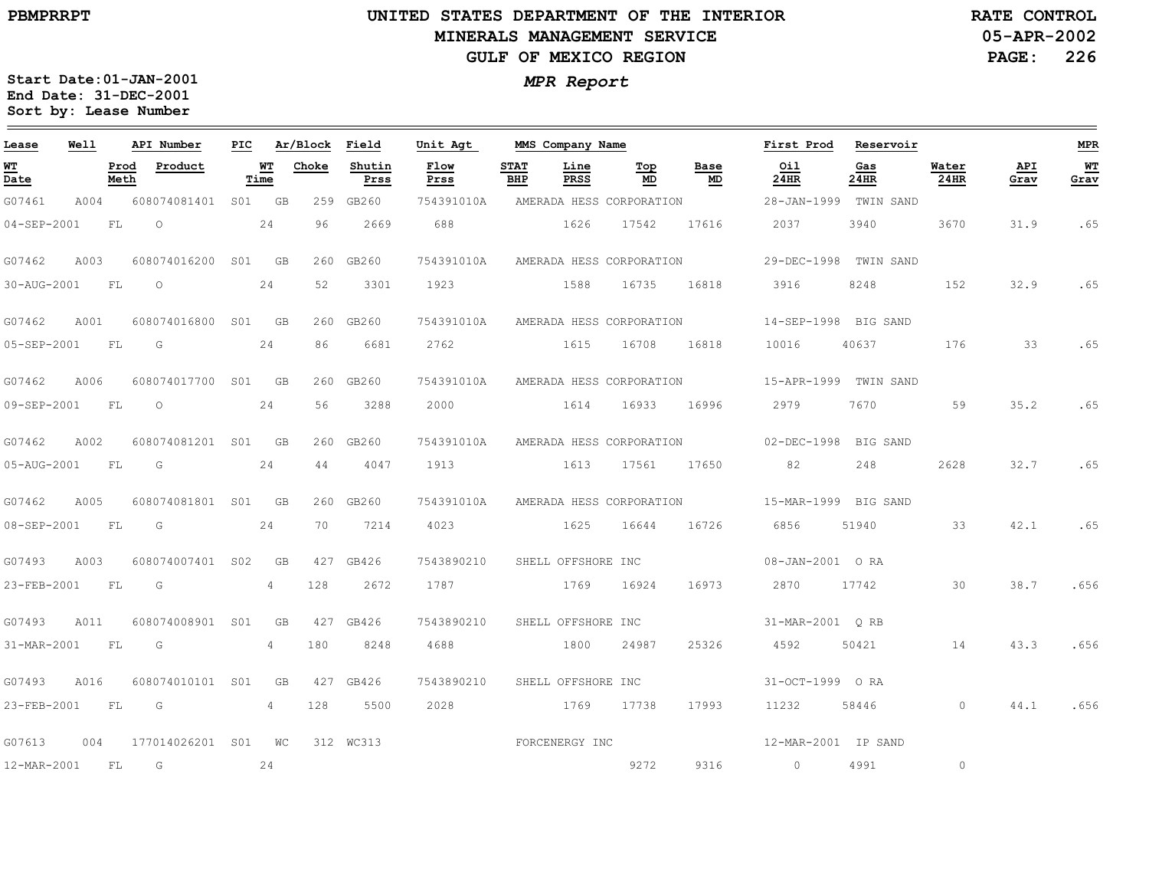### **UNITED STATES DEPARTMENT OF THE INTERIOR MINERALS MANAGEMENT SERVICEGULF OF MEXICO REGION**

**05-APR-2002PAGE: 226 RATE CONTROL**

| Lease                          | Well |              | API Number       | PIC |                | Ar/Block | Field          | Unit Agt       |                    | MMS Company Name   |                          |            | First Prod           | Reservoir   |               |             | <b>MPR</b>   |
|--------------------------------|------|--------------|------------------|-----|----------------|----------|----------------|----------------|--------------------|--------------------|--------------------------|------------|----------------------|-------------|---------------|-------------|--------------|
| WT<br>$\overline{\text{Date}}$ |      | Prod<br>Meth | Product          |     | WТ<br>Time     | Choke    | Shutin<br>Prss | Flow<br>Prss   | <b>STAT</b><br>BHP | Line<br>PRSS       | Top<br>MD                | Base<br>MD | Oil<br>24HR          | Gas<br>24HR | Water<br>24HR | API<br>Grav | $WT$<br>Grav |
| G07461                         | A004 |              | 608074081401     | S01 | GB             | 259      | GB260          | 754391010A     |                    |                    | AMERADA HESS CORPORATION |            | 28-JAN-1999          | TWIN SAND   |               |             |              |
| $04 - SEP - 2001$              |      | FL           | $\circ$          |     | 24             | 96       | 2669           | 688            |                    | 1626               | 17542                    | 17616      | 2037                 | 3940        | 3670          | 31.9        | .65          |
| G07462                         | A003 |              | 608074016200     | S01 | GB             | 260      | GB260          | 754391010A     |                    |                    | AMERADA HESS CORPORATION |            | 29-DEC-1998          | TWIN SAND   |               |             |              |
| 30-AUG-2001                    |      | FL           | $\circ$          |     | 24             | 52       | 3301           | 1923           |                    | 1588               | 16735                    | 16818      | 3916                 | 8248        | 152           | 32.9        | .65          |
| G07462                         | A001 |              | 608074016800 S01 |     | <b>GB</b>      | 260      | GB260          | 754391010A     |                    |                    | AMERADA HESS CORPORATION |            | 14-SEP-1998 BIG SAND |             |               |             |              |
| 05-SEP-2001                    |      | FL           | G                |     | 24             | 86       | 6681           | 2762           |                    | 1615               | 16708                    | 16818      | 10016                | 40637       | 176           | 33          | .65          |
| G07462                         | A006 |              | 608074017700 S01 |     | <b>GB</b>      | 260      | GB260          | 754391010A     |                    |                    | AMERADA HESS CORPORATION |            | 15-APR-1999          | TWIN SAND   |               |             |              |
| 09-SEP-2001                    |      | FL           | $\circ$          |     | 24             | 56       | 3288           | 2000           |                    | 1614               | 16933                    | 16996      | 2979                 | 7670        | 59            | 35.2        | .65          |
| G07462                         | A002 |              | 608074081201 S01 |     | <b>GB</b>      | 260      | GB260          | 754391010A     |                    |                    | AMERADA HESS CORPORATION |            | 02-DEC-1998 BIG SAND |             |               |             |              |
| 05-AUG-2001                    |      | FL           | G                |     | 24             | 44       | 4047           | 1913           |                    | 1613               | 17561                    | 17650      | 82                   | 248         | 2628          | 32.7        | .65          |
| G07462                         | A005 |              | 608074081801 S01 |     | <b>GB</b>      | 260      | GB260          | 754391010A     |                    |                    | AMERADA HESS CORPORATION |            | 15-MAR-1999 BIG SAND |             |               |             |              |
| 08-SEP-2001                    |      | FL           | G                |     | 24             | 70       | 7214           | 4023           |                    | 1625               | 16644                    | 16726      | 6856                 | 51940       | 33            | 42.1        | .65          |
| G07493                         | A003 |              | 608074007401 S02 |     | <b>GB</b>      | 427      | GB426          | 7543890210     |                    | SHELL OFFSHORE INC |                          |            | 08-JAN-2001 ORA      |             |               |             |              |
| 23-FEB-2001                    |      | FL           | G                |     | $\overline{4}$ | 128      | 2672           | 1787           |                    | 1769               | 16924                    | 16973      | 2870                 | 17742       | 30            | 38.7        | .656         |
| G07493                         | A011 |              | 608074008901 S01 |     | GB             | 427      | GB426          | 7543890210     |                    | SHELL OFFSHORE INC |                          |            | 31-MAR-2001 ORB      |             |               |             |              |
| 31-MAR-2001                    |      | FL           | G                |     | 4              | 180      | 8248           | 4688           |                    | 1800               | 24987                    | 25326      | 4592                 | 50421       | 14            | 43.3        | .656         |
| G07493                         | A016 |              | 608074010101     | S01 | GB             | 427      | GB426          | 7543890210     |                    | SHELL OFFSHORE INC |                          |            | 31-OCT-1999 ORA      |             |               |             |              |
| 23-FEB-2001                    |      | FL           | G                |     | 4              | 128      | 5500           | 2028           |                    | 1769               | 17738                    | 17993      | 11232                | 58446       | $\circ$       | 44.1        | .656         |
| G07613                         | 004  |              | 177014026201 S01 |     | WC             |          | 312 WC313      | FORCENERGY INC |                    |                    |                          |            | 12-MAR-2001 IP SAND  |             |               |             |              |
| 12-MAR-2001                    |      | FL           | G                |     | 24             |          |                |                |                    |                    | 9272                     | 9316       | $\circ$              | 4991        | $\circ$       |             |              |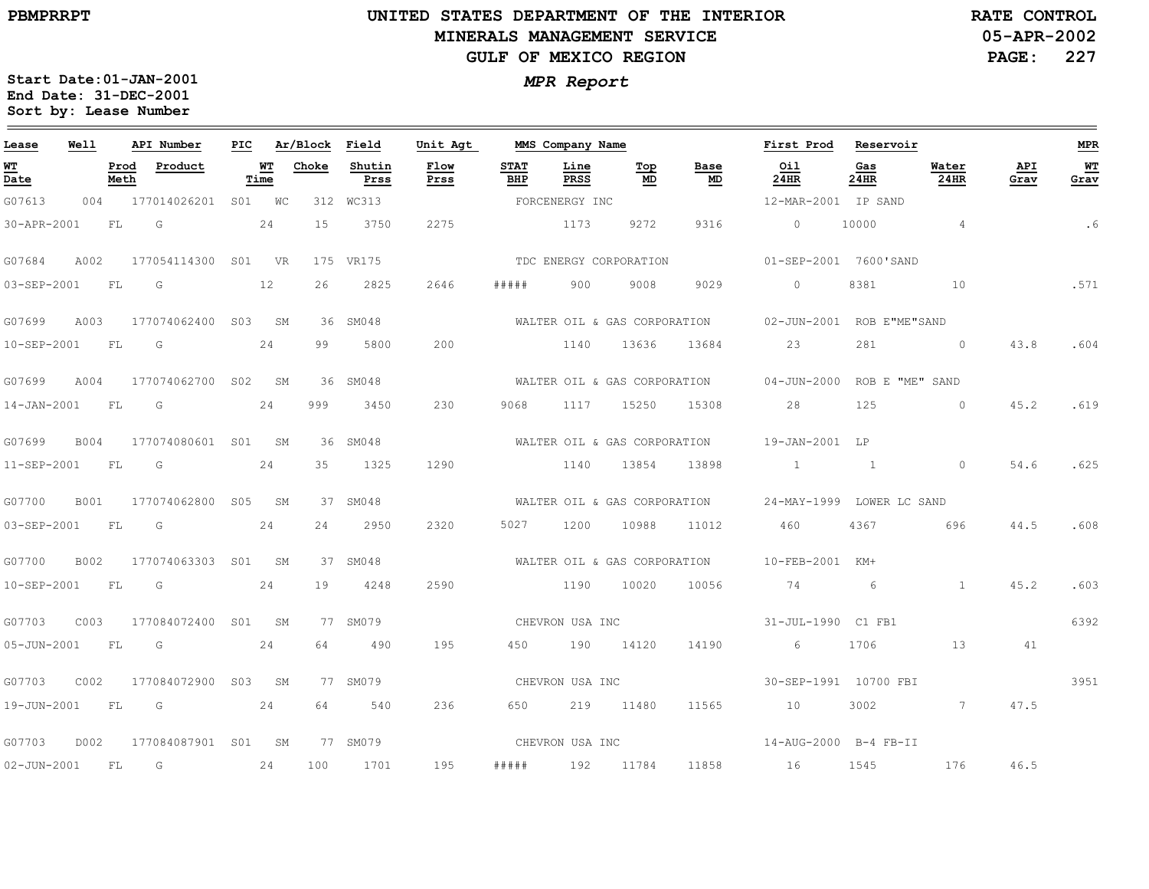### **UNITED STATES DEPARTMENT OF THE INTERIOR MINERALS MANAGEMENT SERVICEGULF OF MEXICO REGION**

**05-APR-2002PAGE: 227 RATE CONTROL**

| Lease             | <b>Well</b> |              | API Number          | PIC |            | Ar/Block | Field          | Unit Agt     |                    | MMS Company Name |                              |                              | First Prod                            | Reservoir       |                |             | <b>MPR</b> |
|-------------------|-------------|--------------|---------------------|-----|------------|----------|----------------|--------------|--------------------|------------------|------------------------------|------------------------------|---------------------------------------|-----------------|----------------|-------------|------------|
| WT<br>Date        |             | Prod<br>Meth | Product             |     | WT<br>Time | Choke    | Shutin<br>Prss | Flow<br>Prss | <b>STAT</b><br>BHP | Line<br>PRSS     | Top<br>MD                    | Base<br>MD                   | Oil<br>24HR                           | Gas<br>24HR     | Water<br>24HR  | API<br>Grav | WT<br>Grav |
| G07613            | 004         |              | 177014026201 S01 WC |     |            |          | 312 WC313      |              |                    | FORCENERGY INC   |                              |                              | 12-MAR-2001 IP SAND                   |                 |                |             |            |
| 30-APR-2001       |             | FL           | G                   |     | 24         | 15       | 3750           | 2275         |                    | 1173             | 9272                         | 9316                         | $\circ$                               | 10000           | $\overline{4}$ |             | . 6        |
| G07684            | A002        |              | 177054114300 S01 VR |     |            |          | 175 VR175      |              |                    |                  | TDC ENERGY CORPORATION       |                              | 01-SEP-2001 7600'SAND                 |                 |                |             |            |
| 03-SEP-2001       |             | FL           | G                   |     | 12         | 26       | 2825           | 2646         | # # # #            | 900              | 9008                         | 9029                         | $\circ$                               | 8381            | 10             | .571        |            |
| G07699            | A003        |              | 177074062400 S03 SM |     |            |          | 36 SM048       |              |                    |                  | WALTER OIL & GAS CORPORATION |                              | 02-JUN-2001 ROB E"ME"SAND             |                 |                |             |            |
| 10-SEP-2001       |             | FL           | G                   |     | 24         | 99       | 5800           | 200          |                    | 1140             | 13636                        | 13684                        | 23                                    | 281             | $\sim$ 0       | 43.8        | .604       |
| G07699            | A004        |              | 177074062700 S02    |     | SM         |          | 36 SM048       |              |                    |                  |                              | WALTER OIL & GAS CORPORATION | 04-JUN-2000 ROB E "ME" SAND           |                 |                |             |            |
| $14 - JAN - 2001$ |             | FL           | G                   |     | 24         | 999      | 3450           | 230          | 9068               | 1117             | 15250                        | 15308                        | 28                                    | 125             | $\overline{0}$ | 45.2        | .619       |
| G07699            | B004        |              | 177074080601 S01 SM |     |            |          | 36 SM048       |              |                    |                  | WALTER OIL & GAS CORPORATION |                              | 19-JAN-2001 LP                        |                 |                |             |            |
| 11-SEP-2001       |             | FL           | G                   |     | 24         | 35       | 1325           | 1290         |                    | 1140             | 13854                        | 13898                        | $1 \quad 1 \quad 1$                   |                 | $\overline{0}$ | 54.6        | .625       |
| G07700            | <b>B001</b> |              | 177074062800 S05    |     | SM         |          | 37 SM048       |              |                    |                  |                              | WALTER OIL & GAS CORPORATION | 24-MAY-1999 LOWER LC SAND             |                 |                |             |            |
| 03-SEP-2001       |             | FL.          | G                   |     | 24         | 24       | 2950           | 2320         | 5027               | 1200             | 10988                        | 11012                        | 460                                   | 4367            | 696            | 44.5        | .608       |
| G07700            | <b>B002</b> |              | 177074063303 S01 SM |     |            |          | 37 SM048       |              |                    |                  | WALTER OIL & GAS CORPORATION |                              | 10-FEB-2001 KM+                       |                 |                |             |            |
| 10-SEP-2001       |             | FL           | G                   |     | 24         | 19       | 4248           | 2590         |                    | 1190             | 10020                        | 10056                        | 74                                    | $6\overline{6}$ | $\overline{1}$ | 45.2        | .603       |
| G07703            | C003        |              | 177084072400 S01 SM |     |            |          | 77 SM079       |              |                    | CHEVRON USA INC  |                              |                              | 31-JUL-1990 C1 FB1                    |                 |                |             | 6392       |
| 05-JUN-2001       |             | <b>FL</b>    | G                   |     | 24         | 64       | 490            | 195          | 450                |                  | 190 14120                    | 14190                        | 6                                     | 1706            | 13             | 41          |            |
| G07703            | C002        |              | 177084072900 S03 SM |     |            |          | 77 SM079       |              |                    | CHEVRON USA INC  |                              |                              | 30-SEP-1991 10700 FBI                 |                 |                |             | 3951       |
| 19-JUN-2001       |             | FL           | G                   |     | 24         | 64       | 540            | 236          | 650 — 10           |                  | 219 11480                    | 11565                        | 10                                    | 3002            | $\sim$ 7       | 47.5        |            |
| G07703            | D002        |              | 177084087901 S01 SM |     |            |          | 77 SM079       |              |                    |                  |                              |                              | CHEVRON USA INC 14-AUG-2000 B-4 FB-II |                 |                |             |            |
| 02-JUN-2001       |             | FL           | G                   |     | 24         | 100      | 1701           | 195          | # # # # #          |                  | 192 11784                    | 11858                        | 16                                    | 1545            | 176            | 46.5        |            |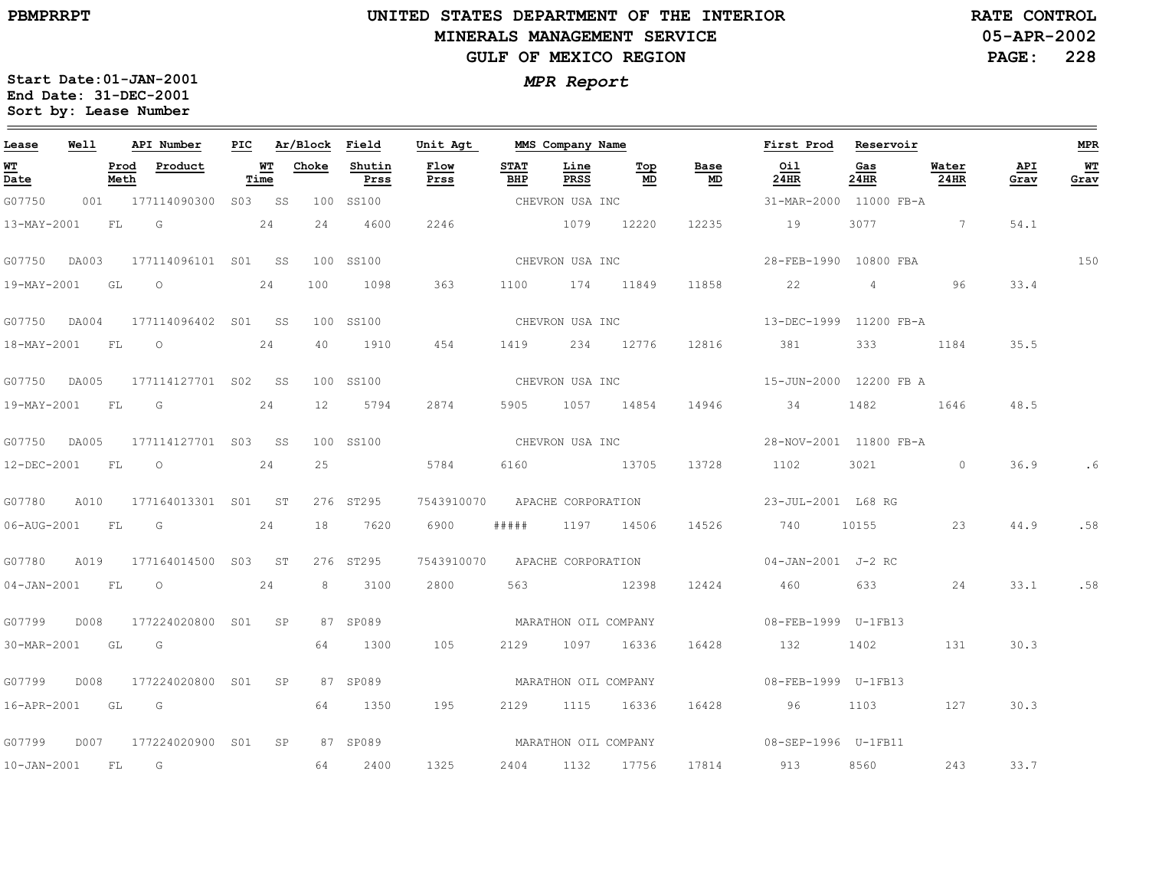# **UNITED STATES DEPARTMENT OF THE INTERIOR MINERALS MANAGEMENT SERVICEGULF OF MEXICO REGION**

**05-APR-2002 PAGE: 228 RATE CONTROL**

| Lease             | Well  |              | API Number              | PIC. |            | Ar/Block | Field          | Unit Agt     |                    | MMS Company Name     |             |                                   | First Prod             | Reservoir   |                   |             | <b>MPR</b>   |
|-------------------|-------|--------------|-------------------------|------|------------|----------|----------------|--------------|--------------------|----------------------|-------------|-----------------------------------|------------------------|-------------|-------------------|-------------|--------------|
| <u>WT</u><br>Date |       | Prod<br>Meth | Product                 |      | WΤ<br>Time | Choke    | Shutin<br>Prss | Flow<br>Prss | <b>STAT</b><br>BHP | Line<br>PRSS         | $Top$<br>MD | Base<br>$\underline{\mathsf{MD}}$ | Oil<br>24HR            | Gas<br>24HR | Water<br>24HR     | API<br>Grav | $WT$<br>Grav |
| G07750            | 001   |              | 177114090300            | S03  | SS         | 100      | SS100          |              |                    | CHEVRON USA INC      |             |                                   | 31-MAR-2000 11000 FB-A |             |                   |             |              |
| 13-MAY-2001       |       | FL           | G                       |      | 24         | 24       | 4600           | 2246         |                    | 1079                 | 12220       | 12235                             | 19                     | 3077        | $7\phantom{.0}\,$ | 54.1        |              |
| G07750            | DA003 |              | 177114096101 S01 SS     |      |            |          | 100 SS100      |              |                    | CHEVRON USA INC      |             |                                   | 28-FEB-1990            | 10800 FBA   |                   |             | 150          |
| 19-MAY-2001       |       | GL           | $\circ$                 |      | 24         | 100      | 1098           | 363          | 1100               | 174 11849            |             | 11858                             | 22                     | 4           | 96                | 33.4        |              |
| G07750            | DA004 |              | 177114096402 S01 SS     |      |            |          | 100 SS100      |              |                    | CHEVRON USA INC      |             |                                   | 13-DEC-1999            | 11200 FB-A  |                   |             |              |
| 18-MAY-2001       |       | FL           | $\circ$                 |      | 24         | 40       | 1910           | 454          | 1419               | 234                  | 12776       | 12816                             | 381                    | 333         | 1184              | 35.5        |              |
| G07750            | DA005 |              | 177114127701 S02        |      | SS         |          | 100 SS100      |              |                    | CHEVRON USA INC      |             |                                   | 15-JUN-2000 12200 FB A |             |                   |             |              |
| 19-MAY-2001       |       | <b>FL</b>    | G                       |      | 24         | 12       | 5794           | 2874         | 5905               |                      | 1057 14854  | 14946                             | 34                     | 1482        | 1646              | 48.5        |              |
| G07750            | DA005 |              | 177114127701 S03 SS     |      |            |          | 100 SS100      |              |                    | CHEVRON USA INC      |             |                                   | 28-NOV-2001 11800 FB-A |             |                   |             |              |
| 12-DEC-2001       |       | FL           | $\circ$                 |      | 24         | 25       |                | 5784         | 6160               |                      | 13705       | 13728                             | 1102                   | 3021        | $\circ$           | 36.9        | . 6          |
| G07780            | A010  |              | 177164013301 S01 ST     |      |            |          | 276 ST295      | 7543910070   |                    | APACHE CORPORATION   |             |                                   | 23-JUL-2001 L68 RG     |             |                   |             |              |
| 06-AUG-2001       |       | <b>FL</b>    | $\overline{\mathsf{G}}$ |      | 24         | 18       | 7620           | 6900         | # # # # #          | 1197                 | 14506       | 14526                             | 740                    | 10155       | 23                | 44.9        | .58          |
| G07780            | A019  |              | 177164014500 S03        |      | ST         |          | 276 ST295      | 7543910070   |                    | APACHE CORPORATION   |             |                                   | 04-JAN-2001 J-2 RC     |             |                   |             |              |
| $04 - JAN - 2001$ |       | <b>FL</b>    | $\circ$                 |      | 24         | 8        | 3100           | 2800         | 563                |                      | 12398       | 12424                             | 460                    | 633         | 24                | 33.1        | .58          |
| G07799            | D008  |              | 177224020800 S01        |      | SP         |          | 87 SP089       |              |                    | MARATHON OIL COMPANY |             |                                   | 08-FEB-1999  U-1FB13   |             |                   |             |              |
| 30-MAR-2001 GL G  |       |              |                         |      |            | 64       | 1300           | 105          | 2129               | 1097                 | 16336       | 16428                             | 132                    | 1402        | 131               | 30.3        |              |
| G07799            | D008  |              | 177224020800 S01        |      | SP         |          | 87 SP089       |              |                    | MARATHON OIL COMPANY |             |                                   | 08-FEB-1999    U-1FB13 |             |                   |             |              |
| 16-APR-2001       |       | GL           | G                       |      |            | 64       | 1350           | 195          | 2129               | 1115                 | 16336       | 16428                             | 96                     | 1103        | 127               | 30.3        |              |
| G07799            | D007  |              | 177224020900 S01        |      | SP         |          | 87 SP089       |              |                    | MARATHON OIL COMPANY |             |                                   | 08-SEP-1996 U-1FB11    |             |                   |             |              |
| $10 - JAN - 2001$ |       | FL           | G                       |      |            | 64       | 2400           | 1325         | 2404               | 1132                 | 17756       | 17814                             | 913                    | 8560        | 243               | 33.7        |              |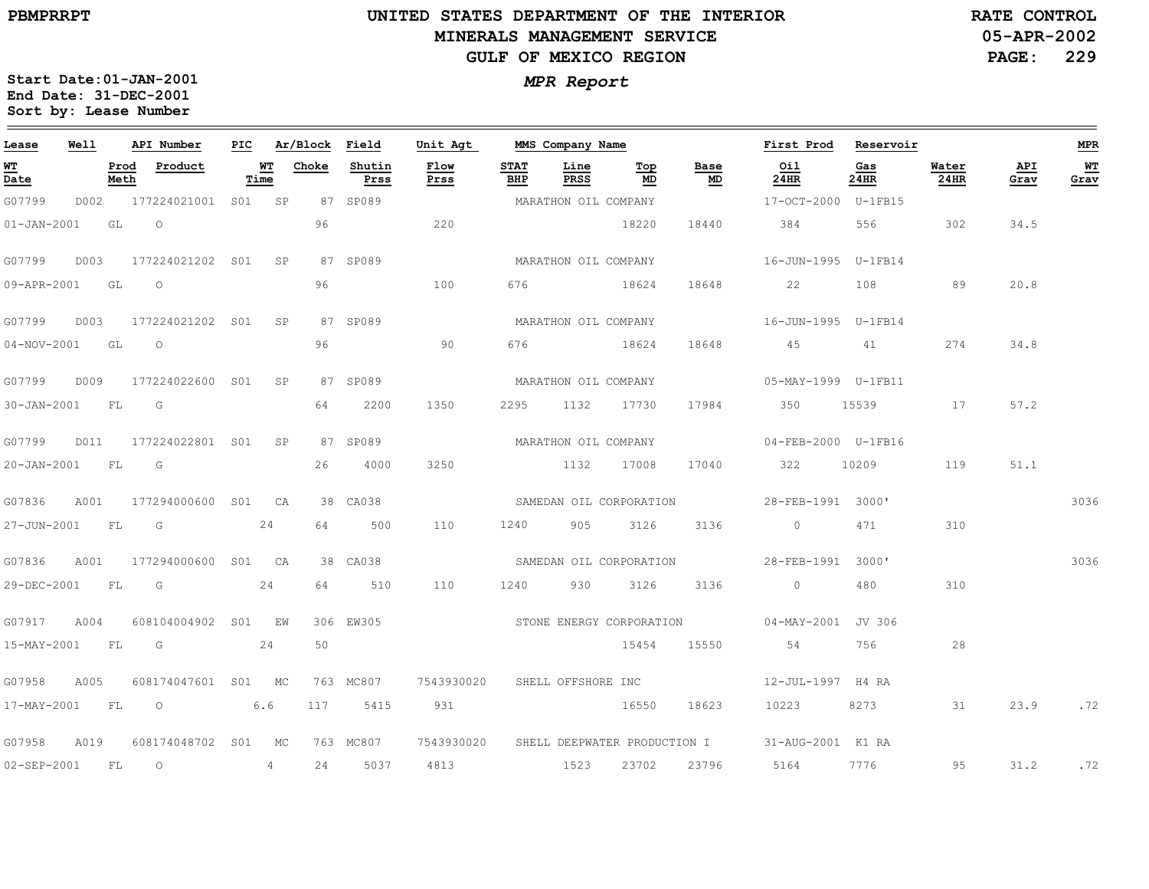$\equiv$ 

# **UNITED STATES DEPARTMENT OF THE INTERIOR MINERALS MANAGEMENT SERVICEGULF OF MEXICO REGION**

**05-APR-2002PAGE: 229 RATE CONTROL**

| Lease                    | Well |              | API Number            | PIC    |                | Ar/Block Field |                | Unit Agt                                |                    | MMS Company Name         |           |            | First Prod             | Reservoir   |               |             | <b>MPR</b> |
|--------------------------|------|--------------|-----------------------|--------|----------------|----------------|----------------|-----------------------------------------|--------------------|--------------------------|-----------|------------|------------------------|-------------|---------------|-------------|------------|
| <u>WT</u><br>Date        |      | Prod<br>Meth | Product               | Time   | <u>WT</u>      | Choke          | Shutin<br>Prss | Flow<br>Prss                            | <b>STAT</b><br>BHP | Line<br>PRSS             | Top<br>MD | Base<br>MD | Oil<br>24HR            | Gas<br>24HR | Water<br>24HR | API<br>Grav | WT<br>Grav |
| G07799                   | D002 |              | 177224021001 S01 SP   |        |                |                | 87 SP089       |                                         |                    | MARATHON OIL COMPANY     |           |            | 17-OCT-2000 U-1FB15    |             |               |             |            |
| $01 - JAN - 2001$        |      | GL           | $\circ$               |        |                | 96             |                | 220                                     |                    |                          | 18220     | 18440      | 384                    | 556         | 302           | 34.5        |            |
| G07799                   | D003 |              | 177224021202 S01      |        | SP             |                | 87 SP089       |                                         |                    | MARATHON OIL COMPANY     |           |            | 16-JUN-1995 U-1FB14    |             |               |             |            |
| 09-APR-2001 GL           |      |              | $\overline{O}$        |        |                | 96             |                | 100                                     | 676                |                          | 18624     | 18648      | 22                     | 108         | 89            | 20.8        |            |
| G07799                   | D003 |              | 177224021202 S01      |        | SP             |                | 87 SP089       |                                         |                    | MARATHON OIL COMPANY     |           |            | 16-JUN-1995    U-1FB14 |             |               |             |            |
| 04-NOV-2001              |      | GL           | $\Omega$              |        |                | 96             |                | 90                                      | 676                |                          | 18624     | 18648      | 45 3                   | 41          | 274           | 34.8        |            |
| G07799                   | D009 |              | 177224022600 S01      |        | SP             |                | 87 SP089       |                                         |                    | MARATHON OIL COMPANY     |           |            | 05-MAY-1999    U-1FB11 |             |               |             |            |
| 30-JAN-2001              |      | <b>FL</b>    | G                     |        |                | 64             | 2200           | 1350                                    | 2295               | 1132                     | 17730     | 17984      | 350                    | 15539       | 17            | 57.2        |            |
| G07799                   |      |              | D011 177224022801 S01 |        | SP             |                | 87 SP089       |                                         |                    | MARATHON OIL COMPANY     |           |            | 04-FEB-2000 U-1FB16    |             |               |             |            |
| 20-JAN-2001 FL           |      |              | G                     |        |                | 26             | 4000           | 3250                                    |                    | 1132                     | 17008     | 17040      | 322                    | 10209       | 119           | 51.1        |            |
| G07836                   | A001 |              | 177294000600 S01 CA   |        |                |                | 38 CA038       |                                         |                    | SAMEDAN OIL CORPORATION  |           |            | 28-FEB-1991 3000'      |             |               |             | 3036       |
| 27-JUN-2001              |      | FL           | G                     |        | 24             | 64             | 500            | 110                                     | 1240               | 905                      | 3126      | 3136       | $\circ$                | 471         | 310           |             |            |
| G07836                   | A001 |              | 177294000600 S01 CA   |        |                |                | 38 CA038       |                                         |                    | SAMEDAN OIL CORPORATION  |           |            | 28-FEB-1991 3000'      |             |               |             | 3036       |
| 29-DEC-2001              |      | FL           | G                     |        | 24             | 64             | 510            | 110                                     | 1240               | 930                      | 3126      | 3136       | $\Omega$               | 480         | 310           |             |            |
| G07917                   | A004 |              | 608104004902          | S01 EW |                |                | 306 EW305      |                                         |                    | STONE ENERGY CORPORATION |           |            | 04-MAY-2001 JV 306     |             |               |             |            |
| $15 - \text{MAX} - 2001$ |      | FL           | G                     |        | 24             | 50             |                |                                         |                    |                          | 15454     | 15550      | 54                     | 756         | 28            |             |            |
| G07958                   | A005 |              | 608174047601 S01 MC   |        |                |                | 763 MC807      | 7543930020 SHELL OFFSHORE INC           |                    |                          |           |            | 12-JUL-1997 H4 RA      |             |               |             |            |
| 17-MAY-2001              |      | FL           | $\overline{O}$        |        | 6.6            | 117            | 5415           | 931                                     |                    |                          | 16550     | 18623      | 10223                  | 8273        | 31            | 23.9        | .72        |
| G07958                   | A019 |              | 608174048702 S01 MC   |        |                |                | 763 MC807      | 7543930020 SHELL DEEPWATER PRODUCTION I |                    |                          |           |            | 31-AUG-2001 K1 RA      |             |               |             |            |
| 02-SEP-2001              |      | FL           | $\circ$               |        | $\overline{4}$ | 24             | 5037           | 4813                                    |                    | 1523                     | 23702     | 23796      | 5164                   | 7776        | 95            | 31.2        | .72        |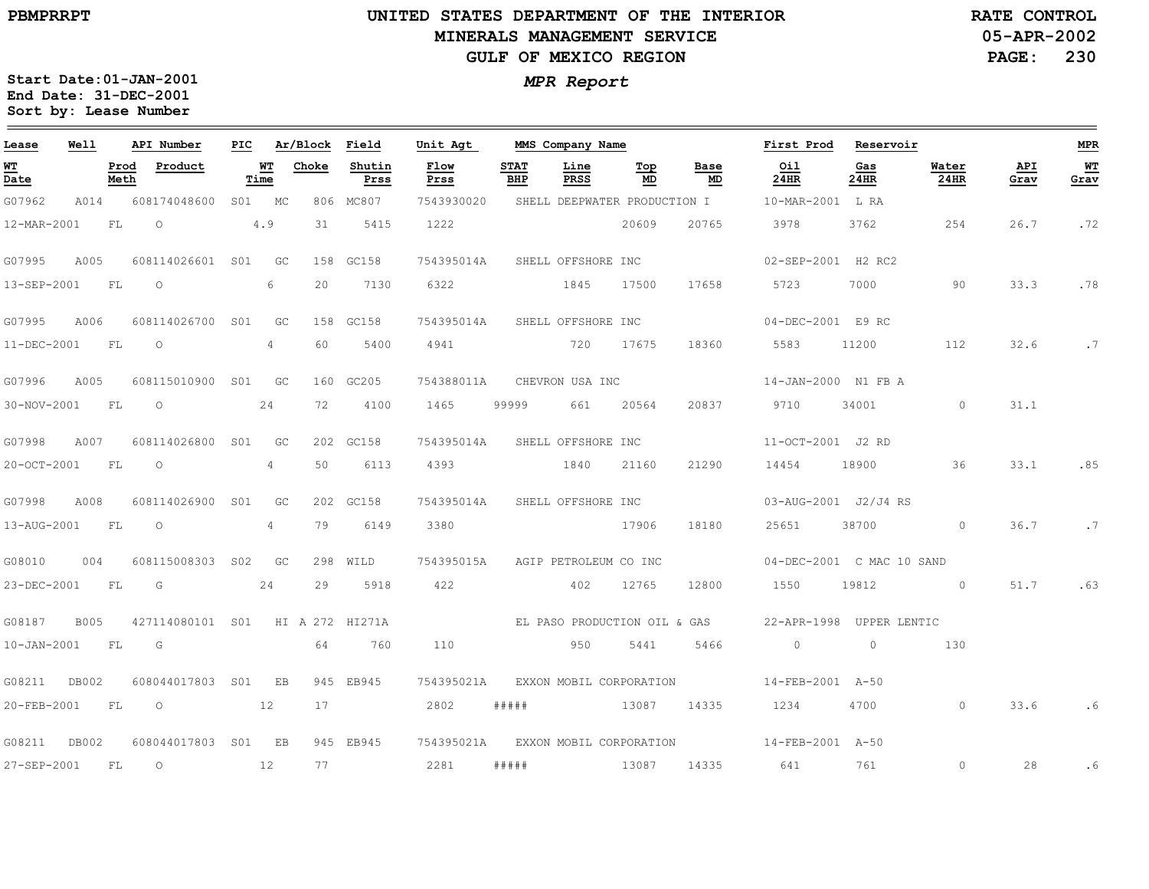$\equiv$ 

27-SEP-2001

FL

O

12

77

2281

#####

1308714335

641

761

0

28

# **UNITED STATES DEPARTMENT OF THE INTERIORMINERALS MANAGEMENT SERVICEGULF OF MEXICO REGION**

**05-APR-2002PAGE: 230 RATE CONTROL**

**MPR**

 $\equiv$ 

**WT Grav**

.72

.78

.7

.85

.7

.63

.6

.6

| Lease                                   | Well        |              | API Number       | PIC             |                | Ar/Block | Field           | Unit Agt     |                              | MMS Company Name      |                              |            | First Prod                | Reservoir   |               |             |
|-----------------------------------------|-------------|--------------|------------------|-----------------|----------------|----------|-----------------|--------------|------------------------------|-----------------------|------------------------------|------------|---------------------------|-------------|---------------|-------------|
| <u>WТ</u><br>$\overline{\mathsf{Date}}$ |             | Prod<br>Meth | Product          |                 | WT<br>Time     | Choke    | Shutin<br>Prss  | Flow<br>Prss | <b>STAT</b><br>BHP           | Line<br>PRSS          | Top<br>MD                    | Base<br>MD | Oil<br>24HR               | Gas<br>24HR | Water<br>24HR | API<br>Grav |
| G07962                                  | A014        |              | 608174048600     |                 | S01 MC         |          | 806 MC807       | 7543930020   |                              |                       | SHELL DEEPWATER PRODUCTION I |            | 10-MAR-2001 L RA          |             |               |             |
| 12-MAR-2001                             |             | FL.          | $\circ$          |                 | 4.9            | 31       | 5415            | 1222         |                              |                       | 20609                        | 20765      | 3978                      | 3762        | 254           | 26.7        |
| G07995                                  | A005        |              | 608114026601     | S <sub>01</sub> | GC             |          | 158 GC158       | 754395014A   |                              | SHELL OFFSHORE INC    |                              |            | 02-SEP-2001 H2 RC2        |             |               |             |
| 13-SEP-2001                             |             | FL           | $\circ$          |                 | 6              | 20       | 7130            | 6322         |                              | 1845                  | 17500                        | 17658      | 5723                      | 7000        | 90            | 33.3        |
| G07995                                  | A006        |              | 608114026700     | S01             | GC             |          | 158 GC158       | 754395014A   |                              | SHELL OFFSHORE INC    |                              |            | 04-DEC-2001 E9 RC         |             |               |             |
| 11-DEC-2001                             |             | FL.          | O                |                 | $\overline{4}$ | 60       | 5400            | 4941         |                              | 720                   | 17675                        | 18360      | 5583                      | 11200       | 112           | 32.6        |
| G07996                                  | A005        |              | 608115010900     | S01             | GC             |          | 160 GC205       | 754388011A   |                              | CHEVRON USA INC       |                              |            | 14-JAN-2000 N1 FB A       |             |               |             |
| 30-NOV-2001                             |             | FL           | $\circ$          |                 | 24             | 72       | 4100            | 1465         | 99999                        | 661                   | 20564                        | 20837      | 9710                      | 34001       | $\Omega$      | 31.1        |
| G07998                                  | A007        |              | 608114026800     | S <sub>01</sub> | GC             |          | 202 GC158       | 754395014A   |                              | SHELL OFFSHORE INC    |                              |            | 11-OCT-2001 J2 RD         |             |               |             |
| 20-OCT-2001                             |             | FL           | $\circ$          |                 | $\overline{4}$ | 50       | 6113            | 4393         |                              | 1840                  | 21160                        | 21290      | 14454                     | 18900       | 36            | 33.1        |
| G07998                                  | A008        |              | 608114026900     | S <sub>01</sub> | GC             |          | 202 GC158       | 754395014A   |                              | SHELL OFFSHORE INC    |                              |            | 03-AUG-2001 J2/J4 RS      |             |               |             |
| 13-AUG-2001                             |             | FL           | $\circ$          |                 | 4              | 79       | 6149            | 3380         |                              |                       | 17906                        | 18180      | 25651                     | 38700       | $\circ$       | 36.7        |
| G08010                                  | 004         |              | 608115008303     | S02             | GC             |          | 298 WILD        | 754395015A   |                              | AGIP PETROLEUM CO INC |                              |            | 04-DEC-2001 C MAC 10 SAND |             |               |             |
| 23-DEC-2001                             |             | FL           | G                |                 | 24             | 29       | 5918            | 422          |                              | 402                   | 12765                        | 12800      | 1550                      | 19812       | $\Omega$      | 51.7        |
| G08187                                  | <b>B005</b> |              | 427114080101 S01 |                 |                |          | HI A 272 HI271A |              | EL PASO PRODUCTION OIL & GAS |                       |                              |            | 22-APR-1998 UPPER LENTIC  |             |               |             |
| 10-JAN-2001                             |             | FL.          | G                |                 |                | 64       | 760             | 110          |                              | 950                   | 5441                         | 5466       | $\circ$                   | $\circ$     | 130           |             |
| G08211                                  | DB002       |              | 608044017803     | SO1             | EB             | 945      | EB945           | 754395021A   |                              |                       | EXXON MOBIL CORPORATION      |            | 14-FEB-2001 A-50          |             |               |             |
| 20-FEB-2001                             |             | FL.          | $\circ$<br>12    |                 |                | 17       |                 | 2802         | #####                        |                       | 13087                        | 14335      | 1234                      | 4700        | $\Omega$      | 33.6        |
| G08211                                  | DB002       |              | 608044017803 S01 |                 | EB             |          | 945 EB945       | 754395021A   |                              |                       | EXXON MOBIL CORPORATION      |            | 14-FEB-2001 A-50          |             |               |             |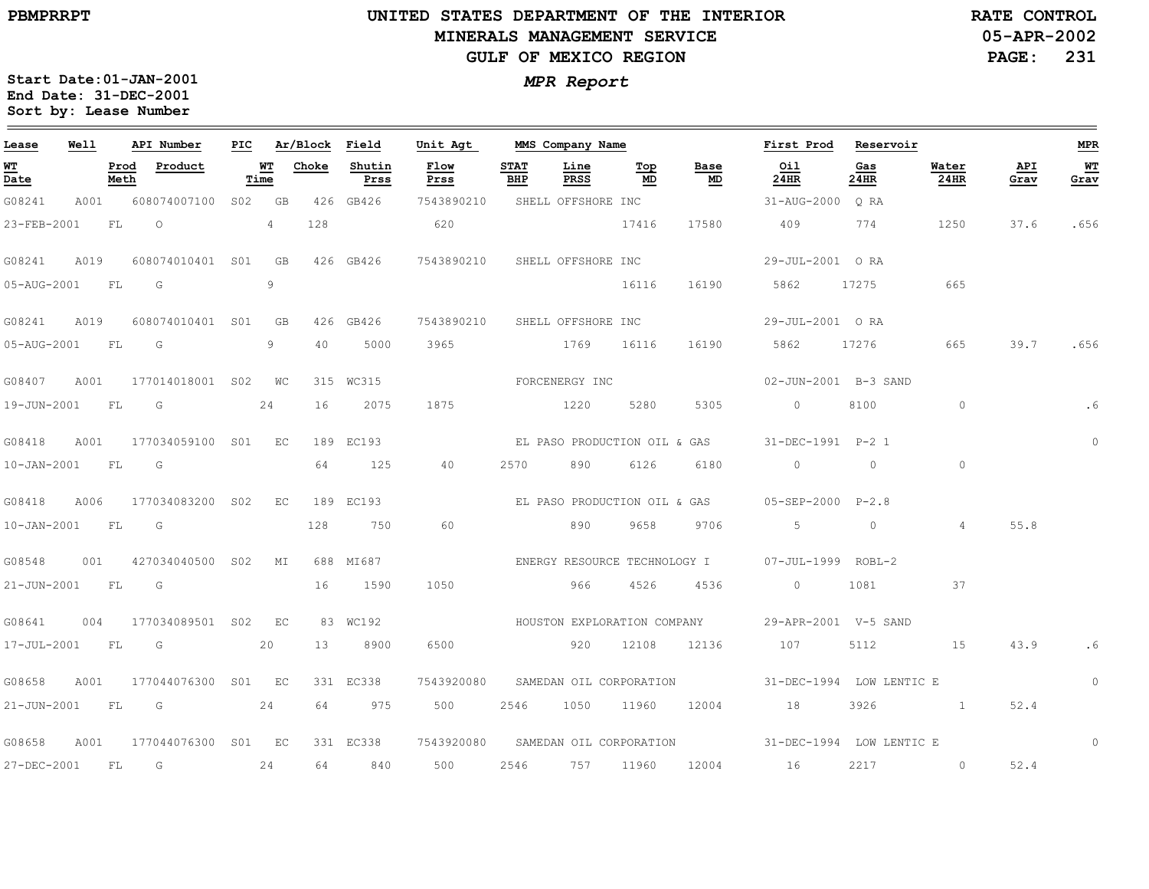## **UNITED STATES DEPARTMENT OF THE INTERIOR MINERALS MANAGEMENT SERVICEGULF OF MEXICO REGION**

**05-APR-2002RATE CONTROL**

**PAGE: 231**

| Lease             | Well |              | API Number           | PIC |            | Ar/Block Field |                | Unit Agt                           |                    | MMS Company Name        |           |                                   | First Prod Reservoir                            |                          |               |             | ${\tt MPR}$ |
|-------------------|------|--------------|----------------------|-----|------------|----------------|----------------|------------------------------------|--------------------|-------------------------|-----------|-----------------------------------|-------------------------------------------------|--------------------------|---------------|-------------|-------------|
| WT<br>Date        |      | Prod<br>Meth | Product              |     | WT<br>Time | Choke          | Shutin<br>Prss | Flow<br>Prss                       | <b>STAT</b><br>BHP | Line<br>PRSS            | Top<br>MD | Base<br>$\underline{\mathsf{MD}}$ | Oil<br>24HR                                     | Gas<br>24HR              | Water<br>24HR | API<br>Grav | WT<br>Grav  |
| G08241            | A001 |              | 608074007100         |     | S02 GB     |                | 426 GB426      | 7543890210                         |                    | SHELL OFFSHORE INC      |           |                                   | 31-AUG-2000 ORA                                 |                          |               |             |             |
| 23-FEB-2001       |      | FL           | $\circ$              |     | 4          | 128            |                | 620                                |                    |                         | 17416     | 17580                             | 409                                             | 774                      | 1250          | 37.6        | .656        |
| G08241            | A019 |              | 608074010401 S01 GB  |     |            |                | 426 GB426      | 7543890210 SHELL OFFSHORE INC      |                    |                         |           |                                   | 29-JUL-2001 ORA                                 |                          |               |             |             |
| 05-AUG-2001       |      | FL           | $\overline{G}$       |     | 9          |                |                |                                    |                    |                         | 16116     | 16190                             | 5862 17275                                      |                          | 665           |             |             |
| G08241            | A019 |              | 608074010401 S01     |     | GB         |                | 426 GB426      | 7543890210                         |                    | SHELL OFFSHORE INC      |           |                                   | 29-JUL-2001 ORA                                 |                          |               |             |             |
| 05-AUG-2001       |      | FL           | $\overline{G}$       |     | 9          | 40             | 5000           | 3965                               |                    | 1769 16116              |           | 16190                             | 5862                                            | 17276                    | 665           | 39.7        | .656        |
| G08407            | A001 |              | 177014018001 S02 WC  |     |            |                | 315 WC315      |                                    |                    | FORCENERGY INC          |           |                                   | 02-JUN-2001 B-3 SAND                            |                          |               |             |             |
| 19-JUN-2001       |      | FL           | G                    |     | 24         | 16             | 2075           | 1875                               |                    | 1220                    | 5280      | 5305                              | $\overline{0}$                                  | 8100                     | $\circ$       |             | .6          |
| G08418            | A001 |              | 177034059100 S01 EC  |     |            |                | 189 EC193      |                                    |                    |                         |           | EL PASO PRODUCTION OIL & GAS      | 31-DEC-1991 P-2 1                               |                          |               |             | $\circ$     |
| $10 - JAN - 2001$ |      | FL.          | G                    |     |            | 64             | 125            | 40                                 | 2570               | 890                     | 6126      | 6180                              | $\overline{0}$                                  | $\circ$                  | $\circ$       |             |             |
| G08418            | A006 |              | 177034083200 S02     |     | EC         |                | 189 EC193      |                                    |                    |                         |           | EL PASO PRODUCTION OIL & GAS      | 05-SEP-2000 P-2.8                               |                          |               |             |             |
| $10 - JAN - 2001$ |      | FL           | G                    |     |            | 128            | 750            | 60                                 |                    | 890                     | 9658      | 9706                              | 5                                               | $\circ$                  | 4             | 55.8        |             |
| G08548            |      |              | 001 427034040500 S02 |     | MI         |                | 688 MI687      |                                    |                    |                         |           |                                   | ENERGY RESOURCE TECHNOLOGY I 07-JUL-1999 ROBL-2 |                          |               |             |             |
| 21-JUN-2001 FL    |      |              | G                    |     |            | 16             | 1590           | 1050                               |                    | 966                     | 4526      | 4536                              | $\overline{0}$                                  | 1081                     | 37            |             |             |
| G08641            | 004  |              | 177034089501 S02     |     | EC         |                | 83 WC192       |                                    |                    |                         |           | HOUSTON EXPLORATION COMPANY       | 29-APR-2001 V-5 SAND                            |                          |               |             |             |
| 17-JUL-2001       |      | FL           | G                    |     | 20         | 13             | 8900           | 6500                               |                    | 920 12108               |           | 12136                             | 107                                             | 5112                     | 15            | 43.9        | . 6         |
| G08658            | A001 |              | 177044076300         | S01 | EC         |                | 331 EC338      | 7543920080                         |                    | SAMEDAN OIL CORPORATION |           |                                   |                                                 | 31-DEC-1994 LOW LENTIC E |               |             | $\circ$     |
| 21-JUN-2001       |      | <b>FL</b>    | $\overline{G}$       |     | 24         | 64             | 975            | 500                                | 2546               | 1050 11960              |           | 12004                             | 18                                              | 3926                     |               | 52.4        |             |
| G08658            | A001 |              | 177044076300 S01 EC  |     |            |                | 331 EC338      | 7543920080 SAMEDAN OIL CORPORATION |                    |                         |           |                                   |                                                 | 31-DEC-1994 LOW LENTIC E |               |             | $\circ$     |
| 27-DEC-2001       |      | FL           | G                    |     | 24         | 64             | 840            | 500                                | 2546               | 757 11960               |           | 12004                             | 16                                              | 2217                     | $\circ$       | 52.4        |             |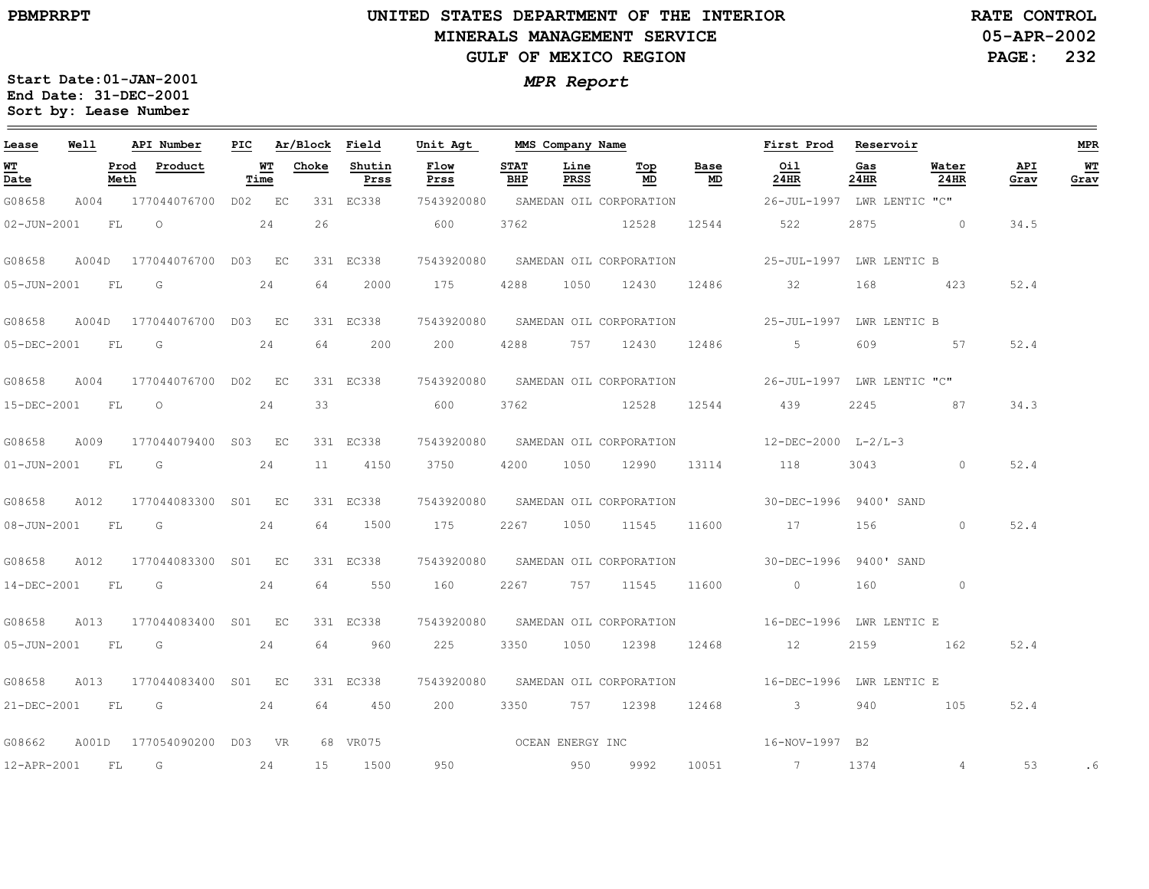### **UNITED STATES DEPARTMENT OF THE INTERIOR MINERALS MANAGEMENT SERVICEGULF OF MEXICO REGION**

**05-APR-2002PAGE: 232 RATE CONTROL**

| Lease             | Well  |              | API Number                | PIC |            | Ar/Block | Field          | Unit Agt         |                    | MMS Company Name |                                    |            | First Prod                                         | Reservoir   |                   |             | <b>MPR</b> |
|-------------------|-------|--------------|---------------------------|-----|------------|----------|----------------|------------------|--------------------|------------------|------------------------------------|------------|----------------------------------------------------|-------------|-------------------|-------------|------------|
| WT<br>Date        |       | Prod<br>Meth | Product                   |     | WТ<br>Time | Choke    | Shutin<br>Prss | Flow<br>Prss     | <b>STAT</b><br>BHP | Line<br>PRSS     | Top<br>MD                          | Base<br>MD | Oil<br>24HR                                        | Gas<br>24HR | Water<br>24HR     | API<br>Grav | WT<br>Grav |
| G08658            | A004  |              | 177044076700 D02 EC       |     |            |          | 331 EC338      | 7543920080       |                    |                  | SAMEDAN OIL CORPORATION            |            | 26-JUL-1997 LWR LENTIC "C"                         |             |                   |             |            |
| $02 - JUN - 2001$ |       | FL           | $\circ$                   |     | 24         | 26       |                | 600              | 3762               |                  | 12528                              | 12544      | 522                                                | 2875        | $\sim$ 0 $\sim$ 0 | 34.5        |            |
| G08658            |       |              | A004D 177044076700 D03 EC |     |            |          | 331 EC338      |                  |                    |                  | 7543920080 SAMEDAN OIL CORPORATION |            | 25-JUL-1997 LWR LENTIC B                           |             |                   |             |            |
| 05-JUN-2001       |       | FL           | G                         |     | 24         | 64       | 2000           | 175              | 4288               | 1050             | 12430                              | 12486      | 32                                                 | 168         | 423               | 52.4        |            |
| G08658            |       |              | A004D 177044076700 D03 EC |     |            |          | 331 EC338      |                  |                    |                  | 7543920080 SAMEDAN OIL CORPORATION |            | 25-JUL-1997 LWR LENTIC B                           |             |                   |             |            |
| 05-DEC-2001       |       | FL           | $\overline{\mathbb{G}}$   |     | 24         | 64       | 200            | 200              | 4288               |                  | 757 12430                          | 12486      | $5\overline{)}$                                    | 609         | 57                | 52.4        |            |
| G08658            | A004  |              | 177044076700 D02 EC       |     |            |          | 331 EC338      |                  |                    |                  | 7543920080 SAMEDAN OIL CORPORATION |            | 26-JUL-1997 LWR LENTIC "C"                         |             |                   |             |            |
| 15-DEC-2001       |       | FL           | $\circ$                   |     | 24         | 33       |                | 600              | 3762               |                  | 12528                              | 12544      | 439                                                | 2245        | 87                | 34.3        |            |
| G08658            | A009  |              | 177044079400 S03 EC       |     |            |          | 331 EC338      |                  |                    |                  | 7543920080 SAMEDAN OIL CORPORATION |            | $12 - DEC - 2000$ $L - 2/L - 3$                    |             |                   |             |            |
| 01-JUN-2001       |       | FL           | $\overline{\mathsf{G}}$   |     | 24         | 11       | 4150           | 3750             | 4200               |                  | 1050 12990                         | 13114      | 118                                                | 3043 200    | $\circ$           | 52.4        |            |
| G08658            | A012  |              | 177044083300 S01 EC       |     |            |          | 331 EC338      |                  |                    |                  | 7543920080 SAMEDAN OIL CORPORATION |            | 30-DEC-1996 9400' SAND                             |             |                   |             |            |
| 08-JUN-2001       |       | FL           | G                         |     | 24         | 64       | 1500           | 175              | 2267               | 1050             | 11545                              | 11600      | 17                                                 | 156         | $\circ$           | 52.4        |            |
| G08658            | A012  |              | 177044083300 S01 EC       |     |            |          | 331 EC338      |                  |                    |                  | 7543920080 SAMEDAN OIL CORPORATION |            | 30-DEC-1996 9400' SAND                             |             |                   |             |            |
| 14-DEC-2001       |       | FL           | $\overline{\mathbb{G}}$   |     | 24         | 64       | 550            | 160              | 2267               |                  | 757 11545                          | 11600      | $\overline{0}$                                     | 160         | $\circ$           |             |            |
| G08658            | A013  |              | 177044083400 S01 EC       |     |            |          | 331 EC338      | 7543920080       |                    |                  |                                    |            | SAMEDAN OIL CORPORATION 6 16-DEC-1996 LWR LENTIC E |             |                   |             |            |
| $05 - JUN - 2001$ |       | FL           | $\overline{G}$            |     | 24         | 64       | 960            | 225              | 3350               | 1050             | 12398                              | 12468      | 12                                                 | 2159        | 162               | 52.4        |            |
| G08658            | A013  |              | 177044083400 S01 EC       |     |            |          | 331 EC338      | 7543920080       |                    |                  | SAMEDAN OIL CORPORATION            |            | 16-DEC-1996 LWR LENTIC E                           |             |                   |             |            |
| 21-DEC-2001       |       | FL           | G                         |     | 24         | 64       | 450            | 200              | 3350               |                  | 757 12398                          | 12468      | $\sim$ 3                                           | 940         | 105               | 52.4        |            |
| G08662            | A001D |              | 177054090200 d03 vr       |     |            |          | 68 VR075       | OCEAN ENERGY INC |                    |                  |                                    |            | 16-NOV-1997 B2                                     |             |                   |             |            |
| 12-APR-2001       |       | FL           | G                         |     | 24         | 15       | 1500           | 950              |                    | 950              | 9992                               | 10051      | $\overline{7}$                                     | 1374        | 4                 | 53          | . 6        |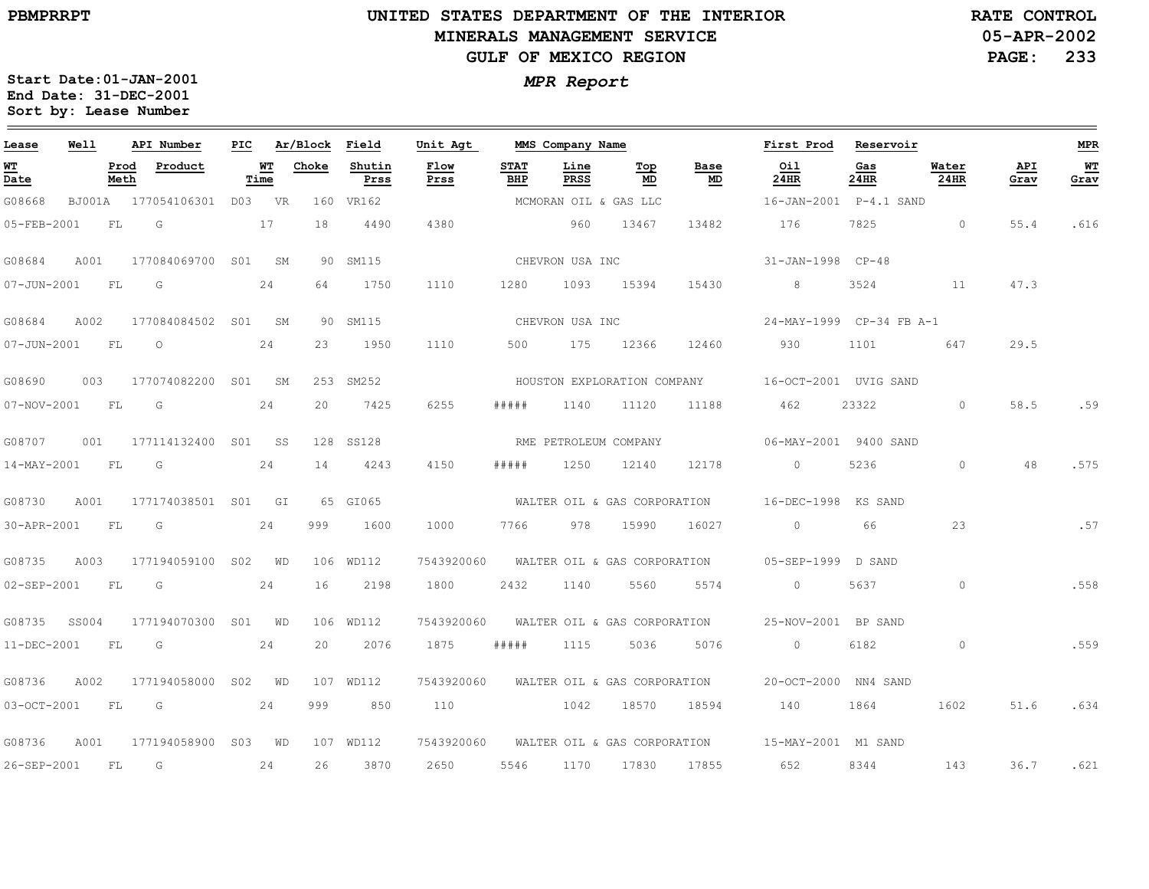$\equiv$ 

# **UNITED STATES DEPARTMENT OF THE INTERIOR MINERALS MANAGEMENT SERVICEGULF OF MEXICO REGION**

**05-APR-2002PAGE: 233 RATE CONTROL**

| Lease                          | Well   |              | API Number       | PIC |            | Ar/Block | Field          | Unit Agt     |                    | MMS Company Name      |                              |            | First Prod                | Reservoir   |               |             | MPR         |
|--------------------------------|--------|--------------|------------------|-----|------------|----------|----------------|--------------|--------------------|-----------------------|------------------------------|------------|---------------------------|-------------|---------------|-------------|-------------|
| WТ<br>$\overline{\text{Date}}$ |        | Prod<br>Meth | Product          |     | WТ<br>Time | Choke    | Shutin<br>Prss | Flow<br>Prss | <b>STAT</b><br>BHP | Line<br>PRSS          | Top<br>MD                    | Base<br>MD | Oil<br>24HR               | Gas<br>24HR | Water<br>24HR | API<br>Grav | $W$<br>Grav |
| G08668                         | BJ001A |              | 177054106301     |     | D03 VR     | 160      | VR162          |              |                    | MCMORAN OIL & GAS LLC |                              |            | 16-JAN-2001    P-4.1 SAND |             |               |             |             |
| 05-FEB-2001                    |        | FL           | G                |     | 17         | 18       | 4490           | 4380         |                    | 960                   | 13467                        | 13482      | 176                       | 7825        | $\circ$       | 55.4        | .616        |
| G08684                         | A001   |              | 177084069700 S01 |     | SM         | 90       | SM115          |              |                    | CHEVRON USA INC       |                              |            | 31-JAN-1998 CP-48         |             |               |             |             |
| $07 - JUN - 2001$              |        | FL           | G                |     | 24         | 64       | 1750           | 1110         | 1280               | 1093                  | 15394                        | 15430      | 8                         | 3524        | 11            | 47.3        |             |
| G08684                         | A002   |              | 177084084502 S01 |     | SM         |          | 90 SM115       |              |                    | CHEVRON USA INC       |                              |            | 24-MAY-1999 CP-34 FB A-1  |             |               |             |             |
| 07-JUN-2001                    |        | FL           | $\circ$          |     | 24         | 23       | 1950           | 1110         | 500                | 175                   | 12366                        | 12460      | 930                       | 1101        | 647           | 29.5        |             |
| G08690                         | 003    |              | 177074082200     | S01 | SM         |          | 253 SM252      |              |                    |                       | HOUSTON EXPLORATION COMPANY  |            | 16-OCT-2001 UVIG SAND     |             |               |             |             |
| 07-NOV-2001                    |        | FL           | G                |     | 24         | 20       | 7425           | 6255         | #####              | 1140                  | 11120                        | 11188      | 462                       | 23322       | $\circ$       | 58.5        | .59         |
| G08707                         | 001    |              | 177114132400 S01 |     | SS         | 128      | SS128          |              |                    | RME PETROLEUM COMPANY |                              |            | 06-MAY-2001 9400 SAND     |             |               |             |             |
| 14-MAY-2001                    |        | FL           | G                |     | 24         | 14       | 4243           | 4150         | #####              | 1250                  | 12140                        | 12178      | $\circ$                   | 5236        | $\circ$       | 48          | .575        |
| G08730                         | A001   |              | 177174038501 S01 |     | GI         |          | 65 GI065       |              |                    |                       | WALTER OIL & GAS CORPORATION |            | 16-DEC-1998               | KS SAND     |               |             |             |
| 30-APR-2001                    |        | FL           | G                |     | 24         | 999      | 1600           | 1000         | 7766               | 978                   | 15990                        | 16027      | $\circ$                   | 66          | 23            |             | .57         |
| G08735                         | A003   |              | 177194059100 SO2 |     | WD         | 106      | WD112          | 7543920060   |                    |                       | WALTER OIL & GAS CORPORATION |            | 05-SEP-1999               | D SAND      |               |             |             |
| 02-SEP-2001                    |        | FL           | G                |     | 24         | 16       | 2198           | 1800         | 2432               | 1140                  | 5560                         | 5574       | $\circ$                   | 5637        | $\circ$       |             | .558        |
| G08735                         | SS004  |              | 177194070300     | S01 | WD         |          | 106 WD112      | 7543920060   |                    |                       | WALTER OIL & GAS CORPORATION |            | 25-NOV-2001 BP SAND       |             |               |             |             |
| 11-DEC-2001                    |        | ${\rm FL}$   | G                |     | 24         | 20       | 2076           | 1875         | # # # # #          | 1115                  | 5036                         | 5076       | $\circ$                   | 6182        | $\circ$       |             | .559        |
| G08736                         | A002   |              | 177194058000     | S02 | WD         |          | 107 WD112      | 7543920060   |                    |                       | WALTER OIL & GAS CORPORATION |            | 20-OCT-2000               | NN4 SAND    |               |             |             |
| 03-OCT-2001                    |        | FL.          | G                |     | 24         | 999      | 850            | 110          |                    | 1042                  | 18570                        | 18594      | 140                       | 1864        | 1602          | 51.6        | .634        |
| G08736                         | A001   |              | 177194058900     | S03 | WD         |          | 107 WD112      | 7543920060   |                    |                       | WALTER OIL & GAS CORPORATION |            | 15-MAY-2001 M1 SAND       |             |               |             |             |
| 26-SEP-2001                    |        | FL           | G                |     | 24         | 26       | 3870           | 2650         | 5546               | 1170                  | 17830                        | 17855      | 652                       | 8344        | 143           | 36.7        | .621        |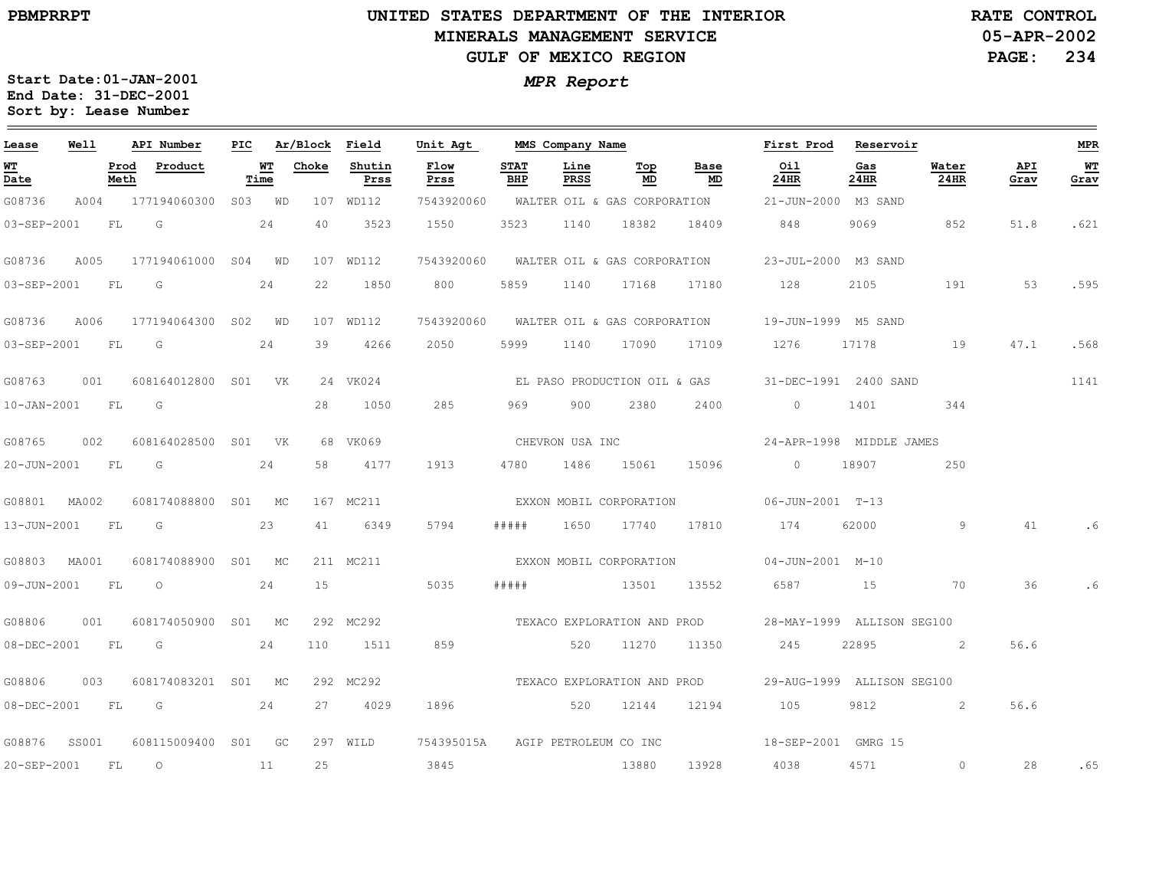### **UNITED STATES DEPARTMENT OF THE INTERIOR MINERALS MANAGEMENT SERVICEGULF OF MEXICO REGION**

**05-APR-2002PAGE: 234 RATE CONTROL**

| Lease       | <b>Well</b>      |              | API Number               |                   | PIC Ar/Block Field |                | Unit Agt                         | MMS Company Name   |              |                              |                             | First Prod Reservoir                                        |             |               |             | <b>MPR</b> |
|-------------|------------------|--------------|--------------------------|-------------------|--------------------|----------------|----------------------------------|--------------------|--------------|------------------------------|-----------------------------|-------------------------------------------------------------|-------------|---------------|-------------|------------|
| WT<br>Date  |                  | Prod<br>Meth | Product                  | <b>WT</b><br>Time | Choke              | Shutin<br>Prss | Flow<br>Prss                     | <b>STAT</b><br>BHP | Line<br>PRSS | Тор<br>MD                    | Base<br>MD                  | Oil<br>24HR                                                 | Gas<br>24HR | Water<br>24HR | API<br>Grav | WT<br>Grav |
| G08736      |                  |              | A004 177194060300 S03 WD |                   |                    | 107 WD112      |                                  |                    |              |                              |                             | 7543920060 WALTER OIL & GAS CORPORATION 21-JUN-2000 M3 SAND |             |               |             |            |
| 03-SEP-2001 |                  | FL           | $\overline{\mathbb{G}}$  | 24                | 40                 | 3523           | 1550                             | 3523               | 1140         | 18382                        | 18409                       | 848                                                         | 9069        | 852           | 51.8        | .621       |
| G08736      | A005             |              | 177194061000 S04 WD      |                   |                    | 107 WD112      | 7543920060                       |                    |              | WALTER OIL & GAS CORPORATION |                             | 23-JUL-2000 M3 SAND                                         |             |               |             |            |
|             | 03-SEP-2001 FL G |              |                          | 24                | 22                 | 1850           | 800                              | 5859               | 1140         | 17168                        | 17180                       | 128                                                         | 2105        | 191           | 53          | .595       |
| G08736      | A006             |              | 177194064300 SO2 WD      |                   |                    | 107 WD112      |                                  |                    |              |                              |                             | 7543920060 WALTER OIL & GAS CORPORATION 19-JUN-1999 M5 SAND |             |               |             |            |
|             | 03-SEP-2001 FL G |              |                          | 24                | 39                 | 4266           | 2050                             | 5999               |              |                              | 1140 17090 17109            | 1276                                                        |             | 17178 19      | 47.1        | .568       |
| G08763      | 001              |              | 608164012800 S01 VK      |                   |                    | 24 VK024       |                                  |                    |              |                              |                             | EL PASO PRODUCTION OIL & GAS 31-DEC-1991 2400 SAND          |             |               |             | 1141       |
|             | 10-JAN-2001 FL G |              |                          |                   | 28                 | 1050           | 285                              | 969                | 900          | 2380                         | 2400                        | $\circ$                                                     | 1401        | 344           |             |            |
|             |                  |              |                          |                   |                    | 68 VK069       |                                  | CHEVRON USA INC    |              |                              |                             | 24-APR-1998 MIDDLE JAMES                                    |             |               |             |            |
|             | 20-JUN-2001 FL   |              | $\overline{\mathsf{G}}$  | 24                | 58                 | 4177           | 1913                             |                    |              | 4780 1486 15061              | 15096                       | 0 18907                                                     |             | 250           |             |            |
|             | G08801 MA002     |              | 608174088800 S01 MC      |                   |                    | 167 MC211      |                                  |                    |              | EXXON MOBIL CORPORATION      |                             | 06-JUN-2001 T-13                                            |             |               |             |            |
| 13-JUN-2001 |                  | FL           | G                        | 23                | 41                 | 6349           | 5794                             | # # # # #          |              | 1650 17740                   | 17810                       | 174                                                         | 62000       | 9             | 41          |            |
|             | G08803 MA001     |              | 608174088900 S01 MC      |                   |                    | 211 MC211      |                                  |                    |              | EXXON MOBIL CORPORATION      |                             | 04-JUN-2001 M-10                                            |             |               |             |            |
|             | 09-JUN-2001 FL   |              | $\overline{O}$           | 24                | 15                 |                | 5035                             | # # # # #          |              | 13501                        | 13552                       | 6587 15                                                     |             | 70            | 36          |            |
| G08806      | 001              |              | 608174050900 S01 MC      |                   |                    | 292 MC292      |                                  |                    |              |                              | TEXACO EXPLORATION AND PROD | 28-MAY-1999 ALLISON SEG100                                  |             |               |             |            |
| 08-DEC-2001 |                  | <b>FL</b>    | $\overline{G}$           | 24                | 110                | 1511           | 859                              |                    |              | 520 11270                    | 11350                       | 245                                                         | 22895       | $\sim$ 2      | 56.6        |            |
| G08806      | 003              |              | 608174083201 S01 MC      |                   |                    | 292 MC292      |                                  |                    |              |                              | TEXACO EXPLORATION AND PROD | 29-AUG-1999 ALLISON SEG100                                  |             |               |             |            |
|             | 08-DEC-2001 FL G |              |                          | 24                |                    | 27 4029        | 1896                             | 520 12144          |              |                              | 12194                       | 105                                                         |             | 9812 2        | 56.6        |            |
|             | G08876 SS001     |              | 608115009400 S01 GC      |                   |                    | 297 WILD       | 754395015A AGIP PETROLEUM CO INC |                    |              |                              |                             | 18-SEP-2001 GMRG 15                                         |             |               |             |            |
| 20-SEP-2001 |                  | FL           | $\overline{O}$           | 11                | 25                 |                | 3845                             |                    |              | 13880                        | 13928                       | 4038                                                        | 4571        | $\circ$       | 28          | .65        |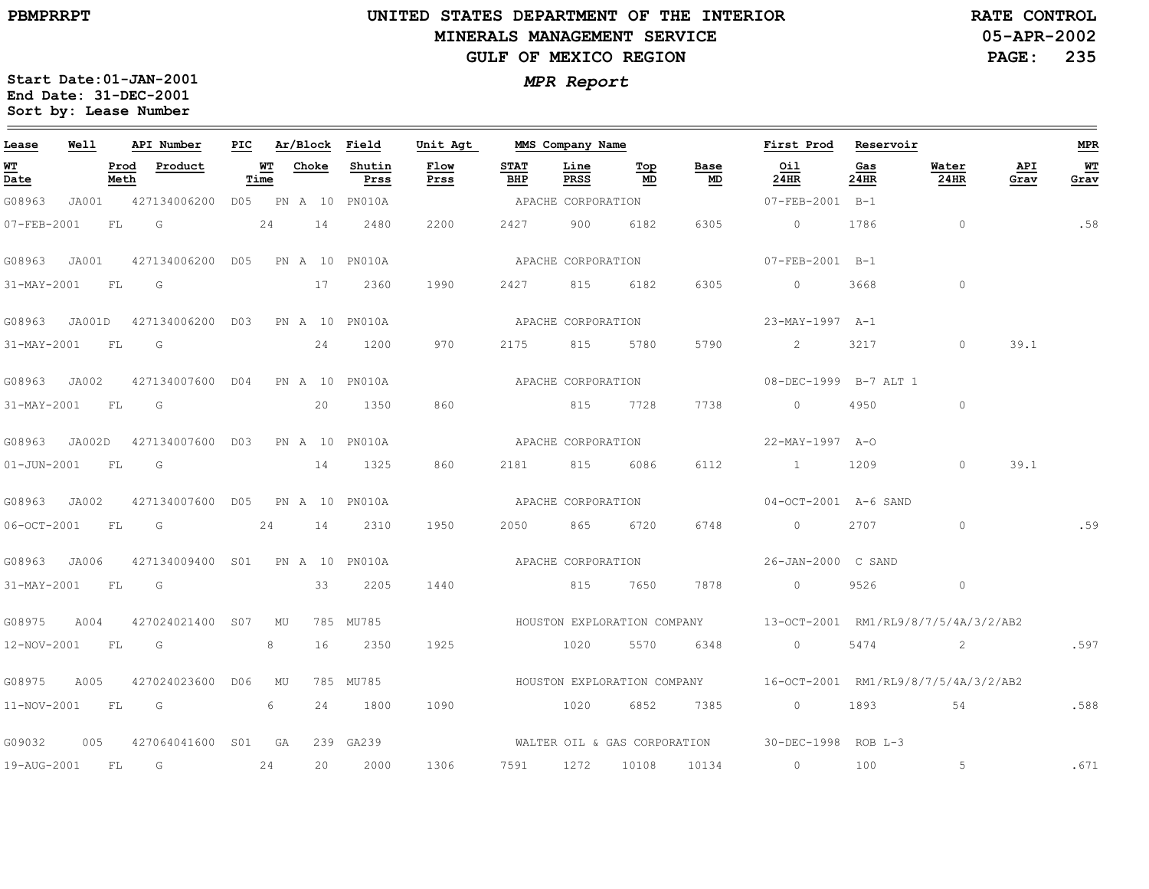### **UNITED STATES DEPARTMENT OF THE INTERIOR MINERALS MANAGEMENT SERVICEGULF OF MEXICO REGION**

**05-APR-2002PAGE: 235 RATE CONTROL**

| Lease             | Well  |              | API Number                                    |            |       | PIC Ar/Block Field | Unit Agt           |                    | MMS Company Name   |           |            | First Prod Reservoir                                                |             |                |             | MPR        |
|-------------------|-------|--------------|-----------------------------------------------|------------|-------|--------------------|--------------------|--------------------|--------------------|-----------|------------|---------------------------------------------------------------------|-------------|----------------|-------------|------------|
| <u>WT</u><br>Date |       | Prod<br>Meth | Product                                       | WТ<br>Time | Choke | Shutin<br>Prss     | Flow<br>Prss       | <b>STAT</b><br>BHP | Line<br>PRSS       | Top<br>MD | Base<br>MD | Oil<br>24HR                                                         | Gas<br>24HR | Water<br>24HR  | API<br>Grav | WT<br>Grav |
| G08963            | JA001 |              | 427134006200 D05 PN A 10 PN010A               |            |       |                    |                    |                    | APACHE CORPORATION |           |            | 07-FEB-2001 B-1                                                     |             |                |             |            |
| 07-FEB-2001       |       | FL           | G<br>24                                       |            | 14    | 2480               | 2200               | 2427               | 900                | 6182      | 6305       | $\overline{0}$                                                      | 1786        | $\overline{0}$ |             | .58        |
| G08963            | JA001 |              | 427134006200 D05 PN A 10 PN010A               |            |       |                    |                    |                    | APACHE CORPORATION |           |            | 07-FEB-2001 B-1                                                     |             |                |             |            |
| 31-MAY-2001       |       | FL           | G                                             |            | 17    | 2360               | 1990               | 2427               | 815                | 6182      | 6305       | $\circ$                                                             | 3668        | $\circ$        |             |            |
|                   |       |              | G08963 JA001D 427134006200 D03 PN A 10 PN010A |            |       |                    |                    |                    | APACHE CORPORATION |           |            | 23-MAY-1997 A-1                                                     |             |                |             |            |
| 31-MAY-2001 FL    |       |              | G                                             |            | 24    | 1200               | 970                |                    | 2175 815           | 5780      | 5790       | $\sim$ 2                                                            | 3217        | $\circ$        | 39.1        |            |
| G08963 JA002      |       |              | 427134007600 D04 PN A 10 PN010A               |            |       |                    |                    |                    | APACHE CORPORATION |           |            | 08-DEC-1999 B-7 ALT 1                                               |             |                |             |            |
| 31-MAY-2001       |       | FL G         |                                               |            | 20    | 1350               | 860                |                    |                    | 815 7728  | 7738       | $\Omega$                                                            | 4950        | $\circ$        |             |            |
|                   |       |              | G08963 JA002D 427134007600 D03 PN A 10 PN010A |            |       |                    |                    |                    | APACHE CORPORATION |           |            | 22-MAY-1997 A-O                                                     |             |                |             |            |
| 01-JUN-2001 FL G  |       |              |                                               |            |       | 14 1325            | 860                |                    | 2181 815           | 6086      | 6112       | 1 1209                                                              |             | $\circ$        | 39.1        |            |
| G08963 JA002      |       |              | 427134007600 D05 PN A 10 PN010A               |            |       |                    | APACHE CORPORATION |                    |                    |           |            | 04-OCT-2001 A-6 SAND                                                |             |                |             |            |
| 06-OCT-2001       |       | <b>FL</b>    | $\overline{G}$                                | 24         | 14    | 2310               | 1950               | 2050               | 865 — 10           | 6720      | 6748       | $\circ$                                                             | 2707        | $\circ$        |             | .59        |
| G08963 JA006      |       |              | 427134009400 S01 PN A 10 PN010A               |            |       |                    | APACHE CORPORATION |                    |                    |           |            | 26-JAN-2000 C SAND                                                  |             |                |             |            |
| 31-MAY-2001 FL G  |       |              |                                               |            | 33    | 2205               | 1440               |                    | 815 7650           |           | 7878       | $\overline{0}$                                                      | 9526        | $\circ$        |             |            |
| G08975            | A004  |              | 427024021400 S07 MU                           |            |       | 785 MU785          |                    |                    |                    |           |            | HOUSTON EXPLORATION COMPANY 13-OCT-2001 RM1/RL9/8/7/5/4A/3/2/AB2    |             |                |             |            |
| 12-NOV-2001 FL    |       |              | $\overline{\mathbb{G}}$                       | 8          | 16    | 2350               | 1925               |                    | 1020               |           | 5570 6348  | $\overline{0}$                                                      | 5474        | 2              |             | .597       |
| G08975            | A005  |              | 427024023600 D06 MU                           |            |       | 785 MU785          |                    |                    |                    |           |            | HOUSTON EXPLORATION COMPANY $16-0$ CT-2001 RM1/RL9/8/7/5/4A/3/2/AB2 |             |                |             |            |
|                   |       |              | 11-NOV-2001 FL G                              | 6          | 24    | 1800               | 1090               |                    | 1020               |           | 6852 7385  | $\overline{0}$                                                      |             | 1893 54        |             | .588       |
| G09032            | 005   |              | 427064041600 S01 GA                           |            |       | 239 GA239          |                    |                    |                    |           |            | WALTER OIL & GAS CORPORATION 30-DEC-1998 ROB L-3                    |             |                |             |            |
| 19-AUG-2001 FL    |       |              | G                                             | 24         | 20    | 2000               | 1306               |                    |                    |           |            | 7591 1272 10108 10134 0                                             | 100         | 5              |             | .671       |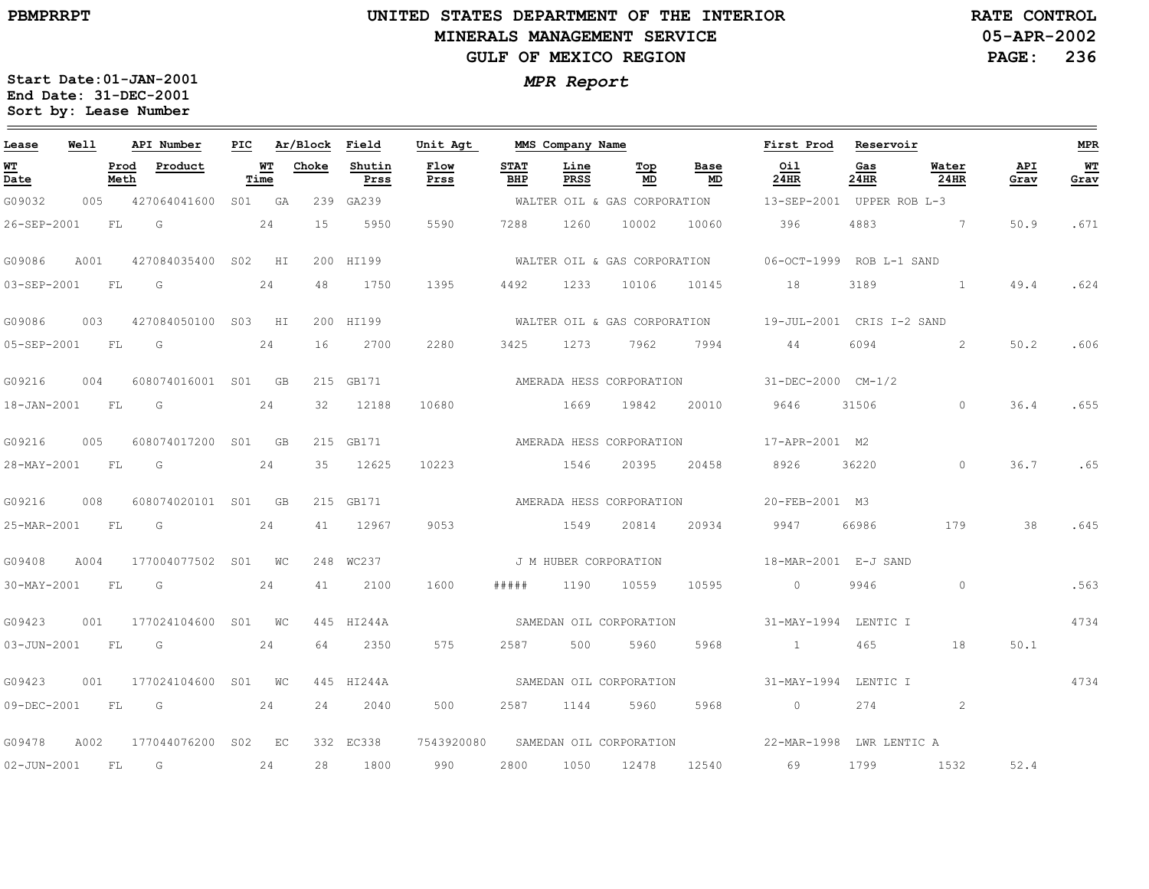### **UNITED STATES DEPARTMENT OF THE INTERIOR MINERALS MANAGEMENT SERVICEGULF OF MEXICO REGION**

**05-APR-2002PAGE: 236 RATE CONTROL**

| Lease             | Well |              | API Number          | PIC |            | Ar/Block | Field          | Unit Agt     |                    | MMS Company Name      |                              |            | First Prod      | Reservoir                 |                |             | <b>MPR</b> |
|-------------------|------|--------------|---------------------|-----|------------|----------|----------------|--------------|--------------------|-----------------------|------------------------------|------------|-----------------|---------------------------|----------------|-------------|------------|
| WT<br>Date        |      | Prod<br>Meth | Product             |     | WТ<br>Time | Choke    | Shutin<br>Prss | Flow<br>Prss | <b>STAT</b><br>BHP | Line<br>PRSS          | Top<br>MD                    | Base<br>MD | Oil<br>24HR     | Gas<br>24HR               | Water<br>24HR  | API<br>Grav | WT<br>Grav |
| G09032            | 005  |              | 427064041600        | S01 | - GA       |          | 239 GA239      |              |                    |                       | WALTER OIL & GAS CORPORATION |            |                 | 13-SEP-2001 UPPER ROB L-3 |                |             |            |
| 26-SEP-2001       |      | FL.          | G                   |     | 24         | 1.5      | 5950           | 5590         | 7288               | 1260                  | 10002                        | 10060      | 396             | 4883                      | $\overline{7}$ | 50.9        | .671       |
| G09086            | A001 |              | 427084035400        | S02 | HI         |          | 200 HI199      |              |                    |                       | WALTER OIL & GAS CORPORATION |            |                 | 06-OCT-1999 ROB L-1 SAND  |                |             |            |
| 03-SEP-2001       |      | FL           | G                   |     | 24         | 48       | 1750           | 1395         | 4492               | 1233                  | 10106                        | 10145      | 18              | 3189                      | $\overline{1}$ | 49.4        | .624       |
| G09086            | 003  |              | 427084050100 S03 HI |     |            |          | 200 HI199      |              |                    |                       | WALTER OIL & GAS CORPORATION |            |                 | 19-JUL-2001 CRIS I-2 SAND |                |             |            |
| 05-SEP-2001       |      | FL           | G                   |     | 24         | 16       | 2700           | 2280         | 3425               | 1273                  | 7962                         | 7994       | 44              | 6094                      | 2              | 50.2        | .606       |
| G09216            | 004  |              | 608074016001 S01    |     | <b>GB</b>  |          | 215 GB171      |              |                    |                       | AMERADA HESS CORPORATION     |            |                 | 31-DEC-2000 CM-1/2        |                |             |            |
| 18-JAN-2001       |      | FL           | G                   |     | 24         | 32       | 12188          | 10680        |                    | 1669                  | 19842                        | 20010      | 9646            | 31506                     | $\circ$        | 36.4        | .655       |
| G09216            | 005  |              | 608074017200 S01 GB |     |            |          | 215 GB171      |              |                    |                       | AMERADA HESS CORPORATION     |            | 17-APR-2001 M2  |                           |                |             |            |
| 28-MAY-2001       |      | FL           | G                   |     | 24         | 35       | 12625          | 10223        |                    | 1546                  | 20395                        | 20458      | 8926            | 36220                     | $\circ$        | 36.7        | .65        |
| G09216            | 008  |              | 608074020101 S01    |     | - GB       |          | 215 GB171      |              |                    |                       | AMERADA HESS CORPORATION     |            | 20-FEB-2001 M3  |                           |                |             |            |
| 25-MAR-2001       |      | FL           | G                   |     | 24         | 41       | 12967          | 9053         |                    | 1549                  | 20814                        | 20934      | 9947            | 66986                     | 179            | 38          | .645       |
| G09408            | A004 |              | 177004077502 S01 WC |     |            |          | 248 WC237      |              |                    | J M HUBER CORPORATION |                              |            |                 | 18-MAR-2001 E-J SAND      |                |             |            |
| 30-MAY-2001       |      | FL           | G                   |     | 24         | 41       | 2100           | 1600         | #####              | 1190                  | 10559                        | 10595      | $\sim$ 0        | 9946                      | $\circ$        |             | .563       |
| G09423            | 001  |              | 177024104600 S01 WC |     |            |          | 445 HI244A     |              |                    |                       | SAMEDAN OIL CORPORATION      |            |                 | 31-MAY-1994 LENTIC I      |                |             | 4734       |
| 03-JUN-2001       |      | FL           | G                   |     | 24         | 64       | 2350           | 575          | 2587               | 500                   | 5960                         | 5968       | $\sim$ 1 $\sim$ | 465                       | 18             | 50.1        |            |
| G09423            | 001  |              | 177024104600 S01 WC |     |            |          | 445 HI244A     |              |                    |                       | SAMEDAN OIL CORPORATION      |            |                 | 31-MAY-1994 LENTIC I      |                |             | 4734       |
| 09-DEC-2001       |      | FL           | G                   |     | 24         | 24       | 2040           | 500          | 2587               | 1144                  | 5960                         | 5968       | $\overline{0}$  | 274                       | 2              |             |            |
| G09478            | A002 |              | 177044076200 S02 EC |     |            |          | 332 EC338      | 7543920080   |                    |                       | SAMEDAN OIL CORPORATION      |            |                 | 22-MAR-1998 LWR LENTIC A  |                |             |            |
| $02 - JUN - 2001$ |      | FL           | G                   |     | 24         | 28       | 1800           | 990          | 2800               | 1050                  | 12478                        | 12540      | 69              | 1799                      | 1532           | 52.4        |            |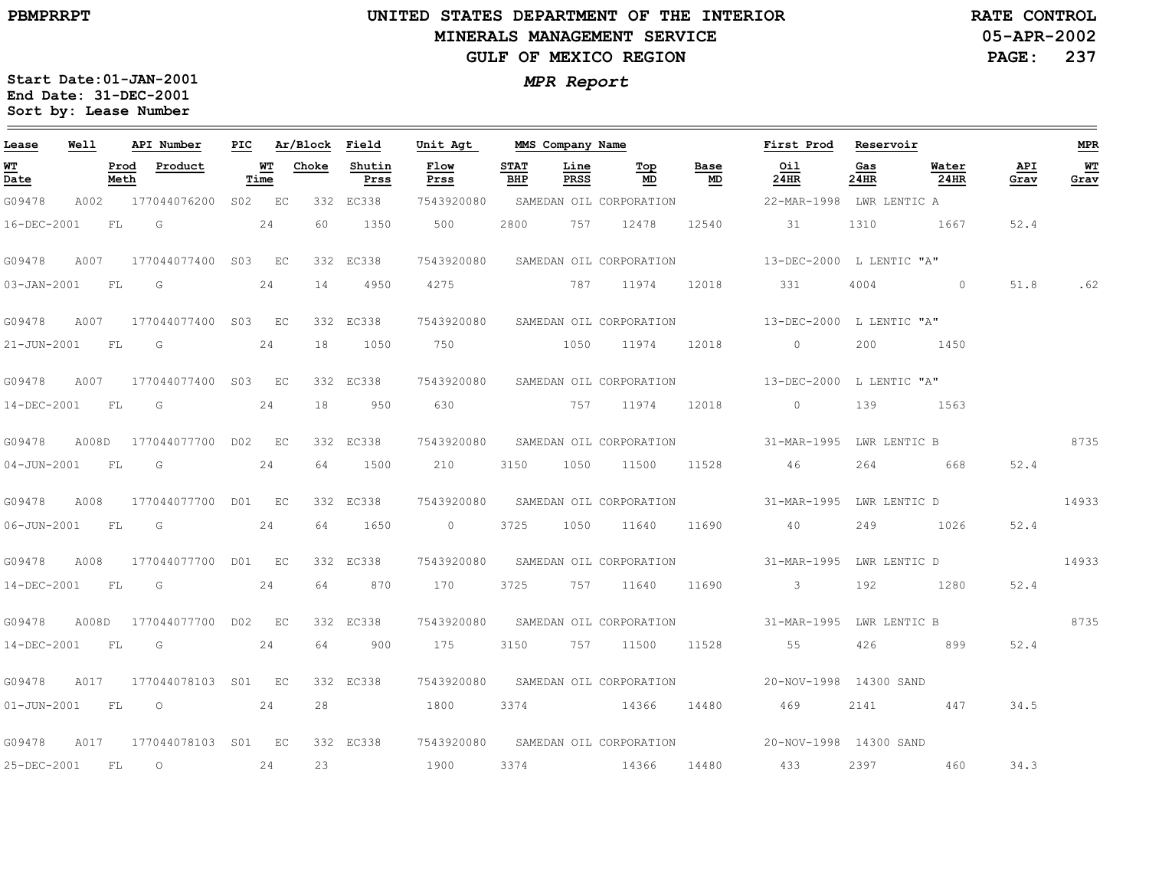$\qquad \qquad$ 

### **UNITED STATES DEPARTMENT OF THE INTERIOR MINERALS MANAGEMENT SERVICEGULF OF MEXICO REGION**

**05-APR-2002PAGE: 237 RATE CONTROL**

| Lease            | Well  |              | API Number                                                                                                                                                                                                                     | PIC |            | Ar/Block | Field          | Unit Agt       |                    | MMS Company Name |                                    |            | First Prod                                                       | Reservoir                                                                                                      |                          |             | <b>MPR</b> |
|------------------|-------|--------------|--------------------------------------------------------------------------------------------------------------------------------------------------------------------------------------------------------------------------------|-----|------------|----------|----------------|----------------|--------------------|------------------|------------------------------------|------------|------------------------------------------------------------------|----------------------------------------------------------------------------------------------------------------|--------------------------|-------------|------------|
| WT<br>Date       |       | Prod<br>Meth | Product                                                                                                                                                                                                                        |     | WТ<br>Time | Choke    | Shutin<br>Prss | Flow<br>Prss   | <b>STAT</b><br>BHP | Line<br>PRSS     | Top<br>MD                          | Base<br>MD | Oil<br>24HR                                                      | Gas<br>24HR                                                                                                    | Water<br>24HR            | API<br>Grav | WT<br>Grav |
| G09478           | A002  |              | 177044076200 S02 EC                                                                                                                                                                                                            |     |            |          | 332 EC338      | 7543920080     |                    |                  | SAMEDAN OIL CORPORATION            |            | 22-MAR-1998 LWR LENTIC A                                         |                                                                                                                |                          |             |            |
| 16-DEC-2001      |       | FL           | $\overline{G}$                                                                                                                                                                                                                 |     | 24         | 60       | 1350           | 500            | 2800               |                  | 757 12478                          | 12540      | 31                                                               | 1310                                                                                                           | 1667                     | 52.4        |            |
| G09478           | A007  |              | 177044077400 S03 EC                                                                                                                                                                                                            |     |            |          | 332 EC338      |                |                    |                  |                                    |            | 7543920080 SAMEDAN OIL CORPORATION 13-DEC-2000 L LENTIC "A"      |                                                                                                                |                          |             |            |
| 03-JAN-2001      |       | - FL         | G G                                                                                                                                                                                                                            |     | 24         | 14       | 4950           | 4275           |                    |                  | 787 11974                          | 12018      | 331                                                              | 4004                                                                                                           | $\sim$ 0                 | 51.8        | .62        |
| G09478           | A007  |              | 177044077400 S03 EC                                                                                                                                                                                                            |     |            |          | 332 EC338      |                |                    |                  |                                    |            | 7543920080 SAMEDAN OIL CORPORATION 13-DEC-2000 L LENTIC "A"      |                                                                                                                |                          |             |            |
| 21-JUN-2001 FL G |       |              |                                                                                                                                                                                                                                |     | 24         | 18       | 1050           |                |                    |                  |                                    |            |                                                                  | 200                                                                                                            | 1450                     |             |            |
| G09478           | A007  |              | 177044077400 S03 EC                                                                                                                                                                                                            |     |            |          | 332 EC338      |                |                    |                  |                                    |            | 7543920080 SAMEDAN OIL CORPORATION 13-DEC-2000 L LENTIC "A"      |                                                                                                                |                          |             |            |
| 14-DEC-2001      |       | FL           | $\overline{\mathbb{G}}$                                                                                                                                                                                                        |     | 24         | 18       | 950            | 630            |                    |                  | 757 11974 12018                    |            | $\overline{0}$                                                   | 139                                                                                                            | 1563                     |             |            |
| G09478           |       |              | A008D 177044077700 D02 EC                                                                                                                                                                                                      |     |            |          | 332 EC338      |                |                    |                  | 7543920080 SAMEDAN OIL CORPORATION |            | 31-MAR-1995 LWR LENTIC B                                         |                                                                                                                |                          | 8735        |            |
| 04-JUN-2001 FL G |       |              |                                                                                                                                                                                                                                |     | 24         | 64       | 1500           | 210            | 3150               |                  | 1050 11500 11528                   |            | 46                                                               |                                                                                                                | 264 668                  | 52.4        |            |
| G09478           | A008  |              | 177044077700 D01 EC                                                                                                                                                                                                            |     |            |          | 332 EC338      |                |                    |                  |                                    |            | 7543920080 SAMEDAN OIL CORPORATION 31-MAR-1995 LWR LENTIC D      |                                                                                                                |                          |             | 14933      |
| 06-JUN-2001      |       | FL.          | in Gr                                                                                                                                                                                                                          |     | 24         | 64       | 1650           | $\overline{0}$ | 3725               |                  | 1050 11640                         | 11690      | 40                                                               | 249                                                                                                            | 1026                     | 52.4        |            |
| G09478           | A008  |              | 177044077700 D01 EC                                                                                                                                                                                                            |     |            |          | 332 EC338      |                |                    |                  | 7543920080 SAMEDAN OIL CORPORATION |            |                                                                  |                                                                                                                | 31-MAR-1995 LWR LENTIC D |             | 14933      |
| 14-DEC-2001      |       | <b>FL</b>    | $G$ and the set of $G$ and $G$ and $G$ and $G$ and $G$ and $G$ and $G$ and $G$ and $G$ and $G$ and $G$ and $G$ and $G$ and $G$ and $G$ and $G$ and $G$ and $G$ and $G$ and $G$ and $G$ and $G$ and $G$ and $G$ and $G$ and $G$ |     | 24         | 64       | 870            | 170 —          | 3725               |                  | 757 11640                          | 11690      | $\sim$ 3                                                         | 192 — 192 — 193 — 193 — 193 — 194 — 194 — 194 — 195 — 196 — 197 — 198 — 198 — 198 — 198 — 198 — 198 — 198 — 19 | 1280                     | 52.4        |            |
| G09478           | A008D |              | 177044077700 D02 EC                                                                                                                                                                                                            |     |            |          | 332 EC338      |                |                    |                  |                                    |            | 7543920080 SAMEDAN OIL CORPORATION 31-MAR-1995 LWR LENTIC B 8735 |                                                                                                                |                          |             |            |
| 14-DEC-2001 FL   |       |              | $\overline{\mathsf{G}}$                                                                                                                                                                                                        |     | 24         | 64       | 900            | 175            | 3150               |                  | 757 11500                          | 11528      | 55                                                               | 426                                                                                                            | 899                      | 52.4        |            |
| G09478           | A017  |              | 177044078103 S01 EC                                                                                                                                                                                                            |     |            |          | 332 EC338      |                |                    |                  | 7543920080 SAMEDAN OIL CORPORATION |            | 20-NOV-1998 14300 SAND                                           |                                                                                                                |                          |             |            |
|                  |       |              | 01-JUN-2001 FL 0 24                                                                                                                                                                                                            |     |            | 28       |                | 1800           |                    |                  | 3374 14366 14480                   |            | 469                                                              |                                                                                                                | 2141 447                 | 34.5        |            |
| G09478           | A017  |              | 177044078103 S01 EC                                                                                                                                                                                                            |     |            |          | 332 EC338      |                |                    |                  |                                    |            | 7543920080 SAMEDAN OIL CORPORATION 20-NOV-1998 14300 SAND        |                                                                                                                |                          |             |            |
| 25-DEC-2001      |       | FL           | $\overline{O}$                                                                                                                                                                                                                 |     | 24         | 23       |                | 1900           |                    |                  | 3374 14366                         | 14480      | 433                                                              |                                                                                                                | 2397 460                 | 34.3        |            |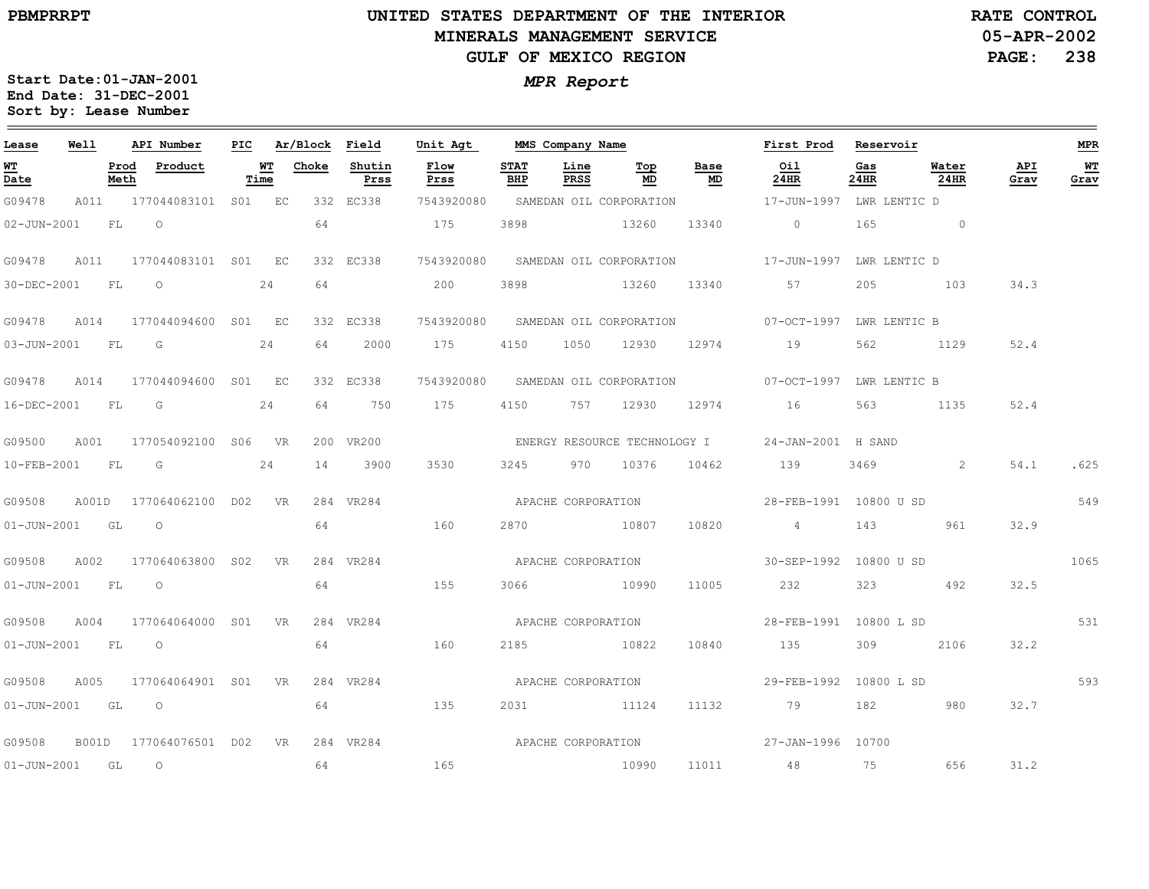### **UNITED STATES DEPARTMENT OF THE INTERIOR MINERALS MANAGEMENT SERVICEGULF OF MEXICO REGION**

**05-APR-2002PAGE: 238 RATE CONTROL**

| Lease            | Well  |      | API Number                | PIC |            | Ar/Block Field |                | Unit Agt     |                    |                    | MMS Company Name                       |            | First Prod                                                                                                                                                                                                                                                                                                                         | Reservoir   |                   |             | MPR          |
|------------------|-------|------|---------------------------|-----|------------|----------------|----------------|--------------|--------------------|--------------------|----------------------------------------|------------|------------------------------------------------------------------------------------------------------------------------------------------------------------------------------------------------------------------------------------------------------------------------------------------------------------------------------------|-------------|-------------------|-------------|--------------|
| WT<br>Date       |       | Meth | Prod Product              |     | WТ<br>Time | Choke          | Shutin<br>Prss | Flow<br>Prss | <b>STAT</b><br>BHP | Line<br>PRSS       | $\underline{\operatorname{Top}}$<br>MD | Base<br>MD | <u>Oil</u><br>24HR                                                                                                                                                                                                                                                                                                                 | Gas<br>24HR | Water<br>24HR     | API<br>Grav | $WT$<br>Grav |
| G09478           |       |      | A011 177044083101 S01 EC  |     |            |                | 332 EC338      | 7543920080   |                    |                    | SAMEDAN OIL CORPORATION                |            | 17-JUN-1997 LWR LENTIC D                                                                                                                                                                                                                                                                                                           |             |                   |             |              |
| 02-JUN-2001      |       | FL O |                           |     |            | 64             |                | 175          | 3898               |                    | 13260                                  | 13340      | $\overline{0}$ and $\overline{0}$ and $\overline{0}$ and $\overline{0}$ and $\overline{0}$ and $\overline{0}$ and $\overline{0}$ and $\overline{0}$ and $\overline{0}$ and $\overline{0}$ and $\overline{0}$ and $\overline{0}$ and $\overline{0}$ and $\overline{0}$ and $\overline{0}$ and $\overline{0}$ and $\overline{0}$ and | 165         | $\sim$ 0 $\sim$ 0 |             |              |
| G09478           | A011  |      | 177044083101 S01 EC       |     |            |                | 332 EC338      |              |                    |                    |                                        |            | 7543920080 SAMEDAN OIL CORPORATION 17-JUN-1997 LWR LENTIC D                                                                                                                                                                                                                                                                        |             |                   |             |              |
| 30-DEC-2001      |       | FL   | $\circ$                   |     | 24         | 64             |                | 200          | 3898               |                    | 13260                                  | 13340      | 57                                                                                                                                                                                                                                                                                                                                 | 205         | 103               | 34.3        |              |
| G09478           | A014  |      | 177044094600 S01 EC       |     |            |                | 332 EC338      |              |                    |                    |                                        |            | 7543920080 SAMEDAN OIL CORPORATION 07-OCT-1997 LWR LENTIC B                                                                                                                                                                                                                                                                        |             |                   |             |              |
| 03-JUN-2001 FL G |       |      |                           |     | 24         | 64             | 2000           |              |                    |                    |                                        |            | 175 4150 1050 12930 12974 19                                                                                                                                                                                                                                                                                                       | 562         | 1129              | 52.4        |              |
| G09478           | A014  |      | 177044094600 S01 EC       |     |            |                | 332 EC338      |              |                    |                    |                                        |            | 7543920080 SAMEDAN OIL CORPORATION 07-OCT-1997 LWR LENTIC B                                                                                                                                                                                                                                                                        |             |                   |             |              |
| 16-DEC-2001 FL   |       |      | $\overline{\mathsf{G}}$   |     | 24         | 64             | 750            | 175          | 4150               |                    | 757 12930                              |            | 12974 16                                                                                                                                                                                                                                                                                                                           | 563         | 1135              | 52.4        |              |
| G09500           | A001  |      | 177054092100 S06 VR       |     |            |                | 200 VR200      |              |                    |                    |                                        |            | ENERGY RESOURCE TECHNOLOGY I 24-JAN-2001 H SAND                                                                                                                                                                                                                                                                                    |             |                   |             |              |
|                  |       |      | 10-FEB-2001 FL G 24       |     |            | 14             | 3900           | 3530         | 3245               |                    | 970 10376                              | 10462      | 139                                                                                                                                                                                                                                                                                                                                |             | $3469$ 2          | 54.1        | .625         |
| G09508           |       |      | A001D 177064062100 D02 VR |     |            |                | 284 VR284      |              |                    |                    |                                        |            |                                                                                                                                                                                                                                                                                                                                    |             |                   |             | 549          |
| 01-JUN-2001 GL O |       |      |                           |     |            | 64             |                | 160          |                    |                    | 2870 10807                             | 10820      | $4\overline{4}$                                                                                                                                                                                                                                                                                                                    | 143         | 961               | 32.9        |              |
| G09508           | A002  |      | 177064063800 S02 VR       |     |            |                | 284 VR284      |              | APACHE CORPORATION |                    |                                        |            | 30-SEP-1992 10800 U SD                                                                                                                                                                                                                                                                                                             |             |                   |             | 1065         |
| 01-JUN-2001 FL 0 |       |      |                           |     |            | 64             |                | 155          |                    |                    | 3066 10990                             | 11005      | 232                                                                                                                                                                                                                                                                                                                                |             | 323 492           | 32.5        |              |
| G09508           | A004  |      | 177064064000 S01 VR       |     |            |                | 284 VR284      |              |                    |                    |                                        |            | APACHE CORPORATION TELL 28-FEB-1991 10800 L SD                                                                                                                                                                                                                                                                                     |             |                   |             | 531          |
| 01-JUN-2001 FL 0 |       |      |                           |     |            | 64             |                | 160          |                    |                    | 2185 10822                             | 10840      | 135                                                                                                                                                                                                                                                                                                                                | 309         | 2106              | 32.2        |              |
| G09508           | A005  |      | 177064064901 S01 VR       |     |            |                | 284 VR284      |              |                    | APACHE CORPORATION |                                        |            | 29-FEB-1992 10800 L SD                                                                                                                                                                                                                                                                                                             |             |                   |             | 593          |
| 01-JUN-2001 GL O |       |      |                           |     |            | 64             |                | 135          |                    |                    | 2031 11124                             | 11132      | 79                                                                                                                                                                                                                                                                                                                                 | 182         | 580               | 32.7        |              |
| G09508           | B001D |      | 177064076501 D02 VR       |     |            |                | 284 VR284      |              |                    |                    |                                        |            | APACHE CORPORATION  and $27$ -JAN-1996 10700                                                                                                                                                                                                                                                                                       |             |                   |             |              |
| 01-JUN-2001 GL   |       |      | $\overline{O}$            |     |            | 64             |                | 165          |                    |                    | 10990                                  |            | 11011 48                                                                                                                                                                                                                                                                                                                           | 75 — 17     | 656               | 31.2        |              |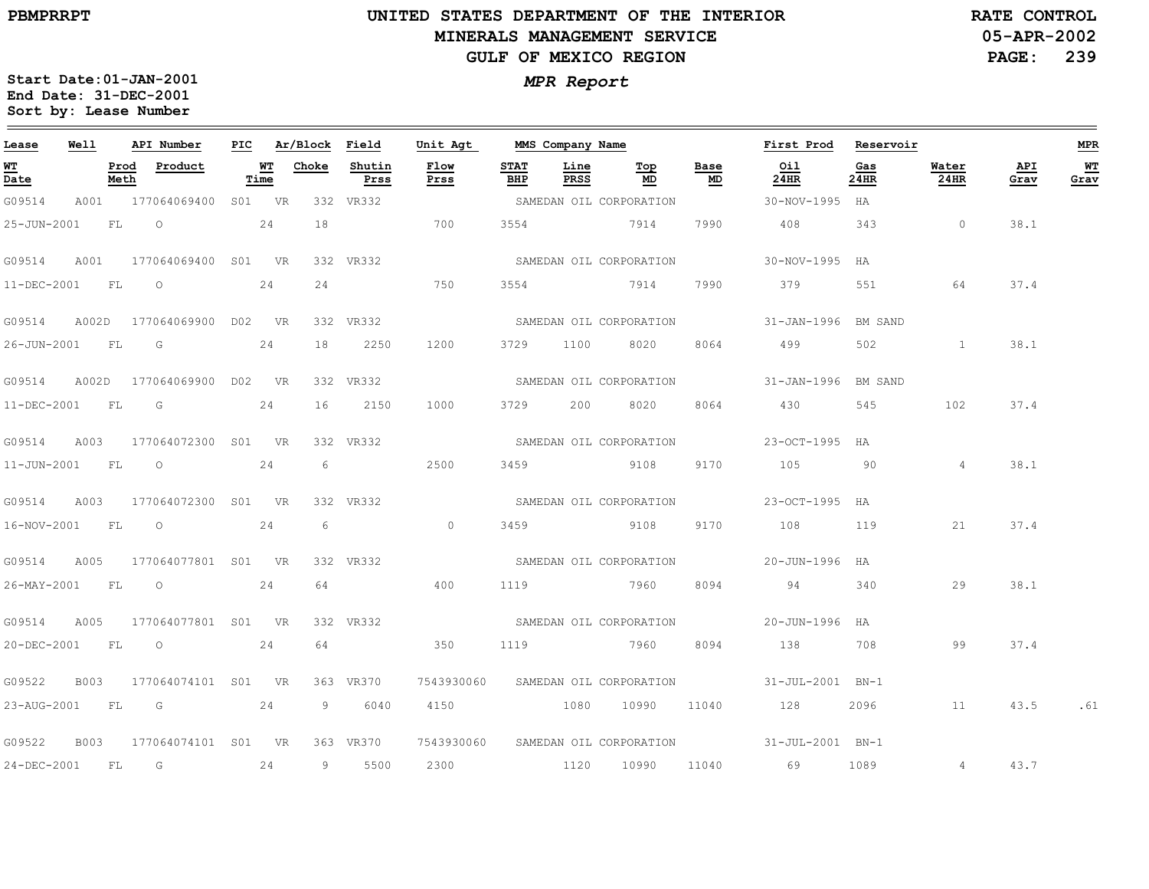$\equiv$ 

# **UNITED STATES DEPARTMENT OF THE INTERIOR MINERALS MANAGEMENT SERVICEGULF OF MEXICO REGION**

**05-APR-2002PAGE: 239 RATE CONTROL**

| Lease             | Well        |              | API Number          | PIC |            | Ar/Block | Field          | Unit Agt                           |                    | MMS Company Name |                         |            | First Prod                               | Reservoir   |                |             | <b>MPR</b> |
|-------------------|-------------|--------------|---------------------|-----|------------|----------|----------------|------------------------------------|--------------------|------------------|-------------------------|------------|------------------------------------------|-------------|----------------|-------------|------------|
| WT<br>Date        |             | Prod<br>Meth | Product             |     | WТ<br>Time | Choke    | Shutin<br>Prss | Flow<br>Prss                       | <b>STAT</b><br>BHP | Line<br>PRSS     | Top<br>MD               | Base<br>MD | Oil<br>24HR                              | Gas<br>24HR | Water<br>24HR  | API<br>Grav | WT<br>Grav |
| G09514            | A001        |              | 177064069400        |     | S01 VR     |          | 332 VR332      |                                    |                    |                  | SAMEDAN OIL CORPORATION |            | 30-NOV-1995                              | HA          |                |             |            |
| 25-JUN-2001       |             | FL           | $\circ$             |     | 24         | 18       |                | 700                                | 3554               | 7914             |                         | 7990       | 408                                      | 343         | $\circ$        | 38.1        |            |
| G09514            | A001        |              | 177064069400 S01 VR |     |            |          | 332 VR332      |                                    |                    |                  | SAMEDAN OIL CORPORATION |            | 30-NOV-1995                              | HA          |                |             |            |
| 11-DEC-2001       |             | FL           | $\circ$             |     | 24         | 24       |                | 750                                | 3554               |                  | 7914                    | 7990       | 379                                      | 551         | 64             | 37.4        |            |
| G09514            | A002D       |              | 177064069900        |     | DO2 VR     |          | 332 VR332      |                                    |                    |                  | SAMEDAN OIL CORPORATION |            | 31-JAN-1996 BM SAND                      |             |                |             |            |
| 26-JUN-2001       |             | FL           | G                   |     | 24         | 18       | 2250           | 1200                               | 3729               | 1100             | 8020                    | 8064       | 499                                      | 502         | $\mathbf{1}$   | 38.1        |            |
| G09514            | A002D       |              | 177064069900        | D02 | VR         |          | 332 VR332      |                                    |                    |                  | SAMEDAN OIL CORPORATION |            | 31-JAN-1996 BM SAND                      |             |                |             |            |
| 11-DEC-2001       |             | FL           | G                   |     | 24         | 16       | 2150           | 1000                               | 3729               | 200              | 8020                    | 8064       | 430                                      | 545         | 102            | 37.4        |            |
| G09514            | A003        |              | 177064072300        |     | SO1 VR     |          | 332 VR332      |                                    |                    |                  | SAMEDAN OIL CORPORATION |            | $23 - OCT - 1995$                        | HA          |                |             |            |
| $11 - JUN - 2001$ |             | FL           | $\circ$             |     | 24         | 6        |                | 2500                               | 3459               |                  | 9108                    | 9170       | 105                                      | 90          | $\overline{4}$ | 38.1        |            |
| G09514            | A003        |              | 177064072300 S01    |     | <b>VR</b>  |          | 332 VR332      |                                    |                    |                  | SAMEDAN OIL CORPORATION |            | $23 - OCT - 1995$                        | HA          |                |             |            |
| 16-NOV-2001       |             | FL           | $\circ$             |     | 24         | 6        |                | $\circ$                            | 3459               |                  | 9108                    | 9170       | 108                                      | 119         | 21             | 37.4        |            |
| G09514            | A005        |              | 177064077801 S01 VR |     |            |          | 332 VR332      |                                    |                    |                  | SAMEDAN OIL CORPORATION |            | 20-JUN-1996 HA                           |             |                |             |            |
| 26-MAY-2001       |             | FL           | $\circ$             |     | 24         | 64       |                | 400                                | 1119               | 2960 7960        |                         | 8094       | 94                                       | 340         | 29             | 38.1        |            |
| G09514            | A005        |              | 177064077801 S01 VR |     |            |          | 332 VR332      |                                    |                    |                  | SAMEDAN OIL CORPORATION |            | 20-JUN-1996 HA                           |             |                |             |            |
| 20-DEC-2001       |             | FL           | $\circ$             |     | 24         | 64       |                | 350                                | 1119               |                  | 7960                    | 8094       | 138                                      | 708         | 99             | 37.4        |            |
| G09522            | <b>B003</b> |              | 177064074101 S01    |     | <b>VR</b>  |          | 363 VR370      | 7543930060 SAMEDAN OIL CORPORATION |                    |                  |                         |            | 31-JUL-2001 BN-1                         |             |                |             |            |
| 23-AUG-2001       |             | FL.          | G                   |     | 24         | 9        | 6040           | 4150 1080                          |                    |                  | 10990                   | 11040      | 128                                      | 2096        | 11             | 43.5        | .61        |
| G09522            | <b>B003</b> |              | 177064074101 S01 VR |     |            |          | 363 VR370      | 7543930060                         |                    |                  |                         |            | SAMEDAN OIL CORPORATION 31-JUL-2001 BN-1 |             |                |             |            |
| 24-DEC-2001       |             | FL           | G                   |     | 24         | 9        | 5500           | 2300                               |                    | 1120             | 10990                   | 11040      | 69                                       | 1089        | 4              | 43.7        |            |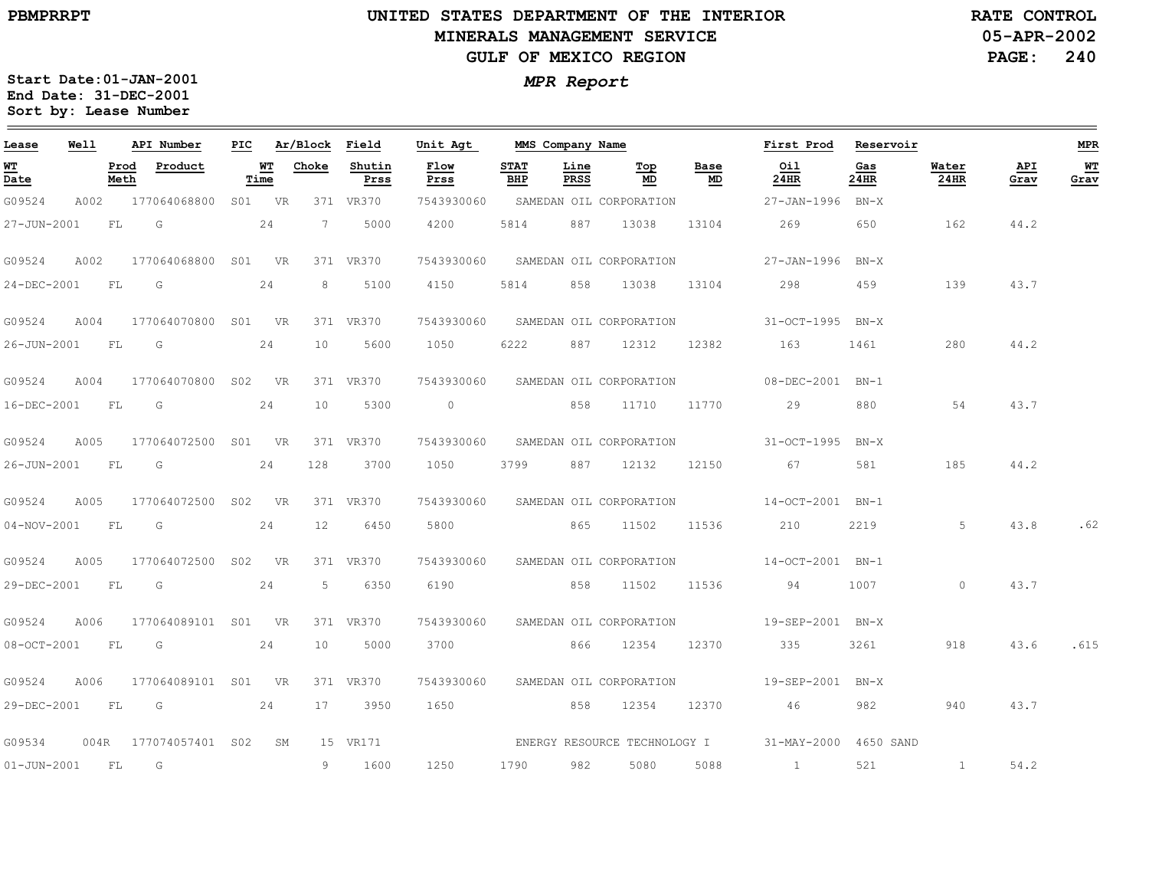### **UNITED STATES DEPARTMENT OF THE INTERIOR MINERALS MANAGEMENT SERVICEGULF OF MEXICO REGION**

**05-APR-2002 PAGE: 240 RATE CONTROL**

| Lease            | Well |           | API Number               |        | PIC Ar/Block Field |                | Unit Agt       |                    |              | MMS Company Name                   |            | First Prod Reservoir                                |             |               |             | <b>MPR</b> |
|------------------|------|-----------|--------------------------|--------|--------------------|----------------|----------------|--------------------|--------------|------------------------------------|------------|-----------------------------------------------------|-------------|---------------|-------------|------------|
| WT<br>Date       |      | Meth      | Prod Product             | Time   | <b>WT</b> Choke    | Shutin<br>Prss | Flow<br>Prss   | <b>STAT</b><br>BHP | Line<br>PRSS | Тор<br>MD                          | Base<br>MD | Oil<br>24HR                                         | Gas<br>24HR | Water<br>24HR | API<br>Grav | WT<br>Grav |
| G09524           |      |           | A002 177064068800        | S01 VR |                    | 371 VR370      | 7543930060     |                    |              | SAMEDAN OIL CORPORATION            |            | 27-JAN-1996 BN-X                                    |             |               |             |            |
| 27-JUN-2001      |      | <b>FL</b> | G                        | 24     | 7                  | 5000           | 4200           | 5814               | 887          | 13038                              | 13104      | 269                                                 | 650         | 162           | 44.2        |            |
| G09524           | A002 |           | 177064068800 S01 VR      |        |                    | 371 VR370      |                |                    |              | 7543930060 SAMEDAN OIL CORPORATION |            | 27-JAN-1996 BN-X                                    |             |               |             |            |
| 24-DEC-2001      |      | FL G      |                          | 24     | 8                  | 5100           | 4150           | 5814               |              | 858 13038                          |            | 13104 298                                           | 459         | 139           | 43.7        |            |
| G09524           | A004 |           | 177064070800 S01 VR      |        |                    | 371 VR370      |                |                    |              | 7543930060 SAMEDAN OIL CORPORATION |            | 31-OCT-1995 BN-X                                    |             |               |             |            |
| 26-JUN-2001 FL   |      |           | $\overline{\mathbb{G}}$  | 24     | 10                 | 5600           | 1050           | 6222               |              | 887 12312                          | 12382      | 163                                                 | 1461        | 280           | 44.2        |            |
| G09524           | A004 |           | 177064070800 S02 VR      |        |                    | 371 VR370      |                |                    |              | 7543930060 SAMEDAN OIL CORPORATION |            | 08-DEC-2001 BN-1                                    |             |               |             |            |
| 16-DEC-2001 FL G |      |           |                          | 24     | 10                 | 5300           |                |                    |              | 0 858 11710 11770                  |            | 29                                                  | 880         | 54            | 43.7        |            |
| G09524           | A005 |           | 177064072500 S01 VR      |        |                    | 371 VR370      |                |                    |              |                                    |            | 7543930060 SAMEDAN OIL CORPORATION 31-OCT-1995 BN-X |             |               |             |            |
| 26-JUN-2001 FL   |      |           | G                        | 24     | 128                | 3700           | 1050           | 3799               |              | 887 12132                          | 12150      | 67                                                  | 581         | 185           | 44.2        |            |
| G09524           | A005 |           | 177064072500 S02 VR      |        |                    | 371 VR370      |                |                    |              | 7543930060 SAMEDAN OIL CORPORATION |            | 14-OCT-2001 BN-1                                    |             |               |             |            |
|                  |      |           | 04-NOV-2001 FL G 24      |        | 12                 | 6450           | 5800 865 11502 |                    |              |                                    | 11536      | 210                                                 | 2219        | 5             | 43.8        | .62        |
| G09524           | A005 |           | 177064072500 S02 VR      |        |                    | 371 VR370      |                |                    |              |                                    |            | 7543930060 SAMEDAN OIL CORPORATION 14-OCT-2001 BN-1 |             |               |             |            |
| 29-DEC-2001 FL   |      |           | $\overline{\mathsf{G}}$  | 24     |                    | 5 6350         | 6190           |                    |              | 858 11502 11536                    |            | 94                                                  | 1007        | $\Omega$      | 43.7        |            |
| G09524           | A006 |           | 177064089101 S01 VR      |        |                    | 371 VR370      |                |                    |              | 7543930060 SAMEDAN OIL CORPORATION |            | 19-SEP-2001 BN-X                                    |             |               |             |            |
|                  |      |           | 08-OCT-2001 FL G 24      |        |                    | 10 5000        |                |                    |              | 3700 866 12354 12370               |            | 335                                                 | 3261 700    | 918           | 43.6        | .615       |
| G09524           | A006 |           | 177064089101 S01 VR      |        |                    | 371 VR370      |                |                    |              |                                    |            | 7543930060 SAMEDAN OIL CORPORATION 19-SEP-2001 BN-X |             |               |             |            |
| 29-DEC-2001 FL   |      |           | 24<br>G                  |        |                    | 17 3950        | 1650           |                    |              | 858 12354 12370                    |            | 46                                                  | 982         | 940           | 43.7        |            |
| G09534           |      |           | 004R 177074057401 S02 SM |        |                    | 15 VR171       |                |                    |              |                                    |            | ENERGY RESOURCE TECHNOLOGY I 31-MAY-2000 4650 SAND  |             |               |             |            |
| 01-JUN-2001 FL G |      |           |                          |        |                    | 9 1600         | 1250           | 1790 982           |              | 5080                               | 5088       | $\sim$ 1                                            | 521         | $\sim$ 1      | 54.2        |            |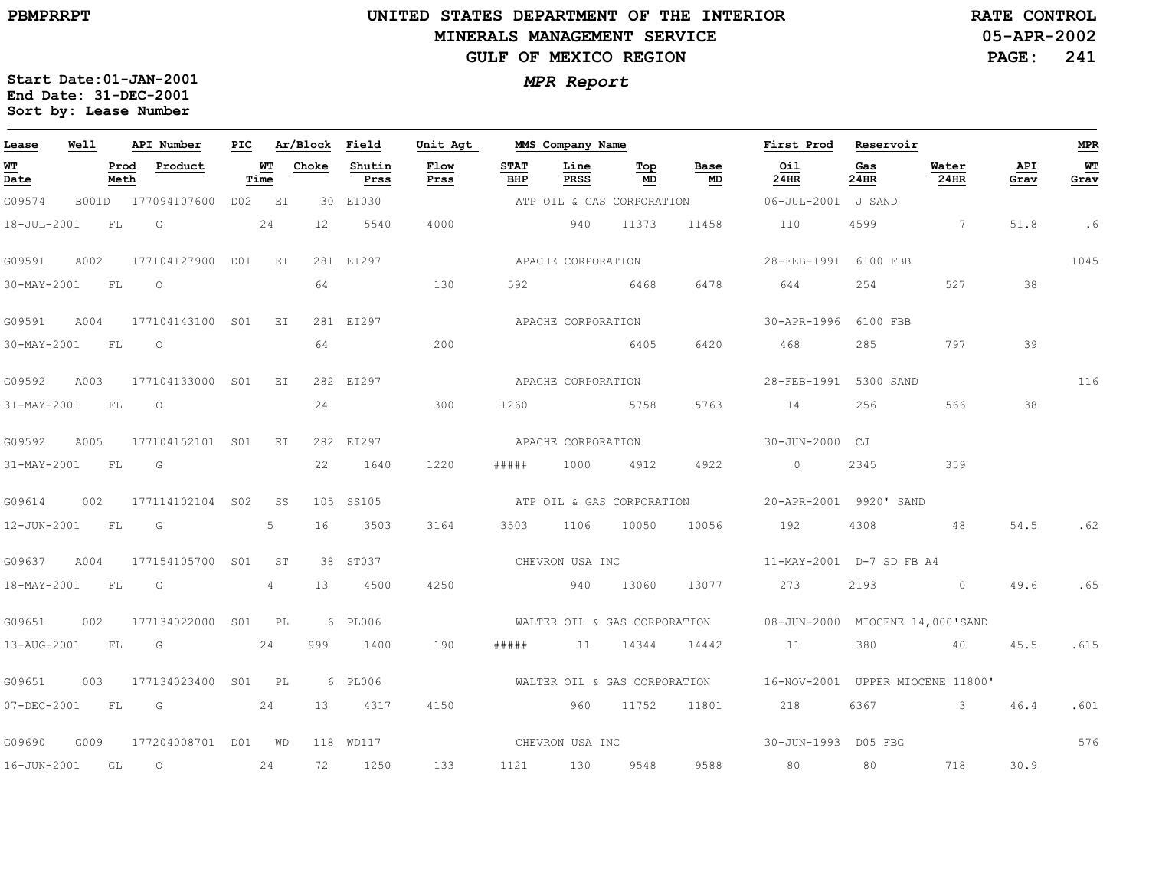## **UNITED STATES DEPARTMENT OF THE INTERIOR MINERALS MANAGEMENT SERVICEGULF OF MEXICO REGION**

**05-APR-2002PAGE: 241 RATE CONTROL**

| Lease          | Well |              | API Number                | PIC |                 | Ar/Block Field |                | Unit Agt     |                              | MMS Company Name |                           |                           | First Prod                                                                                                                                                                                                                                                                                                                         | Reservoir   |                |             | <b>MPR</b> |
|----------------|------|--------------|---------------------------|-----|-----------------|----------------|----------------|--------------|------------------------------|------------------|---------------------------|---------------------------|------------------------------------------------------------------------------------------------------------------------------------------------------------------------------------------------------------------------------------------------------------------------------------------------------------------------------------|-------------|----------------|-------------|------------|
| WT<br>Date     |      | Prod<br>Meth | Product                   |     | WT<br>Time      | Choke          | Shutin<br>Prss | Flow<br>Prss | <b>STAT</b><br>BHP           | Line<br>PRSS     | Top<br>MD                 | Base<br>MD                | Oil<br>24HR                                                                                                                                                                                                                                                                                                                        | Gas<br>24HR | Water<br>24HR  | API<br>Grav | WT<br>Grav |
| G09574         |      |              | B001D 177094107600 D02 EI |     |                 |                | 30 EI030       |              |                              |                  | ATP OIL & GAS CORPORATION |                           | 06-JUL-2001 J SAND                                                                                                                                                                                                                                                                                                                 |             |                |             |            |
| 18-JUL-2001    |      | FL           | G                         |     | 24              | 12             | 5540           | 4000         |                              | 940              | 11373                     | 11458                     | 110                                                                                                                                                                                                                                                                                                                                | 4599        | $\overline{7}$ | 51.8        | .6         |
| G09591         | A002 |              | 177104127900 D01 EI       |     |                 |                | 281 EI297      |              | APACHE CORPORATION           |                  |                           |                           | 28-FEB-1991 6100 FBB                                                                                                                                                                                                                                                                                                               |             |                |             | 1045       |
| 30-MAY-2001    |      | FL           | $\circ$                   |     |                 | 64             |                | 130          | 592                          |                  | 6468                      | 6478                      | 644                                                                                                                                                                                                                                                                                                                                | 254         | 527            | 38          |            |
| G09591         | A004 |              | 177104143100 S01 EI       |     |                 |                | 281 EI297      |              | APACHE CORPORATION           |                  |                           |                           | 30-APR-1996 6100 FBB                                                                                                                                                                                                                                                                                                               |             |                |             |            |
| 30-MAY-2001 FL |      |              | $\overline{O}$            |     |                 | 64             |                | 200          |                              | 6405             |                           | 6420                      | 468                                                                                                                                                                                                                                                                                                                                | 285         | 797            | 39          |            |
| G09592         | A003 |              | 177104133000 S01 EI       |     |                 |                | 282 EI297      |              | APACHE CORPORATION           |                  |                           |                           | 28-FEB-1991 5300 SAND                                                                                                                                                                                                                                                                                                              |             |                |             | 116        |
| 31-MAY-2001    |      | FL           | $\circ$                   |     |                 | 24             |                | 300          | 1260                         | 5758             |                           | 5763                      | 14                                                                                                                                                                                                                                                                                                                                 | 256         | 566            | 38          |            |
| G09592         | A005 |              | 177104152101 S01 EI       |     |                 |                | 282 EI297      |              | APACHE CORPORATION           |                  |                           |                           | 30-JUN-2000 CJ                                                                                                                                                                                                                                                                                                                     |             |                |             |            |
| 31-MAY-2001    |      | FL           | G                         |     |                 | 22             | 1640           | 1220         | #####                        | 1000             | 4912                      | 4922                      | $\overline{0}$ and $\overline{0}$ and $\overline{0}$ and $\overline{0}$ and $\overline{0}$ and $\overline{0}$ and $\overline{0}$ and $\overline{0}$ and $\overline{0}$ and $\overline{0}$ and $\overline{0}$ and $\overline{0}$ and $\overline{0}$ and $\overline{0}$ and $\overline{0}$ and $\overline{0}$ and $\overline{0}$ and | 2345        | 359            |             |            |
| G09614         | 002  |              | 177114102104 S02          |     | SS              |                | 105 SS105      |              |                              |                  |                           | ATP OIL & GAS CORPORATION | 20-APR-2001 9920' SAND                                                                                                                                                                                                                                                                                                             |             |                |             |            |
| 12-JUN-2001    |      | FL           | $\overline{\mathsf{G}}$   |     | 5               | 16             | 3503           | 3164         | 3503                         | 1106 10050       |                           | 10056                     | 192                                                                                                                                                                                                                                                                                                                                | 4308        | 48             | 54.5        | .62        |
| G09637         | A004 |              | 177154105700 S01          |     | ST <sup>1</sup> |                | 38 ST037       |              | CHEVRON USA INC              |                  |                           |                           | 11-MAY-2001 D-7 SD FB A4                                                                                                                                                                                                                                                                                                           |             |                |             |            |
| 18-MAY-2001    |      | <b>FL</b>    | $\overline{G}$            |     | 4               | 13             | 4500           | 4250         | 940                          |                  | 13060                     | 13077                     | 273                                                                                                                                                                                                                                                                                                                                | 2193 0      |                | 49.6        | .65        |
| G09651         | 002  |              | 177134022000 S01 PL       |     |                 |                | 6 PL006        |              |                              |                  |                           |                           | WALTER OIL & GAS CORPORATION 608-JUN-2000 MIOCENE 14,000'SAND                                                                                                                                                                                                                                                                      |             |                |             |            |
| 13-AUG-2001    |      | FL           | $\overline{G}$            |     | 24              | 999            | 1400           | 190          | # # # # #                    |                  | 11 14344                  | 14442                     | 11                                                                                                                                                                                                                                                                                                                                 | 380         | 40 45.5        |             | .615       |
| G09651         | 003  |              | 177134023400 S01 PL       |     |                 |                | 6 PL006        |              | WALTER OIL & GAS CORPORATION |                  |                           |                           | 16-NOV-2001 UPPER MIOCENE 11800'                                                                                                                                                                                                                                                                                                   |             |                |             |            |
| 07-DEC-2001    |      |              | $FL$ G 24                 |     |                 | 13             | 4317           | 4150         |                              | 960 11752        |                           | 11801                     | 218                                                                                                                                                                                                                                                                                                                                | 6367 3      |                | 46.4        | .601       |
| G09690         | G009 |              | 177204008701 D01 WD       |     |                 |                | 118 WD117      |              |                              |                  |                           | CHEVRON USA INC           | 30-JUN-1993 D05 FBG                                                                                                                                                                                                                                                                                                                |             |                |             | 576        |
| 16-JUN-2001    |      | GL           | $\circ$                   |     | 24              | 72             | 1250           | 133          | 1121 130 9548                |                  |                           | 9588                      | 80                                                                                                                                                                                                                                                                                                                                 | 80          | 718            | 30.9        |            |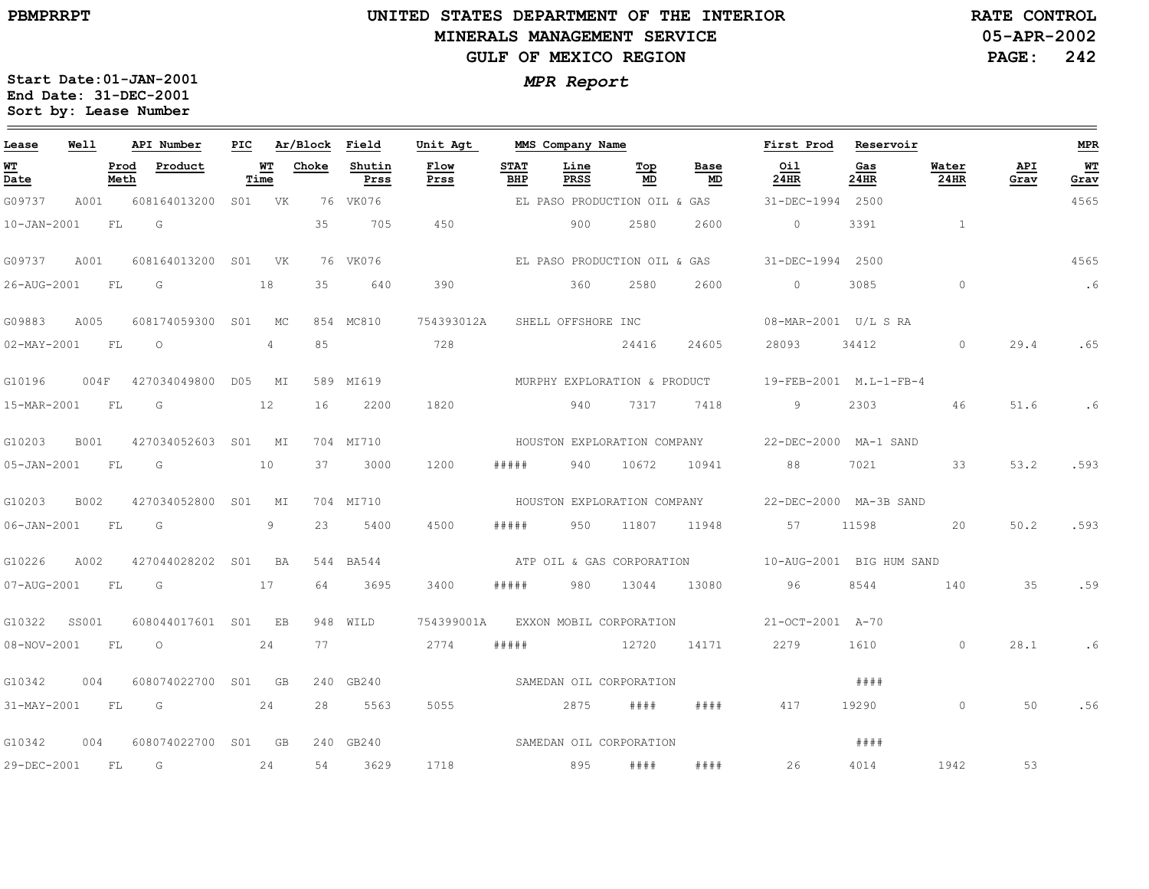$\equiv$ 

# **UNITED STATES DEPARTMENT OF THE INTERIOR MINERALS MANAGEMENT SERVICEGULF OF MEXICO REGION**

**05-APR-2002PAGE: 242 RATE CONTROL**

| Lease                                 | Well        |              | API Number       | PIC             |            | Ar/Block | Field          | Unit Agt     |                    | MMS Company Name             |           |            | First Prod               | Reservoir   |               |             | MPR          |
|---------------------------------------|-------------|--------------|------------------|-----------------|------------|----------|----------------|--------------|--------------------|------------------------------|-----------|------------|--------------------------|-------------|---------------|-------------|--------------|
| <u>WТ</u><br>$\overline{\text{Date}}$ |             | Prod<br>Meth | Product          |                 | WT<br>Time | Choke    | Shutin<br>Prss | Flow<br>Prss | <b>STAT</b><br>BHP | Line<br>PRSS                 | Top<br>MD | Base<br>MD | Oil<br>24HR              | Gas<br>24HR | Water<br>24HR | API<br>Grav | $WT$<br>Grav |
| G09737                                | A001        |              | 608164013200     |                 | S01 VK     |          | 76 VK076       |              |                    | EL PASO PRODUCTION OIL & GAS |           |            | 31-DEC-1994              | 2500        |               |             | 4565         |
| $10 - JAN - 2001$                     |             | FL           | G                |                 |            | 35       | 705            | 450          |                    | 900                          | 2580      | 2600       | $\circ$                  | 3391        | $\mathbf{1}$  |             |              |
| G09737                                | A001        |              | 608164013200     | S01             | VK         |          | 76 VK076       |              |                    | EL PASO PRODUCTION OIL & GAS |           |            | $31 - DEC - 1994$        | 2500        |               |             | 4565         |
| 26-AUG-2001                           |             | FL           | G                |                 | 18         | 35       | 640            | 390          |                    | 360                          | 2580      | 2600       | $\circ$                  | 3085        | $\Omega$      |             | .6           |
| G09883                                | A005        |              | 608174059300     | S01             | МC         |          | 854 MC810      | 754393012A   |                    | SHELL OFFSHORE INC           |           |            |                          |             |               |             |              |
| $02 - MAX - 2001$                     |             | FL           | $\Omega$         |                 | 4          | 85       |                | 728          |                    |                              | 24416     | 24605      | 28093                    | 34412       | $\Omega$      | 29.4        | .65          |
| G10196                                | 004F        |              | 427034049800     | DO5             | МI         |          | 589 MI619      |              |                    | MURPHY EXPLORATION & PRODUCT |           |            | 19-FEB-2001 M.L-1-FB-4   |             |               |             |              |
| 15-MAR-2001                           |             | FL           | G                |                 | 12         | 16       | 2200           | 1820         |                    | 940                          | 7317      | 7418       | 9                        | 2303        | 46            | 51.6        | .6           |
| G10203                                | <b>B001</b> |              | 427034052603     | S01             | МI         |          | 704 MI710      |              |                    | HOUSTON EXPLORATION COMPANY  |           |            | 22-DEC-2000 MA-1 SAND    |             |               |             |              |
| $05 - JAN - 2001$                     |             | FL           | G                |                 | 10         | 37       | 3000           | 1200         | # # # #            | 940                          | 10672     | 10941      | 88                       | 7021        | 33            | 53.2        | .593         |
| G10203                                | <b>B002</b> |              | 427034052800     | S01             | MI         |          | 704 MI710      |              |                    | HOUSTON EXPLORATION COMPANY  |           |            | 22-DEC-2000 MA-3B SAND   |             |               |             |              |
| $06 - JAN - 2001$                     |             | FL           | G                |                 | 9          | 23       | 5400           | 4500         | #####              | 950                          | 11807     | 11948      | 57                       | 11598       | 20            | 50.2        | .593         |
| G10226                                | A002        |              | 427044028202     | S <sub>01</sub> | BA         | 544      | BA544          |              |                    | ATP OIL & GAS CORPORATION    |           |            | 10-AUG-2001 BIG HUM SAND |             |               |             |              |
| 07-AUG-2001                           |             | FL           | G                |                 | 17         | 64       | 3695           | 3400         | #####              | 980                          | 13044     | 13080      | 96                       | 8544        | 140           | 35          | .59          |
| G10322                                | SS001       |              | 608044017601     | SO1             | EB         |          | 948 WILD       | 754399001A   |                    | EXXON MOBIL CORPORATION      |           |            | 21-OCT-2001 A-70         |             |               |             |              |
| 08-NOV-2001                           |             | FL           | $\circ$          |                 | 24         | 77       |                | 2774         | #####              |                              | 12720     | 14171      | 2279                     | 1610        | $\circ$       | 28.1        | .6           |
| G10342                                | 004         |              | 608074022700     | S01             | GB         | 240      | GB240          |              |                    | SAMEDAN OIL CORPORATION      |           |            |                          | # # # #     |               |             |              |
| 31-MAY-2001                           |             | FL           | G                |                 | 24         | 28       | 5563           | 5055         |                    | 2875                         | # # # #   | # # # #    | 417                      | 19290       | $\Omega$      | 50          | .56          |
| G10342                                | 004         |              | 608074022700 S01 |                 | GB         |          | 240 GB240      |              |                    | SAMEDAN OIL CORPORATION      |           |            |                          | # # # #     |               |             |              |
| 29-DEC-2001                           |             | FL           | G                |                 | 24         | 54       | 3629           | 1718         |                    | 895                          | # # # #   | # # # #    | 26                       | 4014        | 1942          | 53          |              |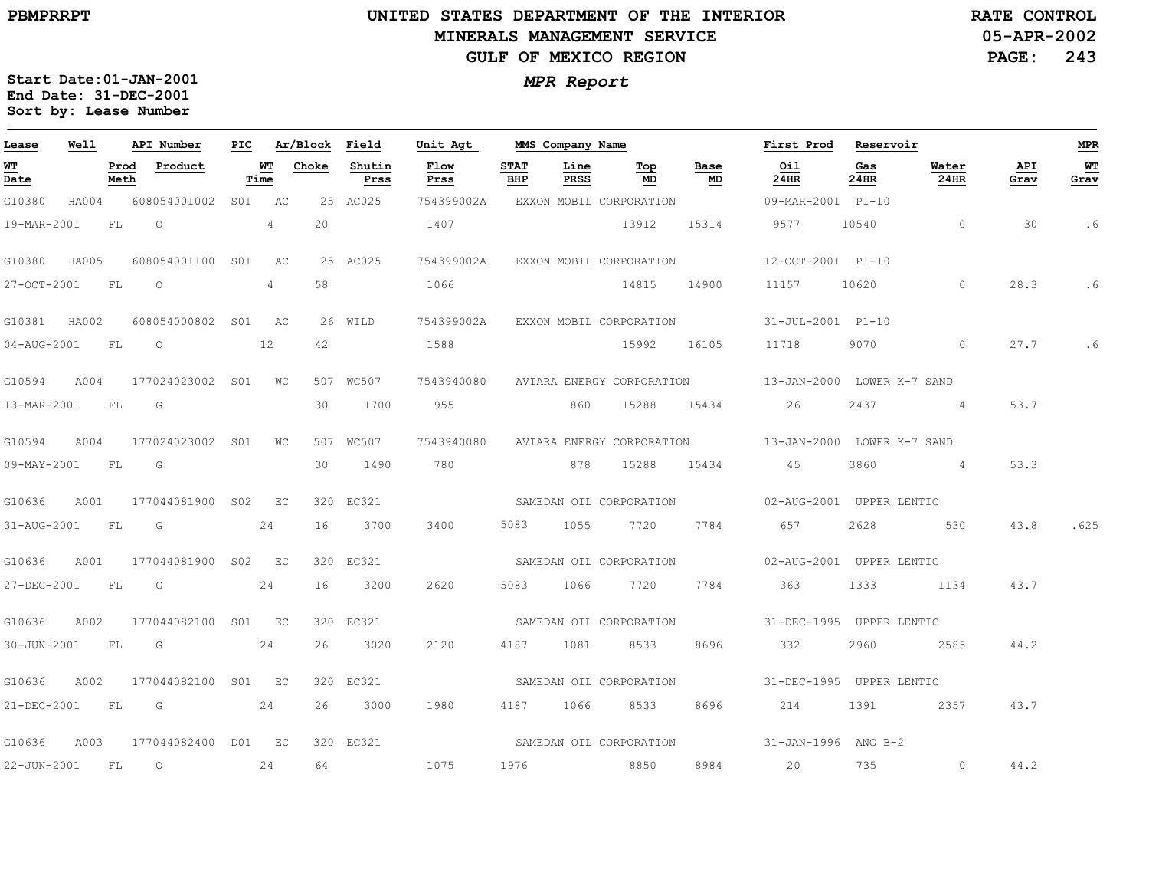### **UNITED STATES DEPARTMENT OF THE INTERIOR MINERALS MANAGEMENT SERVICEGULF OF MEXICO REGION**

**05-APR-2002PAGE: 243 RATE CONTROL**

| Lease        | Well  |              | API Number          | PIC |                | Ar/Block | Field          | Unit Agt     |                    | MMS Company Name |                                    |            | First Prod                                           | Reservoir   |                    |             | <b>MPR</b> |
|--------------|-------|--------------|---------------------|-----|----------------|----------|----------------|--------------|--------------------|------------------|------------------------------------|------------|------------------------------------------------------|-------------|--------------------|-------------|------------|
| WT<br>Date   |       | Prod<br>Meth | Product             |     | WТ<br>Time     | Choke    | Shutin<br>Prss | Flow<br>Prss | <b>STAT</b><br>BHP | Line<br>PRSS     | Top<br>MD                          | Base<br>MD | Oil<br>24HR                                          | Gas<br>24HR | Water<br>24HR      | API<br>Grav | WT<br>Grav |
| G10380       | HA004 |              | 608054001002        |     | S01 AC         |          | 25 AC025       | 754399002A   |                    |                  | EXXON MOBIL CORPORATION            |            | 09-MAR-2001 P1-10                                    |             |                    |             |            |
| 19-MAR-2001  |       | FL           | $\Omega$            |     | 4              | 20       |                | 1407         |                    |                  | 13912                              | 15314      | 9577                                                 | 10540       | $\circ$            | 30          | . 6        |
| G10380       | HA005 |              | 608054001100 S01    |     | AC             |          | 25 AC025       |              |                    |                  | 754399002A EXXON MOBIL CORPORATION |            | 12-OCT-2001 P1-10                                    |             |                    |             |            |
| 27-OCT-2001  |       | FL.          | $\Omega$            |     | $\overline{4}$ | 58       |                | 1066         |                    |                  | 14815                              | 14900      | 11157                                                | 10620       | $\Omega$           | 28.3        | .6         |
| G10381 HA002 |       |              | 608054000802 S01 AC |     |                |          | 26 WILD        |              |                    |                  | 754399002A EXXON MOBIL CORPORATION |            | 31-JUL-2001 P1-10                                    |             |                    |             |            |
| 04-AUG-2001  |       | FL           | $\overline{O}$      |     | 12             | 42       |                | 1588         |                    |                  | 15992                              | 16105      | 11718                                                |             | 9070 70<br>$\circ$ | 27.7        | . 6        |
| G10594       | A004  |              | 177024023002 S01    |     | WC             |          | 507 WC507      | 7543940080   |                    |                  | AVIARA ENERGY CORPORATION          |            | 13-JAN-2000 LOWER K-7 SAND                           |             |                    |             |            |
| 13-MAR-2001  |       | <b>FL</b>    | G                   |     |                | 30       | 1700           | 955          |                    | 860              | 15288                              | 15434      | 26                                                   | 2437        | 4 <sup>1</sup>     | 53.7        |            |
| G10594       | A004  |              | 177024023002 S01    |     | WС             |          | 507 WC507      | 7543940080   |                    |                  |                                    |            | AVIARA ENERGY CORPORATION 13-JAN-2000 LOWER K-7 SAND |             |                    |             |            |
| 09-MAY-2001  |       | <b>FL</b>    | G                   |     |                | 30       | 1490           | 780 780      |                    |                  | 878 15288                          | 15434      | 45                                                   | 3860        | $\sim$ 4           | 53.3        |            |
| G10636       | A001  |              | 177044081900 S02    |     | EC             |          | 320 EC321      |              |                    |                  |                                    |            | SAMEDAN OIL CORPORATION 02-AUG-2001 UPPER LENTIC     |             |                    |             |            |
| 31-AUG-2001  |       | FL.          | G                   |     | 24             | 16       | 3700           | 3400         | 5083               | 1055             | 7720                               | 7784       | 657                                                  | 2628        | 530                | 43.8        | .625       |
| G10636       | A001  |              | 177044081900 S02 EC |     |                |          | 320 EC321      |              |                    |                  | SAMEDAN OIL CORPORATION            |            | 02-AUG-2001 UPPER LENTIC                             |             |                    |             |            |
| 27-DEC-2001  |       | FL           | $\overline{G}$      |     | 24             | 16       | 3200           | 2620         | 5083               | 1066             | 7720                               | 7784       | 363                                                  | 1333        | 1134               | 43.7        |            |
| G10636       | A002  |              | 177044082100 S01 EC |     |                |          | 320 EC321      |              |                    |                  |                                    |            | SAMEDAN OIL CORPORATION 51-DEC-1995 UPPER LENTIC     |             |                    |             |            |
| 30-JUN-2001  |       | FL.          | G                   |     | 24             | 26       | 3020           | 2120         | 4187               | 1081             | 8533                               | 8696       | 332                                                  | 2960        | 2585               | 44.2        |            |
| G10636       | A002  |              | 177044082100 S01 EC |     |                |          | 320 EC321      |              |                    |                  | SAMEDAN OIL CORPORATION            |            | 31-DEC-1995 UPPER LENTIC                             |             |                    |             |            |
| 21-DEC-2001  |       | FL           | G and $24$          |     |                | 26       | 3000           | 1980         |                    | 4187 1066        | 8533                               | 8696       | 214                                                  | 1391        | 2357               | 43.7        |            |
| G10636       | A003  |              | 177044082400 D01 EC |     |                |          | 320 EC321      |              |                    |                  |                                    |            | SAMEDAN OIL CORPORATION 31-JAN-1996 ANG B-2          |             |                    |             |            |
| 22-JUN-2001  |       | FL           | $\circ$             |     | 24             | 64       |                | 1075         | 1976               |                  | 8850                               | 8984       | 20                                                   | 735         | $\circ$            | 44.2        |            |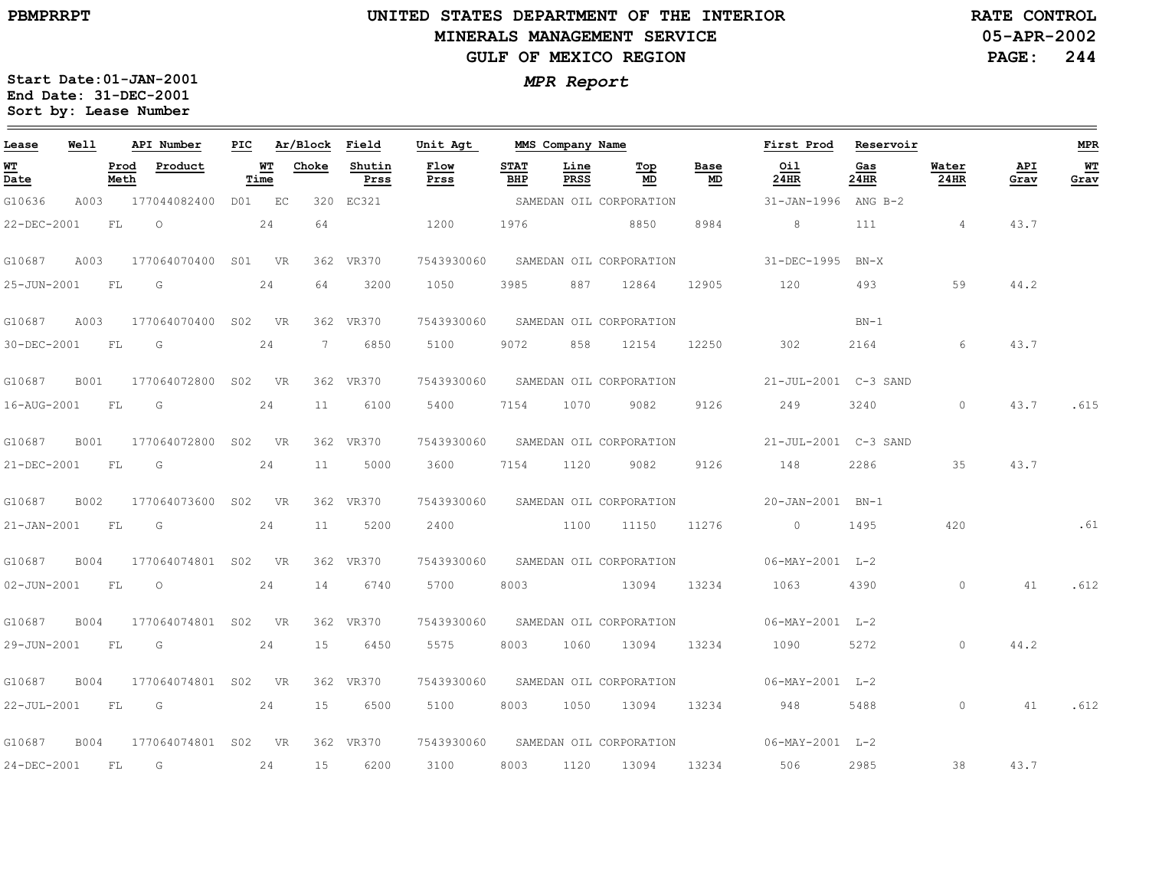### **UNITED STATES DEPARTMENT OF THE INTERIOR MINERALS MANAGEMENT SERVICEGULF OF MEXICO REGION**

**05-APR-2002PAGE: 244 RATE CONTROL**

| Lease             | Well        |              | API Number       | PIC             |            | Ar/Block    | Field          | Unit Agt     |                    | MMS Company Name |                         |            | First Prod           | Reservoir   |                |             | <b>MPR</b> |
|-------------------|-------------|--------------|------------------|-----------------|------------|-------------|----------------|--------------|--------------------|------------------|-------------------------|------------|----------------------|-------------|----------------|-------------|------------|
| <u>WТ</u><br>Date |             | Prod<br>Meth | Product          |                 | WТ<br>Time | Choke       | Shutin<br>Prss | Flow<br>Prss | <b>STAT</b><br>BHP | Line<br>PRSS     | $Top$<br>MD             | Base<br>MD | Oil<br>24HR          | Gas<br>24HR | Water<br>24HR  | API<br>Grav | WT<br>Grav |
| G10636            | A003        |              | 177044082400     | DO1             | EC         | 320         | EC321          |              |                    |                  | SAMEDAN OIL CORPORATION |            | 31-JAN-1996 ANG B-2  |             |                |             |            |
| 22-DEC-2001       |             | FL           | $\circ$          |                 | 24         | 64          |                | 1200         | 1976               |                  | 8850                    | 8984       | 8                    | 111         | $\overline{4}$ | 43.7        |            |
| G10687            | A003        |              | 177064070400     | S01             | VR         |             | 362 VR370      | 7543930060   |                    |                  | SAMEDAN OIL CORPORATION |            | 31-DEC-1995          | $BN-X$      |                |             |            |
| 25-JUN-2001       |             | FL           | G                |                 | 24         | 64          | 3200           | 1050         | 3985               | 887              | 12864                   | 12905      | 120                  | 493         | 59             | 44.2        |            |
| G10687            | A003        |              | 177064070400     | S02             | VR.        |             | 362 VR370      | 7543930060   |                    |                  | SAMEDAN OIL CORPORATION |            |                      | $BN-1$      |                |             |            |
| 30-DEC-2001       |             | FL           | G                |                 | 24         | $7^{\circ}$ | 6850           | 5100         | 9072               | 858              | 12154                   | 12250      | 302                  | 2164        | 6              | 43.7        |            |
| G10687            | <b>B001</b> |              | 177064072800     | S <sub>02</sub> | VR         |             | 362 VR370      | 7543930060   |                    |                  | SAMEDAN OIL CORPORATION |            | 21-JUL-2001 C-3 SAND |             |                |             |            |
| 16-AUG-2001       |             | FL           | G                |                 | 24         | 11          | 6100           | 5400         | 7154               | 1070             | 9082                    | 9126       | 249                  | 3240        | $\circ$        | 43.7        | .615       |
| G10687            | <b>B001</b> |              | 177064072800     | S02             | <b>VR</b>  |             | 362 VR370      | 7543930060   |                    |                  | SAMEDAN OIL CORPORATION |            | 21-JUL-2001 C-3 SAND |             |                |             |            |
| 21-DEC-2001       |             | FL           | G                |                 | 24         | 11          | 5000           | 3600         | 7154               | 1120             | 9082                    | 9126       | 148                  | 2286        | 35             | 43.7        |            |
| G10687            | B002        |              | 177064073600     | S02             | - VR       |             | 362 VR370      | 7543930060   |                    |                  | SAMEDAN OIL CORPORATION |            | 20-JAN-2001 BN-1     |             |                |             |            |
| 21-JAN-2001       |             | FL           | G                |                 | 24         | 11          | 5200           | 2400         |                    | 1100             | 11150                   | 11276      | $\circ$              | 1495        | 420            |             | .61        |
| G10687            | <b>B004</b> |              | 177064074801 S02 |                 | <b>VR</b>  |             | 362 VR370      | 7543930060   |                    |                  | SAMEDAN OIL CORPORATION |            | $06-MAY-2001$ L-2    |             |                |             |            |
| $02 - JUN - 2001$ |             | FL           | $\circ$          |                 | 24         | 14          | 6740           | 5700         | 8003               |                  | 13094                   | 13234      | 1063                 | 4390        | $\circ$        | 41          | .612       |
| G10687            | <b>B004</b> |              | 177064074801 S02 |                 | <b>VR</b>  |             | 362 VR370      | 7543930060   |                    |                  | SAMEDAN OIL CORPORATION |            | $06-MAY-2001$ L-2    |             |                |             |            |
| 29-JUN-2001       |             | FL           | G                |                 | 24         | 15          | 6450           | 5575         | 8003               | 1060             | 13094                   | 13234      | 1090                 | 5272        | $\circ$        | 44.2        |            |
| G10687            | <b>B004</b> |              | 177064074801 S02 |                 | <b>VR</b>  |             | 362 VR370      | 7543930060   |                    |                  | SAMEDAN OIL CORPORATION |            | $06-MAY-2001$ L-2    |             |                |             |            |
| 22-JUL-2001       |             | FL           | G                |                 | 24         | 15          | 6500           | 5100         | 8003               | 1050             | 13094                   | 13234      | 948                  | 5488        | $\circ$        | 41          | .612       |
| G10687            | <b>B004</b> |              | 177064074801 S02 |                 | <b>VR</b>  |             | 362 VR370      | 7543930060   |                    |                  | SAMEDAN OIL CORPORATION |            | $06-MAY-2001$ L-2    |             |                |             |            |
| 24-DEC-2001       |             | FL           | G                |                 | 24         | 15          | 6200           | 3100         | 8003               | 1120             | 13094                   | 13234      | 506                  | 2985        | 38             | 43.7        |            |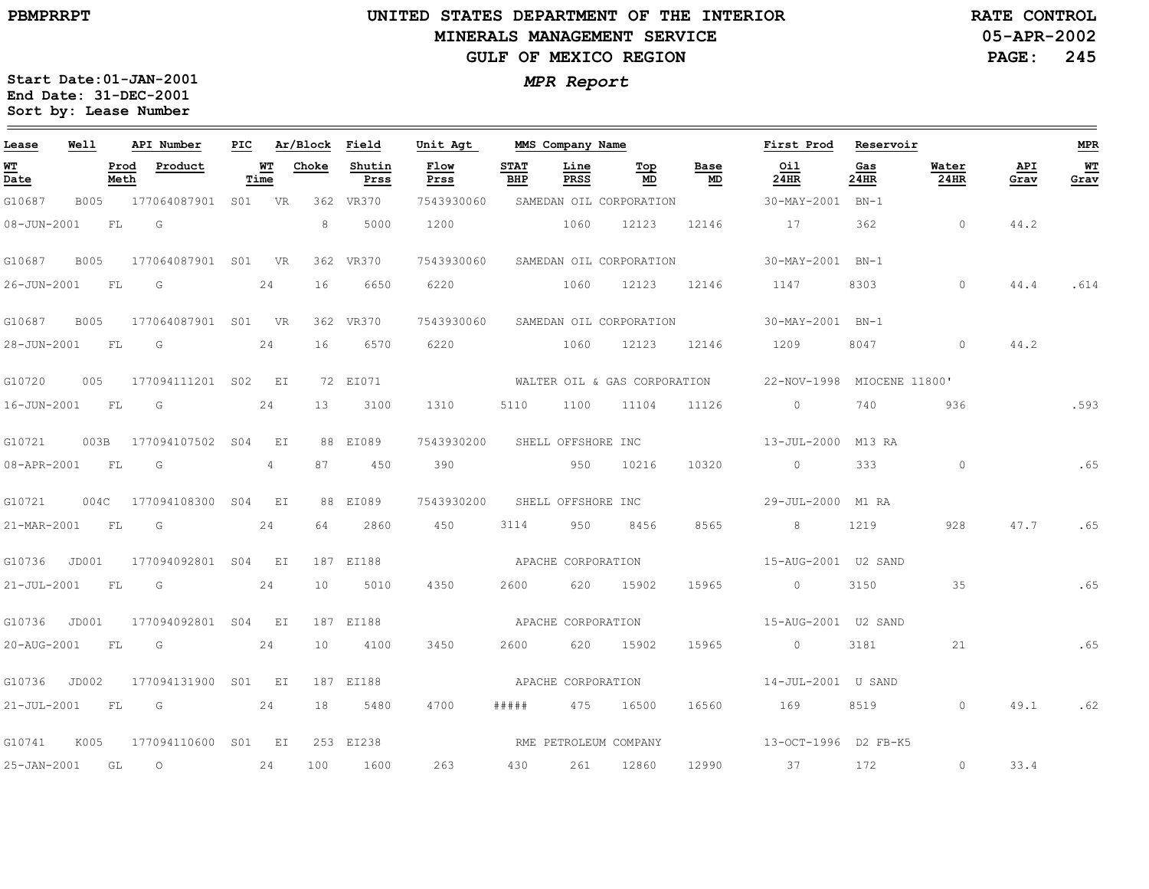### **UNITED STATES DEPARTMENT OF THE INTERIOR MINERALS MANAGEMENT SERVICEGULF OF MEXICO REGION**

**05-APR-2002PAGE: 245 RATE CONTROL**

| Lease       | Well        |              | API Number          | PIC |              | Ar/Block | Field          | Unit Agt              |                    | MMS Company Name   |                              |            | First Prod                | Reservoir      |               |             | MPR         |
|-------------|-------------|--------------|---------------------|-----|--------------|----------|----------------|-----------------------|--------------------|--------------------|------------------------------|------------|---------------------------|----------------|---------------|-------------|-------------|
| WТ<br>Date  |             | Prod<br>Meth | Product             |     | WТ<br>Time   | Choke    | Shutin<br>Prss | Flow<br>Prss          | <b>STAT</b><br>BHP | Line<br>PRSS       | Top<br>MD                    | Base<br>MD | Oil<br>24HR               | Gas<br>24HR    | Water<br>24HR | API<br>Grav | $W$<br>Grav |
| G10687      | <b>B005</b> |              | 177064087901 S01 VR |     |              |          | 362 VR370      | 7543930060            |                    |                    | SAMEDAN OIL CORPORATION      |            | 30-MAY-2001               | $BN-1$         |               |             |             |
| 08-JUN-2001 |             | FL.          | G                   |     |              | 8        | 5000           | 1200                  |                    | 1060               | 12123                        | 12146      | 17                        | 362            | $\circ$       | 44.2        |             |
| G10687      | <b>B005</b> |              | 177064087901 S01    |     | <b>VR</b>    |          | 362 VR370      | 7543930060            |                    |                    | SAMEDAN OIL CORPORATION      |            | 30-MAY-2001               | $BN-1$         |               |             |             |
| 26-JUN-2001 |             | FL           | G                   |     | 24           | 16       | 6650           | 6220                  |                    | 1060               | 12123                        | 12146      | 1147                      | 8303           | $\circ$       | 44.4        | .614        |
| G10687      | B005        |              | 177064087901 S01 VR |     |              |          | 362 VR370      | 7543930060            |                    |                    | SAMEDAN OIL CORPORATION      |            | 30-MAY-2001 BN-1          |                |               |             |             |
| 28-JUN-2001 |             | FL           | G                   |     | 24           | 16       | 6570           | 6220                  |                    | 1060               | 12123                        | 12146      | 1209                      | 8047           | $\circ$       | 44.2        |             |
| G10720      | 005         |              | 177094111201 S02    |     | EI           |          | 72 EI071       |                       |                    |                    | WALTER OIL & GAS CORPORATION |            | 22-NOV-1998               | MIOCENE 11800' |               |             |             |
| 16-JUN-2001 |             | FL           | G                   |     | 24           | 13       | 3100           | 1310                  | 5110               | 1100               | 11104                        | 11126      | $\circ$                   | 740            | 936           |             | .593        |
| G10721      | 003B        |              | 177094107502 S04    |     | $E_{\rm{I}}$ |          | 88 EI089       | 7543930200            |                    | SHELL OFFSHORE INC |                              |            | 13-JUL-2000 M13 RA        |                |               |             |             |
| 08-APR-2001 |             | FL           | G                   |     | 4            | 87       | 450            | 390                   |                    | 950                | 10216                        | 10320      | $\overline{0}$            | 333            | $\circ$       |             | .65         |
| G10721      | 004C        |              | 177094108300 S04    |     | EI           |          | 88 EI089       | 7543930200            |                    | SHELL OFFSHORE INC |                              |            | 29-JUL-2000 M1 RA         |                |               |             |             |
| 21-MAR-2001 |             | FL           | G                   |     | 24           | 64       | 2860           | 450                   | 3114               | 950                | 8456                         | 8565       | 8                         | 1219           | 928           | 47.7        | .65         |
| G10736      | JD001       |              | 177094092801 S04    |     | $E_{\rm L}$  |          | 187 EI188      |                       |                    | APACHE CORPORATION |                              |            |                           |                |               |             |             |
| 21-JUL-2001 |             | FL           | G                   |     | 24           | 10       | 5010           | 4350                  | 2600               | 620                | 15902                        | 15965      | $\overline{0}$            | 3150           | 35            |             | .65         |
| G10736      | JD001       |              | 177094092801 S04 EI |     |              |          | 187 EI188      | APACHE CORPORATION    |                    |                    |                              |            | 15-AUG-2001    U2    SAND |                |               |             |             |
| 20-AUG-2001 |             | FL           | G                   |     | 24           | 10       | 4100           | 3450                  | 2600               | 620                | 15902                        | 15965      | $\circ$                   | 3181           | 21            |             | .65         |
| G10736      | JD002       |              | 177094131900 S01 EI |     |              |          | 187 EI188      |                       |                    | APACHE CORPORATION |                              |            | 14-JUL-2001 U SAND        |                |               |             |             |
| 21-JUL-2001 |             | <b>FL</b>    | $\overline{G}$      |     | 24           | 18       | 5480           | 4700                  | # # # # #          | 475                | 16500                        | 16560      | 169                       | 8519           | $\Omega$      | 49.1        | .62         |
| G10741      | K005        |              | 177094110600 S01 EI |     |              |          | 253 EI238      | RME PETROLEUM COMPANY |                    |                    |                              |            | 13-OCT-1996 D2 FB-K5      |                |               |             |             |
| 25-JAN-2001 |             | GL           | $\circ$             |     | 24           | 100      | 1600           | 263                   | 430                | 261                | 12860                        | 12990      | 37                        | 172            | $\circ$       | 33.4        |             |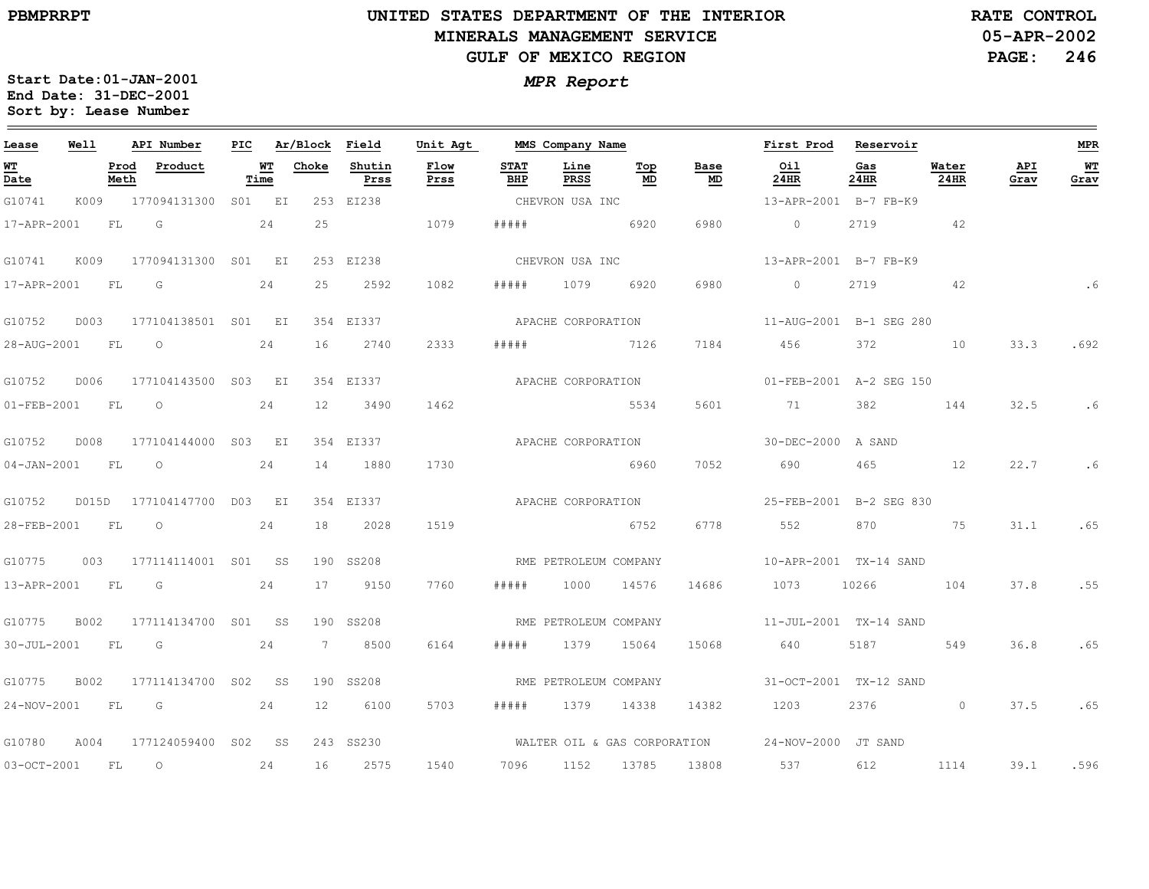$\equiv$ 

# **UNITED STATES DEPARTMENT OF THE INTERIOR MINERALS MANAGEMENT SERVICEGULF OF MEXICO REGION**

**05-APR-2002PAGE: 246 RATE CONTROL**

| Lease                          | Well        |              | API Number          | PIC |                   | Ar/Block Field |                | Unit Agt           |                       | MMS Company Name      |           |                              | First Prod              | Reservoir   |                |             | MPR        |
|--------------------------------|-------------|--------------|---------------------|-----|-------------------|----------------|----------------|--------------------|-----------------------|-----------------------|-----------|------------------------------|-------------------------|-------------|----------------|-------------|------------|
| WТ<br>$\overline{\text{Date}}$ |             | Prod<br>Meth | Product             |     | <u>WT</u><br>Time | Choke          | Shutin<br>Prss | Flow<br>Prss       | <b>STAT</b><br>BHP    | Line<br>PRSS          | Top<br>MD | Base<br>MD                   | Oil<br>24HR             | Gas<br>24HR | Water<br>24HR  | API<br>Grav | WT<br>Grav |
| G10741                         | K009        |              | 177094131300 S01 EI |     |                   |                | 253 EI238      |                    |                       | CHEVRON USA INC       |           |                              | 13-APR-2001 B-7 FB-K9   |             |                |             |            |
| 17-APR-2001                    |             | FL           | G                   |     | 24                | 25             |                | 1079               | # # # # #             | 6920                  |           | 6980                         | $\circ$                 | 2719        | 42             |             |            |
| G10741                         | K009        |              | 177094131300 S01 EI |     |                   |                | 253 EI238      |                    |                       | CHEVRON USA INC       |           |                              | 13-APR-2001 B-7 FB-K9   |             |                |             |            |
| 17-APR-2001                    |             | FL           | G                   |     | 24                | 25             | 2592           | 1082               | #####                 | 1079                  | 6920      | 6980                         | $\circ$                 | 2719        | 42             |             | .6         |
| G10752                         | D003        |              | 177104138501 S01 EI |     |                   |                | 354 EI337      |                    |                       | APACHE CORPORATION    |           |                              | 11-AUG-2001 B-1 SEG 280 |             |                |             |            |
| 28-AUG-2001                    |             | <b>FL</b>    | $\circ$             |     | 24                | 16             | 2740           | 2333               | # # # # #             | 7126                  |           | 7184                         | 456                     | 372         | 10             | 33.3        | .692       |
| G10752                         | D006        |              | 177104143500 S03 EI |     |                   |                | 354 EI337      | APACHE CORPORATION |                       |                       |           |                              | 01-FEB-2001 A-2 SEG 150 |             |                |             |            |
| 01-FEB-2001                    |             | FL           | $\circ$             |     | 24                | 12             | 3490           | 1462               |                       |                       | 5534      | 5601                         | 71                      | 382         | 144            | 32.5        | .6         |
| G10752                         | D008        |              | 177104144000 S03 EI |     |                   |                | 354 EI337      | APACHE CORPORATION |                       |                       |           |                              | 30-DEC-2000 A SAND      |             |                |             |            |
| $04 - JAN - 2001$              |             | FL           | $\circ$             |     | 24                | 14             | 1880           | 1730               |                       |                       | 6960      | 7052                         | 690                     | 465         | 12             | 22.7        | .6         |
| G10752                         | D015D       |              | 177104147700 D03 EI |     |                   |                | 354 EI337      | APACHE CORPORATION |                       |                       |           |                              | 25-FEB-2001 B-2 SEG 830 |             |                |             |            |
| 28-FEB-2001                    |             | FL.          | $\circ$             |     | 24                | 18             | 2028           | 1519               |                       |                       | 6752      | 6778                         | 552                     | 870         | 75             |             | 31.1 .65   |
| G10775                         | 003         |              | 177114114001 S01 SS |     |                   |                | 190 SS208      |                    |                       | RME PETROLEUM COMPANY |           |                              | 10-APR-2001 TX-14 SAND  |             |                |             |            |
| 13-APR-2001                    |             | <b>FL</b>    | $\overline{G}$      |     | 24                | 17             | 9150           | 7760               | #####                 | 1000                  | 14576     | 14686                        | 1073                    | 10266       | 104            | 37.8        | .55        |
| G10775                         | <b>B002</b> |              | 177114134700 S01 SS |     |                   |                | 190 SS208      |                    | RME PETROLEUM COMPANY |                       |           |                              | 11-JUL-2001 TX-14 SAND  |             |                |             |            |
| 30-JUL-2001                    |             | FL           | $\overline{G}$      |     | 24                | 7              | 8500           | 6164               | #####                 | 1379 15064            |           | 15068                        | 640                     | 5187        | 549            | 36.8        | .65        |
| G10775                         | B002        |              | 177114134700 S02 SS |     |                   |                | 190 SS208      |                    |                       | RME PETROLEUM COMPANY |           |                              | 31-OCT-2001 TX-12 SAND  |             |                |             |            |
| 24-NOV-2001                    |             | <b>FL</b>    | G                   |     | 24                | 12             | 6100           | 5703               | #####                 | 1379                  | 14338     | 14382                        | 1203                    | 2376        | $\overline{0}$ | 37.5        | .65        |
| G10780                         | A004        |              | 177124059400 S02    |     | SS                | 243            | SS230          |                    |                       |                       |           | WALTER OIL & GAS CORPORATION | 24-NOV-2000             | JT SAND     |                |             |            |
| $03-0CT-2001$                  |             | FL           | $\circ$             |     | 24                | 16             | 2575           | 1540               | 7096                  | 1152                  | 13785     | 13808                        | 537                     | 612         | 1114           | 39.1        | .596       |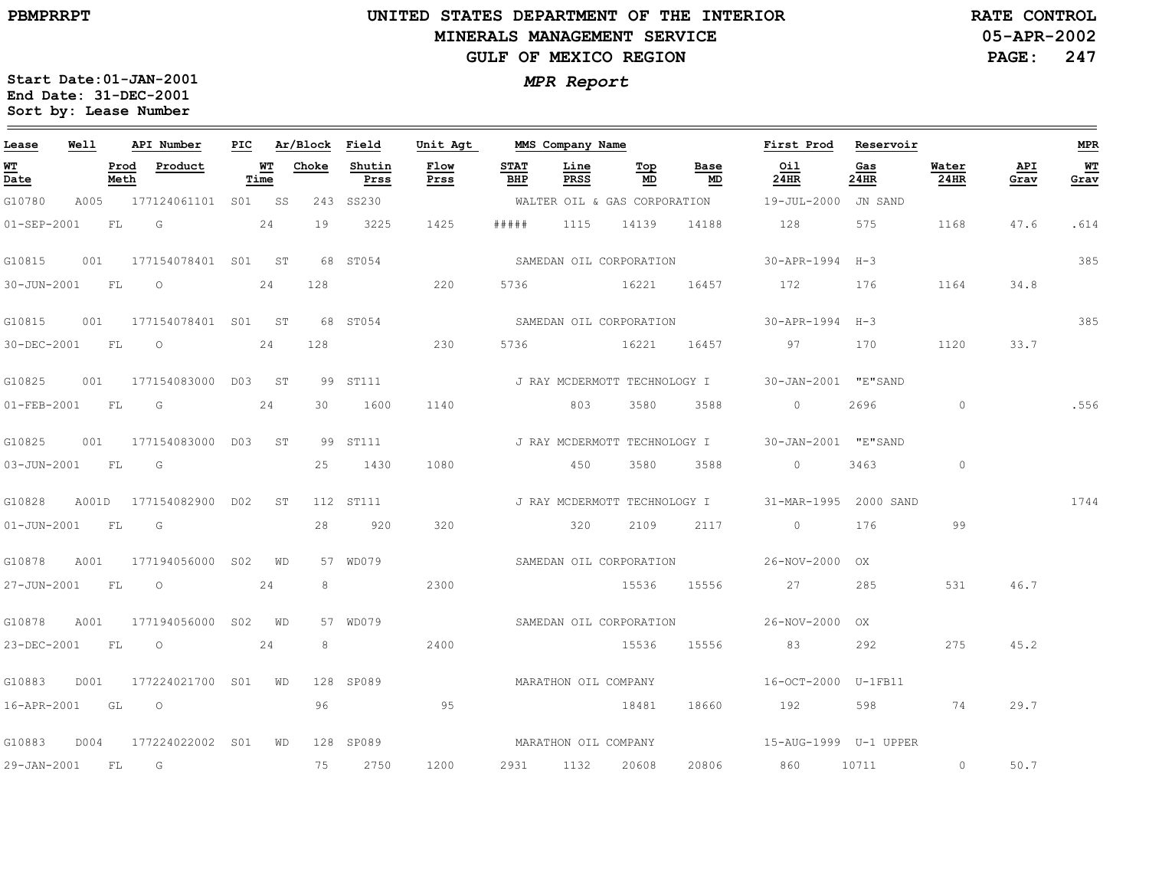$\equiv$ 

# **UNITED STATES DEPARTMENT OF THE INTERIOR MINERALS MANAGEMENT SERVICEGULF OF MEXICO REGION**

**05-APR-2002PAGE: 247 RATE CONTROL**

| Lease             | Well      |              | API Number               | PIC |            | Ar/Block Field |                | Unit Agt             |                    | MMS Company Name     |                              |                              | First Prod                                       | Reservoir   |                |             | <b>MPR</b> |
|-------------------|-----------|--------------|--------------------------|-----|------------|----------------|----------------|----------------------|--------------------|----------------------|------------------------------|------------------------------|--------------------------------------------------|-------------|----------------|-------------|------------|
| WT<br>Date        |           | Prod<br>Meth | Product                  |     | WT<br>Time | Choke          | Shutin<br>Prss | Flow<br>Prss         | <b>STAT</b><br>BHP | Line<br>PRSS         | Top<br>MD                    | Base<br>MD                   | Oil<br>24HR                                      | Gas<br>24HR | Water<br>24HR  | API<br>Grav | WΤ<br>Grav |
| G10780            |           |              | A005 177124061101 S01 SS |     |            |                | 243 SS230      |                      |                    |                      |                              |                              | WALTER OIL & GAS CORPORATION 19-JUL-2000         | JN SAND     |                |             |            |
| 01-SEP-2001       |           | FL           | G                        |     | 24         | 19             | 3225           | 1425                 | # # # # #          | 1115                 | 14139                        | 14188                        | 128                                              | 575         | 1168           | 47.6        | .614       |
| G10815            | 001       |              | 177154078401 S01 ST      |     |            |                | 68 ST054       |                      |                    |                      | SAMEDAN OIL CORPORATION      |                              | 30-APR-1994                                      | $H-3$       |                |             | 385        |
| 30-JUN-2001       | <b>FL</b> |              | $\circ$                  |     | 24         | 128            |                | 220                  | 5736               |                      | 16221                        | 16457                        | 172                                              | 176         | 1164           | 34.8        |            |
| G10815            |           |              | 001 177154078401 S01 ST  |     |            |                | 68 ST054       |                      |                    |                      | SAMEDAN OIL CORPORATION      |                              | 30-APR-1994 H-3                                  |             |                |             | 385        |
| 30-DEC-2001       | <b>FL</b> |              | $\overline{O}$           |     | 24         | 128            |                | 230                  | 5736               |                      | 16221                        | 16457                        | 97                                               | 170         | 1120           | 33.7        |            |
| G10825            | 001       |              | 177154083000 D03 ST      |     |            |                | 99 ST111       |                      |                    |                      |                              |                              | J RAY MCDERMOTT TECHNOLOGY I 30-JAN-2001 "E"SAND |             |                |             |            |
| $01 - FEB - 2001$ |           | FL           | G                        |     | 24         | 30             | 1600           | 1140                 |                    | 803                  | 3580                         | 3588                         | $\Omega$                                         | 2696        | $\overline{0}$ |             | .556       |
| G10825            |           |              | 001 177154083000 D03 ST  |     |            |                | 99 ST111       |                      |                    |                      | J RAY MCDERMOTT TECHNOLOGY I |                              | 30-JAN-2001 "E"SAND                              |             |                |             |            |
| 03-JUN-2001       | FL        |              | G                        |     |            | 25             | 1430           | 1080                 |                    | 450                  | 3580                         | 3588                         | $\circ$                                          | 3463        | $\circ$        |             |            |
| G10828            |           |              | A001D 177154082900 D02   |     | ST         |                | 112 ST111      |                      |                    |                      |                              | J RAY MCDERMOTT TECHNOLOGY I | 31-MAR-1995 2000 SAND                            |             |                |             | 1744       |
| $01 - JUN - 2001$ |           | FL           | G                        |     |            | 28             | 920            | 320                  |                    | 320                  | 2109                         | 2117                         | $\circ$                                          | 176         | 99             |             |            |
| G10878            | A001      |              | 177194056000 SO2         |     | WD         |                | 57 WD079       |                      |                    |                      | SAMEDAN OIL CORPORATION      |                              | 26-NOV-2000 OX                                   |             |                |             |            |
| 27-JUN-2001       |           | FL           | $\overline{O}$           |     | 24         | 8              |                | 2300                 |                    |                      | 15536                        | 15556                        | 27                                               | 285         | 531            | 46.7        |            |
| G10878            | A001      |              | 177194056000 S02 WD      |     |            |                | 57 WD079       |                      |                    |                      |                              | SAMEDAN OIL CORPORATION      | 26-NOV-2000 OX                                   |             |                |             |            |
| 23-DEC-2001       |           | FL           | $\circ$                  |     | 24         | 8              |                | 2400                 |                    |                      | 15536                        | 15556                        | 83                                               | 292         | 275            | 45.2        |            |
| G10883            | D001      |              | 177224021700 S01 WD      |     |            |                | 128 SP089      |                      |                    | MARATHON OIL COMPANY |                              |                              | 16-OCT-2000 U-1FB11                              |             |                |             |            |
| 16-APR-2001 GL    |           |              | $\overline{O}$           |     |            | 96             |                | 95                   |                    |                      | 18481                        | 18660                        | 192                                              | 598         | 74             | 29.7        |            |
| G10883            | D004      |              | 177224022002 SO1 WD      |     |            |                | 128 SP089      | MARATHON OIL COMPANY |                    |                      |                              |                              |                                                  |             |                |             |            |
| 29-JAN-2001       |           | FL           | G                        |     |            | 75             | 2750           | 1200                 | 2931               | 1132                 | 20608                        | 20806                        | 860                                              | 10711       | $\circ$        | 50.7        |            |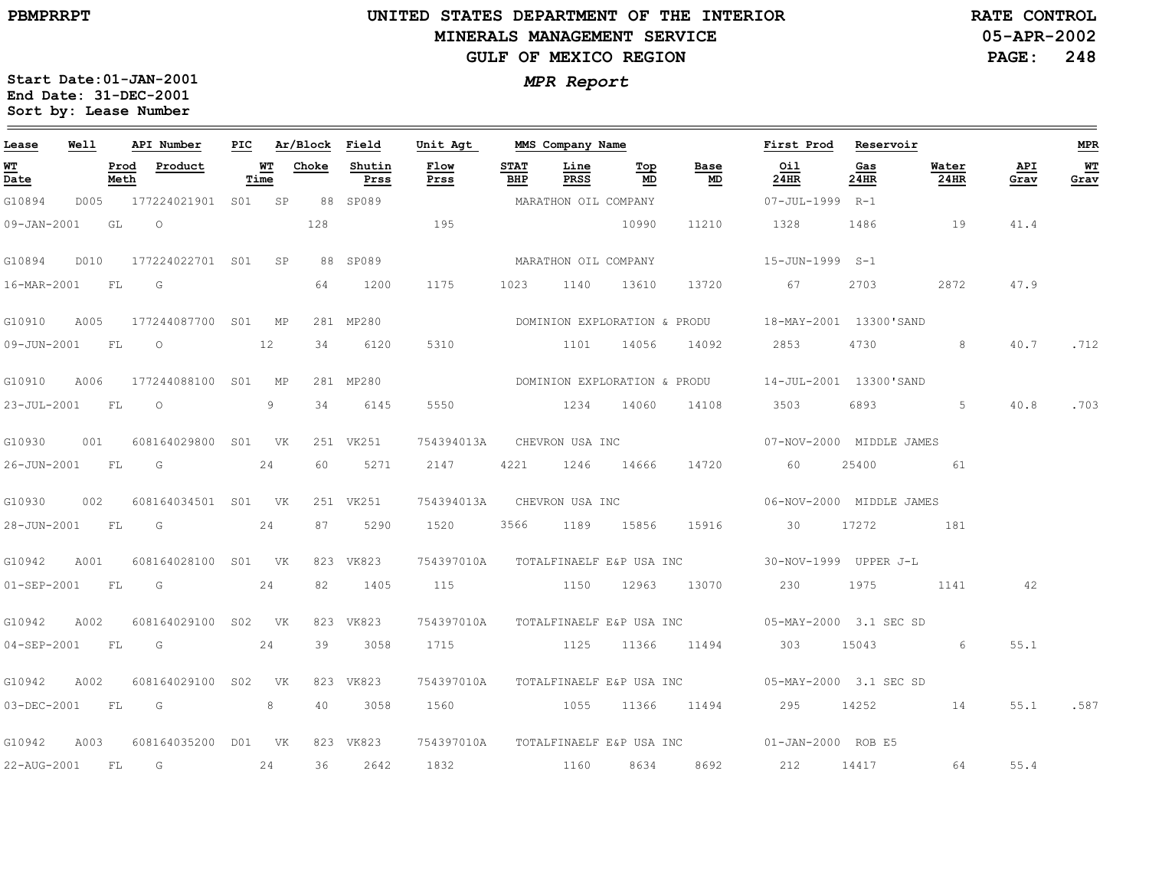**Start Date:01-JAN-2001**

**Sort by: Lease Number** 

# **UNITED STATES DEPARTMENT OF THE INTERIOR MINERALS MANAGEMENT SERVICEGULF OF MEXICO REGION**

**05-APR-2002PAGE: 248 RATE CONTROL**

# *MPR Report* **End Date: 31-DEC-2001**

| Lease            | Well |              | API Number               |      | PIC Ar/Block Field |                | Unit Agt              |                    | MMS Company Name      |           |            | First Prod Reservoir                                       |                 |               |             | <b>MPR</b> |
|------------------|------|--------------|--------------------------|------|--------------------|----------------|-----------------------|--------------------|-----------------------|-----------|------------|------------------------------------------------------------|-----------------|---------------|-------------|------------|
| WT<br>Date       |      | Prod<br>Meth | Product                  | Time | <b>WT</b> Choke    | Shutin<br>Prss | Flow<br>Prss          | <b>STAT</b><br>BHP | Line<br>PRSS          | Тор<br>MD | Base<br>MD | Oil<br>24HR                                                | Gas<br>24HR     | Water<br>24HR | API<br>Grav | WT<br>Grav |
| G10894           | D005 |              | 177224021901 S01 SP      |      |                    | 88 SP089       | MARATHON OIL COMPANY  |                    |                       |           |            | 07-JUL-1999 R-1                                            |                 |               |             |            |
| 09-JAN-2001      |      | GL           | $\circ$                  |      | 128                |                | 195                   |                    |                       | 10990     | 11210      | 1328 1486                                                  |                 | 19            | 41.4        |            |
| G10894           |      |              | D010 177224022701 S01 SP |      |                    | 88 SP089       | MARATHON OIL COMPANY  |                    |                       |           |            | 15-JUN-1999 S-1                                            |                 |               |             |            |
| 16-MAR-2001 FL G |      |              |                          |      | 64                 | 1200           | 1175                  |                    | 1023 1140 13610       |           | 13720      | 67 67                                                      | 2703            | 2872          | 47.9        |            |
| G10910           | A005 |              | 177244087700 S01 MP      |      |                    | 281 MP280      |                       |                    |                       |           |            | DOMINION EXPLORATION & PRODU 18-MAY-2001 13300'SAND        |                 |               |             |            |
|                  |      |              | 09-JUN-2001 FL 0 12      |      |                    | 34 6120        | 5310 1101 14056 14092 |                    |                       |           |            | 2853                                                       | 4730 and $\sim$ | 8             | 40.7        | .712       |
| G10910           | A006 |              | 177244088100 S01 MP      |      |                    | 281 MP280      |                       |                    |                       |           |            | DOMINION EXPLORATION & PRODU 14-JUL-2001 13300'SAND        |                 |               |             |            |
|                  |      |              | 23-JUL-2001 FL 0         | 9    | 34                 | 6145           | 5550                  |                    | 1234 14060            |           | 14108      | 3503                                                       |                 | 5             | 40.8        | .703       |
| G10930           |      |              | 001 608164029800 S01 VK  |      |                    | 251 VK251      |                       |                    |                       |           |            | 754394013A CHEVRON USA INC 07-NOV-2000 MIDDLE JAMES        |                 |               |             |            |
| 26-JUN-2001 FL G |      |              |                          | 24   | 60                 | 5271           | 2147 4221 1246 14666  |                    |                       |           | 14720      | 60                                                         | 25400           | 61            |             |            |
| G10930           | 002  |              | 608164034501 S01 VK      |      |                    | 251 VK251      |                       |                    |                       |           |            | 754394013A CHEVRON USA INC 06-NOV-2000 MIDDLE JAMES        |                 |               |             |            |
|                  |      |              | 28-JUN-2001 FL G 24      |      | 87 —               | 5290           | 1520                  |                    | 3566 1189 15856 15916 |           |            | 30 17272                                                   |                 | 181           |             |            |
| G10942           | A001 |              | 608164028100 S01 VK      |      |                    | 823 VK823      |                       |                    |                       |           |            | 754397010A TOTALFINAELF E&P USA INC 30-NOV-1999 UPPER J-L  |                 |               |             |            |
| 01-SEP-2001 FL   |      |              | G                        | 24   | 82                 | 1405           |                       |                    |                       |           |            | 115 1150 12963 13070 230 1975                              |                 | 1141          | 42          |            |
| G10942           | A002 |              | 608164029100 S02 VK      |      |                    | 823 VK823      |                       |                    |                       |           |            | 754397010A TOTALFINAELF E&P USA INC 05-MAY-2000 3.1 SEC SD |                 |               |             |            |
|                  |      |              | 04-SEP-2001 FL G 24      |      | 39                 | 3058           |                       |                    |                       |           |            | 1715 1125 11366 11494 303 15043                            |                 | 6             | 55.1        |            |
| G10942           | A002 |              | 608164029100 S02 VK      |      |                    | 823 VK823      |                       |                    |                       |           |            | 754397010A TOTALFINAELF E&P USA INC 05-MAY-2000 3.1 SEC SD |                 |               |             |            |
|                  |      |              | 03-DEC-2001 FL G         | 8    | 40                 | 3058           |                       |                    |                       |           |            |                                                            |                 |               | 55.1        | .587       |
| G10942           | A003 |              | 608164035200 D01 VK      |      |                    | 823 VK823      |                       |                    |                       |           |            | 754397010A TOTALFINAELF E&P USA INC 01-JAN-2000 ROB E5     |                 |               |             |            |
| 22-AUG-2001      |      |              | $FL$ G 24                |      | 36                 | 2642           | 1832 1160 8634 8692   |                    |                       |           |            | 212 14417 64                                               |                 |               | 55.4        |            |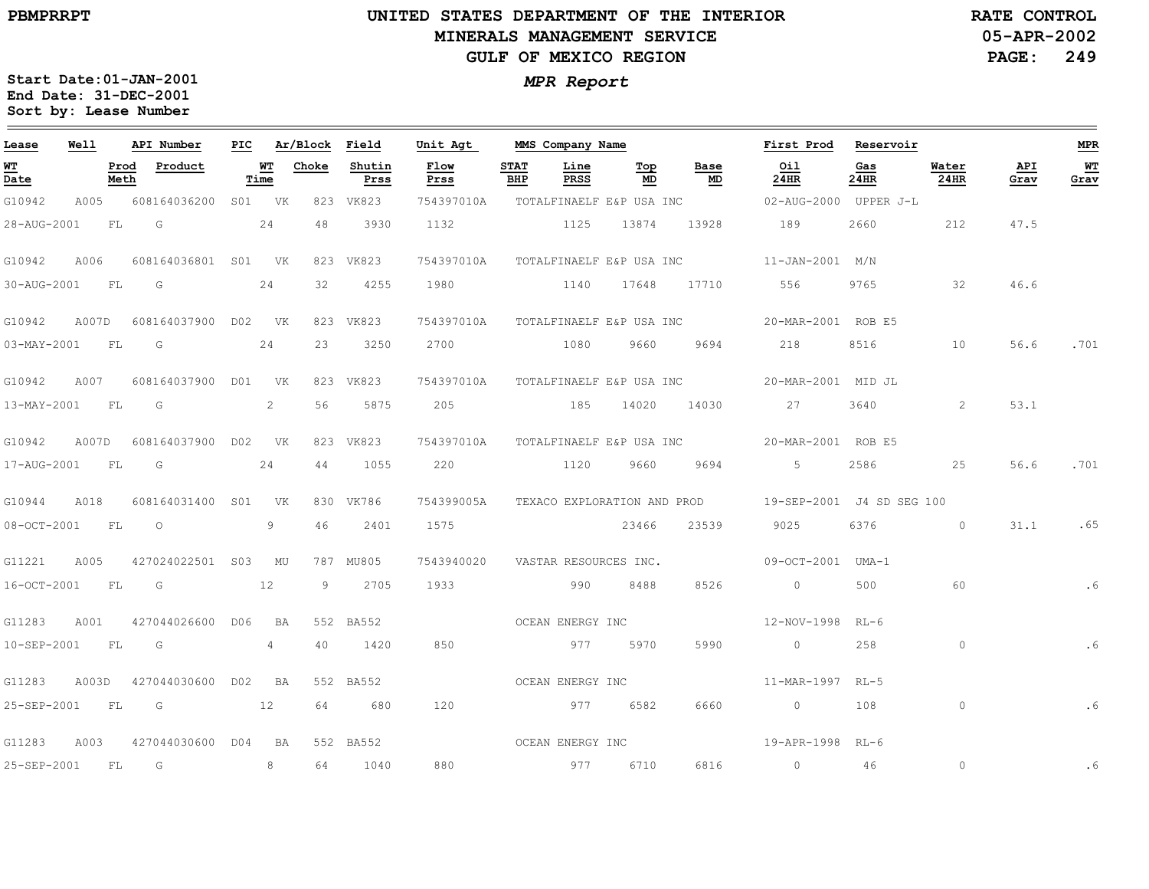### **UNITED STATES DEPARTMENT OF THE INTERIOR MINERALS MANAGEMENT SERVICEGULF OF MEXICO REGION**

**05-APR-2002PAGE: 249 RATE CONTROL**

| Lease            | Well |           | API Number                | PIC |            | Ar/Block Field |                | Unit Agt         |                    | MMS Company Name |           |                | First Prod Reservoir                                   |             |                |             | <b>MPR</b> |
|------------------|------|-----------|---------------------------|-----|------------|----------------|----------------|------------------|--------------------|------------------|-----------|----------------|--------------------------------------------------------|-------------|----------------|-------------|------------|
| WT<br>Date       |      | Meth      | Prod Product              |     | WT<br>Time | Choke          | Shutin<br>Prss | Flow<br>Prss     | <b>STAT</b><br>BHP | Line<br>PRSS     | Тор<br>MD | Base<br>MD     | Oil<br>24HR                                            | Gas<br>24HR | Water<br>24HR  | API<br>Grav | WT<br>Grav |
| G10942           | A005 |           | 608164036200 S01 VK       |     |            |                | 823 VK823      | 754397010A       |                    |                  |           |                |                                                        |             |                |             |            |
| 28-AUG-2001      |      | <b>FL</b> | G                         |     | 24         | 48             | 3930           | 1132             |                    | 1125 13874       |           | 13928          | 189                                                    | 2660        | 212            | 47.5        |            |
| G10942           | A006 |           | 608164036801 S01 VK       |     |            |                | 823 VK823      |                  |                    |                  |           |                | 754397010A TOTALFINAELF E&P USA INC 11-JAN-2001 M/N    |             |                |             |            |
| 30-AUG-2001 FL G |      |           | 24                        |     |            | 32             | 4255           |                  |                    |                  |           |                | 1980    10    1140    17648    17710    556            | 9765        | 32             | 46.6        |            |
| G10942           |      |           | A007D 608164037900 D02 VK |     |            |                | 823 VK823      |                  |                    |                  |           |                | 754397010A TOTALFINAELF E&P USA INC 20-MAR-2001 ROB E5 |             |                |             |            |
| 03-MAY-2001 FL   |      |           | G                         |     | 24         |                | 23 3250        |                  |                    |                  |           |                | 2700 1080 9660 9694 218                                | 8516 7      | 10             | 56.6        | .701       |
| G10942           | A007 |           | 608164037900 D01 VK       |     |            |                | 823 VK823      |                  |                    |                  |           |                | 754397010A TOTALFINAELF E&P USA INC 20-MAR-2001 MID JL |             |                |             |            |
| 13-MAY-2001 FL G |      |           |                           |     | 2          | 56             | 5875           |                  |                    |                  |           |                | 205 185 14020 14030 27                                 | 3640        | $\overline{2}$ | 53.1        |            |
| G10942           |      |           | A007D 608164037900 D02 VK |     |            |                | 823 VK823      |                  |                    |                  |           |                | 754397010A TOTALFINAELF E&P USA INC 20-MAR-2001 ROB E5 |             |                |             |            |
| 17-AUG-2001 FL   |      |           | 24<br>G                   |     |            |                | 44 1055        | 220              |                    |                  |           | 1120 9660 9694 | $5 - 5$                                                | 2586 70     | 25             | 56.6        | .701       |
| G10944           | A018 |           | 608164031400 S01 VK       |     |            |                | 830 VK786      | 754399005A       |                    |                  |           |                | TEXACO EXPLORATION AND PROD 19-SEP-2001 J4 SD SEG 100  |             |                |             |            |
| 08-OCT-2001 FL O |      |           |                           |     | 9          | 46             | 2401           | 1575             |                    |                  | 23466     | 23539          | 9025 200                                               | 6376 0      |                | 31.1        | .65        |
| G11221           | A005 |           | 427024022501 S03 MU       |     |            |                | 787 MU805      |                  |                    |                  |           |                | 09-OCT-2001 UMA-1                                      |             |                |             |            |
| 16-OCT-2001 FL   |      |           | $\overline{\mathbb{G}}$   |     | 12         |                | 9 2705         | 1933             |                    | 990 8488         |           | 8526           | $\overline{0}$                                         | 500         | 60             |             | . 6        |
| G11283           | A001 |           | 427044026600 D06 BA       |     |            |                | 552 BA552      |                  |                    | OCEAN ENERGY INC |           |                | 12-NOV-1998 RL-6                                       |             |                |             |            |
| 10-SEP-2001      |      | FL        | G                         |     | 4          | 40             | 1420           | 850              |                    | 977 5970         |           | 5990           | $\overline{0}$                                         | 258         | $\circ$        |             | . 6        |
| G11283           |      |           | A003D 427044030600 D02 BA |     |            |                | 552 BA552      |                  |                    | OCEAN ENERGY INC |           |                | 11-MAR-1997 RL-5                                       |             |                |             |            |
| 25-SEP-2001      |      | FL        | $\overline{G}$            |     | 12         | 64             | 680            | 120              |                    | 977 6582         |           | 6660           | $\overline{0}$ and $\overline{0}$                      | 108         | $\circ$        |             | . 6        |
| G11283           | A003 |           | 427044030600 D04 BA       |     |            |                | 552 BA552      | OCEAN ENERGY INC |                    |                  |           |                | 19-APR-1998 RL-6                                       |             |                |             |            |
| 25-SEP-2001      |      | FL        | G                         |     | 8          |                | 64 1040        | 880              |                    | 977 6710         |           | 6816           | $\sim$ 0                                               | 46          | $\circ$        |             | . 6        |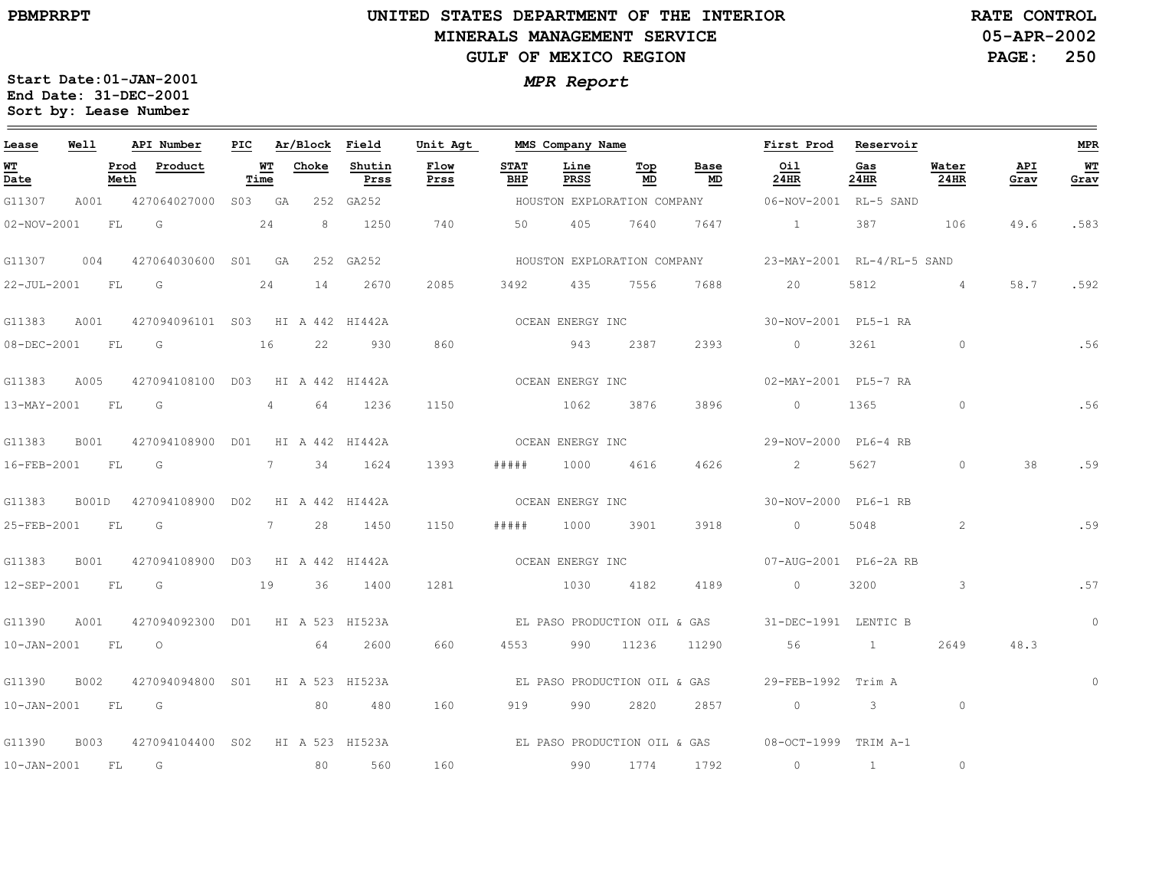### **UNITED STATES DEPARTMENT OF THE INTERIOR MINERALS MANAGEMENT SERVICEGULF OF MEXICO REGION**

**05-APR-2002PAGE: 250 RATE CONTROL**

| Lease             | Well        |              | API Number                           | PIC |             | Ar/Block Field |                | Unit Agt     |                    | MMS Company Name |                              |                              | First Prod                                        | Reservoir    |                 |             | <b>MPR</b> |
|-------------------|-------------|--------------|--------------------------------------|-----|-------------|----------------|----------------|--------------|--------------------|------------------|------------------------------|------------------------------|---------------------------------------------------|--------------|-----------------|-------------|------------|
| <u>WT</u><br>Date |             | Prod<br>Meth | Product                              |     | WT<br>Time  | Choke          | Shutin<br>Prss | Flow<br>Prss | <b>STAT</b><br>BHP | Line<br>PRSS     | Тор<br>MD                    | Base<br>MD                   | Oil<br>24HR                                       | Gas<br>24HR  | Water<br>24HR   | API<br>Grav | WT<br>Grav |
| G11307            | A001        |              | 427064027000 S03 GA                  |     |             |                | 252 GA252      |              |                    |                  |                              |                              | HOUSTON EXPLORATION COMPANY 66-NOV-2001 RL-5 SAND |              |                 |             |            |
| 02-NOV-2001       |             | FL           | G                                    |     | 24          | 8              | 1250           | 740          | 50                 | 405              | 7640                         | 7647                         | $\sim$ 1 $\sim$                                   | 387          | 106             | 49.6        | .583       |
| G11307            | 004         |              | 427064030600 S01 GA                  |     |             |                | 252 GA252      |              |                    |                  |                              | HOUSTON EXPLORATION COMPANY  | 23-MAY-2001 RL-4/RL-5 SAND                        |              |                 |             |            |
| 22-JUL-2001       |             | FL           | G                                    |     | 24          | 14             | 2670           | 2085         | 3492               | 435              | 7556                         | 7688                         | 20                                                | 5812         | $4\overline{4}$ | 58.7        | .592       |
| G11383            | A001        |              | 427094096101 S03 HI A 442 HI442A     |     |             |                |                |              |                    | OCEAN ENERGY INC |                              |                              | 30-NOV-2001 PL5-1 RA                              |              |                 |             |            |
| 08-DEC-2001 FL    |             |              | $\overline{\mathbb{G}}$              |     | 16          | 22             | 930            | 860          |                    | 943              | 2387                         | 2393                         | $\overline{0}$                                    | 3261         | $\circ$         |             | .56        |
| G11383            | A005        |              | 427094108100 D03 HI A 442 HI442A     |     |             |                |                |              |                    | OCEAN ENERGY INC |                              |                              | 02-MAY-2001 PL5-7 RA                              |              |                 |             |            |
| 13-MAY-2001       |             | FL           | G                                    |     | $4\degree$  | 64             | 1236           | 1150         |                    | 1062             | 3876                         | 3896                         | $\circ$                                           | 1365         | $\circ$         |             | .56        |
| G11383            | B001        |              | 427094108900 D01 HI A 442 HI442A     |     |             |                |                |              |                    | OCEAN ENERGY INC |                              |                              | 29-NOV-2000 PL6-4 RB                              |              |                 |             |            |
| 16-FEB-2001       |             | FL           | G                                    |     |             | 7 34           | 1624           | 1393         | # # # # #          | 1000             | 4616                         | 4626                         | $2^{\circ}$                                       | 5627         | $\circ$         | 38          | .59        |
| G11383            | B001D       |              | 427094108900 D02 HI A 442 HI442A     |     |             |                |                |              |                    | OCEAN ENERGY INC |                              |                              | 30-NOV-2000 PL6-1 RB                              |              |                 |             |            |
| 25-FEB-2001       |             | FL           | G                                    |     | $7$ and $7$ | 28             | 1450           | 1150         | #####              | 1000             | 3901                         | 3918                         | $\circ$                                           | 5048         | 2               |             | .59        |
| G11383            | <b>B001</b> |              | 427094108900 D03 HI A 442 HI442A     |     |             |                |                |              |                    | OCEAN ENERGY INC |                              |                              | 07-AUG-2001 PL6-2A RB                             |              |                 |             |            |
| 12-SEP-2001       |             | FL           | $\overline{\mathsf{G}}$<br>$\sim$ 19 |     |             | 36             | 1400           | 1281         |                    | 1030             | 4182                         | 4189                         | $\overline{0}$                                    | 3200         | $\mathcal{S}$   |             | .57        |
| G11390            | A001        |              | 427094092300 D01 HI A 523 HI523A     |     |             |                |                |              |                    |                  |                              | EL PASO PRODUCTION OIL & GAS | 31-DEC-1991 LENTIC B                              |              |                 |             | $\circ$    |
| $10 - JAN - 2001$ |             | <b>FL</b>    | $\overline{\phantom{0}}$             |     |             | 64             | 2600           | 660          | 4553               | 990 —            | 11236                        | 11290                        | 56                                                | $\sim$ 1     | 2649            | 48.3        |            |
| G11390            | B002        |              | 427094094800 S01 HI A 523 HI523A     |     |             |                |                |              |                    |                  | EL PASO PRODUCTION OIL & GAS |                              | 29-FEB-1992 Trim A                                |              |                 |             | $\circ$    |
| 10-JAN-2001 FL G  |             |              |                                      |     |             | 80             | 480            | 160          | 919                | 990              | 2820                         | 2857                         | $\overline{0}$                                    | $\mathbf{3}$ | $\circ$         |             |            |
| G11390            | <b>B003</b> |              | 427094104400 S02 HI A 523 HI523A     |     |             |                |                |              |                    |                  |                              | EL PASO PRODUCTION OIL & GAS | 08-OCT-1999 TRIM A-1                              |              |                 |             |            |
| $10 - JAN - 2001$ |             | FL           | $\overline{G}$                       |     |             | 80             | 560            | 160          |                    | 990              | 1774                         | 1792                         | $\circ$                                           | $\mathbf{1}$ | $\circ$         |             |            |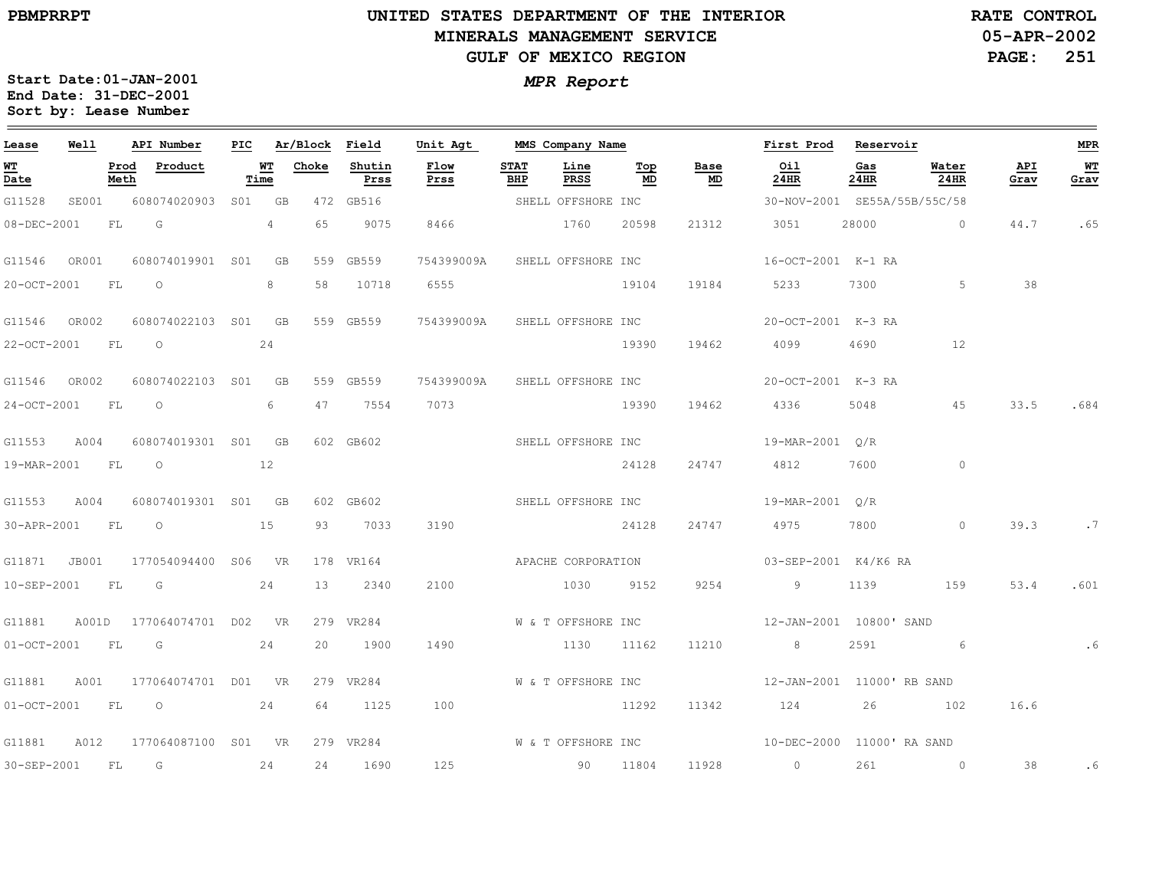# **UNITED STATES DEPARTMENT OF THE INTERIOR MINERALS MANAGEMENT SERVICEGULF OF MEXICO REGION**

**05-APR-2002PAGE: 251 RATE CONTROL**

| Lease             | Well  |      | API Number                       |                      |      | PIC Ar/Block Field |                | Unit Agt                      |                    | MMS Company Name   |           |             | First Prod Reservoir                             |             |                |             | <b>MPR</b> |
|-------------------|-------|------|----------------------------------|----------------------|------|--------------------|----------------|-------------------------------|--------------------|--------------------|-----------|-------------|--------------------------------------------------|-------------|----------------|-------------|------------|
| <b>WT</b><br>Date |       | Meth | Prod Product                     |                      | Time | <b>WT</b> Choke    | Shutin<br>Prss | Flow<br>Prss                  | <b>STAT</b><br>BHP | Line<br>PRSS       | Top<br>MD | Base<br>MD  | Oil<br>24HR                                      | Gas<br>24HR | Water<br>24HR  | API<br>Grav | WT<br>Grav |
| G11528            | SE001 |      | 608074020903 S01 GB              |                      |      |                    | 472 GB516      |                               |                    | SHELL OFFSHORE INC |           |             | 30-NOV-2001 SE55A/55B/55C/58                     |             |                |             |            |
| 08-DEC-2001       |       | FL F | G                                | $4\phantom{.0000}\,$ |      | 65                 | 9075           | 8466                          |                    | 1760 20598         |           | 21312       | 3051                                             |             | 28000 0        |             | 44.7 .65   |
| G11546 OR001      |       |      | 608074019901 S01 GB              |                      |      |                    | 559 GB559      | 754399009A SHELL OFFSHORE INC |                    |                    |           |             | 16-OCT-2001 K-1 RA                               |             |                |             |            |
| 20-OCT-2001 FL O  |       |      |                                  |                      | 8    | 58                 | 10718          | 6555                          |                    | 19104              |           | 19184       | 5233 7300 5                                      |             |                | 38          |            |
| G11546 OR002      |       |      | 608074022103 S01 GB              |                      |      |                    | 559 GB559      |                               |                    |                    |           |             | 754399009A SHELL OFFSHORE INC 20-OCT-2001 K-3 RA |             |                |             |            |
|                   |       |      | 22-OCT-2001 FL 0 24              |                      |      |                    |                |                               |                    |                    |           | 19390 19462 | 4099 4690 12                                     |             |                |             |            |
| G11546 OR002      |       |      | 608074022103 S01 GB              |                      |      |                    | 559 GB559      | 754399009A SHELL OFFSHORE INC |                    |                    |           |             | 20-OCT-2001 K-3 RA                               |             |                |             |            |
| 24-OCT-2001 FL O  |       |      | $\sim$ 6                         |                      |      |                    | 47 7554        | 7073                          |                    |                    | 19390     | 19462       | 4336 5048                                        |             | 45             | 33.5        | .684       |
|                   |       |      | G11553 A004 608074019301 S01 GB  |                      |      |                    | 602 GB602      |                               |                    |                    |           |             |                                                  |             |                |             |            |
|                   |       |      | 19-MAR-2001 FL 0 12              |                      |      |                    |                |                               |                    |                    | 24128     | 24747       | 4812 7600                                        |             | $\circ$        |             |            |
|                   |       |      | G11553 A004 608074019301 S01 GB  |                      |      |                    | 602 GB602      | SHELL OFFSHORE INC            |                    |                    |           |             | 19-MAR-2001 O/R                                  |             |                |             |            |
| 30-APR-2001 FL O  |       |      | 15                               |                      |      |                    | 93 7033        | 3190                          |                    |                    | 24128     | 24747       | 4975 7800                                        |             | $\sim$ 0       | 39.3        | .7         |
|                   |       |      | G11871 JB001 177054094400 S06 VR |                      |      |                    | 178 VR164      |                               |                    |                    |           |             | APACHE CORPORATION 03-SEP-2001 K4/K6 RA          |             |                |             |            |
| 10-SEP-2001 FL G  |       |      | 24                               |                      |      |                    | 13 2340        | 2100                          |                    | 1030 9152          |           | 9254        | 9 1139                                           |             | 159            | 53.4        | .601       |
|                   |       |      | G11881 A001D 177064074701 D02 VR |                      |      |                    | 279 VR284      |                               |                    | W & T OFFSHORE INC |           |             | 12-JAN-2001 10800' SAND                          |             |                |             |            |
| 01-OCT-2001 FL G  |       |      | 24                               |                      |      |                    | 20 1900        | 1490                          |                    | 1130 11162         |           | 11210       | 8 <sup>8</sup>                                   | 2591        | $\sim$ 6       |             |            |
|                   |       |      | G11881 A001 177064074701 D01 VR  |                      |      |                    | 279 VR284      |                               |                    | W & T OFFSHORE INC |           |             | 12-JAN-2001 11000' RB SAND                       |             |                |             |            |
|                   |       |      | $01-0CT-2001$ FL $0$             |                      | 24   |                    | 64 1125        | 100                           |                    | 11292              |           | 11342       | 124 26 102                                       |             |                | 16.6        |            |
|                   |       |      | G11881 A012 177064087100 S01 VR  |                      |      |                    | 279 VR284      | W & T OFFSHORE INC            |                    |                    |           |             | 10-DEC-2000 11000' RA SAND                       |             |                |             |            |
| 30-SEP-2001 FL G  |       |      | 24                               |                      |      |                    | 24 1690        | 125                           |                    | 90 11804           |           | 11928       | $\overline{0}$                                   | 261         | $\overline{0}$ | 38          | . 6        |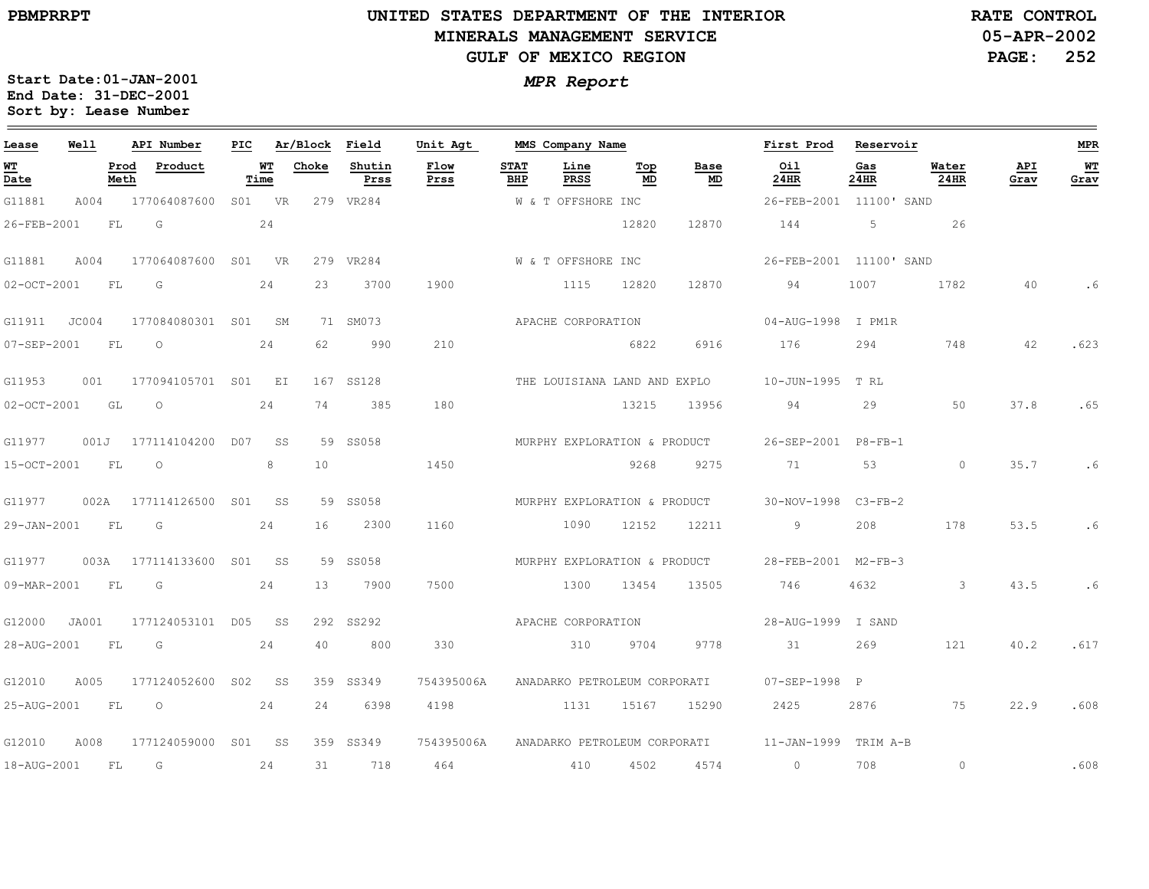$\equiv$ 

# **UNITED STATES DEPARTMENT OF THE INTERIOR MINERALS MANAGEMENT SERVICEGULF OF MEXICO REGION**

**05-APR-2002PAGE: 252 RATE CONTROL**

| Lease             | Well  |              | API Number          | PIC |            | Ar/Block        | Field          | Unit Agt     |                    | MMS Company Name             |                  |                              | First Prod              | Reservoir   |               |             | MPR                                                    |
|-------------------|-------|--------------|---------------------|-----|------------|-----------------|----------------|--------------|--------------------|------------------------------|------------------|------------------------------|-------------------------|-------------|---------------|-------------|--------------------------------------------------------|
| WT<br>Date        |       | Prod<br>Meth | Product             |     | WТ<br>Time | Choke           | Shutin<br>Prss | Flow<br>Prss | <b>STAT</b><br>BHP | Line<br>PRSS                 | Тор<br><b>MD</b> | Base<br>MD                   | Oil<br>24HR             | Gas<br>24HR | Water<br>24HR | API<br>Grav | $\underline{\textbf{W}}\underline{\textbf{T}}$<br>Grav |
| G11881            | A004  |              | 177064087600        |     | S01 VR     |                 | 279 VR284      |              |                    | W & T OFFSHORE INC           |                  |                              | 26-FEB-2001 11100' SAND |             |               |             |                                                        |
| 26-FEB-2001       |       | FL           | G                   |     | 24         |                 |                |              |                    |                              | 12820            | 12870                        | 144                     | 5           | 26            |             |                                                        |
| G11881            | A004  |              | 177064087600 S01 VR |     |            |                 | 279 VR284      |              |                    | W & T OFFSHORE INC           |                  |                              | 26-FEB-2001 11100' SAND |             |               |             |                                                        |
| $02 - OCT - 2001$ |       | FL           | G                   |     | 24         | 23              | 3700           | 1900         |                    | 1115                         | 12820            | 12870                        | 94                      | 1007        | 1782          | 40          | . 6                                                    |
| G11911            | JC004 |              | 177084080301 S01    |     | SM         |                 | 71 SM073       |              |                    | APACHE CORPORATION           |                  |                              | 04-AUG-1998 I PM1R      |             |               |             |                                                        |
| 07-SEP-2001       |       | FL           | $\circ$             |     | 24         | 62              | 990            | 210          |                    |                              | 6822             | 6916                         | 176                     | 294         | 748           | 42          | .623                                                   |
| G11953            | 001   |              | 177094105701 S01    |     | EI         |                 | 167 SS128      |              |                    |                              |                  | THE LOUISIANA LAND AND EXPLO | 10-JUN-1995             | T RL        |               |             |                                                        |
| $02 - OCT - 2001$ |       | GL           | $\circ$             |     | 24         | 74              | 385            | 180          |                    |                              | 13215            | 13956                        | 94                      | 29          | 50            | 37.8        | .65                                                    |
| G11977            | 001J  |              | 177114104200 D07    |     | SS         |                 | 59 SS058       |              |                    | MURPHY EXPLORATION & PRODUCT |                  |                              | 26-SEP-2001 P8-FB-1     |             |               |             |                                                        |
| 15-OCT-2001       |       | FL           | $\circ$             |     | 8          | 10 <sup>°</sup> |                | 1450         |                    |                              | 9268             | 9275                         | 71                      | 53          | $\Omega$      | 35.7        | .6                                                     |
| G11977            | 002A  |              | 177114126500 SO1    |     | SS         |                 | 59 SS058       |              |                    |                              |                  | MURPHY EXPLORATION & PRODUCT | 30-NOV-1998             | $C3-FB-2$   |               |             |                                                        |
| 29-JAN-2001       |       | FL           | G                   |     | 24         | 16              | 2300           | 1160         |                    | 1090                         | 12152            | 12211                        | 9                       | 208         | 178           | 53.5        | .6                                                     |
| G11977            | 003A  |              | 177114133600        | S01 | SS S       | 59              | SS058          |              |                    | MURPHY EXPLORATION & PRODUCT |                  |                              | 28-FEB-2001 M2-FB-3     |             |               |             |                                                        |
| 09-MAR-2001       |       | FL           | G                   |     | 24         | 13              | 7900           | 7500         |                    | 1300                         | 13454            | 13505                        | 746                     | 4632        | 3             | 43.5        | .6                                                     |
| G12000            | JA001 |              | 177124053101 D05    |     | SS         |                 | 292 SS292      |              |                    | APACHE CORPORATION           |                  |                              | 28-AUG-1999 I SAND      |             |               |             |                                                        |
| 28-AUG-2001       |       | FL           | G                   |     | 24         | 40              | 800            | 330          |                    | 310                          | 9704             | 9778                         | 31                      | 269         | 121           | 40.2        | .617                                                   |
| G12010            | A005  |              | 177124052600        | S02 | SS         | 359             | SS349          | 754395006A   |                    | ANADARKO PETROLEUM CORPORATI |                  |                              | 07-SEP-1998 P           |             |               |             |                                                        |
| 25-AUG-2001       |       | FL           | $\circ$             |     | 24         | 24              | 6398           | 4198         |                    | 1131                         | 15167            | 15290                        | 2425                    | 2876        | 75            | 22.9        | .608                                                   |
| G12010            | A008  |              | 177124059000        |     | SO1 SS     |                 | 359 SS349      | 754395006A   |                    |                              |                  | ANADARKO PETROLEUM CORPORATI | 11-JAN-1999             | TRIM A-B    |               |             |                                                        |
| 18-AUG-2001       |       | FL           | G                   |     | 24         | 31              | 718            | 464          |                    | 410                          | 4502             | 4574                         | $\circ$                 | 708         | $\circ$       |             | .608                                                   |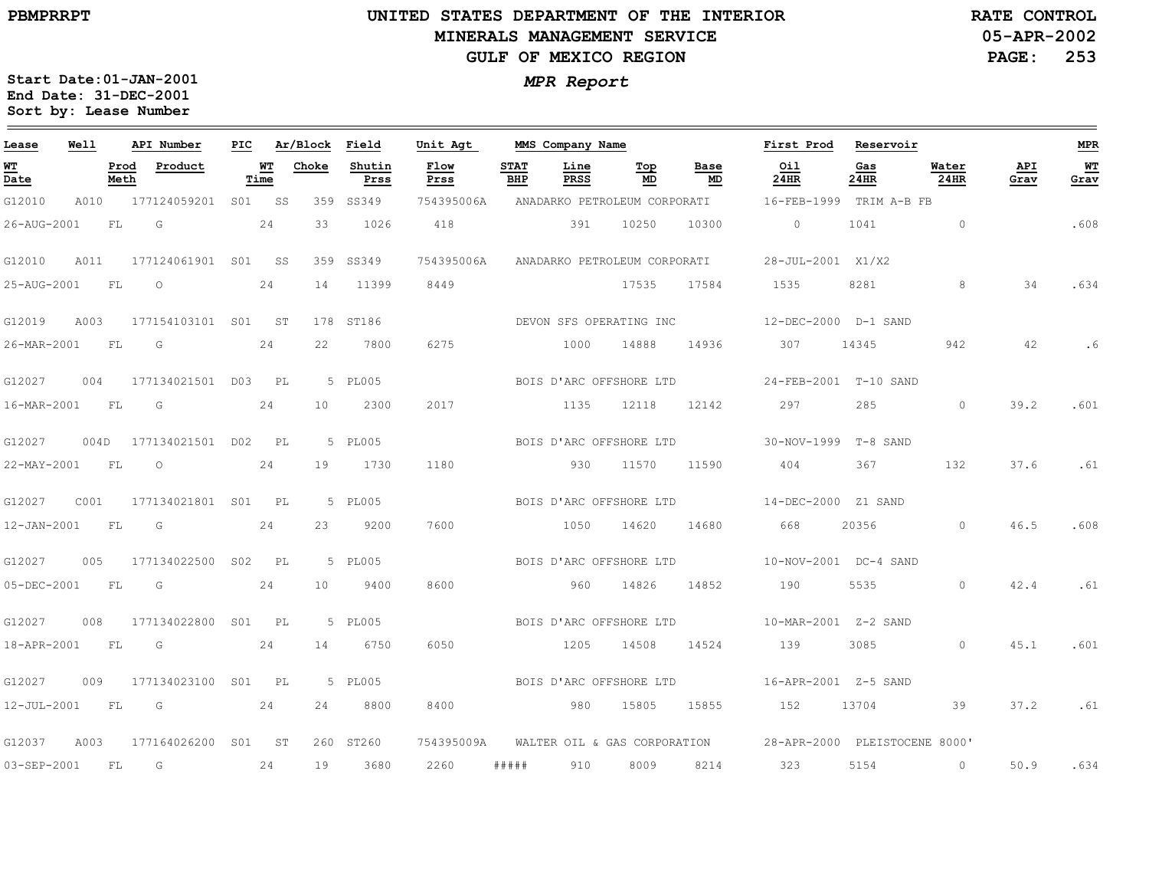### **UNITED STATES DEPARTMENT OF THE INTERIOR MINERALS MANAGEMENT SERVICEGULF OF MEXICO REGION**

**05-APR-2002PAGE: 253 RATE CONTROL**

| Lease       | Well      |              | API Number          | PIC |            | Ar/Block | Field          | Unit Agt     |                    | MMS Company Name |                              |            | First Prod                                                 | Reservoir   |               |             | <b>MPR</b> |
|-------------|-----------|--------------|---------------------|-----|------------|----------|----------------|--------------|--------------------|------------------|------------------------------|------------|------------------------------------------------------------|-------------|---------------|-------------|------------|
| WT<br>Date  |           | Prod<br>Meth | Product             |     | WТ<br>Time | Choke    | Shutin<br>Prss | Flow<br>Prss | <b>STAT</b><br>BHP | Line<br>PRSS     | Top<br>MD                    | Base<br>MD | Oil<br>24HR                                                | Gas<br>24HR | Water<br>24HR | API<br>Grav | WТ<br>Grav |
| G12010      | A010      |              | 177124059201 S01 SS |     |            |          | 359 SS349      | 754395006A   |                    |                  | ANADARKO PETROLEUM CORPORATI |            | 16-FEB-1999                                                | TRIM A-B FB |               |             |            |
| 26-AUG-2001 |           | FL           | G                   |     | 24         | 33       | 1026           | 418          |                    | 391              | 10250                        | 10300      | $\circ$                                                    | 1041        | $\circ$       |             | .608       |
| G12010      | A011      |              | 177124061901 S01 SS |     |            |          | 359 SS349      | 754395006A   |                    |                  | ANADARKO PETROLEUM CORPORATI |            | 28-JUL-2001 X1/X2                                          |             |               |             |            |
| 25-AUG-2001 |           | FL           | $\circ$             |     | 24         | 14       | 11399          | 8449         |                    |                  | 17535                        | 17584      | 1535                                                       | 8281        | 8             | 34          | .634       |
| G12019      | A003      |              | 177154103101 S01 ST |     |            |          | 178 ST186      |              |                    |                  | DEVON SFS OPERATING INC      |            | 12-DEC-2000 D-1 SAND                                       |             |               |             |            |
| 26-MAR-2001 |           | <b>FL</b>    | G                   |     | 24         | 22       | 7800           | 6275         |                    | 1000             | 14888                        | 14936      | 307                                                        | 14345       | 942           | 42          | . 6        |
| G12027      | 004       |              | 177134021501 D03    |     | <b>PL</b>  |          | 5 PL005        |              |                    |                  | BOIS D'ARC OFFSHORE LTD      |            | 24-FEB-2001 T-10 SAND                                      |             |               |             |            |
| 16-MAR-2001 | <b>FL</b> |              | G                   |     | 24         | 10       | 2300           | 2017         |                    | 1135             | 12118                        | 12142      | 297                                                        | 285         | $\Omega$      | 39.2        | .601       |
| G12027      | 004D      |              | 177134021501 D02 PL |     |            |          | 5 PL005        |              |                    |                  | BOIS D'ARC OFFSHORE LTD      |            | 30-NOV-1999 T-8 SAND                                       |             |               |             |            |
| 22-MAY-2001 |           | <b>FL</b>    | $\circ$             |     | 24         | 19       | 1730           | 1180         |                    | 930              | 11570                        | 11590      | 404                                                        | 367         | 132           | 37.6        | .61        |
| G12027      | C001      |              | 177134021801 S01 PL |     |            |          | 5 PL005        |              |                    |                  | BOIS D'ARC OFFSHORE LTD      |            | 14-DEC-2000 Z1 SAND                                        |             |               |             |            |
| 12-JAN-2001 |           | FL           | G                   |     | 24         | 23       | 9200           | 7600         |                    | 1050             | 14620                        | 14680      | 668                                                        | 20356       | $\circ$       | 46.5        | .608       |
| G12027      | 005       |              | 177134022500 S02    |     | PL         |          | 5 PL005        |              |                    |                  | BOIS D'ARC OFFSHORE LTD      |            | 10-NOV-2001 DC-4 SAND                                      |             |               |             |            |
| 05-DEC-2001 |           | FL.          | $\overline{G}$      |     | 24         | 10       | 9400           | 8600         |                    | 960              | 14826                        | 14852      | 190                                                        | 5535        | $\Omega$      | 42.4        | .61        |
| G12027      | 008       |              | 177134022800 S01 PL |     |            |          | 5 PL005        |              |                    |                  | BOIS D'ARC OFFSHORE LTD      |            |                                                            |             |               |             |            |
| 18-APR-2001 |           | <b>FL</b>    | G                   |     | 24         | 14       | 6750           | 6050         |                    | 1205             | 14508                        | 14524      | 139                                                        | 3085        | $\circ$       | 45.1        | .601       |
| G12027      | 009       |              | 177134023100 S01 PL |     |            |          | 5 PL005        |              |                    |                  | BOIS D'ARC OFFSHORE LTD      |            | 16-APR-2001 Z-5 SAND                                       |             |               |             |            |
| 12-JUL-2001 |           | <b>FL</b>    | $\overline{G}$      |     | 24         | 24       | 8800           | 8400         |                    | 980              | 15805                        | 15855      | 152                                                        | 13704       | 39            | 37.2        | .61        |
| G12037      | A003      |              | 177164026200        |     | S01 ST     |          | 260 ST260      | 754395009A   |                    |                  |                              |            | WALTER OIL & GAS CORPORATION 28-APR-2000 PLEISTOCENE 8000' |             |               |             |            |
| 03-SEP-2001 |           | - FL         | G                   |     | 24         | 19       | 3680           | 2260         | #####              | 910              | 8009                         | 8214       | 323                                                        | 5154        | $\circ$       | 50.9        | .634       |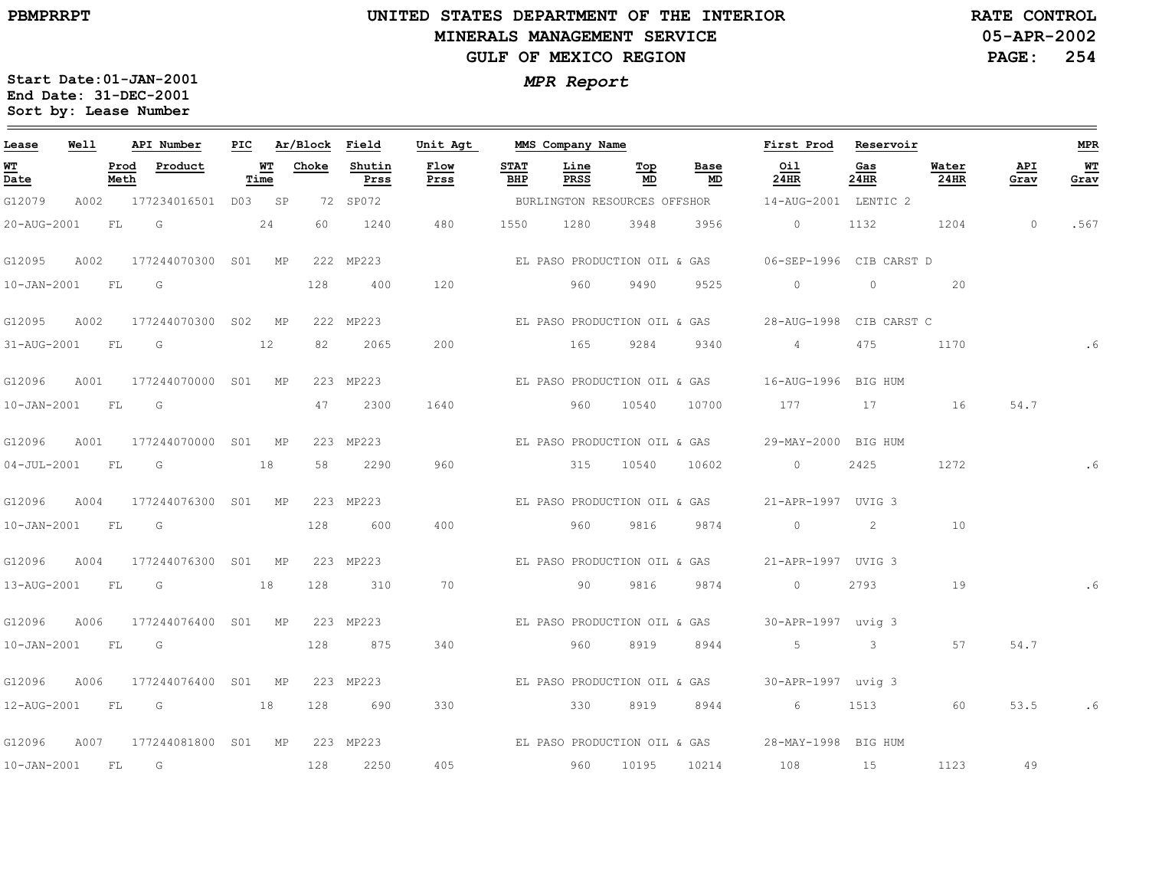### **UNITED STATES DEPARTMENT OF THE INTERIOR MINERALS MANAGEMENT SERVICEGULF OF MEXICO REGION**

**05-APR-2002PAGE: 254 RATE CONTROL**

| Lease             | Well |              | API Number                    | PIC |            | Ar/Block | Field          | Unit Agt                     | MMS Company Name   |              |                              |            | First Prod                                      | Reservoir   |               |             | <b>MPR</b> |
|-------------------|------|--------------|-------------------------------|-----|------------|----------|----------------|------------------------------|--------------------|--------------|------------------------------|------------|-------------------------------------------------|-------------|---------------|-------------|------------|
| WT<br>Date        |      | Prod<br>Meth | Product                       |     | WТ<br>Time | Choke    | Shutin<br>Prss | Flow<br>Prss                 | <b>STAT</b><br>BHP | Line<br>PRSS | Тор<br>MD                    | Base<br>MD | Oil<br>24HR                                     | Gas<br>24HR | Water<br>24HR | API<br>Grav | WT<br>Grav |
| G12079            |      |              | A002 177234016501 D03 SP      |     |            |          | 72 SP072       |                              |                    |              | BURLINGTON RESOURCES OFFSHOR |            | 14-AUG-2001 LENTIC 2                            |             |               |             |            |
| 20-AUG-2001       |      | FL           | G                             |     | 24         | 60       | 1240           | 480                          | 1550               | 1280         | 3948                         | 3956       | $\circ$                                         | 1132        | 1204          | $\circ$     | .567       |
| G12095            | A002 |              | 177244070300 S01 MP           |     |            |          | 222 MP223      |                              |                    |              | EL PASO PRODUCTION OIL & GAS |            | 06-SEP-1996 CIB CARST D                         |             |               |             |            |
| $10 - JAN - 2001$ |      | FL.          | G                             |     |            | 128      | 400            | 120                          |                    | 960          | 9490                         | 9525       | $\Omega$                                        | $\circ$     | 20            |             |            |
| G12095            | A002 |              | 177244070300 S02 MP           |     |            |          | 222 MP223      |                              |                    |              | EL PASO PRODUCTION OIL & GAS |            | 28-AUG-1998 CIB CARST C                         |             |               |             |            |
| 31-AUG-2001 FL    |      |              | $\overline{\mathsf{G}}$       |     | 12         | 82       | 2065           | 200                          |                    | 165          | 9284                         | 9340       | $4\overline{ }$                                 | 475         | 1170          |             |            |
| G12096            | A001 |              | 177244070000 S01 MP           |     |            |          | 223 MP223      |                              |                    |              | EL PASO PRODUCTION OIL & GAS |            | 16-AUG-1996 BIG HUM                             |             |               |             |            |
| $10 - JAN - 2001$ |      | <b>FL</b>    | G                             |     |            | 47       | 2300           | 1640                         |                    | 960          | 10540                        | 10700      | 177                                             | 17          | 16            | 54.7        |            |
| G12096            | A001 |              | 177244070000 S01 MP           |     |            |          | 223 MP223      |                              |                    |              | EL PASO PRODUCTION OIL & GAS |            | 29-MAY-2000 BIG HUM                             |             |               |             |            |
| $04 - JUL - 2001$ |      | <b>FL</b>    | $\overline{\mathbb{G}}$       |     | 18         | 58       | 2290           | 960                          |                    |              | 315 10540                    | 10602      | $\overline{0}$                                  | 2425        | 1272          |             |            |
| G12096            | A004 |              | 177244076300 S01 MP           |     |            |          | 223 MP223      |                              |                    |              | EL PASO PRODUCTION OIL & GAS |            | 21-APR-1997 UVIG 3                              |             |               |             |            |
| 10-JAN-2001 FL    |      |              | G                             |     |            | 128      | 600            | 400                          |                    | 960          | 9816                         | 9874       | $\circ$                                         | 2           | 10            |             |            |
| G12096            | A004 |              | 177244076300 S01 MP           |     |            |          | 223 MP223      |                              |                    |              | EL PASO PRODUCTION OIL & GAS |            | 21-APR-1997 UVIG 3                              |             |               |             |            |
| 13-AUG-2001 FL G  |      |              |                               |     | 18         | 128      | 310            | 70                           |                    | 90           | 9816                         | 9874       | $\overline{0}$                                  | 2793        | 19            |             |            |
| G12096            | A006 |              | 177244076400 S01 MP           |     |            |          | 223 MP223      |                              |                    |              |                              |            | EL PASO PRODUCTION OIL & GAS 30-APR-1997 uviq 3 |             |               |             |            |
| $10 - JAN - 2001$ |      | <b>FL</b>    | $\overline{\mathsf{G}}$       |     |            | 128      | 875            | 340                          |                    | 960          | 8919                         | 8944       | $5 - 5$                                         | $\sim$ 3    | 57            | 54.7        |            |
| G12096            | A006 |              | 177244076400 S01 MP           |     |            |          | 223 MP223      |                              |                    |              | EL PASO PRODUCTION OIL & GAS |            | 30-APR-1997 uvig 3                              |             |               |             |            |
| 12-AUG-2001 FL G  |      |              | $\sim$ 18                     |     |            | 128      | 690            | 330                          | $\overline{330}$   |              | 8919                         | 8944       | $6\overline{6}$                                 |             | 1513 60       | 53.5        | . 6        |
| G12096            | A007 |              | 177244081800 SO1 MP 223 MP223 |     |            |          |                | EL PASO PRODUCTION OIL & GAS |                    |              |                              |            | 28-MAY-1998 BIG HUM                             |             |               |             |            |
| 10-JAN-2001 FL    |      |              | G                             |     |            | 128      | 2250           | 405                          |                    | 960          | 10195                        | 10214      | 108                                             | 15          | 1123          | 49          |            |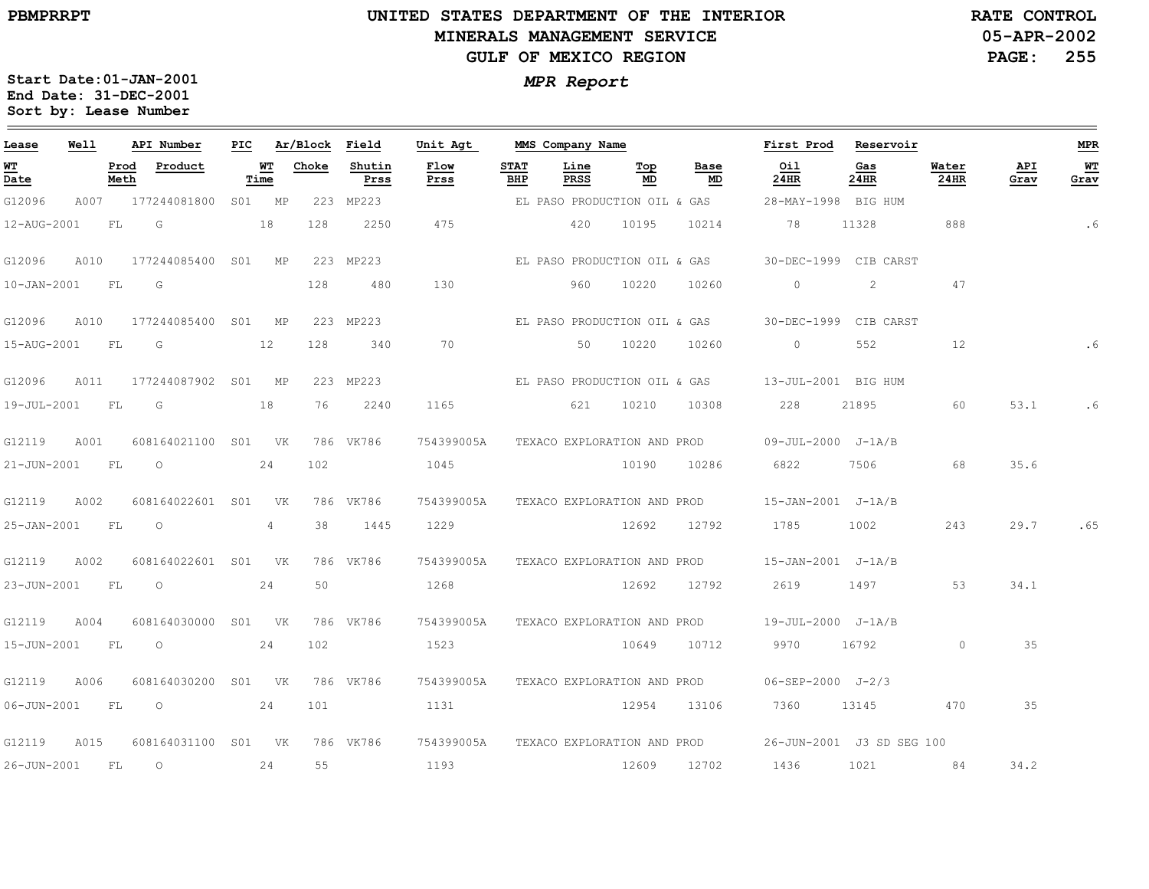### **UNITED STATES DEPARTMENT OF THE INTERIOR MINERALS MANAGEMENT SERVICEGULF OF MEXICO REGION**

**05-APR-2002PAGE: 255 RATE CONTROL**

| Lease             | Well |              | API Number       | PIC |            | Ar/Block | Field          | Unit Agt     |                    | MMS Company Name             |           |                             | First Prod                   | Reservoir                 |               |             | <b>MPR</b> |
|-------------------|------|--------------|------------------|-----|------------|----------|----------------|--------------|--------------------|------------------------------|-----------|-----------------------------|------------------------------|---------------------------|---------------|-------------|------------|
| <u>ит</u><br>Date |      | Prod<br>Meth | Product          |     | WT<br>Time | Choke    | Shutin<br>Prss | Flow<br>Prss | <b>STAT</b><br>BHP | Line<br>PRSS                 | Top<br>MD | Base<br>MD                  | Oil<br>24HR                  | Gas<br>24HR               | Water<br>24HR | API<br>Grav | WT<br>Grav |
| G12096            | A007 |              | 177244081800     | SO1 | MP         |          | 223 MP223      |              |                    | EL PASO PRODUCTION OIL & GAS |           |                             | 28-MAY-1998 BIG HUM          |                           |               |             |            |
| 12-AUG-2001       |      | FL           | G                |     | 18         | 128      | 2250           | 475          |                    | 420                          | 10195     | 10214                       | 78                           | 11328                     | 888           |             | . 6        |
| G12096            | A010 |              | 177244085400 SO1 |     | MP         |          | 223 MP223      |              |                    | EL PASO PRODUCTION OIL & GAS |           |                             |                              | 30-DEC-1999 CIB CARST     |               |             |            |
| $10 - JAN - 2001$ |      | FL           | G                |     |            | 128      | 480            | 130          |                    | 960                          | 10220     | 10260                       | $\Omega$                     | 2                         | 47            |             |            |
| G12096            | A010 |              | 177244085400 S01 |     | MP         |          | 223 MP223      |              |                    | EL PASO PRODUCTION OIL & GAS |           |                             |                              | 30-DEC-1999 CIB CARST     |               |             |            |
| 15-AUG-2001       |      | FL           | G                |     | 12         | 128      | 340            | 70           |                    | 50                           | 10220     | 10260                       | $\circ$                      | 552                       | 12            |             |            |
| G12096            | A011 |              | 177244087902 S01 |     | MP         |          | 223 MP223      |              |                    | EL PASO PRODUCTION OIL & GAS |           |                             | 13-JUL-2001 BIG HUM          |                           |               |             |            |
| 19-JUL-2001       |      | FL           | G                |     | 18         | 76       | 2240           | 1165         |                    | 621                          | 10210     | 10308                       | 228                          | 21895                     | 60            | 53.1        | . 6        |
| G12119            | A001 |              | 608164021100 S01 |     | <b>VK</b>  |          | 786 VK786      | 754399005A   |                    | TEXACO EXPLORATION AND PROD  |           |                             | 09-JUL-2000 J-1A/B           |                           |               |             |            |
| 21-JUN-2001       |      | FL           | $\circ$          |     | 24         | 102      |                | 1045         |                    |                              | 10190     | 10286                       | 6822                         | 7506                      | 68            | 35.6        |            |
| G12119            | A002 |              | 608164022601 S01 |     | VK         |          | 786 VK786      | 754399005A   |                    | TEXACO EXPLORATION AND PROD  |           |                             | $15 - JAN - 2001$ $J - 1A/B$ |                           |               |             |            |
| 25-JAN-2001       |      | FL           | $\Omega$         |     | 4          | 38       | 1445           | 1229         |                    |                              | 12692     | 12792                       | 1785                         | 1002                      | 243           | 29.7        | .65        |
| G12119            | A002 |              | 608164022601 S01 |     | <b>VK</b>  |          | 786 VK786      | 754399005A   |                    | TEXACO EXPLORATION AND PROD  |           |                             | 15-JAN-2001 J-1A/B           |                           |               |             |            |
| 23-JUN-2001       |      | FL           | $\circ$          |     | 24         | 50       |                | 1268         |                    |                              | 12692     | 12792                       | 2619                         | 1497                      | 53            | 34.1        |            |
| G12119            | A004 |              | 608164030000 S01 |     | <b>VK</b>  |          | 786 VK786      | 754399005A   |                    |                              |           | TEXACO EXPLORATION AND PROD | 19-JUL-2000 J-1A/B           |                           |               |             |            |
| 15-JUN-2001       |      | FL           | $\circ$          |     | 24         | 102      |                | 1523         |                    |                              | 10649     | 10712                       | 9970                         | 16792                     | $\circ$       | 35          |            |
| G12119            | A006 |              | 608164030200     | SO1 | <b>VK</b>  |          | 786 VK786      | 754399005A   |                    | TEXACO EXPLORATION AND PROD  |           |                             | $06 - SEP - 2000$ $J - 2/3$  |                           |               |             |            |
| 06-JUN-2001       |      | FL           | $\circ$          |     | 24         | 101      |                | 1131         |                    |                              | 12954     | 13106                       | 7360                         | 13145                     | 470           | 35          |            |
| G12119            | A015 |              | 608164031100 S01 |     | VK         |          | 786 VK786      | 754399005A   |                    |                              |           | TEXACO EXPLORATION AND PROD |                              | 26-JUN-2001 J3 SD SEG 100 |               |             |            |
| 26-JUN-2001       |      | FL           | $\circ$          |     | 24         | 55       |                | 1193         |                    |                              | 12609     | 12702                       | 1436                         | 1021                      | 84            | 34.2        |            |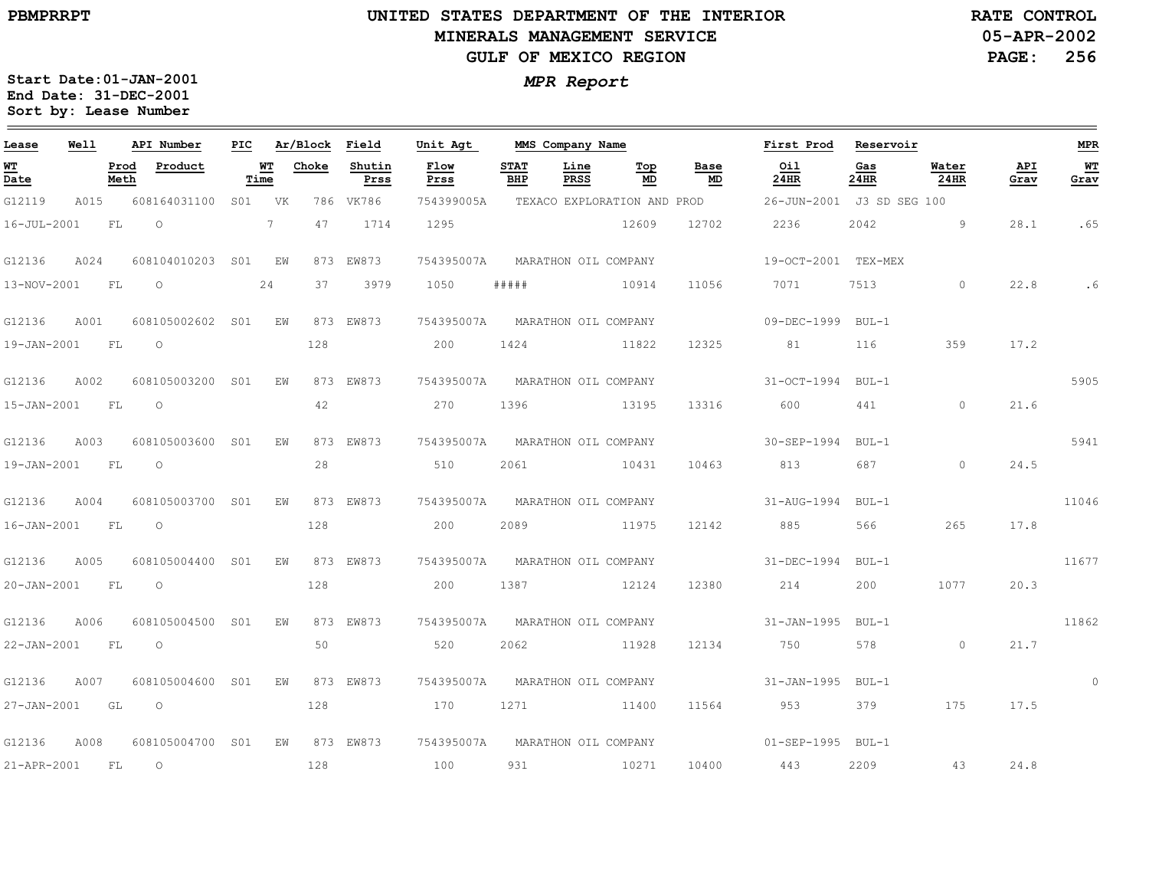the control of the control of the control of the control of

 $\equiv$ 

#### **UNITED STATES DEPARTMENT OF THE INTERIOR MINERALS MANAGEMENT SERVICEGULF OF MEXICO REGION**

**05-APR-2002PAGE: 256 RATE CONTROL**

| Lease       | Well |              | API Number       | PIC             |                | Ar/Block | Field          | Unit Agt     |                    | MMS Company Name            |           |            | First Prod          | Reservoir     |                      |             | <b>MPR</b> |
|-------------|------|--------------|------------------|-----------------|----------------|----------|----------------|--------------|--------------------|-----------------------------|-----------|------------|---------------------|---------------|----------------------|-------------|------------|
| WT<br>Date  |      | Prod<br>Meth | Product          |                 | WТ<br>Time     | Choke    | Shutin<br>Prss | Flow<br>Prss | <b>STAT</b><br>BHP | Line<br>PRSS                | Top<br>MD | Base<br>MD | Oil<br><b>24HR</b>  | Gas<br>24HR   | Water<br><b>24HR</b> | API<br>Grav | WТ<br>Grav |
| G12119      | A015 |              | 608164031100     | S01             | VK             |          | 786 VK786      | 754399005A   |                    | TEXACO EXPLORATION AND PROD |           |            | 26-JUN-2001         | J3 SD SEG 100 |                      |             |            |
| 16-JUL-2001 |      | FL           | $\circ$          |                 | $7\phantom{0}$ | 47       | 1714           | 1295         |                    |                             | 12609     | 12702      | 2236                | 2042          | 9                    | 28.1        | .65        |
| G12136      | A024 |              | 608104010203     | S01             | ΕW             |          | 873 EW873      | 754395007A   |                    | MARATHON OIL COMPANY        |           |            | 19-OCT-2001 TEX-MEX |               |                      |             |            |
| 13-NOV-2001 |      | FL           | $\circ$          |                 | 24             | 37       | 3979           | 1050         | # # # # #          |                             | 10914     | 11056      | 7071                | 7513          | $\Omega$             | 22.8        | . 6        |
| G12136      | A001 |              | 608105002602 S01 |                 | ΕW             |          | 873 EW873      | 754395007A   |                    | MARATHON OIL COMPANY        |           |            | 09-DEC-1999         | $BUI - 1$     |                      |             |            |
| 19-JAN-2001 |      | FL           | $\circ$          |                 |                | 128      |                | 200          | 1424               |                             | 11822     | 12325      | 81                  | 116           | 359                  | 17.2        |            |
| G12136      | A002 |              | 608105003200     | SO1             | F.W            |          | 873 EW873      | 754395007A   |                    | MARATHON OIL COMPANY        |           |            | $31 - OCT - 1994$   | $BUL-1$       |                      |             | 5905       |
| 15-JAN-2001 |      | FL           | $\circ$          |                 |                | 42       |                | 270          | 1396               |                             | 13195     | 13316      | 600                 | 441           | $\circ$              | 21.6        |            |
| G12136      | A003 |              | 608105003600     | SO1             | ΕW             |          | 873 EW873      | 754395007A   |                    | MARATHON OIL COMPANY        |           |            | 30-SEP-1994         | $BUL-1$       |                      |             | 5941       |
| 19-JAN-2001 |      | FL           | $\Omega$         |                 |                | 28       |                | 510          | 2061               |                             | 10431     | 10463      | 813                 | 687           | $\circ$              | 24.5        |            |
| G12136      | A004 |              | 608105003700     | SO1             | ΕW             | 873      | EW873          | 754395007A   |                    | MARATHON OIL COMPANY        |           |            | 31-AUG-1994         | $BUL-1$       |                      |             | 11046      |
| 16-JAN-2001 |      | FL           | $\circ$          |                 |                | 128      |                | 200          | 2089               |                             | 11975     | 12142      | 885                 | 566           | 265                  | 17.8        |            |
| G12136      | A005 |              | 608105004400     | S <sub>01</sub> | F.W            |          | 873 EW873      | 754395007A   |                    | MARATHON OIL COMPANY        |           |            | 31-DEC-1994         | $BUL-1$       |                      |             | 11677      |
| 20-JAN-2001 |      | FL           | $\circ$          |                 |                | 128      |                | 200          | 1387               |                             | 12124     | 12380      | 214                 | 200           | 1077                 | 20.3        |            |
| G12136      | A006 |              | 608105004500     | S <sub>01</sub> | ΕW             |          | 873 EW873      | 754395007A   |                    | MARATHON OIL COMPANY        |           |            | $31 - JAN - 1995$   | $BUL-1$       |                      |             | 11862      |
| 22-JAN-2001 |      | FL           | $\circ$          |                 |                | 50       |                | 520          | 2062               |                             | 11928     | 12134      | 750                 | 578           | $\circ$              | 21.7        |            |
| G12136      | A007 |              | 608105004600     | S <sub>01</sub> | EW             | 873      | EW873          | 754395007A   |                    | MARATHON OIL COMPANY        |           |            | $31 - JAN - 1995$   | $BUL-1$       |                      |             | $\circ$    |
| 27-JAN-2001 |      | GL           | $\Omega$         |                 |                | 128      |                | 170          | 1271               |                             | 11400     | 11564      | 953                 | 379           | 175                  | 17.5        |            |
| G12136      | A008 |              | 608105004700 S01 |                 | F.W            |          | 873 EW873      | 754395007A   |                    | MARATHON OIL COMPANY        |           |            | 01-SEP-1995 BUL-1   |               |                      |             |            |
| 21-APR-2001 |      | FL           | $\circ$          |                 |                | 128      |                | 100          | 931                |                             | 10271     | 10400      | 443                 | 2209          | 43                   | 24.8        |            |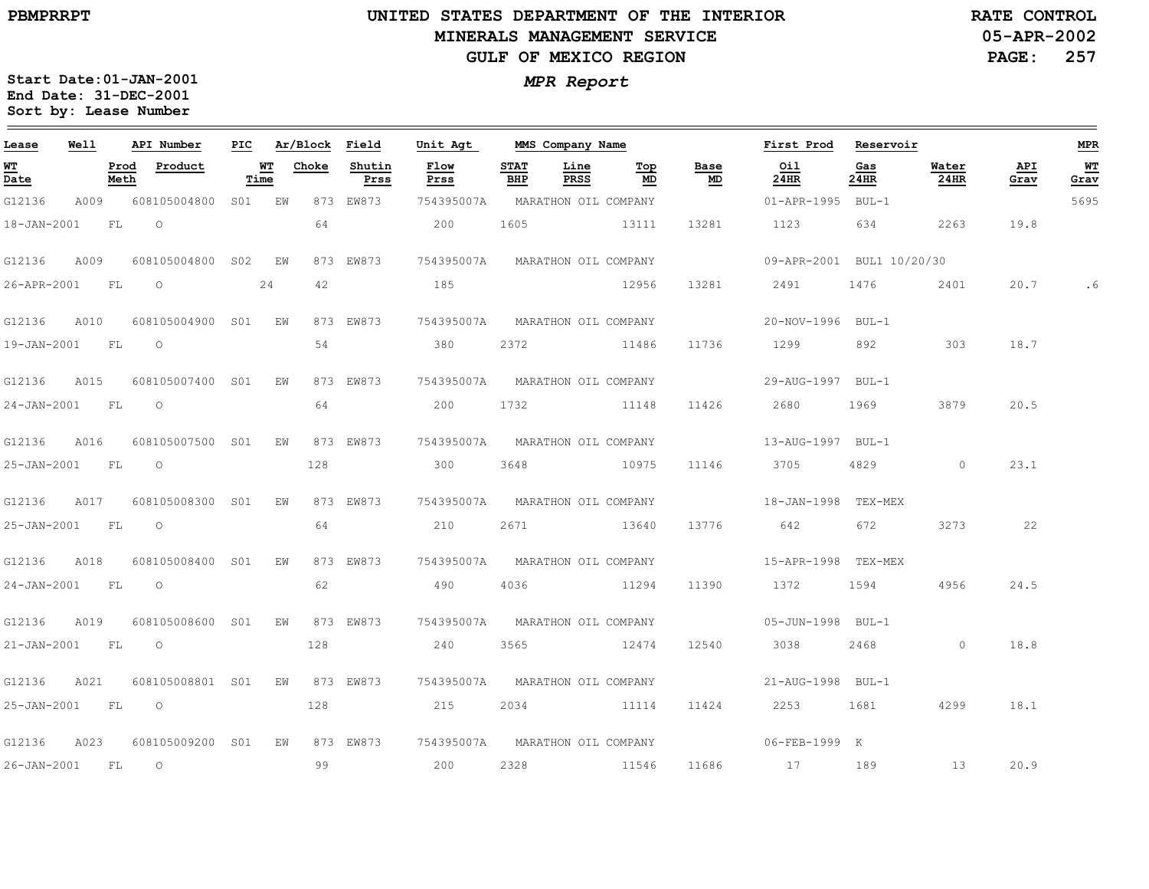$=$ 

### **UNITED STATES DEPARTMENT OF THE INTERIOR MINERALS MANAGEMENT SERVICEGULF OF MEXICO REGION**

**05-APR-2002 PAGE: 257 RATE CONTROL**

| Lease             | Well |              | API Number          | PIC    |            | Ar/Block Field |                | Unit Agt     |                    | MMS Company Name                |           |            | First Prod                | Reservoir   |               |             | <b>MPR</b> |
|-------------------|------|--------------|---------------------|--------|------------|----------------|----------------|--------------|--------------------|---------------------------------|-----------|------------|---------------------------|-------------|---------------|-------------|------------|
| WT<br>Date        |      | Prod<br>Meth | Product             | Time   | <u> WТ</u> | Choke          | Shutin<br>Prss | Flow<br>Prss | <b>STAT</b><br>BHP | Line<br>PRSS                    | Top<br>MD | Base<br>MD | Oil<br>24HR               | Gas<br>24HR | Water<br>24HR | API<br>Grav | WT<br>Grav |
| G12136            | A009 |              | 608105004800        | SO1 EW |            |                | 873 EW873      | 754395007A   |                    | MARATHON OIL COMPANY            |           |            | 01-APR-1995 BUL-1         |             |               |             | 5695       |
| $18 - JAN - 2001$ |      | FL.          | $\Omega$            |        |            | 64             |                | 200          | 1605               |                                 | 13111     | 13281      | 1123                      | 634         | 2263          | 19.8        |            |
| G12136            | A009 |              | 608105004800 S02    |        | ΕW         |                | 873 EW873      | 754395007A   |                    | MARATHON OIL COMPANY            |           |            | 09-APR-2001 BUL1 10/20/30 |             |               |             |            |
| 26-APR-2001 FL    |      |              | $\circ$             |        | 24         | 42             |                | 185          |                    |                                 | 12956     | 13281      | 2491                      | 1476        | 2401          | 20.7        | .6         |
| G12136            | A010 |              | 608105004900 S01 EW |        |            |                | 873 EW873      | 754395007A   |                    | MARATHON OIL COMPANY            |           |            | 20-NOV-1996 BUL-1         |             |               |             |            |
| 19-JAN-2001 FL    |      |              | $\circ$             |        |            | 54             |                | 380          | 2372               |                                 | 11486     | 11736      | 1299                      | 892         | 303           | 18.7        |            |
| G12136            | A015 |              | 608105007400 S01    |        | ΕW         |                | 873 EW873      | 754395007A   |                    | MARATHON OIL COMPANY            |           |            | 29-AUG-1997 BUL-1         |             |               |             |            |
| 24-JAN-2001 FL    |      |              | $\circ$             |        |            | 64             |                | 200          | 1732               |                                 | 11148     | 11426      | 2680                      | 1969        | 3879          | 20.5        |            |
| G12136            | A016 |              | 608105007500 S01    |        | ΕW         |                | 873 EW873      |              |                    | 754395007A MARATHON OIL COMPANY |           |            | 13-AUG-1997 BUL-1         |             |               |             |            |
| 25-JAN-2001 FL    |      |              | $\circ$             |        |            | 128            |                | 300          | 3648               |                                 | 10975     | 11146      | 3705                      | 4829        | $\circ$       | 23.1        |            |
| G12136            | A017 |              | 608105008300 S01    |        | ΕW         |                | 873 EW873      | 754395007A   |                    | MARATHON OIL COMPANY            |           |            | 18-JAN-1998 TEX-MEX       |             |               |             |            |
| 25-JAN-2001 FL    |      |              | $\circ$             |        |            | 64             |                | 210          | 2671               |                                 | 13640     | 13776      | 642                       | 672         | 3273          | 22          |            |
| G12136            | A018 |              | 608105008400 S01    |        | EW         |                | 873 EW873      |              |                    | 754395007A MARATHON OIL COMPANY |           |            | 15-APR-1998 TEX-MEX       |             |               |             |            |
| 24-JAN-2001 FL    |      |              | $\circ$             |        |            | 62             |                | 490          | 4036               |                                 | 11294     | 11390      | 1372                      | 1594        | 4956          | 24.5        |            |
| G12136            | A019 |              | 608105008600 S01    |        | EW         |                | 873 EW873      | 754395007A   |                    | MARATHON OIL COMPANY            |           |            | 05-JUN-1998 BUL-1         |             |               |             |            |
| 21-JAN-2001 FL    |      |              | $\circ$             |        |            | 128            |                | 240          | 3565               |                                 | 12474     | 12540      | 3038                      | 2468        | $\Omega$      | 18.8        |            |
| G12136            | A021 |              | 608105008801 S01    |        | EW         |                | 873 EW873      |              |                    | 754395007A MARATHON OIL COMPANY |           |            | 21-AUG-1998 BUL-1         |             |               |             |            |
| 25-JAN-2001 FL    |      |              | $\circ$             |        |            | 128            |                | 215          | 2034               |                                 | 11114     | 11424      | 2253                      | 1681        | 4299          | 18.1        |            |
| G12136            | A023 |              | 608105009200 S01    |        | EW         |                | 873 EW873      |              |                    | 754395007A MARATHON OIL COMPANY |           |            | 06-FEB-1999 K             |             |               |             |            |
| $26 - JAN - 2001$ |      | FL           | $\overline{O}$      |        |            | 99             |                | 200          | 2328               |                                 | 11546     | 11686      | 17                        | 189         | 13            | 20.9        |            |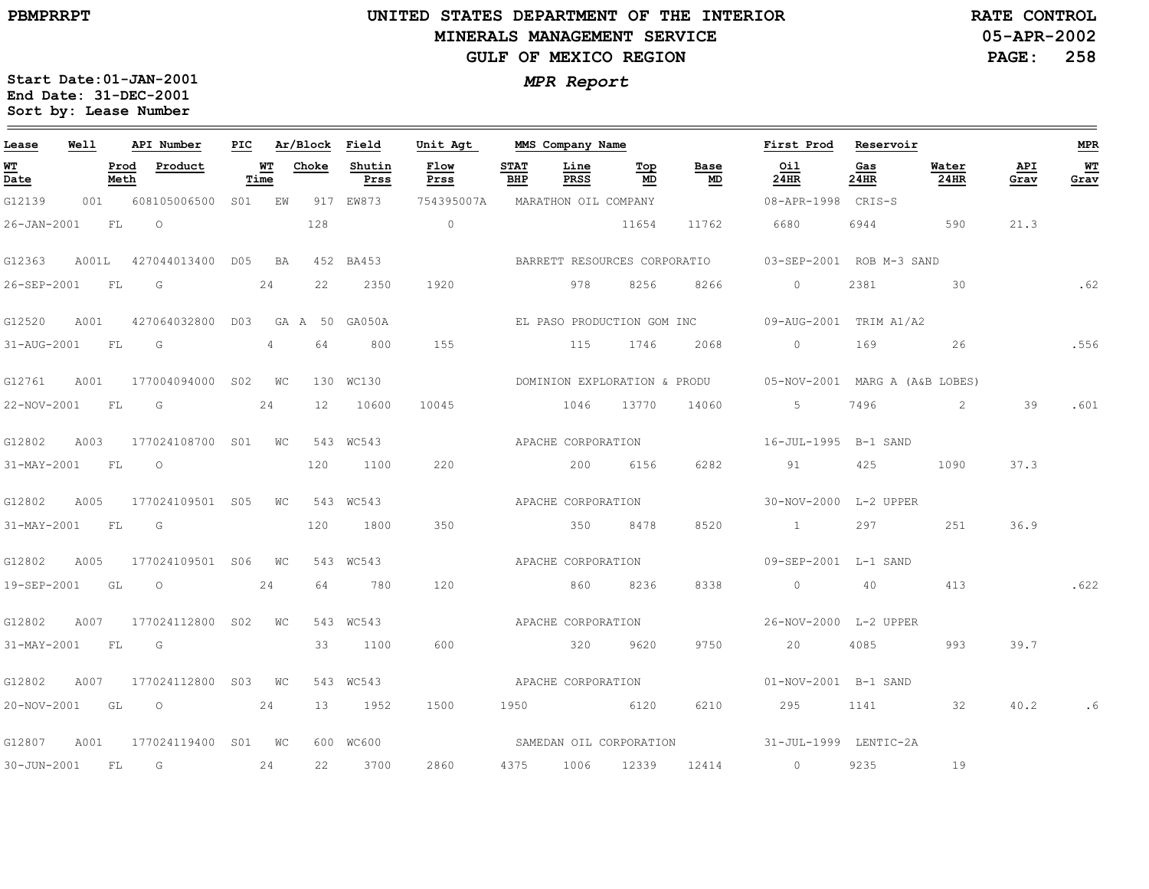**PBMPRRPT**

## **UNITED STATES DEPARTMENT OF THE INTERIOR MINERALS MANAGEMENT SERVICEGULF OF MEXICO REGION**

**05-APR-2002 PAGE: 258 RATE CONTROL**

| Lease             | Well |           | API Number                                                                                                                                                                                                                                                                                                                         | PIC |                   | Ar/Block Field |                | Unit Agt                     |                    |                      |           | MMS Company Name | First Prod                                                  | Reservoir   |               |             | <b>MPR</b> |
|-------------------|------|-----------|------------------------------------------------------------------------------------------------------------------------------------------------------------------------------------------------------------------------------------------------------------------------------------------------------------------------------------|-----|-------------------|----------------|----------------|------------------------------|--------------------|----------------------|-----------|------------------|-------------------------------------------------------------|-------------|---------------|-------------|------------|
| <b>WT</b><br>Date |      | Meth      | Prod Product                                                                                                                                                                                                                                                                                                                       |     | <b>WT</b><br>Time | Choke          | Shutin<br>Prss | Flow<br>Prss                 | <b>STAT</b><br>BHP | Line<br>PRSS         | Тор<br>MD | Base<br>MD       | Oil<br>24HR                                                 | Gas<br>24HR | Water<br>24HR | API<br>Grav | WT<br>Grav |
| G12139            | 001  |           | 608105006500 S01 EW                                                                                                                                                                                                                                                                                                                |     |                   |                | 917 EW873      | 754395007A                   |                    | MARATHON OIL COMPANY |           |                  | 08-APR-1998 CRIS-S                                          |             |               |             |            |
| $26 - JAN - 2001$ |      | <b>FL</b> | $\overline{O}$                                                                                                                                                                                                                                                                                                                     |     |                   | 128            |                | $\overline{0}$               |                    |                      | 11654     | 11762            | 6680                                                        | 6944 590    |               | 21.3        |            |
| G12363            |      |           | A001L 427044013400 D05 BA                                                                                                                                                                                                                                                                                                          |     |                   |                | 452 BA453      | BARRETT RESOURCES CORPORATIO |                    |                      |           |                  | 03-SEP-2001 ROB M-3 SAND                                    |             |               |             |            |
| 26-SEP-2001 FL G  |      |           |                                                                                                                                                                                                                                                                                                                                    |     | 24                | 22             | 2350           | 1920                         |                    | 978                  | 8256      | 8266             | $\overline{0}$                                              | 2381        | $\sim$ 30     |             | .62        |
| G12520            | A001 |           | 427064032800 D03 GA A 50 GA050A                                                                                                                                                                                                                                                                                                    |     |                   |                |                |                              |                    |                      |           |                  |                                                             |             |               |             |            |
| 31-AUG-2001 FL G  |      |           |                                                                                                                                                                                                                                                                                                                                    |     | $4\degree$        | 64             | 800            | 155                          |                    |                      |           | 115 1746 2068    | $0 \qquad \qquad 169$                                       |             | 26            |             | .556       |
| G12761            | A001 |           | 177004094000 S02 WC                                                                                                                                                                                                                                                                                                                |     |                   |                | 130 WC130      |                              |                    |                      |           |                  | DOMINION EXPLORATION & PRODU 05-NOV-2001 MARG A (A&B LOBES) |             |               |             |            |
| 22-NOV-2001 FL G  |      |           | 24                                                                                                                                                                                                                                                                                                                                 |     |                   | 12             | 10600          | 10045                        |                    | 1046 13770           |           | 14060            | $5\overline{)}$                                             | 7496        | $\sim$ 2      | 39          | .601       |
| G12802            |      |           | A003 177024108700 S01 WC 543 WC543                                                                                                                                                                                                                                                                                                 |     |                   |                |                |                              |                    | APACHE CORPORATION   |           |                  | 16-JUL-1995 B-1 SAND                                        |             |               |             |            |
| 31-MAY-2001 FL O  |      |           |                                                                                                                                                                                                                                                                                                                                    |     |                   | 120            | 1100           | 220                          |                    | 200 6156             |           | 6282             | 91                                                          | 425         | 1090          | 37.3        |            |
| G12802            | A005 |           | 177024109501 S05 WC                                                                                                                                                                                                                                                                                                                |     |                   |                | 543 WC543      |                              |                    | APACHE CORPORATION   |           |                  | 30-NOV-2000 L-2 UPPER                                       |             |               |             |            |
| 31-MAY-2001 FL G  |      |           |                                                                                                                                                                                                                                                                                                                                    |     |                   | 120            | 1800           | 350                          |                    |                      | 350 8478  | 8520             | $\sim$ 1                                                    | 297         | 251           | 36.9        |            |
| G12802            |      |           | A005 177024109501 S06 WC                                                                                                                                                                                                                                                                                                           |     |                   |                | 543 WC543      |                              |                    | APACHE CORPORATION   |           |                  | 09-SEP-2001 L-1 SAND                                        |             |               |             |            |
| 19-SEP-2001 GL    |      |           | $\overline{O}$ and $\overline{O}$ and $\overline{O}$ and $\overline{O}$ and $\overline{O}$ and $\overline{O}$ and $\overline{O}$ and $\overline{O}$ and $\overline{O}$ and $\overline{O}$ and $\overline{O}$ and $\overline{O}$ and $\overline{O}$ and $\overline{O}$ and $\overline{O}$ and $\overline{O}$ and $\overline{O}$ and |     | 24                | 64             | 780            | 120                          |                    | 860                  | 8236      | 8338             | $\overline{0}$                                              | 40 — 10     | 413           |             | .622       |
| G12802            | A007 |           | 177024112800 S02 WC                                                                                                                                                                                                                                                                                                                |     |                   |                | 543 WC543      |                              |                    |                      |           |                  |                                                             |             |               |             |            |
| 31-MAY-2001 FL G  |      |           |                                                                                                                                                                                                                                                                                                                                    |     |                   | 33             | 1100           | 600                          |                    | 320 9620             |           | 9750             | 20                                                          | 4085        | 993           | 39.7        |            |
| G12802            | A007 |           | 177024112800 S03 WC                                                                                                                                                                                                                                                                                                                |     |                   |                | 543 WC543      |                              |                    | APACHE CORPORATION   |           |                  | 01-NOV-2001 B-1 SAND                                        |             |               |             |            |
|                   |      |           | 20-NOV-2001 GL O 24                                                                                                                                                                                                                                                                                                                |     |                   |                | 13 1952        | 1500                         |                    | 1950 6120            |           | 6210             | 295 1141 32                                                 |             |               | 40.2        |            |
| G12807            | A001 |           | 177024119400 S01 WC                                                                                                                                                                                                                                                                                                                |     |                   |                | 600 WC600      |                              |                    |                      |           |                  | SAMEDAN OIL CORPORATION 51-JUL-1999 LENTIC-2A               |             |               |             |            |
| 30-JUN-2001       |      | FL        | $\overline{G}$                                                                                                                                                                                                                                                                                                                     |     | 24                | 22             | 3700           | 2860                         |                    | 4375 1006 12339      |           |                  | 12414 0                                                     | 9235        | 19            |             |            |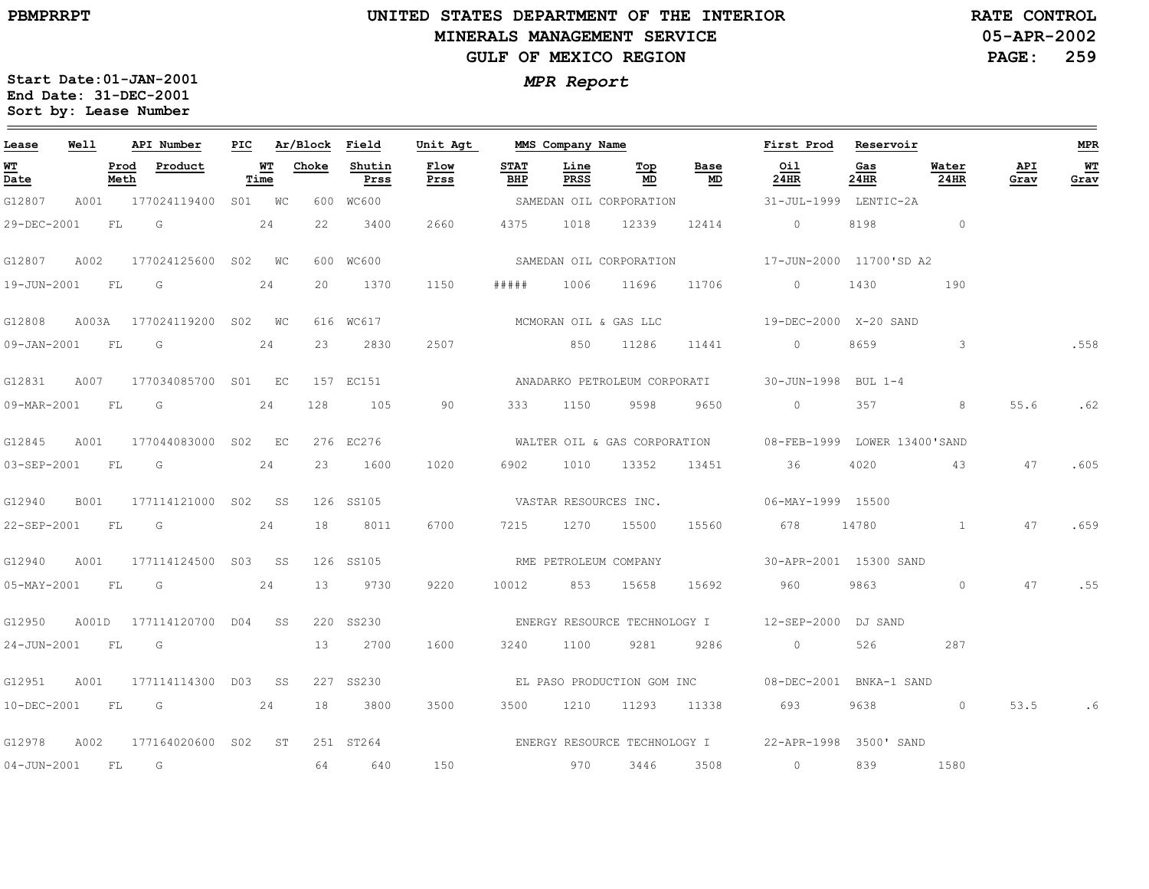### **UNITED STATES DEPARTMENT OF THE INTERIOR MINERALS MANAGEMENT SERVICEGULF OF MEXICO REGION**

**05-APR-2002PAGE: 259 RATE CONTROL**

| Lease             | Well      |      | API Number                                                                                                    | PIC |                   | Ar/Block Field |                | Unit Agt     |                    | MMS Company Name      |                         |                              | First Prod                                                | Reservoir   |                |             | MPR        |
|-------------------|-----------|------|---------------------------------------------------------------------------------------------------------------|-----|-------------------|----------------|----------------|--------------|--------------------|-----------------------|-------------------------|------------------------------|-----------------------------------------------------------|-------------|----------------|-------------|------------|
| WT<br>Date        |           | Meth | Prod Product                                                                                                  |     | <u>WT</u><br>Time | Choke          | Shutin<br>Prss | Flow<br>Prss | <b>STAT</b><br>BHP | Line<br>PRSS          | Top<br>MD               | Base<br>MD                   | Oil<br>24HR                                               | Gas<br>24HR | Water<br>24HR  | API<br>Grav | WТ<br>Grav |
| G12807            |           |      | A001 177024119400 S01 WC                                                                                      |     |                   |                | 600 WC600      |              |                    |                       | SAMEDAN OIL CORPORATION |                              | 31-JUL-1999 LENTIC-2A                                     |             |                |             |            |
| 29-DEC-2001       |           | FL G |                                                                                                               |     | 24                | 22             | 3400           | 2660         | 4375               |                       | 1018 12339              | 12414                        | $\circ$                                                   | 8198        | $\overline{0}$ |             |            |
| G12807            | A002      |      | 177024125600 S02 WC                                                                                           |     |                   |                | 600 WC600      |              |                    |                       |                         | SAMEDAN OIL CORPORATION      | 17-JUN-2000 11700'SD A2                                   |             |                |             |            |
| 19-JUN-2001       | FL.       |      | $\overline{\mathsf{G}}$                                                                                       |     | 24                | 20             | 1370           | 1150         | # # # # #          | 1006                  | 11696                   | 11706                        | $\circ$                                                   | 1430        | 190            |             |            |
| G12808            |           |      | A003A 177024119200 S02 WC                                                                                     |     |                   |                | 616 WC617      |              |                    | MCMORAN OIL & GAS LLC |                         |                              | 19-DEC-2000 X-20 SAND                                     |             |                |             |            |
| 09-JAN-2001 FL    |           |      | in Green Green Green Green Green Street Street Street Street Street Street Street Street Street Street Street |     | 24                | 23             | 2830           | 2507         |                    | 850 11286             |                         | 11441                        | $\sim$ 0                                                  | 8659        | 3 <sup>2</sup> |             | .558       |
| G12831            | A007      |      | 177034085700 S01 EC                                                                                           |     |                   |                | 157 EC151      |              |                    |                       |                         |                              | ANADARKO PETROLEUM CORPORATI 30-JUN-1998 BUL 1-4          |             |                |             |            |
| 09-MAR-2001 FL    |           |      | $\overline{\mathbb{G}}$                                                                                       |     | 24                | 128            | 105            | 90           |                    | 333 1150              | 9598                    | 9650                         | $\overline{0}$                                            | 357         | 8              | 55.6        | .62        |
| G12845            | A001      |      | 177044083000 S02 EC                                                                                           |     |                   |                | 276 EC276      |              |                    |                       |                         |                              | WALTER OIL & GAS CORPORATION 08-FEB-1999 LOWER 13400'SAND |             |                |             |            |
| 03-SEP-2001 FL G  |           |      | 24                                                                                                            |     |                   | 23             | 1600           | 1020         |                    | 6902 1010 13352       |                         | 13451                        | 36                                                        | 4020        | 43             | 47          | .605       |
| G12940            | B001      |      | 177114121000 S02 SS                                                                                           |     |                   |                | 126 SS105      |              |                    | VASTAR RESOURCES INC. |                         |                              | $06 - MAX - 1999$ 15500                                   |             |                |             |            |
| 22-SEP-2001 FL G  |           |      |                                                                                                               |     | 24                | 18             | 8011           | 6700         |                    | 7215 1270 15500       |                         | 15560                        | 678                                                       |             | 14780 1        | 47          | .659       |
| G12940            | A001      |      | 177114124500 S03 SS                                                                                           |     |                   |                | 126 SS105      |              |                    | RME PETROLEUM COMPANY |                         |                              | 30-APR-2001 15300 SAND                                    |             |                |             |            |
| $05 - MAX - 2001$ | FL        |      | G                                                                                                             |     | 24                | 13             | 9730           | 9220         | 10012              | 853                   | 15658                   | 15692                        | 960                                                       | 9863        | $\circ$        | 47          | . 55       |
| G12950            |           |      | A001D 177114120700 D04 SS                                                                                     |     |                   |                | 220 SS230      |              |                    |                       |                         |                              | ENERGY RESOURCE TECHNOLOGY I 12-SEP-2000 DJ SAND          |             |                |             |            |
| 24-JUN-2001 FL G  |           |      |                                                                                                               |     |                   | 13             | 2700           | 1600         | 3240               | 1100                  | 9281                    | 9286                         | $\overline{0}$                                            | 526         | 287            |             |            |
| G12951            | A001      |      | 177114114300 D03 SS                                                                                           |     |                   |                | 227 SS230      |              |                    |                       |                         |                              | EL PASO PRODUCTION GOM INC 08-DEC-2001 BNKA-1 SAND        |             |                |             |            |
| 10-DEC-2001       | <b>FL</b> |      | $\overline{G}$                                                                                                |     | 24                | 18             | 3800           | 3500         | 3500               | 1210                  | 11293                   | 11338                        | 693                                                       | 9638        | $\circ$        | 53.5        | . 6        |
| G12978            | A002      |      | 177164020600 S02 ST                                                                                           |     |                   |                | 251 ST264      |              |                    |                       |                         | ENERGY RESOURCE TECHNOLOGY I | 22-APR-1998 3500' SAND                                    |             |                |             |            |
| 04-JUN-2001 FL G  |           |      |                                                                                                               |     |                   | 64             | 640            | 150          |                    | 970                   | 3446                    | 3508                         | $\sim$ 0                                                  | 839         | 1580           |             |            |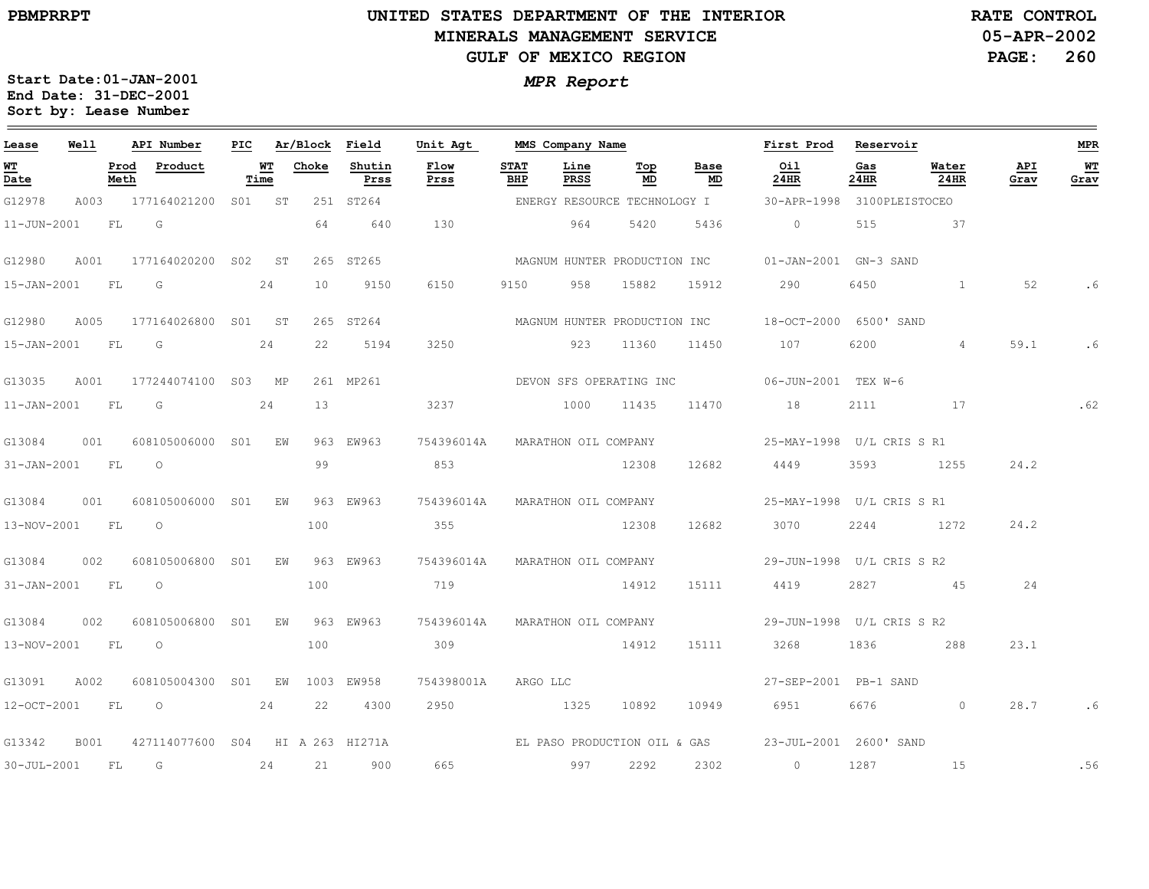### **UNITED STATES DEPARTMENT OF THE INTERIOR MINERALS MANAGEMENT SERVICEGULF OF MEXICO REGION**

**05-APR-2002PAGE: 260 RATE CONTROL**

| Lease             | Well        |              | API Number                       | PIC |            | Ar/Block | Field          | Unit Agt                     |                    | MMS Company Name     |                              |            | First Prod                    | Reservoir   |                |             | <b>MPR</b> |
|-------------------|-------------|--------------|----------------------------------|-----|------------|----------|----------------|------------------------------|--------------------|----------------------|------------------------------|------------|-------------------------------|-------------|----------------|-------------|------------|
| WT<br>Date        |             | Prod<br>Meth | Product                          |     | WТ<br>Time | Choke    | Shutin<br>Prss | Flow<br>Prss                 | <b>STAT</b><br>BHP | Line<br>PRSS         | Top<br>MD                    | Base<br>MD | Oil<br>24HR                   | Gas<br>24HR | Water<br>24HR  | API<br>Grav | WT<br>Grav |
| G12978            | A003        |              | 177164021200                     |     | S01 ST     |          | 251 ST264      |                              |                    |                      | ENERGY RESOURCE TECHNOLOGY I |            | 30-APR-1998                   |             | 3100PLEISTOCEO |             |            |
| $11 - JUN - 2001$ |             | FL           | G                                |     |            | 64       | 640            | 130                          |                    | 964                  | 5420                         | 5436       | $\circ$                       | 515         | 37             |             |            |
| G12980            | A001        |              | 177164020200 S02                 |     | ST         |          | 265 ST265      |                              |                    |                      | MAGNUM HUNTER PRODUCTION INC |            | 01-JAN-2001 GN-3 SAND         |             |                |             |            |
| 15-JAN-2001       |             | FL           | G                                |     | 24         | 10       | 9150           | 6150                         | 9150               | 958                  | 15882                        | 15912      | 290                           | 6450        | $\mathbf{1}$   | 52          | . 6        |
| G12980            | A005        |              | 177164026800 S01 ST              |     |            |          | 265 ST264      |                              |                    |                      | MAGNUM HUNTER PRODUCTION INC |            | 18-OCT-2000                   | 6500' SAND  |                |             |            |
| 15-JAN-2001       |             | FL           | G                                |     | 24         | 22       | 5194           | 3250                         |                    | 923                  | 11360                        | 11450      | 107                           | 6200        | $\overline{4}$ | 59.1        | . 6        |
| G13035            | A001        |              | 177244074100 S03                 |     | MP         |          | 261 MP261      |                              |                    |                      | DEVON SFS OPERATING INC      |            | 06-JUN-2001 TEX W-6           |             |                |             |            |
| $11 - JAN - 2001$ |             | FL           | G                                |     | 24         | 13       |                | 3237                         |                    | 1000                 | 11435                        | 11470      | 18                            | 2111        | 17             |             | .62        |
| G13084            | 001         |              | 608105006000 S01                 |     | ΕW         |          | 963 EW963      | 754396014A                   |                    | MARATHON OIL COMPANY |                              |            | 25-MAY-1998 U/L CRIS S R1     |             |                |             |            |
| $31 - JAN - 2001$ |             | <b>FL</b>    | $\circ$                          |     |            | 99       |                | 853                          |                    |                      | 12308                        | 12682      | 4449                          | 3593        | 1255           | 24.2        |            |
| G13084            | 001         |              | 608105006000 S01                 |     | EW         |          | 963 EW963      | 754396014A                   |                    | MARATHON OIL COMPANY |                              |            |                               |             |                |             |            |
| 13-NOV-2001       |             | FL           | $\circ$                          |     |            | 100      |                | 355                          |                    |                      | 12308                        | 12682      | 3070                          | 2244        | 1272           | 24.2        |            |
| G13084            | 002         |              | 608105006800 S01                 |     | ΕW         |          | 963 EW963      | 754396014A                   |                    | MARATHON OIL COMPANY |                              |            | 29-JUN-1998 U/L CRIS S R2     |             |                |             |            |
| $31 - JAN - 2001$ |             | FL           | $\circ$                          |     |            | 100      |                | 719                          |                    |                      | 14912                        | 15111      | 4419                          |             | 2827 45        | 24          |            |
| G13084            | 002         |              | 608105006800 S01                 |     | EW         |          | 963 EW963      | 754396014A                   |                    | MARATHON OIL COMPANY |                              |            | 29-JUN-1998    U/L CRIS    R2 |             |                |             |            |
| 13-NOV-2001       |             | FL           | $\circ$                          |     |            | 100      |                | 309                          |                    |                      | 14912                        | 15111      | 3268                          | 1836        | 288            | 23.1        |            |
| G13091            | A002        |              | 608105004300 S01                 |     | EW         |          | 1003 EW958     | 754398001A                   | ARGO LLC           |                      |                              |            | 27-SEP-2001 PB-1 SAND         |             |                |             |            |
| 12-OCT-2001       |             | FL           | $\overline{O}$                   |     | 24         | 22       | 4300           | 2950                         |                    | 1325                 | 10892                        | 10949      | 6951 7                        | 6676        | $\circ$        | 28.7        |            |
| G13342            | <b>B001</b> |              | 427114077600 S04 HI A 263 HI271A |     |            |          |                | EL PASO PRODUCTION OIL & GAS |                    |                      |                              |            | 23-JUL-2001 2600' SAND        |             |                |             |            |
| 30-JUL-2001       |             | FL.          | G                                |     | 24         | 21       | 900            | 665                          |                    | 997                  | 2292                         | 2302       | $\circ$                       | 1287        | 15             |             | .56        |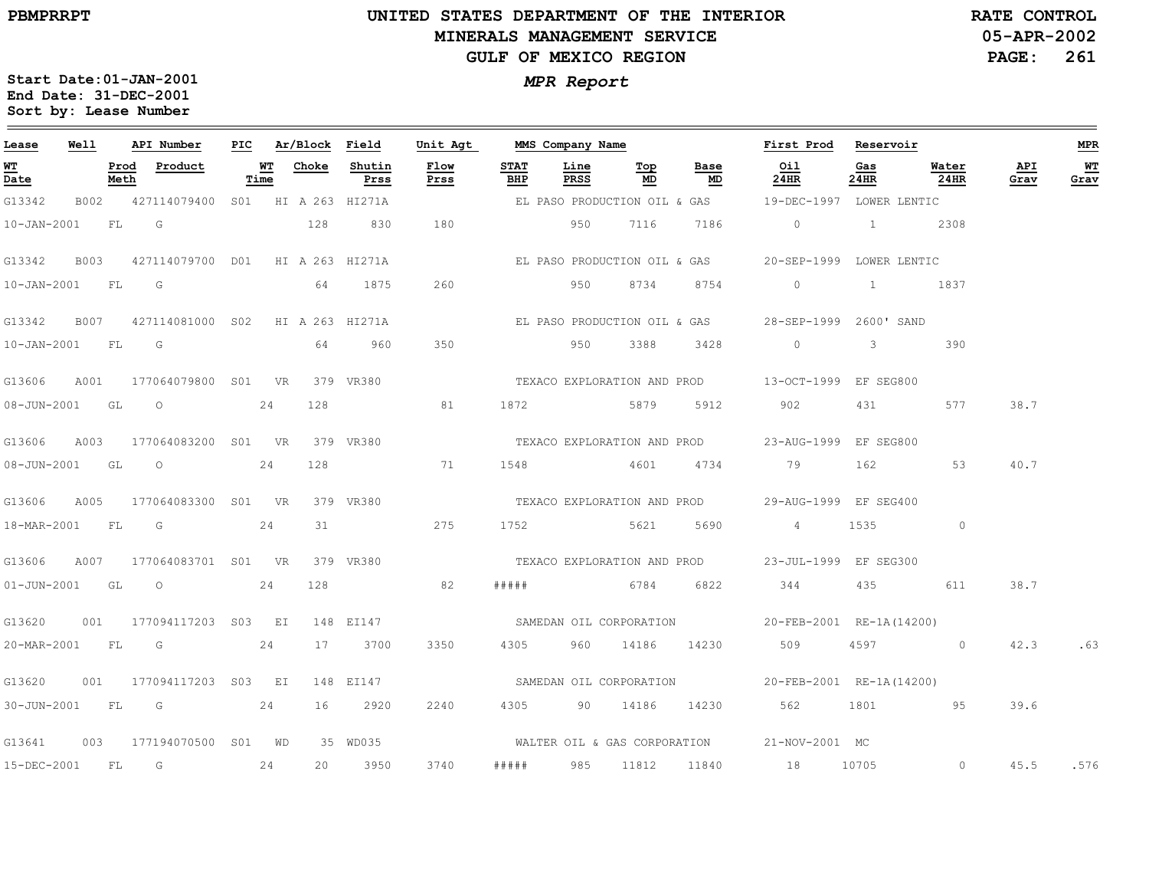### **UNITED STATES DEPARTMENT OF THE INTERIOR MINERALS MANAGEMENT SERVICEGULF OF MEXICO REGION**

**05-APR-2002PAGE: 261 RATE CONTROL**

| Lease            | Well |      | API Number                                   | PIC |            | Ar/Block Field |                | Unit Agt     |                    | MMS Company Name |           |                              | First Prod Reservoir                                            |                                                                                                                                                                                                                                 |               |             | MPR        |
|------------------|------|------|----------------------------------------------|-----|------------|----------------|----------------|--------------|--------------------|------------------|-----------|------------------------------|-----------------------------------------------------------------|---------------------------------------------------------------------------------------------------------------------------------------------------------------------------------------------------------------------------------|---------------|-------------|------------|
| WT<br>Date       |      | Meth | Prod Product                                 |     | WT<br>Time | Choke          | Shutin<br>Prss | Flow<br>Prss | <b>STAT</b><br>BHP | Line<br>PRSS     | Тор<br>MD | Base<br>MD                   | Oil<br>24HR                                                     | Gas<br>24HR                                                                                                                                                                                                                     | Water<br>24HR | API<br>Grav | WT<br>Grav |
| G13342           |      |      | B002 427114079400 S01 HI A 263 HI271A        |     |            |                |                |              |                    |                  |           |                              | EL PASO PRODUCTION OIL & GAS   19-DEC-1997 LOWER LENTIC         |                                                                                                                                                                                                                                 |               |             |            |
| 10-JAN-2001 FL G |      |      |                                              |     |            | 128            | 830            | 180          |                    | 950              | 7116      | 7186                         | $\begin{array}{ccc} & & 0 & \quad & 1 \end{array}$              |                                                                                                                                                                                                                                 | 2308          |             |            |
| G13342           |      |      | B003 427114079700 D01 HI A 263 HI271A        |     |            |                |                |              |                    |                  |           | EL PASO PRODUCTION OIL & GAS | 20-SEP-1999 LOWER LENTIC                                        |                                                                                                                                                                                                                                 |               |             |            |
| 10-JAN-2001 FL G |      |      |                                              |     |            | 64             | 1875           | 260          |                    | 950              | 8734      | 8754                         | $\circ$                                                         | $\mathbf{1}$                                                                                                                                                                                                                    | 1837          |             |            |
|                  |      |      | G13342 B007 427114081000 S02 HI A 263 HI271A |     |            |                |                |              |                    |                  |           | EL PASO PRODUCTION OIL & GAS | 28-SEP-1999 2600' SAND                                          |                                                                                                                                                                                                                                 |               |             |            |
| 10-JAN-2001 FL G |      |      |                                              |     |            | 64             | 960            | 350          |                    | 950              | 3388      | 3428                         | $\overline{0}$                                                  | $3 \sim 3$                                                                                                                                                                                                                      | 390           |             |            |
| G13606           |      |      | A001 177064079800 S01 VR                     |     |            |                |                |              |                    |                  |           |                              |                                                                 |                                                                                                                                                                                                                                 |               |             |            |
| 08-JUN-2001 GL   |      |      | $\overline{O}$                               |     | 24         | 128            |                | 81           | 1872               |                  |           |                              | 5879 5912 902                                                   | 431 — 131 — 132 — 132 — 132 — 132 — 132 — 132 — 132 — 132 — 132 — 133 — 133 — 133 — 133 — 133 — 133 — 133 — 133 — 133 — 133 — 133 — 133 — 133 — 133 — 133 — 133 — 133 — 133 — 133 — 133 — 133 — 133 — 133 — 133 — 133 — 133 — 1 | 577           | 38.7        |            |
| G13606           |      |      | A003 177064083200 S01 VR                     |     |            |                | 379 VR380      |              |                    |                  |           | TEXACO EXPLORATION AND PROD  | 23-AUG-1999 EF SEG800                                           |                                                                                                                                                                                                                                 |               |             |            |
|                  |      |      | 08-JUN-2001 GL 0 24                          |     |            | 128            | 71             |              |                    |                  |           |                              | 1548 4601 4734 79                                               | 162                                                                                                                                                                                                                             | 53            | 40.7        |            |
| G13606           |      |      | A005 177064083300 S01 VR                     |     |            |                |                |              |                    |                  |           |                              | 379 VR380 CHA TEXACO EXPLORATION AND PROD 29-AUG-1999 EF SEG400 |                                                                                                                                                                                                                                 |               |             |            |
| 18-MAR-2001 FL G |      |      | 24                                           |     |            | 31             |                | 275          |                    |                  |           | 1752 5621 5690               | $4\overline{4}$                                                 |                                                                                                                                                                                                                                 | $\circ$       |             |            |
| G13606           |      |      | A007 177064083701 S01 VR                     |     |            |                | 379 VR380      |              |                    |                  |           |                              | TEXACO EXPLORATION AND PROD 23-JUL-1999 EF SEG300               |                                                                                                                                                                                                                                 |               |             |            |
| 01-JUN-2001 GL O |      |      |                                              |     | 24         | 128            |                | 82           | #####              |                  | 6784 6822 |                              | 344 435 611                                                     |                                                                                                                                                                                                                                 |               | 38.7        |            |
|                  |      |      | G13620 001 177094117203 S03 EI               |     |            |                | 148 EI147      |              |                    |                  |           |                              | SAMEDAN OIL CORPORATION 20-FEB-2001 RE-1A (14200)               |                                                                                                                                                                                                                                 |               |             |            |
| 20-MAR-2001 FL G |      |      |                                              |     | 24         |                | 17 3700        | 3350         |                    |                  |           | 4305 960 14186 14230         | 509                                                             |                                                                                                                                                                                                                                 | 4597 0        | 42.3        | .63        |
| G13620           |      |      | 001 177094117203 S03 EI                      |     |            |                | 148 EI147      |              |                    |                  |           |                              | SAMEDAN OIL CORPORATION 20-FEB-2001 RE-1A(14200)                |                                                                                                                                                                                                                                 |               |             |            |
| 30-JUN-2001 FL G |      |      |                                              |     | 24         | 16             | 2920           | 2240         | 4305               |                  | 90 14186  | 14230                        | 562                                                             | 1801                                                                                                                                                                                                                            | 95            | 39.6        |            |
|                  |      |      | G13641 003 177194070500 S01 WD               |     |            |                | 35 WD035       |              |                    |                  |           |                              | WALTER OIL & GAS CORPORATION 21-NOV-2001 MC                     |                                                                                                                                                                                                                                 |               |             |            |
|                  |      |      | 15-DEC-2001 FL G 24                          |     |            | 20             | 3950           | 3740         |                    |                  |           |                              | ##### 985 11812 11840 18 10705                                  |                                                                                                                                                                                                                                 | $\sim$ 0      | 45.5        | .576       |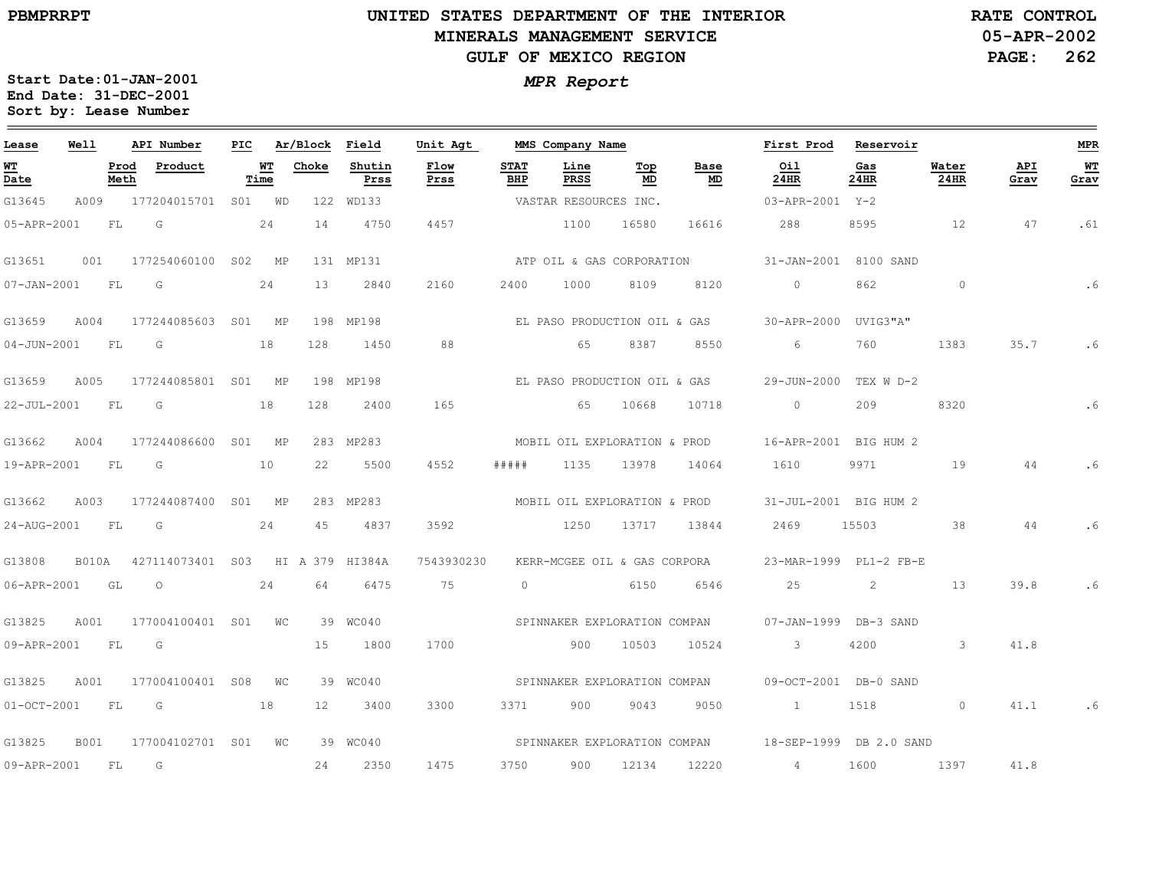**PBMPRRPT**

 $\equiv$ 

## **UNITED STATES DEPARTMENT OF THE INTERIOR MINERALS MANAGEMENT SERVICEGULF OF MEXICO REGION**

**05-APR-2002PAGE: 262 RATE CONTROL**

| Lease         | Well         |              | API Number          | PIC |            | Ar/Block | Field           | Unit Agt     |                    | MMS Company Name             |           |                              | First Prod              | Reservoir   |               |             | <b>MPR</b> |
|---------------|--------------|--------------|---------------------|-----|------------|----------|-----------------|--------------|--------------------|------------------------------|-----------|------------------------------|-------------------------|-------------|---------------|-------------|------------|
| WT<br>Date    |              | Prod<br>Meth | Product             |     | WT<br>Time | Choke    | Shutin<br>Prss  | Flow<br>Prss | <b>STAT</b><br>BHP | Line<br>PRSS                 | Top<br>MD | Base<br>MD                   | Oil<br>24HR             | Gas<br>24HR | Water<br>24HR | API<br>Grav | WT<br>Grav |
| G13645        | A009         |              | 177204015701        |     | SO1 WD     |          | 122 WD133       |              |                    | VASTAR RESOURCES INC.        |           |                              | 03-APR-2001 Y-2         |             |               |             |            |
| 05-APR-2001   |              | FL           | G                   |     | 24         | 14       | 4750            | 4457         |                    | 1100                         | 16580     | 16616                        | 288                     | 8595        | 12            | 47          | .61        |
| G13651        | 001          |              | 177254060100        | S02 | MP         |          | 131 MP131       |              |                    | ATP OIL & GAS CORPORATION    |           |                              | 31-JAN-2001 8100 SAND   |             |               |             |            |
| 07-JAN-2001   |              | FL           | G                   |     | 24         | 13       | 2840            | 2160         | 2400               | 1000                         | 8109      | 8120                         | $\circ$                 | 862         | $\circ$       |             | .6         |
| G13659        | A004         |              | 177244085603 S01 MP |     |            |          | 198 MP198       |              |                    | EL PASO PRODUCTION OIL & GAS |           |                              | 30-APR-2000             | UVIG3"A"    |               |             |            |
| 04-JUN-2001   |              | - FL         | G                   |     | 18         | 128      | 1450            | 88           |                    | 65                           | 8387      | 8550                         | 6                       | 760         | 1383          | 35.7        | . 6        |
| G13659        | A005         |              | 177244085801 S01 MP |     |            |          | 198 MP198       |              |                    |                              |           | EL PASO PRODUCTION OIL & GAS | 29-JUN-2000             | TEX W D-2   |               |             |            |
| 22-JUL-2001   |              | FL           | G                   |     | 18         | 128      | 2400            | 165          |                    | 65                           | 10668     | 10718                        | $\Omega$                | 209         | 8320          |             | .6         |
| G13662        | A004         |              | 177244086600        |     | SO1 MP     |          | 283 MP283       |              |                    | MOBIL OIL EXPLORATION & PROD |           |                              | 16-APR-2001 BIG HUM 2   |             |               |             |            |
| 19-APR-2001   |              | FL           | G                   |     | 10         | 22       | 5500            | 4552         | # # # # #          | 1135                         | 13978     | 14064                        | 1610                    | 9971        | 19            | 44          |            |
| G13662        | A003         |              | 177244087400 S01 MP |     |            |          | 283 MP283       |              |                    | MOBIL OIL EXPLORATION & PROD |           |                              | 31-JUL-2001 BIG HUM 2   |             |               |             |            |
| 24-AUG-2001   |              | FL           | G                   |     | 24         | 45       | 4837            | 3592         |                    | 1250                         | 13717     | 13844                        | 2469                    | 15503       | 38            | 44          | .6         |
| G13808        | <b>B010A</b> |              | 427114073401 S03    |     |            |          | HI A 379 HI384A | 7543930230   |                    | KERR-MCGEE OIL & GAS CORPORA |           |                              | 23-MAR-1999 PL1-2 FB-E  |             |               |             |            |
| 06-APR-2001   |              | GL           | $\circ$             |     | 24         | 64       | 6475            | 75           | $\circ$            |                              | 6150      | 6546                         | 25                      | 2           | 13            | 39.8        | . 6        |
| G13825        | A001         |              | 177004100401 S01    |     | WС         |          | 39 WC040        |              |                    | SPINNAKER EXPLORATION COMPAN |           |                              | $07 - JAN - 1999$       | DB-3 SAND   |               |             |            |
| 09-APR-2001   |              | FL           | G                   |     |            | 15       | 1800            | 1700         |                    | 900                          | 10503     | 10524                        | $\mathbf{3}$            | 4200        | $\mathbf{3}$  | 41.8        |            |
| G13825        | A001         |              | 177004100401 S08    |     | WС         |          | 39 WC040        |              |                    | SPINNAKER EXPLORATION COMPAN |           |                              | 09-OCT-2001 DB-0 SAND   |             |               |             |            |
| $01-0CT-2001$ |              | FL           | G                   |     | 18         | 12       | 3400            | 3300         | 3371               | 900                          | 9043      | 9050                         | $\sim$ $1$              | 1518        | $\circ$       | 41.1        |            |
| G13825        | <b>B001</b>  |              | 177004102701 S01    |     | WС         |          | 39 WC040        |              |                    | SPINNAKER EXPLORATION COMPAN |           |                              | 18-SEP-1999 DB 2.0 SAND |             |               |             |            |
| 09-APR-2001   |              | FL.          | G                   |     |            | 24       | 2350            | 1475         | 3750               | 900                          | 12134     | 12220                        | $\overline{4}$          | 1600        | 1397          | 41.8        |            |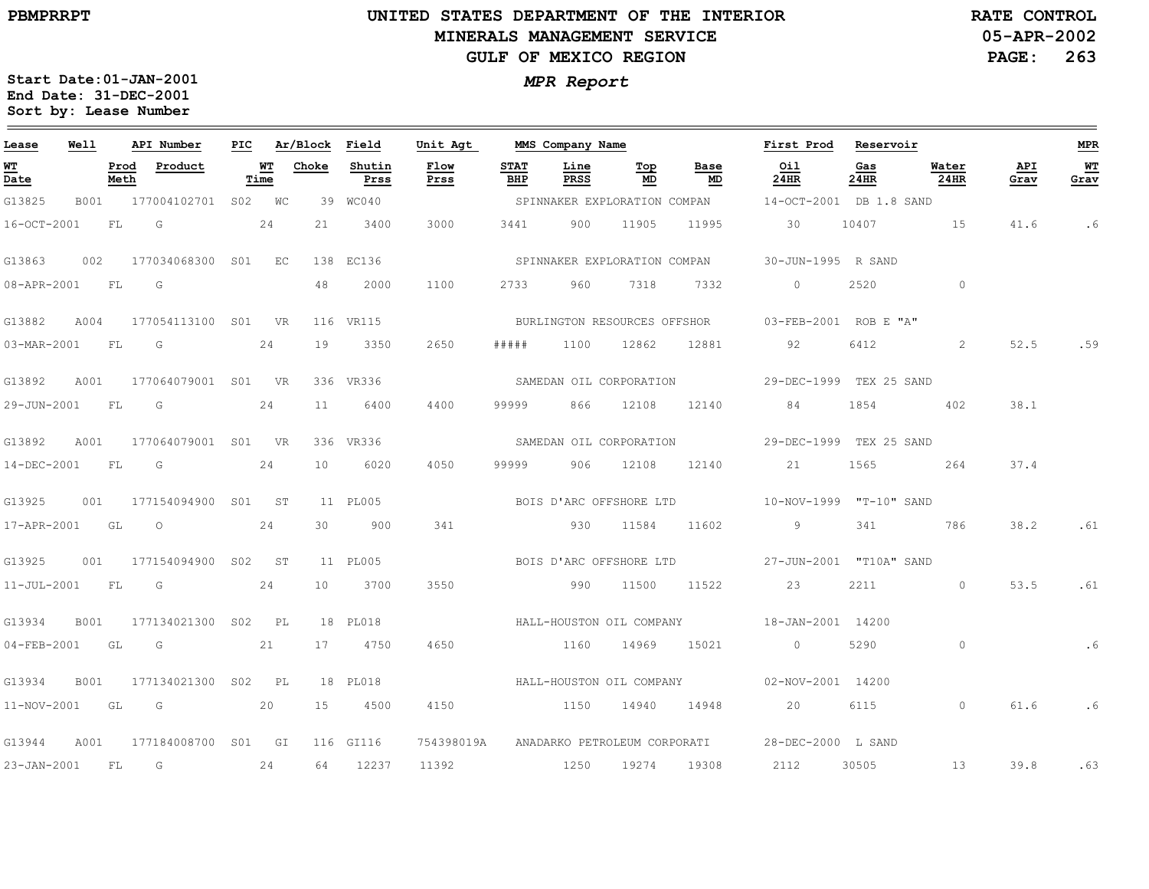### **UNITED STATES DEPARTMENT OF THE INTERIOR MINERALS MANAGEMENT SERVICEGULF OF MEXICO REGION**

**05-APR-2002PAGE: 263 RATE CONTROL**

| Lease             | Well        |              | API Number               | PIC |            | Ar/Block Field |                | Unit Agt     |                    | MMS Company Name             |           |                              | First Prod                                           | Reservoir   |               |             | MPR        |
|-------------------|-------------|--------------|--------------------------|-----|------------|----------------|----------------|--------------|--------------------|------------------------------|-----------|------------------------------|------------------------------------------------------|-------------|---------------|-------------|------------|
| WТ<br>Date        |             | Prod<br>Meth | Product                  |     | WТ<br>Time | Choke          | Shutin<br>Prss | Flow<br>Prss | <b>STAT</b><br>BHP | Line<br>PRSS                 | Тор<br>MD | Base<br>MD                   | Oil<br>24HR                                          | Gas<br>24HR | Water<br>24HR | API<br>Grav | WТ<br>Grav |
| G13825            |             |              | B001 177004102701 S02 WC |     |            |                | 39 WC040       |              |                    |                              |           |                              | SPINNAKER EXPLORATION COMPAN 14-OCT-2001 DB 1.8 SAND |             |               |             |            |
| 16-OCT-2001       |             | <b>FL</b>    | G                        |     | 24         | 21             | 3400           | 3000         | 3441               | 900                          | 11905     | 11995                        | 30                                                   | 10407       | 15            | 41.6        | .6         |
| G13863            | 002         |              | 177034068300 S01 EC      |     |            |                | 138 EC136      |              |                    |                              |           | SPINNAKER EXPLORATION COMPAN | 30-JUN-1995 R SAND                                   |             |               |             |            |
| 08-APR-2001       |             | <b>FL</b>    | G                        |     |            | 48             | 2000           | 1100         | 2733               | 960                          | 7318      | 7332                         | $\Omega$                                             | 2520        | $\circ$       |             |            |
| G13882            | A004        |              | 177054113100 S01 VR      |     |            |                | 116 VR115      |              |                    | BURLINGTON RESOURCES OFFSHOR |           |                              | 03-FEB-2001 ROB E "A"                                |             |               |             |            |
| 03-MAR-2001 FL    |             |              | G                        |     | 24         | 19             | 3350           | 2650         | # # # # #          | 1100                         | 12862     | 12881                        | 92                                                   | 6412        | 2             | 52.5        | .59        |
| G13892            | A001        |              | 177064079001 S01 VR      |     |            |                | 336 VR336      |              |                    |                              |           | SAMEDAN OIL CORPORATION      | 29-DEC-1999 TEX 25 SAND                              |             |               |             |            |
| 29-JUN-2001       |             | <b>FL</b>    | G                        |     | 24         | 11             | 6400           | 4400         | 99999              | 866                          | 12108     | 12140                        | 84                                                   | 1854        | 402           | 38.1        |            |
| G13892            | A001        |              | 177064079001 S01 VR      |     |            |                | 336 VR336      |              |                    | SAMEDAN OIL CORPORATION      |           |                              | 29-DEC-1999 TEX 25 SAND                              |             |               |             |            |
| 14-DEC-2001       |             | <b>FL</b>    | G G                      |     | 24         | 10             | 6020           | 4050         | 99999              | 906                          | 12108     | 12140                        | 21                                                   | 1565        | 264           | 37.4        |            |
| G13925            | 001         |              | 177154094900 S01 ST      |     |            |                | 11 PL005       |              |                    |                              |           |                              |                                                      |             |               |             |            |
| 17-APR-2001 GL    |             |              | $\circ$                  |     | 24         | 30             | 900            | 341          |                    | 930                          | 11584     | 11602                        | 9                                                    | 341         | 786           | 38.2        | .61        |
| G13925            | 001         |              | 177154094900 S02 ST      |     |            |                | 11 PL005       |              |                    |                              |           |                              |                                                      |             |               |             |            |
| $11 - JUL - 2001$ |             | FL           | $\overline{\mathbb{G}}$  |     | 24         | 10             | 3700           | 3550         |                    | 990                          | 11500     | 11522                        | 23                                                   | 2211        | $\circ$       | 53.5        | .61        |
| G13934            | B001        |              | 177134021300 S02 PL      |     |            |                | 18 PL018       |              |                    |                              |           |                              | HALL-HOUSTON OIL COMPANY 18-JAN-2001 14200           |             |               |             |            |
| 04-FEB-2001 GL    |             |              | $\overline{G}$           |     | 21         |                | 17 4750        | 4650         |                    | 1160                         | 14969     | 15021                        | $\sim$ 0 $\sim$                                      | 5290        | $\circ$       |             | . 6        |
| G13934            | <b>B001</b> |              | 177134021300 S02 PL      |     |            |                | 18 PL018       |              |                    | HALL-HOUSTON OIL COMPANY     |           |                              | 02-NOV-2001 14200                                    |             |               |             |            |
| 11-NOV-2001 GL    |             |              | $\overline{G}$           |     | 20         | 15             | 4500           | 4150         |                    | 1150                         | 14940     | 14948                        | 20                                                   | 6115        | $\circ$       | 61.6        | . 6        |
| G13944            | A001        |              | 177184008700 S01 GI      |     |            |                | 116 GI116      | 754398019A   |                    |                              |           | ANADARKO PETROLEUM CORPORATI | 28-DEC-2000 L SAND                                   |             |               |             |            |
| 23-JAN-2001 FL    |             |              | G                        |     | 24         | 64             | 12237          | 11392        | 1250               |                              | 19274     | 19308                        | 2112                                                 | 30505       | 13            | 39.8        | .63        |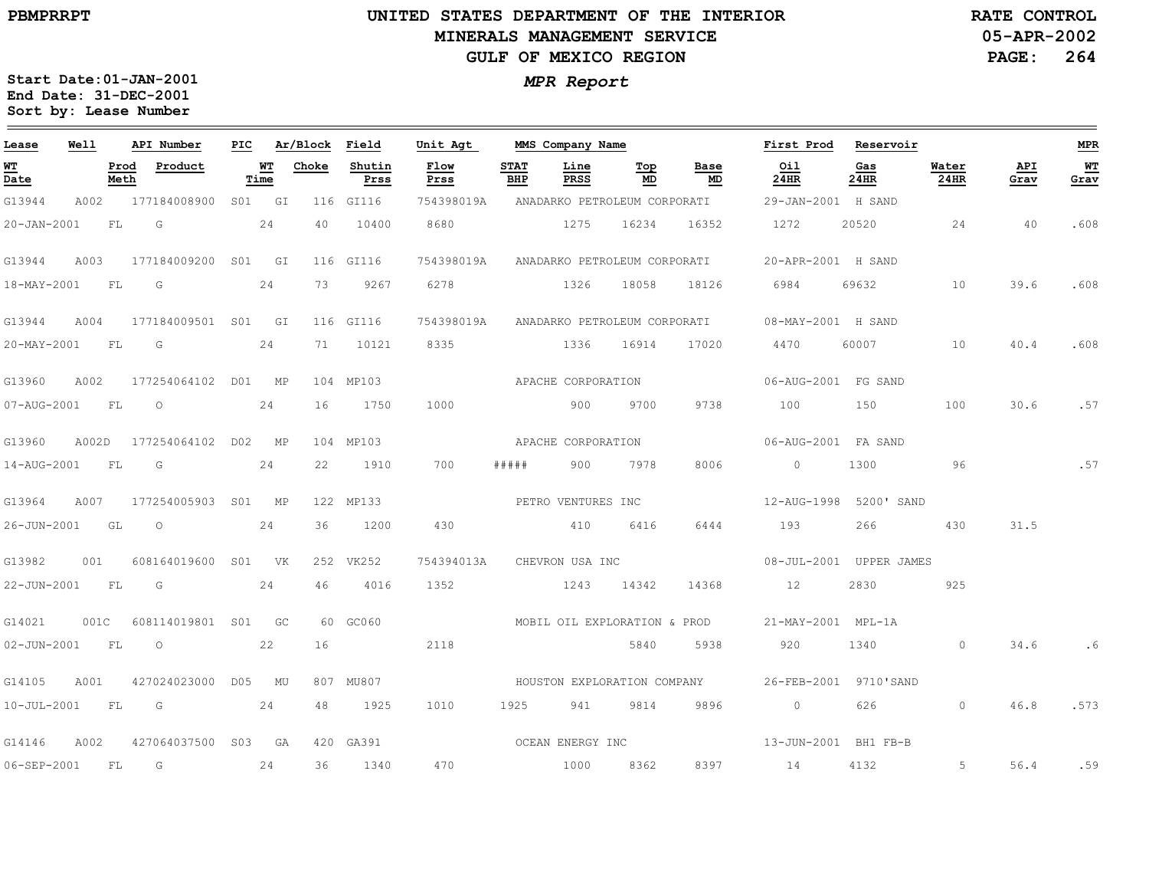### **UNITED STATES DEPARTMENT OF THE INTERIOR MINERALS MANAGEMENT SERVICEGULF OF MEXICO REGION**

**05-APR-2002PAGE: 264 RATE CONTROL**

| Lease             | Well  |              | API Number          | PIC |                 | Ar/Block | Field          | Unit Agt     |                    | MMS Company Name             |           |                             | First Prod Reservoir    |             |               |             | <b>MPR</b> |
|-------------------|-------|--------------|---------------------|-----|-----------------|----------|----------------|--------------|--------------------|------------------------------|-----------|-----------------------------|-------------------------|-------------|---------------|-------------|------------|
| <u>WT</u><br>Date |       | Prod<br>Meth | Product             |     | $W$<br>Time     | Choke    | Shutin<br>Prss | Flow<br>Prss | <b>STAT</b><br>BHP | Line<br>PRSS                 | Top<br>MD | Base<br>MD                  | Oil<br>24HR             | Gas<br>24HR | Water<br>24HR | API<br>Grav | WT<br>Grav |
| G13944            | A002  |              | 177184008900        |     | S01 GI          |          | 116 GI116      | 754398019A   |                    | ANADARKO PETROLEUM CORPORATI |           |                             | 29-JAN-2001 H SAND      |             |               |             |            |
| 20-JAN-2001       |       | FL           | G                   |     | 24              | 40       | 10400          | 8680         |                    | 1275                         | 16234     | 16352                       | 1272                    | 20520       | 24            | 40          | .608       |
| G13944            | A003  |              | 177184009200 S01 GI |     |                 |          | 116 GI116      | 754398019A   |                    | ANADARKO PETROLEUM CORPORATI |           |                             | 20-APR-2001 H SAND      |             |               |             |            |
| 18-MAY-2001       |       | FL           | G                   |     | 24              | 73       | 9267           | 6278         |                    | 1326 18058                   |           | 18126                       | 6984                    | 69632       | 10            | 39.6        | .608       |
| G13944            | A004  |              | 177184009501 S01    |     | GI              |          | 116 GI116      | 754398019A   |                    | ANADARKO PETROLEUM CORPORATI |           |                             | 08-MAY-2001 H SAND      |             |               |             |            |
| 20-MAY-2001       |       | FL           | G                   |     | 24              | 71       | 10121          | 8335         |                    | 1336                         | 16914     | 17020                       | 4470                    | 60007       | 10            | 40.4        | .608       |
| G13960            | A002  |              | 177254064102 D01 MP |     |                 |          | 104 MP103      |              |                    | APACHE CORPORATION           |           |                             | 06-AUG-2001 FG SAND     |             |               |             |            |
| 07-AUG-2001       |       | FL           | $\circ$             |     | 24              | 16       | 1750           | 1000         |                    | 900                          | 9700      | 9738                        | 100                     | 150         | 100           | 30.6        | .57        |
| G13960            | A002D |              | 177254064102 D02    |     | MP              |          | 104 MP103      |              |                    | APACHE CORPORATION           |           |                             | 06-AUG-2001 FA SAND     |             |               |             |            |
| 14-AUG-2001       |       | ${\rm FL}$   | G                   |     | 24              | 22       | 1910           | 700          | # # # # #          | 900                          | 7978      | 8006                        | $\circ$                 | 1300        | 96            |             | .57        |
| G13964            | A007  |              | 177254005903 S01 MP |     |                 |          | 122 MP133      |              |                    | PETRO VENTURES INC           |           |                             | 12-AUG-1998 5200' SAND  |             |               |             |            |
| 26-JUN-2001       |       | GL           | $\circ$             |     | 24              | 36       | 1200           | 430          |                    | 410                          | 6416      | 6444                        | 193                     | 266         | 430           | 31.5        |            |
| G13982            | 001   |              | 608164019600        | S01 | <b>VK</b>       |          | 252 VK252      | 754394013A   |                    | CHEVRON USA INC              |           |                             | 08-JUL-2001 UPPER JAMES |             |               |             |            |
| 22-JUN-2001       |       | ${\rm FL}$   | G                   |     | 24              | 46       | 4016           | 1352         |                    | 1243 14342                   |           | 14368                       | 12                      | 2830        | 925           |             |            |
| G14021            | 001C  |              | 608114019801 S01    |     | GC <sub>1</sub> |          | 60 GC060       |              |                    | MOBIL OIL EXPLORATION & PROD |           |                             | 21-MAY-2001 MPL-1A      |             |               |             |            |
| $02 - JUN - 2001$ |       | FL           | $\circ$             |     | 22              | 16       |                | 2118         |                    |                              | 5840      | 5938                        | 920                     | 1340        | $\circ$       | 34.6        | . 6        |
| G14105            | A001  |              | 427024023000 D05    |     | MU              |          | 807 MU807      |              |                    |                              |           | HOUSTON EXPLORATION COMPANY | 26-FEB-2001 9710'SAND   |             |               |             |            |
| $10 - JUL - 2001$ |       | FL           | G                   |     | 24              | 48       | 1925           | 1010         | 1925               | 941                          | 9814      | 9896                        | $\circ$                 | 626         | $\circ$       | 46.8        | .573       |
| G14146            | A002  |              | 427064037500 S03 GA |     |                 |          | 420 GA391      |              |                    | OCEAN ENERGY INC             |           |                             | 13-JUN-2001 BH1 FB-B    |             |               |             |            |
| 06-SEP-2001       |       | <b>FL</b>    | G                   |     | 24              | 36       | 1340           | 470          |                    | 1000                         | 8362      | 8397                        | 14                      | 4132        | 5             | 56.4        | .59        |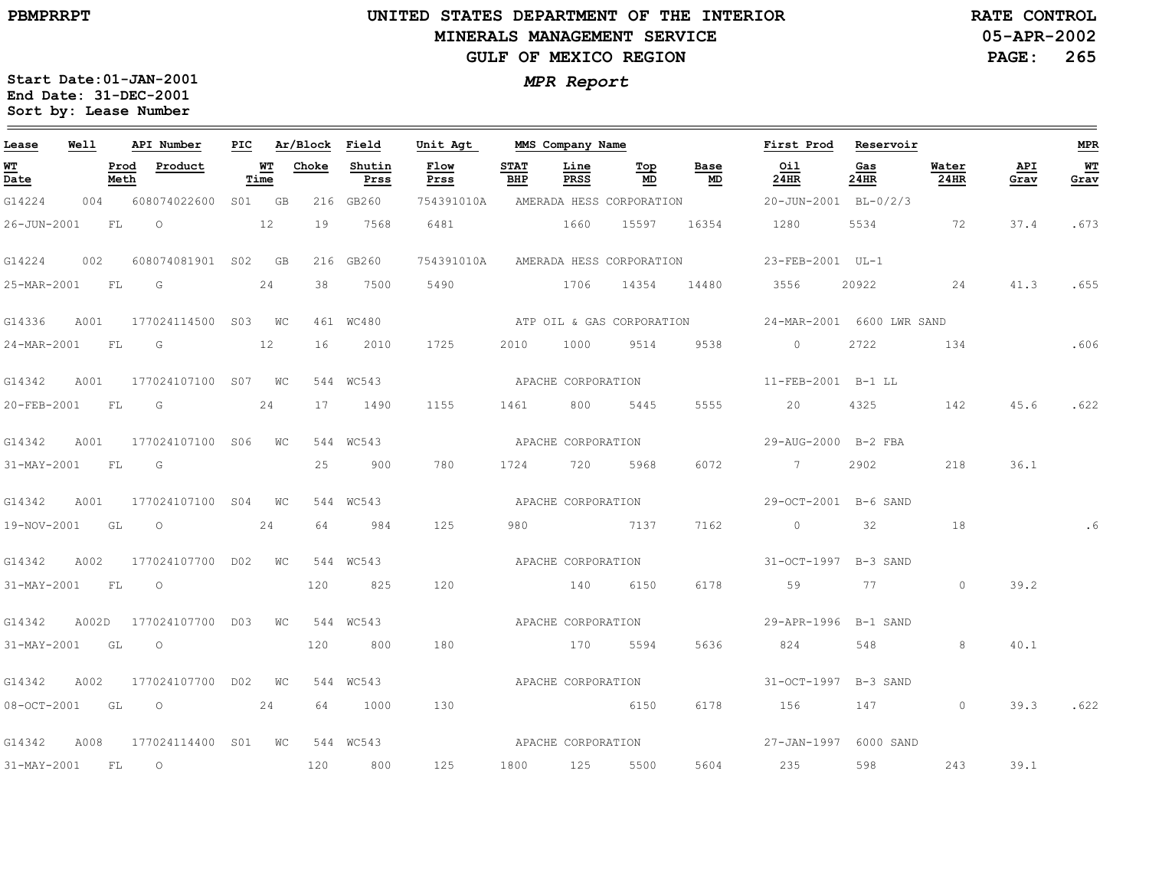#### **UNITED STATES DEPARTMENT OF THE INTERIOR MINERALS MANAGEMENT SERVICEGULF OF MEXICO REGION**

**05-APR-2002PAGE: 265 RATE CONTROL**

| Lease             | Well  |              | API Number          | PIC |            | Ar/Block | Field          | Unit Agt           |                    | MMS Company Name   |                           |            | First Prod                | Reservoir   |               |             | MPR          |
|-------------------|-------|--------------|---------------------|-----|------------|----------|----------------|--------------------|--------------------|--------------------|---------------------------|------------|---------------------------|-------------|---------------|-------------|--------------|
| WT<br>Date        |       | Prod<br>Meth | Product             |     | WТ<br>Time | Choke    | Shutin<br>Prss | Flow<br>Prss       | <b>STAT</b><br>BHP | Line<br>PRSS       | Тор<br>MD                 | Base<br>MD | Oil<br>24HR               | Gas<br>24HR | Water<br>24HR | API<br>Grav | $WT$<br>Grav |
| G14224            | 004   |              | 608074022600        |     | S01 GB     |          | 216 GB260      | 754391010A         |                    |                    | AMERADA HESS CORPORATION  |            | 20-JUN-2001 BL-0/2/3      |             |               |             |              |
| 26-JUN-2001       |       | FL           | $\circ$             |     | 12         | 19       | 7568           | 6481               |                    | 1660               | 15597                     | 16354      | 1280                      | 5534        | 72            | 37.4        | .673         |
| G14224            | 002   |              | 608074081901 S02 GB |     |            |          | 216 GB260      | 754391010A         |                    |                    | AMERADA HESS CORPORATION  |            | 23-FEB-2001 UL-1          |             |               |             |              |
| 25-MAR-2001       |       | FL           | G                   |     | 24         | 38       | 7500           | 5490               |                    | 1706               | 14354                     | 14480      | 3556                      | 20922       | 24            | 41.3        | .655         |
| G14336            | A001  |              | 177024114500 S03 WC |     |            |          | 461 WC480      |                    |                    |                    | ATP OIL & GAS CORPORATION |            | 24-MAR-2001 6600 LWR SAND |             |               |             |              |
| 24-MAR-2001       |       | FL           | G                   |     | 12         | 16       | 2010           | 1725               | 2010               | 1000               | 9514                      | 9538       | $\overline{0}$            | 2722        | 134           |             | .606         |
| G14342            | A001  |              | 177024107100 S07 WC |     |            |          | 544 WC543      |                    |                    | APACHE CORPORATION |                           |            | 11-FEB-2001 B-1 LL        |             |               |             |              |
| 20-FEB-2001       |       | FL           | G                   |     | 24         | 17       | 1490           | 1155               | 1461               | 800                | 5445                      | 5555       | 20                        | 4325        | 142           | 45.6        | .622         |
| G14342            | A001  |              | 177024107100 S06 WC |     |            |          | 544 WC543      |                    |                    | APACHE CORPORATION |                           |            | 29-AUG-2000 B-2 FBA       |             |               |             |              |
| 31-MAY-2001       |       | FL.          | G                   |     |            | 25       | 900            | 780                | 1724               | 720                | 5968                      | 6072       | $\overline{7}$            | 2902        | 218           | 36.1        |              |
| G14342            | A001  |              | 177024107100 S04    |     | WC         |          | 544 WC543      |                    |                    | APACHE CORPORATION |                           |            | 29-OCT-2001 B-6 SAND      |             |               |             |              |
| 19-NOV-2001       |       | GL           | $\circ$             |     | 24         | 64       | 984            | 125                | 980                |                    | 7137                      | 7162       | $\circ$                   | 32          | 18            |             | .6           |
| G14342            | A002  |              | 177024107700 D02    |     | WC         |          | 544 WC543      |                    |                    | APACHE CORPORATION |                           |            | 31-OCT-1997 B-3 SAND      |             |               |             |              |
| 31-MAY-2001       |       | FL           | $\circ$             |     |            | 120      | 825            | 120                |                    | 140                | 6150                      | 6178       | 59                        | 77 — 20     | $\circ$       | 39.2        |              |
| G14342            | A002D |              | 177024107700 D03    |     | WС         |          | 544 WC543      |                    |                    | APACHE CORPORATION |                           |            | 29-APR-1996 B-1 SAND      |             |               |             |              |
| 31-MAY-2001       |       | GL           | $\circ$             |     |            | 120      | 800            | 180                |                    | 170                | 5594                      | 5636       | 824                       | 548         | 8             | 40.1        |              |
| G14342            | A002  |              | 177024107700 D02    |     | WC         |          | 544 WC543      |                    |                    | APACHE CORPORATION |                           |            | 31-OCT-1997 B-3 SAND      |             |               |             |              |
| 08-OCT-2001       |       | GL           | $\overline{O}$      |     | 24         | 64       | 1000           | 130                |                    | 6150               |                           | 6178       | 156                       | 147         | $\circ$       | 39.3        | .622         |
| G14342            | A008  |              | 177024114400 S01 WC |     |            |          | 544 WC543      | APACHE CORPORATION |                    |                    |                           |            | 27-JAN-1997 6000 SAND     |             |               |             |              |
| $31 - MAX - 2001$ |       | FL           | $\circ$             |     |            | 120      | 800            | 125                | 1800               | 125                | 5500                      | 5604       | 235                       | 598         | 243           | 39.1        |              |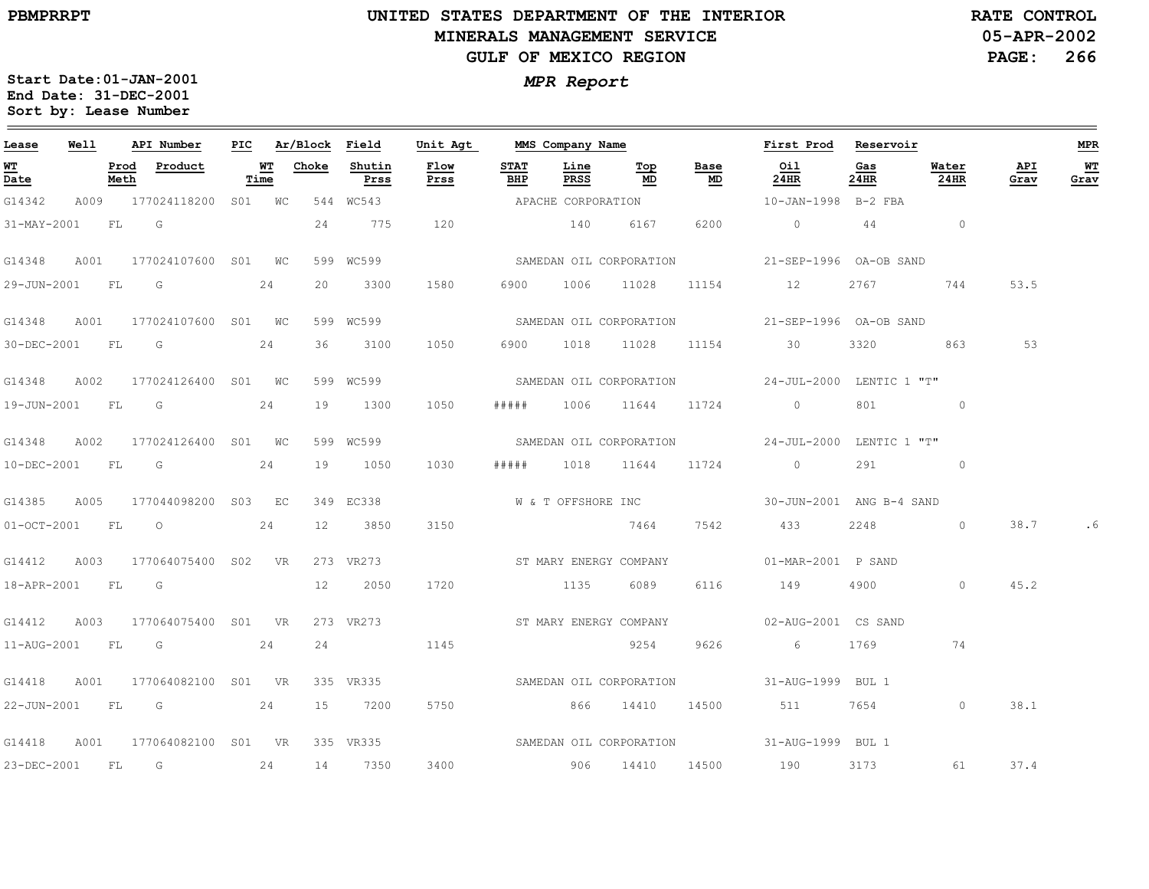**Sort by: Lease Number** 

### **UNITED STATES DEPARTMENT OF THE INTERIOR MINERALS MANAGEMENT SERVICEGULF OF MEXICO REGION**

**05-APR-2002PAGE: 266 RATE CONTROL**

**Start Date:01-JAN-2001***MPR Report* **End Date: 31-DEC-2001**

| Lease            | Well |              | API Number                      |            | PIC Ar/Block Field |                | Unit Agt                         |                    | MMS Company Name |                                        |            | First Prod Reservoir                              |                 |               |             | MPR        |
|------------------|------|--------------|---------------------------------|------------|--------------------|----------------|----------------------------------|--------------------|------------------|----------------------------------------|------------|---------------------------------------------------|-----------------|---------------|-------------|------------|
| WT<br>Date       |      | Prod<br>Meth | Product                         | WT<br>Time | Choke              | Shutin<br>Prss | Flow<br>Prss                     | <b>STAT</b><br>BHP | Line<br>PRSS     | $\underline{\operatorname{Top}}$<br>MD | Base<br>MD | Oil<br>24HR                                       | Gas<br>24HR     | Water<br>24HR | API<br>Grav | WT<br>Grav |
| G14342           |      |              | A009 177024118200 S01 WC        |            |                    | 544 WC543      |                                  |                    |                  | APACHE CORPORATION                     |            | 10-JAN-1998 B-2 FBA                               |                 |               |             |            |
| 31-MAY-2001      |      | FL           | G                               |            | 24                 | 775            | 120                              |                    | 140              | 6167                                   | 6200       | $0 \qquad \qquad 44 \qquad \qquad 0$              |                 |               |             |            |
| G14348           | A001 |              | 177024107600 S01 WC             |            |                    | 599 WC599      |                                  |                    |                  |                                        |            | SAMEDAN OIL CORPORATION 521-SEP-1996 OA-OB SAND   |                 |               |             |            |
| 29-JUN-2001 FL G |      |              |                                 | 24         | 20                 | 3300           | 1580                             | 6900               |                  | 1006 11028 11154 12                    |            |                                                   | 2767            | 744           | 53.5        |            |
| G14348           |      |              | A001 177024107600 S01 WC        |            |                    | 599 WC599      |                                  |                    |                  |                                        |            | SAMEDAN OIL CORPORATION 21-SEP-1996 OA-OB SAND    |                 |               |             |            |
|                  |      |              | 30-DEC-2001 FL G                | 24         | 36                 | 3100           | 1050                             |                    |                  |                                        |            | 6900 1018 11028 11154 30                          | 3320 3320       | 863           | 53          |            |
| G14348           | A002 |              | 177024126400 S01 WC             |            |                    | 599 WC599      |                                  |                    |                  |                                        |            | SAMEDAN OIL CORPORATION 524-JUL-2000 LENTIC 1 "T" |                 |               |             |            |
| 19-JUN-2001 FL G |      |              |                                 | 24         | 19                 | 1300           | 1050                             | # # # # #          |                  | 1006 11644 11724                       |            | $\circ$                                           | 801             | $\circ$       |             |            |
|                  |      |              | G14348 A002 177024126400 S01 WC |            |                    | 599 WC599      |                                  |                    |                  |                                        |            | SAMEDAN OIL CORPORATION 24-JUL-2000 LENTIC 1 "T"  |                 |               |             |            |
|                  |      |              | 10-DEC-2001 FL G 24             |            | 19                 | 1050           | 1030                             | # # # # #          |                  | 1018 11644 11724                       |            | $\overline{0}$                                    |                 | 291 0         |             |            |
| G14385           | A005 |              | 177044098200 S03 EC             |            |                    | 349 EC338      |                                  |                    |                  |                                        |            |                                                   |                 |               |             |            |
| 01-OCT-2001 FL 0 |      |              |                                 | 24         | 12                 | 3850           | 3150                             |                    |                  | 7464                                   | 7542       | 433                                               | 2248            | $\circ$       | 38.7        | . 6        |
| G14412           |      |              | A003 177064075400 S02 VR        |            |                    | 273 VR273      | ST MARY ENERGY COMPANY           |                    |                  |                                        |            | 01-MAR-2001 P SAND                                |                 |               |             |            |
|                  |      |              | 18-APR-2001 FL G                |            | 12                 | 2050           | 1720                             |                    | 1135             | 6089 — 10                              | 6116       | 149                                               | 4900 and $\sim$ | $\circ$       | 45.2        |            |
| G14412           |      |              | A003 177064075400 S01 VR        |            |                    |                | 273 VR273 ST MARY ENERGY COMPANY |                    |                  |                                        |            | 02-AUG-2001 CS SAND                               |                 |               |             |            |
|                  |      |              | 11-AUG-2001 FL G                | 24         | 24                 |                | 1145                             |                    |                  | 9254                                   | 9626       | 6 1769                                            |                 | 74            |             |            |
| G14418           | A001 |              | 177064082100 S01 VR             |            |                    | 335 VR335      |                                  |                    |                  |                                        |            | SAMEDAN OIL CORPORATION 51-AUG-1999 BUL 1         |                 |               |             |            |
|                  |      |              | 22-JUN-2001 FL G 24             |            |                    | 15 7200        | 5750                             |                    |                  |                                        |            | 866 14410 14500 511 7654                          |                 | $\circ$       | 38.1        |            |
| G14418           |      |              | A001 177064082100 S01 VR        |            |                    |                |                                  |                    |                  |                                        |            | 335 VR335 CORPORATION 31-AUG-1999 BUL 1           |                 |               |             |            |
| 23-DEC-2001 FL   |      |              | G                               | 24         | 14                 | 7350           | 3400                             |                    |                  | 906 14410 14500 190                    |            |                                                   | 3173 — 100      | 61            | 37.4        |            |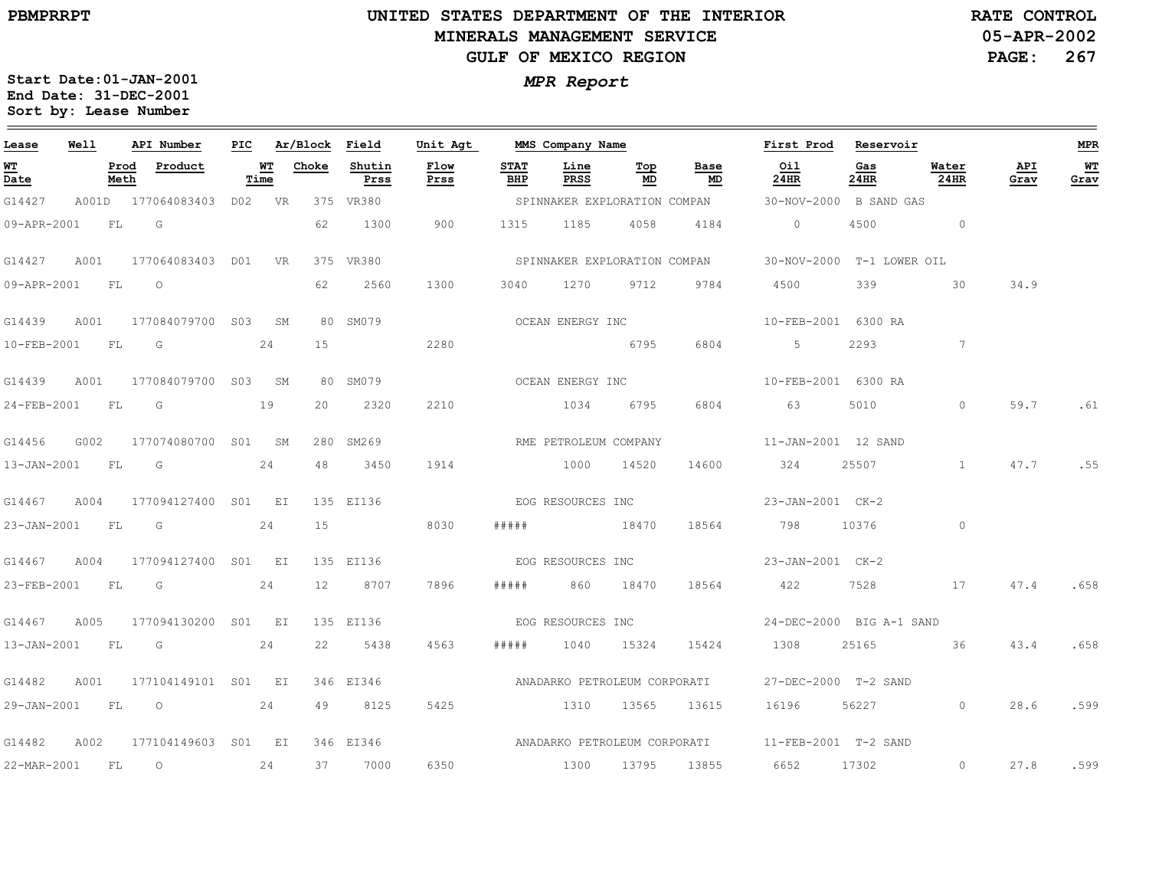### **UNITED STATES DEPARTMENT OF THE INTERIOR MINERALS MANAGEMENT SERVICEGULF OF MEXICO REGION**

**05-APR-2002PAGE: 267 RATE CONTROL**

| Lease             | Well      |              | API Number              | PIC |            | Ar/Block | Field          | Unit Agt          |                    | MMS Company Name      |                              |                              | First Prod                | Reservoir   |                 |             | <b>MPR</b>   |
|-------------------|-----------|--------------|-------------------------|-----|------------|----------|----------------|-------------------|--------------------|-----------------------|------------------------------|------------------------------|---------------------------|-------------|-----------------|-------------|--------------|
| <u>WТ</u><br>Date |           | Prod<br>Meth | Product                 |     | WТ<br>Time | Choke    | Shutin<br>Prss | Flow<br>Prss      | <b>STAT</b><br>BHP | Line<br>PRSS          | Top<br>MD                    | Base<br>MD                   | Oil<br>24HR               | Gas<br>24HR | Water<br>24HR   | API<br>Grav | $WT$<br>Grav |
| G14427            |           |              | A001D 177064083403      |     | D02 VR     |          | 375 VR380      |                   |                    |                       | SPINNAKER EXPLORATION COMPAN |                              | 30-NOV-2000 B SAND GAS    |             |                 |             |              |
| 09-APR-2001       |           | FL           | G                       |     |            | 62       | 1300           | 900               | 1315               | 1185                  | 4058                         | 4184                         | $\circ$                   | 4500        | $\overline{0}$  |             |              |
| G14427            | A001      |              | 177064083403 D01 VR     |     |            |          | 375 VR380      |                   |                    |                       |                              | SPINNAKER EXPLORATION COMPAN | 30-NOV-2000 T-1 LOWER OIL |             |                 |             |              |
| 09-APR-2001       |           | FL           | $\circ$                 |     |            | 62       | 2560           | 1300              | 3040               | 1270                  | 9712                         | 9784                         | 4500                      | 339         | 30              | 34.9        |              |
| G14439            | A001      |              | 177084079700 S03        |     | SM         |          | 80 SM079       |                   |                    | OCEAN ENERGY INC      |                              |                              | 10-FEB-2001 6300 RA       |             |                 |             |              |
| 10-FEB-2001       | <b>FL</b> |              | G                       |     | 24         | 15       |                | 2280              |                    |                       | 6795                         | 6804                         | $5 -$                     | 2293        | $7\overline{ }$ |             |              |
| G14439            | A001      |              | 177084079700 S03 SM     |     |            |          | 80 SM079       |                   |                    | OCEAN ENERGY INC      |                              |                              | 10-FEB-2001 6300 RA       |             |                 |             |              |
| 24-FEB-2001       | FL        |              | G                       |     | 19         | 20       | 2320           | 2210              |                    | 1034                  | 6795                         | 6804                         | 63                        | 5010        | $\Omega$        | 59.7        | .61          |
| G14456            | G002      |              | 177074080700 S01 SM     |     |            |          | 280 SM269      |                   |                    | RME PETROLEUM COMPANY |                              |                              | 11-JAN-2001 12 SAND       |             |                 |             |              |
| 13-JAN-2001       | FL        |              | $\overline{G}$          |     | 24         | 48       | 3450           | 1914              |                    | 1000                  | 14520                        | 14600                        | 324                       | 25507       | $\sim$ 1        | 47.7        | .55          |
| G14467            | A004      |              | 177094127400 S01 EI     |     |            |          | 135 EI136      | EOG RESOURCES INC |                    |                       |                              |                              | 23-JAN-2001 CK-2          |             |                 |             |              |
| 23-JAN-2001       | - FL      |              | G                       |     | 24         | 15       |                | 8030              | #####              |                       | 18470                        | 18564                        | 798                       | 10376       | $\circ$         |             |              |
| G14467            | A004      |              | 177094127400 S01 EI     |     |            |          | 135 EI136      |                   |                    | EOG RESOURCES INC     |                              |                              | 23-JAN-2001 CK-2          |             |                 |             |              |
| 23-FEB-2001       | FL        |              | $\overline{\mathsf{G}}$ |     | 24         | 12       | 8707           | 7896              | # # # # #          | 860                   | 18470                        | 18564                        | 422                       | 7528        | 17              | 47.4        | .658         |
| G14467            | A005      |              | 177094130200 S01 EI     |     |            |          | 135 EI136      |                   |                    | EOG RESOURCES INC     |                              |                              | 24-DEC-2000 BIG A-1 SAND  |             |                 |             |              |
| 13-JAN-2001       | <b>FL</b> |              | $\overline{G}$          |     | 24         | 22       | 5438           | 4563              | # # # # #          | 1040                  | 15324                        | 15424                        | 1308                      | 25165       | 36              | 43.4        | .658         |
| G14482            | A001      |              | 177104149101 S01 EI     |     |            |          | 346 EI346      |                   |                    |                       | ANADARKO PETROLEUM CORPORATI |                              | 27-DEC-2000 T-2 SAND      |             |                 |             |              |
|                   |           |              | 29-JAN-2001 FL 0 24     |     |            | 49       | 8125           | 5425              |                    | 1310                  | 13565                        | 13615                        | 16196                     | 56227 366   | $\circ$         | 28.6        | .599         |
| G14482            | A002      |              | 177104149603 S01 EI     |     |            |          | 346 EI346      |                   |                    |                       |                              |                              |                           |             |                 |             |              |
| 22-MAR-2001       | FL        |              | $\circ$                 |     | 24         | 37       | 7000           | 6350              |                    | 1300                  | 13795                        | 13855                        | 6652                      | 17302       | $\circ$         | 27.8        | .599         |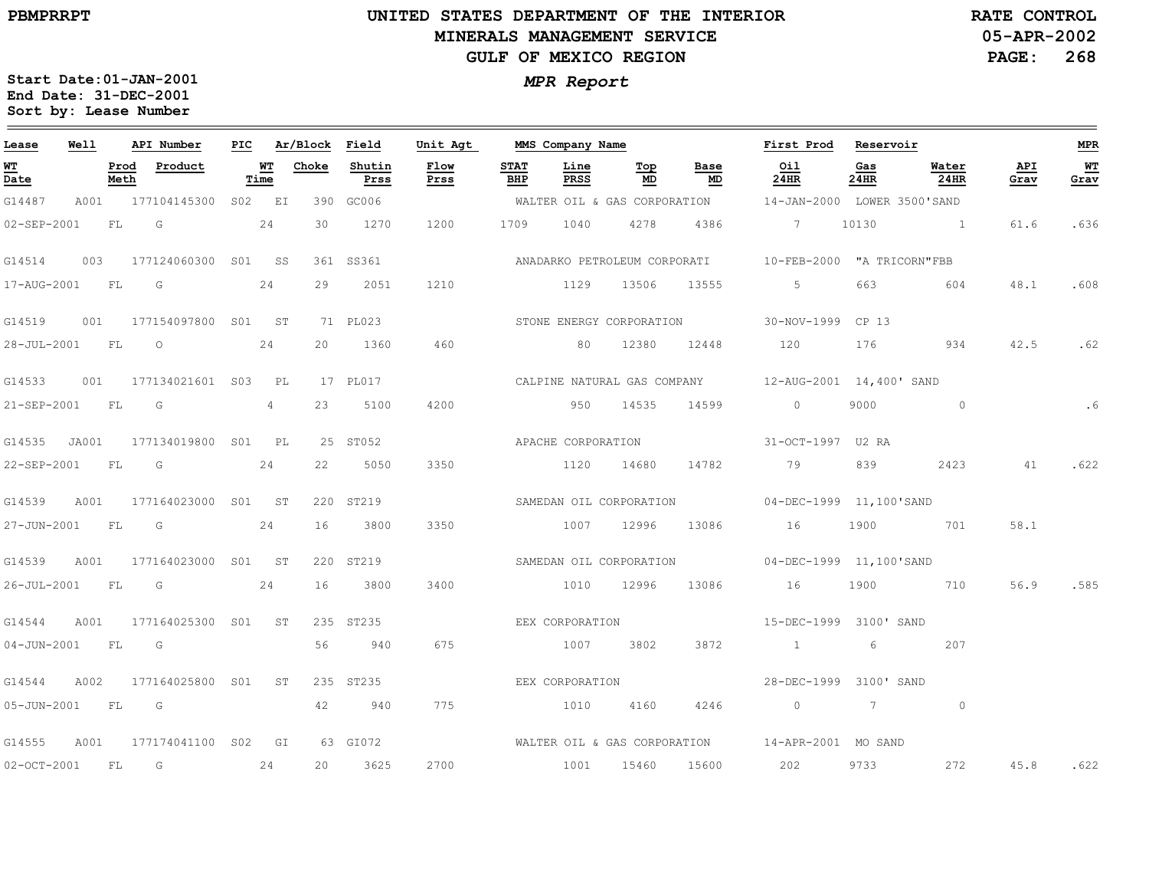### **UNITED STATES DEPARTMENT OF THE INTERIOR MINERALS MANAGEMENT SERVICEGULF OF MEXICO REGION**

**05-APR-2002PAGE: 268 RATE CONTROL**

| Lease                          | Well  |              | API Number              |                   | PIC Ar/Block Field |                | Unit Agt     |                    | MMS Company Name   |                         |                          | First Prod                                                 | Reservoir      |               |             | <b>MPR</b> |
|--------------------------------|-------|--------------|-------------------------|-------------------|--------------------|----------------|--------------|--------------------|--------------------|-------------------------|--------------------------|------------------------------------------------------------|----------------|---------------|-------------|------------|
| WT<br>$\overline{\text{Date}}$ |       | Prod<br>Meth | Product                 | <b>WT</b><br>Time | Choke              | Shutin<br>Prss | Flow<br>Prss | <b>STAT</b><br>BHP | Line<br>PRSS       | Тор<br>MD               | Base<br>MD               | Oil<br>24HR                                                | Gas<br>24HR    | Water<br>24HR | API<br>Grav | WT<br>Grav |
| G14487                         | A001  |              | 177104145300 S02 EI     |                   |                    | 390 GC006      |              |                    |                    |                         |                          | WALTER OIL & GAS CORPORATION 14-JAN-2000 LOWER 3500'SAND   |                |               |             |            |
| 02-SEP-2001                    |       | FL           | G                       | 24                | 30                 | 1270           | 1200         | 1709               | 1040               | 4278                    | 4386                     | 7 10130                                                    |                |               | 61.6        | .636       |
| G14514                         | 003   |              | 177124060300 S01 SS     |                   |                    | 361 SS361      |              |                    |                    |                         |                          | ANADARKO PETROLEUM CORPORATI<br>10-FEB-2000 "A TRICORN"FBB |                |               |             |            |
| 17-AUG-2001                    |       | <b>FL</b>    | G                       | 24                | 29                 | 2051           | 1210         |                    | 1129               | 13506                   | 13555                    | $5 -$                                                      | 663            | 604           | 48.1        | .608       |
| G14519                         | 001   |              | 177154097800 S01 ST     |                   |                    | 71 PL023       |              |                    |                    |                         | STONE ENERGY CORPORATION | 30-NOV-1999 CP 13                                          |                |               |             |            |
| 28-JUL-2001 FL                 |       |              | $\overline{O}$          | 24                | 20                 | 1360           | 460          |                    |                    | 80 12380                | 12448                    | 120                                                        | 176            | 934           | 42.5        | .62        |
| G14533                         | 001   |              | 177134021601 S03        | PL                |                    | 17 PL017       |              |                    |                    |                         |                          | CALPINE NATURAL GAS COMPANY 12-AUG-2001 14,400' SAND       |                |               |             |            |
| 21-SEP-2001                    |       | FL           | G                       | 4                 | 23                 | 5100           | 4200         |                    | 950                | 14535                   | 14599                    | $\circ$                                                    | 9000           | $\circ$       |             | .6         |
| G14535                         | JA001 |              | 177134019800 S01 PL     |                   |                    | 25 ST052       |              |                    | APACHE CORPORATION |                         |                          | 31-OCT-1997 U2 RA                                          |                |               |             |            |
| 22-SEP-2001                    |       | <b>FL</b>    | G                       | 24                | 22                 | 5050           | 3350         |                    | 1120 14680         |                         | 14782                    | 79                                                         | 839            | 2423          | 41          | .622       |
| G14539                         | A001  |              | 177164023000 S01 ST     |                   |                    | 220 ST219      |              |                    |                    | SAMEDAN OIL CORPORATION |                          | 04-DEC-1999 11,100'SAND                                    |                |               |             |            |
| 27-JUN-2001                    |       | FL           | G                       | 24                | 16                 | 3800           | 3350         |                    | 1007               | 12996                   | 13086                    | 16                                                         | 1900           | 701           | 58.1        |            |
| G14539                         | A001  |              | 177164023000 S01 ST     |                   |                    | 220 ST219      |              |                    |                    | SAMEDAN OIL CORPORATION |                          | 04-DEC-1999 11,100'SAND                                    |                |               |             |            |
| 26-JUL-2001 FL                 |       |              | G                       | 24                | 16                 | 3800           | 3400         |                    | 1010 12996         |                         | 13086                    | 16                                                         | 1900           | 710           | 56.9        | .585       |
| G14544                         | A001  |              | 177164025300 S01 ST     |                   |                    | 235 ST235      |              |                    | EEX CORPORATION    |                         |                          | 15-DEC-1999 3100' SAND                                     |                |               |             |            |
| $04 - JUN - 2001$              |       | FL           | G                       |                   | 56                 | 940            | 675          |                    | 1007               | 3802                    | 3872                     | $\sim$ 1                                                   | 6              | 207           |             |            |
| G14544                         | A002  |              | 177164025800 S01        | ST                |                    | 235 ST235      |              |                    | EEX CORPORATION    |                         |                          | 28-DEC-1999 3100' SAND                                     |                |               |             |            |
| 05-JUN-2001 FL                 |       |              | $\overline{\mathsf{G}}$ |                   | 42                 | 940            | 775          |                    | 1010               | 4160                    | 4246                     | $\overline{0}$                                             | $\overline{7}$ | $\circ$       |             |            |
| G14555                         | A001  |              | 177174041100 S02 GI     |                   |                    | 63 GI072       |              |                    |                    |                         |                          | WALTER OIL & GAS CORPORATION 14-APR-2001 MO SAND           |                |               |             |            |
| $02-OCT-2001$                  |       | FL           | G                       | 24                | 20                 | 3625           | 2700         |                    | 1001               | 15460                   | 15600                    | 202                                                        | 9733           | 272           | 45.8        | .622       |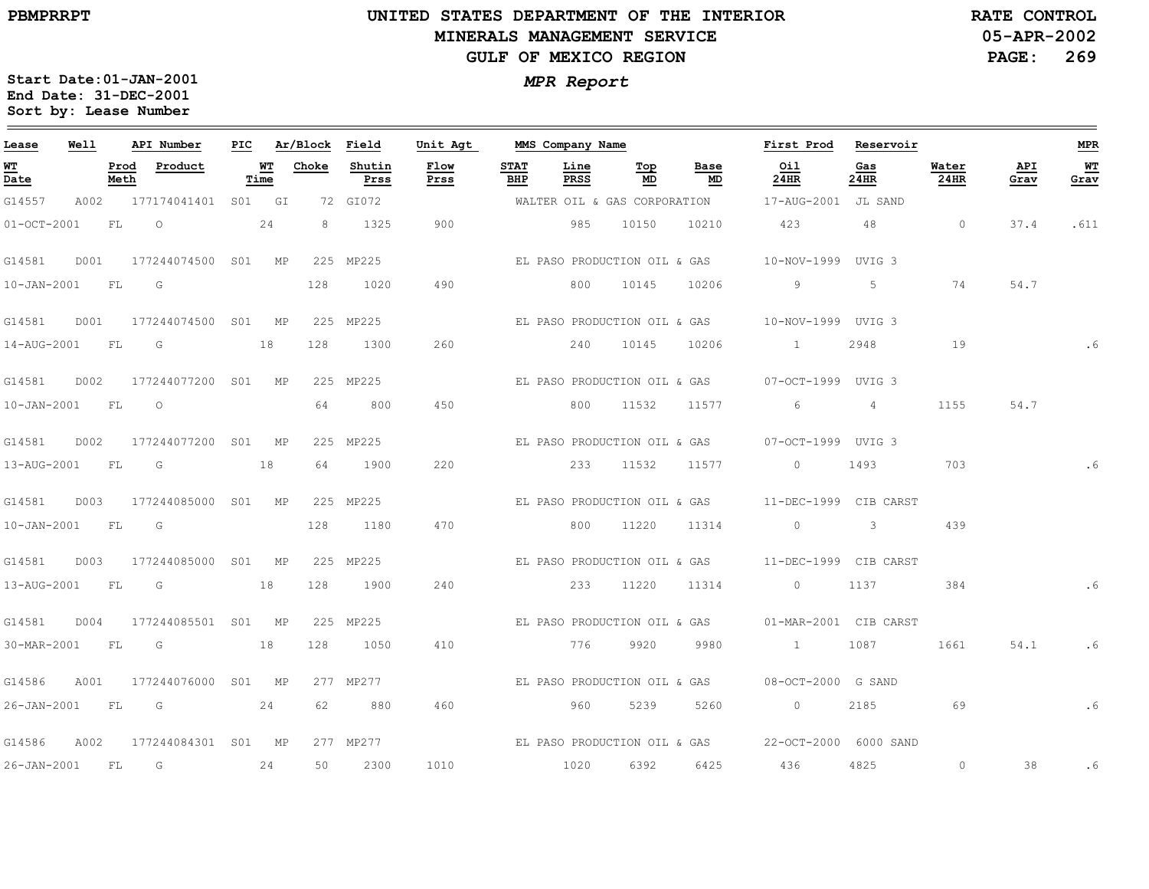### **UNITED STATES DEPARTMENT OF THE INTERIOR MINERALS MANAGEMENT SERVICEGULF OF MEXICO REGION**

**05-APR-2002PAGE: 269 RATE CONTROL**

| Lease             | Well |              | API Number                                                                                                      | PIC |            | Ar/Block Field |                | Unit Agt     |                    | MMS Company Name             |           |                              | First Prod                                           | Reservoir                |                |             | <b>MPR</b> |
|-------------------|------|--------------|-----------------------------------------------------------------------------------------------------------------|-----|------------|----------------|----------------|--------------|--------------------|------------------------------|-----------|------------------------------|------------------------------------------------------|--------------------------|----------------|-------------|------------|
| WT<br>Date        |      | Prod<br>Meth | Product                                                                                                         |     | WT<br>Time | Choke          | Shutin<br>Prss | Flow<br>Prss | <b>STAT</b><br>BHP | Line<br>PRSS                 | Тор<br>MD | Base<br>MD                   | Oil<br>24HR                                          | Gas<br>24HR              | Water<br>24HR  | API<br>Grav | WТ<br>Grav |
| G14557            |      |              | A002 177174041401 S01 GI                                                                                        |     |            |                | 72 GI072       |              |                    |                              |           | WALTER OIL & GAS CORPORATION | 17-AUG-2001 JL SAND                                  |                          |                |             |            |
| $01-0CT-2001$     |      | FL           | $\overline{O}$                                                                                                  |     | 24         | 8              | 1325           | 900          |                    | 985                          | 10150     | 10210                        | 423                                                  | 48                       | $\overline{0}$ | 37.4        | .611       |
| G14581            | D001 |              | 177244074500 S01 MP                                                                                             |     |            |                | 225 MP225      |              |                    |                              |           |                              |                                                      |                          |                |             |            |
| $10 - JAN - 2001$ |      | FL           | G                                                                                                               |     |            | 128            | 1020           | 490          |                    | 800                          | 10145     | 10206                        | 9                                                    | 5                        | 74             | 54.7        |            |
| G14581            |      |              | D001 177244074500 S01 MP                                                                                        |     |            |                | 225 MP225      |              |                    |                              |           |                              |                                                      |                          |                |             |            |
| 14-AUG-2001 FL G  |      |              |                                                                                                                 |     | 18         | 128            | 1300           | 260          |                    | 240                          | 10145     | 10206                        | $\sim$ $\sim$ $\sim$ $\sim$ $\sim$                   | 2948                     | 19             |             |            |
| G14581            | D002 |              | 177244077200 S01 MP                                                                                             |     |            |                | 225 MP225      |              |                    |                              |           |                              | EL PASO PRODUCTION OIL & GAS 07-OCT-1999 UVIG 3      |                          |                |             |            |
| 10-JAN-2001 FL    |      |              | $\Omega$                                                                                                        |     |            | 64             | 800            | 450          |                    | 800                          | 11532     | 11577                        | 6                                                    | $\overline{4}$           | 1155           | 54.7        |            |
| G14581            | D002 |              | 177244077200 S01 MP                                                                                             |     |            |                | 225 MP225      |              |                    |                              |           |                              | EL PASO PRODUCTION OIL & GAS 07-OCT-1999 UVIG 3      |                          |                |             |            |
| 13-AUG-2001 FL G  |      |              |                                                                                                                 |     | 18         | 64             | 1900           | 220          |                    | 233                          | 11532     | 11577                        | $\overline{0}$                                       | 1493                     | 703            |             |            |
| G14581            | D003 |              | 177244085000 S01 MP                                                                                             |     |            |                | 225 MP225      |              |                    |                              |           |                              |                                                      |                          |                |             |            |
| 10-JAN-2001 FL    |      |              | G                                                                                                               |     |            | 128            | 1180           | 470          |                    | 800                          | 11220     | 11314                        | $\circ$                                              | $\overline{\phantom{a}}$ | 439            |             |            |
| G14581            | D003 |              | 177244085000 S01 MP                                                                                             |     |            |                | 225 MP225      |              |                    | EL PASO PRODUCTION OIL & GAS |           |                              | 11-DEC-1999 CIB CARST                                |                          |                |             |            |
| 13-AUG-2001 FL    |      |              | in Green Green Green Street Street Street Street Street Street Street Street Street Street Street Street Street |     | 18         | 128            | 1900           | 240          |                    | 233                          | 11220     | 11314                        | $0$ 1137                                             |                          | 384            |             |            |
| G14581            | D004 |              | 177244085501 S01 MP                                                                                             |     |            |                | 225 MP225      |              |                    |                              |           |                              | EL PASO PRODUCTION OIL & GAS 01-MAR-2001 CIB CARST   |                          |                |             |            |
| 30-MAR-2001 FL    |      |              | $\overline{\mathbb{G}}$                                                                                         |     | 18         | 128            | 1050           | 410          |                    | 776                          | 9920      | 9980                         | $\sim$ 1                                             | 1087                     | 1661           | 54.1        | .6         |
| G14586            | A001 |              | 177244076000 S01 MP                                                                                             |     |            |                | 277 MP277      |              |                    | EL PASO PRODUCTION OIL & GAS |           |                              | 08-OCT-2000 G SAND                                   |                          |                |             |            |
|                   |      |              | 26-JAN-2001 FL G 24                                                                                             |     |            | 62             | 880            | 460          |                    | 960                          | 5239      | 5260                         | $\overline{0}$                                       | 2185                     | 69             |             | .6         |
| G14586            | A002 |              | 177244084301 S01 MP                                                                                             |     |            |                | 277 MP277      |              |                    |                              |           |                              | EL PASO PRODUCTION OIL & GAS  22-OCT-2000  6000 SAND |                          |                |             |            |
| 26-JAN-2001 FL    |      |              | G                                                                                                               |     | 24         | 50             | 2300           | 1010         |                    | 1020                         | 6392      | 6425                         | 436                                                  | 4825                     | $\circ$        | 38          | . 6        |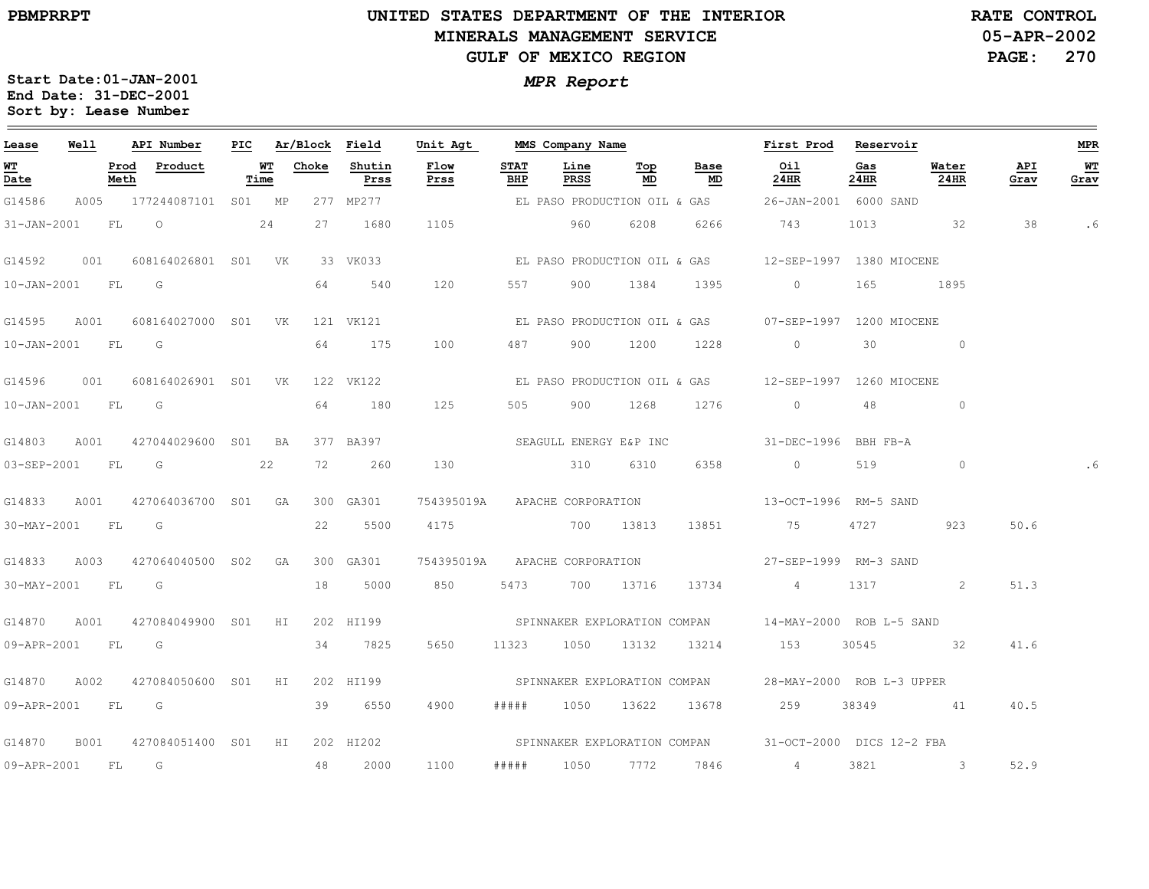### **UNITED STATES DEPARTMENT OF THE INTERIOR MINERALS MANAGEMENT SERVICEGULF OF MEXICO REGION**

**05-APR-2002 PAGE: 270 RATE CONTROL**

| Lease        | Well             |              | API Number                      |                   |       | PIC Ar/Block Field | Unit Agt MMS Company Name     |                    |                      |           |                              | First Prod Reservoir                                   |                                                                                                                                                                                                                                 |               |             | MPR         |
|--------------|------------------|--------------|---------------------------------|-------------------|-------|--------------------|-------------------------------|--------------------|----------------------|-----------|------------------------------|--------------------------------------------------------|---------------------------------------------------------------------------------------------------------------------------------------------------------------------------------------------------------------------------------|---------------|-------------|-------------|
| W'I'<br>Date |                  | Prod<br>Meth | Product                         | <b>WT</b><br>Time | Choke | Shutin<br>Prss     | Flow<br>Prss                  | <b>STAT</b><br>BHP | Line<br>PRSS         | Top<br>MD | Base<br>MD                   | Oil<br>24HR                                            | Gas<br>24HR                                                                                                                                                                                                                     | Water<br>24HR | API<br>Grav | $W$<br>Grav |
| G14586       |                  |              | A005 177244087101 S01 MP        |                   |       | 277 MP277          |                               |                    |                      |           | EL PASO PRODUCTION OIL & GAS | 26-JAN-2001 6000 SAND                                  |                                                                                                                                                                                                                                 |               |             |             |
|              | 31-JAN-2001 FL O |              | 24                              |                   | 27    | 1680               | 1105                          |                    | 960                  | 6208      | 6266                         | 743                                                    | 1013                                                                                                                                                                                                                            | $\sim$ 32     | 38          | .6          |
|              |                  |              |                                 |                   |       | 33 VK033           |                               |                    |                      |           |                              | EL PASO PRODUCTION OIL & GAS  12-SEP-1997 1380 MIOCENE |                                                                                                                                                                                                                                 |               |             |             |
|              | 10-JAN-2001 FL G |              |                                 |                   | 64    | 540                | 120                           |                    |                      |           |                              | 557 900 1384 1395 0                                    |                                                                                                                                                                                                                                 | 165 1895      |             |             |
|              | G14595 A001      |              | 608164027000 S01 VK             |                   |       | 121 VK121          |                               |                    |                      |           |                              | EL PASO PRODUCTION OIL & GAS 07-SEP-1997 1200 MIOCENE  |                                                                                                                                                                                                                                 |               |             |             |
|              | 10-JAN-2001 FL G |              |                                 |                   | 64    | 175                | 100                           | 487                |                      | 900 1200  | 1228                         | $\circ$                                                | 30                                                                                                                                                                                                                              | $\circ$       |             |             |
|              |                  |              |                                 |                   |       | 122 VK122          |                               |                    |                      |           |                              |                                                        |                                                                                                                                                                                                                                 |               |             |             |
|              | 10-JAN-2001 FL G |              |                                 |                   |       | 64 180             | 125                           |                    | 505 900 1268         |           | 1276                         | $\overline{0}$                                         | 48                                                                                                                                                                                                                              | $\circ$       |             |             |
|              | G14803 A001      |              | 427044029600 S01 BA             |                   |       | 377 BA397          | SEAGULL ENERGY E&P INC        |                    |                      |           |                              | 31-DEC-1996 BBH FB-A                                   |                                                                                                                                                                                                                                 |               |             |             |
|              | 03-SEP-2001 FL   |              | $\overline{\mathbb{G}}$         | 22                | 72    | 260                | 130                           |                    |                      | 310 6310  | 6358                         | $\overline{0}$ and $\overline{0}$                      | 519                                                                                                                                                                                                                             | $\circ$       |             | . 6         |
| G14833       | A001             |              | 427064036700 S01 GA             |                   |       | 300 GA301          | 754395019A APACHE CORPORATION |                    |                      |           |                              | 13-OCT-1996 RM-5 SAND                                  |                                                                                                                                                                                                                                 |               |             |             |
|              | 30-MAY-2001 FL G |              |                                 |                   | 22    | 5500               |                               |                    | 4175 700 13813       |           | 13851                        | 75                                                     | 4727 — 1727 — 1728 — 1729 — 1727 — 1727 — 1727 — 1727 — 1727 — 1727 — 1727 — 1727 — 1727 — 1727 — 1727 — 1727 — 1727 — 1727 — 1727 — 1727 — 1727 — 1727 — 1727 — 1727 — 1727 — 1727 — 1727 — 1727 — 1727 — 1727 — 1727 — 1727 — | 923           | 50.6        |             |
|              |                  |              | G14833 A003 427064040500 S02 GA |                   |       | 300 GA301          |                               |                    |                      |           |                              | 754395019A APACHE CORPORATION 27-SEP-1999 RM-3 SAND    |                                                                                                                                                                                                                                 |               |             |             |
|              | 30-MAY-2001 FL   |              | G                               |                   | 18    | 5000               | 850                           |                    |                      |           | 5473 700 13716 13734         | $4\overline{4}$                                        | 1317 — 1317 — 1317 — 1328 — 1328 — 1328 — 1328 — 1328 — 1328 — 1328 — 1328 — 1328 — 1328 — 1328 — 1328 — 1328 — 1328 — 1328 — 1328 — 1328 — 1328 — 1328 — 1328 — 1328 — 1328 — 1328 — 1328 — 1328 — 1328 — 1328 — 1328 — 1328 — | 2             | 51.3        |             |
| G14870       | A001             |              | 427084049900 SO1 HI             |                   |       | 202 HI199          |                               |                    |                      |           |                              | SPINNAKER EXPLORATION COMPAN 14-MAY-2000 ROB L-5 SAND  |                                                                                                                                                                                                                                 |               |             |             |
|              | 09-APR-2001 FL G |              |                                 |                   |       | 34 7825            | 5650                          |                    |                      |           |                              | 11323 1050 13132 13214 153                             |                                                                                                                                                                                                                                 | 30545 32      | 41.6        |             |
| G14870       | A002             |              | 427084050600 S01 HI             |                   |       | 202 HI199          |                               |                    |                      |           |                              | SPINNAKER EXPLORATION COMPAN 28-MAY-2000 ROB L-3 UPPER |                                                                                                                                                                                                                                 |               |             |             |
|              | 09-APR-2001 FL G |              |                                 |                   |       | 39 6550            | 4900                          |                    |                      |           |                              | ##### 1050 13622 13678 259                             |                                                                                                                                                                                                                                 | 38349 41      | 40.5        |             |
| G14870       | B001             |              | 427084051400 S01 HI             |                   |       | 202 HI202          |                               |                    |                      |           |                              | SPINNAKER EXPLORATION COMPAN 31-OCT-2000 DICS 12-2 FBA |                                                                                                                                                                                                                                 |               |             |             |
| 09-APR-2001  |                  | FL G         |                                 |                   | 48    | 2000               | 1100                          |                    | ##### 1050 7772 7846 |           |                              | $4\degree$                                             | 3821                                                                                                                                                                                                                            | $\sim$ 3      | 52.9        |             |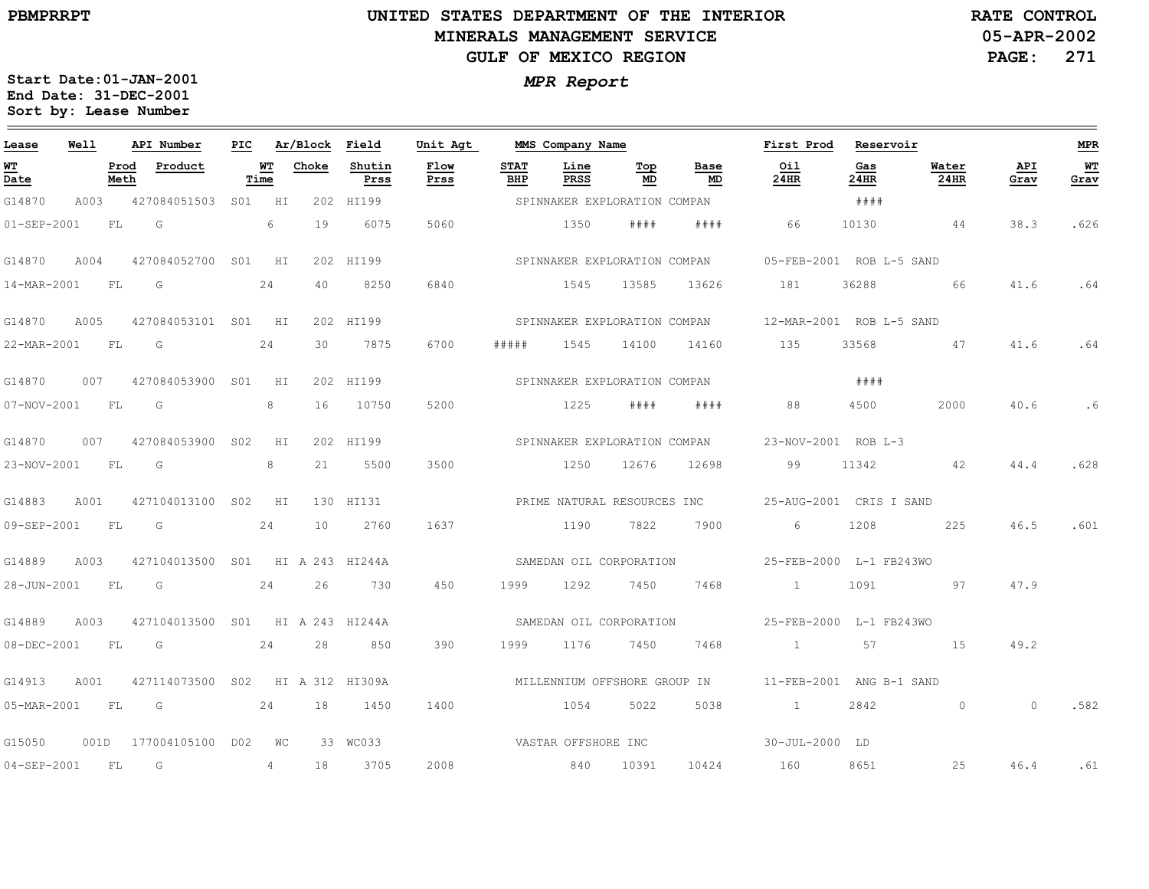### **UNITED STATES DEPARTMENT OF THE INTERIOR MINERALS MANAGEMENT SERVICEGULF OF MEXICO REGION**

**05-APR-2002PAGE: 271 RATE CONTROL**

| Lease                          | Well |              | API Number                       | PIC |            | Ar/Block | Field          | Unit Agt                    |                    | MMS Company Name |                              |                              | First Prod                                            | Reservoir   |                                                                                                                |                | <b>MPR</b> |
|--------------------------------|------|--------------|----------------------------------|-----|------------|----------|----------------|-----------------------------|--------------------|------------------|------------------------------|------------------------------|-------------------------------------------------------|-------------|----------------------------------------------------------------------------------------------------------------|----------------|------------|
| WT<br>$\overline{\text{Date}}$ |      | Prod<br>Meth | Product                          |     | WТ<br>Time | Choke    | Shutin<br>Prss | <b>Flow</b><br>Prss         | <b>STAT</b><br>BHP | Line<br>PRSS     | Тор<br>MD                    | Base<br>MD                   | Oil<br>24HR                                           | Gas<br>24HR | Water<br>24HR                                                                                                  | API<br>Grav    | WТ<br>Grav |
| G14870                         | A003 |              | 427084051503 S01 HI              |     |            |          | 202 HI199      |                             |                    |                  | SPINNAKER EXPLORATION COMPAN |                              |                                                       | # # # #     |                                                                                                                |                |            |
| $01 - SEP - 2001$              |      | FL           | G                                |     | 6          | 19       | 6075           | 5060                        |                    | 1350             | # # # #                      | # # # #                      | 66                                                    | 10130       | 44                                                                                                             | 38.3           | .626       |
| G14870                         | A004 |              | 427084052700 S01 HI              |     |            |          | 202 HI199      |                             |                    |                  |                              |                              | SPINNAKER EXPLORATION COMPAN 05-FEB-2001 ROB L-5 SAND |             |                                                                                                                |                |            |
| 14-MAR-2001                    |      | FL.          | G                                |     | 24         | 40       | 8250           | 6840                        |                    | 1545             | 13585                        | 13626                        | 181                                                   | 36288       | 66                                                                                                             | 41.6           | .64        |
| G14870                         | A005 |              | 427084053101 S01 HI              |     |            |          | 202 HI199      |                             |                    |                  |                              |                              | SPINNAKER EXPLORATION COMPAN 12-MAR-2001 ROB L-5 SAND |             |                                                                                                                |                |            |
| 22-MAR-2001                    |      | FL           | G                                |     | 24         | 30       | 7875           | 6700                        | #####              | 1545             | 14100                        | 14160                        | 135                                                   | 33568       | 47                                                                                                             | 41.6           | .64        |
| G14870                         | 007  |              | 427084053900 S01                 |     | HI         |          | 202 HI199      |                             |                    |                  | SPINNAKER EXPLORATION COMPAN |                              |                                                       | ####        |                                                                                                                |                |            |
| $07 - NOV - 2001$              |      | FL           | G                                |     | 8          | 16       | 10750          | 5200                        |                    | 1225             | # # # #                      | # # # #                      | 88                                                    | 4500        | 2000                                                                                                           | 40.6           | .6         |
| G14870                         | 007  |              | 427084053900 S02                 |     | H I        |          | 202 HI199      |                             |                    |                  |                              | SPINNAKER EXPLORATION COMPAN | 23-NOV-2001 ROB L-3                                   |             |                                                                                                                |                |            |
| 23-NOV-2001                    |      | <b>FL</b>    | $\overline{\mathsf{G}}$          |     | 8          | 21       | 5500           | 3500                        |                    | 1250             | 12676                        | 12698                        | 99                                                    | 11342       | 42                                                                                                             | 44.4           | .628       |
| G14883                         | A001 |              | 427104013100 S02                 |     | HI         |          | 130 HI131      | PRIME NATURAL RESOURCES INC |                    |                  |                              |                              | 25-AUG-2001 CRIS I SAND                               |             |                                                                                                                |                |            |
| 09-SEP-2001                    |      | FL           | G                                |     | 24         | 10       | 2760           | 1637                        |                    | 1190             | 7822                         | 7900                         | 6                                                     | 1208        | 225                                                                                                            | 46.5           | .601       |
| G14889                         | A003 |              | 427104013500 S01 HI A 243 HI244A |     |            |          |                |                             |                    |                  | SAMEDAN OIL CORPORATION      |                              | 25-FEB-2000 L-1 FB243WO                               |             |                                                                                                                |                |            |
| 28-JUN-2001 FL                 |      |              | $\overline{\mathbb{G}}$<br>24    |     |            | 26       | 730            | 450                         | 1999               | 1292             | 7450                         | 7468                         | $\sim$ 1 $\sim$ 1                                     | 1091        | 57.5 and 57.5 and 57.5 and 57.5 and 57.5 and 57.5 and 57.5 and 57.5 and 57.5 and 57.5 and 57.5 and 57.5 and 57 | 47.9           |            |
| G14889                         | A003 |              | 427104013500 S01 HI A 243 HI244A |     |            |          |                | SAMEDAN OIL CORPORATION     |                    |                  |                              |                              | 25-FEB-2000 L-1 FB243WO                               |             |                                                                                                                |                |            |
| $08 - DEC - 2001$              |      | <b>FL</b>    | G                                |     | 24         | 28       | 850            | 390                         | 1999               | 1176             | 7450                         | 7468                         | 1 57                                                  |             | 15                                                                                                             | 49.2           |            |
| G14913                         | A001 |              | 427114073500 S02 HI A 312 HI309A |     |            |          |                |                             |                    |                  | MILLENNIUM OFFSHORE GROUP IN |                              | 11-FEB-2001 ANG B-1 SAND                              |             |                                                                                                                |                |            |
| 05-MAR-2001 FL G               |      |              | 24                               |     |            | 18       | 1450           | 1400                        |                    | 1054             | 5022                         | 5038                         | $\sim$ 1                                              | 2842        | $\circ$                                                                                                        | $\overline{0}$ | .582       |
| G15050                         | 001D |              | 177004105100 D02 WC              |     |            |          | 33 WC033       |                             |                    |                  |                              |                              |                                                       |             |                                                                                                                |                |            |
| 04-SEP-2001 FL                 |      |              | G                                |     | 4          | 18       | 3705           | 2008                        |                    | 840 10391        |                              | 10424                        | 160                                                   | 8651        | 25                                                                                                             | 46.4           | .61        |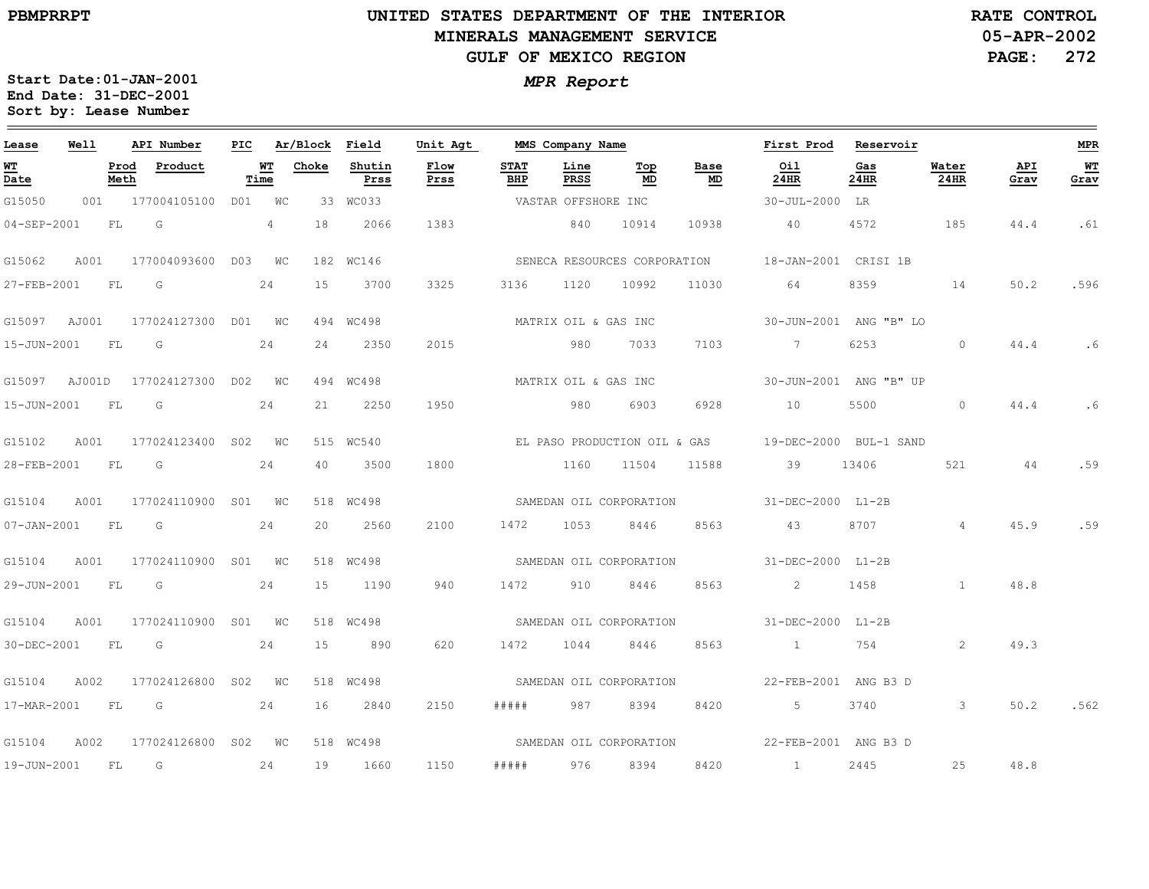### **UNITED STATES DEPARTMENT OF THE INTERIOR MINERALS MANAGEMENT SERVICEGULF OF MEXICO REGION**

**05-APR-2002PAGE: 272 RATE CONTROL**

| Lease             | Well |              | API Number                    | PIC |                | Ar/Block | Field          | Unit Agt     |                    | MMS Company Name     |                              |            | First Prod             | Reservoir   |                         |             | <b>MPR</b> |
|-------------------|------|--------------|-------------------------------|-----|----------------|----------|----------------|--------------|--------------------|----------------------|------------------------------|------------|------------------------|-------------|-------------------------|-------------|------------|
| WT<br>Date        |      | Prod<br>Meth | Product                       |     | WТ<br>Time     | Choke    | Shutin<br>Prss | Flow<br>Prss | <b>STAT</b><br>BHP | Line<br>PRSS         | Top<br>MD                    | Base<br>MD | Oil<br>24HR            | Gas<br>24HR | Water<br>24HR           | API<br>Grav | WT<br>Grav |
| G15050            |      |              | 001 177004105100 D01 WC       |     |                |          | 33 WC033       |              |                    | VASTAR OFFSHORE INC  |                              |            | $30 - JUL - 2000$      | LR          |                         |             |            |
| $04 - SEP - 2001$ |      | FL           | G                             |     | $\overline{4}$ | 18       | 2066           | 1383         |                    | 840                  | 10914                        | 10938      | 40                     | 4572        | 185                     | 44.4        | .61        |
| G15062            | A001 |              | 177004093600 D03 WC           |     |                |          | 182 WC146      |              |                    |                      | SENECA RESOURCES CORPORATION |            | 18-JAN-2001 CRISI 1B   |             |                         |             |            |
| 27-FEB-2001       |      | FL           | G                             |     | 24             | 15       | 3700           | 3325         | 3136               | 1120                 | 10992                        | 11030      | 64                     | 8359        | 14                      | 50.2        | .596       |
| G15097 AJ001      |      |              | 177024127300 D01 WC           |     |                |          | 494 WC498      |              |                    | MATRIX OIL & GAS INC |                              |            | 30-JUN-2001 ANG "B" LO |             |                         |             |            |
| 15-JUN-2001       |      | FL.          | G                             |     | 24             | 24       | 2350           | 2015         |                    | 980                  | 7033                         | 7103       | $7\overline{)}$        | 6253        | $\circ$                 | 44.4        | .6         |
| G15097 AJ001D     |      |              | 177024127300                  |     | DO2 WC         |          | 494 WC498      |              |                    | MATRIX OIL & GAS INC |                              |            | 30-JUN-2001 ANG "B" UP |             |                         |             |            |
| 15-JUN-2001       |      | FL           | G                             |     | 24             | 21       | 2250           | 1950         |                    | 980                  | 6903                         | 6928       | 10                     | 5500        | $\Omega$                | 44.4        | .6         |
| G15102            | A001 |              | 177024123400 S02 WC           |     |                |          | 515 WC540      |              |                    |                      | EL PASO PRODUCTION OIL & GAS |            | 19-DEC-2000 BUL-1 SAND |             |                         |             |            |
| 28-FEB-2001       |      | <b>FL</b>    | G                             |     | 24             | 40       | 3500           | 1800         |                    | 1160                 | 11504                        | 11588      | 39                     | 13406       | 521                     | 44          | .59        |
| G15104            | A001 |              | 177024110900 S01 WC           |     |                |          | 518 WC498      |              |                    |                      | SAMEDAN OIL CORPORATION      |            | 31-DEC-2000 L1-2B      |             |                         |             |            |
| $07 - JAN - 2001$ |      | FL           | G                             |     | 24             | 20       | 2560           | 2100         | 1472               | 1053                 | 8446                         | 8563       | 43                     | 8707        | $\overline{4}$          | 45.9        | .59        |
| G15104            | A001 |              | 177024110900 S01 WC           |     |                |          | 518 WC498      |              |                    |                      | SAMEDAN OIL CORPORATION      |            | 31-DEC-2000 L1-2B      |             |                         |             |            |
| 29-JUN-2001       |      | FL           | $\overline{\mathsf{G}}$       |     | 24             | 15       | 1190           | 940          | 1472               | 910                  | 8446                         | 8563       | $\overline{2}$         | 1458        | $\overline{1}$          | 48.8        |            |
| G15104            | A001 |              | 177024110900 S01 WC           |     |                |          | 518 WC498      |              |                    |                      | SAMEDAN OIL CORPORATION      |            | 31-DEC-2000 L1-2B      |             |                         |             |            |
| 30-DEC-2001       |      | <b>FL</b>    | $\overline{G}$                |     | 24             | 15       | 890            | 620          | 1472               | 1044                 | 8446                         | 8563       | $\sim$ 1 $\sim$        | 754         | 2                       | 49.3        |            |
| G15104            | A002 |              | 177024126800 S02 WC           |     |                |          | 518 WC498      |              |                    |                      | SAMEDAN OIL CORPORATION      |            | 22-FEB-2001 ANG B3 D   |             |                         |             |            |
| 17-MAR-2001 FL    |      |              | $\overline{\mathbb{G}}$<br>24 |     |                | 16       | 2840           | 2150         | #####              | 987                  | 8394                         | 8420       | $5\overline{)}$        | 3740        | $\overline{\mathbf{3}}$ | 50.2        | .562       |
| G15104            | A002 |              | 177024126800 S02 WC           |     |                |          | 518 WC498      |              |                    |                      | SAMEDAN OIL CORPORATION      |            | 22-FEB-2001 ANG B3 D   |             |                         |             |            |
| 19-JUN-2001       |      | $F_{\rm L}$  | G                             |     | 24             | 19       | 1660           | 1150         | #####              | 976                  | 8394                         | 8420       | $\frac{1}{1}$          | 2445        | 25                      | 48.8        |            |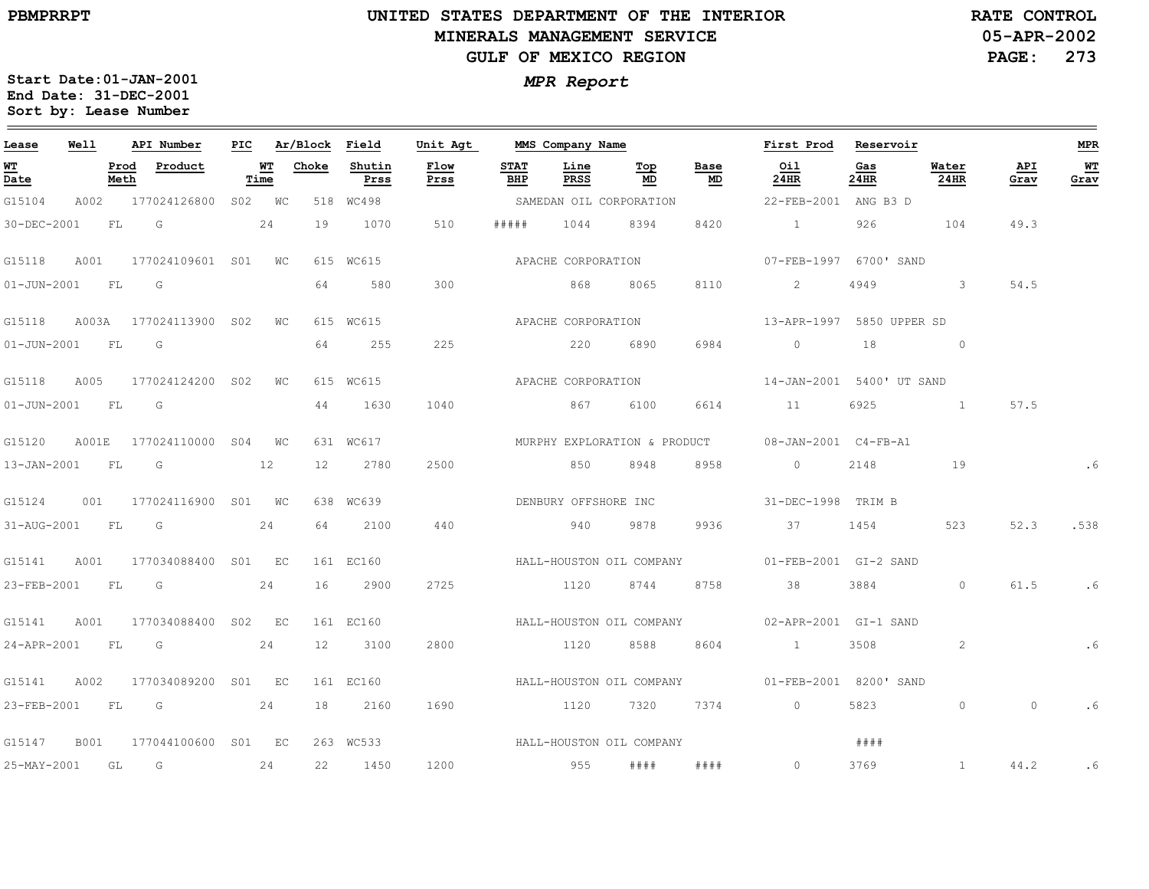### **UNITED STATES DEPARTMENT OF THE INTERIOR MINERALS MANAGEMENT SERVICEGULF OF MEXICO REGION**

**05-APR-2002PAGE: 273 RATE CONTROL**

| Lease             | Well |              | API Number                | PIC |             | Ar/Block        | Field          | Unit Agt                 |                    | MMS Company Name         |           |                              | First Prod                | Reservoir   |                            |             | <b>MPR</b> |
|-------------------|------|--------------|---------------------------|-----|-------------|-----------------|----------------|--------------------------|--------------------|--------------------------|-----------|------------------------------|---------------------------|-------------|----------------------------|-------------|------------|
| WT<br>Date        |      | Prod<br>Meth | Product                   |     | WТ<br>Time  | Choke           | Shutin<br>Prss | Flow<br>Prss             | <b>STAT</b><br>BHP | Line<br>PRSS             | Тор<br>MD | Base<br>MD                   | Oil<br>24HR               | Gas<br>24HR | Water<br>24HR              | API<br>Grav | WТ<br>Grav |
| G15104            | A002 |              | 177024126800 S02 WC       |     |             |                 | 518 WC498      |                          |                    | SAMEDAN OIL CORPORATION  |           |                              | 22-FEB-2001 ANG B3 D      |             |                            |             |            |
| 30-DEC-2001       |      | FL           | G                         |     | 24          | 19              | 1070           | 510                      | # # # # #          | 1044                     | 8394      | 8420                         | $\sim$ 1 $\sim$           | 926         | 104                        | 49.3        |            |
| G15118            | A001 |              | 177024109601 S01 WC       |     |             |                 | 615 WC615      |                          |                    | APACHE CORPORATION       |           |                              | 07-FEB-1997 6700' SAND    |             |                            |             |            |
| $01 - JUN - 2001$ |      | FL           | G                         |     |             | 64              | 580            | 300                      |                    | 868                      | 8065      | 8110                         | 2                         | 4949        | $\overline{\phantom{a}}$ 3 | 54.5        |            |
| G15118            |      |              | A003A 177024113900 S02    |     | $W_{\rm C}$ |                 | 615 WC615      |                          |                    | APACHE CORPORATION       |           |                              | 13-APR-1997 5850 UPPER SD |             |                            |             |            |
| 01-JUN-2001 FL    |      |              | G                         |     |             | 64              | 255            | 225                      |                    | 220                      | 6890      | 6984                         | $\Omega$                  | 18          | $\sim$ 0                   |             |            |
| G15118            | A005 |              | 177024124200 SO2          |     | WC          |                 | 615 WC615      |                          |                    | APACHE CORPORATION       |           |                              | 14-JAN-2001 5400'UT SAND  |             |                            |             |            |
| $01 - JUN - 2001$ |      | <b>FL</b>    | G                         |     |             | 44              | 1630           | 1040                     |                    | 867                      | 6100      | 6614                         | 11                        | 6925        | $\sim$ 1                   | 57.5        |            |
| G15120            |      |              | A001E 177024110000 S04 WC |     |             |                 | 631 WC617      |                          |                    |                          |           | MURPHY EXPLORATION & PRODUCT | 08-JAN-2001 C4-FB-A1      |             |                            |             |            |
| 13-JAN-2001 FL    |      |              | G                         |     | 12          | 12              | 2780           | 2500                     |                    | 850                      | 8948      | 8958                         | $\overline{0}$            | 2148        | 19                         |             |            |
| G15124            | 001  |              | 177024116900 S01 WC       |     |             |                 | 638 WC639      |                          |                    | DENBURY OFFSHORE INC     |           |                              | 31-DEC-1998 TRIM B        |             |                            |             |            |
| 31-AUG-2001       |      | <b>FL</b>    | $\overline{G}$            |     | 24          | 64              | 2100           | 440                      |                    | 940                      | 9878      | 9936                         | 37                        | 1454        | 523                        | 52.3        | .538       |
| G15141            | A001 |              | 177034088400 S01 EC       |     |             |                 | 161 EC160      |                          |                    | HALL-HOUSTON OIL COMPANY |           |                              | 01-FEB-2001 GI-2 SAND     |             |                            |             |            |
| 23-FEB-2001 FL    |      |              | $\overline{G}$            |     | 24          | 16              | 2900           | 2725                     |                    | 1120                     | 8744      | 8758                         | 38                        | 3884        | $\circ$                    | 61.5        | .6         |
| G15141            | A001 |              | 177034088400 S02 EC       |     |             |                 | 161 EC160      |                          |                    |                          |           | HALL-HOUSTON OIL COMPANY     | 02-APR-2001 GI-1 SAND     |             |                            |             |            |
| 24-APR-2001 FL    |      |              | G                         |     | 24          | 12 <sup>°</sup> | 3100           | 2800                     |                    | 1120                     | 8588      | 8604                         | $\sim$ 1                  | 3508        | 2                          |             | .6         |
| G15141            | A002 |              | 177034089200 S01 EC       |     |             |                 | 161 EC160      |                          |                    | HALL-HOUSTON OIL COMPANY |           |                              | 01-FEB-2001 8200' SAND    |             |                            |             |            |
|                   |      |              | 23-FEB-2001 FL G 24       |     |             | 18              | 2160           | 1690                     |                    | 1120 7320 7374           |           |                              | $\overline{0}$            | 5823        | $\circ$                    | $\circ$     |            |
| G15147            | B001 |              | 177044100600 S01 EC       |     |             |                 | 263 WC533      | HALL-HOUSTON OIL COMPANY |                    |                          |           |                              |                           | # # # #     |                            |             |            |
| 25-MAY-2001       |      | GL           | $\overline{G}$            |     | 24          | 22              | 1450           | 1200                     |                    | 955                      | # # # #   | ####                         | $\circ$                   | 3769        | $\mathbf{1}$               | 44.2        | .6         |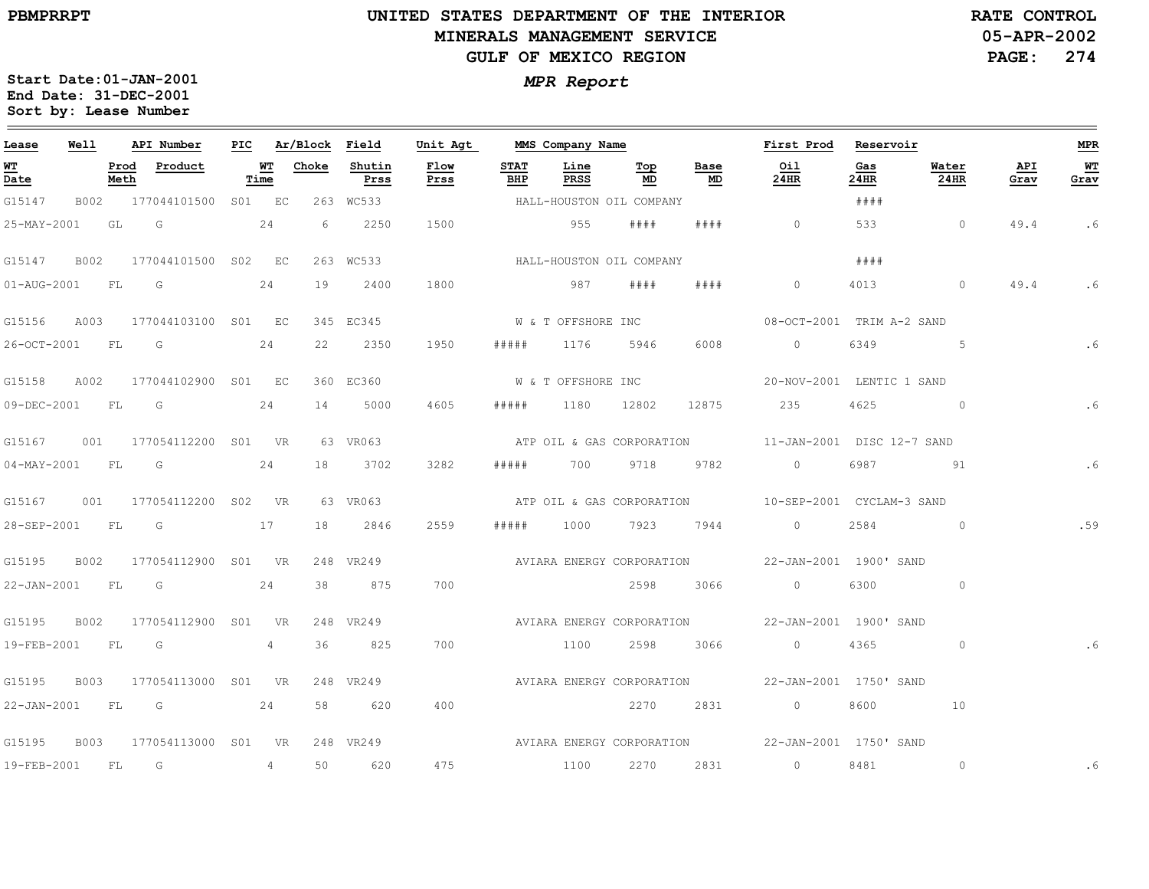### **UNITED STATES DEPARTMENT OF THE INTERIOR MINERALS MANAGEMENT SERVICEGULF OF MEXICO REGION**

**05-APR-2002RATE CONTROL**

**PAGE: 274**

| Lease            | Well |              | API Number               |            | PIC Ar/Block Field |                | Unit Agt     |                    | MMS Company Name         |           |            | First Prod                                          | Reservoir   |                |             | MPR        |
|------------------|------|--------------|--------------------------|------------|--------------------|----------------|--------------|--------------------|--------------------------|-----------|------------|-----------------------------------------------------|-------------|----------------|-------------|------------|
| WT<br>Date       |      | Prod<br>Meth | Product                  | WТ<br>Time | Choke              | Shutin<br>Prss | Flow<br>Prss | <b>STAT</b><br>BHP | Line<br>PRSS             | Тор<br>MD | Base<br>MD | Oil<br>24HR                                         | Gas<br>24HR | Water<br>24HR  | API<br>Grav | WT<br>Grav |
| G15147           |      |              | B002 177044101500 S01 EC |            |                    | 263 WC533      |              |                    | HALL-HOUSTON OIL COMPANY |           |            |                                                     | ####        |                |             |            |
| 25-MAY-2001      |      | GL           | $\overline{\mathbb{G}}$  | 24         | 6                  | 2250           | 1500         |                    | 955                      | # # # #   | # # # #    | $\circ$                                             | 533         | $\overline{0}$ | 49.4        | . 6        |
| G15147           | B002 |              | 177044101500 S02 EC      |            |                    | 263 WC533      |              |                    | HALL-HOUSTON OIL COMPANY |           |            |                                                     | ####        |                |             |            |
| 01-AUG-2001 FL   |      |              | $\overline{\mathbb{G}}$  | 24         | 19                 | 2400           | 1800         |                    | 987                      | # # # #   | # # # #    | $\circ$                                             | 4013        | $\sim$ 0       | 49.4        | .6         |
| G15156           |      |              | A003 177044103100 S01 EC |            |                    | 345 EC345      |              |                    | W & T OFFSHORE INC       |           |            | 08-OCT-2001 TRIM A-2 SAND                           |             |                |             |            |
| 26-OCT-2001 FL G |      |              |                          | 24         | 22                 | 2350           | 1950         | #####              | 1176                     | 5946      | 6008       | $\circ$                                             | 6349        | 5 <sub>5</sub> |             | .6         |
| G15158           | A002 |              | 177044102900 S01 EC      |            |                    | 360 EC360      |              |                    | W & T OFFSHORE INC       |           |            | 20-NOV-2001 LENTIC 1 SAND                           |             |                |             |            |
| 09-DEC-2001 FL   |      |              | in G                     | 24         | 14                 | 5000           | 4605         | #####              | 1180 12802               |           | 12875      | 235                                                 | 4625        | $\sim$ 0       |             | .6         |
| G15167           |      |              | 001 177054112200 S01 VR  |            |                    | 63 VR063       |              |                    |                          |           |            |                                                     |             |                |             |            |
| 04-MAY-2001 FL G |      |              |                          | 24         | 18                 | 3702           | 3282         | #####              | 700 9718 9782            |           |            | $\overline{0}$                                      | 6987        | <u>91</u>      |             | . 6        |
| G15167           | 001  |              | 177054112200 SO2 VR      |            |                    | 63 VR063       |              |                    |                          |           |            | ATP OIL & GAS CORPORATION 10-SEP-2001 CYCLAM-3 SAND |             |                |             |            |
| 28-SEP-2001 FL   |      |              | $\overline{\mathsf{G}}$  | 17         | 18                 | 2846           | 2559         | # # # # #          | 1000                     |           | 7923 7944  | $\sim$ 0                                            | 2584        | $\sim$ 0       |             | .59        |
| G15195           |      |              | B002 177054112900 S01 VR |            |                    | 248 VR249      |              |                    |                          |           |            | AVIARA ENERGY CORPORATION  22-JAN-2001 1900' SAND   |             |                |             |            |
|                  |      |              | 22-JAN-2001 FL G 24      |            | 38                 | 875            | 700          |                    |                          | 2598      | 3066       | $\overline{0}$                                      | 6300        | $\circ$        |             |            |
| G15195           | B002 |              | 177054112900 SO1 VR      |            |                    | 248 VR249      |              |                    |                          |           |            | AVIARA ENERGY CORPORATION  22-JAN-2001 1900' SAND   |             |                |             |            |
| 19-FEB-2001 FL   |      |              | $\overline{\mathbb{G}}$  | 4          | 36                 | 825            | 700          |                    | 1100                     | 2598      | 3066       | $\overline{0}$                                      | 4365        | $\circ$        |             | . 6        |
| G15195           | B003 |              | 177054113000 SO1 VR      |            |                    | 248 VR249      |              |                    |                          |           |            |                                                     |             |                |             |            |
|                  |      |              | 22-JAN-2001 FL G 24      |            | 58                 | 620            | 400          |                    |                          | 2270      | 2831       | $\overline{0}$                                      | 8600        | 10             |             |            |
| G15195           | B003 |              | 177054113000 SO1 VR      |            |                    | 248 VR249      |              |                    |                          |           |            | AVIARA ENERGY CORPORATION 22-JAN-2001 1750' SAND    |             |                |             |            |
| 19-FEB-2001 FL   |      |              | $\overline{G}$           | 4          | 50                 | 620            | 475          |                    | 1100                     |           | 2270 2831  | $\sim$ 0 $\sim$ 0 $\sim$                            | 8481        | $\circ$        |             | . 6        |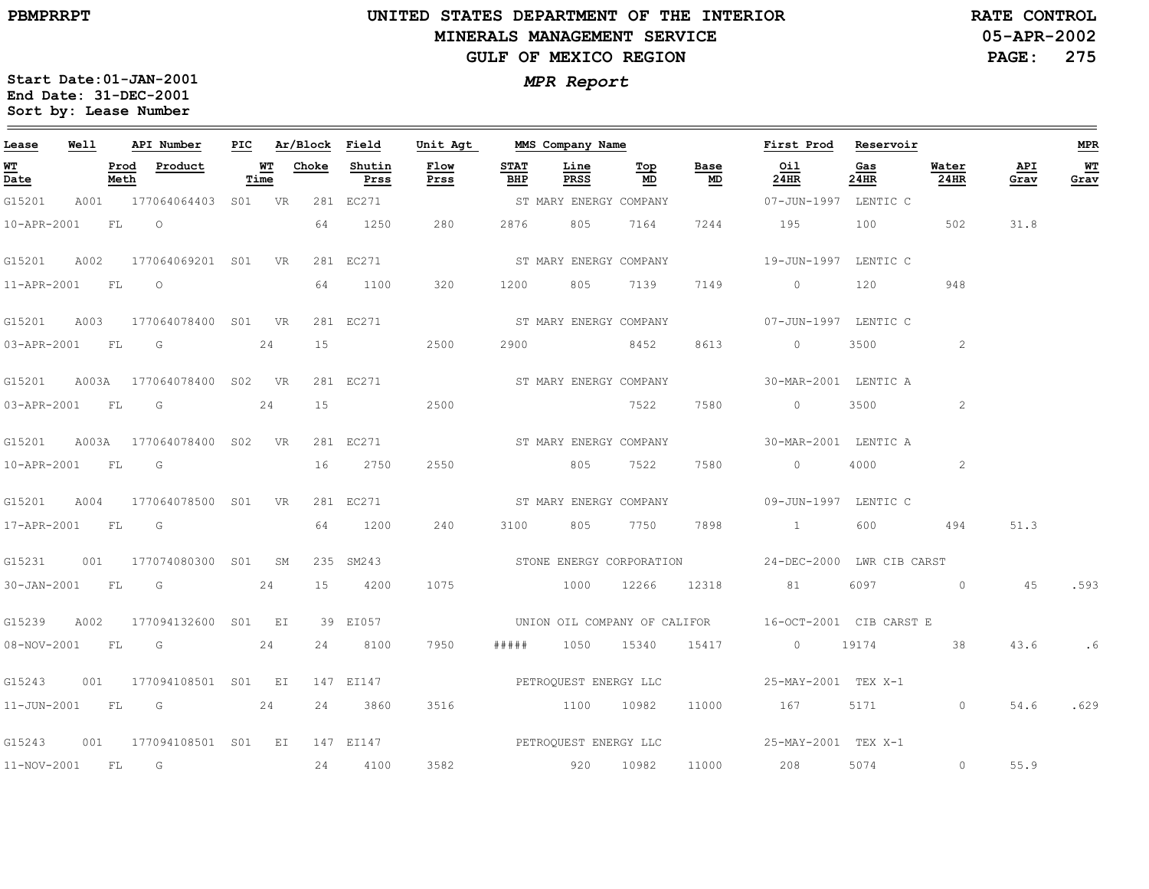**PBMPRRPT**

## **UNITED STATES DEPARTMENT OF THE INTERIOR MINERALS MANAGEMENT SERVICEGULF OF MEXICO REGION**

**05-APR-2002 PAGE: 275 RATE CONTROL**

| Lease                                                   | <b>Well</b> |      | API Number                       | PIC |                                              |    | Ar/Block Field       | Unit Agt               |                    | MMS Company Name       |                                  |                                   | First Prod Reservoir                                                                                                                                                                                                                                                                                                               |             |               |             | <b>MPR</b>  |
|---------------------------------------------------------|-------------|------|----------------------------------|-----|----------------------------------------------|----|----------------------|------------------------|--------------------|------------------------|----------------------------------|-----------------------------------|------------------------------------------------------------------------------------------------------------------------------------------------------------------------------------------------------------------------------------------------------------------------------------------------------------------------------------|-------------|---------------|-------------|-------------|
| $\overline{\mathbf{M}}$ $\overline{\mathbf{T}}$<br>Date |             | Meth | Prod Product                     |     | $\overline{\mathbf{W}}$ $\mathbf{T}$<br>Time |    | Choke Shutin<br>Prss | Flow<br>Prss           | <b>STAT</b><br>BHP | Line<br>PRSS           | $\underline{\mathbf{Top}}$<br>MD | Base<br>$\underline{\mathsf{MD}}$ | Oil<br>24HR                                                                                                                                                                                                                                                                                                                        | Gas<br>24HR | Water<br>24HR | API<br>Grav | $W$<br>Grav |
| G15201                                                  |             |      | A001 177064064403 S01 VR         |     |                                              |    | 281 EC271            |                        |                    | ST MARY ENERGY COMPANY |                                  |                                   | 07-JUN-1997 LENTIC C                                                                                                                                                                                                                                                                                                               |             |               |             |             |
| 10-APR-2001                                             |             |      | FL O                             |     |                                              | 64 | 1250                 | 280                    | 2876               | 805                    | 7164                             | 7244                              | 195                                                                                                                                                                                                                                                                                                                                | 100         | 502           | 31.8        |             |
|                                                         |             |      | G15201 A002 177064069201 S01 VR  |     |                                              |    | 281 EC271            |                        |                    | ST MARY ENERGY COMPANY |                                  |                                   | 19-JUN-1997 LENTIC C                                                                                                                                                                                                                                                                                                               |             |               |             |             |
| 11-APR-2001 FL 0                                        |             |      |                                  |     |                                              | 64 | 1100                 | 320                    | 1200               | 805 7139               |                                  | 7149                              | $\overline{0}$ and $\overline{0}$ and $\overline{0}$ and $\overline{0}$ and $\overline{0}$ and $\overline{0}$ and $\overline{0}$ and $\overline{0}$ and $\overline{0}$ and $\overline{0}$ and $\overline{0}$ and $\overline{0}$ and $\overline{0}$ and $\overline{0}$ and $\overline{0}$ and $\overline{0}$ and $\overline{0}$ and | 120         | 948           |             |             |
|                                                         |             |      | G15201 A003 177064078400 S01 VR  |     |                                              |    | 281 EC271            | ST MARY ENERGY COMPANY |                    |                        |                                  |                                   | 07-JUN-1997 LENTIC C                                                                                                                                                                                                                                                                                                               |             |               |             |             |
|                                                         |             |      | 03-APR-2001 FL G                 |     | 24                                           | 15 |                      | 2500                   |                    | 2900 8452              |                                  | 8613                              | $\overline{0}$                                                                                                                                                                                                                                                                                                                     | 3500 000    | 2             |             |             |
|                                                         |             |      | G15201 A003A 177064078400 S02 VR |     |                                              |    | 281 EC271            |                        |                    | ST MARY ENERGY COMPANY |                                  |                                   | 30-MAR-2001 LENTIC A                                                                                                                                                                                                                                                                                                               |             |               |             |             |
| 03-APR-2001 FL G                                        |             |      |                                  |     | 24                                           | 15 |                      | 2500                   |                    |                        | 7522                             | 7580                              | $\overline{0}$                                                                                                                                                                                                                                                                                                                     | 3500        | 2             |             |             |
|                                                         |             |      | G15201 A003A 177064078400 S02 VR |     |                                              |    | 281 EC271            |                        |                    | ST MARY ENERGY COMPANY |                                  |                                   | 30-MAR-2001 LENTIC A                                                                                                                                                                                                                                                                                                               |             |               |             |             |
| 10-APR-2001 FL G                                        |             |      |                                  |     |                                              |    | 16 2750              | 2550                   |                    | 805 7522               |                                  | 7580                              | $\overline{0}$                                                                                                                                                                                                                                                                                                                     |             | 2             |             |             |
|                                                         |             |      | G15201 A004 177064078500 S01 VR  |     |                                              |    | 281 EC271            |                        |                    | ST MARY ENERGY COMPANY |                                  |                                   | 09-JUN-1997 LENTIC C                                                                                                                                                                                                                                                                                                               |             |               |             |             |
| 17-APR-2001 FL G                                        |             |      |                                  |     |                                              | 64 | 1200                 | 240                    | 3100               | 805                    | 7750                             | 7898                              | $\sim$ $\sim$ $\sim$ $\sim$ $\sim$                                                                                                                                                                                                                                                                                                 | 600         | 494           | 51.3        |             |
|                                                         |             |      | G15231 001 177074080300 S01 SM   |     |                                              |    | 235 SM243            |                        |                    |                        |                                  |                                   | STONE ENERGY CORPORATION 524-DEC-2000 LWR CIB CARST                                                                                                                                                                                                                                                                                |             |               |             |             |
|                                                         |             |      | 30-JAN-2001 FL G                 |     | 24                                           |    | 15 4200              | 1075                   |                    |                        |                                  |                                   | 1000 12266 12318 81                                                                                                                                                                                                                                                                                                                |             | 6097 0 45     |             | .593        |
| G15239                                                  |             |      | A002 177094132600 S01 EI         |     |                                              |    | 39 EI057             |                        |                    |                        |                                  |                                   | UNION OIL COMPANY OF CALIFOR 16-OCT-2001 CIB CARST E                                                                                                                                                                                                                                                                               |             |               |             |             |
| 08-NOV-2001 FL G                                        |             |      |                                  |     | 24                                           |    | 24 8100              | 7950                   | # # # # #          |                        |                                  |                                   | 1050 15340 15417 0 19174                                                                                                                                                                                                                                                                                                           |             | 38            | 43.6        | .6          |
|                                                         |             |      | G15243 001 177094108501 S01 EI   |     |                                              |    | 147 EI147            |                        |                    |                        |                                  |                                   |                                                                                                                                                                                                                                                                                                                                    |             |               |             |             |
|                                                         |             |      | 11-JUN-2001 FL G 24              |     |                                              |    | 24 3860              | 3516                   |                    | 1100 10982             |                                  |                                   | 11000 167 5171 0                                                                                                                                                                                                                                                                                                                   |             |               | 54.6        | .629        |
|                                                         |             |      | G15243 001 177094108501 S01 EI   |     |                                              |    |                      |                        |                    |                        |                                  |                                   | 147 EI147 CHA PETROQUEST ENERGY LLC 25-MAY-2001 TEX X-1                                                                                                                                                                                                                                                                            |             |               |             |             |
| 11-NOV-2001 FL G                                        |             |      |                                  |     |                                              | 24 | 4100                 | 3582                   |                    | 920 10982              |                                  |                                   | 11000 208                                                                                                                                                                                                                                                                                                                          | 5074 60     | $\circ$       | 55.9        |             |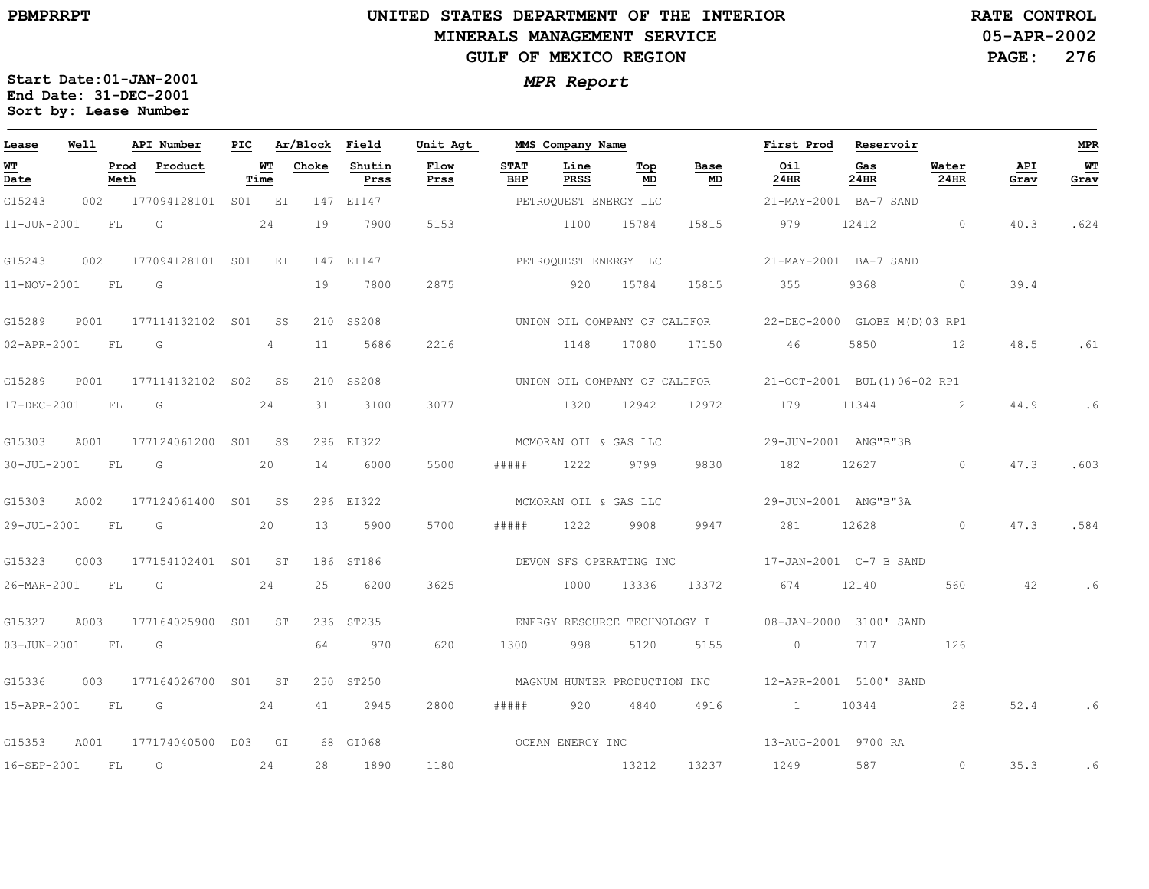### **UNITED STATES DEPARTMENT OF THE INTERIOR MINERALS MANAGEMENT SERVICEGULF OF MEXICO REGION**

**05-APR-2002PAGE: 276 RATE CONTROL**

| Lease            | Well      |              | API Number                                                                                                    | PIC |                    | Ar/Block Field |                | Unit Agt              |                    | MMS Company Name      |                              |                  | First Prod                                                | Reservoir             |                |             | MPR               |
|------------------|-----------|--------------|---------------------------------------------------------------------------------------------------------------|-----|--------------------|----------------|----------------|-----------------------|--------------------|-----------------------|------------------------------|------------------|-----------------------------------------------------------|-----------------------|----------------|-------------|-------------------|
| W'I'<br>Date     |           | Prod<br>Meth | Product                                                                                                       |     | <u> WТ</u><br>Time | Choke          | Shutin<br>Prss | Flow<br>Prss          | <b>STAT</b><br>BHP | Line<br>PRSS          | Тор<br>MD                    | Base<br>MD       | Oil<br>24HR                                               | Gas<br>24HR           | Water<br>24HR  | API<br>Grav | <b>WT</b><br>Grav |
| G15243           |           |              | 002 177094128101 S01 EI                                                                                       |     |                    |                | 147 EI147      |                       |                    | PETROQUEST ENERGY LLC |                              |                  |                                                           | 21-MAY-2001 BA-7 SAND |                |             |                   |
| 11-JUN-2001      |           | <b>FL</b>    | G                                                                                                             |     | 24                 | 19             | 7900           | 5153                  |                    | 1100                  | 15784                        | 15815            | 979                                                       | 12412                 | $\overline{0}$ | 40.3        | .624              |
| G15243           | 002       |              | 177094128101 S01 EI                                                                                           |     |                    |                | 147 EI147      |                       |                    | PETROOUEST ENERGY LLC |                              |                  |                                                           | 21-MAY-2001 BA-7 SAND |                |             |                   |
| 11-NOV-2001 FL   |           |              | $\overline{\mathsf{G}}$                                                                                       |     |                    | 19             | 7800           | 2875                  |                    | 920                   | 15784                        | 15815            | 355                                                       | 9368                  | $\overline{0}$ | 39.4        |                   |
| G15289           |           |              | P001 177114132102 S01 SS                                                                                      |     |                    |                | 210 SS208      |                       |                    |                       |                              |                  | UNION OIL COMPANY OF CALIFOR 22-DEC-2000 GLOBE M(D)03 RP1 |                       |                |             |                   |
| 02-APR-2001      | <b>FL</b> |              | G                                                                                                             |     | 4                  | 11             | 5686           | 2216                  |                    | 1148 17080            |                              | 17150            | 46                                                        | 5850                  | 12             | 48.5        | .61               |
| G15289           | P001      |              | 177114132102 SO2 SS                                                                                           |     |                    |                | 210 SS208      |                       |                    |                       |                              |                  | UNION OIL COMPANY OF CALIFOR 21-OCT-2001 BUL(1)06-02 RP1  |                       |                |             |                   |
| 17-DEC-2001      |           | FL           | G                                                                                                             |     | 24                 | 31             | 3100           | 3077                  |                    | 1320                  | 12942                        | 12972            | 179                                                       | 11344                 | $\sim$ 2       | 44.9        | .6                |
| G15303           | A001      |              | 177124061200 S01 SS                                                                                           |     |                    |                | 296 EI322      |                       |                    | MCMORAN OIL & GAS LLC |                              |                  |                                                           | 29-JUN-2001 ANG"B"3B  |                |             |                   |
| 30-JUL-2001      |           | FL           | in Green Green Green Green Green Street Street Street Street Street Street Street Street Street Street Street |     | 20                 | 14             | 6000           | 5500                  | # # # # #          | 1222                  | 9799                         | 9830             | 182 12627 0                                               |                       |                | 47.3        | .603              |
| G15303           | A002      |              | 177124061400 S01 SS                                                                                           |     |                    |                | 296 EI322      | MCMORAN OIL & GAS LLC |                    |                       |                              |                  |                                                           | 29-JUN-2001 ANG"B"3A  |                |             |                   |
| 29-JUL-2001 FL   |           |              | <b>G</b>                                                                                                      |     | 20                 | 13             | 5900           | 5700                  | #####              | 1222                  | 9908                         | 9947             | 281                                                       |                       | 12628 0        | 47.3        | .584              |
| G15323           | C003      |              | 177154102401 S01 ST                                                                                           |     |                    |                | 186 ST186      |                       |                    |                       | DEVON SFS OPERATING INC      |                  | 17-JAN-2001 C-7 B SAND                                    |                       |                |             |                   |
| 26-MAR-2001 FL G |           |              | 24                                                                                                            |     |                    | 25             | 6200           | 3625                  |                    | 1000                  | 13336                        | 13372            | 674 12140                                                 |                       | 560            | 42          | .6                |
| G15327           | A003      |              | 177164025900 S01 ST                                                                                           |     |                    |                | 236 ST235      |                       |                    |                       |                              |                  | ENERGY RESOURCE TECHNOLOGY I 08-JAN-2000 3100' SAND       |                       |                |             |                   |
| 03-JUN-2001 FL   |           |              | G                                                                                                             |     |                    | 64             | 970            | 620                   | 1300               | 998                   | 5120                         | 5155             | $\overline{0}$                                            | 717                   | 126            |             |                   |
| G15336           | 003       |              | 177164026700 S01 ST                                                                                           |     |                    |                | 250 ST250      |                       |                    |                       | MAGNUM HUNTER PRODUCTION INC |                  | 12-APR-2001 5100' SAND                                    |                       |                |             |                   |
| 15-APR-2001 FL G |           |              | 24                                                                                                            |     |                    | 41             | 2945           | 2800                  | # # # # #          | 920                   | 4840                         | 4916             | 1 10344                                                   |                       | 28             | 52.4        | .6                |
| G15353           | A001      |              | 177174040500 D03 GI                                                                                           |     |                    |                | 68 GI068       |                       |                    |                       |                              | OCEAN ENERGY INC |                                                           | 13-AUG-2001 9700 RA   |                |             |                   |
| 16-SEP-2001 FL   |           |              | $\overline{O}$                                                                                                |     | 24                 | 28             | 1890           | 1180                  |                    | 13212                 |                              | 13237            | 1249                                                      | 587                   | $\circ$        | 35.3        | .6                |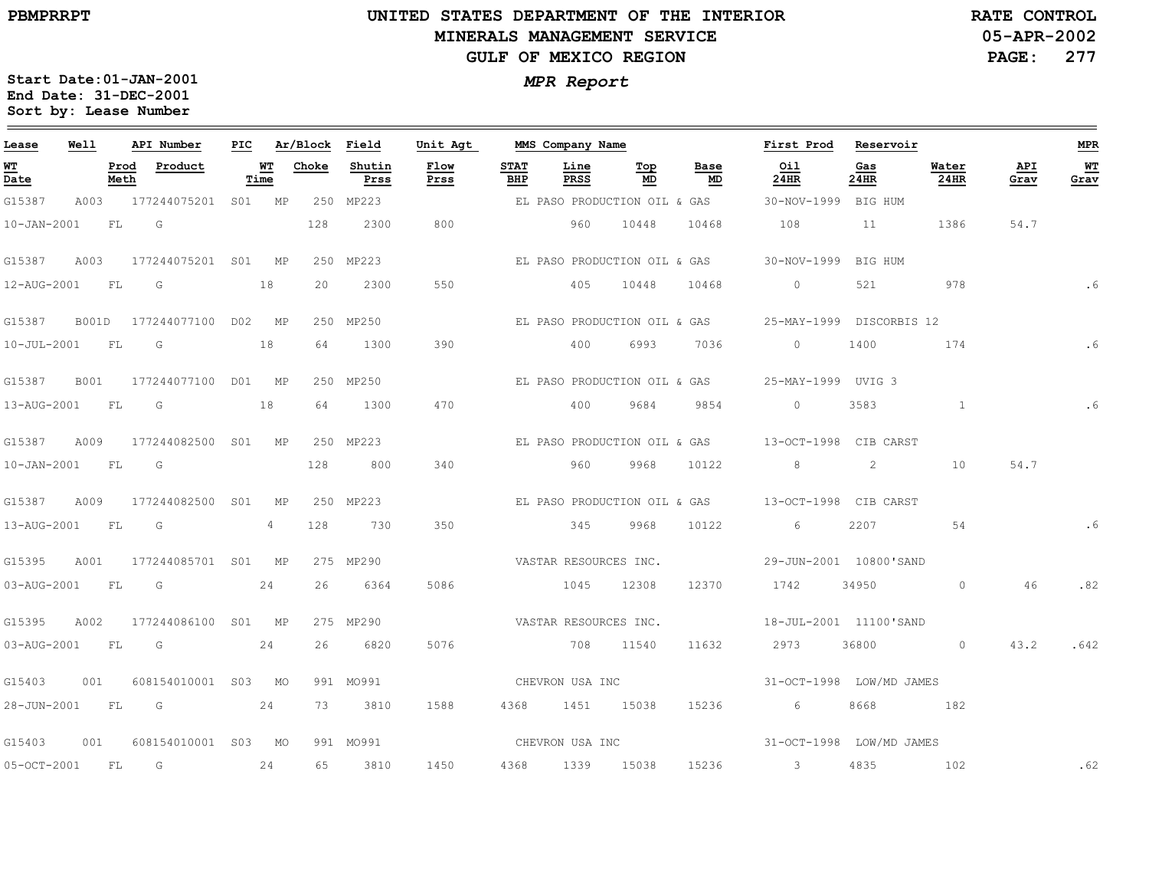### **UNITED STATES DEPARTMENT OF THE INTERIOR MINERALS MANAGEMENT SERVICEGULF OF MEXICO REGION**

**05-APR-2002PAGE: 277 RATE CONTROL**

| Lease             | Well |              | API Number                | PIC |            | Ar/Block | Field          | Unit Agt              |                    | MMS Company Name             |           |                              | First Prod                               | Reservoir   |               |             | <b>MPR</b>   |
|-------------------|------|--------------|---------------------------|-----|------------|----------|----------------|-----------------------|--------------------|------------------------------|-----------|------------------------------|------------------------------------------|-------------|---------------|-------------|--------------|
| WT<br>Date        |      | Prod<br>Meth | Product                   |     | WT<br>Time | Choke    | Shutin<br>Prss | Flow<br>Prss          | <b>STAT</b><br>BHP | Line<br><b>PRSS</b>          | Тор<br>MD | Base<br>MD                   | Oil<br>24HR                              | Gas<br>24HR | Water<br>24HR | API<br>Grav | $WT$<br>Grav |
| G15387            |      |              | A003 177244075201 S01 MP  |     |            |          | 250 MP223      |                       |                    |                              |           | EL PASO PRODUCTION OIL & GAS | 30-NOV-1999 BIG HUM                      |             |               |             |              |
| $10 - JAN - 2001$ |      |              | FL G                      |     |            | 128      | 2300           | 800                   |                    | 960                          | 10448     | 10468                        | 108                                      | 11          | 1386          | 54.7        |              |
| G15387            | A003 |              | 177244075201 S01 MP       |     |            |          | 250 MP223      |                       |                    |                              |           | EL PASO PRODUCTION OIL & GAS | 30-NOV-1999 BIG HUM                      |             |               |             |              |
| 12-AUG-2001       |      | FL           | G                         |     | 18         | 20       | 2300           | 550                   |                    | 405                          | 10448     | 10468                        | $\circ$                                  | 521         | 978           |             | .6           |
| G15387            |      |              | B001D 177244077100 D02 MP |     |            |          | 250 MP250      |                       |                    |                              |           | EL PASO PRODUCTION OIL & GAS | 25-MAY-1999 DISCORBIS 12                 |             |               |             |              |
| 10-JUL-2001 FL    |      |              | G                         |     | 18         | 64       | 1300           | 390                   |                    | 400                          | 6993      | 7036                         | $\sim$ 0                                 | 1400        | 174           |             | .6           |
| G15387            | B001 |              | 177244077100 D01 MP       |     |            |          | 250 MP250      |                       |                    |                              |           | EL PASO PRODUCTION OIL & GAS | 25-MAY-1999 UVIG 3                       |             |               |             |              |
| 13-AUG-2001 FL    |      |              | G                         |     | 18         | 64       | 1300           | 470                   |                    | 400                          | 9684      | 9854                         | $\circ$                                  | 3583        |               |             | .6           |
| G15387            |      |              | A009 177244082500 S01 MP  |     |            |          | 250 MP223      |                       |                    | EL PASO PRODUCTION OIL & GAS |           |                              | 13-OCT-1998 CIB CARST                    |             |               |             |              |
| $10 - JAN - 2001$ |      |              | FL G                      |     |            | 128      | 800            | 340                   |                    | 960                          | 9968      | 10122                        | 82                                       |             | 10            | 54.7        |              |
| G15387            | A009 |              | 177244082500 S01          |     | MP         |          | 250 MP223      |                       |                    |                              |           |                              |                                          |             |               |             |              |
| 13-AUG-2001       |      | FL           | G                         |     | 4          | 128      | 730            | 350                   |                    | 345                          | 9968      | 10122                        | 6                                        | 2207        | 54            |             | .6           |
| G15395            | A001 |              | 177244085701 S01 MP       |     |            |          | 275 MP290      |                       |                    | VASTAR RESOURCES INC.        |           |                              | 29-JUN-2001 10800'SAND                   |             |               |             |              |
| 03-AUG-2001 FL G  |      |              |                           |     | 24         | 26       | 6364           | 5086                  |                    | 1045 12308                   |           | 12370                        | 1742                                     | 34950 34950 | $\circ$       | 46          | .82          |
| G15395            | A002 |              | 177244086100 S01 MP       |     |            |          | 275 MP290      | VASTAR RESOURCES INC. |                    |                              |           |                              | 18-JUL-2001 11100'SAND                   |             |               |             |              |
| 03-AUG-2001 FL    |      |              | $\overline{\mathbb{G}}$   |     | 24         | 26       | 6820           | 5076                  |                    | 708 11540                    |           | 11632                        | 2973                                     | 36800       | $\circ$       | 43.2        | .642         |
| G15403            | 001  |              | 608154010001 S03 MO       |     |            |          | 991 MO991      |                       |                    | CHEVRON USA INC              |           |                              | 31-OCT-1998 LOW/MD JAMES                 |             |               |             |              |
|                   |      |              | 28-JUN-2001 FL G 24       |     |            |          | 73 3810        | 1588                  |                    | 4368 1451 15038              |           | 15236                        | $6\overline{6}$                          |             | 8668 182      |             |              |
| G15403            | 001  |              | 608154010001 S03 MO       |     |            |          | 991 MO991      |                       |                    |                              |           |                              | CHEVRON USA INC 31-OCT-1998 LOW/MD JAMES |             |               |             |              |
| 05-OCT-2001       |      | <b>FL</b>    | $\overline{G}$            |     | 24         | 65       | 3810           | 1450                  |                    | 4368 1339 15038              |           | 15236                        | $\sim$ 3                                 | 4835        | 102           |             | .62          |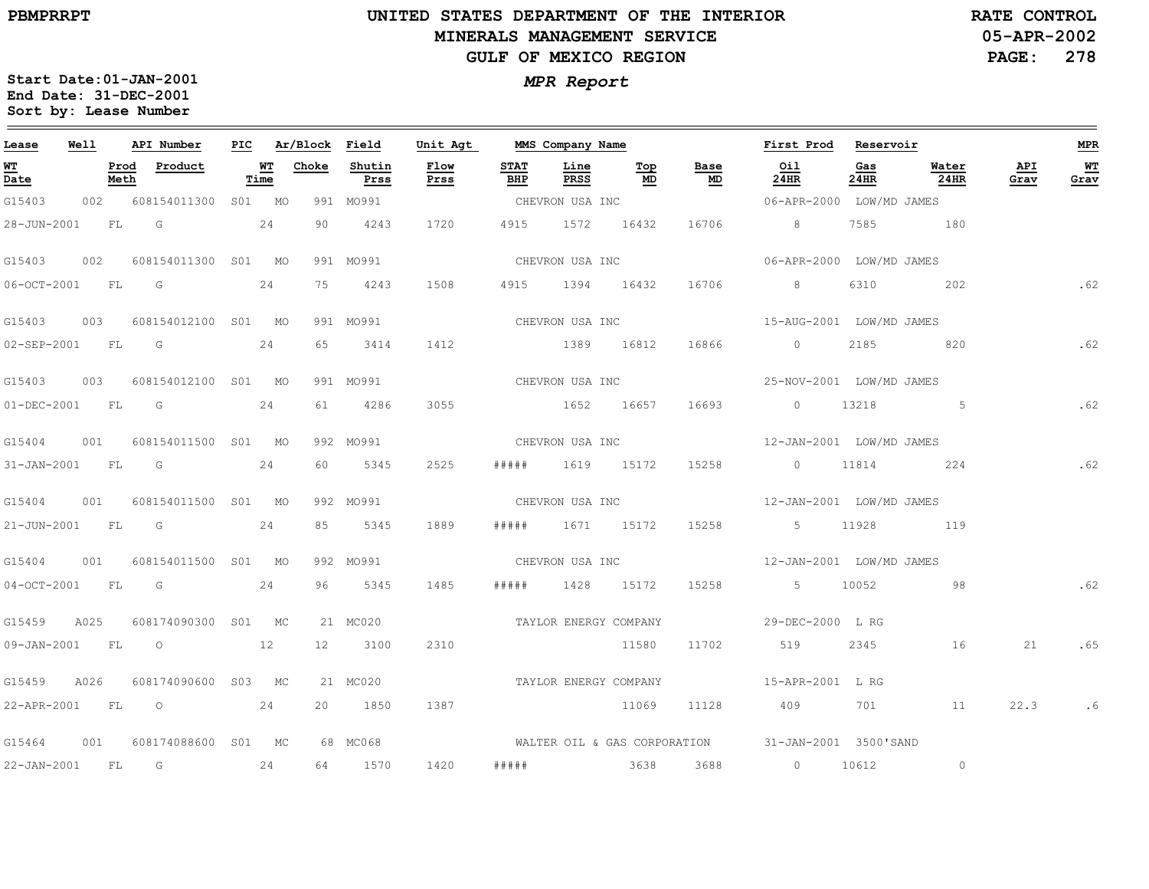**PBMPRRPT**

## **UNITED STATES DEPARTMENT OF THE INTERIOR MINERALS MANAGEMENT SERVICEGULF OF MEXICO REGION**

**05-APR-2002PAGE: 278 RATE CONTROL**

| Lease             | <b>Well</b> |      | API Number                      |      | PIC Ar/Block Field |                | Unit Agt     |                    |                  |                  | MMS Company Name                  | First Prod Reservoir                               |                |                                 |             | MPR        |
|-------------------|-------------|------|---------------------------------|------|--------------------|----------------|--------------|--------------------|------------------|------------------|-----------------------------------|----------------------------------------------------|----------------|---------------------------------|-------------|------------|
| <b>WT</b><br>Date |             | Meth | Prod Product                    | Time | <b>WT</b> Choke    | Shutin<br>Prss | Flow<br>Prss | <b>STAT</b><br>BHP | Line<br>PRSS     | Top<br>MD        | Base<br>$\underline{\mathsf{MD}}$ | Oil<br>24HR                                        | Gas<br>$24$ HR | Water<br>24HR                   | API<br>Grav | WT<br>Grav |
| G15403            |             | 002  | 608154011300 S01 MO             |      |                    | 991 MO991      |              |                    |                  |                  |                                   |                                                    |                |                                 |             |            |
|                   |             |      | 28-JUN-2001 FL G 24             |      |                    | 90 4243        | 1720         |                    | 4915 1572 16432  |                  |                                   | 16706 8                                            |                | 7585 180                        |             |            |
| G15403            | 002         |      | 608154011300 S01 MO             |      |                    | 991 MO991      |              |                    |                  |                  |                                   |                                                    |                |                                 |             |            |
| 06-OCT-2001 FL G  |             |      | 24                              |      |                    | 75 4243        | 1508         |                    |                  |                  |                                   | 4915 1394 16432 16706 8                            |                | 6310 202                        |             | .62        |
|                   |             |      | G15403 003 608154012100 S01 MO  |      |                    | 991 MO991      |              |                    |                  |                  |                                   | CHEVRON USA INC 15-AUG-2001 LOW/MD JAMES           |                |                                 |             |            |
|                   |             |      | 02-SEP-2001 FL G 24             |      |                    | 65 3414        |              |                    |                  |                  |                                   | 1412 1389 16812 16866 0 2185 820                   |                |                                 |             | .62        |
|                   |             |      | G15403 003 608154012100 S01 MO  |      |                    | 991 MO991      |              |                    |                  |                  | CHEVRON USA INC                   | 25-NOV-2001 LOW/MD JAMES                           |                |                                 |             |            |
| 01-DEC-2001 FL G  |             |      |                                 | 24   |                    | 61 4286        | 3055         |                    |                  |                  |                                   | 1652 16657 16693 0 13218                           |                | 5 <sub>1</sub> < 5 <sub>2</sub> |             | .62        |
|                   |             |      | G15404 001 608154011500 S01 MO  |      |                    | 992 MO991      |              |                    |                  | CHEVRON USA INC  |                                   | 12-JAN-2001 LOW/MD JAMES                           |                |                                 |             |            |
|                   |             |      | 31-JAN-2001 FL G 24             |      | 60                 | 5345           | 2525         | # # # # #          |                  | 1619 15172 15258 |                                   | $0 \t 11814 \t 224$                                |                |                                 |             | .62        |
|                   |             |      | G15404 001 608154011500 S01 MO  |      |                    | 992 MO991      |              |                    |                  |                  |                                   | CHEVRON USA INC $12-\text{JAN}-2001$ LOW/MD JAMES  |                |                                 |             |            |
| 21-JUN-2001 FL G  |             |      |                                 | 24   | 85                 | 5345           | 1889         |                    | ##### 1671 15172 |                  |                                   | 15258 5 11928 119                                  |                |                                 |             |            |
|                   |             |      | G15404 001 608154011500 S01 MO  |      |                    | 992 MO991      |              |                    |                  |                  |                                   | CHEVRON USA INC $12-\text{JAN}-2001$ LOW/MD JAMES  |                |                                 |             |            |
|                   |             |      | 04-OCT-2001 FL G 24             |      |                    | 96 5345        | 1485         |                    |                  |                  |                                   | ##### 1428 15172 15258 5 10052                     |                | 98                              |             | .62        |
|                   |             |      | G15459 A025 608174090300 S01 MC |      |                    | 21 MC020       |              |                    |                  |                  |                                   | TAYLOR ENERGY COMPANY THE SEPTEC-2000 L RG         |                |                                 |             |            |
|                   |             |      | 09-JAN-2001 FL 0 12             |      |                    | 12 3100        | 2310         |                    |                  | 11580            | 11702                             | 519                                                | 2345           | 16                              | 21          | .65        |
| G15459 A026       |             |      | 608174090600 S03 MC             |      |                    | 21 MC020       |              |                    |                  |                  |                                   | TAYLOR ENERGY COMPANY 15-APR-2001 L RG             |                |                                 |             |            |
|                   |             |      | 22-APR-2001 FL 0 24             |      |                    | 20 1850        | 1387         |                    |                  | 11069            | 11128                             | 409 701 11                                         |                |                                 | 22.3        | .6         |
|                   |             |      | G15464 001 608174088600 S01 MC  |      |                    | 68 MC068       |              |                    |                  |                  |                                   | WALTER OIL & GAS CORPORATION 31-JAN-2001 3500'SAND |                |                                 |             |            |
|                   |             |      | 22-JAN-2001 FL G 24             |      |                    | 64 1570        | 1420         |                    |                  |                  |                                   | ##### 3638 3688 0 10612                            |                | $\circ$                         |             |            |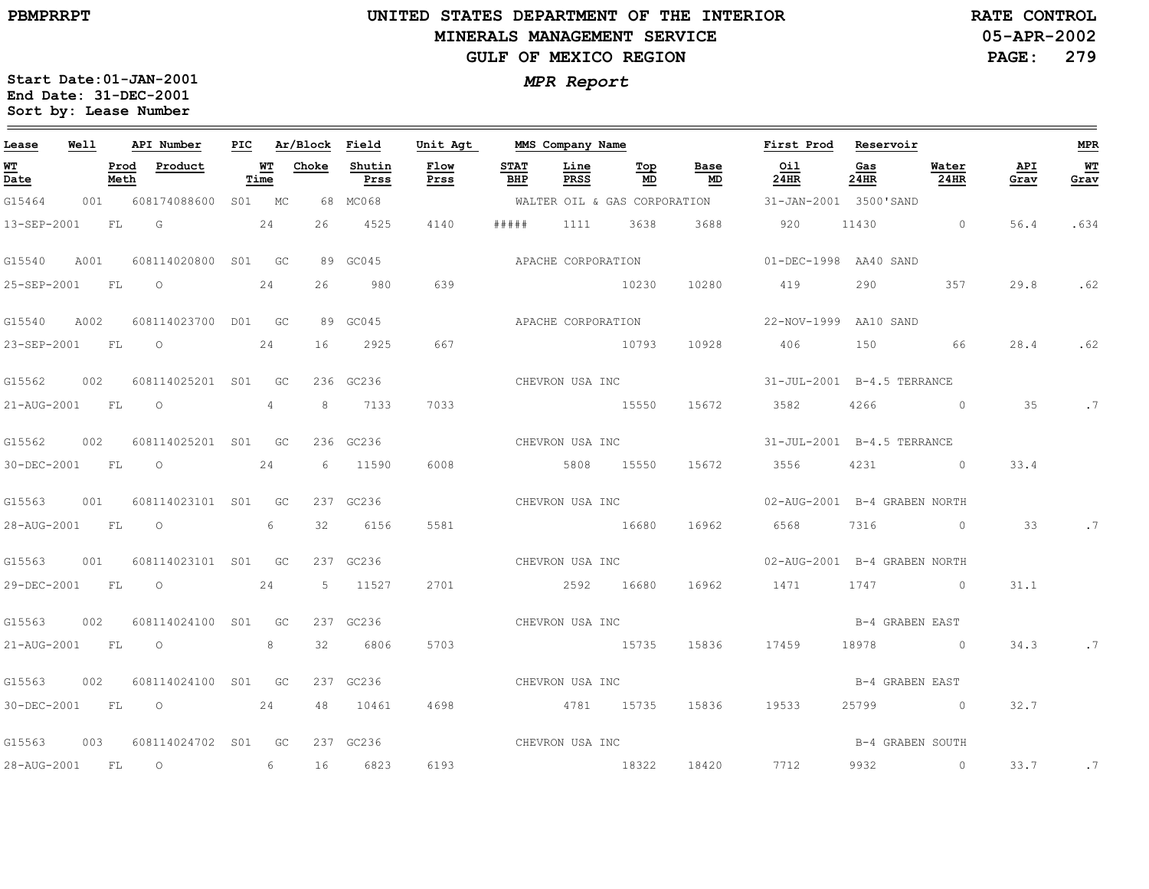28-AUG-2001

FL

O

6

16

6823

6193

**Start Date:01-JAN-2001**

**Sort by: Lease Number** 

### **UNITED STATES DEPARTMENT OF THE INTERIOR MINERALS MANAGEMENT SERVICEGULF OF MEXICO REGION**

**05-APR-2002PAGE: 279 RATE CONTROL**

**MPR**

 $\equiv$ 

**WT Grav**

.634

.62

.62

.7

.7

.7

.7

*MPR Report* **End Date: 31-DEC-2001**

| Lease          | Well        |              | API Number          | PIC    |                 |       | Ar/Block Field | Unit Agt     |             | MMS Company Name   |                    |                              | First Prod  | Reservoir                    |               |             |
|----------------|-------------|--------------|---------------------|--------|-----------------|-------|----------------|--------------|-------------|--------------------|--------------------|------------------------------|-------------|------------------------------|---------------|-------------|
| WТ<br>Date     |             | Prod<br>Meth | Product             | Time   | WT              | Choke | Shutin<br>Prss | Flow<br>Prss | STAT<br>BHP | Line<br>PRSS       | Тор<br>MD          | Base<br>MD                   | Oil<br>24HR | Gas<br>24HR                  | Water<br>24HR | API<br>Grav |
| G15464         | 001         |              | 608174088600        | S01 MC |                 |       | 68 MC068       |              |             |                    |                    | WALTER OIL & GAS CORPORATION |             | 31-JAN-2001 3500'SAND        |               |             |
| 13-SEP-2001    | FT.         |              | G                   |        | 2.4             | 26    | 4525           | 4140         | #####       | 1111               | 3638               | 3688                         | 920         | 11430                        | $\Omega$      | 56.4        |
| G15540         | A001        |              | 608114020800 S01 GC |        |                 |       | 89 GC045       |              |             | APACHE CORPORATION |                    |                              |             | 01-DEC-1998 AA40 SAND        |               |             |
| 25-SEP-2001    | $F_{\rm T}$ |              | $\Omega$            |        | 24              | 26    | 980            | 639          |             |                    | 10230              | 10280                        | 419         | 290                          | 357           | 29.8        |
| G15540         | A002        |              | 608114023700        | D01 GC |                 |       | 89 GC045       |              |             |                    | APACHE CORPORATION |                              |             | 22-NOV-1999 AA10 SAND        |               |             |
| 23-SEP-2001    | FL          |              | $\circ$             |        | 24              | 16    | 2925           | 667          |             |                    | 10793              | 10928                        | 406         | 150                          | 66            | 28.4        |
| G15562         | 002         |              | 608114025201 S01    |        | GC <sub>1</sub> |       | 236 GC236      |              |             |                    | CHEVRON USA INC    |                              |             | 31-JUL-2001 B-4.5 TERRANCE   |               |             |
| 21-AUG-2001 FL |             |              | $\circ$             |        | $\overline{4}$  | 8     | 7133           | 7033         |             |                    | 15550              | 15672                        | 3582        | $4266$ 0                     |               | 35          |
| G15562         | 002         |              | 608114025201 S01 GC |        |                 |       | 236 GC236      |              |             | CHEVRON USA INC    |                    |                              |             | 31-JUL-2001 B-4.5 TERRANCE   |               |             |
| 30-DEC-2001    | FL          |              | $\circ$             |        | 24              | 6     | 11590          | 6008         |             | 5808               | 15550              | 15672                        | 3556        | 4231 0                       |               | 33.4        |
| G15563         | 001         |              | 608114023101 S01    |        | GC <sub>1</sub> |       | 237 GC236      |              |             | CHEVRON USA INC    |                    |                              |             | 02-AUG-2001 B-4 GRABEN NORTH |               |             |
| 28-AUG-2001    | $F_{\rm T}$ |              | $\circ$             |        | 6               | 32    | 6156           | 5581         |             | 16680              |                    | 16962                        | 6568        | 7316                         | $\Omega$      | 33          |
| G15563         | 001         |              | 608114023101 S01    |        | GC              |       | 237 GC236      |              |             |                    | CHEVRON USA INC    |                              |             | 02-AUG-2001 B-4 GRABEN NORTH |               |             |
| 29-DEC-2001    | FT.         |              | $\Omega$            |        | 24              | 5     | 11527          | 2701         |             | 2.592              | 16680              | 16962                        | 1471        | 1747                         | $\Omega$      | 31.1        |
| G15563         | 002         |              | 608114024100        | S01    | GC <sub>1</sub> |       | 237 GC236      |              |             | CHEVRON USA INC    |                    |                              |             | B-4 GRABEN EAST              |               |             |
| 21-AUG-2001    | <b>FL</b>   |              | $\overline{O}$      |        | 8               | 32    | 6806           | 5703         |             | 15735              |                    | 15836                        | 17459       | 18978 0                      |               | 34.3        |
| G15563         | 002         |              | 608114024100 S01 GC |        |                 |       | 237 GC236      |              |             | CHEVRON USA INC    |                    |                              |             | B-4 GRABEN EAST              |               |             |
| 30-DEC-2001    | FL          |              | $\circ$             |        | 24              | 48    | 10461          | 4698         |             | 4781 15735         |                    | 15836                        | 19533       | 25799 0                      |               | 32.7        |
| G15563         | 003         |              | 608114024702 S01    |        | GC              |       | 237 GC236      |              |             | CHEVRON USA INC    |                    |                              |             | B-4 GRABEN SOUTH             |               |             |

18322

18420

7712

9932

0

33.7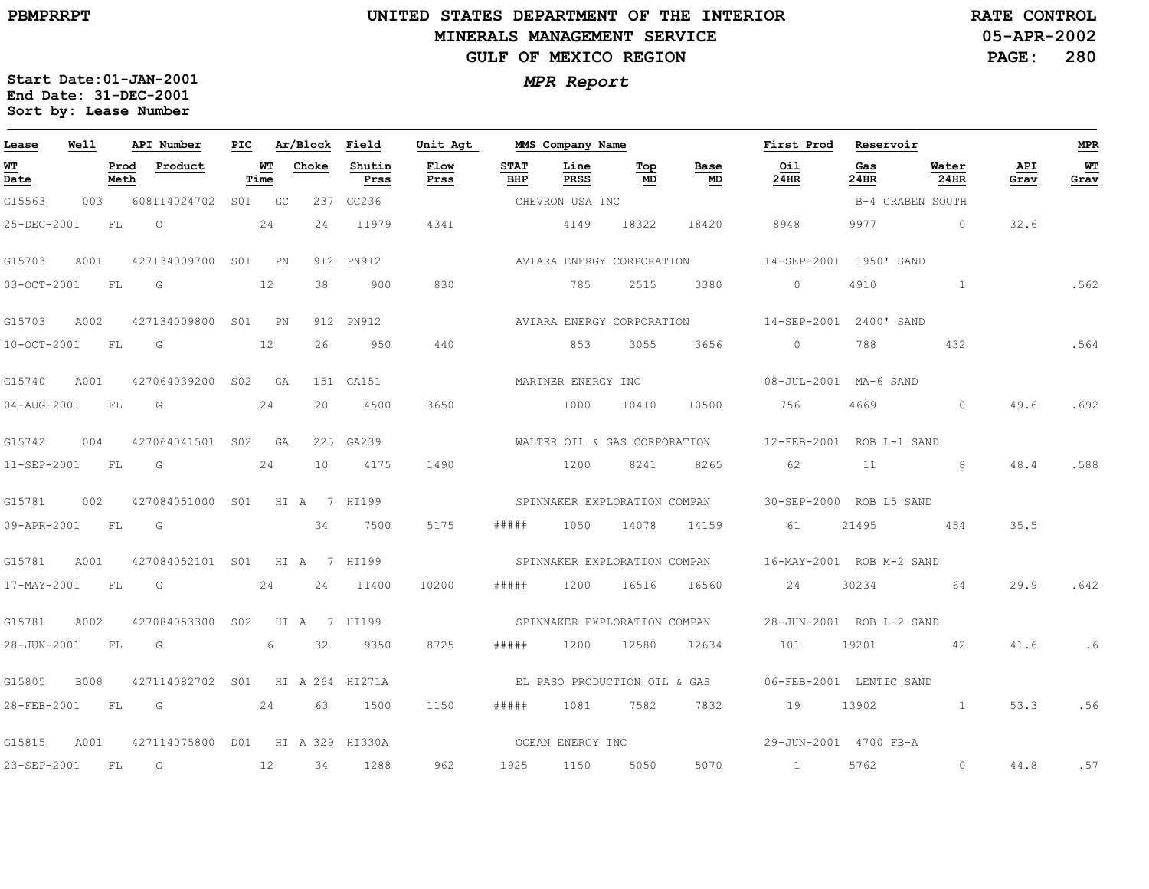### **UNITED STATES DEPARTMENT OF THE INTERIOR MINERALS MANAGEMENT SERVICEGULF OF MEXICO REGION**

**05-APR-2002PAGE: 280 RATE CONTROL**

| Lease       | Well        |              | API Number                       | PIC |            | Ar/Block Field |                | Unit Agt                     |                    | MMS Company Name             |           |                              | First Prod               | Reservoir   |                  |             | <b>MPR</b> |
|-------------|-------------|--------------|----------------------------------|-----|------------|----------------|----------------|------------------------------|--------------------|------------------------------|-----------|------------------------------|--------------------------|-------------|------------------|-------------|------------|
| WT<br>Date  |             | Prod<br>Meth | Product                          |     | WT<br>Time | Choke          | Shutin<br>Prss | Flow<br>Prss                 | <b>STAT</b><br>BHP | Line<br>PRSS                 | Top<br>MD | Base<br>MD                   | Oil<br><b>24HR</b>       | Gas<br>24HR | Water<br>24HR    | API<br>Grav | WT<br>Grav |
| G15563      | 003         |              | 608114024702 S01 GC              |     |            |                | 237 GC236      |                              |                    | CHEVRON USA INC              |           |                              |                          |             | B-4 GRABEN SOUTH |             |            |
| 25-DEC-2001 |             | FL           | $\circ$                          |     | 24         | 24             | 11979          | 4341                         |                    | 4149                         | 18322     | 18420                        | 8948                     | 9977        | $\Omega$         | 32.6        |            |
| G15703      | A001        |              | 427134009700 S01 PN              |     |            |                | 912 PN912      |                              |                    | AVIARA ENERGY CORPORATION    |           |                              | 14-SEP-2001 1950' SAND   |             |                  |             |            |
| 03-OCT-2001 |             | FL           | G                                |     | 12         | 38             | 900            | 830                          |                    | 785                          | 2515      | 3380                         | $\circ$                  | 4910        | $\mathbf{1}$     |             | .562       |
| G15703      | A002        |              | 427134009800 S01 PN              |     |            |                | 912 PN912      |                              |                    | AVIARA ENERGY CORPORATION    |           |                              | 14-SEP-2001 2400' SAND   |             |                  |             |            |
| 10-OCT-2001 |             | FL           | G                                |     | 12         | 26             | 950            | 440                          |                    | 853                          | 3055      | 3656                         | $\circ$                  | 788         | 432              |             | .564       |
| G15740      | A001        |              | 427064039200 S02 GA              |     |            |                | 151 GA151      |                              |                    | MARINER ENERGY INC           |           |                              | 08-JUL-2001 MA-6 SAND    |             |                  |             |            |
| 04-AUG-2001 |             | FL           | G                                |     | 24         | 2.0            | 4500           | 3650                         |                    | 1000                         | 10410     | 10500                        | 756                      | 4669        | $\Omega$         | 49.6        | .692       |
| G15742      | 004         |              | 427064041501 S02 GA              |     |            |                | 225 GA239      |                              |                    | WALTER OIL & GAS CORPORATION |           |                              | 12-FEB-2001 ROB L-1 SAND |             |                  |             |            |
| 11-SEP-2001 |             | FL           | $\overline{G}$                   |     | 24         | 10             | 4175           | 1490                         |                    | 1200                         | 8241      | 8265                         | 62                       | 11          | 8                | 48.4        | .588       |
| G15781      | 002         |              | 427084051000 S01                 |     |            | HI A 7 HI199   |                |                              |                    |                              |           | SPINNAKER EXPLORATION COMPAN | 30-SEP-2000 ROB L5 SAND  |             |                  |             |            |
| 09-APR-2001 |             | FL           | G                                |     |            | 34             | 7500           | 5175                         | #####              | 1050                         | 14078     | 14159                        | 61                       | 21495       | 454              | 35.5        |            |
| G15781      | A001        |              | 427084052101 S01 HI A 7 HI199    |     |            |                |                |                              |                    | SPINNAKER EXPLORATION COMPAN |           |                              | 16-MAY-2001 ROB M-2 SAND |             |                  |             |            |
| 17-MAY-2001 |             | FL.          | G                                |     | 24         |                | 24 11400       | 10200                        | # # # # #          | 1200                         | 16516     | 16560                        | 24                       | 30234       | 64               | 29.9        | .642       |
| G15781      | A002        |              | 427084053300 S02                 |     |            | HI A 7 HI199   |                | SPINNAKER EXPLORATION COMPAN |                    |                              |           |                              | 28-JUN-2001 ROB L-2 SAND |             |                  |             |            |
| 28-JUN-2001 |             | FL.          | G                                |     | 6          | 32             | 9350           | 8725                         | # # # # #          | 1200                         | 12580     | 12634                        | 101                      | 19201       | 42               | 41.6        | .6         |
| G15805      | <b>B008</b> |              | 427114082702 S01 HI A 264 HI271A |     |            |                |                |                              |                    | EL PASO PRODUCTION OIL & GAS |           |                              | 06-FEB-2001 LENTIC SAND  |             |                  |             |            |
| 28-FEB-2001 |             | FL           | 24<br>$\overline{G}$             |     |            | 63             | 1500           | 1150                         | # # # # #          | 1081                         | 7582      | 7832                         | 19                       | 13902       |                  | 53.3        | .56        |
| G15815      | A001        |              | 427114075800 D01 HI A 329 HI330A |     |            |                |                | OCEAN ENERGY INC             |                    |                              |           |                              | 29-JUN-2001 4700 FB-A    |             |                  |             |            |
| 23-SEP-2001 |             | FL.          | G                                |     | 12         | 34             | 1288           | 962                          | 1925               | 1150                         | 5050      | 5070                         | $\sim$ 1                 | 5762        | $\circ$          | 44.8        | .57        |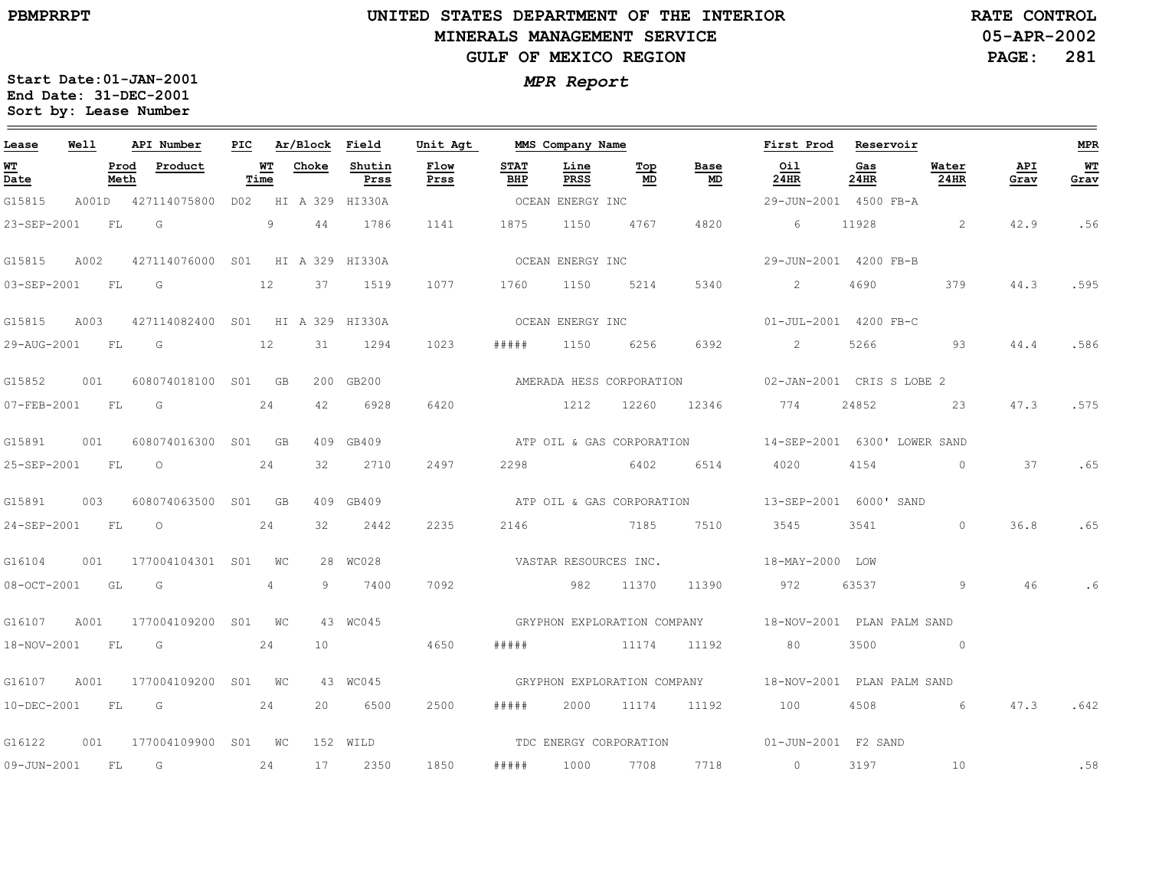### **UNITED STATES DEPARTMENT OF THE INTERIOR MINERALS MANAGEMENT SERVICEGULF OF MEXICO REGION**

**05-APR-2002PAGE: 281 RATE CONTROL**

| Lease             | Well |      | API Number                       |                   | PIC Ar/Block Field |                     | Unit Agt         |                    | MMS Company Name      |                                        |                           | First Prod Reservoir                                   |             |                 |             | <b>MPR</b> |
|-------------------|------|------|----------------------------------|-------------------|--------------------|---------------------|------------------|--------------------|-----------------------|----------------------------------------|---------------------------|--------------------------------------------------------|-------------|-----------------|-------------|------------|
| <u>WT</u><br>Date |      | Meth | Prod Product                     | <b>WT</b><br>Time | Choke              | Shutin<br>Prss      | Flow<br>Prss     | <b>STAT</b><br>BHP | Line<br>PRSS          | $\underline{\operatorname{Top}}$<br>MD | Base<br>MD                | 0i1<br>24HR                                            | Gas<br>24HR | Water<br>24HR   | API<br>Grav | WT<br>Grav |
| G15815            |      |      | A001D 427114075800               |                   |                    | D02 HI A 329 HI330A |                  |                    | OCEAN ENERGY INC      |                                        |                           | 29-JUN-2001 4500 FB-A                                  |             |                 |             |            |
| 23-SEP-2001       |      | FL   | G                                | 9                 | 44                 | 1786                | 1141             | 1875               | 1150                  | 4767                                   | 4820                      | 6                                                      | 11928       | 2               | 42.9        | .56        |
| G15815            | A002 |      | 427114076000 S01 HI A 329 HI330A |                   |                    |                     |                  |                    | OCEAN ENERGY INC      |                                        |                           | 29-JUN-2001 4200 FB-B                                  |             |                 |             |            |
| 03-SEP-2001       |      | FL   | $\overline{G}$                   | 12                | 37                 | 1519                | 1077             | 1760               | 1150                  | 5214                                   | 5340                      | $\overline{2}$                                         | 4690        | 379             | 44.3        | .595       |
| G15815            | A003 |      | 427114082400 S01 HI A 329 HI330A |                   |                    |                     | OCEAN ENERGY INC |                    |                       |                                        |                           | 01-JUL-2001 4200 FB-C                                  |             |                 |             |            |
| 29-AUG-2001 FL    |      |      | G                                | 12                | 31                 | 1294                | 1023             | #####              | 1150                  | 6256                                   | 6392                      | $\sim$ 2                                               | 5266        | 93              | 44.4        | .586       |
| G15852            | 001  |      | 608074018100 S01 GB              |                   |                    | 200 GB200           |                  |                    |                       | AMERADA HESS CORPORATION               |                           | 02-JAN-2001 CRIS S LOBE 2                              |             |                 |             |            |
| 07-FEB-2001 FL    |      |      | G                                | 24                | 42                 | 6928                | 6420             |                    | 1212                  | 12260                                  | 12346                     | 774                                                    | 24852       | 23              | 47.3        | .575       |
| G15891            | 001  |      | 608074016300 S01 GB              |                   |                    | 409 GB409           |                  |                    |                       |                                        | ATP OIL & GAS CORPORATION | 14-SEP-2001 6300' LOWER SAND                           |             |                 |             |            |
| 25-SEP-2001 FL    |      |      | $\overline{O}$                   | 24                | 32                 | 2710                | 2497             | 2298               | 6402                  |                                        | 6514                      | 4020                                                   | 4154        | $\circ$         | 37          | .65        |
| G15891            | 003  |      | 608074063500 S01 GB              |                   |                    | 409 GB409           |                  |                    |                       |                                        | ATP OIL & GAS CORPORATION | 13-SEP-2001 6000' SAND                                 |             |                 |             |            |
| 24-SEP-2001       |      | FL   | $\circ$                          | 24                | 32                 | 2442                | 2235             | 2146               |                       | 7185                                   | 7510                      | 3545                                                   | 3541        | $\Omega$        | 36.8        | .65        |
| G16104            | 001  |      | 177004104301 S01                 | WC                |                    | 28 WC028            |                  |                    | VASTAR RESOURCES INC. |                                        |                           | 18-MAY-2000 LOW                                        |             |                 |             |            |
| 08-OCT-2001       |      | GL   | G G                              | 4                 | 9                  | 7400                | 7092             |                    | 982                   | 11370                                  | 11390                     | 972                                                    | 63537       | 9               | 46          |            |
| G16107            | A001 |      | 177004109200 S01 WC              |                   |                    | 43 WC045            |                  |                    |                       |                                        |                           | GRYPHON EXPLORATION COMPANY 18-NOV-2001 PLAN PALM SAND |             |                 |             |            |
| 18-NOV-2001 FL    |      |      | $\overline{\mathbb{G}}$          | 24                | 10                 |                     | 4650             | # # # # #          |                       | 11174 11192                            |                           | 80                                                     | 3500        | $\overline{0}$  |             |            |
| G16107            | A001 |      | 177004109200 S01 WC              |                   |                    | 43 WC045            |                  |                    |                       |                                        |                           | GRYPHON EXPLORATION COMPANY 18-NOV-2001 PLAN PALM SAND |             |                 |             |            |
| 10-DEC-2001 FL    |      |      | $\overline{G}$                   | 24                | 20                 | 6500                | 2500             | # # # # #          | 2000                  | 11174                                  | 11192                     | 100                                                    | 4508        | $6\overline{6}$ | 47.3        | .642       |
| G16122            | 001  |      | 177004109900                     | S01 WC            |                    | 152 WILD            |                  |                    |                       |                                        |                           | TDC ENERGY CORPORATION 01-JUN-2001 F2 SAND             |             |                 |             |            |
| 09-JUN-2001 FL    |      |      | G                                | 24                | 17                 | 2350                | 1850             | #####              | 1000                  | 7708                                   | 7718                      | $\sim$ 0                                               | 3197        | 10              |             | .58        |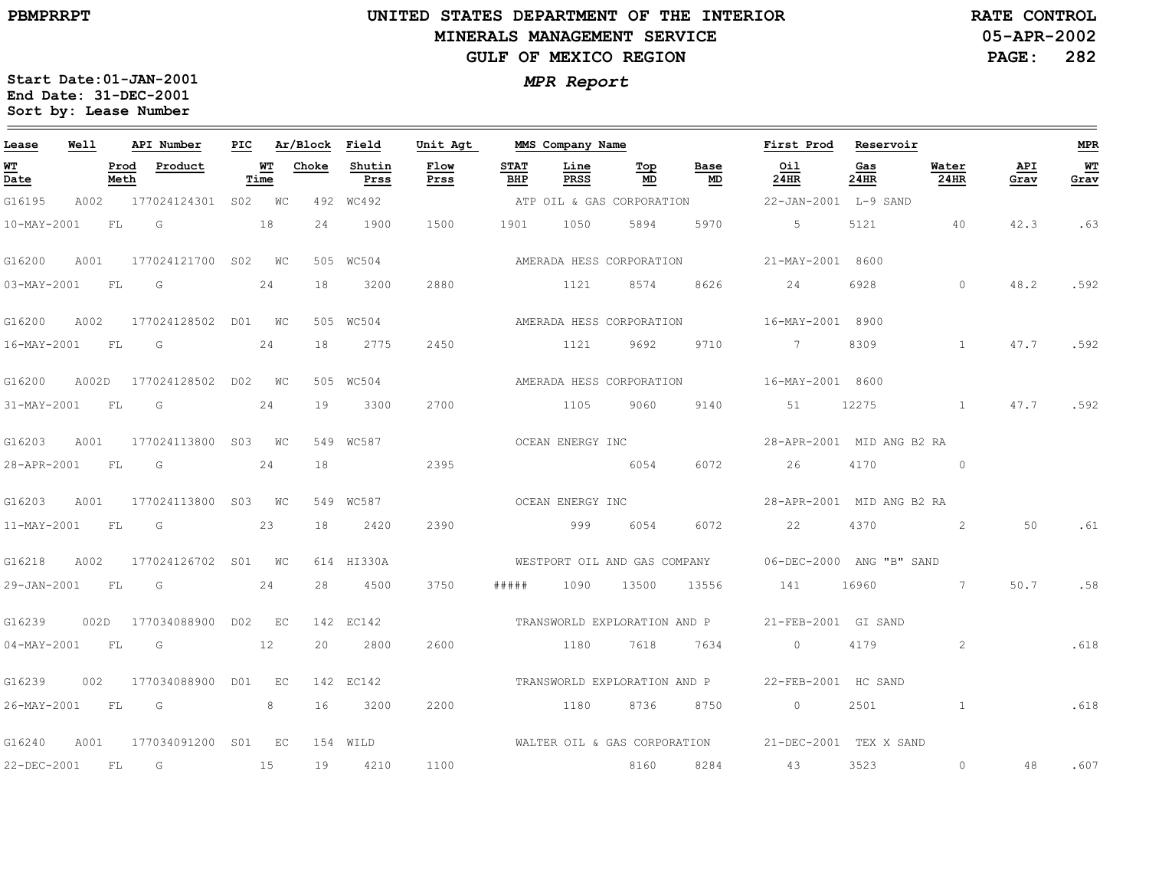### **UNITED STATES DEPARTMENT OF THE INTERIOR MINERALS MANAGEMENT SERVICEGULF OF MEXICO REGION**

**05-APR-2002PAGE: 282 RATE CONTROL**

| Lease             | Well  |              | API Number   | PIC |             | Ar/Block | Field          | Unit Agt     |                    | MMS Company Name |                              |            | First Prod                | Reservoir   |               |             | <b>MPR</b>   |
|-------------------|-------|--------------|--------------|-----|-------------|----------|----------------|--------------|--------------------|------------------|------------------------------|------------|---------------------------|-------------|---------------|-------------|--------------|
| <u>WТ</u><br>Date |       | Prod<br>Meth | Product      |     | WТ<br>Time  | Choke    | Shutin<br>Prss | Flow<br>Prss | <b>STAT</b><br>BHP | Line<br>PRSS     | Top<br>MD                    | Base<br>MD | Oil<br>24HR               | Gas<br>24HR | Water<br>24HR | API<br>Grav | $WT$<br>Grav |
| G16195            | A002  |              | 177024124301 |     | S02 WC      | 492      | WC492          |              |                    |                  | ATP OIL & GAS CORPORATION    |            | 22-JAN-2001 L-9 SAND      |             |               |             |              |
| 10-MAY-2001       |       | FL           | G            |     | 18          | 24       | 1900           | 1500         | 1901               | 1050             | 5894                         | 5970       | 5                         | 5121        | 40            | 42.3        | .63          |
| G16200            | A001  |              | 177024121700 |     | SO2 WC      |          | 505 WC504      |              |                    |                  | AMERADA HESS CORPORATION     |            | 21-MAY-2001               | 8600        |               |             |              |
| 03-MAY-2001       |       | FL           | G            |     | 24          | 18       | 3200           | 2880         |                    | 1121             | 8574                         | 8626       | 24                        | 6928        | $\Omega$      | 48.2        | .592         |
| G16200            | A002  |              | 177024128502 | D01 | $W_{\rm C}$ |          | 505 WC504      |              |                    |                  | AMERADA HESS CORPORATION     |            | 16-MAY-2001 8900          |             |               |             |              |
| 16-MAY-2001       |       | FL           | G            |     | 24          | 18       | 2775           | 2450         |                    | 1121             | 9692                         | 9710       | 7                         | 8309        | $\mathbf{1}$  | 47.7        | .592         |
| G16200            | A002D |              | 177024128502 | D02 | WC          |          | 505 WC504      |              |                    |                  | AMERADA HESS CORPORATION     |            | 16-MAY-2001 8600          |             |               |             |              |
| 31-MAY-2001       |       | FL           | G            |     | 24          | 19       | 3300           | 2700         |                    | 1105             | 9060                         | 9140       | 51                        | 12275       | $\mathbf{1}$  | 47.7        | .592         |
| G16203            | A001  |              | 177024113800 | S03 | WC          |          | 549 WC587      |              |                    | OCEAN ENERGY INC |                              |            | 28-APR-2001 MID ANG B2 RA |             |               |             |              |
| 28-APR-2001       |       | FL           | G            |     | 24          | 18       |                | 2395         |                    |                  | 6054                         | 6072       | 26                        | 4170        | $\circ$       |             |              |
| G16203            | A001  |              | 177024113800 | S03 | WC          |          | 549 WC587      |              |                    | OCEAN ENERGY INC |                              |            | 28-APR-2001 MID ANG B2 RA |             |               |             |              |
| 11-MAY-2001       |       | FL           | G            |     | 23          | 18       | 2420           | 2390         |                    | 999              | 6054                         | 6072       | 22                        | 4370        | 2             | 50          | .61          |
| G16218            | A002  |              | 177024126702 |     | SO1 WC      |          | 614 HI330A     |              |                    |                  | WESTPORT OIL AND GAS COMPANY |            | 06-DEC-2000 ANG "B" SAND  |             |               |             |              |
| 29-JAN-2001       |       | FL           | G            |     | 24          | 28       | 4500           | 3750         | # # # #            | 1090             | 13500                        | 13556      | 141                       | 16960       | $\sim$ 7      | 50.7        | .58          |
| G16239            | 002D  |              | 177034088900 | D02 | EC          |          | 142 EC142      |              |                    |                  | TRANSWORLD EXPLORATION AND P |            | 21-FEB-2001 GI SAND       |             |               |             |              |
| $04 - MAX - 2001$ |       | FL           | G            |     | 12          | 20       | 2800           | 2600         |                    | 1180             | 7618                         | 7634       | $\Omega$                  | 4179        | 2             |             | .618         |
| G16239            | 002   |              | 177034088900 | DO1 | EC          |          | 142 EC142      |              |                    |                  | TRANSWORLD EXPLORATION AND P |            | 22-FEB-2001 HC SAND       |             |               |             |              |
| 26-MAY-2001       |       | FL           | G            |     | 8           | 16       | 3200           | 2200         |                    | 1180             | 8736                         | 8750       | $\circ$                   | 2501        | $\mathbf{1}$  |             | .618         |
| G16240            | A001  |              | 177034091200 | S01 | EC          |          | 154 WILD       |              |                    |                  | WALTER OIL & GAS CORPORATION |            | 21-DEC-2001 TEX X SAND    |             |               |             |              |
| 22-DEC-2001       |       | FL           | G            |     | 15          | 19       | 4210           | 1100         |                    |                  | 8160                         | 8284       | 43                        | 3523        | $\circ$       | 48          | .607         |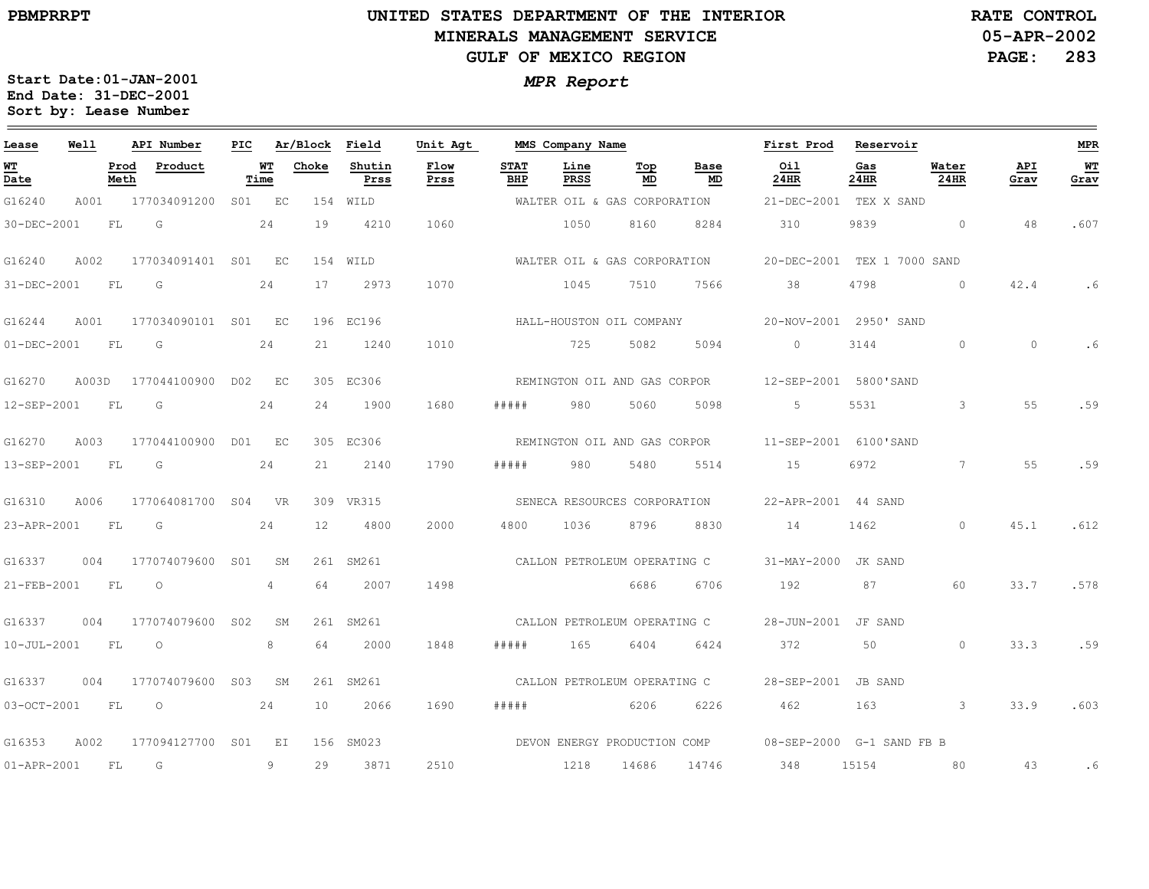### **UNITED STATES DEPARTMENT OF THE INTERIOR MINERALS MANAGEMENT SERVICEGULF OF MEXICO REGION**

**05-APR-2002PAGE: 283 RATE CONTROL**

| Lease             | Well  |              | API Number          | PIC |            | Ar/Block Field |                | Unit Agt     |                    | MMS Company Name |                              |                              | First Prod                                         | Reservoir   |               |             | MPR        |
|-------------------|-------|--------------|---------------------|-----|------------|----------------|----------------|--------------|--------------------|------------------|------------------------------|------------------------------|----------------------------------------------------|-------------|---------------|-------------|------------|
| <u>WТ</u><br>Date |       | Prod<br>Meth | Product             |     | WT<br>Time | Choke          | Shutin<br>Prss | Flow<br>Prss | <b>STAT</b><br>BHP | Line<br>PRSS     | Тор<br>MD                    | Base<br>MD                   | Oil<br>24HR                                        | Gas<br>24HR | Water<br>24HR | API<br>Grav | WT<br>Grav |
| G16240            | A001  |              | 177034091200        |     | S01 EC     |                | 154 WILD       |              |                    |                  | WALTER OIL & GAS CORPORATION |                              | 21-DEC-2001 TEX X SAND                             |             |               |             |            |
| 30-DEC-2001       |       | FL           | G                   |     | 24         | 19             | 4210           | 1060         |                    | 1050             | 8160                         | 8284                         | 310                                                | 9839        | $\circ$       | 48          | .607       |
| G16240            | A002  |              | 177034091401 S01 EC |     |            |                | 154 WILD       |              |                    |                  |                              | WALTER OIL & GAS CORPORATION | 20-DEC-2001 TEX 1 7000 SAND                        |             |               |             |            |
| 31-DEC-2001       |       | FL           | G                   |     | 24         | 17             | 2973           | 1070         |                    | 1045             | 7510                         | 7566                         | 38                                                 | 4798        | $\Omega$      | 42.4        | .6         |
| G16244            | A001  |              | 177034090101        |     | S01 EC     |                | 196 EC196      |              |                    |                  | HALL-HOUSTON OIL COMPANY     |                              | 20-NOV-2001 2950' SAND                             |             |               |             |            |
| $01 - DEC - 2001$ |       | FL           | G                   |     | 24         | 21             | 1240           | 1010         |                    | 725              | 5082                         | 5094                         | $\Omega$                                           | 3144        | $\Omega$      | $\Omega$    |            |
| G16270            | A003D |              | 177044100900 D02 EC |     |            |                | 305 EC306      |              |                    |                  |                              |                              | REMINGTON OIL AND GAS CORPOR 12-SEP-2001 5800'SAND |             |               |             |            |
| 12-SEP-2001       |       | FL           | G                   |     | 24         | 24             | 1900           | 1680         | # # # # #          | 980              | 5060                         | 5098                         | 5                                                  | 5531        | 3             | 55          | .59        |
| G16270            | A003  |              | 177044100900        |     | D01 EC     |                | 305 EC306      |              |                    |                  | REMINGTON OIL AND GAS CORPOR |                              | 11-SEP-2001 6100'SAND                              |             |               |             |            |
| 13-SEP-2001       |       | FL           | G                   |     | 24         | 21             | 2140           | 1790         | # # # # #          | 980              | 5480                         | 5514                         | 15                                                 | 6972        | 7             | 55          | .59        |
| G16310            | A006  |              | 177064081700 S04    |     | <b>VR</b>  |                | 309 VR315      |              |                    |                  |                              | SENECA RESOURCES CORPORATION | 22-APR-2001 44 SAND                                |             |               |             |            |
| 23-APR-2001       |       | FL           | G                   |     | 24         | 12             | 4800           | 2000         | 4800               | 1036             | 8796                         | 8830                         | 14                                                 | 1462        | $\Omega$      | 45.1        | .612       |
| G16337            | 004   |              | 177074079600 S01    |     | SM         |                | 261 SM261      |              |                    |                  | CALLON PETROLEUM OPERATING C |                              | 31-MAY-2000 JK SAND                                |             |               |             |            |
| 21-FEB-2001       |       | FL.          | $\circ$             |     | 4          | 64             | 2007           | 1498         |                    |                  | 6686                         | 6706                         | 192                                                | 87          | 60            | 33.7        | .578       |
| G16337            | 004   |              | 177074079600 S02    |     | SM         |                | 261 SM261      |              |                    |                  |                              | CALLON PETROLEUM OPERATING C | 28-JUN-2001                                        | JF SAND     |               |             |            |
| $10 - JUL - 2001$ |       | FL           | $\circ$             |     | 8          | 64             | 2000           | 1848         | # # # # #          | 165              | 6404                         | 6424                         | 372                                                | 50          | $\Omega$      | 33.3        | .59        |
| G16337            | 004   |              | 177074079600        | S03 | SM         |                | 261 SM261      |              |                    |                  | CALLON PETROLEUM OPERATING C |                              | 28-SEP-2001                                        | JB SAND     |               |             |            |
| 03-OCT-2001       |       | FL           | $\circ$             |     | 24         | 10             | 2066           | 1690         | # # # # #          |                  | 6206                         | 6226                         | 462                                                | 163         | $\mathcal{B}$ | 33.9        | .603       |
| G16353            | A002  |              | 177094127700        | S01 | EI         | 156            | SM023          |              |                    |                  |                              | DEVON ENERGY PRODUCTION COMP | 08-SEP-2000 G-1 SAND FB B                          |             |               |             |            |
| $01 - APR - 2001$ |       | FL           | G                   |     | 9          | 29             | 3871           | 2510         |                    | 1218             | 14686                        | 14746                        | 348                                                | 15154       | 80            | 43          | . 6        |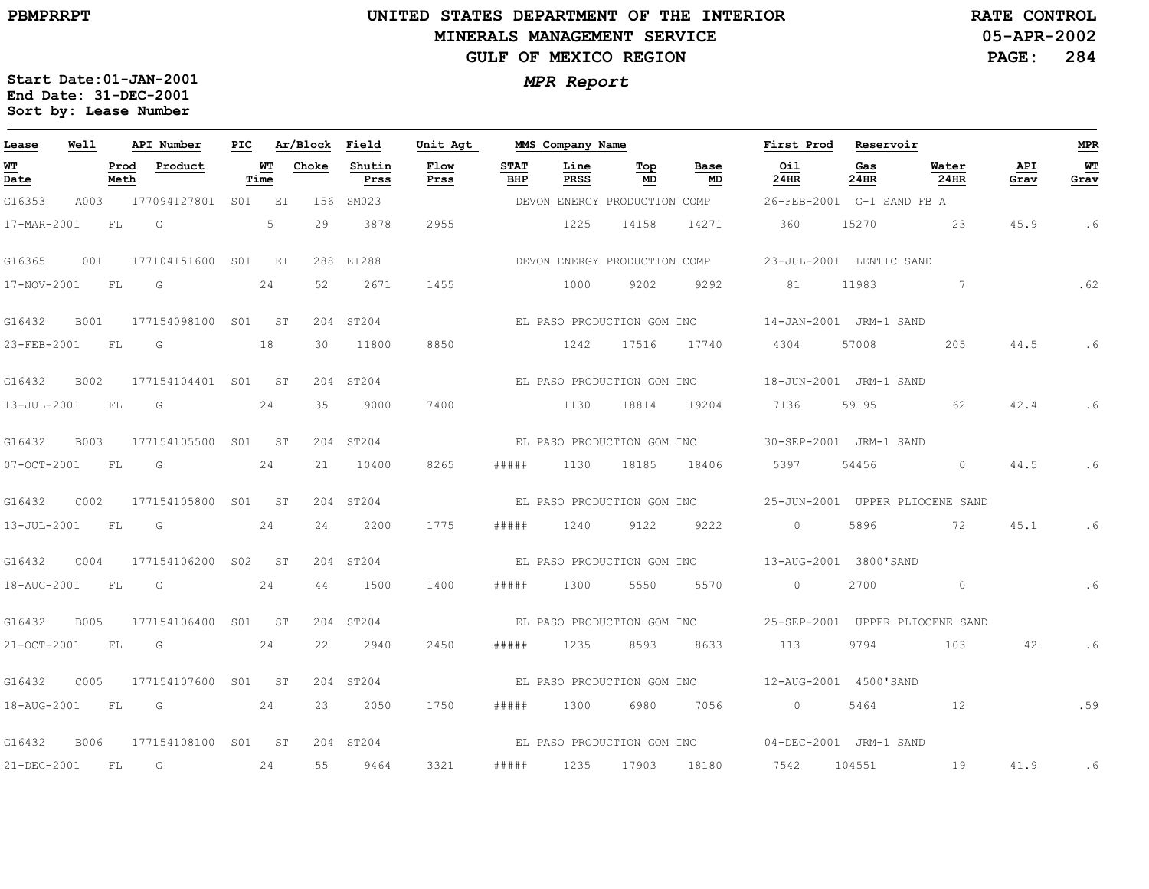### **UNITED STATES DEPARTMENT OF THE INTERIOR MINERALS MANAGEMENT SERVICEGULF OF MEXICO REGION**

**05-APR-2002PAGE: 284 RATE CONTROL**

| Lease             | Well              |              | API Number          | PIC |            | Ar/Block | Field          | Unit Agt     |                    | MMS Company Name             |           |            | First Prod  | Reservoir                 |                                 |             | MPR        |
|-------------------|-------------------|--------------|---------------------|-----|------------|----------|----------------|--------------|--------------------|------------------------------|-----------|------------|-------------|---------------------------|---------------------------------|-------------|------------|
| WТ<br>Date        |                   | Prod<br>Meth | Product             |     | WT<br>Time | Choke    | Shutin<br>Prss | Flow<br>Prss | <b>STAT</b><br>BHP | Line<br><b>PRSS</b>          | Top<br>MD | Base<br>MD | Oil<br>24HR | Gas<br>24HR               | Water<br>24HR                   | API<br>Grav | WТ<br>Grav |
| G16353            | A003              |              | 177094127801 S01 EI |     |            |          | 156 SM023      |              |                    | DEVON ENERGY PRODUCTION COMP |           |            |             | 26-FEB-2001 G-1 SAND FB A |                                 |             |            |
| 17-MAR-2001       |                   | FL           | G                   |     | 5          | 29       | 3878           | 2955         |                    | 1225                         | 14158     | 14271      | 360         | 15270                     | 23                              | 45.9        | .6         |
| G16365            | 001               |              | 177104151600 S01 EI |     |            |          | 288 EI288      |              |                    | DEVON ENERGY PRODUCTION COMP |           |            |             | 23-JUL-2001 LENTIC SAND   |                                 |             |            |
| 17-NOV-2001       |                   | FL           | G                   |     | 24         | 52       | 2671           | 1455         |                    | 1000                         | 9202      | 9292       | 81          | 11983                     | 7                               |             | .62        |
| G16432            | <b>B001</b>       |              | 177154098100 S01 ST |     |            |          | 204 ST204      |              |                    | EL PASO PRODUCTION GOM INC   |           |            |             | 14-JAN-2001 JRM-1 SAND    |                                 |             |            |
| 23-FEB-2001       |                   | FL           | G                   |     | 18         | 30       | 11800          | 8850         |                    | 1242                         | 17516     | 17740      | 4304        | 57008                     | 205                             | 44.5        | .6         |
| G16432            | B002              |              | 177154104401 S01    |     | ST         |          | 204 ST204      |              |                    | EL PASO PRODUCTION GOM INC   |           |            |             | 18-JUN-2001 JRM-1 SAND    |                                 |             |            |
| 13-JUL-2001       |                   | FL.          | G                   |     | 24         | 35       | 9000           | 7400         |                    | 1130                         | 18814     | 19204      | 7136        | 59195                     | 62                              | 42.4        | .6         |
| G16432            | <b>B003</b>       |              | 177154105500 S01 ST |     |            |          | 204 ST204      |              |                    | EL PASO PRODUCTION GOM INC   |           |            |             | 30-SEP-2001 JRM-1 SAND    |                                 |             |            |
| $07 - OCT - 2001$ |                   | FL           | G                   |     | 24         | 21       | 10400          | 8265         | #####              | 1130                         | 18185     | 18406      | 5397        | 54456                     | $\circ$                         | 44.5        | .6         |
| G16432            | C002              |              | 177154105800 S01 ST |     |            |          | 204 ST204      |              |                    | EL PASO PRODUCTION GOM INC   |           |            |             |                           | 25-JUN-2001 UPPER PLIOCENE SAND |             |            |
| 13-JUL-2001       |                   | FL           | G                   |     | 24         | 2.4      | 2200           | 1775         | # # # # #          | 1240                         | 9122      | 9222       | $\Omega$    | 5896                      | 72                              | 45.1        | .6         |
| G16432            | C <sub>0</sub> 04 |              | 177154106200 S02    |     | - ST       |          | 204 ST204      |              |                    | EL PASO PRODUCTION GOM INC   |           |            |             | 13-AUG-2001 3800'SAND     |                                 |             |            |
| 18-AUG-2001       |                   | FL           | G                   |     | 24         | 44       | 1500           | 1400         | #####              | 1300                         | 5550      | 5570       | $\circ$     | 2700                      | $\circ$                         |             | .6         |
| G16432            | <b>B005</b>       |              | 177154106400        |     | S01 ST     | 204      | ST204          |              |                    | EL PASO PRODUCTION GOM INC   |           |            |             |                           | 25-SEP-2001 UPPER PLIOCENE SAND |             |            |
| 21-OCT-2001       |                   | FL           | G                   |     | 24         | 22       | 2940           | 2450         | #####              | 1235                         | 8593      | 8633       | 113         | 9794                      | 103                             | 42          | .6         |
| G16432            | C005              |              | 177154107600 S01 ST |     |            |          | 204 ST204      |              |                    | EL PASO PRODUCTION GOM INC   |           |            |             | 12-AUG-2001 4500'SAND     |                                 |             |            |
| 18-AUG-2001       |                   | FL           | G                   |     | 24         | 23       | 2050           | 1750         | #####              | 1300                         | 6980      | 7056       | $\circ$     | 5464                      | 12                              |             | .59        |
| G16432            | B006              |              | 177154108100 S01    |     | ST         |          | 204 ST204      |              |                    | EL PASO PRODUCTION GOM INC   |           |            |             | 04-DEC-2001 JRM-1 SAND    |                                 |             |            |
| 21-DEC-2001       |                   | FL           | G                   |     | 24         | 55       | 9464           | 3321         | # # # # #          | 1235                         | 17903     | 18180      | 7542        | 104551                    | 19                              | 41.9        | .6         |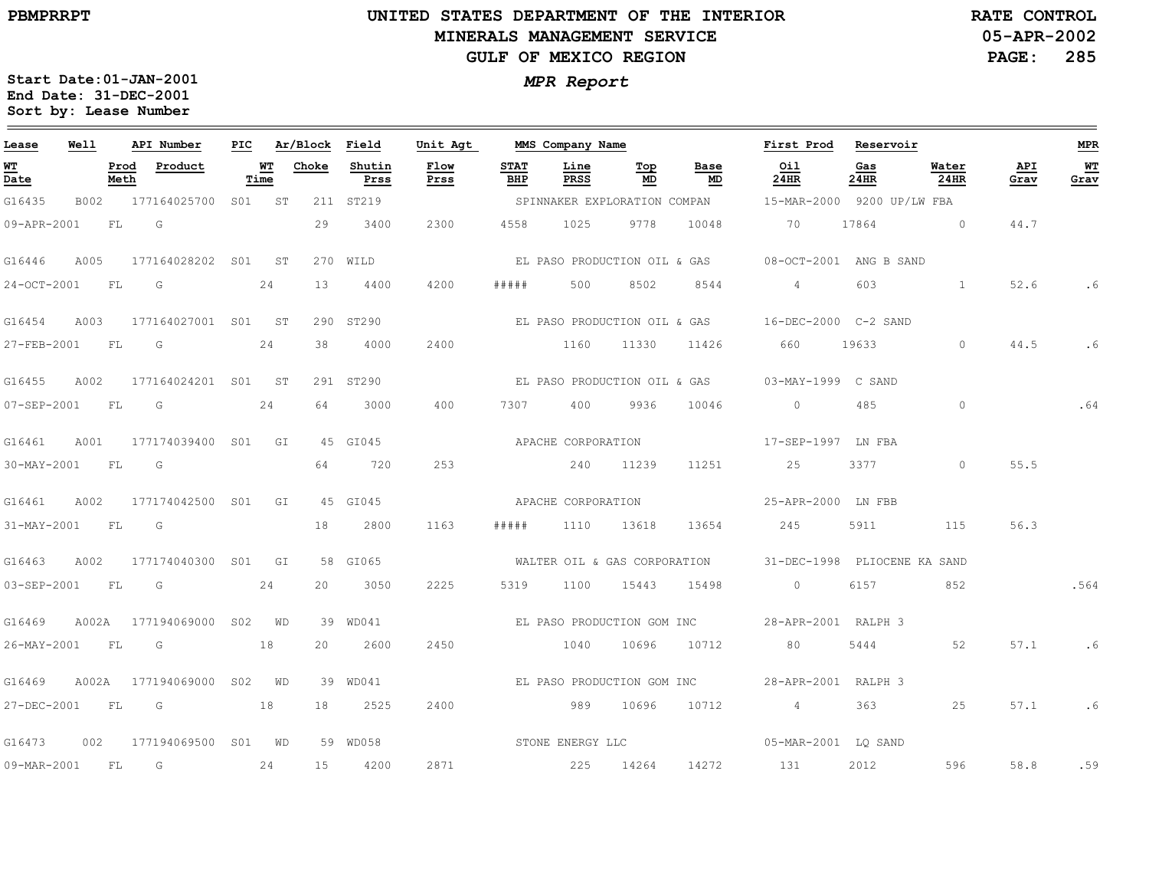### **UNITED STATES DEPARTMENT OF THE INTERIOR MINERALS MANAGEMENT SERVICEGULF OF MEXICO REGION**

**05-APR-2002PAGE: 285 RATE CONTROL**

| Lease          | Well      |              | API Number                           | PIC |            | Ar/Block | Field          | Unit Agt     |                    | MMS Company Name             |           |                              | First Prod                                           | Reservoir   |                |             | <b>MPR</b> |
|----------------|-----------|--------------|--------------------------------------|-----|------------|----------|----------------|--------------|--------------------|------------------------------|-----------|------------------------------|------------------------------------------------------|-------------|----------------|-------------|------------|
| WТ<br>Date     |           | Prod<br>Meth | Product                              |     | WТ<br>Time | Choke    | Shutin<br>Prss | Flow<br>Prss | <b>STAT</b><br>BHP | Line<br>PRSS                 | Top<br>MD | Base<br>MD                   | Oil<br>24HR                                          | Gas<br>24HR | Water<br>24HR  | API<br>Grav | WТ<br>Grav |
| G16435         | B002      |              | 177164025700 S01 ST                  |     |            |          | 211 ST219      |              |                    | SPINNAKER EXPLORATION COMPAN |           |                              | 15-MAR-2000 9200 UP/LW FBA                           |             |                |             |            |
| 09-APR-2001    |           | FL           | G                                    |     |            | 29       | 3400           | 2300         | 4558               | 1025                         | 9778      | 10048                        | 70                                                   | 17864       | $\overline{0}$ | 44.7        |            |
| G16446         | A005      |              | 177164028202 S01 ST                  |     |            |          | 270 WILD       |              |                    |                              |           | EL PASO PRODUCTION OIL & GAS | 08-OCT-2001 ANG B SAND                               |             |                |             |            |
| 24-OCT-2001    |           | FL           | G                                    |     | 24         | 13       | 4400           | 4200         | # # # # #          | 500                          | 8502      | 8544                         | $4\overline{ }$                                      | 603         | <sup>1</sup>   | 52.6        | . 6        |
| G16454         | A003      |              | 177164027001 S01 ST                  |     |            |          | 290 ST290      |              |                    |                              |           |                              | EL PASO PRODUCTION OIL & GAS 16-DEC-2000 C-2 SAND    |             |                |             |            |
| 27-FEB-2001    | <b>FL</b> |              | G                                    |     | 24         | 38       | 4000           | 2400         |                    | 1160                         | 11330     | 11426                        | 660                                                  | 19633       | $\circ$        | 44.5        | . 6        |
| G16455         | A002      |              | 177164024201 S01 ST                  |     |            |          | 291 ST290      |              |                    |                              |           | EL PASO PRODUCTION OIL & GAS | 03-MAY-1999 C SAND                                   |             |                |             |            |
| 07-SEP-2001    | FL        |              | G                                    |     | 24         | 64       | 3000           | 400          | 7307               | 400                          | 9936      | 10046                        | $\Omega$                                             | 485         | $\circ$        |             | .64        |
| G16461         | A001      |              | 177174039400 S01 GI                  |     |            |          | 45 GI045       |              |                    | APACHE CORPORATION           |           |                              | 17-SEP-1997 LN FBA                                   |             |                |             |            |
| 30-MAY-2001    | <b>FL</b> |              | G                                    |     |            | 64       | 720            | 253          |                    | 240                          | 11239     | 11251                        | 25                                                   | 3377        | $\circ$        | 55.5        |            |
| G16461         | A002      |              | 177174042500 S01                     |     | GI         |          | 45 GI045       |              |                    | APACHE CORPORATION           |           |                              | 25-APR-2000 LN FBB                                   |             |                |             |            |
| 31-MAY-2001    | FL        |              | G G                                  |     |            | 18       | 2800           | 1163         | #####              | 1110                         | 13618     | 13654                        | 245                                                  | 5911        | 115            | 56.3        |            |
| G16463         | A002      |              | 177174040300 S01 GI                  |     |            |          | 58 GI065       |              |                    | WALTER OIL & GAS CORPORATION |           |                              | 31-DEC-1998 PLIOCENE KA SAND                         |             |                |             |            |
| 03-SEP-2001    |           | <b>FL</b>    | $\overline{G}$                       |     | 24         | 20       | 3050           | 2225         | 5319               | 1100                         | 15443     | 15498                        | $\sim$ 0                                             | 6157        | 852            |             | .564       |
| G16469         | A002A     |              | 177194069000 S02 WD                  |     |            |          | 39 WD041       |              |                    |                              |           |                              | EL PASO PRODUCTION GOM INC $28 - APR - 2001$ RALPH 3 |             |                |             |            |
| 26-MAY-2001    | <b>FL</b> |              | G                                    |     | 18         | 20       | 2600           | 2450         |                    | 1040                         | 10696     | 10712                        | 80                                                   | 5444        | 52             | 57.1        | .6         |
| G16469         |           |              | A002A 177194069000 S02 WD            |     |            |          | 39 WD041       |              |                    | EL PASO PRODUCTION GOM INC   |           |                              | 28-APR-2001 RALPH 3                                  |             |                |             |            |
| 27-DEC-2001 FL |           |              | $\overline{\mathsf{G}}$<br>$\sim$ 18 |     |            | 18       | 2525           | 2400         |                    | 589 989                      | 10696     | 10712                        | $4\overline{ }$                                      | 363         | 25             | 57.1        | . 6        |
| G16473         | 002       |              | 177194069500 S01 WD                  |     |            |          | 59 WD058       |              |                    | STONE ENERGY LLC             |           |                              | 05-MAR-2001 LQ SAND                                  |             |                |             |            |
| 09-MAR-2001    | - FL      |              | G                                    |     | 24         | 15       | 4200           | 2871         |                    | 225                          | 14264     | 14272                        | 131                                                  | 2012        | 596            | 58.8        | .59        |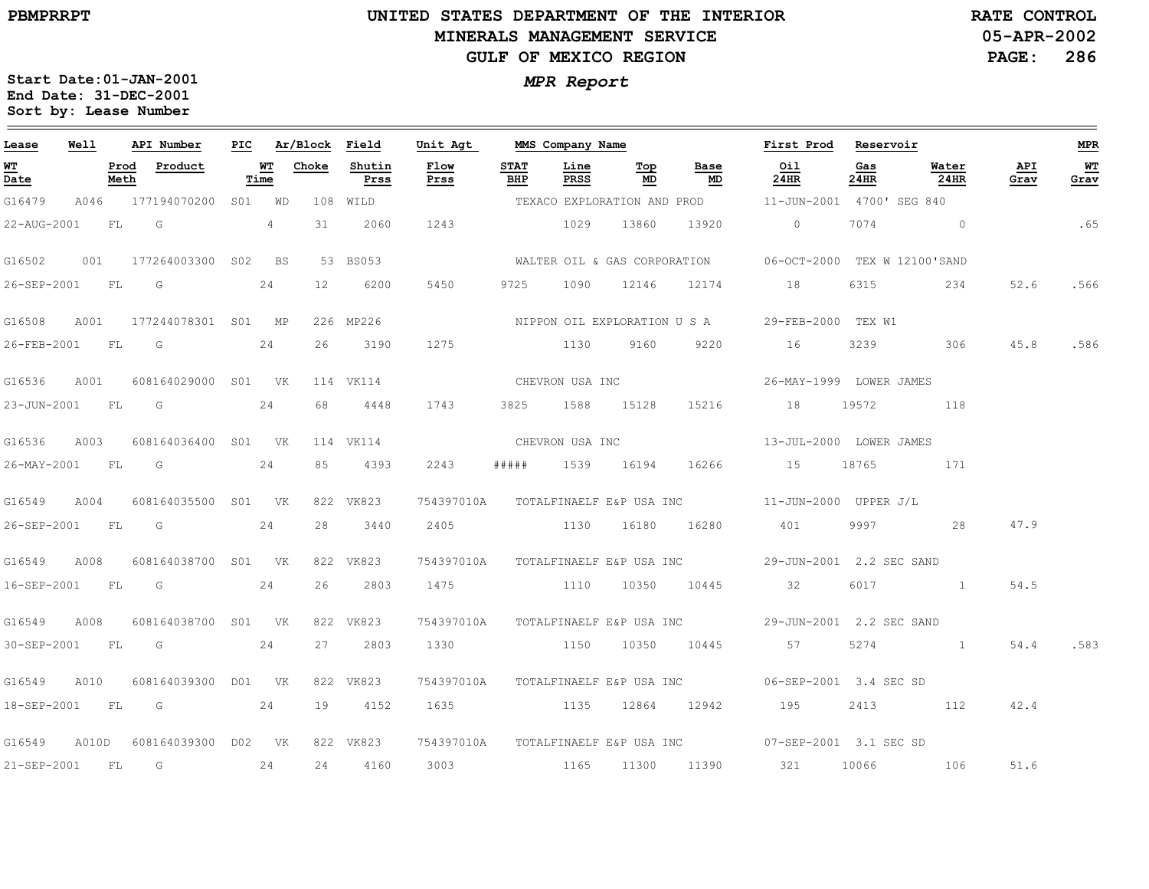### **UNITED STATES DEPARTMENT OF THE INTERIOR MINERALS MANAGEMENT SERVICEGULF OF MEXICO REGION**

**05-APR-2002PAGE: 286 RATE CONTROL**

| Lease            | Well  |              | API Number          | PIC |             | Ar/Block        | Field          | Unit Agt         |                    | MMS Company Name             |                  |                                     | First Prod                                                   | Reservoir   |               |             | MPR                    |
|------------------|-------|--------------|---------------------|-----|-------------|-----------------|----------------|------------------|--------------------|------------------------------|------------------|-------------------------------------|--------------------------------------------------------------|-------------|---------------|-------------|------------------------|
| WT<br>Date       |       | Prod<br>Meth | Product             |     | WТ<br>Time  | Choke           | Shutin<br>Prss | Flow<br>Prss     | <b>STAT</b><br>BHP | Line<br>PRSS                 | Top<br>MD        | Base<br>MD                          | Oil<br>24HR                                                  | Gas<br>24HR | Water<br>24HR | API<br>Grav | W <sub>T</sub><br>Grav |
| G16479           | A046  |              | 177194070200 SO1 WD |     |             |                 | 108 WILD       |                  |                    |                              |                  | TEXACO EXPLORATION AND PROD         | 11-JUN-2001 4700' SEG 840                                    |             |               |             |                        |
| 22-AUG-2001      |       | FL           | G                   |     | $4^{\circ}$ | 31              | 2060           | 1243             |                    | 1029                         | 13860            | 13920                               | $\circ$                                                      | 7074        | $\sim$ 0      |             | .65                    |
| G16502           | 001   |              | 177264003300 S02 BS |     |             |                 | 53 BS053       |                  |                    |                              |                  |                                     | WALTER OIL & GAS CORPORATION 06-OCT-2000 TEX W 12100'SAND    |             |               |             |                        |
| 26-SEP-2001      |       | FL           | G                   |     | 24          | 12 <sup>°</sup> | 6200           | 5450             | 9725               | 1090                         | 12146            | 12174                               | 18                                                           | 6315        | 234           | 52.6        | .566                   |
| G16508           | A001  |              | 177244078301 S01 MP |     |             |                 | 226 MP226      |                  |                    | NIPPON OIL EXPLORATION U S A |                  |                                     | 29-FEB-2000 TEX W1                                           |             |               |             |                        |
| 26-FEB-2001 FL G |       |              |                     |     | 24          | 26              | 3190           | 1275             |                    | 1130                         | 9160             | 9220                                | 16                                                           | 3239        | 306           | 45.8        | .586                   |
| G16536           | A001  |              | 608164029000 S01 VK |     |             |                 | 114 VK114      | CHEVRON USA INC  |                    |                              |                  |                                     | 26-MAY-1999 LOWER JAMES                                      |             |               |             |                        |
| 23-JUN-2001      |       | FL           | G                   |     | 24          | 68              | 4448           | 1743             |                    | 3825 1588 15128              |                  | 15216                               | 18                                                           | 19572       | 118           |             |                        |
| G16536           | A003  |              | 608164036400 S01 VK |     |             |                 | 114 VK114      |                  |                    | CHEVRON USA INC              |                  |                                     | 13-JUL-2000 LOWER JAMES                                      |             |               |             |                        |
|                  |       |              | 26-MAY-2001 FL G    |     | 24          | 85              | 4393           | 2243             | # # # # #          |                              | 1539 16194       | 16266                               | 15 18765                                                     |             | 171           |             |                        |
| G16549           | A004  |              | 608164035500 S01 VK |     |             |                 | 822 VK823      |                  |                    |                              |                  |                                     | 754397010A TOTALFINAELF E&P USA INC 11-JUN-2000 UPPER J/L    |             |               |             |                        |
| 26-SEP-2001      |       | FL           | G                   |     | 24          | 28              | 3440           | 2405             |                    |                              | 1130 16180       | 16280                               | 401                                                          | 9997        | 28            | 47.9        |                        |
| G16549           | A008  |              | 608164038700 S01 VK |     |             |                 | 822 VK823      |                  |                    |                              |                  | 754397010A TOTALFINAELF E&P USA INC | 29-JUN-2001 2.2 SEC SAND                                     |             |               |             |                        |
|                  |       |              | 16-SEP-2001 FL G    |     | 24          | 26              | 2803           |                  |                    | 1475 1110 10350 10445        |                  |                                     | 32                                                           |             | 6017 1        | 54.5        |                        |
| G16549           | A008  |              | 608164038700 S01 VK |     |             |                 | 822 VK823      |                  |                    |                              |                  |                                     | 754397010A TOTALFINAELF E&P USA INC 29-JUN-2001 2.2 SEC SAND |             |               |             |                        |
| 30-SEP-2001      |       | <b>FL</b>    | $\overline{G}$      |     | 24          | 27              | 2803           | 1330 7           |                    |                              | 1150 10350 10445 |                                     | 57                                                           | 5274        |               | 54.4        | .583                   |
| G16549           | A010  |              | 608164039300 D01 VK |     |             |                 | 822 VK823      |                  |                    |                              |                  | 754397010A TOTALFINAELF E&P USA INC | 06-SEP-2001 3.4 SEC SD                                       |             |               |             |                        |
|                  |       |              | 18-SEP-2001 FL G 24 |     |             | 19              | 4152           | 1635 12864 12942 |                    |                              |                  |                                     | 195                                                          |             | 2413 112      | 42.4        |                        |
| G16549           | A010D |              | 608164039300 D02 VK |     |             |                 | 822 VK823      |                  |                    |                              |                  |                                     | 754397010A TOTALFINAELF E&P USA INC 07-SEP-2001 3.1 SEC SD   |             |               |             |                        |
| 21-SEP-2001      |       | FL.          | G                   |     | 24          | 24              | 4160           | 3003             |                    |                              | 1165 11300 11390 |                                     | 321                                                          |             | 10066 106     | 51.6        |                        |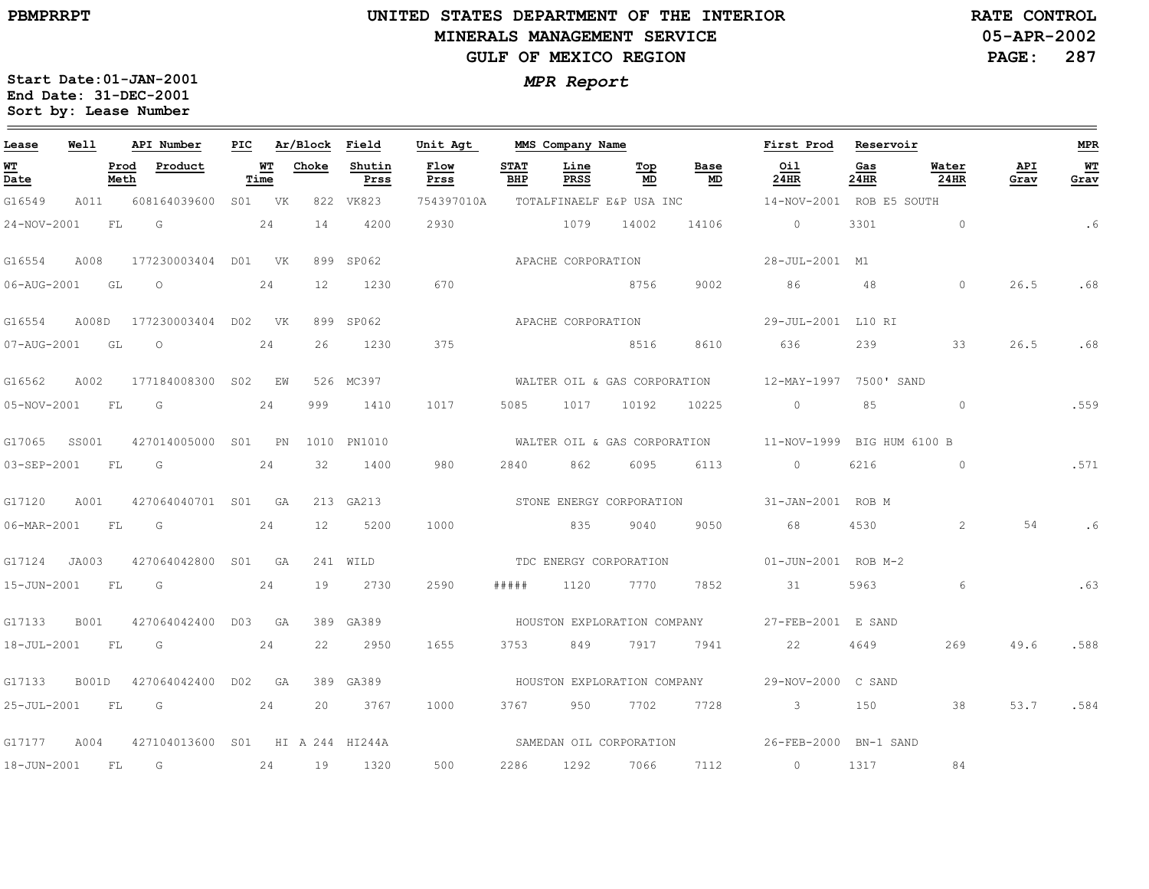**Lease**

 $\qquad \qquad =$ 

# **UNITED STATES DEPARTMENT OF THE INTERIORMINERALS MANAGEMENT SERVICEGULF OF MEXICO REGION**

**MMS Company Name**

**First Prod**

**Reservoir**

**05-APR-2002PAGE: 287 RATE CONTROL**

26.5

**API Grav**

26.5

54

49.6

53.7

**MPR**

 $\sim$ 

**WT Grav**

.6

.68

.68

.559

.571

.6

.63

.588

.584

**Start Date:01-JAN-2001** *MPR Report* **End Date: 31-DEC-2001 Sort by: Lease Number** 

**API Number**

**PIC**

**Ar/Block Field**

**Unit Agt** 

**Well**

| <u>WТ</u><br>Date |             | Prod<br>Meth | Product                                                                                                                                                                                                                       | Time | <u>WT</u> | Choke | Shutin<br>Prss | Flow<br>Prss | <b>STAT</b><br>BHP | Line<br><b>PRSS</b> | Top<br>MD                    | Base<br>MD | Oil<br><b>24HR</b>                             | Gas<br>24HR    | Water<br>24HR  |
|-------------------|-------------|--------------|-------------------------------------------------------------------------------------------------------------------------------------------------------------------------------------------------------------------------------|------|-----------|-------|----------------|--------------|--------------------|---------------------|------------------------------|------------|------------------------------------------------|----------------|----------------|
| G16549            | A011        |              | 608164039600                                                                                                                                                                                                                  | SO1  | <b>VK</b> | 822   | VK823          | 754397010A   |                    |                     | TOTALFINAELF E&P USA INC     |            | 14-NOV-2001 ROB E5 SOUTH                       |                |                |
| 24-NOV-2001       |             | FL.          | G                                                                                                                                                                                                                             |      | 24        | 14    | 4200           | 2930         |                    | 1079                | 14002                        | 14106      | $\Omega$                                       | 3301           | $\circ$        |
| G16554            | A008        |              | 177230003404                                                                                                                                                                                                                  | DO1  | VK        | 899   | SP062          |              |                    | APACHE CORPORATION  |                              |            | 28-JUL-2001 M1                                 |                |                |
| 06-AUG-2001       |             | GL           | $\circ$                                                                                                                                                                                                                       |      | 24        | 12    | 1230           | 670          |                    |                     | 8756                         | 9002       | 86                                             | 48             | $\circ$        |
| G16554            | A008D       |              | 177230003404 D02 VK                                                                                                                                                                                                           |      |           | 899   | SP062          |              |                    | APACHE CORPORATION  |                              |            | 29-JUL-2001 L10 RI                             |                |                |
| 07-AUG-2001       |             | GL           | $\circ$                                                                                                                                                                                                                       |      | 24        | 26    | 1230           | 375          |                    |                     | 8516                         | 8610       | 636                                            | 239            | 33             |
| G16562            | A002        |              | 177184008300                                                                                                                                                                                                                  | S02  | F.W       |       | 526 MC397      |              |                    |                     | WALTER OIL & GAS CORPORATION |            | 12-MAY-1997                                    | 7500' SAND     |                |
| 05-NOV-2001       |             | FL.          | G                                                                                                                                                                                                                             |      | 24        | 999   | 1410           | 1017         | 5085               | 1017                | 10192                        | 10225      | $\circ$                                        | 85             | $\circ$        |
| G17065            | SS001       |              | 427014005000                                                                                                                                                                                                                  | S01  | PN        | 1010  | PN1010         |              |                    |                     | WALTER OIL & GAS CORPORATION |            | 11-NOV-1999                                    | BIG HUM 6100 B |                |
| 03-SEP-2001       |             | FL           | G                                                                                                                                                                                                                             |      | 24        | 32    | 1400           | 980          | 2840               | 862                 | 6095                         | 6113       | $\circ$                                        | 6216           | $\circ$        |
| G17120            | A001        |              | 427064040701 S01                                                                                                                                                                                                              |      | GA        |       | 213 GA213      |              |                    |                     |                              |            | STONE ENERGY CORPORATION 51-JAN-2001 ROB M     |                |                |
| 06-MAR-2001       |             | FL           | G                                                                                                                                                                                                                             |      | 24        | 12    | 5200           | 1000         |                    | 835                 | 9040                         | 9050       | 68                                             | 4530           | $\overline{c}$ |
| G17124            | JA003       |              | 427064042800                                                                                                                                                                                                                  | SO1  | GA        |       | 241 WILD       |              |                    |                     | TDC ENERGY CORPORATION       |            | 01-JUN-2001 ROB M-2                            |                |                |
| 15-JUN-2001       |             | FL.          | G                                                                                                                                                                                                                             |      | 24        | 19    | 2730           | 2590         | # # # # #          | 1120                | 7770                         | 7852       | 31                                             | 5963           | 6              |
| G17133            | <b>B001</b> |              | 427064042400                                                                                                                                                                                                                  | DO3  | GA        | 389   | GA389          |              |                    |                     | HOUSTON EXPLORATION COMPANY  |            | 27-FEB-2001 E SAND                             |                |                |
| 18-JUL-2001       |             | FL           | G                                                                                                                                                                                                                             |      | 24        | 22    | 2950           | 1655         | 3753               | 849                 | 7917                         | 7941       | 22                                             | 4649           | 269            |
| G17133            | B001D       |              | 427064042400                                                                                                                                                                                                                  | D02  | GA        | 389   | GA389          |              |                    |                     |                              |            | HOUSTON EXPLORATION COMPANY 29-NOV-2000 C SAND |                |                |
| 25-JUL-2001       |             | FL           | G                                                                                                                                                                                                                             |      | 24        | 20    | 3767           | 1000         | 3767               | 950                 | 7702                         | 7728       | $\mathbf{3}$                                   | 150            | 38             |
| G17177            | A004        |              | 427104013600 S01 HI A 244 HI244A                                                                                                                                                                                              |      |           |       |                |              |                    |                     | SAMEDAN OIL CORPORATION      |            | 26-FEB-2000 BN-1 SAND                          |                |                |
| 18-JUN-2001       |             | FL.          | $G$ and $G$ and $G$ and $G$ and $G$ and $G$ and $G$ and $G$ and $G$ and $G$ and $G$ and $G$ and $G$ and $G$ and $G$ and $G$ and $G$ and $G$ and $G$ and $G$ and $G$ and $G$ and $G$ and $G$ and $G$ and $G$ and $G$ and $G$ a |      | 24        | 19    | 1320           | 500          | 2286               | 1292                | 7066                         | 7112       | $\bigcirc$                                     | 1317           | 84             |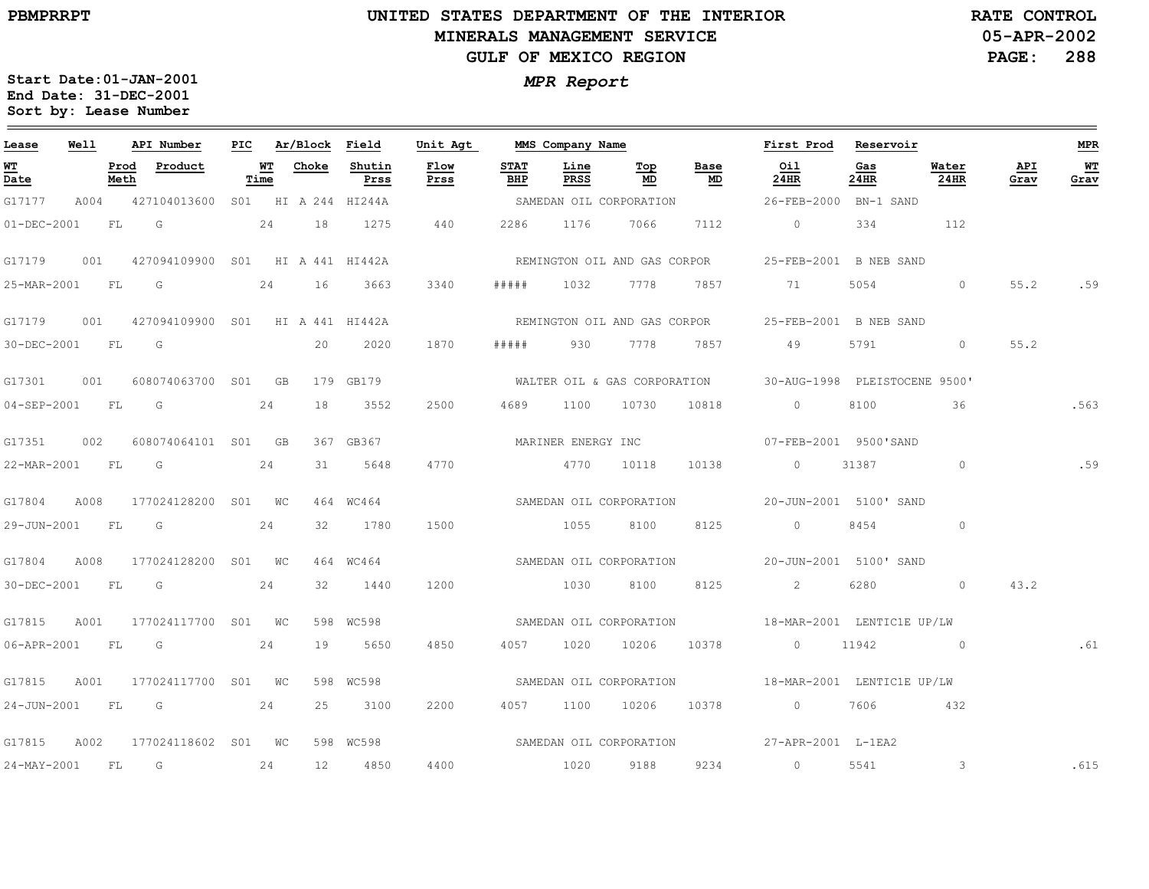### **UNITED STATES DEPARTMENT OF THE INTERIOR MINERALS MANAGEMENT SERVICEGULF OF MEXICO REGION**

**05-APR-2002PAGE: 288 RATE CONTROL**

| Lease             | Well |              | API Number                       |            | PIC Ar/Block Field |                | Unit Agt     |                    | MMS Company Name   |                              |                              | First Prod                                                 | Reservoir   |               |             | <b>MPR</b> |
|-------------------|------|--------------|----------------------------------|------------|--------------------|----------------|--------------|--------------------|--------------------|------------------------------|------------------------------|------------------------------------------------------------|-------------|---------------|-------------|------------|
| WT<br>Date        |      | Prod<br>Meth | Product                          | WT<br>Time | Choke              | Shutin<br>Prss | Flow<br>Prss | <b>STAT</b><br>BHP | Line<br>PRSS       | Top<br>MD                    | Base<br>MD                   | Oil<br>24HR                                                | Gas<br>24HR | Water<br>24HR | API<br>Grav | WТ<br>Grav |
| G17177            | A004 |              | 427104013600 S01 HI A 244 HI244A |            |                    |                |              |                    |                    | SAMEDAN OIL CORPORATION      |                              | 26-FEB-2000 BN-1 SAND                                      |             |               |             |            |
| $01 - DEC - 2001$ |      | FL           | G                                |            |                    | 24 18 1275     | 440          | 2286               |                    | 1176 7066                    | 7112                         | $\overline{0}$                                             | 334         | 112           |             |            |
| G17179            | 001  |              | 427094109900 S01 HI A 441 HI442A |            |                    |                |              |                    |                    | REMINGTON OIL AND GAS CORPOR |                              | 25-FEB-2001 B NEB SAND                                     |             |               |             |            |
| 25-MAR-2001 FL    |      |              | $\overline{\mathsf{G}}$          | 24         | 16                 | 3663           | 3340         | # # # # #          | 1032               | 7778                         | 7857                         | 71                                                         | 5054        | $\circ$       | 55.2        | .59        |
| G17179            | 001  |              | 427094109900 S01 HI A 441 HI442A |            |                    |                |              |                    |                    |                              | REMINGTON OIL AND GAS CORPOR | 25-FEB-2001 B NEB SAND                                     |             |               |             |            |
| 30-DEC-2001 FL G  |      |              |                                  |            | 20                 | 2020           | 1870         | # # # # #          | 930 7778           |                              | 7857                         | 49                                                         | 5791        | $\circ$       | 55.2        |            |
| G17301            | 001  |              | 608074063700 S01 GB              |            |                    | 179 GB179      |              |                    |                    |                              |                              | WALTER OIL & GAS CORPORATION 30-AUG-1998 PLEISTOCENE 9500' |             |               |             |            |
| 04-SEP-2001 FL    |      |              | G                                | 24         | 18                 | 3552           | 2500         | 4689               | 1100               | 10730                        | 10818                        | $\circ$                                                    | 8100        | 36            |             | .563       |
| G17351            | 002  |              | 608074064101 S01 GB              |            |                    | 367 GB367      |              |                    | MARINER ENERGY INC |                              |                              | 07-FEB-2001 9500'SAND                                      |             |               |             |            |
| 22-MAR-2001 FL    |      |              | $\overline{G}$                   | 24         | 31                 | 5648           | 4770         |                    | 4770 10118         |                              | 10138                        | $0 \qquad \qquad$                                          | 31387       | $\circ$       |             | .59        |
| G17804            | A008 |              | 177024128200 S01 WC              |            |                    | 464 WC464      |              |                    |                    | SAMEDAN OIL CORPORATION      |                              | 20-JUN-2001 5100' SAND                                     |             |               |             |            |
| 29-JUN-2001       |      | <b>FL</b>    | G                                | 24         | 32                 | 1780           | 1500         |                    | 1055               | 8100                         | 8125                         | $\circ$                                                    | 8454        | $\circ$       |             |            |
| G17804            | A008 |              | 177024128200 S01 WC              |            |                    | 464 WC464      |              |                    |                    | SAMEDAN OIL CORPORATION      |                              | 20-JUN-2001 5100' SAND                                     |             |               |             |            |
| 30-DEC-2001 FL    |      |              | G                                | 24         | 32                 | 1440           | 1200         |                    | 1030               | 8100                         | 8125                         | $\overline{2}$                                             | 6280        | $\circ$       | 43.2        |            |
| G17815            | A001 |              | 177024117700 S01 WC              |            |                    | 598 WC598      |              |                    |                    | SAMEDAN OIL CORPORATION      |                              | 18-MAR-2001 LENTIC1E UP/LW                                 |             |               |             |            |
| 06-APR-2001       |      | FL           | G                                | 24         | 19                 | 5650           | 4850         | 4057               |                    | 1020 10206                   | 10378                        | $\sim$ 0                                                   | 11942       | $\sim$ 0      |             | .61        |
| G17815            | A001 |              | 177024117700 S01 WC              |            |                    | 598 WC598      |              |                    |                    | SAMEDAN OIL CORPORATION      |                              | 18-MAR-2001 LENTIC1E UP/LW                                 |             |               |             |            |
| 24-JUN-2001       |      | FL           | $\overline{\mathbb{G}}$          | 24         | 25                 | 3100           | 2200         |                    | 4057 1100 10206    |                              | 10378                        | $\overline{0}$                                             | 7606        | 432           |             |            |
| G17815            | A002 |              | 177024118602 S01 WC              |            |                    | 598 WC598      |              |                    |                    |                              |                              | SAMEDAN OIL CORPORATION 57-APR-2001 L-1EA2                 |             |               |             |            |
| $24 - MAX - 2001$ |      | <b>FL</b>    | G                                | 24         | 12 <sup>°</sup>    | 4850           | 4400         |                    | 1020               | 9188                         | 9234                         | $\overline{0}$                                             | 5541        | $\mathcal{S}$ |             | .615       |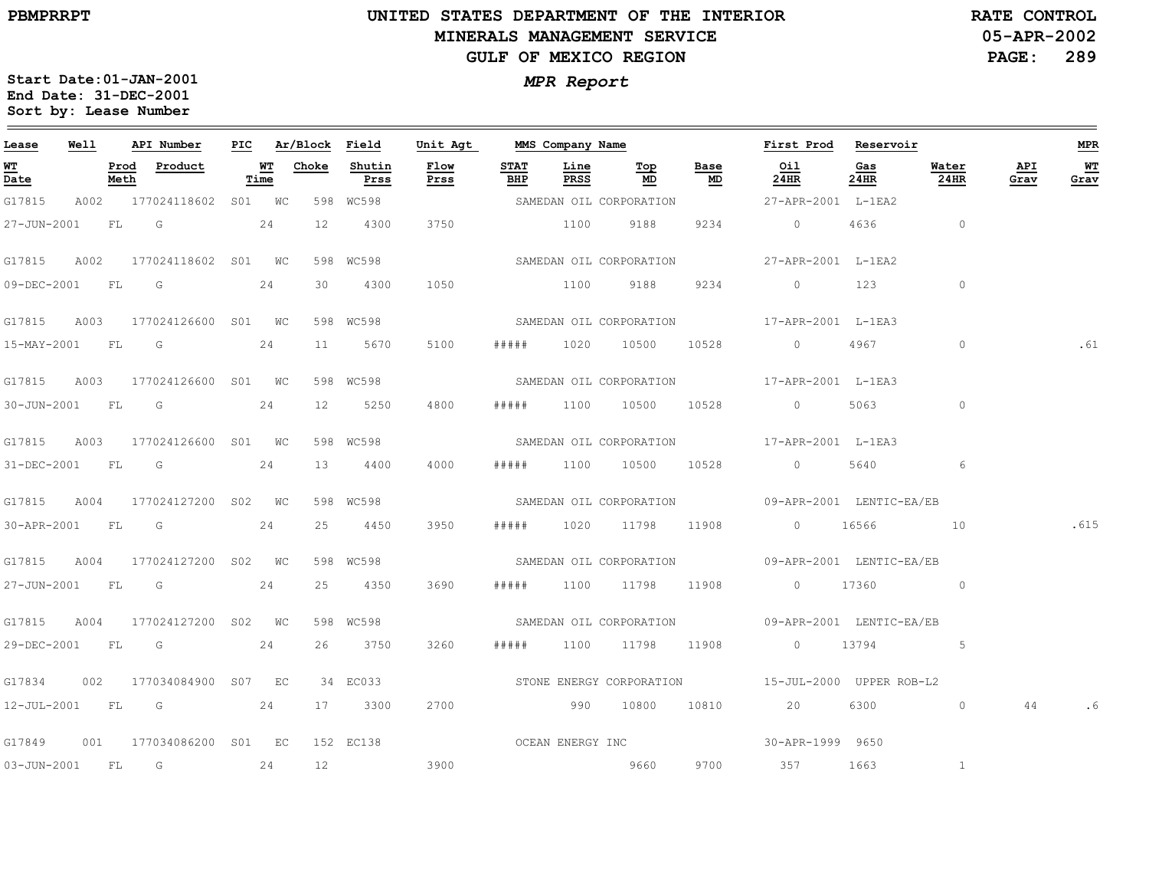### **UNITED STATES DEPARTMENT OF THE INTERIOR MINERALS MANAGEMENT SERVICEGULF OF MEXICO REGION**

**05-APR-2002PAGE: 289 RATE CONTROL**

| Lease            | Well |      | API Number                      |      | PIC Ar/Block Field |                | Unit Agt     |                    |              | MMS Company Name        |            | First Prod Reservoir                                                                                                                                                                                                                                                                          |             |                                   |             | MPR        |
|------------------|------|------|---------------------------------|------|--------------------|----------------|--------------|--------------------|--------------|-------------------------|------------|-----------------------------------------------------------------------------------------------------------------------------------------------------------------------------------------------------------------------------------------------------------------------------------------------|-------------|-----------------------------------|-------------|------------|
| W'I'<br>Date     |      | Meth | Prod Product                    | Time | <b>WT</b> Choke    | Shutin<br>Prss | Flow<br>Prss | <b>STAT</b><br>BHP | Line<br>PRSS | Top<br>MD               | Base<br>MD | Oil<br>24HR                                                                                                                                                                                                                                                                                   | Gas<br>24HR | Water<br>24HR                     | API<br>Grav | WT<br>Grav |
| G17815           |      |      | A002 177024118602 S01 WC        |      | 598 WC598          |                |              |                    |              | SAMEDAN OIL CORPORATION |            | 27-APR-2001 L-1EA2                                                                                                                                                                                                                                                                            |             |                                   |             |            |
|                  |      |      | 27-JUN-2001 FL G 24             |      | 12                 | 4300           | 3750         |                    |              | 1100 9188               | 9234       | 0 4636                                                                                                                                                                                                                                                                                        |             | $\overline{0}$                    |             |            |
| G17815           |      |      | A002 177024118602 S01 WC        |      |                    | 598 WC598      |              |                    |              |                         |            | SAMEDAN OIL CORPORATION 27-APR-2001 L-1EA2                                                                                                                                                                                                                                                    |             |                                   |             |            |
| 09-DEC-2001 FL G |      |      |                                 | 24   | 30                 | 4300           | 1050         |                    |              | 1100 9188               | 9234       | $\begin{array}{ccc} & 0 & 123 \end{array}$                                                                                                                                                                                                                                                    |             | $\sim$ 0                          |             |            |
|                  |      |      | G17815 A003 177024126600 S01 WC |      |                    | 598 WC598      |              |                    |              |                         |            | SAMEDAN OIL CORPORATION 17-APR-2001 L-1EA3                                                                                                                                                                                                                                                    |             |                                   |             |            |
|                  |      |      | 15-MAY-2001 FL G 24             |      | 11                 | 5670           | 5100         | # # # # #          |              |                         |            | 1020 10500 10528 0 4967                                                                                                                                                                                                                                                                       |             | $\circ$                           |             | .61        |
| G17815           |      |      | A003 177024126600 S01 WC        |      |                    | 598 WC598      |              |                    |              |                         |            | SAMEDAN OIL CORPORATION 17-APR-2001 L-1EA3                                                                                                                                                                                                                                                    |             |                                   |             |            |
| 30-JUN-2001 FL G |      |      |                                 | 24   | 12                 | 5250           | 4800         | #####              |              | 1100 10500 10528        |            | $\sim$ 0 $\sim$ 0 $\sim$ 0 $\sim$ 0 $\sim$ 0 $\sim$ 0 $\sim$ 0 $\sim$ 0 $\sim$ 0 $\sim$ 0 $\sim$ 0 $\sim$ 0 $\sim$ 0 $\sim$ 0 $\sim$ 0 $\sim$ 0 $\sim$ 0 $\sim$ 0 $\sim$ 0 $\sim$ 0 $\sim$ 0 $\sim$ 0 $\sim$ 0 $\sim$ 0 $\sim$ 0 $\sim$ 0 $\sim$ 0 $\sim$ 0 $\sim$ 0 $\sim$ 0 $\sim$ 0 $\sim$ | 5063        | $\sim$ 0 $\sim$ 0 $\sim$ 0 $\sim$ |             |            |
|                  |      |      | G17815 A003 177024126600 S01 WC |      |                    | 598 WC598      |              |                    |              |                         |            | SAMEDAN OIL CORPORATION 17-APR-2001 L-1EA3                                                                                                                                                                                                                                                    |             |                                   |             |            |
|                  |      |      | 31-DEC-2001 FL G 24             |      |                    | 13 4400        | 4000         | #####              |              |                         |            | 1100 10500 10528 0 5640 6                                                                                                                                                                                                                                                                     |             |                                   |             |            |
|                  |      |      | G17815 A004 177024127200 S02 WC |      |                    | 598 WC598      |              |                    |              |                         |            | SAMEDAN OIL CORPORATION 09-APR-2001 LENTIC-EA/EB                                                                                                                                                                                                                                              |             |                                   |             |            |
| 30-APR-2001 FL G |      |      |                                 | 24   |                    | 25 4450        | 3950         |                    |              |                         |            | ##### 1020 11798 11908 0 16566 10                                                                                                                                                                                                                                                             |             |                                   |             | .615       |
| G17815           |      |      | A004 177024127200 S02 WC        |      |                    | 598 WC598      |              |                    |              |                         |            | SAMEDAN OIL CORPORATION 09-APR-2001 LENTIC-EA/EB                                                                                                                                                                                                                                              |             |                                   |             |            |
|                  |      |      | 27-JUN-2001 FL G 24             |      |                    | 25 4350        | 3690         | # # # # #          |              |                         |            | 1100 11798 11908 0 17360 0 0                                                                                                                                                                                                                                                                  |             |                                   |             |            |
| G17815           |      |      | A004 177024127200 S02 WC        |      |                    | 598 WC598      |              |                    |              |                         |            |                                                                                                                                                                                                                                                                                               |             |                                   |             |            |
|                  |      |      | 29-DEC-2001 FL G                | 24   |                    | 26 3750        | 3260         |                    |              | ##### 1100 11798 11908  |            | 0 $13794$ 5                                                                                                                                                                                                                                                                                   |             |                                   |             |            |
| G17834           |      |      | 002 177034084900 S07 EC         |      |                    | 34 EC033       |              |                    |              |                         |            | STONE ENERGY CORPORATION 5-JUL-2000 UPPER ROB-L2                                                                                                                                                                                                                                              |             |                                   |             |            |
|                  |      |      | 12-JUL-2001 FL G 24             |      |                    | 17 3300        | 2700         |                    |              |                         |            | 990 10800 10810 20 6300 0                                                                                                                                                                                                                                                                     |             |                                   | 44          |            |
|                  |      |      | G17849 001 177034086200 S01 EC  |      |                    |                |              |                    |              |                         |            |                                                                                                                                                                                                                                                                                               |             |                                   |             |            |
|                  |      |      | 03-JUN-2001 FL G 24             |      | 12                 | 3900           |              |                    |              | 9660                    | 9700       | 357 1663                                                                                                                                                                                                                                                                                      |             | $\mathbf{1}$                      |             |            |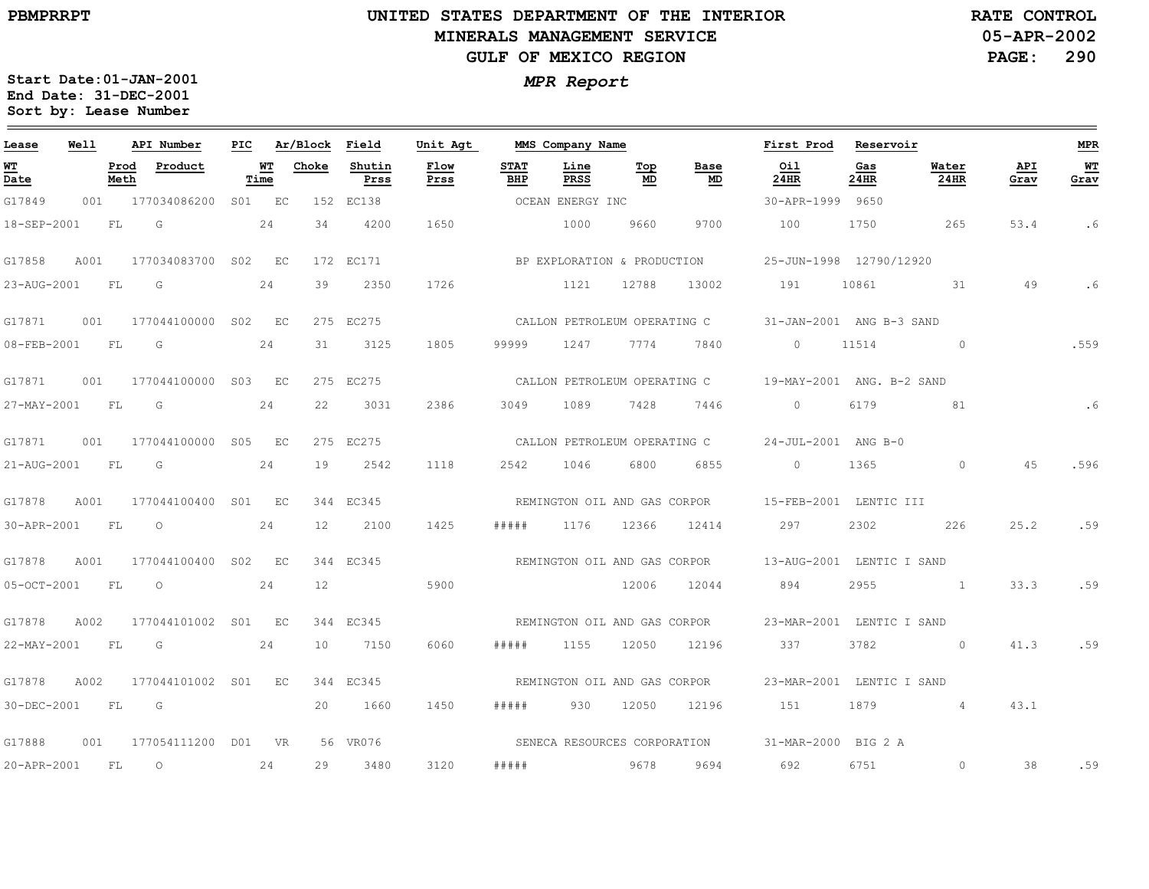### **UNITED STATES DEPARTMENT OF THE INTERIOR MINERALS MANAGEMENT SERVICEGULF OF MEXICO REGION**

**05-APR-2002PAGE: 290 RATE CONTROL**

| Lease       | Well      |              | API Number          | PIC |            | Ar/Block | Field          | Unit Agt     |                    | MMS Company Name |                              |                              | First Prod                | Reservoir   |                |             | <b>MPR</b> |
|-------------|-----------|--------------|---------------------|-----|------------|----------|----------------|--------------|--------------------|------------------|------------------------------|------------------------------|---------------------------|-------------|----------------|-------------|------------|
| WT<br>Date  |           | Prod<br>Meth | Product             |     | WТ<br>Time | Choke    | Shutin<br>Prss | Flow<br>Prss | <b>STAT</b><br>BHP | Line<br>PRSS     | Тор<br>MD                    | Base<br>MD                   | Oil<br>24HR               | Gas<br>24HR | Water<br>24HR  | API<br>Grav | WT<br>Grav |
| G17849      | 001       |              | 177034086200        |     | S01 EC     |          | 152 EC138      |              |                    | OCEAN ENERGY INC |                              |                              | 30-APR-1999 9650          |             |                |             |            |
| 18-SEP-2001 |           | FL           | G                   |     | 24         | 34       | 4200           | 1650         |                    | 1000             | 9660                         | 9700                         | 100                       | 1750        | 265            | 53.4        | . 6        |
| G17858      | A001      |              | 177034083700 S02    |     | EC         |          | 172 EC171      |              |                    |                  | BP EXPLORATION & PRODUCTION  |                              | 25-JUN-1998 12790/12920   |             |                |             |            |
| 23-AUG-2001 |           | FL           | G                   |     | 24         | 39       | 2350           | 1726         |                    | 1121             | 12788                        | 13002                        | 191                       | 10861       | 31             | 49          | .6         |
| G17871      | 001       |              | 177044100000        | S02 | EC         |          | 275 EC275      |              |                    |                  | CALLON PETROLEUM OPERATING C |                              | 31-JAN-2001 ANG B-3 SAND  |             |                |             |            |
| 08-FEB-2001 | <b>FL</b> |              | G                   |     | 24         | 31       | 3125           | 1805         | 99999              | 1247             | 7774                         | 7840                         | $\Omega$                  | 11514       | $\circ$        |             | .559       |
| G17871      | 001       |              | 177044100000        | S03 | EC         |          | 275 EC275      |              |                    |                  | CALLON PETROLEUM OPERATING C |                              | 19-MAY-2001 ANG. B-2 SAND |             |                |             |            |
| 27-MAY-2001 |           | FL           | G                   |     | 24         | 22       | 3031           | 2386         | 3049               | 1089             | 7428                         | 7446                         | $\circ$                   | 6179        | 81             |             | .6         |
| G17871      | 001       |              | 177044100000        |     | S05 EC     |          | 275 EC275      |              |                    |                  | CALLON PETROLEUM OPERATING C |                              | 24-JUL-2001 ANG B-0       |             |                |             |            |
| 21-AUG-2001 | FL.       |              | G                   |     | 24         | 19       | 2542           | 1118         | 2542               | 1046             | 6800                         | 6855                         | $\Omega$                  | 1365        | $\Omega$       | 4.5         | .596       |
| G17878      | A001      |              | 177044100400 S01 EC |     |            |          | 344 EC345      |              |                    |                  | REMINGTON OIL AND GAS CORPOR |                              | 15-FEB-2001 LENTIC III    |             |                |             |            |
| 30-APR-2001 |           | FL           | $\circ$             |     | 24         | 12       | 2100           | 1425         | # # # # #          | 1176             | 12366                        | 12414                        | 297                       | 2302        | 226            | 25.2        | .59        |
| G17878      | A001      |              | 177044100400        | S02 | EC         |          | 344 EC345      |              |                    |                  | REMINGTON OIL AND GAS CORPOR |                              | 13-AUG-2001 LENTIC I SAND |             |                |             |            |
| 05-OCT-2001 |           | FL.          | $\circ$             |     | 24         | 12       |                | 5900         |                    |                  | 12006                        | 12044                        | 894                       | 2955        |                | 33.3        | .59        |
| G17878      | A002      |              | 177044101002 S01 EC |     |            |          | 344 EC345      |              |                    |                  |                              | REMINGTON OIL AND GAS CORPOR | 23-MAR-2001 LENTIC I SAND |             |                |             |            |
| 22-MAY-2001 | <b>FL</b> |              | G                   |     | 24         | 10       | 7150           | 6060         | # # # # #          | 1155             | 12050                        | 12196                        | 337                       | 3782        | $\Omega$       | 41.3        | .59        |
| G17878      | A002      |              | 177044101002 S01    |     | EC         |          | 344 EC345      |              |                    |                  | REMINGTON OIL AND GAS CORPOR |                              | 23-MAR-2001 LENTIC I SAND |             |                |             |            |
| 30-DEC-2001 | <b>FL</b> |              | G                   |     |            | 20       | 1660           | 1450         | # # # # #          | 930              | 12050                        | 12196                        | 151                       | 1879        | $\overline{4}$ | 43.1        |            |
| G17888      | 001       |              | 177054111200 D01 VR |     |            |          | 56 VR076       |              |                    |                  |                              | SENECA RESOURCES CORPORATION | 31-MAR-2000 BIG 2 A       |             |                |             |            |
| 20-APR-2001 |           | FL.          | $\circ$             |     | 24         | 29       | 3480           | 3120         | #####              |                  | 9678                         | 9694                         | 692                       | 6751        | $\circ$        | 38          | .59        |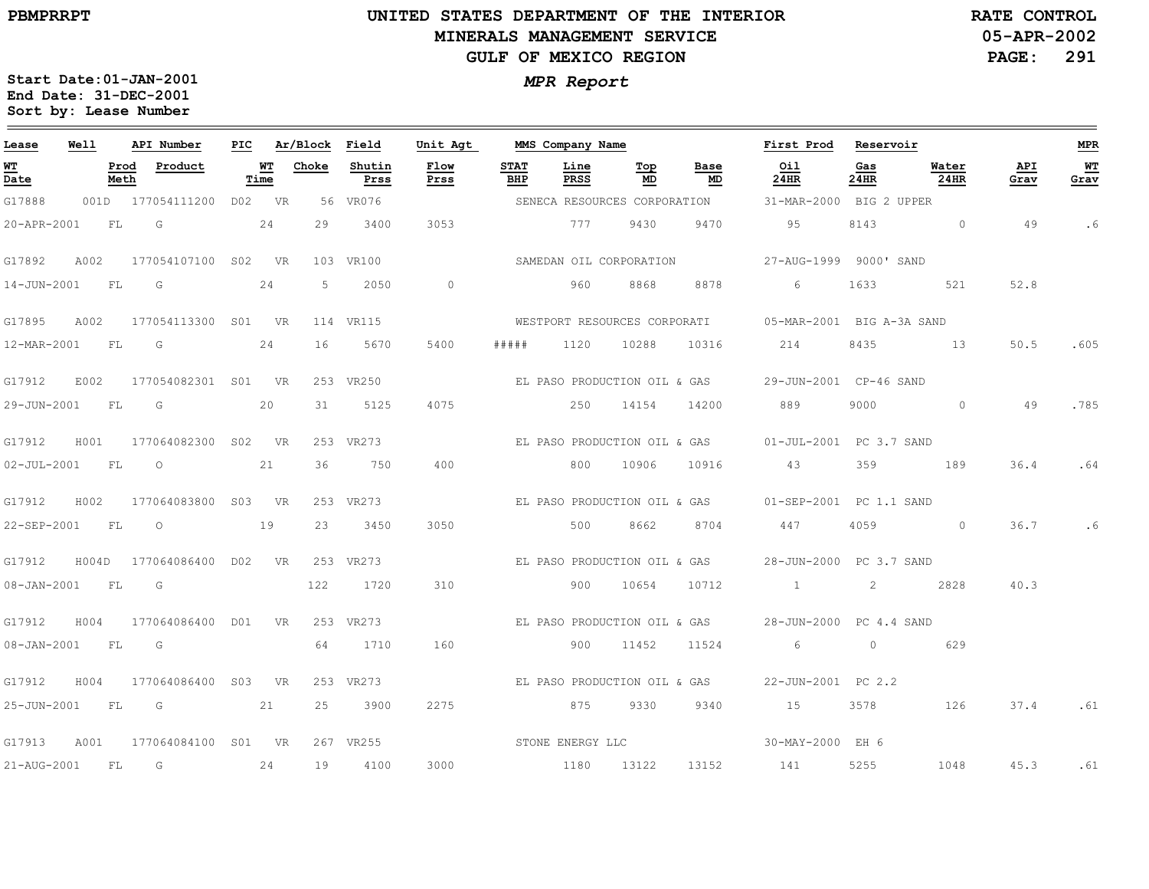### **UNITED STATES DEPARTMENT OF THE INTERIOR MINERALS MANAGEMENT SERVICEGULF OF MEXICO REGION**

**05-APR-2002PAGE: 291 RATE CONTROL**

| Lease          | Well      |                         | API Number          | PIC    |                   | Ar/Block Field |                | Unit Agt       |                    | MMS Company Name        |           |                              | First Prod                                            | Reservoir   |               |             | MPR        |
|----------------|-----------|-------------------------|---------------------|--------|-------------------|----------------|----------------|----------------|--------------------|-------------------------|-----------|------------------------------|-------------------------------------------------------|-------------|---------------|-------------|------------|
| WT<br>Date     |           | Prod<br>Meth            | Product             |        | <u>WT</u><br>Time | Choke          | Shutin<br>Prss | Flow<br>Prss   | <b>STAT</b><br>BHP | Line<br>PRSS            | Тор<br>MD | Base<br>MD                   | Oil<br>24HR                                           | Gas<br>24HR | Water<br>24HR | API<br>Grav | WТ<br>Grav |
| G17888         |           |                         | 001D 177054111200   | DO2 VR |                   |                | 56 VR076       |                |                    |                         |           | SENECA RESOURCES CORPORATION | 31-MAR-2000 BIG 2 UPPER                               |             |               |             |            |
| 20-APR-2001    | FL        | $\overline{\mathbb{G}}$ |                     |        | 24                | 29             | 3400           | 3053           |                    | 777                     | 9430      | 9470                         | 95                                                    | 8143        | $\circ$       | 49          | . 6        |
| G17892         | A002      |                         | 177054107100 S02 VR |        |                   |                | 103 VR100      |                |                    | SAMEDAN OIL CORPORATION |           |                              | 27-AUG-1999 9000' SAND                                |             |               |             |            |
| 14-JUN-2001    | FL        | G                       |                     |        | 24                | -5             | 2050           | $\overline{0}$ |                    | 960                     | 8868      | 8878                         | 6                                                     | 1633        | 521           | 52.8        |            |
| G17895         | A002      |                         | 177054113300 S01 VR |        |                   |                | 114 VR115      |                |                    |                         |           | WESTPORT RESOURCES CORPORATI | 05-MAR-2001 BIG A-3A SAND                             |             |               |             |            |
| 12-MAR-2001 FL |           | G                       |                     |        | 24                | 16             | 5670           | 5400           | # # # #            | 1120                    | 10288     | 10316                        | 214                                                   | 8435        | 13            | 50.5        | .605       |
| G17912         | E002      |                         | 177054082301 S01 VR |        |                   |                | 253 VR250      |                |                    |                         |           | EL PASO PRODUCTION OIL & GAS | 29-JUN-2001 CP-46 SAND                                |             |               |             |            |
| 29-JUN-2001    | <b>FL</b> | G                       |                     |        | 20                | 31             | 5125           | 4075           |                    | 250                     | 14154     | 14200                        | 889                                                   | 9000        | $\circ$       | 49          | .785       |
| G17912         | H001      |                         | 177064082300 S02 VR |        |                   |                | 253 VR273      |                |                    |                         |           | EL PASO PRODUCTION OIL & GAS | 01-JUL-2001 PC 3.7 SAND                               |             |               |             |            |
| 02-JUL-2001 FL |           | $\overline{O}$          |                     |        | 21                | 36             | 750            | 400            |                    | 800                     | 10906     | 10916                        | 43                                                    | 359         | 189           | 36.4        | .64        |
| G17912         | H002      |                         | 177064083800 S03 VR |        |                   |                | 253 VR273      |                |                    |                         |           |                              | EL PASO PRODUCTION OIL & GAS 01-SEP-2001 PC 1.1 SAND  |             |               |             |            |
| 22-SEP-2001 FL |           | $\overline{O}$          |                     |        | 19                | 23             | 3450           | 3050           |                    | 500                     | 8662      | 8704                         | 447                                                   | 4059        | $\Omega$      | 36.7        | .6         |
| G17912         | H004D     |                         | 177064086400 D02 VR |        |                   |                | 253 VR273      |                |                    |                         |           |                              | EL PASO PRODUCTION OIL & GAS 28-JUN-2000 PC 3.7 SAND  |             |               |             |            |
| 08-JAN-2001 FL |           | G                       |                     |        |                   | 122            | 1720           | 310            |                    | 900                     | 10654     | 10712                        | $1\qquad \qquad 2$                                    |             | 2828          | 40.3        |            |
| G17912         | H004      |                         | 177064086400 D01 VR |        |                   |                | 253 VR273      |                |                    |                         |           |                              | EL PASO PRODUCTION OIL & GAS  28-JUN-2000 PC 4.4 SAND |             |               |             |            |
| 08-JAN-2001 FL |           | G                       |                     |        |                   | 64             | 1710           | 160            |                    |                         | 900 11452 | 11524                        | $6\overline{6}$                                       | $\circ$     | 629           |             |            |
| G17912         | H004      |                         | 177064086400 S03 VR |        |                   |                | 253 VR273      |                |                    |                         |           | EL PASO PRODUCTION OIL & GAS | 22-JUN-2001 PC 2.2                                    |             |               |             |            |
| 25-JUN-2001    | <b>FL</b> | G                       |                     |        | 21                | 25             | 3900           | 2275           |                    | 875                     | 9330      | 9340                         | 15                                                    | 3578        | 126           | 37.4        | .61        |
| G17913         | A001      |                         | 177064084100 S01 VR |        |                   |                | 267 VR255      |                |                    | STONE ENERGY LLC        |           |                              | 30-MAY-2000 EH 6                                      |             |               |             |            |
| 21-AUG-2001    | FL        | G                       |                     |        | 24                | 19             | 4100           | 3000           |                    | 1180 13122              |           | 13152                        | 141                                                   | 5255        | 1048          | 45.3        | .61        |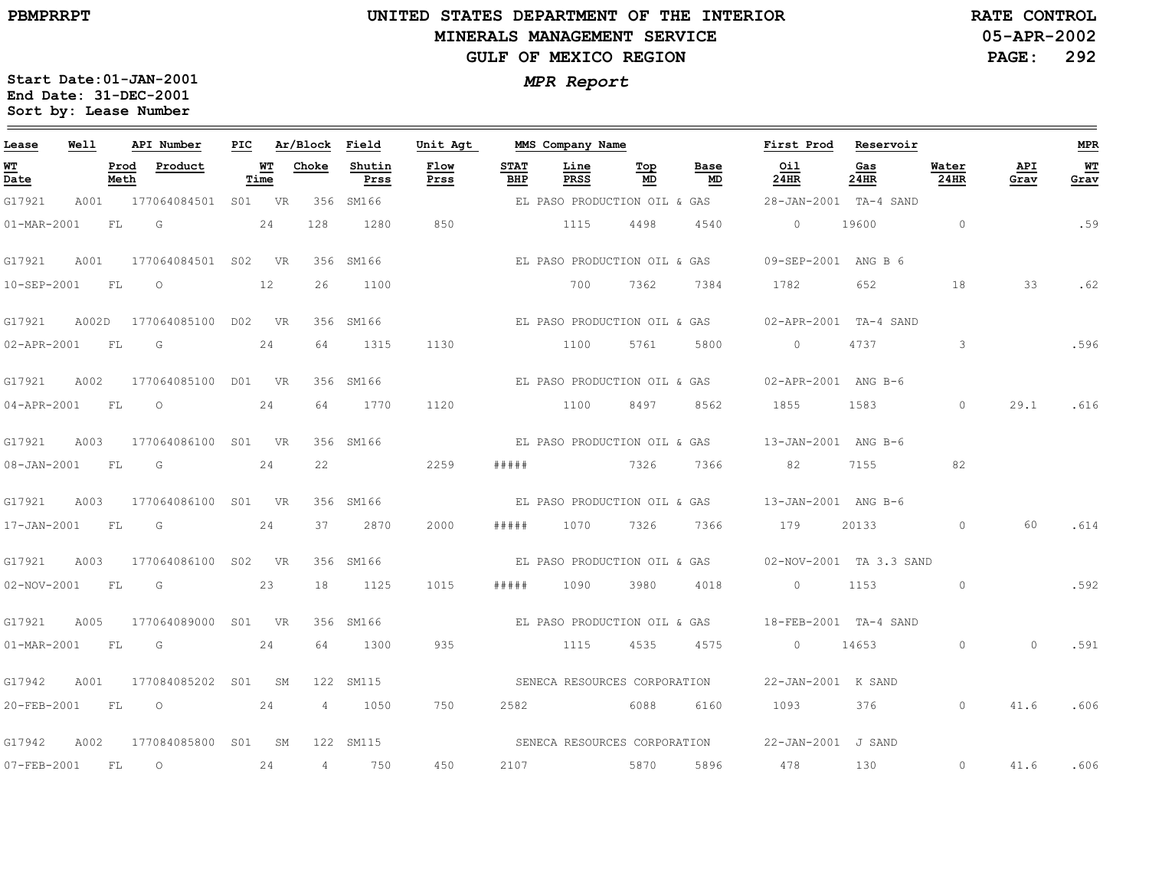### **UNITED STATES DEPARTMENT OF THE INTERIOR MINERALS MANAGEMENT SERVICEGULF OF MEXICO REGION**

**05-APR-2002PAGE: 292 RATE CONTROL**

| Lease                                 | Well  |              | API Number       | PIC             |            | Ar/Block       | Field          | Unit Agt     |                    | MMS Company Name             |           |            | First Prod          | Reservoir               |               |             | <b>MPR</b>   |
|---------------------------------------|-------|--------------|------------------|-----------------|------------|----------------|----------------|--------------|--------------------|------------------------------|-----------|------------|---------------------|-------------------------|---------------|-------------|--------------|
| <u>WТ</u><br>$\overline{\text{Date}}$ |       | Prod<br>Meth | Product          |                 | WТ<br>Time | Choke          | Shutin<br>Prss | Flow<br>Prss | <b>STAT</b><br>BHP | Line<br>PRSS                 | Тор<br>MD | Base<br>MD | Oil<br>24HR         | Gas<br>24HR             | Water<br>24HR | API<br>Grav | $WT$<br>Grav |
| G17921                                | A001  |              | 177064084501     |                 | S01 VR     | 356            | SM166          |              |                    | EL PASO PRODUCTION OIL & GAS |           |            |                     | 28-JAN-2001 TA-4 SAND   |               |             |              |
| 01-MAR-2001                           |       | FL           | G                |                 | 24         | 128            | 1280           | 850          |                    | 1115                         | 4498      | 4540       | $\circ$             | 19600                   | $\circ$       |             | .59          |
| G17921                                | A001  |              | 177064084501 S02 |                 | <b>VR</b>  |                | 356 SM166      |              |                    | EL PASO PRODUCTION OIL & GAS |           |            | 09-SEP-2001 ANG B 6 |                         |               |             |              |
| 10-SEP-2001                           |       | FL           | $\circ$          |                 | 12         | 26             | 1100           |              |                    | 700                          | 7362      | 7384       | 1782                | 652                     | 18            | 33          | .62          |
| G17921                                | A002D |              | 177064085100     |                 | D02 VR     |                | 356 SM166      |              |                    | EL PASO PRODUCTION OIL & GAS |           |            |                     | 02-APR-2001 TA-4 SAND   |               |             |              |
| 02-APR-2001                           |       | - FL         | G                |                 | 24         | 64             | 1315           | 1130         |                    | 1100                         | 5761      | 5800       | $\circ$             | 4737                    | 3             |             | .596         |
| G17921                                | A002  |              | 177064085100     |                 | DO1 VR     |                | 356 SM166      |              |                    | EL PASO PRODUCTION OIL & GAS |           |            | 02-APR-2001 ANG B-6 |                         |               |             |              |
| 04-APR-2001                           |       | FL           | $\circ$          |                 | 24         | 64             | 1770           | 1120         |                    | 1100                         | 8497      | 8562       | 1855                | 1583                    | $\Omega$      | 29.1        | .616         |
| G17921                                | A003  |              | 177064086100     |                 | S01 VR     |                | 356 SM166      |              |                    | EL PASO PRODUCTION OIL & GAS |           |            | 13-JAN-2001 ANG B-6 |                         |               |             |              |
| $08 - JAN - 2001$                     |       | FL.          | G                |                 | 24         | 22             |                | 2259         | #####              |                              | 7326      | 7366       | 82                  | 7155                    | 82            |             |              |
| G17921                                | A003  |              | 177064086100 S01 |                 | <b>VR</b>  |                | 356 SM166      |              |                    | EL PASO PRODUCTION OIL & GAS |           |            | 13-JAN-2001 ANG B-6 |                         |               |             |              |
| 17-JAN-2001                           |       | FL           | G                |                 | 24         | 37             | 2870           | 2000         | # # # # #          | 1070                         | 7326      | 7366       | 179                 | 20133                   | $\circ$       | 60          | .614         |
| G17921                                | A003  |              | 177064086100     |                 | S02 VR     | 356            | SM166          |              |                    | EL PASO PRODUCTION OIL & GAS |           |            |                     | 02-NOV-2001 TA 3.3 SAND |               |             |              |
| 02-NOV-2001                           |       | FL           | G                |                 | 23         | 18             | 1125           | 1015         | # # # # #          | 1090                         | 3980      | 4018       | $\circ$             | 1153                    | $\circ$       |             | .592         |
| G17921                                | A005  |              | 177064089000     | SO1             | <b>VR</b>  |                | 356 SM166      |              |                    | EL PASO PRODUCTION OIL & GAS |           |            |                     | 18-FEB-2001 TA-4 SAND   |               |             |              |
| 01-MAR-2001                           |       | FL           | G                |                 | 24         | 64             | 1300           | 935          |                    | 1115                         | 4535      | 4575       | $\circ$             | 14653                   | $\circ$       | $\Omega$    | .591         |
| G17942                                | A001  |              | 177084085202     | S <sub>01</sub> | <b>SM</b>  |                | 122 SM115      |              |                    | SENECA RESOURCES CORPORATION |           |            | 22-JAN-2001 K SAND  |                         |               |             |              |
| 20-FEB-2001                           |       | FL           | $\circ$          |                 | 24         | $\overline{4}$ | 1050           | 750          | 2582               |                              | 6088      | 6160       | 1093                | 376                     | $\circ$       | 41.6        | .606         |
| G17942                                | A002  |              | 177084085800 S01 |                 | SM         |                | 122 SM115      |              |                    | SENECA RESOURCES CORPORATION |           |            | 22-JAN-2001 J SAND  |                         |               |             |              |
| 07-FEB-2001                           |       | FL           | $\circ$          |                 | 24         | $\overline{4}$ | 750            | 450          | 2107               |                              | 5870      | 5896       | 478                 | 130                     | $\circ$       | 41.6        | .606         |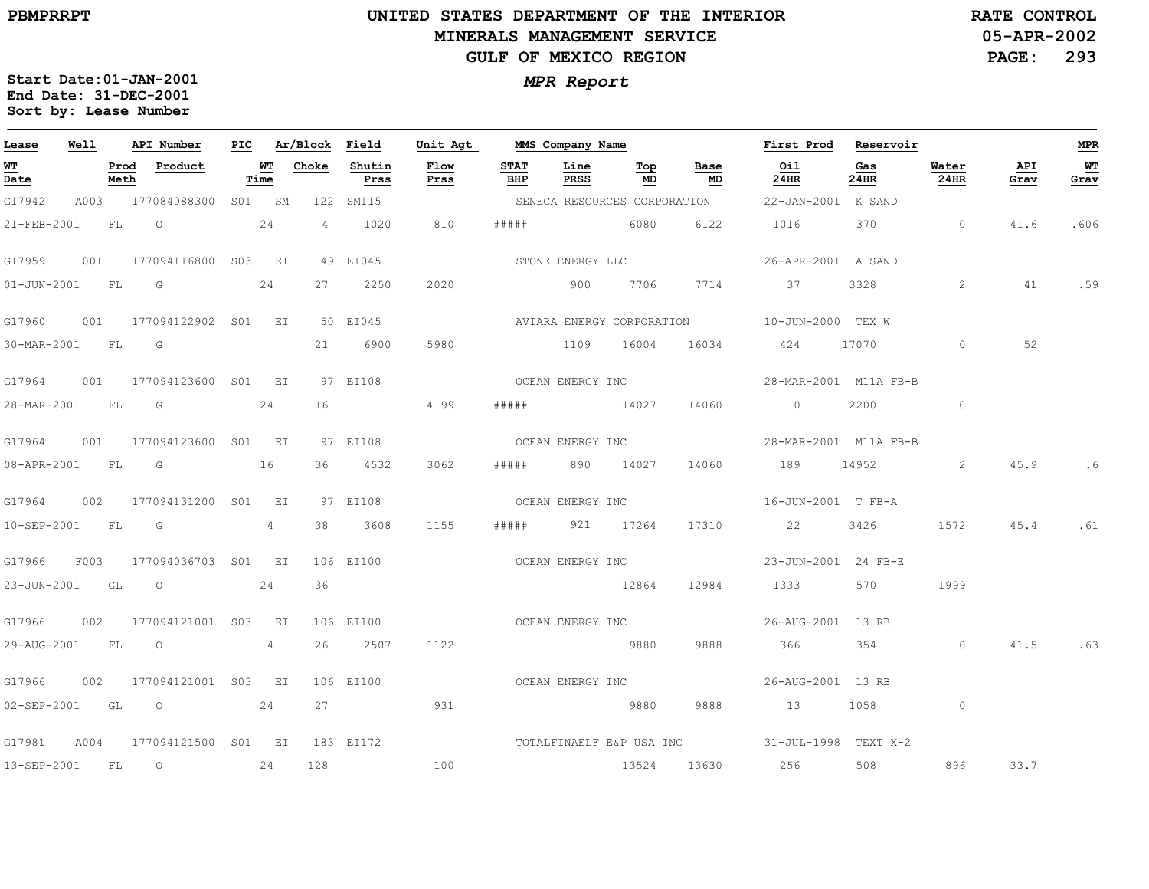### **UNITED STATES DEPARTMENT OF THE INTERIOR MINERALS MANAGEMENT SERVICEGULF OF MEXICO REGION**

**05-APR-2002PAGE: 293 RATE CONTROL**

| Lease            | Well |           | API Number               | PIC |            | Ar/Block Field |                | Unit Agt         |                    | MMS Company Name |             |                              | First Prod                                    | Reservoir   |               |             | <b>MPR</b> |
|------------------|------|-----------|--------------------------|-----|------------|----------------|----------------|------------------|--------------------|------------------|-------------|------------------------------|-----------------------------------------------|-------------|---------------|-------------|------------|
| WT<br>Date       |      | Meth      | Prod Product             |     | WТ<br>Time | Choke          | Shutin<br>Prss | Flow<br>Prss     | <b>STAT</b><br>BHP | Line<br>PRSS     | Тор<br>MD   | Base<br>MD                   | Oil<br>24HR                                   | Gas<br>24HR | Water<br>24HR | API<br>Grav | WT<br>Grav |
| G17942           |      |           | A003 177084088300 S01 SM |     |            |                | 122 SM115      |                  |                    |                  |             | SENECA RESOURCES CORPORATION | 22-JAN-2001 K SAND                            |             |               |             |            |
| 21-FEB-2001      |      | FL        | $\overline{O}$           |     | 24         | $\overline{4}$ | 1020           | 810              | # # # # #          | 6080             |             | 6122                         | 1016                                          | 370         | $\sim$ 0      | 41.6        | .606       |
| G17959           | 001  |           | 177094116800 S03 EI      |     |            |                | 49 EI045       |                  |                    | STONE ENERGY LLC |             |                              | 26-APR-2001 A SAND                            |             |               |             |            |
| 01-JUN-2001      |      | FL        | $\overline{\mathsf{G}}$  |     | 24         | 27             | 2250           | 2020             |                    | 900              | 7706        | 7714                         | 37                                            | 3328        | 2             | 41          | .59        |
| G17960           |      |           | 001 177094122902 S01 EI  |     |            |                | 50 EI045       |                  |                    |                  |             |                              | AVIARA ENERGY CORPORATION 10-JUN-2000 TEX W   |             |               |             |            |
| 30-MAR-2001 FL G |      |           |                          |     |            | 21             | 6900           | 5980             |                    | 1109 16004       |             | 16034                        | 424                                           | 17070       | $\circ$       | 52          |            |
| G17964           | 001  |           | 177094123600 S01 EI      |     |            |                | 97 EI108       | OCEAN ENERGY INC |                    |                  |             |                              | 28-MAR-2001 M11A FB-B                         |             |               |             |            |
| 28-MAR-2001 FL   |      |           | $\overline{\mathbb{G}}$  |     | 24         | 16             |                | 4199             | # # # # #          | 14027            |             | 14060                        | $\overline{0}$                                | 2200        | $\circ$       |             |            |
| G17964           |      |           | 001 177094123600 S01 EI  |     |            |                | 97 EI108       |                  | OCEAN ENERGY INC   |                  |             |                              | 28-MAR-2001 M11A FB-B                         |             |               |             |            |
| 08-APR-2001      |      | FL        | $\overline{\mathbb{G}}$  |     | 16         | 36             | 4532           | 3062             | # # # # #          | 890              | 14027       | 14060                        | 189 14952                                     |             | 2             | 45.9        |            |
| G17964           | 002  |           | 177094131200 S01 EI      |     |            |                | 97 EI108       | OCEAN ENERGY INC |                    |                  |             |                              | 16-JUN-2001 T FB-A                            |             |               |             |            |
| 10-SEP-2001      |      | FL        | G                        |     | 4          | 38             | 3608           | 1155             | # # # # #          |                  | 921 17264   | 17310                        | 22                                            | 3426        | 1572          | 45.4        | .61        |
| G17966           | F003 |           | 177094036703 S01 EI      |     |            |                | 106 EI100      |                  | OCEAN ENERGY INC   |                  |             |                              | 23-JUN-2001 24 FB-E                           |             |               |             |            |
| 23-JUN-2001 GL O |      |           |                          |     | 24         | 36             |                |                  |                    |                  | 12864       | 12984                        | 1333 134                                      | 570         | 1999          |             |            |
| G17966           | 002  |           | 177094121001 S03 EI      |     |            |                | 106 EI100      | OCEAN ENERGY INC |                    |                  |             |                              | 26-AUG-2001 13 RB                             |             |               |             |            |
| 29-AUG-2001 FL   |      |           | $\overline{O}$           |     | 4          | 26             | 2507           | 1122             |                    |                  | 9880        | 9888                         | 366                                           | 354         | $\circ$       | 41.5        | .63        |
| G17966           | 002  |           | 177094121001 S03 EI      |     |            |                | 106 EI100      |                  | OCEAN ENERGY INC   |                  |             |                              | 26-AUG-2001 13 RB                             |             |               |             |            |
|                  |      |           | 02-SEP-2001 GL O 24      |     |            | 27             |                | 931              |                    |                  | 9880        | 9888                         | 13                                            | 1058        | $\circ$       |             |            |
| G17981           | A004 |           | 177094121500 S01 EI      |     |            |                | 183 EI172      |                  |                    |                  |             |                              | TOTALFINAELF E&P USA INC 31-JUL-1998 TEXT X-2 |             |               |             |            |
| 13-SEP-2001      |      | <b>FL</b> | $\overline{\phantom{0}}$ |     | 24         | 128            |                | 100              |                    |                  | 13524 13630 |                              | 256                                           | 508         | 896           | 33.7        |            |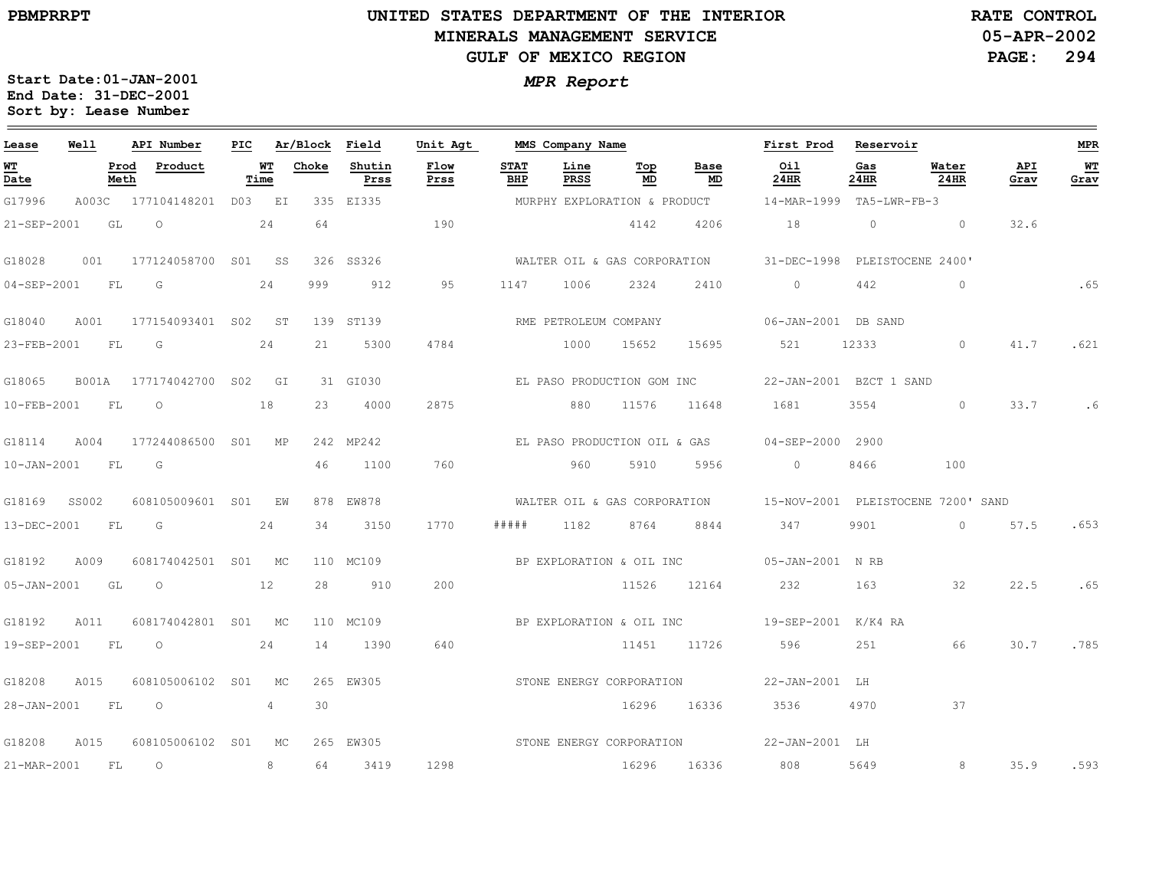$\equiv$ 

# **UNITED STATES DEPARTMENT OF THE INTERIOR MINERALS MANAGEMENT SERVICEGULF OF MEXICO REGION**

**05-APR-2002PAGE: 294 RATE CONTROL**

| Lease             | Well         |              | API Number                | PIC |            | Ar/Block Field |                | Unit Agt                 |                    | MMS Company Name      |                              |                              | First Prod               | Reservoir   |                                                                 |             | <b>MPR</b> |
|-------------------|--------------|--------------|---------------------------|-----|------------|----------------|----------------|--------------------------|--------------------|-----------------------|------------------------------|------------------------------|--------------------------|-------------|-----------------------------------------------------------------|-------------|------------|
| <u>ит</u><br>Date |              | Prod<br>Meth | Product                   |     | WТ<br>Time | Choke          | Shutin<br>Prss | Flow<br>Prss             | <b>STAT</b><br>BHP | Line<br><b>PRSS</b>   | Тор<br>MD                    | Base<br>MD                   | Oil<br>24HR              | Gas<br>24HR | Water<br>24HR                                                   | API<br>Grav | WT<br>Grav |
| G17996            |              |              | A003C 177104148201 D03 EI |     |            |                | 335 EI335      |                          |                    |                       | MURPHY EXPLORATION & PRODUCT |                              | 14-MAR-1999 TA5-LWR-FB-3 |             |                                                                 |             |            |
| 21-SEP-2001       |              | GL           | $\circ$                   |     | 24         | 64             |                | 190                      |                    |                       | 4142                         | 4206                         | 18                       | $\circ$     | $\circ$                                                         | 32.6        |            |
| G18028            | 001          |              | 177124058700 S01 SS       |     |            |                | 326 SS326      |                          |                    |                       |                              | WALTER OIL & GAS CORPORATION | 31-DEC-1998              |             | PLEISTOCENE 2400'                                               |             |            |
| 04-SEP-2001       |              | FL           | G                         |     | 24         | 999            | 912            | 95                       | 1147               | 1006                  | 2324                         | 2410                         | $\circ$                  | 442         | $\circ$                                                         |             | .65        |
| G18040            | A001         |              | 177154093401 S02 ST       |     |            |                | 139 ST139      |                          |                    | RME PETROLEUM COMPANY |                              |                              | 06-JAN-2001 DB SAND      |             |                                                                 |             |            |
| 23-FEB-2001       |              | FL           | G                         |     | 24         | 21             | 5300           | 4784                     |                    | 1000                  | 15652                        | 15695                        | 521                      | 12333       | $\circ$                                                         | 41.7        | .621       |
| G18065            | <b>B001A</b> |              | 177174042700 S02 GI       |     |            |                | 31 GI030       |                          |                    |                       |                              | EL PASO PRODUCTION GOM INC   | 22-JAN-2001 BZCT 1 SAND  |             |                                                                 |             |            |
| 10-FEB-2001       |              | <b>FL</b>    | $\circ$                   |     | 18         | 23             | 4000           | 2875                     |                    | 880                   | 11576                        | 11648                        | 1681                     | 3554        | $\circ$                                                         | 33.7        | .6         |
| G18114            | A004         |              | 177244086500 S01 MP       |     |            |                | 242 MP242      |                          |                    |                       | EL PASO PRODUCTION OIL & GAS |                              | 04-SEP-2000 2900         |             |                                                                 |             |            |
| $10 - JAN - 2001$ |              | <b>FL</b>    | G                         |     |            | 46             | 1100           | 760                      |                    | 960                   | 5910                         | 5956                         | $\overline{0}$           | 8466        | 100                                                             |             |            |
| G18169            | SS002        |              | 608105009601 S01          |     | ΕW         |                | 878 EW878      |                          |                    |                       |                              |                              |                          |             | WALTER OIL & GAS CORPORATION 15-NOV-2001 PLEISTOCENE 7200' SAND |             |            |
| 13-DEC-2001       |              | FL.          | G                         |     | 24         | 34             | 3150           | 1770                     | #####              | 1182                  | 8764                         | 8844                         | 347                      | 9901        | $\circ$                                                         | 57.5        | .653       |
| G18192            | A009         |              | 608174042501 S01 MC       |     |            |                | 110 MC109      |                          |                    |                       |                              | BP EXPLORATION & OIL INC     | 05-JAN-2001 N RB         |             |                                                                 |             |            |
| 05-JAN-2001 GL    |              |              | $\overline{O}$<br>12      |     |            | 28             | 910            | 200                      |                    |                       | 11526                        | 12164                        | 232                      | 163         | 32                                                              | 22.5        | .65        |
| G18192            | A011         |              | 608174042801 S01 MC       |     |            |                | 110 MC109      |                          |                    |                       |                              |                              |                          |             |                                                                 |             |            |
| 19-SEP-2001       |              | FL           | $\circ$                   |     | 24         | 14             | 1390           | 640                      |                    |                       | 11451 11726                  |                              | 596                      | 251         | 66                                                              | 30.7        | .785       |
| G18208            | A015         |              | 608105006102 S01          |     | MC         |                | 265 EW305      |                          |                    |                       | STONE ENERGY CORPORATION     |                              | 22-JAN-2001 LH           |             |                                                                 |             |            |
| 28-JAN-2001 FL    |              |              | $\overline{O}$            |     | 4          | 30             |                |                          |                    |                       | 16296                        | 16336                        | 3536                     | 4970        | 37                                                              |             |            |
| G18208            | A015         |              | 608105006102 S01          |     | MC         |                | 265 EW305      | STONE ENERGY CORPORATION |                    |                       |                              |                              | 22-JAN-2001 LH           |             |                                                                 |             |            |
| 21-MAR-2001 FL    |              |              | $\circ$                   |     | 8          | 64             | 3419           | 1298                     |                    |                       | 16296 16336                  |                              | 808                      | 5649        | 8                                                               | 35.9        | .593       |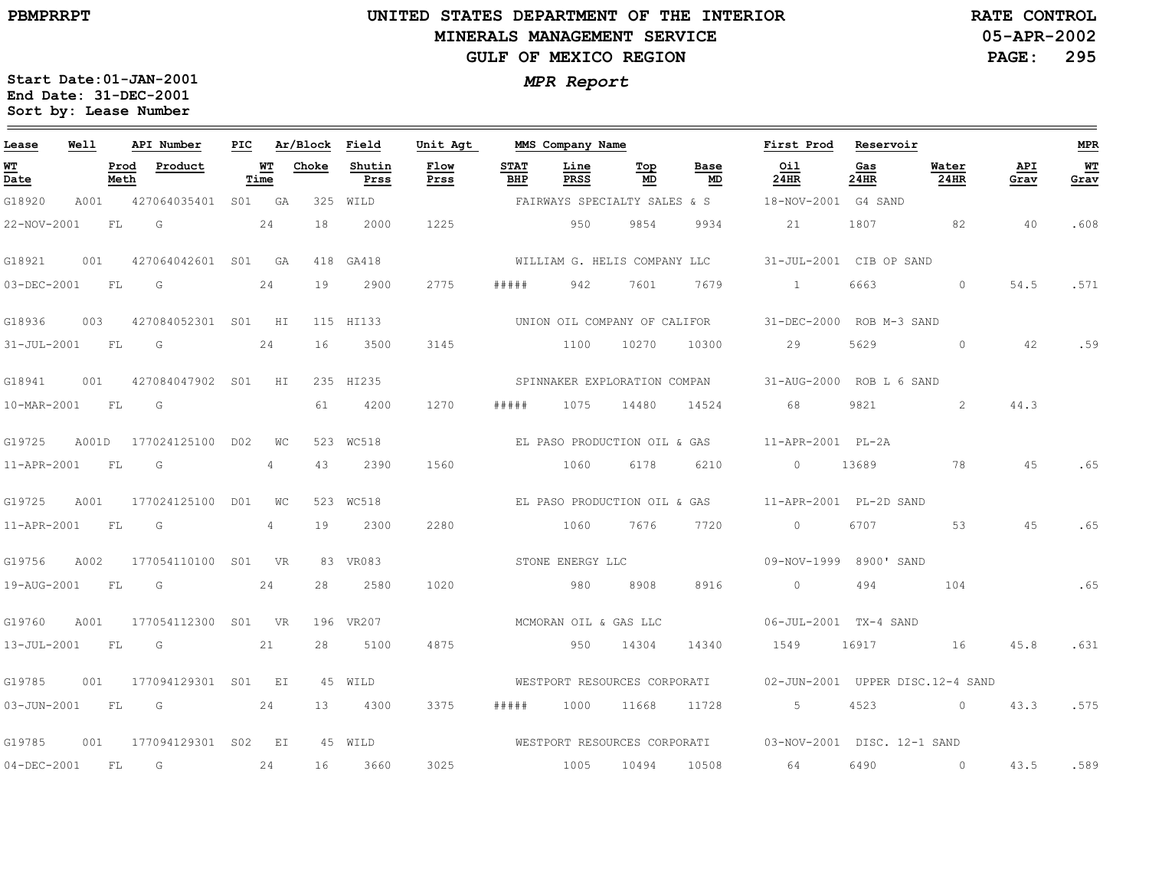### **UNITED STATES DEPARTMENT OF THE INTERIOR MINERALS MANAGEMENT SERVICEGULF OF MEXICO REGION**

**05-APR-2002PAGE: 295 RATE CONTROL**

| Lease             | Well  |                 | API Number          | PIC |                | Ar/Block Field |                | Unit Agt     |                    | MMS Company Name             |           |                              | First Prod                                               | Reservoir   |                                  |             | MPR        |
|-------------------|-------|-----------------|---------------------|-----|----------------|----------------|----------------|--------------|--------------------|------------------------------|-----------|------------------------------|----------------------------------------------------------|-------------|----------------------------------|-------------|------------|
| <u>WТ</u><br>Date |       | Prod<br>Meth    | Product             |     | WT<br>Time     | Choke          | Shutin<br>Prss | Flow<br>Prss | <b>STAT</b><br>BHP | Line<br>PRSS                 | Тор<br>MD | Base<br>MD                   | Oil<br>24HR                                              | Gas<br>24HR | Water<br>24HR                    | API<br>Grav | WТ<br>Grav |
| G18920            | A001  |                 | 427064035401        |     | S01 GA         | 325            | WILD           |              |                    | FAIRWAYS SPECIALTY SALES & S |           |                              | 18-NOV-2001 G4 SAND                                      |             |                                  |             |            |
| 22-NOV-2001       |       | FL              | G                   |     | 24             | 18             | 2000           | 1225         |                    | 950                          | 9854      | 9934                         | 21                                                       | 1807        | 82                               | 40          | .608       |
| G18921            | 001   |                 | 427064042601 S01 GA |     |                |                | 418 GA418      |              |                    |                              |           | WILLIAM G. HELIS COMPANY LLC | 31-JUL-2001 CIB OP SAND                                  |             |                                  |             |            |
| 03-DEC-2001       |       | FL              | G                   |     | 24             | 19             | 2900           | 2775         | # # # # #          | 942                          | 7601      | 7679                         | $\mathbf{1}$                                             | 6663        | $\circ$                          | 54.5        | .571       |
| G18936            | 003   |                 | 427084052301 S01 HI |     |                |                | 115 HI133      |              |                    | UNION OIL COMPANY OF CALIFOR |           |                              | 31-DEC-2000 ROB M-3 SAND                                 |             |                                  |             |            |
| 31-JUL-2001       |       | FL.             | G                   |     | 24             | 16             | 3500           | 3145         |                    | 1100                         | 10270     | 10300                        | 29                                                       | 5629        | $\circ$                          | 42          | .59        |
| G18941            | 001   |                 | 427084047902 S01    |     | HI             |                | 235 HI235      |              |                    |                              |           | SPINNAKER EXPLORATION COMPAN | 31-AUG-2000 ROB L 6 SAND                                 |             |                                  |             |            |
| 10-MAR-2001       |       | FL              | G                   |     |                | 61             | 4200           | 1270         | #####              | 1075                         | 14480     | 14524                        | 68                                                       | 9821        | 2                                | 44.3        |            |
| G19725            | A001D |                 | 177024125100 D02    |     | <b>WC</b>      |                | 523 WC518      |              |                    | EL PASO PRODUCTION OIL & GAS |           |                              | 11-APR-2001 PL-2A                                        |             |                                  |             |            |
| 11-APR-2001       |       | FL              | G                   |     | $\overline{4}$ | 43             | 2390           | 1560         |                    | 1060                         | 6178      | 6210                         | $\circ$                                                  | 13689       | 78                               | 45          | .65        |
| G19725            | A001  |                 | 177024125100 D01    |     | <b>WC</b>      |                | 523 WC518      |              |                    |                              |           |                              | EL PASO PRODUCTION OIL & GAS 11-APR-2001 PL-2D SAND      |             |                                  |             |            |
| 11-APR-2001       |       | FL              | G                   |     | 4              | 19             | 2300           | 2280         |                    | 1060                         | 7676      | 7720                         | $\bigcirc$                                               | 6707        | 53                               | 4.5         | .65        |
| G19756            | A002  |                 | 177054110100 S01 VR |     |                |                | 83 VR083       |              |                    | STONE ENERGY LLC             |           |                              | 09-NOV-1999 8900' SAND                                   |             |                                  |             |            |
| 19-AUG-2001       |       | FL.             | G                   |     | 24             | 28             | 2580           | 1020         |                    | 980                          | 8908      | 8916                         | $\overline{0}$                                           | 494         | 104                              |             | .65        |
| G19760            | A001  |                 | 177054112300 S01 VR |     |                |                | 196 VR207      |              |                    | MCMORAN OIL & GAS LLC        |           |                              | 06-JUL-2001 TX-4 SAND                                    |             |                                  |             |            |
| $13 - JUL - 2001$ |       | FT <sub>1</sub> | G                   |     | 21             | 2.8            | 5100           | 4875         |                    | 950                          | 14304     | 14340                        | 1549                                                     | 16917       | 16                               | 45.8        | .631       |
| G19785            | 001   |                 | 177094129301 S01 EI |     |                |                | 45 WTLD        |              |                    | WESTPORT RESOURCES CORPORATI |           |                              |                                                          |             | 02-JUN-2001 UPPER DISC.12-4 SAND |             |            |
| $03 - JUN - 2001$ |       | FL              | G                   |     | 24             | 13             | 4300           | 3375         | #####              | 1000                         | 11668     | 11728                        | $5 - 5$                                                  | 4523        | $\sim$ 0                         | 43.3        | .575       |
| G19785            | 001   |                 | 177094129301 S02 EI |     |                |                | 45 WILD        |              |                    |                              |           |                              | WESTPORT RESOURCES CORPORATI 03-NOV-2001 DISC. 12-1 SAND |             |                                  |             |            |
| $04 - DEC - 2001$ |       | FL.             | G                   |     | 24             | 16             | 3660           | 3025         |                    | 1005                         | 10494     | 10508                        | 64                                                       | 6490        | $\overline{0}$                   | 43.5        | .589       |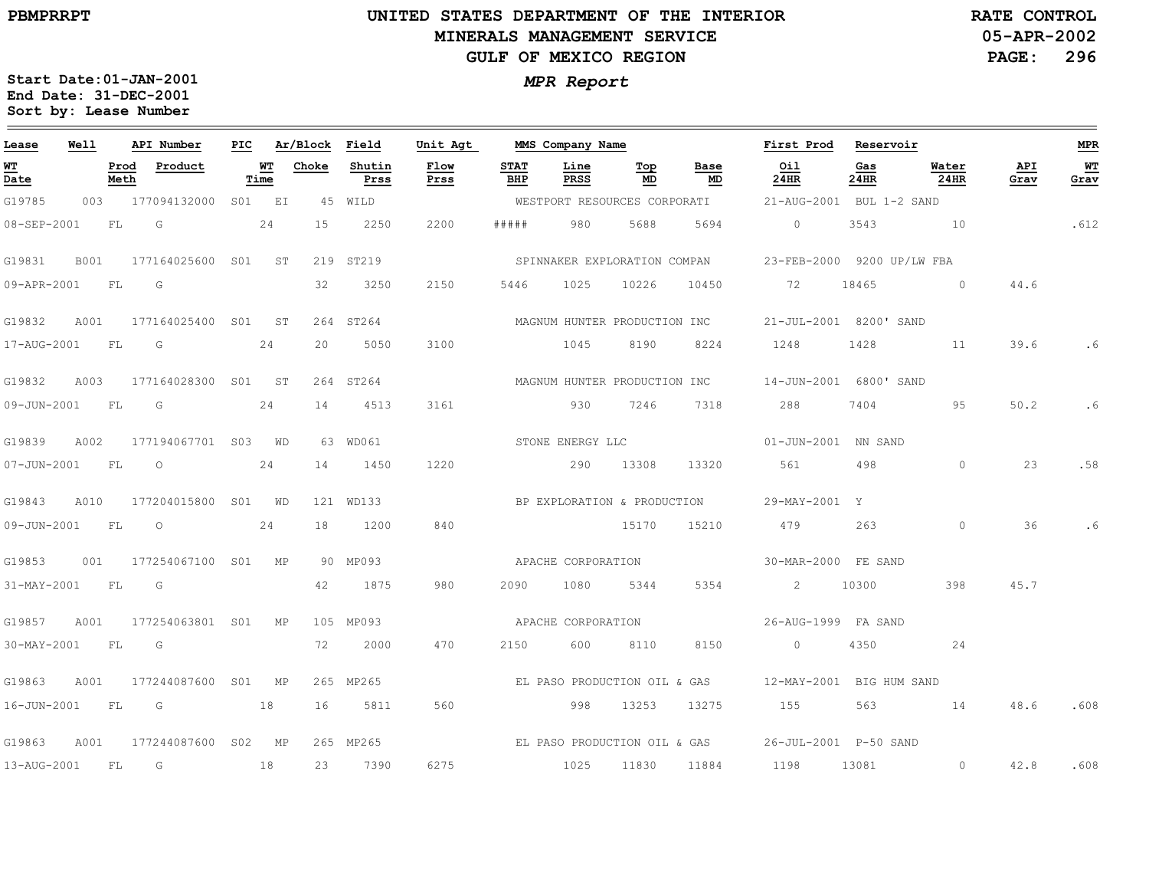# **UNITED STATES DEPARTMENT OF THE INTERIORMINERALS MANAGEMENT SERVICEGULF OF MEXICO REGION**

**05-APR-2002PAGE: 296 RATE CONTROL**

**Start Date:01-JAN-2001** *MPR Report* **End Date: 31-DEC-2001Sort by: Lease Number** 

### <u> 1989 - Johann Stoff, deutscher Stoffen und der Stoffen und der Stoffen und der Stoffen und der Stoffen und de</u> **WellAPI Number Unit Agt First ProdAr/Block FieldPIC MMS Company Name Reservoir MPR Lease WTProductChokeShutinFlowSTATTop BaseOilGasWaterAPIProd Line WT WT Date Meth Time Prss Prss BHP PRSS MD MD 24HR 24HR 24HR Grav Grav** G19785 003177094132000WESTPORT RESOURCES CORPORATIS01 EI 45WILD21-AUG-2001 BUL 1-2 SAND FLG241522502200#####98056885694 $\overline{0}$ 354310.61208-SEP-2001 G19831 B001SPINNAKER EXPLORATION COMPAN177164025600 SO1 ST 219 ST219 23-FEB-20009200 UP/LW FBA 09-APR-2001FLG32325021505446102510226104507218465 $\overline{0}$ 44.6G19832 A001STMAGNUM HUNTER PRODUCTION INC177164025400 S01 264 ST264 21-JUL-20018200' SAND24310017-AUG-2001FL. G $20$ 5050104581908224124814281139.6.6G19832 A003MAGNUM HUNTER PRODUCTION INC177164028300 SO1 ST 264 ST264 14-JUN-2001 6800' SAND 2428809-JUN-2001FLG14451331619307246731874049550.2.6G19839 A002STONE ENERGY LLC177194067701 S03 WD 63WD06101-JUN-2001 NN SAND 07-JUN-2001FLO2414145012202901330813320561498 $\mathbf 0$ 23.58BP EXPLORATION & PRODUCTION G19843 $A010$ 177204015800 S01 WD 121WD13329-MAY-2001Y09-JUN-2001FL $\Omega$ 241812008401517015210479263 $\Omega$ 36.6G19853 001APACHE CORPORATION177254067100 S01 MP 90MP09330-MAR-2000FE SANDFLG421875980209010805344535421030039845.731-MAY-2001 G19857 A001APACHE CORPORATION177254063801 S01 MP 105MP09326-AUG-1999 FA SAND 30-MAY-2001FLG722000470215060081108150 $\overline{0}$ 435024G19863 A001MPEL PASO PRODUCTION OIL & GAS177244087600 S01 265MP26512-MAY-2001 BIG HUM SAND 16-JUN-2001FL. G1816581156099813253132751555631448.6.608G19863EL PASO PRODUCTION OIL & GAS A001177244087600 S02 MP 265MP26526-JUL-2001 P-50 SAND 627513-AUG-2001FLG1823739010251183011884042.8.6081198 13081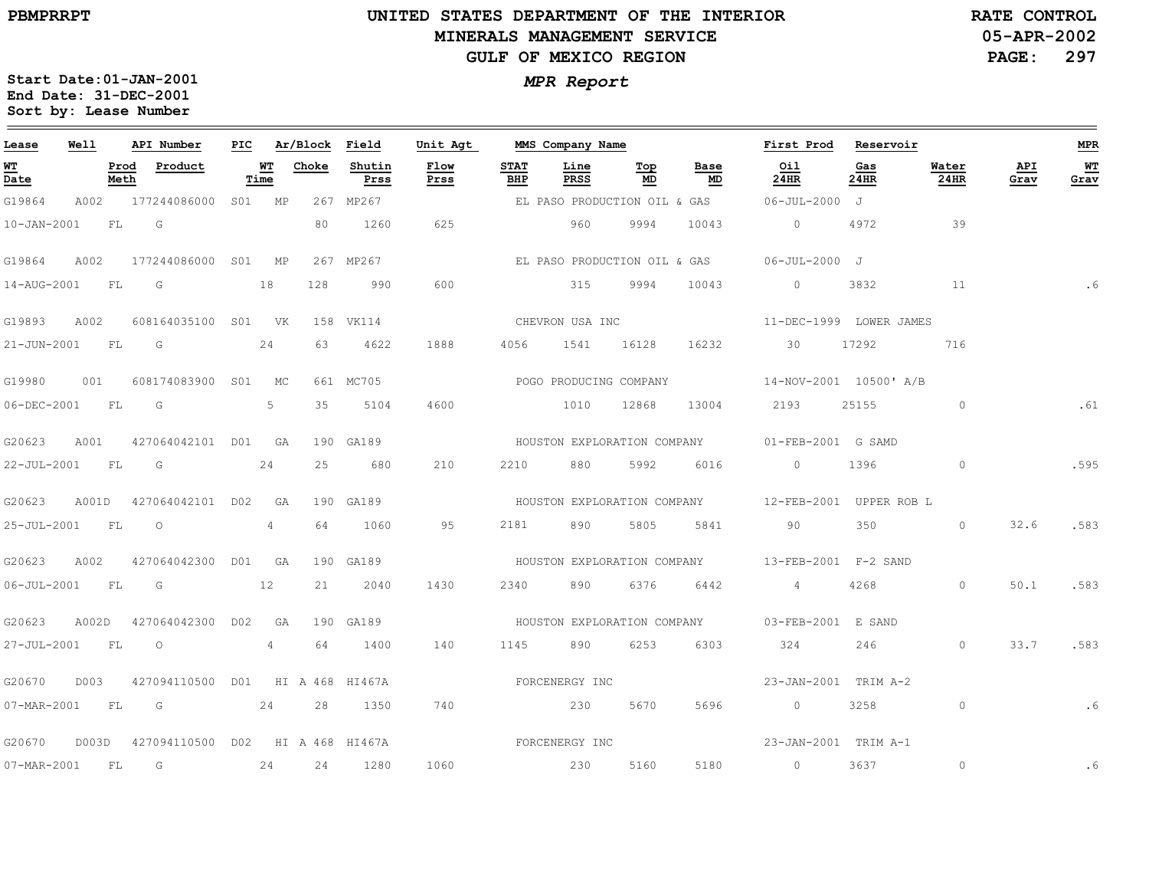$\equiv$ 

# **UNITED STATES DEPARTMENT OF THE INTERIOR MINERALS MANAGEMENT SERVICEGULF OF MEXICO REGION**

**05-APR-2002PAGE: 297 RATE CONTROL**

| Lease             | Well  |              | API Number                       | PIC |            | Ar/Block Field |                | Unit Agt       |                    | MMS Company Name            |           |                             | First Prod                                          | Reservoir   |               |             | <b>MPR</b> |
|-------------------|-------|--------------|----------------------------------|-----|------------|----------------|----------------|----------------|--------------------|-----------------------------|-----------|-----------------------------|-----------------------------------------------------|-------------|---------------|-------------|------------|
| WT<br>Date        |       | Prod<br>Meth | Product                          |     | WТ<br>Time | Choke          | Shutin<br>Prss | Flow<br>Prss   | <b>STAT</b><br>BHP | Line<br>PRSS                | Тор<br>MD | Base<br>MD                  | Oil<br>24HR                                         | Gas<br>24HR | Water<br>24HR | API<br>Grav | WТ<br>Grav |
| G19864            |       |              | A002 177244086000 S01 MP         |     |            |                | 267 MP267      |                |                    |                             |           |                             | EL PASO PRODUCTION OIL & GAS 06-JUL-2000 J          |             |               |             |            |
| 10-JAN-2001       |       | FL           | G                                |     |            | 80             | 1260           | 625            |                    | 960                         | 9994      | 10043                       | $\overline{0}$                                      | 4972        | 39            |             |            |
| G19864            | A002  |              | 177244086000 S01 MP              |     |            |                | 267 MP267      |                |                    |                             |           |                             | EL PASO PRODUCTION OIL & GAS 66-JUL-2000 J          |             |               |             |            |
| 14-AUG-2001 FL    |       |              | G                                |     | 18         | 128            | 990            | 600            |                    | 315                         | 9994      | 10043                       | $\overline{0}$                                      | 3832        | $\sim$ 11     |             | .6         |
| G19893            | A002  |              | 608164035100 S01 VK              |     |            |                | 158 VK114      |                |                    | CHEVRON USA INC             |           |                             | 11-DEC-1999 LOWER JAMES                             |             |               |             |            |
| 21-JUN-2001 FL    |       |              | $\overline{G}$                   |     | 24         | 63             | 4622           | 1888           | 4056               | 1541 16128                  |           | 16232                       | 30                                                  | 17292       | 716           |             |            |
| G19980            | 001   |              | 608174083900 S01                 |     | MC         |                | 661 MC705      |                |                    | POGO PRODUCING COMPANY      |           |                             | 14-NOV-2001 10500' A/B                              |             |               |             |            |
| $06 - DEC - 2001$ |       | FL           | G                                |     | 5          | 35             | 5104           | 4600           |                    | 1010                        | 12868     | 13004                       | 2193                                                | 25155       | $\circ$       |             | .61        |
| G20623            | A001  |              | 427064042101 D01 GA              |     |            |                | 190 GA189      |                |                    |                             |           | HOUSTON EXPLORATION COMPANY | 01-FEB-2001 G SAMD                                  |             |               |             |            |
| 22-JUL-2001 FL    |       |              | G                                |     | 24         | 25             | 680            | 210            | 2210               | 880                         | 5992      | 6016                        | $\overline{0}$                                      | 1396        | $\circ$       |             | .595       |
| G20623            | A001D |              | 427064042101 D02                 |     | GA         |                | 190 GA189      |                |                    |                             |           |                             | HOUSTON EXPLORATION COMPANY 12-FEB-2001 UPPER ROB L |             |               |             |            |
| 25-JUL-2001       |       | FL           | $\circ$                          |     | 4          | 64             | 1060           | 95             | 2181               | 890                         | 5805      | 5841                        | 90                                                  | 350         | $\Omega$      | 32.6        | .583       |
| G20623            | A002  |              | 427064042300 D01 GA              |     |            |                | 190 GA189      |                |                    | HOUSTON EXPLORATION COMPANY |           |                             | 13-FEB-2001 F-2 SAND                                |             |               |             |            |
| $06 - JUL - 2001$ |       | <b>FL</b>    | $\overline{\mathsf{G}}$          |     | 12         | 21             | 2040           | 1430           | 2340               | 890                         | 6376      | 6442                        | $4\overline{4}$                                     | 4268        | $\circ$       | 50.1        | .583       |
| G20623            | A002D |              | 427064042300 D02                 |     | GA         |                | 190 GA189      |                |                    |                             |           |                             | HOUSTON EXPLORATION COMPANY 03-FEB-2001 E SAND      |             |               |             |            |
| 27-JUL-2001       |       | FL           | $\circ$                          |     | 4          | 64             | 1400           | 140            | 1145               | 890                         | 6253      | 6303                        | 324                                                 | 246         | $\circ$       | 33.7        | .583       |
| G20670            | D003  |              | 427094110500 D01 HI A 468 HI467A |     |            |                |                |                |                    | FORCENERGY INC              |           |                             | 23-JAN-2001 TRIM A-2                                |             |               |             |            |
|                   |       |              | 07-MAR-2001 FL G 24              |     |            | 28             | 1350           | 740            |                    | 230                         | 5670      | 5696                        | $\overline{0}$                                      | 3258        | $\circ$       |             | .6         |
| G20670            | D003D |              | 427094110500 D02 HI A 468 HI467A |     |            |                |                | FORCENERGY INC |                    |                             |           |                             | 23-JAN-2001 TRIM A-1                                |             |               |             |            |
| 07-MAR-2001       |       | <b>FL</b>    | $\overline{G}$                   |     | 24         | 24             | 1280           | 1060           |                    | 230                         | 5160      | 5180                        | $\overline{0}$                                      | 3637        | $\circ$       |             | .6         |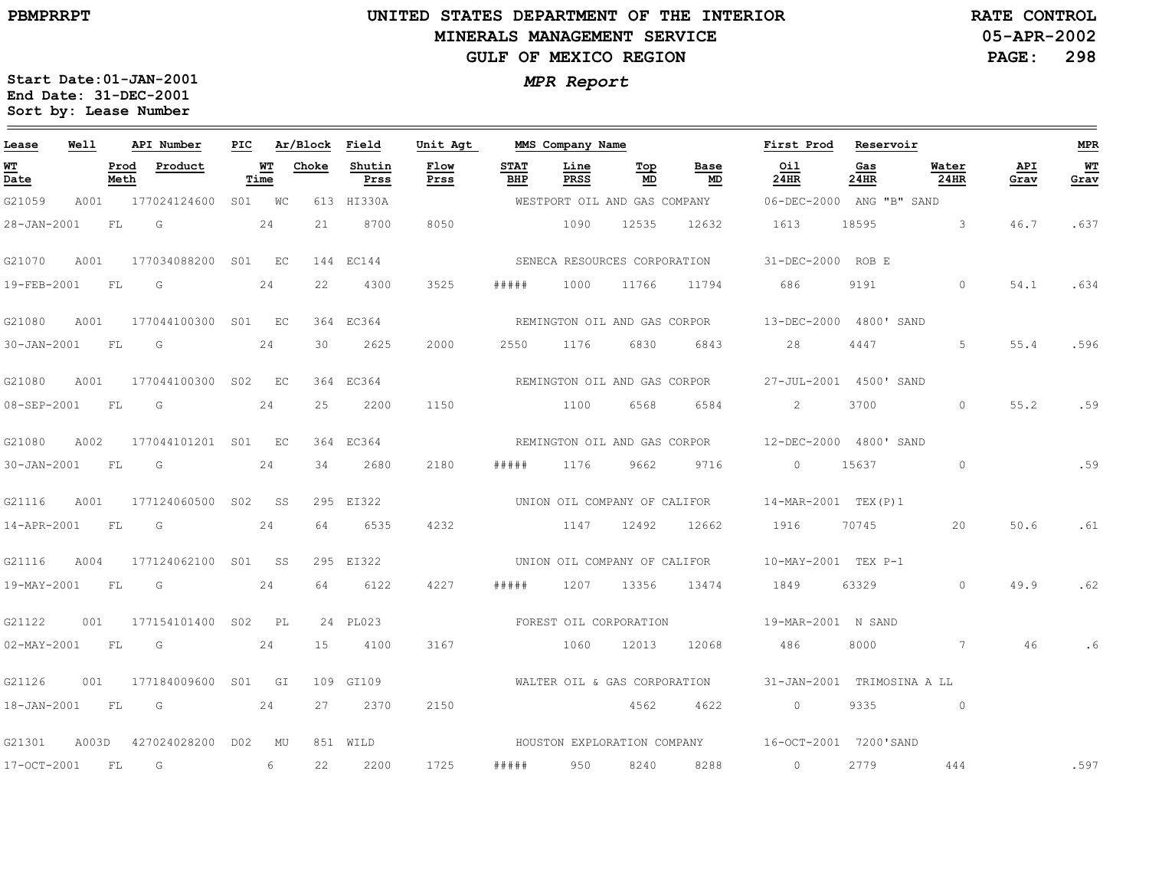### **UNITED STATES DEPARTMENT OF THE INTERIOR MINERALS MANAGEMENT SERVICEGULF OF MEXICO REGION**

**05-APR-2002PAGE: 298 RATE CONTROL**

| Lease             | Well      |              | API Number          | PIC |                 | Ar/Block | Field          | Unit Agt     |                        | MMS Company Name |                              |                              | First Prod                                        | Reservoir   |                         |             | <b>MPR</b> |
|-------------------|-----------|--------------|---------------------|-----|-----------------|----------|----------------|--------------|------------------------|------------------|------------------------------|------------------------------|---------------------------------------------------|-------------|-------------------------|-------------|------------|
| <u>WT</u><br>Date |           | Prod<br>Meth | Product             |     | WT<br>Time      | Choke    | Shutin<br>Prss | Flow<br>Prss | <b>STAT</b><br>BHP     | Line<br>PRSS     | Top<br>MD                    | Base<br>MD                   | Oil<br>24HR                                       | Gas<br>24HR | Water<br>24HR           | API<br>Grav | WT<br>Grav |
| G21059            | A001      |              | 177024124600 S01 WC |     |                 |          | 613 HI330A     |              |                        |                  |                              | WESTPORT OIL AND GAS COMPANY | 06-DEC-2000 ANG "B" SAND                          |             |                         |             |            |
| 28-JAN-2001       |           | FL           | G                   |     | 24              | 21       | 8700           | 8050         |                        | 1090             | 12535                        | 12632                        | 1613                                              | 18595       | $\overline{\mathbf{3}}$ | 46.7        | .637       |
| G21070            | A001      |              | 177034088200 S01 EC |     |                 |          | 144 EC144      |              |                        |                  |                              | SENECA RESOURCES CORPORATION | 31-DEC-2000 ROB E                                 |             |                         |             |            |
| 19-FEB-2001       |           | FL           | G                   |     | 24              | 22       | 4300           | 3525         | # # # #                | 1000             | 11766                        | 11794                        | 686                                               | 9191        | $\Omega$                | 54.1        | .634       |
| G21080            | A001      |              | 177044100300 S01 EC |     |                 |          | 364 EC364      |              |                        |                  | REMINGTON OIL AND GAS CORPOR |                              | 13-DEC-2000 4800' SAND                            |             |                         |             |            |
| $30 - JAN - 2001$ | FL        |              | G                   |     | 24              | 30       | 2625           | 2000         | 2550                   | 1176             | 6830                         | 6843                         | 28                                                | 4447        | 5                       | 55.4        | .596       |
| G21080            | A001      |              | 177044100300 S02 EC |     |                 |          | 364 EC364      |              |                        |                  |                              | REMINGTON OIL AND GAS CORPOR | 27-JUL-2001 4500' SAND                            |             |                         |             |            |
| 08-SEP-2001       | FL        |              | G                   |     | 24              | 25       | 2200           | 1150         |                        | 1100             | 6568                         | 6584                         | $\overline{2}$                                    | 3700        | $\circ$                 | 55.2        | .59        |
| G21080            | A002      |              | 177044101201 S01 EC |     |                 |          | 364 EC364      |              |                        |                  | REMINGTON OIL AND GAS CORPOR |                              | 12-DEC-2000 4800' SAND                            |             |                         |             |            |
| 30-JAN-2001       | <b>FL</b> |              | $\overline{G}$      |     | 24              | 34       | 2680           | 2180         | #####                  | 1176             | 9662                         | 9716                         | $\circ$                                           | 15637       | $\circ$                 |             | .59        |
| G21116            | A001      |              | 177124060500 S02    |     | SS <sub>3</sub> |          | 295 EI322      |              |                        |                  |                              | UNION OIL COMPANY OF CALIFOR | 14-MAR-2001 TEX(P)1                               |             |                         |             |            |
| 14-APR-2001       | <b>FL</b> |              | G                   |     | 24              | 64       | 6535           | 4232         |                        | 1147             | 12492                        | 12662                        | 1916                                              | 70745       | 20                      | 50.6        | .61        |
| G21116            | A004      |              | 177124062100 S01 SS |     |                 |          | 295 EI322      |              |                        |                  | UNION OIL COMPANY OF CALIFOR |                              | 10-MAY-2001 TEX P-1                               |             |                         |             |            |
| 19-MAY-2001       | <b>FL</b> |              | $\overline{G}$      |     | 24              | 64       | 6122           | 4227         | #####                  | 1207             | 13356                        | 13474                        | 1849                                              | 63329       | $\circ$                 | 49.9        | .62        |
| G21122            | 001       |              | 177154101400 S02 PL |     |                 |          | 24 PL023       |              | FOREST OIL CORPORATION |                  |                              |                              | 19-MAR-2001 N SAND                                |             |                         |             |            |
| 02-MAY-2001       | FL        |              | <b>G</b>            |     | 24              | 15       | 4100           | 3167         |                        | 1060             | 12013                        | 12068                        | 486                                               | 8000        | 7                       | 46          | . 6        |
| G21126            | 001       |              | 177184009600 S01 GI |     |                 |          | 109 GI109      |              |                        |                  | WALTER OIL & GAS CORPORATION |                              | 31-JAN-2001 TRIMOSINA A LL                        |             |                         |             |            |
| 18-JAN-2001       | <b>FL</b> |              | $\overline{G}$      |     | 24              | 27       | 2370           | 2150         |                        |                  | 4562                         | 4622                         | $\circ$                                           | 9335        | $\sim$ 0                |             |            |
| G21301            | A003D     |              | 427024028200 D02    |     | MU              |          | 851 WILD       |              |                        |                  |                              |                              | HOUSTON EXPLORATION COMPANY 16-OCT-2001 7200'SAND |             |                         |             |            |
| 17-OCT-2001       | FL        |              | G                   |     | 6               | 22       | 2200           | 1725         | #####                  | 950              | 8240                         | 8288                         | $\circ$                                           | 2779        | 444                     |             | .597       |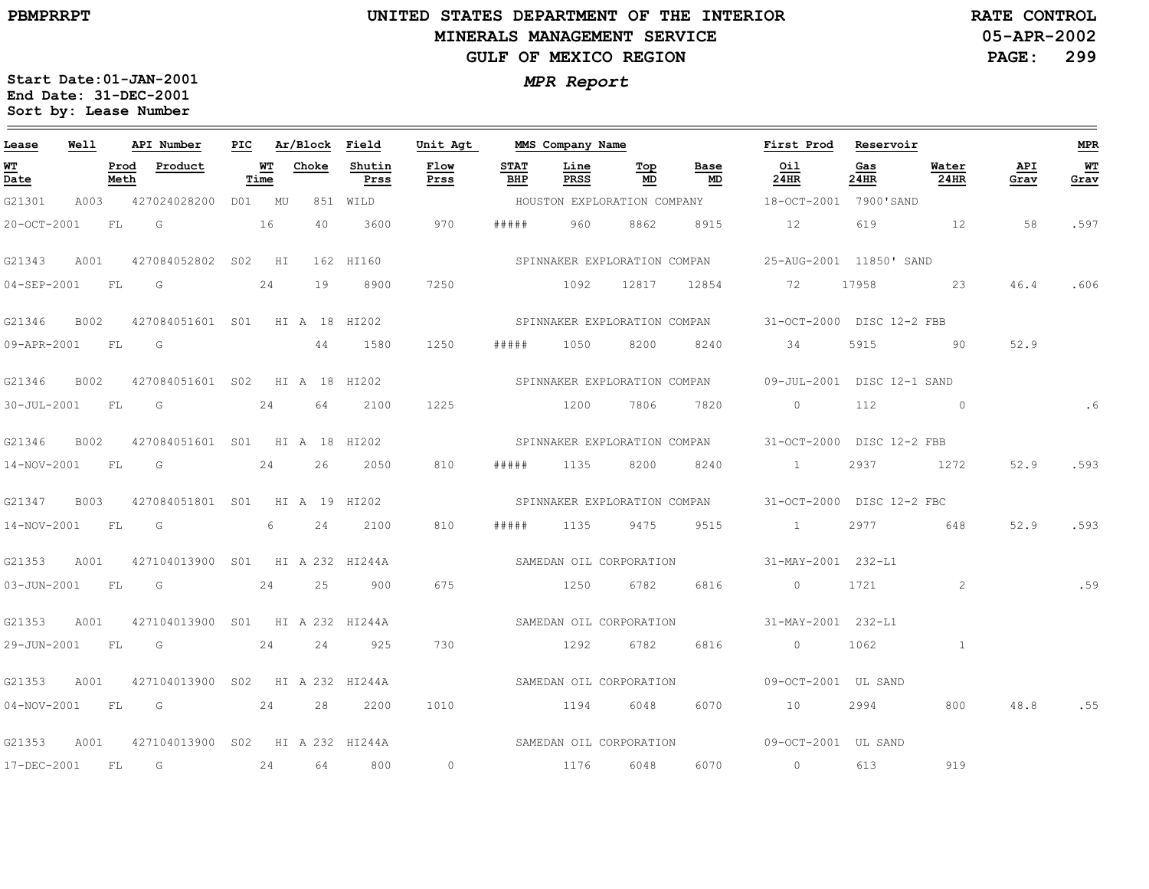### **UNITED STATES DEPARTMENT OF THE INTERIOR MINERALS MANAGEMENT SERVICEGULF OF MEXICO REGION**

**05-APR-2002PAGE: 299 RATE CONTROL**

| Lease             | Well        |              | API Number                       | PIC |            | Ar/Block Field |                | Unit Agt                |                    | MMS Company Name             |           |                              | First Prod                                              | Reservoir   |               |             | <b>MPR</b> |
|-------------------|-------------|--------------|----------------------------------|-----|------------|----------------|----------------|-------------------------|--------------------|------------------------------|-----------|------------------------------|---------------------------------------------------------|-------------|---------------|-------------|------------|
| WТ<br>Date        |             | Prod<br>Meth | Product                          |     | WT<br>Time | Choke          | Shutin<br>Prss | Flow<br>Prss            | <b>STAT</b><br>BHP | Line<br><b>PRSS</b>          | Тор<br>MD | Base<br>MD                   | Oil<br>24HR                                             | Gas<br>24HR | Water<br>24HR | API<br>Grav | WT<br>Grav |
| G21301            | A003        |              | 427024028200                     |     | D01 MU     |                | 851 WILD       |                         |                    |                              |           | HOUSTON EXPLORATION COMPANY  | 18-OCT-2001 7900'SAND                                   |             |               |             |            |
| 20-OCT-2001       |             | FL           | G<br>16                          |     |            | 40             | 3600           | 970                     | # # # # #          | 960                          | 8862      | 8915                         | 12                                                      | 619         | 12            | 58          | .597       |
| G21343            | A001        |              | 427084052802 S02 HI              |     |            |                | 162 HI160      |                         |                    | SPINNAKER EXPLORATION COMPAN |           |                              | 25-AUG-2001 11850' SAND                                 |             |               |             |            |
| 04-SEP-2001       |             | FL           | G                                |     | 24         | 19             | 8900           | 7250                    |                    | 1092                         | 12817     | 12854                        | 72                                                      | 17958       | 23            | 46.4        | .606       |
| G21346            | <b>B002</b> |              | 427084051601 S01 HI A 18 HI202   |     |            |                |                |                         |                    |                              |           |                              | SPINNAKER EXPLORATION COMPAN 31-OCT-2000 DISC 12-2 FBB  |             |               |             |            |
| 09-APR-2001       |             | FL.          | $\overline{\mathsf{G}}$          |     |            | 44             | 1580           | 1250                    | # # # # #          | 1050                         | 8200      | 8240                         | 34                                                      | 5915        | $\sim$ 90     | 52.9        |            |
| G21346            | B002        |              | 427084051601 S02 HI A 18 HI202   |     |            |                |                |                         |                    |                              |           |                              | SPINNAKER EXPLORATION COMPAN 09-JUL-2001 DISC 12-1 SAND |             |               |             |            |
| 30-JUL-2001       |             | FL           | G                                |     | 24         | 64             | 2100           | 1225                    |                    | 1200                         | 7806      | 7820                         | $\circ$                                                 | 112         | $\sim$ 0      |             | .6         |
| G21346            | B002        |              | 427084051601 S01 HI A 18 HI202   |     |            |                |                |                         |                    |                              |           |                              | SPINNAKER EXPLORATION COMPAN 31-OCT-2000 DISC 12-2 FBB  |             |               |             |            |
| 14-NOV-2001       |             | FL.          | G                                |     | 24         | 26             | 2050           | 810                     | # # # # #          | 1135                         | 8200      | 8240                         | $\sim$ $\sim$ $\sim$ $\sim$ $\sim$                      | 2937        | 1272          | 52.9        | .593       |
| G21347            | B003        |              | 427084051801 S01 HI A 19 HI202   |     |            |                |                |                         |                    |                              |           | SPINNAKER EXPLORATION COMPAN | 31-OCT-2000 DISC 12-2 FBC                               |             |               |             |            |
| 14-NOV-2001       |             | FL           | G                                |     | 6          | 24             | 2100           | 810                     | # # # # #          | 1135                         | 9475      | 9515                         | 1                                                       | 2977        | 648           | 52.9        | .593       |
| G21353            | A001        |              | 427104013900 S01 HI A 232 HI244A |     |            |                |                |                         |                    | SAMEDAN OIL CORPORATION      |           |                              | 31-MAY-2001 232-L1                                      |             |               |             |            |
| 03-JUN-2001       |             | FL           | G                                |     | 24         | 25             | 900            | 675                     |                    | 1250                         | 6782      | 6816                         | $\overline{0}$                                          | 1721        | 2             |             | .59        |
| G21353            | A001        |              | 427104013900 S01 HI A 232 HI244A |     |            |                |                |                         |                    | SAMEDAN OIL CORPORATION      |           |                              | 31-MAY-2001 232-L1                                      |             |               |             |            |
| 29-JUN-2001       |             | FL           | G                                |     | 24         | 24             | 925            | 730                     |                    | 1292                         | 6782      | 6816                         | $\overline{0}$                                          | 1062        | $\mathbf{1}$  |             |            |
| G21353            | A001        |              | 427104013900 S02 HI A 232 HI244A |     |            |                |                |                         |                    | SAMEDAN OIL CORPORATION      |           |                              | 09-OCT-2001 UL SAND                                     |             |               |             |            |
| $04 - NOV - 2001$ |             | FL           | G                                |     | 24         | 28             | 2200           | 1010                    |                    | 1194                         | 6048      | 6070                         | 10                                                      | 2994        | 800           | 48.8        | .55        |
| G21353            | A001        |              | 427104013900 S02 HI A 232 HI244A |     |            |                |                | SAMEDAN OIL CORPORATION |                    |                              |           |                              | 09-OCT-2001 UL SAND                                     |             |               |             |            |
| 17-DEC-2001       |             | FL           | G                                |     | 24         | 64             | 800            | $\circ$                 |                    | 1176                         | 6048      | 6070                         | $\overline{0}$                                          | 613         | 919           |             |            |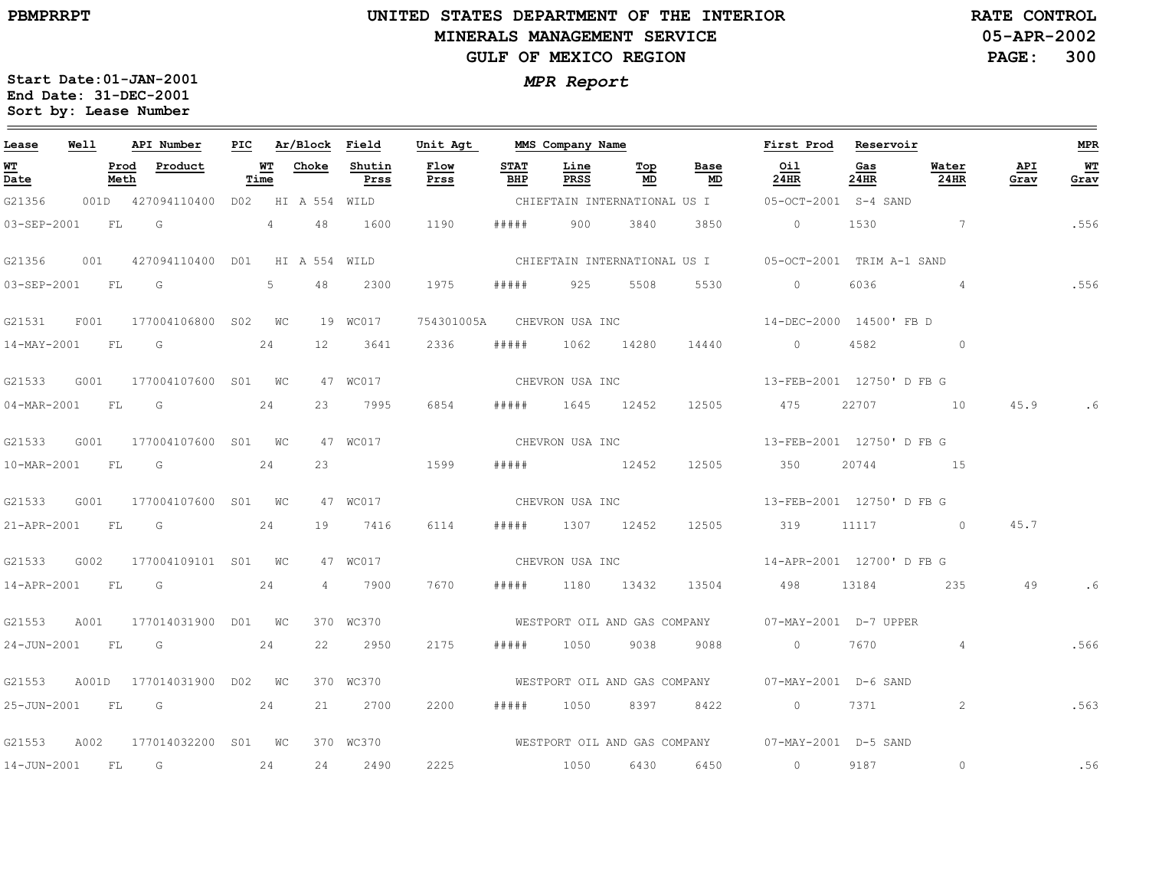# **UNITED STATES DEPARTMENT OF THE INTERIOR MINERALS MANAGEMENT SERVICEGULF OF MEXICO REGION**

**05-APR-2002PAGE: 300 RATE CONTROL**

| Lease             | Well  |              | API Number                          | PIC |            | Ar/Block Field |                                | Unit Agt     |                    | MMS Company Name             |            |                              | First Prod                                             | Reservoir                 |                |                    | <b>MPR</b> |
|-------------------|-------|--------------|-------------------------------------|-----|------------|----------------|--------------------------------|--------------|--------------------|------------------------------|------------|------------------------------|--------------------------------------------------------|---------------------------|----------------|--------------------|------------|
| <b>WT</b><br>Date |       | Prod<br>Meth | Product                             |     | WT<br>Time | Choke          | Shutin<br>Prss                 | Flow<br>Prss | <b>STAT</b><br>BHP | Line<br>PRSS                 | Top<br>MD  | Base<br>MD                   | Oil<br>$24$ HR                                         | Gas<br>24HR               | Water<br>24HR  | <b>API</b><br>Grav | WT<br>Grav |
| G21356            |       |              | 001D 427094110400 D02 HI A 554 WILD |     |            |                |                                |              |                    |                              |            | CHIEFTAIN INTERNATIONAL US I |                                                        | 05-OCT-2001 S-4 SAND      |                |                    |            |
| 03-SEP-2001       |       | <b>FL</b>    | $\overline{G}$                      |     |            | 4 48           | 1600                           | 1190         | # # # # #          | 900                          | 3840       | 3850                         | $\overline{0}$                                         | 1530                      | $\sim$ 7       |                    | .556       |
| G21356            | 001   |              | 427094110400 D01 HI A 554 WILD      |     |            |                |                                |              |                    |                              |            |                              | CHIEFTAIN INTERNATIONAL US I 05-OCT-2001 TRIM A-1 SAND |                           |                |                    |            |
| 03-SEP-2001 FL G  |       |              |                                     |     |            |                | 5 48 2300                      | 1975         | # # # # #          | 925 5508                     |            | 5530                         | $\overline{0}$                                         | 6036                      | 4 <sup>1</sup> |                    | .556       |
| G21531            | F001  |              | 177004106800 S02 WC                 |     |            |                | 19 WC017                       | 754301005A   |                    | CHEVRON USA INC              |            |                              |                                                        | 14-DEC-2000 14500' FB D   |                |                    |            |
| 14-MAY-2001       |       | FL           | G                                   |     | 24         | 12             | 3641                           | 2336         | #####              | 1062                         | 14280      | 14440                        | $\circ$                                                | 4582                      | $\circ$        |                    |            |
| G21533            | G001  |              | 177004107600 S01 WC                 |     |            |                | 47 WC017                       |              |                    | CHEVRON USA INC              |            |                              |                                                        | 13-FEB-2001 12750' D FB G |                |                    |            |
| 04-MAR-2001 FL    |       |              | G                                   |     | 24         | 23             | 7995                           | 6854         | #####              |                              | 1645 12452 | 12505                        | 475                                                    | 22707                     | 10             | 45.9               | . 6        |
| G21533            | G001  |              | 177004107600 S01 WC                 |     |            |                | 47 WC017                       |              |                    | CHEVRON USA INC              |            |                              |                                                        | 13-FEB-2001 12750' D FB G |                |                    |            |
| 10-MAR-2001       |       | FL.          | G                                   |     | 24         | 23             |                                | 1599         | # # # # #          | 12452                        |            | 12505                        | 350                                                    | 20744                     | 15             |                    |            |
| G21533            | G001  |              | 177004107600 S01 WC                 |     |            |                | 47 WC017                       |              |                    | CHEVRON USA INC              |            |                              |                                                        | 13-FEB-2001 12750' D FB G |                |                    |            |
|                   |       |              | 21-APR-2001 FL G                    |     | 24         | 19             | 7416                           | 6114         | # # # # #          | 1307 12452                   |            | 12505                        | 319 11117 0                                            |                           |                | 45.7               |            |
| G21533            | G002  |              | 177004109101 S01 WC                 |     |            |                | 47 WC017                       |              |                    |                              |            | CHEVRON USA INC              | 14-APR-2001 12700'D FB G                               |                           |                |                    |            |
| 14-APR-2001 FL    |       |              | G                                   |     | 24         |                | $4 \quad \blacksquare$<br>7900 | 7670         | # # # # #          |                              | 1180 13432 | 13504                        | 498 13184                                              |                           | 235            | 49                 | .6         |
| G21553            | A001  |              | 177014031900 D01 WC                 |     |            |                | 370 WC370                      |              |                    | WESTPORT OIL AND GAS COMPANY |            |                              |                                                        | 07-MAY-2001 D-7 UPPER     |                |                    |            |
| 24-JUN-2001       |       | FL           | G                                   |     | 24         | 22             | 2950                           | 2175         | #####              | 1050                         | 9038       | 9088                         | $\circ$                                                | 7670                      | $\overline{4}$ |                    | .566       |
| G21553            | A001D |              | 177014031900 D02 WC                 |     |            |                | 370 WC370                      |              |                    |                              |            |                              | WESTPORT OIL AND GAS COMPANY 07-MAY-2001 D-6 SAND      |                           |                |                    |            |
| 25-JUN-2001 FL    |       |              | $\overline{\mathsf{G}}$             |     | 24         | 21             | 2700                           | 2200         | # # # # #          | 1050                         | 8397       | 8422                         | $0 \qquad \qquad$                                      | 7371                      | 2              |                    | .563       |
| G21553            | A002  |              | 177014032200 S01 WC                 |     |            |                | 370 WC370                      |              |                    |                              |            | WESTPORT OIL AND GAS COMPANY |                                                        | 07-MAY-2001 D-5 SAND      |                |                    |            |
| 14-JUN-2001       |       | FL           | G                                   |     | 24         | 24             | 2490                           | 2225         |                    | 1050                         | 6430       | 6450                         | $\circ$                                                | 9187                      | $\circ$        |                    | .56        |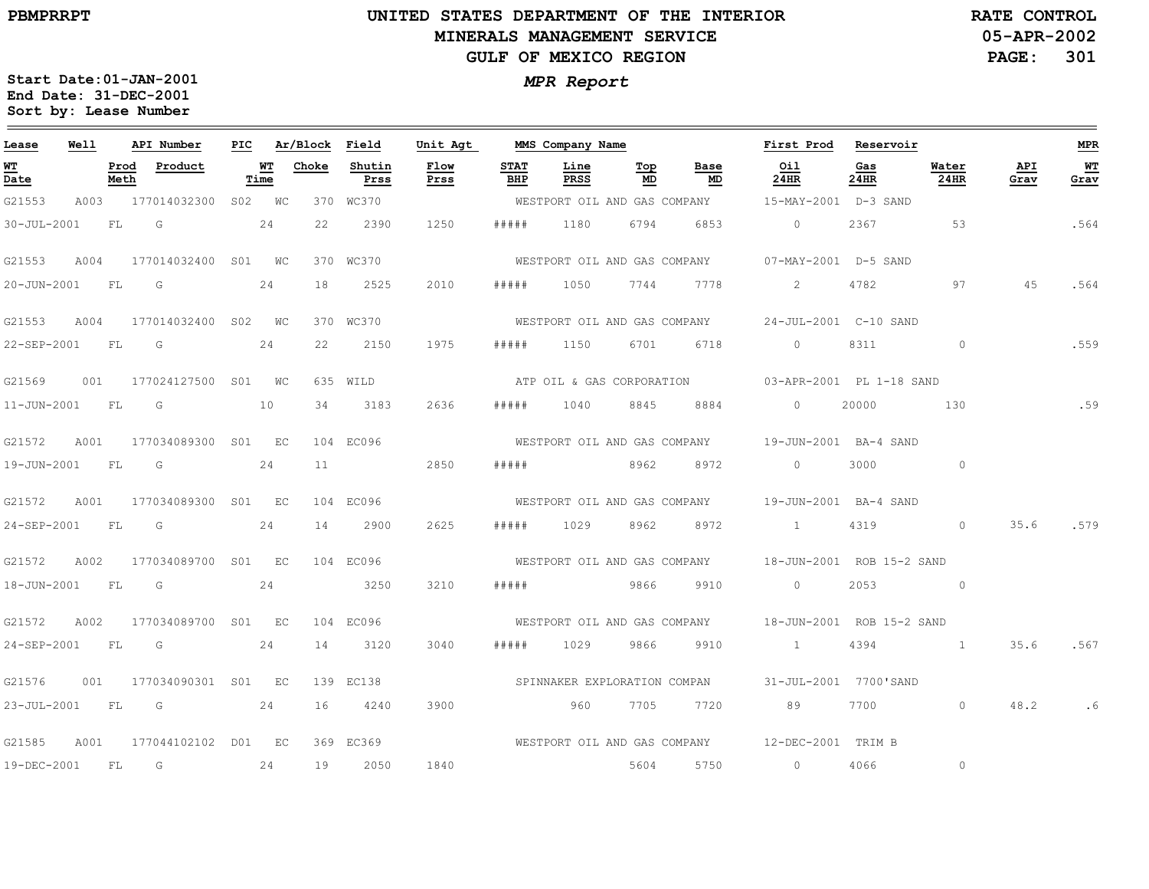### **UNITED STATES DEPARTMENT OF THE INTERIOR MINERALS MANAGEMENT SERVICEGULF OF MEXICO REGION**

**05-APR-2002PAGE: 301 RATE CONTROL**

| Lease             | Well |              | API Number              | PIC |            | Ar/Block | Field          | Unit Agt     |                    | MMS Company Name             |           |                              | First Prod                                             | Reservoir   |                          |             | <b>MPR</b> |
|-------------------|------|--------------|-------------------------|-----|------------|----------|----------------|--------------|--------------------|------------------------------|-----------|------------------------------|--------------------------------------------------------|-------------|--------------------------|-------------|------------|
| <u>WT</u><br>Date |      | Prod<br>Meth | Product                 |     | WТ<br>Time | Choke    | Shutin<br>Prss | Flow<br>Prss | <b>STAT</b><br>BHP | Line<br>PRSS                 | Тор<br>MD | Base<br>MD                   | Oil<br>24HR                                            | Gas<br>24HR | Water<br>24HR            | API<br>Grav | WТ<br>Grav |
| G21553            | A003 |              | 177014032300            |     | S02 WC     |          | 370 WC370      |              |                    | WESTPORT OIL AND GAS COMPANY |           |                              | 15-MAY-2001 D-3 SAND                                   |             |                          |             |            |
| 30-JUL-2001       |      | FL           | G                       |     | 24         | 22       | 2390           | 1250         | # # # # #          | 1180                         | 6794      | 6853                         | $\circ$                                                | 2367        | 53                       |             | .564       |
| G21553            | A004 |              | 177014032400            |     | S01 WC     |          | 370 WC370      |              |                    |                              |           | WESTPORT OIL AND GAS COMPANY | 07-MAY-2001 D-5 SAND                                   |             |                          |             |            |
| 20-JUN-2001       |      | FL           | G                       |     | 24         | 18       | 2525           | 2010         | #####              | 1050                         | 7744      | 7778                         | $\overline{2}$                                         | 4782        | 97                       | 45          | .564       |
| G21553            | A004 |              | 177014032400 S02 WC     |     |            |          | 370 WC370      |              |                    | WESTPORT OIL AND GAS COMPANY |           |                              | 24-JUL-2001 C-10 SAND                                  |             |                          |             |            |
| 22-SEP-2001       |      | FL           | G                       |     | 24         | 22       | 2150           | 1975         | # # # # #          | 1150                         | 6701      | 6718                         | $\circ$                                                | 8311        | $\circ$                  |             | .559       |
| G21569            | 001  |              | 177024127500 S01 WC     |     |            |          | 635 WILD       |              |                    |                              |           | ATP OIL & GAS CORPORATION    | 03-APR-2001 PL 1-18 SAND                               |             |                          |             |            |
| $11 - JUN - 2001$ |      | <b>FL</b>    | G                       |     | 10         | 34       | 3183           | 2636         | # # # # #          | 1040                         | 8845      | 8884                         | $\circ$                                                | 20000       | 130                      |             | .59        |
| G21572            | A001 |              | 177034089300            |     | S01 EC     |          | 104 EC096      |              |                    | WESTPORT OIL AND GAS COMPANY |           |                              | 19-JUN-2001 BA-4 SAND                                  |             |                          |             |            |
| 19-JUN-2001       |      | FL           | G                       |     | 24         | 11       |                | 2850         | # # # # #          | 8962                         |           | 8972                         | $\circ$                                                | 3000        | $\circ$                  |             |            |
| G21572            | A001 |              | 177034089300 S01 EC     |     |            |          | 104 EC096      |              |                    |                              |           | WESTPORT OIL AND GAS COMPANY | 19-JUN-2001 BA-4 SAND                                  |             |                          |             |            |
| 24-SEP-2001       |      | FL.          | G                       |     | 24         | 14       | 2900           | 2625         | # # # # #          | 1029                         | 8962      | 8972                         | $\frac{1}{2}$                                          | 4319        | $\circ$                  | 35.6        | .579       |
| G21572            | A002 |              | 177034089700 S01 EC     |     |            |          | 104 EC096      |              |                    | WESTPORT OIL AND GAS COMPANY |           |                              | 18-JUN-2001 ROB 15-2 SAND                              |             |                          |             |            |
| 18-JUN-2001       |      | FL           | $\overline{G}$          |     | 24         |          | 3250           | 3210         | # # # # #          | 9866                         |           | 9910                         | $\circ$                                                | 2053        | $\sim$ 0 $\sim$ 0 $\sim$ |             |            |
| G21572            | A002 |              | 177034089700 S01 EC     |     |            |          | 104 EC096      |              |                    |                              |           |                              | WESTPORT OIL AND GAS COMPANY 18-JUN-2001 ROB 15-2 SAND |             |                          |             |            |
| 24-SEP-2001       |      | F L          | G                       |     | 24         | 14       | 3120           | 3040         | #####              | 1029                         | 9866      | 9910                         | $\sim$ 1                                               | 4394        |                          | 35.6        | .567       |
| G21576            | 001  |              | 177034090301 S01 EC     |     |            |          | 139 EC138      |              |                    | SPINNAKER EXPLORATION COMPAN |           |                              | 31-JUL-2001 7700'SAND                                  |             |                          |             |            |
| 23-JUL-2001       |      | FL           | $\overline{\mathbb{G}}$ |     | 24         | 16       | 4240           | 3900         |                    | 960                          | 7705      | 7720                         | 89                                                     | 7700        | $\circ$                  | 48.2        | .6         |
| G21585            | A001 |              | 177044102102 D01 EC     |     |            |          | 369 EC369      |              |                    |                              |           |                              | WESTPORT OIL AND GAS COMPANY 12-DEC-2001 TRIM B        |             |                          |             |            |
| 19-DEC-2001       |      | <b>FL</b>    | G                       |     | 24         | 19       | 2050           | 1840         |                    |                              | 5604      | 5750                         | $\circ$                                                | 4066        | $\circ$                  |             |            |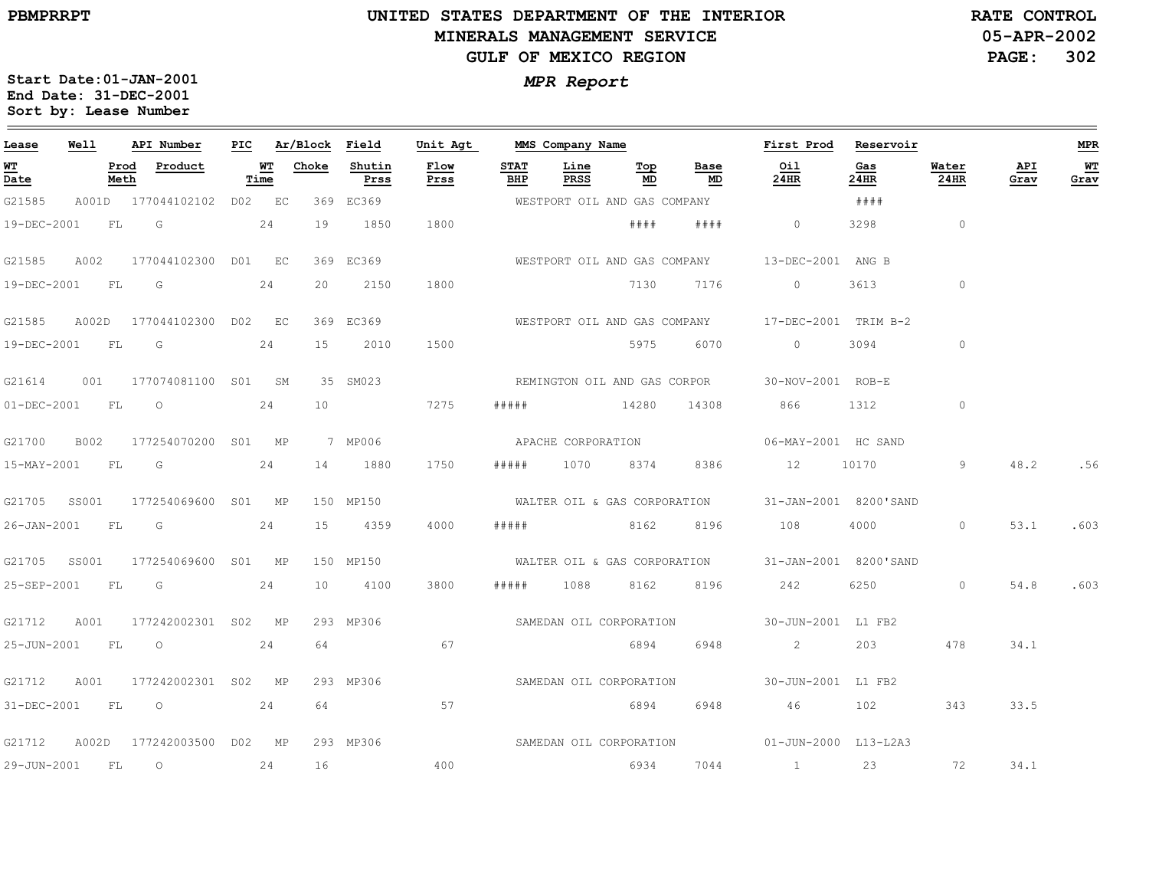### **UNITED STATES DEPARTMENT OF THE INTERIOR MINERALS MANAGEMENT SERVICEGULF OF MEXICO REGION**

**05-APR-2002PAGE: 302 RATE CONTROL**

| Lease             | Well  |              | API Number                | PIC |            | Ar/Block Field |                | Unit Agt     |                    | MMS Company Name |                              |            | First Prod                                         | Reservoir   |               |             | MPR        |
|-------------------|-------|--------------|---------------------------|-----|------------|----------------|----------------|--------------|--------------------|------------------|------------------------------|------------|----------------------------------------------------|-------------|---------------|-------------|------------|
| WT<br>Date        |       | Prod<br>Meth | Product                   |     | WT<br>Time | Choke          | Shutin<br>Prss | Flow<br>Prss | <b>STAT</b><br>BHP | Line<br>PRSS     | Тор<br>MD                    | Base<br>MD | Oil<br>24HR                                        | Gas<br>24HR | Water<br>24HR | API<br>Grav | WT<br>Grav |
| G21585            |       |              | A001D 177044102102 D02 EC |     |            |                | 369 EC369      |              |                    |                  | WESTPORT OIL AND GAS COMPANY |            |                                                    | ####        |               |             |            |
| 19-DEC-2001 FL    |       |              | $\overline{\mathbb{G}}$   |     | 24         | 19             | 1850           | 1800         |                    |                  | # # # #                      | # # # #    | $\circ$                                            | 3298        | $\circ$       |             |            |
| G21585            | A002  |              | 177044102300 D01 EC       |     |            |                | 369 EC369      |              |                    |                  |                              |            | WESTPORT OIL AND GAS COMPANY 13-DEC-2001 ANG B     |             |               |             |            |
| 19-DEC-2001       |       | FL           | G                         |     | 24         | 20             | 2150           | 1800         |                    |                  | 7130                         | 7176       | $\circ$                                            | 3613        | $\circ$       |             |            |
| G21585            | A002D |              | 177044102300 D02 EC       |     |            |                | 369 EC369      |              |                    |                  |                              |            | WESTPORT OIL AND GAS COMPANY 17-DEC-2001 TRIM B-2  |             |               |             |            |
| 19-DEC-2001 FL    |       |              | G G                       |     | 24         | 15             | 2010           | 1500         |                    |                  | 5975 6070                    |            | $\Omega$                                           | 3094        | $\circ$       |             |            |
| G21614            | 001   |              | 177074081100 S01 SM       |     |            |                | 35 SM023       |              |                    |                  |                              |            | REMINGTON OIL AND GAS CORPOR 30-NOV-2001 ROB-E     |             |               |             |            |
| 01-DEC-2001       |       | FL           | $\circ$                   |     | 24         | 10             |                | 7275         | # # # # #          |                  | 14280                        | 14308      | 866                                                | 1312        | $\circ$       |             |            |
| G21700            | B002  |              | 177254070200 S01 MP       |     |            |                | 7 MP006        |              |                    |                  | APACHE CORPORATION           |            | 06-MAY-2001 HC SAND                                |             |               |             |            |
| 15-MAY-2001 FL    |       |              | $\overline{\mathsf{G}}$   |     | 24         | 14             | 1880           | 1750         | # # # # #          |                  | 1070 8374                    | 8386       | 12                                                 | 10170       | 9             | 48.2        | .56        |
| G21705 SS001      |       |              | 177254069600 S01 MP       |     |            |                | 150 MP150      |              |                    |                  |                              |            | WALTER OIL & GAS CORPORATION 31-JAN-2001 8200'SAND |             |               |             |            |
| $26 - JAN - 2001$ |       | FL           |                           |     | 24         | 15             | 4359           | 4000         | # # # # #          |                  | 8162                         | 8196       | 108                                                | 4000        | $\circ$       | 53.1        | .603       |
| G21705 SS001      |       |              | 177254069600 S01 MP       |     |            |                | 150 MP150      |              |                    |                  |                              |            | WALTER OIL & GAS CORPORATION 31-JAN-2001 8200'SAND |             |               |             |            |
| 25-SEP-2001       |       | FL           | G                         |     | 24         | 10             | 4100           | 3800         | #####              | 1088             | 8162                         | 8196       | 242                                                |             | $\circ$       | 54.8        | .603       |
| G21712            | A001  |              | 177242002301 S02 MP       |     |            |                | 293 MP306      |              |                    |                  | SAMEDAN OIL CORPORATION      |            | 30-JUN-2001 L1 FB2                                 |             |               |             |            |
| 25-JUN-2001       |       | <b>FL</b>    | $\circ$                   |     | 24         | 64             |                | 67           |                    |                  | 6894                         | 6948       | $\overline{2}$                                     | 203         | 478           | 34.1        |            |
| G21712            | A001  |              | 177242002301 S02 MP       |     |            |                | 293 MP306      |              |                    |                  | SAMEDAN OIL CORPORATION      |            | 30-JUN-2001 L1 FB2                                 |             |               |             |            |
| 31-DEC-2001       |       | FL           | $\overline{O}$            |     | 24         | 64             |                | 57           |                    |                  | 6894                         | 6948       | 46                                                 | 102         | 343           | 33.5        |            |
| G21712            | A002D |              | 177242003500 D02 MP       |     |            |                | 293 MP306      |              |                    |                  |                              |            | SAMEDAN OIL CORPORATION 01-JUN-2000 L13-L2A3       |             |               |             |            |
| 29-JUN-2001       |       | FL           | $\circ$                   |     | 24         | 16             |                | 400          |                    |                  | 6934                         | 7044       | $\sim$ 1                                           | 23          | 72            | 34.1        |            |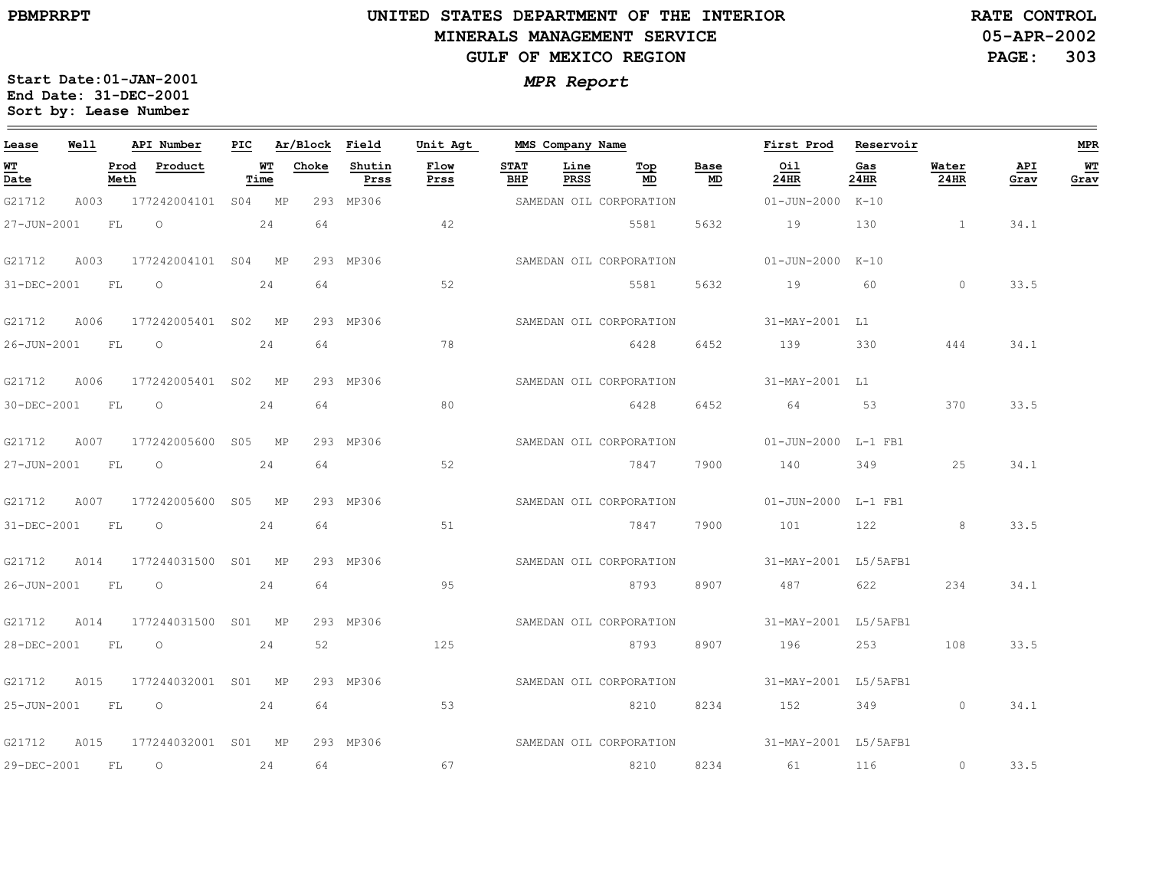$=$ 

# **UNITED STATES DEPARTMENT OF THE INTERIOR MINERALS MANAGEMENT SERVICEGULF OF MEXICO REGION**

**05-APR-2002PAGE: 303 RATE CONTROL**

| Lease<br>Well                  |      |              | API Number          | PIC |            | Ar/Block | Field          | Unit Agt     | MMS Company Name   |              |                         |            | First Prod                                   | Reservoir   |               |             |            |  |
|--------------------------------|------|--------------|---------------------|-----|------------|----------|----------------|--------------|--------------------|--------------|-------------------------|------------|----------------------------------------------|-------------|---------------|-------------|------------|--|
| WT<br>$\overline{\text{Date}}$ |      | Prod<br>Meth | Product             |     | WT<br>Time | Choke    | Shutin<br>Prss | Flow<br>Prss | <b>STAT</b><br>BHP | Line<br>PRSS | Тор<br>MD               | Base<br>MD | Oil<br>24HR                                  | Gas<br>24HR | Water<br>24HR | API<br>Grav | WT<br>Grav |  |
| G21712                         | A003 |              | 177242004101 S04 MP |     |            |          | 293 MP306      |              |                    |              | SAMEDAN OIL CORPORATION |            | 01-JUN-2000 K-10                             |             |               |             |            |  |
| 27-JUN-2001                    |      | FL           | $\circ$             |     | 24         | 64       |                | 42           |                    |              | 5581                    | 5632       | 19                                           | 130         |               | 34.1        |            |  |
| G21712                         | A003 |              | 177242004101 S04 MP |     |            |          | 293 MP306      |              |                    |              | SAMEDAN OIL CORPORATION |            | 01-JUN-2000 K-10                             |             |               |             |            |  |
| 31-DEC-2001                    |      | FL           | $\circ$             |     | 24         | 64       |                | 52           |                    |              | 5581                    | 5632       | 19                                           | 60          | $\circ$       | 33.5        |            |  |
| G21712                         | A006 |              | 177242005401 S02 MP |     |            |          | 293 MP306      |              |                    |              | SAMEDAN OIL CORPORATION |            | 31-MAY-2001 L1                               |             |               |             |            |  |
| 26-JUN-2001                    |      | <b>FL</b>    | $\circ$             |     | 24         | 64       |                | 78           |                    |              | 6428                    | 6452       | 139                                          | 330         | 444           | 34.1        |            |  |
| G21712                         | A006 |              | 177242005401 S02 MP |     |            |          | 293 MP306      |              |                    |              | SAMEDAN OIL CORPORATION |            | 31-MAY-2001 L1                               |             |               |             |            |  |
| 30-DEC-2001                    |      | FL           | $\Omega$            |     | 24         | 64       |                | 80           |                    |              | 6428                    | 6452       | 64                                           | 53          | 370           | 33.5        |            |  |
| G21712                         | A007 |              | 177242005600 S05 MP |     |            |          | 293 MP306      |              |                    |              | SAMEDAN OIL CORPORATION |            | 01-JUN-2000 L-1 FB1                          |             |               |             |            |  |
| 27-JUN-2001                    |      | <b>FL</b>    | $\circ$             |     | 24         | 64       |                | 52           |                    |              | 7847                    | 7900       | 140                                          | 349         | 25            | 34.1        |            |  |
| G21712                         | A007 |              | 177242005600 S05 MP |     |            |          | 293 MP306      |              |                    |              | SAMEDAN OIL CORPORATION |            | 01-JUN-2000 L-1 FB1                          |             |               |             |            |  |
| 31-DEC-2001                    |      | FL           | $\circ$             |     | 24         | 64       |                | 51           |                    |              | 7847                    | 7900       | 101                                          | 122         | 8             | 33.5        |            |  |
| G21712                         | A014 |              | 177244031500 S01 MP |     |            |          | 293 MP306      |              |                    |              | SAMEDAN OIL CORPORATION |            | 31-MAY-2001 L5/5AFB1                         |             |               |             |            |  |
| 26-JUN-2001                    |      | FL           | $\circ$             |     | 24         | 64       |                | 95           |                    |              | 8793                    | 8907       | 487                                          | 622 6       | 234           | 34.1        |            |  |
| G21712                         | A014 |              | 177244031500 S01 MP |     |            |          | 293 MP306      |              |                    |              | SAMEDAN OIL CORPORATION |            | 31-MAY-2001 L5/5AFB1                         |             |               |             |            |  |
| 28-DEC-2001                    |      | FL           | $\overline{O}$      |     | 24         | 52       |                | 125          |                    |              | 8793                    | 8907       | 196                                          | 253         | 108           | 33.5        |            |  |
| G21712                         | A015 |              | 177244032001 S01 MP |     |            |          | 293 MP306      |              |                    |              | SAMEDAN OIL CORPORATION |            | 31-MAY-2001 L5/5AFB1                         |             |               |             |            |  |
|                                |      |              | 25-JUN-2001 FL 0    |     | 24         | 64       |                | 53           |                    |              | 8210                    | 8234       | 152                                          | 349         | $\circ$       | 34.1        |            |  |
| G21712                         | A015 |              | 177244032001 S01 MP |     |            |          | 293 MP306      |              |                    |              |                         |            | SAMEDAN OIL CORPORATION 31-MAY-2001 L5/5AFB1 |             |               |             |            |  |
| 29-DEC-2001                    |      | FL.          | $\circ$             |     | 24         | 64       |                | 67           |                    |              | 8210                    | 8234       | 61                                           | 116         | $\circ$       | 33.5        |            |  |